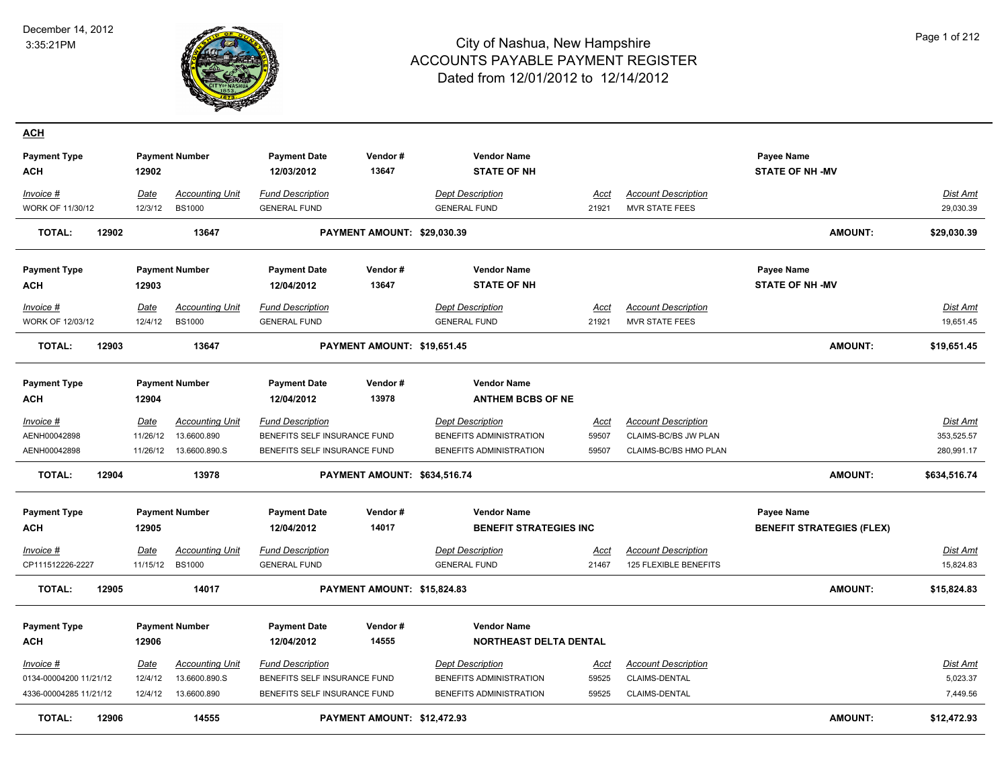

| <b>ACH</b>                        |                         |                                         |                                                |                              |                                                     |                      |                                                     |                                                |                       |
|-----------------------------------|-------------------------|-----------------------------------------|------------------------------------------------|------------------------------|-----------------------------------------------------|----------------------|-----------------------------------------------------|------------------------------------------------|-----------------------|
| <b>Payment Type</b>               |                         | <b>Payment Number</b>                   | <b>Payment Date</b>                            | Vendor#                      | <b>Vendor Name</b>                                  |                      |                                                     | Payee Name                                     |                       |
| <b>ACH</b>                        | 12902                   |                                         | 12/03/2012                                     | 13647                        | <b>STATE OF NH</b>                                  |                      |                                                     | <b>STATE OF NH-MV</b>                          |                       |
| Invoice #                         | Date                    | <b>Accounting Unit</b>                  | <b>Fund Description</b>                        |                              | <b>Dept Description</b>                             | Acct                 | <b>Account Description</b>                          |                                                | Dist Amt              |
| <b>WORK OF 11/30/12</b>           | 12/3/12                 | <b>BS1000</b>                           | <b>GENERAL FUND</b>                            |                              | <b>GENERAL FUND</b>                                 | 21921                | <b>MVR STATE FEES</b>                               |                                                | 29,030.39             |
| <b>TOTAL:</b><br>12902            |                         | 13647                                   |                                                | PAYMENT AMOUNT: \$29,030.39  |                                                     |                      |                                                     | <b>AMOUNT:</b>                                 | \$29,030.39           |
| <b>Payment Type</b>               |                         | <b>Payment Number</b>                   | <b>Payment Date</b>                            | Vendor#                      | <b>Vendor Name</b>                                  |                      |                                                     | <b>Payee Name</b>                              |                       |
| <b>ACH</b>                        | 12903                   |                                         | 12/04/2012                                     | 13647                        | <b>STATE OF NH</b>                                  |                      |                                                     | <b>STATE OF NH-MV</b>                          |                       |
| Invoice #<br>WORK OF 12/03/12     | <b>Date</b><br>12/4/12  | <b>Accounting Unit</b><br><b>BS1000</b> | <b>Fund Description</b><br><b>GENERAL FUND</b> |                              | <b>Dept Description</b><br><b>GENERAL FUND</b>      | Acct<br>21921        | <b>Account Description</b><br><b>MVR STATE FEES</b> |                                                | Dist Amt<br>19,651.45 |
| <b>TOTAL:</b><br>12903            |                         | 13647                                   |                                                | PAYMENT AMOUNT: \$19,651.45  |                                                     |                      |                                                     | <b>AMOUNT:</b>                                 | \$19,651.45           |
| <b>Payment Type</b>               |                         | <b>Payment Number</b>                   | <b>Payment Date</b>                            | Vendor#                      | <b>Vendor Name</b>                                  |                      |                                                     |                                                |                       |
| <b>ACH</b>                        | 12904                   |                                         | 12/04/2012                                     | 13978                        | <b>ANTHEM BCBS OF NE</b>                            |                      |                                                     |                                                |                       |
| Invoice #                         | Date                    | <b>Accounting Unit</b>                  | <b>Fund Description</b>                        |                              | <b>Dept Description</b>                             | Acct                 | <b>Account Description</b>                          |                                                | Dist Amt              |
| AENH00042898                      | 11/26/12                | 13.6600.890                             | BENEFITS SELF INSURANCE FUND                   |                              | BENEFITS ADMINISTRATION                             | 59507                | CLAIMS-BC/BS JW PLAN                                |                                                | 353,525.57            |
| AENH00042898                      | 11/26/12                | 13.6600.890.S                           | BENEFITS SELF INSURANCE FUND                   |                              | BENEFITS ADMINISTRATION                             | 59507                | CLAIMS-BC/BS HMO PLAN                               |                                                | 280,991.17            |
| <b>TOTAL:</b><br>12904            |                         | 13978                                   |                                                | PAYMENT AMOUNT: \$634,516.74 |                                                     |                      |                                                     | <b>AMOUNT:</b>                                 | \$634,516.74          |
| <b>Payment Type</b><br><b>ACH</b> | 12905                   | <b>Payment Number</b>                   | <b>Payment Date</b><br>12/04/2012              | Vendor#<br>14017             | <b>Vendor Name</b><br><b>BENEFIT STRATEGIES INC</b> |                      |                                                     | Payee Name<br><b>BENEFIT STRATEGIES (FLEX)</b> |                       |
|                                   |                         |                                         |                                                |                              |                                                     |                      |                                                     |                                                |                       |
| $Invoice$ #<br>CP111512226-2227   | <u>Date</u><br>11/15/12 | <b>Accounting Unit</b><br><b>BS1000</b> | <b>Fund Description</b><br><b>GENERAL FUND</b> |                              | <b>Dept Description</b><br><b>GENERAL FUND</b>      | <u>Acct</u><br>21467 | <b>Account Description</b><br>125 FLEXIBLE BENEFITS |                                                | Dist Amt<br>15,824.83 |
| <b>TOTAL:</b><br>12905            |                         | 14017                                   |                                                | PAYMENT AMOUNT: \$15,824.83  |                                                     |                      |                                                     | <b>AMOUNT:</b>                                 | \$15,824.83           |
| <b>Payment Type</b>               |                         | <b>Payment Number</b>                   | <b>Payment Date</b>                            | Vendor#                      | <b>Vendor Name</b>                                  |                      |                                                     |                                                |                       |
| <b>ACH</b>                        | 12906                   |                                         | 12/04/2012                                     | 14555                        | NORTHEAST DELTA DENTAL                              |                      |                                                     |                                                |                       |
| Invoice #                         | <b>Date</b>             | <b>Accounting Unit</b>                  | <b>Fund Description</b>                        |                              | <b>Dept Description</b>                             | Acct                 | <b>Account Description</b>                          |                                                | Dist Amt              |
| 0134-00004200 11/21/12            | 12/4/12                 | 13.6600.890.S                           | BENEFITS SELF INSURANCE FUND                   |                              | BENEFITS ADMINISTRATION                             | 59525                | CLAIMS-DENTAL                                       |                                                | 5,023.37              |
| 4336-00004285 11/21/12            | 12/4/12                 | 13.6600.890                             | BENEFITS SELF INSURANCE FUND                   |                              | BENEFITS ADMINISTRATION                             | 59525                | CLAIMS-DENTAL                                       |                                                | 7,449.56              |
| <b>TOTAL:</b><br>12906            |                         | 14555                                   |                                                | PAYMENT AMOUNT: \$12,472.93  |                                                     |                      |                                                     | <b>AMOUNT:</b>                                 | \$12,472.93           |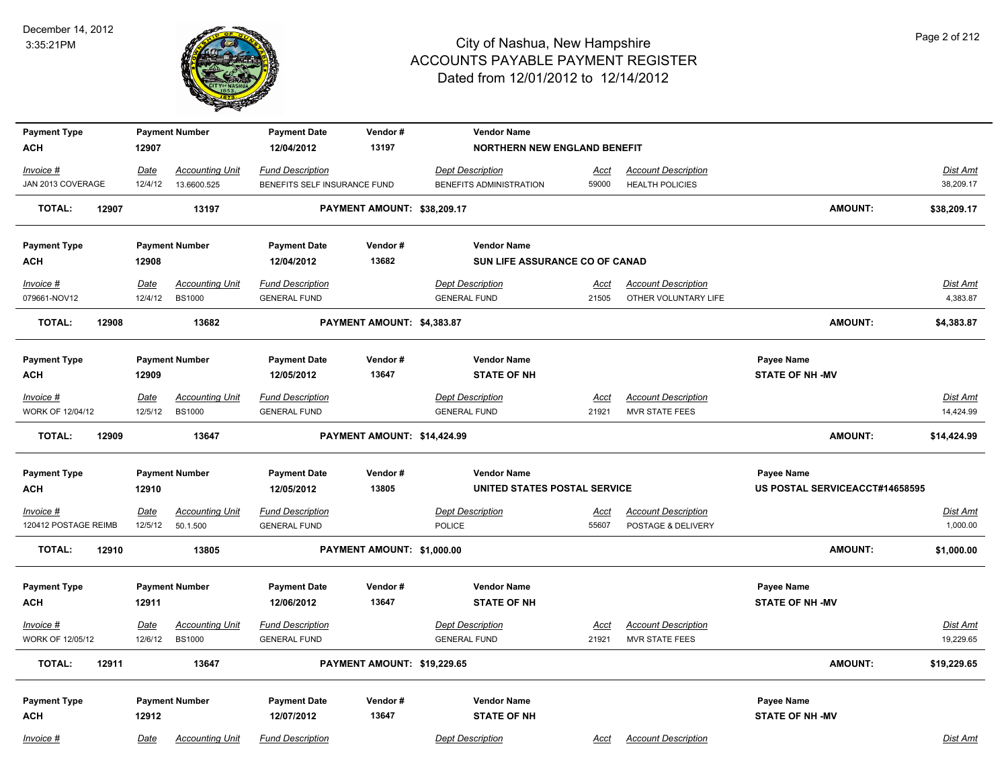

| <b>Payment Type</b>               |                 | <b>Payment Number</b>                   | <b>Payment Date</b>                            | Vendor#                     | <b>Vendor Name</b>                             |                      |                                                     |                                |                       |
|-----------------------------------|-----------------|-----------------------------------------|------------------------------------------------|-----------------------------|------------------------------------------------|----------------------|-----------------------------------------------------|--------------------------------|-----------------------|
| <b>ACH</b>                        | 12907           |                                         | 12/04/2012                                     | 13197                       | <b>NORTHERN NEW ENGLAND BENEFIT</b>            |                      |                                                     |                                |                       |
| Invoice #                         | Date            | <b>Accounting Unit</b>                  | <b>Fund Description</b>                        |                             | <b>Dept Description</b>                        | Acct                 | <b>Account Description</b>                          |                                | Dist Amt              |
| JAN 2013 COVERAGE                 | 12/4/12         | 13.6600.525                             | BENEFITS SELF INSURANCE FUND                   |                             | BENEFITS ADMINISTRATION                        | 59000                | <b>HEALTH POLICIES</b>                              |                                | 38,209.17             |
| <b>TOTAL:</b><br>12907            |                 | 13197                                   |                                                | PAYMENT AMOUNT: \$38,209.17 |                                                |                      |                                                     | <b>AMOUNT:</b>                 | \$38,209.17           |
| <b>Payment Type</b>               |                 | <b>Payment Number</b>                   | <b>Payment Date</b>                            | Vendor#                     | <b>Vendor Name</b>                             |                      |                                                     |                                |                       |
| <b>ACH</b>                        | 12908           |                                         | 12/04/2012                                     | 13682                       | SUN LIFE ASSURANCE CO OF CANAD                 |                      |                                                     |                                |                       |
| Invoice #                         | Date            | <b>Accounting Unit</b>                  | <b>Fund Description</b>                        |                             | <b>Dept Description</b>                        | Acct                 | <b>Account Description</b>                          |                                | Dist Amt              |
| 079661-NOV12                      | 12/4/12         | <b>BS1000</b>                           | <b>GENERAL FUND</b>                            |                             | <b>GENERAL FUND</b>                            | 21505                | OTHER VOLUNTARY LIFE                                |                                | 4,383.87              |
| <b>TOTAL:</b><br>12908            |                 | 13682                                   |                                                | PAYMENT AMOUNT: \$4,383.87  |                                                |                      |                                                     | <b>AMOUNT:</b>                 | \$4,383.87            |
| <b>Payment Type</b>               |                 | <b>Payment Number</b>                   | <b>Payment Date</b>                            | Vendor#                     | <b>Vendor Name</b>                             |                      |                                                     | Payee Name                     |                       |
| <b>ACH</b>                        | 12909           |                                         | 12/05/2012                                     | 13647                       | <b>STATE OF NH</b>                             |                      |                                                     | <b>STATE OF NH -MV</b>         |                       |
| $Invoice$ #                       | <b>Date</b>     | <b>Accounting Unit</b>                  | <b>Fund Description</b>                        |                             | <b>Dept Description</b>                        | Acct                 | <b>Account Description</b>                          |                                | Dist Amt              |
| WORK OF 12/04/12                  | 12/5/12         | <b>BS1000</b>                           | <b>GENERAL FUND</b>                            |                             | <b>GENERAL FUND</b>                            | 21921                | <b>MVR STATE FEES</b>                               |                                | 14,424.99             |
| <b>TOTAL:</b><br>12909            |                 | 13647                                   |                                                | PAYMENT AMOUNT: \$14,424.99 |                                                |                      |                                                     | <b>AMOUNT:</b>                 | \$14,424.99           |
| <b>Payment Type</b>               |                 | <b>Payment Number</b>                   | <b>Payment Date</b>                            | Vendor#                     | <b>Vendor Name</b>                             |                      |                                                     | Payee Name                     |                       |
| <b>ACH</b>                        | 12910           |                                         | 12/05/2012                                     | 13805                       | UNITED STATES POSTAL SERVICE                   |                      |                                                     | US POSTAL SERVICEACCT#14658595 |                       |
| Invoice #                         | <u>Date</u>     | <b>Accounting Unit</b>                  | <b>Fund Description</b>                        |                             | <b>Dept Description</b>                        | <u>Acct</u>          | <b>Account Description</b>                          |                                | Dist Amt              |
| 120412 POSTAGE REIMB              | 12/5/12         | 50.1.500                                | <b>GENERAL FUND</b>                            |                             | <b>POLICE</b>                                  | 55607                | POSTAGE & DELIVERY                                  |                                | 1,000.00              |
| <b>TOTAL:</b><br>12910            |                 | 13805                                   |                                                | PAYMENT AMOUNT: \$1,000.00  |                                                |                      |                                                     | <b>AMOUNT:</b>                 | \$1,000.00            |
|                                   |                 | <b>Payment Number</b>                   | <b>Payment Date</b>                            | Vendor#                     | <b>Vendor Name</b>                             |                      |                                                     | Payee Name                     |                       |
| <b>Payment Type</b><br><b>ACH</b> | 12911           |                                         | 12/06/2012                                     | 13647                       | <b>STATE OF NH</b>                             |                      |                                                     | <b>STATE OF NH-MV</b>          |                       |
|                                   |                 |                                         |                                                |                             |                                                |                      |                                                     |                                |                       |
| $Invoice$ #<br>WORK OF 12/05/12   | Date<br>12/6/12 | <b>Accounting Unit</b><br><b>BS1000</b> | <b>Fund Description</b><br><b>GENERAL FUND</b> |                             | <b>Dept Description</b><br><b>GENERAL FUND</b> | <u>Acct</u><br>21921 | <b>Account Description</b><br><b>MVR STATE FEES</b> |                                | Dist Amt<br>19,229.65 |
| <b>TOTAL:</b><br>12911            |                 | 13647                                   |                                                | PAYMENT AMOUNT: \$19,229.65 |                                                |                      |                                                     | AMOUNT:                        | \$19,229.65           |
|                                   |                 |                                         |                                                |                             |                                                |                      |                                                     |                                |                       |
| <b>Payment Type</b>               |                 | <b>Payment Number</b>                   | <b>Payment Date</b>                            | Vendor#                     | <b>Vendor Name</b>                             |                      |                                                     | Payee Name                     |                       |
| <b>ACH</b>                        | 12912           |                                         | 12/07/2012                                     | 13647                       | <b>STATE OF NH</b>                             |                      |                                                     | <b>STATE OF NH-MV</b>          |                       |
| Invoice #                         | Date            | <b>Accounting Unit</b>                  | <b>Fund Description</b>                        |                             | <b>Dept Description</b>                        | Acct                 | <b>Account Description</b>                          |                                | Dist Amt              |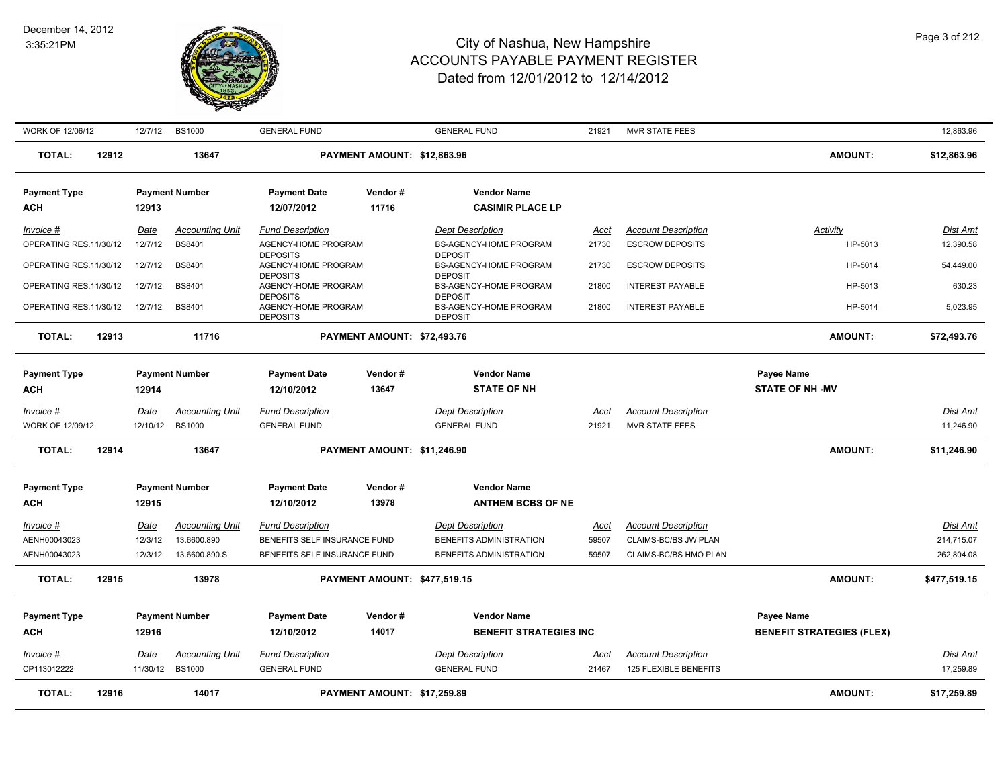#### December 14, 2012 3:35:21PM



| WORK OF 12/06/12                 |       | 12/7/12                | <b>BS1000</b>                           | <b>GENERAL FUND</b>                                       |                                     | <b>GENERAL FUND</b>                                        | 21921                | MVR STATE FEES                                      |                                  | 12,863.96                     |
|----------------------------------|-------|------------------------|-----------------------------------------|-----------------------------------------------------------|-------------------------------------|------------------------------------------------------------|----------------------|-----------------------------------------------------|----------------------------------|-------------------------------|
| <b>TOTAL:</b>                    | 12912 |                        | 13647                                   |                                                           | PAYMENT AMOUNT: \$12,863.96         |                                                            |                      |                                                     | <b>AMOUNT:</b>                   | \$12,863.96                   |
| <b>Payment Type</b>              |       |                        | <b>Payment Number</b>                   | <b>Payment Date</b>                                       | Vendor#                             | <b>Vendor Name</b>                                         |                      |                                                     |                                  |                               |
| <b>ACH</b>                       |       | 12913                  |                                         | 12/07/2012                                                | 11716                               | <b>CASIMIR PLACE LP</b>                                    |                      |                                                     |                                  |                               |
| Invoice #                        |       | Date                   | <b>Accounting Unit</b>                  | <b>Fund Description</b>                                   |                                     | <b>Dept Description</b>                                    | Acct                 | <b>Account Description</b>                          | <b>Activity</b>                  | Dist Amt                      |
| OPERATING RES.11/30/12           |       | 12/7/12                | <b>BS8401</b>                           | AGENCY-HOME PROGRAM                                       |                                     | <b>BS-AGENCY-HOME PROGRAM</b>                              | 21730                | <b>ESCROW DEPOSITS</b>                              | HP-5013                          | 12,390.58                     |
| OPERATING RES.11/30/12           |       | 12/7/12                | <b>BS8401</b>                           | <b>DEPOSITS</b><br>AGENCY-HOME PROGRAM<br><b>DEPOSITS</b> |                                     | <b>DEPOSIT</b><br>BS-AGENCY-HOME PROGRAM<br><b>DEPOSIT</b> | 21730                | <b>ESCROW DEPOSITS</b>                              | HP-5014                          | 54,449.00                     |
| OPERATING RES.11/30/12           |       | 12/7/12                | <b>BS8401</b>                           | AGENCY-HOME PROGRAM<br><b>DEPOSITS</b>                    |                                     | <b>BS-AGENCY-HOME PROGRAM</b><br><b>DEPOSIT</b>            | 21800                | <b>INTEREST PAYABLE</b>                             | HP-5013                          | 630.23                        |
| OPERATING RES.11/30/12           |       | 12/7/12                | <b>BS8401</b>                           | AGENCY-HOME PROGRAM<br><b>DEPOSITS</b>                    |                                     | <b>BS-AGENCY-HOME PROGRAM</b><br><b>DEPOSIT</b>            | 21800                | <b>INTEREST PAYABLE</b>                             | HP-5014                          | 5,023.95                      |
| <b>TOTAL:</b>                    | 12913 |                        | 11716                                   |                                                           | PAYMENT AMOUNT: \$72,493.76         |                                                            |                      |                                                     | <b>AMOUNT:</b>                   | \$72,493.76                   |
|                                  |       |                        |                                         |                                                           |                                     |                                                            |                      |                                                     |                                  |                               |
| <b>Payment Type</b>              |       |                        | <b>Payment Number</b>                   | <b>Payment Date</b>                                       | Vendor#                             | <b>Vendor Name</b>                                         |                      |                                                     | Payee Name                       |                               |
| ACH                              |       | 12914                  |                                         | 12/10/2012                                                | 13647                               | <b>STATE OF NH</b>                                         |                      |                                                     | <b>STATE OF NH-MV</b>            |                               |
| Invoice #                        |       | Date                   | <b>Accounting Unit</b>                  | <b>Fund Description</b>                                   |                                     | <b>Dept Description</b>                                    | Acct                 | <b>Account Description</b>                          |                                  | Dist Amt                      |
| WORK OF 12/09/12                 |       | 12/10/12 BS1000        |                                         | <b>GENERAL FUND</b>                                       |                                     | <b>GENERAL FUND</b>                                        | 21921                | <b>MVR STATE FEES</b>                               |                                  | 11,246.90                     |
| <b>TOTAL:</b>                    | 12914 |                        | 13647                                   |                                                           | PAYMENT AMOUNT: \$11,246.90         |                                                            |                      |                                                     | <b>AMOUNT:</b>                   | \$11,246.90                   |
| <b>Payment Type</b>              |       |                        | <b>Payment Number</b>                   | <b>Payment Date</b>                                       | Vendor#                             | <b>Vendor Name</b>                                         |                      |                                                     |                                  |                               |
| <b>ACH</b>                       |       | 12915                  |                                         | 12/10/2012                                                | 13978                               | <b>ANTHEM BCBS OF NE</b>                                   |                      |                                                     |                                  |                               |
|                                  |       |                        |                                         |                                                           |                                     |                                                            |                      |                                                     |                                  |                               |
| <u>Invoice #</u><br>AENH00043023 |       | <b>Date</b><br>12/3/12 | <b>Accounting Unit</b><br>13.6600.890   | <b>Fund Description</b><br>BENEFITS SELF INSURANCE FUND   |                                     | <b>Dept Description</b><br>BENEFITS ADMINISTRATION         | <u>Acct</u><br>59507 | <b>Account Description</b><br>CLAIMS-BC/BS JW PLAN  |                                  | <b>Dist Amt</b><br>214,715.07 |
| AENH00043023                     |       | 12/3/12                | 13.6600.890.S                           | BENEFITS SELF INSURANCE FUND                              |                                     | BENEFITS ADMINISTRATION                                    | 59507                | CLAIMS-BC/BS HMO PLAN                               |                                  | 262,804.08                    |
|                                  |       |                        |                                         |                                                           |                                     |                                                            |                      |                                                     |                                  |                               |
| <b>TOTAL:</b>                    | 12915 |                        | 13978                                   |                                                           | <b>PAYMENT AMOUNT: \$477,519.15</b> |                                                            |                      |                                                     | <b>AMOUNT:</b>                   | \$477,519.15                  |
| <b>Payment Type</b>              |       |                        | <b>Payment Number</b>                   | <b>Payment Date</b>                                       | Vendor#                             | <b>Vendor Name</b>                                         |                      |                                                     | Payee Name                       |                               |
| <b>ACH</b>                       |       | 12916                  |                                         | 12/10/2012                                                | 14017                               | <b>BENEFIT STRATEGIES INC</b>                              |                      |                                                     | <b>BENEFIT STRATEGIES (FLEX)</b> |                               |
|                                  |       |                        |                                         |                                                           |                                     |                                                            |                      |                                                     |                                  |                               |
| Invoice #<br>CP113012222         |       | Date<br>11/30/12       | <b>Accounting Unit</b><br><b>BS1000</b> | <b>Fund Description</b><br><b>GENERAL FUND</b>            |                                     | <b>Dept Description</b><br><b>GENERAL FUND</b>             | Acct<br>21467        | <b>Account Description</b><br>125 FLEXIBLE BENEFITS |                                  | <b>Dist Amt</b><br>17,259.89  |
| <b>TOTAL:</b>                    | 12916 |                        | 14017                                   |                                                           | PAYMENT AMOUNT: \$17,259.89         |                                                            |                      |                                                     | <b>AMOUNT:</b>                   | \$17,259.89                   |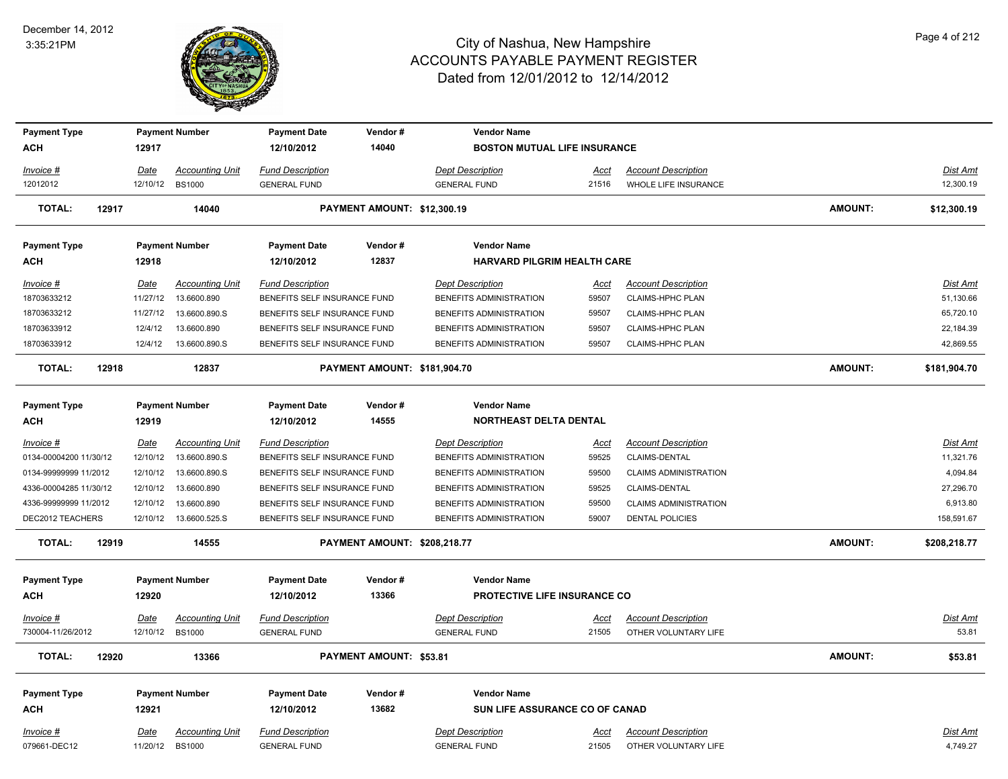

| <b>Payment Type</b>    |             | <b>Payment Number</b>   | <b>Payment Date</b>          | Vendor#                             | <b>Vendor Name</b>                  |             |                              |                |                 |
|------------------------|-------------|-------------------------|------------------------------|-------------------------------------|-------------------------------------|-------------|------------------------------|----------------|-----------------|
| <b>ACH</b>             | 12917       |                         | 12/10/2012                   | 14040                               | <b>BOSTON MUTUAL LIFE INSURANCE</b> |             |                              |                |                 |
| Invoice #              | <u>Date</u> | <b>Accounting Unit</b>  | <b>Fund Description</b>      |                                     | <b>Dept Description</b>             | <u>Acct</u> | <b>Account Description</b>   |                | Dist Amt        |
| 12012012               |             | 12/10/12 BS1000         | <b>GENERAL FUND</b>          |                                     | <b>GENERAL FUND</b>                 | 21516       | WHOLE LIFE INSURANCE         |                | 12,300.19       |
| <b>TOTAL:</b><br>12917 |             | 14040                   |                              | PAYMENT AMOUNT: \$12,300.19         |                                     |             |                              | <b>AMOUNT:</b> | \$12,300.19     |
| <b>Payment Type</b>    |             | <b>Payment Number</b>   | <b>Payment Date</b>          | Vendor#                             | <b>Vendor Name</b>                  |             |                              |                |                 |
| ACH                    | 12918       |                         | 12/10/2012                   | 12837                               | HARVARD PILGRIM HEALTH CARE         |             |                              |                |                 |
| Invoice #              | Date        | <b>Accounting Unit</b>  | <b>Fund Description</b>      |                                     | <b>Dept Description</b>             | Acct        | <b>Account Description</b>   |                | Dist Amt        |
| 18703633212            | 11/27/12    | 13.6600.890             | BENEFITS SELF INSURANCE FUND |                                     | BENEFITS ADMINISTRATION             | 59507       | CLAIMS-HPHC PLAN             |                | 51,130.66       |
| 18703633212            | 11/27/12    | 13.6600.890.S           | BENEFITS SELF INSURANCE FUND |                                     | BENEFITS ADMINISTRATION             | 59507       | CLAIMS-HPHC PLAN             |                | 65,720.10       |
| 18703633912            | 12/4/12     | 13.6600.890             | BENEFITS SELF INSURANCE FUND |                                     | BENEFITS ADMINISTRATION             | 59507       | CLAIMS-HPHC PLAN             |                | 22,184.39       |
| 18703633912            | 12/4/12     | 13.6600.890.S           | BENEFITS SELF INSURANCE FUND |                                     | BENEFITS ADMINISTRATION             | 59507       | CLAIMS-HPHC PLAN             |                | 42,869.55       |
| <b>TOTAL:</b><br>12918 |             | 12837                   |                              | PAYMENT AMOUNT: \$181,904.70        |                                     |             |                              | AMOUNT:        | \$181,904.70    |
| <b>Payment Type</b>    |             | <b>Payment Number</b>   | <b>Payment Date</b>          | Vendor#                             | <b>Vendor Name</b>                  |             |                              |                |                 |
| <b>ACH</b>             | 12919       |                         | 12/10/2012                   | 14555                               | <b>NORTHEAST DELTA DENTAL</b>       |             |                              |                |                 |
|                        |             |                         |                              |                                     |                                     |             |                              |                |                 |
| Invoice #              | Date        | <b>Accounting Unit</b>  | <b>Fund Description</b>      |                                     | <b>Dept Description</b>             | <u>Acct</u> | <b>Account Description</b>   |                | <b>Dist Amt</b> |
| 0134-00004200 11/30/12 | 12/10/12    | 13.6600.890.S           | BENEFITS SELF INSURANCE FUND |                                     | BENEFITS ADMINISTRATION             | 59525       | CLAIMS-DENTAL                |                | 11,321.76       |
| 0134-99999999 11/2012  | 12/10/12    | 13.6600.890.S           | BENEFITS SELF INSURANCE FUND |                                     | BENEFITS ADMINISTRATION             | 59500       | <b>CLAIMS ADMINISTRATION</b> |                | 4,094.84        |
| 4336-00004285 11/30/12 | 12/10/12    | 13.6600.890             | BENEFITS SELF INSURANCE FUND |                                     | BENEFITS ADMINISTRATION             | 59525       | <b>CLAIMS-DENTAL</b>         |                | 27,296.70       |
| 4336-99999999 11/2012  |             | 12/10/12  13.6600.890   | BENEFITS SELF INSURANCE FUND |                                     | BENEFITS ADMINISTRATION             | 59500       | <b>CLAIMS ADMINISTRATION</b> |                | 6,913.80        |
| DEC2012 TEACHERS       |             | 12/10/12  13.6600.525.S | BENEFITS SELF INSURANCE FUND |                                     | BENEFITS ADMINISTRATION             | 59007       | <b>DENTAL POLICIES</b>       |                | 158,591.67      |
| <b>TOTAL:</b><br>12919 |             | 14555                   |                              | <b>PAYMENT AMOUNT: \$208,218.77</b> |                                     |             |                              | <b>AMOUNT:</b> | \$208,218.77    |
| <b>Payment Type</b>    |             | <b>Payment Number</b>   | <b>Payment Date</b>          | Vendor#                             | <b>Vendor Name</b>                  |             |                              |                |                 |
| ACH                    | 12920       |                         | 12/10/2012                   | 13366                               | <b>PROTECTIVE LIFE INSURANCE CO</b> |             |                              |                |                 |
| Invoice #              | <u>Date</u> | <b>Accounting Unit</b>  | <b>Fund Description</b>      |                                     | <b>Dept Description</b>             | <u>Acct</u> | <b>Account Description</b>   |                | Dist Amt        |
| 730004-11/26/2012      | 12/10/12    | <b>BS1000</b>           | <b>GENERAL FUND</b>          |                                     | <b>GENERAL FUND</b>                 | 21505       | OTHER VOLUNTARY LIFE         |                | 53.81           |
| <b>TOTAL:</b><br>12920 |             | 13366                   |                              | <b>PAYMENT AMOUNT: \$53.81</b>      |                                     |             |                              | <b>AMOUNT:</b> | \$53.81         |
| <b>Payment Type</b>    |             | <b>Payment Number</b>   | <b>Payment Date</b>          | Vendor#                             | <b>Vendor Name</b>                  |             |                              |                |                 |
| <b>ACH</b>             | 12921       |                         | 12/10/2012                   | 13682                               | SUN LIFE ASSURANCE CO OF CANAD      |             |                              |                |                 |
| Invoice #              | Date        | <b>Accounting Unit</b>  | <b>Fund Description</b>      |                                     | <b>Dept Description</b>             | <u>Acct</u> | <b>Account Description</b>   |                | Dist Amt        |
| 079661-DEC12           | 11/20/12    | <b>BS1000</b>           | <b>GENERAL FUND</b>          |                                     | <b>GENERAL FUND</b>                 | 21505       | OTHER VOLUNTARY LIFE         |                | 4,749.27        |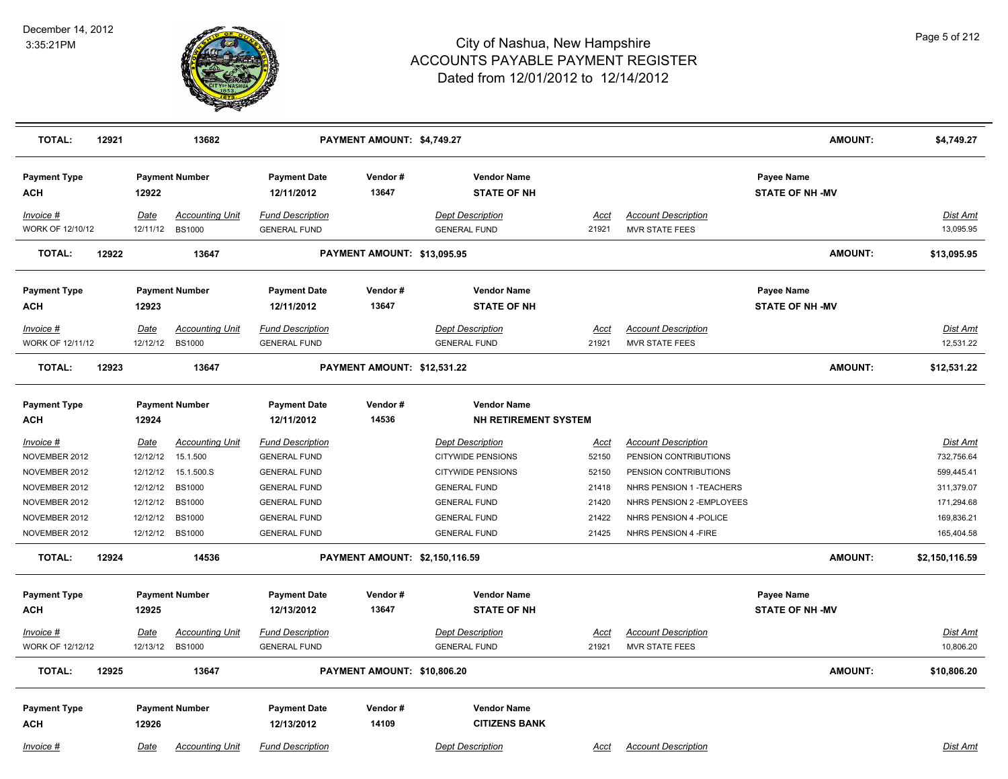

| <b>TOTAL:</b><br>12921               |                  | 13682                                     |                                                | PAYMENT AMOUNT: \$4,749.27     |                                                     |                      |                                                     | <b>AMOUNT:</b>                              | \$4,749.27                    |
|--------------------------------------|------------------|-------------------------------------------|------------------------------------------------|--------------------------------|-----------------------------------------------------|----------------------|-----------------------------------------------------|---------------------------------------------|-------------------------------|
| <b>Payment Type</b><br>ACH           | 12922            | <b>Payment Number</b>                     | <b>Payment Date</b><br>12/11/2012              | Vendor#<br>13647               | <b>Vendor Name</b><br><b>STATE OF NH</b>            |                      |                                                     | <b>Payee Name</b><br><b>STATE OF NH-MV</b>  |                               |
| Invoice #<br>WORK OF 12/10/12        | Date             | <b>Accounting Unit</b><br>12/11/12 BS1000 | <b>Fund Description</b><br><b>GENERAL FUND</b> |                                | <b>Dept Description</b><br><b>GENERAL FUND</b>      | Acct<br>21921        | <b>Account Description</b><br><b>MVR STATE FEES</b> |                                             | Dist Amt<br>13,095.95         |
| 12922<br><b>TOTAL:</b>               |                  | 13647                                     |                                                | PAYMENT AMOUNT: \$13,095.95    |                                                     |                      |                                                     | <b>AMOUNT:</b>                              | \$13,095.95                   |
| <b>Payment Type</b><br>ACH           | 12923            | <b>Payment Number</b>                     | <b>Payment Date</b><br>12/11/2012              | Vendor#<br>13647               | <b>Vendor Name</b><br><b>STATE OF NH</b>            |                      |                                                     | <b>Payee Name</b><br><b>STATE OF NH -MV</b> |                               |
| Invoice #                            | Date             | <b>Accounting Unit</b>                    | <b>Fund Description</b>                        |                                | <b>Dept Description</b>                             | Acct                 | <b>Account Description</b>                          |                                             | <b>Dist Amt</b>               |
| <b>WORK OF 12/11/12</b>              | 12/12/12         | <b>BS1000</b>                             | <b>GENERAL FUND</b>                            |                                | <b>GENERAL FUND</b>                                 | 21921                | <b>MVR STATE FEES</b>                               |                                             | 12,531.22                     |
| 12923<br><b>TOTAL:</b>               |                  | 13647                                     |                                                | PAYMENT AMOUNT: \$12,531.22    |                                                     |                      |                                                     | <b>AMOUNT:</b>                              | \$12,531.22                   |
| <b>Payment Type</b><br><b>ACH</b>    | 12924            | <b>Payment Number</b>                     | <b>Payment Date</b><br>12/11/2012              | Vendor#<br>14536               | <b>Vendor Name</b><br><b>NH RETIREMENT SYSTEM</b>   |                      |                                                     |                                             |                               |
| $Invoice$ #<br>NOVEMBER 2012         | Date<br>12/12/12 | <b>Accounting Unit</b><br>15.1.500        | <b>Fund Description</b><br><b>GENERAL FUND</b> |                                | <b>Dept Description</b><br><b>CITYWIDE PENSIONS</b> | <u>Acct</u><br>52150 | <b>Account Description</b><br>PENSION CONTRIBUTIONS |                                             | <u>Dist Amt</u><br>732,756.64 |
| NOVEMBER 2012                        | 12/12/12         | 15.1.500.S                                | <b>GENERAL FUND</b>                            |                                | <b>CITYWIDE PENSIONS</b>                            | 52150                | PENSION CONTRIBUTIONS                               |                                             | 599,445.41                    |
| NOVEMBER 2012                        | 12/12/12         | <b>BS1000</b>                             | <b>GENERAL FUND</b>                            |                                | <b>GENERAL FUND</b>                                 | 21418                | NHRS PENSION 1 - TEACHERS                           |                                             | 311,379.07                    |
| NOVEMBER 2012                        | 12/12/12         | <b>BS1000</b>                             | <b>GENERAL FUND</b>                            |                                | <b>GENERAL FUND</b>                                 | 21420                | NHRS PENSION 2 - EMPLOYEES                          |                                             | 171,294.68                    |
| NOVEMBER 2012                        | 12/12/12         | <b>BS1000</b>                             | <b>GENERAL FUND</b>                            |                                | <b>GENERAL FUND</b>                                 | 21422                | NHRS PENSION 4 - POLICE                             |                                             | 169,836.21                    |
| NOVEMBER 2012                        |                  | 12/12/12 BS1000                           | <b>GENERAL FUND</b>                            |                                | <b>GENERAL FUND</b>                                 | 21425                | NHRS PENSION 4 - FIRE                               |                                             | 165,404.58                    |
| 12924<br><b>TOTAL:</b>               |                  | 14536                                     |                                                | PAYMENT AMOUNT: \$2,150,116.59 |                                                     |                      |                                                     | <b>AMOUNT:</b>                              | \$2,150,116.59                |
| <b>Payment Type</b><br><b>ACH</b>    | 12925            | <b>Payment Number</b>                     | <b>Payment Date</b><br>12/13/2012              | Vendor#<br>13647               | <b>Vendor Name</b><br><b>STATE OF NH</b>            |                      |                                                     | Payee Name<br><b>STATE OF NH-MV</b>         |                               |
| Invoice #<br><b>WORK OF 12/12/12</b> | Date<br>12/13/12 | <b>Accounting Unit</b><br><b>BS1000</b>   | <b>Fund Description</b><br><b>GENERAL FUND</b> |                                | <b>Dept Description</b><br><b>GENERAL FUND</b>      | Acct<br>21921        | <b>Account Description</b><br><b>MVR STATE FEES</b> |                                             | Dist Amt<br>10,806.20         |
| <b>TOTAL:</b><br>12925               |                  | 13647                                     |                                                | PAYMENT AMOUNT: \$10,806.20    |                                                     |                      |                                                     | <b>AMOUNT:</b>                              | \$10,806.20                   |
| <b>Payment Type</b><br><b>ACH</b>    | 12926            | <b>Payment Number</b>                     | <b>Payment Date</b><br>12/13/2012              | Vendor#<br>14109               | <b>Vendor Name</b><br><b>CITIZENS BANK</b>          |                      |                                                     |                                             |                               |
| Invoice #                            | Date             | <b>Accounting Unit</b>                    | <b>Fund Description</b>                        |                                | <b>Dept Description</b>                             | Acct                 | <b>Account Description</b>                          |                                             | Dist Amt                      |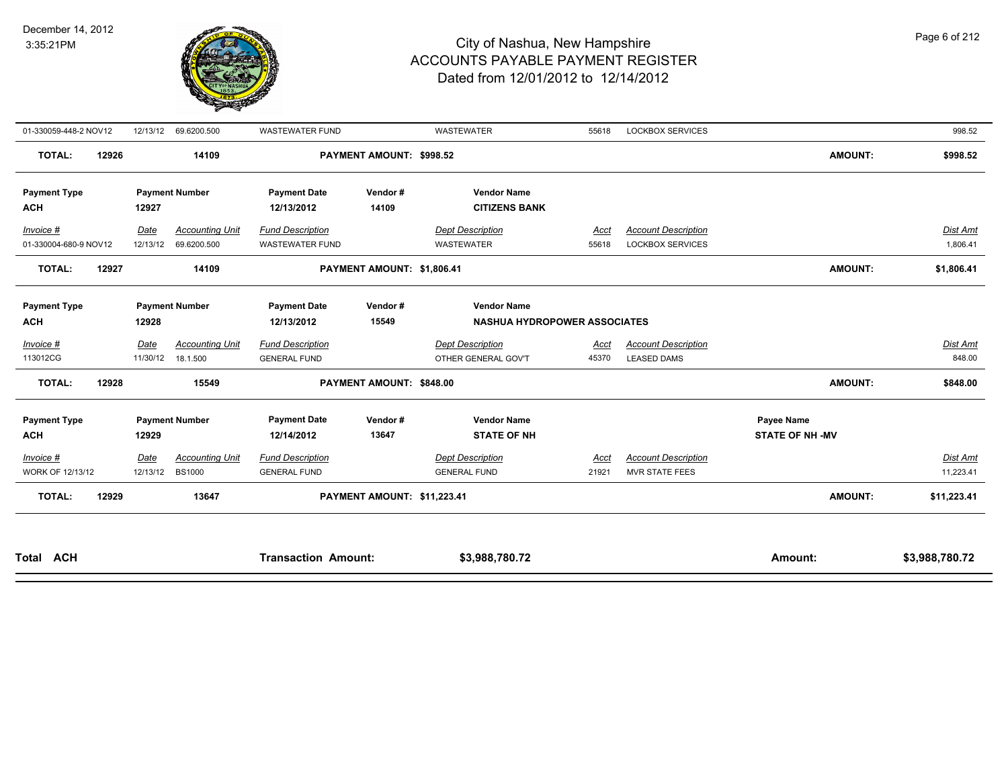

| 01-330059-448-2 NOV12              | 12/13/12         | 69.6200.500                             | <b>WASTEWATER FUND</b>                            |                             | <b>WASTEWATER</b>                                         | 55618                | <b>LOCKBOX SERVICES</b>                               |                                     | 998.52                       |
|------------------------------------|------------------|-----------------------------------------|---------------------------------------------------|-----------------------------|-----------------------------------------------------------|----------------------|-------------------------------------------------------|-------------------------------------|------------------------------|
| <b>TOTAL:</b><br>12926             |                  | 14109                                   |                                                   | PAYMENT AMOUNT: \$998.52    |                                                           |                      |                                                       | <b>AMOUNT:</b>                      | \$998.52                     |
| <b>Payment Type</b><br><b>ACH</b>  | 12927            | <b>Payment Number</b>                   | <b>Payment Date</b><br>12/13/2012                 | Vendor#<br>14109            | <b>Vendor Name</b><br><b>CITIZENS BANK</b>                |                      |                                                       |                                     |                              |
| Invoice #<br>01-330004-680-9 NOV12 | Date<br>12/13/12 | <b>Accounting Unit</b><br>69.6200.500   | <b>Fund Description</b><br><b>WASTEWATER FUND</b> |                             | <b>Dept Description</b><br>WASTEWATER                     | Acct<br>55618        | <b>Account Description</b><br><b>LOCKBOX SERVICES</b> |                                     | Dist Amt<br>1,806.41         |
| <b>TOTAL:</b><br>12927             |                  | 14109                                   |                                                   | PAYMENT AMOUNT: \$1,806.41  |                                                           |                      |                                                       | <b>AMOUNT:</b>                      | \$1,806.41                   |
| <b>Payment Type</b><br><b>ACH</b>  | 12928            | <b>Payment Number</b>                   | <b>Payment Date</b><br>12/13/2012                 | Vendor#<br>15549            | <b>Vendor Name</b><br><b>NASHUA HYDROPOWER ASSOCIATES</b> |                      |                                                       |                                     |                              |
| Invoice #<br>113012CG              | Date<br>11/30/12 | <b>Accounting Unit</b><br>18.1.500      | <b>Fund Description</b><br><b>GENERAL FUND</b>    |                             | <b>Dept Description</b><br>OTHER GENERAL GOV'T            | Acct<br>45370        | <b>Account Description</b><br><b>LEASED DAMS</b>      |                                     | Dist Amt<br>848.00           |
| <b>TOTAL:</b><br>12928             |                  | 15549                                   |                                                   | PAYMENT AMOUNT: \$848.00    |                                                           |                      |                                                       | <b>AMOUNT:</b>                      | \$848.00                     |
| <b>Payment Type</b><br><b>ACH</b>  | 12929            | <b>Payment Number</b>                   | <b>Payment Date</b><br>12/14/2012                 | Vendor#<br>13647            | <b>Vendor Name</b><br><b>STATE OF NH</b>                  |                      |                                                       | Payee Name<br><b>STATE OF NH-MV</b> |                              |
| Invoice #<br>WORK OF 12/13/12      | Date<br>12/13/12 | <b>Accounting Unit</b><br><b>BS1000</b> | <b>Fund Description</b><br><b>GENERAL FUND</b>    |                             | <b>Dept Description</b><br><b>GENERAL FUND</b>            | <b>Acct</b><br>21921 | <b>Account Description</b><br>MVR STATE FEES          |                                     | <b>Dist Amt</b><br>11,223.41 |
| <b>TOTAL:</b><br>12929             |                  | 13647                                   |                                                   | PAYMENT AMOUNT: \$11,223.41 |                                                           |                      |                                                       | <b>AMOUNT:</b>                      | \$11,223.41                  |
|                                    |                  |                                         |                                                   |                             |                                                           |                      |                                                       |                                     |                              |

| <b>Total</b> | <b>ACH</b> | Amount.<br>action. | 00 70<br>ססה כ<br>. 780.7 | Amount. | - -<br>. <i>. 7</i> 80 <sup>.</sup><br>∵∽. ه |
|--------------|------------|--------------------|---------------------------|---------|----------------------------------------------|
|              |            |                    |                           |         |                                              |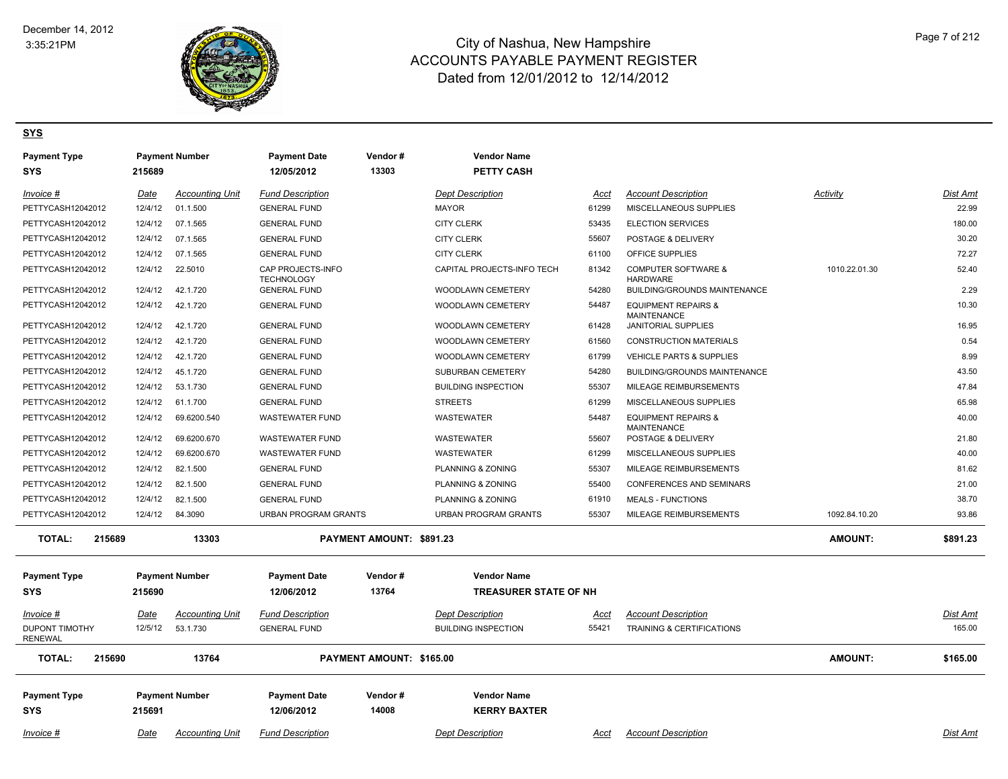

#### **SYS**

| <b>Payment Type</b><br><b>SYS</b>       | 215689  | <b>Payment Number</b>  | <b>Payment Date</b><br>12/05/2012      | Vendor#<br>13303         | <b>Vendor Name</b><br><b>PETTY CASH</b>            |       |                                                      |                |                 |
|-----------------------------------------|---------|------------------------|----------------------------------------|--------------------------|----------------------------------------------------|-------|------------------------------------------------------|----------------|-----------------|
|                                         |         |                        |                                        |                          |                                                    |       |                                                      |                |                 |
| Invoice #                               | Date    | <b>Accounting Unit</b> | <b>Fund Description</b>                |                          | <b>Dept Description</b>                            | Acct  | <b>Account Description</b>                           | Activity       | Dist Amt        |
| PETTYCASH12042012                       | 12/4/12 | 01.1.500               | <b>GENERAL FUND</b>                    |                          | <b>MAYOR</b>                                       | 61299 | MISCELLANEOUS SUPPLIES                               |                | 22.99           |
| PETTYCASH12042012                       | 12/4/12 | 07.1.565               | <b>GENERAL FUND</b>                    |                          | <b>CITY CLERK</b>                                  | 53435 | <b>ELECTION SERVICES</b>                             |                | 180.00          |
| PETTYCASH12042012                       | 12/4/12 | 07.1.565               | <b>GENERAL FUND</b>                    |                          | <b>CITY CLERK</b>                                  | 55607 | POSTAGE & DELIVERY                                   |                | 30.20           |
| PETTYCASH12042012                       | 12/4/12 | 07.1.565               | <b>GENERAL FUND</b>                    |                          | <b>CITY CLERK</b>                                  | 61100 | OFFICE SUPPLIES                                      |                | 72.27           |
| PETTYCASH12042012                       | 12/4/12 | 22.5010                | CAP PROJECTS-INFO<br><b>TECHNOLOGY</b> |                          | CAPITAL PROJECTS-INFO TECH                         | 81342 | <b>COMPUTER SOFTWARE &amp;</b><br><b>HARDWARE</b>    | 1010.22.01.30  | 52.40           |
| PETTYCASH12042012                       | 12/4/12 | 42.1.720               | <b>GENERAL FUND</b>                    |                          | WOODLAWN CEMETERY                                  | 54280 | BUILDING/GROUNDS MAINTENANCE                         |                | 2.29            |
| PETTYCASH12042012                       | 12/4/12 | 42.1.720               | <b>GENERAL FUND</b>                    |                          | WOODLAWN CEMETERY                                  | 54487 | <b>EQUIPMENT REPAIRS &amp;</b><br><b>MAINTENANCE</b> |                | 10.30           |
| PETTYCASH12042012                       | 12/4/12 | 42.1.720               | <b>GENERAL FUND</b>                    |                          | <b>WOODLAWN CEMETERY</b>                           | 61428 | JANITORIAL SUPPLIES                                  |                | 16.95           |
| PETTYCASH12042012                       | 12/4/12 | 42.1.720               | <b>GENERAL FUND</b>                    |                          | WOODLAWN CEMETERY                                  | 61560 | <b>CONSTRUCTION MATERIALS</b>                        |                | 0.54            |
| PETTYCASH12042012                       | 12/4/12 | 42.1.720               | <b>GENERAL FUND</b>                    |                          | WOODLAWN CEMETERY                                  | 61799 | VEHICLE PARTS & SUPPLIES                             |                | 8.99            |
| PETTYCASH12042012                       | 12/4/12 | 45.1.720               | <b>GENERAL FUND</b>                    |                          | SUBURBAN CEMETERY                                  | 54280 | <b>BUILDING/GROUNDS MAINTENANCE</b>                  |                | 43.50           |
| PETTYCASH12042012                       | 12/4/12 | 53.1.730               | <b>GENERAL FUND</b>                    |                          | <b>BUILDING INSPECTION</b>                         | 55307 | MILEAGE REIMBURSEMENTS                               |                | 47.84           |
| PETTYCASH12042012                       | 12/4/12 | 61.1.700               | <b>GENERAL FUND</b>                    |                          | <b>STREETS</b>                                     | 61299 | MISCELLANEOUS SUPPLIES                               |                | 65.98           |
| PETTYCASH12042012                       | 12/4/12 | 69.6200.540            | <b>WASTEWATER FUND</b>                 |                          | <b>WASTEWATER</b>                                  | 54487 | <b>EQUIPMENT REPAIRS &amp;</b><br><b>MAINTENANCE</b> |                | 40.00           |
| PETTYCASH12042012                       | 12/4/12 | 69.6200.670            | <b>WASTEWATER FUND</b>                 |                          | <b>WASTEWATER</b>                                  | 55607 | POSTAGE & DELIVERY                                   |                | 21.80           |
| PETTYCASH12042012                       | 12/4/12 | 69.6200.670            | <b>WASTEWATER FUND</b>                 |                          | <b>WASTEWATER</b>                                  | 61299 | MISCELLANEOUS SUPPLIES                               |                | 40.00           |
| PETTYCASH12042012                       | 12/4/12 | 82.1.500               | <b>GENERAL FUND</b>                    |                          | PLANNING & ZONING                                  | 55307 | MILEAGE REIMBURSEMENTS                               |                | 81.62           |
| PETTYCASH12042012                       | 12/4/12 | 82.1.500               | <b>GENERAL FUND</b>                    |                          | PLANNING & ZONING                                  | 55400 | <b>CONFERENCES AND SEMINARS</b>                      |                | 21.00           |
| PETTYCASH12042012                       | 12/4/12 | 82.1.500               | <b>GENERAL FUND</b>                    |                          | PLANNING & ZONING                                  | 61910 | <b>MEALS - FUNCTIONS</b>                             |                | 38.70           |
| PETTYCASH12042012                       | 12/4/12 | 84.3090                | <b>URBAN PROGRAM GRANTS</b>            |                          | URBAN PROGRAM GRANTS                               | 55307 | MILEAGE REIMBURSEMENTS                               | 1092.84.10.20  | 93.86           |
| <b>TOTAL:</b><br>215689                 |         | 13303                  |                                        | PAYMENT AMOUNT: \$891.23 |                                                    |       |                                                      | <b>AMOUNT:</b> | \$891.23        |
| <b>Payment Type</b><br><b>SYS</b>       | 215690  | <b>Payment Number</b>  | <b>Payment Date</b><br>12/06/2012      | Vendor#<br>13764         | <b>Vendor Name</b><br><b>TREASURER STATE OF NH</b> |       |                                                      |                |                 |
| Invoice #                               | Date    | <b>Accounting Unit</b> | <b>Fund Description</b>                |                          | <b>Dept Description</b>                            | Acct  | <b>Account Description</b>                           |                | <b>Dist Amt</b> |
| <b>DUPONT TIMOTHY</b><br><b>RENEWAL</b> | 12/5/12 | 53.1.730               | <b>GENERAL FUND</b>                    |                          | <b>BUILDING INSPECTION</b>                         | 55421 | TRAINING & CERTIFICATIONS                            |                | 165.00          |
| <b>TOTAL:</b><br>215690                 |         | 13764                  |                                        | PAYMENT AMOUNT: \$165.00 |                                                    |       |                                                      | <b>AMOUNT:</b> | \$165.00        |
| <b>Payment Type</b><br><b>SYS</b>       | 215691  | <b>Payment Number</b>  | <b>Payment Date</b><br>12/06/2012      | Vendor #<br>14008        | <b>Vendor Name</b><br><b>KERRY BAXTER</b>          |       |                                                      |                |                 |
| Invoice #                               | Date    | Accounting Unit        | <b>Fund Description</b>                |                          | <b>Dept Description</b>                            | Acct  | <b>Account Description</b>                           |                | Dist Amt        |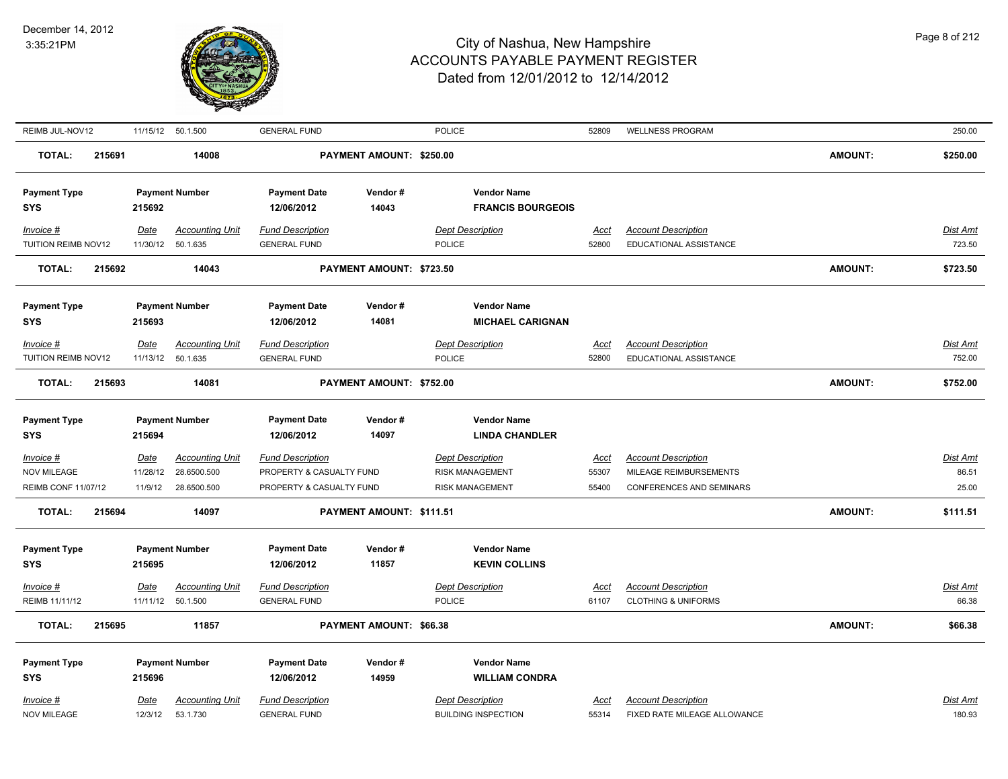

| REIMB JUL-NOV12            |        |                 | 11/15/12 50.1.500      | <b>GENERAL FUND</b>      |                          | <b>POLICE</b>              | 52809         | <b>WELLNESS PROGRAM</b>         |                | 250.00          |
|----------------------------|--------|-----------------|------------------------|--------------------------|--------------------------|----------------------------|---------------|---------------------------------|----------------|-----------------|
| <b>TOTAL:</b>              | 215691 |                 | 14008                  |                          | PAYMENT AMOUNT: \$250.00 |                            |               |                                 | <b>AMOUNT:</b> | \$250.00        |
| <b>Payment Type</b>        |        |                 | <b>Payment Number</b>  | <b>Payment Date</b>      | Vendor#                  | <b>Vendor Name</b>         |               |                                 |                |                 |
| <b>SYS</b>                 |        | 215692          |                        | 12/06/2012               | 14043                    | <b>FRANCIS BOURGEOIS</b>   |               |                                 |                |                 |
| Invoice #                  |        | Date            | <b>Accounting Unit</b> | <b>Fund Description</b>  |                          | <b>Dept Description</b>    | Acct          | <b>Account Description</b>      |                | Dist Amt        |
| TUITION REIMB NOV12        |        |                 | 11/30/12 50.1.635      | <b>GENERAL FUND</b>      |                          | <b>POLICE</b>              | 52800         | EDUCATIONAL ASSISTANCE          |                | 723.50          |
| <b>TOTAL:</b>              | 215692 |                 | 14043                  |                          | PAYMENT AMOUNT: \$723.50 |                            |               |                                 | <b>AMOUNT:</b> | \$723.50        |
| <b>Payment Type</b>        |        |                 | <b>Payment Number</b>  | <b>Payment Date</b>      | Vendor#                  | <b>Vendor Name</b>         |               |                                 |                |                 |
| <b>SYS</b>                 |        | 215693          |                        | 12/06/2012               | 14081                    | <b>MICHAEL CARIGNAN</b>    |               |                                 |                |                 |
| Invoice #                  |        | Date            | <b>Accounting Unit</b> | <b>Fund Description</b>  |                          | <b>Dept Description</b>    | Acct          | <b>Account Description</b>      |                | Dist Amt        |
| TUITION REIMB NOV12        |        | 11/13/12        | 50.1.635               | <b>GENERAL FUND</b>      |                          | <b>POLICE</b>              | 52800         | EDUCATIONAL ASSISTANCE          |                | 752.00          |
| <b>TOTAL:</b>              | 215693 |                 | 14081                  |                          | PAYMENT AMOUNT: \$752.00 |                            |               |                                 | <b>AMOUNT:</b> | \$752.00        |
|                            |        |                 |                        |                          |                          |                            |               |                                 |                |                 |
| <b>Payment Type</b>        |        |                 | <b>Payment Number</b>  | <b>Payment Date</b>      | Vendor#                  | <b>Vendor Name</b>         |               |                                 |                |                 |
| <b>SYS</b>                 |        | 215694          |                        | 12/06/2012               | 14097                    | <b>LINDA CHANDLER</b>      |               |                                 |                |                 |
| Invoice #                  |        | <b>Date</b>     | <b>Accounting Unit</b> | <b>Fund Description</b>  |                          | <b>Dept Description</b>    | <b>Acct</b>   | <b>Account Description</b>      |                | <b>Dist Amt</b> |
| <b>NOV MILEAGE</b>         |        | 11/28/12        | 28.6500.500            | PROPERTY & CASUALTY FUND |                          | <b>RISK MANAGEMENT</b>     | 55307         | MILEAGE REIMBURSEMENTS          |                | 86.51           |
| <b>REIMB CONF 11/07/12</b> |        | 11/9/12         | 28.6500.500            | PROPERTY & CASUALTY FUND |                          | <b>RISK MANAGEMENT</b>     | 55400         | <b>CONFERENCES AND SEMINARS</b> |                | 25.00           |
| <b>TOTAL:</b>              | 215694 |                 | 14097                  |                          | PAYMENT AMOUNT: \$111.51 |                            |               |                                 | <b>AMOUNT:</b> | \$111.51        |
| <b>Payment Type</b>        |        |                 | <b>Payment Number</b>  | <b>Payment Date</b>      | Vendor#                  | <b>Vendor Name</b>         |               |                                 |                |                 |
| <b>SYS</b>                 |        | 215695          |                        | 12/06/2012               | 11857                    | <b>KEVIN COLLINS</b>       |               |                                 |                |                 |
| Invoice #                  |        | <b>Date</b>     | <b>Accounting Unit</b> | <b>Fund Description</b>  |                          | <b>Dept Description</b>    | Acct          | <b>Account Description</b>      |                | Dist Amt        |
| REIMB 11/11/12             |        |                 | 11/11/12 50.1.500      | <b>GENERAL FUND</b>      |                          | <b>POLICE</b>              | 61107         | <b>CLOTHING &amp; UNIFORMS</b>  |                | 66.38           |
| <b>TOTAL:</b>              | 215695 |                 | 11857                  |                          | PAYMENT AMOUNT: \$66.38  |                            |               |                                 | AMOUNT:        | \$66.38         |
| <b>Payment Type</b>        |        |                 | <b>Payment Number</b>  | <b>Payment Date</b>      | Vendor#                  | <b>Vendor Name</b>         |               |                                 |                |                 |
| <b>SYS</b>                 |        | 215696          |                        | 12/06/2012               | 14959                    | <b>WILLIAM CONDRA</b>      |               |                                 |                |                 |
| Invoice #                  |        |                 | <b>Accounting Unit</b> | <b>Fund Description</b>  |                          | <b>Dept Description</b>    |               | <b>Account Description</b>      |                | Dist Amt        |
| <b>NOV MILEAGE</b>         |        | Date<br>12/3/12 | 53.1.730               | <b>GENERAL FUND</b>      |                          | <b>BUILDING INSPECTION</b> | Acct<br>55314 | FIXED RATE MILEAGE ALLOWANCE    |                | 180.93          |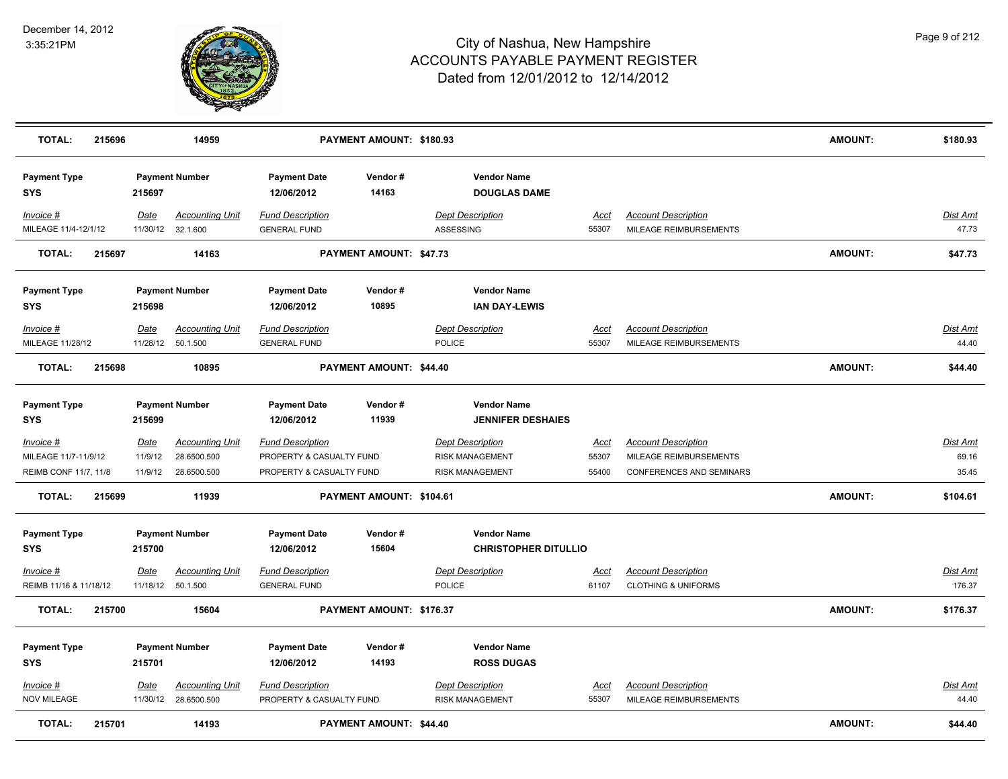

| <b>TOTAL:</b>                       | 215696 |                  | 14959                                        |                                                | PAYMENT AMOUNT: \$180.93       |                                                   |               |                                                              | <b>AMOUNT:</b> | \$180.93                  |
|-------------------------------------|--------|------------------|----------------------------------------------|------------------------------------------------|--------------------------------|---------------------------------------------------|---------------|--------------------------------------------------------------|----------------|---------------------------|
| <b>Payment Type</b><br><b>SYS</b>   |        | 215697           | <b>Payment Number</b>                        | <b>Payment Date</b><br>12/06/2012              | Vendor#<br>14163               | <b>Vendor Name</b><br><b>DOUGLAS DAME</b>         |               |                                                              |                |                           |
| Invoice #<br>MILEAGE 11/4-12/1/12   |        | Date<br>11/30/12 | <b>Accounting Unit</b><br>32.1.600           | <b>Fund Description</b><br><b>GENERAL FUND</b> |                                | <b>Dept Description</b><br>ASSESSING              | Acct<br>55307 | <b>Account Description</b><br>MILEAGE REIMBURSEMENTS         |                | Dist Amt<br>47.73         |
| <b>TOTAL:</b>                       | 215697 |                  | 14163                                        |                                                | PAYMENT AMOUNT: \$47.73        |                                                   |               |                                                              | <b>AMOUNT:</b> | \$47.73                   |
| <b>Payment Type</b><br>SYS          |        | 215698           | <b>Payment Number</b>                        | <b>Payment Date</b><br>12/06/2012              | Vendor#<br>10895               | <b>Vendor Name</b><br><b>IAN DAY-LEWIS</b>        |               |                                                              |                |                           |
| Invoice #<br>MILEAGE 11/28/12       |        | Date<br>11/28/12 | <b>Accounting Unit</b><br>50.1.500           | <b>Fund Description</b><br><b>GENERAL FUND</b> |                                | <b>Dept Description</b><br><b>POLICE</b>          | Acct<br>55307 | <b>Account Description</b><br>MILEAGE REIMBURSEMENTS         |                | Dist Amt<br>44.40         |
| <b>TOTAL:</b>                       | 215698 |                  | 10895                                        |                                                | PAYMENT AMOUNT: \$44.40        |                                                   |               |                                                              | <b>AMOUNT:</b> | \$44.40                   |
| <b>Payment Type</b><br>SYS          |        | 215699           | <b>Payment Number</b>                        | <b>Payment Date</b><br>12/06/2012              | Vendor#<br>11939               | <b>Vendor Name</b><br><b>JENNIFER DESHAIES</b>    |               |                                                              |                |                           |
| Invoice #                           |        | <b>Date</b>      | <b>Accounting Unit</b>                       | <b>Fund Description</b>                        |                                | <b>Dept Description</b>                           | <u>Acct</u>   | <b>Account Description</b>                                   |                | <b>Dist Amt</b>           |
| MILEAGE 11/7-11/9/12                |        | 11/9/12          | 28.6500.500                                  | PROPERTY & CASUALTY FUND                       |                                | <b>RISK MANAGEMENT</b>                            | 55307         | MILEAGE REIMBURSEMENTS                                       |                | 69.16                     |
| REIMB CONF 11/7, 11/8               |        | 11/9/12          | 28.6500.500                                  | PROPERTY & CASUALTY FUND                       |                                | <b>RISK MANAGEMENT</b>                            | 55400         | <b>CONFERENCES AND SEMINARS</b>                              |                | 35.45                     |
| <b>TOTAL:</b>                       | 215699 |                  | 11939                                        |                                                | PAYMENT AMOUNT: \$104.61       |                                                   |               |                                                              | <b>AMOUNT:</b> | \$104.61                  |
| <b>Payment Type</b><br><b>SYS</b>   |        | 215700           | <b>Payment Number</b>                        | <b>Payment Date</b><br>12/06/2012              | Vendor#<br>15604               | <b>Vendor Name</b><br><b>CHRISTOPHER DITULLIO</b> |               |                                                              |                |                           |
| Invoice #<br>REIMB 11/16 & 11/18/12 |        | Date             | <b>Accounting Unit</b><br>11/18/12  50.1.500 | <b>Fund Description</b><br><b>GENERAL FUND</b> |                                | <b>Dept Description</b><br>POLICE                 | Acct<br>61107 | <b>Account Description</b><br><b>CLOTHING &amp; UNIFORMS</b> |                | <b>Dist Amt</b><br>176.37 |
| <b>TOTAL:</b>                       | 215700 |                  | 15604                                        |                                                | PAYMENT AMOUNT: \$176.37       |                                                   |               |                                                              | <b>AMOUNT:</b> | \$176.37                  |
| <b>Payment Type</b><br><b>SYS</b>   |        | 215701           | <b>Payment Number</b>                        | <b>Payment Date</b><br>12/06/2012              | Vendor#<br>14193               | <b>Vendor Name</b><br><b>ROSS DUGAS</b>           |               |                                                              |                |                           |
| $Invoice$ #                         |        | Date             | <b>Accounting Unit</b>                       | <b>Fund Description</b>                        |                                | <b>Dept Description</b>                           | <u>Acct</u>   | <b>Account Description</b>                                   |                | <b>Dist Amt</b>           |
| <b>NOV MILEAGE</b>                  |        |                  | 11/30/12 28.6500.500                         | PROPERTY & CASUALTY FUND                       |                                | <b>RISK MANAGEMENT</b>                            | 55307         | MILEAGE REIMBURSEMENTS                                       |                | 44.40                     |
| <b>TOTAL:</b>                       | 215701 |                  | 14193                                        |                                                | <b>PAYMENT AMOUNT: \$44.40</b> |                                                   |               |                                                              | <b>AMOUNT:</b> | \$44.40                   |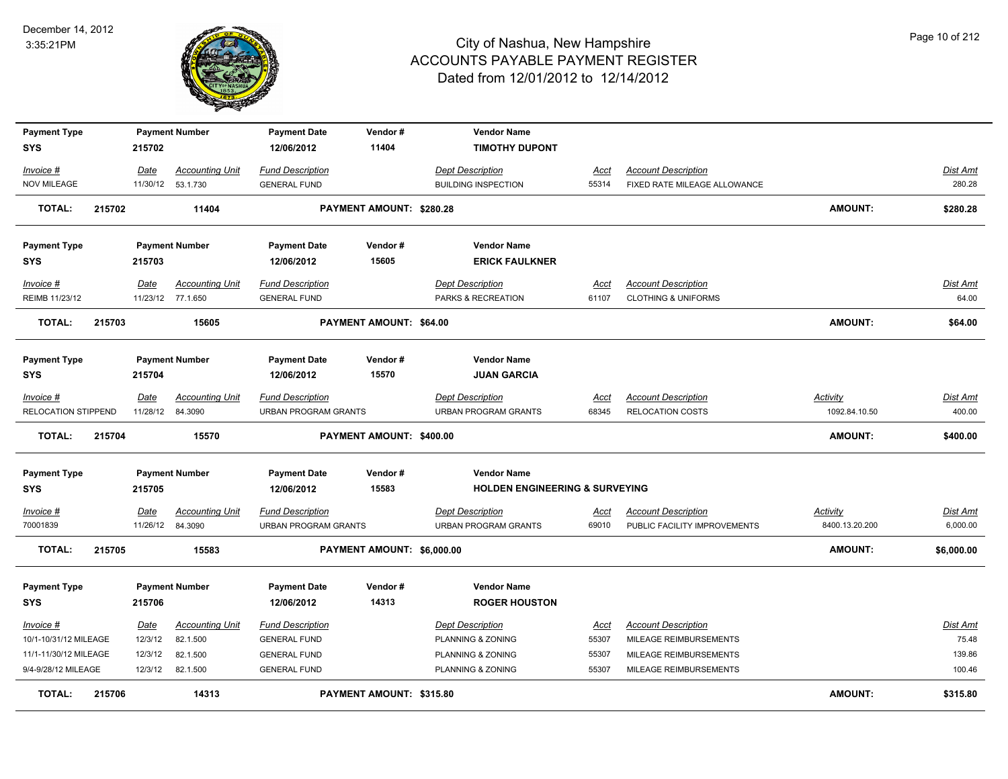

| <b>Payment Type</b>              |        |                          | <b>Payment Number</b>  | <b>Payment Date</b>                                    | Vendor#                    | <b>Vendor Name</b>                                     |               |                                                       |                                  |                           |
|----------------------------------|--------|--------------------------|------------------------|--------------------------------------------------------|----------------------------|--------------------------------------------------------|---------------|-------------------------------------------------------|----------------------------------|---------------------------|
| <b>SYS</b>                       |        | 215702                   |                        | 12/06/2012                                             | 11404                      | <b>TIMOTHY DUPONT</b>                                  |               |                                                       |                                  |                           |
| Invoice #                        |        | Date                     | <b>Accounting Unit</b> | <b>Fund Description</b>                                |                            | <b>Dept Description</b>                                | Acct          | <b>Account Description</b>                            |                                  | Dist Amt                  |
| <b>NOV MILEAGE</b>               |        |                          | 11/30/12  53.1.730     | <b>GENERAL FUND</b>                                    |                            | <b>BUILDING INSPECTION</b>                             | 55314         | FIXED RATE MILEAGE ALLOWANCE                          |                                  | 280.28                    |
| <b>TOTAL:</b>                    | 215702 |                          | 11404                  |                                                        | PAYMENT AMOUNT: \$280.28   |                                                        |               |                                                       | <b>AMOUNT:</b>                   | \$280.28                  |
| <b>Payment Type</b>              |        |                          | <b>Payment Number</b>  | <b>Payment Date</b>                                    | Vendor#                    | <b>Vendor Name</b>                                     |               |                                                       |                                  |                           |
| SYS                              |        | 215703                   |                        | 12/06/2012                                             | 15605                      | <b>ERICK FAULKNER</b>                                  |               |                                                       |                                  |                           |
| Invoice #                        |        | Date                     | <b>Accounting Unit</b> | <b>Fund Description</b>                                |                            | <b>Dept Description</b>                                | <u>Acct</u>   | <b>Account Description</b>                            |                                  | Dist Amt                  |
| REIMB 11/23/12                   |        |                          | 11/23/12 77.1.650      | <b>GENERAL FUND</b>                                    |                            | PARKS & RECREATION                                     | 61107         | <b>CLOTHING &amp; UNIFORMS</b>                        |                                  | 64.00                     |
| <b>TOTAL:</b>                    | 215703 |                          | 15605                  |                                                        | PAYMENT AMOUNT: \$64.00    |                                                        |               |                                                       | <b>AMOUNT:</b>                   | \$64.00                   |
| <b>Payment Type</b>              |        |                          | <b>Payment Number</b>  | <b>Payment Date</b>                                    | Vendor#                    | <b>Vendor Name</b>                                     |               |                                                       |                                  |                           |
| <b>SYS</b>                       |        | 215704                   |                        | 12/06/2012                                             | 15570                      | <b>JUAN GARCIA</b>                                     |               |                                                       |                                  |                           |
|                                  |        |                          |                        |                                                        |                            |                                                        |               |                                                       |                                  |                           |
| Invoice #<br>RELOCATION STIPPEND |        | Date<br>11/28/12 84.3090 | <b>Accounting Unit</b> | <b>Fund Description</b><br><b>URBAN PROGRAM GRANTS</b> |                            | <b>Dept Description</b><br><b>URBAN PROGRAM GRANTS</b> | Acct<br>68345 | <b>Account Description</b><br><b>RELOCATION COSTS</b> | <b>Activity</b><br>1092.84.10.50 | <u>Dist Amt</u><br>400.00 |
|                                  |        |                          |                        |                                                        |                            |                                                        |               |                                                       |                                  |                           |
| <b>TOTAL:</b>                    | 215704 |                          | 15570                  |                                                        | PAYMENT AMOUNT: \$400.00   |                                                        |               |                                                       | <b>AMOUNT:</b>                   | \$400.00                  |
| <b>Payment Type</b>              |        |                          | <b>Payment Number</b>  | <b>Payment Date</b>                                    | Vendor#<br>15583           | <b>Vendor Name</b>                                     |               |                                                       |                                  |                           |
| SYS                              |        | 215705                   |                        | 12/06/2012                                             |                            | <b>HOLDEN ENGINEERING &amp; SURVEYING</b>              |               |                                                       |                                  |                           |
| <u>Invoice #</u>                 |        | Date                     | <b>Accounting Unit</b> | <b>Fund Description</b>                                |                            | <b>Dept Description</b>                                | <u>Acct</u>   | <b>Account Description</b>                            | <b>Activity</b>                  | Dist Amt                  |
| 70001839                         |        | 11/26/12 84.3090         |                        | <b>URBAN PROGRAM GRANTS</b>                            |                            | <b>URBAN PROGRAM GRANTS</b>                            | 69010         | PUBLIC FACILITY IMPROVEMENTS                          | 8400.13.20.200                   | 6,000.00                  |
| <b>TOTAL:</b>                    | 215705 |                          | 15583                  |                                                        | PAYMENT AMOUNT: \$6,000.00 |                                                        |               |                                                       | <b>AMOUNT:</b>                   | \$6,000.00                |
| <b>Payment Type</b>              |        |                          | <b>Payment Number</b>  | <b>Payment Date</b>                                    | Vendor#                    | <b>Vendor Name</b>                                     |               |                                                       |                                  |                           |
| <b>SYS</b>                       |        | 215706                   |                        | 12/06/2012                                             | 14313                      | <b>ROGER HOUSTON</b>                                   |               |                                                       |                                  |                           |
| Invoice #                        |        | Date                     | <b>Accounting Unit</b> | <b>Fund Description</b>                                |                            | <b>Dept Description</b>                                | Acct          | <b>Account Description</b>                            |                                  | Dist Amt                  |
| 10/1-10/31/12 MILEAGE            |        | 12/3/12                  | 82.1.500               | <b>GENERAL FUND</b>                                    |                            | PLANNING & ZONING                                      | 55307         | MILEAGE REIMBURSEMENTS                                |                                  | 75.48                     |
| 11/1-11/30/12 MILEAGE            |        | 12/3/12                  | 82.1.500               | <b>GENERAL FUND</b>                                    |                            | PLANNING & ZONING                                      | 55307         | MILEAGE REIMBURSEMENTS                                |                                  | 139.86                    |
| 9/4-9/28/12 MILEAGE              |        | 12/3/12                  | 82.1.500               | <b>GENERAL FUND</b>                                    |                            | PLANNING & ZONING                                      | 55307         | MILEAGE REIMBURSEMENTS                                |                                  | 100.46                    |
| <b>TOTAL:</b>                    | 215706 |                          | 14313                  |                                                        | PAYMENT AMOUNT: \$315.80   |                                                        |               |                                                       | <b>AMOUNT:</b>                   | \$315.80                  |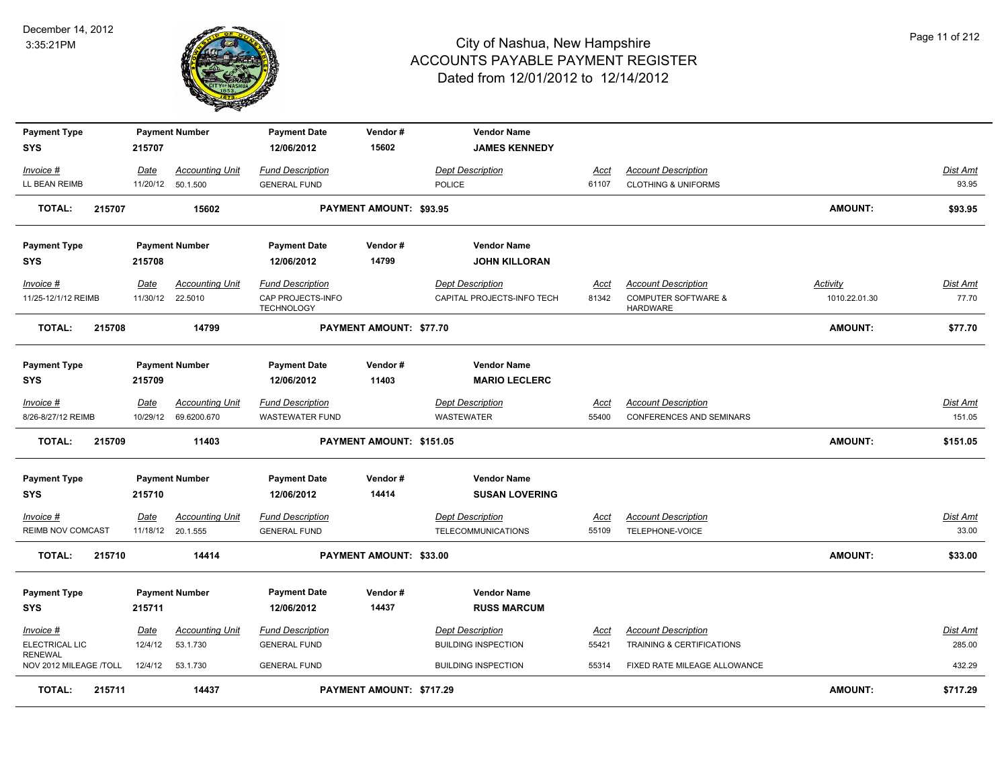

| <b>Payment Type</b><br><b>SYS</b>        |        | 215707   | <b>Payment Number</b>  | <b>Payment Date</b><br>12/06/2012      | Vendor#<br>15602               | <b>Vendor Name</b><br><b>JAMES KENNEDY</b>  |             |                                                   |                 |                 |
|------------------------------------------|--------|----------|------------------------|----------------------------------------|--------------------------------|---------------------------------------------|-------------|---------------------------------------------------|-----------------|-----------------|
| Invoice #                                |        | Date     | <b>Accounting Unit</b> | <b>Fund Description</b>                |                                | <b>Dept Description</b>                     | Acct        | <b>Account Description</b>                        |                 | Dist Amt        |
| LL BEAN REIMB                            |        |          | 11/20/12 50.1.500      | <b>GENERAL FUND</b>                    |                                | <b>POLICE</b>                               | 61107       | <b>CLOTHING &amp; UNIFORMS</b>                    |                 | 93.95           |
| <b>TOTAL:</b>                            | 215707 |          | 15602                  |                                        | PAYMENT AMOUNT: \$93.95        |                                             |             |                                                   | <b>AMOUNT:</b>  | \$93.95         |
| <b>Payment Type</b>                      |        |          | <b>Payment Number</b>  | <b>Payment Date</b>                    | Vendor#                        | <b>Vendor Name</b>                          |             |                                                   |                 |                 |
| <b>SYS</b>                               |        | 215708   |                        | 12/06/2012                             | 14799                          | <b>JOHN KILLORAN</b>                        |             |                                                   |                 |                 |
| Invoice #                                |        | Date     | <b>Accounting Unit</b> | <b>Fund Description</b>                |                                | <b>Dept Description</b>                     | Acct        | <b>Account Description</b>                        | <b>Activity</b> | <u>Dist Amt</u> |
| 11/25-12/1/12 REIMB                      |        | 11/30/12 | 22.5010                | CAP PROJECTS-INFO<br><b>TECHNOLOGY</b> |                                | CAPITAL PROJECTS-INFO TECH                  | 81342       | <b>COMPUTER SOFTWARE &amp;</b><br><b>HARDWARE</b> | 1010.22.01.30   | 77.70           |
| <b>TOTAL:</b>                            | 215708 |          | 14799                  |                                        | <b>PAYMENT AMOUNT: \$77.70</b> |                                             |             |                                                   | <b>AMOUNT:</b>  | \$77.70         |
| <b>Payment Type</b>                      |        |          | <b>Payment Number</b>  | <b>Payment Date</b>                    | Vendor#                        | <b>Vendor Name</b>                          |             |                                                   |                 |                 |
| <b>SYS</b>                               |        | 215709   |                        | 12/06/2012                             | 11403                          | <b>MARIO LECLERC</b>                        |             |                                                   |                 |                 |
| Invoice #                                |        | Date     | <b>Accounting Unit</b> | <b>Fund Description</b>                |                                | <b>Dept Description</b>                     | <b>Acct</b> | <b>Account Description</b>                        |                 | Dist Amt        |
| 8/26-8/27/12 REIMB                       |        | 10/29/12 | 69.6200.670            | <b>WASTEWATER FUND</b>                 |                                | WASTEWATER                                  | 55400       | CONFERENCES AND SEMINARS                          |                 | 151.05          |
| TOTAL:                                   | 215709 |          | 11403                  |                                        | PAYMENT AMOUNT: \$151.05       |                                             |             |                                                   | <b>AMOUNT:</b>  | \$151.05        |
| <b>Payment Type</b><br><b>SYS</b>        |        | 215710   | <b>Payment Number</b>  | <b>Payment Date</b><br>12/06/2012      | Vendor#<br>14414               | <b>Vendor Name</b><br><b>SUSAN LOVERING</b> |             |                                                   |                 |                 |
| Invoice #                                |        | Date     | <b>Accounting Unit</b> | <b>Fund Description</b>                |                                | <b>Dept Description</b>                     | Acct        | <b>Account Description</b>                        |                 | Dist Amt        |
| REIMB NOV COMCAST                        |        |          | 11/18/12 20.1.555      | <b>GENERAL FUND</b>                    |                                | <b>TELECOMMUNICATIONS</b>                   | 55109       | TELEPHONE-VOICE                                   |                 | 33.00           |
| <b>TOTAL:</b>                            | 215710 |          | 14414                  |                                        | PAYMENT AMOUNT: \$33.00        |                                             |             |                                                   | <b>AMOUNT:</b>  | \$33.00         |
| <b>Payment Type</b>                      |        |          | <b>Payment Number</b>  | <b>Payment Date</b>                    | Vendor#                        | <b>Vendor Name</b>                          |             |                                                   |                 |                 |
| <b>SYS</b>                               |        | 215711   |                        | 12/06/2012                             | 14437                          | <b>RUSS MARCUM</b>                          |             |                                                   |                 |                 |
| Invoice #                                |        | Date     | <b>Accounting Unit</b> | <b>Fund Description</b>                |                                | <b>Dept Description</b>                     | <u>Acct</u> | <b>Account Description</b>                        |                 | Dist Amt        |
| ELECTRICAL LIC                           |        | 12/4/12  | 53.1.730               | <b>GENERAL FUND</b>                    |                                | <b>BUILDING INSPECTION</b>                  | 55421       | <b>TRAINING &amp; CERTIFICATIONS</b>              |                 | 285.00          |
| <b>RENEWAL</b><br>NOV 2012 MILEAGE /TOLL |        | 12/4/12  | 53.1.730               | <b>GENERAL FUND</b>                    |                                | <b>BUILDING INSPECTION</b>                  | 55314       | FIXED RATE MILEAGE ALLOWANCE                      |                 | 432.29          |
| <b>TOTAL:</b>                            | 215711 |          | 14437                  |                                        | PAYMENT AMOUNT: \$717.29       |                                             |             |                                                   | AMOUNT:         | \$717.29        |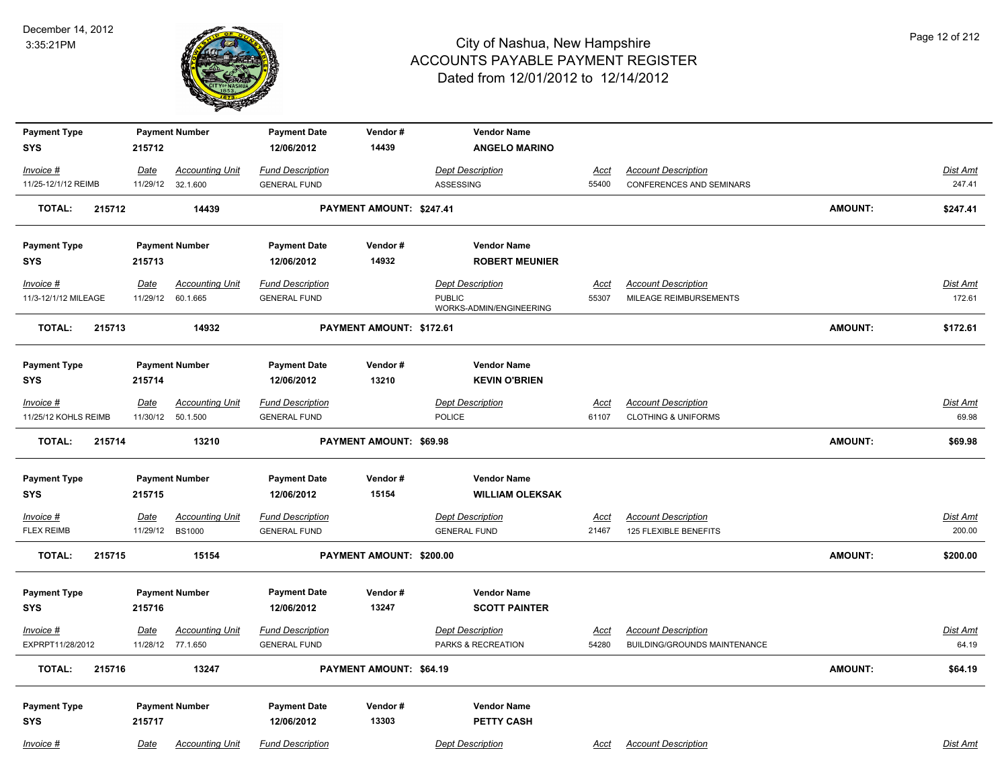

| <b>Payment Type</b>            | <b>Payment Number</b>                                              | <b>Payment Date</b>                            | Vendor#                  | <b>Vendor Name</b>                             |                      |                                                            |                |                    |
|--------------------------------|--------------------------------------------------------------------|------------------------------------------------|--------------------------|------------------------------------------------|----------------------|------------------------------------------------------------|----------------|--------------------|
| <b>SYS</b>                     | 215712                                                             | 12/06/2012                                     | 14439                    | <b>ANGELO MARINO</b>                           |                      |                                                            |                |                    |
| Invoice #                      | <b>Accounting Unit</b><br>Date                                     | <b>Fund Description</b>                        |                          | <b>Dept Description</b>                        | Acct                 | <b>Account Description</b>                                 |                | Dist Amt           |
| 11/25-12/1/12 REIMB            | 11/29/12<br>32.1.600                                               | <b>GENERAL FUND</b>                            |                          | ASSESSING                                      | 55400                | CONFERENCES AND SEMINARS                                   |                | 247.41             |
| 215712<br><b>TOTAL:</b>        | 14439                                                              |                                                | PAYMENT AMOUNT: \$247.41 |                                                |                      |                                                            | <b>AMOUNT:</b> | \$247.41           |
| <b>Payment Type</b>            | <b>Payment Number</b>                                              | <b>Payment Date</b>                            | Vendor#                  | <b>Vendor Name</b>                             |                      |                                                            |                |                    |
| <b>SYS</b>                     | 215713                                                             | 12/06/2012                                     | 14932                    | <b>ROBERT MEUNIER</b>                          |                      |                                                            |                |                    |
| Invoice #                      | <b>Accounting Unit</b><br>Date                                     | <b>Fund Description</b>                        |                          | <b>Dept Description</b>                        | Acct                 | <b>Account Description</b>                                 |                | <u>Dist Amt</u>    |
| 11/3-12/1/12 MILEAGE           | 60.1.665<br>11/29/12                                               | <b>GENERAL FUND</b>                            |                          | <b>PUBLIC</b>                                  | 55307                | MILEAGE REIMBURSEMENTS                                     |                | 172.61             |
|                                |                                                                    |                                                |                          | WORKS-ADMIN/ENGINEERING                        |                      |                                                            |                |                    |
| <b>TOTAL:</b><br>215713        | 14932                                                              |                                                | PAYMENT AMOUNT: \$172.61 |                                                |                      |                                                            | <b>AMOUNT:</b> | \$172.61           |
|                                |                                                                    |                                                |                          |                                                |                      |                                                            |                |                    |
| <b>Payment Type</b>            | <b>Payment Number</b>                                              | <b>Payment Date</b>                            | Vendor#                  | <b>Vendor Name</b>                             |                      |                                                            |                |                    |
| <b>SYS</b>                     | 215714                                                             | 12/06/2012                                     | 13210                    | <b>KEVIN O'BRIEN</b>                           |                      |                                                            |                |                    |
| $Invoice$ #                    | <b>Accounting Unit</b><br><b>Date</b>                              | <b>Fund Description</b>                        |                          | <b>Dept Description</b>                        | <u>Acct</u>          | <b>Account Description</b>                                 |                | <b>Dist Amt</b>    |
| 11/25/12 KOHLS REIMB           | 11/30/12 50.1.500                                                  | <b>GENERAL FUND</b>                            |                          | POLICE                                         | 61107                | <b>CLOTHING &amp; UNIFORMS</b>                             |                | 69.98              |
| 215714<br><b>TOTAL:</b>        | 13210                                                              |                                                | PAYMENT AMOUNT: \$69.98  |                                                |                      |                                                            | <b>AMOUNT:</b> | \$69.98            |
| <b>Payment Type</b>            | <b>Payment Number</b>                                              | <b>Payment Date</b>                            | Vendor#                  | <b>Vendor Name</b>                             |                      |                                                            |                |                    |
| <b>SYS</b>                     | 215715                                                             | 12/06/2012                                     | 15154                    | <b>WILLIAM OLEKSAK</b>                         |                      |                                                            |                |                    |
| Invoice #<br><b>FLEX REIMB</b> | <b>Accounting Unit</b><br><b>Date</b><br>11/29/12<br><b>BS1000</b> | <b>Fund Description</b><br><b>GENERAL FUND</b> |                          | <b>Dept Description</b><br><b>GENERAL FUND</b> | <u>Acct</u><br>21467 | <b>Account Description</b><br>125 FLEXIBLE BENEFITS        |                | Dist Amt<br>200.00 |
| <b>TOTAL:</b><br>215715        | 15154                                                              |                                                | PAYMENT AMOUNT: \$200.00 |                                                |                      |                                                            | <b>AMOUNT:</b> | \$200.00           |
| <b>Payment Type</b>            | <b>Payment Number</b>                                              | <b>Payment Date</b>                            | Vendor#                  | <b>Vendor Name</b>                             |                      |                                                            |                |                    |
| <b>SYS</b>                     | 215716                                                             | 12/06/2012                                     | 13247                    | <b>SCOTT PAINTER</b>                           |                      |                                                            |                |                    |
| Invoice #<br>EXPRPT11/28/2012  | <b>Accounting Unit</b><br><u>Date</u><br>11/28/12 77.1.650         | <b>Fund Description</b><br><b>GENERAL FUND</b> |                          | <b>Dept Description</b><br>PARKS & RECREATION  | <b>Acct</b><br>54280 | <b>Account Description</b><br>BUILDING/GROUNDS MAINTENANCE |                | Dist Amt<br>64.19  |
| <b>TOTAL:</b><br>215716        | 13247                                                              |                                                | PAYMENT AMOUNT: \$64.19  |                                                |                      |                                                            | <b>AMOUNT:</b> | \$64.19            |
|                                |                                                                    |                                                |                          |                                                |                      |                                                            |                |                    |
| <b>Payment Type</b>            | <b>Payment Number</b>                                              | <b>Payment Date</b>                            | Vendor#                  | <b>Vendor Name</b>                             |                      |                                                            |                |                    |
| <b>SYS</b>                     | 215717                                                             | 12/06/2012                                     | 13303                    | PETTY CASH                                     |                      |                                                            |                |                    |
| Invoice #                      | <b>Accounting Unit</b><br>Date                                     | <b>Fund Description</b>                        |                          | <b>Dept Description</b>                        | Acct                 | <b>Account Description</b>                                 |                | Dist Amt           |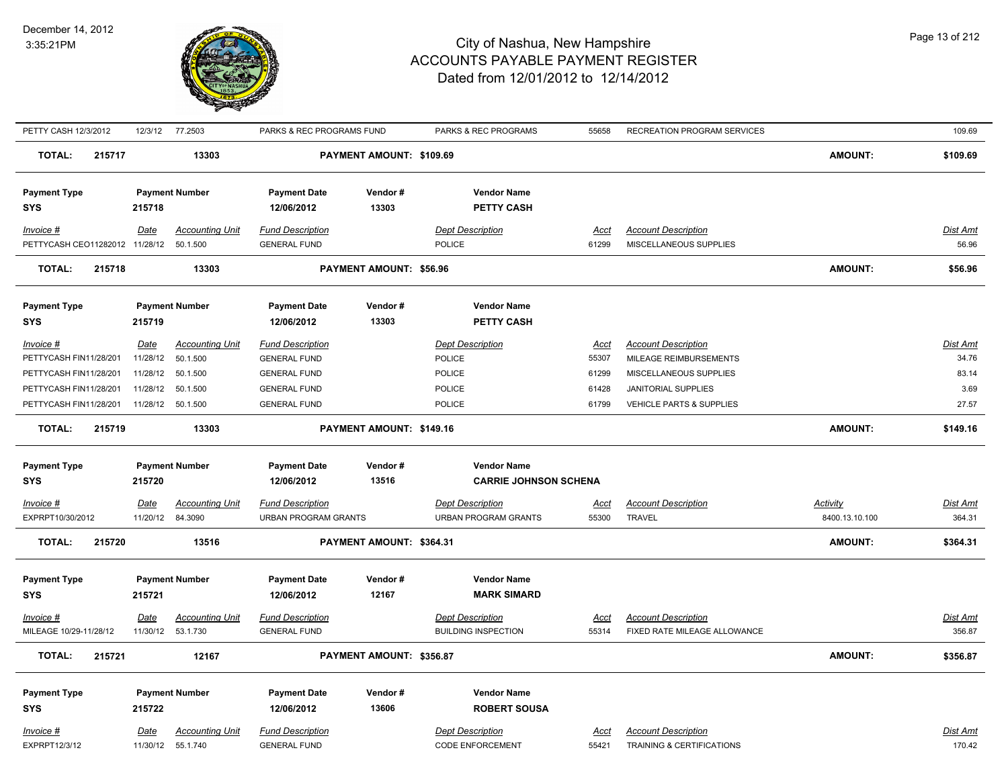

| PETTY CASH 12/3/2012           |                  | 12/3/12 77.2503                    | PARKS & REC PROGRAMS FUND                      |                          | PARKS & REC PROGRAMS                               | 55658                | RECREATION PROGRAM SERVICES                             |                 | 109.69             |
|--------------------------------|------------------|------------------------------------|------------------------------------------------|--------------------------|----------------------------------------------------|----------------------|---------------------------------------------------------|-----------------|--------------------|
| <b>TOTAL:</b><br>215717        |                  | 13303                              |                                                | PAYMENT AMOUNT: \$109.69 |                                                    |                      |                                                         | <b>AMOUNT:</b>  | \$109.69           |
| <b>Payment Type</b>            |                  | <b>Payment Number</b>              | <b>Payment Date</b>                            | Vendor#                  | <b>Vendor Name</b>                                 |                      |                                                         |                 |                    |
| <b>SYS</b>                     | 215718           |                                    | 12/06/2012                                     | 13303                    | PETTY CASH                                         |                      |                                                         |                 |                    |
|                                |                  |                                    |                                                |                          |                                                    |                      |                                                         |                 |                    |
| $Invoice$ #                    | Date             | <b>Accounting Unit</b>             | <b>Fund Description</b>                        |                          | Dept Description                                   | <u>Acct</u>          | <b>Account Description</b>                              |                 | <b>Dist Amt</b>    |
| PETTYCASH CEO11282012 11/28/12 |                  | 50.1.500                           | <b>GENERAL FUND</b>                            |                          | <b>POLICE</b>                                      | 61299                | MISCELLANEOUS SUPPLIES                                  |                 | 56.96              |
| <b>TOTAL:</b><br>215718        |                  | 13303                              |                                                | PAYMENT AMOUNT: \$56.96  |                                                    |                      |                                                         | <b>AMOUNT:</b>  | \$56.96            |
| <b>Payment Type</b>            |                  | <b>Payment Number</b>              | <b>Payment Date</b>                            | Vendor#                  | <b>Vendor Name</b>                                 |                      |                                                         |                 |                    |
| <b>SYS</b>                     | 215719           |                                    | 12/06/2012                                     | 13303                    | <b>PETTY CASH</b>                                  |                      |                                                         |                 |                    |
| Invoice #                      | Date             | <b>Accounting Unit</b>             | <b>Fund Description</b>                        |                          | <b>Dept Description</b>                            | <u>Acct</u>          | <b>Account Description</b>                              |                 | Dist Amt           |
| PETTYCASH FIN11/28/201         | 11/28/12         | 50.1.500                           | <b>GENERAL FUND</b>                            |                          | <b>POLICE</b>                                      | 55307                | MILEAGE REIMBURSEMENTS                                  |                 | 34.76              |
| PETTYCASH FIN11/28/201         | 11/28/12         | 50.1.500                           | <b>GENERAL FUND</b>                            |                          | <b>POLICE</b>                                      | 61299                | MISCELLANEOUS SUPPLIES                                  |                 | 83.14              |
| PETTYCASH FIN11/28/201         | 11/28/12         | 50.1.500                           | <b>GENERAL FUND</b>                            |                          | POLICE                                             | 61428                | JANITORIAL SUPPLIES                                     |                 | 3.69               |
| PETTYCASH FIN11/28/201         | 11/28/12         | 50.1.500                           | <b>GENERAL FUND</b>                            |                          | POLICE                                             | 61799                | VEHICLE PARTS & SUPPLIES                                |                 | 27.57              |
|                                |                  |                                    |                                                |                          |                                                    |                      |                                                         |                 |                    |
| <b>TOTAL:</b><br>215719        |                  | 13303                              |                                                | PAYMENT AMOUNT: \$149.16 |                                                    |                      |                                                         | AMOUNT:         | \$149.16           |
|                                |                  |                                    |                                                |                          |                                                    |                      |                                                         |                 |                    |
| <b>Payment Type</b>            |                  | <b>Payment Number</b>              | <b>Payment Date</b><br>12/06/2012              | Vendor#<br>13516         | <b>Vendor Name</b>                                 |                      |                                                         |                 |                    |
| <b>SYS</b>                     | 215720           |                                    |                                                |                          | <b>CARRIE JOHNSON SCHENA</b>                       |                      |                                                         |                 |                    |
| <b>Invoice #</b>               | <u>Date</u>      | <b>Accounting Unit</b>             | <b>Fund Description</b>                        |                          | <b>Dept Description</b>                            | <u>Acct</u>          | <b>Account Description</b>                              | <b>Activity</b> | <u>Dist Amt</u>    |
| EXPRPT10/30/2012               | 11/20/12         | 84.3090                            | URBAN PROGRAM GRANTS                           |                          | URBAN PROGRAM GRANTS                               | 55300                | <b>TRAVEL</b>                                           | 8400.13.10.100  | 364.31             |
| 215720<br><b>TOTAL:</b>        |                  | 13516                              |                                                | PAYMENT AMOUNT: \$364.31 |                                                    |                      |                                                         | <b>AMOUNT:</b>  | \$364.31           |
|                                |                  |                                    |                                                |                          |                                                    |                      |                                                         |                 |                    |
| <b>Payment Type</b>            |                  | <b>Payment Number</b>              | <b>Payment Date</b>                            | Vendor#                  | <b>Vendor Name</b>                                 |                      |                                                         |                 |                    |
| <b>SYS</b>                     | 215721           |                                    | 12/06/2012                                     | 12167                    | <b>MARK SIMARD</b>                                 |                      |                                                         |                 |                    |
| Invoice #                      | Date             | <b>Accounting Unit</b>             | <b>Fund Description</b>                        |                          | <b>Dept Description</b>                            | <u>Acct</u>          | <b>Account Description</b>                              |                 | <b>Dist Amt</b>    |
| MILEAGE 10/29-11/28/12         |                  | 11/30/12  53.1.730                 | <b>GENERAL FUND</b>                            |                          | <b>BUILDING INSPECTION</b>                         | 55314                | FIXED RATE MILEAGE ALLOWANCE                            |                 | 356.87             |
| <b>TOTAL:</b><br>215721        |                  | 12167                              |                                                | PAYMENT AMOUNT: \$356.87 |                                                    |                      |                                                         | <b>AMOUNT:</b>  | \$356.87           |
| <b>Payment Type</b>            |                  | <b>Payment Number</b>              | <b>Payment Date</b>                            | Vendor#                  | <b>Vendor Name</b>                                 |                      |                                                         |                 |                    |
| <b>SYS</b>                     | 215722           |                                    | 12/06/2012                                     | 13606                    | <b>ROBERT SOUSA</b>                                |                      |                                                         |                 |                    |
|                                |                  |                                    |                                                |                          |                                                    |                      |                                                         |                 |                    |
| $Invoice$ #<br>EXPRPT12/3/12   | Date<br>11/30/12 | <b>Accounting Unit</b><br>55.1.740 | <b>Fund Description</b><br><b>GENERAL FUND</b> |                          | <b>Dept Description</b><br><b>CODE ENFORCEMENT</b> | <u>Acct</u><br>55421 | <b>Account Description</b><br>TRAINING & CERTIFICATIONS |                 | Dist Amt<br>170.42 |
|                                |                  |                                    |                                                |                          |                                                    |                      |                                                         |                 |                    |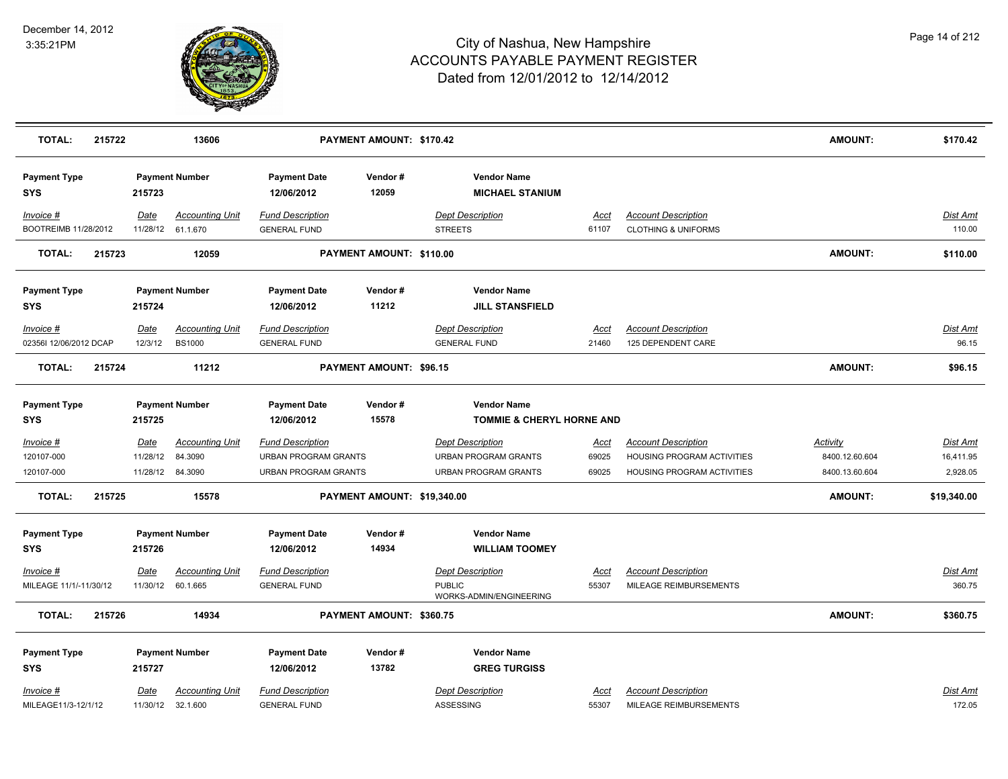

| <b>TOTAL:</b><br>215722                        |                         | 13606                                                 |                                                                                       | PAYMENT AMOUNT: \$170.42    |                                                                                |                               |                                                                                        | <b>AMOUNT:</b>                                      | \$170.42                                 |
|------------------------------------------------|-------------------------|-------------------------------------------------------|---------------------------------------------------------------------------------------|-----------------------------|--------------------------------------------------------------------------------|-------------------------------|----------------------------------------------------------------------------------------|-----------------------------------------------------|------------------------------------------|
| <b>Payment Type</b><br><b>SYS</b>              | 215723                  | <b>Payment Number</b>                                 | <b>Payment Date</b><br>12/06/2012                                                     | Vendor#<br>12059            | <b>Vendor Name</b><br><b>MICHAEL STANIUM</b>                                   |                               |                                                                                        |                                                     |                                          |
| Invoice #<br>BOOTREIMB 11/28/2012              | Date                    | <b>Accounting Unit</b><br>11/28/12 61.1.670           | <b>Fund Description</b><br><b>GENERAL FUND</b>                                        |                             | <b>Dept Description</b><br><b>STREETS</b>                                      | Acct<br>61107                 | <b>Account Description</b><br><b>CLOTHING &amp; UNIFORMS</b>                           |                                                     | <u>Dist Amt</u><br>110.00                |
| <b>TOTAL:</b><br>215723                        |                         | 12059                                                 |                                                                                       | PAYMENT AMOUNT: \$110.00    |                                                                                |                               |                                                                                        | <b>AMOUNT:</b>                                      | \$110.00                                 |
| <b>Payment Type</b><br><b>SYS</b>              | 215724                  | <b>Payment Number</b>                                 | <b>Payment Date</b><br>12/06/2012                                                     | Vendor#<br>11212            | <b>Vendor Name</b><br><b>JILL STANSFIELD</b>                                   |                               |                                                                                        |                                                     |                                          |
| Invoice #<br>02356I 12/06/2012 DCAP            | Date<br>12/3/12         | <b>Accounting Unit</b><br><b>BS1000</b>               | <b>Fund Description</b><br><b>GENERAL FUND</b>                                        |                             | <b>Dept Description</b><br><b>GENERAL FUND</b>                                 | Acct<br>21460                 | <b>Account Description</b><br>125 DEPENDENT CARE                                       |                                                     | Dist Amt<br>96.15                        |
| 215724<br><b>TOTAL:</b>                        |                         | 11212                                                 |                                                                                       | PAYMENT AMOUNT: \$96.15     |                                                                                |                               |                                                                                        | <b>AMOUNT:</b>                                      | \$96.15                                  |
| <b>Payment Type</b><br><b>SYS</b>              | 215725                  | <b>Payment Number</b>                                 | <b>Payment Date</b><br>12/06/2012                                                     | Vendor#<br>15578            | <b>Vendor Name</b><br>TOMMIE & CHERYL HORNE AND                                |                               |                                                                                        |                                                     |                                          |
| Invoice #<br>120107-000<br>120107-000          | <b>Date</b><br>11/28/12 | <b>Accounting Unit</b><br>84.3090<br>11/28/12 84.3090 | <b>Fund Description</b><br><b>URBAN PROGRAM GRANTS</b><br><b>URBAN PROGRAM GRANTS</b> |                             | <b>Dept Description</b><br><b>URBAN PROGRAM GRANTS</b><br>URBAN PROGRAM GRANTS | <u>Acct</u><br>69025<br>69025 | <b>Account Description</b><br>HOUSING PROGRAM ACTIVITIES<br>HOUSING PROGRAM ACTIVITIES | <b>Activity</b><br>8400.12.60.604<br>8400.13.60.604 | <b>Dist Amt</b><br>16,411.95<br>2,928.05 |
| <b>TOTAL:</b><br>215725                        |                         | 15578                                                 |                                                                                       | PAYMENT AMOUNT: \$19,340.00 |                                                                                |                               |                                                                                        | AMOUNT:                                             | \$19,340.00                              |
| <b>Payment Type</b><br><b>SYS</b><br>Invoice # | 215726<br>Date          | <b>Payment Number</b><br><b>Accounting Unit</b>       | <b>Payment Date</b><br>12/06/2012<br><b>Fund Description</b>                          | Vendor#<br>14934            | <b>Vendor Name</b><br><b>WILLIAM TOOMEY</b><br><b>Dept Description</b>         | Acct                          | <b>Account Description</b>                                                             |                                                     | Dist Amt                                 |
| MILEAGE 11/1/-11/30/12                         |                         | 11/30/12 60.1.665                                     | <b>GENERAL FUND</b>                                                                   |                             | <b>PUBLIC</b><br>WORKS-ADMIN/ENGINEERING                                       | 55307                         | MILEAGE REIMBURSEMENTS                                                                 |                                                     | 360.75                                   |
| <b>TOTAL:</b><br>215726                        |                         | 14934                                                 |                                                                                       | PAYMENT AMOUNT: \$360.75    |                                                                                |                               |                                                                                        | <b>AMOUNT:</b>                                      | \$360.75                                 |
| <b>Payment Type</b><br><b>SYS</b>              | 215727                  | <b>Payment Number</b>                                 | <b>Payment Date</b><br>12/06/2012                                                     | Vendor#<br>13782            | <b>Vendor Name</b><br><b>GREG TURGISS</b>                                      |                               |                                                                                        |                                                     |                                          |
| Invoice #<br>MILEAGE11/3-12/1/12               | <u>Date</u>             | <b>Accounting Unit</b><br>11/30/12 32.1.600           | <b>Fund Description</b><br><b>GENERAL FUND</b>                                        |                             | <b>Dept Description</b><br>ASSESSING                                           | Acct<br>55307                 | <b>Account Description</b><br>MILEAGE REIMBURSEMENTS                                   |                                                     | Dist Amt<br>172.05                       |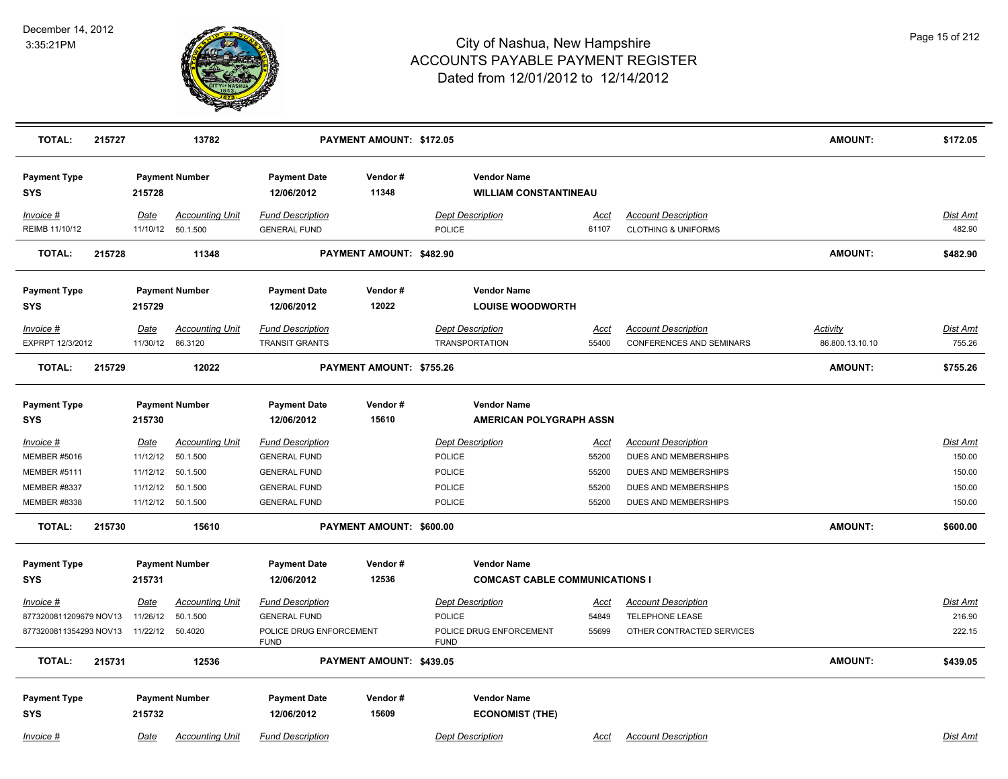

| <b>TOTAL:</b>                     | 215727 |                  | 13782                                        |                                                | PAYMENT AMOUNT: \$172.05 |                                                    |                      |                                                              | AMOUNT:         | \$172.05           |
|-----------------------------------|--------|------------------|----------------------------------------------|------------------------------------------------|--------------------------|----------------------------------------------------|----------------------|--------------------------------------------------------------|-----------------|--------------------|
| <b>Payment Type</b><br><b>SYS</b> |        | 215728           | <b>Payment Number</b>                        | <b>Payment Date</b><br>12/06/2012              | Vendor#<br>11348         | <b>Vendor Name</b><br><b>WILLIAM CONSTANTINEAU</b> |                      |                                                              |                 |                    |
| Invoice #<br>REIMB 11/10/12       |        | Date             | <b>Accounting Unit</b><br>11/10/12  50.1.500 | <b>Fund Description</b><br><b>GENERAL FUND</b> |                          | <b>Dept Description</b><br><b>POLICE</b>           | <u>Acct</u><br>61107 | <b>Account Description</b><br><b>CLOTHING &amp; UNIFORMS</b> |                 | Dist Amt<br>482.90 |
| <b>TOTAL:</b>                     | 215728 |                  | 11348                                        |                                                | PAYMENT AMOUNT: \$482.90 |                                                    |                      |                                                              | <b>AMOUNT:</b>  | \$482.90           |
| <b>Payment Type</b><br>SYS        |        | 215729           | <b>Payment Number</b>                        | <b>Payment Date</b><br>12/06/2012              | Vendor#<br>12022         | <b>Vendor Name</b><br><b>LOUISE WOODWORTH</b>      |                      |                                                              |                 |                    |
| Invoice #                         |        | Date             | <b>Accounting Unit</b>                       | <b>Fund Description</b>                        |                          | <b>Dept Description</b>                            | Acct                 | <b>Account Description</b>                                   | <b>Activity</b> | Dist Amt           |
| EXPRPT 12/3/2012                  |        |                  | 11/30/12 86.3120                             | <b>TRANSIT GRANTS</b>                          |                          | <b>TRANSPORTATION</b>                              | 55400                | <b>CONFERENCES AND SEMINARS</b>                              | 86.800.13.10.10 | 755.26             |
| <b>TOTAL:</b>                     | 215729 |                  | 12022                                        |                                                | PAYMENT AMOUNT: \$755.26 |                                                    |                      |                                                              | AMOUNT:         | \$755.26           |
| <b>Payment Type</b>               |        |                  | <b>Payment Number</b>                        | <b>Payment Date</b>                            | Vendor#                  | <b>Vendor Name</b>                                 |                      |                                                              |                 |                    |
| <b>SYS</b>                        |        | 215730           |                                              | 12/06/2012                                     | 15610                    | <b>AMERICAN POLYGRAPH ASSN</b>                     |                      |                                                              |                 |                    |
| <u>Invoice #</u>                  |        | <b>Date</b>      | <b>Accounting Unit</b>                       | <b>Fund Description</b>                        |                          | <b>Dept Description</b>                            | <u>Acct</u>          | <b>Account Description</b>                                   |                 | <b>Dist Amt</b>    |
| <b>MEMBER #5016</b>               |        | 11/12/12         | 50.1.500                                     | <b>GENERAL FUND</b>                            |                          | <b>POLICE</b>                                      | 55200                | DUES AND MEMBERSHIPS                                         |                 | 150.00             |
| <b>MEMBER #5111</b>               |        | 11/12/12         | 50.1.500                                     | <b>GENERAL FUND</b>                            |                          | <b>POLICE</b>                                      | 55200                | DUES AND MEMBERSHIPS                                         |                 | 150.00             |
| MEMBER #8337                      |        | 11/12/12         | 50.1.500                                     | <b>GENERAL FUND</b>                            |                          | <b>POLICE</b>                                      | 55200                | DUES AND MEMBERSHIPS                                         |                 | 150.00             |
| <b>MEMBER #8338</b>               |        |                  | 11/12/12 50.1.500                            | <b>GENERAL FUND</b>                            |                          | <b>POLICE</b>                                      | 55200                | DUES AND MEMBERSHIPS                                         |                 | 150.00             |
| <b>TOTAL:</b>                     | 215730 |                  | 15610                                        |                                                | PAYMENT AMOUNT: \$600.00 |                                                    |                      |                                                              | <b>AMOUNT:</b>  | \$600.00           |
| <b>Payment Type</b>               |        |                  | <b>Payment Number</b>                        | <b>Payment Date</b>                            | Vendor#                  | <b>Vendor Name</b>                                 |                      |                                                              |                 |                    |
| <b>SYS</b>                        |        | 215731           |                                              | 12/06/2012                                     | 12536                    | <b>COMCAST CABLE COMMUNICATIONS I</b>              |                      |                                                              |                 |                    |
| Invoice #                         |        | Date             | <b>Accounting Unit</b>                       | <b>Fund Description</b>                        |                          | <b>Dept Description</b>                            | Acct                 | <b>Account Description</b>                                   |                 | <b>Dist Amt</b>    |
| 8773200811209679 NOV13            |        | 11/26/12         | 50.1.500                                     | <b>GENERAL FUND</b>                            |                          | POLICE                                             | 54849                | TELEPHONE LEASE                                              |                 | 216.90             |
| 8773200811354293 NOV13            |        | 11/22/12 50.4020 |                                              | POLICE DRUG ENFORCEMENT<br><b>FUND</b>         |                          | POLICE DRUG ENFORCEMENT<br><b>FUND</b>             | 55699                | OTHER CONTRACTED SERVICES                                    |                 | 222.15             |
| <b>TOTAL:</b>                     | 215731 |                  | 12536                                        |                                                | PAYMENT AMOUNT: \$439.05 |                                                    |                      |                                                              | <b>AMOUNT:</b>  | \$439.05           |
| <b>Payment Type</b>               |        |                  | <b>Payment Number</b>                        | <b>Payment Date</b>                            | Vendor#                  | <b>Vendor Name</b>                                 |                      |                                                              |                 |                    |
| <b>SYS</b>                        |        | 215732           |                                              | 12/06/2012                                     | 15609                    | <b>ECONOMIST (THE)</b>                             |                      |                                                              |                 |                    |
| Invoice #                         |        | Date             | <b>Accounting Unit</b>                       | <b>Fund Description</b>                        |                          | <b>Dept Description</b>                            | <u>Acct</u>          | <b>Account Description</b>                                   |                 | <b>Dist Amt</b>    |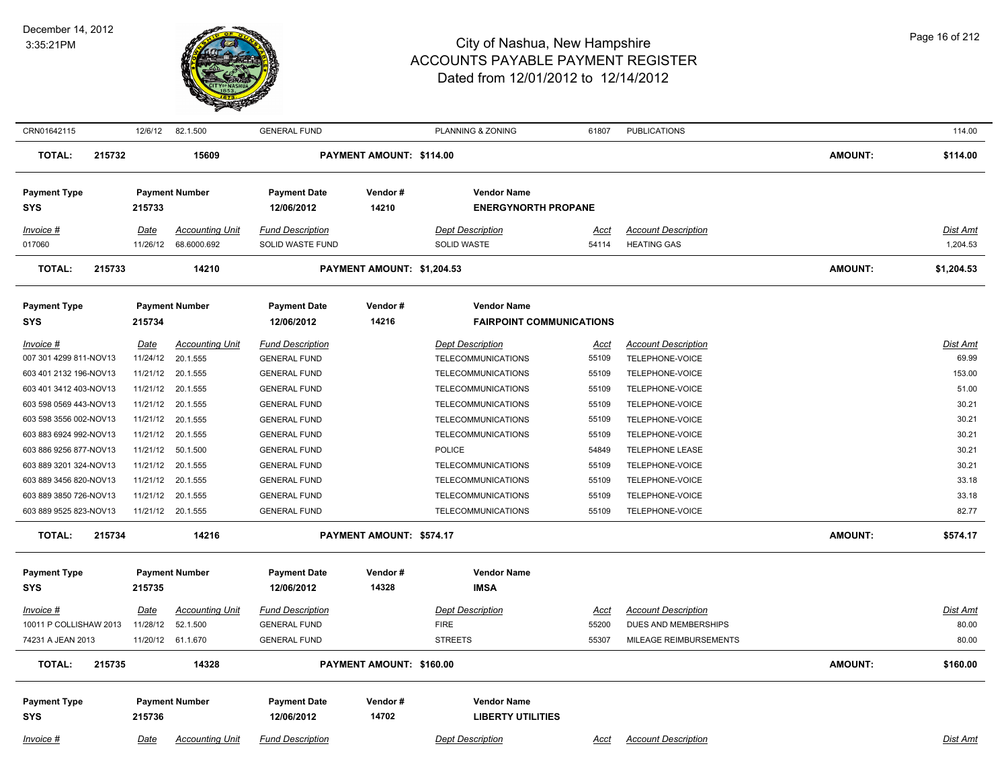

| CRN01642115             | 12/6/12  | 82.1.500               | <b>GENERAL FUND</b>     |                            | PLANNING & ZONING               | 61807       | <b>PUBLICATIONS</b>        |                | 114.00          |
|-------------------------|----------|------------------------|-------------------------|----------------------------|---------------------------------|-------------|----------------------------|----------------|-----------------|
| <b>TOTAL:</b><br>215732 |          | 15609                  |                         | PAYMENT AMOUNT: \$114.00   |                                 |             |                            | AMOUNT:        | \$114.00        |
| <b>Payment Type</b>     |          | <b>Payment Number</b>  | <b>Payment Date</b>     | Vendor#                    | <b>Vendor Name</b>              |             |                            |                |                 |
| <b>SYS</b>              | 215733   |                        | 12/06/2012              | 14210                      | <b>ENERGYNORTH PROPANE</b>      |             |                            |                |                 |
| Invoice #               | Date     | <b>Accounting Unit</b> | <b>Fund Description</b> |                            | <b>Dept Description</b>         | Acct        | <b>Account Description</b> |                | <b>Dist Amt</b> |
| 017060                  | 11/26/12 | 68.6000.692            | <b>SOLID WASTE FUND</b> |                            | <b>SOLID WASTE</b>              | 54114       | <b>HEATING GAS</b>         |                | 1,204.53        |
| <b>TOTAL:</b><br>215733 |          | 14210                  |                         | PAYMENT AMOUNT: \$1,204.53 |                                 |             |                            | AMOUNT:        | \$1,204.53      |
| <b>Payment Type</b>     |          | <b>Payment Number</b>  | <b>Payment Date</b>     | Vendor#                    | <b>Vendor Name</b>              |             |                            |                |                 |
| SYS                     | 215734   |                        | 12/06/2012              | 14216                      | <b>FAIRPOINT COMMUNICATIONS</b> |             |                            |                |                 |
| Invoice #               | Date     | <b>Accounting Unit</b> | <b>Fund Description</b> |                            | <b>Dept Description</b>         | <u>Acct</u> | <b>Account Description</b> |                | Dist Amt        |
| 007 301 4299 811-NOV13  |          | 11/24/12 20.1.555      | <b>GENERAL FUND</b>     |                            | <b>TELECOMMUNICATIONS</b>       | 55109       | TELEPHONE-VOICE            |                | 69.99           |
| 603 401 2132 196-NOV13  |          | 11/21/12 20.1.555      | <b>GENERAL FUND</b>     |                            | <b>TELECOMMUNICATIONS</b>       | 55109       | TELEPHONE-VOICE            |                | 153.00          |
| 603 401 3412 403-NOV13  | 11/21/12 | 20.1.555               | <b>GENERAL FUND</b>     |                            | <b>TELECOMMUNICATIONS</b>       | 55109       | TELEPHONE-VOICE            |                | 51.00           |
| 603 598 0569 443-NOV13  | 11/21/12 | 20.1.555               | <b>GENERAL FUND</b>     |                            | <b>TELECOMMUNICATIONS</b>       | 55109       | TELEPHONE-VOICE            |                | 30.21           |
| 603 598 3556 002-NOV13  |          | 11/21/12 20.1.555      | <b>GENERAL FUND</b>     |                            | <b>TELECOMMUNICATIONS</b>       | 55109       | TELEPHONE-VOICE            |                | 30.21           |
| 603 883 6924 992-NOV13  |          | 11/21/12 20.1.555      | <b>GENERAL FUND</b>     |                            | <b>TELECOMMUNICATIONS</b>       | 55109       | TELEPHONE-VOICE            |                | 30.21           |
| 603 886 9256 877-NOV13  | 11/21/12 | 50.1.500               | <b>GENERAL FUND</b>     |                            | <b>POLICE</b>                   | 54849       | TELEPHONE LEASE            |                | 30.21           |
| 603 889 3201 324-NOV13  | 11/21/12 | 20.1.555               | <b>GENERAL FUND</b>     |                            | <b>TELECOMMUNICATIONS</b>       | 55109       | TELEPHONE-VOICE            |                | 30.21           |
| 603 889 3456 820-NOV13  | 11/21/12 | 20.1.555               | <b>GENERAL FUND</b>     |                            | <b>TELECOMMUNICATIONS</b>       | 55109       | TELEPHONE-VOICE            |                | 33.18           |
| 603 889 3850 726-NOV13  |          | 11/21/12 20.1.555      | <b>GENERAL FUND</b>     |                            | <b>TELECOMMUNICATIONS</b>       | 55109       | TELEPHONE-VOICE            |                | 33.18           |
| 603 889 9525 823-NOV13  |          | 11/21/12 20.1.555      | <b>GENERAL FUND</b>     |                            | <b>TELECOMMUNICATIONS</b>       | 55109       | TELEPHONE-VOICE            |                | 82.77           |
| <b>TOTAL:</b><br>215734 |          | 14216                  |                         | PAYMENT AMOUNT: \$574.17   |                                 |             |                            | AMOUNT:        | \$574.17        |
| <b>Payment Type</b>     |          | <b>Payment Number</b>  | <b>Payment Date</b>     | Vendor#                    | <b>Vendor Name</b>              |             |                            |                |                 |
| <b>SYS</b>              | 215735   |                        | 12/06/2012              | 14328                      | <b>IMSA</b>                     |             |                            |                |                 |
| <u>Invoice #</u>        | Date     | <b>Accounting Unit</b> | <b>Fund Description</b> |                            | <b>Dept Description</b>         | <u>Acct</u> | <b>Account Description</b> |                | <b>Dist Amt</b> |
| 10011 P COLLISHAW 2013  | 11/28/12 | 52.1.500               | <b>GENERAL FUND</b>     |                            | <b>FIRE</b>                     | 55200       | DUES AND MEMBERSHIPS       |                | 80.00           |
| 74231 A JEAN 2013       |          | 11/20/12 61.1.670      | <b>GENERAL FUND</b>     |                            | <b>STREETS</b>                  | 55307       | MILEAGE REIMBURSEMENTS     |                | 80.00           |
| <b>TOTAL:</b><br>215735 |          | 14328                  |                         | PAYMENT AMOUNT: \$160.00   |                                 |             |                            | <b>AMOUNT:</b> | \$160.00        |
| <b>Payment Type</b>     |          | <b>Payment Number</b>  | <b>Payment Date</b>     | Vendor#                    | <b>Vendor Name</b>              |             |                            |                |                 |
| <b>SYS</b>              | 215736   |                        | 12/06/2012              | 14702                      | <b>LIBERTY UTILITIES</b>        |             |                            |                |                 |
| Invoice #               | Date     | <b>Accounting Unit</b> | <b>Fund Description</b> |                            | <b>Dept Description</b>         | Acct        | <b>Account Description</b> |                | <b>Dist Amt</b> |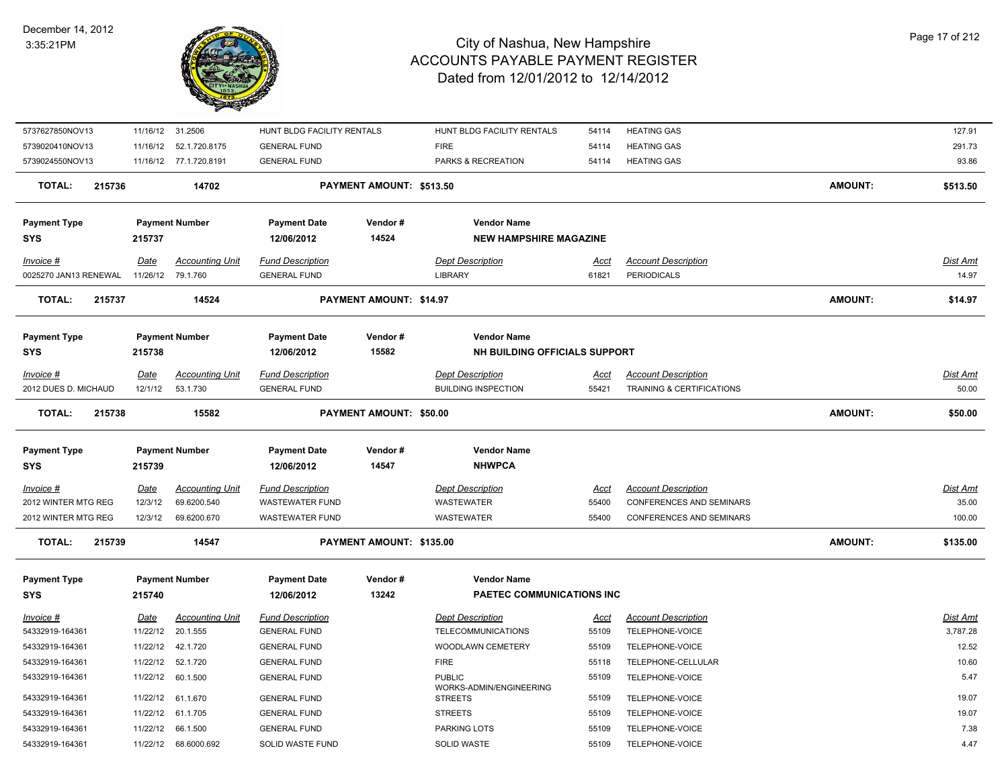

| 5737627850NOV13         |             | 11/16/12 31.2506        | HUNT BLDG FACILITY RENTALS |                                | HUNT BLDG FACILITY RENTALS                | 54114       | <b>HEATING GAS</b>         |                | 127.91          |
|-------------------------|-------------|-------------------------|----------------------------|--------------------------------|-------------------------------------------|-------------|----------------------------|----------------|-----------------|
| 5739020410NOV13         |             | 11/16/12  52.1.720.8175 | <b>GENERAL FUND</b>        |                                | <b>FIRE</b>                               | 54114       | <b>HEATING GAS</b>         |                | 291.73          |
| 5739024550NOV13         |             | 11/16/12 77.1.720.8191  | <b>GENERAL FUND</b>        |                                | PARKS & RECREATION                        | 54114       | <b>HEATING GAS</b>         |                | 93.86           |
| <b>TOTAL:</b><br>215736 |             | 14702                   |                            | PAYMENT AMOUNT: \$513.50       |                                           |             |                            | <b>AMOUNT:</b> | \$513.50        |
| <b>Payment Type</b>     |             | <b>Payment Number</b>   | <b>Payment Date</b>        | Vendor#                        | <b>Vendor Name</b>                        |             |                            |                |                 |
| <b>SYS</b>              | 215737      |                         | 12/06/2012                 | 14524                          | <b>NEW HAMPSHIRE MAGAZINE</b>             |             |                            |                |                 |
| Invoice #               | Date        | <b>Accounting Unit</b>  | <b>Fund Description</b>    |                                | <b>Dept Description</b>                   | <u>Acct</u> | <b>Account Description</b> |                | Dist Amt        |
| 0025270 JAN13 RENEWAL   | 11/26/12    | 79.1.760                | <b>GENERAL FUND</b>        |                                | <b>LIBRARY</b>                            | 61821       | <b>PERIODICALS</b>         |                | 14.97           |
| <b>TOTAL:</b><br>215737 |             | 14524                   |                            | PAYMENT AMOUNT: \$14.97        |                                           |             |                            | AMOUNT:        | \$14.97         |
| <b>Payment Type</b>     |             | <b>Payment Number</b>   | <b>Payment Date</b>        | Vendor#                        | <b>Vendor Name</b>                        |             |                            |                |                 |
| <b>SYS</b>              | 215738      |                         | 12/06/2012                 | 15582                          | NH BUILDING OFFICIALS SUPPORT             |             |                            |                |                 |
| Invoice #               | Date        | <b>Accounting Unit</b>  | <b>Fund Description</b>    |                                | <b>Dept Description</b>                   | Acct        | <b>Account Description</b> |                | Dist Amt        |
| 2012 DUES D. MICHAUD    | 12/1/12     | 53.1.730                | <b>GENERAL FUND</b>        |                                | <b>BUILDING INSPECTION</b>                | 55421       | TRAINING & CERTIFICATIONS  |                | 50.00           |
| <b>TOTAL:</b><br>215738 |             | 15582                   |                            | <b>PAYMENT AMOUNT: \$50.00</b> |                                           |             |                            | <b>AMOUNT:</b> | \$50.00         |
| <b>Payment Type</b>     |             | <b>Payment Number</b>   | <b>Payment Date</b>        | Vendor#                        | <b>Vendor Name</b>                        |             |                            |                |                 |
| <b>SYS</b>              | 215739      |                         | 12/06/2012                 | 14547                          | <b>NHWPCA</b>                             |             |                            |                |                 |
| <b>Invoice #</b>        | <u>Date</u> | <b>Accounting Unit</b>  | <b>Fund Description</b>    |                                | <b>Dept Description</b>                   | <u>Acct</u> | <b>Account Description</b> |                | <u>Dist Ami</u> |
| 2012 WINTER MTG REG     | 12/3/12     | 69.6200.540             | <b>WASTEWATER FUND</b>     |                                | <b>WASTEWATER</b>                         | 55400       | CONFERENCES AND SEMINARS   |                | 35.00           |
| 2012 WINTER MTG REG     | 12/3/12     | 69.6200.670             | <b>WASTEWATER FUND</b>     |                                | <b>WASTEWATER</b>                         | 55400       | CONFERENCES AND SEMINARS   |                | 100.00          |
| <b>TOTAL:</b><br>215739 |             | 14547                   |                            | PAYMENT AMOUNT: \$135.00       |                                           |             |                            | <b>AMOUNT:</b> | \$135.00        |
| <b>Payment Type</b>     |             | <b>Payment Number</b>   | <b>Payment Date</b>        | Vendor#                        | <b>Vendor Name</b>                        |             |                            |                |                 |
| <b>SYS</b>              | 215740      |                         | 12/06/2012                 | 13242                          | PAETEC COMMUNICATIONS INC                 |             |                            |                |                 |
| <u>Invoice #</u>        | <u>Date</u> | <b>Accounting Unit</b>  | <b>Fund Description</b>    |                                | <b>Dept Description</b>                   | <u>Acct</u> | <b>Account Description</b> |                | Dist Amt        |
| 54332919-164361         | 11/22/12    | 20.1.555                | <b>GENERAL FUND</b>        |                                | TELECOMMUNICATIONS                        | 55109       | TELEPHONE-VOICE            |                | 3,787.28        |
| 54332919-164361         | 11/22/12    | 42.1.720                | <b>GENERAL FUND</b>        |                                | WOODLAWN CEMETERY                         | 55109       | TELEPHONE-VOICE            |                | 12.52           |
| 54332919-164361         | 11/22/12    | 52.1.720                | <b>GENERAL FUND</b>        |                                | <b>FIRE</b>                               | 55118       | TELEPHONE-CELLULAR         |                | 10.60           |
| 54332919-164361         | 11/22/12    | 60.1.500                | <b>GENERAL FUND</b>        |                                | <b>PUBLIC</b>                             | 55109       | TELEPHONE-VOICE            |                | 5.47            |
| 54332919-164361         | 11/22/12    | 61.1.670                | <b>GENERAL FUND</b>        |                                | WORKS-ADMIN/ENGINEERING<br><b>STREETS</b> | 55109       | TELEPHONE-VOICE            |                | 19.07           |
| 54332919-164361         | 11/22/12    | 61.1.705                | <b>GENERAL FUND</b>        |                                | <b>STREETS</b>                            | 55109       | TELEPHONE-VOICE            |                | 19.07           |
| 54332919-164361         |             | 11/22/12 66.1.500       | <b>GENERAL FUND</b>        |                                | PARKING LOTS                              | 55109       | TELEPHONE-VOICE            |                | 7.38            |
| 54332919-164361         |             | 11/22/12 68.6000.692    | SOLID WASTE FUND           |                                | <b>SOLID WASTE</b>                        | 55109       | TELEPHONE-VOICE            |                | 4.47            |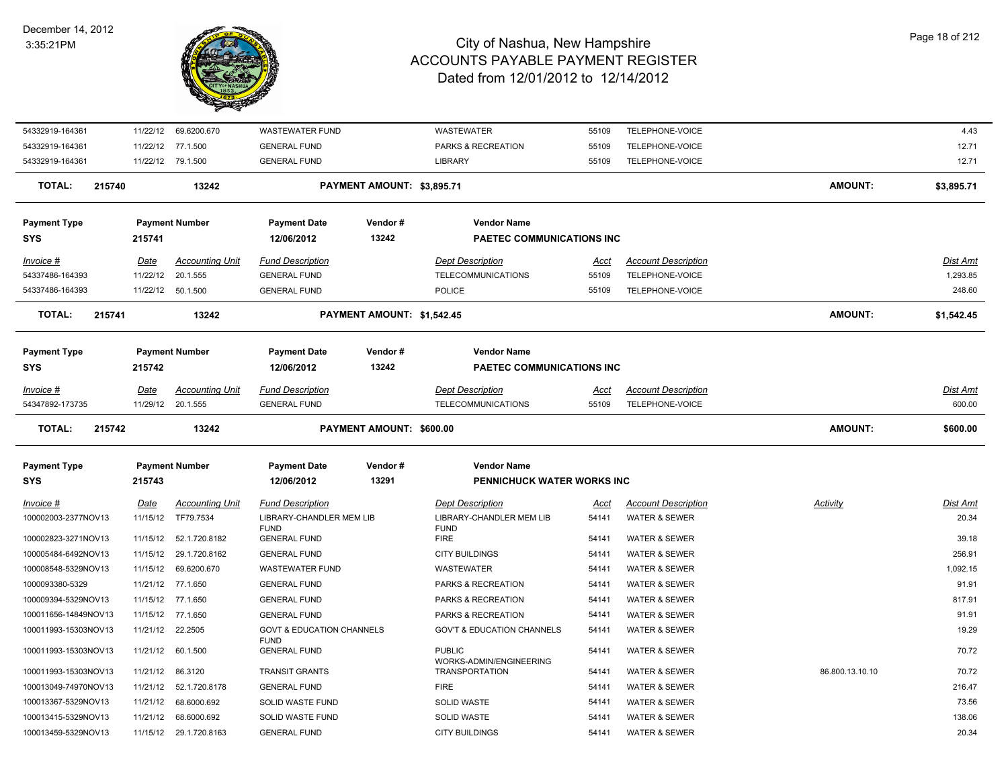

| 54332919-164361      |        |             | 11/22/12 69.6200.670    | <b>WASTEWATER FUND</b>                  |                            | <b>WASTEWATER</b>                                | 55109       | TELEPHONE-VOICE            |                 | 4.43            |
|----------------------|--------|-------------|-------------------------|-----------------------------------------|----------------------------|--------------------------------------------------|-------------|----------------------------|-----------------|-----------------|
| 54332919-164361      |        |             | 11/22/12 77.1.500       | <b>GENERAL FUND</b>                     |                            | PARKS & RECREATION                               | 55109       | TELEPHONE-VOICE            |                 | 12.71           |
| 54332919-164361      |        |             | 11/22/12 79.1.500       | <b>GENERAL FUND</b>                     |                            | <b>LIBRARY</b>                                   | 55109       | TELEPHONE-VOICE            |                 | 12.71           |
| <b>TOTAL:</b>        | 215740 |             | 13242                   |                                         | PAYMENT AMOUNT: \$3,895.71 |                                                  |             |                            | <b>AMOUNT:</b>  | \$3,895.71      |
| <b>Payment Type</b>  |        |             | <b>Payment Number</b>   | <b>Payment Date</b>                     | Vendor#                    | <b>Vendor Name</b>                               |             |                            |                 |                 |
| <b>SYS</b>           |        | 215741      |                         | 12/06/2012                              | 13242                      | PAETEC COMMUNICATIONS INC                        |             |                            |                 |                 |
| Invoice #            |        | Date        | <b>Accounting Unit</b>  | <b>Fund Description</b>                 |                            | <b>Dept Description</b>                          | Acct        | <b>Account Description</b> |                 | Dist Amt        |
| 54337486-164393      |        | 11/22/12    | 20.1.555                | <b>GENERAL FUND</b>                     |                            | TELECOMMUNICATIONS                               | 55109       | TELEPHONE-VOICE            |                 | 1,293.85        |
| 54337486-164393      |        | 11/22/12    | 50.1.500                | <b>GENERAL FUND</b>                     |                            | <b>POLICE</b>                                    | 55109       | TELEPHONE-VOICE            |                 | 248.60          |
| <b>TOTAL:</b>        | 215741 |             | 13242                   |                                         | PAYMENT AMOUNT: \$1,542.45 |                                                  |             |                            | <b>AMOUNT:</b>  | \$1,542.45      |
| <b>Payment Type</b>  |        |             | <b>Payment Number</b>   | <b>Payment Date</b>                     | Vendor#                    | <b>Vendor Name</b>                               |             |                            |                 |                 |
| SYS                  |        | 215742      |                         | 12/06/2012                              | 13242                      | PAETEC COMMUNICATIONS INC                        |             |                            |                 |                 |
| Invoice #            |        | Date        | <b>Accounting Unit</b>  | <b>Fund Description</b>                 |                            | <b>Dept Description</b>                          | Acct        | <b>Account Description</b> |                 | Dist Amt        |
| 54347892-173735      |        | 11/29/12    | 20.1.555                | <b>GENERAL FUND</b>                     |                            | <b>TELECOMMUNICATIONS</b>                        | 55109       | TELEPHONE-VOICE            |                 | 600.00          |
| <b>TOTAL:</b>        | 215742 |             | 13242                   |                                         | PAYMENT AMOUNT: \$600.00   |                                                  |             |                            | <b>AMOUNT:</b>  | \$600.00        |
| <b>Payment Type</b>  |        |             | <b>Payment Number</b>   | <b>Payment Date</b>                     | Vendor#                    | <b>Vendor Name</b>                               |             |                            |                 |                 |
| SYS                  |        | 215743      |                         | 12/06/2012                              | 13291                      | PENNICHUCK WATER WORKS INC                       |             |                            |                 |                 |
| <u>Invoice #</u>     |        | <b>Date</b> | <b>Accounting Unit</b>  | <b>Fund Description</b>                 |                            | <b>Dept Description</b>                          | <u>Acct</u> | <b>Account Description</b> | <u>Activity</u> | <u>Dist Amt</u> |
| 100002003-2377NOV13  |        | 11/15/12    | TF79.7534               | LIBRARY-CHANDLER MEM LIB<br><b>FUND</b> |                            | LIBRARY-CHANDLER MEM LIB<br><b>FUND</b>          | 54141       | <b>WATER &amp; SEWER</b>   |                 | 20.34           |
| 100002823-3271NOV13  |        |             | 11/15/12  52.1.720.8182 | <b>GENERAL FUND</b>                     |                            | <b>FIRE</b>                                      | 54141       | <b>WATER &amp; SEWER</b>   |                 | 39.18           |
| 100005484-6492NOV13  |        |             | 11/15/12 29.1.720.8162  | <b>GENERAL FUND</b>                     |                            | <b>CITY BUILDINGS</b>                            | 54141       | WATER & SEWER              |                 | 256.91          |
| 100008548-5329NOV13  |        |             | 11/15/12 69.6200.670    | <b>WASTEWATER FUND</b>                  |                            | <b>WASTEWATER</b>                                | 54141       | <b>WATER &amp; SEWER</b>   |                 | 1,092.15        |
| 1000093380-5329      |        |             | 11/21/12 77.1.650       | <b>GENERAL FUND</b>                     |                            | PARKS & RECREATION                               | 54141       | <b>WATER &amp; SEWER</b>   |                 | 91.91           |
| 100009394-5329NOV13  |        |             | 11/15/12 77.1.650       | <b>GENERAL FUND</b>                     |                            | PARKS & RECREATION                               | 54141       | <b>WATER &amp; SEWER</b>   |                 | 817.91          |
| 100011656-14849NOV13 |        |             | 11/15/12 77.1.650       | <b>GENERAL FUND</b>                     |                            | PARKS & RECREATION                               | 54141       | <b>WATER &amp; SEWER</b>   |                 | 91.91           |
| 100011993-15303NOV13 |        |             | 11/21/12 22.2505        | <b>GOVT &amp; EDUCATION CHANNELS</b>    |                            | <b>GOV'T &amp; EDUCATION CHANNELS</b>            | 54141       | <b>WATER &amp; SEWER</b>   |                 | 19.29           |
| 100011993-15303NOV13 |        |             | 11/21/12 60.1.500       | <b>FUND</b><br><b>GENERAL FUND</b>      |                            | <b>PUBLIC</b>                                    | 54141       | WATER & SEWER              |                 | 70.72           |
| 100011993-15303NOV13 |        |             | 11/21/12 86.3120        | <b>TRANSIT GRANTS</b>                   |                            | WORKS-ADMIN/ENGINEERING<br><b>TRANSPORTATION</b> | 54141       | <b>WATER &amp; SEWER</b>   | 86.800.13.10.10 | 70.72           |
| 100013049-74970NOV13 |        |             | 11/21/12  52.1.720.8178 | <b>GENERAL FUND</b>                     |                            | <b>FIRE</b>                                      | 54141       | <b>WATER &amp; SEWER</b>   |                 | 216.47          |
| 100013367-5329NOV13  |        | 11/21/12    | 68.6000.692             | <b>SOLID WASTE FUND</b>                 |                            | <b>SOLID WASTE</b>                               | 54141       | <b>WATER &amp; SEWER</b>   |                 | 73.56           |
| 100013415-5329NOV13  |        |             | 11/21/12 68.6000.692    | SOLID WASTE FUND                        |                            | <b>SOLID WASTE</b>                               | 54141       | <b>WATER &amp; SEWER</b>   |                 | 138.06          |
| 100013459-5329NOV13  |        |             | 11/15/12 29.1.720.8163  | <b>GENERAL FUND</b>                     |                            | <b>CITY BUILDINGS</b>                            | 54141       | <b>WATER &amp; SEWER</b>   |                 | 20.34           |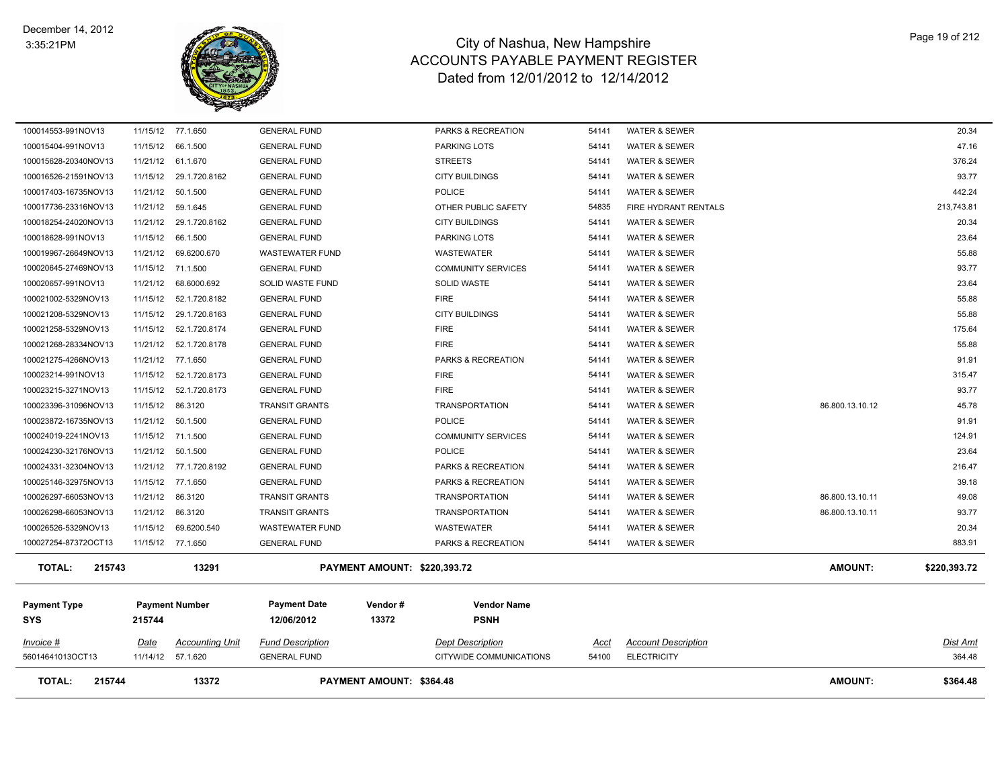

| <b>TOTAL:</b><br>215744                    |             | 13372                   |                                   | <b>PAYMENT AMOUNT: \$364.48</b>     |                                   |                |                            | <b>AMOUNT:</b>  | \$364.48        |
|--------------------------------------------|-------------|-------------------------|-----------------------------------|-------------------------------------|-----------------------------------|----------------|----------------------------|-----------------|-----------------|
| 56014641013OCT13                           |             | 11/14/12 57.1.620       | <b>GENERAL FUND</b>               |                                     | CITYWIDE COMMUNICATIONS           | 54100          | <b>ELECTRICITY</b>         |                 | 364.48          |
| <i>Invoice</i> #                           | <u>Date</u> | <b>Accounting Unit</b>  | <b>Fund Description</b>           |                                     | <b>Dept Description</b>           | <u>Acct</u>    | <b>Account Description</b> |                 | <u>Dist Amt</u> |
| <b>Payment Type</b><br><b>SYS</b>          | 215744      | <b>Payment Number</b>   | <b>Payment Date</b><br>12/06/2012 | Vendor#<br>13372                    | <b>Vendor Name</b><br><b>PSNH</b> |                |                            |                 |                 |
| <b>TOTAL:</b><br>215743                    |             | 13291                   |                                   | <b>PAYMENT AMOUNT: \$220,393.72</b> |                                   |                |                            | <b>AMOUNT:</b>  | \$220,393.72    |
| 100027254-87372OCT13                       |             | 11/15/12 77.1.650       | <b>GENERAL FUND</b>               |                                     | PARKS & RECREATION                | 54141          | <b>WATER &amp; SEWER</b>   |                 | 883.91          |
| 100026526-5329NOV13                        |             | 11/15/12 69.6200.540    | <b>WASTEWATER FUND</b>            |                                     | WASTEWATER                        | 54141          | WATER & SEWER              |                 | 20.34           |
| 100026298-66053NOV13                       |             | 11/21/12 86.3120        | <b>TRANSIT GRANTS</b>             |                                     | <b>TRANSPORTATION</b>             | 54141          | WATER & SEWER              | 86.800.13.10.11 | 93.77           |
| 100026297-66053NOV13                       |             | 11/21/12 86.3120        | <b>TRANSIT GRANTS</b>             |                                     | <b>TRANSPORTATION</b>             | 54141          | WATER & SEWER              | 86.800.13.10.11 | 49.08           |
| 100025146-32975NOV13                       |             | 11/15/12 77.1.650       | <b>GENERAL FUND</b>               |                                     | PARKS & RECREATION                | 54141          | WATER & SEWER              |                 | 39.18           |
| 100024331-32304NOV13                       |             | 11/21/12 77.1.720.8192  | <b>GENERAL FUND</b>               |                                     | PARKS & RECREATION                | 54141          | WATER & SEWER              |                 | 216.47          |
| 100024230-32176NOV13                       |             | 11/21/12 50.1.500       | <b>GENERAL FUND</b>               |                                     | <b>POLICE</b>                     | 54141          | WATER & SEWER              |                 | 23.64           |
| 100024019-2241NOV13                        |             | 11/15/12 71.1.500       | <b>GENERAL FUND</b>               |                                     | <b>COMMUNITY SERVICES</b>         | 54141          | WATER & SEWER              |                 | 124.91          |
| 100023872-16735NOV13                       |             | 11/21/12 50.1.500       | <b>GENERAL FUND</b>               |                                     | <b>POLICE</b>                     | 54141          | WATER & SEWER              |                 | 91.91           |
| 100023396-31096NOV13                       |             | 11/15/12 86.3120        | <b>TRANSIT GRANTS</b>             |                                     | <b>TRANSPORTATION</b>             | 54141          | <b>WATER &amp; SEWER</b>   | 86.800.13.10.12 | 45.78           |
| 100023215-3271NOV13                        |             | 11/15/12  52.1.720.8173 | <b>GENERAL FUND</b>               |                                     | <b>FIRE</b>                       | 54141          | <b>WATER &amp; SEWER</b>   |                 | 93.77           |
| 100023214-991NOV13                         |             | 11/15/12  52.1.720.8173 | <b>GENERAL FUND</b>               |                                     | <b>FIRE</b>                       | 54141          | WATER & SEWER              |                 | 315.47          |
| 100021275-4266NOV13                        |             | 11/21/12 77.1.650       | <b>GENERAL FUND</b>               |                                     | PARKS & RECREATION                | 54141          | WATER & SEWER              |                 | 91.91           |
| 100021268-28334NOV13                       |             | 11/21/12  52.1.720.8178 | <b>GENERAL FUND</b>               |                                     | <b>FIRE</b>                       | 54141          | WATER & SEWER              |                 | 55.88           |
| 100021258-5329NOV13                        |             | 11/15/12  52.1.720.8174 | <b>GENERAL FUND</b>               |                                     | <b>FIRE</b>                       | 54141          | WATER & SEWER              |                 | 175.64          |
| 100021208-5329NOV13                        |             | 11/15/12 29.1.720.8163  | <b>GENERAL FUND</b>               |                                     | <b>CITY BUILDINGS</b>             | 54141          | WATER & SEWER              |                 | 55.88           |
| 100021002-5329NOV13                        |             | 11/15/12  52.1.720.8182 | <b>GENERAL FUND</b>               |                                     | <b>FIRE</b>                       | 54141          | WATER & SEWER              |                 | 55.88           |
| 100020657-991NOV13                         |             | 11/21/12 68.6000.692    | SOLID WASTE FUND                  |                                     | <b>SOLID WASTE</b>                | 54141          | WATER & SEWER              |                 | 23.64           |
| 100020645-27469NOV13                       |             | 11/15/12 71.1.500       | <b>GENERAL FUND</b>               |                                     | <b>COMMUNITY SERVICES</b>         | 54141          | WATER & SEWER              |                 | 93.77           |
| 100019967-26649NOV13                       |             | 11/21/12 69.6200.670    | <b>WASTEWATER FUND</b>            |                                     | WASTEWATER                        | 54141          | WATER & SEWER              |                 | 55.88           |
| 100018628-991NOV13                         |             | 11/15/12 66.1.500       | <b>GENERAL FUND</b>               |                                     | PARKING LOTS                      | 54141          | WATER & SEWER              |                 | 23.64           |
| 100018254-24020NOV13                       |             | 11/21/12 29.1.720.8162  | <b>GENERAL FUND</b>               |                                     | CITY BUILDINGS                    | 54141          | WATER & SEWER              |                 | 20.34           |
| 100017736-23316NOV13                       |             | 11/21/12 59.1.645       | <b>GENERAL FUND</b>               |                                     | OTHER PUBLIC SAFETY               | 54835          | FIRE HYDRANT RENTALS       |                 | 213,743.81      |
| 100017403-16735NOV13                       |             | 11/21/12 50.1.500       | <b>GENERAL FUND</b>               |                                     | <b>POLICE</b>                     | 54141          | WATER & SEWER              |                 | 442.24          |
| 100016526-21591NOV13                       |             | 11/15/12 29.1.720.8162  | <b>GENERAL FUND</b>               |                                     | <b>CITY BUILDINGS</b>             | 54141          | WATER & SEWER              |                 | 93.77           |
| 100015404-991NOV13<br>100015628-20340NOV13 |             | 11/21/12 61.1.670       | <b>GENERAL FUND</b>               |                                     | <b>STREETS</b>                    | 54141<br>54141 | WATER & SEWER              |                 | 376.24          |
|                                            |             | 11/15/12 66.1.500       | <b>GENERAL FUND</b>               |                                     | PARKING LOTS                      |                | <b>WATER &amp; SEWER</b>   |                 | 47.16           |
| 100014553-991NOV13                         |             | 11/15/12 77.1.650       | <b>GENERAL FUND</b>               |                                     | PARKS & RECREATION                | 54141          | WATER & SEWER              |                 | 20.34           |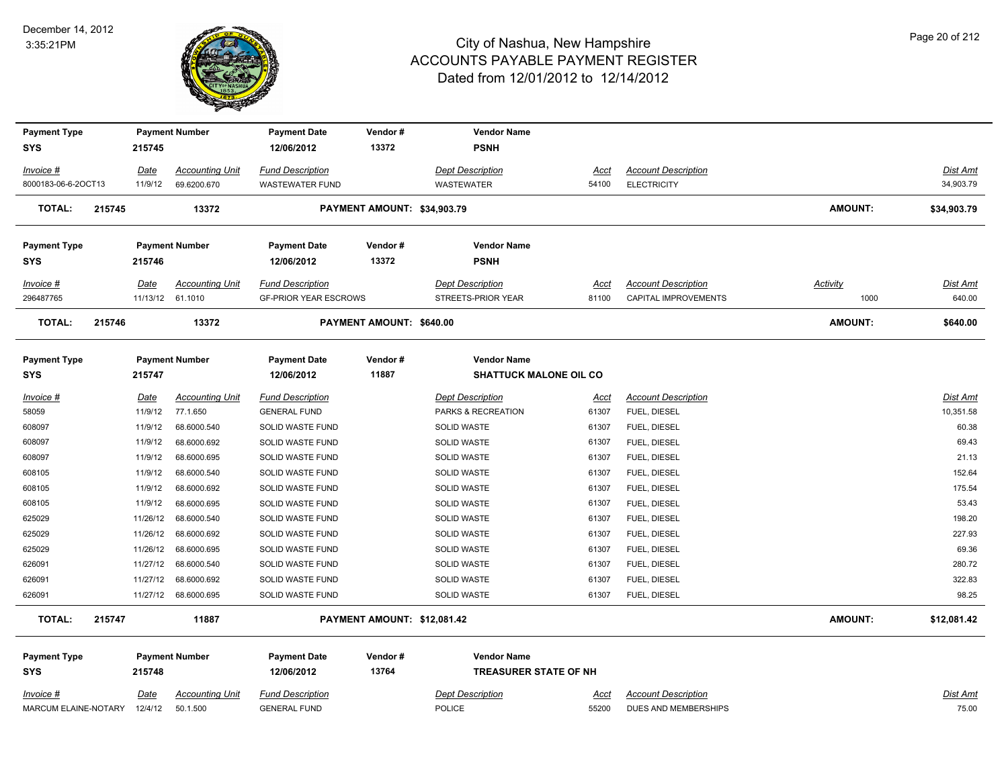

| <b>Payment Type</b>     |             | <b>Payment Number</b>                      | <b>Payment Date</b>                                     | Vendor#                     | <b>Vendor Name</b>                            |               |                                                    |                  |                           |
|-------------------------|-------------|--------------------------------------------|---------------------------------------------------------|-----------------------------|-----------------------------------------------|---------------|----------------------------------------------------|------------------|---------------------------|
| <b>SYS</b>              | 215745      |                                            | 12/06/2012                                              | 13372                       | <b>PSNH</b>                                   |               |                                                    |                  |                           |
| Invoice #               | Date        | <b>Accounting Unit</b>                     | <b>Fund Description</b>                                 |                             | <b>Dept Description</b>                       | Acct          | <b>Account Description</b>                         |                  | <b>Dist Amt</b>           |
| 8000183-06-6-2OCT13     | 11/9/12     | 69.6200.670                                | <b>WASTEWATER FUND</b>                                  |                             | WASTEWATER                                    | 54100         | <b>ELECTRICITY</b>                                 |                  | 34,903.79                 |
| <b>TOTAL:</b><br>215745 |             | 13372                                      |                                                         | PAYMENT AMOUNT: \$34,903.79 |                                               |               |                                                    | <b>AMOUNT:</b>   | \$34,903.79               |
| <b>Payment Type</b>     |             | <b>Payment Number</b>                      | <b>Payment Date</b>                                     | Vendor#                     | <b>Vendor Name</b>                            |               |                                                    |                  |                           |
| <b>SYS</b>              | 215746      |                                            | 12/06/2012                                              | 13372                       | <b>PSNH</b>                                   |               |                                                    |                  |                           |
| Invoice #<br>296487765  | Date        | <b>Accounting Unit</b><br>11/13/12 61.1010 | <b>Fund Description</b><br><b>GF-PRIOR YEAR ESCROWS</b> |                             | <b>Dept Description</b><br>STREETS-PRIOR YEAR | Acct<br>81100 | <b>Account Description</b><br>CAPITAL IMPROVEMENTS | Activity<br>1000 | <b>Dist Amt</b><br>640.00 |
| <b>TOTAL:</b><br>215746 |             | 13372                                      |                                                         | PAYMENT AMOUNT: \$640.00    |                                               |               |                                                    | <b>AMOUNT:</b>   | \$640.00                  |
| <b>Payment Type</b>     |             | <b>Payment Number</b>                      | <b>Payment Date</b>                                     | Vendor#                     | <b>Vendor Name</b>                            |               |                                                    |                  |                           |
| <b>SYS</b>              | 215747      |                                            | 12/06/2012                                              | 11887                       | <b>SHATTUCK MALONE OIL CO</b>                 |               |                                                    |                  |                           |
| Invoice #               | Date        | <b>Accounting Unit</b>                     | <b>Fund Description</b>                                 |                             | <b>Dept Description</b>                       | Acct          | <b>Account Description</b>                         |                  | <b>Dist Amt</b>           |
| 58059                   | 11/9/12     | 77.1.650                                   | <b>GENERAL FUND</b>                                     |                             | PARKS & RECREATION                            | 61307         | FUEL, DIESEL                                       |                  | 10,351.58                 |
| 608097                  | 11/9/12     | 68.6000.540                                | SOLID WASTE FUND                                        |                             | SOLID WASTE                                   | 61307         | FUEL, DIESEL                                       |                  | 60.38                     |
| 608097                  | 11/9/12     | 68.6000.692                                | SOLID WASTE FUND                                        |                             | SOLID WASTE                                   | 61307         | FUEL, DIESEL                                       |                  | 69.43                     |
| 608097                  | 11/9/12     | 68.6000.695                                | SOLID WASTE FUND                                        |                             | SOLID WASTE                                   | 61307         | FUEL, DIESEL                                       |                  | 21.13                     |
| 608105                  | 11/9/12     | 68.6000.540                                | SOLID WASTE FUND                                        |                             | SOLID WASTE                                   | 61307         | FUEL, DIESEL                                       |                  | 152.64                    |
| 608105                  | 11/9/12     | 68.6000.692                                | SOLID WASTE FUND                                        |                             | SOLID WASTE                                   | 61307         | FUEL, DIESEL                                       |                  | 175.54                    |
| 608105                  | 11/9/12     | 68.6000.695                                | SOLID WASTE FUND                                        |                             | SOLID WASTE                                   | 61307         | FUEL, DIESEL                                       |                  | 53.43                     |
| 625029                  | 11/26/12    | 68.6000.540                                | SOLID WASTE FUND                                        |                             | SOLID WASTE                                   | 61307         | FUEL, DIESEL                                       |                  | 198.20                    |
| 625029                  | 11/26/12    | 68.6000.692                                | SOLID WASTE FUND                                        |                             | SOLID WASTE                                   | 61307         | FUEL, DIESEL                                       |                  | 227.93                    |
| 625029                  | 11/26/12    | 68.6000.695                                | SOLID WASTE FUND                                        |                             | SOLID WASTE                                   | 61307         | FUEL, DIESEL                                       |                  | 69.36                     |
| 626091                  | 11/27/12    | 68.6000.540                                | SOLID WASTE FUND                                        |                             | SOLID WASTE                                   | 61307         | FUEL, DIESEL                                       |                  | 280.72                    |
| 626091                  | 11/27/12    | 68.6000.692                                | SOLID WASTE FUND                                        |                             | SOLID WASTE                                   | 61307         | FUEL, DIESEL                                       |                  | 322.83                    |
| 626091                  |             | 11/27/12 68.6000.695                       | SOLID WASTE FUND                                        |                             | <b>SOLID WASTE</b>                            | 61307         | FUEL, DIESEL                                       |                  | 98.25                     |
| <b>TOTAL:</b><br>215747 |             | 11887                                      |                                                         | PAYMENT AMOUNT: \$12,081.42 |                                               |               |                                                    | <b>AMOUNT:</b>   | \$12,081.42               |
| <b>Payment Type</b>     |             | <b>Payment Number</b>                      | <b>Payment Date</b>                                     | Vendor#                     | <b>Vendor Name</b>                            |               |                                                    |                  |                           |
| <b>SYS</b>              | 215748      |                                            | 12/06/2012                                              | 13764                       | <b>TREASURER STATE OF NH</b>                  |               |                                                    |                  |                           |
| $Invoice$ #             | <u>Date</u> | <b>Accounting Unit</b>                     | <b>Fund Description</b>                                 |                             | <b>Dept Description</b>                       | <u>Acct</u>   | <b>Account Description</b>                         |                  | Dist Amt                  |
| MARCUM ELAINE-NOTARY    | 12/4/12     | 50.1.500                                   | <b>GENERAL FUND</b>                                     |                             | <b>POLICE</b>                                 | 55200         | DUES AND MEMBERSHIPS                               |                  | 75.00                     |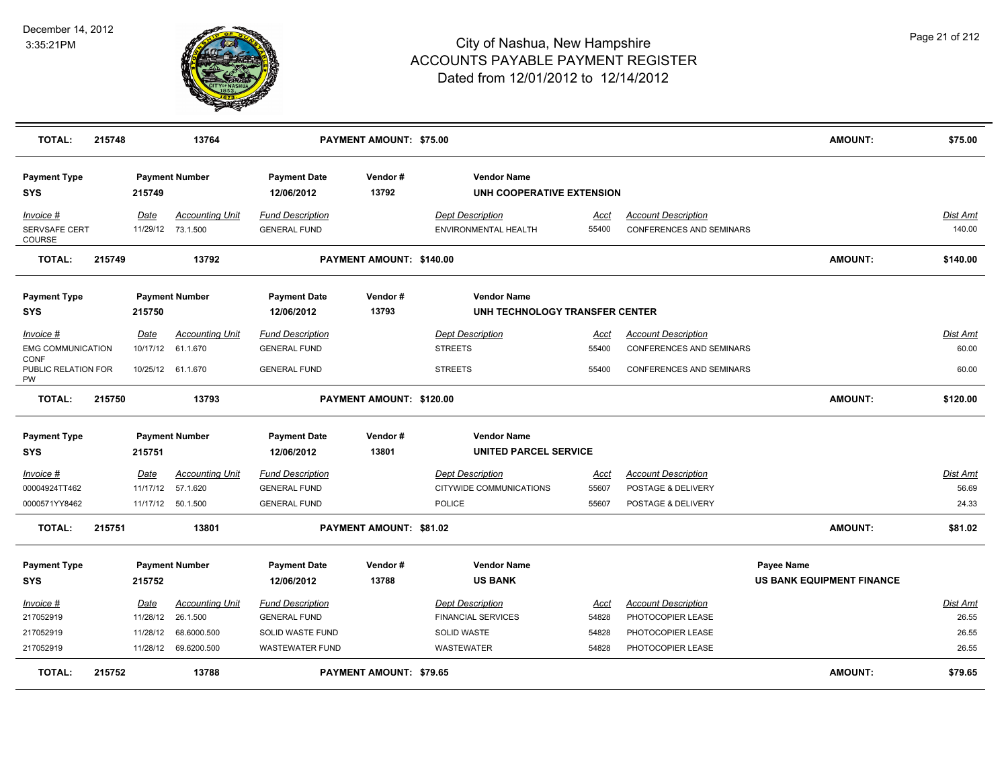

| <b>TOTAL:</b>                            | 215748 |             | 13764                  |                                   | <b>PAYMENT AMOUNT: \$75.00</b> |                                                 |             |                                 | <b>AMOUNT:</b>                   | \$75.00         |
|------------------------------------------|--------|-------------|------------------------|-----------------------------------|--------------------------------|-------------------------------------------------|-------------|---------------------------------|----------------------------------|-----------------|
| <b>Payment Type</b><br><b>SYS</b>        |        | 215749      | <b>Payment Number</b>  | <b>Payment Date</b><br>12/06/2012 | Vendor#<br>13792               | <b>Vendor Name</b><br>UNH COOPERATIVE EXTENSION |             |                                 |                                  |                 |
| Invoice #                                |        | Date        | <b>Accounting Unit</b> | <b>Fund Description</b>           |                                | <b>Dept Description</b>                         | Acct        | <b>Account Description</b>      |                                  | Dist Amt        |
| SERVSAFE CERT<br><b>COURSE</b>           |        | 11/29/12    | 73.1.500               | <b>GENERAL FUND</b>               |                                | ENVIRONMENTAL HEALTH                            | 55400       | <b>CONFERENCES AND SEMINARS</b> |                                  | 140.00          |
| <b>TOTAL:</b>                            | 215749 |             | 13792                  |                                   | PAYMENT AMOUNT: \$140.00       |                                                 |             |                                 | <b>AMOUNT:</b>                   | \$140.00        |
| <b>Payment Type</b>                      |        |             | <b>Payment Number</b>  | <b>Payment Date</b>               | Vendor#                        | <b>Vendor Name</b>                              |             |                                 |                                  |                 |
| <b>SYS</b>                               |        | 215750      |                        | 12/06/2012                        | 13793                          | UNH TECHNOLOGY TRANSFER CENTER                  |             |                                 |                                  |                 |
| <u>Invoice #</u>                         |        | <b>Date</b> | <b>Accounting Unit</b> | <b>Fund Description</b>           |                                | <b>Dept Description</b>                         | <u>Acct</u> | <b>Account Description</b>      |                                  | Dist Amt        |
| <b>EMG COMMUNICATION</b>                 |        | 10/17/12    | 61.1.670               | <b>GENERAL FUND</b>               |                                | <b>STREETS</b>                                  | 55400       | CONFERENCES AND SEMINARS        |                                  | 60.00           |
| <b>CONF</b><br>PUBLIC RELATION FOR<br>PW |        | 10/25/12    | 61.1.670               | <b>GENERAL FUND</b>               |                                | <b>STREETS</b>                                  | 55400       | <b>CONFERENCES AND SEMINARS</b> |                                  | 60.00           |
| <b>TOTAL:</b>                            | 215750 |             | 13793                  |                                   | PAYMENT AMOUNT: \$120.00       |                                                 |             |                                 | <b>AMOUNT:</b>                   | \$120.00        |
| <b>Payment Type</b>                      |        |             | <b>Payment Number</b>  | <b>Payment Date</b>               | Vendor#                        | <b>Vendor Name</b>                              |             |                                 |                                  |                 |
| <b>SYS</b>                               |        | 215751      |                        | 12/06/2012                        | 13801                          | <b>UNITED PARCEL SERVICE</b>                    |             |                                 |                                  |                 |
| Invoice #                                |        | Date        | <b>Accounting Unit</b> | <b>Fund Description</b>           |                                | <b>Dept Description</b>                         | Acct        | <b>Account Description</b>      |                                  | Dist Amt        |
| 00004924TT462                            |        | 11/17/12    | 57.1.620               | <b>GENERAL FUND</b>               |                                | CITYWIDE COMMUNICATIONS                         | 55607       | POSTAGE & DELIVERY              |                                  | 56.69           |
| 0000571YY8462                            |        | 11/17/12    | 50.1.500               | <b>GENERAL FUND</b>               |                                | <b>POLICE</b>                                   | 55607       | POSTAGE & DELIVERY              |                                  | 24.33           |
| <b>TOTAL:</b>                            | 215751 |             | 13801                  |                                   | PAYMENT AMOUNT: \$81.02        |                                                 |             |                                 | <b>AMOUNT:</b>                   | \$81.02         |
| <b>Payment Type</b>                      |        |             | <b>Payment Number</b>  | <b>Payment Date</b>               | Vendor#                        | <b>Vendor Name</b>                              |             |                                 | <b>Payee Name</b>                |                 |
| <b>SYS</b>                               |        | 215752      |                        | 12/06/2012                        | 13788                          | <b>US BANK</b>                                  |             |                                 | <b>US BANK EQUIPMENT FINANCE</b> |                 |
| Invoice #                                |        | Date        | <b>Accounting Unit</b> | <b>Fund Description</b>           |                                | <b>Dept Description</b>                         | Acct        | <b>Account Description</b>      |                                  | <b>Dist Amt</b> |
| 217052919                                |        | 11/28/12    | 26.1.500               | <b>GENERAL FUND</b>               |                                | <b>FINANCIAL SERVICES</b>                       | 54828       | PHOTOCOPIER LEASE               |                                  | 26.55           |
| 217052919                                |        | 11/28/12    | 68.6000.500            | SOLID WASTE FUND                  |                                | <b>SOLID WASTE</b>                              | 54828       | PHOTOCOPIER LEASE               |                                  | 26.55           |
| 217052919                                |        |             | 11/28/12 69.6200.500   | <b>WASTEWATER FUND</b>            |                                | <b>WASTEWATER</b>                               | 54828       | PHOTOCOPIER LEASE               |                                  | 26.55           |
| <b>TOTAL:</b>                            | 215752 |             | 13788                  |                                   | PAYMENT AMOUNT: \$79.65        |                                                 |             |                                 | <b>AMOUNT:</b>                   | \$79.65         |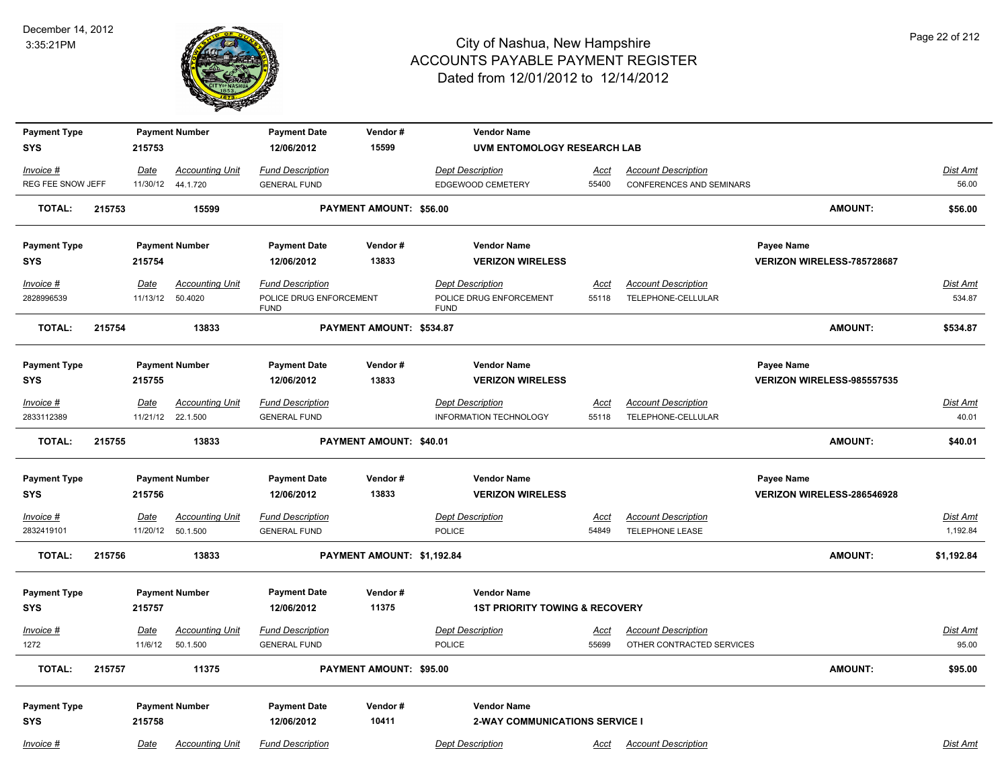

| <b>Payment Type</b>     |        |                  | <b>Payment Number</b>              | <b>Payment Date</b>                                               | Vendor#                    |                                          | <b>Vendor Name</b>                        |                      |                                                  |                            |                |                      |
|-------------------------|--------|------------------|------------------------------------|-------------------------------------------------------------------|----------------------------|------------------------------------------|-------------------------------------------|----------------------|--------------------------------------------------|----------------------------|----------------|----------------------|
| <b>SYS</b>              |        | 215753           |                                    | 12/06/2012                                                        | 15599                      |                                          | UVM ENTOMOLOGY RESEARCH LAB               |                      |                                                  |                            |                |                      |
| Invoice #               |        | Date             | <b>Accounting Unit</b>             | <b>Fund Description</b>                                           |                            | <b>Dept Description</b>                  |                                           | <b>Acct</b>          | <b>Account Description</b>                       |                            |                | Dist Amt             |
| REG FEE SNOW JEFF       |        | 11/30/12         | 44.1.720                           | <b>GENERAL FUND</b>                                               |                            | EDGEWOOD CEMETERY                        |                                           | 55400                | CONFERENCES AND SEMINARS                         |                            |                | 56.00                |
| <b>TOTAL:</b>           | 215753 |                  | 15599                              |                                                                   | PAYMENT AMOUNT: \$56.00    |                                          |                                           |                      |                                                  |                            | <b>AMOUNT:</b> | \$56.00              |
| <b>Payment Type</b>     |        |                  | <b>Payment Number</b>              | <b>Payment Date</b>                                               | Vendor#                    |                                          | <b>Vendor Name</b>                        |                      |                                                  | Payee Name                 |                |                      |
| <b>SYS</b>              |        | 215754           |                                    | 12/06/2012                                                        | 13833                      |                                          | <b>VERIZON WIRELESS</b>                   |                      |                                                  | VERIZON WIRELESS-785728687 |                |                      |
| Invoice #<br>2828996539 |        | Date<br>11/13/12 | <b>Accounting Unit</b><br>50.4020  | <b>Fund Description</b><br>POLICE DRUG ENFORCEMENT<br><b>FUND</b> |                            | <b>Dept Description</b><br><b>FUND</b>   | POLICE DRUG ENFORCEMENT                   | <u>Acct</u><br>55118 | <b>Account Description</b><br>TELEPHONE-CELLULAR |                            |                | Dist Amt<br>534.87   |
| <b>TOTAL:</b>           | 215754 |                  | 13833                              |                                                                   | PAYMENT AMOUNT: \$534.87   |                                          |                                           |                      |                                                  |                            | <b>AMOUNT:</b> | \$534.87             |
| <b>Payment Type</b>     |        |                  | <b>Payment Number</b>              | <b>Payment Date</b>                                               | Vendor#                    |                                          | <b>Vendor Name</b>                        |                      |                                                  | Payee Name                 |                |                      |
| <b>SYS</b>              |        | 215755           |                                    | 12/06/2012                                                        | 13833                      |                                          | <b>VERIZON WIRELESS</b>                   |                      |                                                  | VERIZON WIRELESS-985557535 |                |                      |
| $Invoice$ #             |        | Date             | <b>Accounting Unit</b>             | <b>Fund Description</b>                                           |                            | <b>Dept Description</b>                  |                                           | <u>Acct</u>          | <b>Account Description</b>                       |                            |                | <b>Dist Amt</b>      |
| 2833112389              |        | 11/21/12         | 22.1.500                           | <b>GENERAL FUND</b>                                               |                            |                                          | INFORMATION TECHNOLOGY                    | 55118                | TELEPHONE-CELLULAR                               |                            |                | 40.01                |
| <b>TOTAL:</b>           | 215755 |                  | 13833                              |                                                                   | PAYMENT AMOUNT: \$40.01    |                                          |                                           |                      |                                                  |                            | <b>AMOUNT:</b> | \$40.01              |
| <b>Payment Type</b>     |        |                  | <b>Payment Number</b>              | <b>Payment Date</b>                                               | Vendor#                    |                                          | <b>Vendor Name</b>                        |                      |                                                  | Payee Name                 |                |                      |
| <b>SYS</b>              |        | 215756           |                                    | 12/06/2012                                                        | 13833                      |                                          | <b>VERIZON WIRELESS</b>                   |                      |                                                  | VERIZON WIRELESS-286546928 |                |                      |
| Invoice #<br>2832419101 |        | Date<br>11/20/12 | <b>Accounting Unit</b><br>50.1.500 | <b>Fund Description</b><br><b>GENERAL FUND</b>                    |                            | <b>Dept Description</b><br><b>POLICE</b> |                                           | Acct<br>54849        | <b>Account Description</b><br>TELEPHONE LEASE    |                            |                | Dist Amt<br>1,192.84 |
| <b>TOTAL:</b>           | 215756 |                  | 13833                              |                                                                   | PAYMENT AMOUNT: \$1,192.84 |                                          |                                           |                      |                                                  |                            | <b>AMOUNT:</b> | \$1,192.84           |
| <b>Payment Type</b>     |        |                  | <b>Payment Number</b>              | <b>Payment Date</b>                                               | Vendor#                    |                                          | <b>Vendor Name</b>                        |                      |                                                  |                            |                |                      |
| <b>SYS</b>              |        | 215757           |                                    | 12/06/2012                                                        | 11375                      |                                          | <b>1ST PRIORITY TOWING &amp; RECOVERY</b> |                      |                                                  |                            |                |                      |
| $Invoice$ #             |        | Date             | <b>Accounting Unit</b>             | <b>Fund Description</b>                                           |                            | <b>Dept Description</b>                  |                                           | <u>Acct</u>          | <b>Account Description</b>                       |                            |                | <u>Dist Amt</u>      |
| 1272                    |        | 11/6/12          | 50.1.500                           | <b>GENERAL FUND</b>                                               |                            | POLICE                                   |                                           | 55699                | OTHER CONTRACTED SERVICES                        |                            |                | 95.00                |
| <b>TOTAL:</b>           | 215757 |                  | 11375                              |                                                                   | PAYMENT AMOUNT: \$95.00    |                                          |                                           |                      |                                                  |                            | <b>AMOUNT:</b> | \$95.00              |
| <b>Payment Type</b>     |        |                  | <b>Payment Number</b>              | <b>Payment Date</b>                                               | Vendor#                    |                                          | <b>Vendor Name</b>                        |                      |                                                  |                            |                |                      |
| <b>SYS</b>              |        | 215758           |                                    | 12/06/2012                                                        | 10411                      |                                          | <b>2-WAY COMMUNICATIONS SERVICE I</b>     |                      |                                                  |                            |                |                      |
| Invoice #               |        | Date             | <b>Accounting Unit</b>             | <b>Fund Description</b>                                           |                            | <b>Dept Description</b>                  |                                           | Acct                 | <b>Account Description</b>                       |                            |                | Dist Amt             |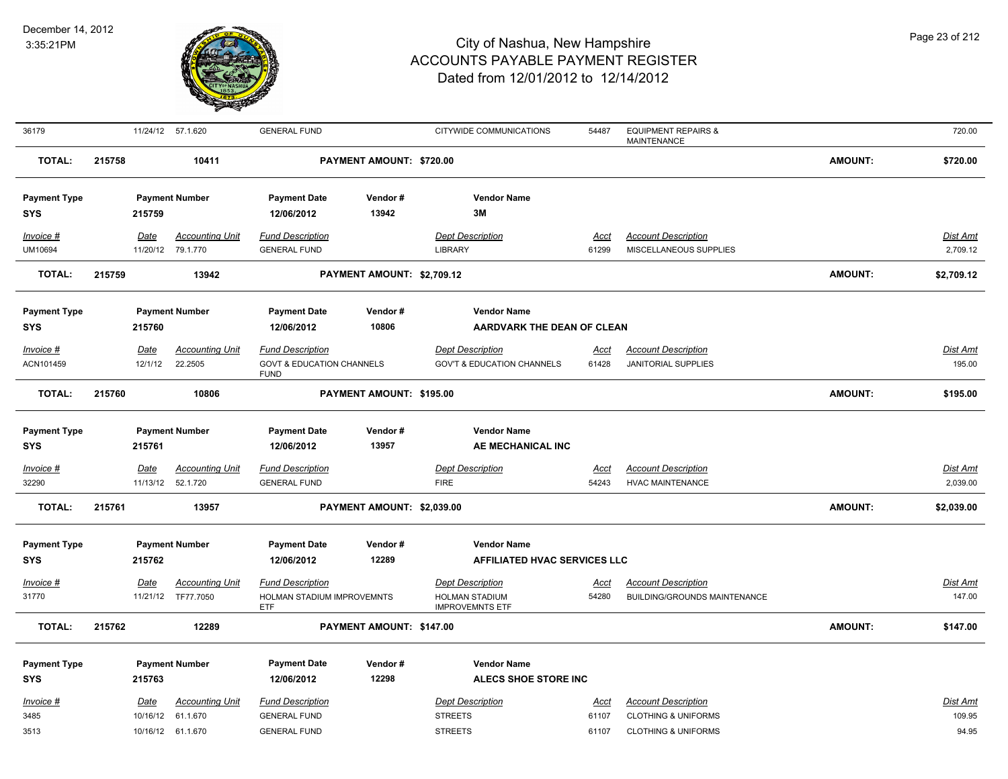

| 36179               |        | 11/24/12 57.1.620 |                        | <b>GENERAL FUND</b>                                 |                            | CITYWIDE COMMUNICATIONS                         | 54487       | <b>EQUIPMENT REPAIRS &amp;</b><br><b>MAINTENANCE</b> |                | 720.00          |
|---------------------|--------|-------------------|------------------------|-----------------------------------------------------|----------------------------|-------------------------------------------------|-------------|------------------------------------------------------|----------------|-----------------|
| <b>TOTAL:</b>       | 215758 |                   | 10411                  |                                                     | PAYMENT AMOUNT: \$720.00   |                                                 |             |                                                      | <b>AMOUNT:</b> | \$720.00        |
| <b>Payment Type</b> |        |                   | <b>Payment Number</b>  | <b>Payment Date</b>                                 | Vendor#                    | <b>Vendor Name</b>                              |             |                                                      |                |                 |
| <b>SYS</b>          |        | 215759            |                        | 12/06/2012                                          | 13942                      | 3M                                              |             |                                                      |                |                 |
| Invoice #           |        | Date              | <b>Accounting Unit</b> | <b>Fund Description</b>                             |                            | <b>Dept Description</b>                         | <b>Acct</b> | <b>Account Description</b>                           |                | <b>Dist Amt</b> |
| UM10694             |        | 11/20/12 79.1.770 |                        | <b>GENERAL FUND</b>                                 |                            | <b>LIBRARY</b>                                  | 61299       | MISCELLANEOUS SUPPLIES                               |                | 2,709.12        |
| <b>TOTAL:</b>       | 215759 |                   | 13942                  |                                                     | PAYMENT AMOUNT: \$2,709.12 |                                                 |             |                                                      | <b>AMOUNT:</b> | \$2,709.12      |
| <b>Payment Type</b> |        |                   | <b>Payment Number</b>  | <b>Payment Date</b>                                 | Vendor#                    | <b>Vendor Name</b>                              |             |                                                      |                |                 |
| <b>SYS</b>          |        | 215760            |                        | 12/06/2012                                          | 10806                      | <b>AARDVARK THE DEAN OF CLEAN</b>               |             |                                                      |                |                 |
| $Invoice$ #         |        | <u>Date</u>       | <b>Accounting Unit</b> | <b>Fund Description</b>                             |                            | <b>Dept Description</b>                         | <u>Acct</u> | <b>Account Description</b>                           |                | <b>Dist Amt</b> |
| ACN101459           |        | 12/1/12           | 22.2505                | <b>GOVT &amp; EDUCATION CHANNELS</b><br><b>FUND</b> |                            | <b>GOV'T &amp; EDUCATION CHANNELS</b>           | 61428       | <b>JANITORIAL SUPPLIES</b>                           |                | 195.00          |
| <b>TOTAL:</b>       | 215760 |                   | 10806                  |                                                     | PAYMENT AMOUNT: \$195.00   |                                                 |             |                                                      | <b>AMOUNT:</b> | \$195.00        |
| <b>Payment Type</b> |        |                   | <b>Payment Number</b>  | <b>Payment Date</b>                                 | Vendor#                    | <b>Vendor Name</b>                              |             |                                                      |                |                 |
| <b>SYS</b>          |        | 215761            |                        | 12/06/2012                                          | 13957                      | AE MECHANICAL INC                               |             |                                                      |                |                 |
| Invoice #           |        | Date              | <b>Accounting Unit</b> | <b>Fund Description</b>                             |                            | <b>Dept Description</b>                         | <u>Acct</u> | <b>Account Description</b>                           |                | <b>Dist Amt</b> |
| 32290               |        | 11/13/12 52.1.720 |                        | <b>GENERAL FUND</b>                                 |                            | <b>FIRE</b>                                     | 54243       | <b>HVAC MAINTENANCE</b>                              |                | 2,039.00        |
| <b>TOTAL:</b>       | 215761 |                   | 13957                  |                                                     | PAYMENT AMOUNT: \$2,039.00 |                                                 |             |                                                      | <b>AMOUNT:</b> | \$2,039.00      |
| <b>Payment Type</b> |        |                   | <b>Payment Number</b>  | <b>Payment Date</b>                                 | Vendor#                    | <b>Vendor Name</b>                              |             |                                                      |                |                 |
| <b>SYS</b>          |        | 215762            |                        | 12/06/2012                                          | 12289                      | <b>AFFILIATED HVAC SERVICES LLC</b>             |             |                                                      |                |                 |
| Invoice #           |        | Date              | <b>Accounting Unit</b> | <b>Fund Description</b>                             |                            | <b>Dept Description</b>                         | Acct        | <b>Account Description</b>                           |                | Dist Amt        |
| 31770               |        |                   | 11/21/12 TF77.7050     | HOLMAN STADIUM IMPROVEMNTS<br><b>ETF</b>            |                            | <b>HOLMAN STADIUM</b><br><b>IMPROVEMNTS ETF</b> | 54280       | <b>BUILDING/GROUNDS MAINTENANCE</b>                  |                | 147.00          |
| <b>TOTAL:</b>       | 215762 |                   | 12289                  |                                                     | PAYMENT AMOUNT: \$147.00   |                                                 |             |                                                      | <b>AMOUNT:</b> | \$147.00        |
| <b>Payment Type</b> |        |                   | <b>Payment Number</b>  | <b>Payment Date</b>                                 | Vendor#                    | <b>Vendor Name</b>                              |             |                                                      |                |                 |
| <b>SYS</b>          |        | 215763            |                        | 12/06/2012                                          | 12298                      | ALECS SHOE STORE INC                            |             |                                                      |                |                 |
| Invoice #           |        | Date              | <b>Accounting Unit</b> | <b>Fund Description</b>                             |                            | <b>Dept Description</b>                         | Acct        | <b>Account Description</b>                           |                | Dist Amt        |
| 3485                |        | 10/16/12 61.1.670 |                        | <b>GENERAL FUND</b>                                 |                            | <b>STREETS</b>                                  | 61107       | <b>CLOTHING &amp; UNIFORMS</b>                       |                | 109.95          |
| 3513                |        | 10/16/12 61.1.670 |                        | <b>GENERAL FUND</b>                                 |                            | <b>STREETS</b>                                  | 61107       | <b>CLOTHING &amp; UNIFORMS</b>                       |                | 94.95           |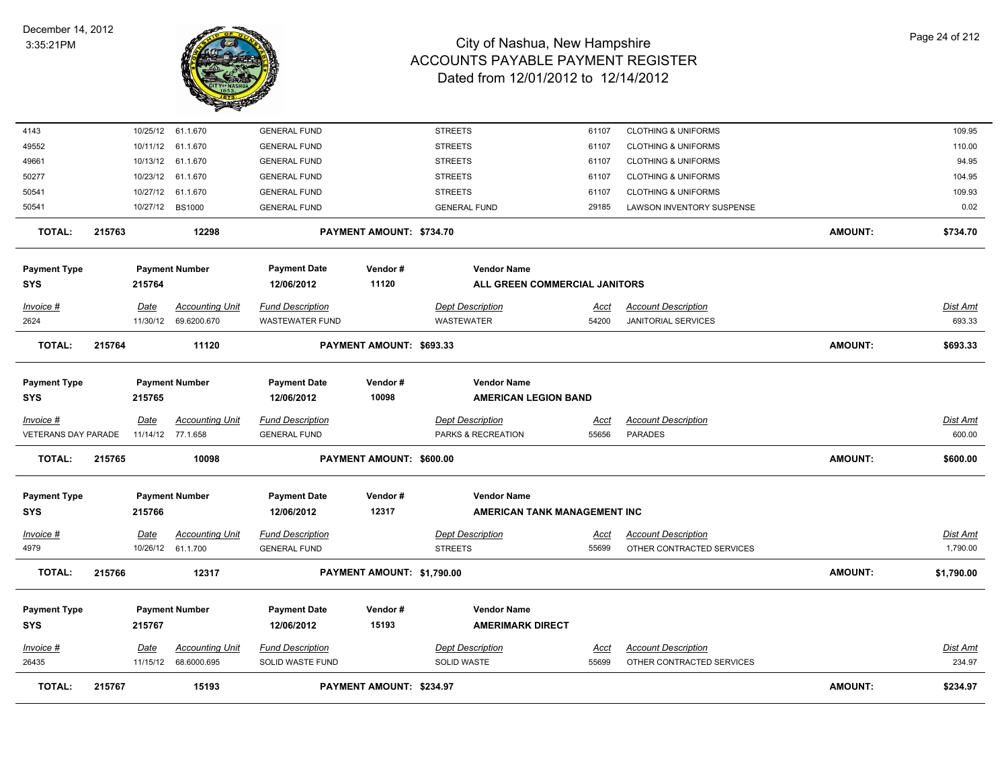

| 61.1.670<br><b>GENERAL FUND</b><br><b>STREETS</b><br>4143<br>10/25/12<br><b>CLOTHING &amp; UNIFORMS</b><br>61107<br>49552<br>10/11/12<br>61.1.670<br><b>GENERAL FUND</b><br><b>STREETS</b><br>61107<br><b>CLOTHING &amp; UNIFORMS</b><br>10/13/12<br>61.1.670<br>49661<br><b>GENERAL FUND</b><br><b>STREETS</b><br><b>CLOTHING &amp; UNIFORMS</b><br>61107<br>10/23/12<br>61.1.670<br><b>STREETS</b><br>50277<br><b>GENERAL FUND</b><br>61107<br><b>CLOTHING &amp; UNIFORMS</b><br>50541<br>10/27/12<br>61.1.670<br><b>GENERAL FUND</b><br><b>STREETS</b><br><b>CLOTHING &amp; UNIFORMS</b><br>61107<br>10/27/12 BS1000<br><b>GENERAL FUND</b><br><b>GENERAL FUND</b><br>50541<br>29185<br>LAWSON INVENTORY SUSPENSE<br><b>TOTAL:</b><br>215763<br>12298<br>PAYMENT AMOUNT: \$734.70<br>AMOUNT:<br><b>Payment Type</b><br><b>Payment Number</b><br><b>Payment Date</b><br>Vendor#<br><b>Vendor Name</b><br>11120<br>215764<br>12/06/2012<br>ALL GREEN COMMERCIAL JANITORS<br><b>SYS</b><br><b>Fund Description</b><br><b>Dept Description</b><br>Invoice #<br>Date<br><b>Accounting Unit</b><br><b>Account Description</b><br>Acct<br>2624<br>11/30/12<br>69.6200.670<br><b>WASTEWATER FUND</b><br>WASTEWATER<br>54200<br><b>JANITORIAL SERVICES</b><br><b>AMOUNT:</b><br><b>TOTAL:</b><br>215764<br>11120<br>PAYMENT AMOUNT: \$693.33<br><b>Payment Type</b><br><b>Payment Number</b><br><b>Payment Date</b><br>Vendor#<br><b>Vendor Name</b><br>10098<br><b>SYS</b><br>215765<br>12/06/2012<br><b>AMERICAN LEGION BAND</b><br><b>Accounting Unit</b><br><b>Fund Description</b><br><b>Dept Description</b><br><b>Account Description</b><br>Invoice #<br>Date<br><u>Acct</u><br>VETERANS DAY PARADE<br>11/14/12 77.1.658<br>55656<br><b>PARADES</b><br><b>GENERAL FUND</b><br>PARKS & RECREATION<br>215765<br>10098<br>PAYMENT AMOUNT: \$600.00<br>AMOUNT:<br><b>TOTAL:</b><br><b>Payment Type</b><br><b>Payment Number</b><br><b>Payment Date</b><br>Vendor#<br><b>Vendor Name</b><br>12317<br>215766<br>12/06/2012<br>AMERICAN TANK MANAGEMENT INC<br><b>SYS</b><br><b>Accounting Unit</b><br><b>Fund Description</b><br><b>Dept Description</b><br><b>Account Description</b><br><u> Invoice #</u><br><b>Date</b><br><u>Acct</u><br>61.1.700<br><b>GENERAL FUND</b><br><b>STREETS</b><br>OTHER CONTRACTED SERVICES<br>4979<br>10/26/12<br>55699<br><b>TOTAL:</b><br>215766<br>12317<br>PAYMENT AMOUNT: \$1,790.00<br>AMOUNT:<br><b>Vendor Name</b><br><b>Payment Type</b><br><b>Payment Number</b><br>Vendor#<br><b>Payment Date</b><br>15193<br><b>AMERIMARK DIRECT</b><br><b>SYS</b><br>215767<br>12/06/2012<br>Date<br><b>Accounting Unit</b><br><b>Fund Description</b><br><b>Dept Description</b><br><b>Account Description</b><br>Invoice #<br>Acct<br>26435<br>11/15/12<br>68.6000.695<br><b>SOLID WASTE</b><br>55699<br>OTHER CONTRACTED SERVICES<br>SOLID WASTE FUND<br><b>TOTAL:</b><br><b>AMOUNT:</b><br>215767<br>15193<br>PAYMENT AMOUNT: \$234.97 |  |  |  |  |  |                 |
|----------------------------------------------------------------------------------------------------------------------------------------------------------------------------------------------------------------------------------------------------------------------------------------------------------------------------------------------------------------------------------------------------------------------------------------------------------------------------------------------------------------------------------------------------------------------------------------------------------------------------------------------------------------------------------------------------------------------------------------------------------------------------------------------------------------------------------------------------------------------------------------------------------------------------------------------------------------------------------------------------------------------------------------------------------------------------------------------------------------------------------------------------------------------------------------------------------------------------------------------------------------------------------------------------------------------------------------------------------------------------------------------------------------------------------------------------------------------------------------------------------------------------------------------------------------------------------------------------------------------------------------------------------------------------------------------------------------------------------------------------------------------------------------------------------------------------------------------------------------------------------------------------------------------------------------------------------------------------------------------------------------------------------------------------------------------------------------------------------------------------------------------------------------------------------------------------------------------------------------------------------------------------------------------------------------------------------------------------------------------------------------------------------------------------------------------------------------------------------------------------------------------------------------------------------------------------------------------------------------------------------------------------------------------------------------------------------------------------------------------------------------------------------------------------------------------------------------------------------------------------------------------------------------------------------------------------------------------|--|--|--|--|--|-----------------|
|                                                                                                                                                                                                                                                                                                                                                                                                                                                                                                                                                                                                                                                                                                                                                                                                                                                                                                                                                                                                                                                                                                                                                                                                                                                                                                                                                                                                                                                                                                                                                                                                                                                                                                                                                                                                                                                                                                                                                                                                                                                                                                                                                                                                                                                                                                                                                                                                                                                                                                                                                                                                                                                                                                                                                                                                                                                                                                                                                                      |  |  |  |  |  | 109.95          |
|                                                                                                                                                                                                                                                                                                                                                                                                                                                                                                                                                                                                                                                                                                                                                                                                                                                                                                                                                                                                                                                                                                                                                                                                                                                                                                                                                                                                                                                                                                                                                                                                                                                                                                                                                                                                                                                                                                                                                                                                                                                                                                                                                                                                                                                                                                                                                                                                                                                                                                                                                                                                                                                                                                                                                                                                                                                                                                                                                                      |  |  |  |  |  | 110.00          |
|                                                                                                                                                                                                                                                                                                                                                                                                                                                                                                                                                                                                                                                                                                                                                                                                                                                                                                                                                                                                                                                                                                                                                                                                                                                                                                                                                                                                                                                                                                                                                                                                                                                                                                                                                                                                                                                                                                                                                                                                                                                                                                                                                                                                                                                                                                                                                                                                                                                                                                                                                                                                                                                                                                                                                                                                                                                                                                                                                                      |  |  |  |  |  | 94.95           |
|                                                                                                                                                                                                                                                                                                                                                                                                                                                                                                                                                                                                                                                                                                                                                                                                                                                                                                                                                                                                                                                                                                                                                                                                                                                                                                                                                                                                                                                                                                                                                                                                                                                                                                                                                                                                                                                                                                                                                                                                                                                                                                                                                                                                                                                                                                                                                                                                                                                                                                                                                                                                                                                                                                                                                                                                                                                                                                                                                                      |  |  |  |  |  | 104.95          |
|                                                                                                                                                                                                                                                                                                                                                                                                                                                                                                                                                                                                                                                                                                                                                                                                                                                                                                                                                                                                                                                                                                                                                                                                                                                                                                                                                                                                                                                                                                                                                                                                                                                                                                                                                                                                                                                                                                                                                                                                                                                                                                                                                                                                                                                                                                                                                                                                                                                                                                                                                                                                                                                                                                                                                                                                                                                                                                                                                                      |  |  |  |  |  | 109.93          |
|                                                                                                                                                                                                                                                                                                                                                                                                                                                                                                                                                                                                                                                                                                                                                                                                                                                                                                                                                                                                                                                                                                                                                                                                                                                                                                                                                                                                                                                                                                                                                                                                                                                                                                                                                                                                                                                                                                                                                                                                                                                                                                                                                                                                                                                                                                                                                                                                                                                                                                                                                                                                                                                                                                                                                                                                                                                                                                                                                                      |  |  |  |  |  | 0.02            |
|                                                                                                                                                                                                                                                                                                                                                                                                                                                                                                                                                                                                                                                                                                                                                                                                                                                                                                                                                                                                                                                                                                                                                                                                                                                                                                                                                                                                                                                                                                                                                                                                                                                                                                                                                                                                                                                                                                                                                                                                                                                                                                                                                                                                                                                                                                                                                                                                                                                                                                                                                                                                                                                                                                                                                                                                                                                                                                                                                                      |  |  |  |  |  | \$734.70        |
|                                                                                                                                                                                                                                                                                                                                                                                                                                                                                                                                                                                                                                                                                                                                                                                                                                                                                                                                                                                                                                                                                                                                                                                                                                                                                                                                                                                                                                                                                                                                                                                                                                                                                                                                                                                                                                                                                                                                                                                                                                                                                                                                                                                                                                                                                                                                                                                                                                                                                                                                                                                                                                                                                                                                                                                                                                                                                                                                                                      |  |  |  |  |  |                 |
|                                                                                                                                                                                                                                                                                                                                                                                                                                                                                                                                                                                                                                                                                                                                                                                                                                                                                                                                                                                                                                                                                                                                                                                                                                                                                                                                                                                                                                                                                                                                                                                                                                                                                                                                                                                                                                                                                                                                                                                                                                                                                                                                                                                                                                                                                                                                                                                                                                                                                                                                                                                                                                                                                                                                                                                                                                                                                                                                                                      |  |  |  |  |  |                 |
|                                                                                                                                                                                                                                                                                                                                                                                                                                                                                                                                                                                                                                                                                                                                                                                                                                                                                                                                                                                                                                                                                                                                                                                                                                                                                                                                                                                                                                                                                                                                                                                                                                                                                                                                                                                                                                                                                                                                                                                                                                                                                                                                                                                                                                                                                                                                                                                                                                                                                                                                                                                                                                                                                                                                                                                                                                                                                                                                                                      |  |  |  |  |  | Dist Amt        |
|                                                                                                                                                                                                                                                                                                                                                                                                                                                                                                                                                                                                                                                                                                                                                                                                                                                                                                                                                                                                                                                                                                                                                                                                                                                                                                                                                                                                                                                                                                                                                                                                                                                                                                                                                                                                                                                                                                                                                                                                                                                                                                                                                                                                                                                                                                                                                                                                                                                                                                                                                                                                                                                                                                                                                                                                                                                                                                                                                                      |  |  |  |  |  | 693.33          |
|                                                                                                                                                                                                                                                                                                                                                                                                                                                                                                                                                                                                                                                                                                                                                                                                                                                                                                                                                                                                                                                                                                                                                                                                                                                                                                                                                                                                                                                                                                                                                                                                                                                                                                                                                                                                                                                                                                                                                                                                                                                                                                                                                                                                                                                                                                                                                                                                                                                                                                                                                                                                                                                                                                                                                                                                                                                                                                                                                                      |  |  |  |  |  | \$693.33        |
|                                                                                                                                                                                                                                                                                                                                                                                                                                                                                                                                                                                                                                                                                                                                                                                                                                                                                                                                                                                                                                                                                                                                                                                                                                                                                                                                                                                                                                                                                                                                                                                                                                                                                                                                                                                                                                                                                                                                                                                                                                                                                                                                                                                                                                                                                                                                                                                                                                                                                                                                                                                                                                                                                                                                                                                                                                                                                                                                                                      |  |  |  |  |  |                 |
|                                                                                                                                                                                                                                                                                                                                                                                                                                                                                                                                                                                                                                                                                                                                                                                                                                                                                                                                                                                                                                                                                                                                                                                                                                                                                                                                                                                                                                                                                                                                                                                                                                                                                                                                                                                                                                                                                                                                                                                                                                                                                                                                                                                                                                                                                                                                                                                                                                                                                                                                                                                                                                                                                                                                                                                                                                                                                                                                                                      |  |  |  |  |  |                 |
|                                                                                                                                                                                                                                                                                                                                                                                                                                                                                                                                                                                                                                                                                                                                                                                                                                                                                                                                                                                                                                                                                                                                                                                                                                                                                                                                                                                                                                                                                                                                                                                                                                                                                                                                                                                                                                                                                                                                                                                                                                                                                                                                                                                                                                                                                                                                                                                                                                                                                                                                                                                                                                                                                                                                                                                                                                                                                                                                                                      |  |  |  |  |  |                 |
|                                                                                                                                                                                                                                                                                                                                                                                                                                                                                                                                                                                                                                                                                                                                                                                                                                                                                                                                                                                                                                                                                                                                                                                                                                                                                                                                                                                                                                                                                                                                                                                                                                                                                                                                                                                                                                                                                                                                                                                                                                                                                                                                                                                                                                                                                                                                                                                                                                                                                                                                                                                                                                                                                                                                                                                                                                                                                                                                                                      |  |  |  |  |  | <b>Dist Amt</b> |
|                                                                                                                                                                                                                                                                                                                                                                                                                                                                                                                                                                                                                                                                                                                                                                                                                                                                                                                                                                                                                                                                                                                                                                                                                                                                                                                                                                                                                                                                                                                                                                                                                                                                                                                                                                                                                                                                                                                                                                                                                                                                                                                                                                                                                                                                                                                                                                                                                                                                                                                                                                                                                                                                                                                                                                                                                                                                                                                                                                      |  |  |  |  |  | 600.00          |
|                                                                                                                                                                                                                                                                                                                                                                                                                                                                                                                                                                                                                                                                                                                                                                                                                                                                                                                                                                                                                                                                                                                                                                                                                                                                                                                                                                                                                                                                                                                                                                                                                                                                                                                                                                                                                                                                                                                                                                                                                                                                                                                                                                                                                                                                                                                                                                                                                                                                                                                                                                                                                                                                                                                                                                                                                                                                                                                                                                      |  |  |  |  |  | \$600.00        |
|                                                                                                                                                                                                                                                                                                                                                                                                                                                                                                                                                                                                                                                                                                                                                                                                                                                                                                                                                                                                                                                                                                                                                                                                                                                                                                                                                                                                                                                                                                                                                                                                                                                                                                                                                                                                                                                                                                                                                                                                                                                                                                                                                                                                                                                                                                                                                                                                                                                                                                                                                                                                                                                                                                                                                                                                                                                                                                                                                                      |  |  |  |  |  |                 |
|                                                                                                                                                                                                                                                                                                                                                                                                                                                                                                                                                                                                                                                                                                                                                                                                                                                                                                                                                                                                                                                                                                                                                                                                                                                                                                                                                                                                                                                                                                                                                                                                                                                                                                                                                                                                                                                                                                                                                                                                                                                                                                                                                                                                                                                                                                                                                                                                                                                                                                                                                                                                                                                                                                                                                                                                                                                                                                                                                                      |  |  |  |  |  |                 |
|                                                                                                                                                                                                                                                                                                                                                                                                                                                                                                                                                                                                                                                                                                                                                                                                                                                                                                                                                                                                                                                                                                                                                                                                                                                                                                                                                                                                                                                                                                                                                                                                                                                                                                                                                                                                                                                                                                                                                                                                                                                                                                                                                                                                                                                                                                                                                                                                                                                                                                                                                                                                                                                                                                                                                                                                                                                                                                                                                                      |  |  |  |  |  |                 |
|                                                                                                                                                                                                                                                                                                                                                                                                                                                                                                                                                                                                                                                                                                                                                                                                                                                                                                                                                                                                                                                                                                                                                                                                                                                                                                                                                                                                                                                                                                                                                                                                                                                                                                                                                                                                                                                                                                                                                                                                                                                                                                                                                                                                                                                                                                                                                                                                                                                                                                                                                                                                                                                                                                                                                                                                                                                                                                                                                                      |  |  |  |  |  | <b>Dist Amt</b> |
|                                                                                                                                                                                                                                                                                                                                                                                                                                                                                                                                                                                                                                                                                                                                                                                                                                                                                                                                                                                                                                                                                                                                                                                                                                                                                                                                                                                                                                                                                                                                                                                                                                                                                                                                                                                                                                                                                                                                                                                                                                                                                                                                                                                                                                                                                                                                                                                                                                                                                                                                                                                                                                                                                                                                                                                                                                                                                                                                                                      |  |  |  |  |  | 1,790.00        |
|                                                                                                                                                                                                                                                                                                                                                                                                                                                                                                                                                                                                                                                                                                                                                                                                                                                                                                                                                                                                                                                                                                                                                                                                                                                                                                                                                                                                                                                                                                                                                                                                                                                                                                                                                                                                                                                                                                                                                                                                                                                                                                                                                                                                                                                                                                                                                                                                                                                                                                                                                                                                                                                                                                                                                                                                                                                                                                                                                                      |  |  |  |  |  | \$1,790.00      |
|                                                                                                                                                                                                                                                                                                                                                                                                                                                                                                                                                                                                                                                                                                                                                                                                                                                                                                                                                                                                                                                                                                                                                                                                                                                                                                                                                                                                                                                                                                                                                                                                                                                                                                                                                                                                                                                                                                                                                                                                                                                                                                                                                                                                                                                                                                                                                                                                                                                                                                                                                                                                                                                                                                                                                                                                                                                                                                                                                                      |  |  |  |  |  |                 |
|                                                                                                                                                                                                                                                                                                                                                                                                                                                                                                                                                                                                                                                                                                                                                                                                                                                                                                                                                                                                                                                                                                                                                                                                                                                                                                                                                                                                                                                                                                                                                                                                                                                                                                                                                                                                                                                                                                                                                                                                                                                                                                                                                                                                                                                                                                                                                                                                                                                                                                                                                                                                                                                                                                                                                                                                                                                                                                                                                                      |  |  |  |  |  |                 |
|                                                                                                                                                                                                                                                                                                                                                                                                                                                                                                                                                                                                                                                                                                                                                                                                                                                                                                                                                                                                                                                                                                                                                                                                                                                                                                                                                                                                                                                                                                                                                                                                                                                                                                                                                                                                                                                                                                                                                                                                                                                                                                                                                                                                                                                                                                                                                                                                                                                                                                                                                                                                                                                                                                                                                                                                                                                                                                                                                                      |  |  |  |  |  | Dist Amt        |
|                                                                                                                                                                                                                                                                                                                                                                                                                                                                                                                                                                                                                                                                                                                                                                                                                                                                                                                                                                                                                                                                                                                                                                                                                                                                                                                                                                                                                                                                                                                                                                                                                                                                                                                                                                                                                                                                                                                                                                                                                                                                                                                                                                                                                                                                                                                                                                                                                                                                                                                                                                                                                                                                                                                                                                                                                                                                                                                                                                      |  |  |  |  |  | 234.97          |
|                                                                                                                                                                                                                                                                                                                                                                                                                                                                                                                                                                                                                                                                                                                                                                                                                                                                                                                                                                                                                                                                                                                                                                                                                                                                                                                                                                                                                                                                                                                                                                                                                                                                                                                                                                                                                                                                                                                                                                                                                                                                                                                                                                                                                                                                                                                                                                                                                                                                                                                                                                                                                                                                                                                                                                                                                                                                                                                                                                      |  |  |  |  |  |                 |
|                                                                                                                                                                                                                                                                                                                                                                                                                                                                                                                                                                                                                                                                                                                                                                                                                                                                                                                                                                                                                                                                                                                                                                                                                                                                                                                                                                                                                                                                                                                                                                                                                                                                                                                                                                                                                                                                                                                                                                                                                                                                                                                                                                                                                                                                                                                                                                                                                                                                                                                                                                                                                                                                                                                                                                                                                                                                                                                                                                      |  |  |  |  |  | \$234.97        |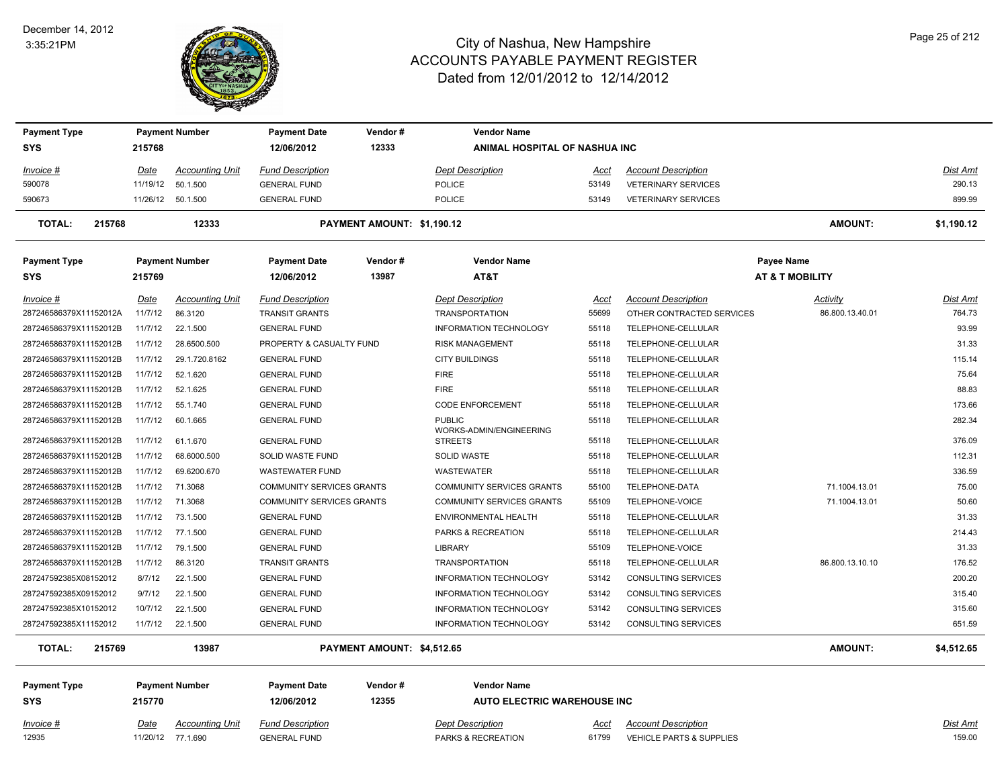#### December 14, 2012 3:35:21PM



| <b>Payment Type</b>     |             | <b>Payment Number</b>  | <b>Payment Date</b>              | Vendor#                    | <b>Vendor Name</b>                       |             |                                     |                            |                 |
|-------------------------|-------------|------------------------|----------------------------------|----------------------------|------------------------------------------|-------------|-------------------------------------|----------------------------|-----------------|
| <b>SYS</b>              | 215768      |                        | 12/06/2012                       | 12333                      | ANIMAL HOSPITAL OF NASHUA INC            |             |                                     |                            |                 |
| <u>Invoice #</u>        | Date        | <b>Accounting Unit</b> | <b>Fund Description</b>          |                            | <b>Dept Description</b>                  | Acct        | <b>Account Description</b>          |                            | Dist Amt        |
| 590078                  | 11/19/12    | 50.1.500               | <b>GENERAL FUND</b>              |                            | POLICE                                   | 53149       | <b>VETERINARY SERVICES</b>          |                            | 290.13          |
| 590673                  |             | 11/26/12 50.1.500      | <b>GENERAL FUND</b>              |                            | <b>POLICE</b>                            | 53149       | <b>VETERINARY SERVICES</b>          |                            | 899.99          |
| 215768<br><b>TOTAL:</b> |             | 12333                  |                                  | PAYMENT AMOUNT: \$1,190.12 |                                          |             |                                     | <b>AMOUNT:</b>             | \$1,190.12      |
| <b>Payment Type</b>     |             | <b>Payment Number</b>  | <b>Payment Date</b>              | Vendor#                    | <b>Vendor Name</b>                       |             |                                     | <b>Payee Name</b>          |                 |
| <b>SYS</b>              | 215769      |                        | 12/06/2012                       | 13987                      | AT&T                                     |             |                                     | <b>AT &amp; T MOBILITY</b> |                 |
| Invoice #               | Date        | <b>Accounting Unit</b> | <b>Fund Description</b>          |                            | <b>Dept Description</b>                  | Acct        | <b>Account Description</b>          | <b>Activity</b>            | Dist Amt        |
| 287246586379X11152012A  | 11/7/12     | 86.3120                | <b>TRANSIT GRANTS</b>            |                            | <b>TRANSPORTATION</b>                    | 55699       | OTHER CONTRACTED SERVICES           | 86.800.13.40.01            | 764.73          |
| 287246586379X11152012B  | 11/7/12     | 22.1.500               | <b>GENERAL FUND</b>              |                            | INFORMATION TECHNOLOGY                   | 55118       | TELEPHONE-CELLULAR                  |                            | 93.99           |
| 287246586379X11152012B  | 11/7/12     | 28.6500.500            | PROPERTY & CASUALTY FUND         |                            | <b>RISK MANAGEMENT</b>                   | 55118       | TELEPHONE-CELLULAR                  |                            | 31.33           |
| 287246586379X11152012B  | 11/7/12     | 29.1.720.8162          | <b>GENERAL FUND</b>              |                            | <b>CITY BUILDINGS</b>                    | 55118       | TELEPHONE-CELLULAR                  |                            | 115.14          |
| 287246586379X11152012B  | 11/7/12     | 52.1.620               | <b>GENERAL FUND</b>              |                            | <b>FIRE</b>                              | 55118       | TELEPHONE-CELLULAR                  |                            | 75.64           |
| 287246586379X11152012B  | 11/7/12     | 52.1.625               | <b>GENERAL FUND</b>              |                            | <b>FIRE</b>                              | 55118       | TELEPHONE-CELLULAR                  |                            | 88.83           |
| 287246586379X11152012B  | 11/7/12     | 55.1.740               | <b>GENERAL FUND</b>              |                            | <b>CODE ENFORCEMENT</b>                  | 55118       | TELEPHONE-CELLULAR                  |                            | 173.66          |
| 287246586379X11152012B  | 11/7/12     | 60.1.665               | <b>GENERAL FUND</b>              |                            | <b>PUBLIC</b><br>WORKS-ADMIN/ENGINEERING | 55118       | TELEPHONE-CELLULAR                  |                            | 282.34          |
| 287246586379X11152012B  | 11/7/12     | 61.1.670               | <b>GENERAL FUND</b>              |                            | <b>STREETS</b>                           | 55118       | TELEPHONE-CELLULAR                  |                            | 376.09          |
| 287246586379X11152012B  | 11/7/12     | 68.6000.500            | SOLID WASTE FUND                 |                            | <b>SOLID WASTE</b>                       | 55118       | TELEPHONE-CELLULAR                  |                            | 112.31          |
| 287246586379X11152012B  | 11/7/12     | 69.6200.670            | <b>WASTEWATER FUND</b>           |                            | <b>WASTEWATER</b>                        | 55118       | TELEPHONE-CELLULAR                  |                            | 336.59          |
| 287246586379X11152012B  | 11/7/12     | 71.3068                | <b>COMMUNITY SERVICES GRANTS</b> |                            | <b>COMMUNITY SERVICES GRANTS</b>         | 55100       | TELEPHONE-DATA                      | 71.1004.13.01              | 75.00           |
| 287246586379X11152012B  | 11/7/12     | 71.3068                | COMMUNITY SERVICES GRANTS        |                            | COMMUNITY SERVICES GRANTS                | 55109       | TELEPHONE-VOICE                     | 71.1004.13.01              | 50.60           |
| 287246586379X11152012B  | 11/7/12     | 73.1.500               | <b>GENERAL FUND</b>              |                            | ENVIRONMENTAL HEALTH                     | 55118       | TELEPHONE-CELLULAR                  |                            | 31.33           |
| 287246586379X11152012B  | 11/7/12     | 77.1.500               | <b>GENERAL FUND</b>              |                            | PARKS & RECREATION                       | 55118       | TELEPHONE-CELLULAR                  |                            | 214.43          |
| 287246586379X11152012B  | 11/7/12     | 79.1.500               | <b>GENERAL FUND</b>              |                            | <b>LIBRARY</b>                           | 55109       | TELEPHONE-VOICE                     |                            | 31.33           |
| 287246586379X11152012B  | 11/7/12     | 86.3120                | <b>TRANSIT GRANTS</b>            |                            | <b>TRANSPORTATION</b>                    | 55118       | TELEPHONE-CELLULAR                  | 86.800.13.10.10            | 176.52          |
| 287247592385X08152012   | 8/7/12      | 22.1.500               | <b>GENERAL FUND</b>              |                            | INFORMATION TECHNOLOGY                   | 53142       | CONSULTING SERVICES                 |                            | 200.20          |
| 287247592385X09152012   | 9/7/12      | 22.1.500               | <b>GENERAL FUND</b>              |                            | INFORMATION TECHNOLOGY                   | 53142       | CONSULTING SERVICES                 |                            | 315.40          |
| 287247592385X10152012   | 10/7/12     | 22.1.500               | <b>GENERAL FUND</b>              |                            | <b>INFORMATION TECHNOLOGY</b>            | 53142       | CONSULTING SERVICES                 |                            | 315.60          |
| 287247592385X11152012   | 11/7/12     | 22.1.500               | <b>GENERAL FUND</b>              |                            | <b>INFORMATION TECHNOLOGY</b>            | 53142       | CONSULTING SERVICES                 |                            | 651.59          |
| <b>TOTAL:</b><br>215769 |             | 13987                  |                                  | PAYMENT AMOUNT: \$4,512.65 |                                          |             |                                     | <b>AMOUNT:</b>             | \$4,512.65      |
| <b>Payment Type</b>     |             | <b>Payment Number</b>  | <b>Payment Date</b>              | Vendor#                    | <b>Vendor Name</b>                       |             |                                     |                            |                 |
| <b>SYS</b>              | 215770      |                        | 12/06/2012                       | 12355                      | <b>AUTO ELECTRIC WAREHOUSE INC</b>       |             |                                     |                            |                 |
| <u>Invoice #</u>        | <u>Date</u> | <b>Accounting Unit</b> | <u>Fund Description</u>          |                            | <b>Dept Description</b>                  | <u>Acct</u> | <b>Account Description</b>          |                            | <u>Dist Amt</u> |
| 12935                   |             | 11/20/12 77.1.690      | <b>GENERAL FUND</b>              |                            | PARKS & RECREATION                       | 61799       | <b>VEHICLE PARTS &amp; SUPPLIES</b> |                            | 159.00          |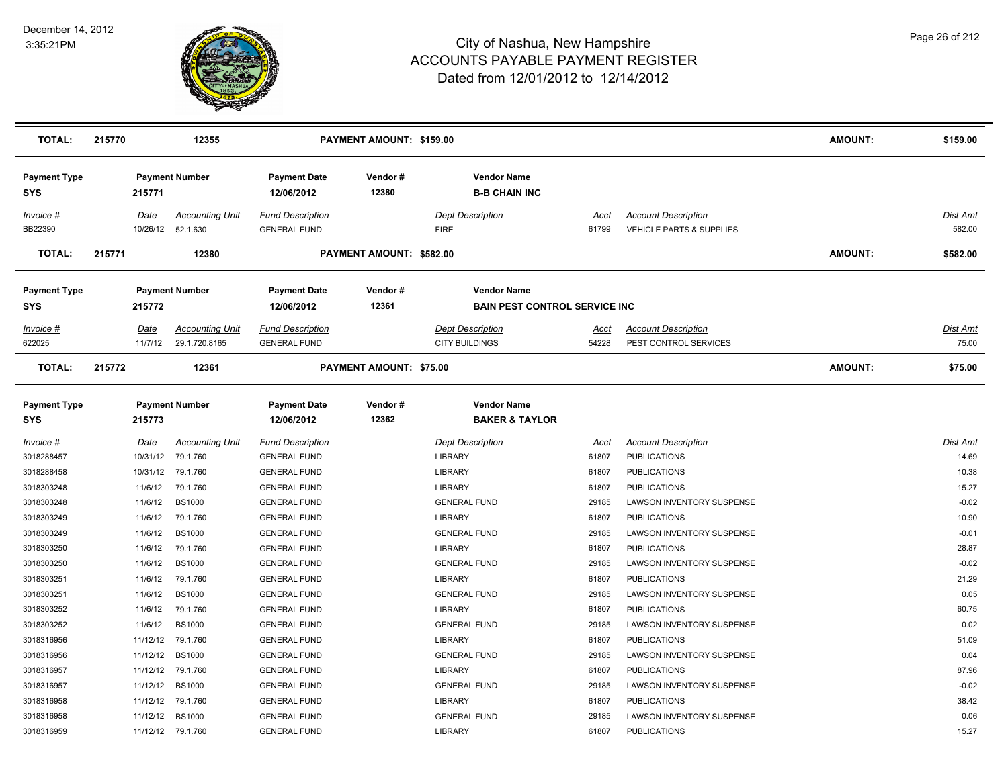

| <b>TOTAL:</b>                     | 215770 |                         | 12355                                       |                                                | PAYMENT AMOUNT: \$159.00 |                                                            |                      |                                                        | <b>AMOUNT:</b> | \$159.00                 |
|-----------------------------------|--------|-------------------------|---------------------------------------------|------------------------------------------------|--------------------------|------------------------------------------------------------|----------------------|--------------------------------------------------------|----------------|--------------------------|
| <b>Payment Type</b><br><b>SYS</b> |        | 215771                  | <b>Payment Number</b>                       | <b>Payment Date</b><br>12/06/2012              | Vendor#<br>12380         | <b>Vendor Name</b><br><b>B-B CHAIN INC</b>                 |                      |                                                        |                |                          |
| Invoice #<br>BB22390              |        | Date                    | <b>Accounting Unit</b><br>10/26/12 52.1.630 | <b>Fund Description</b><br><b>GENERAL FUND</b> |                          | <b>Dept Description</b><br><b>FIRE</b>                     | Acct<br>61799        | <b>Account Description</b><br>VEHICLE PARTS & SUPPLIES |                | Dist Amt<br>582.00       |
| <b>TOTAL:</b>                     | 215771 |                         | 12380                                       |                                                | PAYMENT AMOUNT: \$582.00 |                                                            |                      |                                                        | <b>AMOUNT:</b> | \$582.00                 |
| <b>Payment Type</b><br><b>SYS</b> |        | 215772                  | <b>Payment Number</b>                       | <b>Payment Date</b><br>12/06/2012              | Vendor#<br>12361         | <b>Vendor Name</b><br><b>BAIN PEST CONTROL SERVICE INC</b> |                      |                                                        |                |                          |
| Invoice #<br>622025               |        | <u>Date</u><br>11/7/12  | <b>Accounting Unit</b><br>29.1.720.8165     | <b>Fund Description</b><br><b>GENERAL FUND</b> |                          | <b>Dept Description</b><br><b>CITY BUILDINGS</b>           | <u>Acct</u><br>54228 | <b>Account Description</b><br>PEST CONTROL SERVICES    |                | <u>Dist Amt</u><br>75.00 |
| <b>TOTAL:</b>                     | 215772 |                         | 12361                                       |                                                | PAYMENT AMOUNT: \$75.00  |                                                            |                      |                                                        | <b>AMOUNT:</b> | \$75.00                  |
| <b>Payment Type</b><br><b>SYS</b> |        | 215773                  | <b>Payment Number</b>                       | <b>Payment Date</b><br>12/06/2012              | Vendor#<br>12362         | <b>Vendor Name</b><br><b>BAKER &amp; TAYLOR</b>            |                      |                                                        |                |                          |
| $Invoice$ #<br>3018288457         |        | <u>Date</u><br>10/31/12 | <b>Accounting Unit</b><br>79.1.760          | <b>Fund Description</b><br><b>GENERAL FUND</b> |                          | <b>Dept Description</b><br>LIBRARY                         | <b>Acct</b><br>61807 | <b>Account Description</b><br><b>PUBLICATIONS</b>      |                | <b>Dist Amt</b><br>14.69 |
| 3018288458                        |        | 10/31/12                | 79.1.760                                    | <b>GENERAL FUND</b>                            |                          | <b>LIBRARY</b>                                             | 61807                | <b>PUBLICATIONS</b>                                    |                | 10.38                    |
| 3018303248                        |        | 11/6/12                 | 79.1.760                                    | <b>GENERAL FUND</b>                            |                          | <b>LIBRARY</b>                                             | 61807                | <b>PUBLICATIONS</b>                                    |                | 15.27                    |
| 3018303248                        |        | 11/6/12                 | <b>BS1000</b>                               | <b>GENERAL FUND</b>                            |                          | <b>GENERAL FUND</b>                                        | 29185                | LAWSON INVENTORY SUSPENSE                              |                | $-0.02$                  |
| 3018303249                        |        | 11/6/12                 | 79.1.760                                    | <b>GENERAL FUND</b>                            |                          | <b>LIBRARY</b>                                             | 61807                | <b>PUBLICATIONS</b>                                    |                | 10.90                    |
| 3018303249                        |        | 11/6/12                 | <b>BS1000</b>                               | <b>GENERAL FUND</b>                            |                          | <b>GENERAL FUND</b>                                        | 29185                | LAWSON INVENTORY SUSPENSE                              |                | $-0.01$                  |
| 3018303250                        |        | 11/6/12                 | 79.1.760                                    | <b>GENERAL FUND</b>                            |                          | <b>LIBRARY</b>                                             | 61807                | <b>PUBLICATIONS</b>                                    |                | 28.87                    |
| 3018303250                        |        | 11/6/12                 | <b>BS1000</b>                               | <b>GENERAL FUND</b>                            |                          | <b>GENERAL FUND</b>                                        | 29185                | LAWSON INVENTORY SUSPENSE                              |                | $-0.02$                  |
| 3018303251                        |        | 11/6/12                 | 79.1.760                                    | <b>GENERAL FUND</b>                            |                          | <b>LIBRARY</b>                                             | 61807                | <b>PUBLICATIONS</b>                                    |                | 21.29                    |
| 3018303251                        |        | 11/6/12                 | <b>BS1000</b>                               | <b>GENERAL FUND</b>                            |                          | <b>GENERAL FUND</b>                                        | 29185                | LAWSON INVENTORY SUSPENSE                              |                | 0.05                     |
| 3018303252                        |        | 11/6/12                 | 79.1.760                                    | <b>GENERAL FUND</b>                            |                          | LIBRARY                                                    | 61807                | <b>PUBLICATIONS</b>                                    |                | 60.75                    |
| 3018303252                        |        | 11/6/12                 | <b>BS1000</b>                               | <b>GENERAL FUND</b>                            |                          | <b>GENERAL FUND</b>                                        | 29185                | LAWSON INVENTORY SUSPENSE                              |                | 0.02                     |
| 3018316956                        |        | 11/12/12                | 79.1.760                                    | <b>GENERAL FUND</b>                            |                          | LIBRARY                                                    | 61807                | <b>PUBLICATIONS</b>                                    |                | 51.09                    |
| 3018316956                        |        | 11/12/12                | <b>BS1000</b>                               | <b>GENERAL FUND</b>                            |                          | <b>GENERAL FUND</b>                                        | 29185                | LAWSON INVENTORY SUSPENSE                              |                | 0.04                     |
| 3018316957                        |        | 11/12/12                | 79.1.760                                    | <b>GENERAL FUND</b>                            |                          | LIBRARY                                                    | 61807                | <b>PUBLICATIONS</b>                                    |                | 87.96                    |
| 3018316957                        |        | 11/12/12                | <b>BS1000</b>                               | <b>GENERAL FUND</b>                            |                          | <b>GENERAL FUND</b>                                        | 29185                | LAWSON INVENTORY SUSPENSE                              |                | $-0.02$                  |
| 3018316958                        |        | 11/12/12                | 79.1.760                                    | <b>GENERAL FUND</b>                            |                          | LIBRARY                                                    | 61807                | <b>PUBLICATIONS</b>                                    |                | 38.42                    |
| 3018316958                        |        | 11/12/12                | <b>BS1000</b>                               | <b>GENERAL FUND</b>                            |                          | <b>GENERAL FUND</b>                                        | 29185                | <b>LAWSON INVENTORY SUSPENSE</b>                       |                | 0.06                     |
| 3018316959                        |        |                         | 11/12/12 79.1.760                           | <b>GENERAL FUND</b>                            |                          | <b>LIBRARY</b>                                             | 61807                | <b>PUBLICATIONS</b>                                    |                | 15.27                    |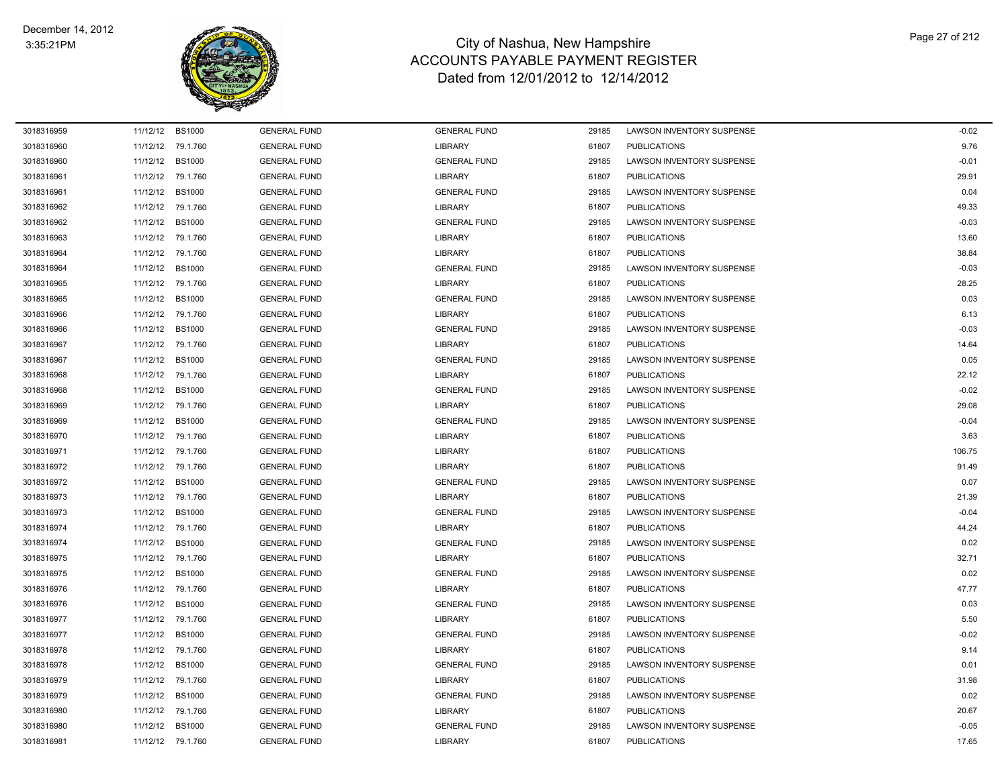

| 3018316959 |          | 11/12/12 BS1000   | <b>GENERAL FUND</b> | <b>GENERAL FUND</b> | 29185 | LAWSON INVENTORY SUSPENSE        | $-0.02$ |
|------------|----------|-------------------|---------------------|---------------------|-------|----------------------------------|---------|
| 3018316960 |          | 11/12/12 79.1.760 | <b>GENERAL FUND</b> | <b>LIBRARY</b>      | 61807 | <b>PUBLICATIONS</b>              | 9.76    |
| 3018316960 | 11/12/12 | <b>BS1000</b>     | <b>GENERAL FUND</b> | <b>GENERAL FUND</b> | 29185 | LAWSON INVENTORY SUSPENSE        | $-0.01$ |
| 3018316961 |          | 11/12/12 79.1.760 | <b>GENERAL FUND</b> | <b>LIBRARY</b>      | 61807 | <b>PUBLICATIONS</b>              | 29.91   |
| 3018316961 | 11/12/12 | <b>BS1000</b>     | <b>GENERAL FUND</b> | <b>GENERAL FUND</b> | 29185 | <b>LAWSON INVENTORY SUSPENSE</b> | 0.04    |
| 3018316962 |          | 11/12/12 79.1.760 | <b>GENERAL FUND</b> | <b>LIBRARY</b>      | 61807 | <b>PUBLICATIONS</b>              | 49.33   |
| 3018316962 | 11/12/12 | <b>BS1000</b>     | <b>GENERAL FUND</b> | <b>GENERAL FUND</b> | 29185 | LAWSON INVENTORY SUSPENSE        | $-0.03$ |
| 3018316963 | 11/12/12 | 79.1.760          | <b>GENERAL FUND</b> | <b>LIBRARY</b>      | 61807 | <b>PUBLICATIONS</b>              | 13.60   |
| 3018316964 |          | 11/12/12 79.1.760 | <b>GENERAL FUND</b> | <b>LIBRARY</b>      | 61807 | <b>PUBLICATIONS</b>              | 38.84   |
| 3018316964 | 11/12/12 | <b>BS1000</b>     | <b>GENERAL FUND</b> | <b>GENERAL FUND</b> | 29185 | LAWSON INVENTORY SUSPENSE        | $-0.03$ |
| 3018316965 |          | 11/12/12 79.1.760 | <b>GENERAL FUND</b> | <b>LIBRARY</b>      | 61807 | <b>PUBLICATIONS</b>              | 28.25   |
| 3018316965 |          | 11/12/12 BS1000   | <b>GENERAL FUND</b> | <b>GENERAL FUND</b> | 29185 | LAWSON INVENTORY SUSPENSE        | 0.03    |
| 3018316966 |          | 11/12/12 79.1.760 | <b>GENERAL FUND</b> | <b>LIBRARY</b>      | 61807 | <b>PUBLICATIONS</b>              | 6.13    |
| 3018316966 | 11/12/12 | <b>BS1000</b>     | <b>GENERAL FUND</b> | <b>GENERAL FUND</b> | 29185 | LAWSON INVENTORY SUSPENSE        | $-0.03$ |
| 3018316967 | 11/12/12 | 79.1.760          | <b>GENERAL FUND</b> | <b>LIBRARY</b>      | 61807 | <b>PUBLICATIONS</b>              | 14.64   |
| 3018316967 | 11/12/12 | <b>BS1000</b>     | <b>GENERAL FUND</b> | <b>GENERAL FUND</b> | 29185 | LAWSON INVENTORY SUSPENSE        | 0.05    |
| 3018316968 |          | 11/12/12 79.1.760 | <b>GENERAL FUND</b> | <b>LIBRARY</b>      | 61807 | <b>PUBLICATIONS</b>              | 22.12   |
| 3018316968 | 11/12/12 | <b>BS1000</b>     | <b>GENERAL FUND</b> | <b>GENERAL FUND</b> | 29185 | LAWSON INVENTORY SUSPENSE        | $-0.02$ |
| 3018316969 |          | 11/12/12 79.1.760 | <b>GENERAL FUND</b> | <b>LIBRARY</b>      | 61807 | <b>PUBLICATIONS</b>              | 29.08   |
| 3018316969 | 11/12/12 | <b>BS1000</b>     | <b>GENERAL FUND</b> | <b>GENERAL FUND</b> | 29185 | LAWSON INVENTORY SUSPENSE        | $-0.04$ |
| 3018316970 | 11/12/12 | 79.1.760          | <b>GENERAL FUND</b> | <b>LIBRARY</b>      | 61807 | <b>PUBLICATIONS</b>              | 3.63    |
| 3018316971 |          | 11/12/12 79.1.760 | <b>GENERAL FUND</b> | <b>LIBRARY</b>      | 61807 | <b>PUBLICATIONS</b>              | 106.75  |
| 3018316972 |          | 11/12/12 79.1.760 | <b>GENERAL FUND</b> | <b>LIBRARY</b>      | 61807 | <b>PUBLICATIONS</b>              | 91.49   |
| 3018316972 | 11/12/12 | <b>BS1000</b>     | <b>GENERAL FUND</b> | <b>GENERAL FUND</b> | 29185 | LAWSON INVENTORY SUSPENSE        | 0.07    |
| 3018316973 |          | 11/12/12 79.1.760 | <b>GENERAL FUND</b> | <b>LIBRARY</b>      | 61807 | <b>PUBLICATIONS</b>              | 21.39   |
| 3018316973 | 11/12/12 | <b>BS1000</b>     | <b>GENERAL FUND</b> | <b>GENERAL FUND</b> | 29185 | LAWSON INVENTORY SUSPENSE        | $-0.04$ |
| 3018316974 | 11/12/12 | 79.1.760          | <b>GENERAL FUND</b> | <b>LIBRARY</b>      | 61807 | <b>PUBLICATIONS</b>              | 44.24   |
| 3018316974 | 11/12/12 | <b>BS1000</b>     | <b>GENERAL FUND</b> | <b>GENERAL FUND</b> | 29185 | <b>LAWSON INVENTORY SUSPENSE</b> | 0.02    |
| 3018316975 |          | 11/12/12 79.1.760 | <b>GENERAL FUND</b> | <b>LIBRARY</b>      | 61807 | <b>PUBLICATIONS</b>              | 32.71   |
| 3018316975 | 11/12/12 | <b>BS1000</b>     | <b>GENERAL FUND</b> | <b>GENERAL FUND</b> | 29185 | LAWSON INVENTORY SUSPENSE        | 0.02    |
| 3018316976 | 11/12/12 | 79.1.760          | <b>GENERAL FUND</b> | <b>LIBRARY</b>      | 61807 | <b>PUBLICATIONS</b>              | 47.77   |
| 3018316976 | 11/12/12 | <b>BS1000</b>     | <b>GENERAL FUND</b> | <b>GENERAL FUND</b> | 29185 | LAWSON INVENTORY SUSPENSE        | 0.03    |
| 3018316977 |          | 11/12/12 79.1.760 | <b>GENERAL FUND</b> | <b>LIBRARY</b>      | 61807 | <b>PUBLICATIONS</b>              | 5.50    |
| 3018316977 | 11/12/12 | <b>BS1000</b>     | <b>GENERAL FUND</b> | <b>GENERAL FUND</b> | 29185 | LAWSON INVENTORY SUSPENSE        | $-0.02$ |
| 3018316978 |          | 11/12/12 79.1.760 | <b>GENERAL FUND</b> | <b>LIBRARY</b>      | 61807 | <b>PUBLICATIONS</b>              | 9.14    |
| 3018316978 | 11/12/12 | <b>BS1000</b>     | <b>GENERAL FUND</b> | <b>GENERAL FUND</b> | 29185 | LAWSON INVENTORY SUSPENSE        | 0.01    |
| 3018316979 | 11/12/12 | 79.1.760          | <b>GENERAL FUND</b> | <b>LIBRARY</b>      | 61807 | <b>PUBLICATIONS</b>              | 31.98   |
| 3018316979 | 11/12/12 | <b>BS1000</b>     | <b>GENERAL FUND</b> | <b>GENERAL FUND</b> | 29185 | LAWSON INVENTORY SUSPENSE        | 0.02    |
| 3018316980 |          | 11/12/12 79.1.760 | <b>GENERAL FUND</b> | <b>LIBRARY</b>      | 61807 | <b>PUBLICATIONS</b>              | 20.67   |
| 3018316980 | 11/12/12 | <b>BS1000</b>     | <b>GENERAL FUND</b> | <b>GENERAL FUND</b> | 29185 | LAWSON INVENTORY SUSPENSE        | $-0.05$ |
| 3018316981 |          | 11/12/12 79.1.760 | <b>GENERAL FUND</b> | <b>LIBRARY</b>      | 61807 | <b>PUBLICATIONS</b>              | 17.65   |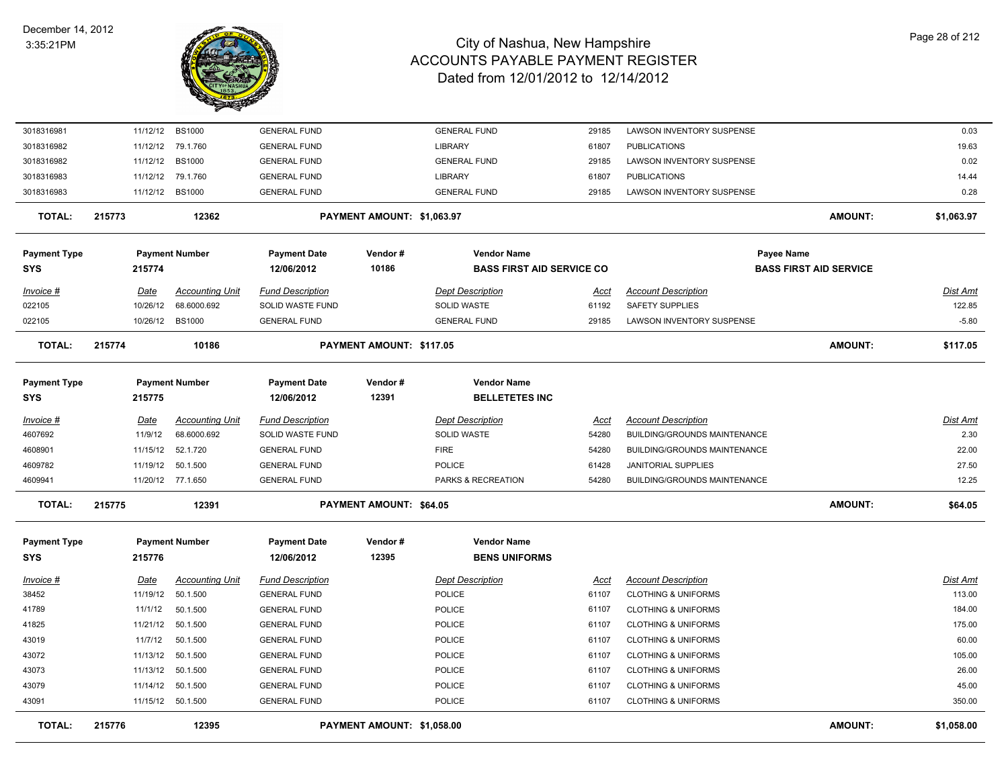

| <b>TOTAL:</b>                     | 215776 |                         | 12395                              |                                                | PAYMENT AMOUNT: \$1,058.00 |                                                        |                      |                                                              | <b>AMOUNT:</b>                | \$1,058.00         |
|-----------------------------------|--------|-------------------------|------------------------------------|------------------------------------------------|----------------------------|--------------------------------------------------------|----------------------|--------------------------------------------------------------|-------------------------------|--------------------|
| 43091                             |        |                         | 11/15/12 50.1.500                  | <b>GENERAL FUND</b>                            |                            | POLICE                                                 | 61107                | <b>CLOTHING &amp; UNIFORMS</b>                               |                               | 350.00             |
| 43079                             |        |                         | 11/14/12 50.1.500                  | <b>GENERAL FUND</b>                            |                            | POLICE                                                 | 61107                | <b>CLOTHING &amp; UNIFORMS</b>                               |                               | 45.00              |
| 43073                             |        | 11/13/12                | 50.1.500                           | <b>GENERAL FUND</b>                            |                            | POLICE                                                 | 61107                | <b>CLOTHING &amp; UNIFORMS</b>                               |                               | 26.00              |
| 43072                             |        | 11/13/12                | 50.1.500                           | <b>GENERAL FUND</b>                            |                            | POLICE                                                 | 61107                | <b>CLOTHING &amp; UNIFORMS</b>                               |                               | 105.00             |
| 43019                             |        | 11/7/12                 | 50.1.500                           | <b>GENERAL FUND</b>                            |                            | POLICE                                                 | 61107                | <b>CLOTHING &amp; UNIFORMS</b>                               |                               | 60.00              |
| 41825                             |        | 11/21/12                | 50.1.500                           | <b>GENERAL FUND</b>                            |                            | POLICE                                                 | 61107                | <b>CLOTHING &amp; UNIFORMS</b>                               |                               | 175.00             |
| 41789                             |        | 11/1/12                 | 50.1.500                           | <b>GENERAL FUND</b>                            |                            | POLICE                                                 | 61107                | <b>CLOTHING &amp; UNIFORMS</b>                               |                               | 184.00             |
| <u> Invoice #</u><br>38452        |        | <b>Date</b><br>11/19/12 | <b>Accounting Unit</b><br>50.1.500 | <b>Fund Description</b><br><b>GENERAL FUND</b> |                            | <b>Dept Description</b><br>POLICE                      | <u>Acct</u><br>61107 | <b>Account Description</b><br><b>CLOTHING &amp; UNIFORMS</b> |                               | Dist Amt<br>113.00 |
| <b>SYS</b>                        |        | 215776                  |                                    | 12/06/2012                                     | 12395                      | <b>BENS UNIFORMS</b>                                   |                      |                                                              |                               |                    |
| <b>Payment Type</b>               |        |                         | <b>Payment Number</b>              | <b>Payment Date</b>                            | Vendor#                    | <b>Vendor Name</b>                                     |                      |                                                              |                               |                    |
| <b>TOTAL:</b>                     | 215775 |                         | 12391                              |                                                | PAYMENT AMOUNT: \$64.05    |                                                        |                      |                                                              | <b>AMOUNT:</b>                | \$64.05            |
| 4609941                           |        |                         | 11/20/12 77.1.650                  | <b>GENERAL FUND</b>                            |                            | PARKS & RECREATION                                     | 54280                | BUILDING/GROUNDS MAINTENANCE                                 |                               | 12.25              |
| 4609782                           |        | 11/19/12                | 50.1.500                           | <b>GENERAL FUND</b>                            |                            | <b>POLICE</b>                                          | 61428                | <b>JANITORIAL SUPPLIES</b>                                   |                               | 27.50              |
| 4608901                           |        | 11/15/12                | 52.1.720                           | <b>GENERAL FUND</b>                            |                            | <b>FIRE</b>                                            | 54280                | BUILDING/GROUNDS MAINTENANCE                                 |                               | 22.00              |
| 4607692                           |        | 11/9/12                 | 68.6000.692                        | SOLID WASTE FUND                               |                            | <b>SOLID WASTE</b>                                     | 54280                | BUILDING/GROUNDS MAINTENANCE                                 |                               | 2.30               |
| <u> Invoice #</u>                 |        | Date                    | <b>Accounting Unit</b>             | <b>Fund Description</b>                        |                            | <b>Dept Description</b>                                | <u>Acct</u>          | <b>Account Description</b>                                   |                               | Dist Amt           |
| <b>Payment Type</b><br><b>SYS</b> |        | 215775                  | <b>Payment Number</b>              | <b>Payment Date</b><br>12/06/2012              | Vendor#<br>12391           | <b>Vendor Name</b><br><b>BELLETETES INC</b>            |                      |                                                              |                               |                    |
| <b>TOTAL:</b>                     | 215774 |                         | 10186                              |                                                | PAYMENT AMOUNT: \$117.05   |                                                        |                      |                                                              | <b>AMOUNT:</b>                | \$117.05           |
| 022105                            |        | 10/26/12 BS1000         |                                    | <b>GENERAL FUND</b>                            |                            | <b>GENERAL FUND</b>                                    | 29185                | <b>LAWSON INVENTORY SUSPENSE</b>                             |                               | $-5.80$            |
| 022105                            |        | 10/26/12                | 68.6000.692                        | SOLID WASTE FUND                               |                            | SOLID WASTE                                            | 61192                | <b>SAFETY SUPPLIES</b>                                       |                               | 122.85             |
| <u> Invoice #</u>                 |        | <u>Date</u>             | <b>Accounting Unit</b>             | <b>Fund Description</b>                        |                            | <b>Dept Description</b>                                | <u>Acct</u>          | <b>Account Description</b>                                   |                               | Dist Amt           |
| Payment Type<br>SYS               |        | 215774                  | <b>Payment Number</b>              | <b>Payment Date</b><br>12/06/2012              | Vendor#<br>10186           | <b>Vendor Name</b><br><b>BASS FIRST AID SERVICE CO</b> |                      | <b>Payee Name</b>                                            | <b>BASS FIRST AID SERVICE</b> |                    |
| <b>TOTAL:</b>                     | 215773 |                         | 12362                              |                                                | PAYMENT AMOUNT: \$1,063.97 |                                                        |                      |                                                              | <b>AMOUNT:</b>                | \$1,063.97         |
| 3018316983                        |        | 11/12/12 BS1000         |                                    | <b>GENERAL FUND</b>                            |                            | <b>GENERAL FUND</b>                                    | 29185                | LAWSON INVENTORY SUSPENSE                                    |                               | 0.28               |
| 3018316983                        |        | 11/12/12                | 79.1.760                           | <b>GENERAL FUND</b>                            |                            | LIBRARY                                                | 61807                | <b>PUBLICATIONS</b>                                          |                               | 14.44              |
| 3018316982                        |        | 11/12/12                | <b>BS1000</b>                      | <b>GENERAL FUND</b>                            |                            | <b>GENERAL FUND</b>                                    | 29185                | LAWSON INVENTORY SUSPENSE                                    |                               | 0.02               |
| 3018316982                        |        | 11/12/12                | 79.1.760                           | <b>GENERAL FUND</b>                            |                            | <b>LIBRARY</b>                                         | 61807                | <b>PUBLICATIONS</b>                                          |                               | 19.63              |
| 3018316981                        |        | 11/12/12                | <b>BS1000</b>                      | <b>GENERAL FUND</b>                            |                            | <b>GENERAL FUND</b>                                    | 29185                | LAWSON INVENTORY SUSPENSE                                    |                               | 0.03               |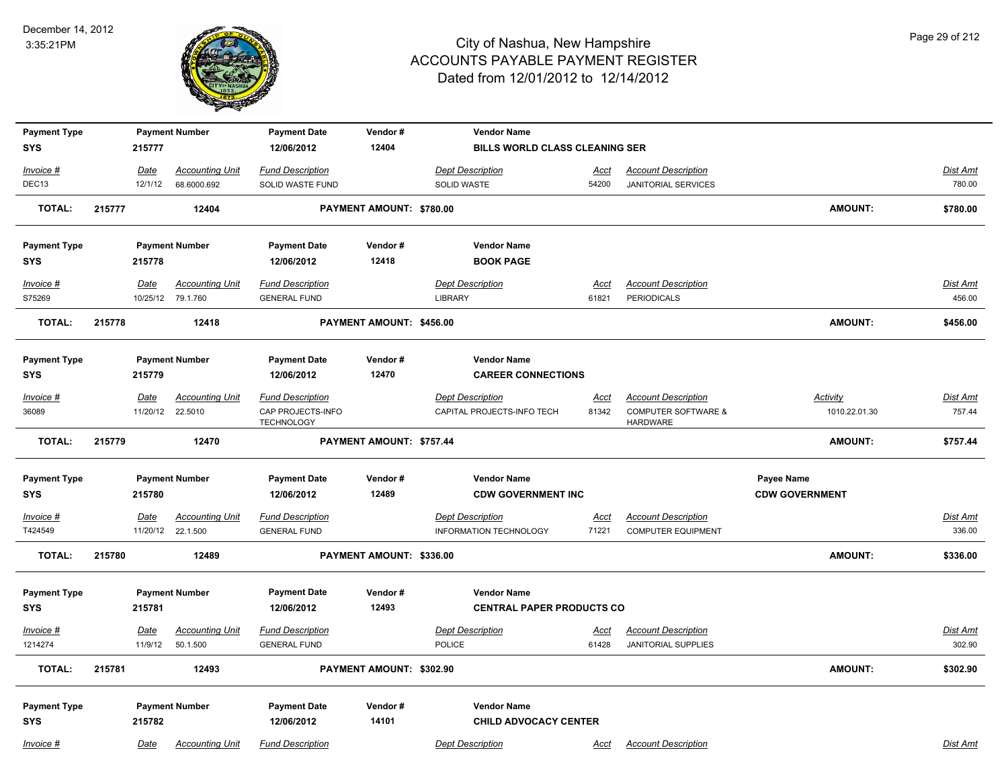

| <b>Payment Type</b>  |        |             | <b>Payment Number</b>                       | <b>Payment Date</b>                            | Vendor#                  | <b>Vendor Name</b>                                |                      |                                                         |                       |                    |
|----------------------|--------|-------------|---------------------------------------------|------------------------------------------------|--------------------------|---------------------------------------------------|----------------------|---------------------------------------------------------|-----------------------|--------------------|
| <b>SYS</b>           |        | 215777      |                                             | 12/06/2012                                     | 12404                    | <b>BILLS WORLD CLASS CLEANING SER</b>             |                      |                                                         |                       |                    |
| Invoice #            |        | Date        | <b>Accounting Unit</b>                      | <b>Fund Description</b>                        |                          | <b>Dept Description</b>                           | Acct                 | <b>Account Description</b>                              |                       | Dist Amt           |
| DEC13                |        | 12/1/12     | 68.6000.692                                 | SOLID WASTE FUND                               |                          | SOLID WASTE                                       | 54200                | <b>JANITORIAL SERVICES</b>                              |                       | 780.00             |
| <b>TOTAL:</b>        | 215777 |             | 12404                                       |                                                | PAYMENT AMOUNT: \$780.00 |                                                   |                      |                                                         | AMOUNT:               | \$780.00           |
| <b>Payment Type</b>  |        |             | <b>Payment Number</b>                       | <b>Payment Date</b>                            | Vendor#                  | <b>Vendor Name</b>                                |                      |                                                         |                       |                    |
| SYS                  |        | 215778      |                                             | 12/06/2012                                     | 12418                    | <b>BOOK PAGE</b>                                  |                      |                                                         |                       |                    |
| Invoice #<br>S75269  |        | Date        | <b>Accounting Unit</b><br>10/25/12 79.1.760 | <b>Fund Description</b><br><b>GENERAL FUND</b> |                          | <b>Dept Description</b><br><b>LIBRARY</b>         | Acct<br>61821        | <b>Account Description</b><br><b>PERIODICALS</b>        |                       | Dist Amt<br>456.00 |
| <b>TOTAL:</b>        | 215778 |             | 12418                                       |                                                | PAYMENT AMOUNT: \$456.00 |                                                   |                      |                                                         | <b>AMOUNT:</b>        | \$456.00           |
| <b>Payment Type</b>  |        |             | <b>Payment Number</b>                       | <b>Payment Date</b>                            | Vendor#                  | <b>Vendor Name</b>                                |                      |                                                         |                       |                    |
| <b>SYS</b>           |        | 215779      |                                             | 12/06/2012                                     | 12470                    | <b>CAREER CONNECTIONS</b>                         |                      |                                                         |                       |                    |
| Invoice #            |        | <b>Date</b> | <b>Accounting Unit</b>                      | <b>Fund Description</b>                        |                          | <b>Dept Description</b>                           | <b>Acct</b>          | <b>Account Description</b>                              | <b>Activity</b>       | Dist Amt           |
| 36089                |        | 11/20/12    | 22.5010                                     | CAP PROJECTS-INFO<br><b>TECHNOLOGY</b>         |                          | CAPITAL PROJECTS-INFO TECH                        | 81342                | <b>COMPUTER SOFTWARE &amp;</b><br><b>HARDWARE</b>       | 1010.22.01.30         | 757.44             |
| <b>TOTAL:</b>        | 215779 |             | 12470                                       |                                                | PAYMENT AMOUNT: \$757.44 |                                                   |                      |                                                         | AMOUNT:               | \$757.44           |
| <b>Payment Type</b>  |        |             | <b>Payment Number</b>                       | <b>Payment Date</b>                            | Vendor#                  | <b>Vendor Name</b>                                |                      |                                                         | Payee Name            |                    |
| <b>SYS</b>           |        | 215780      |                                             | 12/06/2012                                     | 12489                    | <b>CDW GOVERNMENT INC</b>                         |                      |                                                         | <b>CDW GOVERNMENT</b> |                    |
| Invoice #<br>T424549 |        | Date        | <b>Accounting Unit</b><br>11/20/12 22.1.500 | <b>Fund Description</b><br><b>GENERAL FUND</b> |                          | <b>Dept Description</b><br>INFORMATION TECHNOLOGY | <u>Acct</u><br>71221 | <b>Account Description</b><br><b>COMPUTER EQUIPMENT</b> |                       | Dist Amt<br>336.00 |
| <b>TOTAL:</b>        | 215780 |             | 12489                                       |                                                | PAYMENT AMOUNT: \$336.00 |                                                   |                      |                                                         | <b>AMOUNT:</b>        | \$336.00           |
| <b>Payment Type</b>  |        |             | <b>Payment Number</b>                       | <b>Payment Date</b>                            | Vendor#                  | <b>Vendor Name</b>                                |                      |                                                         |                       |                    |
| <b>SYS</b>           |        | 215781      |                                             | 12/06/2012                                     | 12493                    | <b>CENTRAL PAPER PRODUCTS CO</b>                  |                      |                                                         |                       |                    |
| Invoice #            |        | <u>Date</u> | <b>Accounting Unit</b>                      | <b>Fund Description</b>                        |                          | <b>Dept Description</b>                           | <u>Acct</u>          | <b>Account Description</b>                              |                       | <b>Dist Amt</b>    |
| 1214274              |        | 11/9/12     | 50.1.500                                    | <b>GENERAL FUND</b>                            |                          | <b>POLICE</b>                                     | 61428                | <b>JANITORIAL SUPPLIES</b>                              |                       | 302.90             |
| <b>TOTAL:</b>        | 215781 |             | 12493                                       |                                                | PAYMENT AMOUNT: \$302.90 |                                                   |                      |                                                         | AMOUNT:               | \$302.90           |
| <b>Payment Type</b>  |        |             | <b>Payment Number</b>                       | <b>Payment Date</b>                            | Vendor#                  | <b>Vendor Name</b>                                |                      |                                                         |                       |                    |
| <b>SYS</b>           |        | 215782      |                                             | 12/06/2012                                     | 14101                    | <b>CHILD ADVOCACY CENTER</b>                      |                      |                                                         |                       |                    |
| Invoice #            |        | Date        | <b>Accounting Unit</b>                      | <b>Fund Description</b>                        |                          | <b>Dept Description</b>                           | Acct                 | <b>Account Description</b>                              |                       | Dist Amt           |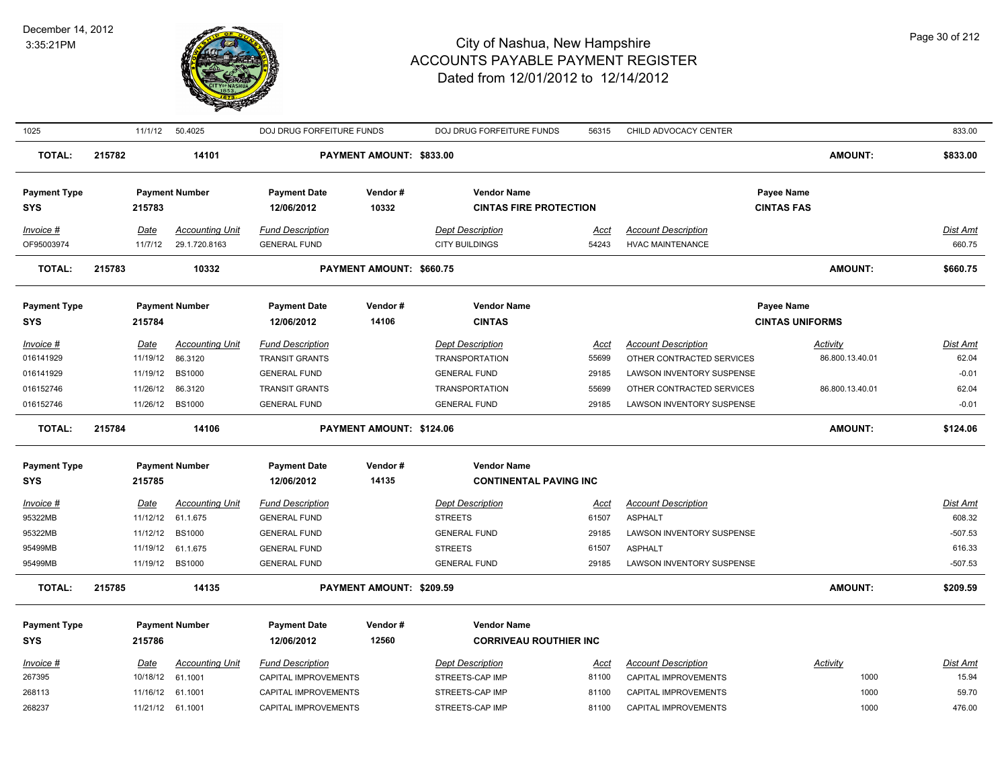

| 1025                              |        | 11/1/12                 | 50.4025                | DOJ DRUG FORFEITURE FUNDS                      |                                 | DOJ DRUG FORFEITURE FUNDS                           | 56315                | CHILD ADVOCACY CENTER      |                                 | 833.00                    |
|-----------------------------------|--------|-------------------------|------------------------|------------------------------------------------|---------------------------------|-----------------------------------------------------|----------------------|----------------------------|---------------------------------|---------------------------|
| <b>TOTAL:</b>                     | 215782 |                         | 14101                  |                                                | PAYMENT AMOUNT: \$833.00        |                                                     |                      |                            | <b>AMOUNT:</b>                  | \$833.00                  |
| <b>Payment Type</b>               |        | 215783                  | <b>Payment Number</b>  | <b>Payment Date</b><br>12/06/2012              | Vendor#<br>10332                | <b>Vendor Name</b><br><b>CINTAS FIRE PROTECTION</b> |                      |                            | Payee Name<br><b>CINTAS FAS</b> |                           |
| SYS                               |        |                         |                        |                                                |                                 |                                                     |                      |                            |                                 |                           |
| Invoice #                         |        | Date                    | <b>Accounting Unit</b> | <b>Fund Description</b>                        |                                 | <b>Dept Description</b>                             | Acct                 | <b>Account Description</b> |                                 | <b>Dist Amt</b>           |
| OF95003974                        |        | 11/7/12                 | 29.1.720.8163          | <b>GENERAL FUND</b>                            |                                 | <b>CITY BUILDINGS</b>                               | 54243                | <b>HVAC MAINTENANCE</b>    |                                 | 660.75                    |
| <b>TOTAL:</b>                     | 215783 |                         | 10332                  |                                                | PAYMENT AMOUNT: \$660.75        |                                                     |                      |                            | <b>AMOUNT:</b>                  | \$660.75                  |
| <b>Payment Type</b>               |        |                         | <b>Payment Number</b>  | <b>Payment Date</b>                            | Vendor#                         | <b>Vendor Name</b>                                  |                      |                            | Payee Name                      |                           |
| <b>SYS</b>                        |        | 215784                  |                        | 12/06/2012                                     | 14106                           | <b>CINTAS</b>                                       |                      |                            | <b>CINTAS UNIFORMS</b>          |                           |
| Invoice #                         |        | Date                    | <b>Accounting Unit</b> | <b>Fund Description</b>                        |                                 | <b>Dept Description</b>                             | Acct                 | <b>Account Description</b> | Activity                        | <b>Dist Amt</b>           |
| 016141929                         |        | 11/19/12                | 86.3120                | <b>TRANSIT GRANTS</b>                          |                                 | <b>TRANSPORTATION</b>                               | 55699                | OTHER CONTRACTED SERVICES  | 86.800.13.40.01                 | 62.04                     |
| 016141929                         |        | 11/19/12                | <b>BS1000</b>          | <b>GENERAL FUND</b>                            |                                 | <b>GENERAL FUND</b>                                 | 29185                | LAWSON INVENTORY SUSPENSE  |                                 | $-0.01$                   |
| 016152746                         |        | 11/26/12                | 86.3120                | <b>TRANSIT GRANTS</b>                          |                                 | <b>TRANSPORTATION</b>                               | 55699                | OTHER CONTRACTED SERVICES  | 86.800.13.40.01                 | 62.04                     |
| 016152746                         |        | 11/26/12                | <b>BS1000</b>          | <b>GENERAL FUND</b>                            |                                 | <b>GENERAL FUND</b>                                 | 29185                | LAWSON INVENTORY SUSPENSE  |                                 | $-0.01$                   |
|                                   |        |                         |                        |                                                |                                 |                                                     |                      |                            |                                 |                           |
| <b>TOTAL:</b>                     | 215784 |                         | 14106                  |                                                | <b>PAYMENT AMOUNT: \$124.06</b> |                                                     |                      |                            | <b>AMOUNT:</b>                  | \$124.06                  |
|                                   |        |                         | <b>Payment Number</b>  | <b>Payment Date</b>                            | Vendor#                         | <b>Vendor Name</b>                                  |                      |                            |                                 |                           |
| <b>Payment Type</b><br><b>SYS</b> |        | 215785                  |                        | 12/06/2012                                     | 14135                           | <b>CONTINENTAL PAVING INC</b>                       |                      |                            |                                 |                           |
|                                   |        |                         | <b>Accounting Unit</b> |                                                |                                 | <b>Dept Description</b>                             |                      | <b>Account Description</b> |                                 |                           |
| Invoice #<br>95322MB              |        | <b>Date</b><br>11/12/12 | 61.1.675               | <b>Fund Description</b><br><b>GENERAL FUND</b> |                                 | <b>STREETS</b>                                      | <u>Acct</u><br>61507 | <b>ASPHALT</b>             |                                 | <b>Dist Amt</b><br>608.32 |
| 95322MB                           |        | 11/12/12                | <b>BS1000</b>          | <b>GENERAL FUND</b>                            |                                 | <b>GENERAL FUND</b>                                 | 29185                | LAWSON INVENTORY SUSPENSE  |                                 | $-507.53$                 |
| 95499MB                           |        | 11/19/12                | 61.1.675               | <b>GENERAL FUND</b>                            |                                 | <b>STREETS</b>                                      | 61507                | <b>ASPHALT</b>             |                                 | 616.33                    |
| 95499MB                           |        | 11/19/12                | <b>BS1000</b>          | <b>GENERAL FUND</b>                            |                                 | <b>GENERAL FUND</b>                                 | 29185                | LAWSON INVENTORY SUSPENSE  |                                 | $-507.53$                 |
| <b>TOTAL:</b>                     | 215785 |                         | 14135                  |                                                | PAYMENT AMOUNT: \$209.59        |                                                     |                      |                            | <b>AMOUNT:</b>                  | \$209.59                  |
| <b>Payment Type</b>               |        |                         | <b>Payment Number</b>  | <b>Payment Date</b>                            | Vendor#                         | <b>Vendor Name</b>                                  |                      |                            |                                 |                           |
| <b>SYS</b>                        |        | 215786                  |                        | 12/06/2012                                     | 12560                           | <b>CORRIVEAU ROUTHIER INC</b>                       |                      |                            |                                 |                           |
| Invoice #                         |        | Date                    | <b>Accounting Unit</b> | <b>Fund Description</b>                        |                                 | <b>Dept Description</b>                             | Acct                 | <b>Account Description</b> | Activity                        | Dist Amt                  |
| 267395                            |        | 10/18/12                | 61.1001                | CAPITAL IMPROVEMENTS                           |                                 | STREETS-CAP IMP                                     | 81100                | CAPITAL IMPROVEMENTS       | 1000                            | 15.94                     |
| 268113                            |        | 11/16/12                | 61.1001                | CAPITAL IMPROVEMENTS                           |                                 | STREETS-CAP IMP                                     | 81100                | CAPITAL IMPROVEMENTS       | 1000                            | 59.70                     |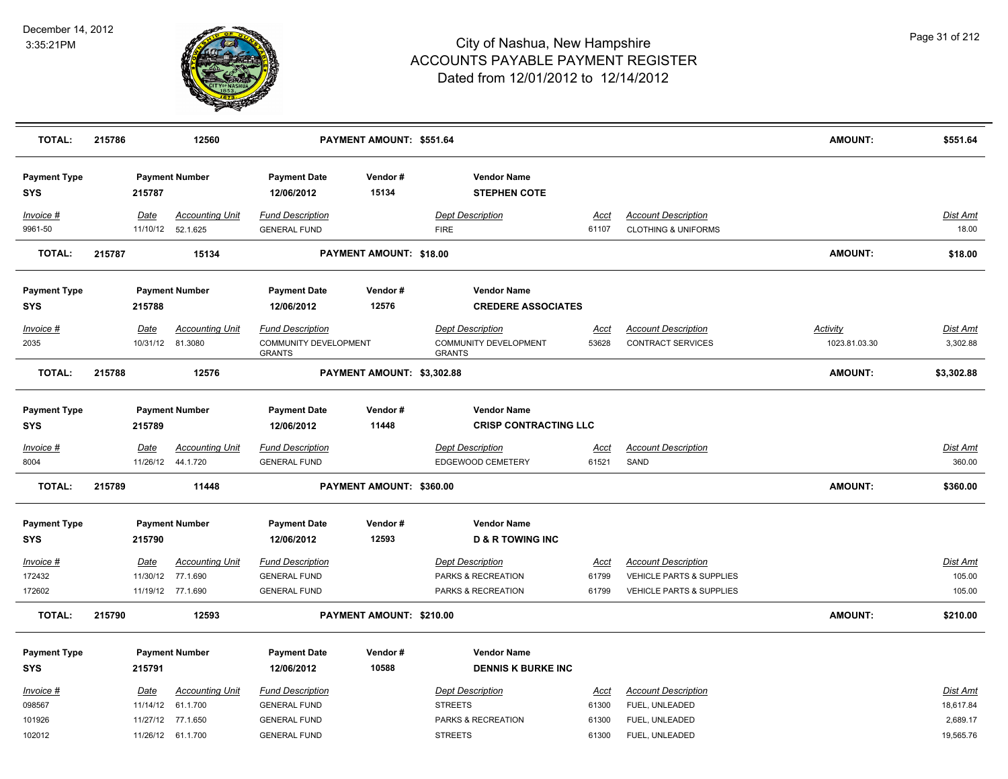

| <b>TOTAL:</b>                     | 215786 |                  | 12560                                        |                                                | PAYMENT AMOUNT: \$551.64   |                                                    |                      |                                                              | <b>AMOUNT:</b> | \$551.64                  |
|-----------------------------------|--------|------------------|----------------------------------------------|------------------------------------------------|----------------------------|----------------------------------------------------|----------------------|--------------------------------------------------------------|----------------|---------------------------|
| <b>Payment Type</b><br><b>SYS</b> |        | 215787           | <b>Payment Number</b>                        | <b>Payment Date</b><br>12/06/2012              | Vendor#<br>15134           | <b>Vendor Name</b><br><b>STEPHEN COTE</b>          |                      |                                                              |                |                           |
| Invoice #<br>9961-50              |        | Date             | <b>Accounting Unit</b><br>11/10/12 52.1.625  | <b>Fund Description</b><br><b>GENERAL FUND</b> |                            | <b>Dept Description</b><br><b>FIRE</b>             | <b>Acct</b><br>61107 | <b>Account Description</b><br><b>CLOTHING &amp; UNIFORMS</b> |                | Dist Amt<br>18.00         |
| TOTAL:                            | 215787 |                  | 15134                                        |                                                | PAYMENT AMOUNT: \$18.00    |                                                    |                      |                                                              | <b>AMOUNT:</b> | \$18.00                   |
| <b>Payment Type</b><br><b>SYS</b> |        | 215788           | <b>Payment Number</b>                        | <b>Payment Date</b><br>12/06/2012              | Vendor#<br>12576           | <b>Vendor Name</b><br><b>CREDERE ASSOCIATES</b>    |                      |                                                              |                |                           |
| Invoice #                         |        | Date             | <b>Accounting Unit</b>                       | <b>Fund Description</b>                        |                            | <b>Dept Description</b>                            | Acct                 | <b>Account Description</b>                                   | Activity       | <u>Dist Amt</u>           |
| 2035                              |        | 10/31/12 81.3080 |                                              | COMMUNITY DEVELOPMENT<br><b>GRANTS</b>         |                            | <b>COMMUNITY DEVELOPMENT</b><br><b>GRANTS</b>      | 53628                | CONTRACT SERVICES                                            | 1023.81.03.30  | 3,302.88                  |
| <b>TOTAL:</b>                     | 215788 |                  | 12576                                        |                                                | PAYMENT AMOUNT: \$3,302.88 |                                                    |                      |                                                              | <b>AMOUNT:</b> | \$3,302.88                |
| <b>Payment Type</b><br><b>SYS</b> |        | 215789           | <b>Payment Number</b>                        | <b>Payment Date</b><br>12/06/2012              | Vendor#<br>11448           | <b>Vendor Name</b><br><b>CRISP CONTRACTING LLC</b> |                      |                                                              |                |                           |
| Invoice #<br>8004                 |        | Date             | <b>Accounting Unit</b><br>11/26/12  44.1.720 | <b>Fund Description</b><br><b>GENERAL FUND</b> |                            | <b>Dept Description</b><br>EDGEWOOD CEMETERY       | <u>Acct</u><br>61521 | <b>Account Description</b><br>SAND                           |                | <b>Dist Amt</b><br>360.00 |
| <b>TOTAL:</b>                     | 215789 |                  | 11448                                        |                                                | PAYMENT AMOUNT: \$360.00   |                                                    |                      |                                                              | <b>AMOUNT:</b> | \$360.00                  |
| <b>Payment Type</b><br><b>SYS</b> |        | 215790           | <b>Payment Number</b>                        | <b>Payment Date</b><br>12/06/2012              | Vendor#<br>12593           | <b>Vendor Name</b><br><b>D &amp; R TOWING INC</b>  |                      |                                                              |                |                           |
| Invoice #                         |        | <b>Date</b>      | <b>Accounting Unit</b>                       | <b>Fund Description</b>                        |                            | <b>Dept Description</b>                            | <u>Acct</u>          | <b>Account Description</b>                                   |                | <u>Dist Amt</u>           |
| 172432                            |        | 11/30/12         | 77.1.690                                     | <b>GENERAL FUND</b>                            |                            | PARKS & RECREATION                                 | 61799                | <b>VEHICLE PARTS &amp; SUPPLIES</b>                          |                | 105.00                    |
| 172602                            |        |                  | 11/19/12 77.1.690                            | <b>GENERAL FUND</b>                            |                            | PARKS & RECREATION                                 | 61799                | <b>VEHICLE PARTS &amp; SUPPLIES</b>                          |                | 105.00                    |
| <b>TOTAL:</b>                     | 215790 |                  | 12593                                        |                                                | PAYMENT AMOUNT: \$210.00   |                                                    |                      |                                                              | <b>AMOUNT:</b> | \$210.00                  |
| <b>Payment Type</b><br><b>SYS</b> |        | 215791           | <b>Payment Number</b>                        | <b>Payment Date</b><br>12/06/2012              | Vendor#<br>10588           | <b>Vendor Name</b><br><b>DENNIS K BURKE INC</b>    |                      |                                                              |                |                           |
| Invoice #                         |        | Date             | <b>Accounting Unit</b>                       | <b>Fund Description</b>                        |                            | <b>Dept Description</b>                            | Acct                 | <b>Account Description</b>                                   |                | Dist Amt                  |
| 098567                            |        | 11/14/12         | 61.1.700                                     | <b>GENERAL FUND</b>                            |                            | <b>STREETS</b>                                     | 61300                | FUEL, UNLEADED                                               |                | 18,617.84                 |
| 101926                            |        | 11/27/12         | 77.1.650                                     | <b>GENERAL FUND</b>                            |                            | PARKS & RECREATION                                 | 61300                | FUEL, UNLEADED                                               |                | 2,689.17                  |
| 102012                            |        |                  | 11/26/12 61.1.700                            | <b>GENERAL FUND</b>                            |                            | <b>STREETS</b>                                     | 61300                | FUEL, UNLEADED                                               |                | 19,565.76                 |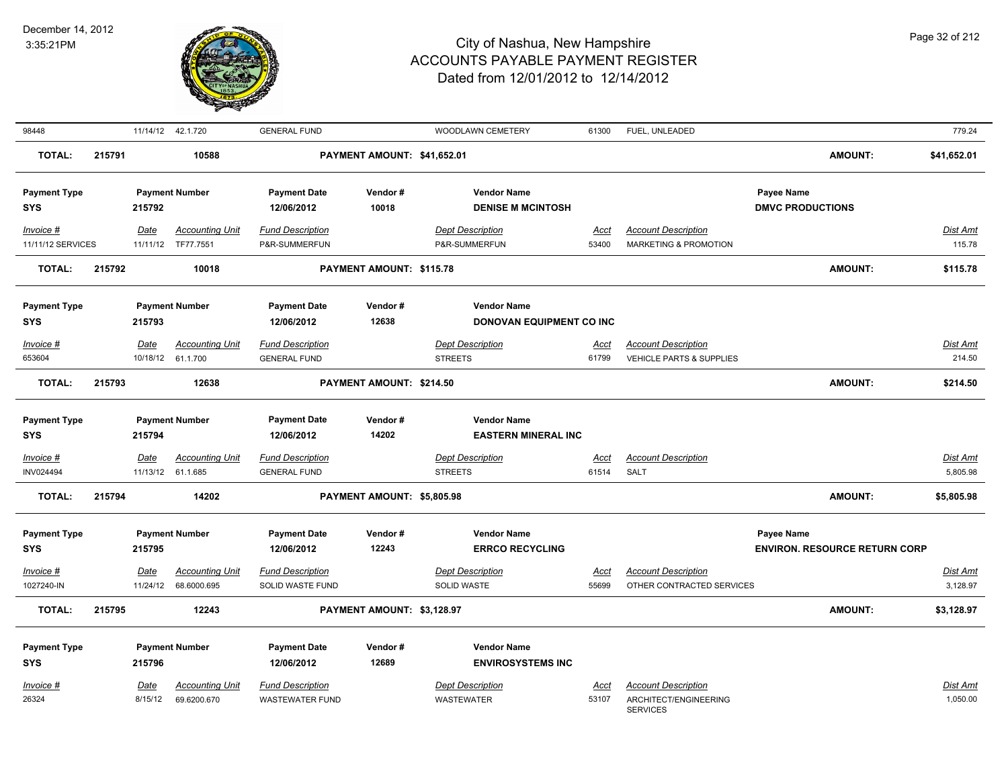

| 98448                                          |        |                  | 11/14/12  42.1.720                              | <b>GENERAL FUND</b>                                          |                             | WOODLAWN CEMETERY                                                         | 61300         | FUEL, UNLEADED                                                         |                                                    | 779.24                      |
|------------------------------------------------|--------|------------------|-------------------------------------------------|--------------------------------------------------------------|-----------------------------|---------------------------------------------------------------------------|---------------|------------------------------------------------------------------------|----------------------------------------------------|-----------------------------|
| <b>TOTAL:</b>                                  | 215791 |                  | 10588                                           |                                                              | PAYMENT AMOUNT: \$41,652.01 |                                                                           |               |                                                                        | <b>AMOUNT:</b>                                     | \$41,652.01                 |
| <b>Payment Type</b><br><b>SYS</b>              |        | 215792           | <b>Payment Number</b>                           | <b>Payment Date</b><br>12/06/2012                            | Vendor#<br>10018            | <b>Vendor Name</b><br><b>DENISE M MCINTOSH</b>                            |               |                                                                        | Payee Name<br><b>DMVC PRODUCTIONS</b>              |                             |
| Invoice #<br>11/11/12 SERVICES                 |        | Date<br>11/11/12 | <b>Accounting Unit</b><br>TF77.7551             | <b>Fund Description</b><br>P&R-SUMMERFUN                     |                             | <b>Dept Description</b><br>P&R-SUMMERFUN                                  | Acct<br>53400 | <b>Account Description</b><br><b>MARKETING &amp; PROMOTION</b>         |                                                    | Dist Amt<br>115.78          |
| <b>TOTAL:</b>                                  | 215792 |                  | 10018                                           |                                                              | PAYMENT AMOUNT: \$115.78    |                                                                           |               |                                                                        | <b>AMOUNT:</b>                                     | \$115.78                    |
| <b>Payment Type</b><br><b>SYS</b><br>Invoice # |        | 215793<br>Date   | <b>Payment Number</b><br><b>Accounting Unit</b> | <b>Payment Date</b><br>12/06/2012<br><b>Fund Description</b> | Vendor#<br>12638            | <b>Vendor Name</b><br>DONOVAN EQUIPMENT CO INC<br><b>Dept Description</b> | Acct          | <b>Account Description</b>                                             |                                                    | Dist Amt<br>214.50          |
| 653604<br><b>TOTAL:</b>                        | 215793 |                  | 10/18/12 61.1.700<br>12638                      | <b>GENERAL FUND</b>                                          | PAYMENT AMOUNT: \$214.50    | <b>STREETS</b>                                                            | 61799         | <b>VEHICLE PARTS &amp; SUPPLIES</b>                                    | <b>AMOUNT:</b>                                     | \$214.50                    |
| <b>Payment Type</b><br>SYS                     |        | 215794           | <b>Payment Number</b>                           | <b>Payment Date</b><br>12/06/2012                            | Vendor#<br>14202            | <b>Vendor Name</b><br><b>EASTERN MINERAL INC</b>                          |               |                                                                        |                                                    |                             |
| Invoice #<br>INV024494                         |        | Date             | <b>Accounting Unit</b><br>11/13/12 61.1.685     | <b>Fund Description</b><br><b>GENERAL FUND</b>               |                             | <b>Dept Description</b><br><b>STREETS</b>                                 | Acct<br>61514 | <b>Account Description</b><br>SALT                                     |                                                    | <b>Dist Amt</b><br>5,805.98 |
| <b>TOTAL:</b>                                  | 215794 |                  | 14202                                           |                                                              | PAYMENT AMOUNT: \$5,805.98  |                                                                           |               |                                                                        | AMOUNT:                                            | \$5,805.98                  |
| <b>Payment Type</b><br><b>SYS</b><br>Invoice # |        | 215795<br>Date   | <b>Payment Number</b><br><b>Accounting Unit</b> | <b>Payment Date</b><br>12/06/2012<br><b>Fund Description</b> | Vendor#<br>12243            | <b>Vendor Name</b><br><b>ERRCO RECYCLING</b><br><b>Dept Description</b>   | <u>Acct</u>   | <b>Account Description</b>                                             | Payee Name<br><b>ENVIRON. RESOURCE RETURN CORP</b> | Dist Amt                    |
| 1027240-IN                                     |        | 11/24/12         | 68.6000.695                                     | SOLID WASTE FUND                                             |                             | <b>SOLID WASTE</b>                                                        | 55699         | OTHER CONTRACTED SERVICES                                              |                                                    | 3,128.97                    |
| <b>TOTAL:</b>                                  | 215795 |                  | 12243                                           |                                                              | PAYMENT AMOUNT: \$3,128.97  |                                                                           |               |                                                                        | <b>AMOUNT:</b>                                     | \$3,128.97                  |
| <b>Payment Type</b><br><b>SYS</b>              |        | 215796           | <b>Payment Number</b>                           | <b>Payment Date</b><br>12/06/2012                            | Vendor#<br>12689            | <b>Vendor Name</b><br><b>ENVIROSYSTEMS INC</b>                            |               |                                                                        |                                                    |                             |
| Invoice #<br>26324                             |        | Date<br>8/15/12  | <b>Accounting Unit</b><br>69.6200.670           | <b>Fund Description</b><br><b>WASTEWATER FUND</b>            |                             | <b>Dept Description</b><br>WASTEWATER                                     | Acct<br>53107 | <b>Account Description</b><br>ARCHITECT/ENGINEERING<br><b>SERVICES</b> |                                                    | <u>Dist Amt</u><br>1,050.00 |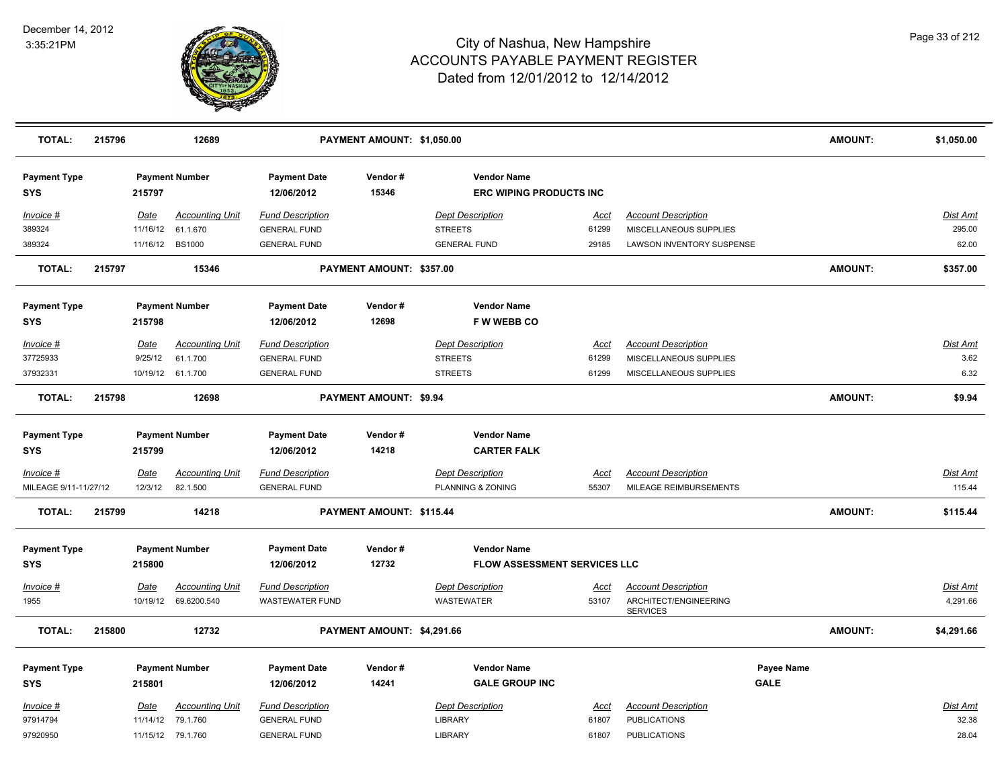

| <b>TOTAL:</b>                        | 215796 |                         | 12689                              |                                                | PAYMENT AMOUNT: \$1,050.00 |                                                           |                      |                                                      |                           | <b>AMOUNT:</b> | \$1,050.00                |
|--------------------------------------|--------|-------------------------|------------------------------------|------------------------------------------------|----------------------------|-----------------------------------------------------------|----------------------|------------------------------------------------------|---------------------------|----------------|---------------------------|
| <b>Payment Type</b><br><b>SYS</b>    |        | 215797                  | <b>Payment Number</b>              | <b>Payment Date</b><br>12/06/2012              | Vendor#<br>15346           | <b>Vendor Name</b><br><b>ERC WIPING PRODUCTS INC</b>      |                      |                                                      |                           |                |                           |
| Invoice #<br>389324                  |        | Date<br>11/16/12        | <b>Accounting Unit</b><br>61.1.670 | <b>Fund Description</b><br><b>GENERAL FUND</b> |                            | <b>Dept Description</b><br><b>STREETS</b>                 | <u>Acct</u><br>61299 | <b>Account Description</b><br>MISCELLANEOUS SUPPLIES |                           |                | <u>Dist Amt</u><br>295.00 |
| 389324                               |        | 11/16/12                | <b>BS1000</b>                      | <b>GENERAL FUND</b>                            |                            | <b>GENERAL FUND</b>                                       | 29185                | LAWSON INVENTORY SUSPENSE                            |                           |                | 62.00                     |
| <b>TOTAL:</b>                        | 215797 |                         | 15346                              |                                                | PAYMENT AMOUNT: \$357.00   |                                                           |                      |                                                      |                           | <b>AMOUNT:</b> | \$357.00                  |
| <b>Payment Type</b><br><b>SYS</b>    |        | 215798                  | <b>Payment Number</b>              | <b>Payment Date</b><br>12/06/2012              | Vendor#<br>12698           | <b>Vendor Name</b><br><b>FW WEBB CO</b>                   |                      |                                                      |                           |                |                           |
| Invoice #<br>37725933                |        | Date<br>9/25/12         | <b>Accounting Unit</b><br>61.1.700 | <b>Fund Description</b><br><b>GENERAL FUND</b> |                            | <b>Dept Description</b><br><b>STREETS</b>                 | Acct<br>61299        | <b>Account Description</b><br>MISCELLANEOUS SUPPLIES |                           |                | Dist Amt<br>3.62          |
| 37932331                             |        |                         | 10/19/12 61.1.700                  | <b>GENERAL FUND</b>                            |                            | <b>STREETS</b>                                            | 61299                | MISCELLANEOUS SUPPLIES                               |                           |                | 6.32                      |
| <b>TOTAL:</b>                        | 215798 |                         | 12698                              |                                                | PAYMENT AMOUNT: \$9.94     |                                                           |                      |                                                      |                           | <b>AMOUNT:</b> | \$9.94                    |
| <b>Payment Type</b><br>SYS           |        | 215799                  | <b>Payment Number</b>              | <b>Payment Date</b><br>12/06/2012              | Vendor#<br>14218           | <b>Vendor Name</b><br><b>CARTER FALK</b>                  |                      |                                                      |                           |                |                           |
| $Invoice$ #<br>MILEAGE 9/11-11/27/12 |        | Date<br>12/3/12         | <b>Accounting Unit</b><br>82.1.500 | <b>Fund Description</b><br><b>GENERAL FUND</b> |                            | <b>Dept Description</b><br>PLANNING & ZONING              | <u>Acct</u><br>55307 | <b>Account Description</b><br>MILEAGE REIMBURSEMENTS |                           |                | <b>Dist Amt</b><br>115.44 |
| <b>TOTAL:</b>                        | 215799 |                         | 14218                              |                                                | PAYMENT AMOUNT: \$115.44   |                                                           |                      |                                                      |                           | <b>AMOUNT:</b> | \$115.44                  |
| <b>Payment Type</b><br><b>SYS</b>    |        | 215800                  | <b>Payment Number</b>              | <b>Payment Date</b><br>12/06/2012              | Vendor#<br>12732           | <b>Vendor Name</b><br><b>FLOW ASSESSMENT SERVICES LLC</b> |                      |                                                      |                           |                |                           |
| Invoice #                            |        | Date                    | <b>Accounting Unit</b>             | <b>Fund Description</b>                        |                            | <b>Dept Description</b>                                   | Acct                 | <b>Account Description</b>                           |                           |                | Dist Amt                  |
| 1955                                 |        | 10/19/12                | 69.6200.540                        | <b>WASTEWATER FUND</b>                         |                            | <b>WASTEWATER</b>                                         | 53107                | ARCHITECT/ENGINEERING<br><b>SERVICES</b>             |                           |                | 4,291.66                  |
| <b>TOTAL:</b>                        | 215800 |                         | 12732                              |                                                | PAYMENT AMOUNT: \$4,291.66 |                                                           |                      |                                                      |                           | <b>AMOUNT:</b> | \$4,291.66                |
| <b>Payment Type</b><br><b>SYS</b>    |        | 215801                  | <b>Payment Number</b>              | <b>Payment Date</b><br>12/06/2012              | Vendor#<br>14241           | <b>Vendor Name</b><br><b>GALE GROUP INC</b>               |                      |                                                      | Payee Name<br><b>GALE</b> |                |                           |
| Invoice #<br>97914794                |        | <u>Date</u><br>11/14/12 | <b>Accounting Unit</b><br>79.1.760 | <b>Fund Description</b><br><b>GENERAL FUND</b> |                            | <b>Dept Description</b><br><b>LIBRARY</b>                 | Acct<br>61807        | <b>Account Description</b><br><b>PUBLICATIONS</b>    |                           |                | <b>Dist Amt</b><br>32.38  |
| 97920950                             |        |                         | 11/15/12 79.1.760                  | <b>GENERAL FUND</b>                            |                            | <b>LIBRARY</b>                                            | 61807                | <b>PUBLICATIONS</b>                                  |                           |                | 28.04                     |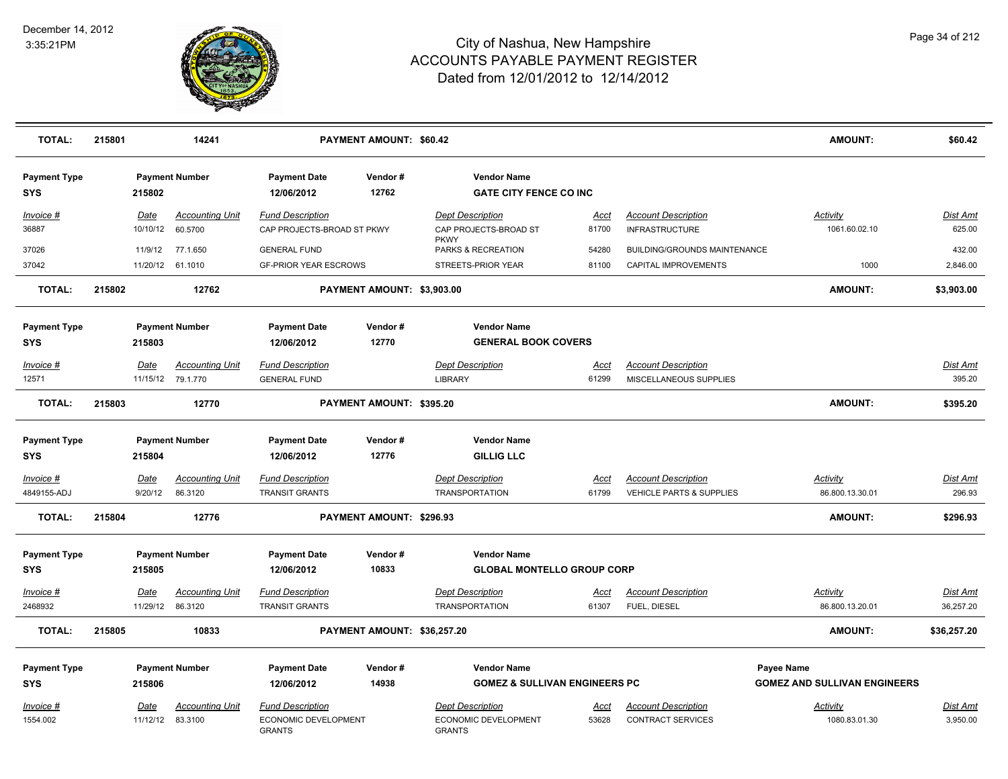

| <b>TOTAL:</b>                     | 215801 |                          | 14241                                       | <b>PAYMENT AMOUNT: \$60.42</b>                                   |                             |                                                                  |                      | AMOUNT:                                                           | \$60.42                             |                             |
|-----------------------------------|--------|--------------------------|---------------------------------------------|------------------------------------------------------------------|-----------------------------|------------------------------------------------------------------|----------------------|-------------------------------------------------------------------|-------------------------------------|-----------------------------|
| <b>Payment Type</b><br><b>SYS</b> |        | 215802                   | <b>Payment Number</b>                       | <b>Payment Date</b><br>12/06/2012                                | Vendor#<br>12762            | <b>Vendor Name</b><br><b>GATE CITY FENCE CO INC</b>              |                      |                                                                   |                                     |                             |
| Invoice #<br>36887                |        | Date<br>10/10/12         | <b>Accounting Unit</b><br>60.5700           | <b>Fund Description</b><br>CAP PROJECTS-BROAD ST PKWY            |                             | <b>Dept Description</b><br>CAP PROJECTS-BROAD ST<br><b>PKWY</b>  | <u>Acct</u><br>81700 | <b>Account Description</b><br><b>INFRASTRUCTURE</b>               | <b>Activity</b><br>1061.60.02.10    | <b>Dist Amt</b><br>625.00   |
| 37026                             |        | 11/9/12                  | 77.1.650                                    | <b>GENERAL FUND</b>                                              |                             | PARKS & RECREATION                                               | 54280                | BUILDING/GROUNDS MAINTENANCE                                      |                                     | 432.00                      |
| 37042                             |        | 11/20/12 61.1010         |                                             | <b>GF-PRIOR YEAR ESCROWS</b>                                     |                             | STREETS-PRIOR YEAR                                               | 81100                | CAPITAL IMPROVEMENTS                                              | 1000                                | 2,846.00                    |
| <b>TOTAL:</b>                     | 215802 |                          | 12762                                       |                                                                  | PAYMENT AMOUNT: \$3,903.00  |                                                                  |                      |                                                                   | <b>AMOUNT:</b>                      | \$3,903.00                  |
| <b>Payment Type</b><br>SYS        |        | 215803                   | <b>Payment Number</b>                       | <b>Payment Date</b><br>12/06/2012                                | Vendor#<br>12770            | <b>Vendor Name</b><br><b>GENERAL BOOK COVERS</b>                 |                      |                                                                   |                                     |                             |
| Invoice #<br>12571                |        | <b>Date</b>              | <b>Accounting Unit</b><br>11/15/12 79.1.770 | <b>Fund Description</b><br><b>GENERAL FUND</b>                   |                             | <b>Dept Description</b><br><b>LIBRARY</b>                        | <u>Acct</u><br>61299 | <b>Account Description</b><br>MISCELLANEOUS SUPPLIES              |                                     | <b>Dist Amt</b><br>395.20   |
| <b>TOTAL:</b>                     | 215803 |                          | 12770                                       |                                                                  | PAYMENT AMOUNT: \$395.20    |                                                                  |                      |                                                                   | <b>AMOUNT:</b>                      | \$395.20                    |
| <b>Payment Type</b><br><b>SYS</b> |        | 215804                   | <b>Payment Number</b>                       | <b>Payment Date</b><br>12/06/2012                                | Vendor#<br>12776            | <b>Vendor Name</b><br><b>GILLIG LLC</b>                          |                      |                                                                   |                                     |                             |
| Invoice #<br>4849155-ADJ          |        | Date<br>9/20/12          | <b>Accounting Unit</b><br>86.3120           | <b>Fund Description</b><br><b>TRANSIT GRANTS</b>                 |                             | <b>Dept Description</b><br><b>TRANSPORTATION</b>                 | Acct<br>61799        | <b>Account Description</b><br><b>VEHICLE PARTS &amp; SUPPLIES</b> | Activity<br>86.800.13.30.01         | Dist Amt<br>296.93          |
| <b>TOTAL:</b>                     | 215804 |                          | 12776                                       |                                                                  | PAYMENT AMOUNT: \$296.93    |                                                                  |                      |                                                                   | <b>AMOUNT:</b>                      | \$296.93                    |
| <b>Payment Type</b><br><b>SYS</b> |        | 215805                   | <b>Payment Number</b>                       | <b>Payment Date</b><br>12/06/2012                                | Vendor#<br>10833            | <b>Vendor Name</b><br><b>GLOBAL MONTELLO GROUP CORP</b>          |                      |                                                                   |                                     |                             |
| <b>Invoice #</b>                  |        | <u>Date</u>              | <b>Accounting Unit</b>                      | <b>Fund Description</b>                                          |                             | <b>Dept Description</b>                                          | <u>Acct</u>          | <b>Account Description</b>                                        | <b>Activity</b>                     | <u>Dist Amt</u>             |
| 2468932                           |        | 11/29/12 86.3120         |                                             | <b>TRANSIT GRANTS</b>                                            |                             | <b>TRANSPORTATION</b>                                            | 61307                | FUEL, DIESEL                                                      | 86.800.13.20.01                     | 36,257.20                   |
| <b>TOTAL:</b>                     | 215805 |                          | 10833                                       |                                                                  | PAYMENT AMOUNT: \$36,257.20 |                                                                  |                      |                                                                   | <b>AMOUNT:</b>                      | \$36,257.20                 |
| <b>Payment Type</b>               |        |                          | <b>Payment Number</b>                       | <b>Payment Date</b>                                              | Vendor#                     | <b>Vendor Name</b>                                               |                      |                                                                   | Payee Name                          |                             |
| SYS                               |        | 215806                   |                                             | 12/06/2012                                                       | 14938                       | <b>GOMEZ &amp; SULLIVAN ENGINEERS PC</b>                         |                      |                                                                   | <b>GOMEZ AND SULLIVAN ENGINEERS</b> |                             |
| <u>Invoice</u> #<br>1554.002      |        | Date<br>11/12/12 83.3100 | <b>Accounting Unit</b>                      | <b>Fund Description</b><br>ECONOMIC DEVELOPMENT<br><b>GRANTS</b> |                             | <b>Dept Description</b><br>ECONOMIC DEVELOPMENT<br><b>GRANTS</b> | Acct<br>53628        | <b>Account Description</b><br><b>CONTRACT SERVICES</b>            | Activity<br>1080.83.01.30           | <u>Dist Amt</u><br>3,950.00 |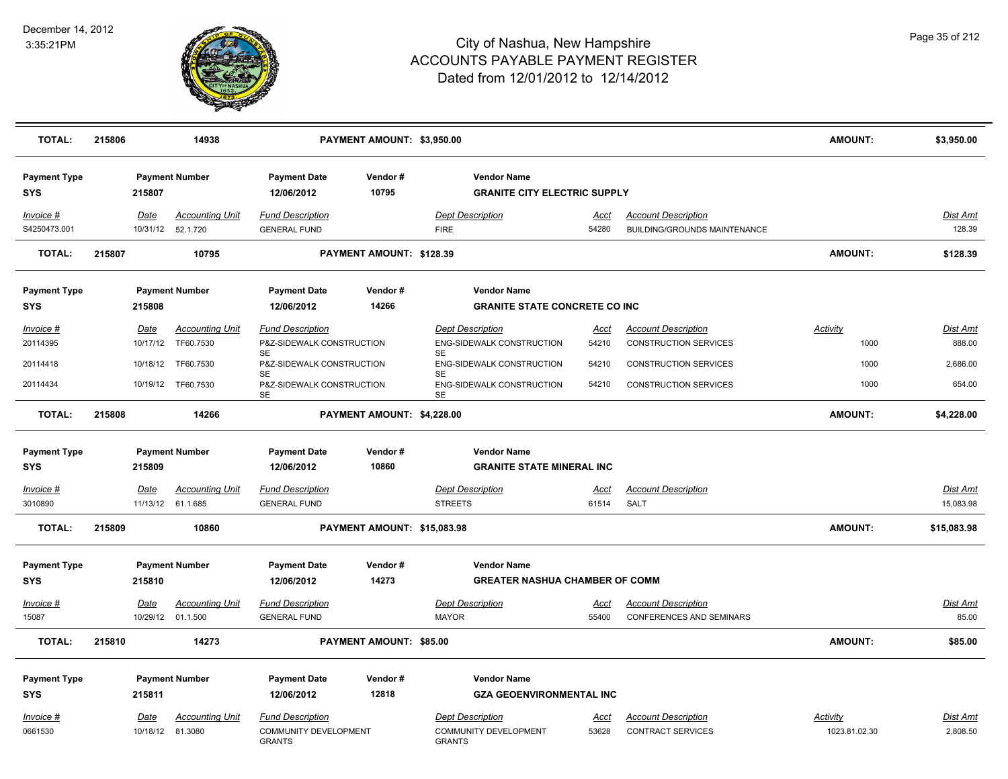

| <b>TOTAL:</b>                     | 215806 |                  | 14938                                        |                                                | PAYMENT AMOUNT: \$3,950.00  |                                                             |                      |                                                                   | <b>AMOUNT:</b>  | \$3,950.00                   |
|-----------------------------------|--------|------------------|----------------------------------------------|------------------------------------------------|-----------------------------|-------------------------------------------------------------|----------------------|-------------------------------------------------------------------|-----------------|------------------------------|
| <b>Payment Type</b><br><b>SYS</b> |        | 215807           | <b>Payment Number</b>                        | <b>Payment Date</b><br>12/06/2012              | Vendor#<br>10795            | <b>Vendor Name</b><br><b>GRANITE CITY ELECTRIC SUPPLY</b>   |                      |                                                                   |                 |                              |
| Invoice #<br>S4250473.001         |        | Date             | <b>Accounting Unit</b><br>10/31/12  52.1.720 | <b>Fund Description</b><br><b>GENERAL FUND</b> |                             | <b>Dept Description</b><br><b>FIRE</b>                      | Acct<br>54280        | <b>Account Description</b><br><b>BUILDING/GROUNDS MAINTENANCE</b> |                 | <b>Dist Amt</b><br>128.39    |
| <b>TOTAL:</b>                     | 215807 |                  | 10795                                        |                                                | PAYMENT AMOUNT: \$128.39    |                                                             |                      |                                                                   | <b>AMOUNT:</b>  | \$128.39                     |
| <b>Payment Type</b><br><b>SYS</b> |        | 215808           | <b>Payment Number</b>                        | <b>Payment Date</b><br>12/06/2012              | Vendor#<br>14266            | <b>Vendor Name</b><br><b>GRANITE STATE CONCRETE CO INC.</b> |                      |                                                                   |                 |                              |
| Invoice #                         |        | Date             | <b>Accounting Unit</b>                       | <b>Fund Description</b>                        |                             | <b>Dept Description</b>                                     | Acct                 | <b>Account Description</b>                                        | Activity        | Dist Amt                     |
| 20114395                          |        | 10/17/12         | TF60.7530                                    | P&Z-SIDEWALK CONSTRUCTION                      |                             | ENG-SIDEWALK CONSTRUCTION                                   | 54210                | <b>CONSTRUCTION SERVICES</b>                                      | 1000            | 888.00                       |
| 20114418                          |        | 10/18/12         | TF60.7530                                    | <b>SE</b><br>P&Z-SIDEWALK CONSTRUCTION         |                             | <b>SE</b><br><b>ENG-SIDEWALK CONSTRUCTION</b>               | 54210                | <b>CONSTRUCTION SERVICES</b>                                      | 1000            | 2,686.00                     |
| 20114434                          |        |                  | 10/19/12 TF60.7530                           | SE<br>P&Z-SIDEWALK CONSTRUCTION<br><b>SE</b>   |                             | <b>SE</b><br>ENG-SIDEWALK CONSTRUCTION<br>SE                | 54210                | CONSTRUCTION SERVICES                                             | 1000            | 654.00                       |
| <b>TOTAL:</b>                     | 215808 |                  | 14266                                        |                                                | PAYMENT AMOUNT: \$4,228.00  |                                                             |                      |                                                                   | <b>AMOUNT:</b>  | \$4,228.00                   |
| <b>Payment Type</b><br><b>SYS</b> |        | 215809           | <b>Payment Number</b>                        | <b>Payment Date</b><br>12/06/2012              | Vendor#<br>10860            | <b>Vendor Name</b><br><b>GRANITE STATE MINERAL INC</b>      |                      |                                                                   |                 |                              |
|                                   |        |                  |                                              |                                                |                             |                                                             |                      |                                                                   |                 |                              |
| <u> Invoice #</u><br>3010890      |        | <u>Date</u>      | <b>Accounting Unit</b><br>11/13/12 61.1.685  | <b>Fund Description</b><br><b>GENERAL FUND</b> |                             | <b>Dept Description</b><br><b>STREETS</b>                   | <u>Acct</u><br>61514 | <b>Account Description</b><br><b>SALT</b>                         |                 | <b>Dist Amt</b><br>15,083.98 |
| <b>TOTAL:</b>                     | 215809 |                  | 10860                                        |                                                | PAYMENT AMOUNT: \$15,083.98 |                                                             |                      |                                                                   | <b>AMOUNT:</b>  | \$15,083.98                  |
| <b>Payment Type</b>               |        | 215810           | <b>Payment Number</b>                        | <b>Payment Date</b><br>12/06/2012              | Vendor#<br>14273            | <b>Vendor Name</b><br><b>GREATER NASHUA CHAMBER OF COMM</b> |                      |                                                                   |                 |                              |
| <b>SYS</b>                        |        |                  |                                              |                                                |                             |                                                             |                      |                                                                   |                 |                              |
| Invoice #                         |        | Date             | Accounting Unit                              | <b>Fund Description</b>                        |                             | <b>Dept Description</b>                                     | Acct                 | <b>Account Description</b>                                        |                 | Dist Amt                     |
| 15087                             |        |                  | 10/29/12 01.1.500                            | <b>GENERAL FUND</b>                            |                             | <b>MAYOR</b>                                                | 55400                | CONFERENCES AND SEMINARS                                          |                 | 85.00                        |
| <b>TOTAL:</b>                     | 215810 |                  | 14273                                        |                                                | PAYMENT AMOUNT: \$85.00     |                                                             |                      |                                                                   | <b>AMOUNT:</b>  | \$85.00                      |
| <b>Payment Type</b>               |        |                  | <b>Payment Number</b>                        | <b>Payment Date</b>                            | Vendor#                     | <b>Vendor Name</b>                                          |                      |                                                                   |                 |                              |
| <b>SYS</b>                        |        | 215811           |                                              | 12/06/2012                                     | 12818                       | <b>GZA GEOENVIRONMENTAL INC</b>                             |                      |                                                                   |                 |                              |
| Invoice #                         |        | <u>Date</u>      | <b>Accounting Unit</b>                       | <b>Fund Description</b>                        |                             | <b>Dept Description</b>                                     | Acct                 | <b>Account Description</b>                                        | <u>Activity</u> | Dist Amt                     |
| 0661530                           |        | 10/18/12 81.3080 |                                              | COMMUNITY DEVELOPMENT<br><b>GRANTS</b>         |                             | <b>COMMUNITY DEVELOPMENT</b><br><b>GRANTS</b>               | 53628                | <b>CONTRACT SERVICES</b>                                          | 1023.81.02.30   | 2.808.50                     |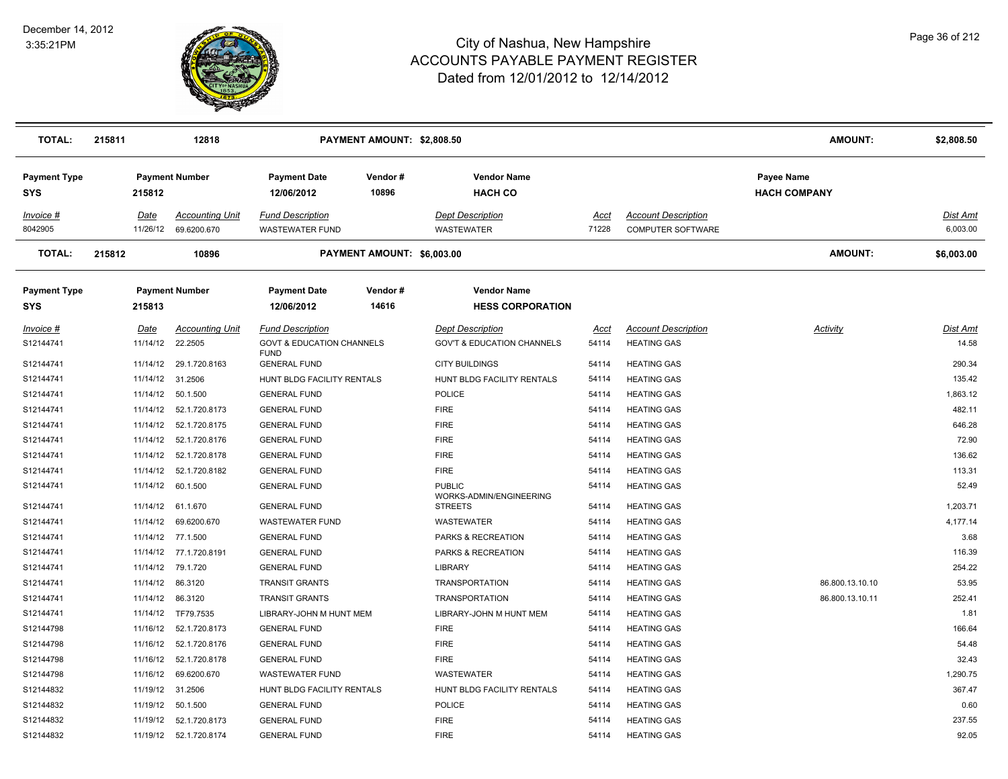

| <b>TOTAL:</b>                     | 215811 | 12818             |                                       |                                                   | PAYMENT AMOUNT: \$2,808.50 |                                               |               |                                                 | <b>AMOUNT:</b>                           | \$2,808.50           |
|-----------------------------------|--------|-------------------|---------------------------------------|---------------------------------------------------|----------------------------|-----------------------------------------------|---------------|-------------------------------------------------|------------------------------------------|----------------------|
| <b>Payment Type</b><br><b>SYS</b> |        | 215812            | <b>Payment Number</b>                 | <b>Payment Date</b><br>12/06/2012                 | Vendor#<br>10896           | <b>Vendor Name</b><br><b>HACH CO</b>          |               |                                                 | <b>Payee Name</b><br><b>HACH COMPANY</b> |                      |
| Invoice #<br>8042905              |        | Date<br>11/26/12  | <b>Accounting Unit</b><br>69.6200.670 | <b>Fund Description</b><br><b>WASTEWATER FUND</b> |                            | <b>Dept Description</b><br>WASTEWATER         | Acct<br>71228 | <b>Account Description</b><br>COMPUTER SOFTWARE |                                          | Dist Amt<br>6,003.00 |
| <b>TOTAL:</b>                     | 215812 | 10896             |                                       | PAYMENT AMOUNT: \$6,003.00                        |                            |                                               |               |                                                 | <b>AMOUNT:</b>                           | \$6,003.00           |
| <b>Payment Type</b><br><b>SYS</b> |        | 215813            | <b>Payment Number</b>                 | <b>Payment Date</b><br>12/06/2012                 | Vendor#<br>14616           | <b>Vendor Name</b><br><b>HESS CORPORATION</b> |               |                                                 |                                          |                      |
| Invoice #                         |        | Date              | <b>Accounting Unit</b>                | <b>Fund Description</b>                           |                            | <b>Dept Description</b>                       | Acct          | <b>Account Description</b>                      | Activity                                 | Dist Amt             |
| S12144741                         |        | 11/14/12          | 22.2505                               | <b>GOVT &amp; EDUCATION CHANNELS</b>              |                            | <b>GOV'T &amp; EDUCATION CHANNELS</b>         | 54114         | <b>HEATING GAS</b>                              |                                          | 14.58                |
| S12144741                         |        | 11/14/12          | 29.1.720.8163                         | <b>FUND</b><br><b>GENERAL FUND</b>                |                            | <b>CITY BUILDINGS</b>                         | 54114         | <b>HEATING GAS</b>                              |                                          | 290.34               |
| S12144741                         |        | 11/14/12          | 31.2506                               | HUNT BLDG FACILITY RENTALS                        |                            | HUNT BLDG FACILITY RENTALS                    | 54114         | <b>HEATING GAS</b>                              |                                          | 135.42               |
| S12144741                         |        | 11/14/12          | 50.1.500                              | <b>GENERAL FUND</b>                               |                            | <b>POLICE</b>                                 | 54114         | <b>HEATING GAS</b>                              |                                          | 1,863.12             |
| S12144741                         |        |                   | 11/14/12  52.1.720.8173               | <b>GENERAL FUND</b>                               |                            | <b>FIRE</b>                                   | 54114         | <b>HEATING GAS</b>                              |                                          | 482.11               |
| S12144741                         |        | 11/14/12          | 52.1.720.8175                         | <b>GENERAL FUND</b>                               |                            | <b>FIRE</b>                                   | 54114         | <b>HEATING GAS</b>                              |                                          | 646.28               |
| S12144741                         |        | 11/14/12          | 52.1.720.8176                         | <b>GENERAL FUND</b>                               |                            | <b>FIRE</b>                                   | 54114         | <b>HEATING GAS</b>                              |                                          | 72.90                |
| S12144741                         |        |                   | 11/14/12  52.1.720.8178               | <b>GENERAL FUND</b>                               |                            | <b>FIRE</b>                                   | 54114         | <b>HEATING GAS</b>                              |                                          | 136.62               |
| S12144741                         |        | 11/14/12          | 52.1.720.8182                         | <b>GENERAL FUND</b>                               |                            | <b>FIRE</b>                                   | 54114         | <b>HEATING GAS</b>                              |                                          | 113.31               |
| S12144741                         |        | 11/14/12          | 60.1.500                              | <b>GENERAL FUND</b>                               |                            | <b>PUBLIC</b><br>WORKS-ADMIN/ENGINEERING      | 54114         | <b>HEATING GAS</b>                              |                                          | 52.49                |
| S12144741                         |        |                   | 11/14/12 61.1.670                     | <b>GENERAL FUND</b>                               |                            | <b>STREETS</b>                                | 54114         | <b>HEATING GAS</b>                              |                                          | 1,203.71             |
| S12144741                         |        | 11/14/12          | 69.6200.670                           | <b>WASTEWATER FUND</b>                            |                            | <b>WASTEWATER</b>                             | 54114         | <b>HEATING GAS</b>                              |                                          | 4,177.14             |
| S12144741                         |        | 11/14/12 77.1.500 |                                       | <b>GENERAL FUND</b>                               |                            | PARKS & RECREATION                            | 54114         | <b>HEATING GAS</b>                              |                                          | 3.68                 |
| S12144741                         |        |                   | 11/14/12 77.1.720.8191                | <b>GENERAL FUND</b>                               |                            | PARKS & RECREATION                            | 54114         | <b>HEATING GAS</b>                              |                                          | 116.39               |
| S12144741                         |        | 11/14/12          | 79.1.720                              | <b>GENERAL FUND</b>                               |                            | <b>LIBRARY</b>                                | 54114         | <b>HEATING GAS</b>                              |                                          | 254.22               |
| S12144741                         |        | 11/14/12          | 86.3120                               | <b>TRANSIT GRANTS</b>                             |                            | <b>TRANSPORTATION</b>                         | 54114         | <b>HEATING GAS</b>                              | 86.800.13.10.10                          | 53.95                |
| S12144741                         |        | 11/14/12 86.3120  |                                       | <b>TRANSIT GRANTS</b>                             |                            | <b>TRANSPORTATION</b>                         | 54114         | <b>HEATING GAS</b>                              | 86.800.13.10.11                          | 252.41               |
| S12144741                         |        |                   | 11/14/12 TF79.7535                    | LIBRARY-JOHN M HUNT MEM                           |                            | LIBRARY-JOHN M HUNT MEM                       | 54114         | <b>HEATING GAS</b>                              |                                          | 1.81                 |
| S12144798                         |        | 11/16/12          | 52.1.720.8173                         | <b>GENERAL FUND</b>                               |                            | <b>FIRE</b>                                   | 54114         | <b>HEATING GAS</b>                              |                                          | 166.64               |
| S12144798                         |        | 11/16/12          | 52.1.720.8176                         | <b>GENERAL FUND</b>                               |                            | <b>FIRE</b>                                   | 54114         | <b>HEATING GAS</b>                              |                                          | 54.48                |
| S12144798                         |        |                   | 11/16/12  52.1.720.8178               | <b>GENERAL FUND</b>                               |                            | <b>FIRE</b>                                   | 54114         | <b>HEATING GAS</b>                              |                                          | 32.43                |
| S12144798                         |        | 11/16/12          | 69.6200.670                           | <b>WASTEWATER FUND</b>                            |                            | <b>WASTEWATER</b>                             | 54114         | <b>HEATING GAS</b>                              |                                          | 1,290.75             |
| S12144832                         |        | 11/19/12          | 31.2506                               | HUNT BLDG FACILITY RENTALS                        |                            | HUNT BLDG FACILITY RENTALS                    | 54114         | <b>HEATING GAS</b>                              |                                          | 367.47               |
| S12144832                         |        | 11/19/12          | 50.1.500                              | <b>GENERAL FUND</b>                               |                            | <b>POLICE</b>                                 | 54114         | <b>HEATING GAS</b>                              |                                          | 0.60                 |
| S12144832                         |        |                   | 11/19/12  52.1.720.8173               | <b>GENERAL FUND</b>                               |                            | <b>FIRE</b>                                   | 54114         | <b>HEATING GAS</b>                              |                                          | 237.55               |
| S12144832                         |        |                   | 11/19/12  52.1.720.8174               | <b>GENERAL FUND</b>                               |                            | <b>FIRE</b>                                   | 54114         | <b>HEATING GAS</b>                              |                                          | 92.05                |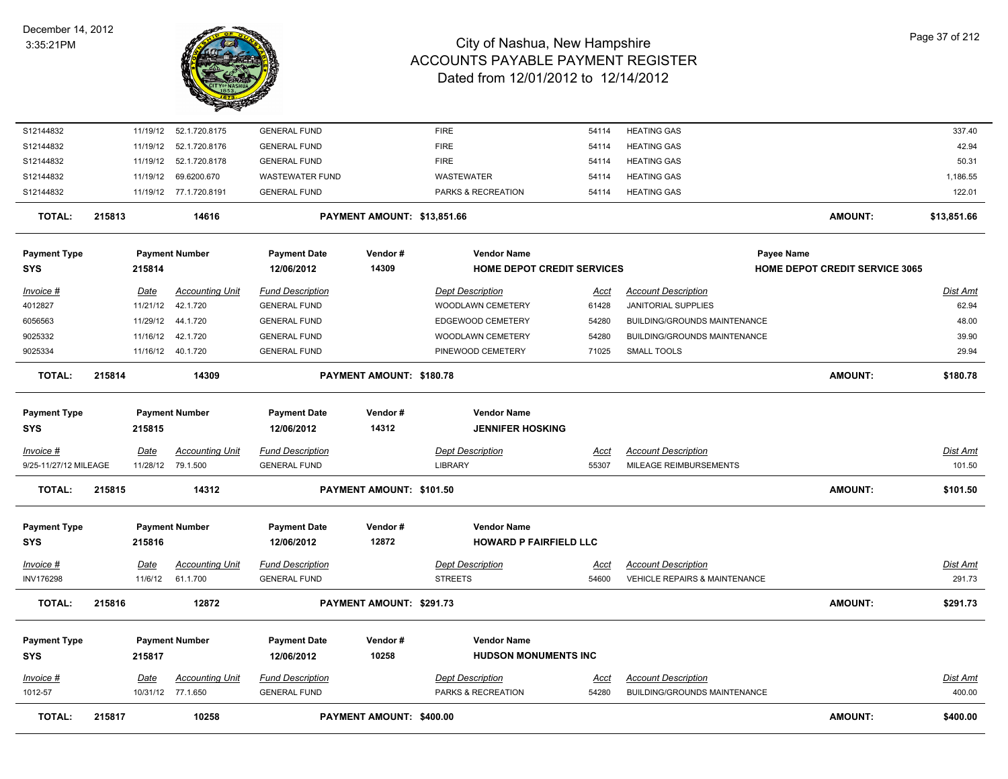

| S12144832             |        |             | 11/19/12  52.1.720.8175 | <b>GENERAL FUND</b>     |                             | <b>FIRE</b>                   | 54114       | <b>HEATING GAS</b>                       |                                       | 337.40          |
|-----------------------|--------|-------------|-------------------------|-------------------------|-----------------------------|-------------------------------|-------------|------------------------------------------|---------------------------------------|-----------------|
| S12144832             |        | 11/19/12    | 52.1.720.8176           | <b>GENERAL FUND</b>     |                             | <b>FIRE</b>                   | 54114       | <b>HEATING GAS</b>                       |                                       | 42.94           |
| S12144832             |        | 11/19/12    | 52.1.720.8178           | <b>GENERAL FUND</b>     |                             | <b>FIRE</b>                   | 54114       | <b>HEATING GAS</b>                       |                                       | 50.31           |
| S12144832             |        | 11/19/12    | 69.6200.670             | <b>WASTEWATER FUND</b>  |                             | <b>WASTEWATER</b>             | 54114       | <b>HEATING GAS</b>                       |                                       | 1,186.55        |
| S12144832             |        |             | 11/19/12 77.1.720.8191  | <b>GENERAL FUND</b>     |                             | PARKS & RECREATION            | 54114       | <b>HEATING GAS</b>                       |                                       | 122.01          |
| <b>TOTAL:</b>         | 215813 |             | 14616                   |                         | PAYMENT AMOUNT: \$13,851.66 |                               |             |                                          | <b>AMOUNT:</b>                        | \$13,851.66     |
| <b>Payment Type</b>   |        |             | <b>Payment Number</b>   | <b>Payment Date</b>     | Vendor#                     | <b>Vendor Name</b>            |             |                                          | Payee Name                            |                 |
| <b>SYS</b>            |        | 215814      |                         | 12/06/2012              | 14309                       | HOME DEPOT CREDIT SERVICES    |             |                                          | <b>HOME DEPOT CREDIT SERVICE 3065</b> |                 |
| Invoice #             |        | Date        | <b>Accounting Unit</b>  | <b>Fund Description</b> |                             | <b>Dept Description</b>       | <u>Acct</u> | <b>Account Description</b>               |                                       | <b>Dist Amt</b> |
| 4012827               |        | 11/21/12    | 42.1.720                | <b>GENERAL FUND</b>     |                             | WOODLAWN CEMETERY             | 61428       | JANITORIAL SUPPLIES                      |                                       | 62.94           |
| 6056563               |        | 11/29/12    | 44.1.720                | <b>GENERAL FUND</b>     |                             | EDGEWOOD CEMETERY             | 54280       | BUILDING/GROUNDS MAINTENANCE             |                                       | 48.00           |
| 9025332               |        | 11/16/12    | 42.1.720                | <b>GENERAL FUND</b>     |                             | WOODLAWN CEMETERY             | 54280       | BUILDING/GROUNDS MAINTENANCE             |                                       | 39.90           |
| 9025334               |        |             | 11/16/12 40.1.720       | <b>GENERAL FUND</b>     |                             | PINEWOOD CEMETERY             | 71025       | <b>SMALL TOOLS</b>                       |                                       | 29.94           |
| <b>TOTAL:</b>         | 215814 |             | 14309                   |                         | PAYMENT AMOUNT: \$180.78    |                               |             |                                          | <b>AMOUNT:</b>                        | \$180.78        |
| <b>Payment Type</b>   |        |             | <b>Payment Number</b>   | <b>Payment Date</b>     | Vendor#                     | <b>Vendor Name</b>            |             |                                          |                                       |                 |
| <b>SYS</b>            |        | 215815      |                         | 12/06/2012              | 14312                       | <b>JENNIFER HOSKING</b>       |             |                                          |                                       |                 |
| Invoice #             |        | Date        | <b>Accounting Unit</b>  | <b>Fund Description</b> |                             | <b>Dept Description</b>       | Acct        | <b>Account Description</b>               |                                       | Dist Amt        |
| 9/25-11/27/12 MILEAGE |        |             | 11/28/12 79.1.500       | <b>GENERAL FUND</b>     |                             | <b>LIBRARY</b>                | 55307       | MILEAGE REIMBURSEMENTS                   |                                       | 101.50          |
| TOTAL:                | 215815 |             | 14312                   |                         | PAYMENT AMOUNT: \$101.50    |                               |             |                                          | <b>AMOUNT:</b>                        | \$101.50        |
| <b>Payment Type</b>   |        |             | <b>Payment Number</b>   | <b>Payment Date</b>     | Vendor#                     | <b>Vendor Name</b>            |             |                                          |                                       |                 |
| <b>SYS</b>            |        | 215816      |                         | 12/06/2012              | 12872                       | <b>HOWARD P FAIRFIELD LLC</b> |             |                                          |                                       |                 |
| <u>Invoice #</u>      |        | <u>Date</u> | <b>Accounting Unit</b>  | <b>Fund Description</b> |                             | <b>Dept Description</b>       | <u>Acct</u> | <b>Account Description</b>               |                                       | <u>Dist Amt</u> |
| <b>INV176298</b>      |        | 11/6/12     | 61.1.700                | <b>GENERAL FUND</b>     |                             | <b>STREETS</b>                | 54600       | <b>VEHICLE REPAIRS &amp; MAINTENANCE</b> |                                       | 291.73          |
| <b>TOTAL:</b>         | 215816 |             | 12872                   |                         | PAYMENT AMOUNT: \$291.73    |                               |             |                                          | <b>AMOUNT:</b>                        | \$291.73        |
| <b>Payment Type</b>   |        |             | <b>Payment Number</b>   | <b>Payment Date</b>     | Vendor#                     | <b>Vendor Name</b>            |             |                                          |                                       |                 |
| <b>SYS</b>            |        | 215817      |                         | 12/06/2012              | 10258                       | <b>HUDSON MONUMENTS INC</b>   |             |                                          |                                       |                 |
| Invoice #             |        | Date        | <b>Accounting Unit</b>  | <b>Fund Description</b> |                             | <b>Dept Description</b>       | Acct        | <b>Account Description</b>               |                                       | Dist Amt        |
| 1012-57               |        |             | 10/31/12 77.1.650       | <b>GENERAL FUND</b>     |                             | PARKS & RECREATION            | 54280       | BUILDING/GROUNDS MAINTENANCE             |                                       | 400.00          |
| <b>TOTAL:</b>         | 215817 |             | 10258                   |                         | PAYMENT AMOUNT: \$400.00    |                               |             |                                          | <b>AMOUNT:</b>                        | \$400.00        |
|                       |        |             |                         |                         |                             |                               |             |                                          |                                       |                 |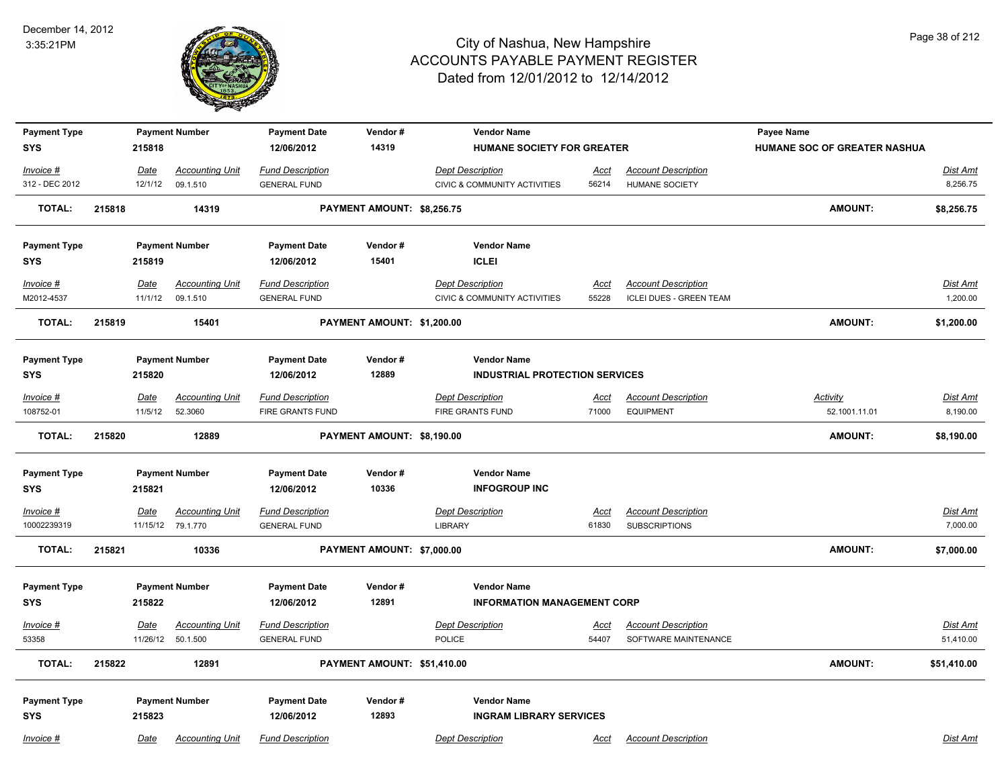

| <b>Payment Type</b>        |        |         | <b>Payment Number</b>                       | <b>Payment Date</b>                            | Vendor#                     | <b>Vendor Name</b>                        |                      |                                                    | Payee Name                   |                             |
|----------------------------|--------|---------|---------------------------------------------|------------------------------------------------|-----------------------------|-------------------------------------------|----------------------|----------------------------------------------------|------------------------------|-----------------------------|
| SYS                        |        | 215818  |                                             | 12/06/2012                                     | 14319                       | HUMANE SOCIETY FOR GREATER                |                      |                                                    | HUMANE SOC OF GREATER NASHUA |                             |
| Invoice #                  |        | Date    | <b>Accounting Unit</b>                      | <b>Fund Description</b>                        |                             | <b>Dept Description</b>                   | Acct                 | <b>Account Description</b>                         |                              | Dist Amt                    |
| 312 - DEC 2012             |        | 12/1/12 | 09.1.510                                    | <b>GENERAL FUND</b>                            |                             | <b>CIVIC &amp; COMMUNITY ACTIVITIES</b>   | 56214                | <b>HUMANE SOCIETY</b>                              |                              | 8,256.75                    |
| <b>TOTAL:</b>              | 215818 |         | 14319                                       |                                                | PAYMENT AMOUNT: \$8,256.75  |                                           |                      |                                                    | <b>AMOUNT:</b>               | \$8,256.75                  |
| <b>Payment Type</b>        |        |         | <b>Payment Number</b>                       | <b>Payment Date</b>                            | Vendor#                     | <b>Vendor Name</b>                        |                      |                                                    |                              |                             |
| <b>SYS</b>                 |        | 215819  |                                             | 12/06/2012                                     | 15401                       | <b>ICLEI</b>                              |                      |                                                    |                              |                             |
| Invoice #                  |        | Date    | <b>Accounting Unit</b>                      | <b>Fund Description</b>                        |                             | <b>Dept Description</b>                   | Acct                 | <b>Account Description</b>                         |                              | Dist Amt                    |
| M2012-4537                 |        | 11/1/12 | 09.1.510                                    | <b>GENERAL FUND</b>                            |                             | CIVIC & COMMUNITY ACTIVITIES              | 55228                | <b>ICLEI DUES - GREEN TEAM</b>                     |                              | 1,200.00                    |
| <b>TOTAL:</b>              | 215819 |         | 15401                                       |                                                | PAYMENT AMOUNT: \$1,200.00  |                                           |                      |                                                    | <b>AMOUNT:</b>               | \$1,200.00                  |
| <b>Payment Type</b>        |        |         | <b>Payment Number</b>                       | <b>Payment Date</b>                            | Vendor#                     | <b>Vendor Name</b>                        |                      |                                                    |                              |                             |
| SYS                        |        | 215820  |                                             | 12/06/2012                                     | 12889                       | <b>INDUSTRIAL PROTECTION SERVICES</b>     |                      |                                                    |                              |                             |
| <u>Invoice #</u>           |        | Date    | <b>Accounting Unit</b>                      | <b>Fund Description</b>                        |                             | <b>Dept Description</b>                   | <u>Acct</u>          | <b>Account Description</b>                         | Activity                     | <b>Dist Amt</b>             |
| 108752-01                  |        | 11/5/12 | 52.3060                                     | FIRE GRANTS FUND                               |                             | FIRE GRANTS FUND                          | 71000                | <b>EQUIPMENT</b>                                   | 52.1001.11.01                | 8,190.00                    |
| <b>TOTAL:</b>              | 215820 |         | 12889                                       |                                                | PAYMENT AMOUNT: \$8,190.00  |                                           |                      |                                                    | <b>AMOUNT:</b>               | \$8,190.00                  |
| <b>Payment Type</b>        |        |         | <b>Payment Number</b>                       | <b>Payment Date</b>                            | Vendor#                     | <b>Vendor Name</b>                        |                      |                                                    |                              |                             |
| SYS                        |        | 215821  |                                             | 12/06/2012                                     | 10336                       | <b>INFOGROUP INC</b>                      |                      |                                                    |                              |                             |
| $Invoice$ #<br>10002239319 |        | Date    | <b>Accounting Unit</b><br>11/15/12 79.1.770 | <b>Fund Description</b><br><b>GENERAL FUND</b> |                             | <b>Dept Description</b><br><b>LIBRARY</b> | <b>Acct</b><br>61830 | <b>Account Description</b><br><b>SUBSCRIPTIONS</b> |                              | <b>Dist Amt</b><br>7,000.00 |
| <b>TOTAL:</b>              | 215821 |         | 10336                                       |                                                | PAYMENT AMOUNT: \$7,000.00  |                                           |                      |                                                    | <b>AMOUNT:</b>               | \$7,000.00                  |
| <b>Payment Type</b>        |        |         | <b>Payment Number</b>                       | <b>Payment Date</b>                            | Vendor#                     | <b>Vendor Name</b>                        |                      |                                                    |                              |                             |
| <b>SYS</b>                 |        | 215822  |                                             | 12/06/2012                                     | 12891                       | <b>INFORMATION MANAGEMENT CORP</b>        |                      |                                                    |                              |                             |
| Invoice #                  |        | Date    | <b>Accounting Unit</b>                      | <b>Fund Description</b>                        |                             | <b>Dept Description</b>                   | Acct                 | <b>Account Description</b>                         |                              | Dist Amt                    |
| 53358                      |        |         | 11/26/12 50.1.500                           | <b>GENERAL FUND</b>                            |                             | <b>POLICE</b>                             | 54407                | SOFTWARE MAINTENANCE                               |                              | 51,410.00                   |
| <b>TOTAL:</b>              | 215822 |         | 12891                                       |                                                | PAYMENT AMOUNT: \$51,410.00 |                                           |                      |                                                    | <b>AMOUNT:</b>               | \$51,410.00                 |
| <b>Payment Type</b>        |        |         | <b>Payment Number</b>                       | <b>Payment Date</b>                            | Vendor#                     | <b>Vendor Name</b>                        |                      |                                                    |                              |                             |
| <b>SYS</b>                 |        | 215823  |                                             | 12/06/2012                                     | 12893                       | <b>INGRAM LIBRARY SERVICES</b>            |                      |                                                    |                              |                             |
| Invoice #                  |        | Date    | <b>Accounting Unit</b>                      | <b>Fund Description</b>                        |                             | <b>Dept Description</b>                   | Acct                 | <b>Account Description</b>                         |                              | Dist Amt                    |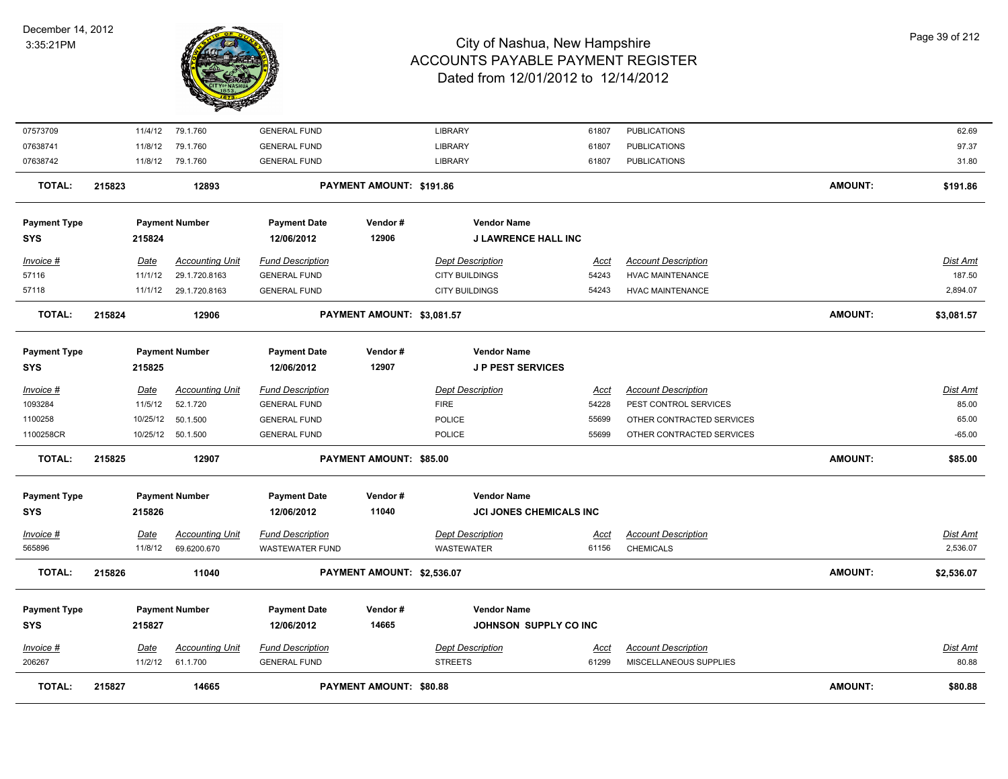

| <b>TOTAL:</b>                     | 215827 |                 | 14665                                 |                                                | PAYMENT AMOUNT: \$80.88        |                                                      |                      |                                                      | <b>AMOUNT:</b> | \$80.88              |
|-----------------------------------|--------|-----------------|---------------------------------------|------------------------------------------------|--------------------------------|------------------------------------------------------|----------------------|------------------------------------------------------|----------------|----------------------|
| Invoice #<br>206267               |        | Date<br>11/2/12 | <b>Accounting Unit</b><br>61.1.700    | <b>Fund Description</b><br><b>GENERAL FUND</b> |                                | <b>Dept Description</b><br><b>STREETS</b>            | Acct<br>61299        | <b>Account Description</b><br>MISCELLANEOUS SUPPLIES |                | Dist Amt<br>80.88    |
| <b>Payment Type</b><br><b>SYS</b> |        | 215827          | <b>Payment Number</b>                 | <b>Payment Date</b><br>12/06/2012              | Vendor#<br>14665               | <b>Vendor Name</b><br>JOHNSON SUPPLY CO INC          |                      |                                                      |                |                      |
| TOTAL:                            | 215826 |                 | 11040                                 |                                                | PAYMENT AMOUNT: \$2,536.07     |                                                      |                      |                                                      | <b>AMOUNT:</b> | \$2,536.07           |
| Invoice #<br>565896               |        | Date<br>11/8/12 | <b>Accounting Unit</b><br>69.6200.670 | <b>Fund Description</b><br>WASTEWATER FUND     |                                | <b>Dept Description</b><br><b>WASTEWATER</b>         | <u>Acct</u><br>61156 | <b>Account Description</b><br><b>CHEMICALS</b>       |                | Dist Amt<br>2,536.07 |
| <b>Payment Type</b><br><b>SYS</b> |        | 215826          | <b>Payment Number</b>                 | <b>Payment Date</b><br>12/06/2012              | Vendor#<br>11040               | <b>Vendor Name</b><br><b>JCI JONES CHEMICALS INC</b> |                      |                                                      |                |                      |
| <b>TOTAL:</b>                     | 215825 |                 | 12907                                 |                                                | <b>PAYMENT AMOUNT: \$85.00</b> |                                                      |                      |                                                      | <b>AMOUNT:</b> | \$85.00              |
| 1100258CR                         |        |                 | 10/25/12   50.1.500                   | <b>GENERAL FUND</b>                            |                                | <b>POLICE</b>                                        | 55699                | OTHER CONTRACTED SERVICES                            |                | $-65.00$             |
| 1100258                           |        | 10/25/12        | 50.1.500                              | <b>GENERAL FUND</b>                            |                                | POLICE                                               | 55699                | OTHER CONTRACTED SERVICES                            |                | 65.00                |
| 1093284                           |        | 11/5/12         | 52.1.720                              | <b>GENERAL FUND</b>                            |                                | <b>FIRE</b>                                          | 54228                | PEST CONTROL SERVICES                                |                | 85.00                |
| Invoice #                         |        | Date            | <b>Accounting Unit</b>                | <b>Fund Description</b>                        |                                | <b>Dept Description</b>                              | Acct                 | <b>Account Description</b>                           |                | Dist Amt             |
| <b>Payment Type</b><br><b>SYS</b> |        | 215825          | <b>Payment Number</b>                 | <b>Payment Date</b><br>12/06/2012              | Vendor#<br>12907               | <b>Vendor Name</b><br><b>JP PEST SERVICES</b>        |                      |                                                      |                |                      |
| TOTAL:                            | 215824 |                 | 12906                                 |                                                | PAYMENT AMOUNT: \$3,081.57     |                                                      |                      |                                                      | <b>AMOUNT:</b> | \$3,081.57           |
| 57118                             |        | 11/1/12         | 29.1.720.8163                         | <b>GENERAL FUND</b>                            |                                | <b>CITY BUILDINGS</b>                                | 54243                | <b>HVAC MAINTENANCE</b>                              |                | 2,894.07             |
| 57116                             |        | 11/1/12         | 29.1.720.8163                         | <b>GENERAL FUND</b>                            |                                | <b>CITY BUILDINGS</b>                                | 54243                | HVAC MAINTENANCE                                     |                | 187.50               |
| Invoice #                         |        | <b>Date</b>     | <b>Accounting Unit</b>                | <b>Fund Description</b>                        |                                | <b>Dept Description</b>                              | <u>Acct</u>          | <b>Account Description</b>                           |                | Dist Amt             |
| <b>Payment Type</b><br><b>SYS</b> |        | 215824          | <b>Payment Number</b>                 | <b>Payment Date</b><br>12/06/2012              | Vendor#<br>12906               | <b>Vendor Name</b><br><b>J LAWRENCE HALL INC</b>     |                      |                                                      |                |                      |
| <b>TOTAL:</b>                     | 215823 |                 | 12893                                 |                                                | PAYMENT AMOUNT: \$191.86       |                                                      |                      |                                                      | <b>AMOUNT:</b> | \$191.86             |
| 07638742                          |        |                 | 11/8/12 79.1.760                      | <b>GENERAL FUND</b>                            |                                | LIBRARY                                              | 61807                | <b>PUBLICATIONS</b>                                  |                | 31.80                |
| 07638741                          |        | 11/8/12         | 79.1.760                              | <b>GENERAL FUND</b>                            |                                | <b>LIBRARY</b>                                       | 61807                | <b>PUBLICATIONS</b>                                  |                | 97.37                |
| 07573709                          |        |                 | 11/4/12 79.1.760                      | <b>GENERAL FUND</b>                            |                                | LIBRARY                                              | 61807                | <b>PUBLICATIONS</b>                                  |                | 62.69                |
|                                   |        |                 |                                       |                                                |                                |                                                      |                      |                                                      |                |                      |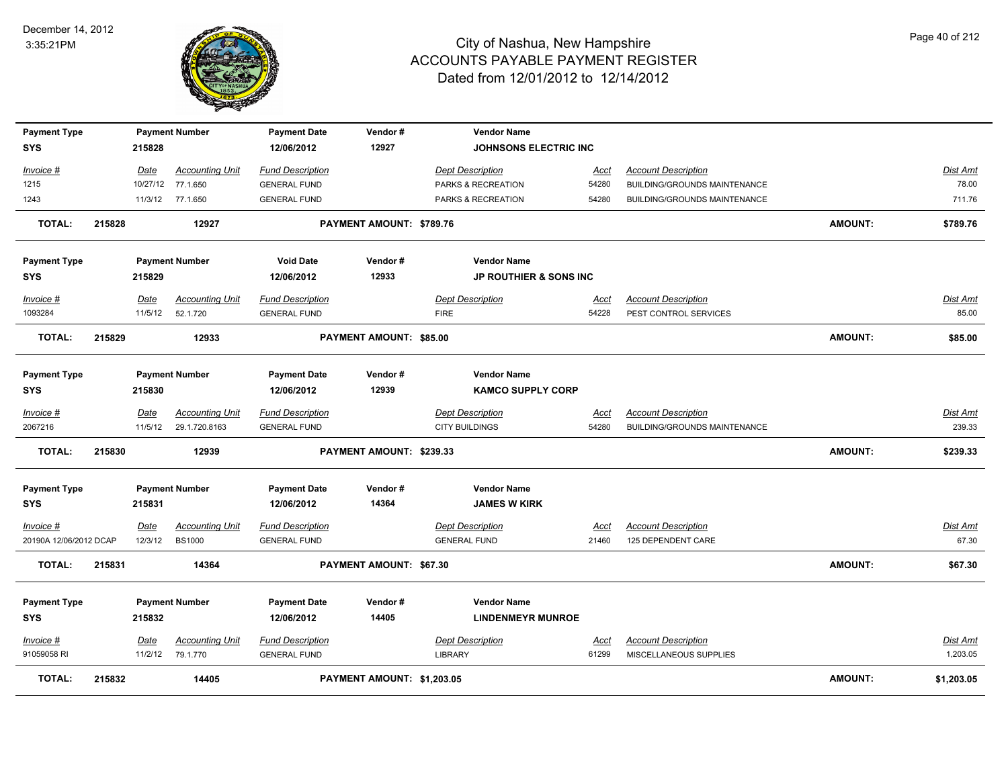

| <b>Payment Type</b>    |        |             | <b>Payment Number</b>  | <b>Payment Date</b>     | Vendor#                        | <b>Vendor Name</b>                |             |                              |                |                 |
|------------------------|--------|-------------|------------------------|-------------------------|--------------------------------|-----------------------------------|-------------|------------------------------|----------------|-----------------|
| <b>SYS</b>             |        | 215828      |                        | 12/06/2012              | 12927                          | <b>JOHNSONS ELECTRIC INC</b>      |             |                              |                |                 |
| Invoice #              |        | Date        | <b>Accounting Unit</b> | <b>Fund Description</b> |                                | <b>Dept Description</b>           | <u>Acct</u> | <b>Account Description</b>   |                | Dist Amt        |
| 1215                   |        |             | 10/27/12 77.1.650      | <b>GENERAL FUND</b>     |                                | PARKS & RECREATION                | 54280       | BUILDING/GROUNDS MAINTENANCE |                | 78.00           |
| 1243                   |        |             | 11/3/12 77.1.650       | <b>GENERAL FUND</b>     |                                | PARKS & RECREATION                | 54280       | BUILDING/GROUNDS MAINTENANCE |                | 711.76          |
| <b>TOTAL:</b>          | 215828 |             | 12927                  |                         | PAYMENT AMOUNT: \$789.76       |                                   |             |                              | <b>AMOUNT:</b> | \$789.76        |
| <b>Payment Type</b>    |        |             | <b>Payment Number</b>  | <b>Void Date</b>        | Vendor#                        | <b>Vendor Name</b>                |             |                              |                |                 |
| <b>SYS</b>             |        | 215829      |                        | 12/06/2012              | 12933                          | <b>JP ROUTHIER &amp; SONS INC</b> |             |                              |                |                 |
| Invoice #              |        | Date        | <b>Accounting Unit</b> | <b>Fund Description</b> |                                | <b>Dept Description</b>           | Acct        | <b>Account Description</b>   |                | Dist Amt        |
| 1093284                |        | 11/5/12     | 52.1.720               | <b>GENERAL FUND</b>     |                                | <b>FIRE</b>                       | 54228       | PEST CONTROL SERVICES        |                | 85.00           |
| <b>TOTAL:</b>          | 215829 |             | 12933                  |                         | PAYMENT AMOUNT: \$85.00        |                                   |             |                              | <b>AMOUNT:</b> | \$85.00         |
| <b>Payment Type</b>    |        |             | <b>Payment Number</b>  | <b>Payment Date</b>     | Vendor#                        | <b>Vendor Name</b>                |             |                              |                |                 |
| <b>SYS</b>             |        | 215830      |                        | 12/06/2012              | 12939                          | <b>KAMCO SUPPLY CORP</b>          |             |                              |                |                 |
| Invoice #              |        | Date        | <b>Accounting Unit</b> | <b>Fund Description</b> |                                | <b>Dept Description</b>           | Acct        | <b>Account Description</b>   |                | Dist Amt        |
| 2067216                |        |             | 11/5/12 29.1.720.8163  | <b>GENERAL FUND</b>     |                                | <b>CITY BUILDINGS</b>             | 54280       | BUILDING/GROUNDS MAINTENANCE |                | 239.33          |
| <b>TOTAL:</b>          | 215830 |             | 12939                  |                         | PAYMENT AMOUNT: \$239.33       |                                   |             |                              | <b>AMOUNT:</b> | \$239.33        |
| <b>Payment Type</b>    |        |             | <b>Payment Number</b>  | <b>Payment Date</b>     | Vendor#                        | <b>Vendor Name</b>                |             |                              |                |                 |
| <b>SYS</b>             |        | 215831      |                        | 12/06/2012              | 14364                          | <b>JAMES W KIRK</b>               |             |                              |                |                 |
| Invoice #              |        | <b>Date</b> | <b>Accounting Unit</b> | <b>Fund Description</b> |                                | <b>Dept Description</b>           | <b>Acct</b> | <b>Account Description</b>   |                | <b>Dist Amt</b> |
| 20190A 12/06/2012 DCAP |        | 12/3/12     | <b>BS1000</b>          | <b>GENERAL FUND</b>     |                                | <b>GENERAL FUND</b>               | 21460       | 125 DEPENDENT CARE           |                | 67.30           |
| TOTAL:                 | 215831 |             | 14364                  |                         | <b>PAYMENT AMOUNT: \$67.30</b> |                                   |             |                              | <b>AMOUNT:</b> | \$67.30         |
| <b>Payment Type</b>    |        |             | <b>Payment Number</b>  | <b>Payment Date</b>     | Vendor#                        | <b>Vendor Name</b>                |             |                              |                |                 |
| <b>SYS</b>             |        | 215832      |                        | 12/06/2012              | 14405                          | <b>LINDENMEYR MUNROE</b>          |             |                              |                |                 |
| Invoice #              |        | Date        | <b>Accounting Unit</b> | <b>Fund Description</b> |                                | <b>Dept Description</b>           | <u>Acct</u> | <b>Account Description</b>   |                | <b>Dist Amt</b> |
| 91059058 RI            |        | 11/2/12     | 79.1.770               | <b>GENERAL FUND</b>     |                                | LIBRARY                           | 61299       | MISCELLANEOUS SUPPLIES       |                | 1,203.05        |
| <b>TOTAL:</b>          | 215832 |             | 14405                  |                         | PAYMENT AMOUNT: \$1,203.05     |                                   |             |                              | <b>AMOUNT:</b> | \$1,203.05      |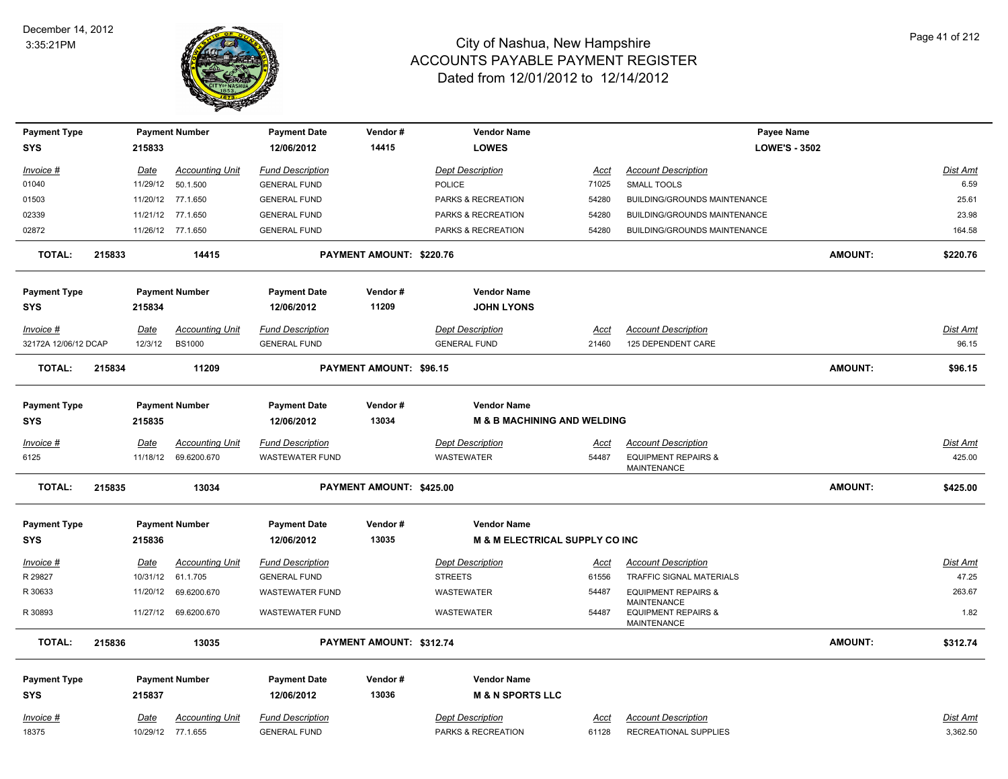

| <b>Payment Type</b>               |        |                         | <b>Payment Number</b>  | <b>Payment Date</b>     | Vendor#                  | <b>Vendor Name</b>                        |                      | Payee Name                                           |                |                 |
|-----------------------------------|--------|-------------------------|------------------------|-------------------------|--------------------------|-------------------------------------------|----------------------|------------------------------------------------------|----------------|-----------------|
| <b>SYS</b>                        |        | 215833                  |                        | 12/06/2012              | 14415                    | <b>LOWES</b>                              |                      | <b>LOWE'S - 3502</b>                                 |                |                 |
| Invoice #                         |        |                         | <b>Accounting Unit</b> | <b>Fund Description</b> |                          | <b>Dept Description</b>                   |                      | <b>Account Description</b>                           |                | Dist Amt        |
| 01040                             |        | <u>Date</u><br>11/29/12 | 50.1.500               | <b>GENERAL FUND</b>     |                          | <b>POLICE</b>                             | <u>Acct</u><br>71025 | SMALL TOOLS                                          |                | 6.59            |
| 01503                             |        |                         | 11/20/12 77.1.650      | <b>GENERAL FUND</b>     |                          | PARKS & RECREATION                        | 54280                | BUILDING/GROUNDS MAINTENANCE                         |                | 25.61           |
| 02339                             |        |                         | 11/21/12 77.1.650      | <b>GENERAL FUND</b>     |                          | PARKS & RECREATION                        | 54280                | BUILDING/GROUNDS MAINTENANCE                         |                | 23.98           |
| 02872                             |        |                         | 11/26/12 77.1.650      | <b>GENERAL FUND</b>     |                          | PARKS & RECREATION                        | 54280                | BUILDING/GROUNDS MAINTENANCE                         |                | 164.58          |
|                                   |        |                         |                        |                         |                          |                                           |                      |                                                      |                |                 |
| <b>TOTAL:</b>                     | 215833 |                         | 14415                  |                         | PAYMENT AMOUNT: \$220.76 |                                           |                      |                                                      | <b>AMOUNT:</b> | \$220.76        |
| <b>Payment Type</b>               |        |                         | <b>Payment Number</b>  | <b>Payment Date</b>     | Vendor#                  | <b>Vendor Name</b>                        |                      |                                                      |                |                 |
| <b>SYS</b>                        |        | 215834                  |                        | 12/06/2012              | 11209                    | <b>JOHN LYONS</b>                         |                      |                                                      |                |                 |
| Invoice #                         |        | <b>Date</b>             | <b>Accounting Unit</b> | <b>Fund Description</b> |                          | <b>Dept Description</b>                   | Acct                 | <b>Account Description</b>                           |                | <b>Dist Amt</b> |
| 32172A 12/06/12 DCAP              |        | 12/3/12                 | <b>BS1000</b>          | <b>GENERAL FUND</b>     |                          | <b>GENERAL FUND</b>                       | 21460                | 125 DEPENDENT CARE                                   |                | 96.15           |
|                                   |        |                         |                        |                         |                          |                                           |                      |                                                      |                |                 |
| <b>TOTAL:</b>                     | 215834 |                         | 11209                  |                         | PAYMENT AMOUNT: \$96.15  |                                           |                      |                                                      | <b>AMOUNT:</b> | \$96.15         |
| <b>Payment Type</b>               |        |                         | <b>Payment Number</b>  | <b>Payment Date</b>     | Vendor#                  | <b>Vendor Name</b>                        |                      |                                                      |                |                 |
| <b>SYS</b>                        |        | 215835                  |                        | 12/06/2012              | 13034                    | <b>M &amp; B MACHINING AND WELDING</b>    |                      |                                                      |                |                 |
|                                   |        |                         |                        |                         |                          |                                           |                      |                                                      |                |                 |
| Invoice #                         |        | <u>Date</u>             | <b>Accounting Unit</b> | <b>Fund Description</b> |                          | <b>Dept Description</b>                   | <u>Acct</u>          | <b>Account Description</b>                           |                | Dist Amt        |
| 6125                              |        | 11/18/12                | 69.6200.670            | <b>WASTEWATER FUND</b>  |                          | WASTEWATER                                | 54487                | <b>EQUIPMENT REPAIRS &amp;</b><br>MAINTENANCE        |                | 425.00          |
| <b>TOTAL:</b>                     | 215835 |                         | 13034                  |                         | PAYMENT AMOUNT: \$425.00 |                                           |                      |                                                      | <b>AMOUNT:</b> | \$425.00        |
|                                   |        |                         | <b>Payment Number</b>  | <b>Payment Date</b>     | Vendor#                  | <b>Vendor Name</b>                        |                      |                                                      |                |                 |
| <b>Payment Type</b><br><b>SYS</b> |        | 215836                  |                        | 12/06/2012              | 13035                    | <b>M &amp; M ELECTRICAL SUPPLY CO INC</b> |                      |                                                      |                |                 |
|                                   |        |                         |                        |                         |                          |                                           |                      |                                                      |                |                 |
| Invoice #                         |        | Date                    | <b>Accounting Unit</b> | <b>Fund Description</b> |                          | <b>Dept Description</b>                   | Acct                 | <b>Account Description</b>                           |                | Dist Amt        |
| R 29827                           |        | 10/31/12                | 61.1.705               | <b>GENERAL FUND</b>     |                          | <b>STREETS</b>                            | 61556                | <b>TRAFFIC SIGNAL MATERIALS</b>                      |                | 47.25           |
| R 30633                           |        | 11/20/12                | 69.6200.670            | <b>WASTEWATER FUND</b>  |                          | WASTEWATER                                | 54487                | <b>EQUIPMENT REPAIRS &amp;</b><br><b>MAINTENANCE</b> |                | 263.67          |
| R 30893                           |        |                         | 11/27/12 69.6200.670   | <b>WASTEWATER FUND</b>  |                          | <b>WASTEWATER</b>                         | 54487                | <b>EQUIPMENT REPAIRS &amp;</b><br><b>MAINTENANCE</b> |                | 1.82            |
| <b>TOTAL:</b>                     | 215836 |                         | 13035                  |                         | PAYMENT AMOUNT: \$312.74 |                                           |                      |                                                      | <b>AMOUNT:</b> | \$312.74        |
| <b>Payment Type</b>               |        |                         | <b>Payment Number</b>  | <b>Payment Date</b>     | Vendor#                  | <b>Vendor Name</b>                        |                      |                                                      |                |                 |
| <b>SYS</b>                        |        | 215837                  |                        | 12/06/2012              | 13036                    | <b>M &amp; N SPORTS LLC</b>               |                      |                                                      |                |                 |
|                                   |        |                         |                        |                         |                          |                                           |                      |                                                      |                |                 |
| Invoice #                         |        | Date                    | <b>Accounting Unit</b> | <b>Fund Description</b> |                          | <b>Dept Description</b>                   | Acct                 | <b>Account Description</b>                           |                | Dist Amt        |
| 18375                             |        |                         | 10/29/12 77.1.655      | <b>GENERAL FUND</b>     |                          | PARKS & RECREATION                        | 61128                | <b>RECREATIONAL SUPPLIES</b>                         |                | 3,362.50        |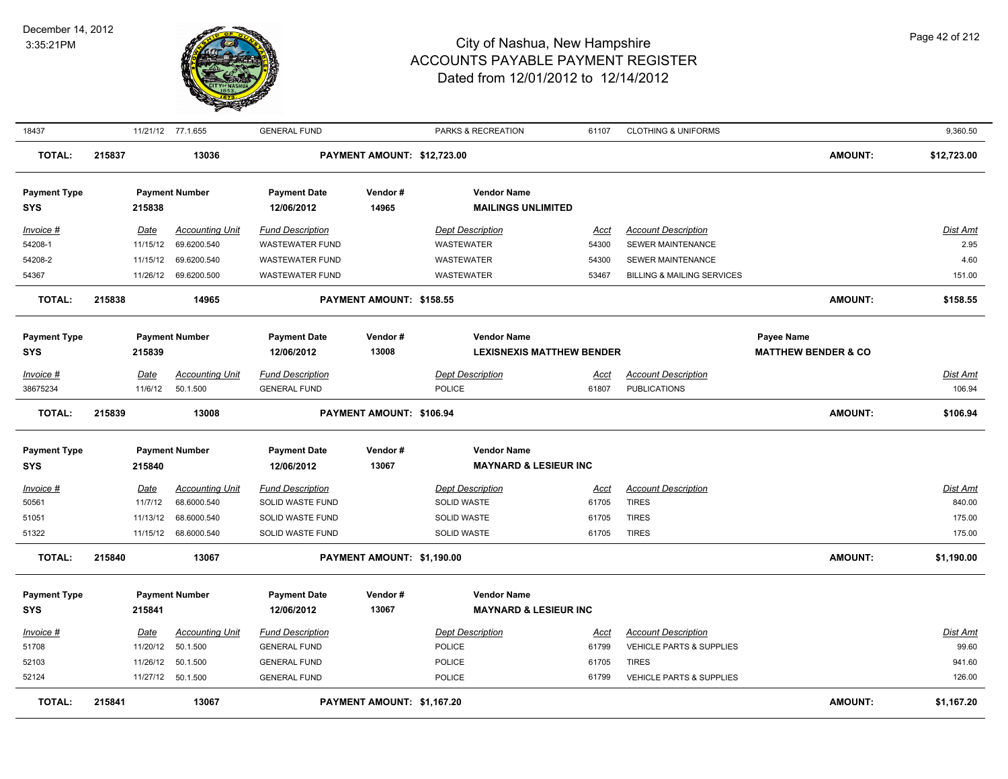

| 18437                             |        |             | 11/21/12 77.1.655      | <b>GENERAL FUND</b>               |                             | PARKS & RECREATION                              | 61107                | <b>CLOTHING &amp; UNIFORMS</b>        |                                | 9,360.50        |
|-----------------------------------|--------|-------------|------------------------|-----------------------------------|-----------------------------|-------------------------------------------------|----------------------|---------------------------------------|--------------------------------|-----------------|
| <b>TOTAL:</b>                     | 215837 |             | 13036                  |                                   | PAYMENT AMOUNT: \$12,723.00 |                                                 |                      |                                       | <b>AMOUNT:</b>                 | \$12,723.00     |
| <b>Payment Type</b><br><b>SYS</b> |        | 215838      | <b>Payment Number</b>  | <b>Payment Date</b><br>12/06/2012 | Vendor#<br>14965            | <b>Vendor Name</b><br><b>MAILINGS UNLIMITED</b> |                      |                                       |                                |                 |
| Invoice #                         |        | Date        | <b>Accounting Unit</b> | <b>Fund Description</b>           |                             | <b>Dept Description</b>                         | Acct                 | <b>Account Description</b>            |                                | Dist Amt        |
| 54208-1                           |        | 11/15/12    | 69.6200.540            | <b>WASTEWATER FUND</b>            |                             | WASTEWATER                                      | 54300                | <b>SEWER MAINTENANCE</b>              |                                | 2.95            |
| 54208-2                           |        | 11/15/12    | 69.6200.540            | <b>WASTEWATER FUND</b>            |                             | WASTEWATER                                      | 54300                | <b>SEWER MAINTENANCE</b>              |                                | 4.60            |
| 54367                             |        | 11/26/12    | 69.6200.500            | <b>WASTEWATER FUND</b>            |                             | <b>WASTEWATER</b>                               | 53467                | <b>BILLING &amp; MAILING SERVICES</b> |                                | 151.00          |
| <b>TOTAL:</b>                     | 215838 |             | 14965                  |                                   | PAYMENT AMOUNT: \$158.55    |                                                 |                      |                                       | <b>AMOUNT:</b>                 | \$158.55        |
| <b>Payment Type</b>               |        |             | <b>Payment Number</b>  | <b>Payment Date</b>               | Vendor#                     | <b>Vendor Name</b>                              |                      |                                       | <b>Payee Name</b>              |                 |
| <b>SYS</b>                        |        | 215839      |                        | 12/06/2012                        | 13008                       | <b>LEXISNEXIS MATTHEW BENDER</b>                |                      |                                       | <b>MATTHEW BENDER &amp; CO</b> |                 |
| $Invoice$ #                       |        | <b>Date</b> | <b>Accounting Unit</b> | <b>Fund Description</b>           |                             | <b>Dept Description</b>                         |                      | <b>Account Description</b>            |                                | <u>Dist Amt</u> |
| 38675234                          |        | 11/6/12     | 50.1.500               | <b>GENERAL FUND</b>               |                             | POLICE                                          | <u>Acct</u><br>61807 | <b>PUBLICATIONS</b>                   |                                | 106.94          |
| <b>TOTAL:</b>                     | 215839 |             | 13008                  |                                   | PAYMENT AMOUNT: \$106.94    |                                                 |                      |                                       | <b>AMOUNT:</b>                 | \$106.94        |
| <b>Payment Type</b>               |        |             | <b>Payment Number</b>  | <b>Payment Date</b>               | Vendor#                     | <b>Vendor Name</b>                              |                      |                                       |                                |                 |
| <b>SYS</b>                        |        | 215840      |                        | 12/06/2012                        | 13067                       | <b>MAYNARD &amp; LESIEUR INC</b>                |                      |                                       |                                |                 |
| $Invoice$ #                       |        | <u>Date</u> | <b>Accounting Unit</b> | <b>Fund Description</b>           |                             | <b>Dept Description</b>                         | <u>Acct</u>          | <b>Account Description</b>            |                                | <u>Dist Amt</u> |
| 50561                             |        | 11/7/12     | 68.6000.540            | SOLID WASTE FUND                  |                             | SOLID WASTE                                     | 61705                | <b>TIRES</b>                          |                                | 840.00          |
| 51051                             |        | 11/13/12    | 68.6000.540            | SOLID WASTE FUND                  |                             | SOLID WASTE                                     | 61705                | <b>TIRES</b>                          |                                | 175.00          |
| 51322                             |        | 11/15/12    | 68.6000.540            | SOLID WASTE FUND                  |                             | SOLID WASTE                                     | 61705                | <b>TIRES</b>                          |                                | 175.00          |
| <b>TOTAL:</b>                     | 215840 |             | 13067                  |                                   | PAYMENT AMOUNT: \$1,190.00  |                                                 |                      |                                       | <b>AMOUNT:</b>                 | \$1,190.00      |
| <b>Payment Type</b>               |        |             | <b>Payment Number</b>  | <b>Payment Date</b>               | Vendor#                     | <b>Vendor Name</b>                              |                      |                                       |                                |                 |
| <b>SYS</b>                        |        | 215841      |                        | 12/06/2012                        | 13067                       | <b>MAYNARD &amp; LESIEUR INC</b>                |                      |                                       |                                |                 |
| Invoice #                         |        | Date        | <b>Accounting Unit</b> | <b>Fund Description</b>           |                             | <b>Dept Description</b>                         | <u>Acct</u>          | <b>Account Description</b>            |                                | <u>Dist Amt</u> |
| 51708                             |        | 11/20/12    | 50.1.500               | <b>GENERAL FUND</b>               |                             | <b>POLICE</b>                                   | 61799                | <b>VEHICLE PARTS &amp; SUPPLIES</b>   |                                | 99.60           |
| 52103                             |        | 11/26/12    | 50.1.500               | <b>GENERAL FUND</b>               |                             | <b>POLICE</b>                                   | 61705                | <b>TIRES</b>                          |                                | 941.60          |
| 52124                             |        |             | 11/27/12 50.1.500      | <b>GENERAL FUND</b>               |                             | <b>POLICE</b>                                   | 61799                | <b>VEHICLE PARTS &amp; SUPPLIES</b>   |                                | 126.00          |
| <b>TOTAL:</b>                     | 215841 |             | 13067                  |                                   | PAYMENT AMOUNT: \$1,167.20  |                                                 |                      |                                       | <b>AMOUNT:</b>                 | \$1,167.20      |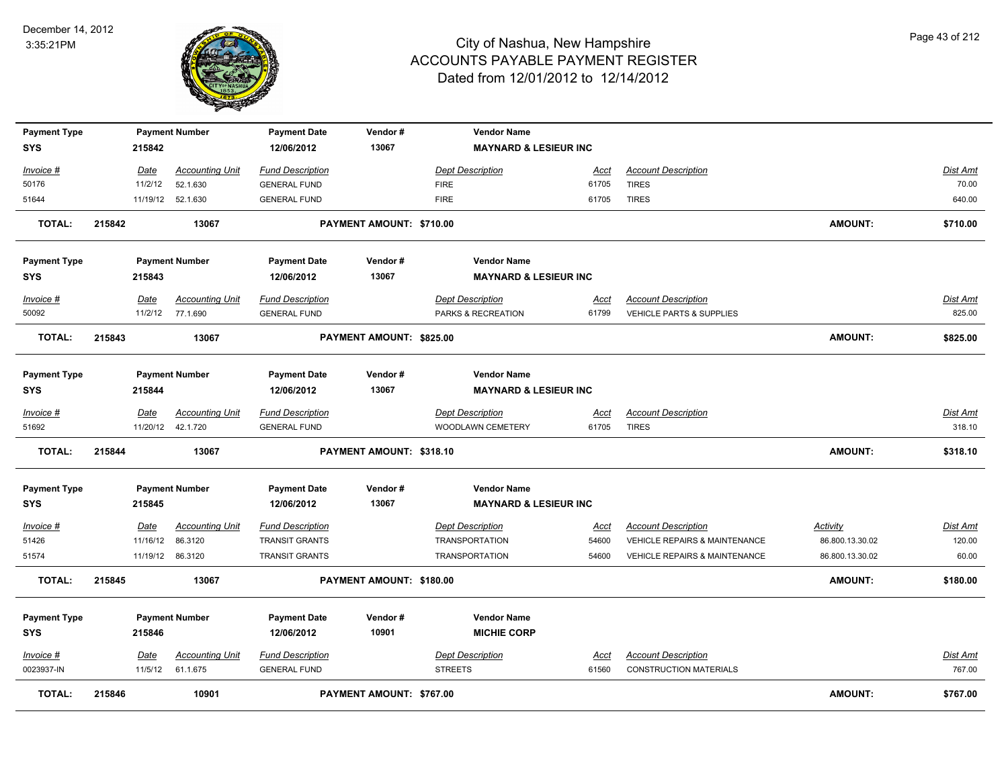

| <b>Payment Type</b><br>SYS |        | 215842          | <b>Payment Number</b>              | <b>Payment Date</b><br>12/06/2012              | Vendor#<br>13067         | <b>Vendor Name</b><br><b>MAYNARD &amp; LESIEUR INC</b> |               |                                            |                 |                   |
|----------------------------|--------|-----------------|------------------------------------|------------------------------------------------|--------------------------|--------------------------------------------------------|---------------|--------------------------------------------|-----------------|-------------------|
|                            |        |                 |                                    |                                                |                          |                                                        |               |                                            |                 |                   |
| Invoice #<br>50176         |        | Date<br>11/2/12 | <b>Accounting Unit</b><br>52.1.630 | <b>Fund Description</b><br><b>GENERAL FUND</b> |                          | <b>Dept Description</b><br><b>FIRE</b>                 | Acct<br>61705 | <b>Account Description</b><br><b>TIRES</b> |                 | Dist Amt<br>70.00 |
| 51644                      |        |                 | 11/19/12 52.1.630                  | <b>GENERAL FUND</b>                            |                          | <b>FIRE</b>                                            | 61705         | <b>TIRES</b>                               |                 | 640.00            |
|                            |        |                 |                                    |                                                |                          |                                                        |               |                                            |                 |                   |
| <b>TOTAL:</b>              | 215842 |                 | 13067                              |                                                | PAYMENT AMOUNT: \$710.00 |                                                        |               |                                            | <b>AMOUNT:</b>  | \$710.00          |
| <b>Payment Type</b>        |        |                 | <b>Payment Number</b>              | <b>Payment Date</b>                            | Vendor#                  | <b>Vendor Name</b>                                     |               |                                            |                 |                   |
| <b>SYS</b>                 |        | 215843          |                                    | 12/06/2012                                     | 13067                    | <b>MAYNARD &amp; LESIEUR INC</b>                       |               |                                            |                 |                   |
| Invoice #                  |        | <b>Date</b>     | <b>Accounting Unit</b>             | <b>Fund Description</b>                        |                          | <b>Dept Description</b>                                | Acct          | <b>Account Description</b>                 |                 | Dist Amt          |
| 50092                      |        |                 | 11/2/12 77.1.690                   | <b>GENERAL FUND</b>                            |                          | PARKS & RECREATION                                     | 61799         | <b>VEHICLE PARTS &amp; SUPPLIES</b>        |                 | 825.00            |
| <b>TOTAL:</b>              | 215843 |                 | 13067                              |                                                | PAYMENT AMOUNT: \$825.00 |                                                        |               |                                            | AMOUNT:         | \$825.00          |
| <b>Payment Type</b><br>SYS |        | 215844          | <b>Payment Number</b>              | <b>Payment Date</b><br>12/06/2012              | Vendor#<br>13067         | <b>Vendor Name</b><br><b>MAYNARD &amp; LESIEUR INC</b> |               |                                            |                 |                   |
|                            |        |                 |                                    |                                                |                          |                                                        |               |                                            |                 |                   |
| <b>Invoice #</b>           |        | Date            | <b>Accounting Unit</b>             | <b>Fund Description</b>                        |                          | <b>Dept Description</b>                                | <u>Acct</u>   | <b>Account Description</b>                 |                 | <b>Dist Amt</b>   |
| 51692                      |        |                 | 11/20/12  42.1.720                 | <b>GENERAL FUND</b>                            |                          | WOODLAWN CEMETERY                                      | 61705         | <b>TIRES</b>                               |                 | 318.10            |
| TOTAL:                     | 215844 |                 | 13067                              |                                                | PAYMENT AMOUNT: \$318.10 |                                                        |               |                                            | <b>AMOUNT:</b>  | \$318.10          |
| <b>Payment Type</b>        |        |                 | <b>Payment Number</b>              | <b>Payment Date</b>                            | Vendor#                  | <b>Vendor Name</b>                                     |               |                                            |                 |                   |
| <b>SYS</b>                 |        | 215845          |                                    | 12/06/2012                                     | 13067                    | <b>MAYNARD &amp; LESIEUR INC</b>                       |               |                                            |                 |                   |
| $Invoice$ #                |        | Date            | Accounting Unit                    | <b>Fund Description</b>                        |                          | <b>Dept Description</b>                                | <u>Acct</u>   | <b>Account Description</b>                 | <b>Activity</b> | <b>Dist Amt</b>   |
| 51426                      |        | 11/16/12        | 86.3120                            | <b>TRANSIT GRANTS</b>                          |                          | <b>TRANSPORTATION</b>                                  | 54600         | VEHICLE REPAIRS & MAINTENANCE              | 86.800.13.30.02 | 120.00            |
| 51574                      |        |                 | 11/19/12 86.3120                   | <b>TRANSIT GRANTS</b>                          |                          | <b>TRANSPORTATION</b>                                  | 54600         | <b>VEHICLE REPAIRS &amp; MAINTENANCE</b>   | 86.800.13.30.02 | 60.00             |
| <b>TOTAL:</b>              | 215845 |                 | 13067                              |                                                | PAYMENT AMOUNT: \$180.00 |                                                        |               |                                            | <b>AMOUNT:</b>  | \$180.00          |
| <b>Payment Type</b>        |        |                 | <b>Payment Number</b>              | <b>Payment Date</b>                            | Vendor#                  | <b>Vendor Name</b>                                     |               |                                            |                 |                   |
| <b>SYS</b>                 |        | 215846          |                                    | 12/06/2012                                     | 10901                    | <b>MICHIE CORP</b>                                     |               |                                            |                 |                   |
| Invoice #                  |        | Date            | <b>Accounting Unit</b>             | <b>Fund Description</b>                        |                          | <b>Dept Description</b>                                | Acct          | <b>Account Description</b>                 |                 | Dist Amt          |
| 0023937-IN                 |        | 11/5/12         | 61.1.675                           | <b>GENERAL FUND</b>                            |                          | <b>STREETS</b>                                         | 61560         | <b>CONSTRUCTION MATERIALS</b>              |                 | 767.00            |
|                            |        |                 |                                    |                                                |                          |                                                        |               |                                            |                 |                   |
| <b>TOTAL:</b>              | 215846 |                 | 10901                              |                                                | PAYMENT AMOUNT: \$767.00 |                                                        |               |                                            | <b>AMOUNT:</b>  | \$767.00          |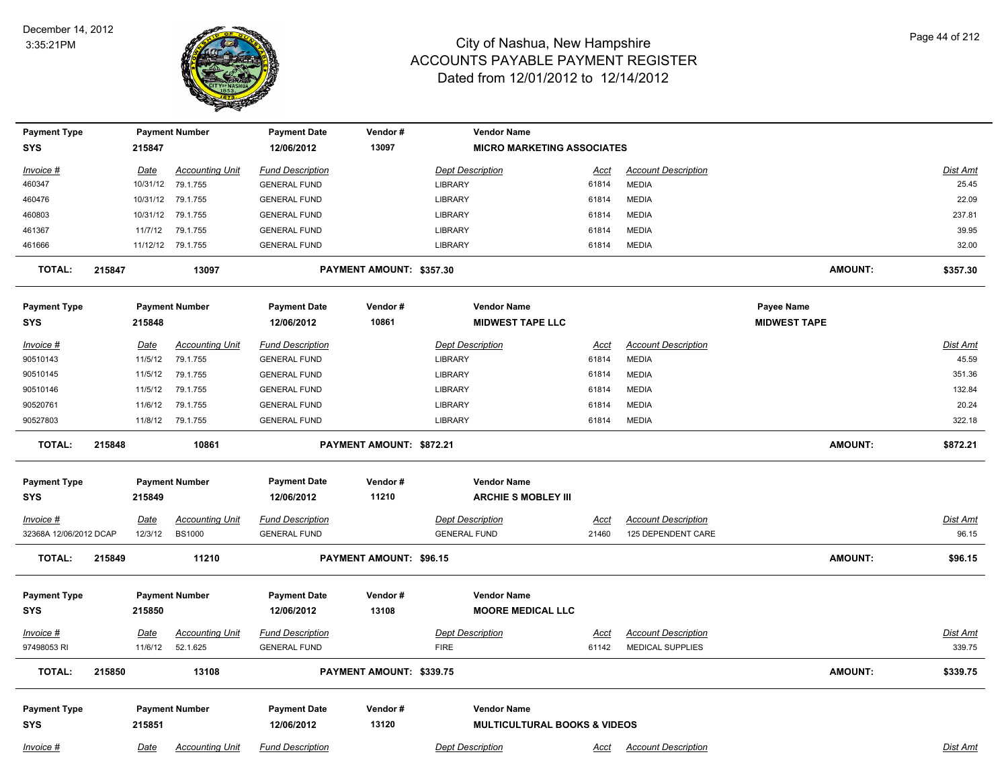

| <b>Payment Type</b>    |        |             | <b>Payment Number</b>  | <b>Payment Date</b>     | Vendor#                        | <b>Vendor Name</b>                      |             |                            |                     |          |
|------------------------|--------|-------------|------------------------|-------------------------|--------------------------------|-----------------------------------------|-------------|----------------------------|---------------------|----------|
| SYS                    |        | 215847      |                        | 12/06/2012              | 13097                          | <b>MICRO MARKETING ASSOCIATES</b>       |             |                            |                     |          |
| Invoice #              |        | Date        | <b>Accounting Unit</b> | <b>Fund Description</b> |                                | <b>Dept Description</b>                 | <u>Acct</u> | <b>Account Description</b> |                     | Dist Amt |
| 460347                 |        | 10/31/12    | 79.1.755               | <b>GENERAL FUND</b>     |                                | <b>LIBRARY</b>                          | 61814       | <b>MEDIA</b>               |                     | 25.45    |
| 460476                 |        |             | 10/31/12 79.1.755      | <b>GENERAL FUND</b>     |                                | <b>LIBRARY</b>                          | 61814       | <b>MEDIA</b>               |                     | 22.09    |
| 460803                 |        |             | 10/31/12 79.1.755      | <b>GENERAL FUND</b>     |                                | <b>LIBRARY</b>                          | 61814       | <b>MEDIA</b>               |                     | 237.81   |
| 461367                 |        | 11/7/12     | 79.1.755               | <b>GENERAL FUND</b>     |                                | <b>LIBRARY</b>                          | 61814       | <b>MEDIA</b>               |                     | 39.95    |
| 461666                 |        |             | 11/12/12 79.1.755      | <b>GENERAL FUND</b>     |                                | <b>LIBRARY</b>                          | 61814       | <b>MEDIA</b>               |                     | 32.00    |
| <b>TOTAL:</b>          | 215847 |             | 13097                  |                         | PAYMENT AMOUNT: \$357.30       |                                         |             |                            | <b>AMOUNT:</b>      | \$357.30 |
| <b>Payment Type</b>    |        |             | <b>Payment Number</b>  | <b>Payment Date</b>     | Vendor#                        | <b>Vendor Name</b>                      |             |                            | Payee Name          |          |
| SYS                    |        | 215848      |                        | 12/06/2012              | 10861                          | <b>MIDWEST TAPE LLC</b>                 |             |                            | <b>MIDWEST TAPE</b> |          |
| Invoice #              |        | Date        | <b>Accounting Unit</b> | <b>Fund Description</b> |                                | <b>Dept Description</b>                 | Acct        | <b>Account Description</b> |                     | Dist Amt |
| 90510143               |        | 11/5/12     | 79.1.755               | <b>GENERAL FUND</b>     |                                | <b>LIBRARY</b>                          | 61814       | <b>MEDIA</b>               |                     | 45.59    |
| 90510145               |        | 11/5/12     | 79.1.755               | <b>GENERAL FUND</b>     |                                | <b>LIBRARY</b>                          | 61814       | <b>MEDIA</b>               |                     | 351.36   |
| 90510146               |        | 11/5/12     | 79.1.755               | <b>GENERAL FUND</b>     |                                | <b>LIBRARY</b>                          | 61814       | <b>MEDIA</b>               |                     | 132.84   |
| 90520761               |        | 11/6/12     | 79.1.755               | <b>GENERAL FUND</b>     |                                | <b>LIBRARY</b>                          | 61814       | <b>MEDIA</b>               |                     | 20.24    |
| 90527803               |        | 11/8/12     | 79.1.755               | <b>GENERAL FUND</b>     |                                | <b>LIBRARY</b>                          | 61814       | <b>MEDIA</b>               |                     | 322.18   |
| <b>TOTAL:</b>          | 215848 |             | 10861                  |                         | PAYMENT AMOUNT: \$872.21       |                                         |             |                            | <b>AMOUNT:</b>      | \$872.21 |
| <b>Payment Type</b>    |        |             | <b>Payment Number</b>  | <b>Payment Date</b>     | Vendor#                        | <b>Vendor Name</b>                      |             |                            |                     |          |
| SYS                    |        | 215849      |                        | 12/06/2012              | 11210                          | <b>ARCHIE S MOBLEY III</b>              |             |                            |                     |          |
|                        |        |             |                        |                         |                                |                                         |             |                            |                     |          |
| Invoice #              |        | Date        | <b>Accounting Unit</b> | <b>Fund Description</b> |                                | <b>Dept Description</b>                 | Acct        | <b>Account Description</b> |                     | Dist Amt |
| 32368A 12/06/2012 DCAP |        | 12/3/12     | <b>BS1000</b>          | <b>GENERAL FUND</b>     |                                | <b>GENERAL FUND</b>                     | 21460       | 125 DEPENDENT CARE         |                     | 96.15    |
| <b>TOTAL:</b>          | 215849 |             | 11210                  |                         | <b>PAYMENT AMOUNT: \$96.15</b> |                                         |             |                            | <b>AMOUNT:</b>      | \$96.15  |
| <b>Payment Type</b>    |        |             | <b>Payment Number</b>  | <b>Payment Date</b>     | Vendor#                        | <b>Vendor Name</b>                      |             |                            |                     |          |
| <b>SYS</b>             |        | 215850      |                        | 12/06/2012              | 13108                          | <b>MOORE MEDICAL LLC</b>                |             |                            |                     |          |
| Invoice #              |        | <b>Date</b> | <b>Accounting Unit</b> | <b>Fund Description</b> |                                | <b>Dept Description</b>                 | <u>Acct</u> | <b>Account Description</b> |                     | Dist Amt |
| 97498053 RI            |        | 11/6/12     | 52.1.625               | <b>GENERAL FUND</b>     |                                | <b>FIRE</b>                             | 61142       | <b>MEDICAL SUPPLIES</b>    |                     | 339.75   |
| <b>TOTAL:</b>          | 215850 |             | 13108                  |                         | PAYMENT AMOUNT: \$339.75       |                                         |             |                            | AMOUNT:             | \$339.75 |
| <b>Payment Type</b>    |        |             | <b>Payment Number</b>  | <b>Payment Date</b>     | Vendor#                        | <b>Vendor Name</b>                      |             |                            |                     |          |
| <b>SYS</b>             |        | 215851      |                        | 12/06/2012              | 13120                          | <b>MULTICULTURAL BOOKS &amp; VIDEOS</b> |             |                            |                     |          |
| Invoice #              |        | Date        | <b>Accounting Unit</b> | <b>Fund Description</b> |                                | <b>Dept Description</b>                 | Acct        | <b>Account Description</b> |                     | Dist Amt |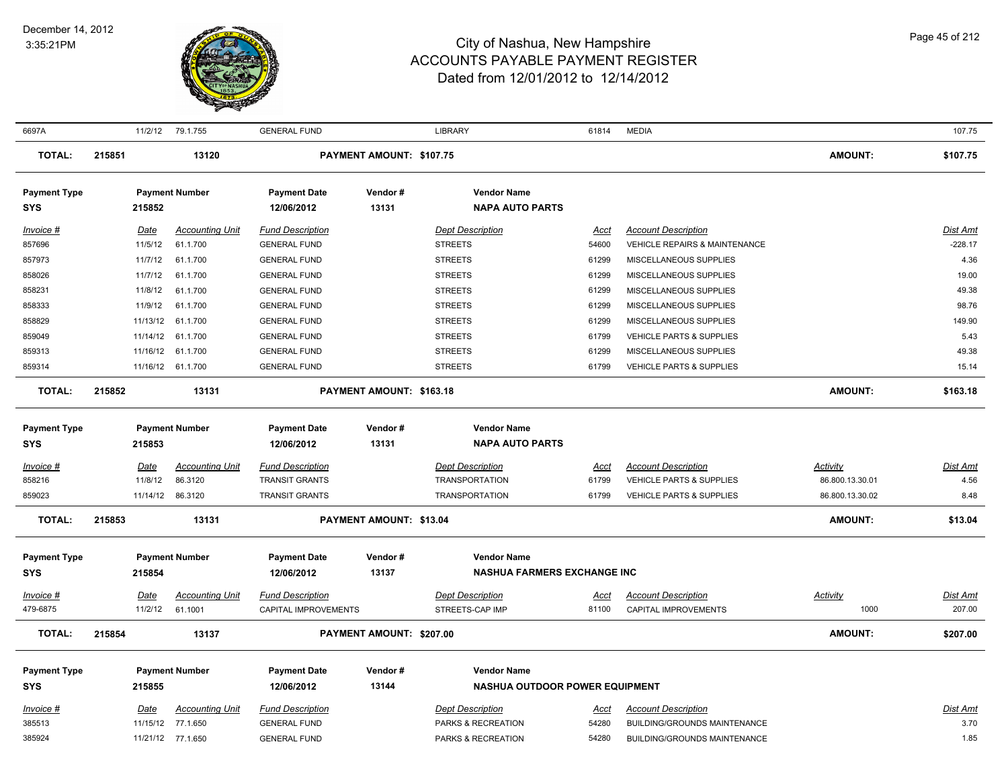

| 6697A                             |                        | 11/2/12 79.1.755       | <b>GENERAL FUND</b>               |                          | <b>LIBRARY</b>                                           | 61814         | <b>MEDIA</b>                                                      |                 | 107.75                  |
|-----------------------------------|------------------------|------------------------|-----------------------------------|--------------------------|----------------------------------------------------------|---------------|-------------------------------------------------------------------|-----------------|-------------------------|
| <b>TOTAL:</b>                     | 215851                 | 13120                  |                                   | PAYMENT AMOUNT: \$107.75 |                                                          |               |                                                                   | <b>AMOUNT:</b>  | \$107.75                |
| <b>Payment Type</b><br><b>SYS</b> | 215852                 | <b>Payment Number</b>  | <b>Payment Date</b><br>12/06/2012 | Vendor#<br>13131         | <b>Vendor Name</b><br><b>NAPA AUTO PARTS</b>             |               |                                                                   |                 |                         |
| Invoice #                         | Date                   | <b>Accounting Unit</b> | <b>Fund Description</b>           |                          | <b>Dept Description</b>                                  | Acct          | <b>Account Description</b>                                        |                 | Dist Amt                |
| 857696                            | 11/5/12                | 61.1.700               | <b>GENERAL FUND</b>               |                          | <b>STREETS</b>                                           | 54600         | <b>VEHICLE REPAIRS &amp; MAINTENANCE</b>                          |                 | $-228.17$               |
| 857973                            | 11/7/12                | 61.1.700               | <b>GENERAL FUND</b>               |                          | <b>STREETS</b>                                           | 61299         | MISCELLANEOUS SUPPLIES                                            |                 | 4.36                    |
| 858026                            | 11/7/12                | 61.1.700               | <b>GENERAL FUND</b>               |                          | <b>STREETS</b>                                           | 61299         | MISCELLANEOUS SUPPLIES                                            |                 | 19.00                   |
| 858231                            | 11/8/12                | 61.1.700               | <b>GENERAL FUND</b>               |                          | <b>STREETS</b>                                           | 61299         | MISCELLANEOUS SUPPLIES                                            |                 | 49.38                   |
| 858333                            | 11/9/12                | 61.1.700               | <b>GENERAL FUND</b>               |                          | <b>STREETS</b>                                           | 61299         | MISCELLANEOUS SUPPLIES                                            |                 | 98.76                   |
| 858829                            | 11/13/12               | 61.1.700               | <b>GENERAL FUND</b>               |                          | <b>STREETS</b>                                           | 61299         | MISCELLANEOUS SUPPLIES                                            |                 | 149.90                  |
| 859049                            | 11/14/12               | 61.1.700               | <b>GENERAL FUND</b>               |                          | <b>STREETS</b>                                           | 61799         | <b>VEHICLE PARTS &amp; SUPPLIES</b>                               |                 | 5.43                    |
| 859313                            |                        | 11/16/12 61.1.700      | <b>GENERAL FUND</b>               |                          | <b>STREETS</b>                                           | 61299         | MISCELLANEOUS SUPPLIES                                            |                 | 49.38                   |
| 859314                            |                        | 11/16/12 61.1.700      | <b>GENERAL FUND</b>               |                          | <b>STREETS</b>                                           | 61799         | <b>VEHICLE PARTS &amp; SUPPLIES</b>                               |                 | 15.14                   |
| <b>TOTAL:</b>                     | 215852                 | 13131                  |                                   | PAYMENT AMOUNT: \$163.18 |                                                          |               |                                                                   | <b>AMOUNT:</b>  | \$163.18                |
| <b>Payment Type</b>               |                        | <b>Payment Number</b>  | <b>Payment Date</b>               | Vendor#                  | <b>Vendor Name</b>                                       |               |                                                                   |                 |                         |
| <b>SYS</b>                        | 215853                 |                        | 12/06/2012                        | 13131                    | <b>NAPA AUTO PARTS</b>                                   |               |                                                                   |                 |                         |
|                                   |                        | <b>Accounting Unit</b> | <b>Fund Description</b>           |                          | <b>Dept Description</b>                                  |               |                                                                   | Activity        |                         |
| Invoice #<br>858216               | <b>Date</b><br>11/8/12 | 86.3120                | <b>TRANSIT GRANTS</b>             |                          | <b>TRANSPORTATION</b>                                    | Acct<br>61799 | <b>Account Description</b><br><b>VEHICLE PARTS &amp; SUPPLIES</b> | 86.800.13.30.01 | <u>Dist Amt</u><br>4.56 |
| 859023                            | 11/14/12               | 86.3120                | <b>TRANSIT GRANTS</b>             |                          | <b>TRANSPORTATION</b>                                    | 61799         | <b>VEHICLE PARTS &amp; SUPPLIES</b>                               | 86.800.13.30.02 | 8.48                    |
| <b>TOTAL:</b>                     | 215853                 | 13131                  |                                   | PAYMENT AMOUNT: \$13.04  |                                                          |               |                                                                   | <b>AMOUNT:</b>  | \$13.04                 |
|                                   |                        |                        |                                   |                          |                                                          |               |                                                                   |                 |                         |
| <b>Payment Type</b><br><b>SYS</b> | 215854                 | <b>Payment Number</b>  | <b>Payment Date</b><br>12/06/2012 | Vendor#<br>13137         | <b>Vendor Name</b><br><b>NASHUA FARMERS EXCHANGE INC</b> |               |                                                                   |                 |                         |
|                                   |                        |                        |                                   |                          |                                                          |               |                                                                   |                 |                         |
| Invoice #                         | Date                   | <b>Accounting Unit</b> | <b>Fund Description</b>           |                          | <b>Dept Description</b>                                  | <u>Acct</u>   | <b>Account Description</b>                                        | <b>Activity</b> | Dist Amt                |
| 479-6875                          | 11/2/12                | 61.1001                | CAPITAL IMPROVEMENTS              |                          | STREETS-CAP IMP                                          | 81100         | CAPITAL IMPROVEMENTS                                              | 1000            | 207.00                  |
| <b>TOTAL:</b>                     | 215854                 | 13137                  |                                   | PAYMENT AMOUNT: \$207.00 |                                                          |               |                                                                   | <b>AMOUNT:</b>  | \$207.00                |
| <b>Payment Type</b>               |                        | <b>Payment Number</b>  | Payment Date                      | Vendor#                  | <b>Vendor Name</b>                                       |               |                                                                   |                 |                         |
| <b>SYS</b>                        | 215855                 |                        | 12/06/2012                        | 13144                    | <b>NASHUA OUTDOOR POWER EQUIPMENT</b>                    |               |                                                                   |                 |                         |
| Invoice #                         | Date                   | <b>Accounting Unit</b> | <b>Fund Description</b>           |                          | <b>Dept Description</b>                                  | <u>Acct</u>   | <b>Account Description</b>                                        |                 | Dist Amt                |
| 385513                            | 11/15/12               | 77.1.650               | <b>GENERAL FUND</b>               |                          | PARKS & RECREATION                                       | 54280         | BUILDING/GROUNDS MAINTENANCE                                      |                 | 3.70                    |
| 385924                            |                        | 11/21/12 77.1.650      | <b>GENERAL FUND</b>               |                          | PARKS & RECREATION                                       | 54280         | BUILDING/GROUNDS MAINTENANCE                                      |                 | 1.85                    |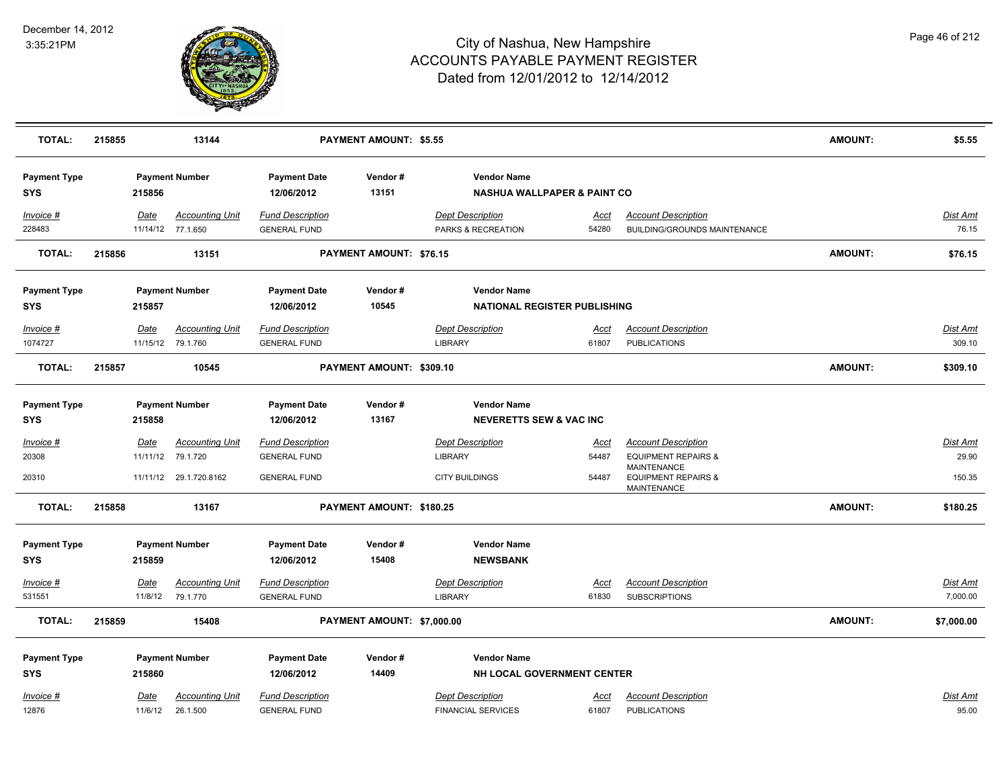

| <b>TOTAL:</b>        | 215855 |             | 13144                                       |                                                | <b>PAYMENT AMOUNT: \$5.55</b>  |                                               |               |                                                            | <b>AMOUNT:</b> | \$5.55             |
|----------------------|--------|-------------|---------------------------------------------|------------------------------------------------|--------------------------------|-----------------------------------------------|---------------|------------------------------------------------------------|----------------|--------------------|
| <b>Payment Type</b>  |        |             | <b>Payment Number</b>                       | <b>Payment Date</b>                            | Vendor#                        | <b>Vendor Name</b>                            |               |                                                            |                |                    |
| SYS                  |        | 215856      |                                             | 12/06/2012                                     | 13151                          | <b>NASHUA WALLPAPER &amp; PAINT CO</b>        |               |                                                            |                |                    |
| Invoice #<br>228483  |        | Date        | <b>Accounting Unit</b><br>11/14/12 77.1.650 | <b>Fund Description</b><br><b>GENERAL FUND</b> |                                | <b>Dept Description</b><br>PARKS & RECREATION | Acct<br>54280 | <b>Account Description</b><br>BUILDING/GROUNDS MAINTENANCE |                | Dist Amt<br>76.15  |
|                      |        |             |                                             |                                                |                                |                                               |               |                                                            |                |                    |
| <b>TOTAL:</b>        | 215856 |             | 13151                                       |                                                | <b>PAYMENT AMOUNT: \$76.15</b> |                                               |               |                                                            | <b>AMOUNT:</b> | \$76.15            |
| <b>Payment Type</b>  |        |             | <b>Payment Number</b>                       | <b>Payment Date</b>                            | Vendor#                        | <b>Vendor Name</b>                            |               |                                                            |                |                    |
| SYS                  |        | 215857      |                                             | 12/06/2012                                     | 10545                          | NATIONAL REGISTER PUBLISHING                  |               |                                                            |                |                    |
|                      |        |             |                                             |                                                |                                |                                               |               |                                                            |                |                    |
| Invoice #<br>1074727 |        | Date        | <b>Accounting Unit</b><br>11/15/12 79.1.760 | <b>Fund Description</b><br><b>GENERAL FUND</b> |                                | <b>Dept Description</b><br><b>LIBRARY</b>     | Acct<br>61807 | <b>Account Description</b><br><b>PUBLICATIONS</b>          |                | Dist Amt<br>309.10 |
|                      |        |             |                                             |                                                |                                |                                               |               |                                                            |                |                    |
| <b>TOTAL:</b>        | 215857 |             | 10545                                       |                                                | PAYMENT AMOUNT: \$309.10       |                                               |               |                                                            | <b>AMOUNT:</b> | \$309.10           |
|                      |        |             |                                             |                                                |                                |                                               |               |                                                            |                |                    |
| <b>Payment Type</b>  |        |             | <b>Payment Number</b>                       | <b>Payment Date</b>                            | Vendor#                        | <b>Vendor Name</b>                            |               |                                                            |                |                    |
| <b>SYS</b>           |        | 215858      |                                             | 12/06/2012                                     | 13167                          | <b>NEVERETTS SEW &amp; VAC INC</b>            |               |                                                            |                |                    |
| Invoice #            |        | <b>Date</b> | <b>Accounting Unit</b>                      | <b>Fund Description</b>                        |                                | <b>Dept Description</b>                       | <u>Acct</u>   | <b>Account Description</b>                                 |                | Dist Amt           |
| 20308                |        |             | 11/11/12 79.1.720                           | <b>GENERAL FUND</b>                            |                                | <b>LIBRARY</b>                                | 54487         | <b>EQUIPMENT REPAIRS &amp;</b>                             |                | 29.90              |
| 20310                |        |             | 11/11/12 29.1.720.8162                      | <b>GENERAL FUND</b>                            |                                | <b>CITY BUILDINGS</b>                         | 54487         | <b>MAINTENANCE</b><br><b>EQUIPMENT REPAIRS &amp;</b>       |                | 150.35             |
|                      |        |             |                                             |                                                |                                |                                               |               | MAINTENANCE                                                |                |                    |
| <b>TOTAL:</b>        | 215858 |             | 13167                                       |                                                | PAYMENT AMOUNT: \$180.25       |                                               |               |                                                            | <b>AMOUNT:</b> | \$180.25           |
|                      |        |             |                                             |                                                |                                |                                               |               |                                                            |                |                    |
| <b>Payment Type</b>  |        |             | <b>Payment Number</b>                       | <b>Payment Date</b>                            | Vendor#                        | <b>Vendor Name</b>                            |               |                                                            |                |                    |
| <b>SYS</b>           |        | 215859      |                                             | 12/06/2012                                     | 15408                          | <b>NEWSBANK</b>                               |               |                                                            |                |                    |
| Invoice #            |        | Date        | <b>Accounting Unit</b>                      | <b>Fund Description</b>                        |                                | <b>Dept Description</b>                       | Acct          | <b>Account Description</b>                                 |                | Dist Amt           |
| 531551               |        | 11/8/12     | 79.1.770                                    | <b>GENERAL FUND</b>                            |                                | <b>LIBRARY</b>                                | 61830         | <b>SUBSCRIPTIONS</b>                                       |                | 7,000.00           |
| <b>TOTAL:</b>        | 215859 |             | 15408                                       |                                                | PAYMENT AMOUNT: \$7,000.00     |                                               |               |                                                            | AMOUNT:        | \$7,000.00         |
|                      |        |             |                                             |                                                |                                |                                               |               |                                                            |                |                    |
| <b>Payment Type</b>  |        |             | <b>Payment Number</b>                       | <b>Payment Date</b>                            | Vendor#                        | <b>Vendor Name</b>                            |               |                                                            |                |                    |
| <b>SYS</b>           |        | 215860      |                                             | 12/06/2012                                     | 14409                          | NH LOCAL GOVERNMENT CENTER                    |               |                                                            |                |                    |
| Invoice #            |        | Date        | <b>Accounting Unit</b>                      | <b>Fund Description</b>                        |                                | <b>Dept Description</b>                       | <u>Acct</u>   | <b>Account Description</b>                                 |                | Dist Amt           |
| 12876                |        | 11/6/12     | 26.1.500                                    | <b>GENERAL FUND</b>                            |                                | <b>FINANCIAL SERVICES</b>                     | 61807         | <b>PUBLICATIONS</b>                                        |                | 95.00              |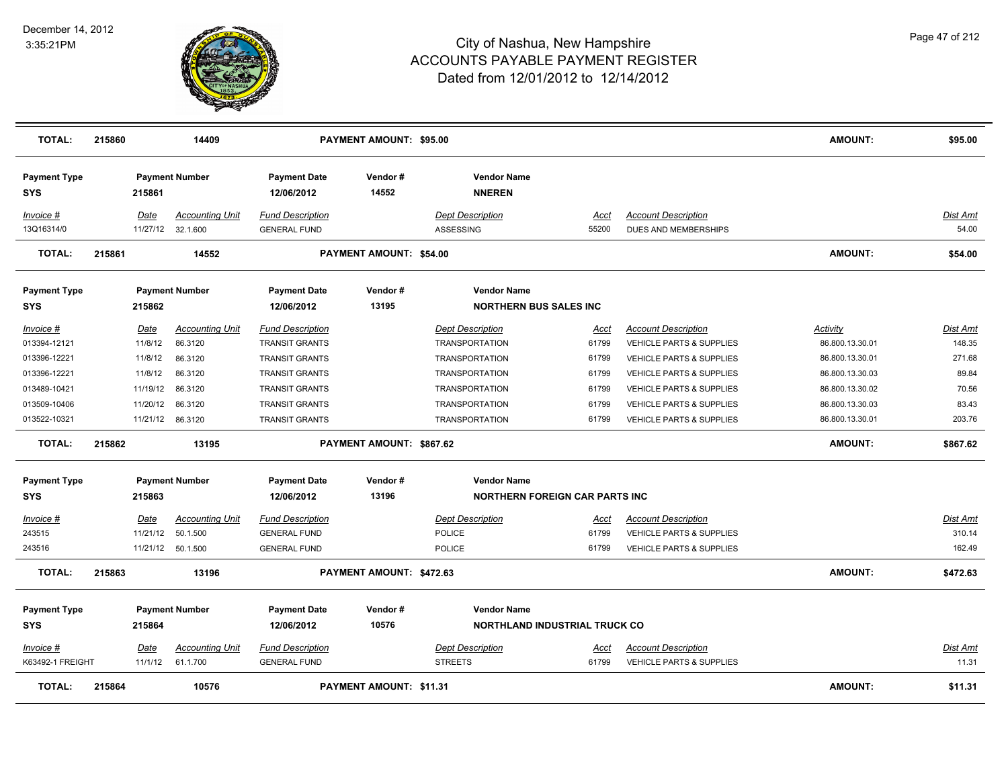

| <b>TOTAL:</b>                     | 215860 |                  | 14409                             |                                                  | <b>PAYMENT AMOUNT: \$95.00</b> |                                                  |               |                                                                   | <b>AMOUNT:</b>                     | \$95.00                   |
|-----------------------------------|--------|------------------|-----------------------------------|--------------------------------------------------|--------------------------------|--------------------------------------------------|---------------|-------------------------------------------------------------------|------------------------------------|---------------------------|
| <b>Payment Type</b><br><b>SYS</b> |        | 215861           | <b>Payment Number</b>             | <b>Payment Date</b><br>12/06/2012                | Vendor#<br>14552               | <b>Vendor Name</b><br><b>NNEREN</b>              |               |                                                                   |                                    |                           |
| Invoice #                         |        | Date             | <b>Accounting Unit</b>            | <b>Fund Description</b>                          |                                | <b>Dept Description</b>                          | Acct          | <b>Account Description</b>                                        |                                    | <u>Dist Amt</u>           |
| 13Q16314/0                        |        |                  | 11/27/12 32.1.600                 | <b>GENERAL FUND</b>                              |                                | ASSESSING                                        | 55200         | DUES AND MEMBERSHIPS                                              |                                    | 54.00                     |
| <b>TOTAL:</b>                     | 215861 |                  | 14552                             |                                                  | PAYMENT AMOUNT: \$54.00        |                                                  |               |                                                                   | <b>AMOUNT:</b>                     | \$54.00                   |
| <b>Payment Type</b>               |        |                  | <b>Payment Number</b>             | <b>Payment Date</b>                              | Vendor#                        | <b>Vendor Name</b>                               |               |                                                                   |                                    |                           |
| <b>SYS</b>                        |        | 215862           |                                   | 12/06/2012                                       | 13195                          | <b>NORTHERN BUS SALES INC</b>                    |               |                                                                   |                                    |                           |
| $Invoice$ #<br>013394-12121       |        | Date<br>11/8/12  | <b>Accounting Unit</b><br>86.3120 | <b>Fund Description</b><br><b>TRANSIT GRANTS</b> |                                | <b>Dept Description</b><br><b>TRANSPORTATION</b> | Acct<br>61799 | <b>Account Description</b><br><b>VEHICLE PARTS &amp; SUPPLIES</b> | <b>Activity</b><br>86.800.13.30.01 | <u>Dist Amt</u><br>148.35 |
| 013396-12221                      |        | 11/8/12          | 86.3120                           | <b>TRANSIT GRANTS</b>                            |                                | <b>TRANSPORTATION</b>                            | 61799         | <b>VEHICLE PARTS &amp; SUPPLIES</b>                               | 86.800.13.30.01                    | 271.68                    |
| 013396-12221                      |        | 11/8/12          | 86.3120                           | <b>TRANSIT GRANTS</b>                            |                                | <b>TRANSPORTATION</b>                            | 61799         | VEHICLE PARTS & SUPPLIES                                          | 86.800.13.30.03                    | 89.84                     |
| 013489-10421                      |        | 11/19/12         | 86.3120                           | TRANSIT GRANTS                                   |                                | <b>TRANSPORTATION</b>                            | 61799         | VEHICLE PARTS & SUPPLIES                                          | 86.800.13.30.02                    | 70.56                     |
| 013509-10406                      |        | 11/20/12         | 86.3120                           | <b>TRANSIT GRANTS</b>                            |                                | <b>TRANSPORTATION</b>                            | 61799         | <b>VEHICLE PARTS &amp; SUPPLIES</b>                               | 86.800.13.30.03                    | 83.43                     |
| 013522-10321                      |        | 11/21/12 86.3120 |                                   | <b>TRANSIT GRANTS</b>                            |                                | <b>TRANSPORTATION</b>                            | 61799         | VEHICLE PARTS & SUPPLIES                                          | 86.800.13.30.01                    | 203.76                    |
| <b>TOTAL:</b>                     | 215862 |                  | 13195                             |                                                  | PAYMENT AMOUNT: \$867.62       |                                                  |               |                                                                   | <b>AMOUNT:</b>                     | \$867.62                  |
| <b>Payment Type</b>               |        |                  | <b>Payment Number</b>             | <b>Payment Date</b>                              | Vendor#                        | <b>Vendor Name</b>                               |               |                                                                   |                                    |                           |
| <b>SYS</b>                        |        | 215863           |                                   | 12/06/2012                                       | 13196                          | <b>NORTHERN FOREIGN CAR PARTS INC</b>            |               |                                                                   |                                    |                           |
| <u> Invoice #</u>                 |        | Date             | <b>Accounting Unit</b>            | <b>Fund Description</b>                          |                                | <b>Dept Description</b>                          | <u>Acct</u>   | <b>Account Description</b>                                        |                                    | <u>Dist Amt</u>           |
| 243515                            |        | 11/21/12         | 50.1.500                          | <b>GENERAL FUND</b>                              |                                | <b>POLICE</b>                                    | 61799         | <b>VEHICLE PARTS &amp; SUPPLIES</b>                               |                                    | 310.14                    |
| 243516                            |        |                  | 11/21/12 50.1.500                 | <b>GENERAL FUND</b>                              |                                | <b>POLICE</b>                                    | 61799         | VEHICLE PARTS & SUPPLIES                                          |                                    | 162.49                    |
| <b>TOTAL:</b>                     | 215863 |                  | 13196                             |                                                  | PAYMENT AMOUNT: \$472.63       |                                                  |               |                                                                   | <b>AMOUNT:</b>                     | \$472.63                  |
| <b>Payment Type</b>               |        |                  | <b>Payment Number</b>             | <b>Payment Date</b>                              | Vendor#                        | <b>Vendor Name</b>                               |               |                                                                   |                                    |                           |
| <b>SYS</b>                        |        | 215864           |                                   | 12/06/2012                                       | 10576                          | <b>NORTHLAND INDUSTRIAL TRUCK CO</b>             |               |                                                                   |                                    |                           |
| Invoice #                         |        | Date             | <b>Accounting Unit</b>            | <b>Fund Description</b>                          |                                | <b>Dept Description</b>                          | Acct          | <b>Account Description</b>                                        |                                    | Dist Amt                  |
| K63492-1 FREIGHT                  |        | 11/1/12          | 61.1.700                          | <b>GENERAL FUND</b>                              |                                | <b>STREETS</b>                                   | 61799         | <b>VEHICLE PARTS &amp; SUPPLIES</b>                               |                                    | 11.31                     |
| <b>TOTAL:</b>                     | 215864 |                  | 10576                             |                                                  | PAYMENT AMOUNT: \$11.31        |                                                  |               |                                                                   | AMOUNT:                            | \$11.31                   |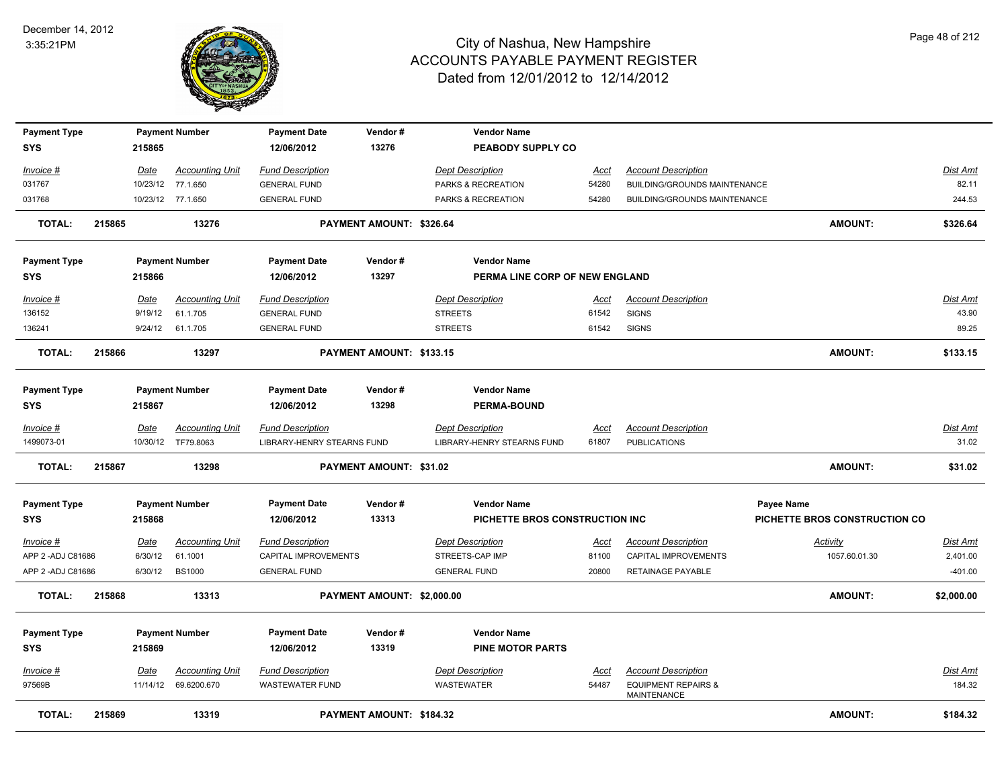

| <b>Payment Type</b> |        |             | <b>Payment Number</b>  | <b>Payment Date</b>        | Vendor#                        | <b>Vendor Name</b>             |             |                                                      |                               |                 |
|---------------------|--------|-------------|------------------------|----------------------------|--------------------------------|--------------------------------|-------------|------------------------------------------------------|-------------------------------|-----------------|
| <b>SYS</b>          |        | 215865      |                        | 12/06/2012                 | 13276                          | PEABODY SUPPLY CO              |             |                                                      |                               |                 |
| Invoice #           |        | Date        | <b>Accounting Unit</b> | <b>Fund Description</b>    |                                | <b>Dept Description</b>        | Acct        | <b>Account Description</b>                           |                               | Dist Amt        |
| 031767              |        | 10/23/12    | 77.1.650               | <b>GENERAL FUND</b>        |                                | PARKS & RECREATION             | 54280       | BUILDING/GROUNDS MAINTENANCE                         |                               | 82.11           |
| 031768              |        |             | 10/23/12 77.1.650      | <b>GENERAL FUND</b>        |                                | PARKS & RECREATION             | 54280       | BUILDING/GROUNDS MAINTENANCE                         |                               | 244.53          |
| <b>TOTAL:</b>       | 215865 |             | 13276                  |                            | PAYMENT AMOUNT: \$326.64       |                                |             |                                                      | <b>AMOUNT:</b>                | \$326.64        |
| <b>Payment Type</b> |        |             | <b>Payment Number</b>  | <b>Payment Date</b>        | Vendor#                        | <b>Vendor Name</b>             |             |                                                      |                               |                 |
| <b>SYS</b>          |        | 215866      |                        | 12/06/2012                 | 13297                          | PERMA LINE CORP OF NEW ENGLAND |             |                                                      |                               |                 |
| Invoice #           |        | <b>Date</b> | <b>Accounting Unit</b> | <b>Fund Description</b>    |                                | <b>Dept Description</b>        | <u>Acct</u> | <b>Account Description</b>                           |                               | Dist Amt        |
| 136152              |        | 9/19/12     | 61.1.705               | <b>GENERAL FUND</b>        |                                | <b>STREETS</b>                 | 61542       | <b>SIGNS</b>                                         |                               | 43.90           |
| 136241              |        |             | 9/24/12 61.1.705       | <b>GENERAL FUND</b>        |                                | <b>STREETS</b>                 | 61542       | <b>SIGNS</b>                                         |                               | 89.25           |
| <b>TOTAL:</b>       | 215866 |             | 13297                  |                            | PAYMENT AMOUNT: \$133.15       |                                |             |                                                      | <b>AMOUNT:</b>                | \$133.15        |
| <b>Payment Type</b> |        |             | <b>Payment Number</b>  | <b>Payment Date</b>        | Vendor#                        | <b>Vendor Name</b>             |             |                                                      |                               |                 |
| <b>SYS</b>          |        | 215867      |                        | 12/06/2012                 | 13298                          | <b>PERMA-BOUND</b>             |             |                                                      |                               |                 |
| Invoice #           |        | Date        | <b>Accounting Unit</b> | <b>Fund Description</b>    |                                | <b>Dept Description</b>        | Acct        | <b>Account Description</b>                           |                               | Dist Amt        |
| 1499073-01          |        |             | 10/30/12 TF79.8063     | LIBRARY-HENRY STEARNS FUND |                                | LIBRARY-HENRY STEARNS FUND     | 61807       | <b>PUBLICATIONS</b>                                  |                               | 31.02           |
| <b>TOTAL:</b>       | 215867 |             | 13298                  |                            | <b>PAYMENT AMOUNT: \$31.02</b> |                                |             |                                                      | <b>AMOUNT:</b>                | \$31.02         |
| <b>Payment Type</b> |        |             | <b>Payment Number</b>  | <b>Payment Date</b>        | Vendor#                        | <b>Vendor Name</b>             |             |                                                      | <b>Payee Name</b>             |                 |
| <b>SYS</b>          |        | 215868      |                        | 12/06/2012                 | 13313                          | PICHETTE BROS CONSTRUCTION INC |             |                                                      | PICHETTE BROS CONSTRUCTION CO |                 |
| $Invoice$ #         |        | Date        | <b>Accounting Unit</b> | <b>Fund Description</b>    |                                | <b>Dept Description</b>        | <u>Acct</u> | <b>Account Description</b>                           | <b>Activity</b>               | <u>Dist Amt</u> |
| APP 2 - ADJ C81686  |        | 6/30/12     | 61.1001                | CAPITAL IMPROVEMENTS       |                                | STREETS-CAP IMP                | 81100       | CAPITAL IMPROVEMENTS                                 | 1057.60.01.30                 | 2,401.00        |
| APP 2 - ADJ C81686  |        | 6/30/12     | <b>BS1000</b>          | <b>GENERAL FUND</b>        |                                | <b>GENERAL FUND</b>            | 20800       | RETAINAGE PAYABLE                                    |                               | $-401.00$       |
| <b>TOTAL:</b>       | 215868 |             | 13313                  |                            | PAYMENT AMOUNT: \$2,000.00     |                                |             |                                                      | <b>AMOUNT:</b>                | \$2,000.00      |
| <b>Payment Type</b> |        |             | <b>Payment Number</b>  | <b>Payment Date</b>        | Vendor#                        | <b>Vendor Name</b>             |             |                                                      |                               |                 |
| <b>SYS</b>          |        | 215869      |                        | 12/06/2012                 | 13319                          | <b>PINE MOTOR PARTS</b>        |             |                                                      |                               |                 |
| Invoice #           |        | <b>Date</b> | <b>Accounting Unit</b> | <b>Fund Description</b>    |                                | <b>Dept Description</b>        | <u>Acct</u> | <b>Account Description</b>                           |                               | <u>Dist Amt</u> |
| 97569B              |        |             | 11/14/12 69.6200.670   | <b>WASTEWATER FUND</b>     |                                | <b>WASTEWATER</b>              | 54487       | <b>EQUIPMENT REPAIRS &amp;</b><br><b>MAINTENANCE</b> |                               | 184.32          |
| <b>TOTAL:</b>       | 215869 |             | 13319                  |                            | PAYMENT AMOUNT: \$184.32       |                                |             |                                                      | <b>AMOUNT:</b>                | \$184.32        |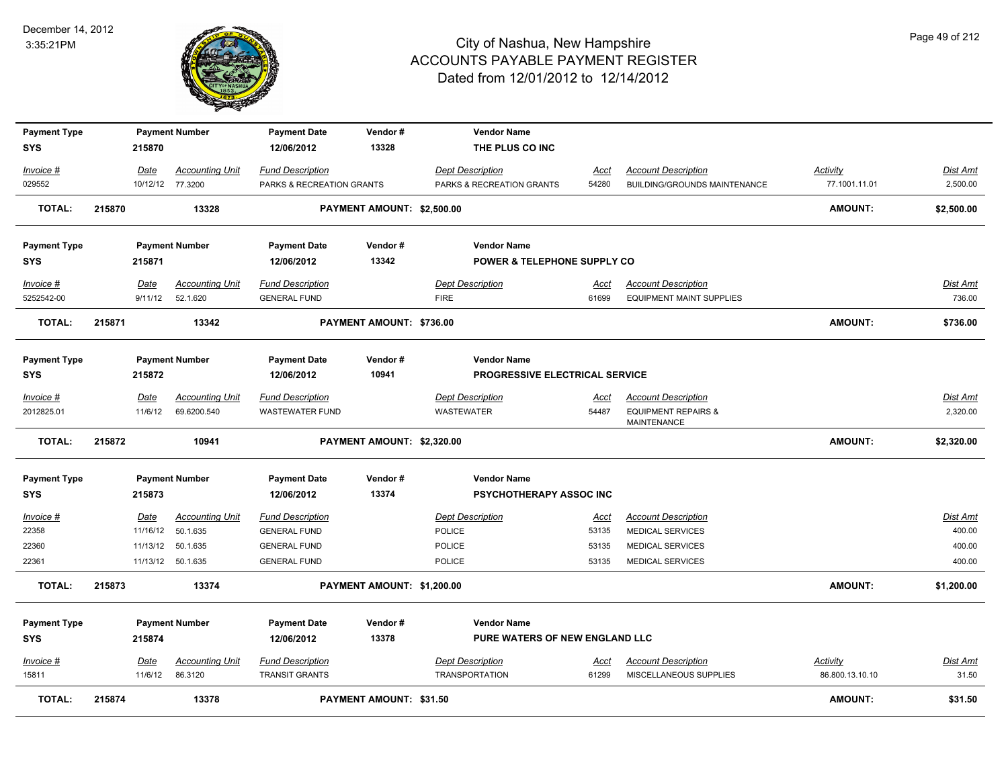

| <b>Payment Type</b><br><b>SYS</b> |        | 215870                 | <b>Payment Number</b>              | <b>Payment Date</b><br>12/06/2012                | Vendor#<br>13328           |                                        | <b>Vendor Name</b><br>THE PLUS CO INC  |                      |                                                               |                                    |                           |
|-----------------------------------|--------|------------------------|------------------------------------|--------------------------------------------------|----------------------------|----------------------------------------|----------------------------------------|----------------------|---------------------------------------------------------------|------------------------------------|---------------------------|
| Invoice #                         |        | Date                   | <b>Accounting Unit</b>             | <b>Fund Description</b>                          |                            | <b>Dept Description</b>                |                                        | Acct                 | <b>Account Description</b>                                    | Activity                           | Dist Amt                  |
| 029552                            |        |                        | 10/12/12 77.3200                   | PARKS & RECREATION GRANTS                        |                            |                                        | PARKS & RECREATION GRANTS              | 54280                | <b>BUILDING/GROUNDS MAINTENANCE</b>                           | 77.1001.11.01                      | 2,500.00                  |
| <b>TOTAL:</b>                     | 215870 |                        | 13328                              |                                                  | PAYMENT AMOUNT: \$2,500.00 |                                        |                                        |                      |                                                               | <b>AMOUNT:</b>                     | \$2,500.00                |
| <b>Payment Type</b>               |        |                        | <b>Payment Number</b>              | <b>Payment Date</b>                              | Vendor#                    |                                        | <b>Vendor Name</b>                     |                      |                                                               |                                    |                           |
| <b>SYS</b>                        |        | 215871                 |                                    | 12/06/2012                                       | 13342                      |                                        | <b>POWER &amp; TELEPHONE SUPPLY CO</b> |                      |                                                               |                                    |                           |
| Invoice #<br>5252542-00           |        | Date<br>9/11/12        | <b>Accounting Unit</b><br>52.1.620 | <b>Fund Description</b><br><b>GENERAL FUND</b>   |                            | <b>Dept Description</b><br><b>FIRE</b> |                                        | Acct<br>61699        | <b>Account Description</b><br><b>EQUIPMENT MAINT SUPPLIES</b> |                                    | <b>Dist Amt</b><br>736.00 |
| <b>TOTAL:</b>                     | 215871 |                        | 13342                              |                                                  | PAYMENT AMOUNT: \$736.00   |                                        |                                        |                      |                                                               | <b>AMOUNT:</b>                     | \$736.00                  |
| <b>Payment Type</b>               |        |                        | <b>Payment Number</b>              | <b>Payment Date</b>                              | Vendor#                    |                                        | <b>Vendor Name</b>                     |                      |                                                               |                                    |                           |
| <b>SYS</b>                        |        | 215872                 |                                    | 12/06/2012                                       | 10941                      |                                        | PROGRESSIVE ELECTRICAL SERVICE         |                      |                                                               |                                    |                           |
| Invoice #                         |        | Date                   | <b>Accounting Unit</b>             | <b>Fund Description</b>                          |                            | <b>Dept Description</b>                |                                        | <u>Acct</u>          | <b>Account Description</b>                                    |                                    | Dist Amt                  |
| 2012825.01                        |        | 11/6/12                | 69.6200.540                        | <b>WASTEWATER FUND</b>                           |                            | WASTEWATER                             |                                        | 54487                | <b>EQUIPMENT REPAIRS &amp;</b><br><b>MAINTENANCE</b>          |                                    | 2,320.00                  |
| <b>TOTAL:</b>                     | 215872 |                        | 10941                              |                                                  | PAYMENT AMOUNT: \$2,320.00 |                                        |                                        |                      |                                                               | <b>AMOUNT:</b>                     | \$2,320.00                |
| <b>Payment Type</b>               |        |                        | <b>Payment Number</b>              | <b>Payment Date</b>                              | Vendor#                    |                                        | <b>Vendor Name</b>                     |                      |                                                               |                                    |                           |
| <b>SYS</b>                        |        | 215873                 |                                    | 12/06/2012                                       | 13374                      |                                        | <b>PSYCHOTHERAPY ASSOC INC</b>         |                      |                                                               |                                    |                           |
| Invoice #                         |        | Date                   | <b>Accounting Unit</b>             | <b>Fund Description</b>                          |                            | <b>Dept Description</b>                |                                        | Acct                 | <b>Account Description</b>                                    |                                    | Dist Amt                  |
| 22358                             |        | 11/16/12               | 50.1.635                           | <b>GENERAL FUND</b>                              |                            | <b>POLICE</b>                          |                                        | 53135                | <b>MEDICAL SERVICES</b>                                       |                                    | 400.00                    |
| 22360                             |        | 11/13/12               | 50.1.635                           | <b>GENERAL FUND</b>                              |                            | <b>POLICE</b>                          |                                        | 53135                | <b>MEDICAL SERVICES</b>                                       |                                    | 400.00                    |
| 22361                             |        |                        | 11/13/12 50.1.635                  | <b>GENERAL FUND</b>                              |                            | <b>POLICE</b>                          |                                        | 53135                | <b>MEDICAL SERVICES</b>                                       |                                    | 400.00                    |
| <b>TOTAL:</b>                     | 215873 |                        | 13374                              |                                                  | PAYMENT AMOUNT: \$1,200.00 |                                        |                                        |                      |                                                               | <b>AMOUNT:</b>                     | \$1,200.00                |
| <b>Payment Type</b>               |        |                        | <b>Payment Number</b>              | <b>Payment Date</b>                              | Vendor#                    |                                        | <b>Vendor Name</b>                     |                      |                                                               |                                    |                           |
| <b>SYS</b>                        |        | 215874                 |                                    | 12/06/2012                                       | 13378                      |                                        | PURE WATERS OF NEW ENGLAND LLC         |                      |                                                               |                                    |                           |
| Invoice #<br>15811                |        | <u>Date</u><br>11/6/12 | <b>Accounting Unit</b><br>86.3120  | <b>Fund Description</b><br><b>TRANSIT GRANTS</b> |                            | <b>Dept Description</b>                | <b>TRANSPORTATION</b>                  | <u>Acct</u><br>61299 | <b>Account Description</b><br>MISCELLANEOUS SUPPLIES          | <b>Activity</b><br>86.800.13.10.10 | <u>Dist Amt</u><br>31.50  |
| <b>TOTAL:</b>                     | 215874 |                        | 13378                              |                                                  | PAYMENT AMOUNT: \$31.50    |                                        |                                        |                      |                                                               | <b>AMOUNT:</b>                     | \$31.50                   |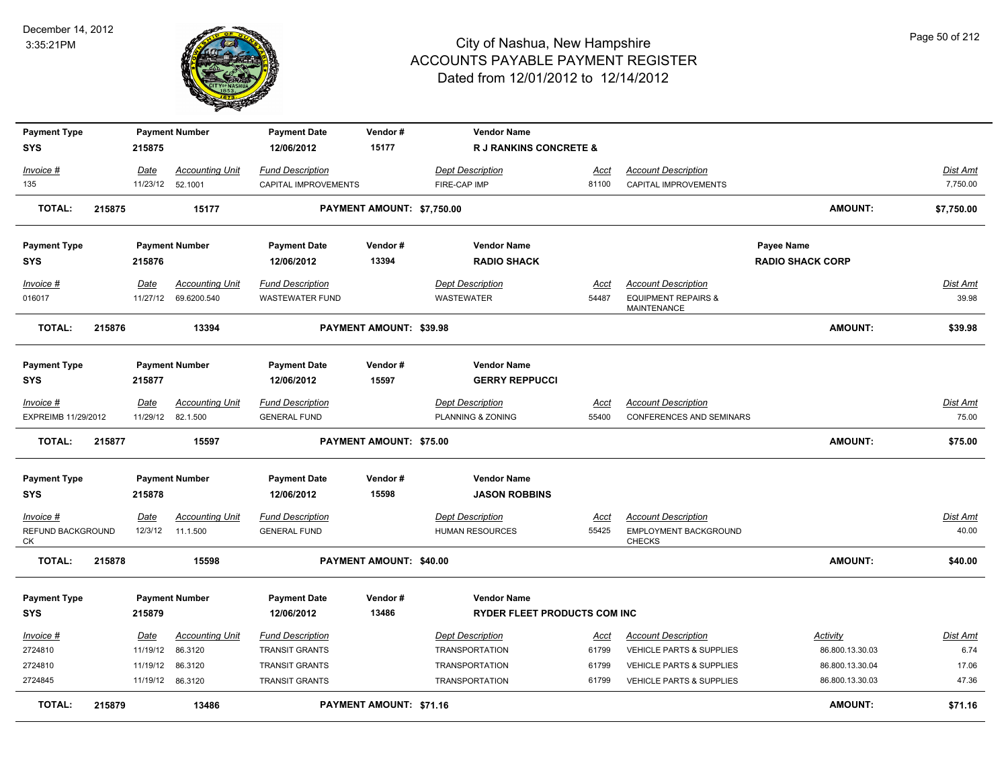

| <b>Payment Type</b>                  |        |                  | <b>Payment Number</b>                 | <b>Payment Date</b>                               | Vendor#                        | <b>Vendor Name</b>                                        |                      |                                                                                    |                         |                          |
|--------------------------------------|--------|------------------|---------------------------------------|---------------------------------------------------|--------------------------------|-----------------------------------------------------------|----------------------|------------------------------------------------------------------------------------|-------------------------|--------------------------|
| <b>SYS</b>                           |        | 215875           |                                       | 12/06/2012                                        | 15177                          | <b>R J RANKINS CONCRETE &amp;</b>                         |                      |                                                                                    |                         |                          |
| Invoice #                            |        | Date             | <b>Accounting Unit</b>                | <b>Fund Description</b>                           |                                | Dept Description                                          | <u>Acct</u>          | <b>Account Description</b>                                                         |                         | <b>Dist Amt</b>          |
| 135                                  |        | 11/23/12 52.1001 |                                       | CAPITAL IMPROVEMENTS                              |                                | FIRE-CAP IMP                                              | 81100                | CAPITAL IMPROVEMENTS                                                               |                         | 7,750.00                 |
| <b>TOTAL:</b>                        | 215875 |                  | 15177                                 |                                                   | PAYMENT AMOUNT: \$7,750.00     |                                                           |                      |                                                                                    | <b>AMOUNT:</b>          | \$7,750.00               |
| <b>Payment Type</b>                  |        |                  | <b>Payment Number</b>                 | <b>Payment Date</b>                               | Vendor#                        | <b>Vendor Name</b>                                        |                      |                                                                                    | Payee Name              |                          |
| <b>SYS</b>                           |        | 215876           |                                       | 12/06/2012                                        | 13394                          | <b>RADIO SHACK</b>                                        |                      |                                                                                    | <b>RADIO SHACK CORP</b> |                          |
| Invoice #<br>016017                  |        | Date<br>11/27/12 | <b>Accounting Unit</b><br>69.6200.540 | <b>Fund Description</b><br><b>WASTEWATER FUND</b> |                                | <b>Dept Description</b><br><b>WASTEWATER</b>              | Acct<br>54487        | <b>Account Description</b><br><b>EQUIPMENT REPAIRS &amp;</b><br><b>MAINTENANCE</b> |                         | <b>Dist Amt</b><br>39.98 |
| <b>TOTAL:</b>                        | 215876 |                  | 13394                                 |                                                   | PAYMENT AMOUNT: \$39.98        |                                                           |                      |                                                                                    | <b>AMOUNT:</b>          | \$39.98                  |
| <b>Payment Type</b><br><b>SYS</b>    |        | 215877           | <b>Payment Number</b>                 | <b>Payment Date</b><br>12/06/2012                 | Vendor#<br>15597               | <b>Vendor Name</b><br><b>GERRY REPPUCCI</b>               |                      |                                                                                    |                         |                          |
| <u>Invoice #</u>                     |        | <u>Date</u>      | <b>Accounting Unit</b>                | <b>Fund Description</b>                           |                                | <b>Dept Description</b>                                   | <u>Acct</u>          | <b>Account Description</b>                                                         |                         | <b>Dist Amt</b>          |
| EXPREIMB 11/29/2012                  |        |                  | 11/29/12 82.1.500                     | <b>GENERAL FUND</b>                               |                                | PLANNING & ZONING                                         | 55400                | CONFERENCES AND SEMINARS                                                           |                         | 75.00                    |
| <b>TOTAL:</b>                        | 215877 |                  | 15597                                 |                                                   | PAYMENT AMOUNT: \$75.00        |                                                           |                      |                                                                                    | <b>AMOUNT:</b>          | \$75.00                  |
| <b>Payment Type</b>                  |        |                  | <b>Payment Number</b>                 | <b>Payment Date</b>                               | Vendor#                        | <b>Vendor Name</b>                                        |                      |                                                                                    |                         |                          |
| <b>SYS</b>                           |        | 215878           |                                       | 12/06/2012                                        | 15598                          | <b>JASON ROBBINS</b>                                      |                      |                                                                                    |                         |                          |
| Invoice #<br>REFUND BACKGROUND<br>СK |        | Date<br>12/3/12  | <b>Accounting Unit</b><br>11.1.500    | <b>Fund Description</b><br><b>GENERAL FUND</b>    |                                | <b>Dept Description</b><br><b>HUMAN RESOURCES</b>         | <u>Acct</u><br>55425 | <b>Account Description</b><br>EMPLOYMENT BACKGROUND<br><b>CHECKS</b>               |                         | Dist Amt<br>40.00        |
| <b>TOTAL:</b>                        | 215878 |                  | 15598                                 |                                                   | <b>PAYMENT AMOUNT: \$40.00</b> |                                                           |                      |                                                                                    | <b>AMOUNT:</b>          | \$40.00                  |
| <b>Payment Type</b><br><b>SYS</b>    |        | 215879           | <b>Payment Number</b>                 | <b>Payment Date</b><br>12/06/2012                 | Vendor#<br>13486               | <b>Vendor Name</b><br><b>RYDER FLEET PRODUCTS COM INC</b> |                      |                                                                                    |                         |                          |
| Invoice #                            |        | Date             | <b>Accounting Unit</b>                | <b>Fund Description</b>                           |                                | <b>Dept Description</b>                                   | Acct                 | <b>Account Description</b>                                                         | Activity                | <b>Dist Amt</b>          |
| 2724810                              |        | 11/19/12         | 86.3120                               | <b>TRANSIT GRANTS</b>                             |                                | TRANSPORTATION                                            | 61799                | VEHICLE PARTS & SUPPLIES                                                           | 86.800.13.30.03         | 6.74                     |
| 2724810                              |        | 11/19/12         | 86.3120                               | <b>TRANSIT GRANTS</b>                             |                                | <b>TRANSPORTATION</b>                                     | 61799                | VEHICLE PARTS & SUPPLIES                                                           | 86.800.13.30.04         | 17.06                    |
| 2724845                              |        | 11/19/12 86.3120 |                                       | <b>TRANSIT GRANTS</b>                             |                                | <b>TRANSPORTATION</b>                                     | 61799                | VEHICLE PARTS & SUPPLIES                                                           | 86.800.13.30.03         | 47.36                    |
| <b>TOTAL:</b>                        | 215879 |                  | 13486                                 |                                                   | PAYMENT AMOUNT: \$71.16        |                                                           |                      |                                                                                    | AMOUNT:                 | \$71.16                  |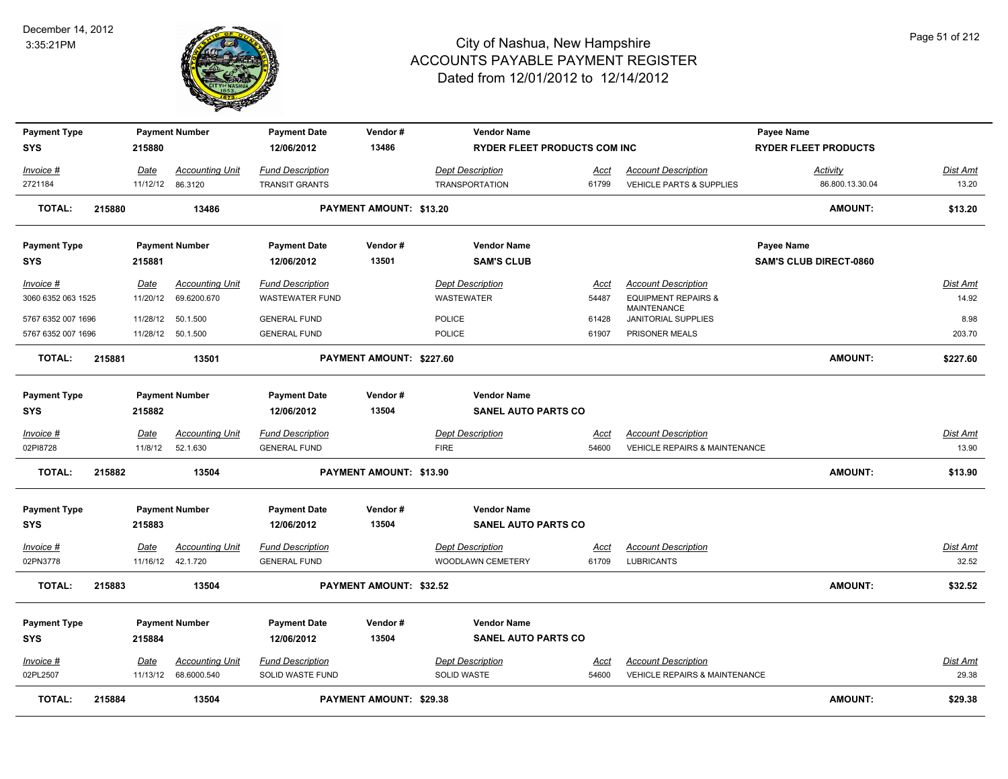

| <b>Payment Type</b>               |        |                  | <b>Payment Number</b>  | <b>Payment Date</b>               | Vendor#                        | <b>Vendor Name</b>                               |             |                                                  | Payee Name                    |                 |
|-----------------------------------|--------|------------------|------------------------|-----------------------------------|--------------------------------|--------------------------------------------------|-------------|--------------------------------------------------|-------------------------------|-----------------|
| <b>SYS</b>                        |        | 215880           |                        | 12/06/2012                        | 13486                          | <b>RYDER FLEET PRODUCTS COM INC</b>              |             |                                                  | <b>RYDER FLEET PRODUCTS</b>   |                 |
| Invoice #                         |        | Date             | <b>Accounting Unit</b> | <b>Fund Description</b>           |                                | Dept Description                                 | Acct        | <b>Account Description</b>                       | <b>Activity</b>               | <b>Dist Amt</b> |
| 2721184                           |        | 11/12/12 86.3120 |                        | <b>TRANSIT GRANTS</b>             |                                | <b>TRANSPORTATION</b>                            | 61799       | <b>VEHICLE PARTS &amp; SUPPLIES</b>              | 86.800.13.30.04               | 13.20           |
| <b>TOTAL:</b>                     | 215880 |                  | 13486                  |                                   | PAYMENT AMOUNT: \$13.20        |                                                  |             |                                                  | <b>AMOUNT:</b>                | \$13.20         |
| <b>Payment Type</b>               |        |                  | <b>Payment Number</b>  | <b>Payment Date</b>               | Vendor#                        | <b>Vendor Name</b>                               |             |                                                  | <b>Payee Name</b>             |                 |
| <b>SYS</b>                        |        | 215881           |                        | 12/06/2012                        | 13501                          | <b>SAM'S CLUB</b>                                |             |                                                  | <b>SAM'S CLUB DIRECT-0860</b> |                 |
| Invoice #                         |        | Date             | <b>Accounting Unit</b> | <b>Fund Description</b>           |                                | <b>Dept Description</b>                          | Acct        | <b>Account Description</b>                       |                               | <b>Dist Amt</b> |
| 3060 6352 063 1525                |        | 11/20/12         | 69.6200.670            | <b>WASTEWATER FUND</b>            |                                | WASTEWATER                                       | 54487       | <b>EQUIPMENT REPAIRS &amp;</b>                   |                               | 14.92           |
| 5767 6352 007 1696                |        | 11/28/12         | 50.1.500               | <b>GENERAL FUND</b>               |                                | POLICE                                           | 61428       | <b>MAINTENANCE</b><br><b>JANITORIAL SUPPLIES</b> |                               | 8.98            |
| 5767 6352 007 1696                |        |                  | 11/28/12 50.1.500      | <b>GENERAL FUND</b>               |                                | <b>POLICE</b>                                    | 61907       | PRISONER MEALS                                   |                               | 203.70          |
| <b>TOTAL:</b>                     | 215881 |                  | 13501                  |                                   | PAYMENT AMOUNT: \$227.60       |                                                  |             |                                                  | <b>AMOUNT:</b>                | \$227.60        |
|                                   |        |                  |                        |                                   |                                |                                                  |             |                                                  |                               |                 |
| <b>Payment Type</b><br><b>SYS</b> |        | 215882           | <b>Payment Number</b>  | <b>Payment Date</b><br>12/06/2012 | Vendor#<br>13504               | <b>Vendor Name</b><br><b>SANEL AUTO PARTS CO</b> |             |                                                  |                               |                 |
|                                   |        |                  |                        |                                   |                                |                                                  |             |                                                  |                               |                 |
| <u>Invoice #</u>                  |        | <b>Date</b>      | <b>Accounting Unit</b> | <b>Fund Description</b>           |                                | <b>Dept Description</b>                          | <u>Acct</u> | <b>Account Description</b>                       |                               | Dist Amt        |
| 02PI8728                          |        | 11/8/12          | 52.1.630               | <b>GENERAL FUND</b>               |                                | <b>FIRE</b>                                      | 54600       | <b>VEHICLE REPAIRS &amp; MAINTENANCE</b>         |                               | 13.90           |
| <b>TOTAL:</b>                     | 215882 |                  | 13504                  |                                   | PAYMENT AMOUNT: \$13.90        |                                                  |             |                                                  | <b>AMOUNT:</b>                | \$13.90         |
| <b>Payment Type</b>               |        |                  | <b>Payment Number</b>  | <b>Payment Date</b>               | Vendor#                        | <b>Vendor Name</b>                               |             |                                                  |                               |                 |
| <b>SYS</b>                        |        | 215883           |                        | 12/06/2012                        | 13504                          | <b>SANEL AUTO PARTS CO</b>                       |             |                                                  |                               |                 |
| Invoice #                         |        | Date             | <b>Accounting Unit</b> | <b>Fund Description</b>           |                                | <b>Dept Description</b>                          | Acct        | <b>Account Description</b>                       |                               | Dist Amt        |
| 02PN3778                          |        |                  | 11/16/12  42.1.720     | <b>GENERAL FUND</b>               |                                | WOODLAWN CEMETERY                                | 61709       | <b>LUBRICANTS</b>                                |                               | 32.52           |
| <b>TOTAL:</b>                     | 215883 |                  | 13504                  |                                   | <b>PAYMENT AMOUNT: \$32.52</b> |                                                  |             |                                                  | <b>AMOUNT:</b>                | \$32.52         |
|                                   |        |                  |                        |                                   | Vendor#                        | <b>Vendor Name</b>                               |             |                                                  |                               |                 |
| <b>Payment Type</b><br><b>SYS</b> |        | 215884           | <b>Payment Number</b>  | <b>Payment Date</b><br>12/06/2012 | 13504                          | <b>SANEL AUTO PARTS CO</b>                       |             |                                                  |                               |                 |
|                                   |        |                  |                        |                                   |                                |                                                  |             |                                                  |                               |                 |
| <u>Invoice #</u>                  |        | Date             | <b>Accounting Unit</b> | <b>Fund Description</b>           |                                | <b>Dept Description</b>                          | <u>Acct</u> | <b>Account Description</b>                       |                               | <b>Dist Amt</b> |
| 02PL2507                          |        |                  | 11/13/12 68.6000.540   | SOLID WASTE FUND                  |                                | <b>SOLID WASTE</b>                               | 54600       | <b>VEHICLE REPAIRS &amp; MAINTENANCE</b>         |                               | 29.38           |
| <b>TOTAL:</b>                     | 215884 |                  | 13504                  |                                   | <b>PAYMENT AMOUNT: \$29.38</b> |                                                  |             |                                                  | <b>AMOUNT:</b>                | \$29.38         |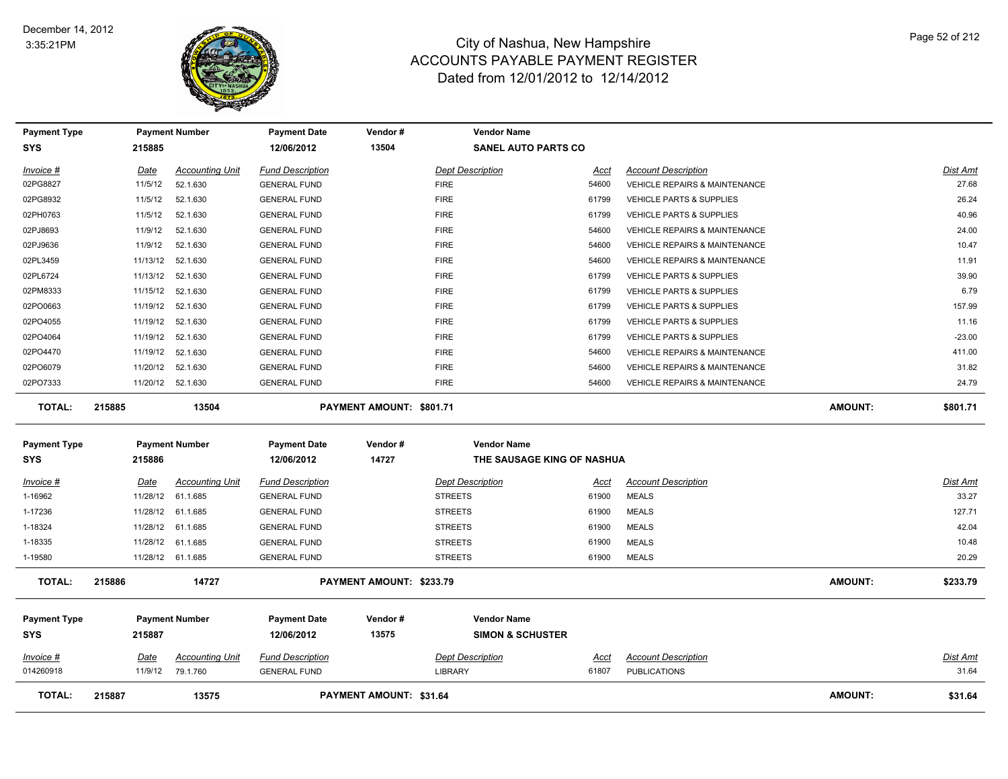

| <b>Payment Type</b> |             | <b>Payment Number</b>  | <b>Payment Date</b>     | Vendor#                        | <b>Vendor Name</b>          |             |                                          |                |                 |
|---------------------|-------------|------------------------|-------------------------|--------------------------------|-----------------------------|-------------|------------------------------------------|----------------|-----------------|
| <b>SYS</b>          | 215885      |                        | 12/06/2012              | 13504                          | <b>SANEL AUTO PARTS CO</b>  |             |                                          |                |                 |
| Invoice #           | Date        | <b>Accounting Unit</b> | <b>Fund Description</b> |                                | <b>Dept Description</b>     | Acct        | <b>Account Description</b>               |                | <b>Dist Amt</b> |
| 02PG8827            | 11/5/12     | 52.1.630               | <b>GENERAL FUND</b>     |                                | <b>FIRE</b>                 | 54600       | <b>VEHICLE REPAIRS &amp; MAINTENANCE</b> |                | 27.68           |
| 02PG8932            | 11/5/12     | 52.1.630               | <b>GENERAL FUND</b>     |                                | <b>FIRE</b>                 | 61799       | VEHICLE PARTS & SUPPLIES                 |                | 26.24           |
| 02PH0763            | 11/5/12     | 52.1.630               | <b>GENERAL FUND</b>     |                                | <b>FIRE</b>                 | 61799       | <b>VEHICLE PARTS &amp; SUPPLIES</b>      |                | 40.96           |
| 02PJ8693            | 11/9/12     | 52.1.630               | <b>GENERAL FUND</b>     |                                | <b>FIRE</b>                 | 54600       | <b>VEHICLE REPAIRS &amp; MAINTENANCE</b> |                | 24.00           |
| 02PJ9636            | 11/9/12     | 52.1.630               | <b>GENERAL FUND</b>     |                                | <b>FIRE</b>                 | 54600       | <b>VEHICLE REPAIRS &amp; MAINTENANCE</b> |                | 10.47           |
| 02PL3459            | 11/13/12    | 52.1.630               | <b>GENERAL FUND</b>     |                                | <b>FIRE</b>                 | 54600       | VEHICLE REPAIRS & MAINTENANCE            |                | 11.91           |
| 02PL6724            | 11/13/12    | 52.1.630               | <b>GENERAL FUND</b>     |                                | <b>FIRE</b>                 | 61799       | <b>VEHICLE PARTS &amp; SUPPLIES</b>      |                | 39.90           |
| 02PM8333            | 11/15/12    | 52.1.630               | <b>GENERAL FUND</b>     |                                | <b>FIRE</b>                 | 61799       | VEHICLE PARTS & SUPPLIES                 |                | 6.79            |
| 02PO0663            | 11/19/12    | 52.1.630               | <b>GENERAL FUND</b>     |                                | <b>FIRE</b>                 | 61799       | VEHICLE PARTS & SUPPLIES                 |                | 157.99          |
| 02PO4055            | 11/19/12    | 52.1.630               | <b>GENERAL FUND</b>     |                                | <b>FIRE</b>                 | 61799       | VEHICLE PARTS & SUPPLIES                 |                | 11.16           |
| 02PO4064            | 11/19/12    | 52.1.630               | <b>GENERAL FUND</b>     |                                | <b>FIRE</b>                 | 61799       | VEHICLE PARTS & SUPPLIES                 |                | $-23.00$        |
| 02PO4470            | 11/19/12    | 52.1.630               | <b>GENERAL FUND</b>     |                                | <b>FIRE</b>                 | 54600       | <b>VEHICLE REPAIRS &amp; MAINTENANCE</b> |                | 411.00          |
| 02PO6079            | 11/20/12    | 52.1.630               | <b>GENERAL FUND</b>     |                                | <b>FIRE</b>                 | 54600       | VEHICLE REPAIRS & MAINTENANCE            |                | 31.82           |
| 02PO7333            |             | 11/20/12 52.1.630      | <b>GENERAL FUND</b>     |                                | <b>FIRE</b>                 | 54600       | VEHICLE REPAIRS & MAINTENANCE            |                | 24.79           |
| <b>TOTAL:</b>       | 215885      | 13504                  |                         | PAYMENT AMOUNT: \$801.71       |                             |             |                                          | <b>AMOUNT:</b> | \$801.71        |
| <b>Payment Type</b> |             | <b>Payment Number</b>  | <b>Payment Date</b>     | Vendor#                        | <b>Vendor Name</b>          |             |                                          |                |                 |
| <b>SYS</b>          | 215886      |                        | 12/06/2012              | 14727                          | THE SAUSAGE KING OF NASHUA  |             |                                          |                |                 |
| $Invoice$ #         | Date        | <b>Accounting Unit</b> | <b>Fund Description</b> |                                | <b>Dept Description</b>     | Acct        | <b>Account Description</b>               |                | <b>Dist Amt</b> |
| 1-16962             |             | 11/28/12 61.1.685      | <b>GENERAL FUND</b>     |                                | <b>STREETS</b>              | 61900       | <b>MEALS</b>                             |                | 33.27           |
| 1-17236             |             | 11/28/12 61.1.685      | <b>GENERAL FUND</b>     |                                | <b>STREETS</b>              | 61900       | <b>MEALS</b>                             |                | 127.71          |
| 1-18324             |             | 11/28/12 61.1.685      | <b>GENERAL FUND</b>     |                                | <b>STREETS</b>              | 61900       | <b>MEALS</b>                             |                | 42.04           |
| 1-18335             |             | 11/28/12 61.1.685      | <b>GENERAL FUND</b>     |                                | <b>STREETS</b>              | 61900       | <b>MEALS</b>                             |                | 10.48           |
| 1-19580             |             | 11/28/12 61.1.685      | <b>GENERAL FUND</b>     |                                | <b>STREETS</b>              | 61900       | <b>MEALS</b>                             |                | 20.29           |
| <b>TOTAL:</b>       | 215886      | 14727                  |                         | PAYMENT AMOUNT: \$233.79       |                             |             |                                          | <b>AMOUNT:</b> | \$233.79        |
| <b>Payment Type</b> |             | <b>Payment Number</b>  | <b>Payment Date</b>     | Vendor#                        | <b>Vendor Name</b>          |             |                                          |                |                 |
| <b>SYS</b>          | 215887      |                        | 12/06/2012              | 13575                          | <b>SIMON &amp; SCHUSTER</b> |             |                                          |                |                 |
| $Invoice$ #         | <u>Date</u> | <b>Accounting Unit</b> | <b>Fund Description</b> |                                | <b>Dept Description</b>     | <u>Acct</u> | <b>Account Description</b>               |                | Dist Amt        |
| 014260918           | 11/9/12     | 79.1.760               | <b>GENERAL FUND</b>     |                                | <b>LIBRARY</b>              | 61807       | <b>PUBLICATIONS</b>                      |                | 31.64           |
| <b>TOTAL:</b>       | 215887      | 13575                  |                         | <b>PAYMENT AMOUNT: \$31.64</b> |                             |             |                                          | <b>AMOUNT:</b> | \$31.64         |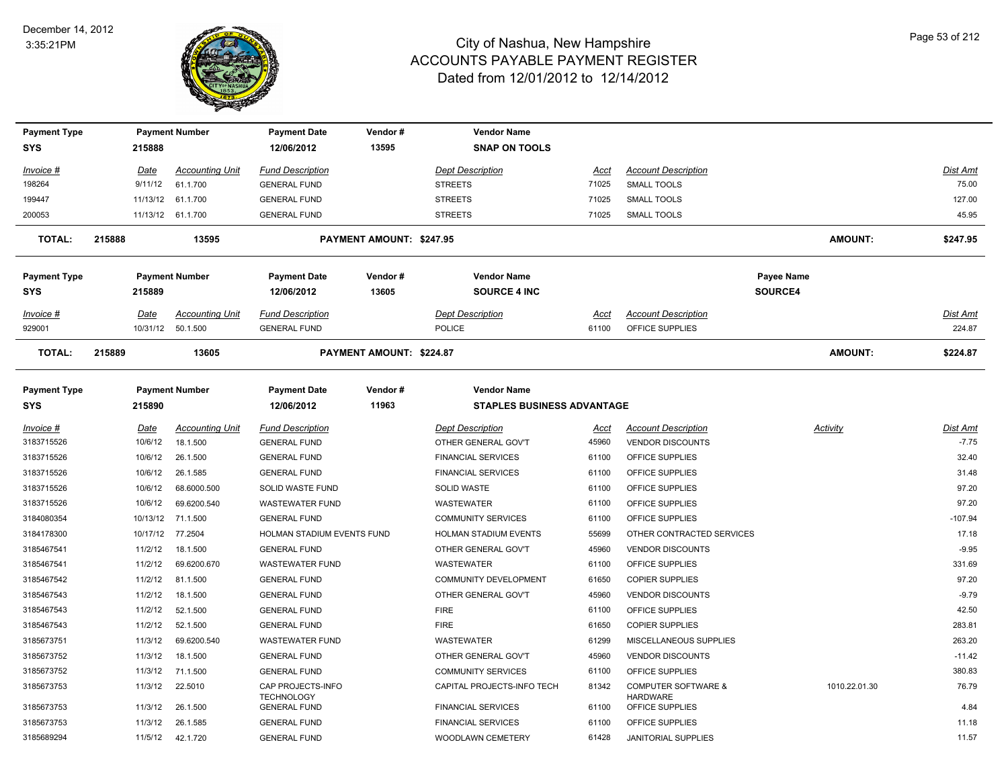

| <b>Payment Type</b>               |                         | <b>Payment Number</b>              | <b>Payment Date</b>                            | Vendor#                  | <b>Vendor Name</b>                                      |                |                                               |                |                    |
|-----------------------------------|-------------------------|------------------------------------|------------------------------------------------|--------------------------|---------------------------------------------------------|----------------|-----------------------------------------------|----------------|--------------------|
| SYS                               | 215888                  |                                    | 12/06/2012                                     | 13595                    | <b>SNAP ON TOOLS</b>                                    |                |                                               |                |                    |
| <u>Invoice #</u>                  | <u>Date</u>             | <b>Accounting Unit</b>             | <b>Fund Description</b>                        |                          | <b>Dept Description</b>                                 | Acct           | <b>Account Description</b>                    |                | Dist Amt           |
| 198264                            | 9/11/12                 | 61.1.700                           | <b>GENERAL FUND</b>                            |                          | <b>STREETS</b>                                          | 71025          | <b>SMALL TOOLS</b>                            |                | 75.00              |
| 199447                            |                         | 11/13/12 61.1.700                  | <b>GENERAL FUND</b>                            |                          | <b>STREETS</b>                                          | 71025          | <b>SMALL TOOLS</b>                            |                | 127.00             |
| 200053                            |                         | 11/13/12 61.1.700                  | <b>GENERAL FUND</b>                            |                          | <b>STREETS</b>                                          | 71025          | <b>SMALL TOOLS</b>                            |                | 45.95              |
| <b>TOTAL:</b>                     | 215888                  | 13595                              |                                                | PAYMENT AMOUNT: \$247.95 |                                                         |                |                                               | <b>AMOUNT:</b> | \$247.95           |
| <b>Payment Type</b>               |                         | <b>Payment Number</b>              | <b>Payment Date</b>                            | Vendor#                  | <b>Vendor Name</b>                                      |                |                                               | Payee Name     |                    |
| SYS                               | 215889                  |                                    | 12/06/2012                                     | 13605                    | <b>SOURCE 4 INC</b>                                     |                |                                               | <b>SOURCE4</b> |                    |
| Invoice #<br>929001               | <u>Date</u><br>10/31/12 | <b>Accounting Unit</b><br>50.1.500 | <b>Fund Description</b><br><b>GENERAL FUND</b> |                          | <b>Dept Description</b><br><b>POLICE</b>                | Acct<br>61100  | <b>Account Description</b><br>OFFICE SUPPLIES |                | Dist Amt<br>224.87 |
| <b>TOTAL:</b>                     | 215889                  | 13605                              |                                                | PAYMENT AMOUNT: \$224.87 |                                                         |                |                                               | <b>AMOUNT:</b> | \$224.87           |
| <b>Payment Type</b><br><b>SYS</b> | 215890                  | <b>Payment Number</b>              | <b>Payment Date</b><br>12/06/2012              | Vendor#<br>11963         | <b>Vendor Name</b><br><b>STAPLES BUSINESS ADVANTAGE</b> |                |                                               |                |                    |
|                                   |                         |                                    |                                                |                          |                                                         |                |                                               |                |                    |
| Invoice #                         | <u>Date</u>             | <b>Accounting Unit</b>             | <b>Fund Description</b>                        |                          | <b>Dept Description</b>                                 | Acct           | <b>Account Description</b>                    | Activity       | Dist Amt           |
| 3183715526                        | 10/6/12                 | 18.1.500                           | <b>GENERAL FUND</b>                            |                          | OTHER GENERAL GOV'T                                     | 45960          | <b>VENDOR DISCOUNTS</b>                       |                | $-7.75$            |
| 3183715526                        | 10/6/12                 | 26.1.500                           | <b>GENERAL FUND</b>                            |                          | <b>FINANCIAL SERVICES</b>                               | 61100          | OFFICE SUPPLIES                               |                | 32.40              |
| 3183715526                        | 10/6/12                 | 26.1.585                           | <b>GENERAL FUND</b>                            |                          | <b>FINANCIAL SERVICES</b>                               | 61100          | OFFICE SUPPLIES                               |                | 31.48              |
| 3183715526                        | 10/6/12                 | 68.6000.500                        | SOLID WASTE FUND                               |                          | SOLID WASTE                                             | 61100          | OFFICE SUPPLIES                               |                | 97.20<br>97.20     |
| 3183715526                        | 10/6/12                 | 69.6200.540                        | <b>WASTEWATER FUND</b>                         |                          | <b>WASTEWATER</b>                                       | 61100          | OFFICE SUPPLIES                               |                | $-107.94$          |
| 3184080354                        | 10/13/12                | 71.1.500                           | <b>GENERAL FUND</b>                            |                          | <b>COMMUNITY SERVICES</b>                               | 61100          | OFFICE SUPPLIES                               |                |                    |
| 3184178300                        | 10/17/12                | 77.2504                            | HOLMAN STADIUM EVENTS FUND                     |                          | HOLMAN STADIUM EVENTS                                   | 55699          | OTHER CONTRACTED SERVICES                     |                | 17.18<br>$-9.95$   |
| 3185467541<br>3185467541          | 11/2/12<br>11/2/12      | 18.1.500<br>69.6200.670            | <b>GENERAL FUND</b><br><b>WASTEWATER FUND</b>  |                          | OTHER GENERAL GOV'T<br>WASTEWATER                       | 45960<br>61100 | <b>VENDOR DISCOUNTS</b><br>OFFICE SUPPLIES    |                | 331.69             |
| 3185467542                        | 11/2/12                 | 81.1.500                           | <b>GENERAL FUND</b>                            |                          | COMMUNITY DEVELOPMENT                                   | 61650          | <b>COPIER SUPPLIES</b>                        |                | 97.20              |
| 3185467543                        | 11/2/12                 | 18.1.500                           | <b>GENERAL FUND</b>                            |                          | OTHER GENERAL GOV'T                                     | 45960          | <b>VENDOR DISCOUNTS</b>                       |                | $-9.79$            |
| 3185467543                        | 11/2/12                 | 52.1.500                           | <b>GENERAL FUND</b>                            |                          | <b>FIRE</b>                                             | 61100          | OFFICE SUPPLIES                               |                | 42.50              |
| 3185467543                        | 11/2/12                 | 52.1.500                           | <b>GENERAL FUND</b>                            |                          | <b>FIRE</b>                                             | 61650          | <b>COPIER SUPPLIES</b>                        |                | 283.81             |
| 3185673751                        | 11/3/12                 | 69.6200.540                        | <b>WASTEWATER FUND</b>                         |                          | <b>WASTEWATER</b>                                       | 61299          | MISCELLANEOUS SUPPLIES                        |                | 263.20             |
| 3185673752                        | 11/3/12                 | 18.1.500                           | <b>GENERAL FUND</b>                            |                          | OTHER GENERAL GOV'T                                     | 45960          | <b>VENDOR DISCOUNTS</b>                       |                | $-11.42$           |
| 3185673752                        | 11/3/12                 | 71.1.500                           | <b>GENERAL FUND</b>                            |                          | <b>COMMUNITY SERVICES</b>                               | 61100          | OFFICE SUPPLIES                               |                | 380.83             |
| 3185673753                        | 11/3/12                 | 22.5010                            | CAP PROJECTS-INFO                              |                          | CAPITAL PROJECTS-INFO TECH                              | 81342          | <b>COMPUTER SOFTWARE &amp;</b>                | 1010.22.01.30  | 76.79              |
|                                   |                         |                                    | <b>TECHNOLOGY</b>                              |                          |                                                         |                | <b>HARDWARE</b>                               |                |                    |
| 3185673753                        | 11/3/12                 | 26.1.500                           | <b>GENERAL FUND</b>                            |                          | <b>FINANCIAL SERVICES</b>                               | 61100          | OFFICE SUPPLIES                               |                | 4.84               |
| 3185673753                        | 11/3/12                 | 26.1.585                           | <b>GENERAL FUND</b>                            |                          | <b>FINANCIAL SERVICES</b>                               | 61100          | OFFICE SUPPLIES                               |                | 11.18              |
| 3185689294                        | 11/5/12                 | 42.1.720                           | <b>GENERAL FUND</b>                            |                          | WOODLAWN CEMETERY                                       | 61428          | <b>JANITORIAL SUPPLIES</b>                    |                | 11.57              |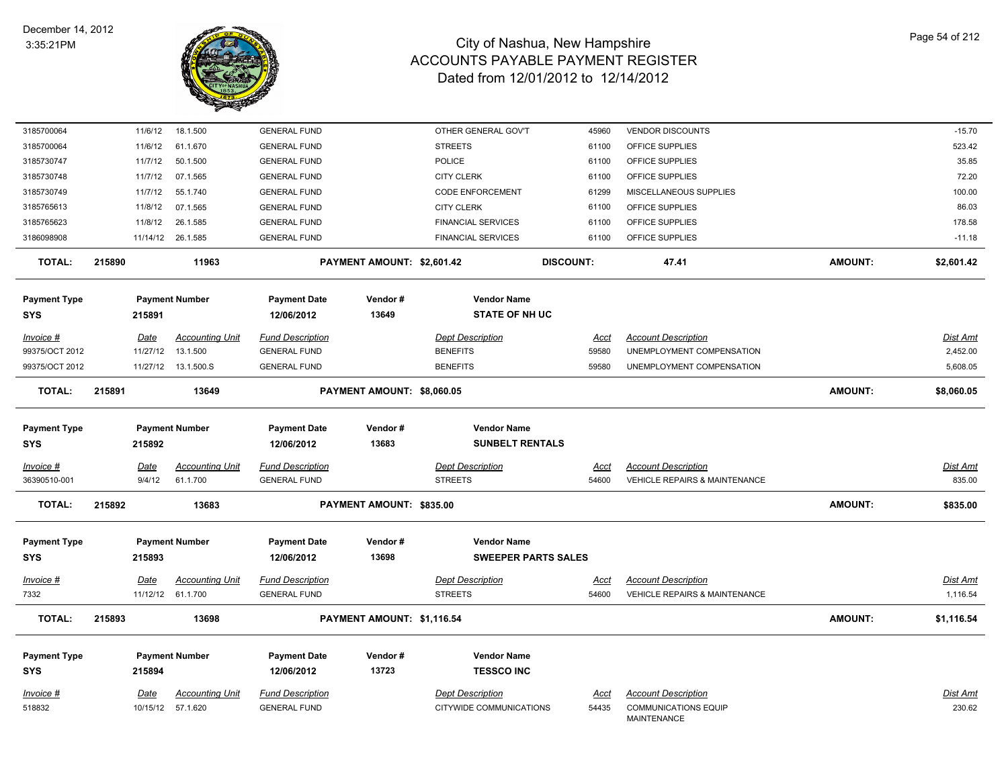

| 3185700064          | 11/6/12     | 18.1.500               | <b>GENERAL FUND</b>     |                            | OTHER GENERAL GOV'T        | 45960            | <b>VENDOR DISCOUNTS</b>                           |                | $-15.70$        |
|---------------------|-------------|------------------------|-------------------------|----------------------------|----------------------------|------------------|---------------------------------------------------|----------------|-----------------|
| 3185700064          | 11/6/12     | 61.1.670               | <b>GENERAL FUND</b>     |                            | <b>STREETS</b>             | 61100            | OFFICE SUPPLIES                                   |                | 523.42          |
| 3185730747          | 11/7/12     | 50.1.500               | <b>GENERAL FUND</b>     |                            | <b>POLICE</b>              | 61100            | OFFICE SUPPLIES                                   |                | 35.85           |
| 3185730748          | 11/7/12     | 07.1.565               | <b>GENERAL FUND</b>     |                            | <b>CITY CLERK</b>          | 61100            | OFFICE SUPPLIES                                   |                | 72.20           |
| 3185730749          | 11/7/12     | 55.1.740               | <b>GENERAL FUND</b>     |                            | <b>CODE ENFORCEMENT</b>    | 61299            | MISCELLANEOUS SUPPLIES                            |                | 100.00          |
| 3185765613          | 11/8/12     | 07.1.565               | <b>GENERAL FUND</b>     |                            | <b>CITY CLERK</b>          | 61100            | OFFICE SUPPLIES                                   |                | 86.03           |
| 3185765623          | 11/8/12     | 26.1.585               | <b>GENERAL FUND</b>     |                            | <b>FINANCIAL SERVICES</b>  | 61100            | OFFICE SUPPLIES                                   |                | 178.58          |
| 3186098908          |             | 11/14/12 26.1.585      | <b>GENERAL FUND</b>     |                            | <b>FINANCIAL SERVICES</b>  | 61100            | OFFICE SUPPLIES                                   |                | $-11.18$        |
| <b>TOTAL:</b>       | 215890      | 11963                  |                         | PAYMENT AMOUNT: \$2,601.42 |                            | <b>DISCOUNT:</b> | 47.41                                             | <b>AMOUNT:</b> | \$2,601.42      |
| <b>Payment Type</b> |             | <b>Payment Number</b>  | <b>Payment Date</b>     | Vendor#                    | <b>Vendor Name</b>         |                  |                                                   |                |                 |
| <b>SYS</b>          | 215891      |                        | 12/06/2012              | 13649                      | <b>STATE OF NH UC</b>      |                  |                                                   |                |                 |
| Invoice #           | Date        | <b>Accounting Unit</b> | <b>Fund Description</b> |                            | <b>Dept Description</b>    | Acct             | <b>Account Description</b>                        |                | <b>Dist Amt</b> |
| 99375/OCT 2012      | 11/27/12    | 13.1.500               | <b>GENERAL FUND</b>     |                            | <b>BENEFITS</b>            | 59580            | UNEMPLOYMENT COMPENSATION                         |                | 2,452.00        |
| 99375/OCT 2012      |             | 11/27/12  13.1.500.S   | <b>GENERAL FUND</b>     |                            | <b>BENEFITS</b>            | 59580            | UNEMPLOYMENT COMPENSATION                         |                | 5,608.05        |
| <b>TOTAL:</b>       | 215891      | 13649                  |                         | PAYMENT AMOUNT: \$8,060.05 |                            |                  |                                                   | <b>AMOUNT:</b> | \$8,060.05      |
| <b>Payment Type</b> |             | <b>Payment Number</b>  | <b>Payment Date</b>     | Vendor#                    | <b>Vendor Name</b>         |                  |                                                   |                |                 |
| <b>SYS</b>          | 215892      |                        | 12/06/2012              | 13683                      | <b>SUNBELT RENTALS</b>     |                  |                                                   |                |                 |
| Invoice #           | Date        | <b>Accounting Unit</b> | <b>Fund Description</b> |                            | <b>Dept Description</b>    | Acct             | <b>Account Description</b>                        |                | Dist Amt        |
| 36390510-001        | 9/4/12      | 61.1.700               | <b>GENERAL FUND</b>     |                            | <b>STREETS</b>             | 54600            | VEHICLE REPAIRS & MAINTENANCE                     |                | 835.00          |
| TOTAL:              | 215892      | 13683                  |                         | PAYMENT AMOUNT: \$835.00   |                            |                  |                                                   | <b>AMOUNT:</b> | \$835.00        |
|                     |             |                        |                         |                            | <b>Vendor Name</b>         |                  |                                                   |                |                 |
| <b>Payment Type</b> |             | <b>Payment Number</b>  | <b>Payment Date</b>     | Vendor#<br>13698           |                            |                  |                                                   |                |                 |
| <b>SYS</b>          | 215893      |                        | 12/06/2012              |                            | <b>SWEEPER PARTS SALES</b> |                  |                                                   |                |                 |
| <u>Invoice #</u>    | <u>Date</u> | <b>Accounting Unit</b> | <b>Fund Description</b> |                            | <b>Dept Description</b>    | <u>Acct</u>      | <b>Account Description</b>                        |                | <b>Dist Amt</b> |
| 7332                |             | 11/12/12 61.1.700      | <b>GENERAL FUND</b>     |                            | <b>STREETS</b>             | 54600            | <b>VEHICLE REPAIRS &amp; MAINTENANCE</b>          |                | 1,116.54        |
| <b>TOTAL:</b>       | 215893      | 13698                  |                         | PAYMENT AMOUNT: \$1,116.54 |                            |                  |                                                   | <b>AMOUNT:</b> | \$1,116.54      |
| <b>Payment Type</b> |             | <b>Payment Number</b>  | <b>Payment Date</b>     | Vendor#                    | <b>Vendor Name</b>         |                  |                                                   |                |                 |
| <b>SYS</b>          | 215894      |                        | 12/06/2012              | 13723                      | <b>TESSCO INC</b>          |                  |                                                   |                |                 |
|                     |             |                        |                         |                            |                            |                  |                                                   |                |                 |
| Invoice #           | Date        | Accounting Unit        | <b>Fund Description</b> |                            | <b>Dept Description</b>    | Acct             | <b>Account Description</b>                        |                | Dist Amt        |
| 518832              |             | 10/15/12 57.1.620      | <b>GENERAL FUND</b>     |                            | CITYWIDE COMMUNICATIONS    | 54435            | <b>COMMUNICATIONS EQUIP</b><br><b>MAINTENANCE</b> |                | 230.62          |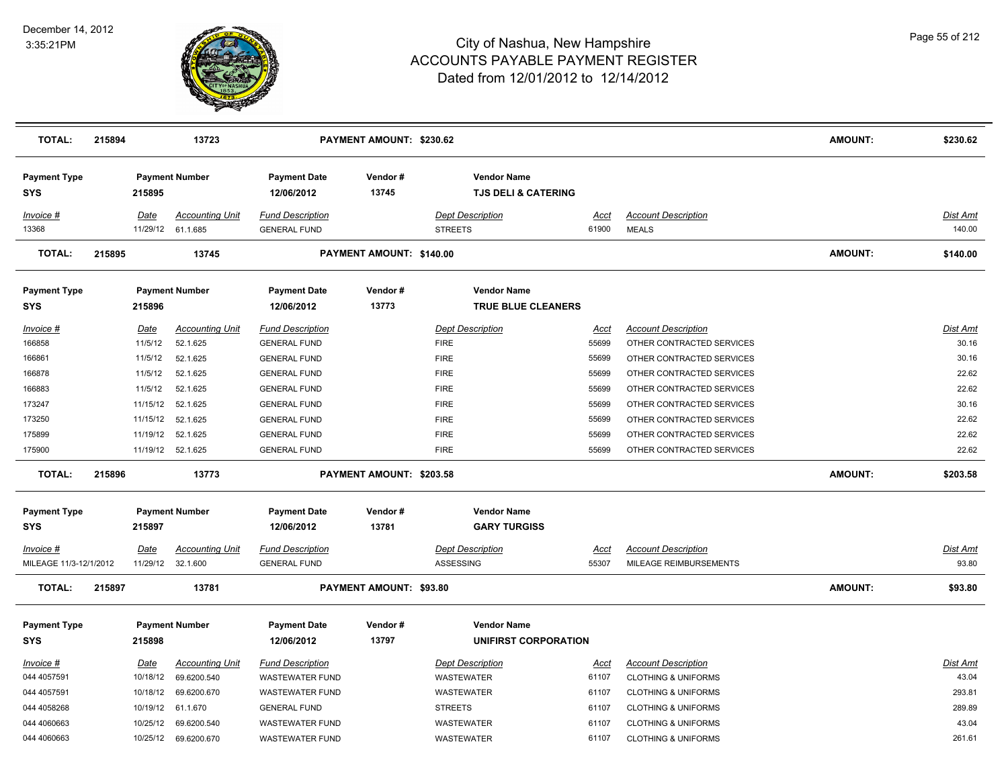

| <b>TOTAL:</b>                     | 215894 |             | 13723                                       |                                                | PAYMENT AMOUNT: \$230.62 |                                                      |                      |                                            | AMOUNT:        | \$230.62           |
|-----------------------------------|--------|-------------|---------------------------------------------|------------------------------------------------|--------------------------|------------------------------------------------------|----------------------|--------------------------------------------|----------------|--------------------|
| <b>Payment Type</b><br><b>SYS</b> |        | 215895      | <b>Payment Number</b>                       | <b>Payment Date</b><br>12/06/2012              | Vendor#<br>13745         | <b>Vendor Name</b><br><b>TJS DELI &amp; CATERING</b> |                      |                                            |                |                    |
| Invoice #<br>13368                |        | Date        | <b>Accounting Unit</b><br>11/29/12 61.1.685 | <b>Fund Description</b><br><b>GENERAL FUND</b> |                          | <b>Dept Description</b><br><b>STREETS</b>            | <u>Acct</u><br>61900 | <b>Account Description</b><br><b>MEALS</b> |                | Dist Amt<br>140.00 |
| <b>TOTAL:</b>                     | 215895 |             | 13745                                       |                                                | PAYMENT AMOUNT: \$140.00 |                                                      |                      |                                            | <b>AMOUNT:</b> | \$140.00           |
| <b>Payment Type</b><br>SYS        |        | 215896      | <b>Payment Number</b>                       | <b>Payment Date</b><br>12/06/2012              | Vendor#<br>13773         | <b>Vendor Name</b><br><b>TRUE BLUE CLEANERS</b>      |                      |                                            |                |                    |
| Invoice #                         |        | <b>Date</b> | <b>Accounting Unit</b>                      | <b>Fund Description</b>                        |                          | <b>Dept Description</b>                              | Acct                 | <b>Account Description</b>                 |                | Dist Amt           |
| 166858                            |        | 11/5/12     | 52.1.625                                    | <b>GENERAL FUND</b>                            |                          | <b>FIRE</b>                                          | 55699                | OTHER CONTRACTED SERVICES                  |                | 30.16              |
| 166861                            |        | 11/5/12     | 52.1.625                                    | <b>GENERAL FUND</b>                            |                          | <b>FIRE</b>                                          | 55699                | OTHER CONTRACTED SERVICES                  |                | 30.16              |
| 166878                            |        | 11/5/12     | 52.1.625                                    | <b>GENERAL FUND</b>                            |                          | <b>FIRE</b>                                          | 55699                | OTHER CONTRACTED SERVICES                  |                | 22.62              |
| 166883                            |        | 11/5/12     | 52.1.625                                    | <b>GENERAL FUND</b>                            |                          | <b>FIRE</b>                                          | 55699                | OTHER CONTRACTED SERVICES                  |                | 22.62              |
| 173247                            |        | 11/15/12    | 52.1.625                                    | <b>GENERAL FUND</b>                            |                          | <b>FIRE</b>                                          | 55699                | OTHER CONTRACTED SERVICES                  |                | 30.16              |
| 173250                            |        | 11/15/12    | 52.1.625                                    | <b>GENERAL FUND</b>                            |                          | <b>FIRE</b>                                          | 55699                | OTHER CONTRACTED SERVICES                  |                | 22.62              |
| 175899                            |        | 11/19/12    | 52.1.625                                    | <b>GENERAL FUND</b>                            |                          | <b>FIRE</b>                                          | 55699                | OTHER CONTRACTED SERVICES                  |                | 22.62              |
| 175900                            |        |             | 11/19/12 52.1.625                           | <b>GENERAL FUND</b>                            |                          | <b>FIRE</b>                                          | 55699                | OTHER CONTRACTED SERVICES                  |                | 22.62              |
| <b>TOTAL:</b>                     | 215896 |             | 13773                                       |                                                | PAYMENT AMOUNT: \$203.58 |                                                      |                      |                                            | <b>AMOUNT:</b> | \$203.58           |
| <b>Payment Type</b>               |        |             | <b>Payment Number</b>                       | <b>Payment Date</b>                            | Vendor#                  | <b>Vendor Name</b>                                   |                      |                                            |                |                    |
| SYS                               |        | 215897      |                                             | 12/06/2012                                     | 13781                    | <b>GARY TURGISS</b>                                  |                      |                                            |                |                    |
| <u>Invoice #</u>                  |        | <u>Date</u> | <b>Accounting Unit</b>                      | <b>Fund Description</b>                        |                          | <b>Dept Description</b>                              | <u>Acct</u>          | <b>Account Description</b>                 |                | <u>Dist Amt</u>    |
| MILEAGE 11/3-12/1/2012            |        |             | 11/29/12 32.1.600                           | <b>GENERAL FUND</b>                            |                          | ASSESSING                                            | 55307                | MILEAGE REIMBURSEMENTS                     |                | 93.80              |
| <b>TOTAL:</b>                     | 215897 |             | 13781                                       |                                                | PAYMENT AMOUNT: \$93.80  |                                                      |                      |                                            | <b>AMOUNT:</b> | \$93.80            |
| <b>Payment Type</b><br><b>SYS</b> |        | 215898      | <b>Payment Number</b>                       | <b>Payment Date</b><br>12/06/2012              | Vendor#<br>13797         | <b>Vendor Name</b><br><b>UNIFIRST CORPORATION</b>    |                      |                                            |                |                    |
| Invoice #                         |        | <b>Date</b> | <b>Accounting Unit</b>                      | <b>Fund Description</b>                        |                          | <b>Dept Description</b>                              | <u>Acct</u>          | <b>Account Description</b>                 |                | <b>Dist Amt</b>    |
| 044 4057591                       |        | 10/18/12    | 69.6200.540                                 | <b>WASTEWATER FUND</b>                         |                          | WASTEWATER                                           | 61107                | <b>CLOTHING &amp; UNIFORMS</b>             |                | 43.04              |
| 044 4057591                       |        | 10/18/12    | 69.6200.670                                 | <b>WASTEWATER FUND</b>                         |                          | WASTEWATER                                           | 61107                | <b>CLOTHING &amp; UNIFORMS</b>             |                | 293.81             |
| 044 4058268                       |        | 10/19/12    | 61.1.670                                    | <b>GENERAL FUND</b>                            |                          | <b>STREETS</b>                                       | 61107                | <b>CLOTHING &amp; UNIFORMS</b>             |                | 289.89             |
| 044 4060663                       |        | 10/25/12    | 69.6200.540                                 | <b>WASTEWATER FUND</b>                         |                          | WASTEWATER                                           | 61107                | <b>CLOTHING &amp; UNIFORMS</b>             |                | 43.04              |
| 044 4060663                       |        |             | 10/25/12 69.6200.670                        | <b>WASTEWATER FUND</b>                         |                          | <b>WASTEWATER</b>                                    | 61107                | <b>CLOTHING &amp; UNIFORMS</b>             |                | 261.61             |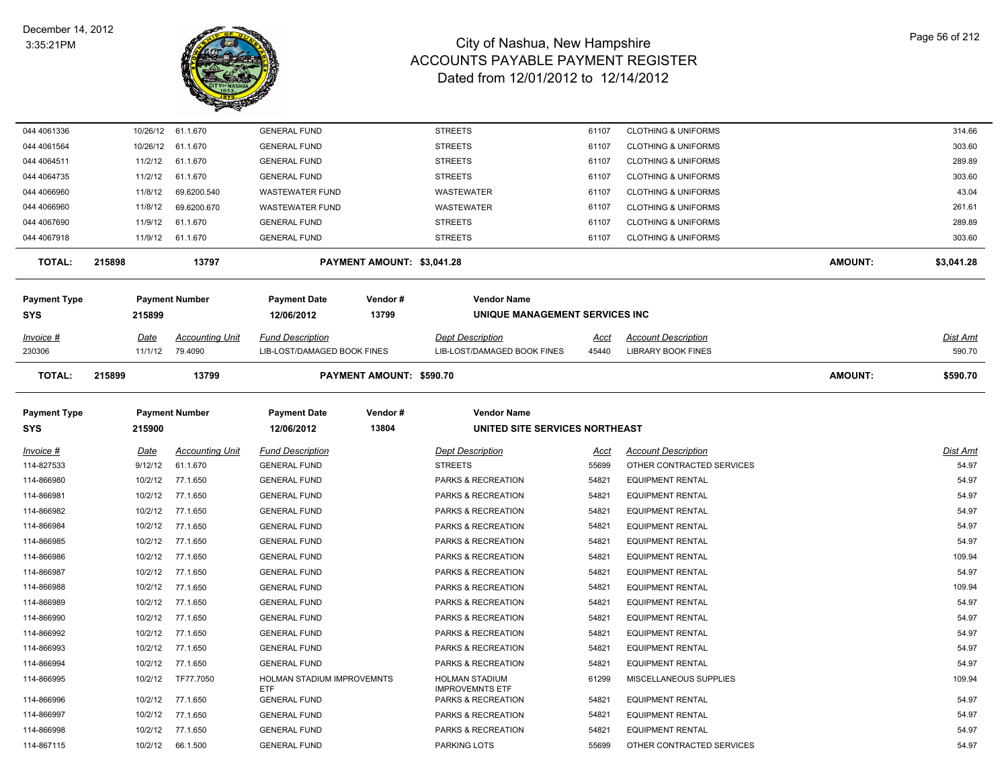

| 044 4061336         |          | 10/26/12 61.1.670      | <b>GENERAL FUND</b>                |                            | <b>STREETS</b>                                  | 61107 | <b>CLOTHING &amp; UNIFORMS</b> |                | 314.66     |
|---------------------|----------|------------------------|------------------------------------|----------------------------|-------------------------------------------------|-------|--------------------------------|----------------|------------|
| 044 4061564         | 10/26/12 | 61.1.670               | <b>GENERAL FUND</b>                |                            | <b>STREETS</b>                                  | 61107 | <b>CLOTHING &amp; UNIFORMS</b> |                | 303.60     |
| 044 4064511         | 11/2/12  | 61.1.670               | <b>GENERAL FUND</b>                |                            | <b>STREETS</b>                                  | 61107 | <b>CLOTHING &amp; UNIFORMS</b> |                | 289.89     |
| 044 4064735         | 11/2/12  | 61.1.670               | <b>GENERAL FUND</b>                |                            | <b>STREETS</b>                                  | 61107 | <b>CLOTHING &amp; UNIFORMS</b> |                | 303.60     |
| 044 4066960         | 11/8/12  | 69.6200.540            | <b>WASTEWATER FUND</b>             |                            | <b>WASTEWATER</b>                               | 61107 | <b>CLOTHING &amp; UNIFORMS</b> |                | 43.04      |
| 044 4066960         | 11/8/12  | 69.6200.670            | <b>WASTEWATER FUND</b>             |                            | <b>WASTEWATER</b>                               | 61107 | <b>CLOTHING &amp; UNIFORMS</b> |                | 261.61     |
| 044 4067690         | 11/9/12  | 61.1.670               | <b>GENERAL FUND</b>                |                            | <b>STREETS</b>                                  | 61107 | <b>CLOTHING &amp; UNIFORMS</b> |                | 289.89     |
| 044 4067918         | 11/9/12  | 61.1.670               | <b>GENERAL FUND</b>                |                            | <b>STREETS</b>                                  | 61107 | <b>CLOTHING &amp; UNIFORMS</b> |                | 303.60     |
| <b>TOTAL:</b>       | 215898   | 13797                  |                                    | PAYMENT AMOUNT: \$3,041.28 |                                                 |       |                                | <b>AMOUNT:</b> | \$3,041.28 |
| <b>Payment Type</b> |          | <b>Payment Number</b>  | <b>Payment Date</b>                | Vendor#                    | <b>Vendor Name</b>                              |       |                                |                |            |
| SYS                 | 215899   |                        | 12/06/2012                         | 13799                      | UNIQUE MANAGEMENT SERVICES INC                  |       |                                |                |            |
| Invoice #           | Date     | <b>Accounting Unit</b> | <b>Fund Description</b>            |                            | <b>Dept Description</b>                         | Acct  | <b>Account Description</b>     |                | Dist Amt   |
| 230306              | 11/1/12  | 79.4090                | <b>LIB-LOST/DAMAGED BOOK FINES</b> |                            | LIB-LOST/DAMAGED BOOK FINES                     | 45440 | <b>LIBRARY BOOK FINES</b>      |                | 590.70     |
| <b>TOTAL:</b>       | 215899   | 13799                  |                                    | PAYMENT AMOUNT: \$590.70   |                                                 |       |                                | <b>AMOUNT:</b> | \$590.70   |
| <b>Payment Type</b> |          | <b>Payment Number</b>  | <b>Payment Date</b>                | Vendor#                    | <b>Vendor Name</b>                              |       |                                |                |            |
| <b>SYS</b>          | 215900   |                        | 12/06/2012                         | 13804                      | UNITED SITE SERVICES NORTHEAST                  |       |                                |                |            |
| Invoice #           | Date     | <b>Accounting Unit</b> | <b>Fund Description</b>            |                            | <b>Dept Description</b>                         | Acct  | <b>Account Description</b>     |                | Dist Amt   |
| 114-827533          | 9/12/12  | 61.1.670               | <b>GENERAL FUND</b>                |                            | <b>STREETS</b>                                  | 55699 | OTHER CONTRACTED SERVICES      |                | 54.97      |
| 114-866980          | 10/2/12  | 77.1.650               | <b>GENERAL FUND</b>                |                            | PARKS & RECREATION                              | 54821 | <b>EQUIPMENT RENTAL</b>        |                | 54.97      |
| 114-866981          | 10/2/12  | 77.1.650               | <b>GENERAL FUND</b>                |                            | PARKS & RECREATION                              | 54821 | <b>EQUIPMENT RENTAL</b>        |                | 54.97      |
| 114-866982          | 10/2/12  | 77.1.650               | <b>GENERAL FUND</b>                |                            | PARKS & RECREATION                              | 54821 | <b>EQUIPMENT RENTAL</b>        |                | 54.97      |
| 114-866984          | 10/2/12  | 77.1.650               | <b>GENERAL FUND</b>                |                            | PARKS & RECREATION                              | 54821 | <b>EQUIPMENT RENTAL</b>        |                | 54.97      |
| 114-866985          | 10/2/12  | 77.1.650               | <b>GENERAL FUND</b>                |                            | PARKS & RECREATION                              | 54821 | <b>EQUIPMENT RENTAL</b>        |                | 54.97      |
| 114-866986          | 10/2/12  | 77.1.650               | <b>GENERAL FUND</b>                |                            | PARKS & RECREATION                              | 54821 | <b>EQUIPMENT RENTAL</b>        |                | 109.94     |
| 114-866987          | 10/2/12  | 77.1.650               | <b>GENERAL FUND</b>                |                            | PARKS & RECREATION                              | 54821 | <b>EQUIPMENT RENTAL</b>        |                | 54.97      |
| 114-866988          | 10/2/12  | 77.1.650               | <b>GENERAL FUND</b>                |                            | PARKS & RECREATION                              | 54821 | <b>EQUIPMENT RENTAL</b>        |                | 109.94     |
| 114-866989          | 10/2/12  | 77.1.650               | <b>GENERAL FUND</b>                |                            | PARKS & RECREATION                              | 54821 | <b>EQUIPMENT RENTAL</b>        |                | 54.97      |
| 114-866990          | 10/2/12  | 77.1.650               | <b>GENERAL FUND</b>                |                            | PARKS & RECREATION                              | 54821 | <b>EQUIPMENT RENTAL</b>        |                | 54.97      |
| 114-866992          | 10/2/12  | 77.1.650               | <b>GENERAL FUND</b>                |                            | PARKS & RECREATION                              | 54821 | <b>EQUIPMENT RENTAL</b>        |                | 54.97      |
| 114-866993          | 10/2/12  | 77.1.650               | <b>GENERAL FUND</b>                |                            | PARKS & RECREATION                              | 54821 | <b>EQUIPMENT RENTAL</b>        |                | 54.97      |
| 114-866994          | 10/2/12  | 77.1.650               | <b>GENERAL FUND</b>                |                            | PARKS & RECREATION                              | 54821 | <b>EQUIPMENT RENTAL</b>        |                | 54.97      |
| 114-866995          | 10/2/12  | TF77.7050              | HOLMAN STADIUM IMPROVEMNTS<br>ETF  |                            | <b>HOLMAN STADIUM</b><br><b>IMPROVEMNTS ETF</b> | 61299 | MISCELLANEOUS SUPPLIES         |                | 109.94     |
| 114-866996          | 10/2/12  | 77.1.650               | <b>GENERAL FUND</b>                |                            | PARKS & RECREATION                              | 54821 | <b>EQUIPMENT RENTAL</b>        |                | 54.97      |
| 114-866997          | 10/2/12  | 77.1.650               | <b>GENERAL FUND</b>                |                            | PARKS & RECREATION                              | 54821 | <b>EQUIPMENT RENTAL</b>        |                | 54.97      |
| 114-866998          | 10/2/12  | 77.1.650               | <b>GENERAL FUND</b>                |                            | PARKS & RECREATION                              | 54821 | <b>EQUIPMENT RENTAL</b>        |                | 54.97      |
| 114-867115          | 10/2/12  | 66.1.500               | <b>GENERAL FUND</b>                |                            | PARKING LOTS                                    | 55699 | OTHER CONTRACTED SERVICES      |                | 54.97      |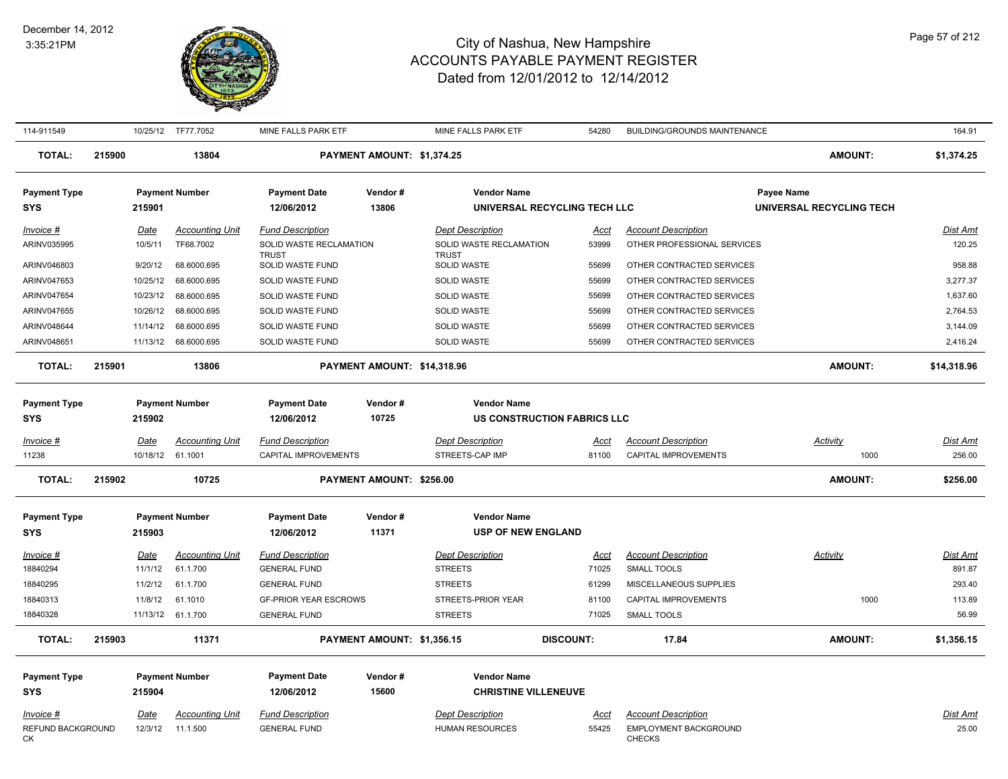

| 114-911549              |        |             | 10/25/12 TF77.7052     | MINE FALLS PARK ETF                     |                                 | MINE FALLS PARK ETF                     | 54280                        | BUILDING/GROUNDS MAINTENANCE                  |                          | 164.91          |
|-------------------------|--------|-------------|------------------------|-----------------------------------------|---------------------------------|-----------------------------------------|------------------------------|-----------------------------------------------|--------------------------|-----------------|
| <b>TOTAL:</b>           | 215900 |             | 13804                  |                                         | PAYMENT AMOUNT: \$1,374.25      |                                         |                              |                                               | <b>AMOUNT:</b>           | \$1,374.25      |
| <b>Payment Type</b>     |        |             | <b>Payment Number</b>  | <b>Payment Date</b>                     | Vendor#                         | <b>Vendor Name</b>                      |                              |                                               | Payee Name               |                 |
| <b>SYS</b>              |        | 215901      |                        | 12/06/2012                              | 13806                           |                                         | UNIVERSAL RECYCLING TECH LLC |                                               | UNIVERSAL RECYCLING TECH |                 |
| Invoice #               |        | Date        | <b>Accounting Unit</b> | <b>Fund Description</b>                 |                                 | <b>Dept Description</b>                 | Acct                         | <b>Account Description</b>                    |                          | Dist Amt        |
| ARINV035995             |        | 10/5/11     | TF68.7002              | SOLID WASTE RECLAMATION<br><b>TRUST</b> |                                 | SOLID WASTE RECLAMATION<br><b>TRUST</b> | 53999                        | OTHER PROFESSIONAL SERVICES                   |                          | 120.25          |
| ARINV046803             |        | 9/20/12     | 68.6000.695            | SOLID WASTE FUND                        |                                 | SOLID WASTE                             | 55699                        | OTHER CONTRACTED SERVICES                     |                          | 958.88          |
| ARINV047653             |        | 10/25/12    | 68.6000.695            | SOLID WASTE FUND                        |                                 | <b>SOLID WASTE</b>                      | 55699                        | OTHER CONTRACTED SERVICES                     |                          | 3,277.37        |
| ARINV047654             |        | 10/23/12    | 68.6000.695            | SOLID WASTE FUND                        |                                 | SOLID WASTE                             | 55699                        | OTHER CONTRACTED SERVICES                     |                          | 1,637.60        |
| ARINV047655             |        | 10/26/12    | 68.6000.695            | SOLID WASTE FUND                        |                                 | <b>SOLID WASTE</b>                      | 55699                        | OTHER CONTRACTED SERVICES                     |                          | 2,764.53        |
| ARINV048644             |        | 11/14/12    | 68.6000.695            | <b>SOLID WASTE FUND</b>                 |                                 | <b>SOLID WASTE</b>                      | 55699                        | OTHER CONTRACTED SERVICES                     |                          | 3,144.09        |
| ARINV048651             |        | 11/13/12    | 68.6000.695            | SOLID WASTE FUND                        |                                 | SOLID WASTE                             | 55699                        | OTHER CONTRACTED SERVICES                     |                          | 2,416.24        |
| <b>TOTAL:</b>           | 215901 |             | 13806                  |                                         |                                 | PAYMENT AMOUNT: \$14,318.96             |                              |                                               | <b>AMOUNT:</b>           | \$14,318.96     |
| <b>Payment Type</b>     |        |             | <b>Payment Number</b>  | <b>Payment Date</b>                     | Vendor#                         | <b>Vendor Name</b>                      |                              |                                               |                          |                 |
| <b>SYS</b>              |        | 215902      |                        | 12/06/2012                              | 10725                           |                                         | US CONSTRUCTION FABRICS LLC  |                                               |                          |                 |
| Invoice #               |        | Date        | <b>Accounting Unit</b> | <b>Fund Description</b>                 |                                 | <b>Dept Description</b>                 | <u>Acct</u>                  | <b>Account Description</b>                    | Activity                 | Dist Amt        |
| 11238                   |        |             | 10/18/12 61.1001       | CAPITAL IMPROVEMENTS                    |                                 | STREETS-CAP IMP                         | 81100                        | CAPITAL IMPROVEMENTS                          | 1000                     | 256.00          |
| <b>TOTAL:</b>           | 215902 |             | 10725                  |                                         | <b>PAYMENT AMOUNT: \$256.00</b> |                                         |                              |                                               | <b>AMOUNT:</b>           | \$256.00        |
| <b>Payment Type</b>     |        |             | <b>Payment Number</b>  | <b>Payment Date</b>                     | Vendor#                         | <b>Vendor Name</b>                      |                              |                                               |                          |                 |
| <b>SYS</b>              |        | 215903      |                        | 12/06/2012                              | 11371                           | <b>USP OF NEW ENGLAND</b>               |                              |                                               |                          |                 |
| Invoice #               |        | Date        | <b>Accounting Unit</b> | <b>Fund Description</b>                 |                                 | <b>Dept Description</b>                 | <u>Acct</u>                  | <b>Account Description</b>                    | Activity                 | Dist Amt        |
| 18840294                |        | 11/1/12     | 61.1.700               | <b>GENERAL FUND</b>                     |                                 | <b>STREETS</b>                          | 71025                        | SMALL TOOLS                                   |                          | 891.87          |
| 18840295                |        | 11/2/12     | 61.1.700               | <b>GENERAL FUND</b>                     |                                 | <b>STREETS</b>                          | 61299                        | MISCELLANEOUS SUPPLIES                        |                          | 293.40          |
| 18840313                |        | 11/8/12     | 61.1010                | <b>GF-PRIOR YEAR ESCROWS</b>            |                                 | STREETS-PRIOR YEAR                      | 81100                        | <b>CAPITAL IMPROVEMENTS</b>                   | 1000                     | 113.89          |
| 18840328                |        |             | 11/13/12 61.1.700      | <b>GENERAL FUND</b>                     |                                 | <b>STREETS</b>                          | 71025                        | SMALL TOOLS                                   |                          | 56.99           |
| <b>TOTAL:</b>           | 215903 |             | 11371                  |                                         | PAYMENT AMOUNT: \$1,356.15      |                                         | <b>DISCOUNT:</b>             | 17.84                                         | <b>AMOUNT:</b>           | \$1,356.15      |
| <b>Payment Type</b>     |        |             | <b>Payment Number</b>  | <b>Payment Date</b>                     | Vendor#                         | <b>Vendor Name</b>                      |                              |                                               |                          |                 |
| <b>SYS</b>              |        | 215904      |                        | 12/06/2012                              | 15600                           | <b>CHRISTINE VILLENEUVE</b>             |                              |                                               |                          |                 |
| <u> Invoice #</u>       |        | <u>Date</u> | <u>Accounting Unit</u> | <b>Fund Description</b>                 |                                 | <b>Dept Description</b>                 | <u>Acct</u>                  | <b>Account Description</b>                    |                          | <u>Dist Amt</u> |
| REFUND BACKGROUND<br>СK |        | 12/3/12     | 11.1.500               | <b>GENERAL FUND</b>                     |                                 | <b>HUMAN RESOURCES</b>                  | 55425                        | <b>EMPLOYMENT BACKGROUND</b><br><b>CHECKS</b> |                          | 25.00           |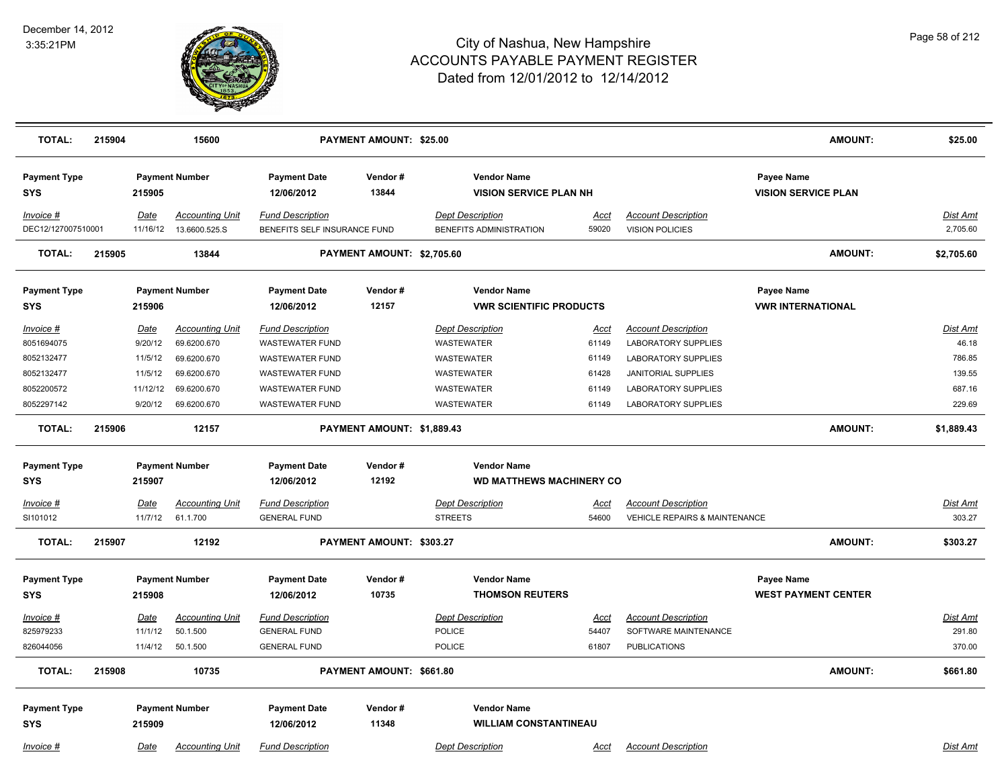

| <b>TOTAL:</b>                     | 215904 |                  | 15600                                   |                                                         | PAYMENT AMOUNT: \$25.00    |                                                      |               |                                               | <b>AMOUNT:</b>                                  | \$25.00              |
|-----------------------------------|--------|------------------|-----------------------------------------|---------------------------------------------------------|----------------------------|------------------------------------------------------|---------------|-----------------------------------------------|-------------------------------------------------|----------------------|
| <b>Payment Type</b><br><b>SYS</b> |        | 215905           | <b>Payment Number</b>                   | <b>Payment Date</b><br>12/06/2012                       | Vendor#<br>13844           | <b>Vendor Name</b><br><b>VISION SERVICE PLAN NH</b>  |               |                                               | <b>Payee Name</b><br><b>VISION SERVICE PLAN</b> |                      |
| Invoice #<br>DEC12/127007510001   |        | Date<br>11/16/12 | <b>Accounting Unit</b><br>13.6600.525.S | <b>Fund Description</b><br>BENEFITS SELF INSURANCE FUND |                            | <b>Dept Description</b><br>BENEFITS ADMINISTRATION   | Acct<br>59020 | <b>Account Description</b><br>VISION POLICIES |                                                 | Dist Amt<br>2,705.60 |
| <b>TOTAL:</b>                     | 215905 |                  | 13844                                   |                                                         | PAYMENT AMOUNT: \$2,705.60 |                                                      |               |                                               | <b>AMOUNT:</b>                                  | \$2,705.60           |
| <b>Payment Type</b><br><b>SYS</b> |        | 215906           | <b>Payment Number</b>                   | <b>Payment Date</b><br>12/06/2012                       | Vendor#<br>12157           | <b>Vendor Name</b><br><b>VWR SCIENTIFIC PRODUCTS</b> |               |                                               | <b>Payee Name</b><br><b>VWR INTERNATIONAL</b>   |                      |
| Invoice #                         |        | Date             | <b>Accounting Unit</b>                  | <b>Fund Description</b>                                 |                            | <b>Dept Description</b>                              | <u>Acct</u>   | <b>Account Description</b>                    |                                                 | Dist Amt             |
| 8051694075                        |        | 9/20/12          | 69.6200.670                             | <b>WASTEWATER FUND</b>                                  |                            | WASTEWATER                                           | 61149         | <b>LABORATORY SUPPLIES</b>                    |                                                 | 46.18                |
| 8052132477                        |        | 11/5/12          | 69.6200.670                             | <b>WASTEWATER FUND</b>                                  |                            | WASTEWATER                                           | 61149         | <b>LABORATORY SUPPLIES</b>                    |                                                 | 786.85               |
| 8052132477                        |        | 11/5/12          | 69.6200.670                             | <b>WASTEWATER FUND</b>                                  |                            | WASTEWATER                                           | 61428         | <b>JANITORIAL SUPPLIES</b>                    |                                                 | 139.55               |
| 8052200572                        |        | 11/12/12         | 69.6200.670                             | <b>WASTEWATER FUND</b>                                  |                            | <b>WASTEWATER</b>                                    | 61149         | <b>LABORATORY SUPPLIES</b>                    |                                                 | 687.16               |
| 8052297142                        |        | 9/20/12          | 69.6200.670                             | <b>WASTEWATER FUND</b>                                  |                            | WASTEWATER                                           | 61149         | <b>LABORATORY SUPPLIES</b>                    |                                                 | 229.69               |
| <b>TOTAL:</b>                     | 215906 |                  | 12157                                   |                                                         | PAYMENT AMOUNT: \$1,889.43 |                                                      |               |                                               | <b>AMOUNT:</b>                                  | \$1,889.43           |
| <b>Payment Type</b>               |        |                  | <b>Payment Number</b>                   | <b>Payment Date</b>                                     | Vendor#                    | <b>Vendor Name</b>                                   |               |                                               |                                                 |                      |
| <b>SYS</b>                        |        | 215907           |                                         | 12/06/2012                                              | 12192                      | <b>WD MATTHEWS MACHINERY CO</b>                      |               |                                               |                                                 |                      |
| <u>Invoice #</u>                  |        | <b>Date</b>      | <b>Accounting Unit</b>                  | <b>Fund Description</b>                                 |                            | <b>Dept Description</b>                              | <u>Acct</u>   | <b>Account Description</b>                    |                                                 | <b>Dist Amt</b>      |
| SI101012                          |        | 11/7/12          | 61.1.700                                | <b>GENERAL FUND</b>                                     |                            | <b>STREETS</b>                                       | 54600         | <b>VEHICLE REPAIRS &amp; MAINTENANCE</b>      |                                                 | 303.27               |
| <b>TOTAL:</b>                     | 215907 |                  | 12192                                   |                                                         | PAYMENT AMOUNT: \$303.27   |                                                      |               |                                               | <b>AMOUNT:</b>                                  | \$303.27             |
| <b>Payment Type</b><br><b>SYS</b> |        | 215908           | <b>Payment Number</b>                   | <b>Payment Date</b><br>12/06/2012                       | Vendor#<br>10735           | <b>Vendor Name</b><br><b>THOMSON REUTERS</b>         |               |                                               | Payee Name<br><b>WEST PAYMENT CENTER</b>        |                      |
| Invoice #                         |        | Date             | <b>Accounting Unit</b>                  | <b>Fund Description</b>                                 |                            | <b>Dept Description</b>                              | Acct          | <b>Account Description</b>                    |                                                 | Dist Amt             |
| 825979233                         |        | 11/1/12          | 50.1.500                                | <b>GENERAL FUND</b>                                     |                            | <b>POLICE</b>                                        | 54407         | SOFTWARE MAINTENANCE                          |                                                 | 291.80               |
| 826044056                         |        | 11/4/12          | 50.1.500                                | <b>GENERAL FUND</b>                                     |                            | <b>POLICE</b>                                        | 61807         | <b>PUBLICATIONS</b>                           |                                                 | 370.00               |
| <b>TOTAL:</b>                     | 215908 |                  | 10735                                   |                                                         | PAYMENT AMOUNT: \$661.80   |                                                      |               |                                               | <b>AMOUNT:</b>                                  | \$661.80             |
| <b>Payment Type</b><br><b>SYS</b> |        | 215909           | <b>Payment Number</b>                   | <b>Payment Date</b><br>12/06/2012                       | Vendor#<br>11348           | <b>Vendor Name</b><br><b>WILLIAM CONSTANTINEAU</b>   |               |                                               |                                                 |                      |
| Invoice #                         |        | Date             | <b>Accounting Unit</b>                  | <b>Fund Description</b>                                 |                            | <b>Dept Description</b>                              | Acct          | <b>Account Description</b>                    |                                                 | Dist Amt             |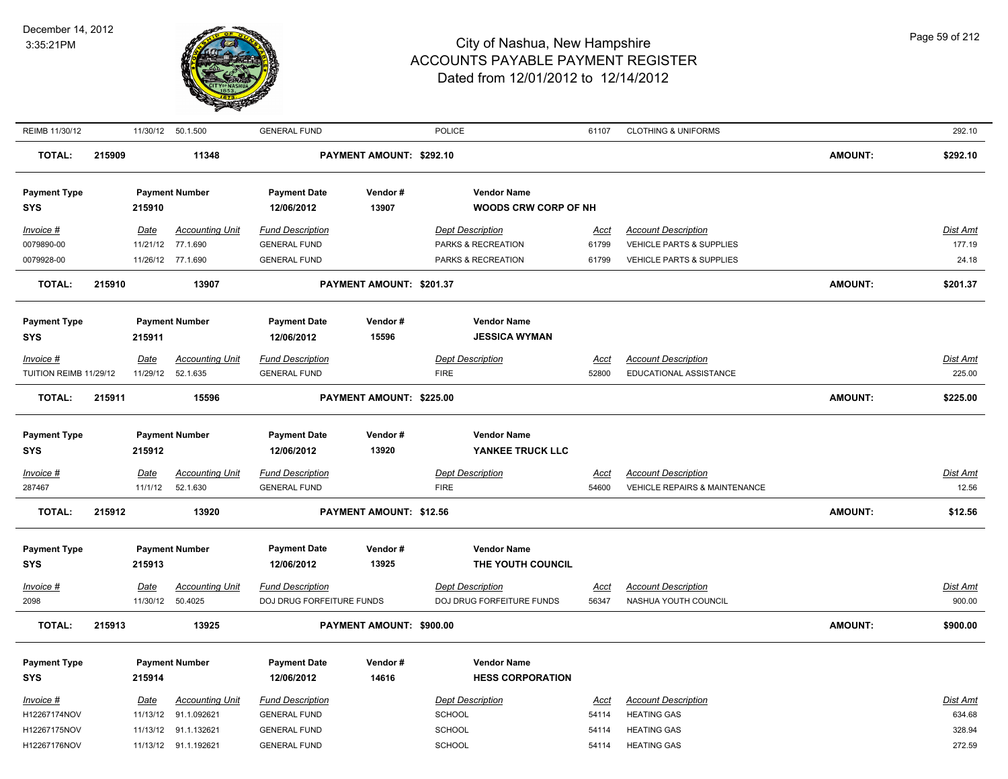

| REIMB 11/30/12<br><b>GENERAL FUND</b><br>POLICE<br><b>CLOTHING &amp; UNIFORMS</b><br>11/30/12 50.1.500<br>61107                                                                                                                                                              | 292.10                    |
|------------------------------------------------------------------------------------------------------------------------------------------------------------------------------------------------------------------------------------------------------------------------------|---------------------------|
| <b>TOTAL:</b><br>11348<br>PAYMENT AMOUNT: \$292.10<br><b>AMOUNT:</b><br>215909                                                                                                                                                                                               | \$292.10                  |
| <b>Vendor Name</b><br><b>Payment Type</b><br><b>Payment Number</b><br><b>Payment Date</b><br>Vendor#<br>13907<br><b>WOODS CRW CORP OF NH</b><br><b>SYS</b><br>215910<br>12/06/2012                                                                                           |                           |
|                                                                                                                                                                                                                                                                              |                           |
| Invoice #<br><b>Accounting Unit</b><br><b>Fund Description</b><br><b>Dept Description</b><br><b>Account Description</b><br>Date<br>Acct<br>0079890-00<br>11/21/12<br>77.1.690<br><b>GENERAL FUND</b><br>PARKS & RECREATION<br>VEHICLE PARTS & SUPPLIES<br>61799              | <b>Dist Amt</b><br>177.19 |
| 0079928-00<br>11/26/12 77.1.690<br><b>GENERAL FUND</b><br>PARKS & RECREATION<br>61799<br>VEHICLE PARTS & SUPPLIES                                                                                                                                                            | 24.18                     |
|                                                                                                                                                                                                                                                                              |                           |
| <b>AMOUNT:</b><br><b>TOTAL:</b><br>215910<br>13907<br>PAYMENT AMOUNT: \$201.37                                                                                                                                                                                               | \$201.37                  |
| <b>Payment Type</b><br><b>Payment Number</b><br>Vendor#<br><b>Vendor Name</b><br><b>Payment Date</b>                                                                                                                                                                         |                           |
| 12/06/2012<br>15596<br><b>SYS</b><br>215911<br><b>JESSICA WYMAN</b>                                                                                                                                                                                                          |                           |
| Invoice #<br>Date<br><b>Accounting Unit</b><br><b>Fund Description</b><br><b>Dept Description</b><br><b>Account Description</b><br>Acct                                                                                                                                      | <b>Dist Amt</b>           |
| TUITION REIMB 11/29/12<br>11/29/12<br>52.1.635<br><b>FIRE</b><br>52800<br>EDUCATIONAL ASSISTANCE<br><b>GENERAL FUND</b>                                                                                                                                                      | 225.00                    |
| <b>TOTAL:</b><br>PAYMENT AMOUNT: \$225.00<br><b>AMOUNT:</b><br>215911<br>15596                                                                                                                                                                                               | \$225.00                  |
|                                                                                                                                                                                                                                                                              |                           |
| <b>Payment Type</b><br><b>Payment Number</b><br><b>Payment Date</b><br>Vendor#<br><b>Vendor Name</b><br>12/06/2012<br>13920<br>YANKEE TRUCK LLC<br><b>SYS</b><br>215912                                                                                                      |                           |
| <b>Accounting Unit</b><br><b>Fund Description</b><br><b>Dept Description</b><br><b>Account Description</b><br>$Invoice$ #<br>Date<br><u>Acct</u><br>52.1.630<br><b>VEHICLE REPAIRS &amp; MAINTENANCE</b><br>287467<br>11/1/12<br><b>GENERAL FUND</b><br><b>FIRE</b><br>54600 | <b>Dist Amt</b><br>12.56  |
| <b>TOTAL:</b><br>215912<br>13920<br>PAYMENT AMOUNT: \$12.56<br><b>AMOUNT:</b>                                                                                                                                                                                                | \$12.56                   |
| <b>Payment Type</b><br><b>Payment Number</b><br><b>Payment Date</b><br>Vendor#<br><b>Vendor Name</b>                                                                                                                                                                         |                           |
| 12/06/2012<br>13925<br>THE YOUTH COUNCIL<br><b>SYS</b><br>215913                                                                                                                                                                                                             |                           |
| <b>Fund Description</b><br><b>Dept Description</b><br><b>Invoice #</b><br><u>Date</u><br><b>Accounting Unit</b><br><b>Account Description</b><br><u>Acct</u>                                                                                                                 | <b>Dist Amt</b>           |
| 2098<br>11/30/12<br>50.4025<br>56347<br>DOJ DRUG FORFEITURE FUNDS<br>DOJ DRUG FORFEITURE FUNDS<br>NASHUA YOUTH COUNCIL                                                                                                                                                       | 900.00                    |
| <b>TOTAL:</b><br><b>AMOUNT:</b><br>215913<br>13925<br>PAYMENT AMOUNT: \$900.00                                                                                                                                                                                               | \$900.00                  |
|                                                                                                                                                                                                                                                                              |                           |
| <b>Payment Type</b><br><b>Payment Number</b><br><b>Payment Date</b><br>Vendor#<br><b>Vendor Name</b><br>14616<br><b>SYS</b><br>215914<br>12/06/2012<br><b>HESS CORPORATION</b>                                                                                               |                           |
|                                                                                                                                                                                                                                                                              |                           |
| <b>Accounting Unit</b><br><b>Fund Description</b><br><b>Dept Description</b><br><b>Account Description</b><br>Invoice #<br>Date<br><u>Acct</u>                                                                                                                               | <b>Dist Amt</b>           |
| H12267174NOV<br>11/13/12<br>91.1.092621<br>SCHOOL<br><b>HEATING GAS</b><br><b>GENERAL FUND</b><br>54114<br>H12267175NOV<br>91.1.132621<br><b>GENERAL FUND</b><br>SCHOOL<br><b>HEATING GAS</b><br>11/13/12<br>54114                                                           | 634.68<br>328.94          |
| SCHOOL<br>H12267176NOV<br>11/13/12 91.1.192621<br><b>GENERAL FUND</b><br>54114<br><b>HEATING GAS</b>                                                                                                                                                                         | 272.59                    |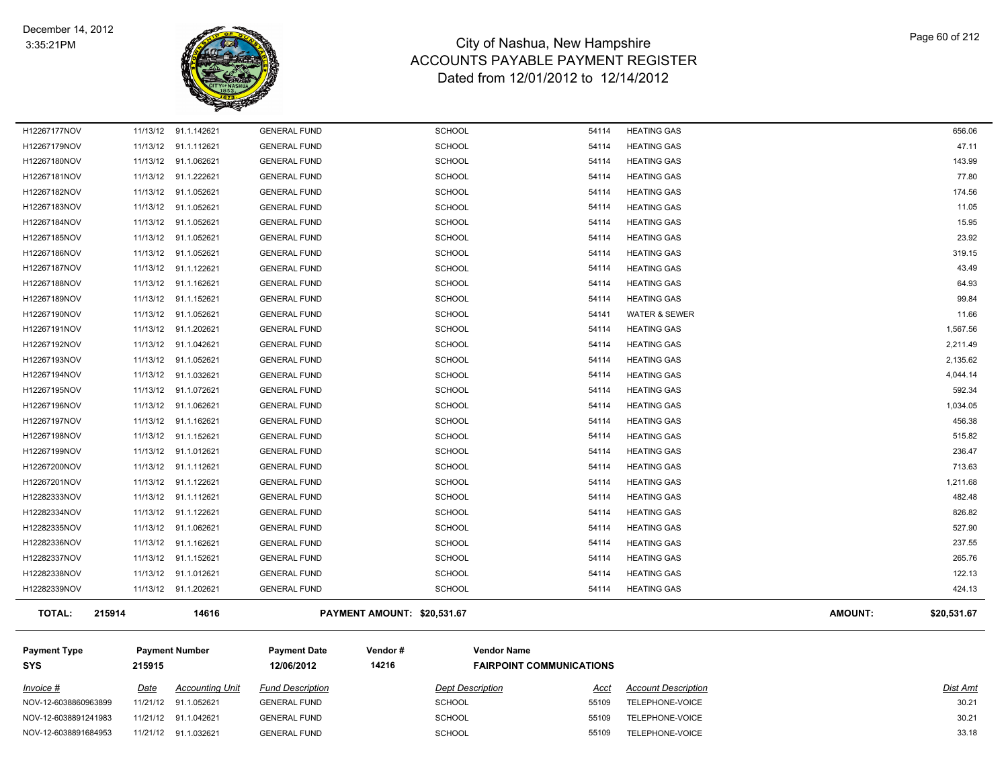

| <b>TOTAL:</b> | 215914   | 14616                |                     | PAYMENT AMOUNT: \$20,531.67 |       |                          | <b>AMOUNT:</b> | \$20.531.67 |
|---------------|----------|----------------------|---------------------|-----------------------------|-------|--------------------------|----------------|-------------|
| H12282339NOV  |          | 11/13/12 91.1.202621 | <b>GENERAL FUND</b> | <b>SCHOOL</b>               | 54114 | <b>HEATING GAS</b>       |                | 424.13      |
| H12282338NOV  |          | 11/13/12 91.1.012621 | <b>GENERAL FUND</b> | <b>SCHOOL</b>               | 54114 | <b>HEATING GAS</b>       |                | 122.13      |
| H12282337NOV  |          | 11/13/12 91.1.152621 | <b>GENERAL FUND</b> | <b>SCHOOL</b>               | 54114 | <b>HEATING GAS</b>       |                | 265.76      |
| H12282336NOV  |          | 11/13/12 91.1.162621 | <b>GENERAL FUND</b> | <b>SCHOOL</b>               | 54114 | <b>HEATING GAS</b>       |                | 237.55      |
| H12282335NOV  |          | 11/13/12 91.1.062621 | <b>GENERAL FUND</b> | SCHOOL                      | 54114 | <b>HEATING GAS</b>       |                | 527.90      |
| H12282334NOV  |          | 11/13/12 91.1.122621 | <b>GENERAL FUND</b> | <b>SCHOOL</b>               | 54114 | <b>HEATING GAS</b>       |                | 826.82      |
| H12282333NOV  |          | 11/13/12 91.1.112621 | <b>GENERAL FUND</b> | <b>SCHOOL</b>               | 54114 | <b>HEATING GAS</b>       |                | 482.48      |
| H12267201NOV  |          | 11/13/12 91.1.122621 | <b>GENERAL FUND</b> | <b>SCHOOL</b>               | 54114 | <b>HEATING GAS</b>       |                | 1,211.68    |
| H12267200NOV  |          | 11/13/12 91.1.112621 | <b>GENERAL FUND</b> | <b>SCHOOL</b>               | 54114 | <b>HEATING GAS</b>       |                | 713.63      |
| H12267199NOV  |          | 11/13/12 91.1.012621 | <b>GENERAL FUND</b> | <b>SCHOOL</b>               | 54114 | <b>HEATING GAS</b>       |                | 236.47      |
| H12267198NOV  |          | 11/13/12 91.1.152621 | <b>GENERAL FUND</b> | SCHOOL                      | 54114 | <b>HEATING GAS</b>       |                | 515.82      |
| H12267197NOV  |          | 11/13/12 91.1.162621 | <b>GENERAL FUND</b> | SCHOOL                      | 54114 | <b>HEATING GAS</b>       |                | 456.38      |
| H12267196NOV  |          | 11/13/12 91.1.062621 | <b>GENERAL FUND</b> | <b>SCHOOL</b>               | 54114 | <b>HEATING GAS</b>       |                | 1,034.05    |
| H12267195NOV  |          | 11/13/12 91.1.072621 | <b>GENERAL FUND</b> | <b>SCHOOL</b>               | 54114 | <b>HEATING GAS</b>       |                | 592.34      |
| H12267194NOV  |          | 11/13/12 91.1.032621 | <b>GENERAL FUND</b> | SCHOOL                      | 54114 | <b>HEATING GAS</b>       |                | 4,044.14    |
| H12267193NOV  |          | 11/13/12 91.1.052621 | <b>GENERAL FUND</b> | <b>SCHOOL</b>               | 54114 | <b>HEATING GAS</b>       |                | 2,135.62    |
| H12267192NOV  | 11/13/12 | 91.1.042621          | <b>GENERAL FUND</b> | SCHOOL                      | 54114 | <b>HEATING GAS</b>       |                | 2,211.49    |
| H12267191NOV  |          | 11/13/12 91.1.202621 | <b>GENERAL FUND</b> | <b>SCHOOL</b>               | 54114 | <b>HEATING GAS</b>       |                | 1,567.56    |
| H12267190NOV  |          | 11/13/12 91.1.052621 | <b>GENERAL FUND</b> | SCHOOL                      | 54141 | <b>WATER &amp; SEWER</b> |                | 11.66       |
| H12267189NOV  |          | 11/13/12 91.1.152621 | <b>GENERAL FUND</b> | <b>SCHOOL</b>               | 54114 | <b>HEATING GAS</b>       |                | 99.84       |
| H12267188NOV  |          | 11/13/12 91.1.162621 | <b>GENERAL FUND</b> | <b>SCHOOL</b>               | 54114 | <b>HEATING GAS</b>       |                | 64.93       |
| H12267187NOV  |          | 11/13/12 91.1.122621 | <b>GENERAL FUND</b> | <b>SCHOOL</b>               | 54114 | <b>HEATING GAS</b>       |                | 43.49       |
| H12267186NOV  |          | 11/13/12 91.1.052621 | <b>GENERAL FUND</b> | SCHOOL                      | 54114 | <b>HEATING GAS</b>       |                | 319.15      |
| H12267185NOV  |          | 11/13/12 91.1.052621 | <b>GENERAL FUND</b> | <b>SCHOOL</b>               | 54114 | <b>HEATING GAS</b>       |                | 23.92       |
| H12267184NOV  |          | 11/13/12 91.1.052621 | <b>GENERAL FUND</b> | <b>SCHOOL</b>               | 54114 | <b>HEATING GAS</b>       |                | 15.95       |
| H12267183NOV  |          | 11/13/12 91.1.052621 | <b>GENERAL FUND</b> | <b>SCHOOL</b>               | 54114 | <b>HEATING GAS</b>       |                | 11.05       |
| H12267182NOV  |          | 11/13/12 91.1.052621 | <b>GENERAL FUND</b> | <b>SCHOOL</b>               | 54114 | <b>HEATING GAS</b>       |                | 174.56      |
| H12267181NOV  |          | 11/13/12 91.1.222621 | <b>GENERAL FUND</b> | SCHOOL                      | 54114 | <b>HEATING GAS</b>       |                | 77.80       |
| H12267180NOV  |          | 11/13/12 91.1.062621 | <b>GENERAL FUND</b> | <b>SCHOOL</b>               | 54114 | <b>HEATING GAS</b>       |                | 143.99      |
| H12267179NOV  |          | 11/13/12 91.1.112621 | <b>GENERAL FUND</b> | <b>SCHOOL</b>               | 54114 | <b>HEATING GAS</b>       |                | 47.11       |
| H12267177NOV  |          | 11/13/12 91.1.142621 | <b>GENERAL FUND</b> | <b>SCHOOL</b>               | 54114 | <b>HEATING GAS</b>       |                | 656.06      |

| <b>Payment Type</b><br><b>SYS</b> | 215915 | <b>Payment Number</b>  | <b>Payment Date</b><br>12/06/2012 | Vendor#<br>14216 | <b>Vendor Name</b>      | <b>FAIRPOINT COMMUNICATIONS</b> |                            |                 |
|-----------------------------------|--------|------------------------|-----------------------------------|------------------|-------------------------|---------------------------------|----------------------------|-----------------|
| $Invoice$ #                       | Date   | <b>Accounting Unit</b> | <b>Fund Description</b>           |                  | <b>Dept Description</b> | Acct                            | <b>Account Description</b> | <b>Dist Amt</b> |
| NOV-12-6038860963899              |        | 11/21/12 91.1.052621   | <b>GENERAL FUND</b>               |                  | <b>SCHOOL</b>           | 55109                           | TELEPHONE-VOICE            | 30.21           |
| NOV-12-6038891241983              |        | 11/21/12 91.1.042621   | <b>GENERAL FUND</b>               |                  | <b>SCHOOL</b>           | 55109                           | TELEPHONE-VOICE            | 30.21           |
| NOV-12-6038891684953              |        | 11/21/12 91.1.032621   | <b>GENERAL FUND</b>               |                  | <b>SCHOOL</b>           | 55109                           | TELEPHONE-VOICE            | 33.18           |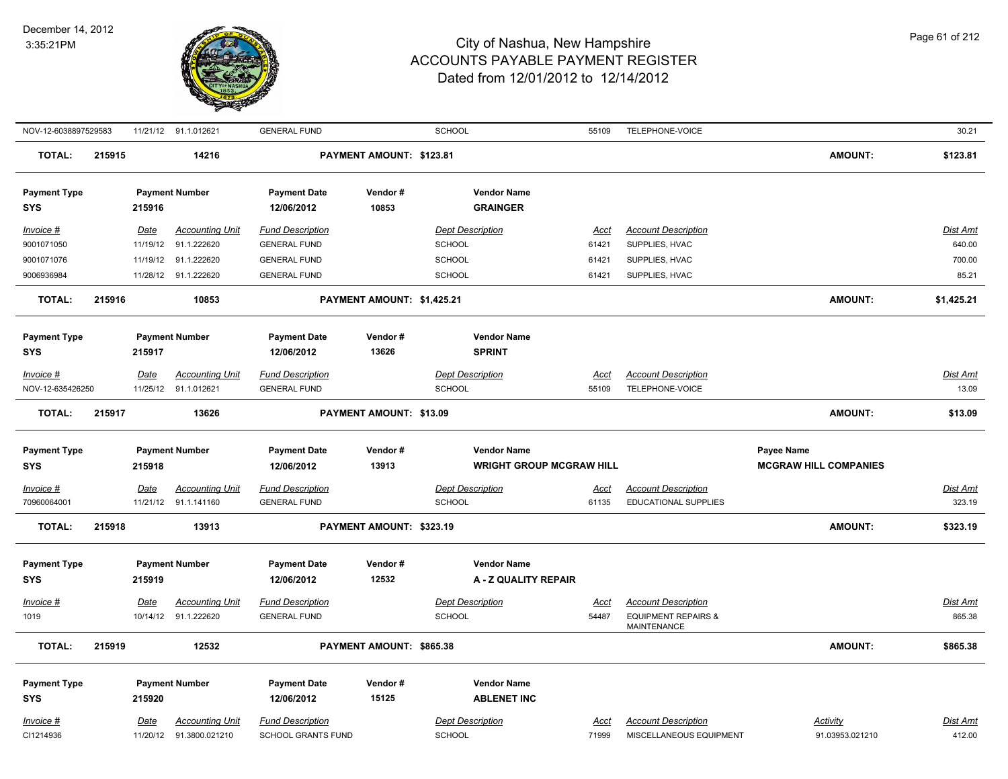

| NOV-12-6038897529583                                |        |                                          | 11/21/12 91.1.012621                                                | <b>GENERAL FUND</b>                                                                          |                            | <b>SCHOOL</b>                                                                    | 55109                           | TELEPHONE-VOICE                                                                  |                                                   | 30.21                                        |
|-----------------------------------------------------|--------|------------------------------------------|---------------------------------------------------------------------|----------------------------------------------------------------------------------------------|----------------------------|----------------------------------------------------------------------------------|---------------------------------|----------------------------------------------------------------------------------|---------------------------------------------------|----------------------------------------------|
| <b>TOTAL:</b>                                       | 215915 |                                          | 14216                                                               |                                                                                              | PAYMENT AMOUNT: \$123.81   |                                                                                  |                                 |                                                                                  | <b>AMOUNT:</b>                                    | \$123.81                                     |
| <b>Payment Type</b><br><b>SYS</b>                   |        | 215916                                   | <b>Payment Number</b>                                               | <b>Payment Date</b><br>12/06/2012                                                            | Vendor#<br>10853           | <b>Vendor Name</b><br><b>GRAINGER</b>                                            |                                 |                                                                                  |                                                   |                                              |
| Invoice #<br>9001071050<br>9001071076<br>9006936984 |        | Date<br>11/19/12<br>11/19/12<br>11/28/12 | <b>Accounting Unit</b><br>91.1.222620<br>91.1.222620<br>91.1.222620 | <b>Fund Description</b><br><b>GENERAL FUND</b><br><b>GENERAL FUND</b><br><b>GENERAL FUND</b> |                            | <b>Dept Description</b><br><b>SCHOOL</b><br><b>SCHOOL</b><br>SCHOOL              | Acct<br>61421<br>61421<br>61421 | <b>Account Description</b><br>SUPPLIES, HVAC<br>SUPPLIES, HVAC<br>SUPPLIES, HVAC |                                                   | <b>Dist Amt</b><br>640.00<br>700.00<br>85.21 |
| <b>TOTAL:</b>                                       | 215916 |                                          | 10853                                                               |                                                                                              | PAYMENT AMOUNT: \$1,425.21 |                                                                                  |                                 |                                                                                  | <b>AMOUNT:</b>                                    | \$1,425.21                                   |
| <b>Payment Type</b><br><b>SYS</b>                   |        | 215917                                   | <b>Payment Number</b>                                               | <b>Payment Date</b><br>12/06/2012                                                            | Vendor#<br>13626           | <b>Vendor Name</b><br><b>SPRINT</b>                                              |                                 |                                                                                  |                                                   |                                              |
| Invoice #<br>NOV-12-635426250                       |        | Date<br>11/25/12                         | <b>Accounting Unit</b><br>91.1.012621                               | <b>Fund Description</b><br><b>GENERAL FUND</b>                                               |                            | <b>Dept Description</b><br><b>SCHOOL</b>                                         | Acct<br>55109                   | <b>Account Description</b><br>TELEPHONE-VOICE                                    |                                                   | Dist Amt<br>13.09                            |
| <b>TOTAL:</b>                                       | 215917 |                                          | 13626                                                               |                                                                                              | PAYMENT AMOUNT: \$13.09    |                                                                                  |                                 |                                                                                  | <b>AMOUNT:</b>                                    | \$13.09                                      |
|                                                     |        |                                          |                                                                     |                                                                                              |                            |                                                                                  |                                 |                                                                                  |                                                   |                                              |
| <b>Payment Type</b><br><b>SYS</b><br>Invoice #      |        | 215918<br>Date                           | <b>Payment Number</b><br><b>Accounting Unit</b>                     | <b>Payment Date</b><br>12/06/2012<br><b>Fund Description</b>                                 | Vendor#<br>13913           | <b>Vendor Name</b><br><b>WRIGHT GROUP MCGRAW HILL</b><br><b>Dept Description</b> | <u>Acct</u>                     | <b>Account Description</b>                                                       | <b>Payee Name</b><br><b>MCGRAW HILL COMPANIES</b> | <b>Dist Amt</b>                              |
| 70960064001<br><b>TOTAL:</b>                        | 215918 | 11/21/12                                 | 91.1.141160<br>13913                                                | <b>GENERAL FUND</b>                                                                          | PAYMENT AMOUNT: \$323.19   | <b>SCHOOL</b>                                                                    | 61135                           | <b>EDUCATIONAL SUPPLIES</b>                                                      | <b>AMOUNT:</b>                                    | 323.19<br>\$323.19                           |
| <b>Payment Type</b><br><b>SYS</b><br>Invoice #      |        | 215919<br>Date                           | <b>Payment Number</b><br><b>Accounting Unit</b>                     | <b>Payment Date</b><br>12/06/2012<br><b>Fund Description</b>                                 | Vendor#<br>12532           | <b>Vendor Name</b><br>A - Z QUALITY REPAIR<br><b>Dept Description</b>            | Acct                            | <b>Account Description</b>                                                       |                                                   | <b>Dist Amt</b>                              |
| 1019                                                |        | 10/14/12                                 | 91.1.222620                                                         | <b>GENERAL FUND</b>                                                                          |                            | SCHOOL                                                                           | 54487                           | <b>EQUIPMENT REPAIRS &amp;</b><br><b>MAINTENANCE</b>                             |                                                   | 865.38                                       |
| <b>TOTAL:</b>                                       | 215919 |                                          | 12532                                                               |                                                                                              | PAYMENT AMOUNT: \$865.38   |                                                                                  |                                 |                                                                                  | <b>AMOUNT:</b>                                    | \$865.38                                     |
| <b>Payment Type</b><br><b>SYS</b><br>Invoice #      |        | 215920<br><u>Date</u>                    | <b>Payment Number</b><br><b>Accounting Unit</b>                     | <b>Payment Date</b><br>12/06/2012<br><b>Fund Description</b>                                 | Vendor#<br>15125           | <b>Vendor Name</b><br><b>ABLENET INC</b><br><b>Dept Description</b>              | <u>Acct</u>                     | <b>Account Description</b>                                                       | <b>Activity</b>                                   | <u>Dist Amt</u>                              |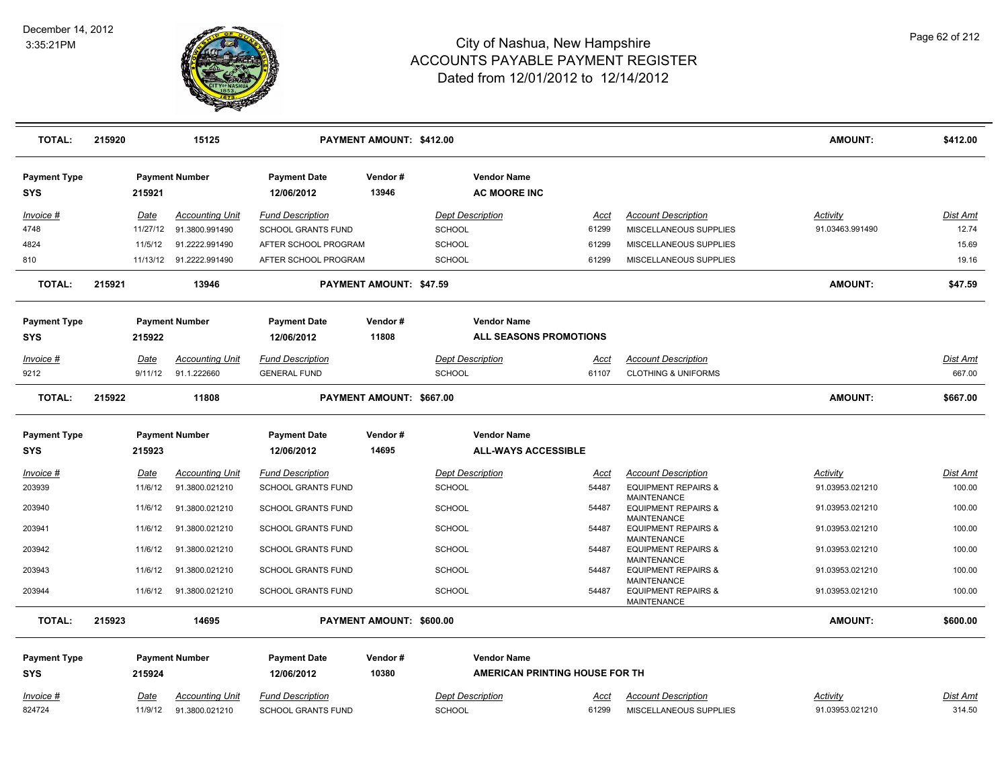

| <b>TOTAL:</b>                     | 215920      | 15125                  |                                   | PAYMENT AMOUNT: \$412.00       |                                                     |             |                                                                            | <b>AMOUNT:</b>  | \$412.00        |
|-----------------------------------|-------------|------------------------|-----------------------------------|--------------------------------|-----------------------------------------------------|-------------|----------------------------------------------------------------------------|-----------------|-----------------|
| <b>Payment Type</b><br><b>SYS</b> | 215921      | <b>Payment Number</b>  | <b>Payment Date</b><br>12/06/2012 | Vendor#<br>13946               | <b>Vendor Name</b><br><b>AC MOORE INC</b>           |             |                                                                            |                 |                 |
| Invoice #                         | Date        | <b>Accounting Unit</b> | <b>Fund Description</b>           |                                | <b>Dept Description</b>                             | Acct        | <b>Account Description</b>                                                 | Activity        | Dist Amt        |
| 4748                              | 11/27/12    | 91.3800.991490         | <b>SCHOOL GRANTS FUND</b>         |                                | <b>SCHOOL</b>                                       | 61299       | MISCELLANEOUS SUPPLIES                                                     | 91.03463.991490 | 12.74           |
| 4824                              | 11/5/12     | 91.2222.991490         | AFTER SCHOOL PROGRAM              |                                | <b>SCHOOL</b>                                       | 61299       | MISCELLANEOUS SUPPLIES                                                     |                 | 15.69           |
| 810                               | 11/13/12    | 91.2222.991490         | AFTER SCHOOL PROGRAM              |                                | <b>SCHOOL</b>                                       | 61299       | MISCELLANEOUS SUPPLIES                                                     |                 | 19.16           |
| <b>TOTAL:</b>                     | 215921      | 13946                  |                                   | <b>PAYMENT AMOUNT: \$47.59</b> |                                                     |             |                                                                            | <b>AMOUNT:</b>  | \$47.59         |
| <b>Payment Type</b><br><b>SYS</b> | 215922      | <b>Payment Number</b>  | <b>Payment Date</b><br>12/06/2012 | Vendor#<br>11808               | <b>Vendor Name</b><br><b>ALL SEASONS PROMOTIONS</b> |             |                                                                            |                 |                 |
| Invoice #                         | Date        | <b>Accounting Unit</b> | <b>Fund Description</b>           |                                | <b>Dept Description</b>                             | Acct        | <b>Account Description</b>                                                 |                 | Dist Amt        |
| 9212                              | 9/11/12     | 91.1.222660            | <b>GENERAL FUND</b>               |                                | <b>SCHOOL</b>                                       | 61107       | <b>CLOTHING &amp; UNIFORMS</b>                                             |                 | 667.00          |
| <b>TOTAL:</b>                     | 215922      | 11808                  |                                   | PAYMENT AMOUNT: \$667.00       |                                                     |             |                                                                            | <b>AMOUNT:</b>  | \$667.00        |
| <b>Payment Type</b>               |             | <b>Payment Number</b>  | <b>Payment Date</b>               | Vendor#                        | <b>Vendor Name</b>                                  |             |                                                                            |                 |                 |
| <b>SYS</b>                        | 215923      |                        | 12/06/2012                        | 14695                          | <b>ALL-WAYS ACCESSIBLE</b>                          |             |                                                                            |                 |                 |
| <u>Invoice #</u>                  | <b>Date</b> | <b>Accounting Unit</b> | <b>Fund Description</b>           |                                | <b>Dept Description</b>                             | <u>Acct</u> | <b>Account Description</b>                                                 | <b>Activity</b> | <u>Dist Amt</u> |
| 203939                            | 11/6/12     | 91.3800.021210         | <b>SCHOOL GRANTS FUND</b>         |                                | <b>SCHOOL</b>                                       | 54487       | <b>EQUIPMENT REPAIRS &amp;</b>                                             | 91.03953.021210 | 100.00          |
| 203940                            | 11/6/12     | 91.3800.021210         | <b>SCHOOL GRANTS FUND</b>         |                                | <b>SCHOOL</b>                                       | 54487       | <b>MAINTENANCE</b><br><b>EQUIPMENT REPAIRS &amp;</b><br><b>MAINTENANCE</b> | 91.03953.021210 | 100.00          |
| 203941                            | 11/6/12     | 91.3800.021210         | SCHOOL GRANTS FUND                |                                | <b>SCHOOL</b>                                       | 54487       | <b>EQUIPMENT REPAIRS &amp;</b>                                             | 91.03953.021210 | 100.00          |
| 203942                            | 11/6/12     | 91.3800.021210         | SCHOOL GRANTS FUND                |                                | <b>SCHOOL</b>                                       | 54487       | <b>MAINTENANCE</b><br><b>EQUIPMENT REPAIRS &amp;</b><br><b>MAINTENANCE</b> | 91.03953.021210 | 100.00          |
| 203943                            | 11/6/12     | 91.3800.021210         | SCHOOL GRANTS FUND                |                                | SCHOOL                                              | 54487       | <b>EQUIPMENT REPAIRS &amp;</b>                                             | 91.03953.021210 | 100.00          |
| 203944                            | 11/6/12     | 91.3800.021210         | <b>SCHOOL GRANTS FUND</b>         |                                | <b>SCHOOL</b>                                       | 54487       | <b>MAINTENANCE</b><br><b>EQUIPMENT REPAIRS &amp;</b><br><b>MAINTENANCE</b> | 91.03953.021210 | 100.00          |
| <b>TOTAL:</b>                     | 215923      | 14695                  |                                   | PAYMENT AMOUNT: \$600.00       |                                                     |             |                                                                            | <b>AMOUNT:</b>  | \$600.00        |
| <b>Payment Type</b>               |             | <b>Payment Number</b>  | <b>Payment Date</b>               | Vendor#                        | <b>Vendor Name</b>                                  |             |                                                                            |                 |                 |
| <b>SYS</b>                        | 215924      |                        | 12/06/2012                        | 10380                          | AMERICAN PRINTING HOUSE FOR TH                      |             |                                                                            |                 |                 |
| Invoice #                         | Date        | <b>Accounting Unit</b> | <b>Fund Description</b>           |                                | <b>Dept Description</b>                             | Acct        | <b>Account Description</b>                                                 | Activity        | Dist Amt        |
| 824724                            | 11/9/12     | 91.3800.021210         | SCHOOL GRANTS FUND                |                                | <b>SCHOOL</b>                                       | 61299       | MISCELLANEOUS SUPPLIES                                                     | 91.03953.021210 | 314.50          |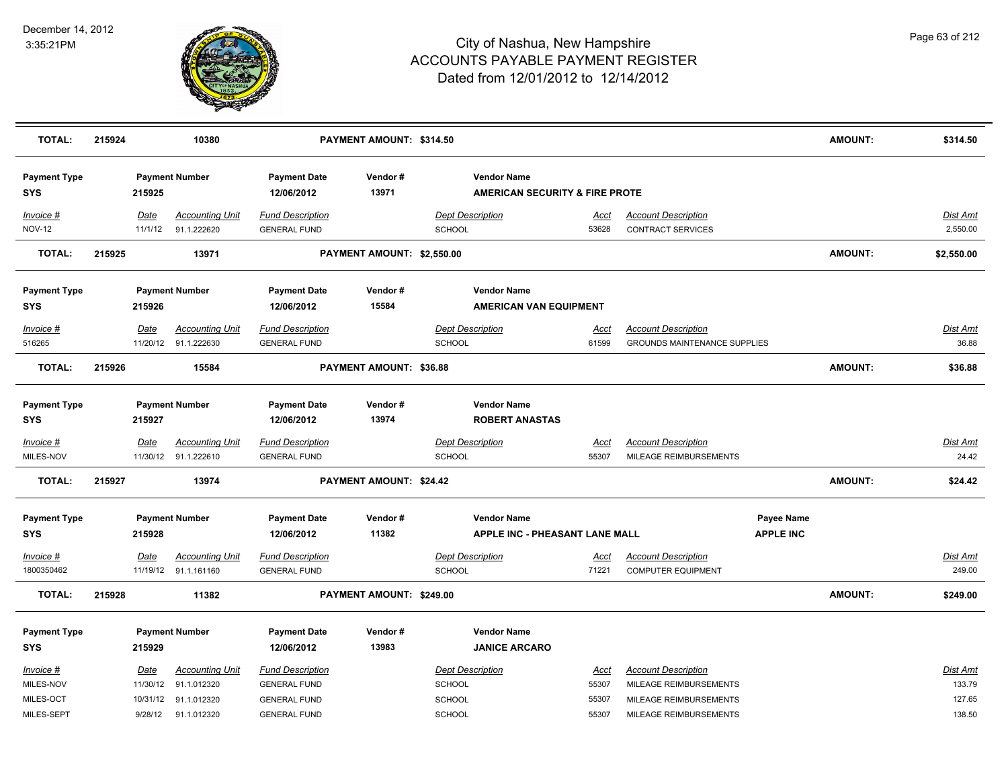

| <b>TOTAL:</b>                     | 215924 |                 | 10380                                          |                                                | PAYMENT AMOUNT: \$314.50   |                                                                 |                      |                                                         |                                | <b>AMOUNT:</b> | \$314.50             |
|-----------------------------------|--------|-----------------|------------------------------------------------|------------------------------------------------|----------------------------|-----------------------------------------------------------------|----------------------|---------------------------------------------------------|--------------------------------|----------------|----------------------|
| <b>Payment Type</b><br>SYS        |        | 215925          | <b>Payment Number</b>                          | <b>Payment Date</b><br>12/06/2012              | Vendor#<br>13971           | <b>Vendor Name</b><br><b>AMERICAN SECURITY &amp; FIRE PROTE</b> |                      |                                                         |                                |                |                      |
| Invoice #<br><b>NOV-12</b>        |        | Date<br>11/1/12 | <b>Accounting Unit</b><br>91.1.222620          | <b>Fund Description</b><br><b>GENERAL FUND</b> |                            | <b>Dept Description</b><br><b>SCHOOL</b>                        | <u>Acct</u><br>53628 | <b>Account Description</b><br><b>CONTRACT SERVICES</b>  |                                |                | Dist Amt<br>2,550.00 |
| <b>TOTAL:</b>                     | 215925 |                 | 13971                                          |                                                | PAYMENT AMOUNT: \$2,550.00 |                                                                 |                      |                                                         |                                | AMOUNT:        | \$2,550.00           |
| <b>Payment Type</b>               |        |                 | <b>Payment Number</b>                          | <b>Payment Date</b>                            | Vendor#                    | <b>Vendor Name</b>                                              |                      |                                                         |                                |                |                      |
| SYS                               |        | 215926          |                                                | 12/06/2012                                     | 15584                      | <b>AMERICAN VAN EQUIPMENT</b>                                   |                      |                                                         |                                |                |                      |
| Invoice #                         |        | Date            | <b>Accounting Unit</b>                         | <b>Fund Description</b>                        |                            | <b>Dept Description</b>                                         | Acct                 | <b>Account Description</b>                              |                                |                | Dist Amt             |
| 516265                            |        |                 | 11/20/12 91.1.222630                           | <b>GENERAL FUND</b>                            |                            | <b>SCHOOL</b>                                                   | 61599                | GROUNDS MAINTENANCE SUPPLIES                            |                                |                | 36.88                |
| <b>TOTAL:</b>                     | 215926 |                 | 15584                                          |                                                | PAYMENT AMOUNT: \$36.88    |                                                                 |                      |                                                         |                                | <b>AMOUNT:</b> | \$36.88              |
| <b>Payment Type</b><br>SYS        |        | 215927          | <b>Payment Number</b>                          | <b>Payment Date</b><br>12/06/2012              | Vendor#<br>13974           | <b>Vendor Name</b><br><b>ROBERT ANASTAS</b>                     |                      |                                                         |                                |                |                      |
|                                   |        |                 |                                                |                                                |                            |                                                                 |                      |                                                         |                                |                |                      |
| <u>Invoice #</u>                  |        | <u>Date</u>     | <b>Accounting Unit</b>                         | <b>Fund Description</b>                        |                            | <b>Dept Description</b>                                         | <u>Acct</u>          | <b>Account Description</b>                              |                                |                | Dist Amt             |
| MILES-NOV                         |        |                 | 11/30/12 91.1.222610                           | <b>GENERAL FUND</b>                            |                            | <b>SCHOOL</b>                                                   | 55307                | MILEAGE REIMBURSEMENTS                                  |                                |                | 24.42                |
| <b>TOTAL:</b>                     | 215927 |                 | 13974                                          |                                                | PAYMENT AMOUNT: \$24.42    |                                                                 |                      |                                                         |                                | <b>AMOUNT:</b> | \$24.42              |
| <b>Payment Type</b><br><b>SYS</b> |        | 215928          | <b>Payment Number</b>                          | <b>Payment Date</b><br>12/06/2012              | Vendor#<br>11382           | <b>Vendor Name</b><br><b>APPLE INC - PHEASANT LANE MALL</b>     |                      |                                                         | Payee Name<br><b>APPLE INC</b> |                |                      |
|                                   |        |                 |                                                |                                                |                            |                                                                 |                      |                                                         |                                |                |                      |
| <b>Invoice #</b><br>1800350462    |        | <u>Date</u>     | <b>Accounting Unit</b><br>11/19/12 91.1.161160 | <b>Fund Description</b><br><b>GENERAL FUND</b> |                            | <b>Dept Description</b><br><b>SCHOOL</b>                        | <u>Acct</u><br>71221 | <b>Account Description</b><br><b>COMPUTER EQUIPMENT</b> |                                |                | Dist Amt<br>249.00   |
| <b>TOTAL:</b>                     | 215928 |                 | 11382                                          |                                                | PAYMENT AMOUNT: \$249.00   |                                                                 |                      |                                                         |                                | AMOUNT:        | \$249.00             |
|                                   |        |                 |                                                |                                                |                            |                                                                 |                      |                                                         |                                |                |                      |
| <b>Payment Type</b><br><b>SYS</b> |        | 215929          | <b>Payment Number</b>                          | <b>Payment Date</b><br>12/06/2012              | Vendor#<br>13983           | <b>Vendor Name</b><br><b>JANICE ARCARO</b>                      |                      |                                                         |                                |                |                      |
|                                   |        |                 |                                                |                                                |                            |                                                                 |                      |                                                         |                                |                |                      |
| Invoice #                         |        | Date            | <b>Accounting Unit</b>                         | <b>Fund Description</b>                        |                            | <b>Dept Description</b>                                         | Acct                 | <b>Account Description</b>                              |                                |                | Dist Amt             |
| MILES-NOV                         |        | 11/30/12        | 91.1.012320                                    | <b>GENERAL FUND</b>                            |                            | <b>SCHOOL</b>                                                   | 55307                | MILEAGE REIMBURSEMENTS                                  |                                |                | 133.79               |
| MILES-OCT                         |        |                 | 10/31/12 91.1.012320                           | <b>GENERAL FUND</b>                            |                            | <b>SCHOOL</b>                                                   | 55307                | MILEAGE REIMBURSEMENTS                                  |                                |                | 127.65               |
| MILES-SEPT                        |        |                 | 9/28/12 91.1.012320                            | <b>GENERAL FUND</b>                            |                            | SCHOOL                                                          | 55307                | MILEAGE REIMBURSEMENTS                                  |                                |                | 138.50               |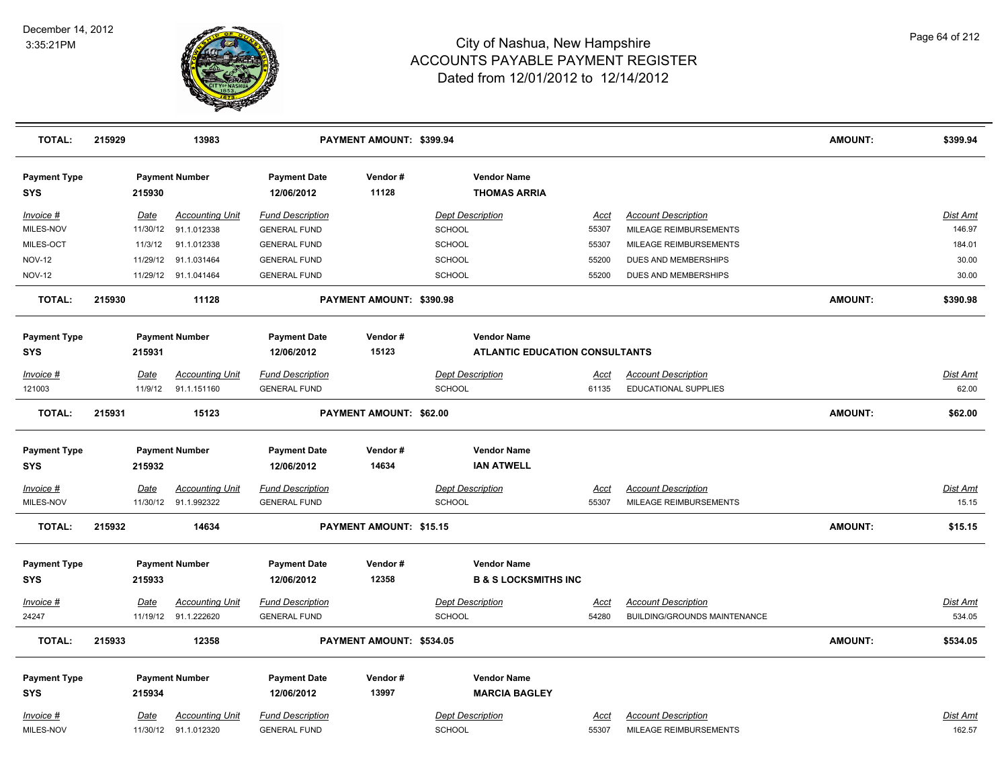

| <b>TOTAL:</b>                     | 215929 |             | 13983                  |                                   | PAYMENT AMOUNT: \$399.94 |                         |                                           |             |                                     | <b>AMOUNT:</b> | \$399.94        |
|-----------------------------------|--------|-------------|------------------------|-----------------------------------|--------------------------|-------------------------|-------------------------------------------|-------------|-------------------------------------|----------------|-----------------|
| <b>Payment Type</b><br><b>SYS</b> |        | 215930      | <b>Payment Number</b>  | <b>Payment Date</b><br>12/06/2012 | Vendor#<br>11128         |                         | <b>Vendor Name</b><br><b>THOMAS ARRIA</b> |             |                                     |                |                 |
| Invoice #                         |        | <u>Date</u> | <b>Accounting Unit</b> | <b>Fund Description</b>           |                          | <b>Dept Description</b> |                                           | <u>Acct</u> | <b>Account Description</b>          |                | Dist Amt        |
| MILES-NOV                         |        | 11/30/12    | 91.1.012338            | <b>GENERAL FUND</b>               |                          | <b>SCHOOL</b>           |                                           | 55307       | MILEAGE REIMBURSEMENTS              |                | 146.97          |
| MILES-OCT                         |        | 11/3/12     | 91.1.012338            | <b>GENERAL FUND</b>               |                          | SCHOOL                  |                                           | 55307       | MILEAGE REIMBURSEMENTS              |                | 184.01          |
| <b>NOV-12</b>                     |        | 11/29/12    | 91.1.031464            | <b>GENERAL FUND</b>               |                          | SCHOOL                  |                                           | 55200       | DUES AND MEMBERSHIPS                |                | 30.00           |
| <b>NOV-12</b>                     |        |             | 11/29/12 91.1.041464   | <b>GENERAL FUND</b>               |                          | <b>SCHOOL</b>           |                                           | 55200       | DUES AND MEMBERSHIPS                |                | 30.00           |
| <b>TOTAL:</b>                     | 215930 |             | 11128                  |                                   | PAYMENT AMOUNT: \$390.98 |                         |                                           |             |                                     | <b>AMOUNT:</b> | \$390.98        |
| <b>Payment Type</b>               |        |             | <b>Payment Number</b>  | <b>Payment Date</b>               | Vendor#                  |                         | <b>Vendor Name</b>                        |             |                                     |                |                 |
| <b>SYS</b>                        |        | 215931      |                        | 12/06/2012                        | 15123                    |                         | <b>ATLANTIC EDUCATION CONSULTANTS</b>     |             |                                     |                |                 |
| <b>Invoice #</b>                  |        | <b>Date</b> | <b>Accounting Unit</b> | <b>Fund Description</b>           |                          | <b>Dept Description</b> |                                           | <u>Acct</u> | <b>Account Description</b>          |                | Dist Amt        |
| 121003                            |        | 11/9/12     | 91.1.151160            | <b>GENERAL FUND</b>               |                          | SCHOOL                  |                                           | 61135       | <b>EDUCATIONAL SUPPLIES</b>         |                | 62.00           |
| <b>TOTAL:</b>                     | 215931 |             | 15123                  |                                   | PAYMENT AMOUNT: \$62.00  |                         |                                           |             |                                     | <b>AMOUNT:</b> | \$62.00         |
| <b>Payment Type</b>               |        |             | <b>Payment Number</b>  | <b>Payment Date</b>               | Vendor#                  |                         | <b>Vendor Name</b>                        |             |                                     |                |                 |
| <b>SYS</b>                        |        | 215932      |                        | 12/06/2012                        | 14634                    |                         | <b>IAN ATWELL</b>                         |             |                                     |                |                 |
| Invoice #                         |        | <u>Date</u> | <u>Accounting Unit</u> | <b>Fund Description</b>           |                          | <b>Dept Description</b> |                                           | <u>Acct</u> | <b>Account Description</b>          |                | Dist Amt        |
| MILES-NOV                         |        |             | 11/30/12 91.1.992322   | <b>GENERAL FUND</b>               |                          | SCHOOL                  |                                           | 55307       | MILEAGE REIMBURSEMENTS              |                | 15.15           |
| <b>TOTAL:</b>                     | 215932 |             | 14634                  |                                   | PAYMENT AMOUNT: \$15.15  |                         |                                           |             |                                     | <b>AMOUNT:</b> | \$15.15         |
| <b>Payment Type</b>               |        |             | <b>Payment Number</b>  | <b>Payment Date</b>               | Vendor#                  |                         | <b>Vendor Name</b>                        |             |                                     |                |                 |
| <b>SYS</b>                        |        | 215933      |                        | 12/06/2012                        | 12358                    |                         | <b>B &amp; S LOCKSMITHS INC</b>           |             |                                     |                |                 |
| Invoice #                         |        | <b>Date</b> | <b>Accounting Unit</b> | <b>Fund Description</b>           |                          | <b>Dept Description</b> |                                           | <u>Acct</u> | <b>Account Description</b>          |                | Dist Amt        |
| 24247                             |        |             | 11/19/12 91.1.222620   | <b>GENERAL FUND</b>               |                          | <b>SCHOOL</b>           |                                           | 54280       | <b>BUILDING/GROUNDS MAINTENANCE</b> |                | 534.05          |
| <b>TOTAL:</b>                     | 215933 |             | 12358                  |                                   | PAYMENT AMOUNT: \$534.05 |                         |                                           |             |                                     | <b>AMOUNT:</b> | \$534.05        |
| <b>Payment Type</b>               |        |             | <b>Payment Number</b>  | <b>Payment Date</b>               | Vendor#                  |                         | <b>Vendor Name</b>                        |             |                                     |                |                 |
| <b>SYS</b>                        |        | 215934      |                        | 12/06/2012                        | 13997                    |                         | <b>MARCIA BAGLEY</b>                      |             |                                     |                |                 |
|                                   |        |             |                        |                                   |                          |                         |                                           |             |                                     |                |                 |
| Invoice #                         |        | <b>Date</b> | <b>Accounting Unit</b> | <b>Fund Description</b>           |                          | <b>Dept Description</b> |                                           | Acct        | <b>Account Description</b>          |                | <u>Dist Amt</u> |
| MILES-NOV                         |        |             | 11/30/12 91.1.012320   | <b>GENERAL FUND</b>               |                          | SCHOOL                  |                                           | 55307       | MILEAGE REIMBURSEMENTS              |                | 162.57          |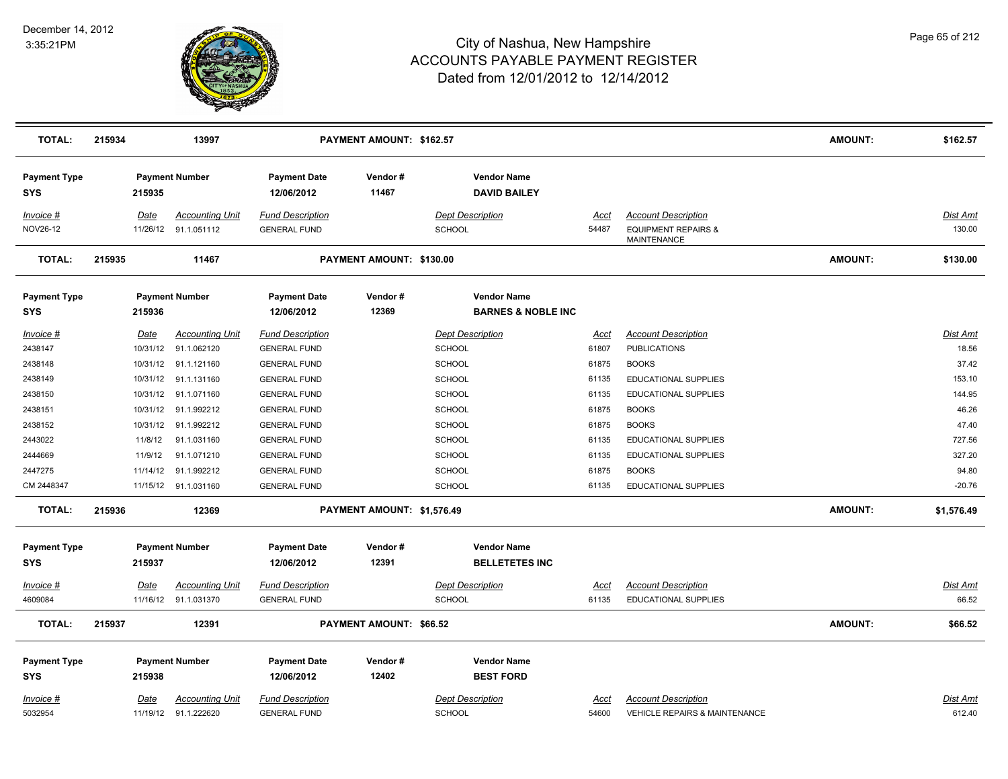

| <b>TOTAL:</b>                     | 215934 |                         | 13997                                          |                                                | PAYMENT AMOUNT: \$162.57   |                                                     |                      |                                                                                    | <b>AMOUNT:</b> | \$162.57                 |
|-----------------------------------|--------|-------------------------|------------------------------------------------|------------------------------------------------|----------------------------|-----------------------------------------------------|----------------------|------------------------------------------------------------------------------------|----------------|--------------------------|
| <b>Payment Type</b><br><b>SYS</b> |        | 215935                  | <b>Payment Number</b>                          | <b>Payment Date</b><br>12/06/2012              | Vendor#<br>11467           | <b>Vendor Name</b><br><b>DAVID BAILEY</b>           |                      |                                                                                    |                |                          |
| Invoice #<br>NOV26-12             |        | Date                    | <b>Accounting Unit</b><br>11/26/12 91.1.051112 | <b>Fund Description</b><br><b>GENERAL FUND</b> |                            | <b>Dept Description</b><br><b>SCHOOL</b>            | Acct<br>54487        | <b>Account Description</b><br><b>EQUIPMENT REPAIRS &amp;</b><br><b>MAINTENANCE</b> |                | Dist Amt<br>130.00       |
| <b>TOTAL:</b>                     | 215935 |                         | 11467                                          |                                                | PAYMENT AMOUNT: \$130.00   |                                                     |                      |                                                                                    | <b>AMOUNT:</b> | \$130.00                 |
| <b>Payment Type</b><br><b>SYS</b> |        | 215936                  | <b>Payment Number</b>                          | <b>Payment Date</b><br>12/06/2012              | Vendor#<br>12369           | <b>Vendor Name</b><br><b>BARNES &amp; NOBLE INC</b> |                      |                                                                                    |                |                          |
| Invoice #<br>2438147              |        | <b>Date</b><br>10/31/12 | <b>Accounting Unit</b><br>91.1.062120          | <b>Fund Description</b><br><b>GENERAL FUND</b> |                            | <b>Dept Description</b><br><b>SCHOOL</b>            | <u>Acct</u><br>61807 | <b>Account Description</b><br><b>PUBLICATIONS</b>                                  |                | <b>Dist Amt</b><br>18.56 |
| 2438148                           |        |                         | 10/31/12 91.1.121160                           | <b>GENERAL FUND</b>                            |                            | <b>SCHOOL</b>                                       | 61875                | <b>BOOKS</b>                                                                       |                | 37.42                    |
| 2438149                           |        | 10/31/12                | 91.1.131160                                    | <b>GENERAL FUND</b>                            |                            | <b>SCHOOL</b>                                       | 61135                | EDUCATIONAL SUPPLIES                                                               |                | 153.10                   |
| 2438150                           |        |                         | 10/31/12 91.1.071160                           | <b>GENERAL FUND</b>                            |                            | <b>SCHOOL</b>                                       | 61135                | EDUCATIONAL SUPPLIES                                                               |                | 144.95                   |
| 2438151                           |        | 10/31/12                | 91.1.992212                                    | <b>GENERAL FUND</b>                            |                            | <b>SCHOOL</b>                                       | 61875                | <b>BOOKS</b>                                                                       |                | 46.26                    |
| 2438152                           |        | 10/31/12                | 91.1.992212                                    | <b>GENERAL FUND</b>                            |                            | <b>SCHOOL</b>                                       | 61875                | <b>BOOKS</b>                                                                       |                | 47.40                    |
| 2443022                           |        | 11/8/12                 | 91.1.031160                                    | <b>GENERAL FUND</b>                            |                            | <b>SCHOOL</b>                                       | 61135                | EDUCATIONAL SUPPLIES                                                               |                | 727.56                   |
| 2444669                           |        | 11/9/12                 | 91.1.071210                                    | <b>GENERAL FUND</b>                            |                            | <b>SCHOOL</b>                                       | 61135                | <b>EDUCATIONAL SUPPLIES</b>                                                        |                | 327.20                   |
| 2447275                           |        | 11/14/12                | 91.1.992212                                    | <b>GENERAL FUND</b>                            |                            | <b>SCHOOL</b>                                       | 61875                | <b>BOOKS</b>                                                                       |                | 94.80                    |
| CM 2448347                        |        |                         | 11/15/12 91.1.031160                           | <b>GENERAL FUND</b>                            |                            | <b>SCHOOL</b>                                       | 61135                | EDUCATIONAL SUPPLIES                                                               |                | $-20.76$                 |
| <b>TOTAL:</b>                     | 215936 |                         | 12369                                          |                                                | PAYMENT AMOUNT: \$1,576.49 |                                                     |                      |                                                                                    | <b>AMOUNT:</b> | \$1,576.49               |
| <b>Payment Type</b><br><b>SYS</b> |        | 215937                  | <b>Payment Number</b>                          | <b>Payment Date</b><br>12/06/2012              | Vendor#<br>12391           | <b>Vendor Name</b><br><b>BELLETETES INC</b>         |                      |                                                                                    |                |                          |
| Invoice #                         |        | Date                    | Accounting Unit                                | <b>Fund Description</b>                        |                            | <b>Dept Description</b>                             | Acct                 | <b>Account Description</b>                                                         |                | Dist Amt                 |
| 4609084                           |        |                         | 11/16/12 91.1.031370                           | <b>GENERAL FUND</b>                            |                            | <b>SCHOOL</b>                                       | 61135                | <b>EDUCATIONAL SUPPLIES</b>                                                        |                | 66.52                    |
| <b>TOTAL:</b>                     | 215937 |                         | 12391                                          |                                                | PAYMENT AMOUNT: \$66.52    |                                                     |                      |                                                                                    | <b>AMOUNT:</b> | \$66.52                  |
| <b>Payment Type</b><br><b>SYS</b> |        | 215938                  | <b>Payment Number</b>                          | <b>Payment Date</b><br>12/06/2012              | Vendor#<br>12402           | <b>Vendor Name</b><br><b>BEST FORD</b>              |                      |                                                                                    |                |                          |
| Invoice #<br>5032954              |        | <u>Date</u>             | <b>Accounting Unit</b><br>11/19/12 91.1.222620 | <b>Fund Description</b><br><b>GENERAL FUND</b> |                            | <b>Dept Description</b><br><b>SCHOOL</b>            | <u>Acct</u><br>54600 | <b>Account Description</b><br><b>VEHICLE REPAIRS &amp; MAINTENANCE</b>             |                | Dist Amt<br>612.40       |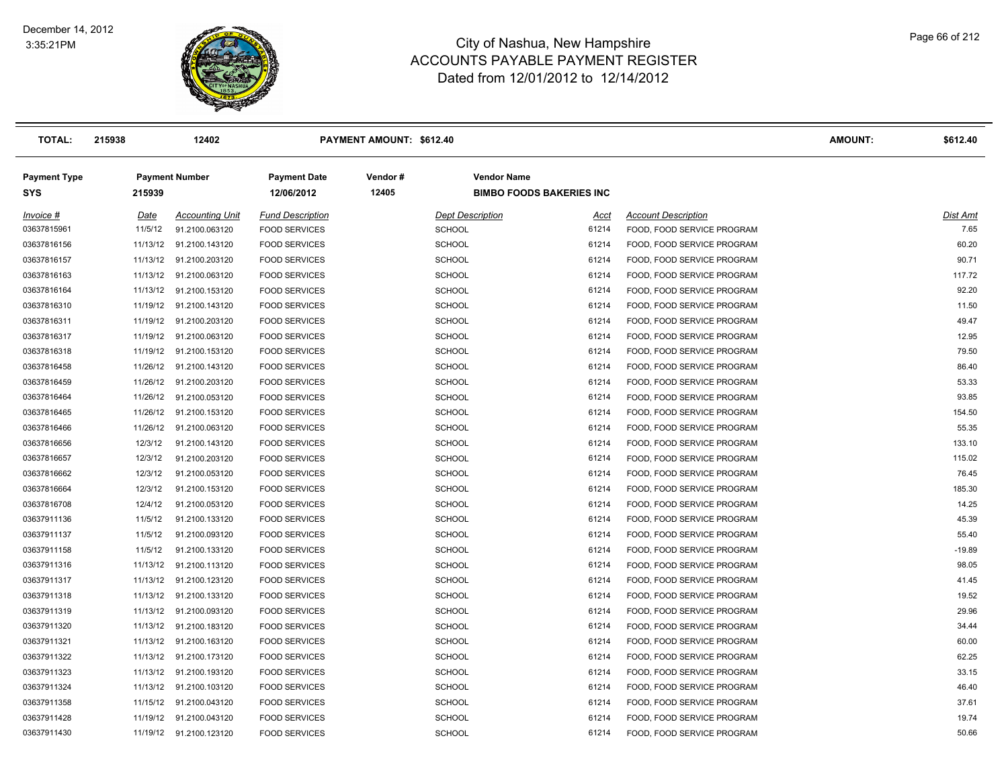

| <b>TOTAL:</b>                     | 215938   | 12402                   |                                   | PAYMENT AMOUNT: \$612.40 |                         |                                 |                            | AMOUNT: | \$612.40 |
|-----------------------------------|----------|-------------------------|-----------------------------------|--------------------------|-------------------------|---------------------------------|----------------------------|---------|----------|
| <b>Payment Type</b><br><b>SYS</b> | 215939   | <b>Payment Number</b>   | <b>Payment Date</b><br>12/06/2012 | Vendor#<br>12405         | <b>Vendor Name</b>      | <b>BIMBO FOODS BAKERIES INC</b> |                            |         |          |
| Invoice #                         | Date     | <b>Accounting Unit</b>  | <b>Fund Description</b>           |                          | <b>Dept Description</b> | Acct                            | <b>Account Description</b> |         | Dist Amt |
| 03637815961                       | 11/5/12  | 91.2100.063120          | <b>FOOD SERVICES</b>              |                          | <b>SCHOOL</b>           | 61214                           | FOOD, FOOD SERVICE PROGRAM |         | 7.65     |
| 03637816156                       | 11/13/12 | 91.2100.143120          | <b>FOOD SERVICES</b>              |                          | <b>SCHOOL</b>           | 61214                           | FOOD, FOOD SERVICE PROGRAM |         | 60.20    |
| 03637816157                       | 11/13/12 | 91.2100.203120          | <b>FOOD SERVICES</b>              |                          | <b>SCHOOL</b>           | 61214                           | FOOD, FOOD SERVICE PROGRAM |         | 90.71    |
| 03637816163                       | 11/13/12 | 91.2100.063120          | <b>FOOD SERVICES</b>              |                          | <b>SCHOOL</b>           | 61214                           | FOOD, FOOD SERVICE PROGRAM |         | 117.72   |
| 03637816164                       | 11/13/12 | 91.2100.153120          | <b>FOOD SERVICES</b>              |                          | <b>SCHOOL</b>           | 61214                           | FOOD, FOOD SERVICE PROGRAM |         | 92.20    |
| 03637816310                       | 11/19/12 | 91.2100.143120          | <b>FOOD SERVICES</b>              |                          | <b>SCHOOL</b>           | 61214                           | FOOD, FOOD SERVICE PROGRAM |         | 11.50    |
| 03637816311                       | 11/19/12 | 91.2100.203120          | <b>FOOD SERVICES</b>              |                          | SCHOOL                  | 61214                           | FOOD, FOOD SERVICE PROGRAM |         | 49.47    |
| 03637816317                       | 11/19/12 | 91.2100.063120          | <b>FOOD SERVICES</b>              |                          | <b>SCHOOL</b>           | 61214                           | FOOD, FOOD SERVICE PROGRAM |         | 12.95    |
| 03637816318                       | 11/19/12 | 91.2100.153120          | <b>FOOD SERVICES</b>              |                          | <b>SCHOOL</b>           | 61214                           | FOOD, FOOD SERVICE PROGRAM |         | 79.50    |
| 03637816458                       | 11/26/12 | 91.2100.143120          | <b>FOOD SERVICES</b>              |                          | SCHOOL                  | 61214                           | FOOD, FOOD SERVICE PROGRAM |         | 86.40    |
| 03637816459                       | 11/26/12 | 91.2100.203120          | <b>FOOD SERVICES</b>              |                          | SCHOOL                  | 61214                           | FOOD, FOOD SERVICE PROGRAM |         | 53.33    |
| 03637816464                       | 11/26/12 | 91.2100.053120          | <b>FOOD SERVICES</b>              |                          | <b>SCHOOL</b>           | 61214                           | FOOD, FOOD SERVICE PROGRAM |         | 93.85    |
| 03637816465                       | 11/26/12 | 91.2100.153120          | <b>FOOD SERVICES</b>              |                          | <b>SCHOOL</b>           | 61214                           | FOOD, FOOD SERVICE PROGRAM |         | 154.50   |
| 03637816466                       | 11/26/12 | 91.2100.063120          | <b>FOOD SERVICES</b>              |                          | SCHOOL                  | 61214                           | FOOD, FOOD SERVICE PROGRAM |         | 55.35    |
| 03637816656                       | 12/3/12  | 91.2100.143120          | <b>FOOD SERVICES</b>              |                          | <b>SCHOOL</b>           | 61214                           | FOOD, FOOD SERVICE PROGRAM |         | 133.10   |
| 03637816657                       | 12/3/12  | 91.2100.203120          | <b>FOOD SERVICES</b>              |                          | <b>SCHOOL</b>           | 61214                           | FOOD, FOOD SERVICE PROGRAM |         | 115.02   |
| 03637816662                       | 12/3/12  | 91.2100.053120          | <b>FOOD SERVICES</b>              |                          | SCHOOL                  | 61214                           | FOOD, FOOD SERVICE PROGRAM |         | 76.45    |
| 03637816664                       | 12/3/12  | 91.2100.153120          | <b>FOOD SERVICES</b>              |                          | SCHOOL                  | 61214                           | FOOD, FOOD SERVICE PROGRAM |         | 185.30   |
| 03637816708                       | 12/4/12  | 91.2100.053120          | <b>FOOD SERVICES</b>              |                          | <b>SCHOOL</b>           | 61214                           | FOOD, FOOD SERVICE PROGRAM |         | 14.25    |
| 03637911136                       | 11/5/12  | 91.2100.133120          | <b>FOOD SERVICES</b>              |                          | <b>SCHOOL</b>           | 61214                           | FOOD, FOOD SERVICE PROGRAM |         | 45.39    |
| 03637911137                       | 11/5/12  | 91.2100.093120          | <b>FOOD SERVICES</b>              |                          | SCHOOL                  | 61214                           | FOOD, FOOD SERVICE PROGRAM |         | 55.40    |
| 03637911158                       | 11/5/12  | 91.2100.133120          | <b>FOOD SERVICES</b>              |                          | <b>SCHOOL</b>           | 61214                           | FOOD, FOOD SERVICE PROGRAM |         | $-19.89$ |
| 03637911316                       | 11/13/12 | 91.2100.113120          | <b>FOOD SERVICES</b>              |                          | <b>SCHOOL</b>           | 61214                           | FOOD, FOOD SERVICE PROGRAM |         | 98.05    |
| 03637911317                       | 11/13/12 | 91.2100.123120          | <b>FOOD SERVICES</b>              |                          | <b>SCHOOL</b>           | 61214                           | FOOD, FOOD SERVICE PROGRAM |         | 41.45    |
| 03637911318                       | 11/13/12 | 91.2100.133120          | <b>FOOD SERVICES</b>              |                          | <b>SCHOOL</b>           | 61214                           | FOOD, FOOD SERVICE PROGRAM |         | 19.52    |
| 03637911319                       | 11/13/12 | 91.2100.093120          | <b>FOOD SERVICES</b>              |                          | SCHOOL                  | 61214                           | FOOD, FOOD SERVICE PROGRAM |         | 29.96    |
| 03637911320                       | 11/13/12 | 91.2100.183120          | <b>FOOD SERVICES</b>              |                          | <b>SCHOOL</b>           | 61214                           | FOOD, FOOD SERVICE PROGRAM |         | 34.44    |
| 03637911321                       | 11/13/12 | 91.2100.163120          | <b>FOOD SERVICES</b>              |                          | <b>SCHOOL</b>           | 61214                           | FOOD, FOOD SERVICE PROGRAM |         | 60.00    |
| 03637911322                       | 11/13/12 | 91.2100.173120          | <b>FOOD SERVICES</b>              |                          | <b>SCHOOL</b>           | 61214                           | FOOD, FOOD SERVICE PROGRAM |         | 62.25    |
| 03637911323                       | 11/13/12 | 91.2100.193120          | <b>FOOD SERVICES</b>              |                          | <b>SCHOOL</b>           | 61214                           | FOOD, FOOD SERVICE PROGRAM |         | 33.15    |
| 03637911324                       | 11/13/12 | 91.2100.103120          | <b>FOOD SERVICES</b>              |                          | <b>SCHOOL</b>           | 61214                           | FOOD, FOOD SERVICE PROGRAM |         | 46.40    |
| 03637911358                       | 11/15/12 | 91.2100.043120          | <b>FOOD SERVICES</b>              |                          | <b>SCHOOL</b>           | 61214                           | FOOD, FOOD SERVICE PROGRAM |         | 37.61    |
| 03637911428                       | 11/19/12 | 91.2100.043120          | <b>FOOD SERVICES</b>              |                          | <b>SCHOOL</b>           | 61214                           | FOOD, FOOD SERVICE PROGRAM |         | 19.74    |
| 03637911430                       |          | 11/19/12 91.2100.123120 | <b>FOOD SERVICES</b>              |                          | <b>SCHOOL</b>           | 61214                           | FOOD, FOOD SERVICE PROGRAM |         | 50.66    |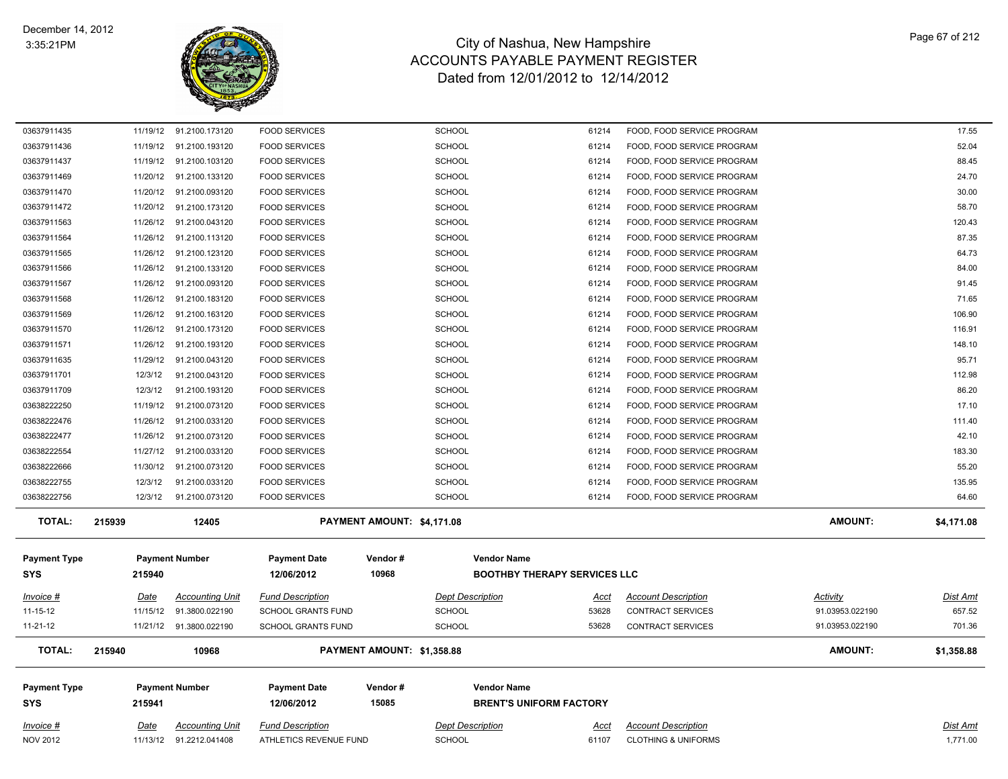

| 03637911435         | 11/19/12 | 91.2100.173120           | <b>FOOD SERVICES</b>      |                            | <b>SCHOOL</b>           | 61214                               | FOOD, FOOD SERVICE PROGRAM     |                 | 17.55           |
|---------------------|----------|--------------------------|---------------------------|----------------------------|-------------------------|-------------------------------------|--------------------------------|-----------------|-----------------|
| 03637911436         |          | 11/19/12 91.2100.193120  | <b>FOOD SERVICES</b>      |                            | <b>SCHOOL</b>           | 61214                               | FOOD, FOOD SERVICE PROGRAM     |                 | 52.04           |
| 03637911437         |          | 11/19/12 91.2100.103120  | <b>FOOD SERVICES</b>      |                            | <b>SCHOOL</b>           | 61214                               | FOOD, FOOD SERVICE PROGRAM     |                 | 88.45           |
| 03637911469         |          | 11/20/12 91.2100.133120  | <b>FOOD SERVICES</b>      |                            | <b>SCHOOL</b>           | 61214                               | FOOD, FOOD SERVICE PROGRAM     |                 | 24.70           |
| 03637911470         |          | 11/20/12 91.2100.093120  | <b>FOOD SERVICES</b>      |                            | <b>SCHOOL</b>           | 61214                               | FOOD, FOOD SERVICE PROGRAM     |                 | 30.00           |
| 03637911472         |          | 11/20/12 91.2100.173120  | <b>FOOD SERVICES</b>      |                            | <b>SCHOOL</b>           | 61214                               | FOOD, FOOD SERVICE PROGRAM     |                 | 58.70           |
| 03637911563         |          | 11/26/12 91.2100.043120  | <b>FOOD SERVICES</b>      |                            | <b>SCHOOL</b>           | 61214                               | FOOD, FOOD SERVICE PROGRAM     |                 | 120.43          |
| 03637911564         |          | 11/26/12 91.2100.113120  | <b>FOOD SERVICES</b>      |                            | <b>SCHOOL</b>           | 61214                               | FOOD, FOOD SERVICE PROGRAM     |                 | 87.35           |
| 03637911565         |          | 11/26/12 91.2100.123120  | <b>FOOD SERVICES</b>      |                            | <b>SCHOOL</b>           | 61214                               | FOOD, FOOD SERVICE PROGRAM     |                 | 64.73           |
| 03637911566         |          | 11/26/12 91.2100.133120  | <b>FOOD SERVICES</b>      |                            | <b>SCHOOL</b>           | 61214                               | FOOD, FOOD SERVICE PROGRAM     |                 | 84.00           |
| 03637911567         |          | 11/26/12 91.2100.093120  | <b>FOOD SERVICES</b>      |                            | <b>SCHOOL</b>           | 61214                               | FOOD, FOOD SERVICE PROGRAM     |                 | 91.45           |
| 03637911568         |          | 11/26/12 91.2100.183120  | <b>FOOD SERVICES</b>      |                            | <b>SCHOOL</b>           | 61214                               | FOOD, FOOD SERVICE PROGRAM     |                 | 71.65           |
| 03637911569         |          | 11/26/12 91.2100.163120  | <b>FOOD SERVICES</b>      |                            | <b>SCHOOL</b>           | 61214                               | FOOD, FOOD SERVICE PROGRAM     |                 | 106.90          |
| 03637911570         |          | 11/26/12 91.2100.173120  | <b>FOOD SERVICES</b>      |                            | <b>SCHOOL</b>           | 61214                               | FOOD, FOOD SERVICE PROGRAM     |                 | 116.91          |
| 03637911571         |          | 11/26/12 91.2100.193120  | <b>FOOD SERVICES</b>      |                            | <b>SCHOOL</b>           | 61214                               | FOOD, FOOD SERVICE PROGRAM     |                 | 148.10          |
| 03637911635         | 11/29/12 | 91.2100.043120           | <b>FOOD SERVICES</b>      |                            | <b>SCHOOL</b>           | 61214                               | FOOD, FOOD SERVICE PROGRAM     |                 | 95.71           |
| 03637911701         | 12/3/12  | 91.2100.043120           | <b>FOOD SERVICES</b>      |                            | <b>SCHOOL</b>           | 61214                               | FOOD, FOOD SERVICE PROGRAM     |                 | 112.98          |
| 03637911709         | 12/3/12  | 91.2100.193120           | <b>FOOD SERVICES</b>      |                            | <b>SCHOOL</b>           | 61214                               | FOOD, FOOD SERVICE PROGRAM     |                 | 86.20           |
| 03638222250         | 11/19/12 | 91.2100.073120           | <b>FOOD SERVICES</b>      |                            | <b>SCHOOL</b>           | 61214                               | FOOD, FOOD SERVICE PROGRAM     |                 | 17.10           |
| 03638222476         |          | 11/26/12 91.2100.033120  | <b>FOOD SERVICES</b>      |                            | <b>SCHOOL</b>           | 61214                               | FOOD, FOOD SERVICE PROGRAM     |                 | 111.40          |
| 03638222477         | 11/26/12 | 91.2100.073120           | <b>FOOD SERVICES</b>      |                            | <b>SCHOOL</b>           | 61214                               | FOOD, FOOD SERVICE PROGRAM     |                 | 42.10           |
| 03638222554         | 11/27/12 | 91.2100.033120           | <b>FOOD SERVICES</b>      |                            | <b>SCHOOL</b>           | 61214                               | FOOD, FOOD SERVICE PROGRAM     |                 | 183.30          |
| 03638222666         |          | 11/30/12 91.2100.073120  | <b>FOOD SERVICES</b>      |                            | <b>SCHOOL</b>           | 61214                               | FOOD, FOOD SERVICE PROGRAM     |                 | 55.20           |
| 03638222755         | 12/3/12  | 91.2100.033120           | <b>FOOD SERVICES</b>      |                            | <b>SCHOOL</b>           | 61214                               | FOOD, FOOD SERVICE PROGRAM     |                 | 135.95          |
| 03638222756         | 12/3/12  | 91.2100.073120           | <b>FOOD SERVICES</b>      |                            | <b>SCHOOL</b>           | 61214                               | FOOD, FOOD SERVICE PROGRAM     |                 | 64.60           |
| <b>TOTAL:</b>       | 215939   | 12405                    |                           | PAYMENT AMOUNT: \$4,171.08 |                         |                                     |                                | <b>AMOUNT:</b>  | \$4,171.08      |
|                     |          |                          |                           | Vendor#                    | <b>Vendor Name</b>      |                                     |                                |                 |                 |
| <b>Payment Type</b> |          | <b>Payment Number</b>    | <b>Payment Date</b>       | 10968                      |                         |                                     |                                |                 |                 |
| <b>SYS</b>          | 215940   |                          | 12/06/2012                |                            |                         | <b>BOOTHBY THERAPY SERVICES LLC</b> |                                |                 |                 |
| Invoice #           | Date     | <b>Accounting Unit</b>   | <b>Fund Description</b>   |                            | <b>Dept Description</b> | Acct                                | <b>Account Description</b>     | Activity        | <b>Dist Amt</b> |
| $11 - 15 - 12$      | 11/15/12 | 91.3800.022190           | <b>SCHOOL GRANTS FUND</b> |                            | <b>SCHOOL</b>           | 53628                               | <b>CONTRACT SERVICES</b>       | 91.03953.022190 | 657.52          |
| 11-21-12            |          | 11/21/12  91.3800.022190 | <b>SCHOOL GRANTS FUND</b> |                            | <b>SCHOOL</b>           | 53628                               | <b>CONTRACT SERVICES</b>       | 91.03953.022190 | 701.36          |
| <b>TOTAL:</b>       | 215940   | 10968                    |                           | PAYMENT AMOUNT: \$1,358.88 |                         |                                     |                                | <b>AMOUNT:</b>  | \$1,358.88      |
| <b>Payment Type</b> |          | <b>Payment Number</b>    | <b>Payment Date</b>       | Vendor#                    | <b>Vendor Name</b>      |                                     |                                |                 |                 |
| <b>SYS</b>          | 215941   |                          | 12/06/2012                | 15085                      |                         | <b>BRENT'S UNIFORM FACTORY</b>      |                                |                 |                 |
|                     |          |                          |                           |                            |                         |                                     |                                |                 |                 |
| Invoice #           | Date     | <b>Accounting Unit</b>   | <b>Fund Description</b>   |                            | <b>Dept Description</b> | Acct                                | <b>Account Description</b>     |                 | <b>Dist Amt</b> |
| <b>NOV 2012</b>     |          | 11/13/12 91.2212.041408  | ATHLETICS REVENUE FUND    |                            | <b>SCHOOL</b>           | 61107                               | <b>CLOTHING &amp; UNIFORMS</b> |                 | 1,771.00        |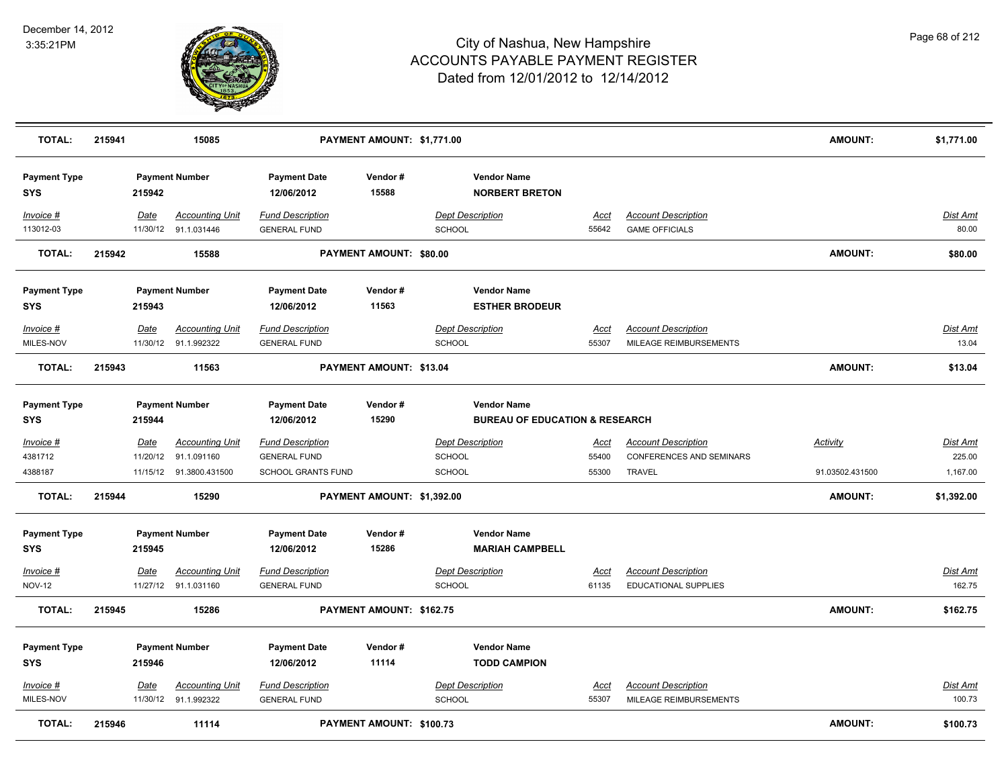

| <b>TOTAL:</b>                     | 215941 |                  | 15085                                          |                                                | PAYMENT AMOUNT: \$1,771.00 |                                          |                                                                 |                      |                                                           | <b>AMOUNT:</b>  | \$1,771.00                |
|-----------------------------------|--------|------------------|------------------------------------------------|------------------------------------------------|----------------------------|------------------------------------------|-----------------------------------------------------------------|----------------------|-----------------------------------------------------------|-----------------|---------------------------|
| <b>Payment Type</b><br><b>SYS</b> |        | 215942           | <b>Payment Number</b>                          | <b>Payment Date</b><br>12/06/2012              | Vendor#<br>15588           |                                          | <b>Vendor Name</b><br><b>NORBERT BRETON</b>                     |                      |                                                           |                 |                           |
| Invoice #<br>113012-03            |        | Date             | <b>Accounting Unit</b><br>11/30/12 91.1.031446 | <b>Fund Description</b><br><b>GENERAL FUND</b> |                            | <b>Dept Description</b><br><b>SCHOOL</b> |                                                                 | Acct<br>55642        | <b>Account Description</b><br><b>GAME OFFICIALS</b>       |                 | Dist Amt<br>80.00         |
| <b>TOTAL:</b>                     | 215942 |                  | 15588                                          |                                                | PAYMENT AMOUNT: \$80.00    |                                          |                                                                 |                      |                                                           | <b>AMOUNT:</b>  | \$80.00                   |
| <b>Payment Type</b><br><b>SYS</b> |        | 215943           | <b>Payment Number</b>                          | <b>Payment Date</b><br>12/06/2012              | Vendor#<br>11563           |                                          | <b>Vendor Name</b><br><b>ESTHER BRODEUR</b>                     |                      |                                                           |                 |                           |
| Invoice #<br>MILES-NOV            |        | Date             | <b>Accounting Unit</b><br>11/30/12 91.1.992322 | <b>Fund Description</b><br><b>GENERAL FUND</b> |                            | <b>Dept Description</b><br><b>SCHOOL</b> |                                                                 | Acct<br>55307        | <b>Account Description</b><br>MILEAGE REIMBURSEMENTS      |                 | Dist Amt<br>13.04         |
| <b>TOTAL:</b>                     | 215943 |                  | 11563                                          |                                                | PAYMENT AMOUNT: \$13.04    |                                          |                                                                 |                      |                                                           | <b>AMOUNT:</b>  | \$13.04                   |
| <b>Payment Type</b><br><b>SYS</b> |        | 215944           | <b>Payment Number</b>                          | <b>Payment Date</b><br>12/06/2012              | Vendor#<br>15290           |                                          | <b>Vendor Name</b><br><b>BUREAU OF EDUCATION &amp; RESEARCH</b> |                      |                                                           |                 |                           |
| $Invoice$ #<br>4381712            |        | Date<br>11/20/12 | <b>Accounting Unit</b><br>91.1.091160          | <b>Fund Description</b><br><b>GENERAL FUND</b> |                            | <b>Dept Description</b><br>SCHOOL        |                                                                 | <u>Acct</u><br>55400 | <b>Account Description</b><br>CONFERENCES AND SEMINARS    | <b>Activity</b> | <b>Dist Amt</b><br>225.00 |
| 4388187                           |        |                  | 11/15/12  91.3800.431500                       | <b>SCHOOL GRANTS FUND</b>                      |                            | <b>SCHOOL</b>                            |                                                                 | 55300                | <b>TRAVEL</b>                                             | 91.03502.431500 | 1,167.00                  |
| <b>TOTAL:</b>                     | 215944 |                  | 15290                                          |                                                | PAYMENT AMOUNT: \$1,392.00 |                                          |                                                                 |                      |                                                           | <b>AMOUNT:</b>  | \$1,392.00                |
| <b>Payment Type</b><br><b>SYS</b> |        | 215945           | <b>Payment Number</b>                          | <b>Payment Date</b><br>12/06/2012              | Vendor#<br>15286           |                                          | <b>Vendor Name</b><br><b>MARIAH CAMPBELL</b>                    |                      |                                                           |                 |                           |
| Invoice #<br><b>NOV-12</b>        |        | Date             | <b>Accounting Unit</b><br>11/27/12 91.1.031160 | <b>Fund Description</b><br><b>GENERAL FUND</b> |                            | <b>Dept Description</b><br><b>SCHOOL</b> |                                                                 | <u>Acct</u><br>61135 | <b>Account Description</b><br><b>EDUCATIONAL SUPPLIES</b> |                 | <b>Dist Amt</b><br>162.75 |
| <b>TOTAL:</b>                     | 215945 |                  | 15286                                          |                                                | PAYMENT AMOUNT: \$162.75   |                                          |                                                                 |                      |                                                           | <b>AMOUNT:</b>  | \$162.75                  |
| <b>Payment Type</b><br><b>SYS</b> |        | 215946           | <b>Payment Number</b>                          | <b>Payment Date</b><br>12/06/2012              | Vendor#<br>11114           |                                          | <b>Vendor Name</b><br><b>TODD CAMPION</b>                       |                      |                                                           |                 |                           |
| Invoice #<br>MILES-NOV            |        | Date             | <b>Accounting Unit</b><br>11/30/12 91.1.992322 | <b>Fund Description</b><br><b>GENERAL FUND</b> |                            | <b>Dept Description</b><br><b>SCHOOL</b> |                                                                 | Acct<br>55307        | <b>Account Description</b><br>MILEAGE REIMBURSEMENTS      |                 | Dist Amt<br>100.73        |
| <b>TOTAL:</b>                     | 215946 |                  | 11114                                          |                                                | PAYMENT AMOUNT: \$100.73   |                                          |                                                                 |                      |                                                           | <b>AMOUNT:</b>  | \$100.73                  |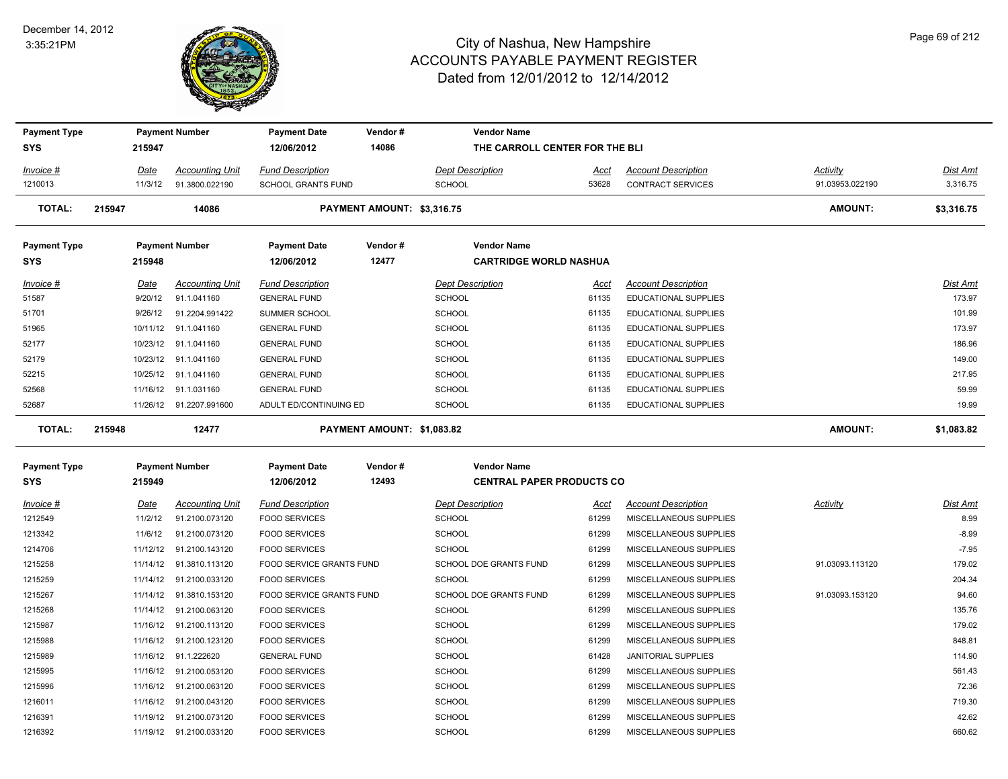#### December 14, 2012 3:35:21PM



| <b>Payment Type</b> |        |                 | <b>Payment Number</b>                 | <b>Payment Date</b>                            | Vendor#                    | <b>Vendor Name</b>                       |               |                                                           |                 |                    |
|---------------------|--------|-----------------|---------------------------------------|------------------------------------------------|----------------------------|------------------------------------------|---------------|-----------------------------------------------------------|-----------------|--------------------|
| <b>SYS</b>          |        | 215947          |                                       | 12/06/2012                                     | 14086                      | THE CARROLL CENTER FOR THE BLI           |               |                                                           |                 |                    |
| Invoice #           |        | Date            | <b>Accounting Unit</b>                | <b>Fund Description</b>                        |                            | <b>Dept Description</b>                  | Acct          | <b>Account Description</b>                                | <b>Activity</b> | Dist Amt           |
| 1210013             |        | 11/3/12         | 91.3800.022190                        | SCHOOL GRANTS FUND                             |                            | <b>SCHOOL</b>                            | 53628         | <b>CONTRACT SERVICES</b>                                  | 91.03953.022190 | 3,316.75           |
| <b>TOTAL:</b>       | 215947 |                 | 14086                                 |                                                | PAYMENT AMOUNT: \$3,316.75 |                                          |               |                                                           | <b>AMOUNT:</b>  | \$3,316.75         |
| <b>Payment Type</b> |        |                 | <b>Payment Number</b>                 | <b>Payment Date</b>                            | Vendor#                    | <b>Vendor Name</b>                       |               |                                                           |                 |                    |
| <b>SYS</b>          |        | 215948          |                                       | 12/06/2012                                     | 12477                      | <b>CARTRIDGE WORLD NASHUA</b>            |               |                                                           |                 |                    |
| Invoice #<br>51587  |        | Date<br>9/20/12 | <b>Accounting Unit</b><br>91.1.041160 | <b>Fund Description</b><br><b>GENERAL FUND</b> |                            | <b>Dept Description</b><br><b>SCHOOL</b> | Acct<br>61135 | <b>Account Description</b><br><b>EDUCATIONAL SUPPLIES</b> |                 | Dist Amt<br>173.97 |
| 51701               |        | 9/26/12         | 91.2204.991422                        | SUMMER SCHOOL                                  |                            | <b>SCHOOL</b>                            | 61135         | <b>EDUCATIONAL SUPPLIES</b>                               |                 | 101.99             |
| 51965               |        |                 | 10/11/12 91.1.041160                  | <b>GENERAL FUND</b>                            |                            | <b>SCHOOL</b>                            | 61135         | <b>EDUCATIONAL SUPPLIES</b>                               |                 | 173.97             |
| 52177               |        |                 | 10/23/12 91.1.041160                  | <b>GENERAL FUND</b>                            |                            | <b>SCHOOL</b>                            | 61135         | EDUCATIONAL SUPPLIES                                      |                 | 186.96             |
| 52179               |        | 10/23/12        | 91.1.041160                           | <b>GENERAL FUND</b>                            |                            | <b>SCHOOL</b>                            | 61135         | <b>EDUCATIONAL SUPPLIES</b>                               |                 | 149.00             |
| 52215               |        | 10/25/12        | 91.1.041160                           | <b>GENERAL FUND</b>                            |                            | <b>SCHOOL</b>                            | 61135         | <b>EDUCATIONAL SUPPLIES</b>                               |                 | 217.95             |
| 52568               |        |                 | 11/16/12 91.1.031160                  | <b>GENERAL FUND</b>                            |                            | SCHOOL                                   | 61135         | EDUCATIONAL SUPPLIES                                      |                 | 59.99              |
| 52687               |        |                 | 11/26/12 91.2207.991600               | ADULT ED/CONTINUING ED                         |                            | <b>SCHOOL</b>                            | 61135         | <b>EDUCATIONAL SUPPLIES</b>                               |                 | 19.99              |
| <b>TOTAL:</b>       | 215948 |                 | 12477                                 |                                                | PAYMENT AMOUNT: \$1,083.82 |                                          |               |                                                           | <b>AMOUNT:</b>  | \$1,083.82         |
| <b>Payment Type</b> |        |                 | <b>Payment Number</b>                 | <b>Payment Date</b>                            | Vendor#                    | <b>Vendor Name</b>                       |               |                                                           |                 |                    |
| <b>SYS</b>          |        | 215949          |                                       | 12/06/2012                                     | 12493                      | <b>CENTRAL PAPER PRODUCTS CO</b>         |               |                                                           |                 |                    |
| Invoice #           |        | Date            | <b>Accounting Unit</b>                | <b>Fund Description</b>                        |                            | <b>Dept Description</b>                  | Acct          | <b>Account Description</b>                                | Activity        | Dist Amt           |
| 1212549             |        | 11/2/12         | 91.2100.073120                        | <b>FOOD SERVICES</b>                           |                            | <b>SCHOOL</b>                            | 61299         | MISCELLANEOUS SUPPLIES                                    |                 | 8.99               |
| 1213342             |        | 11/6/12         | 91.2100.073120                        | <b>FOOD SERVICES</b>                           |                            | <b>SCHOOL</b>                            | 61299         | MISCELLANEOUS SUPPLIES                                    |                 | $-8.99$            |
| 1214706             |        |                 | 11/12/12 91.2100.143120               | <b>FOOD SERVICES</b>                           |                            | <b>SCHOOL</b>                            | 61299         | MISCELLANEOUS SUPPLIES                                    |                 | $-7.95$            |
| 1215258             |        | 11/14/12        | 91.3810.113120                        | FOOD SERVICE GRANTS FUND                       |                            | SCHOOL DOE GRANTS FUND                   | 61299         | MISCELLANEOUS SUPPLIES                                    | 91.03093.113120 | 179.02             |
| 1215259             |        | 11/14/12        | 91.2100.033120                        | <b>FOOD SERVICES</b>                           |                            | <b>SCHOOL</b>                            | 61299         | MISCELLANEOUS SUPPLIES                                    |                 | 204.34             |
| 1215267             |        |                 | 11/14/12 91.3810.153120               | FOOD SERVICE GRANTS FUND                       |                            | SCHOOL DOE GRANTS FUND                   | 61299         | MISCELLANEOUS SUPPLIES                                    | 91.03093.153120 | 94.60              |
| 1215268             |        |                 | 11/14/12 91.2100.063120               | <b>FOOD SERVICES</b>                           |                            | <b>SCHOOL</b>                            | 61299         | MISCELLANEOUS SUPPLIES                                    |                 | 135.76             |
| 1215987             |        |                 | 11/16/12 91.2100.113120               | <b>FOOD SERVICES</b>                           |                            | <b>SCHOOL</b>                            | 61299         | MISCELLANEOUS SUPPLIES                                    |                 | 179.02             |
| 1215988             |        |                 | 11/16/12 91.2100.123120               | <b>FOOD SERVICES</b>                           |                            | <b>SCHOOL</b>                            | 61299         | MISCELLANEOUS SUPPLIES                                    |                 | 848.81             |
| 1215989             |        |                 | 11/16/12 91.1.222620                  | <b>GENERAL FUND</b>                            |                            | SCHOOL                                   | 61428         | JANITORIAL SUPPLIES                                       |                 | 114.90             |
| 1215995             |        | 11/16/12        | 91.2100.053120                        | <b>FOOD SERVICES</b>                           |                            | <b>SCHOOL</b>                            | 61299         | MISCELLANEOUS SUPPLIES                                    |                 | 561.43             |
| 1215996             |        |                 | 11/16/12 91.2100.063120               | <b>FOOD SERVICES</b>                           |                            | SCHOOL                                   | 61299         | MISCELLANEOUS SUPPLIES                                    |                 | 72.36              |
| 1216011             |        |                 | 11/16/12 91.2100.043120               | <b>FOOD SERVICES</b>                           |                            | <b>SCHOOL</b>                            | 61299         | MISCELLANEOUS SUPPLIES                                    |                 | 719.30             |
| 1216391             |        |                 | 11/19/12 91.2100.073120               | <b>FOOD SERVICES</b>                           |                            | SCHOOL                                   | 61299         | MISCELLANEOUS SUPPLIES                                    |                 | 42.62              |
| 1216392             |        |                 | 11/19/12 91.2100.033120               | <b>FOOD SERVICES</b>                           |                            | SCHOOL                                   | 61299         | MISCELLANEOUS SUPPLIES                                    |                 | 660.62             |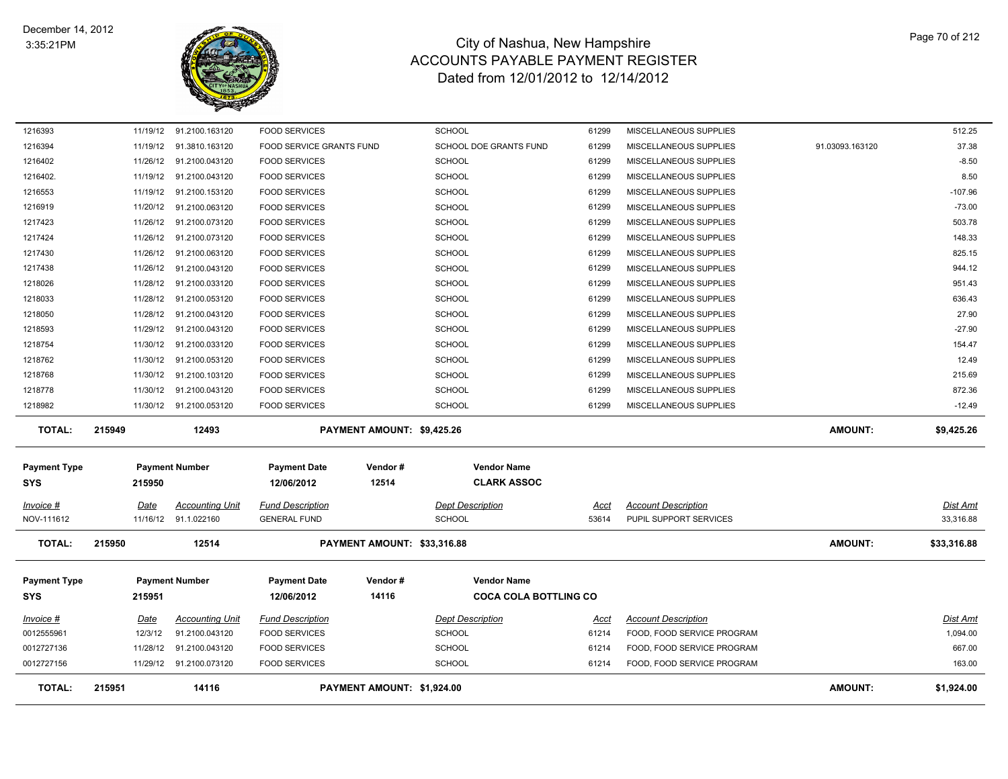

| <b>TOTAL:</b>                     | 215951   | 14116                                          |                                                | PAYMENT AMOUNT: \$1,924.00  |                                          |                |                                                      | <b>AMOUNT:</b>  | \$1,924.00            |
|-----------------------------------|----------|------------------------------------------------|------------------------------------------------|-----------------------------|------------------------------------------|----------------|------------------------------------------------------|-----------------|-----------------------|
| 0012727156                        |          | 11/29/12 91.2100.073120                        | <b>FOOD SERVICES</b>                           |                             | <b>SCHOOL</b>                            | 61214          | FOOD, FOOD SERVICE PROGRAM                           |                 | 163.00                |
| 0012727136                        | 11/28/12 | 91.2100.043120                                 | <b>FOOD SERVICES</b>                           |                             | <b>SCHOOL</b>                            | 61214          | FOOD, FOOD SERVICE PROGRAM                           |                 | 667.00                |
| 0012555961                        | 12/3/12  | 91.2100.043120                                 | <b>FOOD SERVICES</b>                           |                             | <b>SCHOOL</b>                            | 61214          | FOOD, FOOD SERVICE PROGRAM                           |                 | 1,094.00              |
| Invoice #                         | Date     | <b>Accounting Unit</b>                         | <b>Fund Description</b>                        |                             | <b>Dept Description</b>                  | Acct           | <b>Account Description</b>                           |                 | Dist Amt              |
|                                   |          |                                                |                                                |                             |                                          |                |                                                      |                 |                       |
| <b>SYS</b>                        | 215951   |                                                | 12/06/2012                                     | 14116                       | <b>COCA COLA BOTTLING CO</b>             |                |                                                      |                 |                       |
| <b>Payment Type</b>               |          | <b>Payment Number</b>                          | <b>Payment Date</b>                            | Vendor#                     | <b>Vendor Name</b>                       |                |                                                      |                 |                       |
| TOTAL:                            | 215950   | 12514                                          |                                                | PAYMENT AMOUNT: \$33,316.88 |                                          |                |                                                      | <b>AMOUNT:</b>  | \$33,316.88           |
| Invoice #<br>NOV-111612           | Date     | <b>Accounting Unit</b><br>11/16/12 91.1.022160 | <b>Fund Description</b><br><b>GENERAL FUND</b> |                             | <b>Dept Description</b><br><b>SCHOOL</b> | Acct<br>53614  | <b>Account Description</b><br>PUPIL SUPPORT SERVICES |                 | Dist Amt<br>33,316.88 |
|                                   |          |                                                |                                                |                             |                                          |                |                                                      |                 |                       |
| <b>Payment Type</b><br><b>SYS</b> | 215950   | <b>Payment Number</b>                          | <b>Payment Date</b><br>12/06/2012              | Vendor#<br>12514            | <b>Vendor Name</b><br><b>CLARK ASSOC</b> |                |                                                      |                 |                       |
| TOTAL:                            | 215949   | 12493                                          |                                                | PAYMENT AMOUNT: \$9,425.26  |                                          |                |                                                      | <b>AMOUNT:</b>  | \$9,425.26            |
| 1218982                           |          | 11/30/12 91.2100.053120                        | <b>FOOD SERVICES</b>                           |                             | <b>SCHOOL</b>                            | 61299          | MISCELLANEOUS SUPPLIES                               |                 | $-12.49$              |
| 1218778                           | 11/30/12 | 91.2100.043120                                 | <b>FOOD SERVICES</b>                           |                             | <b>SCHOOL</b>                            | 61299          | MISCELLANEOUS SUPPLIES                               |                 | 872.36                |
| 1218768                           | 11/30/12 | 91.2100.103120                                 | <b>FOOD SERVICES</b>                           |                             | <b>SCHOOL</b>                            | 61299          | MISCELLANEOUS SUPPLIES                               |                 | 215.69                |
| 1218762                           | 11/30/12 | 91.2100.053120                                 | <b>FOOD SERVICES</b>                           |                             | <b>SCHOOL</b>                            | 61299          | MISCELLANEOUS SUPPLIES                               |                 | 12.49                 |
| 1218754                           | 11/30/12 | 91.2100.033120                                 | <b>FOOD SERVICES</b>                           |                             | <b>SCHOOL</b>                            | 61299          | MISCELLANEOUS SUPPLIES                               |                 | 154.47                |
| 1218593                           | 11/29/12 | 91.2100.043120                                 | <b>FOOD SERVICES</b>                           |                             | <b>SCHOOL</b>                            | 61299          | MISCELLANEOUS SUPPLIES                               |                 | $-27.90$              |
| 1218050                           | 11/28/12 | 91.2100.043120                                 | <b>FOOD SERVICES</b>                           |                             | <b>SCHOOL</b>                            | 61299          | MISCELLANEOUS SUPPLIES                               |                 | 27.90                 |
| 1218033                           |          | 11/28/12 91.2100.053120                        | <b>FOOD SERVICES</b>                           |                             | <b>SCHOOL</b>                            | 61299          | MISCELLANEOUS SUPPLIES                               |                 | 636.43                |
| 1218026                           |          | 11/28/12 91.2100.033120                        | <b>FOOD SERVICES</b>                           |                             | <b>SCHOOL</b>                            | 61299          | MISCELLANEOUS SUPPLIES                               |                 | 951.43                |
| 1217430<br>1217438                | 11/26/12 | 11/26/12 91.2100.063120<br>91.2100.043120      | <b>FOOD SERVICES</b><br><b>FOOD SERVICES</b>   |                             | <b>SCHOOL</b><br><b>SCHOOL</b>           | 61299<br>61299 | MISCELLANEOUS SUPPLIES<br>MISCELLANEOUS SUPPLIES     |                 | 825.15<br>944.12      |
| 1217424                           |          | 11/26/12 91.2100.073120                        | <b>FOOD SERVICES</b>                           |                             | <b>SCHOOL</b>                            | 61299          | MISCELLANEOUS SUPPLIES                               |                 | 148.33                |
| 1217423                           |          | 11/26/12 91.2100.073120                        | <b>FOOD SERVICES</b>                           |                             | <b>SCHOOL</b>                            | 61299          | MISCELLANEOUS SUPPLIES                               |                 | 503.78                |
| 1216919                           |          | 11/20/12 91.2100.063120                        | <b>FOOD SERVICES</b>                           |                             | <b>SCHOOL</b>                            | 61299          | MISCELLANEOUS SUPPLIES                               |                 | $-73.00$              |
| 1216553                           | 11/19/12 | 91.2100.153120                                 | <b>FOOD SERVICES</b>                           |                             | <b>SCHOOL</b>                            | 61299          | MISCELLANEOUS SUPPLIES                               |                 | $-107.96$             |
| 1216402.                          |          | 11/19/12 91.2100.043120                        | <b>FOOD SERVICES</b>                           |                             | <b>SCHOOL</b>                            | 61299          | MISCELLANEOUS SUPPLIES                               |                 | 8.50                  |
| 1216402                           | 11/26/12 | 91.2100.043120                                 | <b>FOOD SERVICES</b>                           |                             | <b>SCHOOL</b>                            | 61299          | MISCELLANEOUS SUPPLIES                               |                 | $-8.50$               |
| 1216394                           | 11/19/12 | 91.3810.163120                                 | FOOD SERVICE GRANTS FUND                       |                             | <b>SCHOOL DOE GRANTS FUND</b>            | 61299          | MISCELLANEOUS SUPPLIES                               | 91.03093.163120 | 37.38                 |
| 1216393                           |          | 11/19/12 91.2100.163120                        | <b>FOOD SERVICES</b>                           |                             | <b>SCHOOL</b>                            | 61299          | MISCELLANEOUS SUPPLIES                               |                 | 512.25                |
|                                   |          |                                                |                                                |                             |                                          |                |                                                      |                 |                       |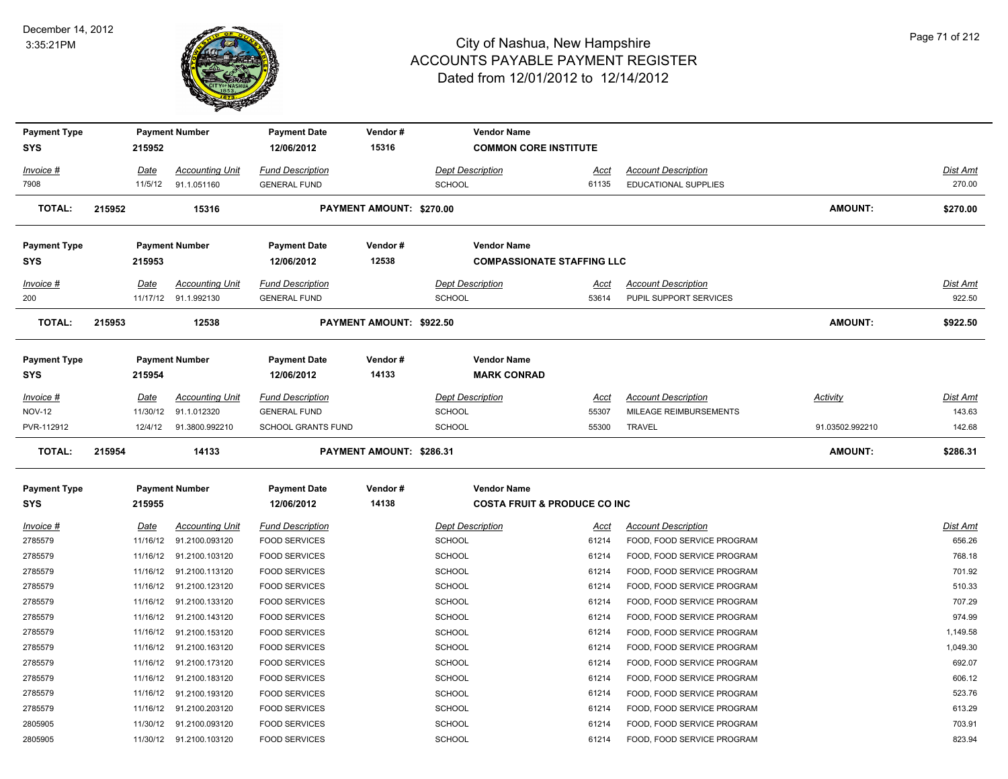

| <b>Payment Type</b><br><b>SYS</b> |        | 215952      | <b>Payment Number</b>   | <b>Payment Date</b><br>12/06/2012 | Vendor#<br>15316         | <b>Vendor Name</b><br><b>COMMON CORE INSTITUTE</b> |             |                             |                 |                 |
|-----------------------------------|--------|-------------|-------------------------|-----------------------------------|--------------------------|----------------------------------------------------|-------------|-----------------------------|-----------------|-----------------|
| Invoice #                         |        | Date        | <b>Accounting Unit</b>  | <b>Fund Description</b>           |                          | <b>Dept Description</b>                            | Acct        | <b>Account Description</b>  |                 | Dist Amt        |
| 7908                              |        |             | 11/5/12 91.1.051160     | <b>GENERAL FUND</b>               |                          | <b>SCHOOL</b>                                      | 61135       | <b>EDUCATIONAL SUPPLIES</b> |                 | 270.00          |
| <b>TOTAL:</b>                     | 215952 |             | 15316                   |                                   | PAYMENT AMOUNT: \$270.00 |                                                    |             |                             | <b>AMOUNT:</b>  | \$270.00        |
| <b>Payment Type</b>               |        |             | <b>Payment Number</b>   | <b>Payment Date</b>               | Vendor#                  | <b>Vendor Name</b>                                 |             |                             |                 |                 |
| <b>SYS</b>                        |        | 215953      |                         | 12/06/2012                        | 12538                    | <b>COMPASSIONATE STAFFING LLC</b>                  |             |                             |                 |                 |
| Invoice #                         |        | Date        | <b>Accounting Unit</b>  | <b>Fund Description</b>           |                          | <b>Dept Description</b>                            | Acct        | <b>Account Description</b>  |                 | Dist Amt        |
| 200                               |        |             | 11/17/12 91.1.992130    | <b>GENERAL FUND</b>               |                          | <b>SCHOOL</b>                                      | 53614       | PUPIL SUPPORT SERVICES      |                 | 922.50          |
| <b>TOTAL:</b>                     | 215953 |             | 12538                   |                                   | PAYMENT AMOUNT: \$922.50 |                                                    |             |                             | <b>AMOUNT:</b>  | \$922.50        |
| <b>Payment Type</b>               |        |             | <b>Payment Number</b>   | <b>Payment Date</b>               | Vendor#                  | <b>Vendor Name</b>                                 |             |                             |                 |                 |
| <b>SYS</b>                        |        | 215954      |                         | 12/06/2012                        | 14133                    | <b>MARK CONRAD</b>                                 |             |                             |                 |                 |
| <i>Invoice</i> #                  |        | Date        | <b>Accounting Unit</b>  | <b>Fund Description</b>           |                          | <b>Dept Description</b>                            | Acct        | <b>Account Description</b>  | Activity        | Dist Amt        |
| <b>NOV-12</b>                     |        |             | 11/30/12 91.1.012320    | <b>GENERAL FUND</b>               |                          | <b>SCHOOL</b>                                      | 55307       | MILEAGE REIMBURSEMENTS      |                 | 143.63          |
| PVR-112912                        |        | 12/4/12     | 91.3800.992210          | <b>SCHOOL GRANTS FUND</b>         |                          | <b>SCHOOL</b>                                      | 55300       | <b>TRAVEL</b>               | 91.03502.992210 | 142.68          |
| <b>TOTAL:</b>                     | 215954 |             | 14133                   |                                   | PAYMENT AMOUNT: \$286.31 |                                                    |             |                             | <b>AMOUNT:</b>  | \$286.31        |
| <b>Payment Type</b>               |        |             | <b>Payment Number</b>   | <b>Payment Date</b>               | Vendor#                  | <b>Vendor Name</b>                                 |             |                             |                 |                 |
| <b>SYS</b>                        |        | 215955      |                         | 12/06/2012                        | 14138                    | <b>COSTA FRUIT &amp; PRODUCE CO INC.</b>           |             |                             |                 |                 |
| Invoice #                         |        | <u>Date</u> | <b>Accounting Unit</b>  | <b>Fund Description</b>           |                          | <b>Dept Description</b>                            | <u>Acct</u> | <b>Account Description</b>  |                 | <u>Dist Amt</u> |
| 2785579                           |        |             | 11/16/12 91.2100.093120 | <b>FOOD SERVICES</b>              |                          | <b>SCHOOL</b>                                      | 61214       | FOOD, FOOD SERVICE PROGRAM  |                 | 656.26          |
| 2785579                           |        |             | 11/16/12 91.2100.103120 | <b>FOOD SERVICES</b>              |                          | <b>SCHOOL</b>                                      | 61214       | FOOD, FOOD SERVICE PROGRAM  |                 | 768.18          |
| 2785579                           |        |             | 11/16/12 91.2100.113120 | <b>FOOD SERVICES</b>              |                          | SCHOOL                                             | 61214       | FOOD, FOOD SERVICE PROGRAM  |                 | 701.92          |
| 2785579                           |        |             | 11/16/12 91.2100.123120 | <b>FOOD SERVICES</b>              |                          | <b>SCHOOL</b>                                      | 61214       | FOOD, FOOD SERVICE PROGRAM  |                 | 510.33          |
| 2785579                           |        |             | 11/16/12 91.2100.133120 | <b>FOOD SERVICES</b>              |                          | <b>SCHOOL</b>                                      | 61214       | FOOD, FOOD SERVICE PROGRAM  |                 | 707.29          |
| 2785579                           |        |             | 11/16/12 91.2100.143120 | <b>FOOD SERVICES</b>              |                          | <b>SCHOOL</b>                                      | 61214       | FOOD, FOOD SERVICE PROGRAM  |                 | 974.99          |
| 2785579                           |        |             | 11/16/12 91.2100.153120 | <b>FOOD SERVICES</b>              |                          | <b>SCHOOL</b>                                      | 61214       | FOOD, FOOD SERVICE PROGRAM  |                 | 1,149.58        |
| 2785579                           |        |             | 11/16/12 91.2100.163120 | <b>FOOD SERVICES</b>              |                          | <b>SCHOOL</b>                                      | 61214       | FOOD, FOOD SERVICE PROGRAM  |                 | 1,049.30        |
| 2785579                           |        |             | 11/16/12 91.2100.173120 | <b>FOOD SERVICES</b>              |                          | SCHOOL                                             | 61214       | FOOD, FOOD SERVICE PROGRAM  |                 | 692.07          |
| 2785579                           |        |             | 11/16/12 91.2100.183120 | <b>FOOD SERVICES</b>              |                          | <b>SCHOOL</b>                                      | 61214       | FOOD, FOOD SERVICE PROGRAM  |                 | 606.12          |
| 2785579                           |        |             | 11/16/12 91.2100.193120 | <b>FOOD SERVICES</b>              |                          | SCHOOL                                             | 61214       | FOOD, FOOD SERVICE PROGRAM  |                 | 523.76          |
| 2785579                           |        |             | 11/16/12 91.2100.203120 | <b>FOOD SERVICES</b>              |                          | <b>SCHOOL</b>                                      | 61214       | FOOD, FOOD SERVICE PROGRAM  |                 | 613.29          |
| 2805905                           |        |             | 11/30/12 91.2100.093120 | <b>FOOD SERVICES</b>              |                          | <b>SCHOOL</b>                                      | 61214       | FOOD, FOOD SERVICE PROGRAM  |                 | 703.91          |
|                                   |        |             | 11/30/12 91.2100.103120 | <b>FOOD SERVICES</b>              |                          | SCHOOL                                             | 61214       | FOOD, FOOD SERVICE PROGRAM  |                 | 823.94          |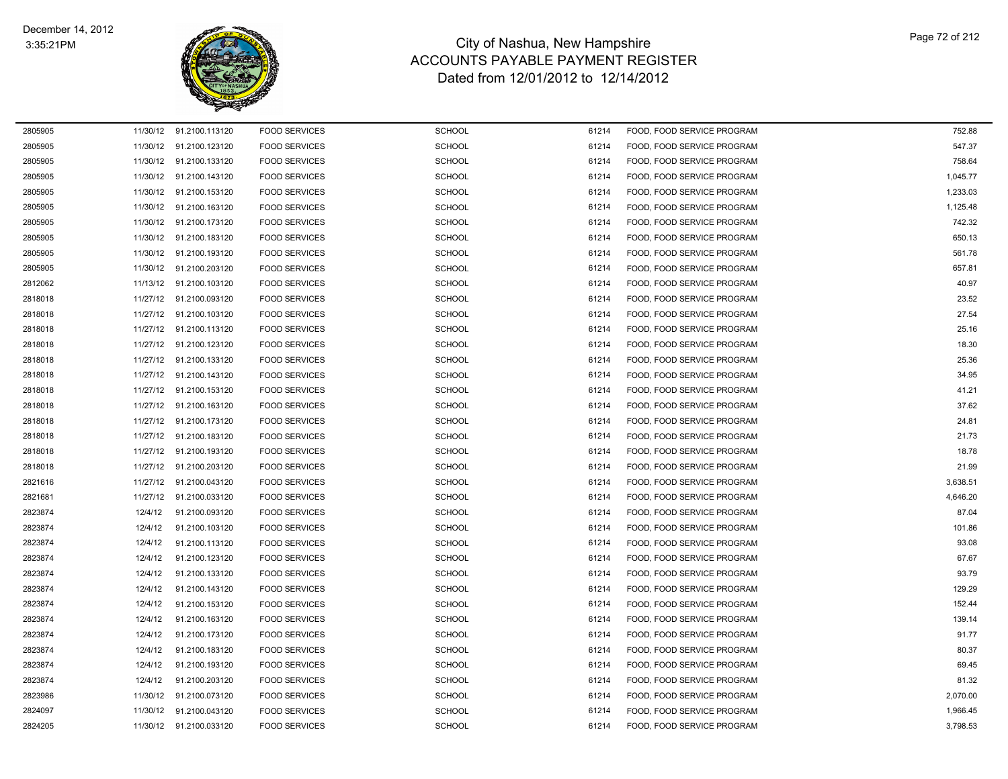

| 2805905 |          | 11/30/12 91.2100.113120 | <b>FOOD SERVICES</b> | <b>SCHOOL</b> | 61214 | FOOD, FOOD SERVICE PROGRAM | 752.88   |
|---------|----------|-------------------------|----------------------|---------------|-------|----------------------------|----------|
| 2805905 | 11/30/12 | 91.2100.123120          | <b>FOOD SERVICES</b> | <b>SCHOOL</b> | 61214 | FOOD, FOOD SERVICE PROGRAM | 547.37   |
| 2805905 |          | 11/30/12 91.2100.133120 | <b>FOOD SERVICES</b> | <b>SCHOOL</b> | 61214 | FOOD, FOOD SERVICE PROGRAM | 758.64   |
| 2805905 |          | 11/30/12 91.2100.143120 | <b>FOOD SERVICES</b> | <b>SCHOOL</b> | 61214 | FOOD, FOOD SERVICE PROGRAM | 1,045.77 |
| 2805905 |          | 11/30/12 91.2100.153120 | <b>FOOD SERVICES</b> | <b>SCHOOL</b> | 61214 | FOOD, FOOD SERVICE PROGRAM | 1,233.03 |
| 2805905 | 11/30/12 | 91.2100.163120          | <b>FOOD SERVICES</b> | <b>SCHOOL</b> | 61214 | FOOD, FOOD SERVICE PROGRAM | 1,125.48 |
| 2805905 | 11/30/12 | 91.2100.173120          | <b>FOOD SERVICES</b> | <b>SCHOOL</b> | 61214 | FOOD, FOOD SERVICE PROGRAM | 742.32   |
| 2805905 |          | 11/30/12 91.2100.183120 | <b>FOOD SERVICES</b> | <b>SCHOOL</b> | 61214 | FOOD, FOOD SERVICE PROGRAM | 650.13   |
| 2805905 |          | 11/30/12 91.2100.193120 | <b>FOOD SERVICES</b> | <b>SCHOOL</b> | 61214 | FOOD. FOOD SERVICE PROGRAM | 561.78   |
| 2805905 | 11/30/12 | 91.2100.203120          | <b>FOOD SERVICES</b> | <b>SCHOOL</b> | 61214 | FOOD, FOOD SERVICE PROGRAM | 657.81   |
| 2812062 | 11/13/12 | 91.2100.103120          | <b>FOOD SERVICES</b> | SCHOOL        | 61214 | FOOD, FOOD SERVICE PROGRAM | 40.97    |
| 2818018 |          | 11/27/12 91.2100.093120 | <b>FOOD SERVICES</b> | <b>SCHOOL</b> | 61214 | FOOD, FOOD SERVICE PROGRAM | 23.52    |
| 2818018 | 11/27/12 | 91.2100.103120          | <b>FOOD SERVICES</b> | <b>SCHOOL</b> | 61214 | FOOD, FOOD SERVICE PROGRAM | 27.54    |
| 2818018 | 11/27/12 | 91.2100.113120          | <b>FOOD SERVICES</b> | <b>SCHOOL</b> | 61214 | FOOD, FOOD SERVICE PROGRAM | 25.16    |
| 2818018 |          | 11/27/12 91.2100.123120 | <b>FOOD SERVICES</b> | <b>SCHOOL</b> | 61214 | FOOD, FOOD SERVICE PROGRAM | 18.30    |
| 2818018 |          | 11/27/12 91.2100.133120 | <b>FOOD SERVICES</b> | <b>SCHOOL</b> | 61214 | FOOD, FOOD SERVICE PROGRAM | 25.36    |
| 2818018 | 11/27/12 | 91.2100.143120          | <b>FOOD SERVICES</b> | <b>SCHOOL</b> | 61214 | FOOD, FOOD SERVICE PROGRAM | 34.95    |
| 2818018 | 11/27/12 | 91.2100.153120          | <b>FOOD SERVICES</b> | SCHOOL        | 61214 | FOOD, FOOD SERVICE PROGRAM | 41.21    |
| 2818018 |          | 11/27/12 91.2100.163120 | <b>FOOD SERVICES</b> | <b>SCHOOL</b> | 61214 | FOOD, FOOD SERVICE PROGRAM | 37.62    |
| 2818018 | 11/27/12 | 91.2100.173120          | <b>FOOD SERVICES</b> | <b>SCHOOL</b> | 61214 | FOOD, FOOD SERVICE PROGRAM | 24.81    |
| 2818018 | 11/27/12 | 91.2100.183120          | <b>FOOD SERVICES</b> | <b>SCHOOL</b> | 61214 | FOOD, FOOD SERVICE PROGRAM | 21.73    |
| 2818018 | 11/27/12 | 91.2100.193120          | <b>FOOD SERVICES</b> | <b>SCHOOL</b> | 61214 | FOOD, FOOD SERVICE PROGRAM | 18.78    |
| 2818018 |          | 11/27/12 91.2100.203120 | <b>FOOD SERVICES</b> | <b>SCHOOL</b> | 61214 | FOOD, FOOD SERVICE PROGRAM | 21.99    |
| 2821616 | 11/27/12 | 91.2100.043120          | <b>FOOD SERVICES</b> | <b>SCHOOL</b> | 61214 | FOOD, FOOD SERVICE PROGRAM | 3,638.51 |
| 2821681 | 11/27/12 | 91.2100.033120          | <b>FOOD SERVICES</b> | <b>SCHOOL</b> | 61214 | FOOD, FOOD SERVICE PROGRAM | 4,646.20 |
| 2823874 | 12/4/12  | 91.2100.093120          | <b>FOOD SERVICES</b> | <b>SCHOOL</b> | 61214 | FOOD, FOOD SERVICE PROGRAM | 87.04    |
| 2823874 | 12/4/12  | 91.2100.103120          | <b>FOOD SERVICES</b> | <b>SCHOOL</b> | 61214 | FOOD, FOOD SERVICE PROGRAM | 101.86   |
| 2823874 | 12/4/12  | 91.2100.113120          | <b>FOOD SERVICES</b> | <b>SCHOOL</b> | 61214 | FOOD, FOOD SERVICE PROGRAM | 93.08    |
| 2823874 | 12/4/12  | 91.2100.123120          | <b>FOOD SERVICES</b> | <b>SCHOOL</b> | 61214 | FOOD, FOOD SERVICE PROGRAM | 67.67    |
| 2823874 | 12/4/12  | 91.2100.133120          | <b>FOOD SERVICES</b> | <b>SCHOOL</b> | 61214 | FOOD, FOOD SERVICE PROGRAM | 93.79    |
| 2823874 | 12/4/12  | 91.2100.143120          | <b>FOOD SERVICES</b> | <b>SCHOOL</b> | 61214 | FOOD. FOOD SERVICE PROGRAM | 129.29   |
| 2823874 | 12/4/12  | 91.2100.153120          | <b>FOOD SERVICES</b> | <b>SCHOOL</b> | 61214 | FOOD, FOOD SERVICE PROGRAM | 152.44   |
| 2823874 | 12/4/12  | 91.2100.163120          | <b>FOOD SERVICES</b> | SCHOOL        | 61214 | FOOD, FOOD SERVICE PROGRAM | 139.14   |
| 2823874 | 12/4/12  | 91.2100.173120          | <b>FOOD SERVICES</b> | <b>SCHOOL</b> | 61214 | FOOD, FOOD SERVICE PROGRAM | 91.77    |
| 2823874 | 12/4/12  | 91.2100.183120          | <b>FOOD SERVICES</b> | <b>SCHOOL</b> | 61214 | FOOD, FOOD SERVICE PROGRAM | 80.37    |
| 2823874 | 12/4/12  | 91.2100.193120          | <b>FOOD SERVICES</b> | <b>SCHOOL</b> | 61214 | FOOD, FOOD SERVICE PROGRAM | 69.45    |
| 2823874 | 12/4/12  | 91.2100.203120          | <b>FOOD SERVICES</b> | <b>SCHOOL</b> | 61214 | FOOD, FOOD SERVICE PROGRAM | 81.32    |
| 2823986 |          | 11/30/12 91.2100.073120 | <b>FOOD SERVICES</b> | <b>SCHOOL</b> | 61214 | FOOD, FOOD SERVICE PROGRAM | 2,070.00 |
| 2824097 | 11/30/12 | 91.2100.043120          | <b>FOOD SERVICES</b> | <b>SCHOOL</b> | 61214 | FOOD, FOOD SERVICE PROGRAM | 1,966.45 |
| 2824205 |          | 11/30/12 91.2100.033120 | <b>FOOD SERVICES</b> | SCHOOL        | 61214 | FOOD. FOOD SERVICE PROGRAM | 3,798.53 |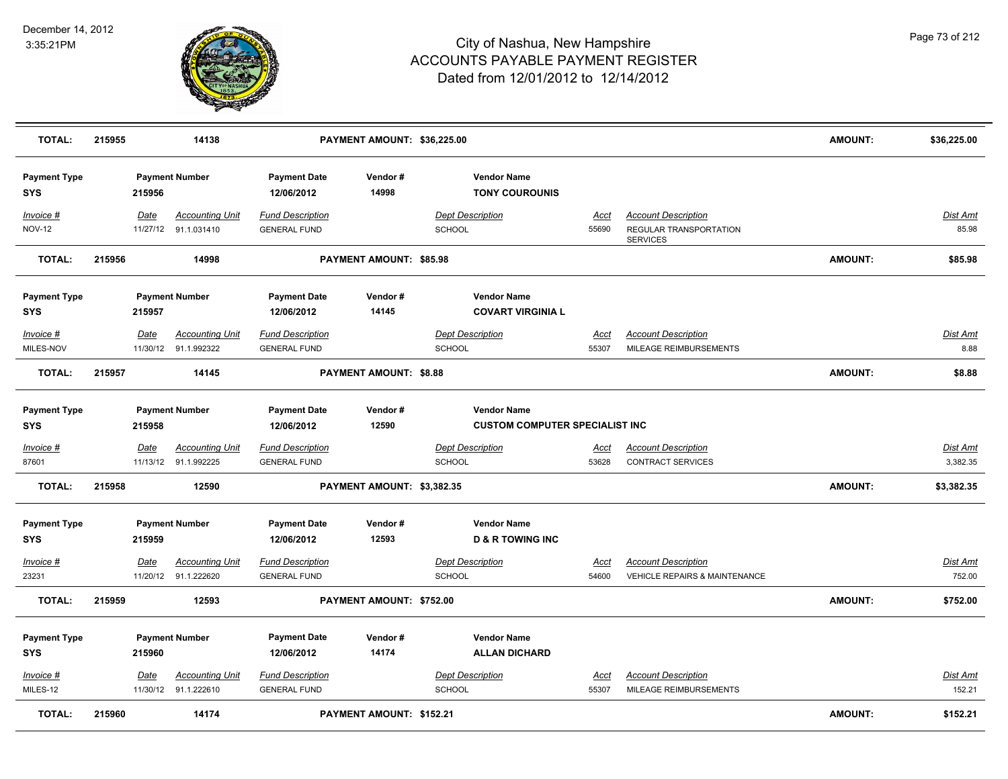

| <b>TOTAL:</b>                     | 215955 |             | 14138                                          |                                                | PAYMENT AMOUNT: \$36,225.00   |        |                                                             |                      |                                                                         | <b>AMOUNT:</b> | \$36,225.00               |
|-----------------------------------|--------|-------------|------------------------------------------------|------------------------------------------------|-------------------------------|--------|-------------------------------------------------------------|----------------------|-------------------------------------------------------------------------|----------------|---------------------------|
| <b>Payment Type</b><br>SYS        |        | 215956      | <b>Payment Number</b>                          | <b>Payment Date</b><br>12/06/2012              | Vendor#<br>14998              |        | <b>Vendor Name</b><br><b>TONY COUROUNIS</b>                 |                      |                                                                         |                |                           |
| Invoice #<br><b>NOV-12</b>        |        | Date        | <b>Accounting Unit</b><br>11/27/12 91.1.031410 | <b>Fund Description</b><br><b>GENERAL FUND</b> |                               | SCHOOL | <b>Dept Description</b>                                     | Acct<br>55690        | <b>Account Description</b><br>REGULAR TRANSPORTATION<br><b>SERVICES</b> |                | Dist Amt<br>85.98         |
| <b>TOTAL:</b>                     | 215956 |             | 14998                                          |                                                | PAYMENT AMOUNT: \$85.98       |        |                                                             |                      |                                                                         | <b>AMOUNT:</b> | \$85.98                   |
| <b>Payment Type</b><br>SYS        |        | 215957      | <b>Payment Number</b>                          | <b>Payment Date</b><br>12/06/2012              | Vendor#<br>14145              |        | <b>Vendor Name</b><br><b>COVART VIRGINIA L</b>              |                      |                                                                         |                |                           |
| Invoice #<br>MILES-NOV            |        | <b>Date</b> | <b>Accounting Unit</b><br>11/30/12 91.1.992322 | <b>Fund Description</b><br><b>GENERAL FUND</b> |                               | SCHOOL | <b>Dept Description</b>                                     | <u>Acct</u><br>55307 | <b>Account Description</b><br>MILEAGE REIMBURSEMENTS                    |                | <b>Dist Amt</b><br>8.88   |
| <b>TOTAL:</b>                     | 215957 |             | 14145                                          |                                                | <b>PAYMENT AMOUNT: \$8.88</b> |        |                                                             |                      |                                                                         | AMOUNT:        | \$8.88                    |
| <b>Payment Type</b><br>SYS        |        | 215958      | <b>Payment Number</b>                          | <b>Payment Date</b><br>12/06/2012              | Vendor#<br>12590              |        | <b>Vendor Name</b><br><b>CUSTOM COMPUTER SPECIALIST INC</b> |                      |                                                                         |                |                           |
| Invoice #                         |        | Date        | <b>Accounting Unit</b>                         | <b>Fund Description</b>                        |                               |        | <b>Dept Description</b>                                     | Acct                 | <b>Account Description</b>                                              |                | <b>Dist Amt</b>           |
| 87601                             |        |             | 11/13/12 91.1.992225                           | <b>GENERAL FUND</b>                            |                               | SCHOOL |                                                             | 53628                | CONTRACT SERVICES                                                       |                | 3,382.35                  |
| <b>TOTAL:</b>                     | 215958 |             | 12590                                          |                                                | PAYMENT AMOUNT: \$3,382.35    |        |                                                             |                      |                                                                         | <b>AMOUNT:</b> | \$3,382.35                |
| <b>Payment Type</b><br><b>SYS</b> |        | 215959      | <b>Payment Number</b>                          | <b>Payment Date</b><br>12/06/2012              | Vendor#<br>12593              |        | <b>Vendor Name</b><br><b>D &amp; R TOWING INC</b>           |                      |                                                                         |                |                           |
| $Invoice$ #                       |        | Date        | <b>Accounting Unit</b>                         | <b>Fund Description</b>                        |                               |        | <b>Dept Description</b>                                     | Acct                 | <b>Account Description</b>                                              |                | <u>Dist Amt</u>           |
| 23231                             |        |             | 11/20/12 91.1.222620                           | <b>GENERAL FUND</b>                            |                               | SCHOOL |                                                             | 54600                | <b>VEHICLE REPAIRS &amp; MAINTENANCE</b>                                |                | 752.00                    |
| <b>TOTAL:</b>                     | 215959 |             | 12593                                          |                                                | PAYMENT AMOUNT: \$752.00      |        |                                                             |                      |                                                                         | <b>AMOUNT:</b> | \$752.00                  |
| <b>Payment Type</b><br><b>SYS</b> |        | 215960      | <b>Payment Number</b>                          | <b>Payment Date</b><br>12/06/2012              | Vendor#<br>14174              |        | <b>Vendor Name</b><br><b>ALLAN DICHARD</b>                  |                      |                                                                         |                |                           |
| Invoice #<br>MILES-12             |        | Date        | <b>Accounting Unit</b><br>11/30/12 91.1.222610 | <b>Fund Description</b><br><b>GENERAL FUND</b> |                               | SCHOOL | <b>Dept Description</b>                                     | <u>Acct</u><br>55307 | <b>Account Description</b><br>MILEAGE REIMBURSEMENTS                    |                | <b>Dist Amt</b><br>152.21 |
| <b>TOTAL:</b>                     | 215960 |             | 14174                                          |                                                | PAYMENT AMOUNT: \$152.21      |        |                                                             |                      |                                                                         | <b>AMOUNT:</b> | \$152.21                  |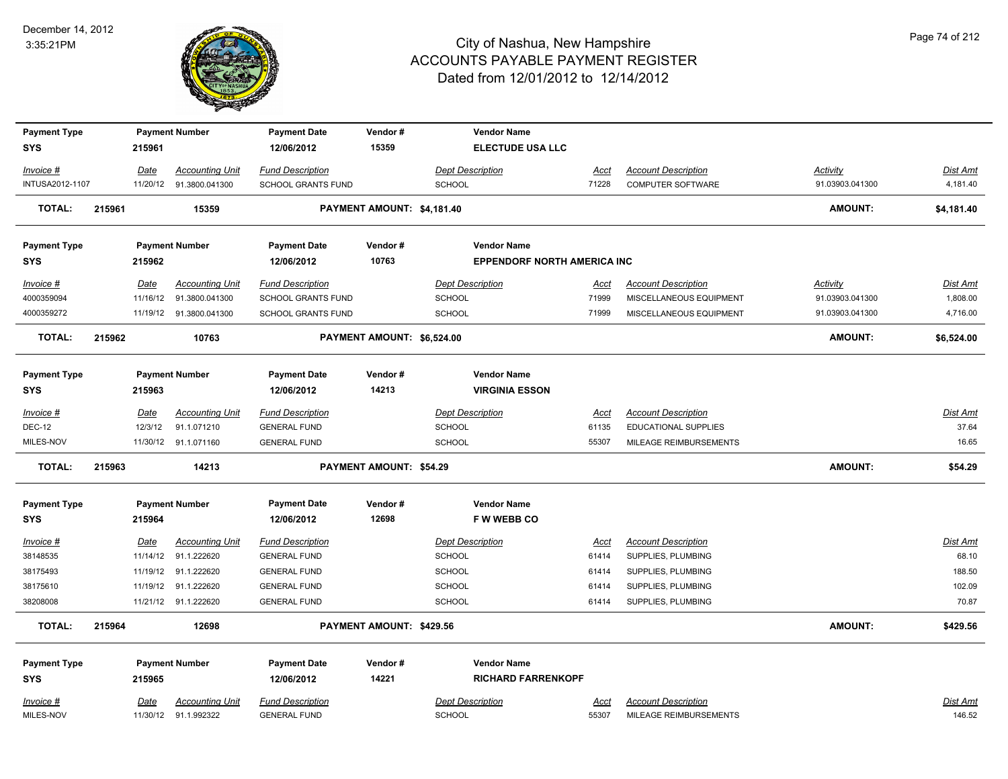

| <b>Payment Type</b> |        |             | <b>Payment Number</b>    | <b>Payment Date</b>       | Vendor#                        | <b>Vendor Name</b>                 |             |                             |                 |                 |
|---------------------|--------|-------------|--------------------------|---------------------------|--------------------------------|------------------------------------|-------------|-----------------------------|-----------------|-----------------|
| <b>SYS</b>          |        | 215961      |                          | 12/06/2012                | 15359                          | <b>ELECTUDE USA LLC</b>            |             |                             |                 |                 |
| Invoice #           |        | Date        | <b>Accounting Unit</b>   | <b>Fund Description</b>   |                                | <b>Dept Description</b>            | Acct        | <b>Account Description</b>  | <b>Activity</b> | Dist Amt        |
| INTUSA2012-1107     |        | 11/20/12    | 91.3800.041300           | <b>SCHOOL GRANTS FUND</b> |                                | <b>SCHOOL</b>                      | 71228       | <b>COMPUTER SOFTWARE</b>    | 91.03903.041300 | 4,181.40        |
| <b>TOTAL:</b>       | 215961 |             | 15359                    |                           | PAYMENT AMOUNT: \$4,181.40     |                                    |             |                             | <b>AMOUNT:</b>  | \$4,181.40      |
| <b>Payment Type</b> |        |             | <b>Payment Number</b>    | <b>Payment Date</b>       | Vendor#                        | <b>Vendor Name</b>                 |             |                             |                 |                 |
| <b>SYS</b>          |        | 215962      |                          | 12/06/2012                | 10763                          | <b>EPPENDORF NORTH AMERICA INC</b> |             |                             |                 |                 |
| Invoice #           |        | <b>Date</b> | <b>Accounting Unit</b>   | <b>Fund Description</b>   |                                | <b>Dept Description</b>            | <u>Acct</u> | <b>Account Description</b>  | <b>Activity</b> | Dist Amt        |
| 4000359094          |        | 11/16/12    | 91.3800.041300           | <b>SCHOOL GRANTS FUND</b> |                                | <b>SCHOOL</b>                      | 71999       | MISCELLANEOUS EQUIPMENT     | 91.03903.041300 | 1,808.00        |
| 4000359272          |        |             | 11/19/12  91.3800.041300 | <b>SCHOOL GRANTS FUND</b> |                                | <b>SCHOOL</b>                      | 71999       | MISCELLANEOUS EQUIPMENT     | 91.03903.041300 | 4,716.00        |
| <b>TOTAL:</b>       | 215962 |             | 10763                    |                           | PAYMENT AMOUNT: \$6,524.00     |                                    |             |                             | <b>AMOUNT:</b>  | \$6,524.00      |
| <b>Payment Type</b> |        |             | <b>Payment Number</b>    | <b>Payment Date</b>       | Vendor#                        | <b>Vendor Name</b>                 |             |                             |                 |                 |
| <b>SYS</b>          |        | 215963      |                          | 12/06/2012                | 14213                          | <b>VIRGINIA ESSON</b>              |             |                             |                 |                 |
| Invoice #           |        | Date        | <b>Accounting Unit</b>   | <b>Fund Description</b>   |                                | <b>Dept Description</b>            | Acct        | <b>Account Description</b>  |                 | <b>Dist Amt</b> |
| <b>DEC-12</b>       |        | 12/3/12     | 91.1.071210              | <b>GENERAL FUND</b>       |                                | <b>SCHOOL</b>                      | 61135       | <b>EDUCATIONAL SUPPLIES</b> |                 | 37.64           |
| MILES-NOV           |        |             | 11/30/12 91.1.071160     | <b>GENERAL FUND</b>       |                                | <b>SCHOOL</b>                      | 55307       | MILEAGE REIMBURSEMENTS      |                 | 16.65           |
| <b>TOTAL:</b>       | 215963 |             | 14213                    |                           | <b>PAYMENT AMOUNT: \$54.29</b> |                                    |             |                             | <b>AMOUNT:</b>  | \$54.29         |
| <b>Payment Type</b> |        |             | <b>Payment Number</b>    | <b>Payment Date</b>       | Vendor#                        | <b>Vendor Name</b>                 |             |                             |                 |                 |
| <b>SYS</b>          |        | 215964      |                          | 12/06/2012                | 12698                          | <b>FWWEBBCO</b>                    |             |                             |                 |                 |
| <u> Invoice #</u>   |        | <b>Date</b> | <b>Accounting Unit</b>   | <b>Fund Description</b>   |                                | <b>Dept Description</b>            | <u>Acct</u> | <b>Account Description</b>  |                 | <b>Dist Amt</b> |
| 38148535            |        |             | 11/14/12 91.1.222620     | <b>GENERAL FUND</b>       |                                | <b>SCHOOL</b>                      | 61414       | SUPPLIES, PLUMBING          |                 | 68.10           |
| 38175493            |        |             | 11/19/12 91.1.222620     | <b>GENERAL FUND</b>       |                                | <b>SCHOOL</b>                      | 61414       | SUPPLIES, PLUMBING          |                 | 188.50          |
| 38175610            |        |             | 11/19/12 91.1.222620     | <b>GENERAL FUND</b>       |                                | <b>SCHOOL</b>                      | 61414       | SUPPLIES, PLUMBING          |                 | 102.09          |
| 38208008            |        |             | 11/21/12 91.1.222620     | <b>GENERAL FUND</b>       |                                | <b>SCHOOL</b>                      | 61414       | SUPPLIES, PLUMBING          |                 | 70.87           |
| <b>TOTAL:</b>       | 215964 |             | 12698                    |                           | PAYMENT AMOUNT: \$429.56       |                                    |             |                             | <b>AMOUNT:</b>  | \$429.56        |
| <b>Payment Type</b> |        |             | <b>Payment Number</b>    | <b>Payment Date</b>       | Vendor#                        | <b>Vendor Name</b>                 |             |                             |                 |                 |
| <b>SYS</b>          |        | 215965      |                          | 12/06/2012                | 14221                          | <b>RICHARD FARRENKOPF</b>          |             |                             |                 |                 |
| Invoice #           |        | Date        | <b>Accounting Unit</b>   | <b>Fund Description</b>   |                                | <b>Dept Description</b>            | Acct        | <b>Account Description</b>  |                 | Dist Amt        |
| MILES-NOV           |        |             | 11/30/12 91.1.992322     | <b>GENERAL FUND</b>       |                                | <b>SCHOOL</b>                      | 55307       | MILEAGE REIMBURSEMENTS      |                 | 146.52          |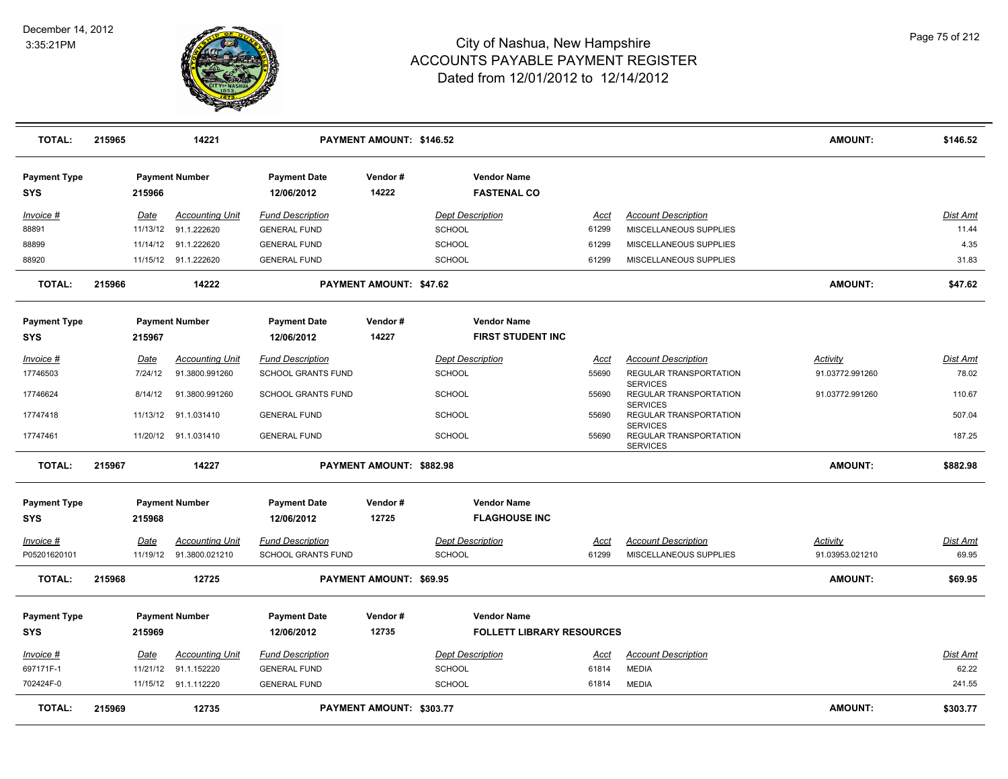

| <b>TOTAL:</b>              | 215965 |             | 14221                  |                                   | PAYMENT AMOUNT: \$146.52 |                                          |             |                                                              | <b>AMOUNT:</b>  | \$146.52        |
|----------------------------|--------|-------------|------------------------|-----------------------------------|--------------------------|------------------------------------------|-------------|--------------------------------------------------------------|-----------------|-----------------|
| <b>Payment Type</b><br>SYS |        | 215966      | <b>Payment Number</b>  | <b>Payment Date</b><br>12/06/2012 | Vendor#<br>14222         | <b>Vendor Name</b><br><b>FASTENAL CO</b> |             |                                                              |                 |                 |
| Invoice #                  |        | Date        | <b>Accounting Unit</b> | <b>Fund Description</b>           |                          | <b>Dept Description</b>                  | <u>Acct</u> | <b>Account Description</b>                                   |                 | <b>Dist Amt</b> |
| 88891                      |        | 11/13/12    | 91.1.222620            | <b>GENERAL FUND</b>               |                          | SCHOOL                                   | 61299       | MISCELLANEOUS SUPPLIES                                       |                 | 11.44           |
| 88899                      |        | 11/14/12    | 91.1.222620            | <b>GENERAL FUND</b>               |                          | <b>SCHOOL</b>                            | 61299       | MISCELLANEOUS SUPPLIES                                       |                 | 4.35            |
| 88920                      |        |             | 11/15/12 91.1.222620   | <b>GENERAL FUND</b>               |                          | <b>SCHOOL</b>                            | 61299       | MISCELLANEOUS SUPPLIES                                       |                 | 31.83           |
| <b>TOTAL:</b>              | 215966 |             | 14222                  |                                   | PAYMENT AMOUNT: \$47.62  |                                          |             |                                                              | <b>AMOUNT:</b>  | \$47.62         |
| <b>Payment Type</b>        |        |             | <b>Payment Number</b>  | <b>Payment Date</b>               | Vendor#                  | <b>Vendor Name</b>                       |             |                                                              |                 |                 |
| <b>SYS</b>                 |        | 215967      |                        | 12/06/2012                        | 14227                    | <b>FIRST STUDENT INC</b>                 |             |                                                              |                 |                 |
| Invoice #                  |        | Date        | <b>Accounting Unit</b> | <b>Fund Description</b>           |                          | <b>Dept Description</b>                  | <u>Acct</u> | <b>Account Description</b>                                   | <b>Activity</b> | <b>Dist Amt</b> |
| 17746503                   |        | 7/24/12     | 91.3800.991260         | <b>SCHOOL GRANTS FUND</b>         |                          | <b>SCHOOL</b>                            | 55690       | REGULAR TRANSPORTATION                                       | 91.03772.991260 | 78.02           |
| 17746624                   |        | 8/14/12     | 91.3800.991260         | SCHOOL GRANTS FUND                |                          | <b>SCHOOL</b>                            | 55690       | <b>SERVICES</b><br>REGULAR TRANSPORTATION<br><b>SERVICES</b> | 91.03772.991260 | 110.67          |
| 17747418                   |        | 11/13/12    | 91.1.031410            | <b>GENERAL FUND</b>               |                          | <b>SCHOOL</b>                            | 55690       | REGULAR TRANSPORTATION                                       |                 | 507.04          |
| 17747461                   |        |             | 11/20/12 91.1.031410   | <b>GENERAL FUND</b>               |                          | <b>SCHOOL</b>                            | 55690       | <b>SERVICES</b><br>REGULAR TRANSPORTATION<br><b>SERVICES</b> |                 | 187.25          |
| <b>TOTAL:</b>              | 215967 |             | 14227                  |                                   | PAYMENT AMOUNT: \$882.98 |                                          |             |                                                              | <b>AMOUNT:</b>  | \$882.98        |
| <b>Payment Type</b>        |        |             | <b>Payment Number</b>  | <b>Payment Date</b>               | Vendor#                  | <b>Vendor Name</b>                       |             |                                                              |                 |                 |
| <b>SYS</b>                 |        | 215968      |                        | 12/06/2012                        | 12725                    | <b>FLAGHOUSE INC</b>                     |             |                                                              |                 |                 |
| Invoice #                  |        | <u>Date</u> | <b>Accounting Unit</b> | <b>Fund Description</b>           |                          | <b>Dept Description</b>                  | <u>Acct</u> | <b>Account Description</b>                                   | <b>Activity</b> | <b>Dist Amt</b> |
| P05201620101               |        | 11/19/12    | 91.3800.021210         | SCHOOL GRANTS FUND                |                          | <b>SCHOOL</b>                            | 61299       | MISCELLANEOUS SUPPLIES                                       | 91.03953.021210 | 69.95           |
| <b>TOTAL:</b>              | 215968 |             | 12725                  |                                   | PAYMENT AMOUNT: \$69.95  |                                          |             |                                                              | <b>AMOUNT:</b>  | \$69.95         |
| <b>Payment Type</b>        |        |             | <b>Payment Number</b>  | <b>Payment Date</b>               | Vendor#                  | <b>Vendor Name</b>                       |             |                                                              |                 |                 |
| SYS                        |        | 215969      |                        | 12/06/2012                        | 12735                    | <b>FOLLETT LIBRARY RESOURCES</b>         |             |                                                              |                 |                 |
| Invoice #                  |        | Date        | <b>Accounting Unit</b> | <b>Fund Description</b>           |                          | <b>Dept Description</b>                  | Acct        | <b>Account Description</b>                                   |                 | <b>Dist Amt</b> |
| 697171F-1                  |        | 11/21/12    | 91.1.152220            | <b>GENERAL FUND</b>               |                          | <b>SCHOOL</b>                            | 61814       | <b>MEDIA</b>                                                 |                 | 62.22           |
| 702424F-0                  |        |             | 11/15/12 91.1.112220   | <b>GENERAL FUND</b>               |                          | <b>SCHOOL</b>                            | 61814       | <b>MEDIA</b>                                                 |                 | 241.55          |
| <b>TOTAL:</b>              | 215969 |             | 12735                  |                                   | PAYMENT AMOUNT: \$303.77 |                                          |             |                                                              | <b>AMOUNT:</b>  | \$303.77        |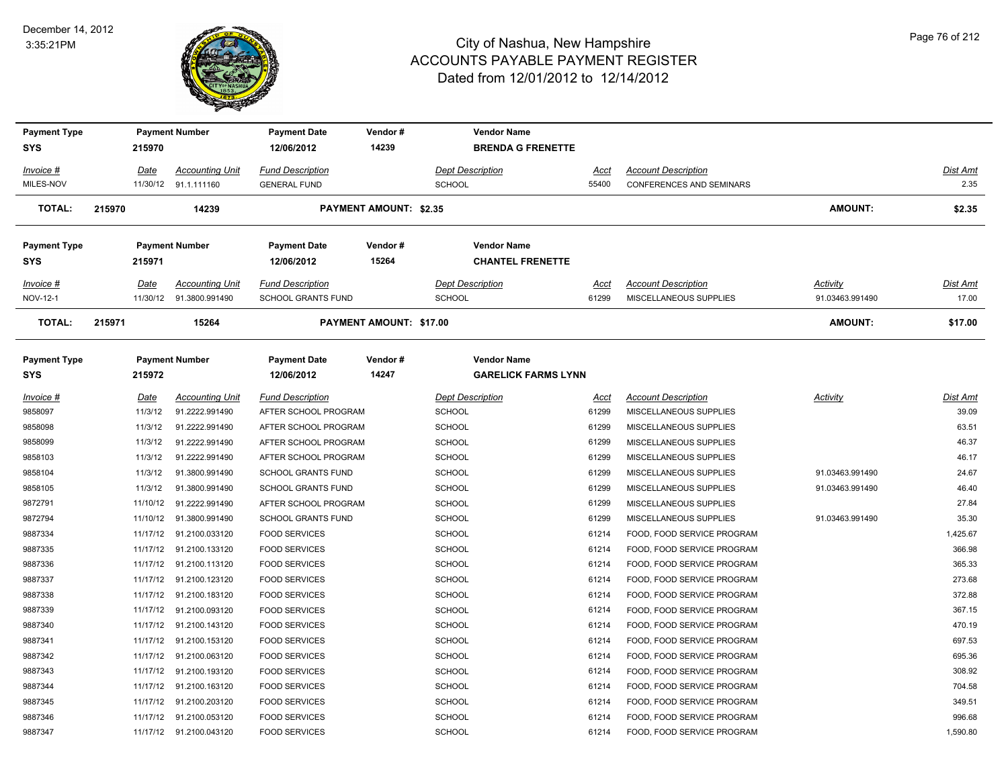

| <b>Payment Type</b> |             | <b>Payment Number</b>   | <b>Payment Date</b>       | Vendor#                        | <b>Vendor Name</b>         |       |                            |                 |          |
|---------------------|-------------|-------------------------|---------------------------|--------------------------------|----------------------------|-------|----------------------------|-----------------|----------|
| <b>SYS</b>          | 215970      |                         | 12/06/2012                | 14239                          | <b>BRENDA G FRENETTE</b>   |       |                            |                 |          |
| Invoice #           | <b>Date</b> | <b>Accounting Unit</b>  | <b>Fund Description</b>   |                                | <b>Dept Description</b>    | Acct  | <b>Account Description</b> |                 | Dist Amt |
| MILES-NOV           |             | 11/30/12 91.1.111160    | <b>GENERAL FUND</b>       |                                | <b>SCHOOL</b>              | 55400 | CONFERENCES AND SEMINARS   |                 | 2.35     |
| <b>TOTAL:</b>       | 215970      | 14239                   |                           | <b>PAYMENT AMOUNT: \$2.35</b>  |                            |       |                            | <b>AMOUNT:</b>  | \$2.35   |
| <b>Payment Type</b> |             | <b>Payment Number</b>   | <b>Payment Date</b>       | Vendor#                        | <b>Vendor Name</b>         |       |                            |                 |          |
| <b>SYS</b>          | 215971      |                         | 12/06/2012                | 15264                          | <b>CHANTEL FRENETTE</b>    |       |                            |                 |          |
| Invoice #           | Date        | <b>Accounting Unit</b>  | <b>Fund Description</b>   |                                | <b>Dept Description</b>    | Acct  | <b>Account Description</b> | Activity        | Dist Amt |
| NOV-12-1            |             | 11/30/12 91.3800.991490 | SCHOOL GRANTS FUND        |                                | <b>SCHOOL</b>              | 61299 | MISCELLANEOUS SUPPLIES     | 91.03463.991490 | 17.00    |
| <b>TOTAL:</b>       | 215971      | 15264                   |                           | <b>PAYMENT AMOUNT: \$17.00</b> |                            |       |                            | <b>AMOUNT:</b>  | \$17.00  |
| <b>Payment Type</b> |             | <b>Payment Number</b>   | <b>Payment Date</b>       | Vendor#                        | <b>Vendor Name</b>         |       |                            |                 |          |
| <b>SYS</b>          | 215972      |                         | 12/06/2012                | 14247                          | <b>GARELICK FARMS LYNN</b> |       |                            |                 |          |
| Invoice #           | Date        | <b>Accounting Unit</b>  | <b>Fund Description</b>   |                                | <b>Dept Description</b>    | Acct  | <b>Account Description</b> | Activity        | Dist Amt |
| 9858097             | 11/3/12     | 91.2222.991490          | AFTER SCHOOL PROGRAM      |                                | <b>SCHOOL</b>              | 61299 | MISCELLANEOUS SUPPLIES     |                 | 39.09    |
| 9858098             | 11/3/12     | 91.2222.991490          | AFTER SCHOOL PROGRAM      |                                | <b>SCHOOL</b>              | 61299 | MISCELLANEOUS SUPPLIES     |                 | 63.51    |
| 9858099             | 11/3/12     | 91.2222.991490          | AFTER SCHOOL PROGRAM      |                                | <b>SCHOOL</b>              | 61299 | MISCELLANEOUS SUPPLIES     |                 | 46.37    |
| 9858103             | 11/3/12     | 91.2222.991490          | AFTER SCHOOL PROGRAM      |                                | SCHOOL                     | 61299 | MISCELLANEOUS SUPPLIES     |                 | 46.17    |
| 9858104             | 11/3/12     | 91.3800.991490          | <b>SCHOOL GRANTS FUND</b> |                                | <b>SCHOOL</b>              | 61299 | MISCELLANEOUS SUPPLIES     | 91.03463.991490 | 24.67    |
| 9858105             | 11/3/12     | 91.3800.991490          | <b>SCHOOL GRANTS FUND</b> |                                | <b>SCHOOL</b>              | 61299 | MISCELLANEOUS SUPPLIES     | 91.03463.991490 | 46.40    |
| 9872791             | 11/10/12    | 91.2222.991490          | AFTER SCHOOL PROGRAM      |                                | <b>SCHOOL</b>              | 61299 | MISCELLANEOUS SUPPLIES     |                 | 27.84    |
| 9872794             | 11/10/12    | 91.3800.991490          | <b>SCHOOL GRANTS FUND</b> |                                | SCHOOL                     | 61299 | MISCELLANEOUS SUPPLIES     | 91.03463.991490 | 35.30    |
| 9887334             | 11/17/12    | 91.2100.033120          | <b>FOOD SERVICES</b>      |                                | SCHOOL                     | 61214 | FOOD, FOOD SERVICE PROGRAM |                 | 1,425.67 |
| 9887335             | 11/17/12    | 91.2100.133120          | <b>FOOD SERVICES</b>      |                                | <b>SCHOOL</b>              | 61214 | FOOD, FOOD SERVICE PROGRAM |                 | 366.98   |
| 9887336             | 11/17/12    | 91.2100.113120          | <b>FOOD SERVICES</b>      |                                | SCHOOL                     | 61214 | FOOD, FOOD SERVICE PROGRAM |                 | 365.33   |
| 9887337             |             | 11/17/12 91.2100.123120 | <b>FOOD SERVICES</b>      |                                | <b>SCHOOL</b>              | 61214 | FOOD, FOOD SERVICE PROGRAM |                 | 273.68   |
| 9887338             | 11/17/12    | 91.2100.183120          | <b>FOOD SERVICES</b>      |                                | SCHOOL                     | 61214 | FOOD, FOOD SERVICE PROGRAM |                 | 372.88   |
| 9887339             | 11/17/12    | 91.2100.093120          | <b>FOOD SERVICES</b>      |                                | <b>SCHOOL</b>              | 61214 | FOOD, FOOD SERVICE PROGRAM |                 | 367.15   |
| 9887340             | 11/17/12    | 91.2100.143120          | <b>FOOD SERVICES</b>      |                                | SCHOOL                     | 61214 | FOOD, FOOD SERVICE PROGRAM |                 | 470.19   |
| 9887341             |             | 11/17/12 91.2100.153120 | <b>FOOD SERVICES</b>      |                                | <b>SCHOOL</b>              | 61214 | FOOD, FOOD SERVICE PROGRAM |                 | 697.53   |
| 9887342             | 11/17/12    | 91.2100.063120          | <b>FOOD SERVICES</b>      |                                | <b>SCHOOL</b>              | 61214 | FOOD, FOOD SERVICE PROGRAM |                 | 695.36   |
| 9887343             | 11/17/12    | 91.2100.193120          | <b>FOOD SERVICES</b>      |                                | <b>SCHOOL</b>              | 61214 | FOOD, FOOD SERVICE PROGRAM |                 | 308.92   |
| 9887344             | 11/17/12    | 91.2100.163120          | <b>FOOD SERVICES</b>      |                                | SCHOOL                     | 61214 | FOOD, FOOD SERVICE PROGRAM |                 | 704.58   |
| 9887345             | 11/17/12    | 91.2100.203120          | <b>FOOD SERVICES</b>      |                                | SCHOOL                     | 61214 | FOOD, FOOD SERVICE PROGRAM |                 | 349.51   |
| 9887346             |             | 11/17/12 91.2100.053120 | <b>FOOD SERVICES</b>      |                                | SCHOOL                     | 61214 | FOOD, FOOD SERVICE PROGRAM |                 | 996.68   |
| 9887347             |             | 11/17/12 91.2100.043120 | <b>FOOD SERVICES</b>      |                                | SCHOOL                     | 61214 | FOOD, FOOD SERVICE PROGRAM |                 | 1,590.80 |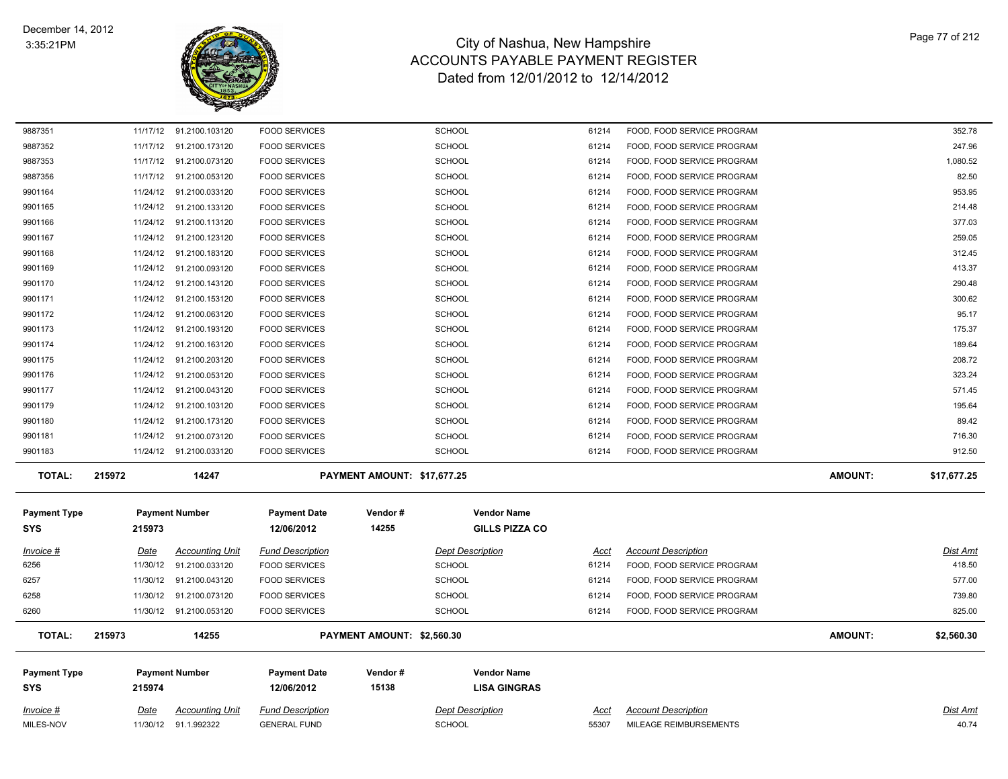

| Invoice #<br>MILES-NOV            | Date     | <b>Accounting Unit</b><br>11/30/12 91.1.992322 | <b>Fund Description</b><br><b>GENERAL FUND</b> |                             | <b>Dept Description</b><br><b>SCHOOL</b>    | Acct<br>55307 | <b>Account Description</b><br>MILEAGE REIMBURSEMENTS |                | Dist Amt<br>40.74 |
|-----------------------------------|----------|------------------------------------------------|------------------------------------------------|-----------------------------|---------------------------------------------|---------------|------------------------------------------------------|----------------|-------------------|
| <b>Payment Type</b><br><b>SYS</b> | 215974   | <b>Payment Number</b>                          | <b>Payment Date</b><br>12/06/2012              | Vendor#<br>15138            | <b>Vendor Name</b><br><b>LISA GINGRAS</b>   |               |                                                      |                |                   |
| <b>TOTAL:</b>                     | 215973   | 14255                                          |                                                | PAYMENT AMOUNT: \$2,560.30  |                                             |               |                                                      | <b>AMOUNT:</b> | \$2,560.30        |
| 6260                              |          | 11/30/12 91.2100.053120                        | <b>FOOD SERVICES</b>                           |                             | <b>SCHOOL</b>                               | 61214         | FOOD, FOOD SERVICE PROGRAM                           |                | 825.00            |
| 6258                              |          | 11/30/12 91.2100.073120                        | <b>FOOD SERVICES</b>                           |                             | <b>SCHOOL</b>                               | 61214         | FOOD, FOOD SERVICE PROGRAM                           |                | 739.80            |
| 6257                              |          | 11/30/12 91.2100.043120                        | <b>FOOD SERVICES</b>                           |                             | <b>SCHOOL</b>                               | 61214         | FOOD, FOOD SERVICE PROGRAM                           |                | 577.00            |
| 6256                              |          | 11/30/12 91.2100.033120                        | <b>FOOD SERVICES</b>                           |                             | <b>SCHOOL</b>                               | 61214         | FOOD, FOOD SERVICE PROGRAM                           |                | 418.50            |
| Invoice #                         | Date     | <b>Accounting Unit</b>                         | <b>Fund Description</b>                        |                             | <b>Dept Description</b>                     | Acct          | <b>Account Description</b>                           |                | Dist Amt          |
| <b>Payment Type</b><br><b>SYS</b> | 215973   | <b>Payment Number</b>                          | <b>Payment Date</b><br>12/06/2012              | Vendor#<br>14255            | <b>Vendor Name</b><br><b>GILLS PIZZA CO</b> |               |                                                      |                |                   |
| <b>TOTAL:</b>                     | 215972   | 14247                                          |                                                | PAYMENT AMOUNT: \$17,677.25 |                                             |               |                                                      | <b>AMOUNT:</b> | \$17,677.25       |
| 9901183                           |          | 11/24/12 91.2100.033120                        | <b>FOOD SERVICES</b>                           |                             | <b>SCHOOL</b>                               | 61214         | FOOD, FOOD SERVICE PROGRAM                           |                | 912.50            |
| 9901181                           |          | 11/24/12 91.2100.073120                        | <b>FOOD SERVICES</b>                           |                             | <b>SCHOOL</b>                               | 61214         | FOOD, FOOD SERVICE PROGRAM                           |                | 716.30            |
| 9901180                           |          | 11/24/12 91.2100.173120                        | <b>FOOD SERVICES</b>                           |                             | <b>SCHOOL</b>                               | 61214         | FOOD, FOOD SERVICE PROGRAM                           |                | 89.42             |
| 9901179                           |          | 11/24/12 91.2100.103120                        | <b>FOOD SERVICES</b>                           |                             | <b>SCHOOL</b>                               | 61214         | FOOD, FOOD SERVICE PROGRAM                           |                | 195.64            |
| 9901177                           |          | 11/24/12 91.2100.043120                        | <b>FOOD SERVICES</b>                           |                             | <b>SCHOOL</b>                               | 61214         | FOOD, FOOD SERVICE PROGRAM                           |                | 571.45            |
| 9901176                           |          | 11/24/12 91.2100.053120                        | <b>FOOD SERVICES</b>                           |                             | <b>SCHOOL</b>                               | 61214         | FOOD, FOOD SERVICE PROGRAM                           |                | 323.24            |
| 9901175                           |          | 11/24/12 91.2100.203120                        | <b>FOOD SERVICES</b>                           |                             | <b>SCHOOL</b>                               | 61214         | FOOD, FOOD SERVICE PROGRAM                           |                | 208.72            |
| 9901174                           |          | 11/24/12 91.2100.163120                        | <b>FOOD SERVICES</b>                           |                             | <b>SCHOOL</b>                               | 61214         | FOOD, FOOD SERVICE PROGRAM                           |                | 189.64            |
| 9901173                           |          | 11/24/12 91.2100.193120                        | <b>FOOD SERVICES</b>                           |                             | <b>SCHOOL</b>                               | 61214         | FOOD, FOOD SERVICE PROGRAM                           |                | 175.37            |
| 9901172                           | 11/24/12 | 91.2100.063120                                 | <b>FOOD SERVICES</b>                           |                             | <b>SCHOOL</b>                               | 61214         | FOOD, FOOD SERVICE PROGRAM                           |                | 95.17             |
| 9901171                           |          | 11/24/12 91.2100.153120                        | <b>FOOD SERVICES</b>                           |                             | <b>SCHOOL</b>                               | 61214         | FOOD, FOOD SERVICE PROGRAM                           |                | 300.62            |
| 9901170                           |          | 11/24/12 91.2100.143120                        | <b>FOOD SERVICES</b>                           |                             | <b>SCHOOL</b>                               | 61214         | FOOD, FOOD SERVICE PROGRAM                           |                | 290.48            |
| 9901169                           |          | 11/24/12 91.2100.093120                        | <b>FOOD SERVICES</b>                           |                             | SCHOOL                                      | 61214         | FOOD, FOOD SERVICE PROGRAM                           |                | 413.37            |
| 9901168                           |          | 11/24/12 91.2100.183120                        | <b>FOOD SERVICES</b>                           |                             | <b>SCHOOL</b>                               | 61214         | FOOD, FOOD SERVICE PROGRAM                           |                | 312.45            |
| 9901167                           |          | 11/24/12 91.2100.123120                        | <b>FOOD SERVICES</b>                           |                             | <b>SCHOOL</b>                               | 61214         | FOOD, FOOD SERVICE PROGRAM                           |                | 259.05            |
| 9901166                           |          | 11/24/12 91.2100.113120                        | <b>FOOD SERVICES</b>                           |                             | <b>SCHOOL</b>                               | 61214         | FOOD, FOOD SERVICE PROGRAM                           |                | 377.03            |
| 9901165                           |          | 11/24/12 91.2100.133120                        | <b>FOOD SERVICES</b>                           |                             | <b>SCHOOL</b>                               | 61214         | FOOD, FOOD SERVICE PROGRAM                           |                | 214.48            |
| 9901164                           |          | 11/24/12 91.2100.033120                        | <b>FOOD SERVICES</b>                           |                             | SCHOOL                                      | 61214         | FOOD, FOOD SERVICE PROGRAM                           |                | 953.95            |
| 9887356                           |          | 11/17/12 91.2100.053120                        | <b>FOOD SERVICES</b>                           |                             | <b>SCHOOL</b>                               | 61214         | FOOD, FOOD SERVICE PROGRAM                           |                | 82.50             |
| 9887353                           |          | 11/17/12 91.2100.073120                        | <b>FOOD SERVICES</b>                           |                             | <b>SCHOOL</b>                               | 61214         | FOOD, FOOD SERVICE PROGRAM                           |                | 1,080.52          |
| 9887352                           |          | 11/17/12 91.2100.173120                        | <b>FOOD SERVICES</b>                           |                             | <b>SCHOOL</b>                               | 61214         | FOOD, FOOD SERVICE PROGRAM                           |                | 247.96            |
| 9887351                           |          | 11/17/12 91.2100.103120                        | <b>FOOD SERVICES</b>                           |                             | <b>SCHOOL</b>                               | 61214         | FOOD, FOOD SERVICE PROGRAM                           |                | 352.78            |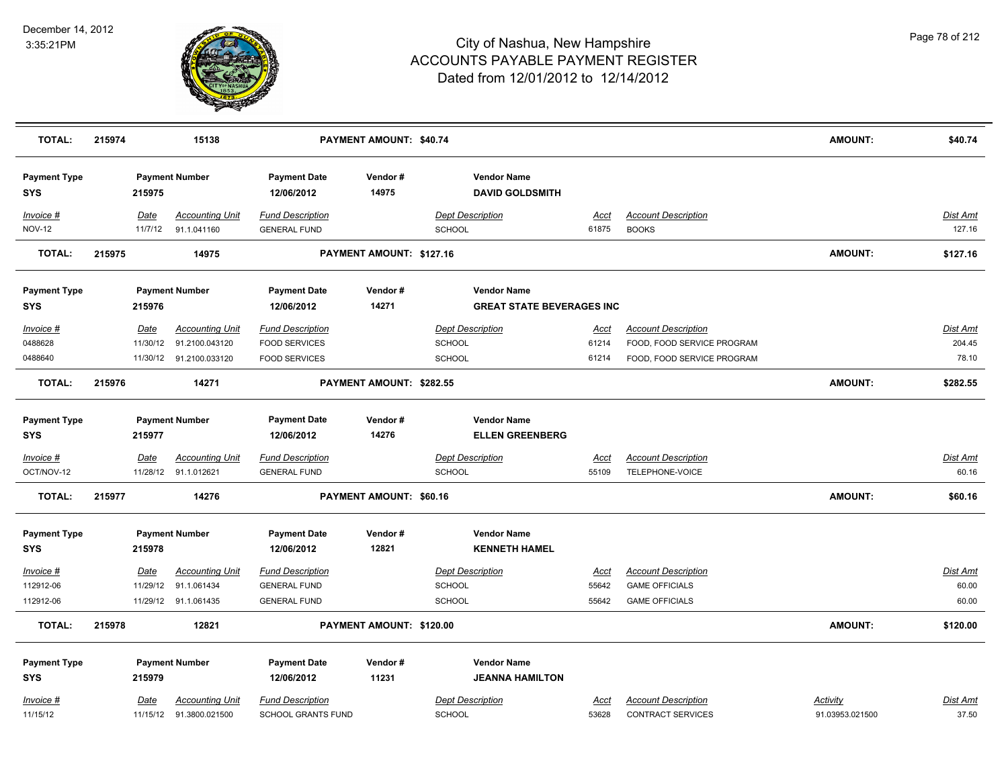

| <b>TOTAL:</b>                     | 215974 |                 | 15138                                             |                                                      | PAYMENT AMOUNT: \$40.74  |                                              |                      |                                                        | <b>AMOUNT:</b>              | \$40.74            |
|-----------------------------------|--------|-----------------|---------------------------------------------------|------------------------------------------------------|--------------------------|----------------------------------------------|----------------------|--------------------------------------------------------|-----------------------------|--------------------|
| <b>Payment Type</b><br><b>SYS</b> |        | 215975          | <b>Payment Number</b>                             | <b>Payment Date</b><br>12/06/2012                    | Vendor#<br>14975         | <b>Vendor Name</b><br><b>DAVID GOLDSMITH</b> |                      |                                                        |                             |                    |
| Invoice #<br><b>NOV-12</b>        |        | Date<br>11/7/12 | <b>Accounting Unit</b><br>91.1.041160             | <b>Fund Description</b><br><b>GENERAL FUND</b>       |                          | <b>Dept Description</b><br><b>SCHOOL</b>     | Acct<br>61875        | <b>Account Description</b><br><b>BOOKS</b>             |                             | Dist Amt<br>127.16 |
| <b>TOTAL:</b>                     | 215975 |                 | 14975                                             |                                                      | PAYMENT AMOUNT: \$127.16 |                                              |                      |                                                        | <b>AMOUNT:</b>              | \$127.16           |
| <b>Payment Type</b>               |        |                 | <b>Payment Number</b>                             | <b>Payment Date</b>                                  | Vendor#                  | <b>Vendor Name</b>                           |                      |                                                        |                             |                    |
| <b>SYS</b>                        |        | 215976          |                                                   | 12/06/2012                                           | 14271                    | <b>GREAT STATE BEVERAGES INC</b>             |                      |                                                        |                             |                    |
| Invoice #                         |        | Date            | <b>Accounting Unit</b>                            | <b>Fund Description</b>                              |                          | <b>Dept Description</b>                      | Acct                 | <b>Account Description</b>                             |                             | Dist Amt           |
| 0488628                           |        | 11/30/12        | 91.2100.043120                                    | <b>FOOD SERVICES</b>                                 |                          | SCHOOL                                       | 61214                | FOOD, FOOD SERVICE PROGRAM                             |                             | 204.45             |
| 0488640                           |        |                 | 11/30/12 91.2100.033120                           | <b>FOOD SERVICES</b>                                 |                          | SCHOOL                                       | 61214                | FOOD, FOOD SERVICE PROGRAM                             |                             | 78.10              |
| <b>TOTAL:</b>                     | 215976 |                 | 14271                                             |                                                      | PAYMENT AMOUNT: \$282.55 |                                              |                      |                                                        | <b>AMOUNT:</b>              | \$282.55           |
| <b>Payment Type</b>               |        |                 | <b>Payment Number</b>                             | <b>Payment Date</b>                                  | Vendor#                  | <b>Vendor Name</b>                           |                      |                                                        |                             |                    |
| <b>SYS</b>                        |        | 215977          |                                                   | 12/06/2012                                           | 14276                    | <b>ELLEN GREENBERG</b>                       |                      |                                                        |                             |                    |
| Invoice #<br>OCT/NOV-12           |        | <u>Date</u>     | <b>Accounting Unit</b><br>11/28/12 91.1.012621    | <b>Fund Description</b><br><b>GENERAL FUND</b>       |                          | <b>Dept Description</b><br><b>SCHOOL</b>     | <u>Acct</u><br>55109 | <b>Account Description</b><br>TELEPHONE-VOICE          |                             | Dist Amt<br>60.16  |
| <b>TOTAL:</b>                     | 215977 |                 | 14276                                             |                                                      | PAYMENT AMOUNT: \$60.16  |                                              |                      |                                                        | <b>AMOUNT:</b>              | \$60.16            |
| <b>Payment Type</b>               |        |                 | <b>Payment Number</b>                             | <b>Payment Date</b>                                  | Vendor#                  | <b>Vendor Name</b>                           |                      |                                                        |                             |                    |
| <b>SYS</b>                        |        | 215978          |                                                   | 12/06/2012                                           | 12821                    | <b>KENNETH HAMEL</b>                         |                      |                                                        |                             |                    |
| $Invoice$ #                       |        | <u>Date</u>     | <b>Accounting Unit</b>                            | <b>Fund Description</b>                              |                          | <b>Dept Description</b>                      | <u>Acct</u>          | <b>Account Description</b>                             |                             | <u>Dist Amt</u>    |
| 112912-06                         |        |                 | 11/29/12 91.1.061434                              | <b>GENERAL FUND</b>                                  |                          | <b>SCHOOL</b>                                | 55642                | <b>GAME OFFICIALS</b>                                  |                             | 60.00              |
| 112912-06                         |        |                 | 11/29/12 91.1.061435                              | <b>GENERAL FUND</b>                                  |                          | <b>SCHOOL</b>                                | 55642                | <b>GAME OFFICIALS</b>                                  |                             | 60.00              |
| <b>TOTAL:</b>                     | 215978 |                 | 12821                                             |                                                      | PAYMENT AMOUNT: \$120.00 |                                              |                      |                                                        | <b>AMOUNT:</b>              | \$120.00           |
| <b>Payment Type</b>               |        |                 | <b>Payment Number</b>                             | <b>Payment Date</b>                                  | Vendor#                  | <b>Vendor Name</b>                           |                      |                                                        |                             |                    |
| <b>SYS</b>                        |        | 215979          |                                                   | 12/06/2012                                           | 11231                    | <b>JEANNA HAMILTON</b>                       |                      |                                                        |                             |                    |
|                                   |        |                 |                                                   |                                                      |                          |                                              |                      |                                                        |                             |                    |
| Invoice #<br>11/15/12             |        | Date            | <b>Accounting Unit</b><br>11/15/12 91.3800.021500 | <b>Fund Description</b><br><b>SCHOOL GRANTS FUND</b> |                          | <b>Dept Description</b><br><b>SCHOOL</b>     | Acct<br>53628        | <b>Account Description</b><br><b>CONTRACT SERVICES</b> | Activity<br>91.03953.021500 | Dist Amt<br>37.50  |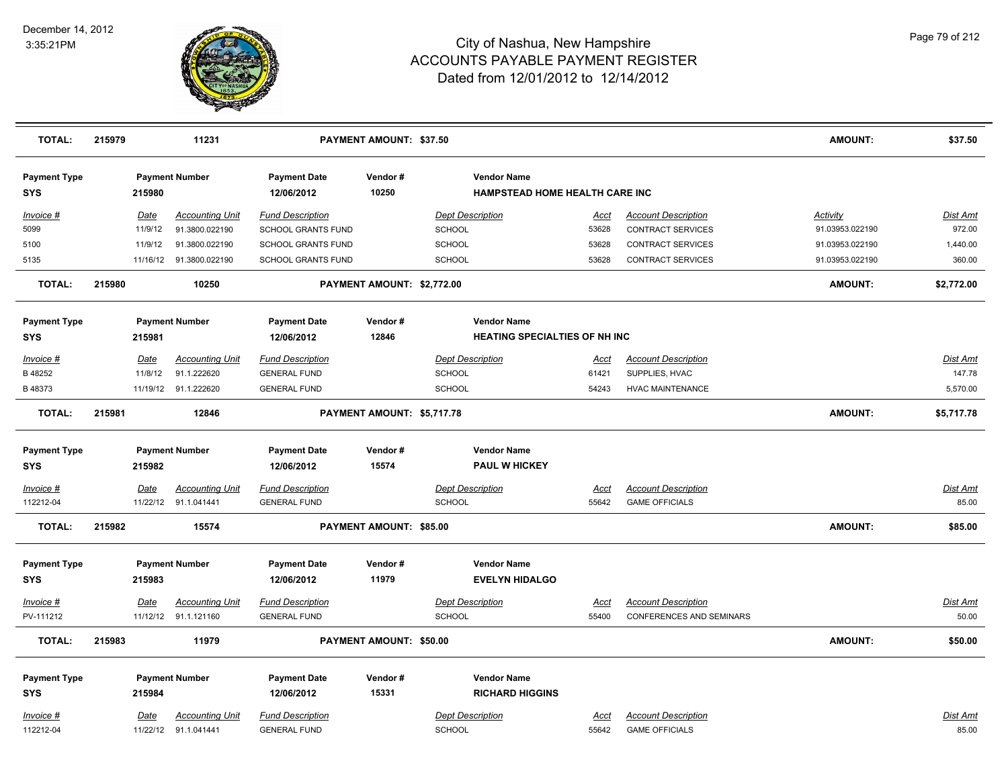

| <b>TOTAL:</b>                     | 215979 |             | 11231                    |                                   | PAYMENT AMOUNT: \$37.50    |                                                      |             |                                 | <b>AMOUNT:</b>  | \$37.50         |
|-----------------------------------|--------|-------------|--------------------------|-----------------------------------|----------------------------|------------------------------------------------------|-------------|---------------------------------|-----------------|-----------------|
| <b>Payment Type</b><br><b>SYS</b> |        | 215980      | <b>Payment Number</b>    | <b>Payment Date</b><br>12/06/2012 | Vendor#<br>10250           | <b>Vendor Name</b><br>HAMPSTEAD HOME HEALTH CARE INC |             |                                 |                 |                 |
| Invoice #                         |        | <b>Date</b> | <b>Accounting Unit</b>   | <b>Fund Description</b>           |                            | <b>Dept Description</b>                              | Acct        | <b>Account Description</b>      | <b>Activity</b> | Dist Amt        |
| 5099                              |        | 11/9/12     | 91.3800.022190           | SCHOOL GRANTS FUND                |                            | <b>SCHOOL</b>                                        | 53628       | CONTRACT SERVICES               | 91.03953.022190 | 972.00          |
| 5100                              |        | 11/9/12     | 91.3800.022190           | <b>SCHOOL GRANTS FUND</b>         |                            | SCHOOL                                               | 53628       | CONTRACT SERVICES               | 91.03953.022190 | 1,440.00        |
| 5135                              |        |             | 11/16/12  91.3800.022190 | SCHOOL GRANTS FUND                |                            | SCHOOL                                               | 53628       | CONTRACT SERVICES               | 91.03953.022190 | 360.00          |
| <b>TOTAL:</b>                     | 215980 |             | 10250                    |                                   | PAYMENT AMOUNT: \$2,772.00 |                                                      |             |                                 | <b>AMOUNT:</b>  | \$2,772.00      |
| <b>Payment Type</b>               |        |             | <b>Payment Number</b>    | <b>Payment Date</b>               | Vendor#                    | <b>Vendor Name</b>                                   |             |                                 |                 |                 |
| <b>SYS</b>                        |        | 215981      |                          | 12/06/2012                        | 12846                      | <b>HEATING SPECIALTIES OF NH INC</b>                 |             |                                 |                 |                 |
| Invoice #                         |        | <b>Date</b> | <b>Accounting Unit</b>   | <b>Fund Description</b>           |                            | <b>Dept Description</b>                              | <u>Acct</u> | <b>Account Description</b>      |                 | <u>Dist Amt</u> |
| B 48252                           |        | 11/8/12     | 91.1.222620              | <b>GENERAL FUND</b>               |                            | SCHOOL                                               | 61421       | SUPPLIES, HVAC                  |                 | 147.78          |
| B 48373                           |        |             | 11/19/12 91.1.222620     | <b>GENERAL FUND</b>               |                            | SCHOOL                                               | 54243       | <b>HVAC MAINTENANCE</b>         |                 | 5,570.00        |
| <b>TOTAL:</b>                     | 215981 |             | 12846                    |                                   | PAYMENT AMOUNT: \$5,717.78 |                                                      |             |                                 | <b>AMOUNT:</b>  | \$5,717.78      |
| <b>Payment Type</b>               |        |             | <b>Payment Number</b>    | <b>Payment Date</b>               | Vendor#                    | <b>Vendor Name</b>                                   |             |                                 |                 |                 |
| <b>SYS</b>                        |        | 215982      |                          | 12/06/2012                        | 15574                      | <b>PAUL W HICKEY</b>                                 |             |                                 |                 |                 |
| Invoice #                         |        | <u>Date</u> | <u>Accounting Unit</u>   | <b>Fund Description</b>           |                            | <b>Dept Description</b>                              | <u>Acct</u> | <b>Account Description</b>      |                 | <u>Dist Amt</u> |
| 112212-04                         |        |             | 11/22/12 91.1.041441     | <b>GENERAL FUND</b>               |                            | SCHOOL                                               | 55642       | <b>GAME OFFICIALS</b>           |                 | 85.00           |
| <b>TOTAL:</b>                     | 215982 |             | 15574                    |                                   | PAYMENT AMOUNT: \$85.00    |                                                      |             |                                 | <b>AMOUNT:</b>  | \$85.00         |
| <b>Payment Type</b>               |        |             | <b>Payment Number</b>    | <b>Payment Date</b>               | Vendor#                    | <b>Vendor Name</b>                                   |             |                                 |                 |                 |
| <b>SYS</b>                        |        | 215983      |                          | 12/06/2012                        | 11979                      | <b>EVELYN HIDALGO</b>                                |             |                                 |                 |                 |
| Invoice #                         |        | <b>Date</b> | <b>Accounting Unit</b>   | <b>Fund Description</b>           |                            | <b>Dept Description</b>                              | <u>Acct</u> | <b>Account Description</b>      |                 | <u>Dist Amt</u> |
| PV-111212                         |        |             | 11/12/12 91.1.121160     | <b>GENERAL FUND</b>               |                            | <b>SCHOOL</b>                                        | 55400       | <b>CONFERENCES AND SEMINARS</b> |                 | 50.00           |
| <b>TOTAL:</b>                     | 215983 |             | 11979                    |                                   | PAYMENT AMOUNT: \$50.00    |                                                      |             |                                 | <b>AMOUNT:</b>  | \$50.00         |
| <b>Payment Type</b>               |        |             | <b>Payment Number</b>    | <b>Payment Date</b>               | Vendor#                    | <b>Vendor Name</b>                                   |             |                                 |                 |                 |
| <b>SYS</b>                        |        | 215984      |                          | 12/06/2012                        | 15331                      | <b>RICHARD HIGGINS</b>                               |             |                                 |                 |                 |
| Invoice #                         |        | <b>Date</b> | <b>Accounting Unit</b>   | <b>Fund Description</b>           |                            | <b>Dept Description</b>                              | <u>Acct</u> | <b>Account Description</b>      |                 | <u>Dist Amt</u> |
| 112212-04                         |        |             | 11/22/12 91.1.041441     | <b>GENERAL FUND</b>               |                            | SCHOOL                                               | 55642       | <b>GAME OFFICIALS</b>           |                 | 85.00           |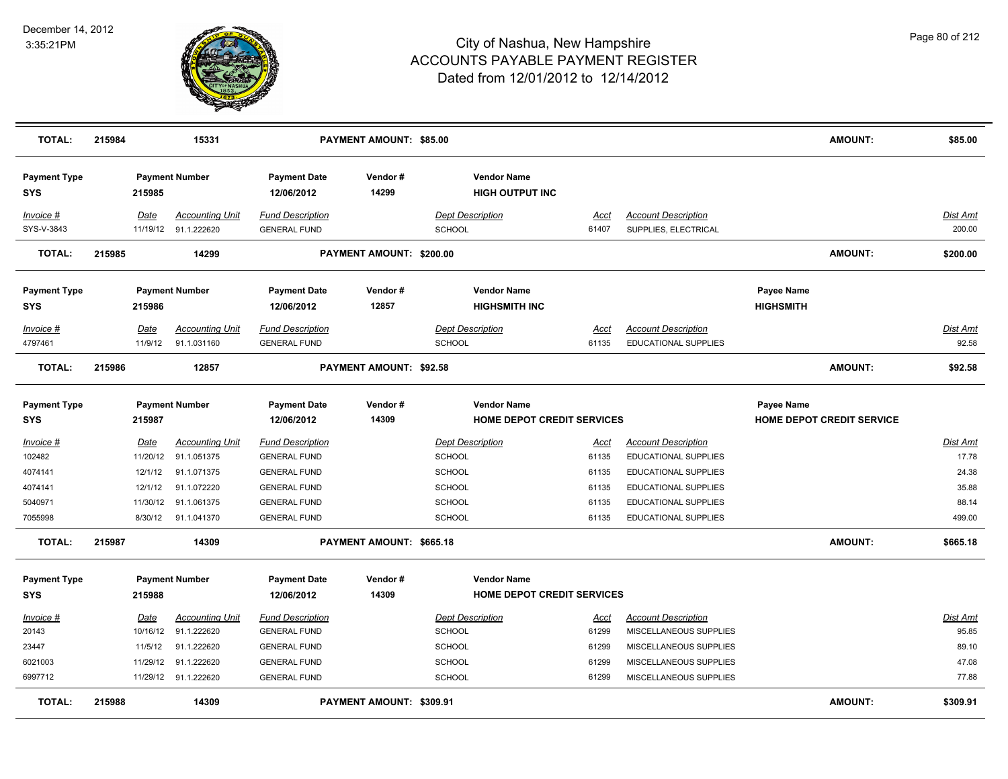

| <b>TOTAL:</b>                                                     | 215984                                             | 15331                                                                                                     |                                                                                                                                            | <b>PAYMENT AMOUNT: \$85.00</b> |                                                                                                       |                                                          |                                                                                                                                                                  | <b>AMOUNT:</b>                                 | \$85.00                                                       |
|-------------------------------------------------------------------|----------------------------------------------------|-----------------------------------------------------------------------------------------------------------|--------------------------------------------------------------------------------------------------------------------------------------------|--------------------------------|-------------------------------------------------------------------------------------------------------|----------------------------------------------------------|------------------------------------------------------------------------------------------------------------------------------------------------------------------|------------------------------------------------|---------------------------------------------------------------|
| <b>Payment Type</b><br>SYS                                        | 215985                                             | <b>Payment Number</b>                                                                                     | <b>Payment Date</b><br>12/06/2012                                                                                                          | Vendor#<br>14299               | <b>Vendor Name</b><br><b>HIGH OUTPUT INC</b>                                                          |                                                          |                                                                                                                                                                  |                                                |                                                               |
| Invoice #<br>SYS-V-3843                                           | Date<br>11/19/12                                   | <b>Accounting Unit</b><br>91.1.222620                                                                     | <b>Fund Description</b><br><b>GENERAL FUND</b>                                                                                             |                                | <b>Dept Description</b><br>SCHOOL                                                                     | Acct<br>61407                                            | <b>Account Description</b><br>SUPPLIES, ELECTRICAL                                                                                                               |                                                | <b>Dist Amt</b><br>200.00                                     |
| <b>TOTAL:</b>                                                     | 215985                                             | 14299                                                                                                     |                                                                                                                                            | PAYMENT AMOUNT: \$200.00       |                                                                                                       |                                                          |                                                                                                                                                                  | <b>AMOUNT:</b>                                 | \$200.00                                                      |
| <b>Payment Type</b><br><b>SYS</b>                                 | 215986                                             | <b>Payment Number</b>                                                                                     | <b>Payment Date</b><br>12/06/2012                                                                                                          | Vendor#<br>12857               | <b>Vendor Name</b><br><b>HIGHSMITH INC</b>                                                            |                                                          |                                                                                                                                                                  | <b>Payee Name</b><br><b>HIGHSMITH</b>          |                                                               |
| Invoice #<br>4797461                                              | Date<br>11/9/12                                    | <b>Accounting Unit</b><br>91.1.031160                                                                     | <b>Fund Description</b><br><b>GENERAL FUND</b>                                                                                             |                                | <b>Dept Description</b><br><b>SCHOOL</b>                                                              | Acct<br>61135                                            | <b>Account Description</b><br>EDUCATIONAL SUPPLIES                                                                                                               |                                                | Dist Amt<br>92.58                                             |
| <b>TOTAL:</b>                                                     | 215986                                             | 12857                                                                                                     |                                                                                                                                            | PAYMENT AMOUNT: \$92.58        |                                                                                                       |                                                          |                                                                                                                                                                  | <b>AMOUNT:</b>                                 | \$92.58                                                       |
| <b>Payment Type</b><br><b>SYS</b>                                 | 215987                                             | <b>Payment Number</b>                                                                                     | <b>Payment Date</b><br>12/06/2012                                                                                                          | Vendor#<br>14309               | <b>Vendor Name</b><br>HOME DEPOT CREDIT SERVICES                                                      |                                                          |                                                                                                                                                                  | <b>Payee Name</b><br>HOME DEPOT CREDIT SERVICE |                                                               |
| $Invoice$ #<br>102482<br>4074141<br>4074141<br>5040971<br>7055998 | Date<br>11/20/12<br>12/1/12<br>12/1/12<br>11/30/12 | <b>Accounting Unit</b><br>91.1.051375<br>91.1.071375<br>91.1.072220<br>91.1.061375<br>8/30/12 91.1.041370 | <b>Fund Description</b><br><b>GENERAL FUND</b><br><b>GENERAL FUND</b><br><b>GENERAL FUND</b><br><b>GENERAL FUND</b><br><b>GENERAL FUND</b> |                                | <b>Dept Description</b><br>SCHOOL<br><b>SCHOOL</b><br><b>SCHOOL</b><br><b>SCHOOL</b><br><b>SCHOOL</b> | <u>Acct</u><br>61135<br>61135<br>61135<br>61135<br>61135 | <b>Account Description</b><br>EDUCATIONAL SUPPLIES<br>EDUCATIONAL SUPPLIES<br><b>EDUCATIONAL SUPPLIES</b><br><b>EDUCATIONAL SUPPLIES</b><br>EDUCATIONAL SUPPLIES |                                                | <b>Dist Amt</b><br>17.78<br>24.38<br>35.88<br>88.14<br>499.00 |
| <b>TOTAL:</b>                                                     | 215987                                             | 14309                                                                                                     |                                                                                                                                            | PAYMENT AMOUNT: \$665.18       |                                                                                                       |                                                          |                                                                                                                                                                  | <b>AMOUNT:</b>                                 | \$665.18                                                      |
| <b>Payment Type</b><br><b>SYS</b>                                 | 215988                                             | <b>Payment Number</b>                                                                                     | <b>Payment Date</b><br>12/06/2012                                                                                                          | Vendor#<br>14309               | <b>Vendor Name</b><br>HOME DEPOT CREDIT SERVICES                                                      |                                                          |                                                                                                                                                                  |                                                |                                                               |
| Invoice #<br>20143<br>23447<br>6021003<br>6997712                 | <u>Date</u><br>10/16/12<br>11/5/12<br>11/29/12     | <b>Accounting Unit</b><br>91.1.222620<br>91.1.222620<br>91.1.222620<br>11/29/12 91.1.222620               | <b>Fund Description</b><br><b>GENERAL FUND</b><br><b>GENERAL FUND</b><br><b>GENERAL FUND</b><br><b>GENERAL FUND</b>                        |                                | <b>Dept Description</b><br><b>SCHOOL</b><br><b>SCHOOL</b><br><b>SCHOOL</b><br><b>SCHOOL</b>           | Acct<br>61299<br>61299<br>61299<br>61299                 | <b>Account Description</b><br>MISCELLANEOUS SUPPLIES<br>MISCELLANEOUS SUPPLIES<br>MISCELLANEOUS SUPPLIES<br>MISCELLANEOUS SUPPLIES                               |                                                | Dist Amt<br>95.85<br>89.10<br>47.08<br>77.88                  |
| <b>TOTAL:</b>                                                     | 215988                                             | 14309                                                                                                     |                                                                                                                                            | PAYMENT AMOUNT: \$309.91       |                                                                                                       |                                                          |                                                                                                                                                                  | <b>AMOUNT:</b>                                 | \$309.91                                                      |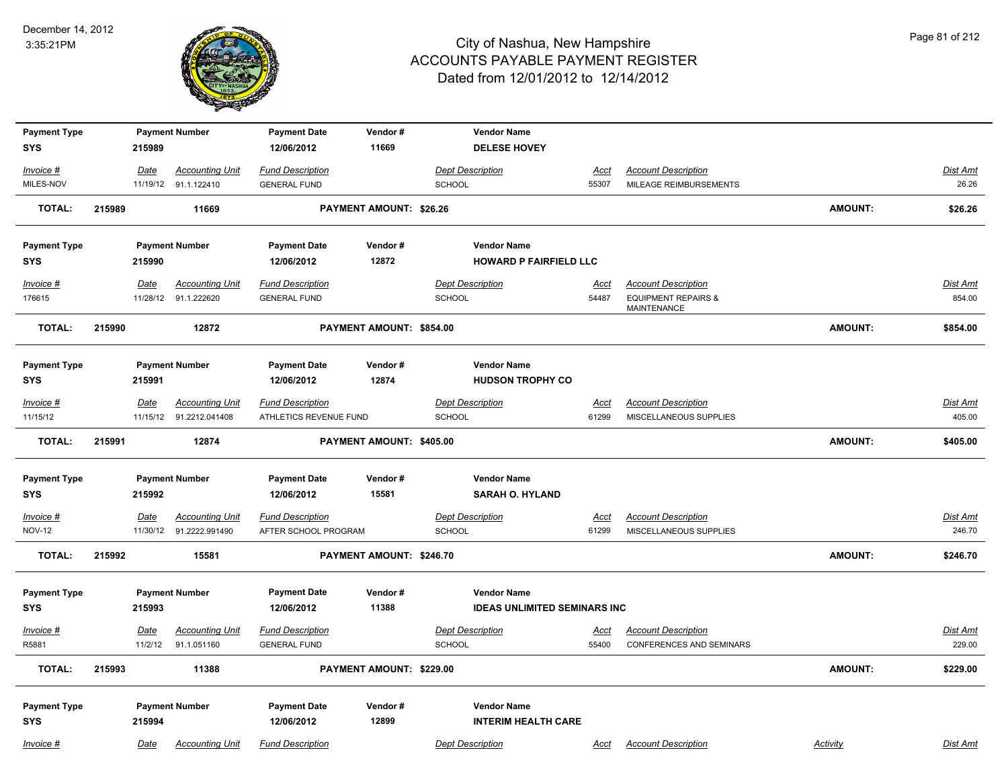

| <b>Payment Type</b><br><b>SYS</b> |        | 215989      | <b>Payment Number</b>                          | <b>Payment Date</b><br>12/06/2012              | Vendor#<br>11669               | <b>Vendor Name</b><br><b>DELESE HOVEY</b> |                      |                                                      |                |                   |
|-----------------------------------|--------|-------------|------------------------------------------------|------------------------------------------------|--------------------------------|-------------------------------------------|----------------------|------------------------------------------------------|----------------|-------------------|
|                                   |        |             |                                                |                                                |                                |                                           |                      |                                                      |                |                   |
| Invoice #<br>MILES-NOV            |        | Date        | <b>Accounting Unit</b><br>11/19/12 91.1.122410 | <b>Fund Description</b><br><b>GENERAL FUND</b> |                                | <b>Dept Description</b><br><b>SCHOOL</b>  | <u>Acct</u><br>55307 | <b>Account Description</b><br>MILEAGE REIMBURSEMENTS |                | Dist Amt<br>26.26 |
|                                   |        |             |                                                |                                                |                                |                                           |                      |                                                      |                |                   |
| <b>TOTAL:</b>                     | 215989 |             | 11669                                          |                                                | <b>PAYMENT AMOUNT: \$26.26</b> |                                           |                      |                                                      | <b>AMOUNT:</b> | \$26.26           |
| <b>Payment Type</b>               |        |             | <b>Payment Number</b>                          | <b>Payment Date</b>                            | Vendor#                        | <b>Vendor Name</b>                        |                      |                                                      |                |                   |
| <b>SYS</b>                        |        | 215990      |                                                | 12/06/2012                                     | 12872                          | <b>HOWARD P FAIRFIELD LLC</b>             |                      |                                                      |                |                   |
| Invoice #                         |        | Date        | <b>Accounting Unit</b>                         | <b>Fund Description</b>                        |                                | <b>Dept Description</b>                   | <u>Acct</u>          | <b>Account Description</b>                           |                | <b>Dist Amt</b>   |
| 176615                            |        | 11/28/12    | 91.1.222620                                    | <b>GENERAL FUND</b>                            |                                | <b>SCHOOL</b>                             | 54487                | <b>EQUIPMENT REPAIRS &amp;</b>                       |                | 854.00            |
|                                   |        |             |                                                |                                                |                                |                                           |                      | MAINTENANCE                                          |                |                   |
| <b>TOTAL:</b>                     | 215990 |             | 12872                                          |                                                | PAYMENT AMOUNT: \$854.00       |                                           |                      |                                                      | <b>AMOUNT:</b> | \$854.00          |
| <b>Payment Type</b>               |        |             | <b>Payment Number</b>                          | <b>Payment Date</b>                            | Vendor#                        | <b>Vendor Name</b>                        |                      |                                                      |                |                   |
| <b>SYS</b>                        |        | 215991      |                                                | 12/06/2012                                     | 12874                          | <b>HUDSON TROPHY CO</b>                   |                      |                                                      |                |                   |
| Invoice #                         |        | <u>Date</u> | <b>Accounting Unit</b>                         | <b>Fund Description</b>                        |                                | <b>Dept Description</b>                   | <u>Acct</u>          | <b>Account Description</b>                           |                | <u>Dist Amt</u>   |
| 11/15/12                          |        |             | 11/15/12 91.2212.041408                        | ATHLETICS REVENUE FUND                         |                                | <b>SCHOOL</b>                             | 61299                | MISCELLANEOUS SUPPLIES                               |                | 405.00            |
| <b>TOTAL:</b>                     | 215991 |             | 12874                                          |                                                | PAYMENT AMOUNT: \$405.00       |                                           |                      |                                                      | <b>AMOUNT:</b> | \$405.00          |
|                                   |        |             | <b>Payment Number</b>                          | <b>Payment Date</b>                            | Vendor#                        | <b>Vendor Name</b>                        |                      |                                                      |                |                   |
| <b>Payment Type</b><br>SYS        |        | 215992      |                                                | 12/06/2012                                     | 15581                          | <b>SARAH O. HYLAND</b>                    |                      |                                                      |                |                   |
|                                   |        |             |                                                |                                                |                                |                                           |                      |                                                      |                |                   |
| Invoice #                         |        | Date        | <b>Accounting Unit</b>                         | <b>Fund Description</b>                        |                                | <b>Dept Description</b>                   | <u>Acct</u>          | <b>Account Description</b>                           |                | <b>Dist Amt</b>   |
| <b>NOV-12</b>                     |        |             | 11/30/12 91.2222.991490                        | AFTER SCHOOL PROGRAM                           |                                | SCHOOL                                    | 61299                | MISCELLANEOUS SUPPLIES                               |                | 246.70            |
| <b>TOTAL:</b>                     | 215992 |             | 15581                                          |                                                | PAYMENT AMOUNT: \$246.70       |                                           |                      |                                                      | <b>AMOUNT:</b> | \$246.70          |
| <b>Payment Type</b>               |        |             | <b>Payment Number</b>                          | <b>Payment Date</b>                            | Vendor#                        | <b>Vendor Name</b>                        |                      |                                                      |                |                   |
| <b>SYS</b>                        |        | 215993      |                                                | 12/06/2012                                     | 11388                          | <b>IDEAS UNLIMITED SEMINARS INC</b>       |                      |                                                      |                |                   |
|                                   |        |             |                                                |                                                |                                |                                           |                      |                                                      |                |                   |
| Invoice #                         |        | <b>Date</b> | <b>Accounting Unit</b>                         | <u>Fund Description</u>                        |                                | <b>Dept Description</b>                   | <u>Acct</u>          | <b>Account Description</b>                           |                | <u>Dist Amt</u>   |
| R5881                             |        | 11/2/12     | 91.1.051160                                    | <b>GENERAL FUND</b>                            |                                | SCHOOL                                    | 55400                | CONFERENCES AND SEMINARS                             |                | 229.00            |
| <b>TOTAL:</b>                     | 215993 |             | 11388                                          |                                                | PAYMENT AMOUNT: \$229.00       |                                           |                      |                                                      | <b>AMOUNT:</b> | \$229.00          |
| <b>Payment Type</b>               |        |             | <b>Payment Number</b>                          | <b>Payment Date</b>                            | Vendor#                        | <b>Vendor Name</b>                        |                      |                                                      |                |                   |
| SYS                               |        | 215994      |                                                | 12/06/2012                                     | 12899                          | <b>INTERIM HEALTH CARE</b>                |                      |                                                      |                |                   |
|                                   |        |             |                                                |                                                |                                |                                           |                      |                                                      |                |                   |
| Invoice #                         |        | Date        | <b>Accounting Unit</b>                         | <b>Fund Description</b>                        |                                | <b>Dept Description</b>                   | <u>Acct</u>          | <b>Account Description</b>                           | Activity       | Dist Amt          |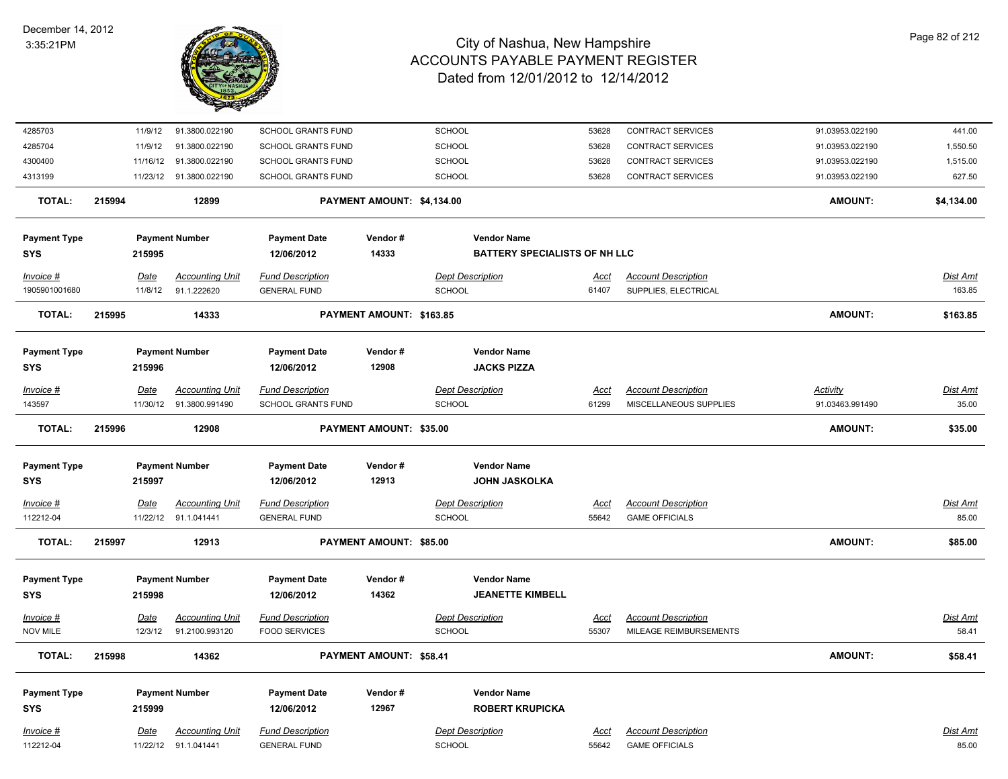

| 4285703                           | 11/9/12                | 91.3800.022190                           | SCHOOL GRANTS FUND                              |                            | SCHOOL                               | 53628                | CONTRACT SERVICES                                    | 91.03953.022190 | 441.00                   |
|-----------------------------------|------------------------|------------------------------------------|-------------------------------------------------|----------------------------|--------------------------------------|----------------------|------------------------------------------------------|-----------------|--------------------------|
| 4285704                           | 11/9/12                | 91.3800.022190                           | SCHOOL GRANTS FUND                              |                            | SCHOOL                               | 53628                | CONTRACT SERVICES                                    | 91.03953.022190 | 1,550.50                 |
| 4300400                           | 11/16/12               | 91.3800.022190                           | SCHOOL GRANTS FUND                              |                            | SCHOOL                               | 53628                | <b>CONTRACT SERVICES</b>                             | 91.03953.022190 | 1,515.00                 |
| 4313199                           |                        | 11/23/12 91.3800.022190                  | <b>SCHOOL GRANTS FUND</b>                       |                            | SCHOOL                               | 53628                | <b>CONTRACT SERVICES</b>                             | 91.03953.022190 | 627.50                   |
| <b>TOTAL:</b>                     | 215994                 | 12899                                    |                                                 | PAYMENT AMOUNT: \$4,134.00 |                                      |                      |                                                      | <b>AMOUNT:</b>  | \$4,134.00               |
| <b>Payment Type</b>               |                        | <b>Payment Number</b>                    | <b>Payment Date</b>                             | Vendor#                    | <b>Vendor Name</b>                   |                      |                                                      |                 |                          |
| <b>SYS</b>                        | 215995                 |                                          | 12/06/2012                                      | 14333                      | <b>BATTERY SPECIALISTS OF NH LLC</b> |                      |                                                      |                 |                          |
| $Invoice$ #                       | Date                   | <b>Accounting Unit</b>                   | <b>Fund Description</b>                         |                            | <b>Dept Description</b>              | <u>Acct</u>          | <b>Account Description</b>                           |                 | <b>Dist Amt</b>          |
| 1905901001680                     | 11/8/12                | 91.1.222620                              | <b>GENERAL FUND</b>                             |                            | <b>SCHOOL</b>                        | 61407                | SUPPLIES, ELECTRICAL                                 |                 | 163.85                   |
| TOTAL:                            | 215995                 | 14333                                    |                                                 | PAYMENT AMOUNT: \$163.85   |                                      |                      |                                                      | <b>AMOUNT:</b>  | \$163.85                 |
| <b>Payment Type</b>               |                        | <b>Payment Number</b>                    | <b>Payment Date</b>                             | Vendor#                    | <b>Vendor Name</b>                   |                      |                                                      |                 |                          |
| <b>SYS</b>                        | 215996                 |                                          | 12/06/2012                                      | 12908                      | <b>JACKS PIZZA</b>                   |                      |                                                      |                 |                          |
| $Invoice$ #                       | Date                   | <b>Accounting Unit</b>                   | <b>Fund Description</b>                         |                            | <b>Dept Description</b>              | Acct                 | <b>Account Description</b>                           | Activity        | Dist Amt                 |
| 143597                            | 11/30/12               | 91.3800.991490                           | <b>SCHOOL GRANTS FUND</b>                       |                            | SCHOOL                               | 61299                | MISCELLANEOUS SUPPLIES                               | 91.03463.991490 | 35.00                    |
| <b>TOTAL:</b>                     | 215996                 | 12908                                    |                                                 | PAYMENT AMOUNT: \$35.00    |                                      |                      |                                                      | <b>AMOUNT:</b>  | \$35.00                  |
| <b>Payment Type</b>               |                        | <b>Payment Number</b>                    | <b>Payment Date</b>                             | Vendor#                    | <b>Vendor Name</b>                   |                      |                                                      |                 |                          |
| <b>SYS</b>                        | 215997                 |                                          | 12/06/2012                                      | 12913                      | <b>JOHN JASKOLKA</b>                 |                      |                                                      |                 |                          |
| $Invoice$ #                       | <b>Date</b>            | <b>Accounting Unit</b>                   | <b>Fund Description</b>                         |                            | <b>Dept Description</b>              | <u>Acct</u>          | <b>Account Description</b>                           |                 | <b>Dist Amt</b>          |
| 112212-04                         |                        | 11/22/12 91.1.041441                     | <b>GENERAL FUND</b>                             |                            | <b>SCHOOL</b>                        | 55642                | <b>GAME OFFICIALS</b>                                |                 | 85.00                    |
| <b>TOTAL:</b>                     | 215997                 | 12913                                    |                                                 | PAYMENT AMOUNT: \$85.00    |                                      |                      |                                                      | <b>AMOUNT:</b>  | \$85.00                  |
|                                   |                        |                                          |                                                 |                            | <b>Vendor Name</b>                   |                      |                                                      |                 |                          |
| <b>Payment Type</b><br><b>SYS</b> | 215998                 | <b>Payment Number</b>                    | <b>Payment Date</b><br>12/06/2012               | Vendor#<br>14362           | <b>JEANETTE KIMBELL</b>              |                      |                                                      |                 |                          |
|                                   |                        |                                          |                                                 |                            |                                      |                      |                                                      |                 |                          |
| $Invoice$ #<br><b>NOV MILE</b>    | <u>Date</u><br>12/3/12 | <b>Accounting Unit</b><br>91.2100.993120 | <b>Fund Description</b><br><b>FOOD SERVICES</b> |                            | <b>Dept Description</b><br>SCHOOL    | <u>Acct</u><br>55307 | <b>Account Description</b><br>MILEAGE REIMBURSEMENTS |                 | <b>Dist Amt</b><br>58.41 |
|                                   |                        |                                          |                                                 |                            |                                      |                      |                                                      |                 |                          |
| <b>TOTAL:</b>                     | 215998                 | 14362                                    |                                                 | PAYMENT AMOUNT: \$58.41    |                                      |                      |                                                      | <b>AMOUNT:</b>  | \$58.41                  |
| <b>Payment Type</b>               |                        | <b>Payment Number</b>                    | <b>Payment Date</b>                             | Vendor#                    | <b>Vendor Name</b>                   |                      |                                                      |                 |                          |
| <b>SYS</b>                        | 215999                 |                                          | 12/06/2012                                      | 12967                      | <b>ROBERT KRUPICKA</b>               |                      |                                                      |                 |                          |
| Invoice #                         | Date                   | <b>Accounting Unit</b>                   | <b>Fund Description</b>                         |                            | <b>Dept Description</b>              | <b>Acct</b>          | <b>Account Description</b>                           |                 | <b>Dist Amt</b>          |
| 112212-04                         | 11/22/12               | 91.1.041441                              | <b>GENERAL FUND</b>                             |                            | <b>SCHOOL</b>                        | 55642                | <b>GAME OFFICIALS</b>                                |                 | 85.00                    |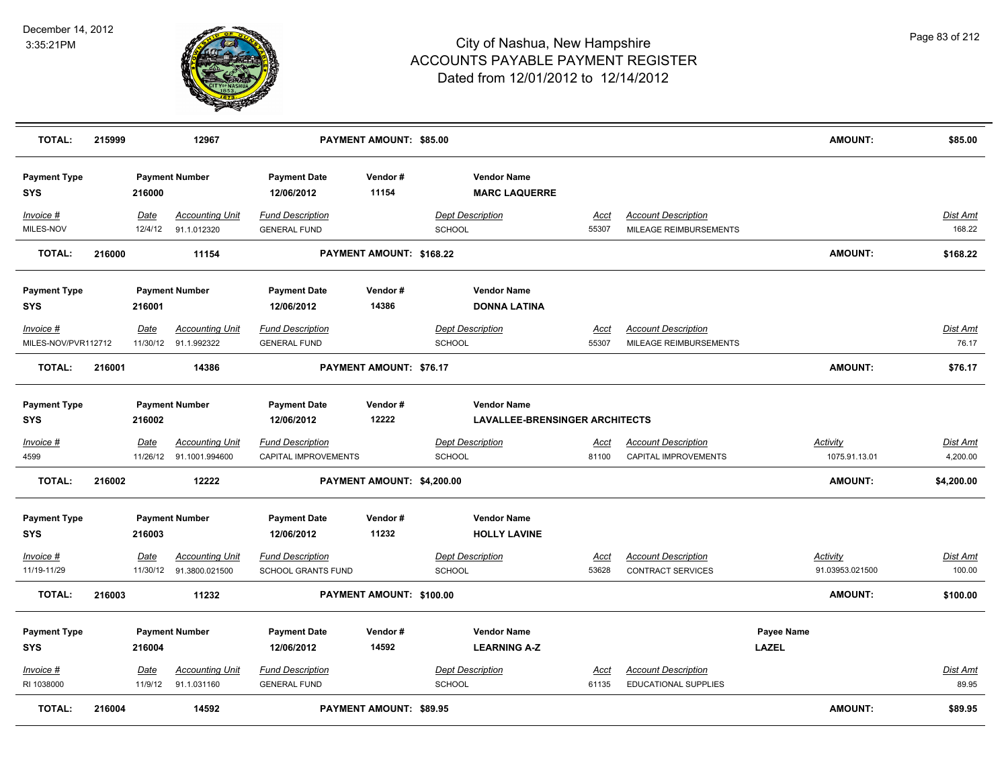

| <b>TOTAL:</b>                     | 215999 |                 | 12967                                             |                                                      | PAYMENT AMOUNT: \$85.00    |                                                             |                      |                                                        | <b>AMOUNT:</b>                     | \$85.00                     |
|-----------------------------------|--------|-----------------|---------------------------------------------------|------------------------------------------------------|----------------------------|-------------------------------------------------------------|----------------------|--------------------------------------------------------|------------------------------------|-----------------------------|
| <b>Payment Type</b><br><b>SYS</b> |        | 216000          | <b>Payment Number</b>                             | <b>Payment Date</b><br>12/06/2012                    | Vendor#<br>11154           | <b>Vendor Name</b><br><b>MARC LAQUERRE</b>                  |                      |                                                        |                                    |                             |
| Invoice #<br>MILES-NOV            |        | Date<br>12/4/12 | <b>Accounting Unit</b><br>91.1.012320             | <b>Fund Description</b><br><b>GENERAL FUND</b>       |                            | <b>Dept Description</b><br><b>SCHOOL</b>                    | Acct<br>55307        | <b>Account Description</b><br>MILEAGE REIMBURSEMENTS   |                                    | <u>Dist Amt</u><br>168.22   |
| <b>TOTAL:</b>                     | 216000 |                 | 11154                                             |                                                      | PAYMENT AMOUNT: \$168.22   |                                                             |                      |                                                        | <b>AMOUNT:</b>                     | \$168.22                    |
| <b>Payment Type</b><br><b>SYS</b> |        | 216001          | <b>Payment Number</b>                             | <b>Payment Date</b><br>12/06/2012                    | Vendor#<br>14386           | <b>Vendor Name</b><br><b>DONNA LATINA</b>                   |                      |                                                        |                                    |                             |
| Invoice #<br>MILES-NOV/PVR112712  |        | Date            | <b>Accounting Unit</b><br>11/30/12 91.1.992322    | <b>Fund Description</b><br><b>GENERAL FUND</b>       |                            | <b>Dept Description</b><br><b>SCHOOL</b>                    | <u>Acct</u><br>55307 | <b>Account Description</b><br>MILEAGE REIMBURSEMENTS   |                                    | Dist Amt<br>76.17           |
| <b>TOTAL:</b>                     | 216001 |                 | 14386                                             |                                                      | PAYMENT AMOUNT: \$76.17    |                                                             |                      |                                                        | <b>AMOUNT:</b>                     | \$76.17                     |
| <b>Payment Type</b><br><b>SYS</b> |        | 216002          | <b>Payment Number</b>                             | <b>Payment Date</b><br>12/06/2012                    | Vendor#<br>12222           | <b>Vendor Name</b><br><b>LAVALLEE-BRENSINGER ARCHITECTS</b> |                      |                                                        |                                    |                             |
| Invoice #<br>4599                 |        | Date            | <b>Accounting Unit</b><br>11/26/12 91.1001.994600 | <b>Fund Description</b><br>CAPITAL IMPROVEMENTS      |                            | <b>Dept Description</b><br><b>SCHOOL</b>                    | <u>Acct</u><br>81100 | <b>Account Description</b><br>CAPITAL IMPROVEMENTS     | <b>Activity</b><br>1075.91.13.01   | <b>Dist Amt</b><br>4,200.00 |
| <b>TOTAL:</b>                     | 216002 |                 | 12222                                             |                                                      | PAYMENT AMOUNT: \$4,200.00 |                                                             |                      |                                                        | <b>AMOUNT:</b>                     | \$4,200.00                  |
| <b>Payment Type</b><br><b>SYS</b> |        | 216003          | <b>Payment Number</b>                             | <b>Payment Date</b><br>12/06/2012                    | Vendor#<br>11232           | <b>Vendor Name</b><br><b>HOLLY LAVINE</b>                   |                      |                                                        |                                    |                             |
| Invoice #<br>11/19-11/29          |        | Date            | <b>Accounting Unit</b><br>11/30/12 91.3800.021500 | <b>Fund Description</b><br><b>SCHOOL GRANTS FUND</b> |                            | <b>Dept Description</b><br><b>SCHOOL</b>                    | Acct<br>53628        | <b>Account Description</b><br><b>CONTRACT SERVICES</b> | <b>Activity</b><br>91.03953.021500 | <u>Dist Amt</u><br>100.00   |
| <b>TOTAL:</b>                     | 216003 |                 | 11232                                             |                                                      | PAYMENT AMOUNT: \$100.00   |                                                             |                      |                                                        | AMOUNT:                            | \$100.00                    |
| <b>Payment Type</b><br><b>SYS</b> |        | 216004          | <b>Payment Number</b>                             | <b>Payment Date</b><br>12/06/2012                    | Vendor#<br>14592           | <b>Vendor Name</b><br><b>LEARNING A-Z</b>                   |                      |                                                        | Payee Name<br><b>LAZEL</b>         |                             |
| $Invoice$ #<br>RI 1038000         |        | Date<br>11/9/12 | Accounting Unit<br>91.1.031160                    | <b>Fund Description</b><br><b>GENERAL FUND</b>       |                            | <b>Dept Description</b><br><b>SCHOOL</b>                    | Acct<br>61135        | <b>Account Description</b><br>EDUCATIONAL SUPPLIES     |                                    | Dist Amt<br>89.95           |
| <b>TOTAL:</b>                     | 216004 |                 | 14592                                             |                                                      | PAYMENT AMOUNT: \$89.95    |                                                             |                      |                                                        | AMOUNT:                            | \$89.95                     |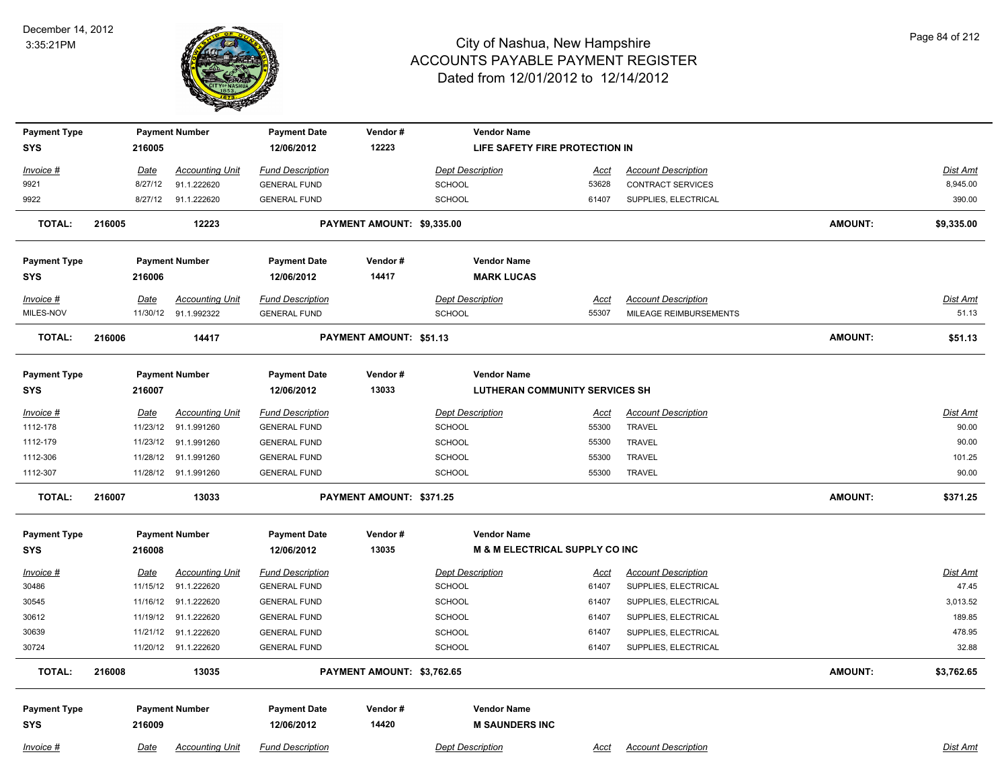

| <b>Payment Type</b> |        |             | <b>Payment Number</b>  | <b>Payment Date</b>     | Vendor#                    | <b>Vendor Name</b>                        |                                |                            |                |                 |  |  |
|---------------------|--------|-------------|------------------------|-------------------------|----------------------------|-------------------------------------------|--------------------------------|----------------------------|----------------|-----------------|--|--|
| <b>SYS</b>          |        | 216005      |                        | 12/06/2012              | 12223                      |                                           | LIFE SAFETY FIRE PROTECTION IN |                            |                |                 |  |  |
| Invoice #           |        | <u>Date</u> | <b>Accounting Unit</b> | <b>Fund Description</b> |                            | <b>Dept Description</b>                   | <u>Acct</u>                    | <b>Account Description</b> |                | Dist Amt        |  |  |
| 9921                |        | 8/27/12     | 91.1.222620            | <b>GENERAL FUND</b>     |                            | SCHOOL                                    | 53628                          | <b>CONTRACT SERVICES</b>   |                | 8,945.00        |  |  |
| 9922                |        | 8/27/12     | 91.1.222620            | <b>GENERAL FUND</b>     |                            | <b>SCHOOL</b>                             | 61407                          | SUPPLIES, ELECTRICAL       |                | 390.00          |  |  |
| <b>TOTAL:</b>       | 216005 |             | 12223                  |                         | PAYMENT AMOUNT: \$9,335.00 |                                           |                                |                            | <b>AMOUNT:</b> | \$9,335.00      |  |  |
| <b>Payment Type</b> |        |             | <b>Payment Number</b>  | <b>Payment Date</b>     | Vendor#                    | <b>Vendor Name</b>                        |                                |                            |                |                 |  |  |
| <b>SYS</b>          |        | 216006      |                        | 12/06/2012              | 14417                      | <b>MARK LUCAS</b>                         |                                |                            |                |                 |  |  |
| Invoice #           |        | Date        | <b>Accounting Unit</b> | <b>Fund Description</b> |                            | <b>Dept Description</b>                   | <b>Acct</b>                    | <b>Account Description</b> |                | <b>Dist Amt</b> |  |  |
| MILES-NOV           |        |             | 11/30/12 91.1.992322   | <b>GENERAL FUND</b>     |                            | <b>SCHOOL</b>                             | 55307                          | MILEAGE REIMBURSEMENTS     |                | 51.13           |  |  |
| <b>TOTAL:</b>       | 216006 |             | 14417                  |                         | PAYMENT AMOUNT: \$51.13    |                                           |                                |                            | <b>AMOUNT:</b> | \$51.13         |  |  |
|                     |        |             |                        |                         |                            |                                           |                                |                            |                |                 |  |  |
| <b>Payment Type</b> |        |             | <b>Payment Number</b>  | <b>Payment Date</b>     | Vendor#                    | <b>Vendor Name</b>                        |                                |                            |                |                 |  |  |
| <b>SYS</b>          |        | 216007      |                        | 12/06/2012              | 13033                      | <b>LUTHERAN COMMUNITY SERVICES SH</b>     |                                |                            |                |                 |  |  |
| Invoice #           |        | <b>Date</b> | <b>Accounting Unit</b> | <b>Fund Description</b> |                            | <b>Dept Description</b>                   | <u>Acct</u>                    | <b>Account Description</b> |                | Dist Amt        |  |  |
| 1112-178            |        | 11/23/12    | 91.1.991260            | <b>GENERAL FUND</b>     |                            | <b>SCHOOL</b>                             | 55300                          | <b>TRAVEL</b>              |                | 90.00           |  |  |
| 1112-179            |        | 11/23/12    | 91.1.991260            | <b>GENERAL FUND</b>     |                            | <b>SCHOOL</b>                             | 55300                          | TRAVEL                     |                | 90.00           |  |  |
| 1112-306            |        | 11/28/12    | 91.1.991260            | <b>GENERAL FUND</b>     |                            | <b>SCHOOL</b>                             | 55300                          | <b>TRAVEL</b>              |                | 101.25          |  |  |
| 1112-307            |        |             | 11/28/12 91.1.991260   | <b>GENERAL FUND</b>     |                            | <b>SCHOOL</b>                             | 55300                          | TRAVEL                     |                | 90.00           |  |  |
| <b>TOTAL:</b>       | 216007 |             | 13033                  |                         | PAYMENT AMOUNT: \$371.25   |                                           |                                |                            | <b>AMOUNT:</b> | \$371.25        |  |  |
| <b>Payment Type</b> |        |             | <b>Payment Number</b>  | <b>Payment Date</b>     | Vendor#                    | <b>Vendor Name</b>                        |                                |                            |                |                 |  |  |
| <b>SYS</b>          |        | 216008      |                        | 12/06/2012              | 13035                      | <b>M &amp; M ELECTRICAL SUPPLY CO INC</b> |                                |                            |                |                 |  |  |
| Invoice #           |        | <b>Date</b> | <b>Accounting Unit</b> | <b>Fund Description</b> |                            | <b>Dept Description</b>                   | <u>Acct</u>                    | <b>Account Description</b> |                | <b>Dist Amt</b> |  |  |
| 30486               |        | 11/15/12    | 91.1.222620            | <b>GENERAL FUND</b>     |                            | <b>SCHOOL</b>                             | 61407                          | SUPPLIES, ELECTRICAL       |                | 47.45           |  |  |
| 30545               |        |             | 11/16/12 91.1.222620   | <b>GENERAL FUND</b>     |                            | <b>SCHOOL</b>                             | 61407                          | SUPPLIES, ELECTRICAL       |                | 3,013.52        |  |  |
| 30612               |        | 11/19/12    | 91.1.222620            | <b>GENERAL FUND</b>     |                            | <b>SCHOOL</b>                             | 61407                          | SUPPLIES, ELECTRICAL       |                | 189.85          |  |  |
| 30639               |        | 11/21/12    | 91.1.222620            | <b>GENERAL FUND</b>     |                            | <b>SCHOOL</b>                             | 61407                          | SUPPLIES, ELECTRICAL       |                | 478.95          |  |  |
| 30724               |        |             | 11/20/12 91.1.222620   | <b>GENERAL FUND</b>     |                            | <b>SCHOOL</b>                             | 61407                          | SUPPLIES, ELECTRICAL       |                | 32.88           |  |  |
| <b>TOTAL:</b>       | 216008 |             | 13035                  |                         | PAYMENT AMOUNT: \$3,762.65 |                                           |                                |                            | <b>AMOUNT:</b> | \$3,762.65      |  |  |
| <b>Payment Type</b> |        |             | <b>Payment Number</b>  | <b>Payment Date</b>     | Vendor#                    | <b>Vendor Name</b>                        |                                |                            |                |                 |  |  |
| <b>SYS</b>          |        | 216009      |                        | 12/06/2012              | 14420                      | <b>M SAUNDERS INC</b>                     |                                |                            |                |                 |  |  |
| Invoice #           |        | Date        | <b>Accounting Unit</b> | <b>Fund Description</b> |                            | <b>Dept Description</b>                   | Acct                           | <b>Account Description</b> |                | Dist Amt        |  |  |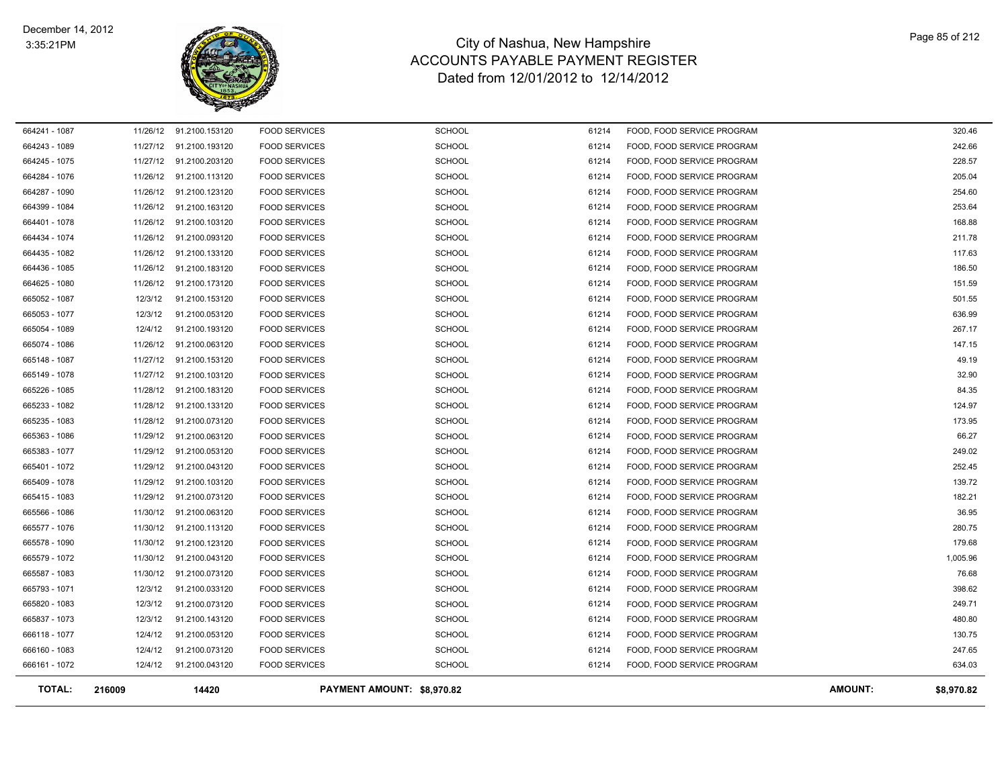

| <b>TOTAL:</b> | 216009   | 14420                   |                      | PAYMENT AMOUNT: \$8,970.82 |       |                            | <b>AMOUNT:</b><br>\$8,970.82 |
|---------------|----------|-------------------------|----------------------|----------------------------|-------|----------------------------|------------------------------|
| 666161 - 1072 | 12/4/12  | 91.2100.043120          | <b>FOOD SERVICES</b> | <b>SCHOOL</b>              | 61214 | FOOD, FOOD SERVICE PROGRAM | 634.03                       |
| 666160 - 1083 | 12/4/12  | 91.2100.073120          | <b>FOOD SERVICES</b> | <b>SCHOOL</b>              | 61214 | FOOD, FOOD SERVICE PROGRAM | 247.65                       |
| 666118 - 1077 | 12/4/12  | 91.2100.053120          | <b>FOOD SERVICES</b> | <b>SCHOOL</b>              | 61214 | FOOD, FOOD SERVICE PROGRAM | 130.75                       |
| 665837 - 1073 | 12/3/12  | 91.2100.143120          | <b>FOOD SERVICES</b> | <b>SCHOOL</b>              | 61214 | FOOD, FOOD SERVICE PROGRAM | 480.80                       |
| 665820 - 1083 | 12/3/12  | 91.2100.073120          | <b>FOOD SERVICES</b> | <b>SCHOOL</b>              | 61214 | FOOD, FOOD SERVICE PROGRAM | 249.71                       |
| 665793 - 1071 | 12/3/12  | 91.2100.033120          | <b>FOOD SERVICES</b> | <b>SCHOOL</b>              | 61214 | FOOD, FOOD SERVICE PROGRAM | 398.62                       |
| 665587 - 1083 | 11/30/12 | 91.2100.073120          | <b>FOOD SERVICES</b> | <b>SCHOOL</b>              | 61214 | FOOD, FOOD SERVICE PROGRAM | 76.68                        |
| 665579 - 1072 | 11/30/12 | 91.2100.043120          | <b>FOOD SERVICES</b> | <b>SCHOOL</b>              | 61214 | FOOD, FOOD SERVICE PROGRAM | 1,005.96                     |
| 665578 - 1090 | 11/30/12 | 91.2100.123120          | <b>FOOD SERVICES</b> | <b>SCHOOL</b>              | 61214 | FOOD, FOOD SERVICE PROGRAM | 179.68                       |
| 665577 - 1076 | 11/30/12 | 91.2100.113120          | <b>FOOD SERVICES</b> | <b>SCHOOL</b>              | 61214 | FOOD, FOOD SERVICE PROGRAM | 280.75                       |
| 665566 - 1086 | 11/30/12 | 91.2100.063120          | <b>FOOD SERVICES</b> | <b>SCHOOL</b>              | 61214 | FOOD, FOOD SERVICE PROGRAM | 36.95                        |
| 665415 - 1083 | 11/29/12 | 91.2100.073120          | <b>FOOD SERVICES</b> | <b>SCHOOL</b>              | 61214 | FOOD, FOOD SERVICE PROGRAM | 182.21                       |
| 665409 - 1078 | 11/29/12 | 91.2100.103120          | <b>FOOD SERVICES</b> | <b>SCHOOL</b>              | 61214 | FOOD, FOOD SERVICE PROGRAM | 139.72                       |
| 665401 - 1072 | 11/29/12 | 91.2100.043120          | <b>FOOD SERVICES</b> | <b>SCHOOL</b>              | 61214 | FOOD, FOOD SERVICE PROGRAM | 252.45                       |
| 665383 - 1077 | 11/29/12 | 91.2100.053120          | <b>FOOD SERVICES</b> | <b>SCHOOL</b>              | 61214 | FOOD, FOOD SERVICE PROGRAM | 249.02                       |
| 665363 - 1086 | 11/29/12 | 91.2100.063120          | <b>FOOD SERVICES</b> | <b>SCHOOL</b>              | 61214 | FOOD, FOOD SERVICE PROGRAM | 66.27                        |
| 665235 - 1083 | 11/28/12 | 91.2100.073120          | <b>FOOD SERVICES</b> | SCHOOL                     | 61214 | FOOD, FOOD SERVICE PROGRAM | 173.95                       |
| 665233 - 1082 | 11/28/12 | 91.2100.133120          | <b>FOOD SERVICES</b> | <b>SCHOOL</b>              | 61214 | FOOD, FOOD SERVICE PROGRAM | 124.97                       |
| 665226 - 1085 | 11/28/12 | 91.2100.183120          | <b>FOOD SERVICES</b> | <b>SCHOOL</b>              | 61214 | FOOD, FOOD SERVICE PROGRAM | 84.35                        |
| 665149 - 1078 |          | 11/27/12 91.2100.103120 | <b>FOOD SERVICES</b> | <b>SCHOOL</b>              | 61214 | FOOD, FOOD SERVICE PROGRAM | 32.90                        |
| 665148 - 1087 |          | 11/27/12 91.2100.153120 | <b>FOOD SERVICES</b> | <b>SCHOOL</b>              | 61214 | FOOD, FOOD SERVICE PROGRAM | 49.19                        |
| 665074 - 1086 |          | 11/26/12 91.2100.063120 | <b>FOOD SERVICES</b> | <b>SCHOOL</b>              | 61214 | FOOD, FOOD SERVICE PROGRAM | 147.15                       |
| 665054 - 1089 | 12/4/12  | 91.2100.193120          | <b>FOOD SERVICES</b> | <b>SCHOOL</b>              | 61214 | FOOD, FOOD SERVICE PROGRAM | 267.17                       |
| 665053 - 1077 | 12/3/12  | 91.2100.053120          | <b>FOOD SERVICES</b> | SCHOOL                     | 61214 | FOOD, FOOD SERVICE PROGRAM | 636.99                       |
| 665052 - 1087 | 12/3/12  | 91.2100.153120          | <b>FOOD SERVICES</b> | <b>SCHOOL</b>              | 61214 | FOOD, FOOD SERVICE PROGRAM | 501.55                       |
| 664625 - 1080 |          | 11/26/12 91.2100.173120 | <b>FOOD SERVICES</b> | SCHOOL                     | 61214 | FOOD, FOOD SERVICE PROGRAM | 151.59                       |
| 664436 - 1085 |          | 11/26/12 91.2100.183120 | <b>FOOD SERVICES</b> | <b>SCHOOL</b>              | 61214 | FOOD, FOOD SERVICE PROGRAM | 186.50                       |
| 664435 - 1082 |          | 11/26/12 91.2100.133120 | <b>FOOD SERVICES</b> | <b>SCHOOL</b>              | 61214 | FOOD, FOOD SERVICE PROGRAM | 117.63                       |
| 664434 - 1074 |          | 11/26/12 91.2100.093120 | <b>FOOD SERVICES</b> | <b>SCHOOL</b>              | 61214 | FOOD, FOOD SERVICE PROGRAM | 211.78                       |
| 664401 - 1078 | 11/26/12 | 91.2100.103120          | <b>FOOD SERVICES</b> | <b>SCHOOL</b>              | 61214 | FOOD, FOOD SERVICE PROGRAM | 168.88                       |
| 664399 - 1084 | 11/26/12 | 91.2100.163120          | <b>FOOD SERVICES</b> | <b>SCHOOL</b>              | 61214 | FOOD, FOOD SERVICE PROGRAM | 253.64                       |
| 664287 - 1090 |          | 11/26/12 91.2100.123120 | <b>FOOD SERVICES</b> | <b>SCHOOL</b>              | 61214 | FOOD, FOOD SERVICE PROGRAM | 254.60                       |
| 664284 - 1076 | 11/26/12 | 91.2100.113120          | <b>FOOD SERVICES</b> | <b>SCHOOL</b>              | 61214 | FOOD, FOOD SERVICE PROGRAM | 205.04                       |
| 664245 - 1075 | 11/27/12 | 91.2100.203120          | <b>FOOD SERVICES</b> | <b>SCHOOL</b>              | 61214 | FOOD, FOOD SERVICE PROGRAM | 228.57                       |
| 664243 - 1089 |          | 11/27/12 91.2100.193120 | <b>FOOD SERVICES</b> | <b>SCHOOL</b>              | 61214 | FOOD, FOOD SERVICE PROGRAM | 242.66                       |
| 664241 - 1087 |          | 11/26/12 91.2100.153120 | <b>FOOD SERVICES</b> | <b>SCHOOL</b>              | 61214 | FOOD, FOOD SERVICE PROGRAM | 320.46                       |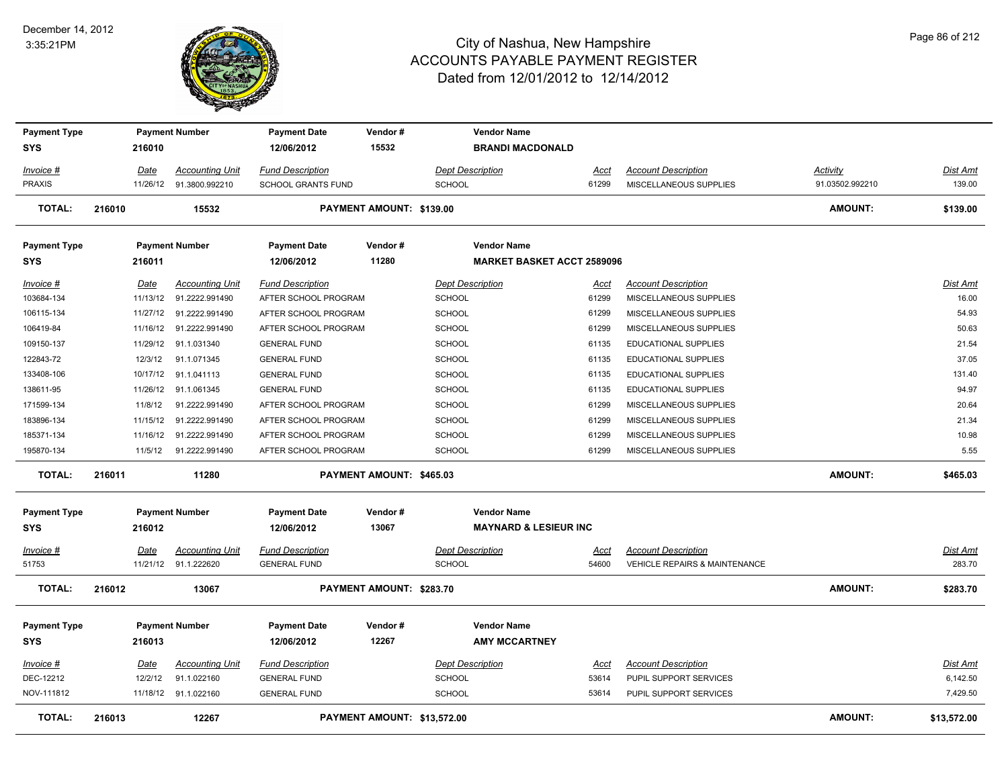#### December 14, 2012 3:35:21PM



| <b>Payment Type</b>               |             | <b>Payment Number</b>                             | <b>Payment Date</b>                             | Vendor#                     | <b>Vendor Name</b>                                     |                      |                                                      |                 |                   |
|-----------------------------------|-------------|---------------------------------------------------|-------------------------------------------------|-----------------------------|--------------------------------------------------------|----------------------|------------------------------------------------------|-----------------|-------------------|
| SYS                               | 216010      |                                                   | 12/06/2012                                      | 15532                       | <b>BRANDI MACDONALD</b>                                |                      |                                                      |                 |                   |
| Invoice #                         | <u>Date</u> | <b>Accounting Unit</b>                            | <b>Fund Description</b>                         |                             | <b>Dept Description</b>                                | <u>Acct</u>          | <b>Account Description</b>                           | <b>Activity</b> | Dist Amt          |
| <b>PRAXIS</b>                     |             | 11/26/12 91.3800.992210                           | <b>SCHOOL GRANTS FUND</b>                       |                             | <b>SCHOOL</b>                                          | 61299                | MISCELLANEOUS SUPPLIES                               | 91.03502.992210 | 139.00            |
| <b>TOTAL:</b>                     | 216010      | 15532                                             |                                                 | PAYMENT AMOUNT: \$139.00    |                                                        |                      |                                                      | <b>AMOUNT:</b>  | \$139.00          |
| <b>Payment Type</b>               |             | <b>Payment Number</b>                             | <b>Payment Date</b>                             | Vendor#                     | <b>Vendor Name</b>                                     |                      |                                                      |                 |                   |
| SYS                               | 216011      |                                                   | 12/06/2012                                      | 11280                       | <b>MARKET BASKET ACCT 2589096</b>                      |                      |                                                      |                 |                   |
| Invoice #<br>103684-134           | <u>Date</u> | <b>Accounting Unit</b><br>11/13/12 91.2222.991490 | <b>Fund Description</b><br>AFTER SCHOOL PROGRAM |                             | <b>Dept Description</b><br><b>SCHOOL</b>               | <u>Acct</u><br>61299 | <b>Account Description</b><br>MISCELLANEOUS SUPPLIES |                 | Dist Amt<br>16.00 |
| 106115-134                        |             | 11/27/12 91.2222.991490                           | AFTER SCHOOL PROGRAM                            |                             | <b>SCHOOL</b>                                          | 61299                | MISCELLANEOUS SUPPLIES                               |                 | 54.93             |
| 106419-84                         |             | 11/16/12 91.2222.991490                           | AFTER SCHOOL PROGRAM                            |                             | <b>SCHOOL</b>                                          | 61299                | MISCELLANEOUS SUPPLIES                               |                 | 50.63             |
| 109150-137                        |             | 11/29/12 91.1.031340                              | <b>GENERAL FUND</b>                             |                             | <b>SCHOOL</b>                                          | 61135                | <b>EDUCATIONAL SUPPLIES</b>                          |                 | 21.54             |
| 122843-72                         | 12/3/12     | 91.1.071345                                       | <b>GENERAL FUND</b>                             |                             | SCHOOL                                                 | 61135                | <b>EDUCATIONAL SUPPLIES</b>                          |                 | 37.05             |
| 133408-106                        |             | 10/17/12 91.1.041113                              | <b>GENERAL FUND</b>                             |                             | <b>SCHOOL</b>                                          | 61135                | <b>EDUCATIONAL SUPPLIES</b>                          |                 | 131.40            |
| 138611-95                         |             | 11/26/12 91.1.061345                              | <b>GENERAL FUND</b>                             |                             | SCHOOL                                                 | 61135                | <b>EDUCATIONAL SUPPLIES</b>                          |                 | 94.97             |
| 171599-134                        | 11/8/12     | 91.2222.991490                                    | AFTER SCHOOL PROGRAM                            |                             | <b>SCHOOL</b>                                          | 61299                | MISCELLANEOUS SUPPLIES                               |                 | 20.64             |
| 183896-134                        |             | 11/15/12  91.2222.991490                          | AFTER SCHOOL PROGRAM                            |                             | <b>SCHOOL</b>                                          | 61299                | MISCELLANEOUS SUPPLIES                               |                 | 21.34             |
| 185371-134                        |             | 11/16/12 91.2222.991490                           | AFTER SCHOOL PROGRAM                            |                             | <b>SCHOOL</b>                                          | 61299                | MISCELLANEOUS SUPPLIES                               |                 | 10.98             |
| 195870-134                        |             | 11/5/12  91.2222.991490                           | AFTER SCHOOL PROGRAM                            |                             | <b>SCHOOL</b>                                          | 61299                | MISCELLANEOUS SUPPLIES                               |                 | 5.55              |
| <b>TOTAL:</b>                     | 216011      | 11280                                             |                                                 | PAYMENT AMOUNT: \$465.03    |                                                        |                      |                                                      | AMOUNT:         | \$465.03          |
| <b>Payment Type</b><br><b>SYS</b> | 216012      | <b>Payment Number</b>                             | <b>Payment Date</b><br>12/06/2012               | Vendor#<br>13067            | <b>Vendor Name</b><br><b>MAYNARD &amp; LESIEUR INC</b> |                      |                                                      |                 |                   |
| <u>Invoice #</u>                  | <u>Date</u> | <b>Accounting Unit</b>                            | <b>Fund Description</b>                         |                             | <b>Dept Description</b>                                | <u>Acct</u>          | <b>Account Description</b>                           |                 | <u>Dist Amt</u>   |
| 51753                             |             | 11/21/12 91.1.222620                              | <b>GENERAL FUND</b>                             |                             | <b>SCHOOL</b>                                          | 54600                | <b>VEHICLE REPAIRS &amp; MAINTENANCE</b>             |                 | 283.70            |
| <b>TOTAL:</b>                     | 216012      | 13067                                             |                                                 | PAYMENT AMOUNT: \$283.70    |                                                        |                      |                                                      | <b>AMOUNT:</b>  | \$283.70          |
| <b>Payment Type</b><br><b>SYS</b> | 216013      | <b>Payment Number</b>                             | <b>Payment Date</b><br>12/06/2012               | Vendor#<br>12267            | <b>Vendor Name</b><br><b>AMY MCCARTNEY</b>             |                      |                                                      |                 |                   |
| <u>Invoice #</u>                  | <u>Date</u> | <b>Accounting Unit</b>                            | <b>Fund Description</b>                         |                             | <b>Dept Description</b>                                | <u>Acct</u>          | <b>Account Description</b>                           |                 | <b>Dist Amt</b>   |
| DEC-12212                         | 12/2/12     | 91.1.022160                                       | <b>GENERAL FUND</b>                             |                             | <b>SCHOOL</b>                                          | 53614                | PUPIL SUPPORT SERVICES                               |                 | 6,142.50          |
| NOV-111812                        |             | 11/18/12 91.1.022160                              | <b>GENERAL FUND</b>                             |                             | <b>SCHOOL</b>                                          | 53614                | PUPIL SUPPORT SERVICES                               |                 | 7,429.50          |
| <b>TOTAL:</b>                     | 216013      | 12267                                             |                                                 | PAYMENT AMOUNT: \$13,572.00 |                                                        |                      |                                                      | AMOUNT:         | \$13,572.00       |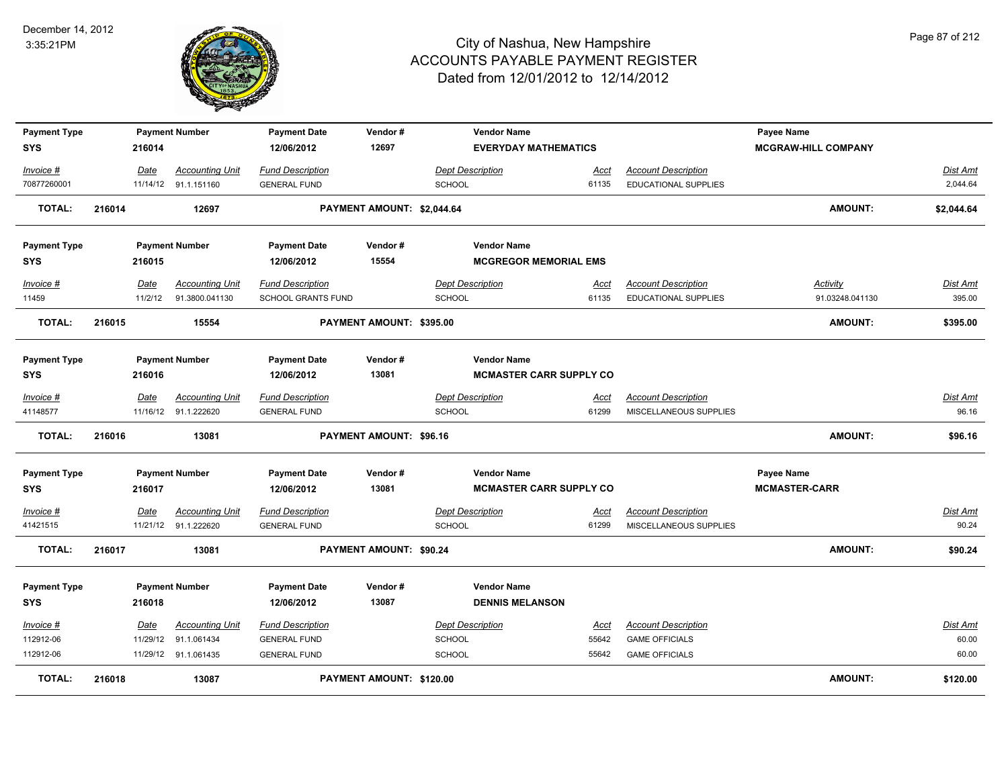

| <b>Payment Type</b>               |        |          | <b>Payment Number</b>                          | <b>Payment Date</b>                            | Vendor#                    | <b>Vendor Name</b>                                   |                      |                                                    | Payee Name                         |                      |
|-----------------------------------|--------|----------|------------------------------------------------|------------------------------------------------|----------------------------|------------------------------------------------------|----------------------|----------------------------------------------------|------------------------------------|----------------------|
| <b>SYS</b>                        |        | 216014   |                                                | 12/06/2012                                     | 12697                      | <b>EVERYDAY MATHEMATICS</b>                          |                      |                                                    | <b>MCGRAW-HILL COMPANY</b>         |                      |
| Invoice #<br>70877260001          |        | Date     | <b>Accounting Unit</b><br>11/14/12 91.1.151160 | <b>Fund Description</b><br><b>GENERAL FUND</b> |                            | <b>Dept Description</b><br><b>SCHOOL</b>             | Acct<br>61135        | <b>Account Description</b><br>EDUCATIONAL SUPPLIES |                                    | Dist Amt<br>2,044.64 |
| <b>TOTAL:</b>                     | 216014 |          | 12697                                          |                                                | PAYMENT AMOUNT: \$2,044.64 |                                                      |                      |                                                    | <b>AMOUNT:</b>                     | \$2,044.64           |
| <b>Payment Type</b><br><b>SYS</b> |        | 216015   | <b>Payment Number</b>                          | <b>Payment Date</b><br>12/06/2012              | Vendor#<br>15554           | <b>Vendor Name</b><br><b>MCGREGOR MEMORIAL EMS</b>   |                      |                                                    |                                    |                      |
| Invoice #                         |        | Date     | <b>Accounting Unit</b>                         | <b>Fund Description</b>                        |                            | Dept Description                                     | Acct                 | <b>Account Description</b>                         | Activity                           | Dist Amt             |
| 11459                             |        | 11/2/12  | 91.3800.041130                                 | SCHOOL GRANTS FUND                             |                            | SCHOOL                                               | 61135                | EDUCATIONAL SUPPLIES                               | 91.03248.041130                    | 395.00               |
| <b>TOTAL:</b>                     | 216015 |          | 15554                                          |                                                | PAYMENT AMOUNT: \$395.00   |                                                      |                      |                                                    | <b>AMOUNT:</b>                     | \$395.00             |
| <b>Payment Type</b><br><b>SYS</b> |        | 216016   | <b>Payment Number</b>                          | <b>Payment Date</b><br>12/06/2012              | Vendor#<br>13081           | <b>Vendor Name</b><br><b>MCMASTER CARR SUPPLY CO</b> |                      |                                                    |                                    |                      |
| Invoice #                         |        | Date     | <b>Accounting Unit</b>                         | <b>Fund Description</b>                        |                            | <b>Dept Description</b>                              | <u>Acct</u>          | <b>Account Description</b>                         |                                    | Dist Amt             |
| 41148577                          |        |          | 11/16/12 91.1.222620                           | <b>GENERAL FUND</b>                            |                            | <b>SCHOOL</b>                                        | 61299                | MISCELLANEOUS SUPPLIES                             |                                    | 96.16                |
| <b>TOTAL:</b>                     | 216016 |          | 13081                                          |                                                | PAYMENT AMOUNT: \$96.16    |                                                      |                      |                                                    | <b>AMOUNT:</b>                     | \$96.16              |
| <b>Payment Type</b><br><b>SYS</b> |        | 216017   | <b>Payment Number</b>                          | <b>Payment Date</b><br>12/06/2012              | Vendor#<br>13081           | <b>Vendor Name</b><br><b>MCMASTER CARR SUPPLY CO</b> |                      |                                                    | Payee Name<br><b>MCMASTER-CARR</b> |                      |
| Invoice #                         |        | Date     | <b>Accounting Unit</b>                         | <b>Fund Description</b>                        |                            | <b>Dept Description</b>                              | <u>Acct</u>          | <b>Account Description</b>                         |                                    | Dist Amt             |
| 41421515                          |        |          | 11/21/12 91.1.222620                           | <b>GENERAL FUND</b>                            |                            | SCHOOL                                               | 61299                | MISCELLANEOUS SUPPLIES                             |                                    | 90.24                |
| <b>TOTAL:</b>                     | 216017 |          | 13081                                          |                                                | PAYMENT AMOUNT: \$90.24    |                                                      |                      |                                                    | <b>AMOUNT:</b>                     | \$90.24              |
| <b>Payment Type</b><br><b>SYS</b> |        | 216018   | <b>Payment Number</b>                          | <b>Payment Date</b><br>12/06/2012              | Vendor#<br>13087           | <b>Vendor Name</b><br><b>DENNIS MELANSON</b>         |                      |                                                    |                                    |                      |
| Invoice #                         |        | Date     | <b>Accounting Unit</b>                         | <b>Fund Description</b>                        |                            | <b>Dept Description</b>                              |                      | <b>Account Description</b>                         |                                    | <u>Dist Amt</u>      |
| 112912-06                         |        | 11/29/12 | 91.1.061434                                    | <b>GENERAL FUND</b>                            |                            | <b>SCHOOL</b>                                        | <u>Acct</u><br>55642 | <b>GAME OFFICIALS</b>                              |                                    | 60.00                |
| 112912-06                         |        |          | 11/29/12 91.1.061435                           | <b>GENERAL FUND</b>                            |                            | <b>SCHOOL</b>                                        | 55642                | <b>GAME OFFICIALS</b>                              |                                    | 60.00                |
| <b>TOTAL:</b>                     | 216018 |          | 13087                                          |                                                | PAYMENT AMOUNT: \$120.00   |                                                      |                      |                                                    | <b>AMOUNT:</b>                     | \$120.00             |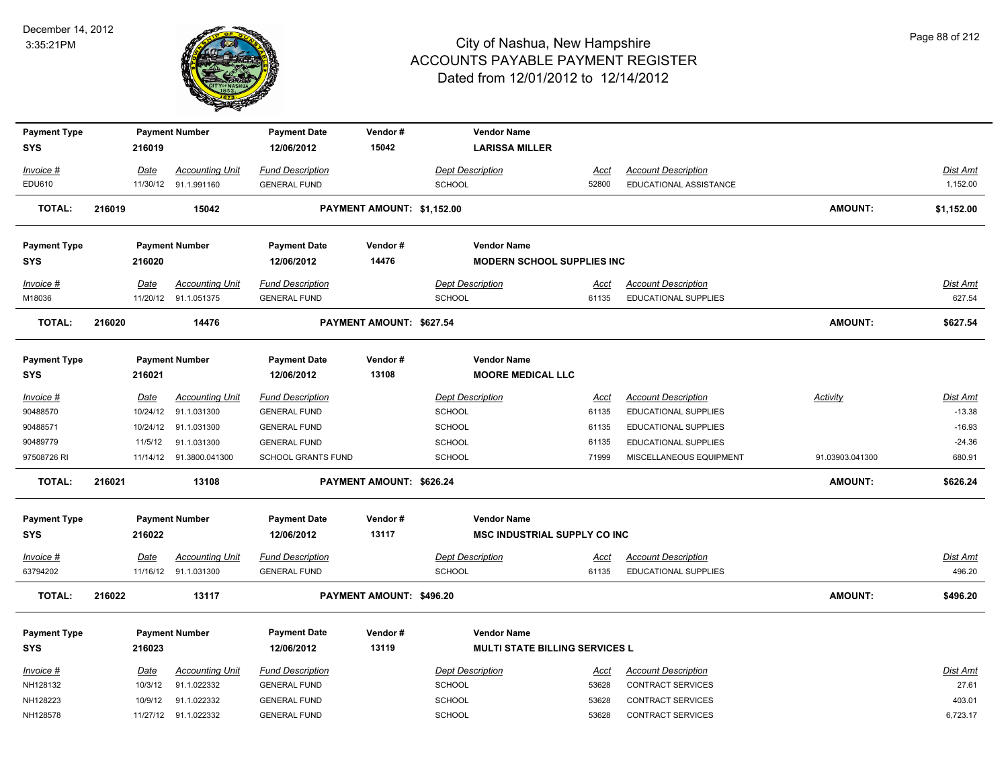

| <b>Payment Type</b> |        |         | <b>Payment Number</b>   | <b>Payment Date</b>       | Vendor#<br>15042           |                         | <b>Vendor Name</b>                    |             |                             |                 |                 |
|---------------------|--------|---------|-------------------------|---------------------------|----------------------------|-------------------------|---------------------------------------|-------------|-----------------------------|-----------------|-----------------|
| <b>SYS</b>          |        | 216019  |                         | 12/06/2012                |                            |                         | <b>LARISSA MILLER</b>                 |             |                             |                 |                 |
| Invoice #           |        | Date    | <b>Accounting Unit</b>  | <b>Fund Description</b>   |                            | <b>Dept Description</b> |                                       | <u>Acct</u> | <b>Account Description</b>  |                 | <b>Dist Amt</b> |
| EDU610              |        |         | 11/30/12 91.1.991160    | <b>GENERAL FUND</b>       |                            | <b>SCHOOL</b>           |                                       | 52800       | EDUCATIONAL ASSISTANCE      |                 | 1,152.00        |
| <b>TOTAL:</b>       | 216019 |         | 15042                   |                           | PAYMENT AMOUNT: \$1,152.00 |                         |                                       |             |                             | AMOUNT:         | \$1,152.00      |
| <b>Payment Type</b> |        |         | <b>Payment Number</b>   | <b>Payment Date</b>       | Vendor#                    |                         | <b>Vendor Name</b>                    |             |                             |                 |                 |
| <b>SYS</b>          |        | 216020  |                         | 12/06/2012                | 14476                      |                         | <b>MODERN SCHOOL SUPPLIES INC</b>     |             |                             |                 |                 |
| Invoice #           |        | Date    | <b>Accounting Unit</b>  | <b>Fund Description</b>   |                            | <b>Dept Description</b> |                                       | Acct        | <b>Account Description</b>  |                 | Dist Amt        |
| M18036              |        |         | 11/20/12 91.1.051375    | <b>GENERAL FUND</b>       |                            | <b>SCHOOL</b>           |                                       | 61135       | <b>EDUCATIONAL SUPPLIES</b> |                 | 627.54          |
| <b>TOTAL:</b>       | 216020 |         | 14476                   |                           | PAYMENT AMOUNT: \$627.54   |                         |                                       |             |                             | <b>AMOUNT:</b>  | \$627.54        |
| <b>Payment Type</b> |        |         | <b>Payment Number</b>   | <b>Payment Date</b>       | Vendor#                    |                         | <b>Vendor Name</b>                    |             |                             |                 |                 |
| <b>SYS</b>          |        | 216021  |                         | 12/06/2012                | 13108                      |                         | <b>MOORE MEDICAL LLC</b>              |             |                             |                 |                 |
| Invoice #           |        | Date    | <b>Accounting Unit</b>  | <b>Fund Description</b>   |                            | <b>Dept Description</b> |                                       | Acct        | <b>Account Description</b>  | Activity        | <b>Dist Amt</b> |
| 90488570            |        |         | 10/24/12 91.1.031300    | <b>GENERAL FUND</b>       |                            | <b>SCHOOL</b>           |                                       | 61135       | <b>EDUCATIONAL SUPPLIES</b> |                 | $-13.38$        |
| 90488571            |        |         | 10/24/12 91.1.031300    | <b>GENERAL FUND</b>       |                            | <b>SCHOOL</b>           |                                       | 61135       | <b>EDUCATIONAL SUPPLIES</b> |                 | $-16.93$        |
| 90489779            |        | 11/5/12 | 91.1.031300             | <b>GENERAL FUND</b>       |                            | <b>SCHOOL</b>           |                                       | 61135       | EDUCATIONAL SUPPLIES        |                 | $-24.36$        |
| 97508726 RI         |        |         | 11/14/12 91.3800.041300 | <b>SCHOOL GRANTS FUND</b> |                            | <b>SCHOOL</b>           |                                       | 71999       | MISCELLANEOUS EQUIPMENT     | 91.03903.041300 | 680.91          |
| TOTAL:              | 216021 |         | 13108                   |                           | PAYMENT AMOUNT: \$626.24   |                         |                                       |             |                             | AMOUNT:         | \$626.24        |
| <b>Payment Type</b> |        |         | <b>Payment Number</b>   | <b>Payment Date</b>       | Vendor#                    |                         | <b>Vendor Name</b>                    |             |                             |                 |                 |
| <b>SYS</b>          |        | 216022  |                         | 12/06/2012                | 13117                      |                         | <b>MSC INDUSTRIAL SUPPLY CO INC</b>   |             |                             |                 |                 |
| Invoice #           |        | Date    | <b>Accounting Unit</b>  | <b>Fund Description</b>   |                            | <b>Dept Description</b> |                                       | <u>Acct</u> | <b>Account Description</b>  |                 | <b>Dist Amt</b> |
| 63794202            |        |         | 11/16/12 91.1.031300    | <b>GENERAL FUND</b>       |                            | <b>SCHOOL</b>           |                                       | 61135       | <b>EDUCATIONAL SUPPLIES</b> |                 | 496.20          |
| <b>TOTAL:</b>       | 216022 |         | 13117                   |                           | PAYMENT AMOUNT: \$496.20   |                         |                                       |             |                             | <b>AMOUNT:</b>  | \$496.20        |
| <b>Payment Type</b> |        |         | <b>Payment Number</b>   | <b>Payment Date</b>       | Vendor#                    |                         | <b>Vendor Name</b>                    |             |                             |                 |                 |
| <b>SYS</b>          |        | 216023  |                         | 12/06/2012                | 13119                      |                         | <b>MULTI STATE BILLING SERVICES L</b> |             |                             |                 |                 |
|                     |        |         |                         |                           |                            |                         |                                       |             |                             |                 |                 |
| Invoice #           |        | Date    | <b>Accounting Unit</b>  | <b>Fund Description</b>   |                            | <b>Dept Description</b> |                                       | <u>Acct</u> | <b>Account Description</b>  |                 | Dist Amt        |
| NH128132            |        | 10/3/12 | 91.1.022332             | <b>GENERAL FUND</b>       |                            | <b>SCHOOL</b>           |                                       | 53628       | <b>CONTRACT SERVICES</b>    |                 | 27.61           |
| NH128223            |        | 10/9/12 | 91.1.022332             | <b>GENERAL FUND</b>       |                            | <b>SCHOOL</b>           |                                       | 53628       | <b>CONTRACT SERVICES</b>    |                 | 403.01          |
| NH128578            |        |         | 11/27/12 91.1.022332    | <b>GENERAL FUND</b>       |                            | <b>SCHOOL</b>           |                                       | 53628       | <b>CONTRACT SERVICES</b>    |                 | 6,723.17        |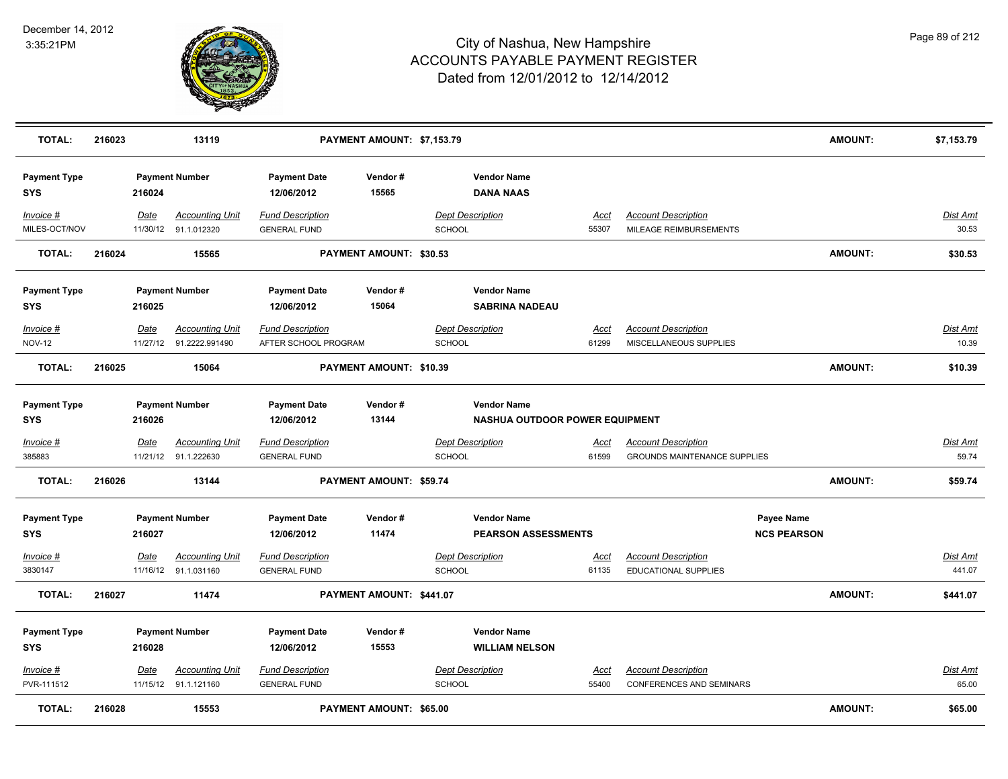

| <b>TOTAL:</b>                     | 216023 |             | 13119                                             |                                                 | PAYMENT AMOUNT: \$7,153.79     |                                   |                                                      |                      |                                                                   |                                         | <b>AMOUNT:</b> | \$7,153.79               |
|-----------------------------------|--------|-------------|---------------------------------------------------|-------------------------------------------------|--------------------------------|-----------------------------------|------------------------------------------------------|----------------------|-------------------------------------------------------------------|-----------------------------------------|----------------|--------------------------|
| <b>Payment Type</b><br><b>SYS</b> |        | 216024      | <b>Payment Number</b>                             | <b>Payment Date</b><br>12/06/2012               | Vendor#<br>15565               |                                   | <b>Vendor Name</b><br><b>DANA NAAS</b>               |                      |                                                                   |                                         |                |                          |
| Invoice #<br>MILES-OCT/NOV        |        | Date        | <b>Accounting Unit</b><br>11/30/12 91.1.012320    | <b>Fund Description</b><br><b>GENERAL FUND</b>  |                                | <b>Dept Description</b><br>SCHOOL |                                                      | Acct<br>55307        | <b>Account Description</b><br>MILEAGE REIMBURSEMENTS              |                                         |                | Dist Amt<br>30.53        |
| <b>TOTAL:</b>                     | 216024 |             | 15565                                             |                                                 | PAYMENT AMOUNT: \$30.53        |                                   |                                                      |                      |                                                                   |                                         | AMOUNT:        | \$30.53                  |
| <b>Payment Type</b><br><b>SYS</b> |        | 216025      | <b>Payment Number</b>                             | <b>Payment Date</b><br>12/06/2012               | Vendor#<br>15064               |                                   | <b>Vendor Name</b><br><b>SABRINA NADEAU</b>          |                      |                                                                   |                                         |                |                          |
| Invoice #<br><b>NOV-12</b>        |        | Date        | <b>Accounting Unit</b><br>11/27/12 91.2222.991490 | <b>Fund Description</b><br>AFTER SCHOOL PROGRAM |                                | SCHOOL                            | <b>Dept Description</b>                              | <u>Acct</u><br>61299 | <b>Account Description</b><br>MISCELLANEOUS SUPPLIES              |                                         |                | Dist Amt<br>10.39        |
| <b>TOTAL:</b>                     | 216025 |             | 15064                                             |                                                 | PAYMENT AMOUNT: \$10.39        |                                   |                                                      |                      |                                                                   |                                         | <b>AMOUNT:</b> | \$10.39                  |
| <b>Payment Type</b><br><b>SYS</b> |        | 216026      | <b>Payment Number</b>                             | <b>Payment Date</b><br>12/06/2012               | Vendor#<br>13144               |                                   | <b>Vendor Name</b><br>NASHUA OUTDOOR POWER EQUIPMENT |                      |                                                                   |                                         |                |                          |
| Invoice #<br>385883               |        | <u>Date</u> | <b>Accounting Unit</b><br>11/21/12 91.1.222630    | <b>Fund Description</b><br><b>GENERAL FUND</b>  |                                | <b>SCHOOL</b>                     | <b>Dept Description</b>                              | <u>Acct</u><br>61599 | <b>Account Description</b><br><b>GROUNDS MAINTENANCE SUPPLIES</b> |                                         |                | <u>Dist Amt</u><br>59.74 |
| <b>TOTAL:</b>                     | 216026 |             | 13144                                             |                                                 | PAYMENT AMOUNT: \$59.74        |                                   |                                                      |                      |                                                                   |                                         | <b>AMOUNT:</b> | \$59.74                  |
| <b>Payment Type</b><br><b>SYS</b> |        | 216027      | <b>Payment Number</b>                             | <b>Payment Date</b><br>12/06/2012               | Vendor#<br>11474               |                                   | <b>Vendor Name</b><br><b>PEARSON ASSESSMENTS</b>     |                      |                                                                   | <b>Payee Name</b><br><b>NCS PEARSON</b> |                |                          |
| Invoice #<br>3830147              |        | Date        | <b>Accounting Unit</b><br>11/16/12 91.1.031160    | <b>Fund Description</b><br><b>GENERAL FUND</b>  |                                | SCHOOL                            | <b>Dept Description</b>                              | Acct<br>61135        | <b>Account Description</b><br>EDUCATIONAL SUPPLIES                |                                         |                | Dist Amt<br>441.07       |
| <b>TOTAL:</b>                     | 216027 |             | 11474                                             |                                                 | PAYMENT AMOUNT: \$441.07       |                                   |                                                      |                      |                                                                   |                                         | <b>AMOUNT:</b> | \$441.07                 |
| <b>Payment Type</b><br><b>SYS</b> |        | 216028      | <b>Payment Number</b>                             | <b>Payment Date</b><br>12/06/2012               | Vendor#<br>15553               |                                   | <b>Vendor Name</b><br><b>WILLIAM NELSON</b>          |                      |                                                                   |                                         |                |                          |
| $Invoice$ #<br>PVR-111512         |        | Date        | <b>Accounting Unit</b><br>11/15/12 91.1.121160    | <b>Fund Description</b><br><b>GENERAL FUND</b>  |                                | SCHOOL                            | <b>Dept Description</b>                              | Acct<br>55400        | <b>Account Description</b><br><b>CONFERENCES AND SEMINARS</b>     |                                         |                | Dist Amt<br>65.00        |
| <b>TOTAL:</b>                     | 216028 |             | 15553                                             |                                                 | <b>PAYMENT AMOUNT: \$65.00</b> |                                   |                                                      |                      |                                                                   |                                         | <b>AMOUNT:</b> | \$65.00                  |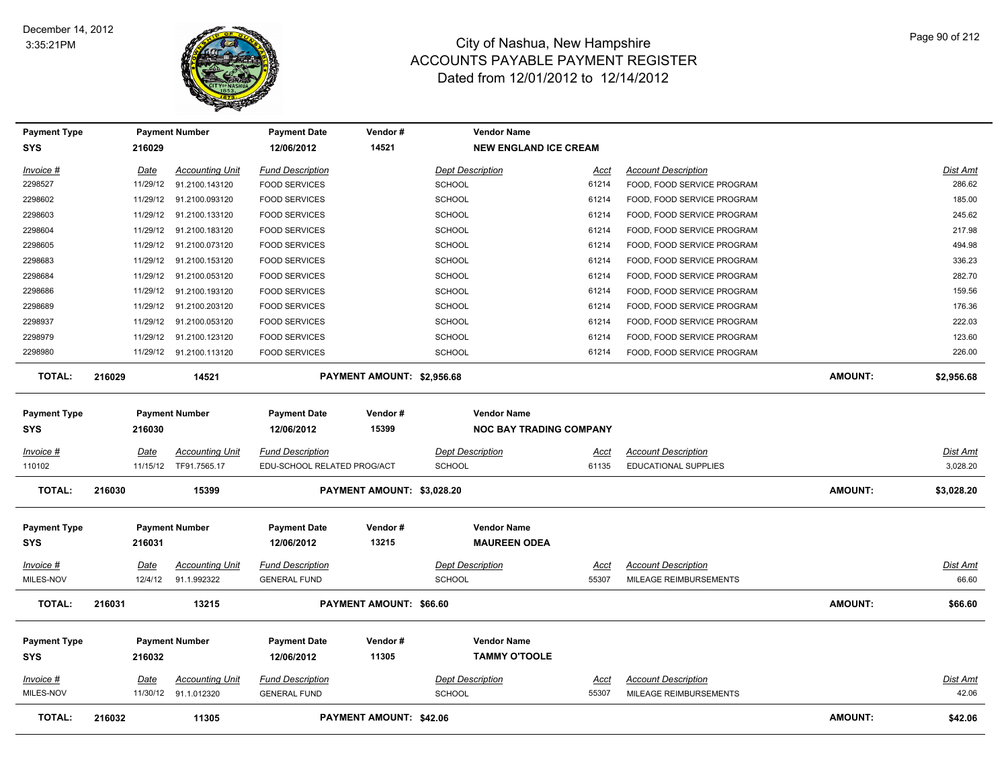

| <b>Payment Type</b>               |          | <b>Payment Number</b>   | <b>Payment Date</b>               | Vendor#                        | <b>Vendor Name</b>                                   |             |                            |                |                 |
|-----------------------------------|----------|-------------------------|-----------------------------------|--------------------------------|------------------------------------------------------|-------------|----------------------------|----------------|-----------------|
| <b>SYS</b>                        | 216029   |                         | 12/06/2012                        | 14521                          | <b>NEW ENGLAND ICE CREAM</b>                         |             |                            |                |                 |
| Invoice #                         | Date     | <b>Accounting Unit</b>  | <b>Fund Description</b>           |                                | <b>Dept Description</b>                              | <u>Acct</u> | <b>Account Description</b> |                | Dist Amt        |
| 2298527                           | 11/29/12 | 91.2100.143120          | <b>FOOD SERVICES</b>              |                                | <b>SCHOOL</b>                                        | 61214       | FOOD, FOOD SERVICE PROGRAM |                | 286.62          |
| 2298602                           |          | 11/29/12 91.2100.093120 | <b>FOOD SERVICES</b>              |                                | <b>SCHOOL</b>                                        | 61214       | FOOD, FOOD SERVICE PROGRAM |                | 185.00          |
| 2298603                           | 11/29/12 | 91.2100.133120          | <b>FOOD SERVICES</b>              |                                | <b>SCHOOL</b>                                        | 61214       | FOOD, FOOD SERVICE PROGRAM |                | 245.62          |
| 2298604                           | 11/29/12 | 91.2100.183120          | <b>FOOD SERVICES</b>              |                                | <b>SCHOOL</b>                                        | 61214       | FOOD, FOOD SERVICE PROGRAM |                | 217.98          |
| 2298605                           | 11/29/12 | 91.2100.073120          | <b>FOOD SERVICES</b>              |                                | <b>SCHOOL</b>                                        | 61214       | FOOD, FOOD SERVICE PROGRAM |                | 494.98          |
| 2298683                           |          | 11/29/12 91.2100.153120 | <b>FOOD SERVICES</b>              |                                | <b>SCHOOL</b>                                        | 61214       | FOOD, FOOD SERVICE PROGRAM |                | 336.23          |
| 2298684                           |          | 11/29/12 91.2100.053120 | <b>FOOD SERVICES</b>              |                                | <b>SCHOOL</b>                                        | 61214       | FOOD, FOOD SERVICE PROGRAM |                | 282.70          |
| 2298686                           | 11/29/12 | 91.2100.193120          | <b>FOOD SERVICES</b>              |                                | <b>SCHOOL</b>                                        | 61214       | FOOD, FOOD SERVICE PROGRAM |                | 159.56          |
| 2298689                           |          | 11/29/12 91.2100.203120 | <b>FOOD SERVICES</b>              |                                | <b>SCHOOL</b>                                        | 61214       | FOOD, FOOD SERVICE PROGRAM |                | 176.36          |
| 2298937                           |          | 11/29/12 91.2100.053120 | <b>FOOD SERVICES</b>              |                                | <b>SCHOOL</b>                                        | 61214       | FOOD, FOOD SERVICE PROGRAM |                | 222.03          |
| 2298979                           |          | 11/29/12 91.2100.123120 | <b>FOOD SERVICES</b>              |                                | SCHOOL                                               | 61214       | FOOD, FOOD SERVICE PROGRAM |                | 123.60          |
| 2298980                           |          | 11/29/12 91.2100.113120 | <b>FOOD SERVICES</b>              |                                | <b>SCHOOL</b>                                        | 61214       | FOOD, FOOD SERVICE PROGRAM |                | 226.00          |
| <b>TOTAL:</b>                     | 216029   | 14521                   |                                   | PAYMENT AMOUNT: \$2,956.68     |                                                      |             |                            | <b>AMOUNT:</b> | \$2,956.68      |
| <b>Payment Type</b><br><b>SYS</b> | 216030   | <b>Payment Number</b>   | <b>Payment Date</b><br>12/06/2012 | Vendor#<br>15399               | <b>Vendor Name</b><br><b>NOC BAY TRADING COMPANY</b> |             |                            |                |                 |
| Invoice #                         | Date     | <b>Accounting Unit</b>  | <b>Fund Description</b>           |                                | <b>Dept Description</b>                              | Acct        | <b>Account Description</b> |                | Dist Amt        |
| 110102                            |          | 11/15/12 TF91.7565.17   | EDU-SCHOOL RELATED PROG/ACT       |                                | <b>SCHOOL</b>                                        | 61135       | EDUCATIONAL SUPPLIES       |                | 3,028.20        |
| <b>TOTAL:</b>                     | 216030   | 15399                   |                                   | PAYMENT AMOUNT: \$3,028.20     |                                                      |             |                            | AMOUNT:        | \$3,028.20      |
| <b>Payment Type</b><br><b>SYS</b> | 216031   | <b>Payment Number</b>   | <b>Payment Date</b><br>12/06/2012 | Vendor#<br>13215               | <b>Vendor Name</b><br><b>MAUREEN ODEA</b>            |             |                            |                |                 |
| $Invoice$ #                       | Date     | <b>Accounting Unit</b>  | <b>Fund Description</b>           |                                | <b>Dept Description</b>                              | <u>Acct</u> | <b>Account Description</b> |                | Dist Amt        |
| MILES-NOV                         | 12/4/12  | 91.1.992322             | <b>GENERAL FUND</b>               |                                | <b>SCHOOL</b>                                        | 55307       | MILEAGE REIMBURSEMENTS     |                | 66.60           |
| <b>TOTAL:</b>                     | 216031   | 13215                   |                                   | PAYMENT AMOUNT: \$66.60        |                                                      |             |                            | AMOUNT:        | \$66.60         |
| <b>Payment Type</b><br><b>SYS</b> | 216032   | <b>Payment Number</b>   | <b>Payment Date</b><br>12/06/2012 | Vendor#<br>11305               | <b>Vendor Name</b><br><b>TAMMY O'TOOLE</b>           |             |                            |                |                 |
| $Invoice$ #                       | Date     | <b>Accounting Unit</b>  | <b>Fund Description</b>           |                                | <b>Dept Description</b>                              | Acct        | <b>Account Description</b> |                | <b>Dist Amt</b> |
| MILES-NOV                         |          | 11/30/12 91.1.012320    | <b>GENERAL FUND</b>               |                                | <b>SCHOOL</b>                                        | 55307       | MILEAGE REIMBURSEMENTS     |                | 42.06           |
| <b>TOTAL:</b>                     | 216032   | 11305                   |                                   | <b>PAYMENT AMOUNT: \$42.06</b> |                                                      |             |                            | <b>AMOUNT:</b> | \$42.06         |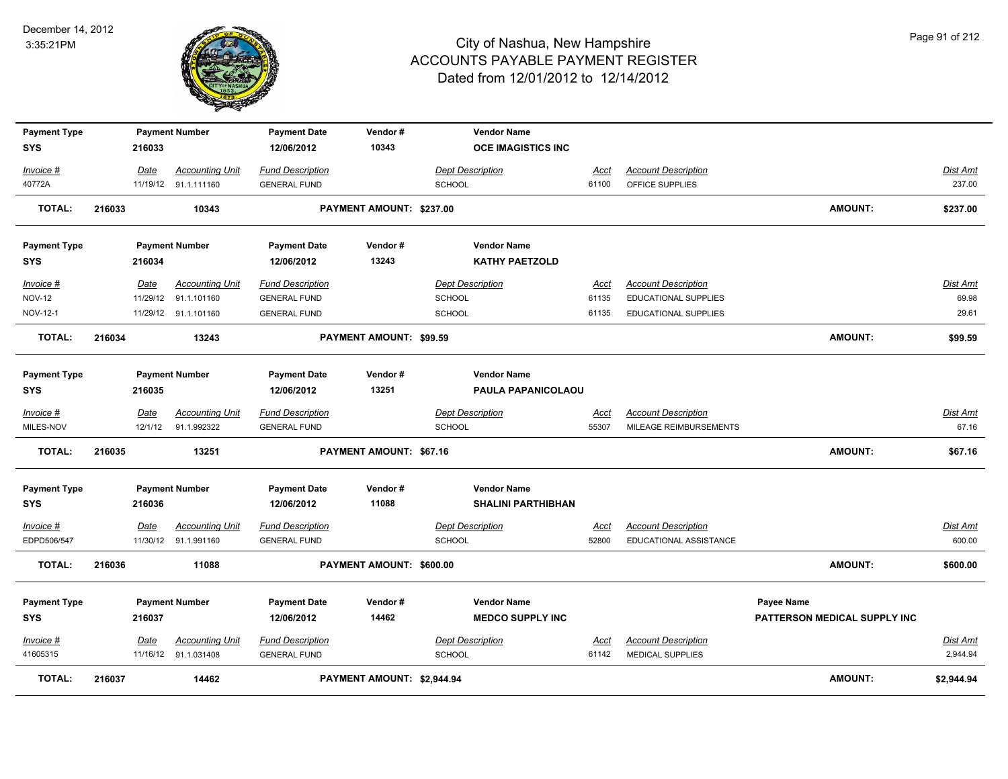

| <b>Payment Type</b>        |        |        | <b>Payment Number</b>                          | <b>Payment Date</b>                            | Vendor#                        | <b>Vendor Name</b>                       |                      |                                                           |                              |                   |
|----------------------------|--------|--------|------------------------------------------------|------------------------------------------------|--------------------------------|------------------------------------------|----------------------|-----------------------------------------------------------|------------------------------|-------------------|
| <b>SYS</b>                 |        | 216033 |                                                | 12/06/2012                                     | 10343                          | <b>OCE IMAGISTICS INC</b>                |                      |                                                           |                              |                   |
| Invoice #                  |        | Date   | <b>Accounting Unit</b>                         | <b>Fund Description</b>                        |                                | <b>Dept Description</b>                  | Acct                 | <b>Account Description</b>                                |                              | Dist Amt          |
| 40772A                     |        |        | 11/19/12 91.1.111160                           | <b>GENERAL FUND</b>                            |                                | <b>SCHOOL</b>                            | 61100                | OFFICE SUPPLIES                                           |                              | 237.00            |
| <b>TOTAL:</b>              | 216033 |        | 10343                                          |                                                | PAYMENT AMOUNT: \$237.00       |                                          |                      |                                                           | <b>AMOUNT:</b>               | \$237.00          |
| <b>Payment Type</b>        |        |        | <b>Payment Number</b>                          | <b>Payment Date</b>                            | Vendor#                        | <b>Vendor Name</b>                       |                      |                                                           |                              |                   |
| SYS                        |        | 216034 |                                                | 12/06/2012                                     | 13243                          | <b>KATHY PAETZOLD</b>                    |                      |                                                           |                              |                   |
| Invoice #<br><b>NOV-12</b> |        | Date   | <b>Accounting Unit</b><br>11/29/12 91.1.101160 | <b>Fund Description</b><br><b>GENERAL FUND</b> |                                | <b>Dept Description</b><br><b>SCHOOL</b> | <u>Acct</u><br>61135 | <b>Account Description</b><br><b>EDUCATIONAL SUPPLIES</b> |                              | Dist Amt<br>69.98 |
| NOV-12-1                   |        |        | 11/29/12 91.1.101160                           | <b>GENERAL FUND</b>                            |                                | <b>SCHOOL</b>                            | 61135                | EDUCATIONAL SUPPLIES                                      |                              | 29.61             |
| <b>TOTAL:</b>              | 216034 |        | 13243                                          |                                                | <b>PAYMENT AMOUNT: \$99.59</b> |                                          |                      |                                                           | <b>AMOUNT:</b>               | \$99.59           |
| <b>Payment Type</b>        |        |        | <b>Payment Number</b>                          | <b>Payment Date</b>                            | Vendor#                        | <b>Vendor Name</b>                       |                      |                                                           |                              |                   |
| <b>SYS</b>                 |        | 216035 |                                                | 12/06/2012                                     | 13251                          | PAULA PAPANICOLAOU                       |                      |                                                           |                              |                   |
| Invoice #                  |        | Date   | <b>Accounting Unit</b>                         | <b>Fund Description</b>                        |                                | <b>Dept Description</b>                  | Acct                 | <b>Account Description</b>                                |                              | Dist Amt          |
| MILES-NOV                  |        |        | 12/1/12 91.1.992322                            | <b>GENERAL FUND</b>                            |                                | <b>SCHOOL</b>                            | 55307                | MILEAGE REIMBURSEMENTS                                    |                              | 67.16             |
| <b>TOTAL:</b>              | 216035 |        | 13251                                          |                                                | PAYMENT AMOUNT: \$67.16        |                                          |                      |                                                           | <b>AMOUNT:</b>               | \$67.16           |
| <b>Payment Type</b>        |        |        | <b>Payment Number</b>                          | <b>Payment Date</b>                            | Vendor#                        | <b>Vendor Name</b>                       |                      |                                                           |                              |                   |
| SYS                        |        | 216036 |                                                | 12/06/2012                                     | 11088                          | <b>SHALINI PARTHIBHAN</b>                |                      |                                                           |                              |                   |
| <u>Invoice #</u>           |        | Date   | <b>Accounting Unit</b>                         | <b>Fund Description</b>                        |                                | <b>Dept Description</b>                  | <u>Acct</u>          | <b>Account Description</b>                                |                              | <b>Dist Amt</b>   |
| EDPD506/547                |        |        | 11/30/12 91.1.991160                           | <b>GENERAL FUND</b>                            |                                | <b>SCHOOL</b>                            | 52800                | EDUCATIONAL ASSISTANCE                                    |                              | 600.00            |
| <b>TOTAL:</b>              | 216036 |        | 11088                                          |                                                | PAYMENT AMOUNT: \$600.00       |                                          |                      |                                                           | <b>AMOUNT:</b>               | \$600.00          |
| <b>Payment Type</b>        |        |        | <b>Payment Number</b>                          | <b>Payment Date</b>                            | Vendor#                        | <b>Vendor Name</b>                       |                      |                                                           | Payee Name                   |                   |
| SYS                        |        | 216037 |                                                | 12/06/2012                                     | 14462                          | <b>MEDCO SUPPLY INC</b>                  |                      |                                                           | PATTERSON MEDICAL SUPPLY INC |                   |
| Invoice #                  |        | Date   | <b>Accounting Unit</b>                         | <b>Fund Description</b>                        |                                | <b>Dept Description</b>                  | <u>Acct</u>          | <b>Account Description</b>                                |                              | Dist Amt          |
| 41605315                   |        |        | 11/16/12 91.1.031408                           | <b>GENERAL FUND</b>                            |                                | <b>SCHOOL</b>                            | 61142                | <b>MEDICAL SUPPLIES</b>                                   |                              | 2,944.94          |
| TOTAL:                     | 216037 |        | 14462                                          |                                                | PAYMENT AMOUNT: \$2,944.94     |                                          |                      |                                                           | <b>AMOUNT:</b>               | \$2,944.94        |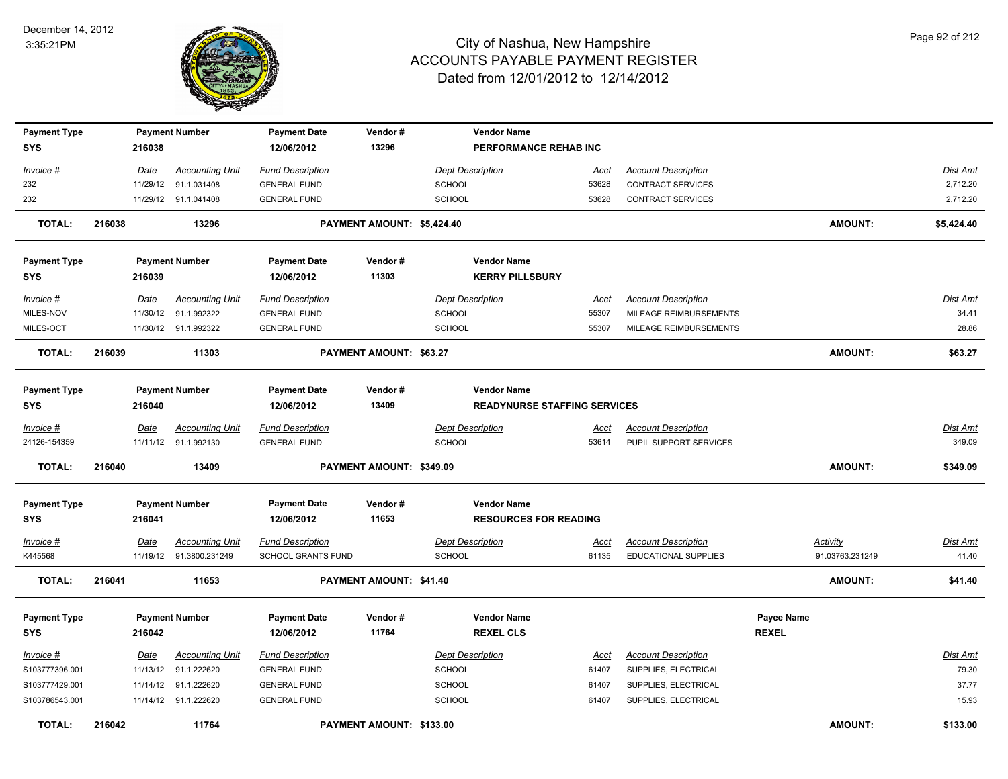

| <b>Payment Type</b><br><b>SYS</b> |        | 216038      | <b>Payment Number</b>   | <b>Payment Date</b><br>12/06/2012 | Vendor#<br>13296           |                         | <b>Vendor Name</b><br>PERFORMANCE REHAB INC |             |                            |              |                 |                 |
|-----------------------------------|--------|-------------|-------------------------|-----------------------------------|----------------------------|-------------------------|---------------------------------------------|-------------|----------------------------|--------------|-----------------|-----------------|
|                                   |        |             |                         |                                   |                            |                         |                                             |             |                            |              |                 |                 |
| Invoice #                         |        | <u>Date</u> | <b>Accounting Unit</b>  | <b>Fund Description</b>           |                            | <b>Dept Description</b> |                                             | <u>Acct</u> | <b>Account Description</b> |              |                 | Dist Amt        |
| 232                               |        | 11/29/12    | 91.1.031408             | <b>GENERAL FUND</b>               |                            | <b>SCHOOL</b>           |                                             | 53628       | CONTRACT SERVICES          |              |                 | 2,712.20        |
| 232                               |        |             | 11/29/12 91.1.041408    | <b>GENERAL FUND</b>               |                            | <b>SCHOOL</b>           |                                             | 53628       | CONTRACT SERVICES          |              |                 | 2,712.20        |
| <b>TOTAL:</b>                     | 216038 |             | 13296                   |                                   | PAYMENT AMOUNT: \$5,424.40 |                         |                                             |             |                            |              | <b>AMOUNT:</b>  | \$5,424.40      |
| <b>Payment Type</b>               |        |             | <b>Payment Number</b>   | <b>Payment Date</b>               | Vendor#                    |                         | <b>Vendor Name</b>                          |             |                            |              |                 |                 |
| <b>SYS</b>                        |        | 216039      |                         | 12/06/2012                        | 11303                      |                         | <b>KERRY PILLSBURY</b>                      |             |                            |              |                 |                 |
| Invoice #                         |        | Date        | <b>Accounting Unit</b>  | <b>Fund Description</b>           |                            | <b>Dept Description</b> |                                             | Acct        | <b>Account Description</b> |              |                 | Dist Amt        |
| MILES-NOV                         |        | 11/30/12    | 91.1.992322             | <b>GENERAL FUND</b>               |                            | <b>SCHOOL</b>           |                                             | 55307       | MILEAGE REIMBURSEMENTS     |              |                 | 34.41           |
| MILES-OCT                         |        |             | 11/30/12 91.1.992322    | <b>GENERAL FUND</b>               |                            | <b>SCHOOL</b>           |                                             | 55307       | MILEAGE REIMBURSEMENTS     |              |                 | 28.86           |
| <b>TOTAL:</b>                     | 216039 |             | 11303                   |                                   | PAYMENT AMOUNT: \$63.27    |                         |                                             |             |                            |              | <b>AMOUNT:</b>  | \$63.27         |
|                                   |        |             |                         |                                   |                            |                         |                                             |             |                            |              |                 |                 |
| <b>Payment Type</b>               |        |             | <b>Payment Number</b>   | <b>Payment Date</b>               | Vendor#                    |                         | <b>Vendor Name</b>                          |             |                            |              |                 |                 |
| <b>SYS</b>                        |        | 216040      |                         | 12/06/2012                        | 13409                      |                         | <b>READYNURSE STAFFING SERVICES</b>         |             |                            |              |                 |                 |
| Invoice #                         |        | Date        | <b>Accounting Unit</b>  | <b>Fund Description</b>           |                            | <b>Dept Description</b> |                                             | Acct        | <b>Account Description</b> |              |                 | Dist Amt        |
| 24126-154359                      |        |             | 11/11/12 91.1.992130    | <b>GENERAL FUND</b>               |                            | <b>SCHOOL</b>           |                                             | 53614       | PUPIL SUPPORT SERVICES     |              |                 | 349.09          |
| <b>TOTAL:</b>                     | 216040 |             | 13409                   |                                   | PAYMENT AMOUNT: \$349.09   |                         |                                             |             |                            |              | <b>AMOUNT:</b>  | \$349.09        |
|                                   |        |             |                         |                                   |                            |                         |                                             |             |                            |              |                 |                 |
| <b>Payment Type</b>               |        |             | <b>Payment Number</b>   | <b>Payment Date</b>               | Vendor#                    |                         | <b>Vendor Name</b>                          |             |                            |              |                 |                 |
| <b>SYS</b>                        |        | 216041      |                         | 12/06/2012                        | 11653                      |                         | <b>RESOURCES FOR READING</b>                |             |                            |              |                 |                 |
| Invoice #                         |        | Date        | <b>Accounting Unit</b>  | <b>Fund Description</b>           |                            | <b>Dept Description</b> |                                             | <b>Acct</b> | <b>Account Description</b> |              | Activity        | <b>Dist Amt</b> |
| K445568                           |        |             | 11/19/12 91.3800.231249 | SCHOOL GRANTS FUND                |                            | <b>SCHOOL</b>           |                                             | 61135       | EDUCATIONAL SUPPLIES       |              | 91.03763.231249 | 41.40           |
| <b>TOTAL:</b>                     | 216041 |             | 11653                   |                                   | PAYMENT AMOUNT: \$41.40    |                         |                                             |             |                            |              | <b>AMOUNT:</b>  | \$41.40         |
|                                   |        |             |                         |                                   |                            |                         |                                             |             |                            |              |                 |                 |
| <b>Payment Type</b>               |        |             | <b>Payment Number</b>   | <b>Payment Date</b>               | Vendor#                    |                         | <b>Vendor Name</b>                          |             |                            | Payee Name   |                 |                 |
| SYS                               |        | 216042      |                         | 12/06/2012                        | 11764                      |                         | <b>REXEL CLS</b>                            |             |                            | <b>REXEL</b> |                 |                 |
| <u>Invoice #</u>                  |        | Date        | <b>Accounting Unit</b>  | <b>Fund Description</b>           |                            | <b>Dept Description</b> |                                             | <u>Acct</u> | <b>Account Description</b> |              |                 | <b>Dist Amt</b> |
| S103777396.001                    |        | 11/13/12    | 91.1.222620             | <b>GENERAL FUND</b>               |                            | <b>SCHOOL</b>           |                                             | 61407       | SUPPLIES, ELECTRICAL       |              |                 | 79.30           |
| S103777429.001                    |        |             | 11/14/12 91.1.222620    | <b>GENERAL FUND</b>               |                            | SCHOOL                  |                                             | 61407       | SUPPLIES, ELECTRICAL       |              |                 | 37.77           |
| S103786543.001                    |        |             | 11/14/12 91.1.222620    | <b>GENERAL FUND</b>               |                            | SCHOOL                  |                                             | 61407       | SUPPLIES, ELECTRICAL       |              |                 | 15.93           |
| <b>TOTAL:</b>                     | 216042 |             | 11764                   |                                   | PAYMENT AMOUNT: \$133.00   |                         |                                             |             |                            |              | <b>AMOUNT:</b>  | \$133.00        |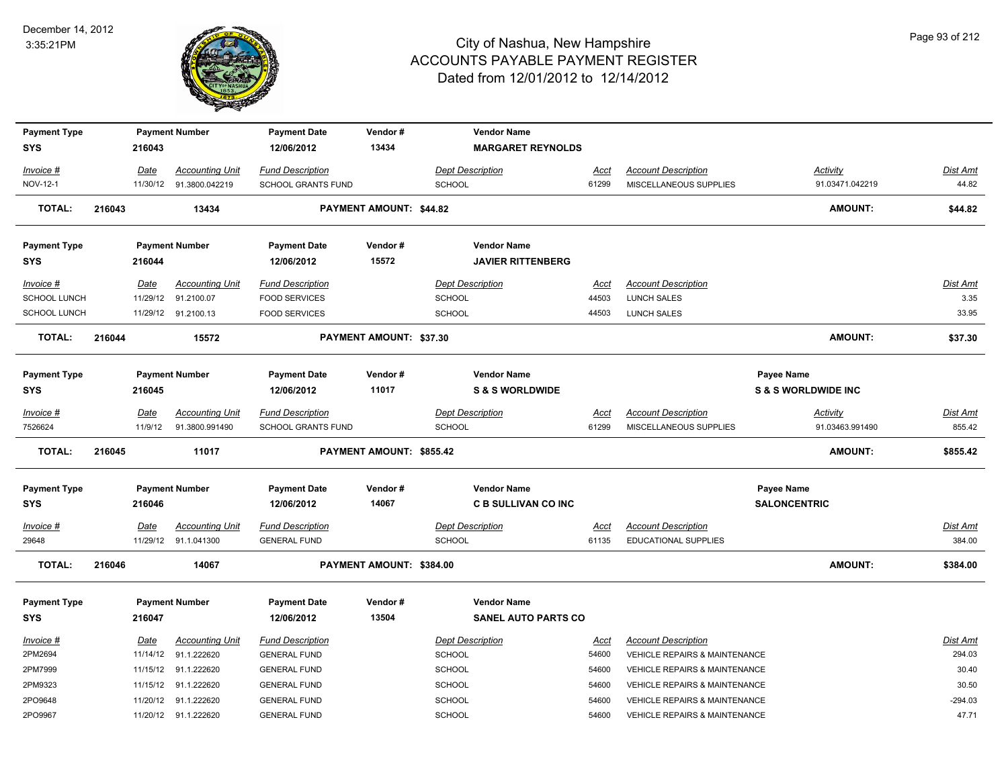

| <b>Payment Type</b>               |        |          | <b>Payment Number</b>  | <b>Payment Date</b>               | Vendor#                        | <b>Vendor Name</b>         |             |                                          |                                              |                 |
|-----------------------------------|--------|----------|------------------------|-----------------------------------|--------------------------------|----------------------------|-------------|------------------------------------------|----------------------------------------------|-----------------|
| <b>SYS</b>                        |        | 216043   |                        | 12/06/2012                        | 13434                          | <b>MARGARET REYNOLDS</b>   |             |                                          |                                              |                 |
| Invoice #                         |        | Date     | <b>Accounting Unit</b> | <b>Fund Description</b>           |                                | <b>Dept Description</b>    | Acct        | <b>Account Description</b>               | Activity                                     | Dist Amt        |
| NOV-12-1                          |        | 11/30/12 | 91.3800.042219         | SCHOOL GRANTS FUND                |                                | SCHOOL                     | 61299       | MISCELLANEOUS SUPPLIES                   | 91.03471.042219                              | 44.82           |
| <b>TOTAL:</b>                     | 216043 |          | 13434                  |                                   | <b>PAYMENT AMOUNT: \$44.82</b> |                            |             |                                          | <b>AMOUNT:</b>                               | \$44.82         |
| <b>Payment Type</b>               |        |          | <b>Payment Number</b>  | <b>Payment Date</b>               | Vendor#                        | <b>Vendor Name</b>         |             |                                          |                                              |                 |
| <b>SYS</b>                        |        | 216044   |                        | 12/06/2012                        | 15572                          | <b>JAVIER RITTENBERG</b>   |             |                                          |                                              |                 |
| Invoice #                         |        | Date     | <b>Accounting Unit</b> | <b>Fund Description</b>           |                                | <b>Dept Description</b>    | Acct        | <b>Account Description</b>               |                                              | Dist Amt        |
| <b>SCHOOL LUNCH</b>               |        | 11/29/12 | 91.2100.07             | <b>FOOD SERVICES</b>              |                                | <b>SCHOOL</b>              | 44503       | <b>LUNCH SALES</b>                       |                                              | 3.35            |
| SCHOOL LUNCH                      |        |          | 11/29/12 91.2100.13    | <b>FOOD SERVICES</b>              |                                | SCHOOL                     | 44503       | <b>LUNCH SALES</b>                       |                                              | 33.95           |
| <b>TOTAL:</b>                     | 216044 |          | 15572                  |                                   | PAYMENT AMOUNT: \$37.30        |                            |             |                                          | AMOUNT:                                      | \$37.30         |
|                                   |        |          |                        |                                   |                                | <b>Vendor Name</b>         |             |                                          |                                              |                 |
| <b>Payment Type</b><br><b>SYS</b> |        | 216045   | <b>Payment Number</b>  | <b>Payment Date</b><br>12/06/2012 | Vendor#<br>11017               | <b>S &amp; S WORLDWIDE</b> |             |                                          | Payee Name<br><b>S &amp; S WORLDWIDE INC</b> |                 |
|                                   |        |          |                        |                                   |                                |                            |             |                                          |                                              |                 |
| Invoice #                         |        | Date     | <b>Accounting Unit</b> | <b>Fund Description</b>           |                                | <b>Dept Description</b>    | <u>Acct</u> | <b>Account Description</b>               | <u>Activity</u>                              | <u>Dist Amt</u> |
| 7526624                           |        | 11/9/12  | 91.3800.991490         | SCHOOL GRANTS FUND                |                                | SCHOOL                     | 61299       | MISCELLANEOUS SUPPLIES                   | 91.03463.991490                              | 855.42          |
| <b>TOTAL:</b>                     | 216045 |          | 11017                  |                                   | PAYMENT AMOUNT: \$855.42       |                            |             |                                          | <b>AMOUNT:</b>                               | \$855.42        |
| <b>Payment Type</b>               |        |          | <b>Payment Number</b>  | <b>Payment Date</b>               | Vendor#                        | <b>Vendor Name</b>         |             |                                          | Payee Name                                   |                 |
| <b>SYS</b>                        |        | 216046   |                        | 12/06/2012                        | 14067                          | <b>C B SULLIVAN CO INC</b> |             |                                          | <b>SALONCENTRIC</b>                          |                 |
| Invoice #                         |        | Date     | <b>Accounting Unit</b> | <b>Fund Description</b>           |                                | <b>Dept Description</b>    | <u>Acct</u> | <b>Account Description</b>               |                                              | <b>Dist Amt</b> |
| 29648                             |        |          | 11/29/12 91.1.041300   | <b>GENERAL FUND</b>               |                                | <b>SCHOOL</b>              | 61135       | <b>EDUCATIONAL SUPPLIES</b>              |                                              | 384.00          |
| <b>TOTAL:</b>                     | 216046 |          | 14067                  |                                   | PAYMENT AMOUNT: \$384.00       |                            |             |                                          | <b>AMOUNT:</b>                               | \$384.00        |
| <b>Payment Type</b>               |        |          | <b>Payment Number</b>  | <b>Payment Date</b>               | Vendor#                        | <b>Vendor Name</b>         |             |                                          |                                              |                 |
| <b>SYS</b>                        |        | 216047   |                        | 12/06/2012                        | 13504                          | <b>SANEL AUTO PARTS CO</b> |             |                                          |                                              |                 |
| Invoice #                         |        | Date     | <b>Accounting Unit</b> | <b>Fund Description</b>           |                                | <b>Dept Description</b>    | Acct        | <b>Account Description</b>               |                                              | Dist Amt        |
| 2PM2694                           |        | 11/14/12 | 91.1.222620            | <b>GENERAL FUND</b>               |                                | <b>SCHOOL</b>              | 54600       | <b>VEHICLE REPAIRS &amp; MAINTENANCE</b> |                                              | 294.03          |
| 2PM7999                           |        | 11/15/12 | 91.1.222620            | <b>GENERAL FUND</b>               |                                | <b>SCHOOL</b>              | 54600       | <b>VEHICLE REPAIRS &amp; MAINTENANCE</b> |                                              | 30.40           |
| 2PM9323                           |        |          | 11/15/12 91.1.222620   | <b>GENERAL FUND</b>               |                                | SCHOOL                     | 54600       | VEHICLE REPAIRS & MAINTENANCE            |                                              | 30.50           |
| 2PO9648                           |        | 11/20/12 | 91.1.222620            | <b>GENERAL FUND</b>               |                                | SCHOOL                     | 54600       | VEHICLE REPAIRS & MAINTENANCE            |                                              | $-294.03$       |
| 2PO9967                           |        |          | 11/20/12 91.1.222620   | <b>GENERAL FUND</b>               |                                | SCHOOL                     | 54600       | <b>VEHICLE REPAIRS &amp; MAINTENANCE</b> |                                              | 47.71           |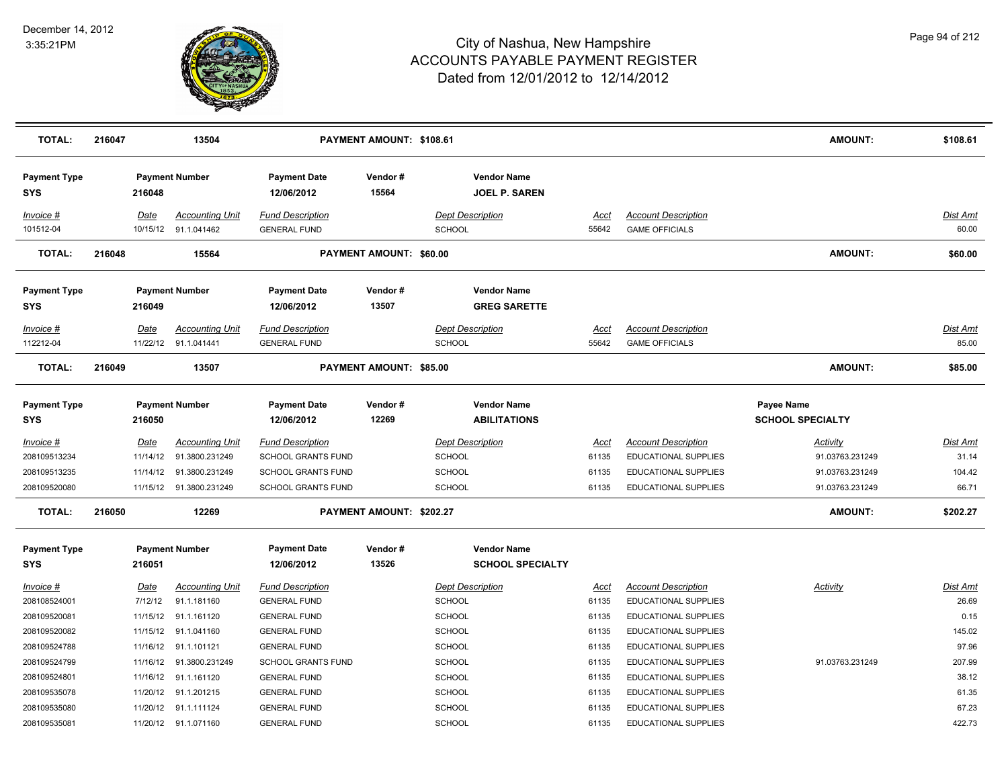

| <b>TOTAL:</b>                                                                    | 216047 |                                     | 13504                                                                                                          |                                                                                                                       | PAYMENT AMOUNT: \$108.61       |                                                                                             |                                                 |                                                                                                                                   | <b>AMOUNT:</b>                                                           | \$108.61                                            |
|----------------------------------------------------------------------------------|--------|-------------------------------------|----------------------------------------------------------------------------------------------------------------|-----------------------------------------------------------------------------------------------------------------------|--------------------------------|---------------------------------------------------------------------------------------------|-------------------------------------------------|-----------------------------------------------------------------------------------------------------------------------------------|--------------------------------------------------------------------------|-----------------------------------------------------|
| <b>Payment Type</b><br>SYS                                                       |        | 216048                              | <b>Payment Number</b>                                                                                          | <b>Payment Date</b><br>12/06/2012                                                                                     | Vendor#<br>15564               | <b>Vendor Name</b><br><b>JOEL P. SAREN</b>                                                  |                                                 |                                                                                                                                   |                                                                          |                                                     |
| Invoice #<br>101512-04                                                           |        | Date<br>10/15/12                    | <b>Accounting Unit</b><br>91.1.041462                                                                          | <b>Fund Description</b><br><b>GENERAL FUND</b>                                                                        |                                | <b>Dept Description</b><br><b>SCHOOL</b>                                                    | Acct<br>55642                                   | <b>Account Description</b><br><b>GAME OFFICIALS</b>                                                                               |                                                                          | <b>Dist Amt</b><br>60.00                            |
| <b>TOTAL:</b>                                                                    | 216048 |                                     | 15564                                                                                                          |                                                                                                                       | PAYMENT AMOUNT: \$60.00        |                                                                                             |                                                 |                                                                                                                                   | <b>AMOUNT:</b>                                                           | \$60.00                                             |
| <b>Payment Type</b><br>SYS                                                       |        | 216049                              | <b>Payment Number</b>                                                                                          | <b>Payment Date</b><br>12/06/2012                                                                                     | Vendor#<br>13507               | <b>Vendor Name</b><br><b>GREG SARETTE</b>                                                   |                                                 |                                                                                                                                   |                                                                          |                                                     |
| Invoice #<br>112212-04                                                           |        | Date<br>11/22/12                    | <b>Accounting Unit</b><br>91.1.041441                                                                          | <b>Fund Description</b><br><b>GENERAL FUND</b>                                                                        |                                | <b>Dept Description</b><br><b>SCHOOL</b>                                                    | Acct<br>55642                                   | <b>Account Description</b><br><b>GAME OFFICIALS</b>                                                                               |                                                                          | <b>Dist Amt</b><br>85.00                            |
| <b>TOTAL:</b>                                                                    | 216049 |                                     | 13507                                                                                                          |                                                                                                                       | <b>PAYMENT AMOUNT: \$85.00</b> |                                                                                             |                                                 |                                                                                                                                   | <b>AMOUNT:</b>                                                           | \$85.00                                             |
| <b>Payment Type</b><br><b>SYS</b>                                                |        | 216050                              | <b>Payment Number</b>                                                                                          | <b>Payment Date</b><br>12/06/2012                                                                                     | Vendor#<br>12269               | <b>Vendor Name</b><br><b>ABILITATIONS</b>                                                   |                                                 |                                                                                                                                   | <b>Payee Name</b><br><b>SCHOOL SPECIALTY</b>                             |                                                     |
| <u>Invoice #</u><br>208109513234<br>208109513235<br>208109520080                 |        | <b>Date</b><br>11/14/12<br>11/14/12 | <b>Accounting Unit</b><br>91.3800.231249<br>91.3800.231249<br>11/15/12  91.3800.231249                         | <b>Fund Description</b><br><b>SCHOOL GRANTS FUND</b><br><b>SCHOOL GRANTS FUND</b><br><b>SCHOOL GRANTS FUND</b>        |                                | <b>Dept Description</b><br>SCHOOL<br><b>SCHOOL</b><br><b>SCHOOL</b>                         | <u>Acct</u><br>61135<br>61135<br>61135          | <b>Account Description</b><br>EDUCATIONAL SUPPLIES<br>EDUCATIONAL SUPPLIES<br><b>EDUCATIONAL SUPPLIES</b>                         | <b>Activity</b><br>91.03763.231249<br>91.03763.231249<br>91.03763.231249 | Dist Amt<br>31.14<br>104.42<br>66.71                |
| <b>TOTAL:</b>                                                                    | 216050 |                                     | 12269                                                                                                          |                                                                                                                       | PAYMENT AMOUNT: \$202.27       |                                                                                             |                                                 |                                                                                                                                   | <b>AMOUNT:</b>                                                           | \$202.27                                            |
| <b>Payment Type</b><br><b>SYS</b>                                                |        | 216051                              | <b>Payment Number</b>                                                                                          | <b>Payment Date</b><br>12/06/2012                                                                                     | Vendor#<br>13526               | <b>Vendor Name</b><br><b>SCHOOL SPECIALTY</b>                                               |                                                 |                                                                                                                                   |                                                                          |                                                     |
| <u>Invoice #</u><br>208108524001<br>208109520081<br>208109520082<br>208109524788 |        | Date<br>7/12/12<br>11/15/12         | <b>Accounting Unit</b><br>91.1.181160<br>91.1.161120<br>11/15/12 91.1.041160<br>11/16/12 91.1.101121           | <b>Fund Description</b><br><b>GENERAL FUND</b><br><b>GENERAL FUND</b><br><b>GENERAL FUND</b><br><b>GENERAL FUND</b>   |                                | <b>Dept Description</b><br><b>SCHOOL</b><br><b>SCHOOL</b><br><b>SCHOOL</b><br><b>SCHOOL</b> | <u>Acct</u><br>61135<br>61135<br>61135<br>61135 | <b>Account Description</b><br>EDUCATIONAL SUPPLIES<br><b>EDUCATIONAL SUPPLIES</b><br>EDUCATIONAL SUPPLIES<br>EDUCATIONAL SUPPLIES | <b>Activity</b>                                                          | <b>Dist Amt</b><br>26.69<br>0.15<br>145.02<br>97.96 |
| 208109524799<br>208109524801<br>208109535078<br>208109535080<br>208109535081     |        | 11/16/12                            | 91.3800.231249<br>11/16/12 91.1.161120<br>11/20/12 91.1.201215<br>11/20/12 91.1.111124<br>11/20/12 91.1.071160 | <b>SCHOOL GRANTS FUND</b><br><b>GENERAL FUND</b><br><b>GENERAL FUND</b><br><b>GENERAL FUND</b><br><b>GENERAL FUND</b> |                                | <b>SCHOOL</b><br><b>SCHOOL</b><br><b>SCHOOL</b><br><b>SCHOOL</b><br><b>SCHOOL</b>           | 61135<br>61135<br>61135<br>61135<br>61135       | EDUCATIONAL SUPPLIES<br>EDUCATIONAL SUPPLIES<br>EDUCATIONAL SUPPLIES<br>EDUCATIONAL SUPPLIES<br><b>EDUCATIONAL SUPPLIES</b>       | 91.03763.231249                                                          | 207.99<br>38.12<br>61.35<br>67.23<br>422.73         |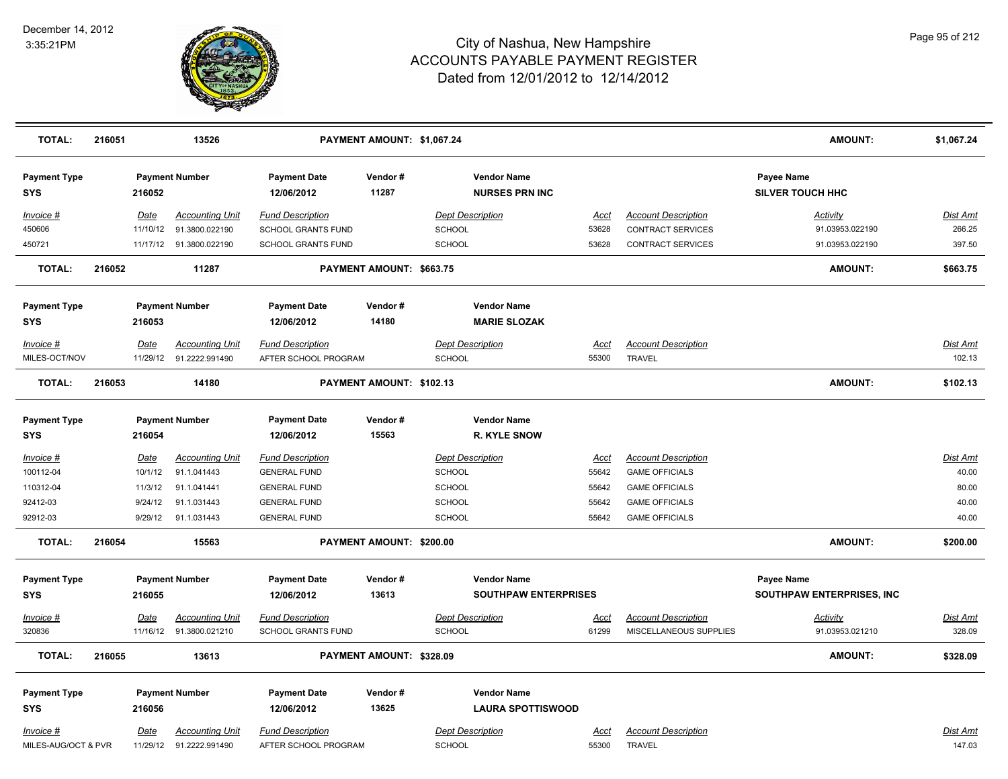

| <b>TOTAL:</b>                     | 216051 |             | 13526                    |                                   | PAYMENT AMOUNT: \$1,067.24 |                         |                                                   |             |                            | <b>AMOUNT:</b>                          | \$1,067.24      |
|-----------------------------------|--------|-------------|--------------------------|-----------------------------------|----------------------------|-------------------------|---------------------------------------------------|-------------|----------------------------|-----------------------------------------|-----------------|
| <b>Payment Type</b><br><b>SYS</b> |        | 216052      | <b>Payment Number</b>    | <b>Payment Date</b><br>12/06/2012 | Vendor#<br>11287           |                         | <b>Vendor Name</b><br><b>NURSES PRN INC</b>       |             |                            | Payee Name<br><b>SILVER TOUCH HHC</b>   |                 |
| Invoice #                         |        | Date        | <b>Accounting Unit</b>   | <b>Fund Description</b>           |                            | <b>Dept Description</b> |                                                   | <u>Acct</u> | <b>Account Description</b> | <b>Activity</b>                         | Dist Amt        |
| 450606                            |        | 11/10/12    | 91.3800.022190           | <b>SCHOOL GRANTS FUND</b>         |                            | SCHOOL                  |                                                   | 53628       | <b>CONTRACT SERVICES</b>   | 91.03953.022190                         | 266.25          |
| 450721                            |        |             | 11/17/12  91.3800.022190 | <b>SCHOOL GRANTS FUND</b>         |                            | <b>SCHOOL</b>           |                                                   | 53628       | <b>CONTRACT SERVICES</b>   | 91.03953.022190                         | 397.50          |
| <b>TOTAL:</b>                     | 216052 |             | 11287                    |                                   | PAYMENT AMOUNT: \$663.75   |                         |                                                   |             |                            | <b>AMOUNT:</b>                          | \$663.75        |
| <b>Payment Type</b><br><b>SYS</b> |        | 216053      | <b>Payment Number</b>    | <b>Payment Date</b><br>12/06/2012 | Vendor#<br>14180           |                         | <b>Vendor Name</b><br><b>MARIE SLOZAK</b>         |             |                            |                                         |                 |
| Invoice #                         |        | <b>Date</b> | <b>Accounting Unit</b>   | <b>Fund Description</b>           |                            | <b>Dept Description</b> |                                                   | <u>Acct</u> | <b>Account Description</b> |                                         | Dist Amt        |
| MILES-OCT/NOV                     |        | 11/29/12    | 91.2222.991490           | AFTER SCHOOL PROGRAM              |                            | SCHOOL                  |                                                   | 55300       | <b>TRAVEL</b>              |                                         | 102.13          |
| <b>TOTAL:</b>                     | 216053 |             | 14180                    |                                   | PAYMENT AMOUNT: \$102.13   |                         |                                                   |             |                            | <b>AMOUNT:</b>                          | \$102.13        |
| <b>Payment Type</b><br><b>SYS</b> |        | 216054      | <b>Payment Number</b>    | <b>Payment Date</b><br>12/06/2012 | Vendor #<br>15563          |                         | <b>Vendor Name</b><br><b>R. KYLE SNOW</b>         |             |                            |                                         |                 |
| <u>Invoice #</u>                  |        | <u>Date</u> | <b>Accounting Unit</b>   | <b>Fund Description</b>           |                            | <b>Dept Description</b> |                                                   | <u>Acct</u> | <b>Account Description</b> |                                         | <b>Dist Amt</b> |
| 100112-04                         |        | 10/1/12     | 91.1.041443              | <b>GENERAL FUND</b>               |                            | <b>SCHOOL</b>           |                                                   | 55642       | <b>GAME OFFICIALS</b>      |                                         | 40.00           |
| 110312-04                         |        | 11/3/12     | 91.1.041441              | <b>GENERAL FUND</b>               |                            | SCHOOL                  |                                                   | 55642       | <b>GAME OFFICIALS</b>      |                                         | 80.00           |
| 92412-03                          |        | 9/24/12     | 91.1.031443              | <b>GENERAL FUND</b>               |                            | <b>SCHOOL</b>           |                                                   | 55642       | <b>GAME OFFICIALS</b>      |                                         | 40.00           |
| 92912-03                          |        | 9/29/12     | 91.1.031443              | <b>GENERAL FUND</b>               |                            | <b>SCHOOL</b>           |                                                   | 55642       | <b>GAME OFFICIALS</b>      |                                         | 40.00           |
| <b>TOTAL:</b>                     | 216054 |             | 15563                    |                                   | PAYMENT AMOUNT: \$200.00   |                         |                                                   |             |                            | <b>AMOUNT:</b>                          | \$200.00        |
| <b>Payment Type</b><br><b>SYS</b> |        | 216055      | <b>Payment Number</b>    | <b>Payment Date</b><br>12/06/2012 | Vendor#<br>13613           |                         | <b>Vendor Name</b><br><b>SOUTHPAW ENTERPRISES</b> |             |                            | Payee Name<br>SOUTHPAW ENTERPRISES, INC |                 |
| <u> Invoice #</u>                 |        | <b>Date</b> | <b>Accounting Unit</b>   | <b>Fund Description</b>           |                            | <b>Dept Description</b> |                                                   | <u>Acct</u> | <b>Account Description</b> | <b>Activity</b>                         | <b>Dist Amt</b> |
| 320836                            |        |             | 11/16/12 91.3800.021210  | <b>SCHOOL GRANTS FUND</b>         |                            | <b>SCHOOL</b>           |                                                   | 61299       | MISCELLANEOUS SUPPLIES     | 91.03953.021210                         | 328.09          |
| <b>TOTAL:</b>                     | 216055 |             | 13613                    |                                   | PAYMENT AMOUNT: \$328.09   |                         |                                                   |             |                            | <b>AMOUNT:</b>                          | \$328.09        |
| <b>Payment Type</b>               |        |             | <b>Payment Number</b>    | <b>Payment Date</b>               | Vendor #                   |                         | <b>Vendor Name</b>                                |             |                            |                                         |                 |
| <b>SYS</b>                        |        | 216056      |                          | 12/06/2012                        | 13625                      |                         | <b>LAURA SPOTTISWOOD</b>                          |             |                            |                                         |                 |
| Invoice #                         |        | Date        | <b>Accounting Unit</b>   | <b>Fund Description</b>           |                            | <b>Dept Description</b> |                                                   | <u>Acct</u> | <b>Account Description</b> |                                         | Dist Amt        |
| MILES-AUG/OCT & PVR               |        | 11/29/12    | 91.2222.991490           | AFTER SCHOOL PROGRAM              |                            | SCHOOL                  |                                                   | 55300       | TRAVEL                     |                                         | 147.03          |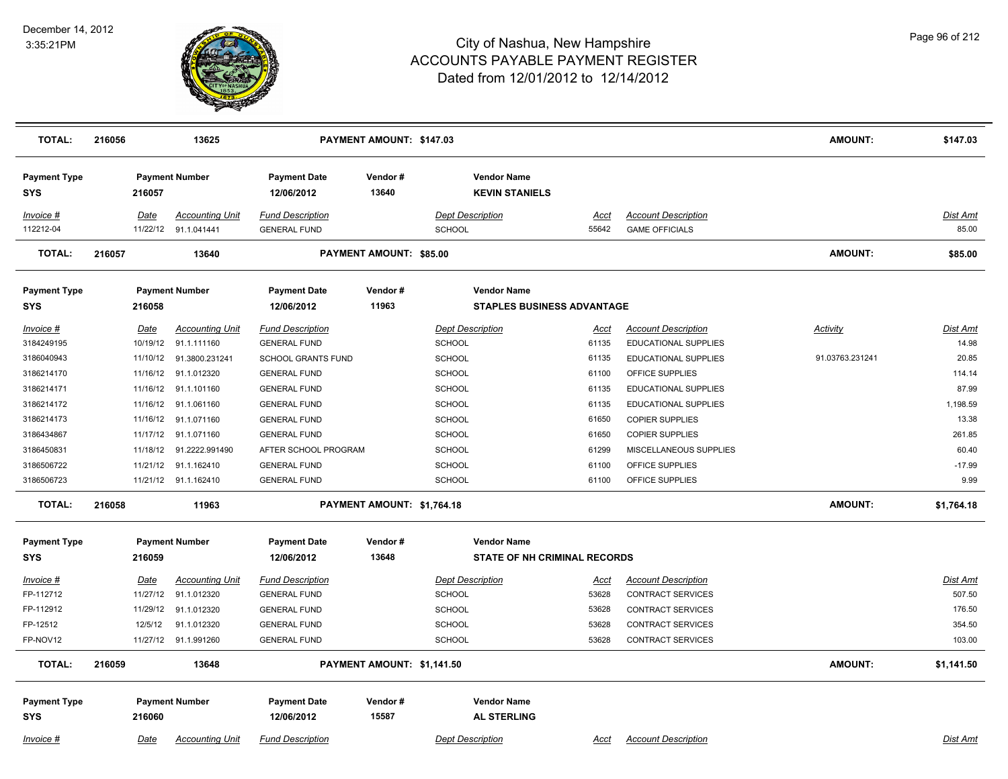

| <b>TOTAL:</b>                     | 216056 |             | 13625                                          |                                                | PAYMENT AMOUNT: \$147.03   |                                                         |                      |                                                     | <b>AMOUNT:</b>  | \$147.03          |
|-----------------------------------|--------|-------------|------------------------------------------------|------------------------------------------------|----------------------------|---------------------------------------------------------|----------------------|-----------------------------------------------------|-----------------|-------------------|
| <b>Payment Type</b><br><b>SYS</b> |        | 216057      | <b>Payment Number</b>                          | <b>Payment Date</b><br>12/06/2012              | Vendor#<br>13640           | <b>Vendor Name</b><br><b>KEVIN STANIELS</b>             |                      |                                                     |                 |                   |
| Invoice #<br>112212-04            |        | <b>Date</b> | <b>Accounting Unit</b><br>11/22/12 91.1.041441 | <b>Fund Description</b><br><b>GENERAL FUND</b> |                            | <b>Dept Description</b><br><b>SCHOOL</b>                | <b>Acct</b><br>55642 | <b>Account Description</b><br><b>GAME OFFICIALS</b> |                 | Dist Amt<br>85.00 |
| <b>TOTAL:</b>                     | 216057 |             | 13640                                          |                                                | PAYMENT AMOUNT: \$85.00    |                                                         |                      |                                                     | <b>AMOUNT:</b>  | \$85.00           |
| <b>Payment Type</b><br>SYS        |        | 216058      | <b>Payment Number</b>                          | <b>Payment Date</b><br>12/06/2012              | Vendor#<br>11963           | <b>Vendor Name</b><br><b>STAPLES BUSINESS ADVANTAGE</b> |                      |                                                     |                 |                   |
| Invoice #                         |        | Date        | <b>Accounting Unit</b>                         | <b>Fund Description</b>                        |                            | <b>Dept Description</b>                                 | Acct                 | <b>Account Description</b>                          | Activity        | Dist Amt          |
| 3184249195                        |        | 10/19/12    | 91.1.111160                                    | <b>GENERAL FUND</b>                            |                            | <b>SCHOOL</b>                                           | 61135                | <b>EDUCATIONAL SUPPLIES</b>                         |                 | 14.98             |
| 3186040943                        |        |             | 11/10/12  91.3800.231241                       | <b>SCHOOL GRANTS FUND</b>                      |                            | <b>SCHOOL</b>                                           | 61135                | EDUCATIONAL SUPPLIES                                | 91.03763.231241 | 20.85             |
| 3186214170                        |        | 11/16/12    | 91.1.012320                                    | <b>GENERAL FUND</b>                            |                            | <b>SCHOOL</b>                                           | 61100                | OFFICE SUPPLIES                                     |                 | 114.14            |
| 3186214171                        |        | 11/16/12    | 91.1.101160                                    | <b>GENERAL FUND</b>                            |                            | <b>SCHOOL</b>                                           | 61135                | <b>EDUCATIONAL SUPPLIES</b>                         |                 | 87.99             |
| 3186214172                        |        |             | 11/16/12 91.1.061160                           | <b>GENERAL FUND</b>                            |                            | <b>SCHOOL</b>                                           | 61135                | EDUCATIONAL SUPPLIES                                |                 | 1,198.59          |
| 3186214173                        |        |             | 11/16/12 91.1.071160                           | <b>GENERAL FUND</b>                            |                            | <b>SCHOOL</b>                                           | 61650                | <b>COPIER SUPPLIES</b>                              |                 | 13.38             |
| 3186434867                        |        |             | 11/17/12 91.1.071160                           | <b>GENERAL FUND</b>                            |                            | <b>SCHOOL</b>                                           | 61650                | <b>COPIER SUPPLIES</b>                              |                 | 261.85            |
| 3186450831                        |        |             | 11/18/12 91.2222.991490                        | AFTER SCHOOL PROGRAM                           |                            | SCHOOL                                                  | 61299                | MISCELLANEOUS SUPPLIES                              |                 | 60.40             |
| 3186506722                        |        | 11/21/12    | 91.1.162410                                    | <b>GENERAL FUND</b>                            |                            | <b>SCHOOL</b>                                           | 61100                | OFFICE SUPPLIES                                     |                 | $-17.99$          |
| 3186506723                        |        |             | 11/21/12 91.1.162410                           | <b>GENERAL FUND</b>                            |                            | <b>SCHOOL</b>                                           | 61100                | OFFICE SUPPLIES                                     |                 | 9.99              |
| <b>TOTAL:</b>                     | 216058 |             | 11963                                          |                                                | PAYMENT AMOUNT: \$1,764.18 |                                                         |                      |                                                     | <b>AMOUNT:</b>  | \$1,764.18        |
| <b>Payment Type</b>               |        |             | <b>Payment Number</b>                          | <b>Payment Date</b>                            | Vendor#                    | <b>Vendor Name</b>                                      |                      |                                                     |                 |                   |
| SYS                               |        | 216059      |                                                | 12/06/2012                                     | 13648                      | <b>STATE OF NH CRIMINAL RECORDS</b>                     |                      |                                                     |                 |                   |
| Invoice #                         |        | <b>Date</b> | <b>Accounting Unit</b>                         | <b>Fund Description</b>                        |                            | <b>Dept Description</b>                                 | <u>Acct</u>          | <b>Account Description</b>                          |                 | Dist Amt          |
| FP-112712                         |        | 11/27/12    | 91.1.012320                                    | <b>GENERAL FUND</b>                            |                            | <b>SCHOOL</b>                                           | 53628                | <b>CONTRACT SERVICES</b>                            |                 | 507.50            |
| FP-112912                         |        | 11/29/12    | 91.1.012320                                    | <b>GENERAL FUND</b>                            |                            | SCHOOL                                                  | 53628                | CONTRACT SERVICES                                   |                 | 176.50            |
| FP-12512                          |        | 12/5/12     | 91.1.012320                                    | <b>GENERAL FUND</b>                            |                            | <b>SCHOOL</b>                                           | 53628                | <b>CONTRACT SERVICES</b>                            |                 | 354.50            |
| FP-NOV12                          |        |             | 11/27/12 91.1.991260                           | <b>GENERAL FUND</b>                            |                            | <b>SCHOOL</b>                                           | 53628                | <b>CONTRACT SERVICES</b>                            |                 | 103.00            |
| <b>TOTAL:</b>                     | 216059 |             | 13648                                          |                                                | PAYMENT AMOUNT: \$1,141.50 |                                                         |                      |                                                     | <b>AMOUNT:</b>  | \$1,141.50        |
| <b>Payment Type</b>               |        |             | <b>Payment Number</b>                          | <b>Payment Date</b>                            | Vendor#                    | <b>Vendor Name</b>                                      |                      |                                                     |                 |                   |
| <b>SYS</b>                        |        | 216060      |                                                | 12/06/2012                                     | 15587                      | <b>AL STERLING</b>                                      |                      |                                                     |                 |                   |
| $Invoice$ #                       |        | Date        | <b>Accounting Unit</b>                         | <b>Fund Description</b>                        |                            | <b>Dept Description</b>                                 | <u>Acct</u>          | <b>Account Description</b>                          |                 | Dist Amt          |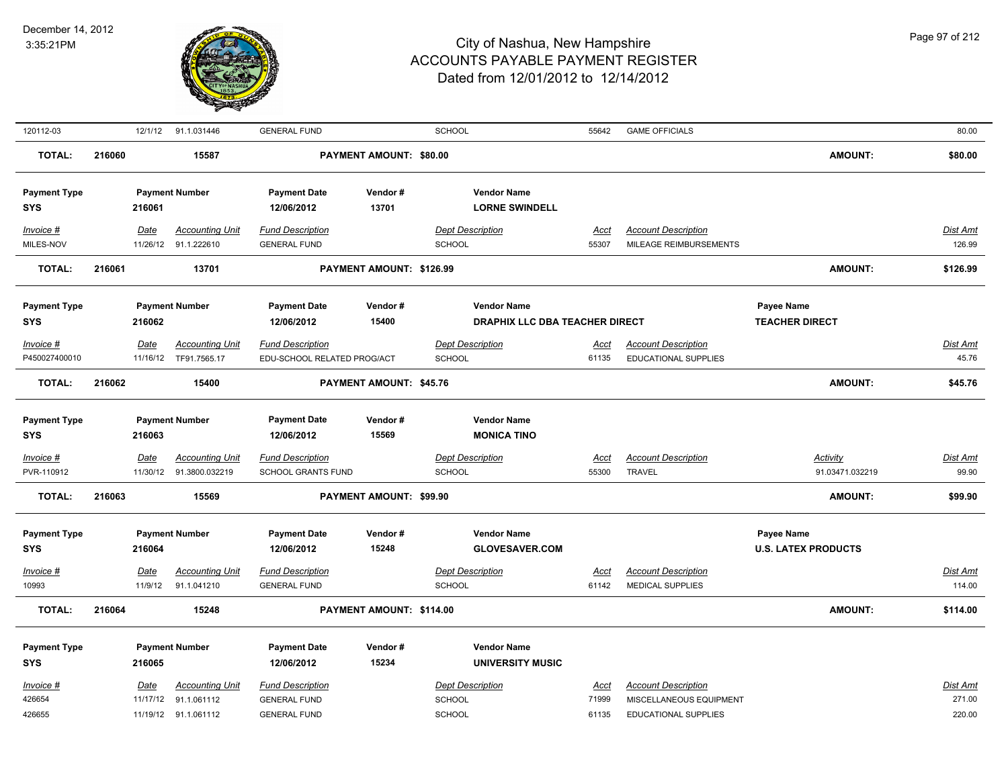

| 120112-03           |        |             | 12/1/12 91.1.031446     | <b>GENERAL FUND</b>         |                          | SCHOOL                  |                                | 55642       | <b>GAME OFFICIALS</b>      |                            | 80.00           |
|---------------------|--------|-------------|-------------------------|-----------------------------|--------------------------|-------------------------|--------------------------------|-------------|----------------------------|----------------------------|-----------------|
| <b>TOTAL:</b>       | 216060 |             | 15587                   |                             | PAYMENT AMOUNT: \$80.00  |                         |                                |             |                            | <b>AMOUNT:</b>             | \$80.00         |
| <b>Payment Type</b> |        |             | <b>Payment Number</b>   | <b>Payment Date</b>         | Vendor#                  |                         | <b>Vendor Name</b>             |             |                            |                            |                 |
| <b>SYS</b>          |        | 216061      |                         | 12/06/2012                  | 13701                    |                         | <b>LORNE SWINDELL</b>          |             |                            |                            |                 |
| Invoice #           |        | Date        | <b>Accounting Unit</b>  | <b>Fund Description</b>     |                          | <b>Dept Description</b> |                                | Acct        | <b>Account Description</b> |                            | Dist Amt        |
| MILES-NOV           |        |             | 11/26/12 91.1.222610    | <b>GENERAL FUND</b>         |                          | <b>SCHOOL</b>           |                                | 55307       | MILEAGE REIMBURSEMENTS     |                            | 126.99          |
| <b>TOTAL:</b>       | 216061 |             | 13701                   |                             | PAYMENT AMOUNT: \$126.99 |                         |                                |             |                            | AMOUNT:                    | \$126.99        |
| <b>Payment Type</b> |        |             | <b>Payment Number</b>   | <b>Payment Date</b>         | Vendor#                  |                         | <b>Vendor Name</b>             |             |                            | Payee Name                 |                 |
| <b>SYS</b>          |        | 216062      |                         | 12/06/2012                  | 15400                    |                         | DRAPHIX LLC DBA TEACHER DIRECT |             |                            | <b>TEACHER DIRECT</b>      |                 |
| Invoice #           |        | Date        | <b>Accounting Unit</b>  | <b>Fund Description</b>     |                          | <b>Dept Description</b> |                                | Acct        | <b>Account Description</b> |                            | Dist Amt        |
| P450027400010       |        |             | 11/16/12 TF91.7565.17   | EDU-SCHOOL RELATED PROG/ACT |                          | <b>SCHOOL</b>           |                                | 61135       | EDUCATIONAL SUPPLIES       |                            | 45.76           |
| <b>TOTAL:</b>       | 216062 |             | 15400                   |                             | PAYMENT AMOUNT: \$45.76  |                         |                                |             |                            | AMOUNT:                    | \$45.76         |
|                     |        |             |                         |                             |                          |                         |                                |             |                            |                            |                 |
| <b>Payment Type</b> |        |             | <b>Payment Number</b>   | <b>Payment Date</b>         | Vendor #                 |                         | <b>Vendor Name</b>             |             |                            |                            |                 |
| <b>SYS</b>          |        | 216063      |                         | 12/06/2012                  | 15569                    |                         | <b>MONICA TINO</b>             |             |                            |                            |                 |
| Invoice #           |        | <u>Date</u> | <b>Accounting Unit</b>  | <b>Fund Description</b>     |                          | <b>Dept Description</b> |                                | <u>Acct</u> | <b>Account Description</b> | <b>Activity</b>            | <b>Dist Amt</b> |
| PVR-110912          |        |             | 11/30/12 91.3800.032219 | <b>SCHOOL GRANTS FUND</b>   |                          | <b>SCHOOL</b>           |                                | 55300       | <b>TRAVEL</b>              | 91.03471.032219            | 99.90           |
| <b>TOTAL:</b>       | 216063 |             | 15569                   |                             | PAYMENT AMOUNT: \$99.90  |                         |                                |             |                            | AMOUNT:                    | \$99.90         |
| <b>Payment Type</b> |        |             | <b>Payment Number</b>   | <b>Payment Date</b>         | Vendor#                  |                         | <b>Vendor Name</b>             |             |                            | <b>Payee Name</b>          |                 |
| <b>SYS</b>          |        | 216064      |                         | 12/06/2012                  | 15248                    |                         | <b>GLOVESAVER.COM</b>          |             |                            | <b>U.S. LATEX PRODUCTS</b> |                 |
| Invoice #           |        | <b>Date</b> | <b>Accounting Unit</b>  | <b>Fund Description</b>     |                          | <b>Dept Description</b> |                                | Acct        | <b>Account Description</b> |                            | <b>Dist Amt</b> |
| 10993               |        | 11/9/12     | 91.1.041210             | <b>GENERAL FUND</b>         |                          | <b>SCHOOL</b>           |                                | 61142       | <b>MEDICAL SUPPLIES</b>    |                            | 114.00          |
| <b>TOTAL:</b>       | 216064 |             | 15248                   |                             | PAYMENT AMOUNT: \$114.00 |                         |                                |             |                            | AMOUNT:                    | \$114.00        |
| <b>Payment Type</b> |        |             | <b>Payment Number</b>   | <b>Payment Date</b>         | Vendor#                  |                         | <b>Vendor Name</b>             |             |                            |                            |                 |
| <b>SYS</b>          |        | 216065      |                         | 12/06/2012                  | 15234                    |                         | <b>UNIVERSITY MUSIC</b>        |             |                            |                            |                 |
| Invoice #           |        | Date        | <b>Accounting Unit</b>  | <b>Fund Description</b>     |                          | <b>Dept Description</b> |                                | Acct        | <b>Account Description</b> |                            | Dist Amt        |
| 426654              |        |             | 11/17/12 91.1.061112    | <b>GENERAL FUND</b>         |                          | <b>SCHOOL</b>           |                                | 71999       | MISCELLANEOUS EQUIPMENT    |                            | 271.00          |
| 426655              |        |             | 11/19/12 91.1.061112    | <b>GENERAL FUND</b>         |                          | <b>SCHOOL</b>           |                                | 61135       | EDUCATIONAL SUPPLIES       |                            | 220.00          |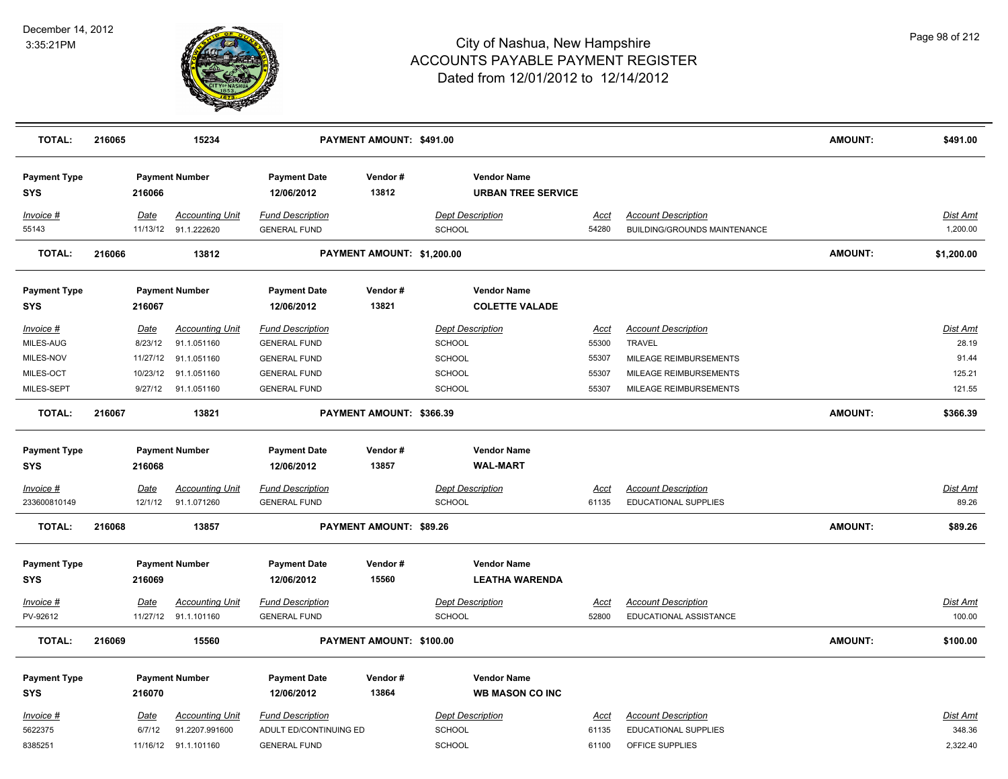

| <b>TOTAL:</b>                     | 216065 |             | 15234                                          |                                                | PAYMENT AMOUNT: \$491.00   |                                                 |               |                                                            | <b>AMOUNT:</b> | \$491.00             |
|-----------------------------------|--------|-------------|------------------------------------------------|------------------------------------------------|----------------------------|-------------------------------------------------|---------------|------------------------------------------------------------|----------------|----------------------|
| <b>Payment Type</b><br><b>SYS</b> |        | 216066      | <b>Payment Number</b>                          | <b>Payment Date</b><br>12/06/2012              | Vendor#<br>13812           | <b>Vendor Name</b><br><b>URBAN TREE SERVICE</b> |               |                                                            |                |                      |
| Invoice #<br>55143                |        | Date        | <b>Accounting Unit</b><br>11/13/12 91.1.222620 | <b>Fund Description</b><br><b>GENERAL FUND</b> |                            | <b>Dept Description</b><br>SCHOOL               | Acct<br>54280 | <b>Account Description</b><br>BUILDING/GROUNDS MAINTENANCE |                | Dist Amt<br>1,200.00 |
| <b>TOTAL:</b>                     | 216066 |             | 13812                                          |                                                | PAYMENT AMOUNT: \$1,200.00 |                                                 |               |                                                            | <b>AMOUNT:</b> | \$1,200.00           |
| <b>Payment Type</b><br>SYS        |        | 216067      | <b>Payment Number</b>                          | <b>Payment Date</b><br>12/06/2012              | Vendor#<br>13821           | <b>Vendor Name</b><br><b>COLETTE VALADE</b>     |               |                                                            |                |                      |
| Invoice #                         |        | Date        | <b>Accounting Unit</b>                         | <b>Fund Description</b>                        |                            | <b>Dept Description</b>                         | <u>Acct</u>   | <b>Account Description</b>                                 |                | <u>Dist Amt</u>      |
| MILES-AUG                         |        | 8/23/12     | 91.1.051160                                    | <b>GENERAL FUND</b>                            |                            | <b>SCHOOL</b>                                   | 55300         | <b>TRAVEL</b>                                              |                | 28.19                |
| MILES-NOV                         |        | 11/27/12    | 91.1.051160                                    | <b>GENERAL FUND</b>                            |                            | <b>SCHOOL</b>                                   | 55307         | MILEAGE REIMBURSEMENTS                                     |                | 91.44                |
| MILES-OCT                         |        | 10/23/12    | 91.1.051160                                    | <b>GENERAL FUND</b>                            |                            | SCHOOL                                          | 55307         | MILEAGE REIMBURSEMENTS                                     |                | 125.21               |
| MILES-SEPT                        |        |             | 9/27/12 91.1.051160                            | <b>GENERAL FUND</b>                            |                            | SCHOOL                                          | 55307         | MILEAGE REIMBURSEMENTS                                     |                | 121.55               |
| <b>TOTAL:</b>                     | 216067 |             | 13821                                          |                                                | PAYMENT AMOUNT: \$366.39   |                                                 |               |                                                            | <b>AMOUNT:</b> | \$366.39             |
| <b>Payment Type</b><br><b>SYS</b> |        | 216068      | <b>Payment Number</b>                          | <b>Payment Date</b><br>12/06/2012              | Vendor#<br>13857           | <b>Vendor Name</b><br><b>WAL-MART</b>           |               |                                                            |                |                      |
| Invoice #                         |        | <u>Date</u> | <b>Accounting Unit</b>                         | <b>Fund Description</b>                        |                            | <b>Dept Description</b>                         | <u>Acct</u>   | <b>Account Description</b>                                 |                | Dist Amt             |
| 233600810149                      |        | 12/1/12     | 91.1.071260                                    | <b>GENERAL FUND</b>                            |                            | <b>SCHOOL</b>                                   | 61135         | <b>EDUCATIONAL SUPPLIES</b>                                |                | 89.26                |
| <b>TOTAL:</b>                     | 216068 |             | 13857                                          |                                                | PAYMENT AMOUNT: \$89.26    |                                                 |               |                                                            | <b>AMOUNT:</b> | \$89.26              |
| <b>Payment Type</b>               |        |             | <b>Payment Number</b>                          | <b>Payment Date</b>                            | Vendor#                    | <b>Vendor Name</b>                              |               |                                                            |                |                      |
| <b>SYS</b>                        |        | 216069      |                                                | 12/06/2012                                     | 15560                      | <b>LEATHA WARENDA</b>                           |               |                                                            |                |                      |
| Invoice #                         |        | Date        | <b>Accounting Unit</b>                         | <b>Fund Description</b>                        |                            | <b>Dept Description</b>                         | <b>Acct</b>   | <b>Account Description</b>                                 |                | Dist Amt             |
| PV-92612                          |        |             | 11/27/12 91.1.101160                           | <b>GENERAL FUND</b>                            |                            | SCHOOL                                          | 52800         | EDUCATIONAL ASSISTANCE                                     |                | 100.00               |
| <b>TOTAL:</b>                     | 216069 |             | 15560                                          |                                                | PAYMENT AMOUNT: \$100.00   |                                                 |               |                                                            | <b>AMOUNT:</b> | \$100.00             |
| <b>Payment Type</b>               |        |             | <b>Payment Number</b>                          | <b>Payment Date</b>                            | Vendor#                    | <b>Vendor Name</b>                              |               |                                                            |                |                      |
| <b>SYS</b>                        |        | 216070      |                                                | 12/06/2012                                     | 13864                      | <b>WB MASON CO INC</b>                          |               |                                                            |                |                      |
| Invoice #                         |        | Date        | <b>Accounting Unit</b>                         | <b>Fund Description</b>                        |                            | <b>Dept Description</b>                         | Acct          | <b>Account Description</b>                                 |                | Dist Amt             |
| 5622375                           |        | 6/7/12      | 91.2207.991600                                 | ADULT ED/CONTINUING ED                         |                            | SCHOOL                                          | 61135         | EDUCATIONAL SUPPLIES                                       |                | 348.36               |
| 8385251                           |        |             | 11/16/12 91.1.101160                           | <b>GENERAL FUND</b>                            |                            | SCHOOL                                          | 61100         | OFFICE SUPPLIES                                            |                | 2,322.40             |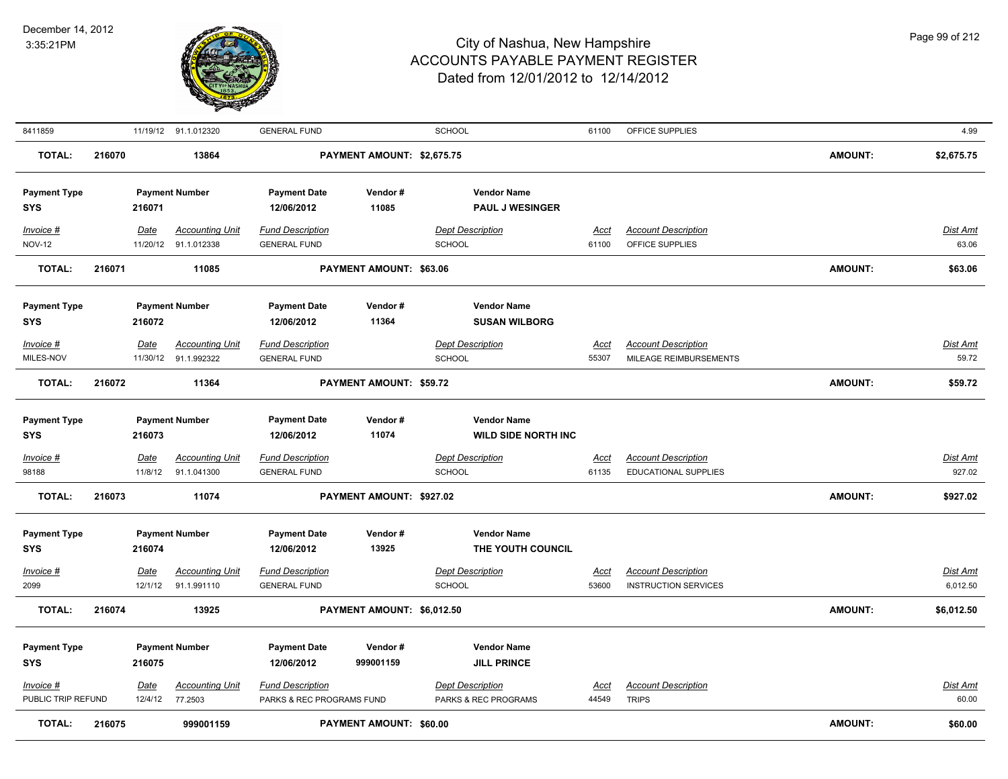

| 8411859                           |        |                        | 11/19/12 91.1.012320                           | <b>GENERAL FUND</b>                                  |                                | <b>SCHOOL</b>                                              | 61100                | OFFICE SUPPLIES                               |                | 4.99              |
|-----------------------------------|--------|------------------------|------------------------------------------------|------------------------------------------------------|--------------------------------|------------------------------------------------------------|----------------------|-----------------------------------------------|----------------|-------------------|
| <b>TOTAL:</b>                     | 216070 |                        | 13864                                          |                                                      | PAYMENT AMOUNT: \$2,675.75     |                                                            |                      |                                               | <b>AMOUNT:</b> | \$2,675.75        |
| <b>Payment Type</b><br><b>SYS</b> |        | 216071                 | <b>Payment Number</b>                          | <b>Payment Date</b><br>12/06/2012                    | Vendor#<br>11085               | <b>Vendor Name</b><br><b>PAUL J WESINGER</b>               |                      |                                               |                |                   |
| Invoice #<br><b>NOV-12</b>        |        | Date                   | <b>Accounting Unit</b><br>11/20/12 91.1.012338 | <b>Fund Description</b><br><b>GENERAL FUND</b>       |                                | <b>Dept Description</b><br><b>SCHOOL</b>                   | Acct<br>61100        | <b>Account Description</b><br>OFFICE SUPPLIES |                | Dist Amt<br>63.06 |
| <b>TOTAL:</b>                     | 216071 |                        | 11085                                          |                                                      | PAYMENT AMOUNT: \$63.06        |                                                            |                      |                                               | <b>AMOUNT:</b> | \$63.06           |
| <b>Payment Type</b><br><b>SYS</b> |        | 216072                 | <b>Payment Number</b>                          | <b>Payment Date</b><br>12/06/2012                    | Vendor#<br>11364               | <b>Vendor Name</b><br><b>SUSAN WILBORG</b>                 |                      |                                               |                |                   |
| Invoice #                         |        | Date                   | <b>Accounting Unit</b>                         | <b>Fund Description</b>                              |                                | <b>Dept Description</b>                                    | Acct                 | <b>Account Description</b>                    |                | <b>Dist Amt</b>   |
| MILES-NOV                         |        |                        | 11/30/12 91.1.992322                           | <b>GENERAL FUND</b>                                  |                                | <b>SCHOOL</b>                                              | 55307                | MILEAGE REIMBURSEMENTS                        |                | 59.72             |
| <b>TOTAL:</b>                     | 216072 |                        | 11364                                          |                                                      | PAYMENT AMOUNT: \$59.72        |                                                            |                      |                                               | <b>AMOUNT:</b> | \$59.72           |
| <b>Payment Type</b><br><b>SYS</b> |        | 216073                 | <b>Payment Number</b>                          | <b>Payment Date</b><br>12/06/2012                    | Vendor#<br>11074               | <b>Vendor Name</b><br><b>WILD SIDE NORTH INC</b>           |                      |                                               |                |                   |
| Invoice #                         |        | <u>Date</u>            | <u>Accounting Unit</u>                         | <b>Fund Description</b>                              |                                | <b>Dept Description</b>                                    | <u>Acct</u>          | <b>Account Description</b>                    |                | Dist Amt          |
| 98188                             |        | 11/8/12                | 91.1.041300                                    | <b>GENERAL FUND</b>                                  |                                | <b>SCHOOL</b>                                              | 61135                | EDUCATIONAL SUPPLIES                          |                | 927.02            |
| <b>TOTAL:</b>                     | 216073 |                        | 11074                                          |                                                      | PAYMENT AMOUNT: \$927.02       |                                                            |                      |                                               | <b>AMOUNT:</b> | \$927.02          |
| <b>Payment Type</b><br><b>SYS</b> |        | 216074                 | <b>Payment Number</b>                          | <b>Payment Date</b><br>12/06/2012                    | Vendor#<br>13925               | <b>Vendor Name</b><br>THE YOUTH COUNCIL                    |                      |                                               |                |                   |
| Invoice #                         |        | <b>Date</b>            | <b>Accounting Unit</b>                         | <b>Fund Description</b>                              |                                | <b>Dept Description</b>                                    | Acct                 | <b>Account Description</b>                    |                | Dist Amt          |
| 2099                              |        | 12/1/12                | 91.1.991110                                    | <b>GENERAL FUND</b>                                  |                                | <b>SCHOOL</b>                                              | 53600                | <b>INSTRUCTION SERVICES</b>                   |                | 6,012.50          |
| <b>TOTAL:</b>                     | 216074 |                        | 13925                                          |                                                      | PAYMENT AMOUNT: \$6,012.50     |                                                            |                      |                                               | <b>AMOUNT:</b> | \$6,012.50        |
| <b>Payment Type</b><br><b>SYS</b> |        | 216075                 | <b>Payment Number</b>                          | <b>Payment Date</b><br>12/06/2012                    | Vendor#<br>999001159           | <b>Vendor Name</b><br><b>JILL PRINCE</b>                   |                      |                                               |                |                   |
| $Invoice$ #<br>PUBLIC TRIP REFUND |        | <u>Date</u><br>12/4/12 | <b>Accounting Unit</b><br>77.2503              | <b>Fund Description</b><br>PARKS & REC PROGRAMS FUND |                                | <b>Dept Description</b><br><b>PARKS &amp; REC PROGRAMS</b> | <u>Acct</u><br>44549 | <b>Account Description</b><br><b>TRIPS</b>    |                | Dist Amt<br>60.00 |
| <b>TOTAL:</b>                     | 216075 |                        | 999001159                                      |                                                      | <b>PAYMENT AMOUNT: \$60.00</b> |                                                            |                      |                                               | <b>AMOUNT:</b> | \$60.00           |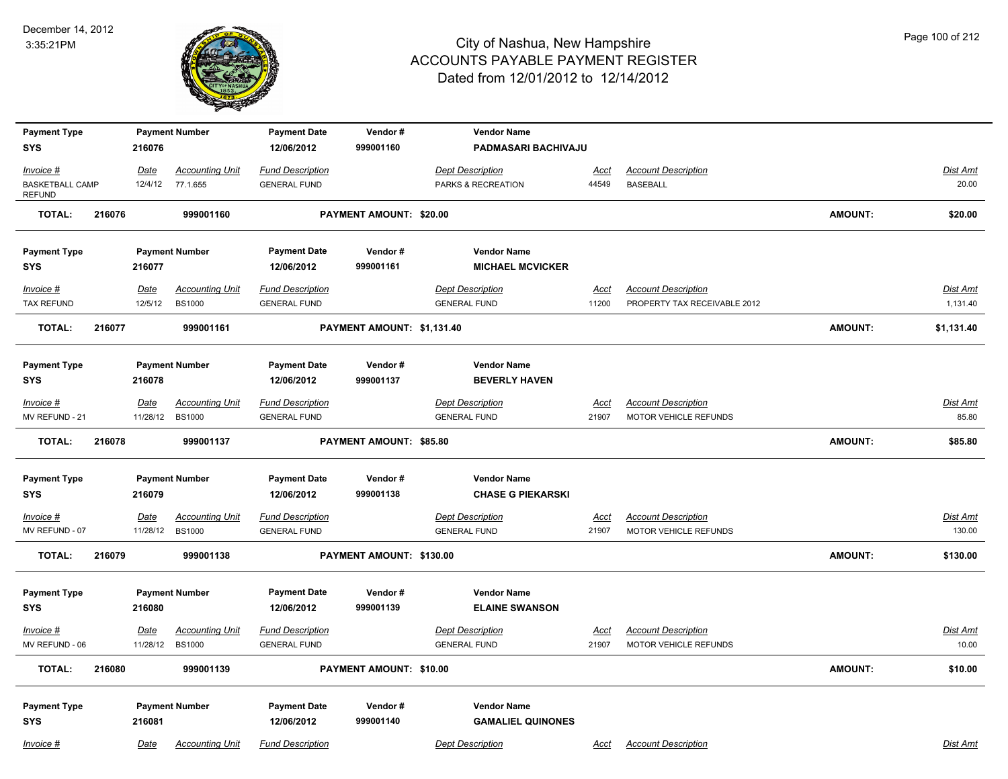

| <b>Payment Type</b>                     |        |             | <b>Payment Number</b>  | <b>Payment Date</b>     | Vendor#                        | <b>Vendor Name</b>       |             |                              |                |                 |
|-----------------------------------------|--------|-------------|------------------------|-------------------------|--------------------------------|--------------------------|-------------|------------------------------|----------------|-----------------|
| <b>SYS</b>                              |        | 216076      |                        | 12/06/2012              | 999001160                      | PADMASARI BACHIVAJU      |             |                              |                |                 |
| Invoice #                               |        | Date        | <b>Accounting Unit</b> | <b>Fund Description</b> |                                | <b>Dept Description</b>  | Acct        | <b>Account Description</b>   |                | Dist Amt        |
| <b>BASKETBALL CAMP</b><br><b>REFUND</b> |        | 12/4/12     | 77.1.655               | <b>GENERAL FUND</b>     |                                | PARKS & RECREATION       | 44549       | <b>BASEBALL</b>              |                | 20.00           |
| <b>TOTAL:</b>                           | 216076 |             | 999001160              |                         | PAYMENT AMOUNT: \$20.00        |                          |             |                              | <b>AMOUNT:</b> | \$20.00         |
| <b>Payment Type</b>                     |        |             | <b>Payment Number</b>  | <b>Payment Date</b>     | Vendor#                        | <b>Vendor Name</b>       |             |                              |                |                 |
| <b>SYS</b>                              |        | 216077      |                        | 12/06/2012              | 999001161                      | <b>MICHAEL MCVICKER</b>  |             |                              |                |                 |
| Invoice #                               |        | <u>Date</u> | <b>Accounting Unit</b> | <b>Fund Description</b> |                                | <b>Dept Description</b>  | <u>Acct</u> | <b>Account Description</b>   |                | Dist Amt        |
| <b>TAX REFUND</b>                       |        | 12/5/12     | <b>BS1000</b>          | <b>GENERAL FUND</b>     |                                | <b>GENERAL FUND</b>      | 11200       | PROPERTY TAX RECEIVABLE 2012 |                | 1,131.40        |
| <b>TOTAL:</b>                           | 216077 |             | 999001161              |                         | PAYMENT AMOUNT: \$1,131.40     |                          |             |                              | <b>AMOUNT:</b> | \$1,131.40      |
| <b>Payment Type</b>                     |        |             | <b>Payment Number</b>  | <b>Payment Date</b>     | Vendor#                        | <b>Vendor Name</b>       |             |                              |                |                 |
| SYS                                     |        | 216078      |                        | 12/06/2012              | 999001137                      | <b>BEVERLY HAVEN</b>     |             |                              |                |                 |
| $Invoice$ #                             |        | <b>Date</b> | <b>Accounting Unit</b> | <b>Fund Description</b> |                                | <b>Dept Description</b>  | <u>Acct</u> | <b>Account Description</b>   |                | <b>Dist Amt</b> |
| MV REFUND - 21                          |        | 11/28/12    | <b>BS1000</b>          | <b>GENERAL FUND</b>     |                                | <b>GENERAL FUND</b>      | 21907       | MOTOR VEHICLE REFUNDS        |                | 85.80           |
| <b>TOTAL:</b>                           | 216078 |             | 999001137              |                         | PAYMENT AMOUNT: \$85.80        |                          |             |                              | <b>AMOUNT:</b> | \$85.80         |
| <b>Payment Type</b>                     |        |             | <b>Payment Number</b>  | <b>Payment Date</b>     | Vendor#                        | <b>Vendor Name</b>       |             |                              |                |                 |
| <b>SYS</b>                              |        | 216079      |                        | 12/06/2012              | 999001138                      | <b>CHASE G PIEKARSKI</b> |             |                              |                |                 |
| Invoice #                               |        | Date        | <b>Accounting Unit</b> | <b>Fund Description</b> |                                | <b>Dept Description</b>  | <u>Acct</u> | <b>Account Description</b>   |                | <b>Dist Amt</b> |
| MV REFUND - 07                          |        | 11/28/12    | <b>BS1000</b>          | <b>GENERAL FUND</b>     |                                | <b>GENERAL FUND</b>      | 21907       | MOTOR VEHICLE REFUNDS        |                | 130.00          |
| <b>TOTAL:</b>                           | 216079 |             | 999001138              |                         | PAYMENT AMOUNT: \$130.00       |                          |             |                              | AMOUNT:        | \$130.00        |
| <b>Payment Type</b>                     |        |             | <b>Payment Number</b>  | <b>Payment Date</b>     | Vendor#                        | <b>Vendor Name</b>       |             |                              |                |                 |
| <b>SYS</b>                              |        | 216080      |                        | 12/06/2012              | 999001139                      | <b>ELAINE SWANSON</b>    |             |                              |                |                 |
| $Invoice$ #                             |        | <b>Date</b> | <u>Accounting Unit</u> | <b>Fund Description</b> |                                | <b>Dept Description</b>  | <u>Acct</u> | <b>Account Description</b>   |                | <b>Dist Amt</b> |
| MV REFUND - 06                          |        | 11/28/12    | <b>BS1000</b>          | <b>GENERAL FUND</b>     |                                | <b>GENERAL FUND</b>      | 21907       | MOTOR VEHICLE REFUNDS        |                | 10.00           |
| <b>TOTAL:</b>                           | 216080 |             | 999001139              |                         | <b>PAYMENT AMOUNT: \$10.00</b> |                          |             |                              | AMOUNT:        | \$10.00         |
| <b>Payment Type</b>                     |        |             | <b>Payment Number</b>  | <b>Payment Date</b>     | Vendor#                        | <b>Vendor Name</b>       |             |                              |                |                 |
| <b>SYS</b>                              |        | 216081      |                        | 12/06/2012              | 999001140                      | <b>GAMALIEL QUINONES</b> |             |                              |                |                 |
| Invoice #                               |        | Date        | <b>Accounting Unit</b> | <b>Fund Description</b> |                                | <b>Dept Description</b>  | <u>Acct</u> | <b>Account Description</b>   |                | Dist Amt        |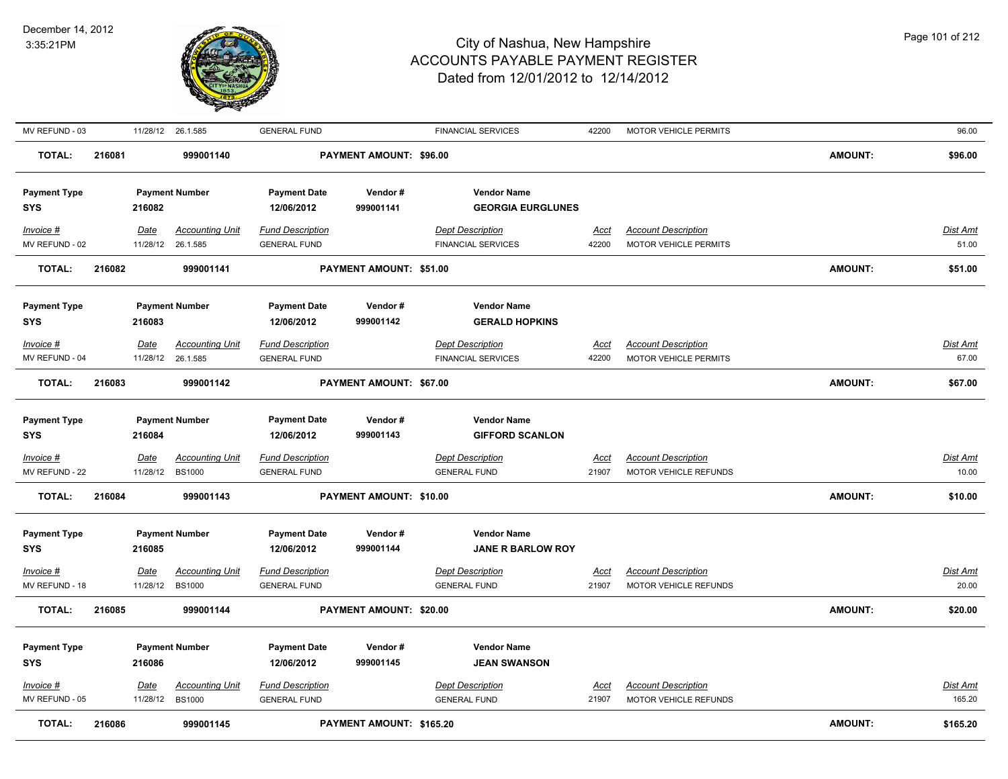

| MV REFUND - 03      |        |          | 11/28/12 26.1.585      | <b>GENERAL FUND</b>     |                          | <b>FINANCIAL SERVICES</b> | 42200       | <b>MOTOR VEHICLE PERMITS</b> |                | 96.00           |
|---------------------|--------|----------|------------------------|-------------------------|--------------------------|---------------------------|-------------|------------------------------|----------------|-----------------|
| <b>TOTAL:</b>       | 216081 |          | 999001140              |                         | PAYMENT AMOUNT: \$96.00  |                           |             |                              | AMOUNT:        | \$96.00         |
| <b>Payment Type</b> |        |          | <b>Payment Number</b>  | <b>Payment Date</b>     | Vendor#                  | <b>Vendor Name</b>        |             |                              |                |                 |
| SYS                 |        | 216082   |                        | 12/06/2012              | 999001141                | <b>GEORGIA EURGLUNES</b>  |             |                              |                |                 |
| Invoice #           |        | Date     | <b>Accounting Unit</b> | <b>Fund Description</b> |                          | <b>Dept Description</b>   | Acct        | <b>Account Description</b>   |                | Dist Amt        |
| MV REFUND - 02      |        | 11/28/12 | 26.1.585               | <b>GENERAL FUND</b>     |                          | <b>FINANCIAL SERVICES</b> | 42200       | MOTOR VEHICLE PERMITS        |                | 51.00           |
| <b>TOTAL:</b>       | 216082 |          | 999001141              |                         | PAYMENT AMOUNT: \$51.00  |                           |             |                              | <b>AMOUNT:</b> | \$51.00         |
| <b>Payment Type</b> |        |          | <b>Payment Number</b>  | <b>Payment Date</b>     | Vendor#                  | <b>Vendor Name</b>        |             |                              |                |                 |
| <b>SYS</b>          |        | 216083   |                        | 12/06/2012              | 999001142                | <b>GERALD HOPKINS</b>     |             |                              |                |                 |
| Invoice #           |        | Date     | <b>Accounting Unit</b> | <b>Fund Description</b> |                          | <b>Dept Description</b>   | Acct        | <b>Account Description</b>   |                | Dist Amt        |
| MV REFUND - 04      |        | 11/28/12 | 26.1.585               | <b>GENERAL FUND</b>     |                          | <b>FINANCIAL SERVICES</b> | 42200       | MOTOR VEHICLE PERMITS        |                | 67.00           |
| <b>TOTAL:</b>       | 216083 |          | 999001142              |                         | PAYMENT AMOUNT: \$67.00  |                           |             |                              | AMOUNT:        | \$67.00         |
| <b>Payment Type</b> |        |          | <b>Payment Number</b>  | <b>Payment Date</b>     | Vendor#                  | <b>Vendor Name</b>        |             |                              |                |                 |
| SYS                 |        | 216084   |                        | 12/06/2012              | 999001143                | <b>GIFFORD SCANLON</b>    |             |                              |                |                 |
| $Invoice$ #         |        | Date     | <b>Accounting Unit</b> | <b>Fund Description</b> |                          | <b>Dept Description</b>   | <u>Acct</u> | <b>Account Description</b>   |                | <b>Dist Amt</b> |
| MV REFUND - 22      |        | 11/28/12 | <b>BS1000</b>          | <b>GENERAL FUND</b>     |                          | <b>GENERAL FUND</b>       | 21907       | MOTOR VEHICLE REFUNDS        |                | 10.00           |
| <b>TOTAL:</b>       | 216084 |          | 999001143              |                         | PAYMENT AMOUNT: \$10.00  |                           |             |                              | <b>AMOUNT:</b> | \$10.00         |
| <b>Payment Type</b> |        |          | <b>Payment Number</b>  | <b>Payment Date</b>     | Vendor#                  | <b>Vendor Name</b>        |             |                              |                |                 |
| <b>SYS</b>          |        | 216085   |                        | 12/06/2012              | 999001144                | <b>JANE R BARLOW ROY</b>  |             |                              |                |                 |
| Invoice #           |        | Date     | <b>Accounting Unit</b> | <b>Fund Description</b> |                          | <b>Dept Description</b>   | Acct        | <b>Account Description</b>   |                | Dist Amt        |
| MV REFUND - 18      |        | 11/28/12 | <b>BS1000</b>          | <b>GENERAL FUND</b>     |                          | <b>GENERAL FUND</b>       | 21907       | MOTOR VEHICLE REFUNDS        |                | 20.00           |
| <b>TOTAL:</b>       | 216085 |          | 999001144              |                         | PAYMENT AMOUNT: \$20.00  |                           |             |                              | <b>AMOUNT:</b> | \$20.00         |
| <b>Payment Type</b> |        |          | <b>Payment Number</b>  | <b>Payment Date</b>     | Vendor#                  | <b>Vendor Name</b>        |             |                              |                |                 |
| SYS                 |        | 216086   |                        | 12/06/2012              | 999001145                | <b>JEAN SWANSON</b>       |             |                              |                |                 |
| Invoice #           |        | Date     | <b>Accounting Unit</b> | <b>Fund Description</b> |                          | <b>Dept Description</b>   | Acct        | <b>Account Description</b>   |                | Dist Amt        |
| MV REFUND - 05      |        | 11/28/12 | <b>BS1000</b>          | <b>GENERAL FUND</b>     |                          | <b>GENERAL FUND</b>       | 21907       | MOTOR VEHICLE REFUNDS        |                | 165.20          |
| <b>TOTAL:</b>       | 216086 |          | 999001145              |                         | PAYMENT AMOUNT: \$165.20 |                           |             |                              | <b>AMOUNT:</b> | \$165.20        |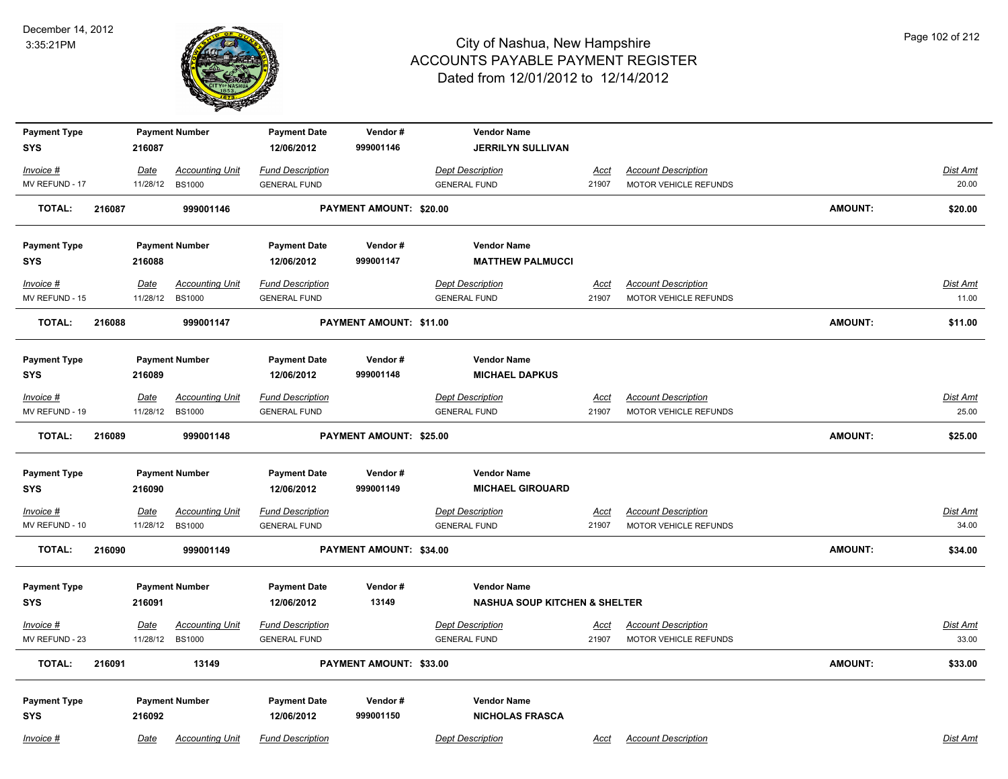

| <b>Payment Type</b>           |        |                         | <b>Payment Number</b>                   | <b>Payment Date</b>                            | Vendor#                        | <b>Vendor Name</b>                             |                      |                                                            |                |                          |
|-------------------------------|--------|-------------------------|-----------------------------------------|------------------------------------------------|--------------------------------|------------------------------------------------|----------------------|------------------------------------------------------------|----------------|--------------------------|
| <b>SYS</b>                    |        | 216087                  |                                         | 12/06/2012                                     | 999001146                      | <b>JERRILYN SULLIVAN</b>                       |                      |                                                            |                |                          |
| Invoice #                     |        | Date                    | <b>Accounting Unit</b>                  | <b>Fund Description</b>                        |                                | <b>Dept Description</b>                        | <u>Acct</u>          | <b>Account Description</b>                                 |                | <b>Dist Amt</b>          |
| MV REFUND - 17                |        | 11/28/12                | <b>BS1000</b>                           | <b>GENERAL FUND</b>                            |                                | <b>GENERAL FUND</b>                            | 21907                | MOTOR VEHICLE REFUNDS                                      |                | 20.00                    |
| <b>TOTAL:</b>                 | 216087 |                         | 999001146                               |                                                | PAYMENT AMOUNT: \$20.00        |                                                |                      |                                                            | <b>AMOUNT:</b> | \$20.00                  |
| <b>Payment Type</b>           |        |                         | <b>Payment Number</b>                   | <b>Payment Date</b>                            | Vendor#                        | <b>Vendor Name</b>                             |                      |                                                            |                |                          |
| SYS                           |        | 216088                  |                                         | 12/06/2012                                     | 999001147                      | <b>MATTHEW PALMUCCI</b>                        |                      |                                                            |                |                          |
| Invoice #                     |        | Date                    | <b>Accounting Unit</b>                  | <b>Fund Description</b>                        |                                | <b>Dept Description</b>                        | Acct                 | <b>Account Description</b>                                 |                | Dist Amt                 |
| MV REFUND - 15                |        | 11/28/12                | <b>BS1000</b>                           | <b>GENERAL FUND</b>                            |                                | <b>GENERAL FUND</b>                            | 21907                | MOTOR VEHICLE REFUNDS                                      |                | 11.00                    |
| <b>TOTAL:</b>                 | 216088 |                         | 999001147                               |                                                | PAYMENT AMOUNT: \$11.00        |                                                |                      |                                                            | <b>AMOUNT:</b> | \$11.00                  |
| <b>Payment Type</b>           |        |                         | <b>Payment Number</b>                   | <b>Payment Date</b>                            | Vendor#                        | <b>Vendor Name</b>                             |                      |                                                            |                |                          |
| <b>SYS</b>                    |        | 216089                  |                                         | 12/06/2012                                     | 999001148                      | <b>MICHAEL DAPKUS</b>                          |                      |                                                            |                |                          |
| Invoice #                     |        | Date                    | <b>Accounting Unit</b>                  | <b>Fund Description</b>                        |                                | <b>Dept Description</b>                        | Acct                 | <b>Account Description</b>                                 |                | Dist Amt                 |
| MV REFUND - 19                |        | 11/28/12                | <b>BS1000</b>                           | <b>GENERAL FUND</b>                            |                                | <b>GENERAL FUND</b>                            | 21907                | MOTOR VEHICLE REFUNDS                                      |                | 25.00                    |
| <b>TOTAL:</b>                 | 216089 |                         | 999001148                               |                                                | <b>PAYMENT AMOUNT: \$25.00</b> |                                                |                      |                                                            | <b>AMOUNT:</b> | \$25.00                  |
| <b>Payment Type</b>           |        |                         | <b>Payment Number</b>                   | <b>Payment Date</b>                            | Vendor#                        | <b>Vendor Name</b>                             |                      |                                                            |                |                          |
| SYS                           |        | 216090                  |                                         | 12/06/2012                                     | 999001149                      | <b>MICHAEL GIROUARD</b>                        |                      |                                                            |                |                          |
| $Invoice$ #<br>MV REFUND - 10 |        | <u>Date</u><br>11/28/12 | <b>Accounting Unit</b><br><b>BS1000</b> | <b>Fund Description</b><br><b>GENERAL FUND</b> |                                | <b>Dept Description</b><br><b>GENERAL FUND</b> | <b>Acct</b><br>21907 | <b>Account Description</b><br><b>MOTOR VEHICLE REFUNDS</b> |                | <b>Dist Amt</b><br>34.00 |
| <b>TOTAL:</b>                 | 216090 |                         | 999001149                               |                                                | PAYMENT AMOUNT: \$34.00        |                                                |                      |                                                            | AMOUNT:        | \$34.00                  |
| <b>Payment Type</b>           |        |                         | <b>Payment Number</b>                   | <b>Payment Date</b>                            | Vendor#                        | <b>Vendor Name</b>                             |                      |                                                            |                |                          |
| SYS                           |        | 216091                  |                                         | 12/06/2012                                     | 13149                          | <b>NASHUA SOUP KITCHEN &amp; SHELTER</b>       |                      |                                                            |                |                          |
| Invoice #                     |        | Date                    | <b>Accounting Unit</b>                  | <b>Fund Description</b>                        |                                | <b>Dept Description</b>                        | <u>Acct</u>          | <b>Account Description</b>                                 |                | Dist Amt                 |
| MV REFUND - 23                |        | 11/28/12                | <b>BS1000</b>                           | <b>GENERAL FUND</b>                            |                                | <b>GENERAL FUND</b>                            | 21907                | <b>MOTOR VEHICLE REFUNDS</b>                               |                | 33.00                    |
| <b>TOTAL:</b>                 | 216091 |                         | 13149                                   |                                                | PAYMENT AMOUNT: \$33.00        |                                                |                      |                                                            | AMOUNT:        | \$33.00                  |
| <b>Payment Type</b>           |        |                         | <b>Payment Number</b>                   | <b>Payment Date</b>                            | Vendor#                        | <b>Vendor Name</b>                             |                      |                                                            |                |                          |
| <b>SYS</b>                    |        | 216092                  |                                         | 12/06/2012                                     | 999001150                      | <b>NICHOLAS FRASCA</b>                         |                      |                                                            |                |                          |
| Invoice #                     |        | Date                    | <b>Accounting Unit</b>                  | <b>Fund Description</b>                        |                                | <b>Dept Description</b>                        | Acct                 | <b>Account Description</b>                                 |                | Dist Amt                 |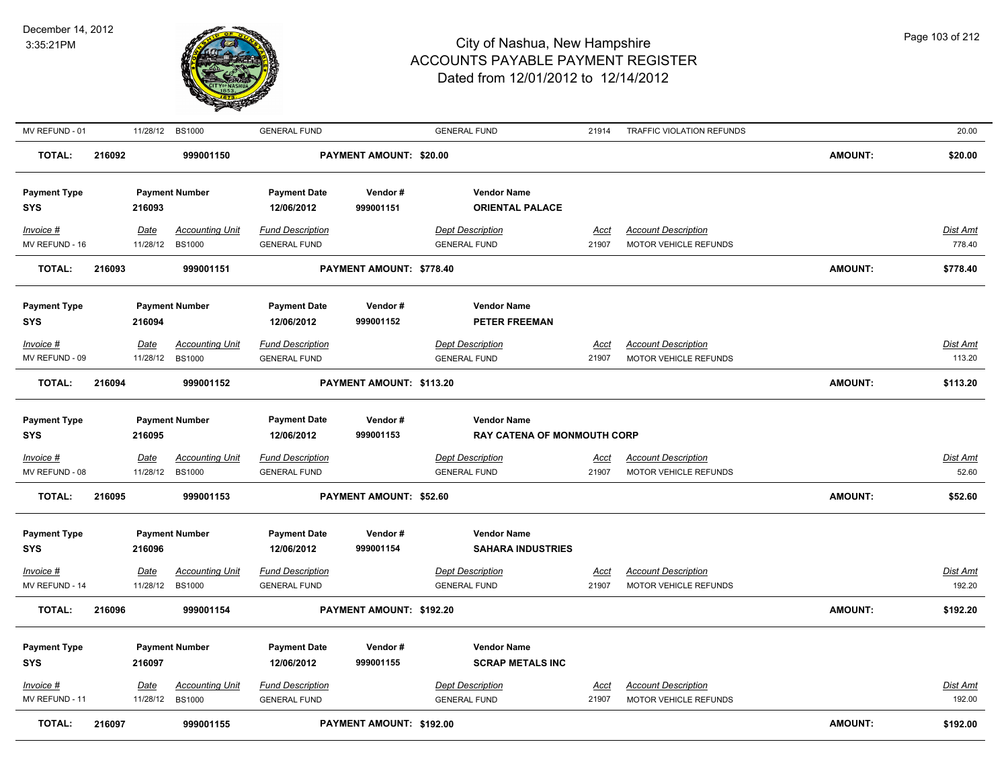

| MV REFUND - 01                    |        | 11/28/12                | <b>BS1000</b>                           | <b>GENERAL FUND</b>                            |                                | <b>GENERAL FUND</b>                                      | 21914                | TRAFFIC VIOLATION REFUNDS                                  |                | 20.00              |
|-----------------------------------|--------|-------------------------|-----------------------------------------|------------------------------------------------|--------------------------------|----------------------------------------------------------|----------------------|------------------------------------------------------------|----------------|--------------------|
| <b>TOTAL:</b>                     | 216092 |                         | 999001150                               |                                                | <b>PAYMENT AMOUNT: \$20.00</b> |                                                          |                      |                                                            | <b>AMOUNT:</b> | \$20.00            |
| <b>Payment Type</b><br>SYS        |        | 216093                  | <b>Payment Number</b>                   | <b>Payment Date</b><br>12/06/2012              | Vendor#<br>999001151           | <b>Vendor Name</b><br><b>ORIENTAL PALACE</b>             |                      |                                                            |                |                    |
| Invoice #<br>MV REFUND - 16       |        | Date<br>11/28/12        | <b>Accounting Unit</b><br><b>BS1000</b> | Fund Description<br><b>GENERAL FUND</b>        |                                | <b>Dept Description</b><br><b>GENERAL FUND</b>           | Acct<br>21907        | <b>Account Description</b><br>MOTOR VEHICLE REFUNDS        |                | Dist Amt<br>778.40 |
| <b>TOTAL:</b>                     | 216093 |                         | 999001151                               |                                                | PAYMENT AMOUNT: \$778.40       |                                                          |                      |                                                            | <b>AMOUNT:</b> | \$778.40           |
| <b>Payment Type</b><br>SYS        |        | 216094                  | <b>Payment Number</b>                   | <b>Payment Date</b><br>12/06/2012              | Vendor#<br>999001152           | <b>Vendor Name</b><br><b>PETER FREEMAN</b>               |                      |                                                            |                |                    |
| Invoice #                         |        | <b>Date</b>             | <b>Accounting Unit</b>                  | <b>Fund Description</b>                        |                                | <b>Dept Description</b>                                  | <u>Acct</u>          | <b>Account Description</b>                                 |                | <b>Dist Amt</b>    |
| MV REFUND - 09                    |        | 11/28/12                | <b>BS1000</b>                           | <b>GENERAL FUND</b>                            |                                | <b>GENERAL FUND</b>                                      | 21907                | MOTOR VEHICLE REFUNDS                                      |                | 113.20             |
| <b>TOTAL:</b>                     | 216094 |                         | 999001152                               |                                                | PAYMENT AMOUNT: \$113.20       |                                                          |                      |                                                            | <b>AMOUNT:</b> | \$113.20           |
| <b>Payment Type</b><br>SYS        |        | 216095                  | <b>Payment Number</b>                   | <b>Payment Date</b><br>12/06/2012              | Vendor#<br>999001153           | <b>Vendor Name</b><br><b>RAY CATENA OF MONMOUTH CORP</b> |                      |                                                            |                |                    |
| Invoice #                         |        | Date                    | <b>Accounting Unit</b>                  | <b>Fund Description</b>                        |                                | <b>Dept Description</b>                                  | <u>Acct</u>          | <b>Account Description</b>                                 |                | Dist Amt           |
| MV REFUND - 08                    |        | 11/28/12                | <b>BS1000</b>                           | <b>GENERAL FUND</b>                            |                                | <b>GENERAL FUND</b>                                      | 21907                | MOTOR VEHICLE REFUNDS                                      |                | 52.60              |
| TOTAL:                            | 216095 |                         | 999001153                               |                                                | <b>PAYMENT AMOUNT: \$52.60</b> |                                                          |                      |                                                            | <b>AMOUNT:</b> | \$52.60            |
| <b>Payment Type</b><br>SYS        |        | 216096                  | <b>Payment Number</b>                   | <b>Payment Date</b><br>12/06/2012              | Vendor#<br>999001154           | <b>Vendor Name</b><br><b>SAHARA INDUSTRIES</b>           |                      |                                                            |                |                    |
| Invoice #                         |        | <b>Date</b>             | <b>Accounting Unit</b>                  | <b>Fund Description</b>                        |                                | <b>Dept Description</b>                                  | <u>Acct</u>          | <b>Account Description</b>                                 |                | <u>Dist Amt</u>    |
| MV REFUND - 14                    |        | 11/28/12                | <b>BS1000</b>                           | <b>GENERAL FUND</b>                            |                                | <b>GENERAL FUND</b>                                      | 21907                | MOTOR VEHICLE REFUNDS                                      |                | 192.20             |
| <b>TOTAL:</b>                     | 216096 |                         | 999001154                               |                                                | PAYMENT AMOUNT: \$192.20       |                                                          |                      |                                                            | <b>AMOUNT:</b> | \$192.20           |
| <b>Payment Type</b><br><b>SYS</b> |        | 216097                  | <b>Payment Number</b>                   | <b>Payment Date</b><br>12/06/2012              | Vendor#<br>999001155           | <b>Vendor Name</b><br><b>SCRAP METALS INC</b>            |                      |                                                            |                |                    |
| Invoice #<br>MV REFUND - 11       |        | <u>Date</u><br>11/28/12 | <b>Accounting Unit</b><br><b>BS1000</b> | <b>Fund Description</b><br><b>GENERAL FUND</b> |                                | <b>Dept Description</b><br><b>GENERAL FUND</b>           | <u>Acct</u><br>21907 | <b>Account Description</b><br><b>MOTOR VEHICLE REFUNDS</b> |                | Dist Amt<br>192.00 |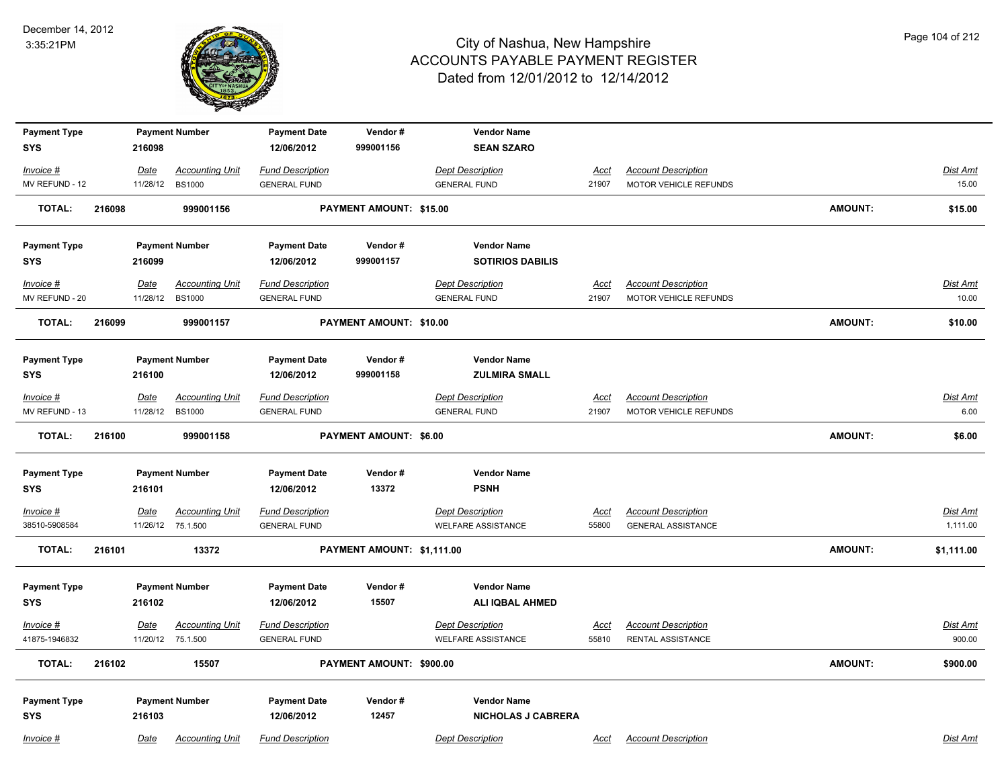

| <b>Payment Type</b> |        |             | <b>Payment Number</b>  | <b>Payment Date</b>     | Vendor#                        | <b>Vendor Name</b>        |             |                            |                |                 |
|---------------------|--------|-------------|------------------------|-------------------------|--------------------------------|---------------------------|-------------|----------------------------|----------------|-----------------|
| <b>SYS</b>          |        | 216098      |                        | 12/06/2012              | 999001156                      | <b>SEAN SZARO</b>         |             |                            |                |                 |
| $Invoice$ #         |        | Date        | <b>Accounting Unit</b> | <b>Fund Description</b> |                                | <b>Dept Description</b>   | <u>Acct</u> | <b>Account Description</b> |                | <b>Dist Amt</b> |
| MV REFUND - 12      |        | 11/28/12    | <b>BS1000</b>          | <b>GENERAL FUND</b>     |                                | <b>GENERAL FUND</b>       | 21907       | MOTOR VEHICLE REFUNDS      |                | 15.00           |
| TOTAL:              | 216098 |             | 999001156              |                         | <b>PAYMENT AMOUNT: \$15.00</b> |                           |             |                            | AMOUNT:        | \$15.00         |
| <b>Payment Type</b> |        |             | <b>Payment Number</b>  | <b>Payment Date</b>     | Vendor#                        | <b>Vendor Name</b>        |             |                            |                |                 |
| <b>SYS</b>          |        | 216099      |                        | 12/06/2012              | 999001157                      | <b>SOTIRIOS DABILIS</b>   |             |                            |                |                 |
| Invoice #           |        | Date        | <b>Accounting Unit</b> | <b>Fund Description</b> |                                | <b>Dept Description</b>   | <b>Acct</b> | <b>Account Description</b> |                | Dist Amt        |
| MV REFUND - 20      |        | 11/28/12    | <b>BS1000</b>          | <b>GENERAL FUND</b>     |                                | <b>GENERAL FUND</b>       | 21907       | MOTOR VEHICLE REFUNDS      |                | 10.00           |
| TOTAL:              | 216099 |             | 999001157              |                         | PAYMENT AMOUNT: \$10.00        |                           |             |                            | AMOUNT:        | \$10.00         |
| <b>Payment Type</b> |        |             | <b>Payment Number</b>  | <b>Payment Date</b>     | Vendor#                        | <b>Vendor Name</b>        |             |                            |                |                 |
| <b>SYS</b>          |        | 216100      |                        | 12/06/2012              | 999001158                      | <b>ZULMIRA SMALL</b>      |             |                            |                |                 |
| Invoice #           |        | Date        | <u>Accounting Unit</u> | <b>Fund Description</b> |                                | <b>Dept Description</b>   | <u>Acct</u> | <b>Account Description</b> |                | Dist Amt        |
| MV REFUND - 13      |        | 11/28/12    | <b>BS1000</b>          | <b>GENERAL FUND</b>     |                                | <b>GENERAL FUND</b>       | 21907       | MOTOR VEHICLE REFUNDS      |                | 6.00            |
| <b>TOTAL:</b>       | 216100 |             | 999001158              |                         | <b>PAYMENT AMOUNT: \$6.00</b>  |                           |             |                            | <b>AMOUNT:</b> | \$6.00          |
| <b>Payment Type</b> |        |             | <b>Payment Number</b>  | <b>Payment Date</b>     | Vendor#                        | <b>Vendor Name</b>        |             |                            |                |                 |
| <b>SYS</b>          |        | 216101      |                        | 12/06/2012              | 13372                          | <b>PSNH</b>               |             |                            |                |                 |
| $Invoice$ #         |        | <b>Date</b> | <b>Accounting Unit</b> | <b>Fund Description</b> |                                | <b>Dept Description</b>   | <u>Acct</u> | <b>Account Description</b> |                | <b>Dist Amt</b> |
| 38510-5908584       |        |             | 11/26/12 75.1.500      | <b>GENERAL FUND</b>     |                                | <b>WELFARE ASSISTANCE</b> | 55800       | <b>GENERAL ASSISTANCE</b>  |                | 1,111.00        |
| <b>TOTAL:</b>       | 216101 |             | 13372                  |                         | PAYMENT AMOUNT: \$1,111.00     |                           |             |                            | AMOUNT:        | \$1,111.00      |
| <b>Payment Type</b> |        |             | <b>Payment Number</b>  | <b>Payment Date</b>     | Vendor#                        | <b>Vendor Name</b>        |             |                            |                |                 |
| <b>SYS</b>          |        | 216102      |                        | 12/06/2012              | 15507                          | <b>ALI IQBAL AHMED</b>    |             |                            |                |                 |
| Invoice #           |        | Date        | <b>Accounting Unit</b> | <b>Fund Description</b> |                                | <b>Dept Description</b>   | <u>Acct</u> | <b>Account Description</b> |                | <b>Dist Amt</b> |
| 41875-1946832       |        |             | 11/20/12 75.1.500      | <b>GENERAL FUND</b>     |                                | <b>WELFARE ASSISTANCE</b> | 55810       | RENTAL ASSISTANCE          |                | 900.00          |
| <b>TOTAL:</b>       | 216102 |             | 15507                  |                         | PAYMENT AMOUNT: \$900.00       |                           |             |                            | AMOUNT:        | \$900.00        |
| <b>Payment Type</b> |        |             | <b>Payment Number</b>  | <b>Payment Date</b>     | Vendor #                       | <b>Vendor Name</b>        |             |                            |                |                 |
| <b>SYS</b>          |        | 216103      |                        | 12/06/2012              | 12457                          | <b>NICHOLAS J CABRERA</b> |             |                            |                |                 |
| Invoice #           |        | Date        | <b>Accounting Unit</b> | <b>Fund Description</b> |                                | <b>Dept Description</b>   | Acct        | <b>Account Description</b> |                | Dist Amt        |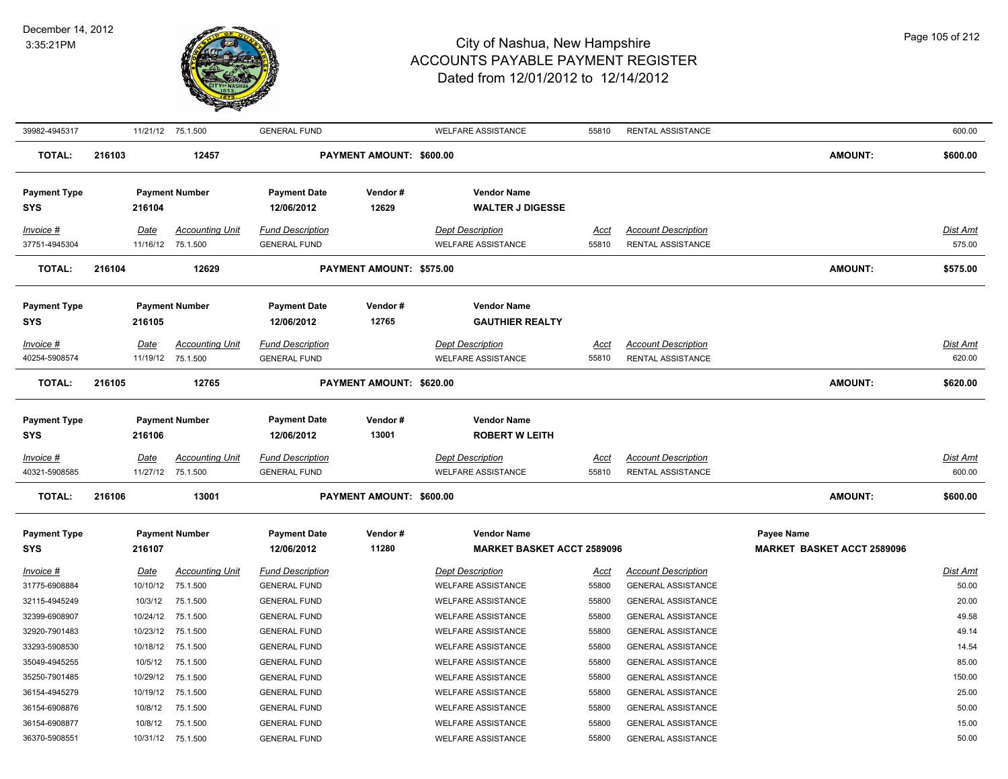

| 39982-4945317                     |        | 11/21/12 75.1.500                |                                             | <b>GENERAL FUND</b>                            |                          | <b>WELFARE ASSISTANCE</b>                               | 55810                | RENTAL ASSISTANCE                                       |                                                 | 600.00                    |
|-----------------------------------|--------|----------------------------------|---------------------------------------------|------------------------------------------------|--------------------------|---------------------------------------------------------|----------------------|---------------------------------------------------------|-------------------------------------------------|---------------------------|
| <b>TOTAL:</b>                     | 216103 |                                  | 12457                                       |                                                | PAYMENT AMOUNT: \$600.00 |                                                         |                      |                                                         | <b>AMOUNT:</b>                                  | \$600.00                  |
| <b>Payment Type</b><br>SYS        |        | 216104                           | <b>Payment Number</b>                       | <b>Payment Date</b><br>12/06/2012              | Vendor#<br>12629         | <b>Vendor Name</b><br><b>WALTER J DIGESSE</b>           |                      |                                                         |                                                 |                           |
| Invoice #<br>37751-4945304        |        | Date                             | <b>Accounting Unit</b><br>11/16/12 75.1.500 | <b>Fund Description</b><br><b>GENERAL FUND</b> |                          | <b>Dept Description</b><br><b>WELFARE ASSISTANCE</b>    | Acct<br>55810        | <b>Account Description</b><br>RENTAL ASSISTANCE         |                                                 | <b>Dist Amt</b><br>575.00 |
| <b>TOTAL:</b>                     | 216104 |                                  | 12629                                       |                                                | PAYMENT AMOUNT: \$575.00 |                                                         |                      |                                                         | <b>AMOUNT:</b>                                  | \$575.00                  |
| <b>Payment Type</b><br><b>SYS</b> |        | 216105                           | <b>Payment Number</b>                       | <b>Payment Date</b><br>12/06/2012              | Vendor#<br>12765         | <b>Vendor Name</b><br><b>GAUTHIER REALTY</b>            |                      |                                                         |                                                 |                           |
| Invoice #                         |        | Date                             | <b>Accounting Unit</b>                      | <b>Fund Description</b>                        |                          | <b>Dept Description</b>                                 | Acct                 | <b>Account Description</b>                              |                                                 | Dist Amt                  |
| 40254-5908574                     |        | 11/19/12                         | 75.1.500                                    | <b>GENERAL FUND</b>                            |                          | <b>WELFARE ASSISTANCE</b>                               | 55810                | RENTAL ASSISTANCE                                       |                                                 | 620.00                    |
| <b>TOTAL:</b>                     | 216105 |                                  | 12765                                       |                                                | PAYMENT AMOUNT: \$620.00 |                                                         |                      |                                                         | <b>AMOUNT:</b>                                  | \$620.00                  |
| <b>Payment Type</b><br><b>SYS</b> |        | 216106                           | <b>Payment Number</b>                       | <b>Payment Date</b><br>12/06/2012              | Vendor#<br>13001         | <b>Vendor Name</b><br><b>ROBERT W LEITH</b>             |                      |                                                         |                                                 |                           |
| $Invoice$ #<br>40321-5908585      |        | <u>Date</u><br>11/27/12 75.1.500 | <b>Accounting Unit</b>                      | <b>Fund Description</b><br><b>GENERAL FUND</b> |                          | <b>Dept Description</b><br><b>WELFARE ASSISTANCE</b>    | <u>Acct</u><br>55810 | <b>Account Description</b><br>RENTAL ASSISTANCE         |                                                 | <b>Dist Amt</b><br>600.00 |
| <b>TOTAL:</b>                     | 216106 |                                  | 13001                                       |                                                | PAYMENT AMOUNT: \$600.00 |                                                         |                      |                                                         | <b>AMOUNT:</b>                                  | \$600.00                  |
| <b>Payment Type</b><br><b>SYS</b> |        | 216107                           | <b>Payment Number</b>                       | <b>Payment Date</b><br>12/06/2012              | Vendor#<br>11280         | <b>Vendor Name</b><br><b>MARKET BASKET ACCT 2589096</b> |                      |                                                         | Payee Name<br><b>MARKET BASKET ACCT 2589096</b> |                           |
| $Invoice$ #<br>31775-6908884      |        | Date                             | <b>Accounting Unit</b><br>10/10/12 75.1.500 | <b>Fund Description</b><br><b>GENERAL FUND</b> |                          | <b>Dept Description</b><br><b>WELFARE ASSISTANCE</b>    | <u>Acct</u><br>55800 | <b>Account Description</b><br><b>GENERAL ASSISTANCE</b> |                                                 | Dist Amt<br>50.00         |
| 32115-4945249                     |        | 10/3/12                          | 75.1.500                                    | <b>GENERAL FUND</b>                            |                          | <b>WELFARE ASSISTANCE</b>                               | 55800                | <b>GENERAL ASSISTANCE</b>                               |                                                 | 20.00                     |
| 32399-6908907                     |        | 10/24/12                         | 75.1.500                                    | <b>GENERAL FUND</b>                            |                          | <b>WELFARE ASSISTANCE</b>                               | 55800                | <b>GENERAL ASSISTANCE</b>                               |                                                 | 49.58                     |
| 32920-7901483                     |        | 10/23/12 75.1.500                |                                             | <b>GENERAL FUND</b>                            |                          | <b>WELFARE ASSISTANCE</b>                               | 55800                | <b>GENERAL ASSISTANCE</b>                               |                                                 | 49.14                     |
| 33293-5908530                     |        |                                  | 10/18/12 75.1.500                           | <b>GENERAL FUND</b>                            |                          | <b>WELFARE ASSISTANCE</b>                               | 55800                | <b>GENERAL ASSISTANCE</b>                               |                                                 | 14.54                     |
| 35049-4945255                     |        | 10/5/12                          | 75.1.500                                    | <b>GENERAL FUND</b>                            |                          | <b>WELFARE ASSISTANCE</b>                               | 55800                | <b>GENERAL ASSISTANCE</b>                               |                                                 | 85.00                     |
| 35250-7901485                     |        | 10/29/12                         | 75.1.500                                    | <b>GENERAL FUND</b>                            |                          | <b>WELFARE ASSISTANCE</b>                               | 55800                | <b>GENERAL ASSISTANCE</b>                               |                                                 | 150.00                    |
| 36154-4945279                     |        | 10/19/12                         | 75.1.500                                    | <b>GENERAL FUND</b>                            |                          | <b>WELFARE ASSISTANCE</b>                               | 55800                | <b>GENERAL ASSISTANCE</b>                               |                                                 | 25.00                     |
| 36154-6908876                     |        | 10/8/12                          | 75.1.500                                    | <b>GENERAL FUND</b>                            |                          | <b>WELFARE ASSISTANCE</b>                               | 55800                | <b>GENERAL ASSISTANCE</b>                               |                                                 | 50.00                     |
| 36154-6908877                     |        |                                  | 10/8/12 75.1.500                            | <b>GENERAL FUND</b>                            |                          |                                                         |                      |                                                         |                                                 | 15.00                     |
|                                   |        |                                  |                                             |                                                |                          | <b>WELFARE ASSISTANCE</b>                               | 55800                | <b>GENERAL ASSISTANCE</b>                               |                                                 |                           |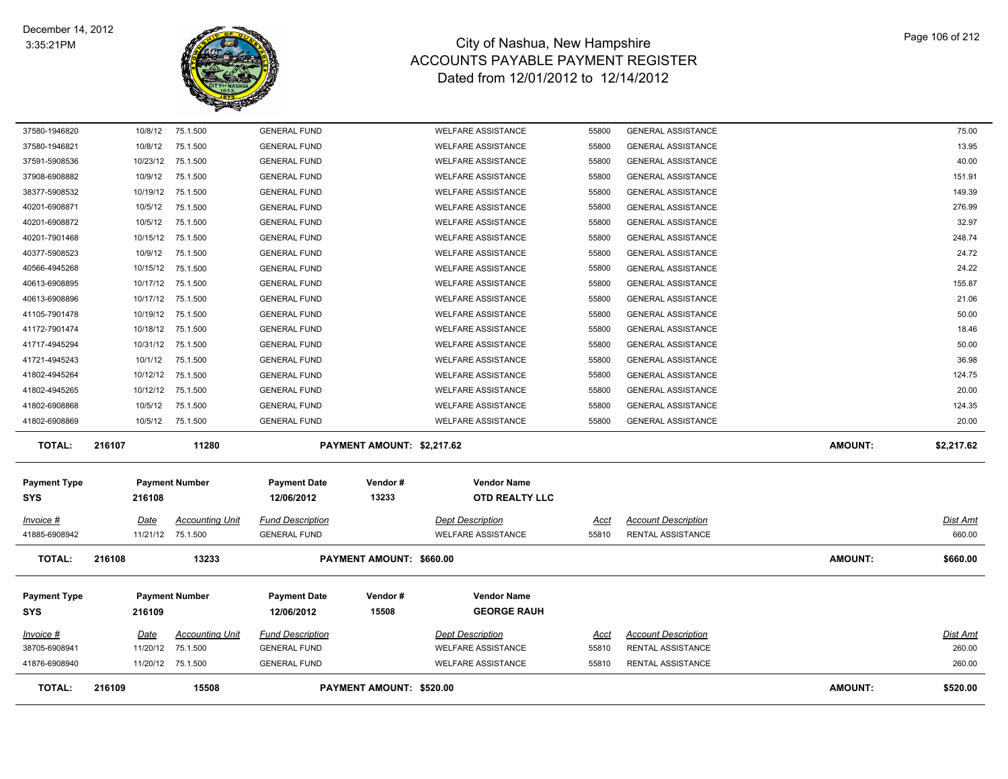

| <b>TOTAL:</b>                  | 216109              | 15508                                       |                                                | PAYMENT AMOUNT: \$520.00   |                                                        |                |                                                        | <b>AMOUNT:</b> | \$520.00                  |
|--------------------------------|---------------------|---------------------------------------------|------------------------------------------------|----------------------------|--------------------------------------------------------|----------------|--------------------------------------------------------|----------------|---------------------------|
| 41876-6908940                  |                     | 11/20/12 75.1.500                           | <b>GENERAL FUND</b>                            |                            | <b>WELFARE ASSISTANCE</b>                              | 55810          | RENTAL ASSISTANCE                                      |                | 260.00                    |
| 38705-6908941                  | 11/20/12            | 75.1.500                                    | <b>GENERAL FUND</b>                            |                            | <b>WELFARE ASSISTANCE</b>                              | 55810          | RENTAL ASSISTANCE                                      |                | 260.00                    |
| Invoice #                      | Date                | <b>Accounting Unit</b>                      | <b>Fund Description</b>                        |                            | <b>Dept Description</b>                                | Acct           | <b>Account Description</b>                             |                | <b>Dist Amt</b>           |
|                                |                     |                                             |                                                |                            |                                                        |                |                                                        |                |                           |
| <b>SYS</b>                     | 216109              |                                             | 12/06/2012                                     | 15508                      | <b>GEORGE RAUH</b>                                     |                |                                                        |                |                           |
| <b>Payment Type</b>            |                     | <b>Payment Number</b>                       | <b>Payment Date</b>                            | Vendor#                    | <b>Vendor Name</b>                                     |                |                                                        |                |                           |
| <b>TOTAL:</b>                  | 216108              | 13233                                       |                                                | PAYMENT AMOUNT: \$660.00   |                                                        |                |                                                        | <b>AMOUNT:</b> | \$660.00                  |
| Invoice #<br>41885-6908942     | Date                | <b>Accounting Unit</b><br>11/21/12 75.1.500 | <b>Fund Description</b><br><b>GENERAL FUND</b> |                            | <b>Dept Description</b><br><b>WELFARE ASSISTANCE</b>   | Acct<br>55810  | <b>Account Description</b><br>RENTAL ASSISTANCE        |                | <b>Dist Amt</b><br>660.00 |
|                                |                     |                                             |                                                |                            |                                                        |                |                                                        |                |                           |
| <b>SYS</b>                     | 216108              |                                             | 12/06/2012                                     | 13233                      | <b>OTD REALTY LLC</b>                                  |                |                                                        |                |                           |
| <b>Payment Type</b>            |                     | <b>Payment Number</b>                       | <b>Payment Date</b>                            | Vendor#                    | <b>Vendor Name</b>                                     |                |                                                        |                |                           |
| <b>TOTAL:</b>                  | 216107              | 11280                                       |                                                | PAYMENT AMOUNT: \$2,217.62 |                                                        |                |                                                        | <b>AMOUNT:</b> | \$2,217.62                |
| 41802-6908869                  | 10/5/12             | 75.1.500                                    | <b>GENERAL FUND</b>                            |                            | <b>WELFARE ASSISTANCE</b>                              | 55800          | <b>GENERAL ASSISTANCE</b>                              |                | 20.00                     |
| 41802-6908868                  | 10/5/12             | 75.1.500                                    | <b>GENERAL FUND</b>                            |                            | <b>WELFARE ASSISTANCE</b>                              | 55800          | <b>GENERAL ASSISTANCE</b>                              |                | 124.35                    |
| 41802-4945265                  | 10/12/12            | 75.1.500                                    | <b>GENERAL FUND</b>                            |                            | <b>WELFARE ASSISTANCE</b>                              | 55800          | <b>GENERAL ASSISTANCE</b>                              |                | 20.00                     |
| 41802-4945264                  | 10/12/12            | 75.1.500                                    | <b>GENERAL FUND</b>                            |                            | <b>WELFARE ASSISTANCE</b>                              | 55800          | <b>GENERAL ASSISTANCE</b>                              |                | 124.75                    |
| 41721-4945243                  | 10/1/12             | 75.1.500                                    | <b>GENERAL FUND</b>                            |                            | <b>WELFARE ASSISTANCE</b>                              | 55800          | <b>GENERAL ASSISTANCE</b>                              |                | 36.98                     |
| 41717-4945294                  | 10/31/12            | 75.1.500                                    | <b>GENERAL FUND</b>                            |                            | <b>WELFARE ASSISTANCE</b>                              | 55800          | <b>GENERAL ASSISTANCE</b>                              |                | 50.00                     |
| 41172-7901474                  | 10/18/12            | 75.1.500                                    | <b>GENERAL FUND</b>                            |                            | <b>WELFARE ASSISTANCE</b>                              | 55800          | <b>GENERAL ASSISTANCE</b>                              |                | 18.46                     |
| 41105-7901478                  | 10/19/12            | 75.1.500                                    | <b>GENERAL FUND</b>                            |                            | <b>WELFARE ASSISTANCE</b>                              | 55800          | <b>GENERAL ASSISTANCE</b>                              |                | 50.00                     |
| 40613-6908896                  | 10/17/12            | 75.1.500                                    | <b>GENERAL FUND</b>                            |                            | <b>WELFARE ASSISTANCE</b>                              | 55800          | <b>GENERAL ASSISTANCE</b>                              |                | 21.06                     |
| 40613-6908895                  | 10/17/12            | 75.1.500                                    | <b>GENERAL FUND</b>                            |                            | <b>WELFARE ASSISTANCE</b>                              | 55800          | <b>GENERAL ASSISTANCE</b>                              |                | 155.87                    |
| 40566-4945268                  | 10/15/12            | 75.1.500                                    | <b>GENERAL FUND</b>                            |                            | <b>WELFARE ASSISTANCE</b>                              | 55800          | <b>GENERAL ASSISTANCE</b>                              |                | 24.22                     |
| 40377-5908523                  | 10/9/12             | 75.1.500                                    | <b>GENERAL FUND</b>                            |                            | <b>WELFARE ASSISTANCE</b>                              | 55800          | <b>GENERAL ASSISTANCE</b>                              |                | 24.72                     |
| 40201-7901468                  | 10/15/12            | 75.1.500                                    | <b>GENERAL FUND</b>                            |                            | <b>WELFARE ASSISTANCE</b>                              | 55800          | <b>GENERAL ASSISTANCE</b>                              |                | 248.74                    |
| 40201-6908872                  | 10/5/12             | 75.1.500                                    | <b>GENERAL FUND</b>                            |                            | <b>WELFARE ASSISTANCE</b>                              | 55800          | <b>GENERAL ASSISTANCE</b>                              |                | 32.97                     |
| 40201-6908871                  | 10/5/12             | 75.1.500                                    | <b>GENERAL FUND</b>                            |                            | <b>WELFARE ASSISTANCE</b>                              | 55800          | <b>GENERAL ASSISTANCE</b>                              |                | 276.99                    |
| 37908-6908882<br>38377-5908532 | 10/9/12<br>10/19/12 | 75.1.500<br>75.1.500                        | <b>GENERAL FUND</b><br><b>GENERAL FUND</b>     |                            | <b>WELFARE ASSISTANCE</b><br><b>WELFARE ASSISTANCE</b> | 55800<br>55800 | <b>GENERAL ASSISTANCE</b><br><b>GENERAL ASSISTANCE</b> |                | 149.39                    |
| 37591-5908536                  | 10/23/12            | 75.1.500                                    | <b>GENERAL FUND</b>                            |                            | <b>WELFARE ASSISTANCE</b>                              | 55800          | <b>GENERAL ASSISTANCE</b>                              |                | 40.00<br>151.91           |
| 37580-1946821                  | 10/8/12             | 75.1.500                                    | <b>GENERAL FUND</b>                            |                            | <b>WELFARE ASSISTANCE</b>                              | 55800          | <b>GENERAL ASSISTANCE</b>                              |                | 13.95                     |
| 37580-1946820                  | 10/8/12             | 75.1.500                                    | <b>GENERAL FUND</b>                            |                            | <b>WELFARE ASSISTANCE</b>                              | 55800          | <b>GENERAL ASSISTANCE</b>                              |                | 75.00                     |
|                                |                     |                                             |                                                |                            |                                                        |                |                                                        |                |                           |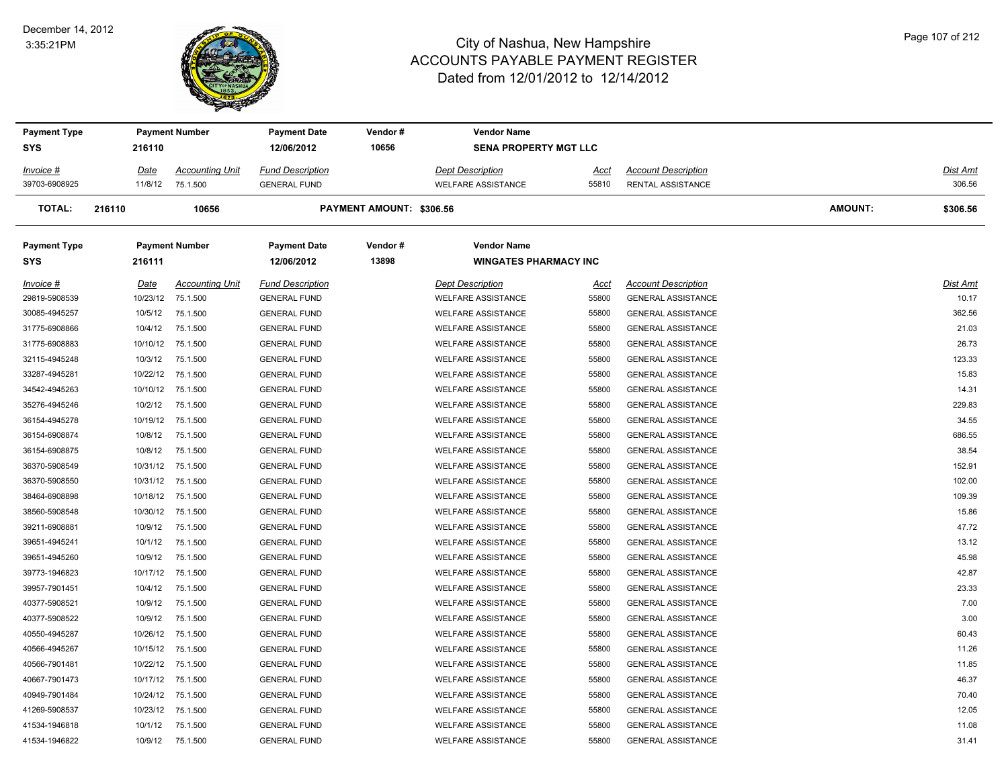#### December 14, 2012 3:35:21PM



| <b>Payment Type</b> |          | <b>Payment Number</b>  | <b>Payment Date</b>     | Vendor#                  | <b>Vendor Name</b>           |       |                            |                |          |
|---------------------|----------|------------------------|-------------------------|--------------------------|------------------------------|-------|----------------------------|----------------|----------|
| SYS                 | 216110   |                        | 12/06/2012              | 10656                    | <b>SENA PROPERTY MGT LLC</b> |       |                            |                |          |
| Invoice #           | Date     | <b>Accounting Unit</b> | <b>Fund Description</b> |                          | <b>Dept Description</b>      | Acct  | <b>Account Description</b> |                | Dist Amt |
| 39703-6908925       | 11/8/12  | 75.1.500               | <b>GENERAL FUND</b>     |                          | <b>WELFARE ASSISTANCE</b>    | 55810 | RENTAL ASSISTANCE          |                | 306.56   |
| TOTAL:              | 216110   | 10656                  |                         | PAYMENT AMOUNT: \$306.56 |                              |       |                            | <b>AMOUNT:</b> | \$306.56 |
| <b>Payment Type</b> |          | <b>Payment Number</b>  | <b>Payment Date</b>     | Vendor#                  | <b>Vendor Name</b>           |       |                            |                |          |
| SYS                 | 216111   |                        | 12/06/2012              | 13898                    | <b>WINGATES PHARMACY INC</b> |       |                            |                |          |
| Invoice #           | Date     | <b>Accounting Unit</b> | <b>Fund Description</b> |                          | <b>Dept Description</b>      | Acct  | <b>Account Description</b> |                | Dist Amt |
| 29819-5908539       | 10/23/12 | 75.1.500               | <b>GENERAL FUND</b>     |                          | <b>WELFARE ASSISTANCE</b>    | 55800 | <b>GENERAL ASSISTANCE</b>  |                | 10.17    |
| 30085-4945257       | 10/5/12  | 75.1.500               | <b>GENERAL FUND</b>     |                          | <b>WELFARE ASSISTANCE</b>    | 55800 | <b>GENERAL ASSISTANCE</b>  |                | 362.56   |
| 31775-6908866       | 10/4/12  | 75.1.500               | <b>GENERAL FUND</b>     |                          | <b>WELFARE ASSISTANCE</b>    | 55800 | <b>GENERAL ASSISTANCE</b>  |                | 21.03    |
| 31775-6908883       |          | 10/10/12 75.1.500      | <b>GENERAL FUND</b>     |                          | <b>WELFARE ASSISTANCE</b>    | 55800 | <b>GENERAL ASSISTANCE</b>  |                | 26.73    |
| 32115-4945248       | 10/3/12  | 75.1.500               | <b>GENERAL FUND</b>     |                          | <b>WELFARE ASSISTANCE</b>    | 55800 | <b>GENERAL ASSISTANCE</b>  |                | 123.33   |
| 33287-4945281       |          | 10/22/12 75.1.500      | <b>GENERAL FUND</b>     |                          | <b>WELFARE ASSISTANCE</b>    | 55800 | <b>GENERAL ASSISTANCE</b>  |                | 15.83    |
| 34542-4945263       | 10/10/12 | 75.1.500               | <b>GENERAL FUND</b>     |                          | <b>WELFARE ASSISTANCE</b>    | 55800 | <b>GENERAL ASSISTANCE</b>  |                | 14.31    |
| 35276-4945246       | 10/2/12  | 75.1.500               | <b>GENERAL FUND</b>     |                          | <b>WELFARE ASSISTANCE</b>    | 55800 | <b>GENERAL ASSISTANCE</b>  |                | 229.83   |
| 36154-4945278       |          | 10/19/12 75.1.500      | <b>GENERAL FUND</b>     |                          | <b>WELFARE ASSISTANCE</b>    | 55800 | <b>GENERAL ASSISTANCE</b>  |                | 34.55    |
| 36154-6908874       | 10/8/12  | 75.1.500               | <b>GENERAL FUND</b>     |                          | WELFARE ASSISTANCE           | 55800 | <b>GENERAL ASSISTANCE</b>  |                | 686.55   |
| 36154-6908875       | 10/8/12  | 75.1.500               | <b>GENERAL FUND</b>     |                          | <b>WELFARE ASSISTANCE</b>    | 55800 | <b>GENERAL ASSISTANCE</b>  |                | 38.54    |
| 36370-5908549       |          | 10/31/12 75.1.500      | <b>GENERAL FUND</b>     |                          | <b>WELFARE ASSISTANCE</b>    | 55800 | <b>GENERAL ASSISTANCE</b>  |                | 152.91   |
| 36370-5908550       | 10/31/12 | 75.1.500               | <b>GENERAL FUND</b>     |                          | <b>WELFARE ASSISTANCE</b>    | 55800 | <b>GENERAL ASSISTANCE</b>  |                | 102.00   |
| 38464-6908898       | 10/18/12 | 75.1.500               | <b>GENERAL FUND</b>     |                          | <b>WELFARE ASSISTANCE</b>    | 55800 | <b>GENERAL ASSISTANCE</b>  |                | 109.39   |
| 38560-5908548       | 10/30/12 | 75.1.500               | <b>GENERAL FUND</b>     |                          | <b>WELFARE ASSISTANCE</b>    | 55800 | <b>GENERAL ASSISTANCE</b>  |                | 15.86    |
| 39211-6908881       | 10/9/12  | 75.1.500               | <b>GENERAL FUND</b>     |                          | <b>WELFARE ASSISTANCE</b>    | 55800 | <b>GENERAL ASSISTANCE</b>  |                | 47.72    |
| 39651-4945241       | 10/1/12  | 75.1.500               | <b>GENERAL FUND</b>     |                          | <b>WELFARE ASSISTANCE</b>    | 55800 | <b>GENERAL ASSISTANCE</b>  |                | 13.12    |
| 39651-4945260       | 10/9/12  | 75.1.500               | <b>GENERAL FUND</b>     |                          | <b>WELFARE ASSISTANCE</b>    | 55800 | <b>GENERAL ASSISTANCE</b>  |                | 45.98    |
| 39773-1946823       |          | 10/17/12 75.1.500      | <b>GENERAL FUND</b>     |                          | <b>WELFARE ASSISTANCE</b>    | 55800 | <b>GENERAL ASSISTANCE</b>  |                | 42.87    |
| 39957-7901451       | 10/4/12  | 75.1.500               | <b>GENERAL FUND</b>     |                          | <b>WELFARE ASSISTANCE</b>    | 55800 | <b>GENERAL ASSISTANCE</b>  |                | 23.33    |
| 40377-5908521       | 10/9/12  | 75.1.500               | <b>GENERAL FUND</b>     |                          | <b>WELFARE ASSISTANCE</b>    | 55800 | <b>GENERAL ASSISTANCE</b>  |                | 7.00     |
| 40377-5908522       | 10/9/12  | 75.1.500               | <b>GENERAL FUND</b>     |                          | <b>WELFARE ASSISTANCE</b>    | 55800 | <b>GENERAL ASSISTANCE</b>  |                | 3.00     |
| 40550-4945287       |          | 10/26/12 75.1.500      | <b>GENERAL FUND</b>     |                          | <b>WELFARE ASSISTANCE</b>    | 55800 | <b>GENERAL ASSISTANCE</b>  |                | 60.43    |
| 40566-4945267       |          | 10/15/12 75.1.500      | <b>GENERAL FUND</b>     |                          | <b>WELFARE ASSISTANCE</b>    | 55800 | <b>GENERAL ASSISTANCE</b>  |                | 11.26    |
| 40566-7901481       |          | 10/22/12 75.1.500      | <b>GENERAL FUND</b>     |                          | <b>WELFARE ASSISTANCE</b>    | 55800 | <b>GENERAL ASSISTANCE</b>  |                | 11.85    |
| 40667-7901473       |          | 10/17/12 75.1.500      | <b>GENERAL FUND</b>     |                          | <b>WELFARE ASSISTANCE</b>    | 55800 | <b>GENERAL ASSISTANCE</b>  |                | 46.37    |
| 40949-7901484       | 10/24/12 | 75.1.500               | <b>GENERAL FUND</b>     |                          | <b>WELFARE ASSISTANCE</b>    | 55800 | <b>GENERAL ASSISTANCE</b>  |                | 70.40    |
| 41269-5908537       | 10/23/12 | 75.1.500               | <b>GENERAL FUND</b>     |                          | <b>WELFARE ASSISTANCE</b>    | 55800 | <b>GENERAL ASSISTANCE</b>  |                | 12.05    |
| 41534-1946818       | 10/1/12  | 75.1.500               | <b>GENERAL FUND</b>     |                          | <b>WELFARE ASSISTANCE</b>    | 55800 | <b>GENERAL ASSISTANCE</b>  |                | 11.08    |
| 41534-1946822       | 10/9/12  | 75.1.500               | <b>GENERAL FUND</b>     |                          | <b>WELFARE ASSISTANCE</b>    | 55800 | <b>GENERAL ASSISTANCE</b>  |                | 31.41    |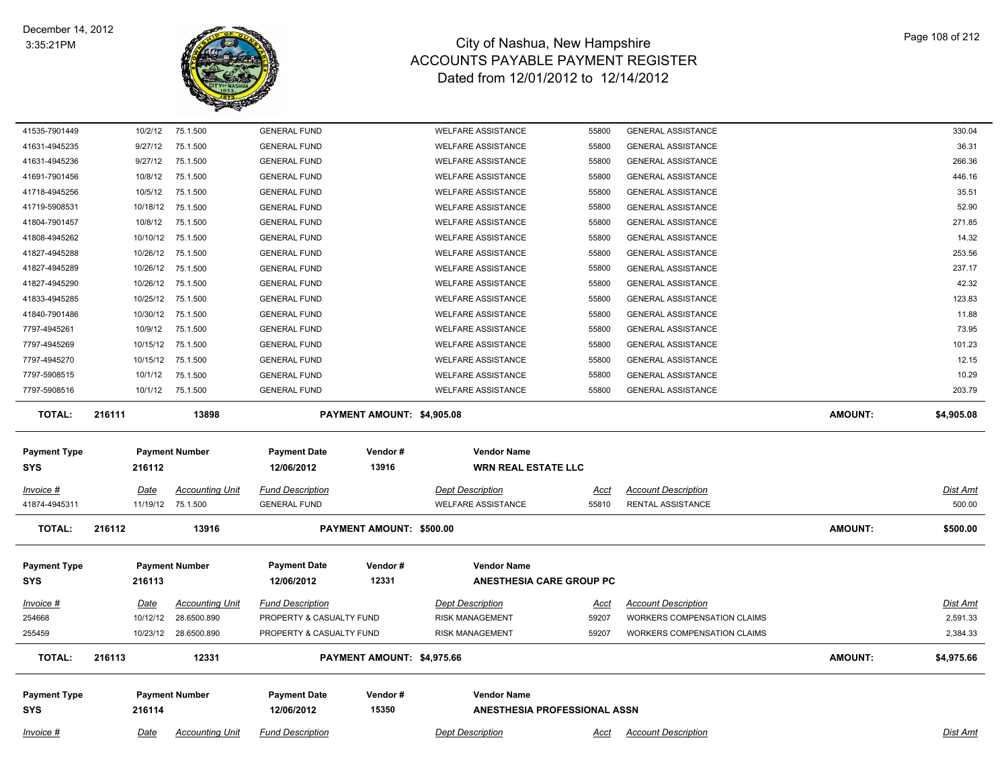

| 41535-7901449       | 10/2/12     | 75.1.500               | <b>GENERAL FUND</b>      |                            | <b>WELFARE ASSISTANCE</b>    | 55800       | <b>GENERAL ASSISTANCE</b>   |                | 330.04          |
|---------------------|-------------|------------------------|--------------------------|----------------------------|------------------------------|-------------|-----------------------------|----------------|-----------------|
| 41631-4945235       | 9/27/12     | 75.1.500               | <b>GENERAL FUND</b>      |                            | <b>WELFARE ASSISTANCE</b>    | 55800       | <b>GENERAL ASSISTANCE</b>   |                | 36.31           |
| 41631-4945236       | 9/27/12     | 75.1.500               | <b>GENERAL FUND</b>      |                            | <b>WELFARE ASSISTANCE</b>    | 55800       | <b>GENERAL ASSISTANCE</b>   |                | 266.36          |
| 41691-7901456       | 10/8/12     | 75.1.500               | <b>GENERAL FUND</b>      |                            | <b>WELFARE ASSISTANCE</b>    | 55800       | <b>GENERAL ASSISTANCE</b>   |                | 446.16          |
| 41718-4945256       | 10/5/12     | 75.1.500               | <b>GENERAL FUND</b>      |                            | <b>WELFARE ASSISTANCE</b>    | 55800       | <b>GENERAL ASSISTANCE</b>   |                | 35.51           |
| 41719-5908531       | 10/18/12    | 75.1.500               | <b>GENERAL FUND</b>      |                            | <b>WELFARE ASSISTANCE</b>    | 55800       | <b>GENERAL ASSISTANCE</b>   |                | 52.90           |
| 41804-7901457       | 10/8/12     | 75.1.500               | <b>GENERAL FUND</b>      |                            | <b>WELFARE ASSISTANCE</b>    | 55800       | <b>GENERAL ASSISTANCE</b>   |                | 271.85          |
| 41808-4945262       |             | 10/10/12 75.1.500      | <b>GENERAL FUND</b>      |                            | <b>WELFARE ASSISTANCE</b>    | 55800       | <b>GENERAL ASSISTANCE</b>   |                | 14.32           |
| 41827-4945288       | 10/26/12    | 75.1.500               | <b>GENERAL FUND</b>      |                            | <b>WELFARE ASSISTANCE</b>    | 55800       | <b>GENERAL ASSISTANCE</b>   |                | 253.56          |
| 41827-4945289       | 10/26/12    | 75.1.500               | <b>GENERAL FUND</b>      |                            | <b>WELFARE ASSISTANCE</b>    | 55800       | <b>GENERAL ASSISTANCE</b>   |                | 237.17          |
| 41827-4945290       | 10/26/12    | 75.1.500               | <b>GENERAL FUND</b>      |                            | <b>WELFARE ASSISTANCE</b>    | 55800       | <b>GENERAL ASSISTANCE</b>   |                | 42.32           |
| 41833-4945285       |             | 10/25/12 75.1.500      | <b>GENERAL FUND</b>      |                            | <b>WELFARE ASSISTANCE</b>    | 55800       | <b>GENERAL ASSISTANCE</b>   |                | 123.83          |
| 41840-7901486       |             | 10/30/12 75.1.500      | <b>GENERAL FUND</b>      |                            | <b>WELFARE ASSISTANCE</b>    | 55800       | <b>GENERAL ASSISTANCE</b>   |                | 11.88           |
| 7797-4945261        | 10/9/12     | 75.1.500               | <b>GENERAL FUND</b>      |                            | <b>WELFARE ASSISTANCE</b>    | 55800       | <b>GENERAL ASSISTANCE</b>   |                | 73.95           |
| 7797-4945269        |             | 10/15/12 75.1.500      | <b>GENERAL FUND</b>      |                            | <b>WELFARE ASSISTANCE</b>    | 55800       | <b>GENERAL ASSISTANCE</b>   |                | 101.23          |
| 7797-4945270        | 10/15/12    | 75.1.500               | <b>GENERAL FUND</b>      |                            | <b>WELFARE ASSISTANCE</b>    | 55800       | <b>GENERAL ASSISTANCE</b>   |                | 12.15           |
| 7797-5908515        | 10/1/12     | 75.1.500               | <b>GENERAL FUND</b>      |                            | <b>WELFARE ASSISTANCE</b>    | 55800       | <b>GENERAL ASSISTANCE</b>   |                | 10.29           |
| 7797-5908516        |             | 10/1/12 75.1.500       | <b>GENERAL FUND</b>      |                            | <b>WELFARE ASSISTANCE</b>    | 55800       | <b>GENERAL ASSISTANCE</b>   |                | 203.79          |
| <b>TOTAL:</b>       | 216111      | 13898                  |                          | PAYMENT AMOUNT: \$4,905.08 |                              |             |                             | <b>AMOUNT:</b> | \$4,905.08      |
|                     |             |                        |                          |                            |                              |             |                             |                |                 |
|                     |             |                        |                          |                            |                              |             |                             |                |                 |
| <b>Payment Type</b> |             | <b>Payment Number</b>  | <b>Payment Date</b>      | Vendor#                    | <b>Vendor Name</b>           |             |                             |                |                 |
| <b>SYS</b>          | 216112      |                        | 12/06/2012               | 13916                      | <b>WRN REAL ESTATE LLC</b>   |             |                             |                |                 |
| Invoice #           | <b>Date</b> | <b>Accounting Unit</b> | <b>Fund Description</b>  |                            | <b>Dept Description</b>      | Acct        | <b>Account Description</b>  |                | Dist Amt        |
| 41874-4945311       |             | 11/19/12 75.1.500      | <b>GENERAL FUND</b>      |                            | <b>WELFARE ASSISTANCE</b>    | 55810       | RENTAL ASSISTANCE           |                | 500.00          |
| <b>TOTAL:</b>       | 216112      | 13916                  |                          | PAYMENT AMOUNT: \$500.00   |                              |             |                             | <b>AMOUNT:</b> | \$500.00        |
|                     |             |                        |                          |                            |                              |             |                             |                |                 |
| <b>Payment Type</b> |             | <b>Payment Number</b>  | <b>Payment Date</b>      | Vendor#                    | <b>Vendor Name</b>           |             |                             |                |                 |
| <b>SYS</b>          | 216113      |                        | 12/06/2012               | 12331                      | ANESTHESIA CARE GROUP PC     |             |                             |                |                 |
| <u>Invoice #</u>    | Date        | <b>Accounting Unit</b> | <b>Fund Description</b>  |                            | <b>Dept Description</b>      | <u>Acct</u> | <b>Account Description</b>  |                | <b>Dist Amt</b> |
| 254668              | 10/12/12    | 28.6500.890            | PROPERTY & CASUALTY FUND |                            | <b>RISK MANAGEMENT</b>       | 59207       | WORKERS COMPENSATION CLAIMS |                | 2,591.33        |
| 255459              |             | 10/23/12 28.6500.890   | PROPERTY & CASUALTY FUND |                            | <b>RISK MANAGEMENT</b>       | 59207       | WORKERS COMPENSATION CLAIMS |                | 2,384.33        |
| <b>TOTAL:</b>       | 216113      | 12331                  |                          | PAYMENT AMOUNT: \$4,975.66 |                              |             |                             | <b>AMOUNT:</b> | \$4,975.66      |
| <b>Payment Type</b> |             | <b>Payment Number</b>  | <b>Payment Date</b>      | Vendor#                    | <b>Vendor Name</b>           |             |                             |                |                 |
| <b>SYS</b>          | 216114      |                        | 12/06/2012               | 15350                      | ANESTHESIA PROFESSIONAL ASSN |             |                             |                |                 |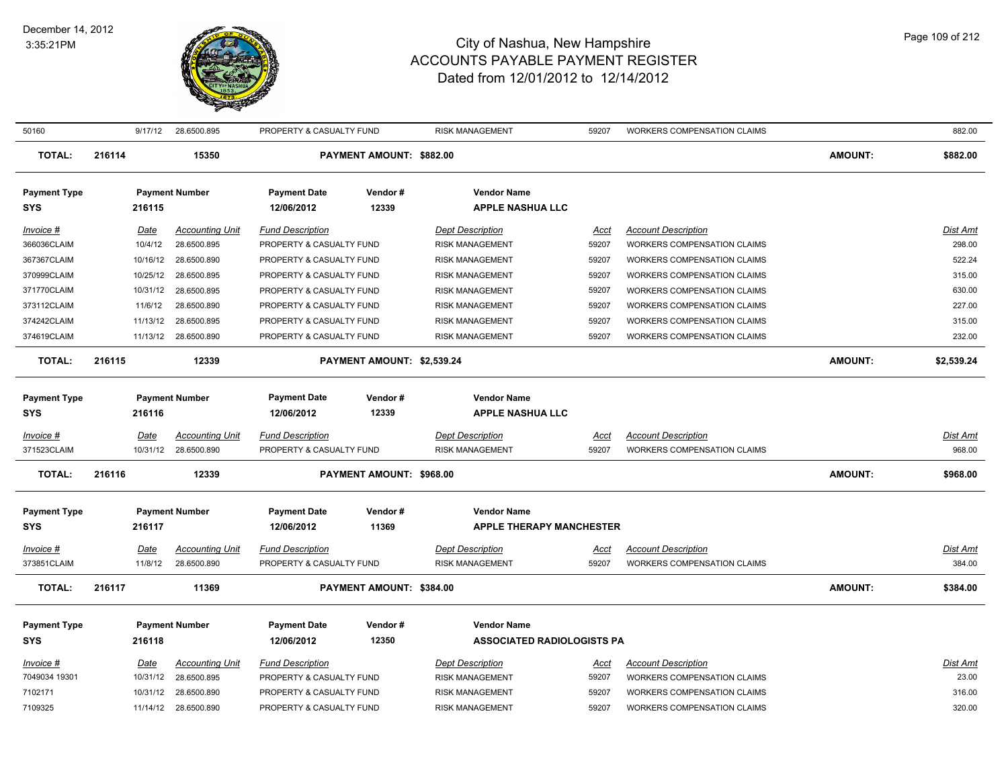

| 50160                           |        | 9/17/12                | 28.6500.895                           | PROPERTY & CASUALTY FUND                            |                            | <b>RISK MANAGEMENT</b>                            | 59207                | <b>WORKERS COMPENSATION CLAIMS</b>                        |                | 882.00                    |
|---------------------------------|--------|------------------------|---------------------------------------|-----------------------------------------------------|----------------------------|---------------------------------------------------|----------------------|-----------------------------------------------------------|----------------|---------------------------|
| <b>TOTAL:</b>                   | 216114 |                        | 15350                                 |                                                     | PAYMENT AMOUNT: \$882.00   |                                                   |                      |                                                           | <b>AMOUNT:</b> | \$882.00                  |
| <b>Payment Type</b><br>SYS      |        | 216115                 | <b>Payment Number</b>                 | <b>Payment Date</b><br>12/06/2012                   | Vendor#<br>12339           | <b>Vendor Name</b><br><b>APPLE NASHUA LLC</b>     |                      |                                                           |                |                           |
| <b>Invoice #</b><br>366036CLAIM |        | <u>Date</u><br>10/4/12 | <b>Accounting Unit</b><br>28.6500.895 | <b>Fund Description</b><br>PROPERTY & CASUALTY FUND |                            | <b>Dept Description</b><br><b>RISK MANAGEMENT</b> | Acct<br>59207        | <b>Account Description</b><br>WORKERS COMPENSATION CLAIMS |                | <b>Dist Amt</b><br>298.00 |
| 367367CLAIM                     |        | 10/16/12               | 28.6500.890                           | PROPERTY & CASUALTY FUND                            |                            | <b>RISK MANAGEMENT</b>                            | 59207                | <b>WORKERS COMPENSATION CLAIMS</b>                        |                | 522.24                    |
| 370999CLAIM                     |        | 10/25/12               | 28.6500.895                           | PROPERTY & CASUALTY FUND                            |                            | <b>RISK MANAGEMENT</b>                            | 59207                | <b>WORKERS COMPENSATION CLAIMS</b>                        |                | 315.00                    |
| 371770CLAIM                     |        |                        | 10/31/12 28.6500.895                  | PROPERTY & CASUALTY FUND                            |                            | <b>RISK MANAGEMENT</b>                            | 59207                | WORKERS COMPENSATION CLAIMS                               |                | 630.00                    |
| 373112CLAIM                     |        | 11/6/12                | 28.6500.890                           | PROPERTY & CASUALTY FUND                            |                            | <b>RISK MANAGEMENT</b>                            | 59207                | WORKERS COMPENSATION CLAIMS                               |                | 227.00                    |
| 374242CLAIM                     |        | 11/13/12               | 28.6500.895                           | PROPERTY & CASUALTY FUND                            |                            | <b>RISK MANAGEMENT</b>                            | 59207                | <b>WORKERS COMPENSATION CLAIMS</b>                        |                | 315.00                    |
| 374619CLAIM                     |        |                        | 11/13/12 28.6500.890                  | PROPERTY & CASUALTY FUND                            |                            | <b>RISK MANAGEMENT</b>                            | 59207                | <b>WORKERS COMPENSATION CLAIMS</b>                        |                | 232.00                    |
| <b>TOTAL:</b>                   | 216115 |                        | 12339                                 |                                                     | PAYMENT AMOUNT: \$2,539.24 |                                                   |                      |                                                           | <b>AMOUNT:</b> | \$2,539.24                |
| <b>Payment Type</b>             |        |                        | <b>Payment Number</b>                 | <b>Payment Date</b>                                 | Vendor#                    | <b>Vendor Name</b>                                |                      |                                                           |                |                           |
| SYS                             |        | 216116                 |                                       | 12/06/2012                                          | 12339                      | <b>APPLE NASHUA LLC</b>                           |                      |                                                           |                |                           |
| <u>Invoice #</u>                |        | Date                   | <b>Accounting Unit</b>                | <b>Fund Description</b>                             |                            | <b>Dept Description</b>                           | Acct                 | <b>Account Description</b>                                |                | Dist Amt                  |
| 371523CLAIM                     |        |                        | 10/31/12 28.6500.890                  | PROPERTY & CASUALTY FUND                            |                            | <b>RISK MANAGEMENT</b>                            | 59207                | WORKERS COMPENSATION CLAIMS                               |                | 968.00                    |
| <b>TOTAL:</b>                   | 216116 |                        | 12339                                 |                                                     | PAYMENT AMOUNT: \$968.00   |                                                   |                      |                                                           | <b>AMOUNT:</b> | \$968.00                  |
| <b>Payment Type</b>             |        |                        | <b>Payment Number</b>                 | <b>Payment Date</b>                                 | Vendor#                    | <b>Vendor Name</b>                                |                      |                                                           |                |                           |
| SYS                             |        | 216117                 |                                       | 12/06/2012                                          | 11369                      | <b>APPLE THERAPY MANCHESTER</b>                   |                      |                                                           |                |                           |
| <u>Invoice #</u><br>373851CLAIM |        | Date<br>11/8/12        | <b>Accounting Unit</b><br>28.6500.890 | <b>Fund Description</b><br>PROPERTY & CASUALTY FUND |                            | <b>Dept Description</b><br><b>RISK MANAGEMENT</b> | <u>Acct</u><br>59207 | <b>Account Description</b><br>WORKERS COMPENSATION CLAIMS |                | <b>Dist Amt</b><br>384.00 |
|                                 |        |                        |                                       |                                                     |                            |                                                   |                      |                                                           |                |                           |
| <b>TOTAL:</b>                   | 216117 |                        | 11369                                 |                                                     | PAYMENT AMOUNT: \$384.00   |                                                   |                      |                                                           | AMOUNT:        | \$384.00                  |
| <b>Payment Type</b>             |        |                        | <b>Payment Number</b>                 | <b>Payment Date</b>                                 | Vendor#                    | <b>Vendor Name</b>                                |                      |                                                           |                |                           |
| <b>SYS</b>                      |        | 216118                 |                                       | 12/06/2012                                          | 12350                      | <b>ASSOCIATED RADIOLOGISTS PA</b>                 |                      |                                                           |                |                           |
| Invoice #                       |        | Date                   | <b>Accounting Unit</b>                | <b>Fund Description</b>                             |                            | <b>Dept Description</b>                           | Acct                 | <b>Account Description</b>                                |                | <b>Dist Amt</b>           |
| 7049034 19301                   |        | 10/31/12               | 28.6500.895                           | PROPERTY & CASUALTY FUND                            |                            | <b>RISK MANAGEMENT</b>                            | 59207                | <b>WORKERS COMPENSATION CLAIMS</b>                        |                | 23.00                     |
| 7102171                         |        | 10/31/12               | 28.6500.890                           | PROPERTY & CASUALTY FUND                            |                            | <b>RISK MANAGEMENT</b>                            | 59207                | <b>WORKERS COMPENSATION CLAIMS</b>                        |                | 316.00                    |
| 7109325                         |        |                        | 11/14/12 28.6500.890                  | PROPERTY & CASUALTY FUND                            |                            | <b>RISK MANAGEMENT</b>                            | 59207                | <b>WORKERS COMPENSATION CLAIMS</b>                        |                | 320.00                    |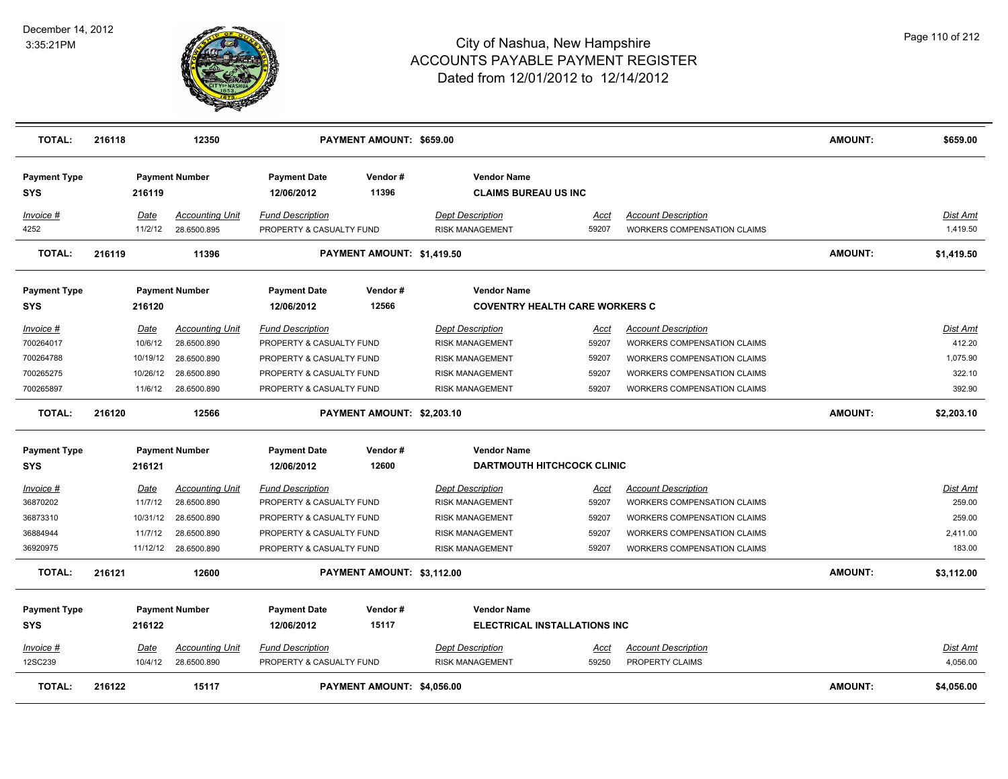

| <b>TOTAL:</b>                                                 | 216118                                                    | 12350                                                                                       |                                                                                                                                         | PAYMENT AMOUNT: \$659.00   |                                                                                                                                 |                                                 |                                                                                                                                                                             | <b>AMOUNT:</b> | \$659.00                                                  |
|---------------------------------------------------------------|-----------------------------------------------------------|---------------------------------------------------------------------------------------------|-----------------------------------------------------------------------------------------------------------------------------------------|----------------------------|---------------------------------------------------------------------------------------------------------------------------------|-------------------------------------------------|-----------------------------------------------------------------------------------------------------------------------------------------------------------------------------|----------------|-----------------------------------------------------------|
| <b>Payment Type</b><br><b>SYS</b>                             | 216119                                                    | <b>Payment Number</b>                                                                       | <b>Payment Date</b><br>12/06/2012                                                                                                       | Vendor#<br>11396           | <b>Vendor Name</b><br><b>CLAIMS BUREAU US INC</b>                                                                               |                                                 |                                                                                                                                                                             |                |                                                           |
| Invoice #<br>4252                                             | Date<br>11/2/12                                           | <b>Accounting Unit</b><br>28.6500.895                                                       | <b>Fund Description</b><br>PROPERTY & CASUALTY FUND                                                                                     |                            | <b>Dept Description</b><br><b>RISK MANAGEMENT</b>                                                                               | <u>Acct</u><br>59207                            | <b>Account Description</b><br>WORKERS COMPENSATION CLAIMS                                                                                                                   |                | Dist Amt<br>1,419.50                                      |
| <b>TOTAL:</b>                                                 | 216119                                                    | 11396                                                                                       |                                                                                                                                         | PAYMENT AMOUNT: \$1,419.50 |                                                                                                                                 |                                                 |                                                                                                                                                                             | <b>AMOUNT:</b> | \$1,419.50                                                |
| <b>Payment Type</b><br><b>SYS</b>                             | 216120                                                    | <b>Payment Number</b>                                                                       | <b>Payment Date</b><br>12/06/2012                                                                                                       | Vendor#<br>12566           | <b>Vendor Name</b><br><b>COVENTRY HEALTH CARE WORKERS C</b>                                                                     |                                                 |                                                                                                                                                                             |                |                                                           |
| Invoice #<br>700264017<br>700264788<br>700265275<br>700265897 | <u>Date</u><br>10/6/12<br>10/19/12<br>10/26/12<br>11/6/12 | <b>Accounting Unit</b><br>28.6500.890<br>28.6500.890<br>28.6500.890<br>28.6500.890          | <b>Fund Description</b><br>PROPERTY & CASUALTY FUND<br>PROPERTY & CASUALTY FUND<br>PROPERTY & CASUALTY FUND<br>PROPERTY & CASUALTY FUND |                            | <b>Dept Description</b><br><b>RISK MANAGEMENT</b><br><b>RISK MANAGEMENT</b><br><b>RISK MANAGEMENT</b><br><b>RISK MANAGEMENT</b> | Acct<br>59207<br>59207<br>59207<br>59207        | <b>Account Description</b><br>WORKERS COMPENSATION CLAIMS<br><b>WORKERS COMPENSATION CLAIMS</b><br><b>WORKERS COMPENSATION CLAIMS</b><br><b>WORKERS COMPENSATION CLAIMS</b> |                | Dist Amt<br>412.20<br>1,075.90<br>322.10<br>392.90        |
| <b>TOTAL:</b>                                                 | 216120                                                    | 12566                                                                                       |                                                                                                                                         | PAYMENT AMOUNT: \$2,203.10 |                                                                                                                                 |                                                 |                                                                                                                                                                             | <b>AMOUNT:</b> | \$2,203.10                                                |
| <b>Payment Type</b><br><b>SYS</b>                             | 216121                                                    | <b>Payment Number</b>                                                                       | <b>Payment Date</b><br>12/06/2012                                                                                                       | Vendor#<br>12600           | <b>Vendor Name</b><br><b>DARTMOUTH HITCHCOCK CLINIC</b>                                                                         |                                                 |                                                                                                                                                                             |                |                                                           |
| Invoice #<br>36870202<br>36873310<br>36884944<br>36920975     | Date<br>11/7/12<br>10/31/12<br>11/7/12                    | <b>Accounting Unit</b><br>28.6500.890<br>28.6500.890<br>28.6500.890<br>11/12/12 28.6500.890 | <b>Fund Description</b><br>PROPERTY & CASUALTY FUND<br>PROPERTY & CASUALTY FUND<br>PROPERTY & CASUALTY FUND<br>PROPERTY & CASUALTY FUND |                            | <b>Dept Description</b><br><b>RISK MANAGEMENT</b><br>RISK MANAGEMENT<br><b>RISK MANAGEMENT</b><br>RISK MANAGEMENT               | <u>Acct</u><br>59207<br>59207<br>59207<br>59207 | <b>Account Description</b><br>WORKERS COMPENSATION CLAIMS<br>WORKERS COMPENSATION CLAIMS<br><b>WORKERS COMPENSATION CLAIMS</b><br><b>WORKERS COMPENSATION CLAIMS</b>        |                | <b>Dist Amt</b><br>259.00<br>259.00<br>2,411.00<br>183.00 |
| <b>TOTAL:</b>                                                 | 216121                                                    | 12600                                                                                       |                                                                                                                                         | PAYMENT AMOUNT: \$3,112.00 |                                                                                                                                 |                                                 |                                                                                                                                                                             | <b>AMOUNT:</b> | \$3,112.00                                                |
| <b>Payment Type</b><br><b>SYS</b>                             | 216122                                                    | <b>Payment Number</b>                                                                       | <b>Payment Date</b><br>12/06/2012                                                                                                       | Vendor#<br>15117           | <b>Vendor Name</b><br><b>ELECTRICAL INSTALLATIONS INC</b>                                                                       |                                                 |                                                                                                                                                                             |                |                                                           |
| Invoice #<br>12SC239                                          | Date<br>10/4/12                                           | <b>Accounting Unit</b><br>28.6500.890                                                       | <b>Fund Description</b><br>PROPERTY & CASUALTY FUND                                                                                     |                            | <b>Dept Description</b><br><b>RISK MANAGEMENT</b>                                                                               | Acct<br>59250                                   | <b>Account Description</b><br>PROPERTY CLAIMS                                                                                                                               |                | Dist Amt<br>4,056.00                                      |
| <b>TOTAL:</b>                                                 | 216122                                                    | 15117                                                                                       |                                                                                                                                         | PAYMENT AMOUNT: \$4,056.00 |                                                                                                                                 |                                                 |                                                                                                                                                                             | <b>AMOUNT:</b> | \$4,056.00                                                |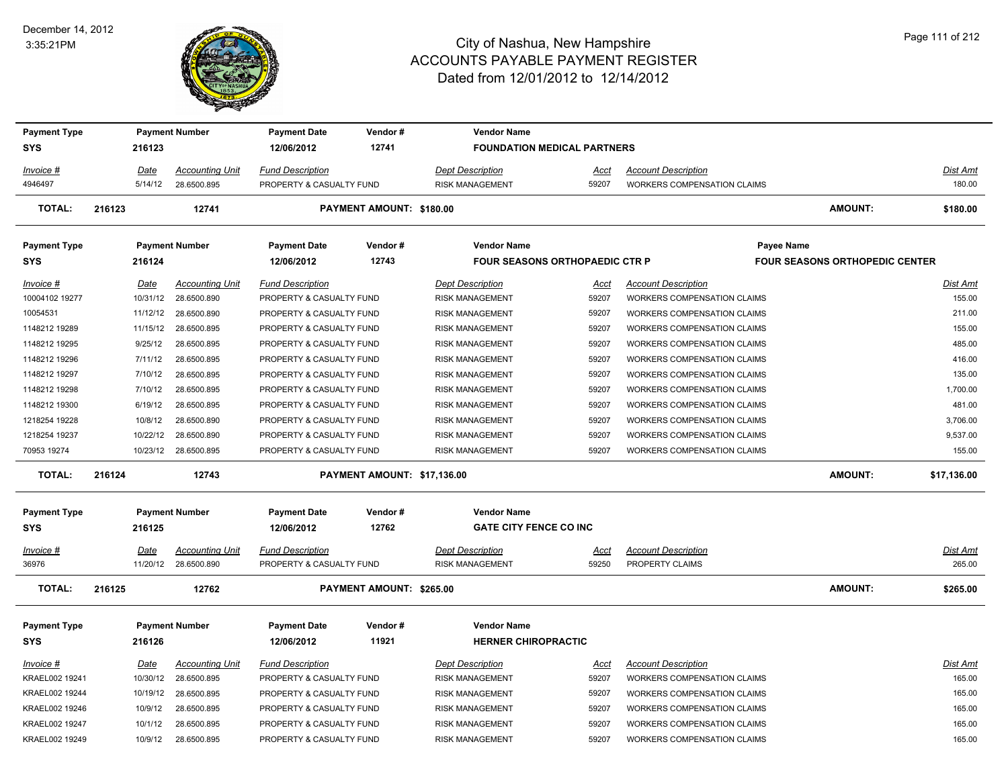#### December 14, 2012 3:35:21PM



| <b>Payment Type</b> |        |          | <b>Payment Number</b>  | <b>Payment Date</b>      | Vendor#                     | <b>Vendor Name</b>                    |             |                                    |                                       |                 |
|---------------------|--------|----------|------------------------|--------------------------|-----------------------------|---------------------------------------|-------------|------------------------------------|---------------------------------------|-----------------|
| <b>SYS</b>          |        | 216123   |                        | 12/06/2012               | 12741                       | <b>FOUNDATION MEDICAL PARTNERS</b>    |             |                                    |                                       |                 |
| Invoice #           |        | Date     | <b>Accounting Unit</b> | <b>Fund Description</b>  |                             | <b>Dept Description</b>               | Acct        | <b>Account Description</b>         |                                       | Dist Amt        |
| 4946497             |        | 5/14/12  | 28.6500.895            | PROPERTY & CASUALTY FUND |                             | <b>RISK MANAGEMENT</b>                | 59207       | <b>WORKERS COMPENSATION CLAIMS</b> |                                       | 180.00          |
| <b>TOTAL:</b>       | 216123 |          | 12741                  |                          | PAYMENT AMOUNT: \$180.00    |                                       |             |                                    | <b>AMOUNT:</b>                        | \$180.00        |
| <b>Payment Type</b> |        |          | <b>Payment Number</b>  | <b>Payment Date</b>      | Vendor#                     | <b>Vendor Name</b>                    |             | <b>Payee Name</b>                  |                                       |                 |
| <b>SYS</b>          |        | 216124   |                        | 12/06/2012               | 12743                       | <b>FOUR SEASONS ORTHOPAEDIC CTR P</b> |             |                                    | <b>FOUR SEASONS ORTHOPEDIC CENTER</b> |                 |
| Invoice #           |        | Date     | <b>Accounting Unit</b> | <b>Fund Description</b>  |                             | <b>Dept Description</b>               | Acct        | <b>Account Description</b>         |                                       | Dist Amt        |
| 10004102 19277      |        | 10/31/12 | 28.6500.890            | PROPERTY & CASUALTY FUND |                             | RISK MANAGEMENT                       | 59207       | WORKERS COMPENSATION CLAIMS        |                                       | 155.00          |
| 10054531            |        | 11/12/12 | 28.6500.890            | PROPERTY & CASUALTY FUND |                             | <b>RISK MANAGEMENT</b>                | 59207       | <b>WORKERS COMPENSATION CLAIMS</b> |                                       | 211.00          |
| 1148212 19289       |        | 11/15/12 | 28.6500.895            | PROPERTY & CASUALTY FUND |                             | <b>RISK MANAGEMENT</b>                | 59207       | <b>WORKERS COMPENSATION CLAIMS</b> |                                       | 155.00          |
| 1148212 19295       |        | 9/25/12  | 28.6500.895            | PROPERTY & CASUALTY FUND |                             | <b>RISK MANAGEMENT</b>                | 59207       | WORKERS COMPENSATION CLAIMS        |                                       | 485.00          |
| 1148212 19296       |        | 7/11/12  | 28.6500.895            | PROPERTY & CASUALTY FUND |                             | <b>RISK MANAGEMENT</b>                | 59207       | <b>WORKERS COMPENSATION CLAIMS</b> |                                       | 416.00          |
| 1148212 19297       |        | 7/10/12  | 28.6500.895            | PROPERTY & CASUALTY FUND |                             | <b>RISK MANAGEMENT</b>                | 59207       | <b>WORKERS COMPENSATION CLAIMS</b> |                                       | 135.00          |
| 1148212 19298       |        | 7/10/12  | 28.6500.895            | PROPERTY & CASUALTY FUND |                             | <b>RISK MANAGEMENT</b>                | 59207       | <b>WORKERS COMPENSATION CLAIMS</b> |                                       | 1,700.00        |
| 1148212 19300       |        | 6/19/12  | 28.6500.895            | PROPERTY & CASUALTY FUND |                             | <b>RISK MANAGEMENT</b>                | 59207       | <b>WORKERS COMPENSATION CLAIMS</b> |                                       | 481.00          |
| 1218254 19228       |        | 10/8/12  | 28.6500.890            | PROPERTY & CASUALTY FUND |                             | <b>RISK MANAGEMENT</b>                | 59207       | <b>WORKERS COMPENSATION CLAIMS</b> |                                       | 3,706.00        |
| 1218254 19237       |        | 10/22/12 | 28.6500.890            | PROPERTY & CASUALTY FUND |                             | <b>RISK MANAGEMENT</b>                | 59207       | <b>WORKERS COMPENSATION CLAIMS</b> |                                       | 9,537.00        |
| 70953 19274         |        |          | 10/23/12 28.6500.895   | PROPERTY & CASUALTY FUND |                             | <b>RISK MANAGEMENT</b>                | 59207       | <b>WORKERS COMPENSATION CLAIMS</b> |                                       | 155.00          |
| <b>TOTAL:</b>       | 216124 |          | 12743                  |                          | PAYMENT AMOUNT: \$17,136.00 |                                       |             |                                    | <b>AMOUNT:</b>                        | \$17,136.00     |
| <b>Payment Type</b> |        |          | <b>Payment Number</b>  | <b>Payment Date</b>      | Vendor#                     | <b>Vendor Name</b>                    |             |                                    |                                       |                 |
| <b>SYS</b>          |        | 216125   |                        | 12/06/2012               | 12762                       | <b>GATE CITY FENCE CO INC</b>         |             |                                    |                                       |                 |
| $Invoice$ #         |        | Date     | <b>Accounting Unit</b> | <b>Fund Description</b>  |                             | <b>Dept Description</b>               | <u>Acct</u> | <b>Account Description</b>         |                                       | Dist Amt        |
| 36976               |        | 11/20/12 | 28.6500.890            | PROPERTY & CASUALTY FUND |                             | <b>RISK MANAGEMENT</b>                | 59250       | PROPERTY CLAIMS                    |                                       | 265.00          |
| <b>TOTAL:</b>       | 216125 |          | 12762                  |                          | PAYMENT AMOUNT: \$265.00    |                                       |             |                                    | <b>AMOUNT:</b>                        | \$265.00        |
| <b>Payment Type</b> |        |          | <b>Payment Number</b>  | <b>Payment Date</b>      | Vendor#                     | <b>Vendor Name</b>                    |             |                                    |                                       |                 |
| <b>SYS</b>          |        | 216126   |                        | 12/06/2012               | 11921                       | <b>HERNER CHIROPRACTIC</b>            |             |                                    |                                       |                 |
| $Invoice$ #         |        | Date     | <b>Accounting Unit</b> | <b>Fund Description</b>  |                             | <b>Dept Description</b>               | <u>Acct</u> | <b>Account Description</b>         |                                       | <u>Dist Amt</u> |
| KRAEL002 19241      |        | 10/30/12 | 28.6500.895            | PROPERTY & CASUALTY FUND |                             | <b>RISK MANAGEMENT</b>                | 59207       | <b>WORKERS COMPENSATION CLAIMS</b> |                                       | 165.00          |
| KRAEL002 19244      |        | 10/19/12 | 28.6500.895            | PROPERTY & CASUALTY FUND |                             | <b>RISK MANAGEMENT</b>                | 59207       | <b>WORKERS COMPENSATION CLAIMS</b> |                                       | 165.00          |
| KRAEL002 19246      |        | 10/9/12  | 28.6500.895            | PROPERTY & CASUALTY FUND |                             | <b>RISK MANAGEMENT</b>                | 59207       | <b>WORKERS COMPENSATION CLAIMS</b> |                                       | 165.00          |
| KRAEL002 19247      |        | 10/1/12  | 28.6500.895            | PROPERTY & CASUALTY FUND |                             | <b>RISK MANAGEMENT</b>                | 59207       | <b>WORKERS COMPENSATION CLAIMS</b> |                                       | 165.00          |
| KRAEL002 19249      |        | 10/9/12  | 28.6500.895            | PROPERTY & CASUALTY FUND |                             | <b>RISK MANAGEMENT</b>                | 59207       | <b>WORKERS COMPENSATION CLAIMS</b> |                                       | 165.00          |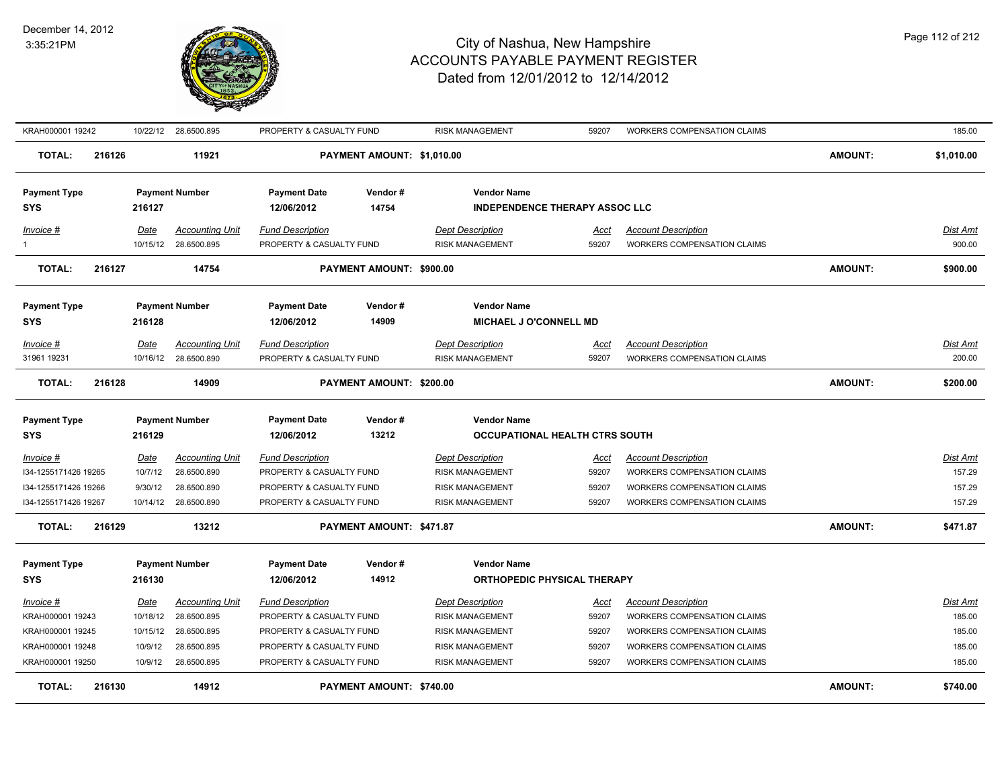

| KRAH000001 19242                                                                          |                                                    | 10/22/12 28.6500.895                                                               | PROPERTY & CASUALTY FUND                                                                                                                |                            | <b>RISK MANAGEMENT</b>                                                                                            | 59207                                    | <b>WORKERS COMPENSATION CLAIMS</b>                                                                                                                                   |                | 185.00                                           |
|-------------------------------------------------------------------------------------------|----------------------------------------------------|------------------------------------------------------------------------------------|-----------------------------------------------------------------------------------------------------------------------------------------|----------------------------|-------------------------------------------------------------------------------------------------------------------|------------------------------------------|----------------------------------------------------------------------------------------------------------------------------------------------------------------------|----------------|--------------------------------------------------|
| <b>TOTAL:</b>                                                                             | 216126                                             | 11921                                                                              |                                                                                                                                         | PAYMENT AMOUNT: \$1,010.00 |                                                                                                                   |                                          |                                                                                                                                                                      | <b>AMOUNT:</b> | \$1,010.00                                       |
| <b>Payment Type</b><br><b>SYS</b>                                                         | 216127                                             | <b>Payment Number</b>                                                              | <b>Payment Date</b><br>12/06/2012                                                                                                       | Vendor#<br>14754           | <b>Vendor Name</b><br><b>INDEPENDENCE THERAPY ASSOC LLC</b>                                                       |                                          |                                                                                                                                                                      |                |                                                  |
| Invoice #<br>$\mathbf{1}$                                                                 | Date<br>10/15/12                                   | <b>Accounting Unit</b><br>28.6500.895                                              | <b>Fund Description</b><br>PROPERTY & CASUALTY FUND                                                                                     |                            | <b>Dept Description</b><br><b>RISK MANAGEMENT</b>                                                                 | Acct<br>59207                            | <b>Account Description</b><br><b>WORKERS COMPENSATION CLAIMS</b>                                                                                                     |                | <u>Dist Amt</u><br>900.00                        |
| <b>TOTAL:</b>                                                                             | 216127                                             | 14754                                                                              |                                                                                                                                         | PAYMENT AMOUNT: \$900.00   |                                                                                                                   |                                          |                                                                                                                                                                      | <b>AMOUNT:</b> | \$900.00                                         |
| <b>Payment Type</b>                                                                       |                                                    | <b>Payment Number</b>                                                              | <b>Payment Date</b>                                                                                                                     | Vendor#                    | <b>Vendor Name</b>                                                                                                |                                          |                                                                                                                                                                      |                |                                                  |
| <b>SYS</b>                                                                                | 216128                                             |                                                                                    | 12/06/2012                                                                                                                              | 14909                      | <b>MICHAEL J O'CONNELL MD</b>                                                                                     |                                          |                                                                                                                                                                      |                |                                                  |
| Invoice #<br>31961 19231                                                                  | Date<br>10/16/12                                   | <b>Accounting Unit</b><br>28.6500.890                                              | <b>Fund Description</b><br>PROPERTY & CASUALTY FUND                                                                                     |                            | <b>Dept Description</b><br><b>RISK MANAGEMENT</b>                                                                 | Acct<br>59207                            | <b>Account Description</b><br><b>WORKERS COMPENSATION CLAIMS</b>                                                                                                     |                | Dist Amt<br>200.00                               |
| <b>TOTAL:</b>                                                                             | 216128                                             | 14909                                                                              |                                                                                                                                         | PAYMENT AMOUNT: \$200.00   |                                                                                                                   |                                          |                                                                                                                                                                      | <b>AMOUNT:</b> | \$200.00                                         |
| <b>Payment Type</b><br>SYS                                                                | 216129                                             | <b>Payment Number</b>                                                              | <b>Payment Date</b><br>12/06/2012                                                                                                       | Vendor#<br>13212           | <b>Vendor Name</b><br>OCCUPATIONAL HEALTH CTRS SOUTH                                                              |                                          |                                                                                                                                                                      |                |                                                  |
| <b>Invoice #</b><br>I34-1255171426 19265<br>I34-1255171426 19266<br>I34-1255171426 19267  | <u>Date</u><br>10/7/12<br>9/30/12                  | <b>Accounting Unit</b><br>28.6500.890<br>28.6500.890<br>10/14/12 28.6500.890       | <b>Fund Description</b><br>PROPERTY & CASUALTY FUND<br>PROPERTY & CASUALTY FUND<br>PROPERTY & CASUALTY FUND                             |                            | <b>Dept Description</b><br><b>RISK MANAGEMENT</b><br><b>RISK MANAGEMENT</b><br><b>RISK MANAGEMENT</b>             | <u>Acct</u><br>59207<br>59207<br>59207   | <b>Account Description</b><br>WORKERS COMPENSATION CLAIMS<br><b>WORKERS COMPENSATION CLAIMS</b><br>WORKERS COMPENSATION CLAIMS                                       |                | <u>Dist Amt</u><br>157.29<br>157.29<br>157.29    |
| <b>TOTAL:</b>                                                                             | 216129                                             | 13212                                                                              |                                                                                                                                         | PAYMENT AMOUNT: \$471.87   |                                                                                                                   |                                          |                                                                                                                                                                      | <b>AMOUNT:</b> | \$471.87                                         |
| <b>Payment Type</b><br><b>SYS</b>                                                         | 216130                                             | <b>Payment Number</b>                                                              | <b>Payment Date</b><br>12/06/2012                                                                                                       | Vendor#<br>14912           | <b>Vendor Name</b><br>ORTHOPEDIC PHYSICAL THERAPY                                                                 |                                          |                                                                                                                                                                      |                |                                                  |
| Invoice #<br>KRAH000001 19243<br>KRAH000001 19245<br>KRAH000001 19248<br>KRAH000001 19250 | Date<br>10/18/12<br>10/15/12<br>10/9/12<br>10/9/12 | <b>Accounting Unit</b><br>28.6500.895<br>28.6500.895<br>28.6500.895<br>28.6500.895 | <b>Fund Description</b><br>PROPERTY & CASUALTY FUND<br>PROPERTY & CASUALTY FUND<br>PROPERTY & CASUALTY FUND<br>PROPERTY & CASUALTY FUND |                            | <b>Dept Description</b><br>RISK MANAGEMENT<br>RISK MANAGEMENT<br><b>RISK MANAGEMENT</b><br><b>RISK MANAGEMENT</b> | Acct<br>59207<br>59207<br>59207<br>59207 | <b>Account Description</b><br>WORKERS COMPENSATION CLAIMS<br>WORKERS COMPENSATION CLAIMS<br><b>WORKERS COMPENSATION CLAIMS</b><br><b>WORKERS COMPENSATION CLAIMS</b> |                | Dist Amt<br>185.00<br>185.00<br>185.00<br>185.00 |
| <b>TOTAL:</b>                                                                             | 216130                                             | 14912                                                                              |                                                                                                                                         | PAYMENT AMOUNT: \$740.00   |                                                                                                                   |                                          |                                                                                                                                                                      | <b>AMOUNT:</b> | \$740.00                                         |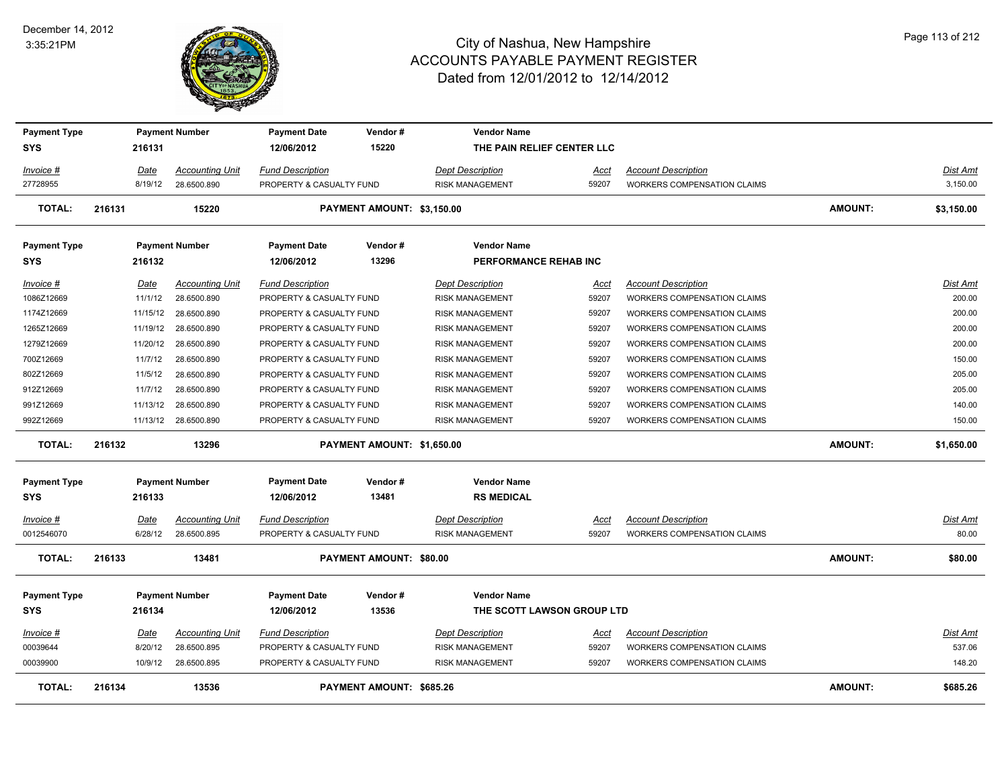#### December 14, 2012 3:35:21PM



| <b>Payment Type</b><br><b>SYS</b> |        | 216131      | <b>Payment Number</b>  | <b>Payment Date</b><br>12/06/2012 | Vendor#<br>15220                | <b>Vendor Name</b><br>THE PAIN RELIEF CENTER LLC |             |                                    |                |                 |
|-----------------------------------|--------|-------------|------------------------|-----------------------------------|---------------------------------|--------------------------------------------------|-------------|------------------------------------|----------------|-----------------|
| Invoice #                         |        | Date        | <b>Accounting Unit</b> | <b>Fund Description</b>           |                                 | Dept Description                                 | Acct        | <b>Account Description</b>         |                | <b>Dist Amt</b> |
| 27728955                          |        | 8/19/12     | 28.6500.890            | PROPERTY & CASUALTY FUND          |                                 | <b>RISK MANAGEMENT</b>                           | 59207       | <b>WORKERS COMPENSATION CLAIMS</b> |                | 3,150.00        |
| <b>TOTAL:</b>                     | 216131 |             | 15220                  |                                   | PAYMENT AMOUNT: \$3,150.00      |                                                  |             |                                    | <b>AMOUNT:</b> | \$3,150.00      |
| <b>Payment Type</b>               |        |             | <b>Payment Number</b>  | <b>Payment Date</b>               | Vendor#                         | <b>Vendor Name</b>                               |             |                                    |                |                 |
| <b>SYS</b>                        |        | 216132      |                        | 12/06/2012                        | 13296                           | PERFORMANCE REHAB INC                            |             |                                    |                |                 |
| Invoice #                         |        | Date        | <b>Accounting Unit</b> | <b>Fund Description</b>           |                                 | Dept Description                                 | Acct        | <b>Account Description</b>         |                | Dist Amt        |
| 1086Z12669                        |        | 11/1/12     | 28.6500.890            | PROPERTY & CASUALTY FUND          |                                 | <b>RISK MANAGEMENT</b>                           | 59207       | <b>WORKERS COMPENSATION CLAIMS</b> |                | 200.00          |
| 1174Z12669                        |        | 11/15/12    | 28.6500.890            | PROPERTY & CASUALTY FUND          |                                 | <b>RISK MANAGEMENT</b>                           | 59207       | WORKERS COMPENSATION CLAIMS        |                | 200.00          |
| 1265Z12669                        |        | 11/19/12    | 28.6500.890            | PROPERTY & CASUALTY FUND          |                                 | <b>RISK MANAGEMENT</b>                           | 59207       | WORKERS COMPENSATION CLAIMS        |                | 200.00          |
| 1279Z12669                        |        | 11/20/12    | 28.6500.890            | PROPERTY & CASUALTY FUND          |                                 | <b>RISK MANAGEMENT</b>                           | 59207       | <b>WORKERS COMPENSATION CLAIMS</b> |                | 200.00          |
| 700Z12669                         |        | 11/7/12     | 28.6500.890            | PROPERTY & CASUALTY FUND          |                                 | <b>RISK MANAGEMENT</b>                           | 59207       | WORKERS COMPENSATION CLAIMS        |                | 150.00          |
| 802Z12669                         |        | 11/5/12     | 28.6500.890            | PROPERTY & CASUALTY FUND          |                                 | <b>RISK MANAGEMENT</b>                           | 59207       | WORKERS COMPENSATION CLAIMS        |                | 205.00          |
| 912Z12669                         |        | 11/7/12     | 28.6500.890            | PROPERTY & CASUALTY FUND          |                                 | <b>RISK MANAGEMENT</b>                           | 59207       | WORKERS COMPENSATION CLAIMS        |                | 205.00          |
| 991Z12669                         |        | 11/13/12    | 28.6500.890            | PROPERTY & CASUALTY FUND          |                                 | RISK MANAGEMENT                                  | 59207       | WORKERS COMPENSATION CLAIMS        |                | 140.00          |
| 992Z12669                         |        |             | 11/13/12 28.6500.890   | PROPERTY & CASUALTY FUND          |                                 | <b>RISK MANAGEMENT</b>                           | 59207       | <b>WORKERS COMPENSATION CLAIMS</b> |                | 150.00          |
| <b>TOTAL:</b>                     | 216132 |             | 13296                  |                                   | PAYMENT AMOUNT: \$1,650.00      |                                                  |             |                                    | <b>AMOUNT:</b> | \$1,650.00      |
| <b>Payment Type</b>               |        |             | <b>Payment Number</b>  | <b>Payment Date</b>               | Vendor#                         | <b>Vendor Name</b>                               |             |                                    |                |                 |
| <b>SYS</b>                        |        | 216133      |                        | 12/06/2012                        | 13481                           | <b>RS MEDICAL</b>                                |             |                                    |                |                 |
| Invoice #                         |        | Date        | <b>Accounting Unit</b> | <b>Fund Description</b>           |                                 | <b>Dept Description</b>                          | Acct        | <b>Account Description</b>         |                | Dist Amt        |
| 0012546070                        |        | 6/28/12     | 28.6500.895            | PROPERTY & CASUALTY FUND          |                                 | <b>RISK MANAGEMENT</b>                           | 59207       | <b>WORKERS COMPENSATION CLAIMS</b> |                | 80.00           |
| TOTAL:                            | 216133 |             | 13481                  |                                   | <b>PAYMENT AMOUNT: \$80.00</b>  |                                                  |             |                                    | <b>AMOUNT:</b> | \$80.00         |
| <b>Payment Type</b>               |        |             | <b>Payment Number</b>  | <b>Payment Date</b>               | Vendor#                         | <b>Vendor Name</b>                               |             |                                    |                |                 |
| <b>SYS</b>                        |        | 216134      |                        | 12/06/2012                        | 13536                           | THE SCOTT LAWSON GROUP LTD                       |             |                                    |                |                 |
| <u>Invoice #</u>                  |        | <u>Date</u> | <b>Accounting Unit</b> | <b>Fund Description</b>           |                                 | <b>Dept Description</b>                          | <u>Acct</u> | <b>Account Description</b>         |                | <u>Dist Amt</u> |
| 00039644                          |        | 8/20/12     | 28.6500.895            | PROPERTY & CASUALTY FUND          |                                 | <b>RISK MANAGEMENT</b>                           | 59207       | <b>WORKERS COMPENSATION CLAIMS</b> |                | 537.06          |
| 00039900                          |        | 10/9/12     | 28.6500.895            | PROPERTY & CASUALTY FUND          |                                 | <b>RISK MANAGEMENT</b>                           | 59207       | <b>WORKERS COMPENSATION CLAIMS</b> |                | 148.20          |
| TOTAL:                            | 216134 |             | 13536                  |                                   | <b>PAYMENT AMOUNT: \$685.26</b> |                                                  |             |                                    | <b>AMOUNT:</b> | \$685.26        |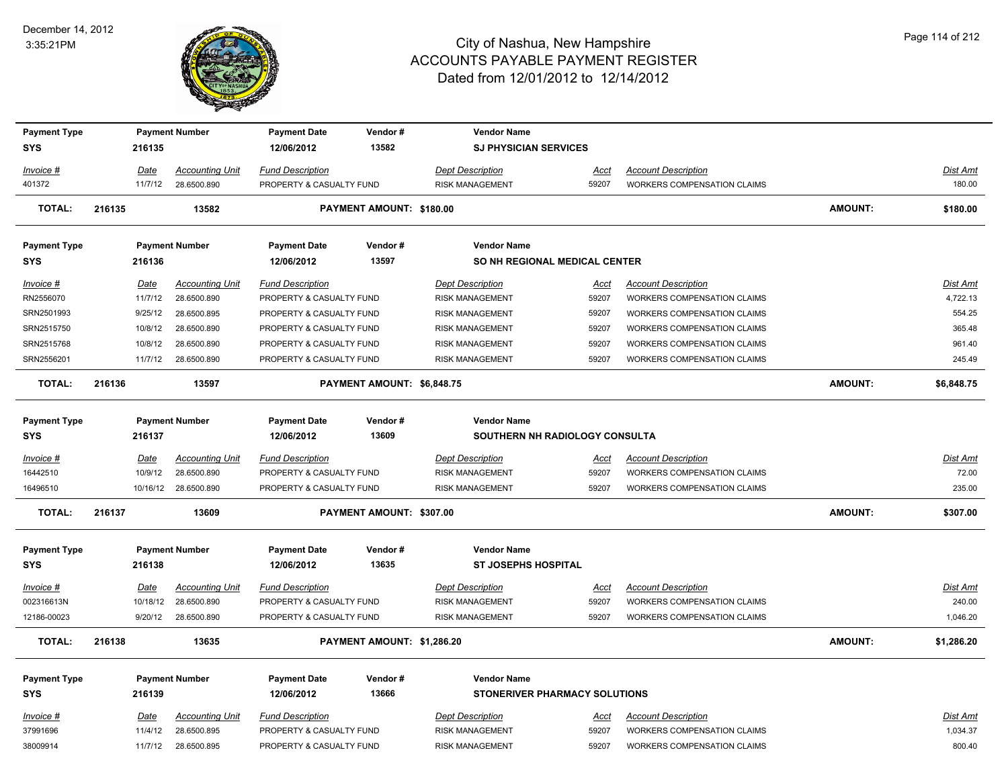

| <b>Payment Type</b> |             |          | <b>Payment Number</b>  | <b>Payment Date</b>      | Vendor#                    | <b>Vendor Name</b>                   |             |                                    |                |                 |
|---------------------|-------------|----------|------------------------|--------------------------|----------------------------|--------------------------------------|-------------|------------------------------------|----------------|-----------------|
| <b>SYS</b>          | 216135      |          |                        | 12/06/2012               | 13582                      | <b>SJ PHYSICIAN SERVICES</b>         |             |                                    |                |                 |
| Invoice #           | <u>Date</u> |          | <b>Accounting Unit</b> | <b>Fund Description</b>  |                            | <b>Dept Description</b>              | <u>Acct</u> | <b>Account Description</b>         |                | Dist Amt        |
| 401372              |             | 11/7/12  | 28.6500.890            | PROPERTY & CASUALTY FUND |                            | <b>RISK MANAGEMENT</b>               | 59207       | WORKERS COMPENSATION CLAIMS        |                | 180.00          |
| <b>TOTAL:</b>       | 216135      |          | 13582                  |                          | PAYMENT AMOUNT: \$180.00   |                                      |             |                                    | <b>AMOUNT:</b> | \$180.00        |
| <b>Payment Type</b> |             |          | <b>Payment Number</b>  | <b>Payment Date</b>      | Vendor#                    | <b>Vendor Name</b>                   |             |                                    |                |                 |
| <b>SYS</b>          | 216136      |          |                        | 12/06/2012               | 13597                      | SO NH REGIONAL MEDICAL CENTER        |             |                                    |                |                 |
| $Invoice$ #         | Date        |          | <b>Accounting Unit</b> | <b>Fund Description</b>  |                            | <b>Dept Description</b>              | Acct        | <b>Account Description</b>         |                | Dist Amt        |
| RN2556070           | 11/7/12     |          | 28.6500.890            | PROPERTY & CASUALTY FUND |                            | <b>RISK MANAGEMENT</b>               | 59207       | WORKERS COMPENSATION CLAIMS        |                | 4,722.13        |
| SRN2501993          |             | 9/25/12  | 28.6500.895            | PROPERTY & CASUALTY FUND |                            | <b>RISK MANAGEMENT</b>               | 59207       | WORKERS COMPENSATION CLAIMS        |                | 554.25          |
| SRN2515750          |             | 10/8/12  | 28.6500.890            | PROPERTY & CASUALTY FUND |                            | <b>RISK MANAGEMENT</b>               | 59207       | WORKERS COMPENSATION CLAIMS        |                | 365.48          |
| SRN2515768          |             | 10/8/12  | 28.6500.890            | PROPERTY & CASUALTY FUND |                            | <b>RISK MANAGEMENT</b>               | 59207       | WORKERS COMPENSATION CLAIMS        |                | 961.40          |
| SRN2556201          |             | 11/7/12  | 28.6500.890            | PROPERTY & CASUALTY FUND |                            | <b>RISK MANAGEMENT</b>               | 59207       | <b>WORKERS COMPENSATION CLAIMS</b> |                | 245.49          |
| TOTAL:              | 216136      |          | 13597                  |                          | PAYMENT AMOUNT: \$6,848.75 |                                      |             |                                    | <b>AMOUNT:</b> | \$6,848.75      |
| <b>Payment Type</b> |             |          | <b>Payment Number</b>  | <b>Payment Date</b>      | Vendor#                    | <b>Vendor Name</b>                   |             |                                    |                |                 |
| <b>SYS</b>          | 216137      |          |                        | 12/06/2012               | 13609                      | SOUTHERN NH RADIOLOGY CONSULTA       |             |                                    |                |                 |
| Invoice #           | <b>Date</b> |          | <b>Accounting Unit</b> | <b>Fund Description</b>  |                            | <b>Dept Description</b>              | <u>Acct</u> | <b>Account Description</b>         |                | Dist Amt        |
| 16442510            |             | 10/9/12  | 28.6500.890            | PROPERTY & CASUALTY FUND |                            | <b>RISK MANAGEMENT</b>               | 59207       | WORKERS COMPENSATION CLAIMS        |                | 72.00           |
| 16496510            |             |          | 10/16/12 28.6500.890   | PROPERTY & CASUALTY FUND |                            | <b>RISK MANAGEMENT</b>               | 59207       | <b>WORKERS COMPENSATION CLAIMS</b> |                | 235.00          |
| <b>TOTAL:</b>       | 216137      |          | 13609                  |                          | PAYMENT AMOUNT: \$307.00   |                                      |             |                                    | <b>AMOUNT:</b> | \$307.00        |
| <b>Payment Type</b> |             |          | <b>Payment Number</b>  | <b>Payment Date</b>      | Vendor#                    | <b>Vendor Name</b>                   |             |                                    |                |                 |
| <b>SYS</b>          | 216138      |          |                        | 12/06/2012               | 13635                      | <b>ST JOSEPHS HOSPITAL</b>           |             |                                    |                |                 |
| $Invoice$ #         | <b>Date</b> |          | <b>Accounting Unit</b> | <b>Fund Description</b>  |                            | <b>Dept Description</b>              | <u>Acct</u> | <b>Account Description</b>         |                | Dist Amt        |
| 002316613N          |             | 10/18/12 | 28.6500.890            | PROPERTY & CASUALTY FUND |                            | <b>RISK MANAGEMENT</b>               | 59207       | <b>WORKERS COMPENSATION CLAIMS</b> |                | 240.00          |
| 12186-00023         |             | 9/20/12  | 28.6500.890            | PROPERTY & CASUALTY FUND |                            | <b>RISK MANAGEMENT</b>               | 59207       | <b>WORKERS COMPENSATION CLAIMS</b> |                | 1,046.20        |
| <b>TOTAL:</b>       | 216138      |          | 13635                  |                          | PAYMENT AMOUNT: \$1,286.20 |                                      |             |                                    | <b>AMOUNT:</b> | \$1,286.20      |
| <b>Payment Type</b> |             |          | <b>Payment Number</b>  | <b>Payment Date</b>      | Vendor#                    | <b>Vendor Name</b>                   |             |                                    |                |                 |
| <b>SYS</b>          | 216139      |          |                        | 12/06/2012               | 13666                      | <b>STONERIVER PHARMACY SOLUTIONS</b> |             |                                    |                |                 |
|                     |             |          |                        |                          |                            |                                      |             |                                    |                |                 |
| Invoice #           | <u>Date</u> |          | <b>Accounting Unit</b> | <b>Fund Description</b>  |                            | <b>Dept Description</b>              | <u>Acct</u> | <b>Account Description</b>         |                | <u>Dist Amt</u> |
| 37991696            | 11/4/12     |          | 28.6500.895            | PROPERTY & CASUALTY FUND |                            | <b>RISK MANAGEMENT</b>               | 59207       | WORKERS COMPENSATION CLAIMS        |                | 1,034.37        |
| 38009914            |             | 11/7/12  | 28.6500.895            | PROPERTY & CASUALTY FUND |                            | <b>RISK MANAGEMENT</b>               | 59207       | WORKERS COMPENSATION CLAIMS        |                | 800.40          |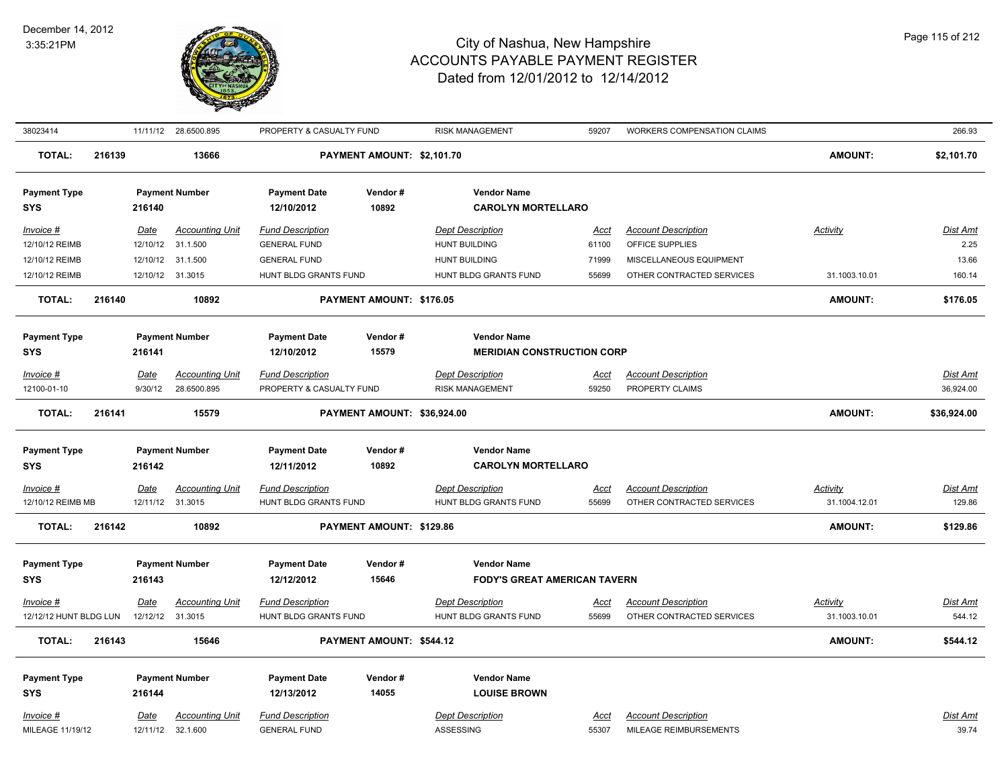

| 38023414                          |        |                  | 11/11/12 28.6500.895                        | PROPERTY & CASUALTY FUND                         |                             | <b>RISK MANAGEMENT</b>                                    | 59207                | <b>WORKERS COMPENSATION CLAIMS</b>                      |                                  | 266.93                    |
|-----------------------------------|--------|------------------|---------------------------------------------|--------------------------------------------------|-----------------------------|-----------------------------------------------------------|----------------------|---------------------------------------------------------|----------------------------------|---------------------------|
| <b>TOTAL:</b>                     | 216139 |                  | 13666                                       |                                                  | PAYMENT AMOUNT: \$2,101.70  |                                                           |                      |                                                         | <b>AMOUNT:</b>                   | \$2,101.70                |
| <b>Payment Type</b><br><b>SYS</b> |        | 216140           | <b>Payment Number</b>                       | <b>Payment Date</b><br>12/10/2012                | Vendor#<br>10892            | <b>Vendor Name</b><br><b>CAROLYN MORTELLARO</b>           |                      |                                                         |                                  |                           |
| Invoice #<br>12/10/12 REIMB       |        | Date             | <b>Accounting Unit</b><br>12/10/12 31.1.500 | <b>Fund Description</b><br><b>GENERAL FUND</b>   |                             | <b>Dept Description</b><br><b>HUNT BUILDING</b>           | Acct<br>61100        | <b>Account Description</b><br>OFFICE SUPPLIES           | Activity                         | Dist Amt<br>2.25          |
| 12/10/12 REIMB                    |        |                  | 12/10/12 31.1.500                           | <b>GENERAL FUND</b>                              |                             | <b>HUNT BUILDING</b>                                      | 71999                | MISCELLANEOUS EQUIPMENT                                 |                                  | 13.66                     |
| 12/10/12 REIMB                    |        |                  | 12/10/12 31.3015                            | HUNT BLDG GRANTS FUND                            |                             | HUNT BLDG GRANTS FUND                                     | 55699                | OTHER CONTRACTED SERVICES                               | 31.1003.10.01                    | 160.14                    |
| <b>TOTAL:</b>                     | 216140 |                  | 10892                                       |                                                  | PAYMENT AMOUNT: \$176.05    |                                                           |                      |                                                         | <b>AMOUNT:</b>                   | \$176.05                  |
| <b>Payment Type</b><br><b>SYS</b> |        | 216141           | <b>Payment Number</b>                       | <b>Payment Date</b><br>12/10/2012                | Vendor#<br>15579            | <b>Vendor Name</b><br><b>MERIDIAN CONSTRUCTION CORP</b>   |                      |                                                         |                                  |                           |
| Invoice #                         |        | Date             | <b>Accounting Unit</b>                      | <b>Fund Description</b>                          |                             | <b>Dept Description</b>                                   | <u>Acct</u>          | <b>Account Description</b>                              |                                  | Dist Amt                  |
| 12100-01-10                       |        | 9/30/12          | 28.6500.895                                 | PROPERTY & CASUALTY FUND                         |                             | <b>RISK MANAGEMENT</b>                                    | 59250                | PROPERTY CLAIMS                                         |                                  | 36,924.00                 |
| <b>TOTAL:</b>                     | 216141 |                  | 15579                                       |                                                  | PAYMENT AMOUNT: \$36,924.00 |                                                           |                      |                                                         | <b>AMOUNT:</b>                   | \$36,924.00               |
| <b>Payment Type</b><br><b>SYS</b> |        | 216142           | <b>Payment Number</b>                       | <b>Payment Date</b><br>12/11/2012                | Vendor#<br>10892            | <b>Vendor Name</b><br><b>CAROLYN MORTELLARO</b>           |                      |                                                         |                                  |                           |
| $Invoice$ #<br>12/10/12 REIMB MB  |        | Date             | <b>Accounting Unit</b><br>12/11/12 31.3015  | <b>Fund Description</b><br>HUNT BLDG GRANTS FUND |                             | <b>Dept Description</b><br>HUNT BLDG GRANTS FUND          | <u>Acct</u><br>55699 | <b>Account Description</b><br>OTHER CONTRACTED SERVICES | <b>Activity</b><br>31.1004.12.01 | <b>Dist Amt</b><br>129.86 |
| <b>TOTAL:</b>                     | 216142 |                  | 10892                                       |                                                  | PAYMENT AMOUNT: \$129.86    |                                                           |                      |                                                         | <b>AMOUNT:</b>                   | \$129.86                  |
| <b>Payment Type</b><br><b>SYS</b> |        | 216143           | <b>Payment Number</b>                       | <b>Payment Date</b><br>12/12/2012                | Vendor#<br>15646            | <b>Vendor Name</b><br><b>FODY'S GREAT AMERICAN TAVERN</b> |                      |                                                         |                                  |                           |
| Invoice #                         |        | Date             | <b>Accounting Unit</b>                      | <b>Fund Description</b>                          |                             | <b>Dept Description</b>                                   | <u>Acct</u>          | <b>Account Description</b>                              | <b>Activity</b>                  | <u>Dist Amt</u>           |
| 12/12/12 HUNT BLDG LUN            |        | 12/12/12 31.3015 |                                             | HUNT BLDG GRANTS FUND                            |                             | HUNT BLDG GRANTS FUND                                     | 55699                | OTHER CONTRACTED SERVICES                               | 31.1003.10.01                    | 544.12                    |
| <b>TOTAL:</b>                     | 216143 |                  | 15646                                       |                                                  | PAYMENT AMOUNT: \$544.12    |                                                           |                      |                                                         | <b>AMOUNT:</b>                   | \$544.12                  |
| <b>Payment Type</b><br><b>SYS</b> |        | 216144           | <b>Payment Number</b>                       | <b>Payment Date</b><br>12/13/2012                | Vendor#<br>14055            | <b>Vendor Name</b><br><b>LOUISE BROWN</b>                 |                      |                                                         |                                  |                           |
| Invoice #<br>MILEAGE 11/19/12     |        | Date<br>12/11/12 | <b>Accounting Unit</b><br>32.1.600          | <b>Fund Description</b><br><b>GENERAL FUND</b>   |                             | <b>Dept Description</b><br>ASSESSING                      | Acct<br>55307        | <b>Account Description</b><br>MILEAGE REIMBURSEMENTS    |                                  | Dist Amt<br>39.74         |
|                                   |        |                  |                                             |                                                  |                             |                                                           |                      |                                                         |                                  |                           |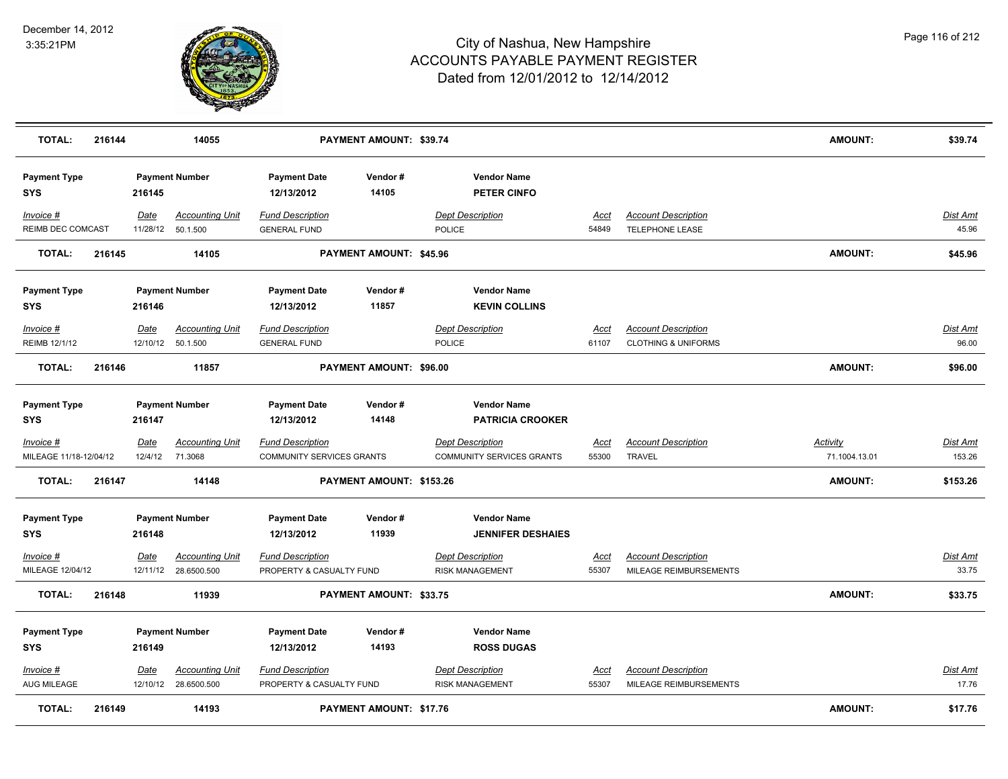

| <b>TOTAL:</b>                     | 216144 |             | 14055                                          |                                                     | PAYMENT AMOUNT: \$39.74        |                                                   |                      |                                                              | AMOUNT:         | \$39.74           |
|-----------------------------------|--------|-------------|------------------------------------------------|-----------------------------------------------------|--------------------------------|---------------------------------------------------|----------------------|--------------------------------------------------------------|-----------------|-------------------|
| <b>Payment Type</b><br><b>SYS</b> |        | 216145      | <b>Payment Number</b>                          | <b>Payment Date</b><br>12/13/2012                   | Vendor#<br>14105               | <b>Vendor Name</b><br>PETER CINFO                 |                      |                                                              |                 |                   |
| Invoice #<br>REIMB DEC COMCAST    |        | Date        | <b>Accounting Unit</b><br>11/28/12 50.1.500    | <b>Fund Description</b><br><b>GENERAL FUND</b>      |                                | <b>Dept Description</b><br><b>POLICE</b>          | Acct<br>54849        | <b>Account Description</b><br>TELEPHONE LEASE                |                 | Dist Amt<br>45.96 |
| <b>TOTAL:</b>                     | 216145 |             | 14105                                          |                                                     | PAYMENT AMOUNT: \$45.96        |                                                   |                      |                                                              | <b>AMOUNT:</b>  | \$45.96           |
| <b>Payment Type</b><br><b>SYS</b> |        | 216146      | <b>Payment Number</b>                          | <b>Payment Date</b><br>12/13/2012                   | Vendor#<br>11857               | <b>Vendor Name</b><br><b>KEVIN COLLINS</b>        |                      |                                                              |                 |                   |
| Invoice #<br>REIMB 12/1/12        |        | Date        | <b>Accounting Unit</b><br>12/10/12  50.1.500   | <b>Fund Description</b><br><b>GENERAL FUND</b>      |                                | <b>Dept Description</b><br><b>POLICE</b>          | Acct<br>61107        | <b>Account Description</b><br><b>CLOTHING &amp; UNIFORMS</b> |                 | Dist Amt<br>96.00 |
| <b>TOTAL:</b>                     | 216146 |             | 11857                                          |                                                     | PAYMENT AMOUNT: \$96.00        |                                                   |                      |                                                              | <b>AMOUNT:</b>  | \$96.00           |
| <b>Payment Type</b><br><b>SYS</b> |        | 216147      | <b>Payment Number</b>                          | <b>Payment Date</b><br>12/13/2012                   | Vendor#<br>14148               | <b>Vendor Name</b><br><b>PATRICIA CROOKER</b>     |                      |                                                              |                 |                   |
| Invoice #                         |        | <u>Date</u> | <u>Accounting Unit</u>                         | <b>Fund Description</b>                             |                                | <b>Dept Description</b>                           | <u>Acct</u>          | <b>Account Description</b>                                   | <b>Activity</b> | <u>Dist Amt</u>   |
| MILEAGE 11/18-12/04/12            |        | 12/4/12     | 71.3068                                        | COMMUNITY SERVICES GRANTS                           |                                | COMMUNITY SERVICES GRANTS                         | 55300                | <b>TRAVEL</b>                                                | 71.1004.13.01   | 153.26            |
| <b>TOTAL:</b>                     | 216147 |             | 14148                                          |                                                     | PAYMENT AMOUNT: \$153.26       |                                                   |                      |                                                              | <b>AMOUNT:</b>  | \$153.26          |
| <b>Payment Type</b><br><b>SYS</b> |        | 216148      | <b>Payment Number</b>                          | <b>Payment Date</b><br>12/13/2012                   | Vendor#<br>11939               | <b>Vendor Name</b><br><b>JENNIFER DESHAIES</b>    |                      |                                                              |                 |                   |
| Invoice #<br>MILEAGE 12/04/12     |        | Date        | <b>Accounting Unit</b><br>12/11/12 28.6500.500 | <b>Fund Description</b><br>PROPERTY & CASUALTY FUND |                                | <b>Dept Description</b><br><b>RISK MANAGEMENT</b> | Acct<br>55307        | <b>Account Description</b><br>MILEAGE REIMBURSEMENTS         |                 | Dist Amt<br>33.75 |
| <b>TOTAL:</b>                     | 216148 |             | 11939                                          |                                                     | PAYMENT AMOUNT: \$33.75        |                                                   |                      |                                                              | <b>AMOUNT:</b>  | \$33.75           |
| <b>Payment Type</b><br><b>SYS</b> |        | 216149      | <b>Payment Number</b>                          | <b>Payment Date</b><br>12/13/2012                   | Vendor#<br>14193               | <b>Vendor Name</b><br><b>ROSS DUGAS</b>           |                      |                                                              |                 |                   |
| Invoice #<br>AUG MILEAGE          |        | Date        | <b>Accounting Unit</b><br>12/10/12 28.6500.500 | <b>Fund Description</b><br>PROPERTY & CASUALTY FUND |                                | <b>Dept Description</b><br><b>RISK MANAGEMENT</b> | <u>Acct</u><br>55307 | <b>Account Description</b><br>MILEAGE REIMBURSEMENTS         |                 | Dist Amt<br>17.76 |
| <b>TOTAL:</b>                     | 216149 |             | 14193                                          |                                                     | <b>PAYMENT AMOUNT: \$17.76</b> |                                                   |                      |                                                              | <b>AMOUNT:</b>  | \$17.76           |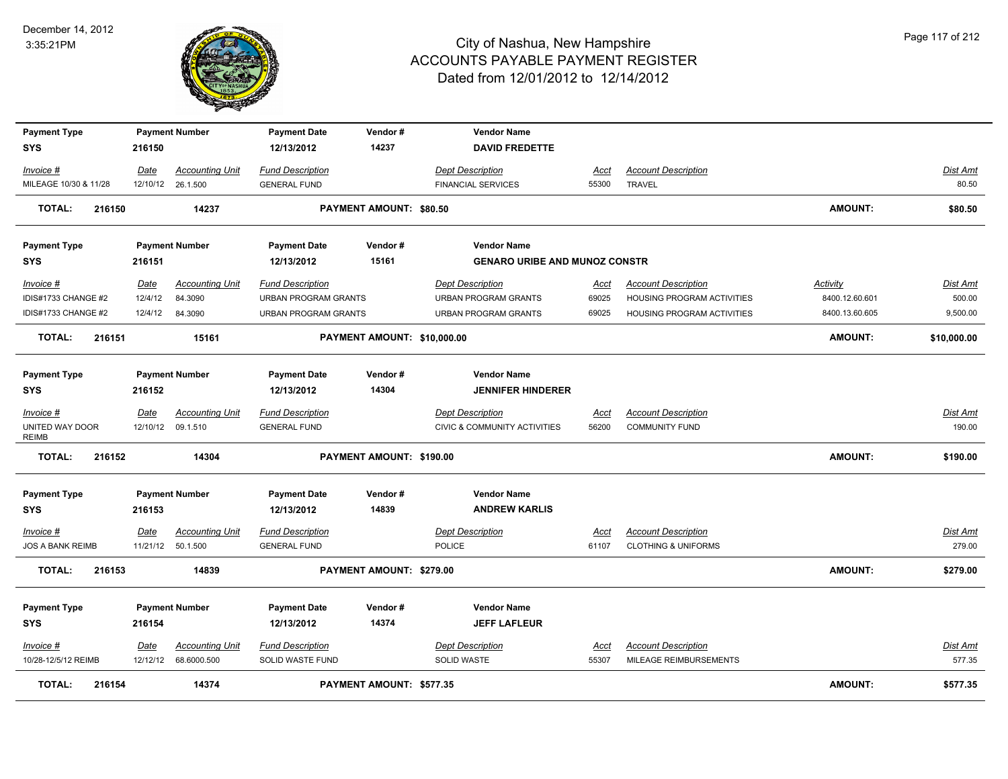

| <b>Payment Type</b>      |         | <b>Payment Number</b>  | <b>Payment Date</b>     | Vendor#                        | <b>Vendor Name</b>                   |             |                                |                 |             |
|--------------------------|---------|------------------------|-------------------------|--------------------------------|--------------------------------------|-------------|--------------------------------|-----------------|-------------|
| SYS                      | 216150  |                        | 12/13/2012              | 14237                          | <b>DAVID FREDETTE</b>                |             |                                |                 |             |
| Invoice #                | Date    | <b>Accounting Unit</b> | <b>Fund Description</b> |                                | <b>Dept Description</b>              | Acct        | <b>Account Description</b>     |                 | Dist Amt    |
| MILEAGE 10/30 & 11/28    |         | 12/10/12 26.1.500      | <b>GENERAL FUND</b>     |                                | <b>FINANCIAL SERVICES</b>            | 55300       | <b>TRAVEL</b>                  |                 | 80.50       |
| <b>TOTAL:</b><br>216150  |         | 14237                  |                         | <b>PAYMENT AMOUNT: \$80.50</b> |                                      |             |                                | <b>AMOUNT:</b>  | \$80.50     |
| <b>Payment Type</b>      |         | <b>Payment Number</b>  | <b>Payment Date</b>     | Vendor#                        | <b>Vendor Name</b>                   |             |                                |                 |             |
| SYS                      | 216151  |                        | 12/13/2012              | 15161                          | <b>GENARO URIBE AND MUNOZ CONSTR</b> |             |                                |                 |             |
| Invoice #                | Date    | <b>Accounting Unit</b> | <b>Fund Description</b> |                                | <b>Dept Description</b>              | Acct        | <b>Account Description</b>     | <b>Activity</b> | Dist Amt    |
| IDIS#1733 CHANGE #2      | 12/4/12 | 84.3090                | URBAN PROGRAM GRANTS    |                                | URBAN PROGRAM GRANTS                 | 69025       | HOUSING PROGRAM ACTIVITIES     | 8400.12.60.601  | 500.00      |
| IDIS#1733 CHANGE #2      | 12/4/12 | 84.3090                | URBAN PROGRAM GRANTS    |                                | URBAN PROGRAM GRANTS                 | 69025       | HOUSING PROGRAM ACTIVITIES     | 8400.13.60.605  | 9,500.00    |
| <b>TOTAL:</b><br>216151  |         | 15161                  |                         | PAYMENT AMOUNT: \$10,000.00    |                                      |             |                                | AMOUNT:         | \$10,000.00 |
| <b>Payment Type</b>      |         | <b>Payment Number</b>  | <b>Payment Date</b>     | Vendor#                        | <b>Vendor Name</b>                   |             |                                |                 |             |
| SYS                      | 216152  |                        | 12/13/2012              | 14304                          | <b>JENNIFER HINDERER</b>             |             |                                |                 |             |
| Invoice #                | Date    | <b>Accounting Unit</b> | <b>Fund Description</b> |                                | <b>Dept Description</b>              | Acct        | <b>Account Description</b>     |                 | Dist Amt    |
| UNITED WAY DOOR<br>REIMB |         | 12/10/12 09.1.510      | <b>GENERAL FUND</b>     |                                | CIVIC & COMMUNITY ACTIVITIES         | 56200       | <b>COMMUNITY FUND</b>          |                 | 190.00      |
| <b>TOTAL:</b><br>216152  |         | 14304                  |                         | PAYMENT AMOUNT: \$190.00       |                                      |             |                                | <b>AMOUNT:</b>  | \$190.00    |
| <b>Payment Type</b>      |         | <b>Payment Number</b>  | <b>Payment Date</b>     | Vendor#                        | <b>Vendor Name</b>                   |             |                                |                 |             |
| SYS                      | 216153  |                        | 12/13/2012              | 14839                          | <b>ANDREW KARLIS</b>                 |             |                                |                 |             |
| Invoice #                | Date    | <b>Accounting Unit</b> | <b>Fund Description</b> |                                | <b>Dept Description</b>              | Acct        | <b>Account Description</b>     |                 | Dist Amt    |
| <b>JOS A BANK REIMB</b>  |         | 11/21/12 50.1.500      | <b>GENERAL FUND</b>     |                                | <b>POLICE</b>                        | 61107       | <b>CLOTHING &amp; UNIFORMS</b> |                 | 279.00      |
| <b>TOTAL:</b><br>216153  |         | 14839                  |                         | PAYMENT AMOUNT: \$279.00       |                                      |             |                                | <b>AMOUNT:</b>  | \$279.00    |
| <b>Payment Type</b>      |         | <b>Payment Number</b>  | <b>Payment Date</b>     | Vendor#                        | <b>Vendor Name</b>                   |             |                                |                 |             |
| <b>SYS</b>               | 216154  |                        | 12/13/2012              | 14374                          | <b>JEFF LAFLEUR</b>                  |             |                                |                 |             |
| Invoice #                | Date    | <b>Accounting Unit</b> | <b>Fund Description</b> |                                | <b>Dept Description</b>              | <u>Acct</u> | <b>Account Description</b>     |                 | Dist Amt    |
| 10/28-12/5/12 REIMB      |         | 12/12/12 68.6000.500   | SOLID WASTE FUND        |                                | SOLID WASTE                          | 55307       | MILEAGE REIMBURSEMENTS         |                 | 577.35      |
| TOTAL:<br>216154         |         | 14374                  |                         | PAYMENT AMOUNT: \$577.35       |                                      |             |                                | <b>AMOUNT:</b>  | \$577.35    |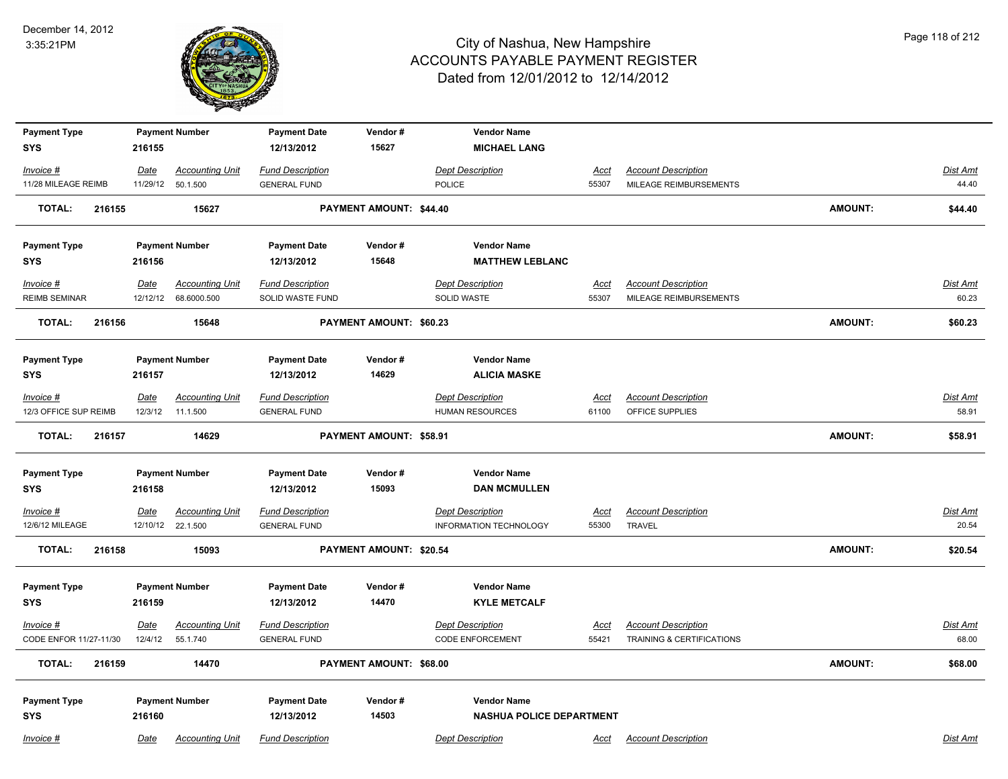

| <b>Payment Type</b>                 |                 | <b>Payment Number</b>              | <b>Payment Date</b>                            | Vendor#                        | <b>Vendor Name</b>                                |               |                                               |                |                   |
|-------------------------------------|-----------------|------------------------------------|------------------------------------------------|--------------------------------|---------------------------------------------------|---------------|-----------------------------------------------|----------------|-------------------|
| <b>SYS</b>                          | 216155          |                                    | 12/13/2012                                     | 15627                          | <b>MICHAEL LANG</b>                               |               |                                               |                |                   |
| Invoice #                           | <b>Date</b>     | <b>Accounting Unit</b>             | <b>Fund Description</b>                        |                                | <b>Dept Description</b>                           | <b>Acct</b>   | <b>Account Description</b>                    |                | <b>Dist Amt</b>   |
| 11/28 MILEAGE REIMB                 | 11/29/12        | 50.1.500                           | <b>GENERAL FUND</b>                            |                                | POLICE                                            | 55307         | MILEAGE REIMBURSEMENTS                        |                | 44.40             |
| <b>TOTAL:</b><br>216155             |                 | 15627                              |                                                | PAYMENT AMOUNT: \$44.40        |                                                   |               |                                               | <b>AMOUNT:</b> | \$44.40           |
| <b>Payment Type</b>                 |                 | <b>Payment Number</b>              | <b>Payment Date</b>                            | Vendor#                        | <b>Vendor Name</b>                                |               |                                               |                |                   |
| SYS                                 | 216156          |                                    | 12/13/2012                                     | 15648                          | <b>MATTHEW LEBLANC</b>                            |               |                                               |                |                   |
| Invoice #                           | Date            | <b>Accounting Unit</b>             | <b>Fund Description</b>                        |                                | <b>Dept Description</b>                           | <u>Acct</u>   | <b>Account Description</b>                    |                | Dist Amt          |
| <b>REIMB SEMINAR</b>                | 12/12/12        | 68.6000.500                        | SOLID WASTE FUND                               |                                | SOLID WASTE                                       | 55307         | MILEAGE REIMBURSEMENTS                        |                | 60.23             |
| <b>TOTAL:</b><br>216156             |                 | 15648                              |                                                | <b>PAYMENT AMOUNT: \$60.23</b> |                                                   |               |                                               | <b>AMOUNT:</b> | \$60.23           |
| <b>Payment Type</b>                 |                 | <b>Payment Number</b>              | <b>Payment Date</b>                            | Vendor#                        | <b>Vendor Name</b>                                |               |                                               |                |                   |
| <b>SYS</b>                          | 216157          |                                    | 12/13/2012                                     | 14629                          | <b>ALICIA MASKE</b>                               |               |                                               |                |                   |
| Invoice #<br>12/3 OFFICE SUP REIMB  | Date<br>12/3/12 | <b>Accounting Unit</b><br>11.1.500 | <b>Fund Description</b><br><b>GENERAL FUND</b> |                                | <b>Dept Description</b><br><b>HUMAN RESOURCES</b> | Acct<br>61100 | <b>Account Description</b><br>OFFICE SUPPLIES |                | Dist Amt<br>58.91 |
| <b>TOTAL:</b><br>216157             |                 | 14629                              |                                                | PAYMENT AMOUNT: \$58.91        |                                                   |               |                                               | <b>AMOUNT:</b> | \$58.91           |
| <b>Payment Type</b>                 |                 | <b>Payment Number</b>              | <b>Payment Date</b>                            | Vendor#                        | <b>Vendor Name</b>                                |               |                                               |                |                   |
| <b>SYS</b>                          | 216158          |                                    | 12/13/2012                                     | 15093                          | <b>DAN MCMULLEN</b>                               |               |                                               |                |                   |
| $Invoice$ #                         | <b>Date</b>     | <b>Accounting Unit</b>             | <b>Fund Description</b>                        |                                | <b>Dept Description</b>                           | <b>Acct</b>   | <b>Account Description</b>                    |                | Dist Amt          |
| 12/6/12 MILEAGE                     |                 | 12/10/12 22.1.500                  | <b>GENERAL FUND</b>                            |                                | <b>INFORMATION TECHNOLOGY</b>                     | 55300         | <b>TRAVEL</b>                                 |                | 20.54             |
| <b>TOTAL:</b><br>216158             |                 | 15093                              |                                                | PAYMENT AMOUNT: \$20.54        |                                                   |               |                                               | <b>AMOUNT:</b> | \$20.54           |
| <b>Payment Type</b>                 |                 | <b>Payment Number</b>              | <b>Payment Date</b>                            | Vendor#                        | <b>Vendor Name</b>                                |               |                                               |                |                   |
| <b>SYS</b>                          | 216159          |                                    | 12/13/2012                                     | 14470                          | <b>KYLE METCALF</b>                               |               |                                               |                |                   |
| Invoice #<br>CODE ENFOR 11/27-11/30 | Date            | <b>Accounting Unit</b>             | <b>Fund Description</b>                        |                                | <b>Dept Description</b>                           | Acct          | <b>Account Description</b>                    |                | Dist Amt          |
|                                     | 12/4/12         | 55.1.740                           | <b>GENERAL FUND</b>                            |                                | <b>CODE ENFORCEMENT</b>                           | 55421         | TRAINING & CERTIFICATIONS                     |                | 68.00             |
| <b>TOTAL:</b><br>216159             |                 | 14470                              |                                                | PAYMENT AMOUNT: \$68.00        |                                                   |               |                                               | <b>AMOUNT:</b> | \$68.00           |
| <b>Payment Type</b>                 |                 | <b>Payment Number</b>              | <b>Payment Date</b>                            | Vendor#                        | <b>Vendor Name</b>                                |               |                                               |                |                   |
| <b>SYS</b>                          | 216160          |                                    | 12/13/2012                                     | 14503                          | <b>NASHUA POLICE DEPARTMENT</b>                   |               |                                               |                |                   |
| Invoice #                           | Date            | <b>Accounting Unit</b>             | <b>Fund Description</b>                        |                                | <b>Dept Description</b>                           | Acct          | <b>Account Description</b>                    |                | Dist Amt          |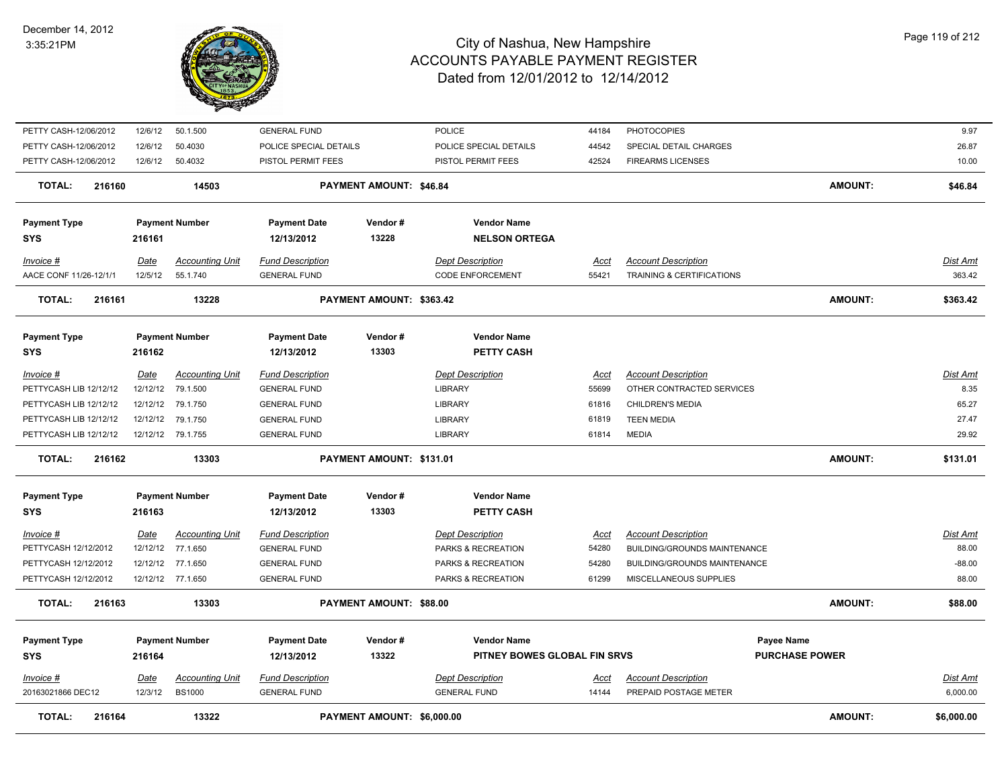

| PETTY CASH-12/06/2012   | 12/6/12     | 50.1.500               | <b>GENERAL FUND</b>     |                            | <b>POLICE</b>                | 44184       | <b>PHOTOCOPIES</b>                   |                       | 9.97            |
|-------------------------|-------------|------------------------|-------------------------|----------------------------|------------------------------|-------------|--------------------------------------|-----------------------|-----------------|
| PETTY CASH-12/06/2012   | 12/6/12     | 50.4030                | POLICE SPECIAL DETAILS  |                            | POLICE SPECIAL DETAILS       | 44542       | SPECIAL DETAIL CHARGES               |                       | 26.87           |
| PETTY CASH-12/06/2012   | 12/6/12     | 50.4032                | PISTOL PERMIT FEES      |                            | PISTOL PERMIT FEES           | 42524       | <b>FIREARMS LICENSES</b>             |                       | 10.00           |
| 216160<br><b>TOTAL:</b> |             | 14503                  |                         | PAYMENT AMOUNT: \$46.84    |                              |             |                                      | <b>AMOUNT:</b>        | \$46.84         |
| <b>Payment Type</b>     |             | <b>Payment Number</b>  | <b>Payment Date</b>     | Vendor#                    | <b>Vendor Name</b>           |             |                                      |                       |                 |
| <b>SYS</b>              | 216161      |                        | 12/13/2012              | 13228                      | <b>NELSON ORTEGA</b>         |             |                                      |                       |                 |
| $Invoice$ #             | <u>Date</u> | <b>Accounting Unit</b> | <b>Fund Description</b> |                            | <b>Dept Description</b>      | <u>Acct</u> | <b>Account Description</b>           |                       | Dist Amt        |
| AACE CONF 11/26-12/1/1  | 12/5/12     | 55.1.740               | <b>GENERAL FUND</b>     |                            | <b>CODE ENFORCEMENT</b>      | 55421       | <b>TRAINING &amp; CERTIFICATIONS</b> |                       | 363.42          |
| <b>TOTAL:</b><br>216161 |             | 13228                  |                         | PAYMENT AMOUNT: \$363.42   |                              |             |                                      | <b>AMOUNT:</b>        | \$363.42        |
| <b>Payment Type</b>     |             | <b>Payment Number</b>  | <b>Payment Date</b>     | Vendor#                    | <b>Vendor Name</b>           |             |                                      |                       |                 |
| <b>SYS</b>              | 216162      |                        | 12/13/2012              | 13303                      | <b>PETTY CASH</b>            |             |                                      |                       |                 |
|                         |             |                        |                         |                            |                              |             |                                      |                       |                 |
| $Invoice$ #             | <u>Date</u> | <b>Accounting Unit</b> | <b>Fund Description</b> |                            | <b>Dept Description</b>      | <u>Acct</u> | <b>Account Description</b>           |                       | Dist Amt        |
| PETTYCASH LIB 12/12/12  | 12/12/12    | 79.1.500               | <b>GENERAL FUND</b>     |                            | <b>LIBRARY</b>               | 55699       | OTHER CONTRACTED SERVICES            |                       | 8.35            |
| PETTYCASH LIB 12/12/12  | 12/12/12    | 79.1.750               | <b>GENERAL FUND</b>     |                            | <b>LIBRARY</b>               | 61816       | <b>CHILDREN'S MEDIA</b>              |                       | 65.27           |
| PETTYCASH LIB 12/12/12  | 12/12/12    | 79.1.750               | <b>GENERAL FUND</b>     |                            | <b>LIBRARY</b>               | 61819       | <b>TEEN MEDIA</b>                    |                       | 27.47           |
| PETTYCASH LIB 12/12/12  |             | 12/12/12 79.1.755      | <b>GENERAL FUND</b>     |                            | <b>LIBRARY</b>               | 61814       | <b>MEDIA</b>                         |                       | 29.92           |
| <b>TOTAL:</b><br>216162 |             | 13303                  |                         | PAYMENT AMOUNT: \$131.01   |                              |             |                                      | AMOUNT:               | \$131.01        |
| <b>Payment Type</b>     |             | <b>Payment Number</b>  | <b>Payment Date</b>     | Vendor#                    | <b>Vendor Name</b>           |             |                                      |                       |                 |
| <b>SYS</b>              | 216163      |                        | 12/13/2012              | 13303                      | PETTY CASH                   |             |                                      |                       |                 |
| <b>Invoice #</b>        | <u>Date</u> | <b>Accounting Unit</b> | <b>Fund Description</b> |                            | <b>Dept Description</b>      | <u>Acct</u> | <b>Account Description</b>           |                       | <b>Dist Amt</b> |
| PETTYCASH 12/12/2012    | 12/12/12    | 77.1.650               | <b>GENERAL FUND</b>     |                            | PARKS & RECREATION           | 54280       | <b>BUILDING/GROUNDS MAINTENANCE</b>  |                       | 88.00           |
| PETTYCASH 12/12/2012    |             | 12/12/12 77.1.650      | <b>GENERAL FUND</b>     |                            | PARKS & RECREATION           | 54280       | BUILDING/GROUNDS MAINTENANCE         |                       | $-88.00$        |
| PETTYCASH 12/12/2012    |             | 12/12/12 77.1.650      | <b>GENERAL FUND</b>     |                            | PARKS & RECREATION           | 61299       | MISCELLANEOUS SUPPLIES               |                       | 88.00           |
| <b>TOTAL:</b><br>216163 |             | 13303                  |                         | PAYMENT AMOUNT: \$88.00    |                              |             |                                      | <b>AMOUNT:</b>        | \$88.00         |
| <b>Payment Type</b>     |             | <b>Payment Number</b>  | <b>Payment Date</b>     | Vendor#                    | <b>Vendor Name</b>           |             |                                      | Payee Name            |                 |
| <b>SYS</b>              | 216164      |                        | 12/13/2012              | 13322                      | PITNEY BOWES GLOBAL FIN SRVS |             |                                      | <b>PURCHASE POWER</b> |                 |
|                         |             |                        |                         |                            |                              |             |                                      |                       |                 |
| Invoice #               | <u>Date</u> | <b>Accounting Unit</b> | <b>Fund Description</b> |                            | <b>Dept Description</b>      | Acct        | <b>Account Description</b>           |                       | Dist Amt        |
| 20163021866 DEC12       | 12/3/12     | <b>BS1000</b>          | <b>GENERAL FUND</b>     |                            | <b>GENERAL FUND</b>          | 14144       | PREPAID POSTAGE METER                |                       | 6,000.00        |
| <b>TOTAL:</b><br>216164 |             | 13322                  |                         | PAYMENT AMOUNT: \$6,000.00 |                              |             |                                      | <b>AMOUNT:</b>        | \$6,000.00      |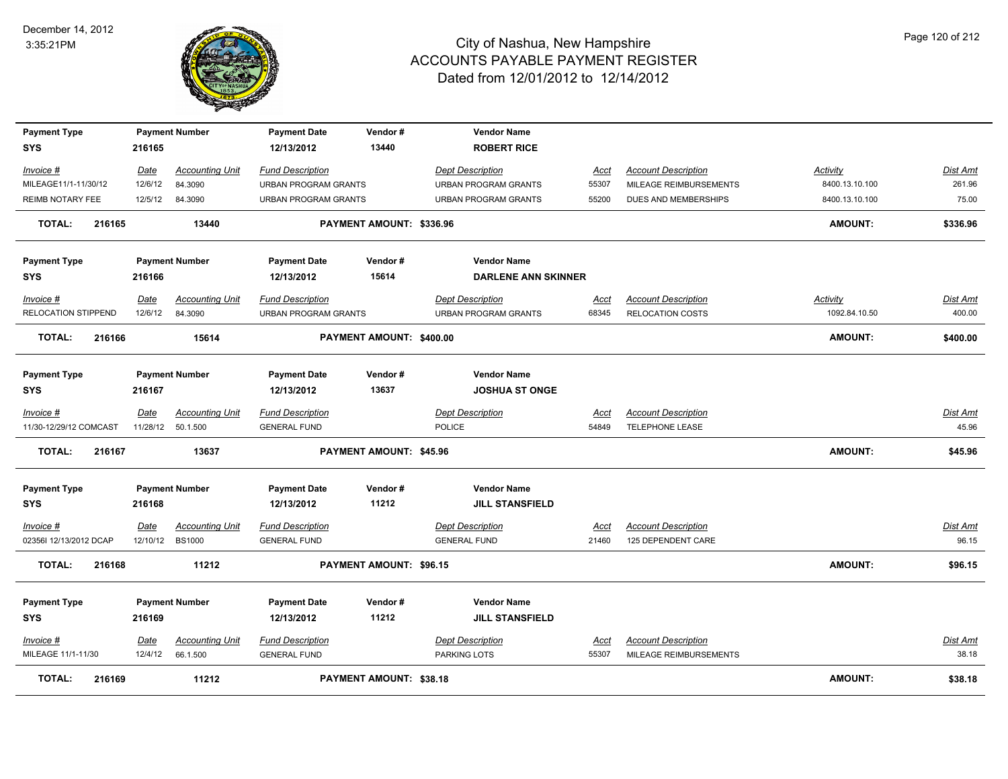

| <b>Payment Type</b><br>SYS | 216165  | <b>Payment Number</b>  | <b>Payment Date</b><br>12/13/2012 | Vendor#<br>13440         | <b>Vendor Name</b><br><b>ROBERT RICE</b> |             |                            |                 |                 |
|----------------------------|---------|------------------------|-----------------------------------|--------------------------|------------------------------------------|-------------|----------------------------|-----------------|-----------------|
|                            |         |                        |                                   |                          |                                          |             |                            |                 |                 |
| Invoice #                  | Date    | <b>Accounting Unit</b> | <b>Fund Description</b>           |                          | <b>Dept Description</b>                  | Acct        | <b>Account Description</b> | <b>Activity</b> | Dist Amt        |
| MILEAGE11/1-11/30/12       | 12/6/12 | 84.3090                | <b>URBAN PROGRAM GRANTS</b>       |                          | <b>URBAN PROGRAM GRANTS</b>              | 55307       | MILEAGE REIMBURSEMENTS     | 8400.13.10.100  | 261.96          |
| REIMB NOTARY FEE           | 12/5/12 | 84.3090                | <b>URBAN PROGRAM GRANTS</b>       |                          | <b>URBAN PROGRAM GRANTS</b>              | 55200       | DUES AND MEMBERSHIPS       | 8400.13.10.100  | 75.00           |
| <b>TOTAL:</b><br>216165    |         | 13440                  |                                   | PAYMENT AMOUNT: \$336.96 |                                          |             |                            | <b>AMOUNT:</b>  | \$336.96        |
| <b>Payment Type</b>        |         | <b>Payment Number</b>  | <b>Payment Date</b>               | Vendor#                  | <b>Vendor Name</b>                       |             |                            |                 |                 |
| SYS                        | 216166  |                        | 12/13/2012                        | 15614                    | <b>DARLENE ANN SKINNER</b>               |             |                            |                 |                 |
| Invoice #                  | Date    | <b>Accounting Unit</b> | <b>Fund Description</b>           |                          | <b>Dept Description</b>                  | Acct        | <b>Account Description</b> | Activity        | <u>Dist Amt</u> |
| RELOCATION STIPPEND        | 12/6/12 | 84.3090                | URBAN PROGRAM GRANTS              |                          | URBAN PROGRAM GRANTS                     | 68345       | RELOCATION COSTS           | 1092.84.10.50   | 400.00          |
| <b>TOTAL:</b><br>216166    |         | 15614                  |                                   | PAYMENT AMOUNT: \$400.00 |                                          |             |                            | <b>AMOUNT:</b>  | \$400.00        |
| <b>Payment Type</b>        |         | <b>Payment Number</b>  | <b>Payment Date</b>               | Vendor#                  | <b>Vendor Name</b>                       |             |                            |                 |                 |
| <b>SYS</b>                 | 216167  |                        | 12/13/2012                        | 13637                    | <b>JOSHUA ST ONGE</b>                    |             |                            |                 |                 |
|                            |         |                        |                                   |                          |                                          |             |                            |                 |                 |
| Invoice #                  | Date    | <b>Accounting Unit</b> | <b>Fund Description</b>           |                          | <b>Dept Description</b>                  | Acct        | <b>Account Description</b> |                 | Dist Amt        |
| 11/30-12/29/12 COMCAST     |         | 11/28/12  50.1.500     | <b>GENERAL FUND</b>               |                          | <b>POLICE</b>                            | 54849       | TELEPHONE LEASE            |                 | 45.96           |
| TOTAL:<br>216167           |         | 13637                  |                                   | PAYMENT AMOUNT: \$45.96  |                                          |             |                            | <b>AMOUNT:</b>  | \$45.96         |
| <b>Payment Type</b>        |         | <b>Payment Number</b>  | <b>Payment Date</b>               | Vendor#                  | <b>Vendor Name</b>                       |             |                            |                 |                 |
| SYS                        | 216168  |                        | 12/13/2012                        | 11212                    | <b>JILL STANSFIELD</b>                   |             |                            |                 |                 |
| Invoice #                  | Date    | <b>Accounting Unit</b> | <b>Fund Description</b>           |                          | <b>Dept Description</b>                  | <b>Acct</b> | <b>Account Description</b> |                 | Dist Amt        |
| 02356I 12/13/2012 DCAP     |         | 12/10/12 BS1000        | <b>GENERAL FUND</b>               |                          | <b>GENERAL FUND</b>                      | 21460       | 125 DEPENDENT CARE         |                 | 96.15           |
| <b>TOTAL:</b><br>216168    |         | 11212                  |                                   | PAYMENT AMOUNT: \$96.15  |                                          |             |                            | <b>AMOUNT:</b>  | \$96.15         |
| <b>Payment Type</b>        |         | <b>Payment Number</b>  | <b>Payment Date</b>               | Vendor#                  | <b>Vendor Name</b>                       |             |                            |                 |                 |
| <b>SYS</b>                 | 216169  |                        | 12/13/2012                        | 11212                    | <b>JILL STANSFIELD</b>                   |             |                            |                 |                 |
| Invoice #                  | Date    | <b>Accounting Unit</b> | <b>Fund Description</b>           |                          | <b>Dept Description</b>                  | <u>Acct</u> | <b>Account Description</b> |                 | Dist Amt        |
| MILEAGE 11/1-11/30         | 12/4/12 | 66.1.500               | <b>GENERAL FUND</b>               |                          | PARKING LOTS                             | 55307       | MILEAGE REIMBURSEMENTS     |                 | 38.18           |
| TOTAL:<br>216169           |         | 11212                  |                                   | PAYMENT AMOUNT: \$38.18  |                                          |             |                            | <b>AMOUNT:</b>  | \$38.18         |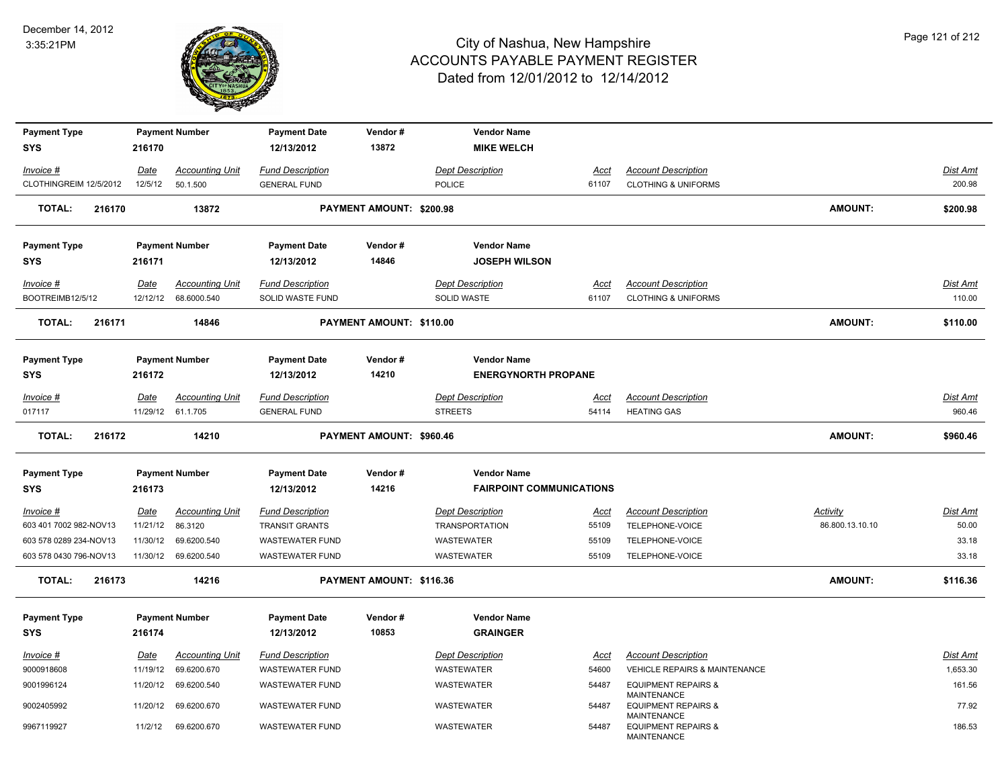

| <b>Payment Type</b>     |             | <b>Payment Number</b>  | <b>Payment Date</b>     | Vendor#                  | <b>Vendor Name</b>              |             |                                                                     |                 |                 |
|-------------------------|-------------|------------------------|-------------------------|--------------------------|---------------------------------|-------------|---------------------------------------------------------------------|-----------------|-----------------|
| <b>SYS</b>              | 216170      |                        | 12/13/2012              | 13872                    | <b>MIKE WELCH</b>               |             |                                                                     |                 |                 |
| Invoice #               | Date        | <b>Accounting Unit</b> | <b>Fund Description</b> |                          | <b>Dept Description</b>         | Acct        | <b>Account Description</b>                                          |                 | Dist Amt        |
| CLOTHINGREIM 12/5/2012  | 12/5/12     | 50.1.500               | <b>GENERAL FUND</b>     |                          | <b>POLICE</b>                   | 61107       | <b>CLOTHING &amp; UNIFORMS</b>                                      |                 | 200.98          |
|                         |             |                        |                         |                          |                                 |             |                                                                     |                 |                 |
| <b>TOTAL:</b><br>216170 |             | 13872                  |                         | PAYMENT AMOUNT: \$200.98 |                                 |             |                                                                     | <b>AMOUNT:</b>  | \$200.98        |
| <b>Payment Type</b>     |             | <b>Payment Number</b>  | <b>Payment Date</b>     | Vendor#                  | <b>Vendor Name</b>              |             |                                                                     |                 |                 |
| <b>SYS</b>              | 216171      |                        | 12/13/2012              | 14846                    | <b>JOSEPH WILSON</b>            |             |                                                                     |                 |                 |
|                         |             |                        |                         |                          |                                 |             |                                                                     |                 |                 |
| Invoice #               | Date        | <b>Accounting Unit</b> | <b>Fund Description</b> |                          | <b>Dept Description</b>         | <u>Acct</u> | <b>Account Description</b>                                          |                 | Dist Amt        |
| BOOTREIMB12/5/12        | 12/12/12    | 68.6000.540            | SOLID WASTE FUND        |                          | SOLID WASTE                     | 61107       | <b>CLOTHING &amp; UNIFORMS</b>                                      |                 | 110.00          |
| <b>TOTAL:</b><br>216171 |             | 14846                  |                         | PAYMENT AMOUNT: \$110.00 |                                 |             |                                                                     | <b>AMOUNT:</b>  | \$110.00        |
|                         |             |                        |                         |                          |                                 |             |                                                                     |                 |                 |
| <b>Payment Type</b>     |             | <b>Payment Number</b>  | <b>Payment Date</b>     | Vendor#                  | <b>Vendor Name</b>              |             |                                                                     |                 |                 |
| SYS                     | 216172      |                        | 12/13/2012              | 14210                    | <b>ENERGYNORTH PROPANE</b>      |             |                                                                     |                 |                 |
| Invoice #               | Date        | <b>Accounting Unit</b> | <b>Fund Description</b> |                          | <b>Dept Description</b>         | Acct        | <b>Account Description</b>                                          |                 | Dist Amt        |
| 017117                  |             | 11/29/12 61.1.705      | <b>GENERAL FUND</b>     |                          | <b>STREETS</b>                  | 54114       | <b>HEATING GAS</b>                                                  |                 | 960.46          |
| <b>TOTAL:</b><br>216172 |             | 14210                  |                         | PAYMENT AMOUNT: \$960.46 |                                 |             |                                                                     | <b>AMOUNT:</b>  | \$960.46        |
|                         |             |                        |                         |                          |                                 |             |                                                                     |                 |                 |
| <b>Payment Type</b>     |             | <b>Payment Number</b>  | <b>Payment Date</b>     | Vendor#                  | <b>Vendor Name</b>              |             |                                                                     |                 |                 |
| SYS                     | 216173      |                        | 12/13/2012              | 14216                    | <b>FAIRPOINT COMMUNICATIONS</b> |             |                                                                     |                 |                 |
| <u>Invoice #</u>        | <u>Date</u> | <b>Accounting Unit</b> | <b>Fund Description</b> |                          | <b>Dept Description</b>         | <u>Acct</u> | <b>Account Description</b>                                          | <b>Activity</b> | <u>Dist Amt</u> |
| 603 401 7002 982-NOV13  | 11/21/12    | 86.3120                | <b>TRANSIT GRANTS</b>   |                          | <b>TRANSPORTATION</b>           | 55109       | TELEPHONE-VOICE                                                     | 86.800.13.10.10 | 50.00           |
| 603 578 0289 234-NOV13  | 11/30/12    | 69.6200.540            | WASTEWATER FUND         |                          | <b>WASTEWATER</b>               | 55109       | TELEPHONE-VOICE                                                     |                 | 33.18           |
| 603 578 0430 796-NOV13  | 11/30/12    | 69.6200.540            | <b>WASTEWATER FUND</b>  |                          | WASTEWATER                      | 55109       | TELEPHONE-VOICE                                                     |                 | 33.18           |
|                         |             |                        |                         |                          |                                 |             |                                                                     |                 |                 |
| <b>TOTAL:</b><br>216173 |             | 14216                  |                         | PAYMENT AMOUNT: \$116.36 |                                 |             |                                                                     | <b>AMOUNT:</b>  | \$116.36        |
|                         |             |                        |                         |                          |                                 |             |                                                                     |                 |                 |
| <b>Payment Type</b>     |             | <b>Payment Number</b>  | <b>Payment Date</b>     | Vendor#                  | <b>Vendor Name</b>              |             |                                                                     |                 |                 |
| <b>SYS</b>              | 216174      |                        | 12/13/2012              | 10853                    | <b>GRAINGER</b>                 |             |                                                                     |                 |                 |
| Invoice #               | Date        | <b>Accounting Unit</b> | <b>Fund Description</b> |                          | <b>Dept Description</b>         | Acct        | <b>Account Description</b>                                          |                 | Dist Amt        |
| 9000918608              | 11/19/12    | 69.6200.670            | WASTEWATER FUND         |                          | <b>WASTEWATER</b>               | 54600       | VEHICLE REPAIRS & MAINTENANCE                                       |                 | 1,653.30        |
| 9001996124              | 11/20/12    | 69.6200.540            | WASTEWATER FUND         |                          | <b>WASTEWATER</b>               | 54487       | <b>EQUIPMENT REPAIRS &amp;</b>                                      |                 | 161.56          |
| 9002405992              | 11/20/12    | 69.6200.670            | <b>WASTEWATER FUND</b>  |                          | <b>WASTEWATER</b>               | 54487       | MAINTENANCE<br><b>EQUIPMENT REPAIRS &amp;</b><br><b>MAINTENANCE</b> |                 | 77.92           |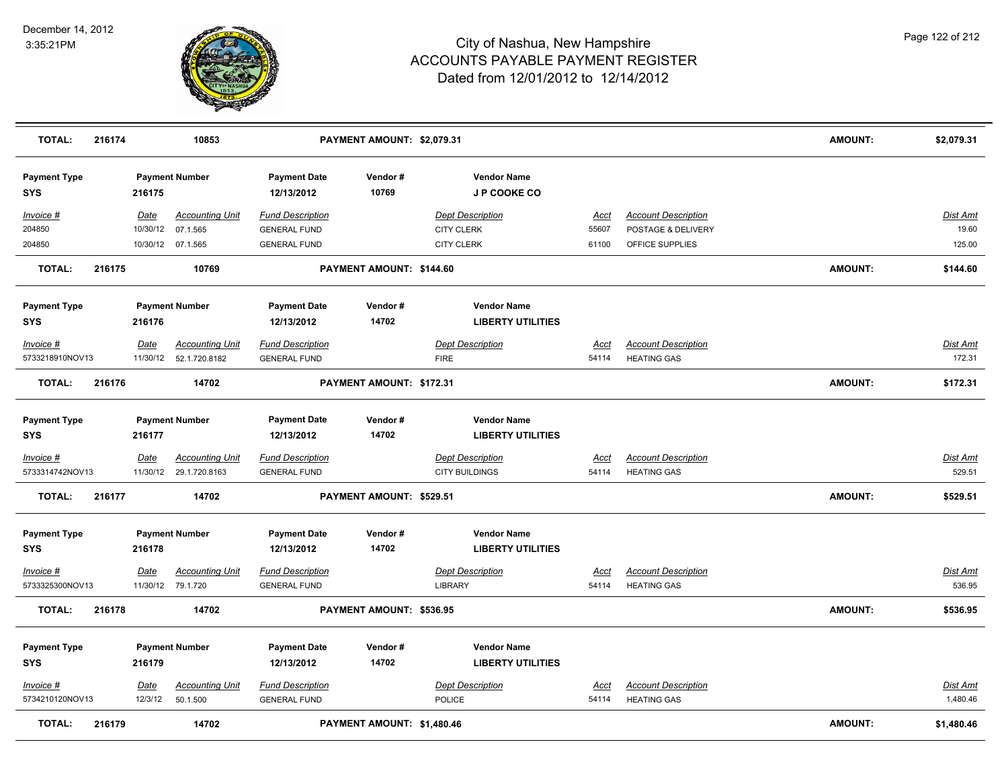

| <b>TOTAL:</b>                       | 216174 |                         | 10853                                       |                                                | PAYMENT AMOUNT: \$2,079.31 |                                                  |                                                |                      |                                                  | <b>AMOUNT:</b> | \$2,079.31                |
|-------------------------------------|--------|-------------------------|---------------------------------------------|------------------------------------------------|----------------------------|--------------------------------------------------|------------------------------------------------|----------------------|--------------------------------------------------|----------------|---------------------------|
| <b>Payment Type</b><br>SYS          |        | 216175                  | <b>Payment Number</b>                       | <b>Payment Date</b><br>12/13/2012              | Vendor#<br>10769           |                                                  | <b>Vendor Name</b><br>J P COOKE CO             |                      |                                                  |                |                           |
| Invoice #                           |        | <u>Date</u>             | <b>Accounting Unit</b>                      | <b>Fund Description</b>                        |                            | <b>Dept Description</b>                          |                                                | <u>Acct</u>          | <b>Account Description</b>                       |                | <b>Dist Amt</b>           |
| 204850<br>204850                    |        | 10/30/12                | 07.1.565<br>10/30/12 07.1.565               | <b>GENERAL FUND</b><br><b>GENERAL FUND</b>     |                            | <b>CITY CLERK</b><br><b>CITY CLERK</b>           |                                                | 55607<br>61100       | POSTAGE & DELIVERY<br>OFFICE SUPPLIES            |                | 19.60<br>125.00           |
| <b>TOTAL:</b>                       | 216175 |                         | 10769                                       |                                                | PAYMENT AMOUNT: \$144.60   |                                                  |                                                |                      |                                                  | <b>AMOUNT:</b> | \$144.60                  |
| <b>Payment Type</b>                 |        |                         | <b>Payment Number</b>                       | <b>Payment Date</b>                            | Vendor#                    |                                                  | <b>Vendor Name</b>                             |                      |                                                  |                |                           |
| <b>SYS</b>                          |        | 216176                  |                                             | 12/13/2012                                     | 14702                      |                                                  | <b>LIBERTY UTILITIES</b>                       |                      |                                                  |                |                           |
| Invoice #<br>5733218910NOV13        |        | Date<br>11/30/12        | <b>Accounting Unit</b><br>52.1.720.8182     | <b>Fund Description</b><br><b>GENERAL FUND</b> |                            | <b>Dept Description</b><br><b>FIRE</b>           |                                                | Acct<br>54114        | <b>Account Description</b><br><b>HEATING GAS</b> |                | <b>Dist Amt</b><br>172.31 |
| <b>TOTAL:</b>                       | 216176 |                         | 14702                                       |                                                | PAYMENT AMOUNT: \$172.31   |                                                  |                                                |                      |                                                  | <b>AMOUNT:</b> | \$172.31                  |
| <b>Payment Type</b>                 |        |                         | <b>Payment Number</b>                       | <b>Payment Date</b>                            | Vendor#                    |                                                  | <b>Vendor Name</b>                             |                      |                                                  |                |                           |
| SYS                                 |        | 216177                  |                                             | 12/13/2012                                     | 14702                      |                                                  | <b>LIBERTY UTILITIES</b>                       |                      |                                                  |                |                           |
| <u>Invoice #</u><br>5733314742NOV13 |        | <b>Date</b><br>11/30/12 | <b>Accounting Unit</b><br>29.1.720.8163     | <b>Fund Description</b><br><b>GENERAL FUND</b> |                            | <b>Dept Description</b><br><b>CITY BUILDINGS</b> |                                                | <u>Acct</u><br>54114 | <b>Account Description</b><br><b>HEATING GAS</b> |                | <u>Dist Amt</u><br>529.51 |
| TOTAL:                              | 216177 |                         | 14702                                       |                                                | PAYMENT AMOUNT: \$529.51   |                                                  |                                                |                      |                                                  | <b>AMOUNT:</b> | \$529.51                  |
| <b>Payment Type</b><br><b>SYS</b>   |        | 216178                  | <b>Payment Number</b>                       | <b>Payment Date</b><br>12/13/2012              | Vendor#<br>14702           |                                                  | <b>Vendor Name</b><br><b>LIBERTY UTILITIES</b> |                      |                                                  |                |                           |
| <u>Invoice #</u><br>5733325300NOV13 |        | <u>Date</u>             | <b>Accounting Unit</b><br>11/30/12 79.1.720 | <b>Fund Description</b><br><b>GENERAL FUND</b> |                            | <b>Dept Description</b><br><b>LIBRARY</b>        |                                                | <u>Acct</u><br>54114 | <b>Account Description</b><br><b>HEATING GAS</b> |                | <b>Dist Amt</b><br>536.95 |
| <b>TOTAL:</b>                       | 216178 |                         | 14702                                       |                                                | PAYMENT AMOUNT: \$536.95   |                                                  |                                                |                      |                                                  | <b>AMOUNT:</b> | \$536.95                  |
| <b>Payment Type</b><br><b>SYS</b>   |        | 216179                  | <b>Payment Number</b>                       | <b>Payment Date</b><br>12/13/2012              | Vendor#<br>14702           |                                                  | <b>Vendor Name</b><br><b>LIBERTY UTILITIES</b> |                      |                                                  |                |                           |
| Invoice #<br>5734210120NOV13        |        | Date<br>12/3/12         | <b>Accounting Unit</b><br>50.1.500          | <b>Fund Description</b><br><b>GENERAL FUND</b> |                            | <b>Dept Description</b><br>POLICE                |                                                | Acct<br>54114        | <b>Account Description</b><br><b>HEATING GAS</b> |                | Dist Amt<br>1,480.46      |
| TOTAL:                              | 216179 |                         | 14702                                       |                                                | PAYMENT AMOUNT: \$1,480.46 |                                                  |                                                |                      |                                                  | <b>AMOUNT:</b> | \$1,480.46                |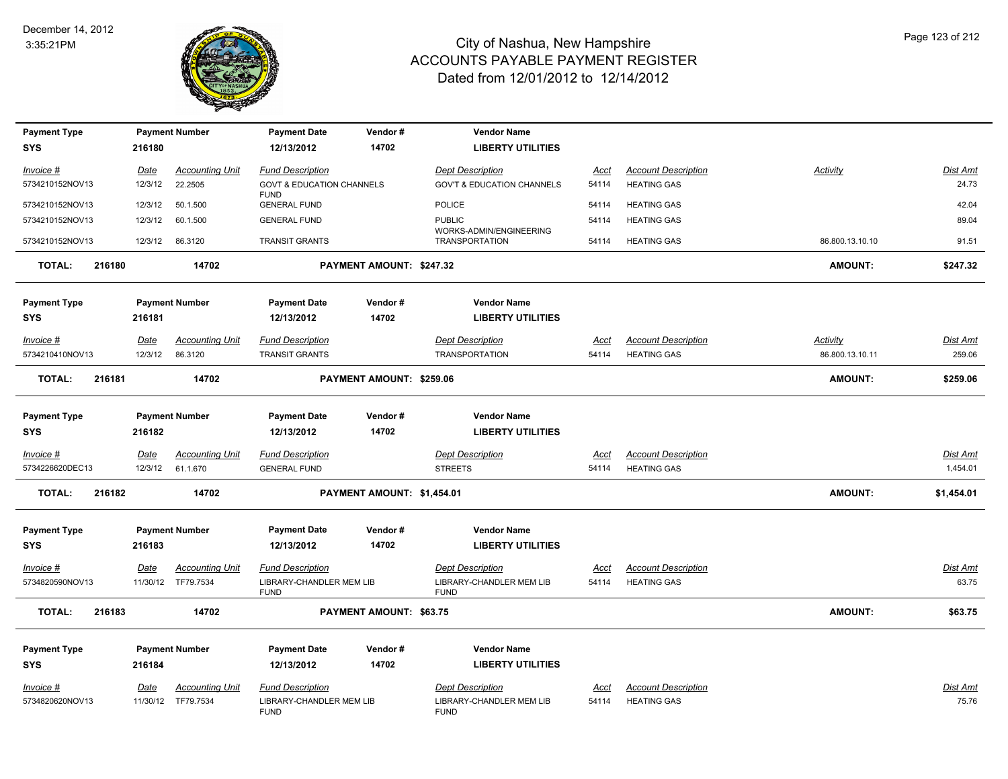

| <b>Payment Type</b> |        |             | <b>Payment Number</b>  | <b>Payment Date</b>                                 | Vendor#                    | <b>Vendor Name</b>                               |             |                            |                 |                 |
|---------------------|--------|-------------|------------------------|-----------------------------------------------------|----------------------------|--------------------------------------------------|-------------|----------------------------|-----------------|-----------------|
| <b>SYS</b>          |        | 216180      |                        | 12/13/2012                                          | 14702                      | <b>LIBERTY UTILITIES</b>                         |             |                            |                 |                 |
| Invoice #           |        | Date        | <b>Accounting Unit</b> | <b>Fund Description</b>                             |                            | <b>Dept Description</b>                          | Acct        | <b>Account Description</b> | Activity        | Dist Amt        |
| 5734210152NOV13     |        | 12/3/12     | 22.2505                | <b>GOVT &amp; EDUCATION CHANNELS</b><br><b>FUND</b> |                            | <b>GOV'T &amp; EDUCATION CHANNELS</b>            | 54114       | <b>HEATING GAS</b>         |                 | 24.73           |
| 5734210152NOV13     |        | 12/3/12     | 50.1.500               | <b>GENERAL FUND</b>                                 |                            | POLICE                                           | 54114       | <b>HEATING GAS</b>         |                 | 42.04           |
| 5734210152NOV13     |        | 12/3/12     | 60.1.500               | <b>GENERAL FUND</b>                                 |                            | <b>PUBLIC</b>                                    | 54114       | <b>HEATING GAS</b>         |                 | 89.04           |
| 5734210152NOV13     |        | 12/3/12     | 86.3120                | <b>TRANSIT GRANTS</b>                               |                            | WORKS-ADMIN/ENGINEERING<br><b>TRANSPORTATION</b> | 54114       | <b>HEATING GAS</b>         | 86.800.13.10.10 | 91.51           |
| TOTAL:              | 216180 |             | 14702                  |                                                     | PAYMENT AMOUNT: \$247.32   |                                                  |             |                            | <b>AMOUNT:</b>  | \$247.32        |
| <b>Payment Type</b> |        |             | <b>Payment Number</b>  | <b>Payment Date</b>                                 | Vendor#                    | <b>Vendor Name</b>                               |             |                            |                 |                 |
| <b>SYS</b>          |        | 216181      |                        | 12/13/2012                                          | 14702                      | <b>LIBERTY UTILITIES</b>                         |             |                            |                 |                 |
| Invoice #           |        | Date        | <b>Accounting Unit</b> | <b>Fund Description</b>                             |                            | <b>Dept Description</b>                          | <u>Acct</u> | <b>Account Description</b> | <b>Activity</b> | Dist Amt        |
| 5734210410NOV13     |        | 12/3/12     | 86.3120                | <b>TRANSIT GRANTS</b>                               |                            | <b>TRANSPORTATION</b>                            | 54114       | <b>HEATING GAS</b>         | 86.800.13.10.11 | 259.06          |
| <b>TOTAL:</b>       | 216181 |             | 14702                  |                                                     | PAYMENT AMOUNT: \$259.06   |                                                  |             |                            | <b>AMOUNT:</b>  | \$259.06        |
| <b>Payment Type</b> |        |             | <b>Payment Number</b>  | <b>Payment Date</b>                                 | Vendor#                    | <b>Vendor Name</b>                               |             |                            |                 |                 |
| <b>SYS</b>          |        | 216182      |                        | 12/13/2012                                          | 14702                      | <b>LIBERTY UTILITIES</b>                         |             |                            |                 |                 |
| Invoice #           |        | <b>Date</b> | <b>Accounting Unit</b> | <b>Fund Description</b>                             |                            | <b>Dept Description</b>                          | <u>Acct</u> | <b>Account Description</b> |                 | <b>Dist Amt</b> |
| 5734226620DEC13     |        | 12/3/12     | 61.1.670               | <b>GENERAL FUND</b>                                 |                            | <b>STREETS</b>                                   | 54114       | <b>HEATING GAS</b>         |                 | 1,454.01        |
| <b>TOTAL:</b>       | 216182 |             | 14702                  |                                                     | PAYMENT AMOUNT: \$1,454.01 |                                                  |             |                            | <b>AMOUNT:</b>  | \$1,454.01      |
| <b>Payment Type</b> |        |             | <b>Payment Number</b>  | <b>Payment Date</b>                                 | Vendor#                    | <b>Vendor Name</b>                               |             |                            |                 |                 |
| <b>SYS</b>          |        | 216183      |                        | 12/13/2012                                          | 14702                      | <b>LIBERTY UTILITIES</b>                         |             |                            |                 |                 |
| <b>Invoice #</b>    |        | Date        | Accounting Unit        | <b>Fund Description</b>                             |                            | <b>Dept Description</b>                          | <u>Acct</u> | <b>Account Description</b> |                 | <b>Dist Amt</b> |
| 5734820590NOV13     |        |             | 11/30/12 TF79.7534     | LIBRARY-CHANDLER MEM LIB<br><b>FUND</b>             |                            | LIBRARY-CHANDLER MEM LIB<br><b>FUND</b>          | 54114       | <b>HEATING GAS</b>         |                 | 63.75           |
| <b>TOTAL:</b>       | 216183 |             | 14702                  |                                                     | PAYMENT AMOUNT: \$63.75    |                                                  |             |                            | <b>AMOUNT:</b>  | \$63.75         |
| <b>Payment Type</b> |        |             | <b>Payment Number</b>  | <b>Payment Date</b>                                 | Vendor#                    | <b>Vendor Name</b>                               |             |                            |                 |                 |
| <b>SYS</b>          |        | 216184      |                        | 12/13/2012                                          | 14702                      | <b>LIBERTY UTILITIES</b>                         |             |                            |                 |                 |
| Invoice #           |        | Date        | <b>Accounting Unit</b> | <b>Fund Description</b>                             |                            | <b>Dept Description</b>                          | Acct        | <b>Account Description</b> |                 | <b>Dist Amt</b> |
| 5734820620NOV13     |        |             | 11/30/12 TF79.7534     | LIBRARY-CHANDLER MEM LIB<br><b>FUND</b>             |                            | LIBRARY-CHANDLER MEM LIB<br><b>FUND</b>          | 54114       | <b>HEATING GAS</b>         |                 | 75.76           |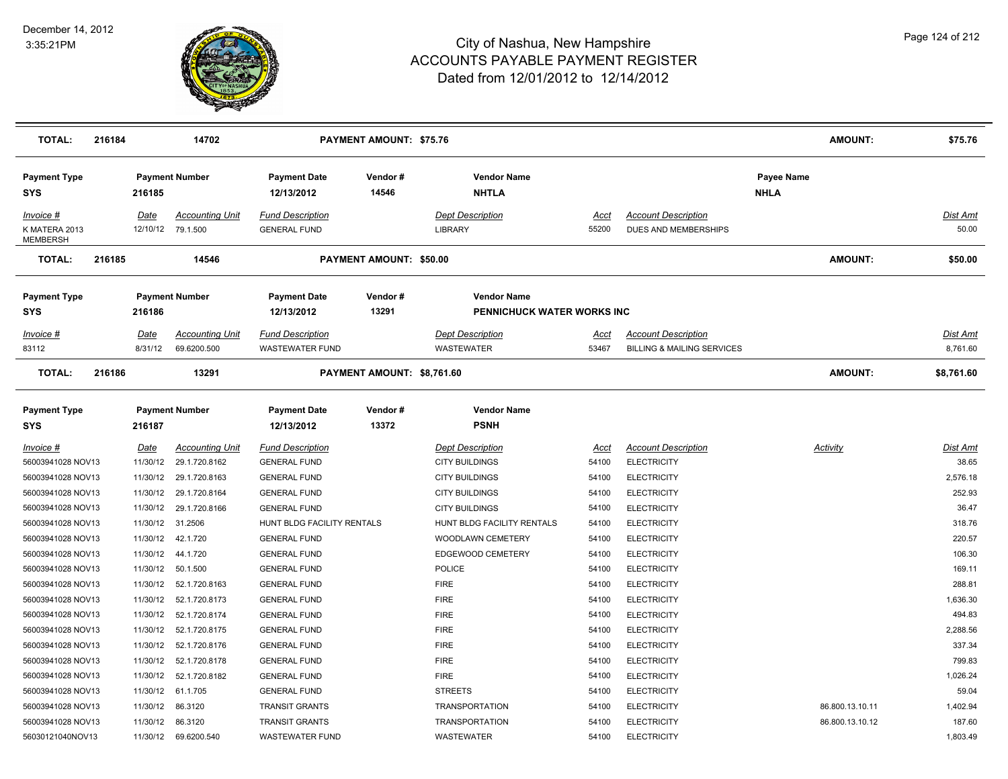

| <b>TOTAL:</b>                                              | 216184 |                              | 14702                                                    |                                                                          | <b>PAYMENT AMOUNT: \$75.76</b> |                                                                           |                         |                                                                        | <b>AMOUNT:</b>                     | \$75.76                        |
|------------------------------------------------------------|--------|------------------------------|----------------------------------------------------------|--------------------------------------------------------------------------|--------------------------------|---------------------------------------------------------------------------|-------------------------|------------------------------------------------------------------------|------------------------------------|--------------------------------|
| <b>Payment Type</b><br><b>SYS</b>                          |        | 216185                       | <b>Payment Number</b>                                    | <b>Payment Date</b><br>12/13/2012                                        | Vendor#<br>14546               | <b>Vendor Name</b><br><b>NHTLA</b>                                        |                         |                                                                        | Payee Name<br><b>NHLA</b>          |                                |
| Invoice #<br>K MATERA 2013<br><b>MEMBERSH</b>              |        | Date<br>12/10/12             | <b>Accounting Unit</b><br>79.1.500                       | <b>Fund Description</b><br><b>GENERAL FUND</b>                           |                                | <b>Dept Description</b><br><b>LIBRARY</b>                                 | Acct<br>55200           | <b>Account Description</b><br>DUES AND MEMBERSHIPS                     |                                    | Dist Amt<br>50.00              |
| <b>TOTAL:</b>                                              | 216185 |                              | 14546                                                    |                                                                          | PAYMENT AMOUNT: \$50.00        |                                                                           |                         |                                                                        | <b>AMOUNT:</b>                     | \$50.00                        |
| <b>Payment Type</b><br><b>SYS</b>                          |        | 216186                       | <b>Payment Number</b>                                    | <b>Payment Date</b><br>12/13/2012                                        | Vendor#<br>13291               | <b>Vendor Name</b><br>PENNICHUCK WATER WORKS INC                          |                         |                                                                        |                                    |                                |
| $Invoice$ #<br>83112                                       |        | <u>Date</u><br>8/31/12       | <u>Accounting Unit</u><br>69.6200.500                    | <b>Fund Description</b><br><b>WASTEWATER FUND</b>                        |                                | <b>Dept Description</b><br><b>WASTEWATER</b>                              | <u>Acct</u><br>53467    | <b>Account Description</b><br><b>BILLING &amp; MAILING SERVICES</b>    |                                    | <u>Dist Amt</u><br>8,761.60    |
| <b>TOTAL:</b>                                              | 216186 |                              | 13291                                                    |                                                                          | PAYMENT AMOUNT: \$8,761.60     |                                                                           |                         |                                                                        | <b>AMOUNT:</b>                     | \$8,761.60                     |
| <b>Payment Type</b><br><b>SYS</b>                          |        | 216187                       | <b>Payment Number</b>                                    | <b>Payment Date</b><br>12/13/2012                                        | Vendor#<br>13372               | <b>Vendor Name</b><br><b>PSNH</b>                                         |                         |                                                                        |                                    |                                |
| Invoice #<br>56003941028 NOV13<br>56003941028 NOV13        |        | Date<br>11/30/12<br>11/30/12 | <b>Accounting Unit</b><br>29.1.720.8162<br>29.1.720.8163 | <b>Fund Description</b><br><b>GENERAL FUND</b><br><b>GENERAL FUND</b>    |                                | <b>Dept Description</b><br><b>CITY BUILDINGS</b><br><b>CITY BUILDINGS</b> | Acct<br>54100<br>54100  | <b>Account Description</b><br><b>ELECTRICITY</b><br><b>ELECTRICITY</b> | Activity                           | Dist Amt<br>38.65<br>2,576.18  |
| 56003941028 NOV13<br>56003941028 NOV13                     |        | 11/30/12<br>11/30/12         | 29.1.720.8164<br>29.1.720.8166                           | <b>GENERAL FUND</b><br><b>GENERAL FUND</b>                               |                                | <b>CITY BUILDINGS</b><br><b>CITY BUILDINGS</b>                            | 54100<br>54100          | <b>ELECTRICITY</b><br><b>ELECTRICITY</b>                               |                                    | 252.93<br>36.47                |
| 56003941028 NOV13<br>56003941028 NOV13                     |        | 11/30/12 31.2506<br>11/30/12 | 42.1.720                                                 | HUNT BLDG FACILITY RENTALS<br><b>GENERAL FUND</b>                        |                                | HUNT BLDG FACILITY RENTALS<br>WOODLAWN CEMETERY                           | 54100<br>54100          | <b>ELECTRICITY</b><br><b>ELECTRICITY</b>                               |                                    | 318.76<br>220.57               |
| 56003941028 NOV13<br>56003941028 NOV13                     |        | 11/30/12<br>11/30/12         | 44.1.720<br>50.1.500                                     | <b>GENERAL FUND</b><br><b>GENERAL FUND</b>                               |                                | EDGEWOOD CEMETERY<br><b>POLICE</b>                                        | 54100<br>54100          | <b>ELECTRICITY</b><br><b>ELECTRICITY</b>                               |                                    | 106.30<br>169.11               |
| 56003941028 NOV13<br>56003941028 NOV13                     |        | 11/30/12<br>11/30/12         | 52.1.720.8163<br>52.1.720.8173                           | <b>GENERAL FUND</b><br><b>GENERAL FUND</b>                               |                                | <b>FIRE</b><br><b>FIRE</b>                                                | 54100<br>54100          | <b>ELECTRICITY</b><br><b>ELECTRICITY</b>                               |                                    | 288.81<br>1,636.30             |
| 56003941028 NOV13<br>56003941028 NOV13                     |        | 11/30/12<br>11/30/12         | 52.1.720.8174<br>52.1.720.8175                           | <b>GENERAL FUND</b><br><b>GENERAL FUND</b>                               |                                | <b>FIRE</b><br><b>FIRE</b>                                                | 54100<br>54100          | <b>ELECTRICITY</b><br><b>ELECTRICITY</b>                               |                                    | 494.83<br>2,288.56             |
| 56003941028 NOV13<br>56003941028 NOV13                     |        | 11/30/12                     | 52.1.720.8176<br>11/30/12  52.1.720.8178                 | <b>GENERAL FUND</b><br><b>GENERAL FUND</b>                               |                                | <b>FIRE</b><br><b>FIRE</b>                                                | 54100<br>54100          | <b>ELECTRICITY</b><br><b>ELECTRICITY</b>                               |                                    | 337.34<br>799.83               |
| 56003941028 NOV13<br>56003941028 NOV13                     |        | 11/30/12<br>11/30/12         | 52.1.720.8182<br>61.1.705                                | <b>GENERAL FUND</b><br><b>GENERAL FUND</b>                               |                                | <b>FIRE</b><br><b>STREETS</b>                                             | 54100<br>54100          | <b>ELECTRICITY</b><br><b>ELECTRICITY</b>                               |                                    | 1,026.24<br>59.04              |
| 56003941028 NOV13<br>56003941028 NOV13<br>56030121040NOV13 |        | 11/30/12<br>11/30/12 86.3120 | 86.3120<br>11/30/12 69.6200.540                          | <b>TRANSIT GRANTS</b><br><b>TRANSIT GRANTS</b><br><b>WASTEWATER FUND</b> |                                | <b>TRANSPORTATION</b><br><b>TRANSPORTATION</b><br><b>WASTEWATER</b>       | 54100<br>54100<br>54100 | <b>ELECTRICITY</b><br><b>ELECTRICITY</b><br><b>ELECTRICITY</b>         | 86.800.13.10.11<br>86.800.13.10.12 | 1,402.94<br>187.60<br>1,803.49 |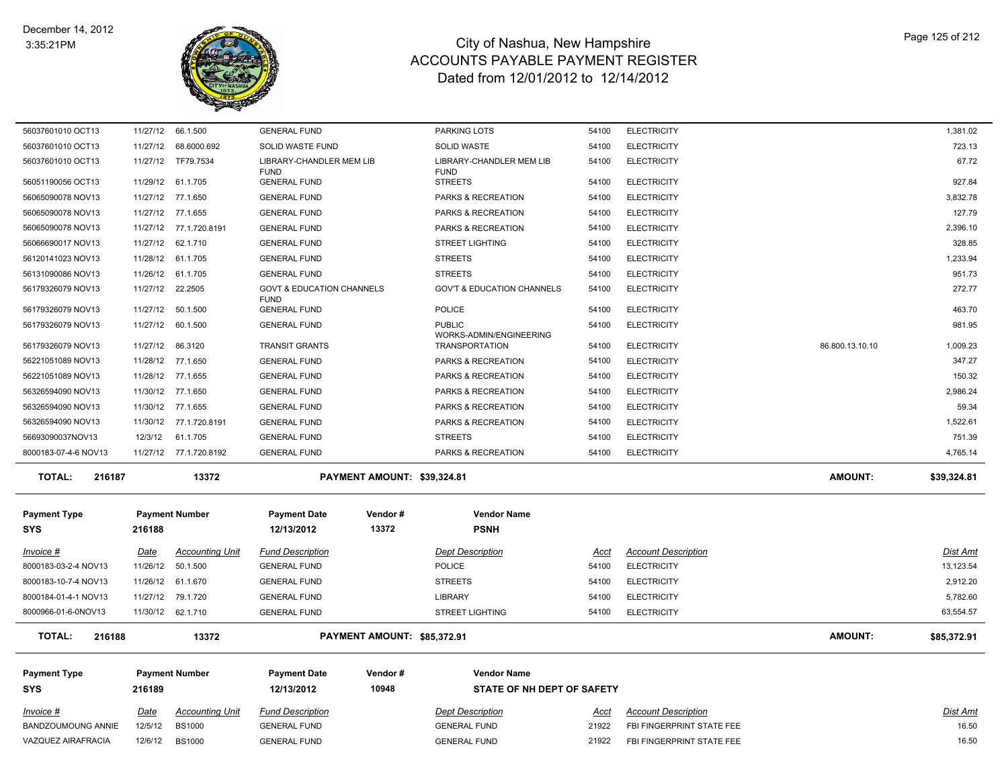

| 56037601010 OCT13         | 11/27/12    | 66.1.500               | <b>GENERAL FUND</b>                                 |                             | <b>PARKING LOTS</b>                              | 54100       | <b>ELECTRICITY</b>         |                 | 1,381.02        |
|---------------------------|-------------|------------------------|-----------------------------------------------------|-----------------------------|--------------------------------------------------|-------------|----------------------------|-----------------|-----------------|
| 56037601010 OCT13         | 11/27/12    | 68.6000.692            | SOLID WASTE FUND                                    |                             | <b>SOLID WASTE</b>                               | 54100       | <b>ELECTRICITY</b>         |                 | 723.13          |
| 56037601010 OCT13         |             | 11/27/12 TF79.7534     | LIBRARY-CHANDLER MEM LIB<br><b>FUND</b>             |                             | LIBRARY-CHANDLER MEM LIB<br><b>FUND</b>          | 54100       | <b>ELECTRICITY</b>         |                 | 67.72           |
| 56051190056 OCT13         | 11/29/12    | 61.1.705               | <b>GENERAL FUND</b>                                 |                             | <b>STREETS</b>                                   | 54100       | <b>ELECTRICITY</b>         |                 | 927.84          |
| 56065090078 NOV13         |             | 11/27/12 77.1.650      | <b>GENERAL FUND</b>                                 |                             | PARKS & RECREATION                               | 54100       | <b>ELECTRICITY</b>         |                 | 3,832.78        |
| 56065090078 NOV13         |             | 11/27/12 77.1.655      | <b>GENERAL FUND</b>                                 |                             | PARKS & RECREATION                               | 54100       | <b>ELECTRICITY</b>         |                 | 127.79          |
| 56065090078 NOV13         |             | 11/27/12 77.1.720.8191 | <b>GENERAL FUND</b>                                 |                             | PARKS & RECREATION                               | 54100       | <b>ELECTRICITY</b>         |                 | 2,396.10        |
| 56066690017 NOV13         | 11/27/12    | 62.1.710               | <b>GENERAL FUND</b>                                 |                             | <b>STREET LIGHTING</b>                           | 54100       | <b>ELECTRICITY</b>         |                 | 328.85          |
| 56120141023 NOV13         | 11/28/12    | 61.1.705               | <b>GENERAL FUND</b>                                 |                             | <b>STREETS</b>                                   | 54100       | <b>ELECTRICITY</b>         |                 | 1,233.94        |
| 56131090086 NOV13         | 11/26/12    | 61.1.705               | <b>GENERAL FUND</b>                                 |                             | <b>STREETS</b>                                   | 54100       | <b>ELECTRICITY</b>         |                 | 951.73          |
| 56179326079 NOV13         |             | 11/27/12 22.2505       | <b>GOVT &amp; EDUCATION CHANNELS</b><br><b>FUND</b> |                             | <b>GOV'T &amp; EDUCATION CHANNELS</b>            | 54100       | <b>ELECTRICITY</b>         |                 | 272.77          |
| 56179326079 NOV13         |             | 11/27/12 50.1.500      | <b>GENERAL FUND</b>                                 |                             | <b>POLICE</b>                                    | 54100       | <b>ELECTRICITY</b>         |                 | 463.70          |
| 56179326079 NOV13         | 11/27/12    | 60.1.500               | <b>GENERAL FUND</b>                                 |                             | <b>PUBLIC</b>                                    | 54100       | <b>ELECTRICITY</b>         |                 | 981.95          |
| 56179326079 NOV13         | 11/27/12    | 86.3120                | <b>TRANSIT GRANTS</b>                               |                             | WORKS-ADMIN/ENGINEERING<br><b>TRANSPORTATION</b> | 54100       | <b>ELECTRICITY</b>         | 86.800.13.10.10 | 1,009.23        |
| 56221051089 NOV13         |             | 11/28/12 77.1.650      | <b>GENERAL FUND</b>                                 |                             | PARKS & RECREATION                               | 54100       | <b>ELECTRICITY</b>         |                 | 347.27          |
| 56221051089 NOV13         |             | 11/28/12 77.1.655      | <b>GENERAL FUND</b>                                 |                             | PARKS & RECREATION                               | 54100       | <b>ELECTRICITY</b>         |                 | 150.32          |
| 56326594090 NOV13         | 11/30/12    | 77.1.650               | <b>GENERAL FUND</b>                                 |                             | <b>PARKS &amp; RECREATION</b>                    | 54100       | <b>ELECTRICITY</b>         |                 | 2.986.24        |
| 56326594090 NOV13         |             | 11/30/12 77.1.655      | <b>GENERAL FUND</b>                                 |                             | PARKS & RECREATION                               | 54100       | <b>ELECTRICITY</b>         |                 | 59.34           |
| 56326594090 NOV13         |             | 11/30/12 77.1.720.8191 | <b>GENERAL FUND</b>                                 |                             | PARKS & RECREATION                               | 54100       | <b>ELECTRICITY</b>         |                 | 1,522.61        |
|                           |             |                        |                                                     |                             |                                                  |             |                            |                 |                 |
| 56693090037NOV13          | 12/3/12     | 61.1.705               | <b>GENERAL FUND</b>                                 |                             | <b>STREETS</b>                                   | 54100       | <b>ELECTRICITY</b>         |                 | 751.39          |
| 8000183-07-4-6 NOV13      |             | 11/27/12 77.1.720.8192 | <b>GENERAL FUND</b>                                 |                             | PARKS & RECREATION                               | 54100       | <b>ELECTRICITY</b>         |                 | 4,765.14        |
| <b>TOTAL:</b><br>216187   |             | 13372                  |                                                     | PAYMENT AMOUNT: \$39,324.81 |                                                  |             |                            | <b>AMOUNT:</b>  | \$39,324.81     |
|                           |             |                        |                                                     |                             |                                                  |             |                            |                 |                 |
| <b>Payment Type</b>       |             | <b>Payment Number</b>  | <b>Payment Date</b>                                 | Vendor#                     | <b>Vendor Name</b>                               |             |                            |                 |                 |
| <b>SYS</b>                | 216188      |                        | 12/13/2012                                          | 13372                       | <b>PSNH</b>                                      |             |                            |                 |                 |
| Invoice #                 | <u>Date</u> | <b>Accounting Unit</b> | <b>Fund Description</b>                             |                             | <b>Dept Description</b>                          | Acct        | <b>Account Description</b> |                 | <b>Dist Amt</b> |
| 8000183-03-2-4 NOV13      | 11/26/12    | 50.1.500               | <b>GENERAL FUND</b>                                 |                             | <b>POLICE</b>                                    | 54100       | <b>ELECTRICITY</b>         |                 | 13,123.54       |
| 8000183-10-7-4 NOV13      | 11/26/12    | 61.1.670               | <b>GENERAL FUND</b>                                 |                             | <b>STREETS</b>                                   | 54100       | <b>ELECTRICITY</b>         |                 | 2,912.20        |
| 8000184-01-4-1 NOV13      | 11/27/12    | 79.1.720               | <b>GENERAL FUND</b>                                 |                             | <b>LIBRARY</b>                                   | 54100       | <b>ELECTRICITY</b>         |                 | 5,782.60        |
| 8000966-01-6-0NOV13       | 11/30/12    | 62.1.710               | <b>GENERAL FUND</b>                                 |                             | <b>STREET LIGHTING</b>                           | 54100       | <b>ELECTRICITY</b>         |                 | 63,554.57       |
| <b>TOTAL:</b><br>216188   |             | 13372                  |                                                     | PAYMENT AMOUNT: \$85,372.91 |                                                  |             |                            | <b>AMOUNT:</b>  | \$85,372.91     |
|                           |             |                        |                                                     |                             |                                                  |             |                            |                 |                 |
| <b>Payment Type</b>       |             | <b>Payment Number</b>  | <b>Payment Date</b>                                 | Vendor#                     | <b>Vendor Name</b>                               |             |                            |                 |                 |
| <b>SYS</b>                | 216189      |                        | 12/13/2012                                          | 10948                       | STATE OF NH DEPT OF SAFETY                       |             |                            |                 |                 |
| $Invoice$ #               | <b>Date</b> | <u>Accounting Unit</u> | <b>Fund Description</b>                             |                             | <b>Dept Description</b>                          | <u>Acct</u> | <b>Account Description</b> |                 | <b>Dist Amt</b> |
| <b>BANDZOUMOUNG ANNIE</b> | 12/5/12     | <b>BS1000</b>          | <b>GENERAL FUND</b>                                 |                             | <b>GENERAL FUND</b>                              | 21922       | FBI FINGERPRINT STATE FEE  |                 | 16.50           |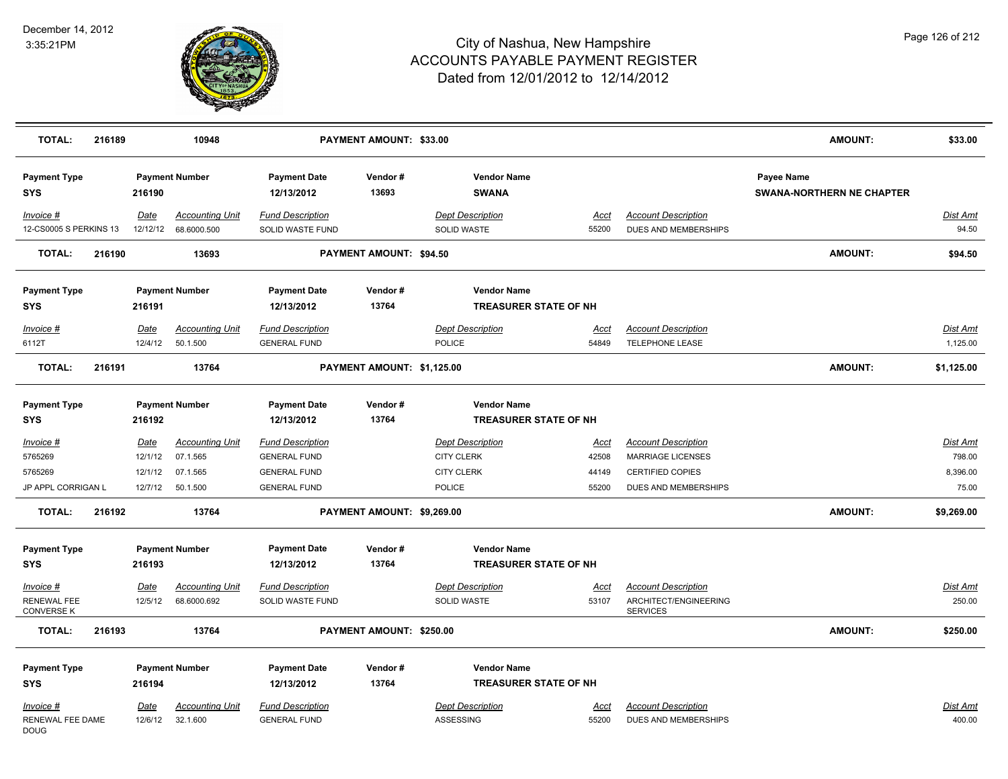

| <b>TOTAL:</b>                                 | 216189 |                            | 10948                                          |                                                                       | <b>PAYMENT AMOUNT: \$33.00</b> |                                                                   |                               |                                                                            | <b>AMOUNT:</b>                                 | \$33.00                               |
|-----------------------------------------------|--------|----------------------------|------------------------------------------------|-----------------------------------------------------------------------|--------------------------------|-------------------------------------------------------------------|-------------------------------|----------------------------------------------------------------------------|------------------------------------------------|---------------------------------------|
| <b>Payment Type</b><br><b>SYS</b>             |        | 216190                     | <b>Payment Number</b>                          | <b>Payment Date</b><br>12/13/2012                                     | Vendor#<br>13693               | <b>Vendor Name</b><br><b>SWANA</b>                                |                               |                                                                            | Payee Name<br><b>SWANA-NORTHERN NE CHAPTER</b> |                                       |
| Invoice #<br>12-CS0005 S PERKINS 13           |        | Date<br>12/12/12           | <b>Accounting Unit</b><br>68.6000.500          | <b>Fund Description</b><br>SOLID WASTE FUND                           |                                | <b>Dept Description</b><br>SOLID WASTE                            | Acct<br>55200                 | <b>Account Description</b><br>DUES AND MEMBERSHIPS                         |                                                | Dist Amt<br>94.50                     |
| <b>TOTAL:</b>                                 | 216190 |                            | 13693                                          |                                                                       | <b>PAYMENT AMOUNT: \$94.50</b> |                                                                   |                               |                                                                            | <b>AMOUNT:</b>                                 | \$94.50                               |
| <b>Payment Type</b><br><b>SYS</b>             |        | 216191                     | <b>Payment Number</b>                          | <b>Payment Date</b><br>12/13/2012                                     | Vendor#<br>13764               | <b>Vendor Name</b>                                                | <b>TREASURER STATE OF NH</b>  |                                                                            |                                                |                                       |
| Invoice #                                     |        | Date                       | <b>Accounting Unit</b>                         | <b>Fund Description</b>                                               |                                | <b>Dept Description</b>                                           | Acct                          | <b>Account Description</b>                                                 |                                                | Dist Amt                              |
| 6112T                                         |        | 12/4/12                    | 50.1.500                                       | <b>GENERAL FUND</b>                                                   |                                | POLICE                                                            | 54849                         | TELEPHONE LEASE                                                            |                                                | 1,125.00                              |
| <b>TOTAL:</b>                                 | 216191 |                            | 13764                                          |                                                                       | PAYMENT AMOUNT: \$1,125.00     |                                                                   |                               |                                                                            | <b>AMOUNT:</b>                                 | \$1,125.00                            |
| <b>Payment Type</b><br><b>SYS</b>             |        | 216192                     | <b>Payment Number</b>                          | <b>Payment Date</b><br>12/13/2012                                     | Vendor#<br>13764               | <b>Vendor Name</b>                                                | <b>TREASURER STATE OF NH</b>  |                                                                            |                                                |                                       |
| Invoice #<br>5765269<br>5765269               |        | Date<br>12/1/12<br>12/1/12 | <b>Accounting Unit</b><br>07.1.565<br>07.1.565 | <b>Fund Description</b><br><b>GENERAL FUND</b><br><b>GENERAL FUND</b> |                                | <b>Dept Description</b><br><b>CITY CLERK</b><br><b>CITY CLERK</b> | <u>Acct</u><br>42508<br>44149 | <b>Account Description</b><br><b>MARRIAGE LICENSES</b><br>CERTIFIED COPIES |                                                | <b>Dist Amt</b><br>798.00<br>8,396.00 |
| JP APPL CORRIGAN L                            |        |                            | 12/7/12  50.1.500                              | <b>GENERAL FUND</b>                                                   |                                | <b>POLICE</b>                                                     | 55200                         | DUES AND MEMBERSHIPS                                                       |                                                | 75.00                                 |
| <b>TOTAL:</b>                                 | 216192 |                            | 13764                                          |                                                                       | PAYMENT AMOUNT: \$9,269.00     |                                                                   |                               |                                                                            | <b>AMOUNT:</b>                                 | \$9,269.00                            |
| <b>Payment Type</b><br>SYS                    |        | 216193                     | <b>Payment Number</b>                          | <b>Payment Date</b><br>12/13/2012                                     | Vendor#<br>13764               | <b>Vendor Name</b>                                                | <b>TREASURER STATE OF NH</b>  |                                                                            |                                                |                                       |
| Invoice #<br>RENEWAL FEE<br><b>CONVERSE K</b> |        | Date<br>12/5/12            | <b>Accounting Unit</b><br>68.6000.692          | <b>Fund Description</b><br>SOLID WASTE FUND                           |                                | <b>Dept Description</b><br>SOLID WASTE                            | <u>Acct</u><br>53107          | <b>Account Description</b><br>ARCHITECT/ENGINEERING<br><b>SERVICES</b>     |                                                | <u>Dist Amt</u><br>250.00             |
| <b>TOTAL:</b>                                 | 216193 |                            | 13764                                          |                                                                       | PAYMENT AMOUNT: \$250.00       |                                                                   |                               |                                                                            | <b>AMOUNT:</b>                                 | \$250.00                              |
| <b>Payment Type</b><br><b>SYS</b>             |        | 216194                     | <b>Payment Number</b>                          | <b>Payment Date</b><br>12/13/2012                                     | Vendor#<br>13764               | <b>Vendor Name</b>                                                | <b>TREASURER STATE OF NH</b>  |                                                                            |                                                |                                       |
| Invoice #<br>RENEWAL FEE DAME<br><b>DOUG</b>  |        | Date<br>12/6/12            | <b>Accounting Unit</b><br>32.1.600             | <b>Fund Description</b><br><b>GENERAL FUND</b>                        |                                | <b>Dept Description</b><br>ASSESSING                              | Acct<br>55200                 | <b>Account Description</b><br>DUES AND MEMBERSHIPS                         |                                                | Dist Amt<br>400.00                    |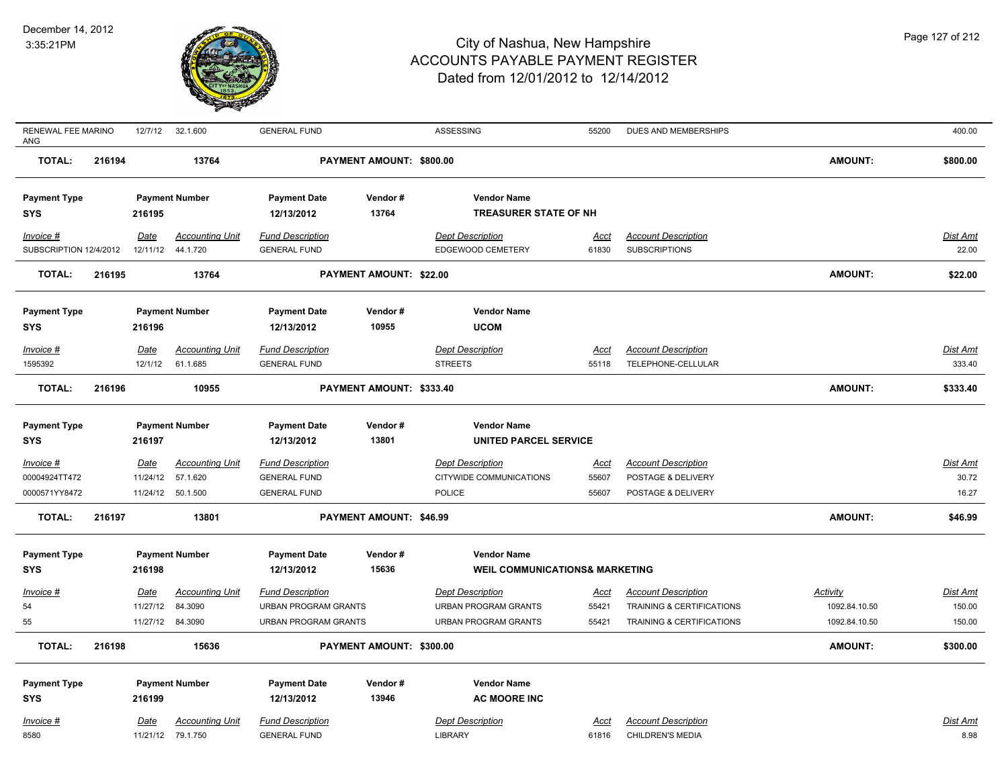

| RENEWAL FEE MARINO<br>ANG |        | 12/7/12     | 32.1.600               | <b>GENERAL FUND</b>         |                                | ASSESSING                                 | 55200       | DUES AND MEMBERSHIPS       |                 | 400.00          |
|---------------------------|--------|-------------|------------------------|-----------------------------|--------------------------------|-------------------------------------------|-------------|----------------------------|-----------------|-----------------|
| <b>TOTAL:</b>             | 216194 |             | 13764                  |                             | PAYMENT AMOUNT: \$800.00       |                                           |             |                            | <b>AMOUNT:</b>  | \$800.00        |
| <b>Payment Type</b>       |        |             | <b>Payment Number</b>  | <b>Payment Date</b>         | Vendor#                        | <b>Vendor Name</b>                        |             |                            |                 |                 |
| <b>SYS</b>                |        | 216195      |                        | 12/13/2012                  | 13764                          | <b>TREASURER STATE OF NH</b>              |             |                            |                 |                 |
| Invoice #                 |        | Date        | <b>Accounting Unit</b> | <b>Fund Description</b>     |                                | <b>Dept Description</b>                   | Acct        | <b>Account Description</b> |                 | Dist Amt        |
| SUBSCRIPTION 12/4/2012    |        | 12/11/12    | 44.1.720               | <b>GENERAL FUND</b>         |                                | <b>EDGEWOOD CEMETERY</b>                  | 61830       | <b>SUBSCRIPTIONS</b>       |                 | 22.00           |
| <b>TOTAL:</b>             | 216195 |             | 13764                  |                             | PAYMENT AMOUNT: \$22.00        |                                           |             |                            | <b>AMOUNT:</b>  | \$22.00         |
| <b>Payment Type</b>       |        |             | <b>Payment Number</b>  | <b>Payment Date</b>         | Vendor#                        | <b>Vendor Name</b>                        |             |                            |                 |                 |
| <b>SYS</b>                |        | 216196      |                        | 12/13/2012                  | 10955                          | <b>UCOM</b>                               |             |                            |                 |                 |
| Invoice #                 |        | <b>Date</b> | <b>Accounting Unit</b> | <b>Fund Description</b>     |                                | <b>Dept Description</b>                   | <u>Acct</u> | <b>Account Description</b> |                 | <b>Dist Amt</b> |
| 1595392                   |        | 12/1/12     | 61.1.685               | <b>GENERAL FUND</b>         |                                | <b>STREETS</b>                            | 55118       | TELEPHONE-CELLULAR         |                 | 333.40          |
| <b>TOTAL:</b>             | 216196 |             | 10955                  |                             | PAYMENT AMOUNT: \$333.40       |                                           |             |                            | <b>AMOUNT:</b>  | \$333.40        |
|                           |        |             |                        |                             |                                |                                           |             |                            |                 |                 |
| <b>Payment Type</b>       |        |             | <b>Payment Number</b>  | <b>Payment Date</b>         | Vendor#                        | <b>Vendor Name</b>                        |             |                            |                 |                 |
| <b>SYS</b>                |        | 216197      |                        | 12/13/2012                  | 13801                          | <b>UNITED PARCEL SERVICE</b>              |             |                            |                 |                 |
| Invoice #                 |        | Date        | <b>Accounting Unit</b> | <b>Fund Description</b>     |                                | <b>Dept Description</b>                   | Acct        | <b>Account Description</b> |                 | Dist Amt        |
| 00004924TT472             |        | 11/24/12    | 57.1.620               | <b>GENERAL FUND</b>         |                                | CITYWIDE COMMUNICATIONS                   | 55607       | POSTAGE & DELIVERY         |                 | 30.72           |
| 0000571YY8472             |        |             | 11/24/12  50.1.500     | <b>GENERAL FUND</b>         |                                | POLICE                                    | 55607       | POSTAGE & DELIVERY         |                 | 16.27           |
| <b>TOTAL:</b>             | 216197 |             | 13801                  |                             | <b>PAYMENT AMOUNT: \$46.99</b> |                                           |             |                            | <b>AMOUNT:</b>  | \$46.99         |
| <b>Payment Type</b>       |        |             | <b>Payment Number</b>  | <b>Payment Date</b>         | Vendor#                        | <b>Vendor Name</b>                        |             |                            |                 |                 |
| <b>SYS</b>                |        | 216198      |                        | 12/13/2012                  | 15636                          | <b>WEIL COMMUNICATIONS&amp; MARKETING</b> |             |                            |                 |                 |
| $Invoice$ #               |        | Date        | <b>Accounting Unit</b> | <b>Fund Description</b>     |                                | <b>Dept Description</b>                   | <u>Acct</u> | <b>Account Description</b> | <b>Activity</b> | Dist Amt        |
| 54                        |        | 11/27/12    | 84.3090                | <b>URBAN PROGRAM GRANTS</b> |                                | <b>URBAN PROGRAM GRANTS</b>               | 55421       | TRAINING & CERTIFICATIONS  | 1092.84.10.50   | 150.00          |
| 55                        |        |             | 11/27/12 84.3090       | <b>URBAN PROGRAM GRANTS</b> |                                | URBAN PROGRAM GRANTS                      | 55421       | TRAINING & CERTIFICATIONS  | 1092.84.10.50   | 150.00          |
| <b>TOTAL:</b>             | 216198 |             | 15636                  |                             | PAYMENT AMOUNT: \$300.00       |                                           |             |                            | <b>AMOUNT:</b>  | \$300.00        |
| <b>Payment Type</b>       |        |             | <b>Payment Number</b>  | <b>Payment Date</b>         | Vendor#                        | <b>Vendor Name</b>                        |             |                            |                 |                 |
| <b>SYS</b>                |        | 216199      |                        | 12/13/2012                  | 13946                          | <b>AC MOORE INC</b>                       |             |                            |                 |                 |
| Invoice #                 |        | Date        | <b>Accounting Unit</b> | <b>Fund Description</b>     |                                | <b>Dept Description</b>                   | Acct        | <b>Account Description</b> |                 | Dist Amt        |
| 8580                      |        |             | 11/21/12 79.1.750      | <b>GENERAL FUND</b>         |                                | <b>LIBRARY</b>                            | 61816       | CHILDREN'S MEDIA           |                 | 8.98            |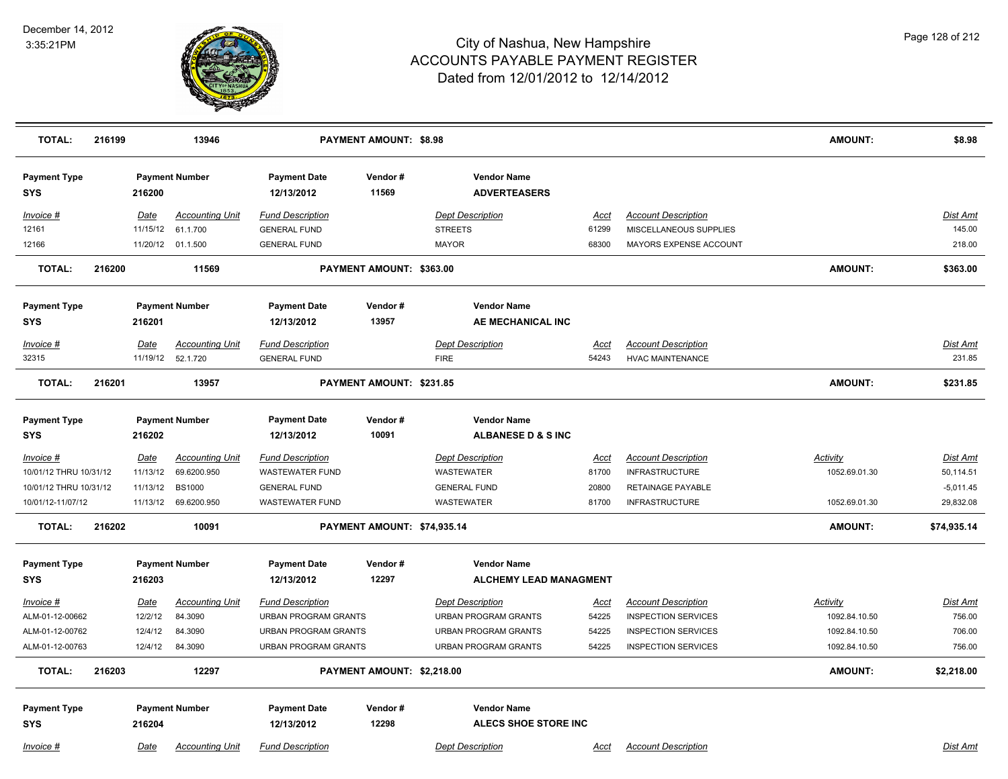

| <b>TOTAL:</b>                     | 216199 |          | 13946                  |                                   | <b>PAYMENT AMOUNT: \$8.98</b> |                                           |             |                            | <b>AMOUNT:</b>  | \$8.98          |
|-----------------------------------|--------|----------|------------------------|-----------------------------------|-------------------------------|-------------------------------------------|-------------|----------------------------|-----------------|-----------------|
| <b>Payment Type</b><br><b>SYS</b> |        | 216200   | <b>Payment Number</b>  | <b>Payment Date</b><br>12/13/2012 | Vendor#<br>11569              | <b>Vendor Name</b><br><b>ADVERTEASERS</b> |             |                            |                 |                 |
| Invoice #                         |        | Date     | <b>Accounting Unit</b> | <b>Fund Description</b>           |                               | <b>Dept Description</b>                   | Acct        | <b>Account Description</b> |                 | Dist Amt        |
| 12161                             |        | 11/15/12 | 61.1.700               | <b>GENERAL FUND</b>               |                               | <b>STREETS</b>                            | 61299       | MISCELLANEOUS SUPPLIES     |                 | 145.00          |
| 12166                             |        |          | 11/20/12 01.1.500      | <b>GENERAL FUND</b>               |                               | <b>MAYOR</b>                              | 68300       | MAYORS EXPENSE ACCOUNT     |                 | 218.00          |
| <b>TOTAL:</b>                     | 216200 |          | 11569                  |                                   | PAYMENT AMOUNT: \$363.00      |                                           |             |                            | <b>AMOUNT:</b>  | \$363.00        |
| <b>Payment Type</b>               |        |          | <b>Payment Number</b>  | <b>Payment Date</b>               | Vendor#                       | <b>Vendor Name</b>                        |             |                            |                 |                 |
| <b>SYS</b>                        |        | 216201   |                        | 12/13/2012                        | 13957                         | AE MECHANICAL INC                         |             |                            |                 |                 |
| Invoice #                         |        | Date     | <b>Accounting Unit</b> | <b>Fund Description</b>           |                               | <b>Dept Description</b>                   | Acct        | <b>Account Description</b> |                 | Dist Amt        |
| 32315                             |        | 11/19/12 | 52.1.720               | <b>GENERAL FUND</b>               |                               | <b>FIRE</b>                               | 54243       | <b>HVAC MAINTENANCE</b>    |                 | 231.85          |
| <b>TOTAL:</b>                     | 216201 |          | 13957                  |                                   | PAYMENT AMOUNT: \$231.85      |                                           |             |                            | <b>AMOUNT:</b>  | \$231.85        |
| <b>Payment Type</b>               |        |          | <b>Payment Number</b>  | <b>Payment Date</b>               | Vendor#                       | <b>Vendor Name</b>                        |             |                            |                 |                 |
| <b>SYS</b>                        |        | 216202   |                        | 12/13/2012                        | 10091                         | <b>ALBANESE D &amp; S INC</b>             |             |                            |                 |                 |
| Invoice #                         |        | Date     | <b>Accounting Unit</b> | <b>Fund Description</b>           |                               | <b>Dept Description</b>                   | <u>Acct</u> | <b>Account Description</b> | <b>Activity</b> | Dist Amt        |
| 10/01/12 THRU 10/31/12            |        | 11/13/12 | 69.6200.950            | <b>WASTEWATER FUND</b>            |                               | WASTEWATER                                | 81700       | <b>INFRASTRUCTURE</b>      | 1052.69.01.30   | 50,114.51       |
| 10/01/12 THRU 10/31/12            |        | 11/13/12 | <b>BS1000</b>          | <b>GENERAL FUND</b>               |                               | <b>GENERAL FUND</b>                       | 20800       | RETAINAGE PAYABLE          |                 | $-5,011.45$     |
| 10/01/12-11/07/12                 |        |          | 11/13/12 69.6200.950   | <b>WASTEWATER FUND</b>            |                               | WASTEWATER                                | 81700       | <b>INFRASTRUCTURE</b>      | 1052.69.01.30   | 29,832.08       |
| <b>TOTAL:</b>                     | 216202 |          | 10091                  |                                   | PAYMENT AMOUNT: \$74,935.14   |                                           |             |                            | <b>AMOUNT:</b>  | \$74,935.14     |
| <b>Payment Type</b>               |        |          | <b>Payment Number</b>  | <b>Payment Date</b>               | Vendor#                       | <b>Vendor Name</b>                        |             |                            |                 |                 |
| <b>SYS</b>                        |        | 216203   |                        | 12/13/2012                        | 12297                         | <b>ALCHEMY LEAD MANAGMENT</b>             |             |                            |                 |                 |
| Invoice #                         |        | Date     | <b>Accounting Unit</b> | <b>Fund Description</b>           |                               | <b>Dept Description</b>                   | <u>Acct</u> | <b>Account Description</b> | <b>Activity</b> | <b>Dist Amt</b> |
| ALM-01-12-00662                   |        | 12/2/12  | 84.3090                | <b>URBAN PROGRAM GRANTS</b>       |                               | <b>URBAN PROGRAM GRANTS</b>               | 54225       | <b>INSPECTION SERVICES</b> | 1092.84.10.50   | 756.00          |
| ALM-01-12-00762                   |        | 12/4/12  | 84.3090                | <b>URBAN PROGRAM GRANTS</b>       |                               | <b>URBAN PROGRAM GRANTS</b>               | 54225       | <b>INSPECTION SERVICES</b> | 1092.84.10.50   | 706.00          |
| ALM-01-12-00763                   |        | 12/4/12  | 84.3090                | <b>URBAN PROGRAM GRANTS</b>       |                               | <b>URBAN PROGRAM GRANTS</b>               | 54225       | <b>INSPECTION SERVICES</b> | 1092.84.10.50   | 756.00          |
| <b>TOTAL:</b>                     | 216203 |          | 12297                  |                                   | PAYMENT AMOUNT: \$2,218.00    |                                           |             |                            | <b>AMOUNT:</b>  | \$2,218.00      |
| <b>Payment Type</b>               |        |          | <b>Payment Number</b>  | <b>Payment Date</b>               | Vendor#                       | <b>Vendor Name</b>                        |             |                            |                 |                 |
| <b>SYS</b>                        |        | 216204   |                        | 12/13/2012                        | 12298                         | <b>ALECS SHOE STORE INC</b>               |             |                            |                 |                 |
| Invoice #                         |        | Date     | <b>Accounting Unit</b> | <b>Fund Description</b>           |                               | <b>Dept Description</b>                   | Acct        | <b>Account Description</b> |                 | Dist Amt        |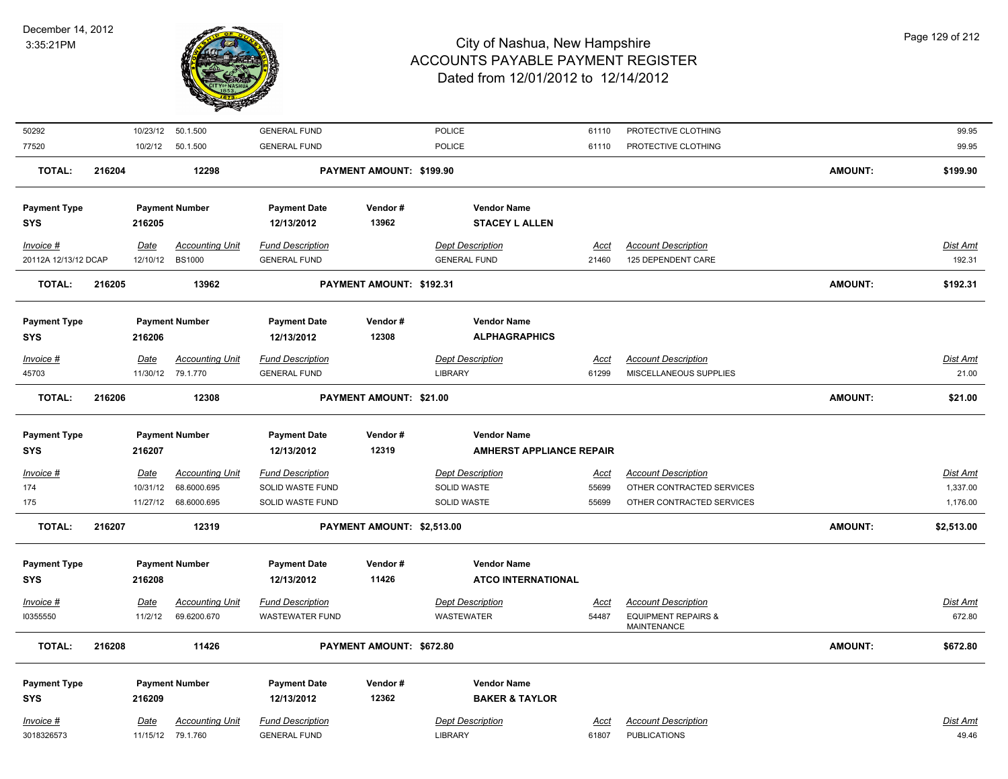

| 50292                |        |          | 10/23/12  50.1.500     | <b>GENERAL FUND</b>     |                            | <b>POLICE</b>                   | 61110       | PROTECTIVE CLOTHING                                  |                | 99.95           |
|----------------------|--------|----------|------------------------|-------------------------|----------------------------|---------------------------------|-------------|------------------------------------------------------|----------------|-----------------|
| 77520                |        |          | 10/2/12  50.1.500      | <b>GENERAL FUND</b>     |                            | POLICE                          | 61110       | PROTECTIVE CLOTHING                                  |                | 99.95           |
| <b>TOTAL:</b>        | 216204 |          | 12298                  |                         | PAYMENT AMOUNT: \$199.90   |                                 |             |                                                      | <b>AMOUNT:</b> | \$199.90        |
|                      |        |          |                        |                         |                            |                                 |             |                                                      |                |                 |
| <b>Payment Type</b>  |        |          | <b>Payment Number</b>  | <b>Payment Date</b>     | Vendor#                    | <b>Vendor Name</b>              |             |                                                      |                |                 |
| <b>SYS</b>           |        | 216205   |                        | 12/13/2012              | 13962                      | <b>STACEY L ALLEN</b>           |             |                                                      |                |                 |
| Invoice #            |        | Date     | <b>Accounting Unit</b> | <b>Fund Description</b> |                            | <b>Dept Description</b>         | <u>Acct</u> | <b>Account Description</b>                           |                | <u>Dist Amt</u> |
| 20112A 12/13/12 DCAP |        | 12/10/12 | <b>BS1000</b>          | <b>GENERAL FUND</b>     |                            | <b>GENERAL FUND</b>             | 21460       | 125 DEPENDENT CARE                                   |                | 192.31          |
| <b>TOTAL:</b>        | 216205 |          | 13962                  |                         | PAYMENT AMOUNT: \$192.31   |                                 |             |                                                      | <b>AMOUNT:</b> | \$192.31        |
| <b>Payment Type</b>  |        |          | <b>Payment Number</b>  | <b>Payment Date</b>     | Vendor#                    | <b>Vendor Name</b>              |             |                                                      |                |                 |
| <b>SYS</b>           |        | 216206   |                        | 12/13/2012              | 12308                      | <b>ALPHAGRAPHICS</b>            |             |                                                      |                |                 |
| Invoice #            |        | Date     | <b>Accounting Unit</b> | <b>Fund Description</b> |                            | <b>Dept Description</b>         | <b>Acct</b> | <b>Account Description</b>                           |                | Dist Amt        |
| 45703                |        |          | 11/30/12 79.1.770      | <b>GENERAL FUND</b>     |                            | <b>LIBRARY</b>                  | 61299       | MISCELLANEOUS SUPPLIES                               |                | 21.00           |
| <b>TOTAL:</b>        | 216206 |          | 12308                  |                         | PAYMENT AMOUNT: \$21.00    |                                 |             |                                                      | <b>AMOUNT:</b> | \$21.00         |
|                      |        |          |                        |                         |                            |                                 |             |                                                      |                |                 |
| <b>Payment Type</b>  |        |          | <b>Payment Number</b>  | <b>Payment Date</b>     | Vendor#                    | <b>Vendor Name</b>              |             |                                                      |                |                 |
| <b>SYS</b>           |        | 216207   |                        | 12/13/2012              | 12319                      | <b>AMHERST APPLIANCE REPAIR</b> |             |                                                      |                |                 |
| $Invoice$ #          |        | Date     | <b>Accounting Unit</b> | <b>Fund Description</b> |                            | <b>Dept Description</b>         | <u>Acct</u> | <b>Account Description</b>                           |                | <u>Dist Ami</u> |
| 174                  |        | 10/31/12 | 68.6000.695            | SOLID WASTE FUND        |                            | SOLID WASTE                     | 55699       | OTHER CONTRACTED SERVICES                            |                | 1,337.00        |
| 175                  |        | 11/27/12 | 68.6000.695            | SOLID WASTE FUND        |                            | SOLID WASTE                     | 55699       | OTHER CONTRACTED SERVICES                            |                | 1,176.00        |
| <b>TOTAL:</b>        | 216207 |          | 12319                  |                         | PAYMENT AMOUNT: \$2,513.00 |                                 |             |                                                      | <b>AMOUNT:</b> | \$2,513.00      |
|                      |        |          |                        |                         |                            |                                 |             |                                                      |                |                 |
| <b>Payment Type</b>  |        |          | <b>Payment Number</b>  | <b>Payment Date</b>     | Vendor#<br>11426           | <b>Vendor Name</b>              |             |                                                      |                |                 |
| <b>SYS</b>           |        | 216208   |                        | 12/13/2012              |                            | <b>ATCO INTERNATIONAL</b>       |             |                                                      |                |                 |
| Invoice #            |        | Date     | <b>Accounting Unit</b> | <b>Fund Description</b> |                            | <b>Dept Description</b>         | <b>Acct</b> | <b>Account Description</b>                           |                | Dist Amt        |
| 10355550             |        | 11/2/12  | 69.6200.670            | <b>WASTEWATER FUND</b>  |                            | WASTEWATER                      | 54487       | <b>EQUIPMENT REPAIRS &amp;</b><br><b>MAINTENANCE</b> |                | 672.80          |
| <b>TOTAL:</b>        | 216208 |          | 11426                  |                         | PAYMENT AMOUNT: \$672.80   |                                 |             |                                                      | <b>AMOUNT:</b> | \$672.80        |
|                      |        |          |                        |                         |                            |                                 |             |                                                      |                |                 |
| <b>Payment Type</b>  |        |          | <b>Payment Number</b>  | <b>Payment Date</b>     | Vendor#<br>12362           | <b>Vendor Name</b>              |             |                                                      |                |                 |
| <b>SYS</b>           |        | 216209   |                        | 12/13/2012              |                            | <b>BAKER &amp; TAYLOR</b>       |             |                                                      |                |                 |
| Invoice #            |        | Date     | <b>Accounting Unit</b> | <b>Fund Description</b> |                            | <b>Dept Description</b>         | <u>Acct</u> | <b>Account Description</b>                           |                | Dist Amt        |
| 3018326573           |        |          | 11/15/12 79.1.760      | <b>GENERAL FUND</b>     |                            | LIBRARY                         | 61807       | <b>PUBLICATIONS</b>                                  |                | 49.46           |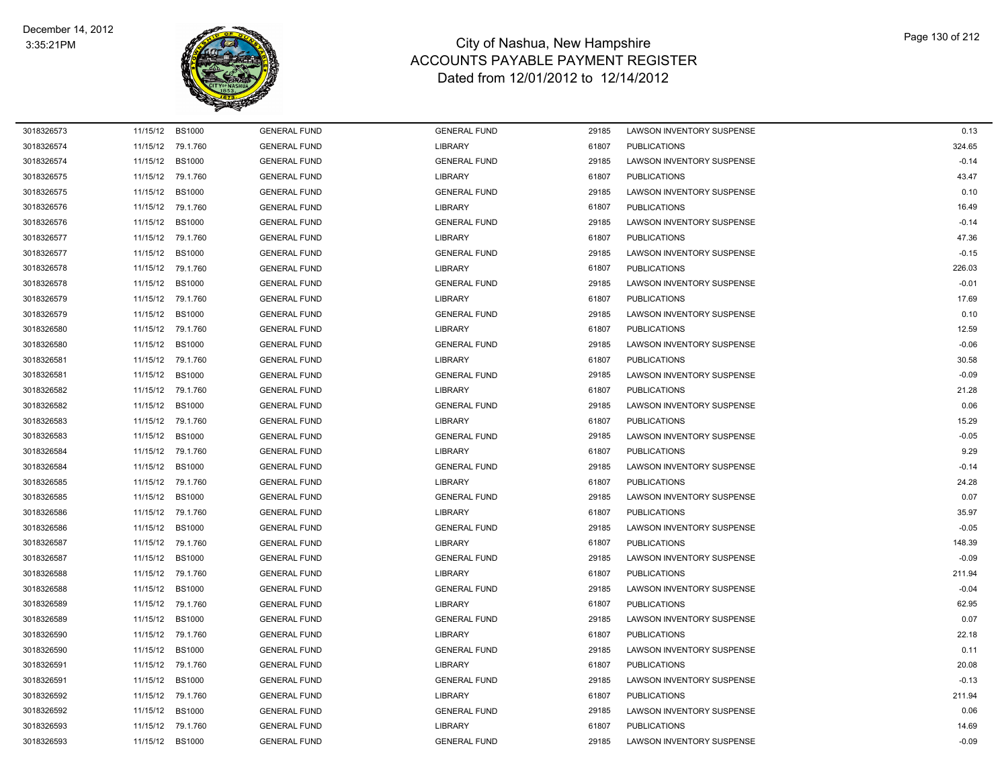

| 3018326573 | 11/15/12 | <b>BS1000</b> | <b>GENERAL FUND</b> | <b>GENERAL FUND</b> | 29185 | LAWSON INVENTORY SUSPENSE        | 0.13    |
|------------|----------|---------------|---------------------|---------------------|-------|----------------------------------|---------|
| 3018326574 | 11/15/12 | 79.1.760      | <b>GENERAL FUND</b> | <b>LIBRARY</b>      | 61807 | <b>PUBLICATIONS</b>              | 324.65  |
| 3018326574 | 11/15/12 | <b>BS1000</b> | <b>GENERAL FUND</b> | <b>GENERAL FUND</b> | 29185 | LAWSON INVENTORY SUSPENSE        | $-0.14$ |
| 3018326575 | 11/15/12 | 79.1.760      | <b>GENERAL FUND</b> | <b>LIBRARY</b>      | 61807 | <b>PUBLICATIONS</b>              | 43.47   |
| 3018326575 | 11/15/12 | <b>BS1000</b> | <b>GENERAL FUND</b> | <b>GENERAL FUND</b> | 29185 | <b>LAWSON INVENTORY SUSPENSE</b> | 0.10    |
| 3018326576 | 11/15/12 | 79.1.760      | <b>GENERAL FUND</b> | <b>LIBRARY</b>      | 61807 | <b>PUBLICATIONS</b>              | 16.49   |
| 3018326576 | 11/15/12 | <b>BS1000</b> | <b>GENERAL FUND</b> | <b>GENERAL FUND</b> | 29185 | LAWSON INVENTORY SUSPENSE        | $-0.14$ |
| 3018326577 | 11/15/12 | 79.1.760      | <b>GENERAL FUND</b> | <b>LIBRARY</b>      | 61807 | <b>PUBLICATIONS</b>              | 47.36   |
| 3018326577 | 11/15/12 | <b>BS1000</b> | <b>GENERAL FUND</b> | <b>GENERAL FUND</b> | 29185 | LAWSON INVENTORY SUSPENSE        | $-0.15$ |
| 3018326578 | 11/15/12 | 79.1.760      | <b>GENERAL FUND</b> | <b>LIBRARY</b>      | 61807 | <b>PUBLICATIONS</b>              | 226.03  |
| 3018326578 | 11/15/12 | <b>BS1000</b> | <b>GENERAL FUND</b> | <b>GENERAL FUND</b> | 29185 | LAWSON INVENTORY SUSPENSE        | $-0.01$ |
| 3018326579 | 11/15/12 | 79.1.760      | <b>GENERAL FUND</b> | <b>LIBRARY</b>      | 61807 | <b>PUBLICATIONS</b>              | 17.69   |
| 3018326579 | 11/15/12 | <b>BS1000</b> | <b>GENERAL FUND</b> | <b>GENERAL FUND</b> | 29185 | LAWSON INVENTORY SUSPENSE        | 0.10    |
| 3018326580 | 11/15/12 | 79.1.760      | <b>GENERAL FUND</b> | <b>LIBRARY</b>      | 61807 | <b>PUBLICATIONS</b>              | 12.59   |
| 3018326580 | 11/15/12 | <b>BS1000</b> | <b>GENERAL FUND</b> | <b>GENERAL FUND</b> | 29185 | LAWSON INVENTORY SUSPENSE        | $-0.06$ |
| 3018326581 | 11/15/12 | 79.1.760      | <b>GENERAL FUND</b> | <b>LIBRARY</b>      | 61807 | <b>PUBLICATIONS</b>              | 30.58   |
| 3018326581 | 11/15/12 | <b>BS1000</b> | <b>GENERAL FUND</b> | <b>GENERAL FUND</b> | 29185 | <b>LAWSON INVENTORY SUSPENSE</b> | $-0.09$ |
| 3018326582 | 11/15/12 | 79.1.760      | <b>GENERAL FUND</b> | <b>LIBRARY</b>      | 61807 | <b>PUBLICATIONS</b>              | 21.28   |
| 3018326582 | 11/15/12 | <b>BS1000</b> | <b>GENERAL FUND</b> | <b>GENERAL FUND</b> | 29185 | <b>LAWSON INVENTORY SUSPENSE</b> | 0.06    |
| 3018326583 | 11/15/12 | 79.1.760      | <b>GENERAL FUND</b> | <b>LIBRARY</b>      | 61807 | <b>PUBLICATIONS</b>              | 15.29   |
| 3018326583 | 11/15/12 | <b>BS1000</b> | <b>GENERAL FUND</b> | <b>GENERAL FUND</b> | 29185 | LAWSON INVENTORY SUSPENSE        | $-0.05$ |
| 3018326584 | 11/15/12 | 79.1.760      | <b>GENERAL FUND</b> | <b>LIBRARY</b>      | 61807 | <b>PUBLICATIONS</b>              | 9.29    |
| 3018326584 | 11/15/12 | <b>BS1000</b> | <b>GENERAL FUND</b> | <b>GENERAL FUND</b> | 29185 | LAWSON INVENTORY SUSPENSE        | $-0.14$ |
| 3018326585 | 11/15/12 | 79.1.760      | <b>GENERAL FUND</b> | <b>LIBRARY</b>      | 61807 | <b>PUBLICATIONS</b>              | 24.28   |
| 3018326585 | 11/15/12 | <b>BS1000</b> | <b>GENERAL FUND</b> | <b>GENERAL FUND</b> | 29185 | LAWSON INVENTORY SUSPENSE        | 0.07    |
| 3018326586 | 11/15/12 | 79.1.760      | <b>GENERAL FUND</b> | <b>LIBRARY</b>      | 61807 | <b>PUBLICATIONS</b>              | 35.97   |
| 3018326586 | 11/15/12 | <b>BS1000</b> | <b>GENERAL FUND</b> | <b>GENERAL FUND</b> | 29185 | LAWSON INVENTORY SUSPENSE        | $-0.05$ |
| 3018326587 | 11/15/12 | 79.1.760      | <b>GENERAL FUND</b> | <b>LIBRARY</b>      | 61807 | <b>PUBLICATIONS</b>              | 148.39  |
| 3018326587 | 11/15/12 | <b>BS1000</b> | <b>GENERAL FUND</b> | <b>GENERAL FUND</b> | 29185 | LAWSON INVENTORY SUSPENSE        | $-0.09$ |
| 3018326588 | 11/15/12 | 79.1.760      | <b>GENERAL FUND</b> | <b>LIBRARY</b>      | 61807 | <b>PUBLICATIONS</b>              | 211.94  |
| 3018326588 | 11/15/12 | <b>BS1000</b> | <b>GENERAL FUND</b> | <b>GENERAL FUND</b> | 29185 | LAWSON INVENTORY SUSPENSE        | $-0.04$ |
| 3018326589 | 11/15/12 | 79.1.760      | <b>GENERAL FUND</b> | <b>LIBRARY</b>      | 61807 | <b>PUBLICATIONS</b>              | 62.95   |
| 3018326589 | 11/15/12 | <b>BS1000</b> | <b>GENERAL FUND</b> | <b>GENERAL FUND</b> | 29185 | LAWSON INVENTORY SUSPENSE        | 0.07    |
| 3018326590 | 11/15/12 | 79.1.760      | <b>GENERAL FUND</b> | <b>LIBRARY</b>      | 61807 | <b>PUBLICATIONS</b>              | 22.18   |
| 3018326590 | 11/15/12 | <b>BS1000</b> | <b>GENERAL FUND</b> | <b>GENERAL FUND</b> | 29185 | LAWSON INVENTORY SUSPENSE        | 0.11    |
| 3018326591 | 11/15/12 | 79.1.760      | <b>GENERAL FUND</b> | <b>LIBRARY</b>      | 61807 | <b>PUBLICATIONS</b>              | 20.08   |
| 3018326591 | 11/15/12 | <b>BS1000</b> | <b>GENERAL FUND</b> | <b>GENERAL FUND</b> | 29185 | <b>LAWSON INVENTORY SUSPENSE</b> | $-0.13$ |
| 3018326592 | 11/15/12 | 79.1.760      | <b>GENERAL FUND</b> | <b>LIBRARY</b>      | 61807 | <b>PUBLICATIONS</b>              | 211.94  |
| 3018326592 | 11/15/12 | <b>BS1000</b> | <b>GENERAL FUND</b> | <b>GENERAL FUND</b> | 29185 | LAWSON INVENTORY SUSPENSE        | 0.06    |
| 3018326593 | 11/15/12 | 79.1.760      | <b>GENERAL FUND</b> | <b>LIBRARY</b>      | 61807 | <b>PUBLICATIONS</b>              | 14.69   |
| 3018326593 | 11/15/12 | <b>BS1000</b> | <b>GENERAL FUND</b> | <b>GENERAL FUND</b> | 29185 | LAWSON INVENTORY SUSPENSE        | $-0.09$ |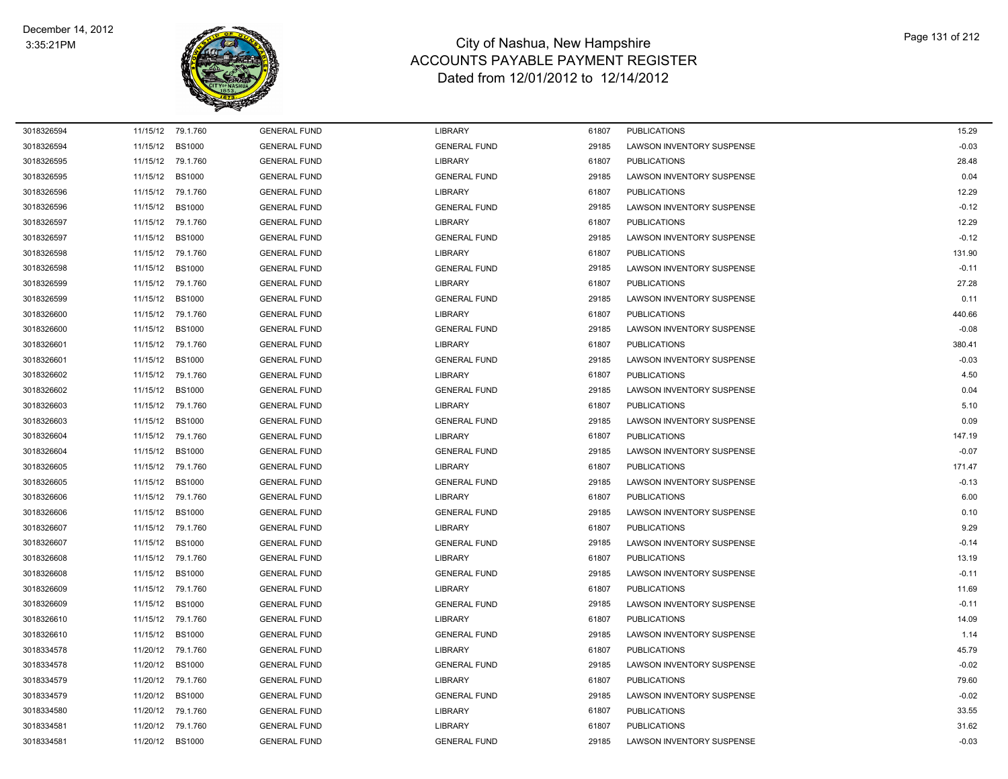

| 3018326594 |          | 11/15/12 79.1.760 | <b>GENERAL FUND</b> | <b>LIBRARY</b>      | 61807 | <b>PUBLICATIONS</b>              | 15.29   |
|------------|----------|-------------------|---------------------|---------------------|-------|----------------------------------|---------|
| 3018326594 |          | 11/15/12 BS1000   | <b>GENERAL FUND</b> | <b>GENERAL FUND</b> | 29185 | LAWSON INVENTORY SUSPENSE        | $-0.03$ |
| 3018326595 |          | 11/15/12 79.1.760 | <b>GENERAL FUND</b> | <b>LIBRARY</b>      | 61807 | <b>PUBLICATIONS</b>              | 28.48   |
| 3018326595 | 11/15/12 | <b>BS1000</b>     | <b>GENERAL FUND</b> | <b>GENERAL FUND</b> | 29185 | <b>LAWSON INVENTORY SUSPENSE</b> | 0.04    |
| 3018326596 | 11/15/12 | 79.1.760          | <b>GENERAL FUND</b> | <b>LIBRARY</b>      | 61807 | <b>PUBLICATIONS</b>              | 12.29   |
| 3018326596 | 11/15/12 | <b>BS1000</b>     | <b>GENERAL FUND</b> | <b>GENERAL FUND</b> | 29185 | LAWSON INVENTORY SUSPENSE        | $-0.12$ |
| 3018326597 |          | 11/15/12 79.1.760 | <b>GENERAL FUND</b> | <b>LIBRARY</b>      | 61807 | <b>PUBLICATIONS</b>              | 12.29   |
| 3018326597 | 11/15/12 | <b>BS1000</b>     | <b>GENERAL FUND</b> | <b>GENERAL FUND</b> | 29185 | LAWSON INVENTORY SUSPENSE        | $-0.12$ |
| 3018326598 |          | 11/15/12 79.1.760 | <b>GENERAL FUND</b> | <b>LIBRARY</b>      | 61807 | <b>PUBLICATIONS</b>              | 131.90  |
| 3018326598 | 11/15/12 | <b>BS1000</b>     | <b>GENERAL FUND</b> | <b>GENERAL FUND</b> | 29185 | LAWSON INVENTORY SUSPENSE        | $-0.11$ |
| 3018326599 |          | 11/15/12 79.1.760 | <b>GENERAL FUND</b> | <b>LIBRARY</b>      | 61807 | <b>PUBLICATIONS</b>              | 27.28   |
| 3018326599 | 11/15/12 | <b>BS1000</b>     | <b>GENERAL FUND</b> | <b>GENERAL FUND</b> | 29185 | LAWSON INVENTORY SUSPENSE        | 0.11    |
| 3018326600 |          | 11/15/12 79.1.760 | <b>GENERAL FUND</b> | <b>LIBRARY</b>      | 61807 | <b>PUBLICATIONS</b>              | 440.66  |
| 3018326600 |          | 11/15/12 BS1000   | <b>GENERAL FUND</b> | <b>GENERAL FUND</b> | 29185 | LAWSON INVENTORY SUSPENSE        | $-0.08$ |
| 3018326601 | 11/15/12 | 79.1.760          | <b>GENERAL FUND</b> | <b>LIBRARY</b>      | 61807 | <b>PUBLICATIONS</b>              | 380.41  |
| 3018326601 | 11/15/12 | <b>BS1000</b>     | <b>GENERAL FUND</b> | <b>GENERAL FUND</b> | 29185 | LAWSON INVENTORY SUSPENSE        | $-0.03$ |
| 3018326602 |          | 11/15/12 79.1.760 | <b>GENERAL FUND</b> | <b>LIBRARY</b>      | 61807 | <b>PUBLICATIONS</b>              | 4.50    |
| 3018326602 |          | 11/15/12 BS1000   | <b>GENERAL FUND</b> | <b>GENERAL FUND</b> | 29185 | LAWSON INVENTORY SUSPENSE        | 0.04    |
| 3018326603 |          | 11/15/12 79.1.760 | <b>GENERAL FUND</b> | <b>LIBRARY</b>      | 61807 | <b>PUBLICATIONS</b>              | 5.10    |
| 3018326603 | 11/15/12 | <b>BS1000</b>     | <b>GENERAL FUND</b> | <b>GENERAL FUND</b> | 29185 | LAWSON INVENTORY SUSPENSE        | 0.09    |
| 3018326604 | 11/15/12 | 79.1.760          | <b>GENERAL FUND</b> | <b>LIBRARY</b>      | 61807 | <b>PUBLICATIONS</b>              | 147.19  |
| 3018326604 | 11/15/12 | <b>BS1000</b>     | <b>GENERAL FUND</b> | <b>GENERAL FUND</b> | 29185 | LAWSON INVENTORY SUSPENSE        | $-0.07$ |
| 3018326605 |          | 11/15/12 79.1.760 | <b>GENERAL FUND</b> | <b>LIBRARY</b>      | 61807 | <b>PUBLICATIONS</b>              | 171.47  |
| 3018326605 |          | 11/15/12 BS1000   | <b>GENERAL FUND</b> | <b>GENERAL FUND</b> | 29185 | LAWSON INVENTORY SUSPENSE        | $-0.13$ |
| 3018326606 |          | 11/15/12 79.1.760 | <b>GENERAL FUND</b> | <b>LIBRARY</b>      | 61807 | <b>PUBLICATIONS</b>              | 6.00    |
| 3018326606 | 11/15/12 | <b>BS1000</b>     | <b>GENERAL FUND</b> | <b>GENERAL FUND</b> | 29185 | LAWSON INVENTORY SUSPENSE        | 0.10    |
| 3018326607 |          | 11/15/12 79.1.760 | <b>GENERAL FUND</b> | <b>LIBRARY</b>      | 61807 | <b>PUBLICATIONS</b>              | 9.29    |
| 3018326607 | 11/15/12 | <b>BS1000</b>     | <b>GENERAL FUND</b> | <b>GENERAL FUND</b> | 29185 | LAWSON INVENTORY SUSPENSE        | $-0.14$ |
| 3018326608 |          | 11/15/12 79.1.760 | <b>GENERAL FUND</b> | <b>LIBRARY</b>      | 61807 | <b>PUBLICATIONS</b>              | 13.19   |
| 3018326608 |          | 11/15/12 BS1000   | <b>GENERAL FUND</b> | <b>GENERAL FUND</b> | 29185 | LAWSON INVENTORY SUSPENSE        | $-0.11$ |
| 3018326609 |          | 11/15/12 79.1.760 | <b>GENERAL FUND</b> | <b>LIBRARY</b>      | 61807 | <b>PUBLICATIONS</b>              | 11.69   |
| 3018326609 | 11/15/12 | <b>BS1000</b>     | <b>GENERAL FUND</b> | <b>GENERAL FUND</b> | 29185 | LAWSON INVENTORY SUSPENSE        | $-0.11$ |
| 3018326610 |          | 11/15/12 79.1.760 | <b>GENERAL FUND</b> | <b>LIBRARY</b>      | 61807 | <b>PUBLICATIONS</b>              | 14.09   |
| 3018326610 |          | 11/15/12 BS1000   | <b>GENERAL FUND</b> | <b>GENERAL FUND</b> | 29185 | LAWSON INVENTORY SUSPENSE        | 1.14    |
| 3018334578 |          | 11/20/12 79.1.760 | <b>GENERAL FUND</b> | <b>LIBRARY</b>      | 61807 | <b>PUBLICATIONS</b>              | 45.79   |
| 3018334578 | 11/20/12 | <b>BS1000</b>     | <b>GENERAL FUND</b> | <b>GENERAL FUND</b> | 29185 | LAWSON INVENTORY SUSPENSE        | $-0.02$ |
| 3018334579 | 11/20/12 | 79.1.760          | <b>GENERAL FUND</b> | <b>LIBRARY</b>      | 61807 | <b>PUBLICATIONS</b>              | 79.60   |
| 3018334579 | 11/20/12 | <b>BS1000</b>     | <b>GENERAL FUND</b> | <b>GENERAL FUND</b> | 29185 | LAWSON INVENTORY SUSPENSE        | $-0.02$ |
| 3018334580 |          | 11/20/12 79.1.760 | <b>GENERAL FUND</b> | LIBRARY             | 61807 | <b>PUBLICATIONS</b>              | 33.55   |
| 3018334581 | 11/20/12 | 79.1.760          | <b>GENERAL FUND</b> | LIBRARY             | 61807 | <b>PUBLICATIONS</b>              | 31.62   |
| 3018334581 | 11/20/12 | <b>BS1000</b>     | <b>GENERAL FUND</b> | <b>GENERAL FUND</b> | 29185 | <b>LAWSON INVENTORY SUSPENSE</b> | $-0.03$ |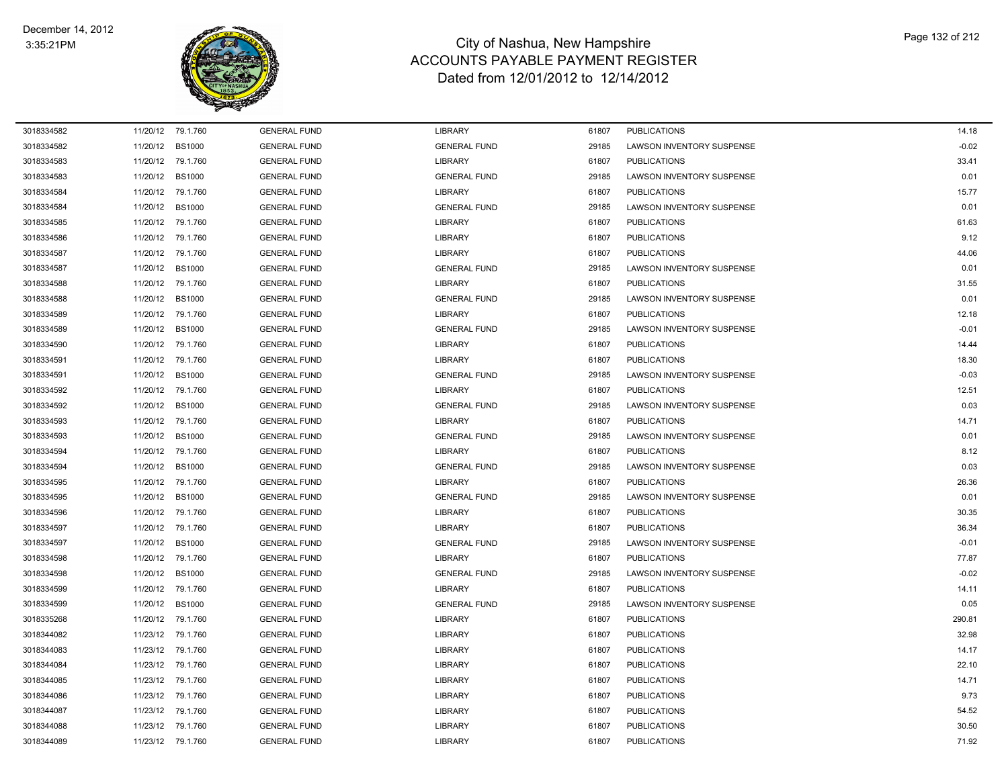

| 3018334582 |          | 11/20/12 79.1.760 | <b>GENERAL FUND</b> | <b>LIBRARY</b>      | 61807 | <b>PUBLICATIONS</b>              | 14.18   |
|------------|----------|-------------------|---------------------|---------------------|-------|----------------------------------|---------|
| 3018334582 | 11/20/12 | <b>BS1000</b>     | <b>GENERAL FUND</b> | <b>GENERAL FUND</b> | 29185 | LAWSON INVENTORY SUSPENSE        | $-0.02$ |
| 3018334583 | 11/20/12 | 79.1.760          | <b>GENERAL FUND</b> | <b>LIBRARY</b>      | 61807 | <b>PUBLICATIONS</b>              | 33.41   |
| 3018334583 | 11/20/12 | <b>BS1000</b>     | <b>GENERAL FUND</b> | <b>GENERAL FUND</b> | 29185 | <b>LAWSON INVENTORY SUSPENSE</b> | 0.01    |
| 3018334584 | 11/20/12 | 79.1.760          | <b>GENERAL FUND</b> | <b>LIBRARY</b>      | 61807 | <b>PUBLICATIONS</b>              | 15.77   |
| 3018334584 | 11/20/12 | <b>BS1000</b>     | <b>GENERAL FUND</b> | <b>GENERAL FUND</b> | 29185 | LAWSON INVENTORY SUSPENSE        | 0.01    |
| 3018334585 | 11/20/12 | 79.1.760          | <b>GENERAL FUND</b> | <b>LIBRARY</b>      | 61807 | <b>PUBLICATIONS</b>              | 61.63   |
| 3018334586 | 11/20/12 | 79.1.760          | <b>GENERAL FUND</b> | <b>LIBRARY</b>      | 61807 | <b>PUBLICATIONS</b>              | 9.12    |
| 3018334587 | 11/20/12 | 79.1.760          | <b>GENERAL FUND</b> | <b>LIBRARY</b>      | 61807 | <b>PUBLICATIONS</b>              | 44.06   |
| 3018334587 | 11/20/12 | <b>BS1000</b>     | <b>GENERAL FUND</b> | <b>GENERAL FUND</b> | 29185 | LAWSON INVENTORY SUSPENSE        | 0.01    |
| 3018334588 | 11/20/12 | 79.1.760          | <b>GENERAL FUND</b> | <b>LIBRARY</b>      | 61807 | <b>PUBLICATIONS</b>              | 31.55   |
| 3018334588 | 11/20/12 | <b>BS1000</b>     | <b>GENERAL FUND</b> | <b>GENERAL FUND</b> | 29185 | LAWSON INVENTORY SUSPENSE        | 0.01    |
| 3018334589 | 11/20/12 | 79.1.760          | <b>GENERAL FUND</b> | <b>LIBRARY</b>      | 61807 | <b>PUBLICATIONS</b>              | 12.18   |
| 3018334589 | 11/20/12 | <b>BS1000</b>     | <b>GENERAL FUND</b> | <b>GENERAL FUND</b> | 29185 | LAWSON INVENTORY SUSPENSE        | $-0.01$ |
| 3018334590 | 11/20/12 | 79.1.760          | <b>GENERAL FUND</b> | <b>LIBRARY</b>      | 61807 | <b>PUBLICATIONS</b>              | 14.44   |
| 3018334591 | 11/20/12 | 79.1.760          | <b>GENERAL FUND</b> | <b>LIBRARY</b>      | 61807 | <b>PUBLICATIONS</b>              | 18.30   |
| 3018334591 | 11/20/12 | <b>BS1000</b>     | <b>GENERAL FUND</b> | <b>GENERAL FUND</b> | 29185 | LAWSON INVENTORY SUSPENSE        | $-0.03$ |
| 3018334592 | 11/20/12 | 79.1.760          | <b>GENERAL FUND</b> | <b>LIBRARY</b>      | 61807 | <b>PUBLICATIONS</b>              | 12.51   |
| 3018334592 | 11/20/12 | <b>BS1000</b>     | <b>GENERAL FUND</b> | <b>GENERAL FUND</b> | 29185 | LAWSON INVENTORY SUSPENSE        | 0.03    |
| 3018334593 | 11/20/12 | 79.1.760          | <b>GENERAL FUND</b> | LIBRARY             | 61807 | <b>PUBLICATIONS</b>              | 14.71   |
| 3018334593 | 11/20/12 | <b>BS1000</b>     | <b>GENERAL FUND</b> | <b>GENERAL FUND</b> | 29185 | LAWSON INVENTORY SUSPENSE        | 0.01    |
| 3018334594 | 11/20/12 | 79.1.760          | <b>GENERAL FUND</b> | <b>LIBRARY</b>      | 61807 | <b>PUBLICATIONS</b>              | 8.12    |
| 3018334594 | 11/20/12 | <b>BS1000</b>     | <b>GENERAL FUND</b> | <b>GENERAL FUND</b> | 29185 | LAWSON INVENTORY SUSPENSE        | 0.03    |
| 3018334595 | 11/20/12 | 79.1.760          | <b>GENERAL FUND</b> | <b>LIBRARY</b>      | 61807 | <b>PUBLICATIONS</b>              | 26.36   |
| 3018334595 | 11/20/12 | <b>BS1000</b>     | <b>GENERAL FUND</b> | <b>GENERAL FUND</b> | 29185 | LAWSON INVENTORY SUSPENSE        | 0.01    |
| 3018334596 | 11/20/12 | 79.1.760          | <b>GENERAL FUND</b> | <b>LIBRARY</b>      | 61807 | <b>PUBLICATIONS</b>              | 30.35   |
| 3018334597 | 11/20/12 | 79.1.760          | <b>GENERAL FUND</b> | <b>LIBRARY</b>      | 61807 | <b>PUBLICATIONS</b>              | 36.34   |
| 3018334597 | 11/20/12 | <b>BS1000</b>     | <b>GENERAL FUND</b> | <b>GENERAL FUND</b> | 29185 | LAWSON INVENTORY SUSPENSE        | $-0.01$ |
| 3018334598 | 11/20/12 | 79.1.760          | <b>GENERAL FUND</b> | <b>LIBRARY</b>      | 61807 | <b>PUBLICATIONS</b>              | 77.87   |
| 3018334598 | 11/20/12 | <b>BS1000</b>     | <b>GENERAL FUND</b> | <b>GENERAL FUND</b> | 29185 | LAWSON INVENTORY SUSPENSE        | $-0.02$ |
| 3018334599 | 11/20/12 | 79.1.760          | <b>GENERAL FUND</b> | <b>LIBRARY</b>      | 61807 | <b>PUBLICATIONS</b>              | 14.11   |
| 3018334599 | 11/20/12 | <b>BS1000</b>     | <b>GENERAL FUND</b> | <b>GENERAL FUND</b> | 29185 | LAWSON INVENTORY SUSPENSE        | 0.05    |
| 3018335268 | 11/20/12 | 79.1.760          | <b>GENERAL FUND</b> | <b>LIBRARY</b>      | 61807 | <b>PUBLICATIONS</b>              | 290.81  |
| 3018344082 | 11/23/12 | 79.1.760          | <b>GENERAL FUND</b> | <b>LIBRARY</b>      | 61807 | <b>PUBLICATIONS</b>              | 32.98   |
| 3018344083 | 11/23/12 | 79.1.760          | <b>GENERAL FUND</b> | <b>LIBRARY</b>      | 61807 | <b>PUBLICATIONS</b>              | 14.17   |
| 3018344084 | 11/23/12 | 79.1.760          | <b>GENERAL FUND</b> | <b>LIBRARY</b>      | 61807 | <b>PUBLICATIONS</b>              | 22.10   |
| 3018344085 | 11/23/12 | 79.1.760          | <b>GENERAL FUND</b> | <b>LIBRARY</b>      | 61807 | <b>PUBLICATIONS</b>              | 14.71   |
| 3018344086 | 11/23/12 | 79.1.760          | <b>GENERAL FUND</b> | <b>LIBRARY</b>      | 61807 | <b>PUBLICATIONS</b>              | 9.73    |
| 3018344087 | 11/23/12 | 79.1.760          | <b>GENERAL FUND</b> | LIBRARY             | 61807 | <b>PUBLICATIONS</b>              | 54.52   |
| 3018344088 |          | 11/23/12 79.1.760 | <b>GENERAL FUND</b> | <b>LIBRARY</b>      | 61807 | <b>PUBLICATIONS</b>              | 30.50   |
| 3018344089 |          | 11/23/12 79.1.760 | <b>GENERAL FUND</b> | <b>LIBRARY</b>      | 61807 | <b>PUBLICATIONS</b>              | 71.92   |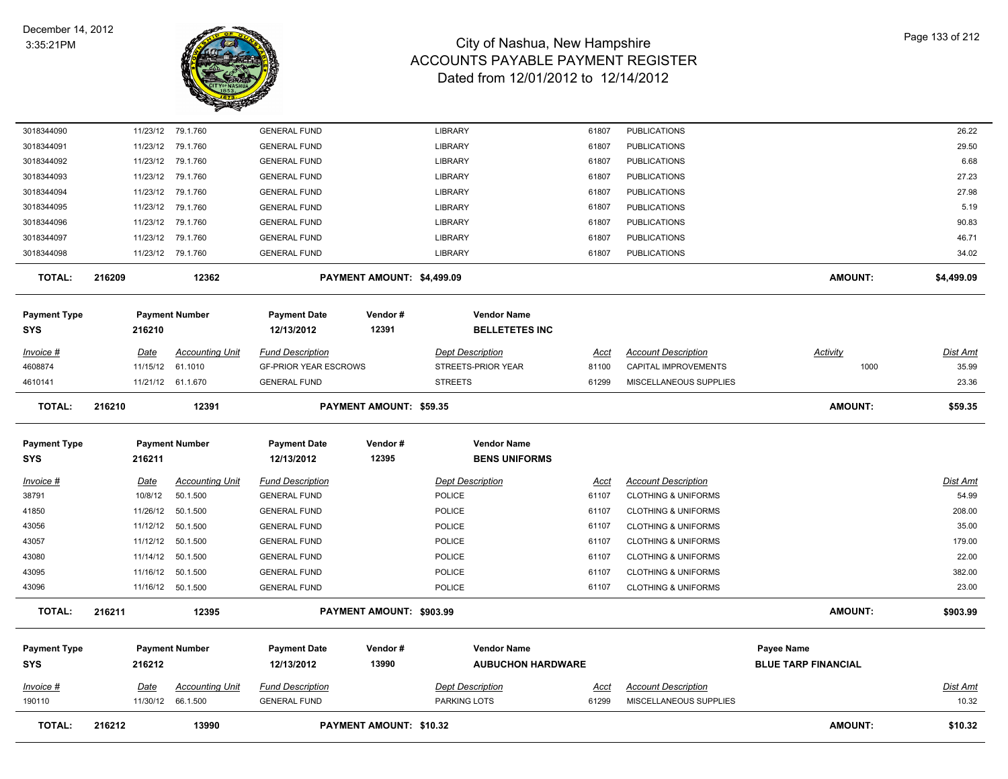

| <b>TOTAL:</b>                     | 216212      | 13990                  |                                   | <b>PAYMENT AMOUNT: \$10.32</b> |                                                |             |                                | <b>AMOUNT:</b>                                  | \$10.32         |
|-----------------------------------|-------------|------------------------|-----------------------------------|--------------------------------|------------------------------------------------|-------------|--------------------------------|-------------------------------------------------|-----------------|
| 190110                            |             | 11/30/12 66.1.500      | <b>GENERAL FUND</b>               |                                | PARKING LOTS                                   | 61299       | MISCELLANEOUS SUPPLIES         |                                                 | 10.32           |
| Invoice #                         | <u>Date</u> | <b>Accounting Unit</b> | <b>Fund Description</b>           |                                | <b>Dept Description</b>                        | <u>Acct</u> | <b>Account Description</b>     |                                                 | <u>Dist Amt</u> |
| <b>Payment Type</b><br><b>SYS</b> | 216212      | <b>Payment Number</b>  | <b>Payment Date</b><br>12/13/2012 | Vendor#<br>13990               | <b>Vendor Name</b><br><b>AUBUCHON HARDWARE</b> |             |                                | <b>Payee Name</b><br><b>BLUE TARP FINANCIAL</b> |                 |
|                                   |             |                        |                                   |                                |                                                |             |                                |                                                 |                 |
| <b>TOTAL:</b>                     | 216211      | 12395                  |                                   | PAYMENT AMOUNT: \$903.99       |                                                |             |                                | <b>AMOUNT:</b>                                  | \$903.99        |
| 43096                             |             | 11/16/12 50.1.500      | <b>GENERAL FUND</b>               |                                | <b>POLICE</b>                                  | 61107       | <b>CLOTHING &amp; UNIFORMS</b> |                                                 | 23.00           |
| 43095                             | 11/16/12    | 50.1.500               | <b>GENERAL FUND</b>               |                                | POLICE                                         | 61107       | <b>CLOTHING &amp; UNIFORMS</b> |                                                 | 382.00          |
| 43080                             |             | 11/14/12 50.1.500      | <b>GENERAL FUND</b>               |                                | POLICE                                         | 61107       | <b>CLOTHING &amp; UNIFORMS</b> |                                                 | 22.00           |
| 43057                             | 11/12/12    | 50.1.500               | <b>GENERAL FUND</b>               |                                | <b>POLICE</b>                                  | 61107       | <b>CLOTHING &amp; UNIFORMS</b> |                                                 | 179.00          |
| 43056                             | 11/12/12    | 50.1.500               | <b>GENERAL FUND</b>               |                                | <b>POLICE</b>                                  | 61107       | <b>CLOTHING &amp; UNIFORMS</b> |                                                 | 35.00           |
| 41850                             | 11/26/12    | 50.1.500               | <b>GENERAL FUND</b>               |                                | POLICE                                         | 61107       | <b>CLOTHING &amp; UNIFORMS</b> |                                                 | 208.00          |
| 38791                             | 10/8/12     | 50.1.500               | <b>GENERAL FUND</b>               |                                | POLICE                                         | 61107       | <b>CLOTHING &amp; UNIFORMS</b> |                                                 | 54.99           |
| $Invoice$ #                       | <u>Date</u> | <b>Accounting Unit</b> | <b>Fund Description</b>           |                                | <b>Dept Description</b>                        | <u>Acct</u> | <b>Account Description</b>     |                                                 | <u>Dist Amt</u> |
| <b>SYS</b>                        | 216211      |                        | 12/13/2012                        | 12395                          | <b>BENS UNIFORMS</b>                           |             |                                |                                                 |                 |
| <b>Payment Type</b>               |             | <b>Payment Number</b>  | <b>Payment Date</b>               | Vendor#                        | <b>Vendor Name</b>                             |             |                                |                                                 |                 |
| <b>TOTAL:</b>                     | 216210      | 12391                  |                                   | PAYMENT AMOUNT: \$59.35        |                                                |             |                                | <b>AMOUNT:</b>                                  | \$59.35         |
| 4610141                           |             | 11/21/12 61.1.670      | <b>GENERAL FUND</b>               |                                | <b>STREETS</b>                                 | 61299       | MISCELLANEOUS SUPPLIES         |                                                 | 23.36           |
| 4608874                           | 11/15/12    | 61.1010                | <b>GF-PRIOR YEAR ESCROWS</b>      |                                | STREETS-PRIOR YEAR                             | 81100       | CAPITAL IMPROVEMENTS           | 1000                                            | 35.99           |
| Invoice #                         | Date        | <b>Accounting Unit</b> | <b>Fund Description</b>           |                                | <b>Dept Description</b>                        | <u>Acct</u> | <b>Account Description</b>     | <b>Activity</b>                                 | <u>Dist Amt</u> |
| <b>SYS</b>                        | 216210      |                        | 12/13/2012                        | 12391                          | <b>BELLETETES INC</b>                          |             |                                |                                                 |                 |
| <b>Payment Type</b>               |             | <b>Payment Number</b>  | <b>Payment Date</b>               | Vendor#                        | <b>Vendor Name</b>                             |             |                                |                                                 |                 |
| <b>TOTAL:</b>                     | 216209      | 12362                  |                                   | PAYMENT AMOUNT: \$4,499.09     |                                                |             |                                | <b>AMOUNT:</b>                                  | \$4,499.09      |
| 3018344098                        |             | 11/23/12 79.1.760      | <b>GENERAL FUND</b>               |                                | LIBRARY                                        | 61807       | <b>PUBLICATIONS</b>            |                                                 | 34.02           |
| 3018344097                        |             | 11/23/12 79.1.760      | <b>GENERAL FUND</b>               |                                | <b>LIBRARY</b>                                 | 61807       | <b>PUBLICATIONS</b>            |                                                 | 46.71           |
| 3018344096                        |             | 11/23/12 79.1.760      | <b>GENERAL FUND</b>               |                                | LIBRARY                                        | 61807       | <b>PUBLICATIONS</b>            |                                                 | 90.83           |
| 3018344095                        | 11/23/12    | 79.1.760               | <b>GENERAL FUND</b>               |                                | <b>LIBRARY</b>                                 | 61807       | <b>PUBLICATIONS</b>            |                                                 | 5.19            |
| 3018344094                        | 11/23/12    | 79.1.760               | <b>GENERAL FUND</b>               |                                | LIBRARY                                        | 61807       | <b>PUBLICATIONS</b>            |                                                 | 27.98           |
| 3018344093                        |             | 11/23/12 79.1.760      | <b>GENERAL FUND</b>               |                                | LIBRARY                                        | 61807       | <b>PUBLICATIONS</b>            |                                                 | 27.23           |
| 3018344092                        |             | 11/23/12 79.1.760      | <b>GENERAL FUND</b>               |                                | <b>LIBRARY</b>                                 | 61807       | <b>PUBLICATIONS</b>            |                                                 | 6.68            |
| 3018344091                        | 11/23/12    | 79.1.760               | <b>GENERAL FUND</b>               |                                | LIBRARY                                        | 61807       | <b>PUBLICATIONS</b>            |                                                 | 29.50           |
| 3018344090                        |             | 11/23/12 79.1.760      | <b>GENERAL FUND</b>               |                                | <b>LIBRARY</b>                                 | 61807       | <b>PUBLICATIONS</b>            |                                                 | 26.22           |
|                                   |             |                        |                                   |                                |                                                |             |                                |                                                 |                 |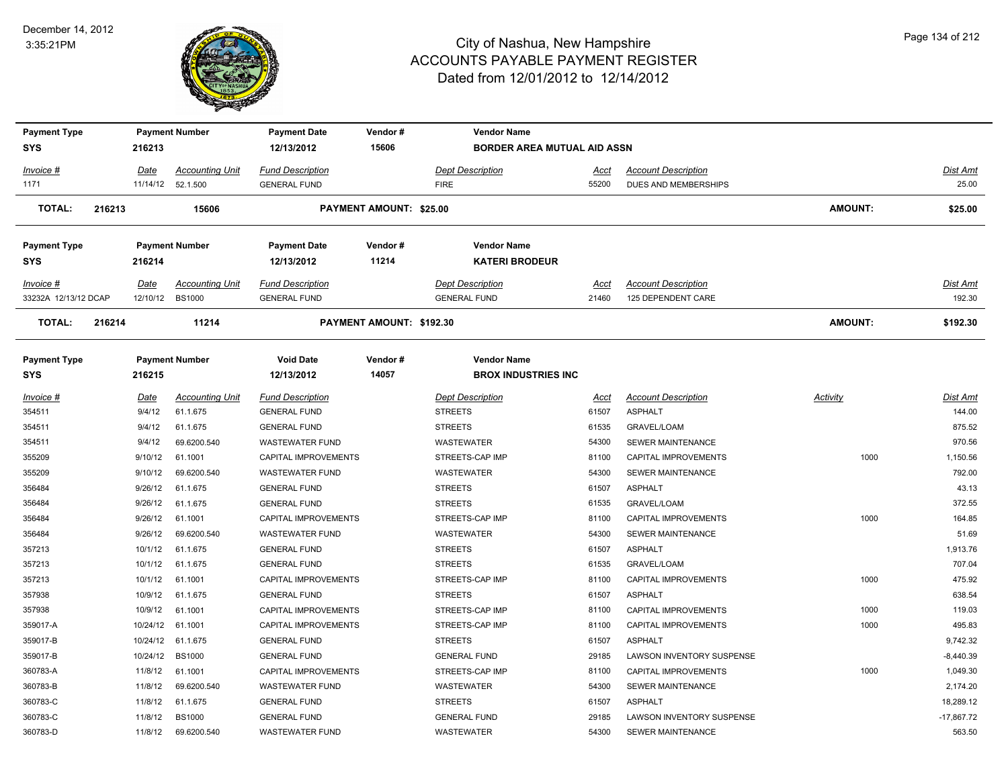

| Payment Type            |             | <b>Payment Number</b>  | <b>Payment Date</b>         | Vendor#                        | <b>Vendor Name</b>                 |             |                                  |                 |              |
|-------------------------|-------------|------------------------|-----------------------------|--------------------------------|------------------------------------|-------------|----------------------------------|-----------------|--------------|
| SYS                     | 216213      |                        | 12/13/2012                  | 15606                          | <b>BORDER AREA MUTUAL AID ASSN</b> |             |                                  |                 |              |
| Invoice #               | Date        | <b>Accounting Unit</b> | <b>Fund Description</b>     |                                | <b>Dept Description</b>            | Acct        | <b>Account Description</b>       |                 | Dist Amt     |
| 1171                    | 11/14/12    | 52.1.500               | <b>GENERAL FUND</b>         |                                | <b>FIRE</b>                        | 55200       | DUES AND MEMBERSHIPS             |                 | 25.00        |
| <b>TOTAL:</b><br>216213 |             | 15606                  |                             | <b>PAYMENT AMOUNT: \$25.00</b> |                                    |             |                                  | <b>AMOUNT:</b>  | \$25.00      |
| <b>Payment Type</b>     |             | <b>Payment Number</b>  | <b>Payment Date</b>         | Vendor#                        | <b>Vendor Name</b>                 |             |                                  |                 |              |
| SYS                     | 216214      |                        | 12/13/2012                  | 11214                          | <b>KATERI BRODEUR</b>              |             |                                  |                 |              |
| Invoice #               | Date        | <b>Accounting Unit</b> | <b>Fund Description</b>     |                                | <b>Dept Description</b>            | Acct        | <b>Account Description</b>       |                 | Dist Amt     |
| 33232A 12/13/12 DCAP    | 12/10/12    | <b>BS1000</b>          | <b>GENERAL FUND</b>         |                                | <b>GENERAL FUND</b>                | 21460       | 125 DEPENDENT CARE               |                 | 192.30       |
| <b>TOTAL:</b><br>216214 |             | 11214                  |                             | PAYMENT AMOUNT: \$192.30       |                                    |             |                                  | <b>AMOUNT:</b>  | \$192.30     |
| <b>Payment Type</b>     |             | <b>Payment Number</b>  | <b>Void Date</b>            | Vendor#                        | <b>Vendor Name</b>                 |             |                                  |                 |              |
| SYS                     | 216215      |                        | 12/13/2012                  | 14057                          | <b>BROX INDUSTRIES INC</b>         |             |                                  |                 |              |
| Invoice #               | <u>Date</u> | <b>Accounting Unit</b> | <b>Fund Description</b>     |                                | <b>Dept Description</b>            | <u>Acct</u> | <b>Account Description</b>       | <b>Activity</b> | Dist Amt     |
| 354511                  | 9/4/12      | 61.1.675               | <b>GENERAL FUND</b>         |                                | <b>STREETS</b>                     | 61507       | <b>ASPHALT</b>                   |                 | 144.00       |
| 354511                  | 9/4/12      | 61.1.675               | <b>GENERAL FUND</b>         |                                | <b>STREETS</b>                     | 61535       | <b>GRAVEL/LOAM</b>               |                 | 875.52       |
| 354511                  | 9/4/12      | 69.6200.540            | <b>WASTEWATER FUND</b>      |                                | <b>WASTEWATER</b>                  | 54300       | <b>SEWER MAINTENANCE</b>         |                 | 970.56       |
| 355209                  | 9/10/12     | 61.1001                | CAPITAL IMPROVEMENTS        |                                | STREETS-CAP IMP                    | 81100       | CAPITAL IMPROVEMENTS             | 1000            | 1,150.56     |
| 355209                  | 9/10/12     | 69.6200.540            | <b>WASTEWATER FUND</b>      |                                | WASTEWATER                         | 54300       | SEWER MAINTENANCE                |                 | 792.00       |
| 356484                  | 9/26/12     | 61.1.675               | <b>GENERAL FUND</b>         |                                | <b>STREETS</b>                     | 61507       | <b>ASPHALT</b>                   |                 | 43.13        |
| 356484                  | 9/26/12     | 61.1.675               | <b>GENERAL FUND</b>         |                                | <b>STREETS</b>                     | 61535       | <b>GRAVEL/LOAM</b>               |                 | 372.55       |
| 356484                  | 9/26/12     | 61.1001                | CAPITAL IMPROVEMENTS        |                                | STREETS-CAP IMP                    | 81100       | CAPITAL IMPROVEMENTS             | 1000            | 164.85       |
| 356484                  | 9/26/12     | 69.6200.540            | <b>WASTEWATER FUND</b>      |                                | <b>WASTEWATER</b>                  | 54300       | <b>SEWER MAINTENANCE</b>         |                 | 51.69        |
| 357213                  | 10/1/12     | 61.1.675               | <b>GENERAL FUND</b>         |                                | <b>STREETS</b>                     | 61507       | <b>ASPHALT</b>                   |                 | 1,913.76     |
| 357213                  | 10/1/12     | 61.1.675               | <b>GENERAL FUND</b>         |                                | <b>STREETS</b>                     | 61535       | GRAVEL/LOAM                      |                 | 707.04       |
| 357213                  | 10/1/12     | 61.1001                | <b>CAPITAL IMPROVEMENTS</b> |                                | STREETS-CAP IMP                    | 81100       | <b>CAPITAL IMPROVEMENTS</b>      | 1000            | 475.92       |
| 357938                  | 10/9/12     | 61.1.675               | <b>GENERAL FUND</b>         |                                | <b>STREETS</b>                     | 61507       | <b>ASPHALT</b>                   |                 | 638.54       |
| 357938                  | 10/9/12     | 61.1001                | CAPITAL IMPROVEMENTS        |                                | STREETS-CAP IMP                    | 81100       | CAPITAL IMPROVEMENTS             | 1000            | 119.03       |
| 359017-A                | 10/24/12    | 61.1001                | CAPITAL IMPROVEMENTS        |                                | STREETS-CAP IMP                    | 81100       | CAPITAL IMPROVEMENTS             | 1000            | 495.83       |
| 359017-B                | 10/24/12    | 61.1.675               | <b>GENERAL FUND</b>         |                                | <b>STREETS</b>                     | 61507       | <b>ASPHALT</b>                   |                 | 9,742.32     |
| 359017-B                | 10/24/12    | <b>BS1000</b>          | <b>GENERAL FUND</b>         |                                | <b>GENERAL FUND</b>                | 29185       | LAWSON INVENTORY SUSPENSE        |                 | $-8,440.39$  |
| 360783-A                | 11/8/12     | 61.1001                | CAPITAL IMPROVEMENTS        |                                | STREETS-CAP IMP                    | 81100       | CAPITAL IMPROVEMENTS             | 1000            | 1,049.30     |
| 360783-B                | 11/8/12     | 69.6200.540            | <b>WASTEWATER FUND</b>      |                                | WASTEWATER                         | 54300       | <b>SEWER MAINTENANCE</b>         |                 | 2,174.20     |
| 360783-C                | 11/8/12     | 61.1.675               | <b>GENERAL FUND</b>         |                                | <b>STREETS</b>                     | 61507       | <b>ASPHALT</b>                   |                 | 18,289.12    |
| 360783-C                | 11/8/12     | <b>BS1000</b>          | <b>GENERAL FUND</b>         |                                | <b>GENERAL FUND</b>                | 29185       | <b>LAWSON INVENTORY SUSPENSE</b> |                 | $-17,867.72$ |
| 360783-D                | 11/8/12     | 69.6200.540            | <b>WASTEWATER FUND</b>      |                                | <b>WASTEWATER</b>                  | 54300       | SEWER MAINTENANCE                |                 | 563.50       |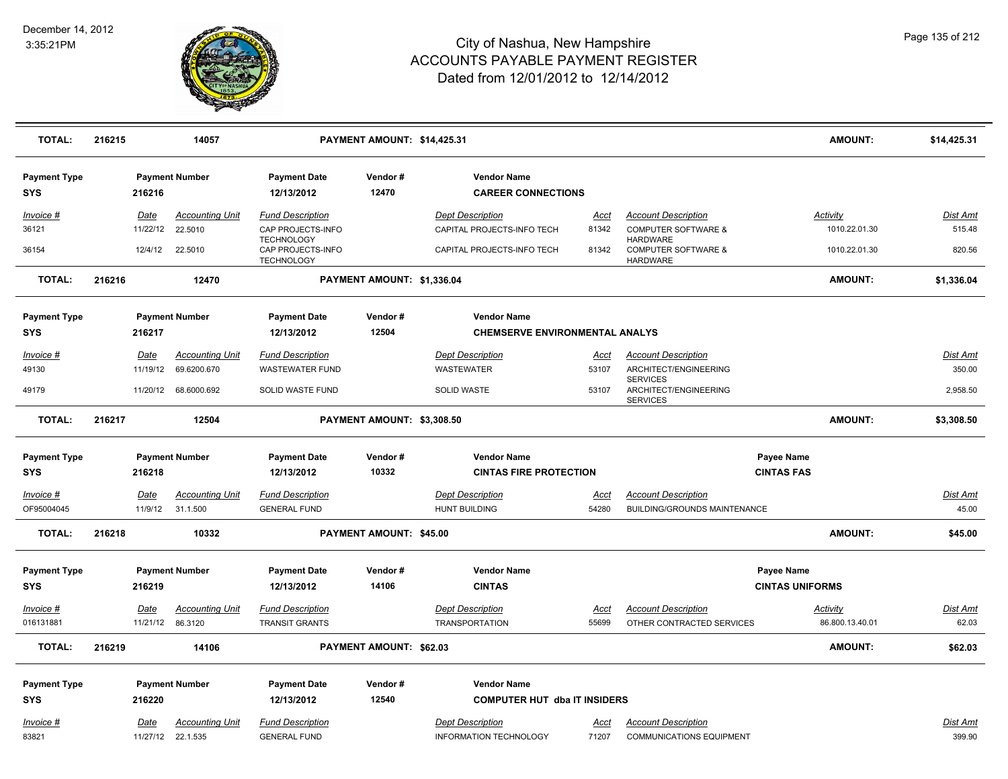

| <b>TOTAL:</b>                     | 216215 |             | 14057                  |                                        | PAYMENT AMOUNT: \$14,425.31 |                                                 |             |                                                             | AMOUNT:                | \$14,425.31     |
|-----------------------------------|--------|-------------|------------------------|----------------------------------------|-----------------------------|-------------------------------------------------|-------------|-------------------------------------------------------------|------------------------|-----------------|
| <b>Payment Type</b><br><b>SYS</b> |        | 216216      | <b>Payment Number</b>  | <b>Payment Date</b><br>12/13/2012      | Vendor#<br>12470            | <b>Vendor Name</b><br><b>CAREER CONNECTIONS</b> |             |                                                             |                        |                 |
| Invoice #                         |        | Date        | <b>Accounting Unit</b> | <b>Fund Description</b>                |                             | <b>Dept Description</b>                         | <u>Acct</u> | <b>Account Description</b>                                  | <b>Activity</b>        | Dist Amt        |
| 36121                             |        | 11/22/12    | 22.5010                | CAP PROJECTS-INFO<br><b>TECHNOLOGY</b> |                             | CAPITAL PROJECTS-INFO TECH                      | 81342       | <b>COMPUTER SOFTWARE &amp;</b><br><b>HARDWARE</b>           | 1010.22.01.30          | 515.48          |
| 36154                             |        | 12/4/12     | 22.5010                | CAP PROJECTS-INFO<br><b>TECHNOLOGY</b> |                             | CAPITAL PROJECTS-INFO TECH                      | 81342       | <b>COMPUTER SOFTWARE &amp;</b><br><b>HARDWARE</b>           | 1010.22.01.30          | 820.56          |
| <b>TOTAL:</b>                     | 216216 |             | 12470                  |                                        | PAYMENT AMOUNT: \$1,336.04  |                                                 |             |                                                             | <b>AMOUNT:</b>         | \$1,336.04      |
| <b>Payment Type</b>               |        |             | <b>Payment Number</b>  | <b>Payment Date</b>                    | Vendor#                     | <b>Vendor Name</b>                              |             |                                                             |                        |                 |
| <b>SYS</b>                        |        | 216217      |                        | 12/13/2012                             | 12504                       | <b>CHEMSERVE ENVIRONMENTAL ANALYS</b>           |             |                                                             |                        |                 |
| Invoice #                         |        | <b>Date</b> | <b>Accounting Unit</b> | <b>Fund Description</b>                |                             | <b>Dept Description</b>                         | Acct        | <b>Account Description</b>                                  |                        | Dist Amt        |
| 49130                             |        | 11/19/12    | 69.6200.670            | <b>WASTEWATER FUND</b>                 |                             | WASTEWATER                                      | 53107       | ARCHITECT/ENGINEERING                                       |                        | 350.00          |
| 49179                             |        |             | 11/20/12 68.6000.692   | SOLID WASTE FUND                       |                             | SOLID WASTE                                     | 53107       | <b>SERVICES</b><br>ARCHITECT/ENGINEERING<br><b>SERVICES</b> |                        | 2,958.50        |
| <b>TOTAL:</b>                     | 216217 |             | 12504                  |                                        | PAYMENT AMOUNT: \$3,308.50  |                                                 |             |                                                             | <b>AMOUNT:</b>         | \$3,308.50      |
| <b>Payment Type</b>               |        |             | <b>Payment Number</b>  | <b>Payment Date</b>                    | Vendor#                     | <b>Vendor Name</b>                              |             |                                                             | Payee Name             |                 |
| SYS                               |        | 216218      |                        | 12/13/2012                             | 10332                       | <b>CINTAS FIRE PROTECTION</b>                   |             |                                                             | <b>CINTAS FAS</b>      |                 |
| Invoice #                         |        | Date        | <b>Accounting Unit</b> | <b>Fund Description</b>                |                             | <b>Dept Description</b>                         | Acct        | <b>Account Description</b>                                  |                        | <b>Dist Amt</b> |
| OF95004045                        |        | 11/9/12     | 31.1.500               | <b>GENERAL FUND</b>                    |                             | <b>HUNT BUILDING</b>                            | 54280       | <b>BUILDING/GROUNDS MAINTENANCE</b>                         |                        | 45.00           |
| <b>TOTAL:</b>                     | 216218 |             | 10332                  |                                        | PAYMENT AMOUNT: \$45.00     |                                                 |             |                                                             | <b>AMOUNT:</b>         | \$45.00         |
| <b>Payment Type</b>               |        |             | <b>Payment Number</b>  | <b>Payment Date</b>                    | Vendor#                     | <b>Vendor Name</b>                              |             |                                                             | Payee Name             |                 |
| <b>SYS</b>                        |        | 216219      |                        | 12/13/2012                             | 14106                       | <b>CINTAS</b>                                   |             |                                                             | <b>CINTAS UNIFORMS</b> |                 |
| Invoice #                         |        | Date        | <b>Accounting Unit</b> | <b>Fund Description</b>                |                             | <b>Dept Description</b>                         | Acct        | <b>Account Description</b>                                  | Activity               | Dist Amt        |
| 016131881                         |        |             | 11/21/12 86.3120       | <b>TRANSIT GRANTS</b>                  |                             | <b>TRANSPORTATION</b>                           | 55699       | OTHER CONTRACTED SERVICES                                   | 86.800.13.40.01        | 62.03           |
| <b>TOTAL:</b>                     | 216219 |             | 14106                  |                                        | PAYMENT AMOUNT: \$62.03     |                                                 |             |                                                             | <b>AMOUNT:</b>         | \$62.03         |
| <b>Payment Type</b>               |        |             | <b>Payment Number</b>  | <b>Payment Date</b>                    | Vendor#                     | <b>Vendor Name</b>                              |             |                                                             |                        |                 |
| SYS                               |        | 216220      |                        | 12/13/2012                             | 12540                       | <b>COMPUTER HUT dba IT INSIDERS</b>             |             |                                                             |                        |                 |
| Invoice #                         |        | Date        | <b>Accounting Unit</b> | <b>Fund Description</b>                |                             | <b>Dept Description</b>                         | Acct        | <b>Account Description</b>                                  |                        | Dist Amt        |
| 83821                             |        |             | 11/27/12 22.1.535      | <b>GENERAL FUND</b>                    |                             | <b>INFORMATION TECHNOLOGY</b>                   | 71207       | <b>COMMUNICATIONS EQUIPMENT</b>                             |                        | 399.90          |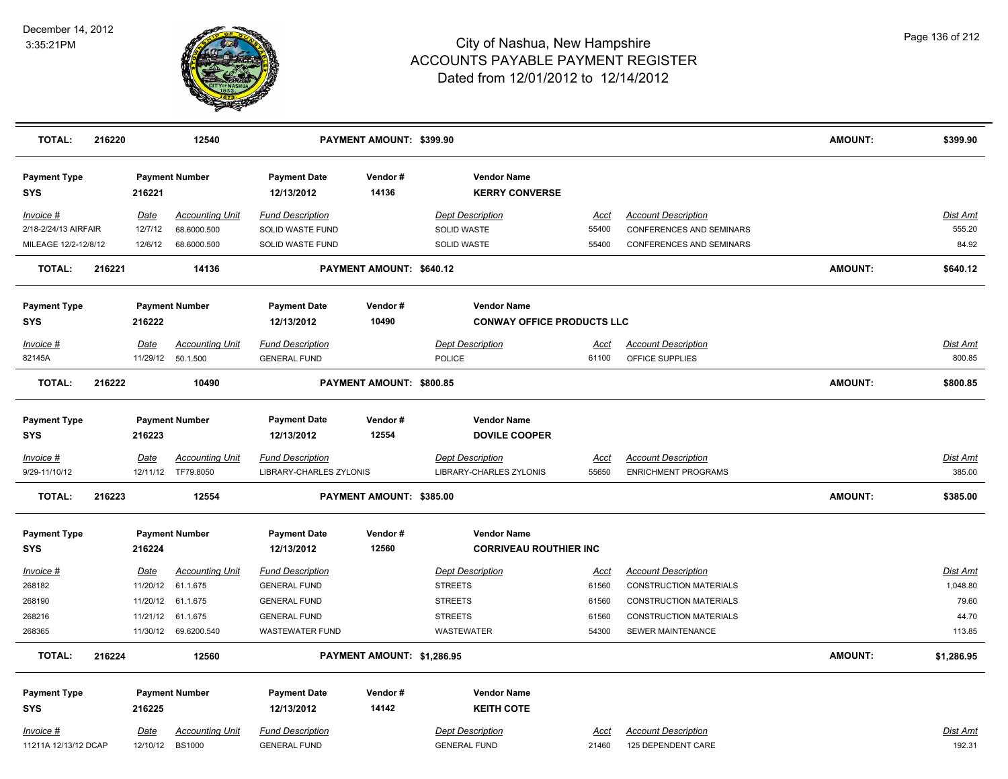

| <b>TOTAL:</b>                     | 216220 |             | 12540                  |                                   | PAYMENT AMOUNT: \$399.90   |                                             |             |                                 | <b>AMOUNT:</b> | \$399.90        |
|-----------------------------------|--------|-------------|------------------------|-----------------------------------|----------------------------|---------------------------------------------|-------------|---------------------------------|----------------|-----------------|
| <b>Payment Type</b><br><b>SYS</b> |        | 216221      | <b>Payment Number</b>  | <b>Payment Date</b><br>12/13/2012 | Vendor#<br>14136           | <b>Vendor Name</b><br><b>KERRY CONVERSE</b> |             |                                 |                |                 |
| Invoice #                         |        | Date        | <b>Accounting Unit</b> | <b>Fund Description</b>           |                            | <b>Dept Description</b>                     | <b>Acct</b> | <b>Account Description</b>      |                | <b>Dist Amt</b> |
| 2/18-2/24/13 AIRFAIR              |        | 12/7/12     | 68.6000.500            | SOLID WASTE FUND                  |                            | <b>SOLID WASTE</b>                          | 55400       | <b>CONFERENCES AND SEMINARS</b> |                | 555.20          |
| MILEAGE 12/2-12/8/12              |        | 12/6/12     | 68.6000.500            | SOLID WASTE FUND                  |                            | SOLID WASTE                                 | 55400       | CONFERENCES AND SEMINARS        |                | 84.92           |
| <b>TOTAL:</b>                     | 216221 |             | 14136                  |                                   | PAYMENT AMOUNT: \$640.12   |                                             |             |                                 | <b>AMOUNT:</b> | \$640.12        |
| <b>Payment Type</b>               |        |             | <b>Payment Number</b>  | <b>Payment Date</b>               | Vendor#                    | <b>Vendor Name</b>                          |             |                                 |                |                 |
| <b>SYS</b>                        |        | 216222      |                        | 12/13/2012                        | 10490                      | <b>CONWAY OFFICE PRODUCTS LLC</b>           |             |                                 |                |                 |
| Invoice #                         |        | Date        | <b>Accounting Unit</b> | <b>Fund Description</b>           |                            | <b>Dept Description</b>                     | <u>Acct</u> | <b>Account Description</b>      |                | Dist Amt        |
| 82145A                            |        | 11/29/12    | 50.1.500               | <b>GENERAL FUND</b>               |                            | <b>POLICE</b>                               | 61100       | OFFICE SUPPLIES                 |                | 800.85          |
| <b>TOTAL:</b>                     | 216222 |             | 10490                  |                                   | PAYMENT AMOUNT: \$800.85   |                                             |             |                                 | AMOUNT:        | \$800.85        |
| <b>Payment Type</b>               |        |             | <b>Payment Number</b>  | <b>Payment Date</b>               | Vendor#                    | <b>Vendor Name</b>                          |             |                                 |                |                 |
| <b>SYS</b>                        |        | 216223      |                        | 12/13/2012                        | 12554                      | <b>DOVILE COOPER</b>                        |             |                                 |                |                 |
| Invoice #                         |        | <u>Date</u> | <b>Accounting Unit</b> | <b>Fund Description</b>           |                            | <b>Dept Description</b>                     | <u>Acct</u> | <b>Account Description</b>      |                | <b>Dist Amt</b> |
| 9/29-11/10/12                     |        |             | 12/11/12 TF79.8050     | LIBRARY-CHARLES ZYLONIS           |                            | LIBRARY-CHARLES ZYLONIS                     | 55650       | <b>ENRICHMENT PROGRAMS</b>      |                | 385.00          |
| <b>TOTAL:</b>                     | 216223 |             | 12554                  |                                   | PAYMENT AMOUNT: \$385.00   |                                             |             |                                 | <b>AMOUNT:</b> | \$385.00        |
| <b>Payment Type</b>               |        |             | <b>Payment Number</b>  | <b>Payment Date</b>               | Vendor#                    | <b>Vendor Name</b>                          |             |                                 |                |                 |
| <b>SYS</b>                        |        | 216224      |                        | 12/13/2012                        | 12560                      | <b>CORRIVEAU ROUTHIER INC</b>               |             |                                 |                |                 |
| Invoice #                         |        | Date        | <b>Accounting Unit</b> | <b>Fund Description</b>           |                            | <b>Dept Description</b>                     | Acct        | <b>Account Description</b>      |                | Dist Amt        |
| 268182                            |        | 11/20/12    | 61.1.675               | <b>GENERAL FUND</b>               |                            | <b>STREETS</b>                              | 61560       | <b>CONSTRUCTION MATERIALS</b>   |                | 1,048.80        |
| 268190                            |        | 11/20/12    | 61.1.675               | <b>GENERAL FUND</b>               |                            | <b>STREETS</b>                              | 61560       | <b>CONSTRUCTION MATERIALS</b>   |                | 79.60           |
| 268216                            |        | 11/21/12    | 61.1.675               | <b>GENERAL FUND</b>               |                            | <b>STREETS</b>                              | 61560       | <b>CONSTRUCTION MATERIALS</b>   |                | 44.70           |
| 268365                            |        | 11/30/12    | 69.6200.540            | <b>WASTEWATER FUND</b>            |                            | <b>WASTEWATER</b>                           | 54300       | SEWER MAINTENANCE               |                | 113.85          |
| <b>TOTAL:</b>                     | 216224 |             | 12560                  |                                   | PAYMENT AMOUNT: \$1,286.95 |                                             |             |                                 | <b>AMOUNT:</b> | \$1,286.95      |
| <b>Payment Type</b>               |        |             | <b>Payment Number</b>  | <b>Payment Date</b>               | Vendor#                    | <b>Vendor Name</b>                          |             |                                 |                |                 |
| <b>SYS</b>                        |        | 216225      |                        | 12/13/2012                        | 14142                      | <b>KEITH COTE</b>                           |             |                                 |                |                 |
| Invoice #                         |        | Date        | <b>Accounting Unit</b> | <b>Fund Description</b>           |                            | <b>Dept Description</b>                     | <u>Acct</u> | <b>Account Description</b>      |                | Dist Amt        |
| 11211A 12/13/12 DCAP              |        | 12/10/12    | <b>BS1000</b>          | <b>GENERAL FUND</b>               |                            | <b>GENERAL FUND</b>                         | 21460       | 125 DEPENDENT CARE              |                | 192.31          |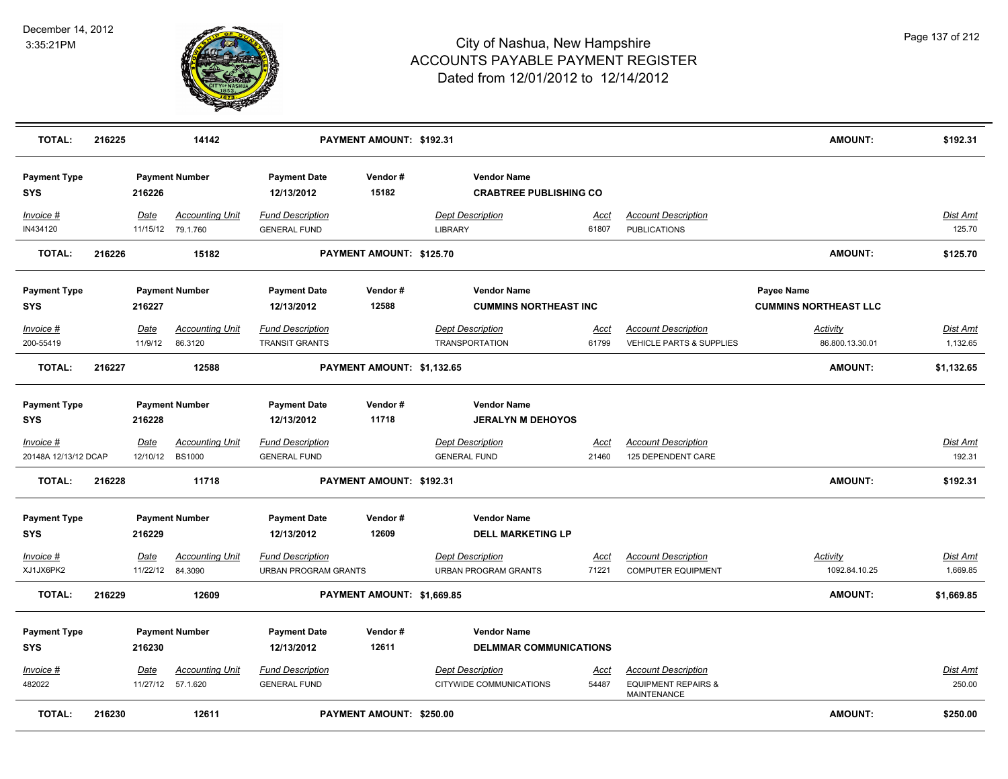

| <b>TOTAL:</b>                     | 216225 |                           | 14142                                       |                                                  | PAYMENT AMOUNT: \$192.31   |                         |                                                        |                      |                                                                             | <b>AMOUNT:</b>                             | \$192.31                    |
|-----------------------------------|--------|---------------------------|---------------------------------------------|--------------------------------------------------|----------------------------|-------------------------|--------------------------------------------------------|----------------------|-----------------------------------------------------------------------------|--------------------------------------------|-----------------------------|
| <b>Payment Type</b><br><b>SYS</b> |        | 216226                    | <b>Payment Number</b>                       | <b>Payment Date</b><br>12/13/2012                | Vendor#<br>15182           |                         | <b>Vendor Name</b><br><b>CRABTREE PUBLISHING CO</b>    |                      |                                                                             |                                            |                             |
| Invoice #<br>IN434120             |        | Date                      | <b>Accounting Unit</b><br>11/15/12 79.1.760 | <b>Fund Description</b><br><b>GENERAL FUND</b>   |                            | <b>LIBRARY</b>          | <b>Dept Description</b>                                | <u>Acct</u><br>61807 | <b>Account Description</b><br><b>PUBLICATIONS</b>                           |                                            | Dist Amt<br>125.70          |
| <b>TOTAL:</b>                     | 216226 |                           | 15182                                       |                                                  | PAYMENT AMOUNT: \$125.70   |                         |                                                        |                      |                                                                             | AMOUNT:                                    | \$125.70                    |
| <b>Payment Type</b><br><b>SYS</b> |        | 216227                    | <b>Payment Number</b>                       | <b>Payment Date</b><br>12/13/2012                | Vendor#<br>12588           |                         | <b>Vendor Name</b><br><b>CUMMINS NORTHEAST INC</b>     |                      |                                                                             | Payee Name<br><b>CUMMINS NORTHEAST LLC</b> |                             |
| Invoice #<br>200-55419            |        | Date<br>11/9/12           | <b>Accounting Unit</b><br>86.3120           | <b>Fund Description</b><br><b>TRANSIT GRANTS</b> |                            |                         | <b>Dept Description</b><br><b>TRANSPORTATION</b>       | Acct<br>61799        | <b>Account Description</b><br>VEHICLE PARTS & SUPPLIES                      | Activity<br>86.800.13.30.01                | Dist Amt<br>1,132.65        |
| <b>TOTAL:</b>                     | 216227 |                           | 12588                                       |                                                  | PAYMENT AMOUNT: \$1,132.65 |                         |                                                        |                      |                                                                             | AMOUNT:                                    | \$1,132.65                  |
| <b>Payment Type</b><br><b>SYS</b> |        | 216228                    | <b>Payment Number</b>                       | <b>Payment Date</b><br>12/13/2012                | Vendor#<br>11718           |                         | <b>Vendor Name</b><br><b>JERALYN M DEHOYOS</b>         |                      |                                                                             |                                            |                             |
| Invoice #<br>20148A 12/13/12 DCAP |        | Date<br>12/10/12 BS1000   | <b>Accounting Unit</b>                      | <b>Fund Description</b><br><b>GENERAL FUND</b>   |                            | <b>GENERAL FUND</b>     | <b>Dept Description</b>                                | <u>Acct</u><br>21460 | <b>Account Description</b><br>125 DEPENDENT CARE                            |                                            | Dist Amt<br>192.31          |
| <b>TOTAL:</b>                     | 216228 |                           | 11718                                       |                                                  | PAYMENT AMOUNT: \$192.31   |                         |                                                        |                      |                                                                             | <b>AMOUNT:</b>                             | \$192.31                    |
| <b>Payment Type</b><br><b>SYS</b> |        | 216229                    | <b>Payment Number</b>                       | <b>Payment Date</b><br>12/13/2012                | Vendor#<br>12609           |                         | <b>Vendor Name</b><br><b>DELL MARKETING LP</b>         |                      |                                                                             |                                            |                             |
| Invoice #<br>XJ1JX6PK2            |        | Date<br>11/22/12 84.3090  | <b>Accounting Unit</b>                      | <b>Fund Description</b><br>URBAN PROGRAM GRANTS  |                            |                         | <b>Dept Description</b><br><b>URBAN PROGRAM GRANTS</b> | Acct<br>71221        | <b>Account Description</b><br><b>COMPUTER EQUIPMENT</b>                     | <b>Activity</b><br>1092.84.10.25           | <b>Dist Amt</b><br>1,669.85 |
| <b>TOTAL:</b>                     | 216229 |                           | 12609                                       |                                                  | PAYMENT AMOUNT: \$1,669.85 |                         |                                                        |                      |                                                                             | AMOUNT:                                    | \$1,669.85                  |
| <b>Payment Type</b><br><b>SYS</b> |        | 216230                    | <b>Payment Number</b>                       | <b>Payment Date</b><br>12/13/2012                | Vendor#<br>12611           |                         | <b>Vendor Name</b><br><b>DELMMAR COMMUNICATIONS</b>    |                      |                                                                             |                                            |                             |
| Invoice #<br>482022               |        | Date<br>11/27/12 57.1.620 | <b>Accounting Unit</b>                      | <b>Fund Description</b><br><b>GENERAL FUND</b>   |                            | <b>Dept Description</b> | CITYWIDE COMMUNICATIONS                                | <u>Acct</u><br>54487 | <b>Account Description</b><br><b>EQUIPMENT REPAIRS &amp;</b><br>MAINTENANCE |                                            | Dist Amt<br>250.00          |
| <b>TOTAL:</b>                     | 216230 |                           | 12611                                       |                                                  | PAYMENT AMOUNT: \$250.00   |                         |                                                        |                      |                                                                             | <b>AMOUNT:</b>                             | \$250.00                    |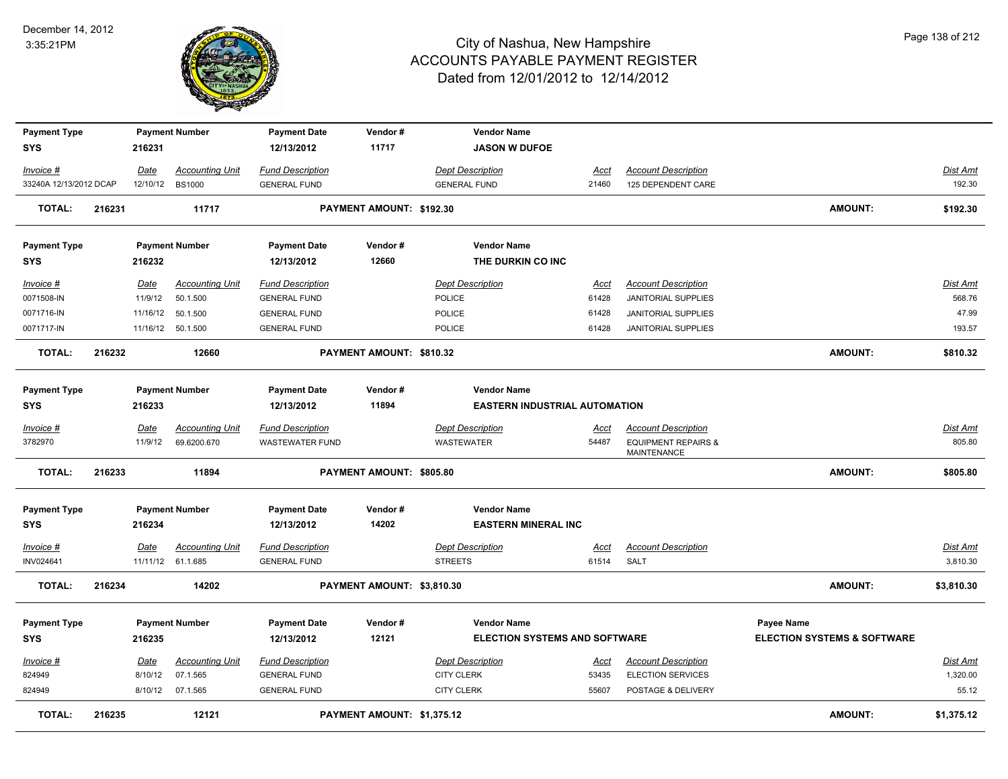

| <b>Payment Type</b>     |        |                 | <b>Payment Number</b>              | <b>Payment Date</b>                            | Vendor#                    | <b>Vendor Name</b>                   |               |                                                          |                                        |                    |
|-------------------------|--------|-----------------|------------------------------------|------------------------------------------------|----------------------------|--------------------------------------|---------------|----------------------------------------------------------|----------------------------------------|--------------------|
| <b>SYS</b>              |        | 216231          |                                    | 12/13/2012                                     | 11717                      | <b>JASON W DUFOE</b>                 |               |                                                          |                                        |                    |
| Invoice #               |        | Date            | <b>Accounting Unit</b>             | <b>Fund Description</b>                        |                            | <b>Dept Description</b>              | Acct          | <b>Account Description</b>                               |                                        | Dist Amt           |
| 33240A 12/13/2012 DCAP  |        |                 | 12/10/12 BS1000                    | <b>GENERAL FUND</b>                            |                            | <b>GENERAL FUND</b>                  | 21460         | 125 DEPENDENT CARE                                       |                                        | 192.30             |
| <b>TOTAL:</b>           | 216231 |                 | 11717                              |                                                | PAYMENT AMOUNT: \$192.30   |                                      |               |                                                          | <b>AMOUNT:</b>                         | \$192.30           |
| <b>Payment Type</b>     |        |                 | <b>Payment Number</b>              | <b>Payment Date</b>                            | Vendor#                    | <b>Vendor Name</b>                   |               |                                                          |                                        |                    |
| SYS                     |        | 216232          |                                    | 12/13/2012                                     | 12660                      | THE DURKIN CO INC                    |               |                                                          |                                        |                    |
| Invoice #<br>0071508-IN |        | Date<br>11/9/12 | <b>Accounting Unit</b><br>50.1.500 | <b>Fund Description</b><br><b>GENERAL FUND</b> |                            | <b>Dept Description</b><br>POLICE    | Acct<br>61428 | <b>Account Description</b><br><b>JANITORIAL SUPPLIES</b> |                                        | Dist Amt<br>568.76 |
| 0071716-IN              |        | 11/16/12        | 50.1.500                           | <b>GENERAL FUND</b>                            |                            | POLICE                               | 61428         | JANITORIAL SUPPLIES                                      |                                        | 47.99              |
| 0071717-IN              |        |                 | 11/16/12 50.1.500                  | <b>GENERAL FUND</b>                            |                            | <b>POLICE</b>                        | 61428         | <b>JANITORIAL SUPPLIES</b>                               |                                        | 193.57             |
| <b>TOTAL:</b>           | 216232 |                 | 12660                              |                                                | PAYMENT AMOUNT: \$810.32   |                                      |               |                                                          | AMOUNT:                                | \$810.32           |
| <b>Payment Type</b>     |        |                 | <b>Payment Number</b>              | <b>Payment Date</b>                            | Vendor#                    | <b>Vendor Name</b>                   |               |                                                          |                                        |                    |
| SYS                     |        | 216233          |                                    | 12/13/2012                                     | 11894                      | <b>EASTERN INDUSTRIAL AUTOMATION</b> |               |                                                          |                                        |                    |
| Invoice #               |        | Date            | <b>Accounting Unit</b>             | <b>Fund Description</b>                        |                            | <b>Dept Description</b>              | Acct          | <b>Account Description</b>                               |                                        | <b>Dist Amt</b>    |
| 3782970                 |        | 11/9/12         | 69.6200.670                        | <b>WASTEWATER FUND</b>                         |                            | <b>WASTEWATER</b>                    | 54487         | <b>EQUIPMENT REPAIRS &amp;</b><br><b>MAINTENANCE</b>     |                                        | 805.80             |
| <b>TOTAL:</b>           | 216233 |                 | 11894                              |                                                | PAYMENT AMOUNT: \$805.80   |                                      |               |                                                          | <b>AMOUNT:</b>                         | \$805.80           |
| <b>Payment Type</b>     |        |                 | <b>Payment Number</b>              | <b>Payment Date</b>                            | Vendor#                    | <b>Vendor Name</b>                   |               |                                                          |                                        |                    |
| <b>SYS</b>              |        | 216234          |                                    | 12/13/2012                                     | 14202                      | <b>EASTERN MINERAL INC</b>           |               |                                                          |                                        |                    |
| Invoice #               |        | Date            | <b>Accounting Unit</b>             | <b>Fund Description</b>                        |                            | <b>Dept Description</b>              | <u>Acct</u>   | <b>Account Description</b>                               |                                        | Dist Amt           |
| INV024641               |        |                 | 11/11/12 61.1.685                  | <b>GENERAL FUND</b>                            |                            | <b>STREETS</b>                       | 61514         | SALT                                                     |                                        | 3,810.30           |
| <b>TOTAL:</b>           | 216234 |                 | 14202                              |                                                | PAYMENT AMOUNT: \$3,810.30 |                                      |               |                                                          | <b>AMOUNT:</b>                         | \$3,810.30         |
| <b>Payment Type</b>     |        |                 | <b>Payment Number</b>              | <b>Payment Date</b>                            | Vendor#                    | <b>Vendor Name</b>                   |               |                                                          | Payee Name                             |                    |
| <b>SYS</b>              |        | 216235          |                                    | 12/13/2012                                     | 12121                      | <b>ELECTION SYSTEMS AND SOFTWARE</b> |               |                                                          | <b>ELECTION SYSTEMS &amp; SOFTWARE</b> |                    |
| <u>Invoice #</u>        |        | Date            | <b>Accounting Unit</b>             | <b>Fund Description</b>                        |                            | <b>Dept Description</b>              | <u>Acct</u>   | <b>Account Description</b>                               |                                        | <b>Dist Amt</b>    |
| 824949                  |        | 8/10/12         | 07.1.565                           | <b>GENERAL FUND</b>                            |                            | <b>CITY CLERK</b>                    | 53435         | <b>ELECTION SERVICES</b>                                 |                                        | 1,320.00           |
| 824949                  |        |                 | 8/10/12 07.1.565                   | <b>GENERAL FUND</b>                            |                            | <b>CITY CLERK</b>                    | 55607         | POSTAGE & DELIVERY                                       |                                        | 55.12              |
| <b>TOTAL:</b>           | 216235 |                 | 12121                              |                                                | PAYMENT AMOUNT: \$1,375.12 |                                      |               |                                                          | <b>AMOUNT:</b>                         | \$1,375.12         |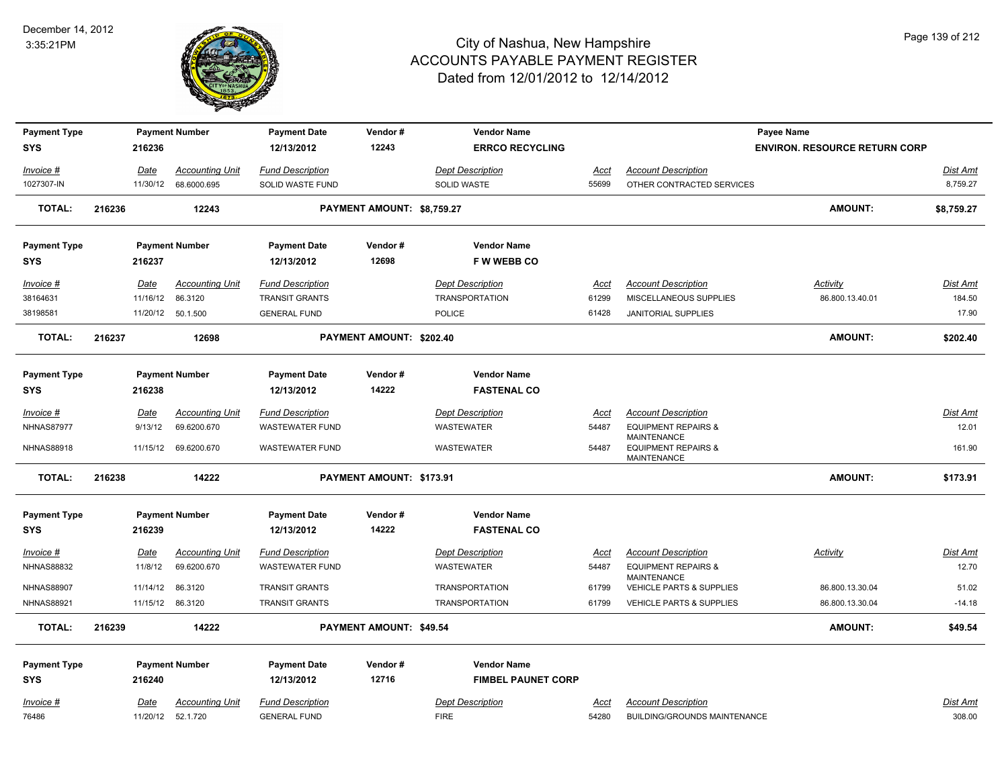

| <b>Payment Type</b>     |        |             | <b>Payment Number</b>                          | <b>Payment Date</b>                         | Vendor#                    | <b>Vendor Name</b>                            |               |                                                                     | <b>Payee Name</b>                    |                             |
|-------------------------|--------|-------------|------------------------------------------------|---------------------------------------------|----------------------------|-----------------------------------------------|---------------|---------------------------------------------------------------------|--------------------------------------|-----------------------------|
| <b>SYS</b>              |        | 216236      |                                                | 12/13/2012                                  | 12243                      | <b>ERRCO RECYCLING</b>                        |               |                                                                     | <b>ENVIRON. RESOURCE RETURN CORP</b> |                             |
|                         |        |             |                                                |                                             |                            |                                               |               |                                                                     |                                      |                             |
| Invoice #<br>1027307-IN |        | Date        | <b>Accounting Unit</b><br>11/30/12 68.6000.695 | <b>Fund Description</b><br>SOLID WASTE FUND |                            | <b>Dept Description</b><br><b>SOLID WASTE</b> | Acct<br>55699 | <b>Account Description</b><br>OTHER CONTRACTED SERVICES             |                                      | <b>Dist Amt</b><br>8,759.27 |
|                         |        |             |                                                |                                             |                            |                                               |               |                                                                     |                                      |                             |
| <b>TOTAL:</b>           | 216236 |             | 12243                                          |                                             | PAYMENT AMOUNT: \$8,759.27 |                                               |               |                                                                     | <b>AMOUNT:</b>                       | \$8,759.27                  |
| <b>Payment Type</b>     |        |             | <b>Payment Number</b>                          | <b>Payment Date</b>                         | Vendor#                    | <b>Vendor Name</b>                            |               |                                                                     |                                      |                             |
| <b>SYS</b>              |        | 216237      |                                                | 12/13/2012                                  | 12698                      | F W WEBB CO                                   |               |                                                                     |                                      |                             |
| Invoice #               |        | Date        | <b>Accounting Unit</b>                         | <b>Fund Description</b>                     |                            | <b>Dept Description</b>                       | Acct          | <b>Account Description</b>                                          | Activity                             | Dist Amt                    |
| 38164631                |        | 11/16/12    | 86.3120                                        | <b>TRANSIT GRANTS</b>                       |                            | <b>TRANSPORTATION</b>                         | 61299         | MISCELLANEOUS SUPPLIES                                              | 86.800.13.40.01                      | 184.50                      |
| 38198581                |        |             | 11/20/12 50.1.500                              | <b>GENERAL FUND</b>                         |                            | <b>POLICE</b>                                 | 61428         | <b>JANITORIAL SUPPLIES</b>                                          |                                      | 17.90                       |
| <b>TOTAL:</b>           | 216237 |             | 12698                                          |                                             | PAYMENT AMOUNT: \$202.40   |                                               |               |                                                                     | <b>AMOUNT:</b>                       | \$202.40                    |
|                         |        |             |                                                |                                             |                            |                                               |               |                                                                     |                                      |                             |
| <b>Payment Type</b>     |        |             | <b>Payment Number</b>                          | <b>Payment Date</b>                         | Vendor#                    | <b>Vendor Name</b>                            |               |                                                                     |                                      |                             |
| <b>SYS</b>              |        | 216238      |                                                | 12/13/2012                                  | 14222                      | <b>FASTENAL CO</b>                            |               |                                                                     |                                      |                             |
| Invoice #               |        | Date        | <b>Accounting Unit</b>                         | <b>Fund Description</b>                     |                            | <b>Dept Description</b>                       | Acct          | <b>Account Description</b>                                          |                                      | Dist Amt                    |
| <b>NHNAS87977</b>       |        | 9/13/12     | 69.6200.670                                    | <b>WASTEWATER FUND</b>                      |                            | WASTEWATER                                    | 54487         | <b>EQUIPMENT REPAIRS &amp;</b>                                      |                                      | 12.01                       |
| <b>NHNAS88918</b>       |        | 11/15/12    | 69.6200.670                                    | <b>WASTEWATER FUND</b>                      |                            | WASTEWATER                                    | 54487         | <b>MAINTENANCE</b><br><b>EQUIPMENT REPAIRS &amp;</b><br>MAINTENANCE |                                      | 161.90                      |
| <b>TOTAL:</b>           | 216238 |             | 14222                                          |                                             | PAYMENT AMOUNT: \$173.91   |                                               |               |                                                                     | <b>AMOUNT:</b>                       | \$173.91                    |
| <b>Payment Type</b>     |        |             | <b>Payment Number</b>                          | <b>Payment Date</b>                         | Vendor#                    | <b>Vendor Name</b>                            |               |                                                                     |                                      |                             |
| <b>SYS</b>              |        | 216239      |                                                | 12/13/2012                                  | 14222                      | <b>FASTENAL CO</b>                            |               |                                                                     |                                      |                             |
| $Invoice$ #             |        | <b>Date</b> | <b>Accounting Unit</b>                         | <b>Fund Description</b>                     |                            | <b>Dept Description</b>                       | <u>Acct</u>   | <b>Account Description</b>                                          | <b>Activity</b>                      | <b>Dist Amt</b>             |
| <b>NHNAS88832</b>       |        | 11/8/12     | 69.6200.670                                    | <b>WASTEWATER FUND</b>                      |                            | <b>WASTEWATER</b>                             | 54487         | <b>EQUIPMENT REPAIRS &amp;</b>                                      |                                      | 12.70                       |
|                         |        |             |                                                |                                             |                            |                                               |               | <b>MAINTENANCE</b>                                                  |                                      |                             |
| <b>NHNAS88907</b>       |        | 11/14/12    | 86.3120                                        | <b>TRANSIT GRANTS</b>                       |                            | <b>TRANSPORTATION</b>                         | 61799         | VEHICLE PARTS & SUPPLIES                                            | 86.800.13.30.04                      | 51.02                       |
| <b>NHNAS88921</b>       |        |             | 11/15/12 86.3120                               | <b>TRANSIT GRANTS</b>                       |                            | <b>TRANSPORTATION</b>                         | 61799         | VEHICLE PARTS & SUPPLIES                                            | 86.800.13.30.04                      | $-14.18$                    |
| <b>TOTAL:</b>           | 216239 |             | 14222                                          |                                             | PAYMENT AMOUNT: \$49.54    |                                               |               |                                                                     | <b>AMOUNT:</b>                       | \$49.54                     |
| <b>Payment Type</b>     |        |             | <b>Payment Number</b>                          | <b>Payment Date</b>                         | Vendor#                    | <b>Vendor Name</b>                            |               |                                                                     |                                      |                             |
| <b>SYS</b>              |        | 216240      |                                                | 12/13/2012                                  | 12716                      | <b>FIMBEL PAUNET CORP</b>                     |               |                                                                     |                                      |                             |
| Invoice #               |        | Date        | <b>Accounting Unit</b>                         | <b>Fund Description</b>                     |                            | <b>Dept Description</b>                       | Acct          | <b>Account Description</b>                                          |                                      | Dist Amt                    |
| 76486                   |        |             | 11/20/12  52.1.720                             | <b>GENERAL FUND</b>                         |                            | <b>FIRE</b>                                   | 54280         | <b>BUILDING/GROUNDS MAINTENANCE</b>                                 |                                      | 308.00                      |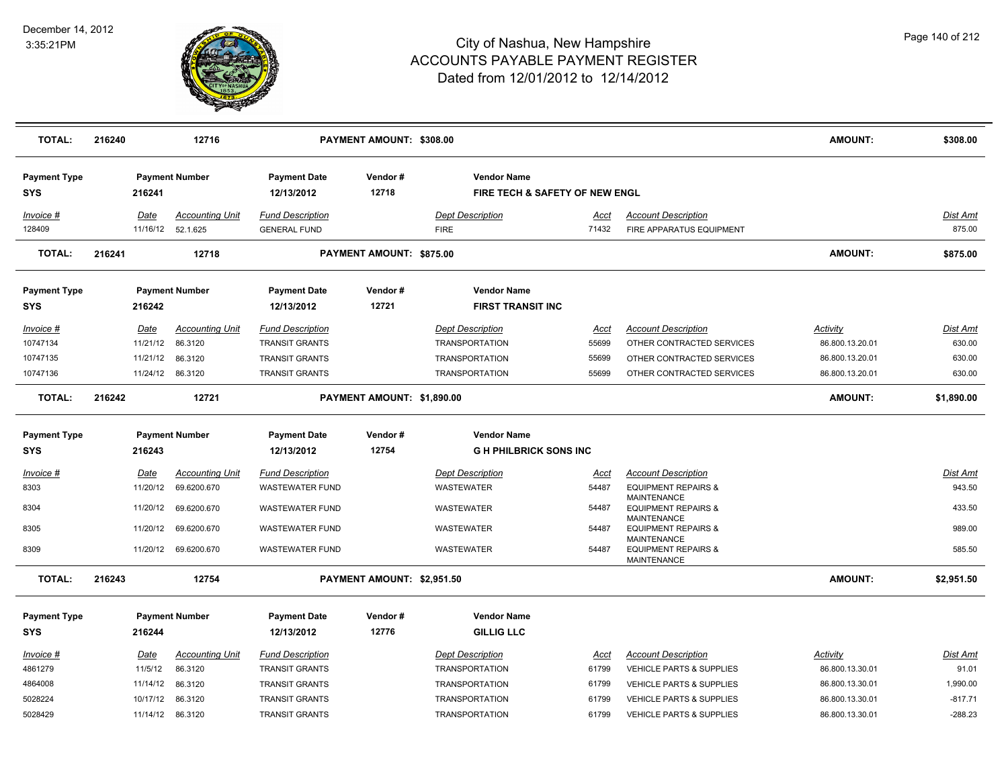

| <b>TOTAL:</b>                     | 216240 |          | 12716                                       |                                                | PAYMENT AMOUNT: \$308.00   |                                                      |               |                                                                            | <b>AMOUNT:</b>  | \$308.00                  |
|-----------------------------------|--------|----------|---------------------------------------------|------------------------------------------------|----------------------------|------------------------------------------------------|---------------|----------------------------------------------------------------------------|-----------------|---------------------------|
| <b>Payment Type</b><br><b>SYS</b> |        | 216241   | <b>Payment Number</b>                       | <b>Payment Date</b><br>12/13/2012              | Vendor#<br>12718           | <b>Vendor Name</b><br>FIRE TECH & SAFETY OF NEW ENGL |               |                                                                            |                 |                           |
| Invoice #<br>128409               |        | Date     | <b>Accounting Unit</b><br>11/16/12 52.1.625 | <b>Fund Description</b><br><b>GENERAL FUND</b> |                            | <b>Dept Description</b><br><b>FIRE</b>               | Acct<br>71432 | <b>Account Description</b><br>FIRE APPARATUS EQUIPMENT                     |                 | <b>Dist Amt</b><br>875.00 |
| <b>TOTAL:</b>                     | 216241 |          | 12718                                       |                                                | PAYMENT AMOUNT: \$875.00   |                                                      |               |                                                                            | AMOUNT:         | \$875.00                  |
| <b>Payment Type</b><br><b>SYS</b> |        | 216242   | <b>Payment Number</b>                       | <b>Payment Date</b><br>12/13/2012              | Vendor#<br>12721           | <b>Vendor Name</b><br><b>FIRST TRANSIT INC</b>       |               |                                                                            |                 |                           |
| Invoice #                         |        | Date     | <b>Accounting Unit</b>                      | <b>Fund Description</b>                        |                            | <b>Dept Description</b>                              | Acct          | <b>Account Description</b>                                                 | Activity        | <b>Dist Amt</b>           |
| 10747134                          |        | 11/21/12 | 86.3120                                     | <b>TRANSIT GRANTS</b>                          |                            | <b>TRANSPORTATION</b>                                | 55699         | OTHER CONTRACTED SERVICES                                                  | 86.800.13.20.01 | 630.00                    |
| 10747135                          |        | 11/21/12 | 86.3120                                     | <b>TRANSIT GRANTS</b>                          |                            | <b>TRANSPORTATION</b>                                | 55699         | OTHER CONTRACTED SERVICES                                                  | 86.800.13.20.01 | 630.00                    |
| 10747136                          |        | 11/24/12 | 86.3120                                     | <b>TRANSIT GRANTS</b>                          |                            | <b>TRANSPORTATION</b>                                | 55699         | OTHER CONTRACTED SERVICES                                                  | 86.800.13.20.01 | 630.00                    |
| <b>TOTAL:</b>                     | 216242 |          | 12721                                       |                                                | PAYMENT AMOUNT: \$1,890.00 |                                                      |               |                                                                            | <b>AMOUNT:</b>  | \$1,890.00                |
| <b>Payment Type</b><br><b>SYS</b> |        | 216243   | <b>Payment Number</b>                       | <b>Payment Date</b><br>12/13/2012              | Vendor#<br>12754           | <b>Vendor Name</b><br><b>GH PHILBRICK SONS INC</b>   |               |                                                                            |                 |                           |
|                                   |        |          |                                             |                                                |                            |                                                      |               |                                                                            |                 |                           |
| Invoice #                         |        | Date     | <b>Accounting Unit</b>                      | <b>Fund Description</b>                        |                            | <b>Dept Description</b>                              | Acct          | <b>Account Description</b>                                                 |                 | Dist Amt                  |
| 8303                              |        | 11/20/12 | 69.6200.670                                 | <b>WASTEWATER FUND</b>                         |                            | WASTEWATER                                           | 54487         | <b>EQUIPMENT REPAIRS &amp;</b><br><b>MAINTENANCE</b>                       |                 | 943.50                    |
| 8304                              |        | 11/20/12 | 69.6200.670                                 | <b>WASTEWATER FUND</b>                         |                            | <b>WASTEWATER</b>                                    | 54487         | <b>EQUIPMENT REPAIRS &amp;</b><br><b>MAINTENANCE</b>                       |                 | 433.50                    |
| 8305                              |        | 11/20/12 | 69.6200.670                                 | <b>WASTEWATER FUND</b>                         |                            | <b>WASTEWATER</b>                                    | 54487         | <b>EQUIPMENT REPAIRS &amp;</b>                                             |                 | 989.00                    |
| 8309                              |        | 11/20/12 | 69.6200.670                                 | <b>WASTEWATER FUND</b>                         |                            | <b>WASTEWATER</b>                                    | 54487         | <b>MAINTENANCE</b><br><b>EQUIPMENT REPAIRS &amp;</b><br><b>MAINTENANCE</b> |                 | 585.50                    |
| <b>TOTAL:</b>                     | 216243 |          | 12754                                       |                                                | PAYMENT AMOUNT: \$2,951.50 |                                                      |               |                                                                            | <b>AMOUNT:</b>  | \$2,951.50                |
| <b>Payment Type</b>               |        |          | <b>Payment Number</b>                       | <b>Payment Date</b>                            | Vendor#                    | <b>Vendor Name</b>                                   |               |                                                                            |                 |                           |
| <b>SYS</b>                        |        | 216244   |                                             | 12/13/2012                                     | 12776                      | <b>GILLIG LLC</b>                                    |               |                                                                            |                 |                           |
| Invoice #                         |        | Date     | <b>Accounting Unit</b>                      | <b>Fund Description</b>                        |                            | <b>Dept Description</b>                              | Acct          | <b>Account Description</b>                                                 | Activity        | Dist Amt                  |
| 4861279                           |        | 11/5/12  | 86.3120                                     | <b>TRANSIT GRANTS</b>                          |                            | <b>TRANSPORTATION</b>                                | 61799         | <b>VEHICLE PARTS &amp; SUPPLIES</b>                                        | 86.800.13.30.01 | 91.01                     |
| 4864008                           |        | 11/14/12 | 86.3120                                     | <b>TRANSIT GRANTS</b>                          |                            | <b>TRANSPORTATION</b>                                | 61799         | <b>VEHICLE PARTS &amp; SUPPLIES</b>                                        | 86.800.13.30.01 | 1,990.00                  |
| 5028224                           |        | 10/17/12 | 86.3120                                     | <b>TRANSIT GRANTS</b>                          |                            | <b>TRANSPORTATION</b>                                | 61799         | <b>VEHICLE PARTS &amp; SUPPLIES</b>                                        | 86.800.13.30.01 | $-817.71$                 |
| 5028429                           |        | 11/14/12 | 86.3120                                     | <b>TRANSIT GRANTS</b>                          |                            | <b>TRANSPORTATION</b>                                | 61799         | <b>VEHICLE PARTS &amp; SUPPLIES</b>                                        | 86.800.13.30.01 | $-288.23$                 |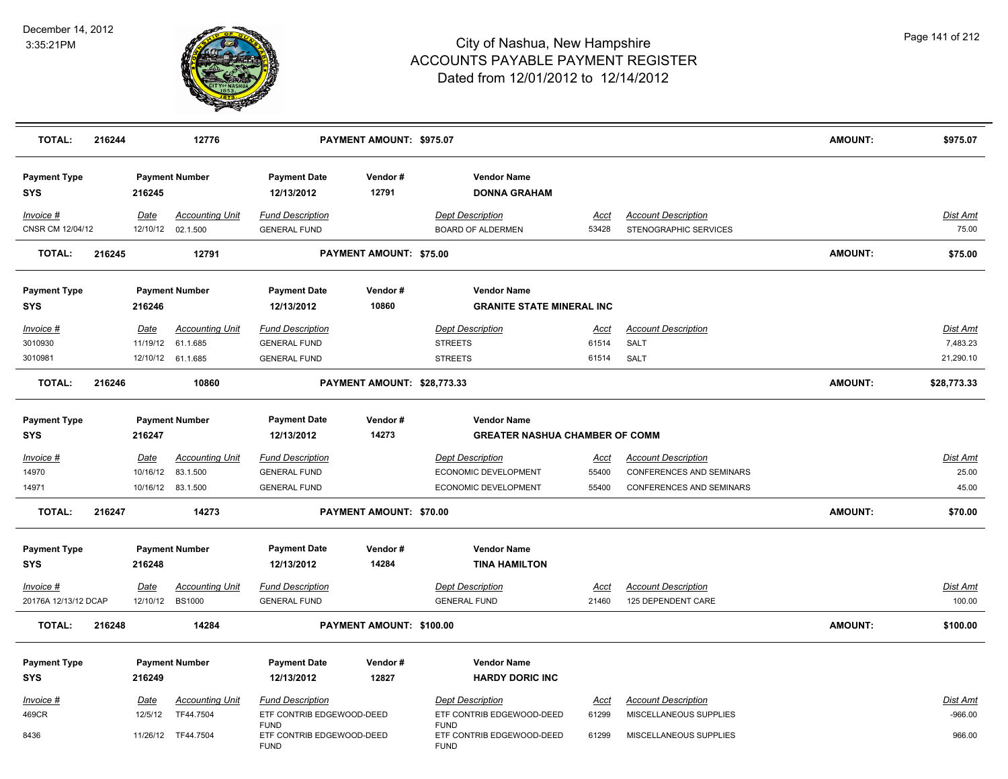

| <b>TOTAL:</b>                       | 216244 |                         | 12776                                                   |                                                                       | PAYMENT AMOUNT: \$975.07    |                                                                                |                               |                                                                                    | <b>AMOUNT:</b> | \$975.07                          |
|-------------------------------------|--------|-------------------------|---------------------------------------------------------|-----------------------------------------------------------------------|-----------------------------|--------------------------------------------------------------------------------|-------------------------------|------------------------------------------------------------------------------------|----------------|-----------------------------------|
| <b>Payment Type</b><br>SYS          |        | 216245                  | <b>Payment Number</b>                                   | <b>Payment Date</b><br>12/13/2012                                     | Vendor#<br>12791            | <b>Vendor Name</b><br><b>DONNA GRAHAM</b>                                      |                               |                                                                                    |                |                                   |
| Invoice #<br>CNSR CM 12/04/12       |        | Date                    | <b>Accounting Unit</b><br>12/10/12 02.1.500             | <b>Fund Description</b><br><b>GENERAL FUND</b>                        |                             | <b>Dept Description</b><br><b>BOARD OF ALDERMEN</b>                            | Acct<br>53428                 | <b>Account Description</b><br>STENOGRAPHIC SERVICES                                |                | Dist Amt<br>75.00                 |
| <b>TOTAL:</b>                       | 216245 |                         | 12791                                                   |                                                                       | PAYMENT AMOUNT: \$75.00     |                                                                                |                               |                                                                                    | <b>AMOUNT:</b> | \$75.00                           |
| <b>Payment Type</b><br>SYS          |        | 216246                  | <b>Payment Number</b>                                   | <b>Payment Date</b><br>12/13/2012                                     | Vendor#<br>10860            | <b>Vendor Name</b><br><b>GRANITE STATE MINERAL INC</b>                         |                               |                                                                                    |                |                                   |
| Invoice #<br>3010930<br>3010981     |        | Date<br>11/19/12        | <b>Accounting Unit</b><br>61.1.685<br>12/10/12 61.1.685 | <b>Fund Description</b><br><b>GENERAL FUND</b><br><b>GENERAL FUND</b> |                             | <b>Dept Description</b><br><b>STREETS</b><br><b>STREETS</b>                    | Acct<br>61514<br>61514        | <b>Account Description</b><br>SALT<br><b>SALT</b>                                  |                | Dist Amt<br>7,483.23<br>21,290.10 |
| <b>TOTAL:</b>                       | 216246 |                         | 10860                                                   |                                                                       | PAYMENT AMOUNT: \$28,773.33 |                                                                                |                               |                                                                                    | <b>AMOUNT:</b> | \$28,773.33                       |
| <b>Payment Type</b><br>SYS          |        | 216247                  | <b>Payment Number</b>                                   | <b>Payment Date</b><br>12/13/2012                                     | Vendor#<br>14273            | <b>Vendor Name</b><br><b>GREATER NASHUA CHAMBER OF COMM</b>                    |                               |                                                                                    |                |                                   |
| $Invoice$ #<br>14970<br>14971       |        | <u>Date</u><br>10/16/12 | <b>Accounting Unit</b><br>83.1.500<br>10/16/12 83.1.500 | <b>Fund Description</b><br><b>GENERAL FUND</b><br><b>GENERAL FUND</b> |                             | <b>Dept Description</b><br>ECONOMIC DEVELOPMENT<br><b>ECONOMIC DEVELOPMENT</b> | <u>Acct</u><br>55400<br>55400 | <b>Account Description</b><br>CONFERENCES AND SEMINARS<br>CONFERENCES AND SEMINARS |                | Dist Amt<br>25.00<br>45.00        |
| <b>TOTAL:</b>                       | 216247 |                         | 14273                                                   |                                                                       | PAYMENT AMOUNT: \$70.00     |                                                                                |                               |                                                                                    | <b>AMOUNT:</b> | \$70.00                           |
| <b>Payment Type</b><br>SYS          |        | 216248                  | <b>Payment Number</b>                                   | <b>Payment Date</b><br>12/13/2012                                     | Vendor#<br>14284            | <b>Vendor Name</b><br><b>TINA HAMILTON</b>                                     |                               |                                                                                    |                |                                   |
| $Invoice$ #<br>20176A 12/13/12 DCAP |        | <u>Date</u><br>12/10/12 | <b>Accounting Unit</b><br><b>BS1000</b>                 | <b>Fund Description</b><br><b>GENERAL FUND</b>                        |                             | <b>Dept Description</b><br><b>GENERAL FUND</b>                                 | <u>Acct</u><br>21460          | <b>Account Description</b><br>125 DEPENDENT CARE                                   |                | <u>Dist Amt</u><br>100.00         |
| <b>TOTAL:</b>                       | 216248 |                         | 14284                                                   |                                                                       | PAYMENT AMOUNT: \$100.00    |                                                                                |                               |                                                                                    | <b>AMOUNT:</b> | \$100.00                          |
| <b>Payment Type</b><br><b>SYS</b>   |        | 216249                  | <b>Payment Number</b>                                   | <b>Payment Date</b><br>12/13/2012                                     | Vendor#<br>12827            | <b>Vendor Name</b><br><b>HARDY DORIC INC</b>                                   |                               |                                                                                    |                |                                   |
| $Invoice$ #<br>469CR                |        | Date<br>12/5/12         | <b>Accounting Unit</b><br>TF44.7504                     | <b>Fund Description</b><br>ETF CONTRIB EDGEWOOD-DEED                  |                             | <b>Dept Description</b><br>ETF CONTRIB EDGEWOOD-DEED                           | <u>Acct</u><br>61299          | <b>Account Description</b><br>MISCELLANEOUS SUPPLIES                               |                | Dist Amt<br>$-966.00$             |
| 8436                                |        |                         | 11/26/12 TF44.7504                                      | <b>FUND</b><br>ETF CONTRIB EDGEWOOD-DEED<br><b>FUND</b>               |                             | <b>FUND</b><br>ETF CONTRIB EDGEWOOD-DEED<br><b>FUND</b>                        | 61299                         | MISCELLANEOUS SUPPLIES                                                             |                | 966.00                            |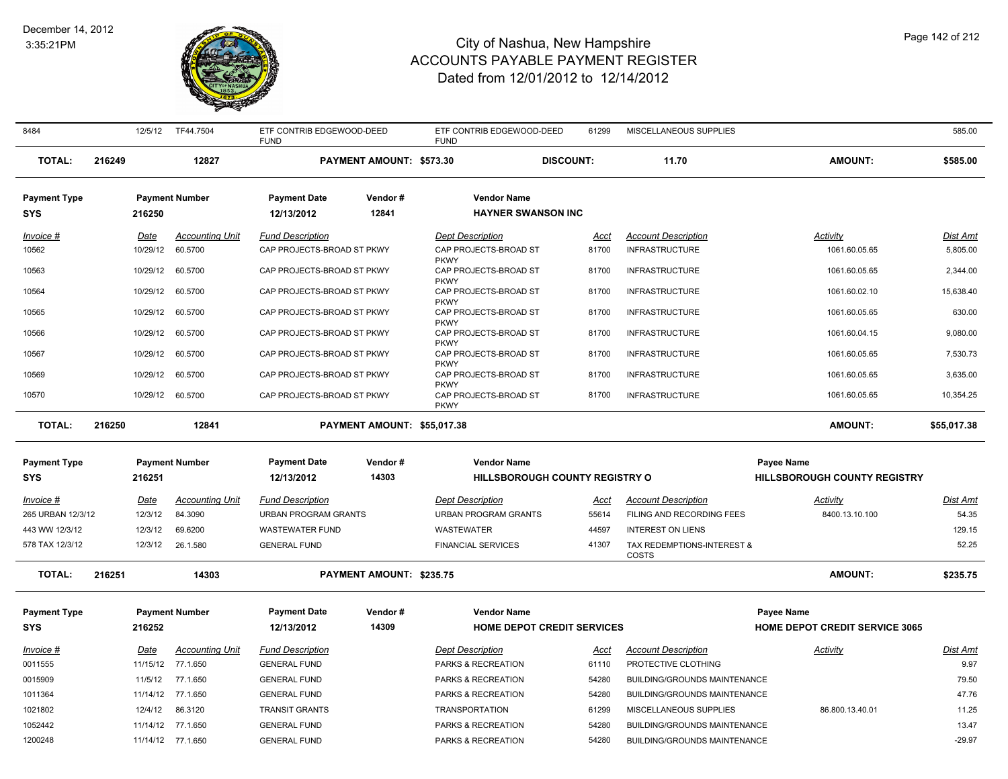#### December 14, 2012 3:35:21PM



| Page 142 of 212 |  |  |
|-----------------|--|--|
|                 |  |  |

| 8484                              | 12/5/12             | TF44.7504              | ETF CONTRIB EDGEWOOD-DEED<br><b>FUND</b>   |                             | ETF CONTRIB EDGEWOOD-DEED<br><b>FUND</b>            | 61299          | MISCELLANEOUS SUPPLIES                                 |                                       | 585.00         |
|-----------------------------------|---------------------|------------------------|--------------------------------------------|-----------------------------|-----------------------------------------------------|----------------|--------------------------------------------------------|---------------------------------------|----------------|
| <b>TOTAL:</b>                     | 216249              | 12827                  |                                            | PAYMENT AMOUNT: \$573.30    | <b>DISCOUNT:</b>                                    |                | 11.70                                                  | <b>AMOUNT:</b>                        | \$585.00       |
| <b>Payment Type</b>               |                     | <b>Payment Number</b>  | <b>Payment Date</b>                        | Vendor#                     | <b>Vendor Name</b>                                  |                |                                                        |                                       |                |
| <b>SYS</b>                        | 216250              |                        | 12/13/2012                                 | 12841                       | <b>HAYNER SWANSON INC</b>                           |                |                                                        |                                       |                |
| Invoice #                         | Date                | <b>Accounting Unit</b> | <b>Fund Description</b>                    |                             | <b>Dept Description</b>                             | Acct           | <b>Account Description</b>                             | Activity                              | Dist Amt       |
| 10562                             | 10/29/12            | 60.5700                | CAP PROJECTS-BROAD ST PKWY                 |                             | CAP PROJECTS-BROAD ST                               | 81700          | <b>INFRASTRUCTURE</b>                                  | 1061.60.05.65                         | 5,805.00       |
| 10563                             | 10/29/12            | 60.5700                | CAP PROJECTS-BROAD ST PKWY                 |                             | <b>PKWY</b><br>CAP PROJECTS-BROAD ST<br><b>PKWY</b> | 81700          | <b>INFRASTRUCTURE</b>                                  | 1061.60.05.65                         | 2,344.00       |
| 10564                             | 10/29/12            | 60.5700                | CAP PROJECTS-BROAD ST PKWY                 |                             | CAP PROJECTS-BROAD ST<br><b>PKWY</b>                | 81700          | <b>INFRASTRUCTURE</b>                                  | 1061.60.02.10                         | 15,638.40      |
| 10565                             | 10/29/12            | 60.5700                | CAP PROJECTS-BROAD ST PKWY                 |                             | CAP PROJECTS-BROAD ST<br><b>PKWY</b>                | 81700          | <b>INFRASTRUCTURE</b>                                  | 1061.60.05.65                         | 630.00         |
| 10566                             | 10/29/12            | 60.5700                | CAP PROJECTS-BROAD ST PKWY                 |                             | CAP PROJECTS-BROAD ST<br><b>PKWY</b>                | 81700          | <b>INFRASTRUCTURE</b>                                  | 1061.60.04.15                         | 9.080.00       |
| 10567                             | 10/29/12            | 60.5700                | CAP PROJECTS-BROAD ST PKWY                 |                             | CAP PROJECTS-BROAD ST<br><b>PKWY</b>                | 81700          | <b>INFRASTRUCTURE</b>                                  | 1061.60.05.65                         | 7.530.73       |
| 10569                             | 10/29/12            | 60.5700                | CAP PROJECTS-BROAD ST PKWY                 |                             | CAP PROJECTS-BROAD ST<br><b>PKWY</b>                | 81700          | <b>INFRASTRUCTURE</b>                                  | 1061.60.05.65                         | 3,635.00       |
| 10570                             | 10/29/12            | 60.5700                | CAP PROJECTS-BROAD ST PKWY                 |                             | CAP PROJECTS-BROAD ST<br><b>PKWY</b>                | 81700          | <b>INFRASTRUCTURE</b>                                  | 1061.60.05.65                         | 10,354.25      |
| <b>TOTAL:</b>                     | 216250              | 12841                  |                                            | PAYMENT AMOUNT: \$55,017,38 |                                                     |                |                                                        | <b>AMOUNT:</b>                        | \$55,017.38    |
| <b>Payment Type</b>               |                     | <b>Payment Number</b>  | <b>Payment Date</b>                        | Vendor #                    | <b>Vendor Name</b>                                  |                |                                                        | Payee Name                            |                |
| <b>SYS</b>                        | 216251              |                        | 12/13/2012                                 | 14303                       | <b>HILLSBOROUGH COUNTY REGISTRY O</b>               |                |                                                        | <b>HILLSBOROUGH COUNTY REGISTRY</b>   |                |
| Invoice #                         | Date                | <b>Accounting Unit</b> | <b>Fund Description</b>                    |                             | <b>Dept Description</b>                             |                | <b>Account Description</b>                             | Activity                              | Dist Amt       |
| 265 URBAN 12/3/12                 | 12/3/12             | 84.3090                | <b>URBAN PROGRAM GRANTS</b>                |                             |                                                     |                |                                                        |                                       |                |
| 443 WW 12/3/12                    | 12/3/12             |                        |                                            |                             | <b>URBAN PROGRAM GRANTS</b>                         | Acct<br>55614  | FILING AND RECORDING FEES                              | 8400.13.10.100                        | 54.35          |
| 578 TAX 12/3/12                   |                     | 69.6200                | <b>WASTEWATER FUND</b>                     |                             | <b>WASTEWATER</b>                                   | 44597          | <b>INTEREST ON LIENS</b>                               |                                       | 129.15         |
|                                   | 12/3/12             | 26.1.580               | <b>GENERAL FUND</b>                        |                             | <b>FINANCIAL SERVICES</b>                           | 41307          | TAX REDEMPTIONS-INTEREST &<br>COSTS                    |                                       | 52.25          |
| <b>TOTAL:</b>                     | 216251              | 14303                  |                                            | PAYMENT AMOUNT: \$235.75    |                                                     |                |                                                        | <b>AMOUNT:</b>                        | \$235.75       |
|                                   |                     | <b>Payment Number</b>  | <b>Payment Date</b>                        | Vendor#                     | <b>Vendor Name</b>                                  |                |                                                        | Payee Name                            |                |
| <b>Payment Type</b><br><b>SYS</b> | 216252              |                        | 12/13/2012                                 | 14309                       | <b>HOME DEPOT CREDIT SERVICES</b>                   |                |                                                        | <b>HOME DEPOT CREDIT SERVICE 3065</b> |                |
|                                   |                     |                        |                                            |                             |                                                     |                |                                                        |                                       |                |
| Invoice #                         | Date                | <b>Accounting Unit</b> | <b>Fund Description</b>                    |                             | <b>Dept Description</b>                             | Acct           | <b>Account Description</b>                             | Activity                              | Dist Amt       |
| 0011555                           | 11/15/12            | 77.1.650               | <b>GENERAL FUND</b>                        |                             | PARKS & RECREATION                                  | 61110          | PROTECTIVE CLOTHING                                    |                                       | 9.97           |
| 0015909                           | 11/5/12             | 77.1.650<br>77.1.650   | <b>GENERAL FUND</b><br><b>GENERAL FUND</b> |                             | PARKS & RECREATION                                  | 54280          | BUILDING/GROUNDS MAINTENANCE                           |                                       | 79.50<br>47.76 |
| 1011364                           | 11/14/12            | 86.3120                | <b>TRANSIT GRANTS</b>                      |                             | PARKS & RECREATION<br><b>TRANSPORTATION</b>         | 54280          | BUILDING/GROUNDS MAINTENANCE                           | 86.800.13.40.01                       |                |
| 1021802<br>1052442                | 12/4/12<br>11/14/12 | 77.1.650               | <b>GENERAL FUND</b>                        |                             | PARKS & RECREATION                                  | 61299<br>54280 | MISCELLANEOUS SUPPLIES<br>BUILDING/GROUNDS MAINTENANCE |                                       | 11.25<br>13.47 |
| 1200248                           |                     | 11/14/12 77.1.650      | <b>GENERAL FUND</b>                        |                             | PARKS & RECREATION                                  | 54280          | BUILDING/GROUNDS MAINTENANCE                           |                                       | $-29.97$       |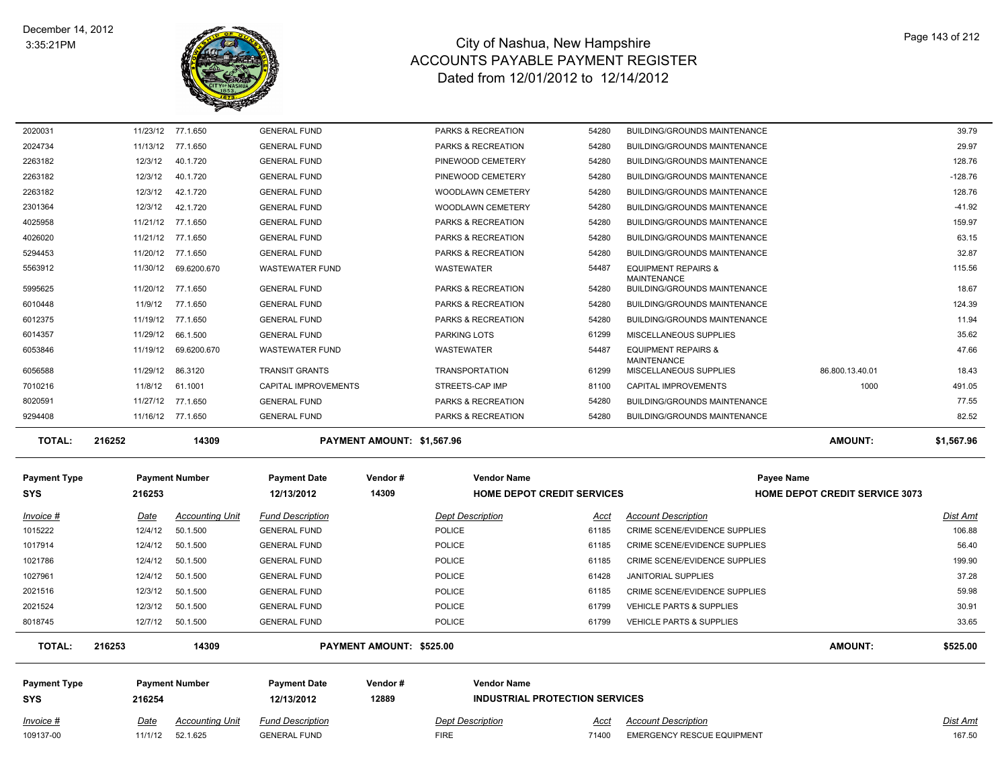

| TOTAL:  | 216252   | 14309             |                             | PAYMENT AMOUNT: \$1,567.96    |       |                                                           | <b>AMOUNT:</b>  | \$1,567.96 |
|---------|----------|-------------------|-----------------------------|-------------------------------|-------|-----------------------------------------------------------|-----------------|------------|
| 9294408 | 11/16/12 | 77.1.650          | <b>GENERAL FUND</b>         | PARKS & RECREATION            | 54280 | <b>BUILDING/GROUNDS MAINTENANCE</b>                       |                 | 82.52      |
| 8020591 | 11/27/12 | 77.1.650          | <b>GENERAL FUND</b>         | PARKS & RECREATION            | 54280 | <b>BUILDING/GROUNDS MAINTENANCE</b>                       |                 | 77.55      |
| 7010216 | 11/8/12  | 61.1001           | <b>CAPITAL IMPROVEMENTS</b> | STREETS-CAP IMP               | 81100 | <b>CAPITAL IMPROVEMENTS</b>                               | 1000            | 491.05     |
| 6056588 | 11/29/12 | 86.3120           | <b>TRANSIT GRANTS</b>       | <b>TRANSPORTATION</b>         | 61299 | <b>MAINTENANCE</b><br><b>MISCELLANEOUS SUPPLIES</b>       | 86.800.13.40.01 | 18.43      |
| 6053846 | 11/19/12 | 69.6200.670       | <b>WASTEWATER FUND</b>      | <b>WASTEWATER</b>             | 54487 | <b>EQUIPMENT REPAIRS &amp;</b>                            |                 | 47.66      |
| 6014357 | 11/29/12 | 66.1.500          | <b>GENERAL FUND</b>         | <b>PARKING LOTS</b>           | 61299 | MISCELLANEOUS SUPPLIES                                    |                 | 35.62      |
| 6012375 | 11/19/12 | 77.1.650          | <b>GENERAL FUND</b>         | <b>PARKS &amp; RECREATION</b> | 54280 | <b>BUILDING/GROUNDS MAINTENANCE</b>                       |                 | 11.94      |
| 6010448 | 11/9/12  | 77.1.650          | <b>GENERAL FUND</b>         | PARKS & RECREATION            | 54280 | <b>BUILDING/GROUNDS MAINTENANCE</b>                       |                 | 124.39     |
| 5995625 |          | 11/20/12 77.1.650 | <b>GENERAL FUND</b>         | PARKS & RECREATION            | 54280 | <b>MAINTENANCE</b><br><b>BUILDING/GROUNDS MAINTENANCE</b> |                 | 18.67      |
| 5563912 | 11/30/12 | 69.6200.670       | <b>WASTEWATER FUND</b>      | <b>WASTEWATER</b>             | 54487 | <b>EQUIPMENT REPAIRS &amp;</b>                            |                 | 115.56     |
| 5294453 | 11/20/12 | 77.1.650          | <b>GENERAL FUND</b>         | <b>PARKS &amp; RECREATION</b> | 54280 | <b>BUILDING/GROUNDS MAINTENANCE</b>                       |                 | 32.87      |
| 4026020 |          | 11/21/12 77.1.650 | <b>GENERAL FUND</b>         | <b>PARKS &amp; RECREATION</b> | 54280 | <b>BUILDING/GROUNDS MAINTENANCE</b>                       |                 | 63.15      |
| 4025958 | 11/21/12 | 77.1.650          | <b>GENERAL FUND</b>         | <b>PARKS &amp; RECREATION</b> | 54280 | <b>BUILDING/GROUNDS MAINTENANCE</b>                       |                 | 159.97     |
| 2301364 | 12/3/12  | 42.1.720          | <b>GENERAL FUND</b>         | <b>WOODLAWN CEMETERY</b>      | 54280 | <b>BUILDING/GROUNDS MAINTENANCE</b>                       |                 | $-41.92$   |
| 2263182 | 12/3/12  | 42.1.720          | <b>GENERAL FUND</b>         | <b>WOODLAWN CEMETERY</b>      | 54280 | <b>BUILDING/GROUNDS MAINTENANCE</b>                       |                 | 128.76     |
| 2263182 | 12/3/12  | 40.1.720          | <b>GENERAL FUND</b>         | PINEWOOD CEMETERY             | 54280 | <b>BUILDING/GROUNDS MAINTENANCE</b>                       |                 | $-128.76$  |
| 2263182 | 12/3/12  | 40.1.720          | <b>GENERAL FUND</b>         | PINEWOOD CEMETERY             | 54280 | <b>BUILDING/GROUNDS MAINTENANCE</b>                       |                 | 128.76     |
| 2024734 | 11/13/12 | 77.1.650          | <b>GENERAL FUND</b>         | PARKS & RECREATION            | 54280 | <b>BUILDING/GROUNDS MAINTENANCE</b>                       |                 | 29.97      |
| 2020031 |          | 11/23/12 77.1.650 | <b>GENERAL FUND</b>         | <b>PARKS &amp; RECREATION</b> | 54280 | <b>BUILDING/GROUNDS MAINTENANCE</b>                       |                 | 39.79      |

| <b>Payment Type</b><br><b>SYS</b>                                | 216253                                                      | <b>Payment Number</b>                                                              | <b>Payment Date</b><br>12/13/2012                                                                                                          | Vendor#<br>14309                | <b>Vendor Name</b><br><b>HOME DEPOT CREDIT SERVICES</b>                                                      |                                                   | Payee Name<br><b>HOME DEPOT CREDIT SERVICE 3073</b>                                                                                                                                          |                |                                                         |
|------------------------------------------------------------------|-------------------------------------------------------------|------------------------------------------------------------------------------------|--------------------------------------------------------------------------------------------------------------------------------------------|---------------------------------|--------------------------------------------------------------------------------------------------------------|---------------------------------------------------|----------------------------------------------------------------------------------------------------------------------------------------------------------------------------------------------|----------------|---------------------------------------------------------|
| Invoice #<br>1015222<br>1017914<br>1021786<br>1027961<br>2021516 | Date<br>12/4/12<br>12/4/12<br>12/4/12<br>12/4/12<br>12/3/12 | <b>Accounting Unit</b><br>50.1.500<br>50.1.500<br>50.1.500<br>50.1.500<br>50.1.500 | <b>Fund Description</b><br><b>GENERAL FUND</b><br><b>GENERAL FUND</b><br><b>GENERAL FUND</b><br><b>GENERAL FUND</b><br><b>GENERAL FUND</b> |                                 | <b>Dept Description</b><br><b>POLICE</b><br><b>POLICE</b><br><b>POLICE</b><br><b>POLICE</b><br><b>POLICE</b> | Acct<br>61185<br>61185<br>61185<br>61428<br>61185 | <b>Account Description</b><br>CRIME SCENE/EVIDENCE SUPPLIES<br>CRIME SCENE/EVIDENCE SUPPLIES<br>CRIME SCENE/EVIDENCE SUPPLIES<br><b>JANITORIAL SUPPLIES</b><br>CRIME SCENE/EVIDENCE SUPPLIES |                | Dist Amt<br>106.88<br>56.40<br>199.90<br>37.28<br>59.98 |
| 2021524<br>8018745                                               | 12/3/12<br>12/7/12                                          | 50.1.500<br>50.1.500                                                               | <b>GENERAL FUND</b><br><b>GENERAL FUND</b>                                                                                                 |                                 | <b>POLICE</b><br><b>POLICE</b>                                                                               | 61799<br>61799                                    | <b>VEHICLE PARTS &amp; SUPPLIES</b><br><b>VEHICLE PARTS &amp; SUPPLIES</b>                                                                                                                   |                | 30.91<br>33.65                                          |
| <b>TOTAL:</b>                                                    | 216253                                                      | 14309                                                                              |                                                                                                                                            | <b>PAYMENT AMOUNT: \$525.00</b> |                                                                                                              |                                                   |                                                                                                                                                                                              | <b>AMOUNT:</b> | \$525.00                                                |
| <b>Payment Type</b><br><b>SYS</b>                                | 216254                                                      | <b>Payment Number</b>                                                              | <b>Payment Date</b><br>12/13/2012                                                                                                          | Vendor#<br>12889                | <b>Vendor Name</b>                                                                                           | <b>INDUSTRIAL PROTECTION SERVICES</b>             |                                                                                                                                                                                              |                |                                                         |
| Invoice #                                                        | Date                                                        | <b>Accounting Unit</b>                                                             | <b>Fund Description</b>                                                                                                                    |                                 | <b>Dept Description</b>                                                                                      | Acct                                              | <b>Account Description</b>                                                                                                                                                                   |                | Dist Amt                                                |

109137-00 11/1/12 52.1.625 GENERAL FUND FIRE 71400 EMERGENCY RESCUE EQUIPMENT 167.50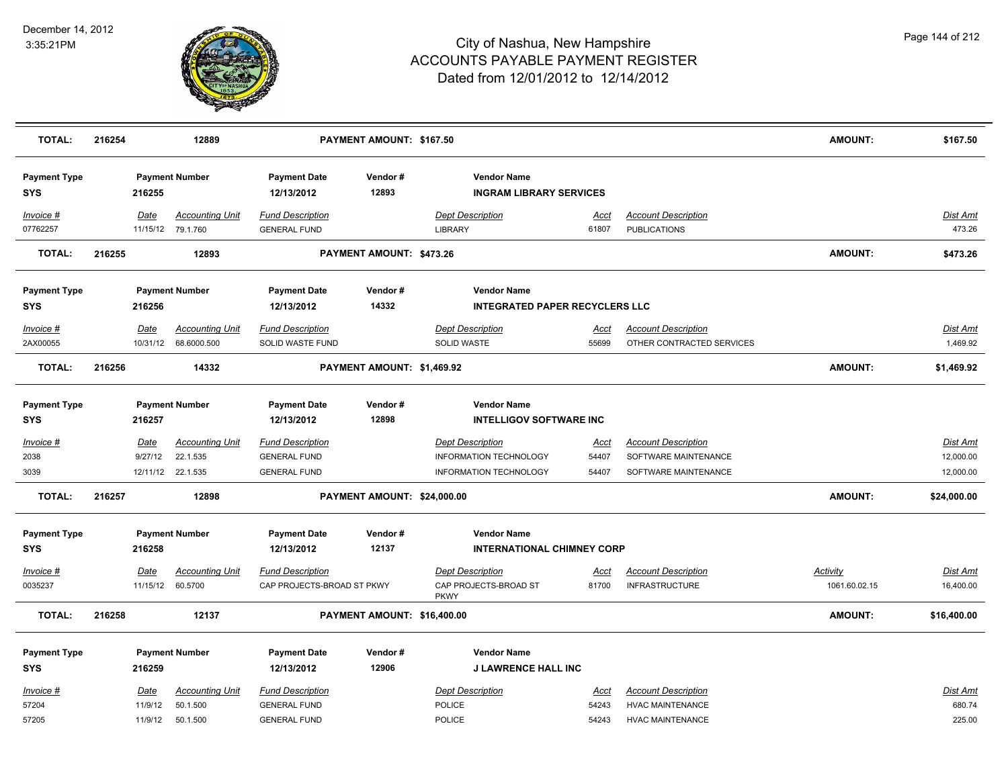

| <b>TOTAL:</b>                     | 216254 | 12889<br>PAYMENT AMOUNT: \$167.50 |                                                         |                                                                       |                                                                          |                                                                                    | <b>AMOUNT:</b>                    | \$167.50                                                                   |                 |                                           |
|-----------------------------------|--------|-----------------------------------|---------------------------------------------------------|-----------------------------------------------------------------------|--------------------------------------------------------------------------|------------------------------------------------------------------------------------|-----------------------------------|----------------------------------------------------------------------------|-----------------|-------------------------------------------|
| <b>Payment Type</b><br><b>SYS</b> |        | 216255                            | <b>Payment Number</b>                                   | <b>Payment Date</b><br>12/13/2012                                     | Vendor#<br><b>Vendor Name</b><br>12893<br><b>INGRAM LIBRARY SERVICES</b> |                                                                                    |                                   |                                                                            |                 |                                           |
| <b>Invoice #</b><br>07762257      |        | Date<br>11/15/12                  | <b>Accounting Unit</b><br>79.1.760                      | <b>Fund Description</b><br><b>GENERAL FUND</b>                        |                                                                          | <b>Dept Description</b><br><b>LIBRARY</b>                                          | Acct<br>61807                     | <b>Account Description</b><br><b>PUBLICATIONS</b>                          |                 | Dist Amt<br>473.26                        |
| <b>TOTAL:</b>                     | 216255 |                                   | 12893                                                   |                                                                       | PAYMENT AMOUNT: \$473.26                                                 |                                                                                    |                                   |                                                                            | AMOUNT:         | \$473.26                                  |
| <b>Payment Type</b><br><b>SYS</b> |        | 216256                            | <b>Payment Number</b>                                   | <b>Payment Date</b><br>12/13/2012                                     | Vendor#<br>14332                                                         | <b>Vendor Name</b><br><b>INTEGRATED PAPER RECYCLERS LLC</b>                        |                                   |                                                                            |                 |                                           |
| <b>Invoice #</b><br>2AX00055      |        | <u>Date</u><br>10/31/12           | <b>Accounting Unit</b><br>68.6000.500                   | <b>Fund Description</b><br>SOLID WASTE FUND                           |                                                                          | <b>Dept Description</b><br>SOLID WASTE                                             | <u>Acct</u><br>55699              | <b>Account Description</b><br>OTHER CONTRACTED SERVICES                    |                 | <b>Dist Amt</b><br>1,469.92               |
| <b>TOTAL:</b>                     | 216256 |                                   | 14332                                                   |                                                                       | PAYMENT AMOUNT: \$1,469.92                                               |                                                                                    |                                   |                                                                            | <b>AMOUNT:</b>  | \$1,469.92                                |
| <b>Payment Type</b><br><b>SYS</b> |        | 216257                            | <b>Payment Number</b>                                   | <b>Payment Date</b><br>12/13/2012                                     | Vendor#<br>12898                                                         | <b>Vendor Name</b><br><b>INTELLIGOV SOFTWARE INC</b>                               |                                   |                                                                            |                 |                                           |
| <u>Invoice #</u><br>2038<br>3039  |        | Date<br>9/27/12                   | <b>Accounting Unit</b><br>22.1.535<br>12/11/12 22.1.535 | <b>Fund Description</b><br><b>GENERAL FUND</b><br><b>GENERAL FUND</b> |                                                                          | <b>Dept Description</b><br><b>INFORMATION TECHNOLOGY</b><br>INFORMATION TECHNOLOGY | <u>Acct</u><br>54407<br>54407     | <b>Account Description</b><br>SOFTWARE MAINTENANCE<br>SOFTWARE MAINTENANCE |                 | <b>Dist Amt</b><br>12,000.00<br>12,000.00 |
| <b>TOTAL:</b>                     | 216257 | 12898                             |                                                         | PAYMENT AMOUNT: \$24,000.00                                           |                                                                          |                                                                                    |                                   |                                                                            | <b>AMOUNT:</b>  | \$24,000.00                               |
| <b>Payment Type</b><br><b>SYS</b> |        | 216258                            | <b>Payment Number</b>                                   | <b>Payment Date</b><br>12/13/2012                                     | Vendor#<br>12137                                                         | <b>Vendor Name</b>                                                                 | <b>INTERNATIONAL CHIMNEY CORP</b> |                                                                            |                 |                                           |
| Invoice #                         |        | Date                              | <b>Accounting Unit</b>                                  | <b>Fund Description</b>                                               |                                                                          | <b>Dept Description</b>                                                            | Acct                              | <b>Account Description</b>                                                 | <u>Activity</u> | <u>Dist Amt</u>                           |
| 0035237                           |        | 11/15/12                          | 60.5700                                                 | CAP PROJECTS-BROAD ST PKWY                                            |                                                                          | CAP PROJECTS-BROAD ST<br><b>PKWY</b>                                               | 81700                             | <b>INFRASTRUCTURE</b>                                                      | 1061.60.02.15   | 16,400.00                                 |
| <b>TOTAL:</b>                     | 216258 |                                   | 12137                                                   |                                                                       | PAYMENT AMOUNT: \$16,400.00                                              |                                                                                    |                                   |                                                                            | AMOUNT:         | \$16,400.00                               |
| <b>Payment Type</b>               |        |                                   | <b>Payment Number</b>                                   | <b>Payment Date</b>                                                   | Vendor#                                                                  | <b>Vendor Name</b>                                                                 |                                   |                                                                            |                 |                                           |
| <b>SYS</b>                        |        | 216259                            |                                                         | 12/13/2012                                                            | 12906                                                                    |                                                                                    | J LAWRENCE HALL INC               |                                                                            |                 |                                           |
| Invoice #<br>57204                |        | <u>Date</u><br>11/9/12            | <b>Accounting Unit</b><br>50.1.500                      | <b>Fund Description</b><br><b>GENERAL FUND</b>                        |                                                                          | <b>Dept Description</b><br><b>POLICE</b>                                           | Acct<br>54243                     | <b>Account Description</b><br><b>HVAC MAINTENANCE</b>                      |                 | Dist Amt<br>680.74                        |
| 57205                             |        | 11/9/12                           | 50.1.500                                                | <b>GENERAL FUND</b>                                                   |                                                                          | <b>POLICE</b>                                                                      | 54243                             | <b>HVAC MAINTENANCE</b>                                                    |                 | 225.00                                    |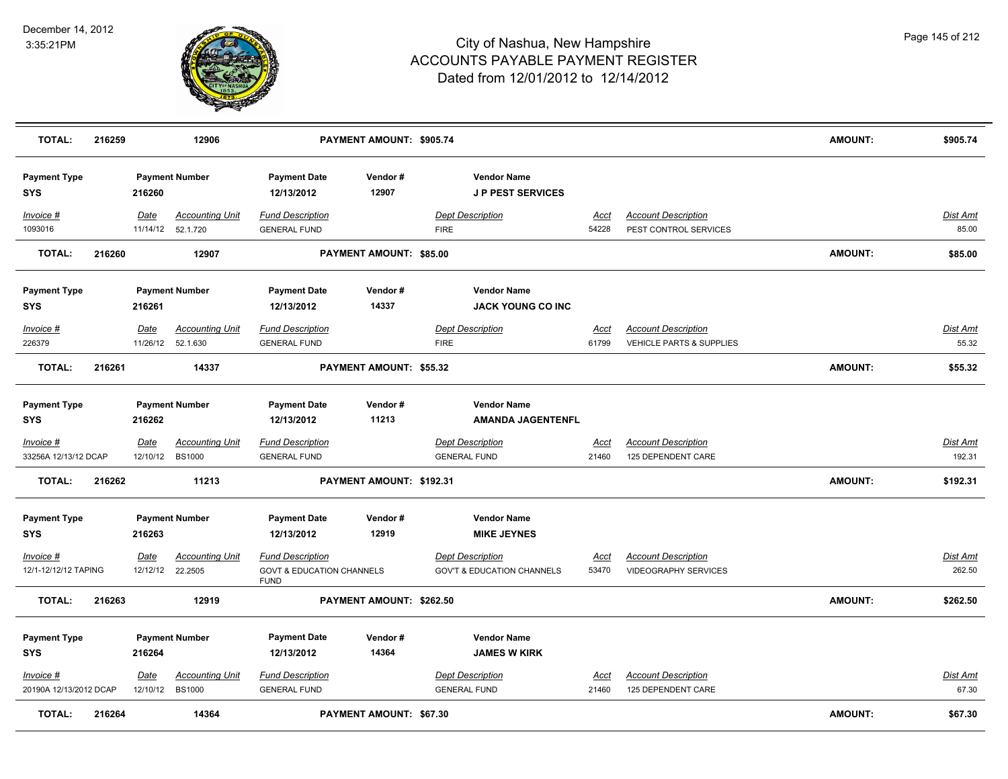

| <b>TOTAL:</b>                            | 216259 |                  | 12906                                       |                                                                                | PAYMENT AMOUNT: \$905.74 |                                                                  |                      |                                                                   | <b>AMOUNT:</b> | \$905.74                  |
|------------------------------------------|--------|------------------|---------------------------------------------|--------------------------------------------------------------------------------|--------------------------|------------------------------------------------------------------|----------------------|-------------------------------------------------------------------|----------------|---------------------------|
| <b>Payment Type</b><br>SYS               |        | 216260           | <b>Payment Number</b>                       | <b>Payment Date</b><br>12/13/2012                                              | Vendor#<br>12907         | <b>Vendor Name</b><br><b>JP PEST SERVICES</b>                    |                      |                                                                   |                |                           |
| Invoice #<br>1093016                     |        | Date<br>11/14/12 | <b>Accounting Unit</b><br>52.1.720          | <b>Fund Description</b><br><b>GENERAL FUND</b>                                 |                          | <b>Dept Description</b><br><b>FIRE</b>                           | Acct<br>54228        | <b>Account Description</b><br>PEST CONTROL SERVICES               |                | Dist Amt<br>85.00         |
| <b>TOTAL:</b>                            | 216260 |                  | 12907                                       |                                                                                | PAYMENT AMOUNT: \$85.00  |                                                                  |                      |                                                                   | AMOUNT:        | \$85.00                   |
| <b>Payment Type</b><br>SYS               |        | 216261           | <b>Payment Number</b>                       | <b>Payment Date</b><br>12/13/2012                                              | Vendor#<br>14337         | <b>Vendor Name</b><br><b>JACK YOUNG CO INC</b>                   |                      |                                                                   |                |                           |
| Invoice #<br>226379                      |        | Date             | <b>Accounting Unit</b><br>11/26/12 52.1.630 | <b>Fund Description</b><br><b>GENERAL FUND</b>                                 |                          | <b>Dept Description</b><br><b>FIRE</b>                           | Acct<br>61799        | <b>Account Description</b><br><b>VEHICLE PARTS &amp; SUPPLIES</b> |                | <b>Dist Amt</b><br>55.32  |
| <b>TOTAL:</b>                            | 216261 |                  | 14337                                       |                                                                                | PAYMENT AMOUNT: \$55.32  |                                                                  |                      |                                                                   | <b>AMOUNT:</b> | \$55.32                   |
| <b>Payment Type</b><br>SYS               |        | 216262           | <b>Payment Number</b>                       | <b>Payment Date</b><br>12/13/2012                                              | Vendor#<br>11213         | <b>Vendor Name</b><br><b>AMANDA JAGENTENFL</b>                   |                      |                                                                   |                |                           |
| <u>Invoice #</u><br>33256A 12/13/12 DCAP |        | Date             | <b>Accounting Unit</b><br>12/10/12 BS1000   | <b>Fund Description</b><br><b>GENERAL FUND</b>                                 |                          | <b>Dept Description</b><br><b>GENERAL FUND</b>                   | <u>Acct</u><br>21460 | <b>Account Description</b><br>125 DEPENDENT CARE                  |                | <u>Dist Amt</u><br>192.31 |
| <b>TOTAL:</b>                            | 216262 |                  | 11213                                       |                                                                                | PAYMENT AMOUNT: \$192.31 |                                                                  |                      |                                                                   | <b>AMOUNT:</b> | \$192.31                  |
| <b>Payment Type</b><br><b>SYS</b>        |        | 216263           | <b>Payment Number</b>                       | <b>Payment Date</b><br>12/13/2012                                              | Vendor#<br>12919         | <b>Vendor Name</b><br><b>MIKE JEYNES</b>                         |                      |                                                                   |                |                           |
| Invoice #<br>12/1-12/12/12 TAPING        |        | Date<br>12/12/12 | <b>Accounting Unit</b><br>22.2505           | <b>Fund Description</b><br><b>GOVT &amp; EDUCATION CHANNELS</b><br><b>FUND</b> |                          | <b>Dept Description</b><br><b>GOV'T &amp; EDUCATION CHANNELS</b> | Acct<br>53470        | <b>Account Description</b><br><b>VIDEOGRAPHY SERVICES</b>         |                | <u>Dist Amt</u><br>262.50 |
| <b>TOTAL:</b>                            | 216263 |                  | 12919                                       |                                                                                | PAYMENT AMOUNT: \$262.50 |                                                                  |                      |                                                                   | <b>AMOUNT:</b> | \$262.50                  |
| <b>Payment Type</b><br><b>SYS</b>        |        | 216264           | <b>Payment Number</b>                       | <b>Payment Date</b><br>12/13/2012                                              | Vendor#<br>14364         | <b>Vendor Name</b><br><b>JAMES W KIRK</b>                        |                      |                                                                   |                |                           |
| Invoice #<br>20190A 12/13/2012 DCAP      |        | Date<br>12/10/12 | <b>Accounting Unit</b><br><b>BS1000</b>     | <b>Fund Description</b><br><b>GENERAL FUND</b>                                 |                          | <b>Dept Description</b><br><b>GENERAL FUND</b>                   | Acct<br>21460        | <b>Account Description</b><br>125 DEPENDENT CARE                  |                | Dist Amt<br>67.30         |
| <b>TOTAL:</b>                            | 216264 |                  | 14364                                       |                                                                                | PAYMENT AMOUNT: \$67.30  |                                                                  |                      |                                                                   | <b>AMOUNT:</b> | \$67.30                   |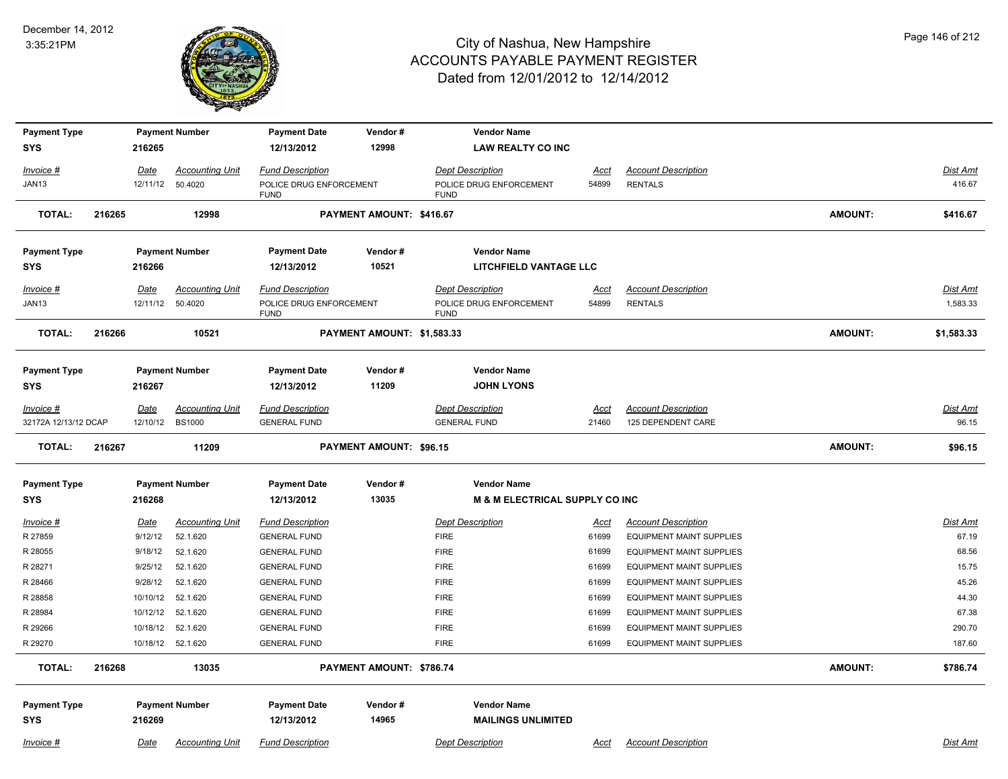

| <b>Payment Type</b>               |        |             | <b>Payment Number</b>         | <b>Payment Date</b>                        | Vendor#                    | <b>Vendor Name</b>                              |                |                                                                    |                |                  |
|-----------------------------------|--------|-------------|-------------------------------|--------------------------------------------|----------------------------|-------------------------------------------------|----------------|--------------------------------------------------------------------|----------------|------------------|
| <b>SYS</b>                        |        | 216265      |                               | 12/13/2012                                 | 12998                      | <b>LAW REALTY CO INC</b>                        |                |                                                                    |                |                  |
| Invoice #                         |        | Date        | <b>Accounting Unit</b>        | <b>Fund Description</b>                    |                            | <b>Dept Description</b>                         | Acct           | <b>Account Description</b>                                         |                | Dist Amt         |
| JAN13                             |        | 12/11/12    | 50.4020                       | POLICE DRUG ENFORCEMENT<br><b>FUND</b>     |                            | POLICE DRUG ENFORCEMENT<br><b>FUND</b>          | 54899          | <b>RENTALS</b>                                                     |                | 416.67           |
| <b>TOTAL:</b>                     | 216265 |             | 12998                         |                                            | PAYMENT AMOUNT: \$416.67   |                                                 |                |                                                                    | <b>AMOUNT:</b> | \$416.67         |
| <b>Payment Type</b>               |        |             | <b>Payment Number</b>         | <b>Payment Date</b>                        | Vendor#                    | <b>Vendor Name</b>                              |                |                                                                    |                |                  |
| <b>SYS</b>                        |        | 216266      |                               | 12/13/2012                                 | 10521                      | <b>LITCHFIELD VANTAGE LLC</b>                   |                |                                                                    |                |                  |
| $Invoice$ #                       |        | Date        | <b>Accounting Unit</b>        | <b>Fund Description</b>                    |                            | <b>Dept Description</b>                         | Acct           | <b>Account Description</b>                                         |                | Dist Amt         |
| JAN13                             |        | 12/11/12    | 50.4020                       | POLICE DRUG ENFORCEMENT<br><b>FUND</b>     |                            | POLICE DRUG ENFORCEMENT<br><b>FUND</b>          | 54899          | <b>RENTALS</b>                                                     |                | 1,583.33         |
| <b>TOTAL:</b>                     | 216266 |             | 10521                         |                                            | PAYMENT AMOUNT: \$1,583.33 |                                                 |                |                                                                    | <b>AMOUNT:</b> | \$1,583.33       |
| <b>Payment Type</b>               |        |             | <b>Payment Number</b>         | <b>Payment Date</b>                        | Vendor#                    | <b>Vendor Name</b>                              |                |                                                                    |                |                  |
| <b>SYS</b>                        |        | 216267      |                               | 12/13/2012                                 | 11209                      | <b>JOHN LYONS</b>                               |                |                                                                    |                |                  |
| Invoice #                         |        | <b>Date</b> | <b>Accounting Unit</b>        | <b>Fund Description</b>                    |                            | <b>Dept Description</b>                         | <u>Acct</u>    | <b>Account Description</b>                                         |                | <b>Dist Amt</b>  |
| 32172A 12/13/12 DCAP              |        |             | 12/10/12 BS1000               | <b>GENERAL FUND</b>                        |                            | <b>GENERAL FUND</b>                             | 21460          | 125 DEPENDENT CARE                                                 |                | 96.15            |
|                                   |        |             |                               |                                            |                            |                                                 |                |                                                                    |                |                  |
| <b>TOTAL:</b>                     | 216267 |             | 11209                         |                                            | PAYMENT AMOUNT: \$96.15    |                                                 |                |                                                                    | <b>AMOUNT:</b> | \$96.15          |
| <b>Payment Type</b>               |        |             | <b>Payment Number</b>         | <b>Payment Date</b>                        | Vendor#                    | <b>Vendor Name</b>                              |                |                                                                    |                |                  |
| <b>SYS</b>                        |        | 216268      |                               | 12/13/2012                                 | 13035                      | <b>M &amp; M ELECTRICAL SUPPLY CO INC</b>       |                |                                                                    |                |                  |
| $Invoice$ #                       |        | Date        | <b>Accounting Unit</b>        | <b>Fund Description</b>                    |                            | <b>Dept Description</b>                         | <u>Acct</u>    | <b>Account Description</b>                                         |                | <b>Dist Amt</b>  |
| R 27859                           |        | 9/12/12     | 52.1.620                      | <b>GENERAL FUND</b>                        |                            | <b>FIRE</b>                                     | 61699          | <b>EQUIPMENT MAINT SUPPLIES</b>                                    |                | 67.19            |
| R 28055                           |        | 9/18/12     | 52.1.620                      | <b>GENERAL FUND</b>                        |                            | <b>FIRE</b>                                     | 61699          | <b>EQUIPMENT MAINT SUPPLIES</b>                                    |                | 68.56            |
| R 28271                           |        | 9/25/12     | 52.1.620                      | <b>GENERAL FUND</b>                        |                            | <b>FIRE</b>                                     | 61699          | <b>EQUIPMENT MAINT SUPPLIES</b>                                    |                | 15.75            |
| R 28466                           |        | 9/28/12     | 52.1.620                      | <b>GENERAL FUND</b>                        |                            | <b>FIRE</b>                                     | 61699          | <b>EQUIPMENT MAINT SUPPLIES</b>                                    |                | 45.26            |
| R 28858                           |        | 10/10/12    | 52.1.620                      | <b>GENERAL FUND</b>                        |                            | <b>FIRE</b>                                     | 61699          | <b>EQUIPMENT MAINT SUPPLIES</b>                                    |                | 44.30            |
| R 28984                           |        | 10/12/12    | 52.1.620                      | <b>GENERAL FUND</b>                        |                            | <b>FIRE</b>                                     | 61699          | <b>EQUIPMENT MAINT SUPPLIES</b>                                    |                | 67.38            |
| R 29266<br>R 29270                |        | 10/18/12    | 52.1.620<br>10/18/12 52.1.620 | <b>GENERAL FUND</b><br><b>GENERAL FUND</b> |                            | <b>FIRE</b><br><b>FIRE</b>                      | 61699<br>61699 | <b>EQUIPMENT MAINT SUPPLIES</b><br><b>EQUIPMENT MAINT SUPPLIES</b> |                | 290.70<br>187.60 |
| <b>TOTAL:</b>                     | 216268 |             | 13035                         |                                            | PAYMENT AMOUNT: \$786.74   |                                                 |                |                                                                    | <b>AMOUNT:</b> | \$786.74         |
|                                   |        |             |                               |                                            |                            |                                                 |                |                                                                    |                |                  |
| <b>Payment Type</b><br><b>SYS</b> |        | 216269      | <b>Payment Number</b>         | <b>Payment Date</b><br>12/13/2012          | Vendor#<br>14965           | <b>Vendor Name</b><br><b>MAILINGS UNLIMITED</b> |                |                                                                    |                |                  |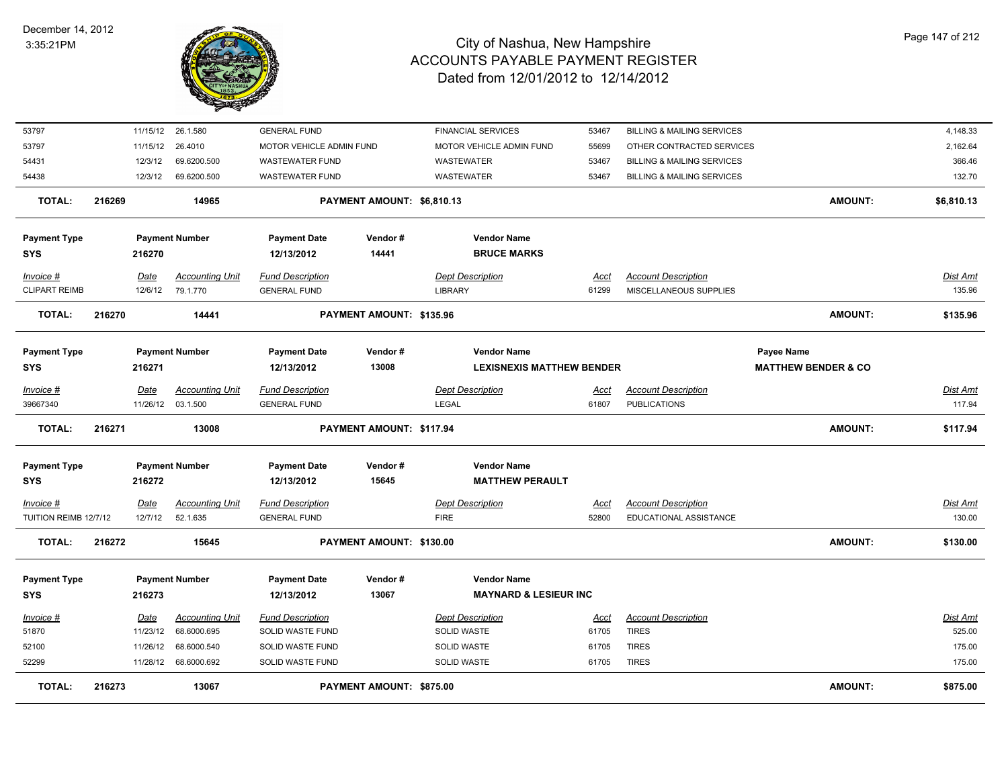

| <b>TOTAL:</b>                      | 216273 |                 | 13067                                       |                                                | PAYMENT AMOUNT: \$875.00   |                                          |                      |                                                      | <b>AMOUNT:</b>                 | \$875.00                  |
|------------------------------------|--------|-----------------|---------------------------------------------|------------------------------------------------|----------------------------|------------------------------------------|----------------------|------------------------------------------------------|--------------------------------|---------------------------|
| 52299                              |        |                 | 11/28/12 68.6000.692                        | SOLID WASTE FUND                               |                            | <b>SOLID WASTE</b>                       | 61705                | <b>TIRES</b>                                         |                                | 175.00                    |
| 52100                              |        | 11/26/12        | 68.6000.540                                 | SOLID WASTE FUND                               |                            | <b>SOLID WASTE</b>                       | 61705                | <b>TIRES</b>                                         |                                | 175.00                    |
| 51870                              |        | 11/23/12        | 68.6000.695                                 | SOLID WASTE FUND                               |                            | SOLID WASTE                              | 61705                | <b>TIRES</b>                                         |                                | 525.00                    |
| Invoice #                          |        | Date            | <b>Accounting Unit</b>                      | <b>Fund Description</b>                        |                            | <b>Dept Description</b>                  | Acct                 | <b>Account Description</b>                           |                                | Dist Amt                  |
| <b>SYS</b>                         |        | 216273          |                                             | 12/13/2012                                     | 13067                      | <b>MAYNARD &amp; LESIEUR INC</b>         |                      |                                                      |                                |                           |
| <b>Payment Type</b>                |        |                 | <b>Payment Number</b>                       | <b>Payment Date</b>                            | Vendor#                    | <b>Vendor Name</b>                       |                      |                                                      |                                |                           |
|                                    |        |                 |                                             |                                                |                            |                                          |                      |                                                      |                                |                           |
| <b>TOTAL:</b>                      | 216272 |                 | 15645                                       |                                                | PAYMENT AMOUNT: \$130.00   |                                          |                      |                                                      | <b>AMOUNT:</b>                 | \$130.00                  |
| Invoice #<br>TUITION REIMB 12/7/12 |        | Date<br>12/7/12 | <b>Accounting Unit</b><br>52.1.635          | <b>Fund Description</b><br><b>GENERAL FUND</b> |                            | <b>Dept Description</b><br><b>FIRE</b>   | <u>Acct</u><br>52800 | <b>Account Description</b><br>EDUCATIONAL ASSISTANCE |                                | <u>Dist Amt</u><br>130.00 |
| <b>SYS</b>                         |        | 216272          |                                             | 12/13/2012                                     | 15645                      | <b>MATTHEW PERAULT</b>                   |                      |                                                      |                                |                           |
| <b>Payment Type</b>                |        |                 | <b>Payment Number</b>                       | <b>Payment Date</b>                            | Vendor#                    | <b>Vendor Name</b>                       |                      |                                                      |                                |                           |
| <b>TOTAL:</b>                      | 216271 |                 | 13008                                       |                                                | PAYMENT AMOUNT: \$117.94   |                                          |                      |                                                      | <b>AMOUNT:</b>                 | \$117.94                  |
|                                    |        |                 |                                             |                                                |                            |                                          |                      |                                                      |                                |                           |
| Invoice #<br>39667340              |        | Date            | <b>Accounting Unit</b><br>11/26/12 03.1.500 | <b>Fund Description</b><br><b>GENERAL FUND</b> |                            | <b>Dept Description</b><br>LEGAL         | Acct<br>61807        | <b>Account Description</b><br><b>PUBLICATIONS</b>    |                                | Dist Amt<br>117.94        |
| <b>SYS</b>                         |        | 216271          |                                             | 12/13/2012                                     | 13008                      | <b>LEXISNEXIS MATTHEW BENDER</b>         |                      |                                                      | <b>MATTHEW BENDER &amp; CO</b> |                           |
| <b>Payment Type</b>                |        |                 | <b>Payment Number</b>                       | <b>Payment Date</b>                            | Vendor#                    | <b>Vendor Name</b>                       |                      |                                                      | Payee Name                     |                           |
| TOTAL:                             | 216270 |                 | 14441                                       |                                                | PAYMENT AMOUNT: \$135.96   |                                          |                      |                                                      | <b>AMOUNT:</b>                 | \$135.96                  |
| <b>CLIPART REIMB</b>               |        | 12/6/12         | 79.1.770                                    | <b>GENERAL FUND</b>                            |                            | <b>LIBRARY</b>                           | 61299                | MISCELLANEOUS SUPPLIES                               |                                | 135.96                    |
| Invoice #                          |        | Date            | <b>Accounting Unit</b>                      | <b>Fund Description</b>                        |                            | <b>Dept Description</b>                  | Acct                 | <b>Account Description</b>                           |                                | Dist Amt                  |
| <b>Payment Type</b><br><b>SYS</b>  |        | 216270          | <b>Payment Number</b>                       | <b>Payment Date</b><br>12/13/2012              | Vendor#<br>14441           | <b>Vendor Name</b><br><b>BRUCE MARKS</b> |                      |                                                      |                                |                           |
|                                    |        |                 |                                             |                                                |                            |                                          |                      |                                                      |                                |                           |
| <b>TOTAL:</b>                      | 216269 |                 | 14965                                       |                                                | PAYMENT AMOUNT: \$6,810.13 |                                          |                      |                                                      | <b>AMOUNT:</b>                 | \$6,810.13                |
| 54438                              |        | 12/3/12         | 69.6200.500                                 | <b>WASTEWATER FUND</b>                         |                            | WASTEWATER                               | 53467                | <b>BILLING &amp; MAILING SERVICES</b>                |                                | 132.70                    |
| 54431                              |        | 12/3/12         | 69.6200.500                                 | <b>WASTEWATER FUND</b>                         |                            | WASTEWATER                               | 53467                | <b>BILLING &amp; MAILING SERVICES</b>                |                                | 366.46                    |
| 53797                              |        | 11/15/12        | 26.4010                                     | MOTOR VEHICLE ADMIN FUND                       |                            | MOTOR VEHICLE ADMIN FUND                 | 55699                | OTHER CONTRACTED SERVICES                            |                                | 2,162.64                  |
| 53797                              |        |                 | 11/15/12 26.1.580                           | <b>GENERAL FUND</b>                            |                            | <b>FINANCIAL SERVICES</b>                | 53467                | <b>BILLING &amp; MAILING SERVICES</b>                |                                | 4,148.33                  |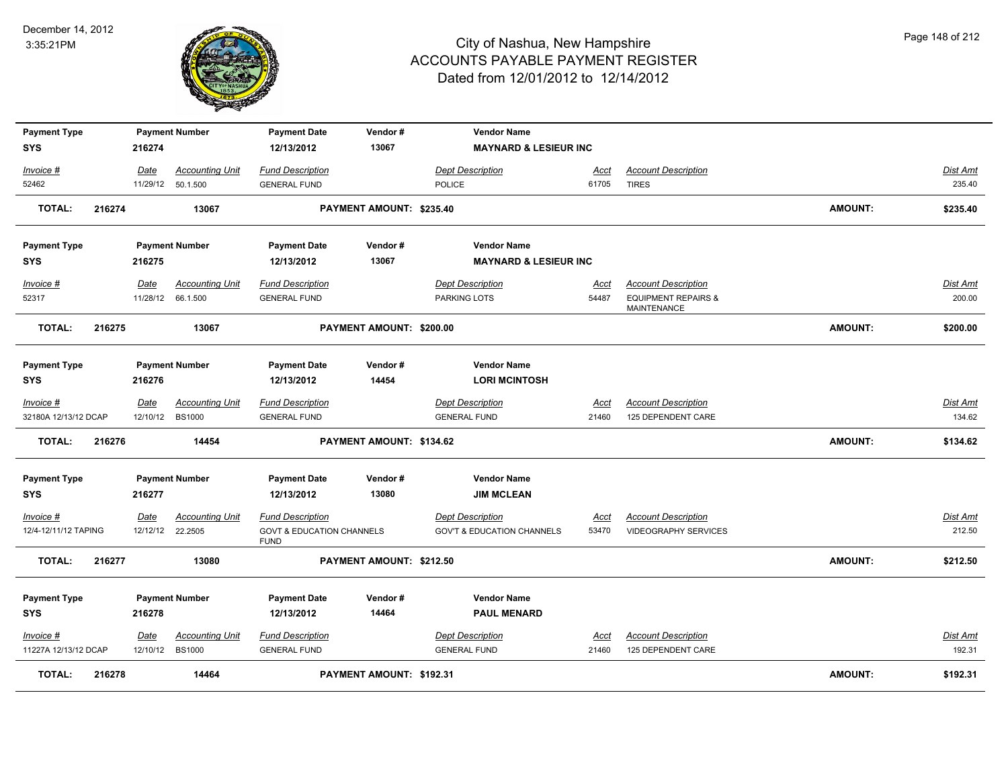

| <b>Payment Type</b>  |        |                  | <b>Payment Number</b>  | <b>Payment Date</b>                                 | Vendor#                  | <b>Vendor Name</b>                    |             |                                               |                |                 |
|----------------------|--------|------------------|------------------------|-----------------------------------------------------|--------------------------|---------------------------------------|-------------|-----------------------------------------------|----------------|-----------------|
| SYS                  |        | 216274           |                        | 12/13/2012                                          | 13067                    | <b>MAYNARD &amp; LESIEUR INC</b>      |             |                                               |                |                 |
| Invoice #            |        | Date             | <b>Accounting Unit</b> | <b>Fund Description</b>                             |                          | <b>Dept Description</b>               | Acct        | <b>Account Description</b>                    |                | <b>Dist Amt</b> |
| 52462                |        |                  | 11/29/12 50.1.500      | <b>GENERAL FUND</b>                                 |                          | POLICE                                | 61705       | <b>TIRES</b>                                  |                | 235.40          |
| TOTAL:               | 216274 |                  | 13067                  |                                                     | PAYMENT AMOUNT: \$235.40 |                                       |             |                                               | <b>AMOUNT:</b> | \$235.40        |
| <b>Payment Type</b>  |        |                  | <b>Payment Number</b>  | <b>Payment Date</b>                                 | Vendor#                  | <b>Vendor Name</b>                    |             |                                               |                |                 |
| SYS                  |        | 216275           |                        | 12/13/2012                                          | 13067                    | <b>MAYNARD &amp; LESIEUR INC</b>      |             |                                               |                |                 |
| Invoice #            |        | Date             | <b>Accounting Unit</b> | <b>Fund Description</b>                             |                          | <b>Dept Description</b>               | Acct        | <b>Account Description</b>                    |                | Dist Amt        |
| 52317                |        |                  | 11/28/12 66.1.500      | <b>GENERAL FUND</b>                                 |                          | PARKING LOTS                          | 54487       | <b>EQUIPMENT REPAIRS &amp;</b><br>MAINTENANCE |                | 200.00          |
| <b>TOTAL:</b>        | 216275 |                  | 13067                  |                                                     | PAYMENT AMOUNT: \$200.00 |                                       |             |                                               | <b>AMOUNT:</b> | \$200.00        |
| <b>Payment Type</b>  |        |                  | <b>Payment Number</b>  | <b>Payment Date</b>                                 | Vendor#                  | <b>Vendor Name</b>                    |             |                                               |                |                 |
| SYS                  |        | 216276           |                        | 12/13/2012                                          | 14454                    | <b>LORI MCINTOSH</b>                  |             |                                               |                |                 |
| <u>Invoice #</u>     |        | Date             | <b>Accounting Unit</b> | <b>Fund Description</b>                             |                          | <b>Dept Description</b>               | <u>Acct</u> | <b>Account Description</b>                    |                | <b>Dist Amt</b> |
| 32180A 12/13/12 DCAP |        | 12/10/12 BS1000  |                        | <b>GENERAL FUND</b>                                 |                          | <b>GENERAL FUND</b>                   | 21460       | 125 DEPENDENT CARE                            |                | 134.62          |
| <b>TOTAL:</b>        | 216276 |                  | 14454                  |                                                     | PAYMENT AMOUNT: \$134.62 |                                       |             |                                               | <b>AMOUNT:</b> | \$134.62        |
| <b>Payment Type</b>  |        |                  | <b>Payment Number</b>  | <b>Payment Date</b>                                 | Vendor#                  | <b>Vendor Name</b>                    |             |                                               |                |                 |
| <b>SYS</b>           |        | 216277           |                        | 12/13/2012                                          | 13080                    | <b>JIM MCLEAN</b>                     |             |                                               |                |                 |
| Invoice #            |        | Date             | <b>Accounting Unit</b> | <b>Fund Description</b>                             |                          | <b>Dept Description</b>               | <b>Acct</b> | <b>Account Description</b>                    |                | Dist Amt        |
| 12/4-12/11/12 TAPING |        | 12/12/12 22.2505 |                        | <b>GOVT &amp; EDUCATION CHANNELS</b><br><b>FUND</b> |                          | <b>GOV'T &amp; EDUCATION CHANNELS</b> | 53470       | VIDEOGRAPHY SERVICES                          |                | 212.50          |
| <b>TOTAL:</b>        | 216277 |                  | 13080                  |                                                     | PAYMENT AMOUNT: \$212.50 |                                       |             |                                               | <b>AMOUNT:</b> | \$212.50        |
| <b>Payment Type</b>  |        |                  | <b>Payment Number</b>  | <b>Payment Date</b>                                 | Vendor#                  | <b>Vendor Name</b>                    |             |                                               |                |                 |
| SYS                  |        | 216278           |                        | 12/13/2012                                          | 14464                    | <b>PAUL MENARD</b>                    |             |                                               |                |                 |
| Invoice #            |        | Date             | <b>Accounting Unit</b> | <b>Fund Description</b>                             |                          | <b>Dept Description</b>               | Acct        | <b>Account Description</b>                    |                | <b>Dist Amt</b> |
| 11227A 12/13/12 DCAP |        | 12/10/12 BS1000  |                        | <b>GENERAL FUND</b>                                 |                          | <b>GENERAL FUND</b>                   | 21460       | 125 DEPENDENT CARE                            |                | 192.31          |
| TOTAL:               | 216278 |                  | 14464                  |                                                     | PAYMENT AMOUNT: \$192.31 |                                       |             |                                               | <b>AMOUNT:</b> | \$192.31        |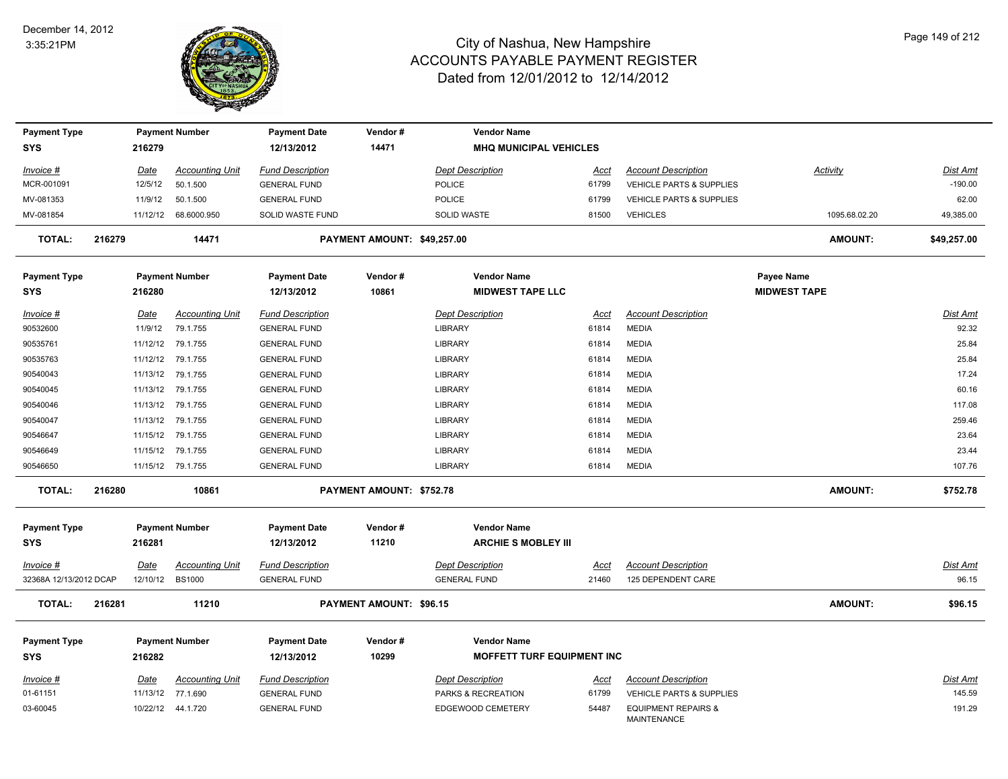

| <b>Payment Type</b>    |        |             | <b>Payment Number</b>  | <b>Payment Date</b>     | Vendor #                        | <b>Vendor Name</b>                |             |                                                      |                     |                 |
|------------------------|--------|-------------|------------------------|-------------------------|---------------------------------|-----------------------------------|-------------|------------------------------------------------------|---------------------|-----------------|
| <b>SYS</b>             |        | 216279      |                        | 12/13/2012              | 14471                           | <b>MHQ MUNICIPAL VEHICLES</b>     |             |                                                      |                     |                 |
| Invoice #              |        | Date        | <b>Accounting Unit</b> | <b>Fund Description</b> |                                 | <b>Dept Description</b>           | Acct        | <b>Account Description</b>                           | Activity            | <b>Dist Amt</b> |
| MCR-001091             |        | 12/5/12     | 50.1.500               | <b>GENERAL FUND</b>     |                                 | POLICE                            | 61799       | <b>VEHICLE PARTS &amp; SUPPLIES</b>                  |                     | $-190.00$       |
| MV-081353              |        | 11/9/12     | 50.1.500               | <b>GENERAL FUND</b>     |                                 | <b>POLICE</b>                     | 61799       | <b>VEHICLE PARTS &amp; SUPPLIES</b>                  |                     | 62.00           |
| MV-081854              |        |             | 11/12/12 68.6000.950   | SOLID WASTE FUND        |                                 | SOLID WASTE                       | 81500       | <b>VEHICLES</b>                                      | 1095.68.02.20       | 49,385.00       |
| <b>TOTAL:</b>          | 216279 |             | 14471                  |                         | PAYMENT AMOUNT: \$49,257.00     |                                   |             |                                                      | <b>AMOUNT:</b>      | \$49,257.00     |
| <b>Payment Type</b>    |        |             | <b>Payment Number</b>  | <b>Payment Date</b>     | Vendor#                         | <b>Vendor Name</b>                |             |                                                      | Payee Name          |                 |
| <b>SYS</b>             |        | 216280      |                        | 12/13/2012              | 10861                           | <b>MIDWEST TAPE LLC</b>           |             |                                                      | <b>MIDWEST TAPE</b> |                 |
| Invoice #              |        | Date        | <b>Accounting Unit</b> | <b>Fund Description</b> |                                 | <b>Dept Description</b>           | Acct        | <b>Account Description</b>                           |                     | Dist Amt        |
| 90532600               |        | 11/9/12     | 79.1.755               | <b>GENERAL FUND</b>     |                                 | LIBRARY                           | 61814       | <b>MEDIA</b>                                         |                     | 92.32           |
| 90535761               |        | 11/12/12    | 79.1.755               | <b>GENERAL FUND</b>     |                                 | LIBRARY                           | 61814       | <b>MEDIA</b>                                         |                     | 25.84           |
| 90535763               |        |             | 11/12/12 79.1.755      | <b>GENERAL FUND</b>     |                                 | LIBRARY                           | 61814       | <b>MEDIA</b>                                         |                     | 25.84           |
| 90540043               |        | 11/13/12    | 79.1.755               | <b>GENERAL FUND</b>     |                                 | <b>LIBRARY</b>                    | 61814       | <b>MEDIA</b>                                         |                     | 17.24           |
| 90540045               |        | 11/13/12    | 79.1.755               | <b>GENERAL FUND</b>     |                                 | <b>LIBRARY</b>                    | 61814       | <b>MEDIA</b>                                         |                     | 60.16           |
| 90540046               |        | 11/13/12    | 79.1.755               | <b>GENERAL FUND</b>     |                                 | LIBRARY                           | 61814       | <b>MEDIA</b>                                         |                     | 117.08          |
| 90540047               |        | 11/13/12    | 79.1.755               | <b>GENERAL FUND</b>     |                                 | LIBRARY                           | 61814       | <b>MEDIA</b>                                         |                     | 259.46          |
| 90546647               |        | 11/15/12    | 79.1.755               | <b>GENERAL FUND</b>     |                                 | LIBRARY                           | 61814       | <b>MEDIA</b>                                         |                     | 23.64           |
| 90546649               |        |             | 11/15/12 79.1.755      | <b>GENERAL FUND</b>     |                                 | <b>LIBRARY</b>                    | 61814       | <b>MEDIA</b>                                         |                     | 23.44           |
| 90546650               |        |             | 11/15/12 79.1.755      | <b>GENERAL FUND</b>     |                                 | <b>LIBRARY</b>                    | 61814       | <b>MEDIA</b>                                         |                     | 107.76          |
| <b>TOTAL:</b>          | 216280 |             | 10861                  |                         | <b>PAYMENT AMOUNT: \$752.78</b> |                                   |             |                                                      | <b>AMOUNT:</b>      | \$752.78        |
| <b>Payment Type</b>    |        |             | <b>Payment Number</b>  | <b>Payment Date</b>     | Vendor#                         | <b>Vendor Name</b>                |             |                                                      |                     |                 |
| <b>SYS</b>             |        | 216281      |                        | 12/13/2012              | 11210                           | <b>ARCHIE S MOBLEY III</b>        |             |                                                      |                     |                 |
| Invoice #              |        | Date        | <b>Accounting Unit</b> | <b>Fund Description</b> |                                 | <b>Dept Description</b>           | Acct        | <b>Account Description</b>                           |                     | Dist Amt        |
| 32368A 12/13/2012 DCAP |        | 12/10/12    | <b>BS1000</b>          | <b>GENERAL FUND</b>     |                                 | <b>GENERAL FUND</b>               | 21460       | 125 DEPENDENT CARE                                   |                     | 96.15           |
| <b>TOTAL:</b>          | 216281 |             | 11210                  |                         | <b>PAYMENT AMOUNT: \$96.15</b>  |                                   |             |                                                      | <b>AMOUNT:</b>      | \$96.15         |
| <b>Payment Type</b>    |        |             | <b>Payment Number</b>  | <b>Payment Date</b>     | Vendor#                         | <b>Vendor Name</b>                |             |                                                      |                     |                 |
| <b>SYS</b>             |        | 216282      |                        | 12/13/2012              | 10299                           | <b>MOFFETT TURF EQUIPMENT INC</b> |             |                                                      |                     |                 |
| Invoice #              |        | <u>Date</u> | <b>Accounting Unit</b> | <b>Fund Description</b> |                                 | <b>Dept Description</b>           | <u>Acct</u> | <b>Account Description</b>                           |                     | <b>Dist Amt</b> |
| 01-61151               |        | 11/13/12    | 77.1.690               | <b>GENERAL FUND</b>     |                                 | PARKS & RECREATION                | 61799       | <b>VEHICLE PARTS &amp; SUPPLIES</b>                  |                     | 145.59          |
| 03-60045               |        |             | 10/22/12  44.1.720     | <b>GENERAL FUND</b>     |                                 | EDGEWOOD CEMETERY                 | 54487       | <b>EQUIPMENT REPAIRS &amp;</b><br><b>MAINTENANCE</b> |                     | 191.29          |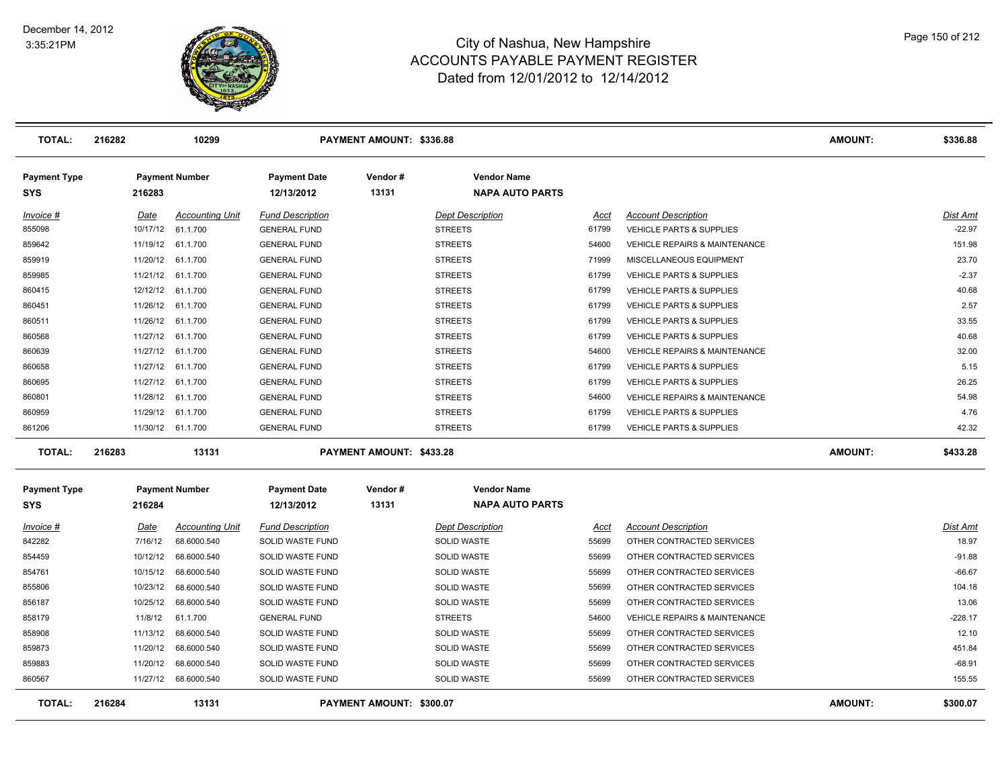

| <b>TOTAL:</b>                     | 216282 |          | 10299                  |                                   | <b>PAYMENT AMOUNT: \$336.88</b> |                                              |       |                                          | <b>AMOUNT:</b> | \$336.88        |
|-----------------------------------|--------|----------|------------------------|-----------------------------------|---------------------------------|----------------------------------------------|-------|------------------------------------------|----------------|-----------------|
| <b>Payment Type</b><br><b>SYS</b> |        | 216283   | <b>Payment Number</b>  | <b>Payment Date</b><br>12/13/2012 | Vendor#<br>13131                | <b>Vendor Name</b><br><b>NAPA AUTO PARTS</b> |       |                                          |                |                 |
| Invoice #                         |        | Date     | <b>Accounting Unit</b> | <b>Fund Description</b>           |                                 | <b>Dept Description</b>                      | Acct  | <b>Account Description</b>               |                | <b>Dist Amt</b> |
| 855098                            |        | 10/17/12 | 61.1.700               | <b>GENERAL FUND</b>               |                                 | <b>STREETS</b>                               | 61799 | VEHICLE PARTS & SUPPLIES                 |                | $-22.97$        |
| 859642                            |        | 11/19/12 | 61.1.700               | <b>GENERAL FUND</b>               |                                 | <b>STREETS</b>                               | 54600 | VEHICLE REPAIRS & MAINTENANCE            |                | 151.98          |
| 859919                            |        | 11/20/12 | 61.1.700               | <b>GENERAL FUND</b>               |                                 | <b>STREETS</b>                               | 71999 | MISCELLANEOUS EQUIPMENT                  |                | 23.70           |
| 859985                            |        | 11/21/12 | 61.1.700               | <b>GENERAL FUND</b>               |                                 | <b>STREETS</b>                               | 61799 | <b>VEHICLE PARTS &amp; SUPPLIES</b>      |                | $-2.37$         |
| 860415                            |        |          | 12/12/12 61.1.700      | <b>GENERAL FUND</b>               |                                 | <b>STREETS</b>                               | 61799 | <b>VEHICLE PARTS &amp; SUPPLIES</b>      |                | 40.68           |
| 860451                            |        |          | 11/26/12 61.1.700      | <b>GENERAL FUND</b>               |                                 | <b>STREETS</b>                               | 61799 | <b>VEHICLE PARTS &amp; SUPPLIES</b>      |                | 2.57            |
| 860511                            |        |          | 11/26/12 61.1.700      | <b>GENERAL FUND</b>               |                                 | <b>STREETS</b>                               | 61799 | <b>VEHICLE PARTS &amp; SUPPLIES</b>      |                | 33.55           |
| 860568                            |        |          | 11/27/12 61.1.700      | <b>GENERAL FUND</b>               |                                 | <b>STREETS</b>                               | 61799 | <b>VEHICLE PARTS &amp; SUPPLIES</b>      |                | 40.68           |
| 860639                            |        |          | 11/27/12 61.1.700      | <b>GENERAL FUND</b>               |                                 | <b>STREETS</b>                               | 54600 | <b>VEHICLE REPAIRS &amp; MAINTENANCE</b> |                | 32.00           |
| 860658                            |        |          | 11/27/12 61.1.700      | <b>GENERAL FUND</b>               |                                 | <b>STREETS</b>                               | 61799 | VEHICLE PARTS & SUPPLIES                 |                | 5.15            |
| 860695                            |        |          | 11/27/12 61.1.700      | <b>GENERAL FUND</b>               |                                 | <b>STREETS</b>                               | 61799 | VEHICLE PARTS & SUPPLIES                 |                | 26.25           |
| 860801                            |        |          | 11/28/12 61.1.700      | <b>GENERAL FUND</b>               |                                 | <b>STREETS</b>                               | 54600 | VEHICLE REPAIRS & MAINTENANCE            |                | 54.98           |
| 860959                            |        | 11/29/12 | 61.1.700               | <b>GENERAL FUND</b>               |                                 | <b>STREETS</b>                               | 61799 | VEHICLE PARTS & SUPPLIES                 |                | 4.76            |
| 861206                            |        |          | 11/30/12 61.1.700      | <b>GENERAL FUND</b>               |                                 | <b>STREETS</b>                               | 61799 | VEHICLE PARTS & SUPPLIES                 |                | 42.32           |
| <b>TOTAL:</b>                     | 216283 |          | 13131                  |                                   | PAYMENT AMOUNT: \$433.28        |                                              |       |                                          | <b>AMOUNT:</b> | \$433.28        |
| <b>Payment Type</b>               |        |          | <b>Payment Number</b>  | <b>Payment Date</b>               | Vendor#                         | <b>Vendor Name</b>                           |       |                                          |                |                 |
| <b>SYS</b>                        |        | 216284   |                        | 12/13/2012                        | 13131                           | <b>NAPA AUTO PARTS</b>                       |       |                                          |                |                 |
| Invoice #                         |        | Date     | <b>Accounting Unit</b> | <b>Fund Description</b>           |                                 | <b>Dept Description</b>                      | Acct  | <b>Account Description</b>               |                | Dist Amt        |
| 842282                            |        | 7/16/12  | 68.6000.540            | <b>SOLID WASTE FUND</b>           |                                 | <b>SOLID WASTE</b>                           | 55699 | OTHER CONTRACTED SERVICES                |                | 18.97           |
| 854459                            |        | 10/12/12 | 68.6000.540            | SOLID WASTE FUND                  |                                 | <b>SOLID WASTE</b>                           | 55699 | OTHER CONTRACTED SERVICES                |                | $-91.88$        |
| 854761                            |        | 10/15/12 | 68.6000.540            | SOLID WASTE FUND                  |                                 | <b>SOLID WASTE</b>                           | 55699 | OTHER CONTRACTED SERVICES                |                | $-66.67$        |
| 855806                            |        | 10/23/12 | 68.6000.540            | SOLID WASTE FUND                  |                                 | <b>SOLID WASTE</b>                           | 55699 | OTHER CONTRACTED SERVICES                |                | 104.18          |
| 856187                            |        | 10/25/12 | 68.6000.540            | SOLID WASTE FUND                  |                                 | <b>SOLID WASTE</b>                           | 55699 | OTHER CONTRACTED SERVICES                |                | 13.06           |
| 858179                            |        | 11/8/12  | 61.1.700               | <b>GENERAL FUND</b>               |                                 | <b>STREETS</b>                               | 54600 | VEHICLE REPAIRS & MAINTENANCE            |                | $-228.17$       |
| 858908                            |        | 11/13/12 | 68.6000.540            | SOLID WASTE FUND                  |                                 | <b>SOLID WASTE</b>                           | 55699 | OTHER CONTRACTED SERVICES                |                | 12.10           |
| 859873                            |        | 11/20/12 | 68.6000.540            | SOLID WASTE FUND                  |                                 | <b>SOLID WASTE</b>                           | 55699 | OTHER CONTRACTED SERVICES                |                | 451.84          |
| 859883                            |        | 11/20/12 | 68.6000.540            | SOLID WASTE FUND                  |                                 | <b>SOLID WASTE</b>                           | 55699 | OTHER CONTRACTED SERVICES                |                | $-68.91$        |
| 860567                            |        |          | 11/27/12 68.6000.540   | SOLID WASTE FUND                  |                                 | <b>SOLID WASTE</b>                           | 55699 | OTHER CONTRACTED SERVICES                |                | 155.55          |
| <b>TOTAL:</b>                     | 216284 |          | 13131                  |                                   | PAYMENT AMOUNT: \$300.07        |                                              |       |                                          | <b>AMOUNT:</b> | \$300.07        |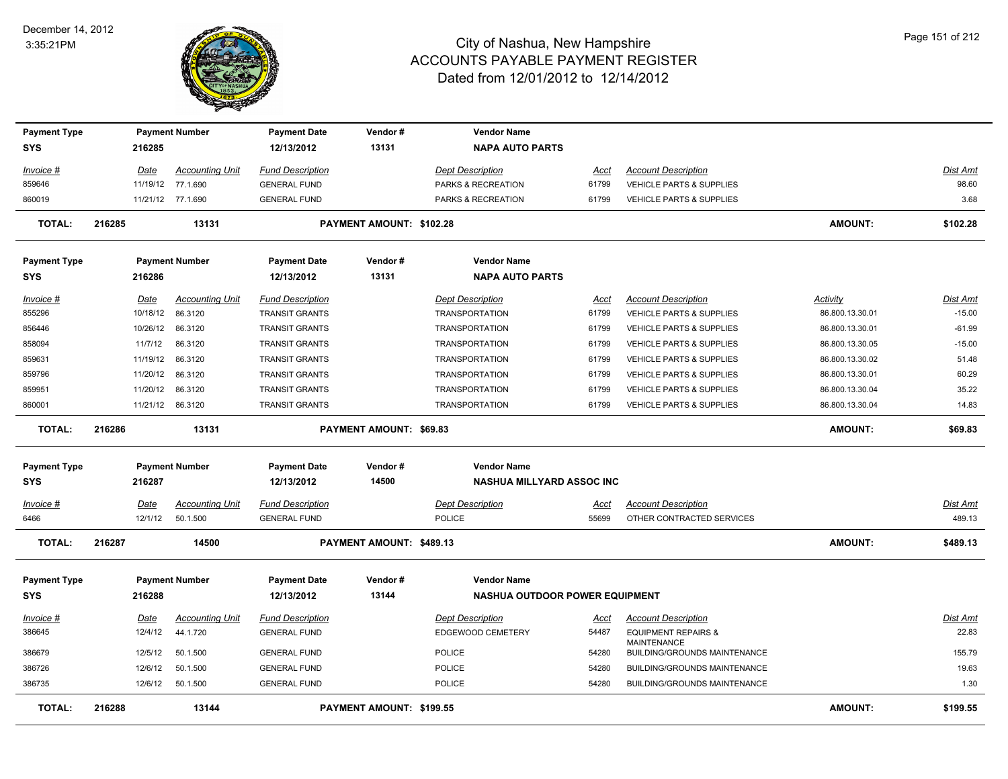

| <b>Payment Type</b> |        |             | <b>Payment Number</b>  | <b>Payment Date</b>     | Vendor#                  | <b>Vendor Name</b>                    |             |                                                      |                 |                 |
|---------------------|--------|-------------|------------------------|-------------------------|--------------------------|---------------------------------------|-------------|------------------------------------------------------|-----------------|-----------------|
| <b>SYS</b>          |        | 216285      |                        | 12/13/2012              | 13131                    | <b>NAPA AUTO PARTS</b>                |             |                                                      |                 |                 |
| Invoice #           |        | <u>Date</u> | <b>Accounting Unit</b> | <b>Fund Description</b> |                          | <b>Dept Description</b>               | Acct        | <b>Account Description</b>                           |                 | Dist Amt        |
| 859646              |        |             | 11/19/12 77.1.690      | <b>GENERAL FUND</b>     |                          | PARKS & RECREATION                    | 61799       | VEHICLE PARTS & SUPPLIES                             |                 | 98.60           |
| 860019              |        |             | 11/21/12 77.1.690      | <b>GENERAL FUND</b>     |                          | PARKS & RECREATION                    | 61799       | <b>VEHICLE PARTS &amp; SUPPLIES</b>                  |                 | 3.68            |
| <b>TOTAL:</b>       | 216285 |             | 13131                  |                         | PAYMENT AMOUNT: \$102.28 |                                       |             |                                                      | <b>AMOUNT:</b>  | \$102.28        |
| <b>Payment Type</b> |        |             | <b>Payment Number</b>  | <b>Payment Date</b>     | Vendor#                  | <b>Vendor Name</b>                    |             |                                                      |                 |                 |
| <b>SYS</b>          |        | 216286      |                        | 12/13/2012              | 13131                    | <b>NAPA AUTO PARTS</b>                |             |                                                      |                 |                 |
| Invoice #           |        | Date        | Accounting Unit        | <u>Fund Description</u> |                          | <b>Dept Description</b>               | <u>Acct</u> | <b>Account Description</b>                           | <b>Activity</b> | Dist Amt        |
| 855296              |        | 10/18/12    | 86.3120                | <b>TRANSIT GRANTS</b>   |                          | <b>TRANSPORTATION</b>                 | 61799       | VEHICLE PARTS & SUPPLIES                             | 86.800.13.30.01 | $-15.00$        |
| 856446              |        | 10/26/12    | 86.3120                | <b>TRANSIT GRANTS</b>   |                          | <b>TRANSPORTATION</b>                 | 61799       | <b>VEHICLE PARTS &amp; SUPPLIES</b>                  | 86.800.13.30.01 | $-61.99$        |
| 858094              |        | 11/7/12     | 86.3120                | <b>TRANSIT GRANTS</b>   |                          | <b>TRANSPORTATION</b>                 | 61799       | <b>VEHICLE PARTS &amp; SUPPLIES</b>                  | 86.800.13.30.05 | $-15.00$        |
| 859631              |        | 11/19/12    | 86.3120                | <b>TRANSIT GRANTS</b>   |                          | <b>TRANSPORTATION</b>                 | 61799       | VEHICLE PARTS & SUPPLIES                             | 86.800.13.30.02 | 51.48           |
| 859796              |        | 11/20/12    | 86.3120                | <b>TRANSIT GRANTS</b>   |                          | <b>TRANSPORTATION</b>                 | 61799       | <b>VEHICLE PARTS &amp; SUPPLIES</b>                  | 86.800.13.30.01 | 60.29           |
| 859951              |        | 11/20/12    | 86.3120                | <b>TRANSIT GRANTS</b>   |                          | <b>TRANSPORTATION</b>                 | 61799       | <b>VEHICLE PARTS &amp; SUPPLIES</b>                  | 86.800.13.30.04 | 35.22           |
| 860001              |        |             | 11/21/12 86.3120       | <b>TRANSIT GRANTS</b>   |                          | <b>TRANSPORTATION</b>                 | 61799       | VEHICLE PARTS & SUPPLIES                             | 86.800.13.30.04 | 14.83           |
| <b>TOTAL:</b>       | 216286 |             | 13131                  |                         | PAYMENT AMOUNT: \$69.83  |                                       |             |                                                      | <b>AMOUNT:</b>  | \$69.83         |
| <b>Payment Type</b> |        |             | <b>Payment Number</b>  | <b>Payment Date</b>     | Vendor#                  | <b>Vendor Name</b>                    |             |                                                      |                 |                 |
| <b>SYS</b>          |        | 216287      |                        | 12/13/2012              | 14500                    | <b>NASHUA MILLYARD ASSOC INC</b>      |             |                                                      |                 |                 |
| Invoice #           |        | <b>Date</b> | <b>Accounting Unit</b> | <b>Fund Description</b> |                          | <b>Dept Description</b>               | Acct        | <b>Account Description</b>                           |                 | <b>Dist Amt</b> |
| 6466                |        | 12/1/12     | 50.1.500               | <b>GENERAL FUND</b>     |                          | <b>POLICE</b>                         | 55699       | OTHER CONTRACTED SERVICES                            |                 | 489.13          |
| <b>TOTAL:</b>       | 216287 |             | 14500                  |                         | PAYMENT AMOUNT: \$489.13 |                                       |             |                                                      | <b>AMOUNT:</b>  | \$489.13        |
| <b>Payment Type</b> |        |             | <b>Payment Number</b>  | <b>Payment Date</b>     | Vendor#                  | <b>Vendor Name</b>                    |             |                                                      |                 |                 |
| <b>SYS</b>          |        | 216288      |                        | 12/13/2012              | 13144                    | <b>NASHUA OUTDOOR POWER EQUIPMENT</b> |             |                                                      |                 |                 |
| $Invoice$ #         |        | <u>Date</u> | <b>Accounting Unit</b> | <b>Fund Description</b> |                          | <b>Dept Description</b>               | <u>Acct</u> | <b>Account Description</b>                           |                 | <b>Dist Amt</b> |
| 386645              |        | 12/4/12     | 44.1.720               | <b>GENERAL FUND</b>     |                          | EDGEWOOD CEMETERY                     | 54487       | <b>EQUIPMENT REPAIRS &amp;</b><br><b>MAINTENANCE</b> |                 | 22.83           |
| 386679              |        | 12/5/12     | 50.1.500               | <b>GENERAL FUND</b>     |                          | <b>POLICE</b>                         | 54280       | BUILDING/GROUNDS MAINTENANCE                         |                 | 155.79          |
| 386726              |        | 12/6/12     | 50.1.500               | <b>GENERAL FUND</b>     |                          | <b>POLICE</b>                         | 54280       | <b>BUILDING/GROUNDS MAINTENANCE</b>                  |                 | 19.63           |
| 386735              |        | 12/6/12     | 50.1.500               | <b>GENERAL FUND</b>     |                          | <b>POLICE</b>                         | 54280       | BUILDING/GROUNDS MAINTENANCE                         |                 | 1.30            |
| TOTAL:              | 216288 |             | 13144                  |                         | PAYMENT AMOUNT: \$199.55 |                                       |             |                                                      | <b>AMOUNT:</b>  | \$199.55        |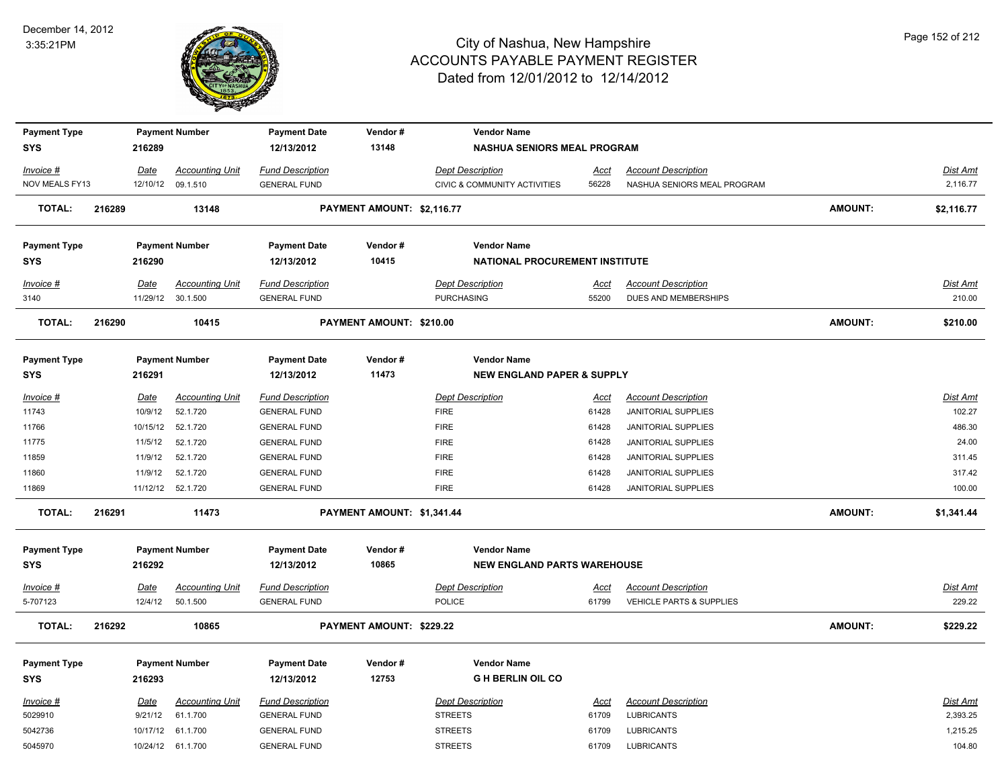

| <b>Payment Type</b>               |        |             | <b>Payment Number</b>  | <b>Payment Date</b>               | Vendor#                    | <b>Vendor Name</b>                                       |             |                             |                |                 |
|-----------------------------------|--------|-------------|------------------------|-----------------------------------|----------------------------|----------------------------------------------------------|-------------|-----------------------------|----------------|-----------------|
| <b>SYS</b>                        |        | 216289      |                        | 12/13/2012                        | 13148                      | <b>NASHUA SENIORS MEAL PROGRAM</b>                       |             |                             |                |                 |
| Invoice #                         |        | Date        | <b>Accounting Unit</b> | <b>Fund Description</b>           |                            | <b>Dept Description</b>                                  | <u>Acct</u> | <b>Account Description</b>  |                | <b>Dist Amt</b> |
| NOV MEALS FY13                    |        | 12/10/12    | 09.1.510               | <b>GENERAL FUND</b>               |                            | <b>CIVIC &amp; COMMUNITY ACTIVITIES</b>                  | 56228       | NASHUA SENIORS MEAL PROGRAM |                | 2,116.77        |
| <b>TOTAL:</b>                     | 216289 |             | 13148                  |                                   | PAYMENT AMOUNT: \$2,116.77 |                                                          |             |                             | AMOUNT:        | \$2,116.77      |
| <b>Payment Type</b>               |        |             | <b>Payment Number</b>  | <b>Payment Date</b>               | Vendor#                    | <b>Vendor Name</b>                                       |             |                             |                |                 |
| <b>SYS</b>                        |        | 216290      |                        | 12/13/2012                        | 10415                      | NATIONAL PROCUREMENT INSTITUTE                           |             |                             |                |                 |
|                                   |        |             |                        |                                   |                            |                                                          |             |                             |                |                 |
| Invoice #                         |        | Date        | <b>Accounting Unit</b> | <b>Fund Description</b>           |                            | <b>Dept Description</b>                                  | Acct        | <b>Account Description</b>  |                | Dist Amt        |
| 3140                              |        |             | 11/29/12 30.1.500      | <b>GENERAL FUND</b>               |                            | <b>PURCHASING</b>                                        | 55200       | DUES AND MEMBERSHIPS        |                | 210.00          |
| <b>TOTAL:</b>                     | 216290 |             | 10415                  |                                   | PAYMENT AMOUNT: \$210.00   |                                                          |             |                             | AMOUNT:        | \$210.00        |
| <b>Payment Type</b>               |        |             | <b>Payment Number</b>  | <b>Payment Date</b>               | Vendor#                    | <b>Vendor Name</b>                                       |             |                             |                |                 |
| SYS                               |        | 216291      |                        | 12/13/2012                        | 11473                      | <b>NEW ENGLAND PAPER &amp; SUPPLY</b>                    |             |                             |                |                 |
| Invoice #                         |        | Date        | <b>Accounting Unit</b> | <b>Fund Description</b>           |                            | <b>Dept Description</b>                                  | <u>Acct</u> | <b>Account Description</b>  |                | <b>Dist Amt</b> |
| 11743                             |        | 10/9/12     | 52.1.720               | <b>GENERAL FUND</b>               |                            | <b>FIRE</b>                                              | 61428       | <b>JANITORIAL SUPPLIES</b>  |                | 102.27          |
| 11766                             |        | 10/15/12    | 52.1.720               | <b>GENERAL FUND</b>               |                            | <b>FIRE</b>                                              | 61428       | <b>JANITORIAL SUPPLIES</b>  |                | 486.30          |
| 11775                             |        | 11/5/12     | 52.1.720               | <b>GENERAL FUND</b>               |                            | <b>FIRE</b>                                              | 61428       | <b>JANITORIAL SUPPLIES</b>  |                | 24.00           |
| 11859                             |        | 11/9/12     | 52.1.720               | <b>GENERAL FUND</b>               |                            | <b>FIRE</b>                                              | 61428       | <b>JANITORIAL SUPPLIES</b>  |                | 311.45          |
| 11860                             |        | 11/9/12     | 52.1.720               | <b>GENERAL FUND</b>               |                            | <b>FIRE</b>                                              | 61428       | <b>JANITORIAL SUPPLIES</b>  |                | 317.42          |
| 11869                             |        |             | 11/12/12 52.1.720      | <b>GENERAL FUND</b>               |                            | <b>FIRE</b>                                              | 61428       | <b>JANITORIAL SUPPLIES</b>  |                | 100.00          |
| <b>TOTAL:</b>                     | 216291 |             | 11473                  |                                   | PAYMENT AMOUNT: \$1,341.44 |                                                          |             |                             | <b>AMOUNT:</b> | \$1,341.44      |
|                                   |        |             |                        |                                   |                            |                                                          |             |                             |                |                 |
| <b>Payment Type</b><br><b>SYS</b> |        | 216292      | <b>Payment Number</b>  | <b>Payment Date</b><br>12/13/2012 | Vendor#<br>10865           | <b>Vendor Name</b><br><b>NEW ENGLAND PARTS WAREHOUSE</b> |             |                             |                |                 |
|                                   |        |             |                        |                                   |                            |                                                          |             |                             |                |                 |
| $Invoice$ #                       |        | <u>Date</u> | <b>Accounting Unit</b> | <b>Fund Description</b>           |                            | <b>Dept Description</b>                                  | <u>Acct</u> | <b>Account Description</b>  |                | Dist Amt        |
| 5-707123                          |        | 12/4/12     | 50.1.500               | <b>GENERAL FUND</b>               |                            | POLICE                                                   | 61799       | VEHICLE PARTS & SUPPLIES    |                | 229.22          |
| <b>TOTAL:</b>                     | 216292 |             | 10865                  |                                   | PAYMENT AMOUNT: \$229.22   |                                                          |             |                             | <b>AMOUNT:</b> | \$229.22        |
| <b>Payment Type</b>               |        |             | <b>Payment Number</b>  | <b>Payment Date</b>               | Vendor#                    | <b>Vendor Name</b>                                       |             |                             |                |                 |
| SYS                               |        | 216293      |                        | 12/13/2012                        | 12753                      | <b>GH BERLIN OIL CO</b>                                  |             |                             |                |                 |
| Invoice #                         |        | Date        | <b>Accounting Unit</b> | <b>Fund Description</b>           |                            | <b>Dept Description</b>                                  | <u>Acct</u> | <b>Account Description</b>  |                | Dist Amt        |
| 5029910                           |        | 9/21/12     | 61.1.700               | <b>GENERAL FUND</b>               |                            | <b>STREETS</b>                                           | 61709       | <b>LUBRICANTS</b>           |                | 2,393.25        |
| 5042736                           |        |             | 10/17/12 61.1.700      | <b>GENERAL FUND</b>               |                            | <b>STREETS</b>                                           | 61709       | <b>LUBRICANTS</b>           |                | 1,215.25        |
| 5045970                           |        |             | 10/24/12 61.1.700      | <b>GENERAL FUND</b>               |                            | <b>STREETS</b>                                           | 61709       | <b>LUBRICANTS</b>           |                | 104.80          |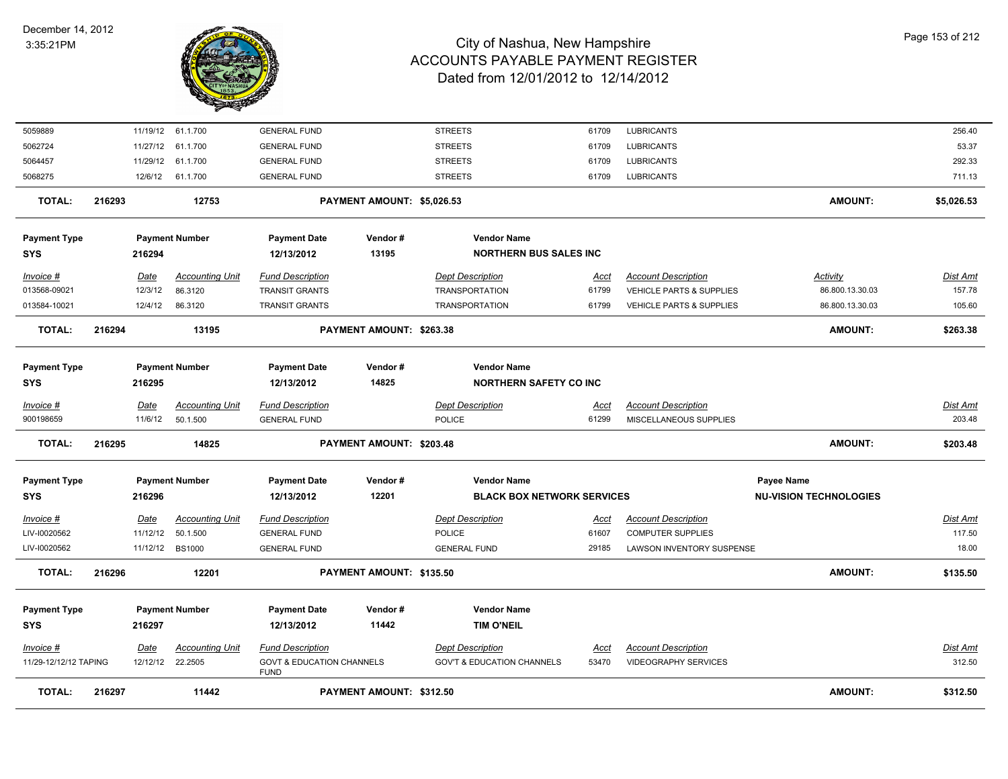

| <b>Payment Type</b><br><b>SYS</b><br>Invoice #<br>11/29-12/12/12 TAPING | 216296<br>216297<br>Date | 12201<br><b>Payment Number</b><br>Accounting Unit<br>12/12/12 22.2505 | <b>Payment Date</b><br>12/13/2012<br><b>Fund Description</b><br><b>GOVT &amp; EDUCATION CHANNELS</b><br><b>FUND</b> | PAYMENT AMOUNT: \$135.50<br>Vendor#<br>11442 | <b>Vendor Name</b><br><b>TIM O'NEIL</b><br><b>Dept Description</b><br><b>GOV'T &amp; EDUCATION CHANNELS</b> | Acct<br>53470 | <b>Account Description</b><br><b>VIDEOGRAPHY SERVICES</b>         | <b>AMOUNT:</b>                              | \$135.50<br>Dist Amt<br>312.50 |
|-------------------------------------------------------------------------|--------------------------|-----------------------------------------------------------------------|---------------------------------------------------------------------------------------------------------------------|----------------------------------------------|-------------------------------------------------------------------------------------------------------------|---------------|-------------------------------------------------------------------|---------------------------------------------|--------------------------------|
|                                                                         |                          |                                                                       |                                                                                                                     |                                              |                                                                                                             |               |                                                                   |                                             |                                |
|                                                                         |                          |                                                                       |                                                                                                                     |                                              |                                                                                                             |               |                                                                   |                                             |                                |
|                                                                         |                          |                                                                       |                                                                                                                     |                                              |                                                                                                             |               |                                                                   |                                             |                                |
| <b>TOTAL:</b>                                                           |                          |                                                                       |                                                                                                                     |                                              |                                                                                                             |               |                                                                   |                                             |                                |
| LIV-I0020562                                                            | 11/12/12                 | <b>BS1000</b>                                                         | <b>GENERAL FUND</b>                                                                                                 |                                              | <b>GENERAL FUND</b>                                                                                         | 29185         | LAWSON INVENTORY SUSPENSE                                         |                                             | 18.00                          |
| LIV-I0020562                                                            | 11/12/12                 | 50.1.500                                                              | <b>GENERAL FUND</b>                                                                                                 |                                              | <b>POLICE</b>                                                                                               | 61607         | <b>COMPUTER SUPPLIES</b>                                          |                                             | 117.50                         |
| $Invoice$ #                                                             | Date                     | <b>Accounting Unit</b>                                                | <b>Fund Description</b>                                                                                             |                                              | <b>Dept Description</b>                                                                                     | <u>Acct</u>   | <b>Account Description</b>                                        |                                             | <b>Dist Amt</b>                |
| <b>Payment Type</b><br><b>SYS</b>                                       | 216296                   | <b>Payment Number</b>                                                 | <b>Payment Date</b><br>12/13/2012                                                                                   | Vendor#<br>12201                             | <b>Vendor Name</b><br><b>BLACK BOX NETWORK SERVICES</b>                                                     |               |                                                                   | Payee Name<br><b>NU-VISION TECHNOLOGIES</b> |                                |
| <b>TOTAL:</b>                                                           | 216295                   | 14825                                                                 |                                                                                                                     | PAYMENT AMOUNT: \$203.48                     |                                                                                                             |               |                                                                   | <b>AMOUNT:</b>                              | \$203.48                       |
| $Invoice$ #<br>900198659                                                | Date<br>11/6/12          | <b>Accounting Unit</b><br>50.1.500                                    | <b>Fund Description</b><br><b>GENERAL FUND</b>                                                                      |                                              | POLICE                                                                                                      | Acct<br>61299 | MISCELLANEOUS SUPPLIES                                            |                                             | <b>Dist Amt</b><br>203.48      |
| <b>Payment Type</b><br><b>SYS</b>                                       | 216295                   | <b>Payment Number</b>                                                 | <b>Payment Date</b><br>12/13/2012                                                                                   | Vendor#<br>14825                             | <b>Vendor Name</b><br><b>NORTHERN SAFETY CO INC</b><br><b>Dept Description</b>                              |               | <b>Account Description</b>                                        |                                             |                                |
|                                                                         |                          |                                                                       |                                                                                                                     |                                              |                                                                                                             |               |                                                                   |                                             |                                |
| <b>TOTAL:</b>                                                           | 216294                   | 13195                                                                 |                                                                                                                     | PAYMENT AMOUNT: \$263.38                     |                                                                                                             |               |                                                                   | <b>AMOUNT:</b>                              | \$263.38                       |
| 013584-10021                                                            | 12/4/12                  | 86.3120                                                               | <b>TRANSIT GRANTS</b>                                                                                               |                                              | <b>TRANSPORTATION</b>                                                                                       | 61799         | <b>VEHICLE PARTS &amp; SUPPLIES</b>                               | 86.800.13.30.03                             | 105.60                         |
| Invoice #<br>013568-09021                                               | Date<br>12/3/12          | <b>Accounting Unit</b><br>86.3120                                     | <b>Fund Description</b><br><b>TRANSIT GRANTS</b>                                                                    |                                              | <b>Dept Description</b><br><b>TRANSPORTATION</b>                                                            | Acct<br>61799 | <b>Account Description</b><br><b>VEHICLE PARTS &amp; SUPPLIES</b> | Activity<br>86.800.13.30.03                 | Dist Amt<br>157.78             |
| <b>Payment Type</b><br><b>SYS</b>                                       | 216294                   | <b>Payment Number</b>                                                 | <b>Payment Date</b><br>12/13/2012                                                                                   | Vendor#<br>13195                             | <b>Vendor Name</b><br><b>NORTHERN BUS SALES INC</b>                                                         |               |                                                                   |                                             |                                |
| <b>TOTAL:</b>                                                           | 216293                   | 12753                                                                 |                                                                                                                     | PAYMENT AMOUNT: \$5,026.53                   |                                                                                                             |               |                                                                   | <b>AMOUNT:</b>                              | \$5,026.53                     |
| 5068275                                                                 | 12/6/12                  | 61.1.700                                                              | <b>GENERAL FUND</b>                                                                                                 |                                              | <b>STREETS</b>                                                                                              | 61709         | <b>LUBRICANTS</b>                                                 |                                             | 711.13                         |
| 5064457                                                                 | 11/29/12                 | 61.1.700                                                              | <b>GENERAL FUND</b>                                                                                                 |                                              | <b>STREETS</b>                                                                                              | 61709         | <b>LUBRICANTS</b>                                                 |                                             | 292.33                         |
| 5062724                                                                 | 11/27/12                 | 61.1.700                                                              | <b>GENERAL FUND</b>                                                                                                 |                                              | <b>STREETS</b>                                                                                              | 61709         | <b>LUBRICANTS</b>                                                 |                                             | 53.37                          |
| 5059889                                                                 |                          | 11/19/12 61.1.700                                                     | <b>GENERAL FUND</b>                                                                                                 |                                              | <b>STREETS</b>                                                                                              | 61709         | <b>LUBRICANTS</b>                                                 |                                             | 256.40                         |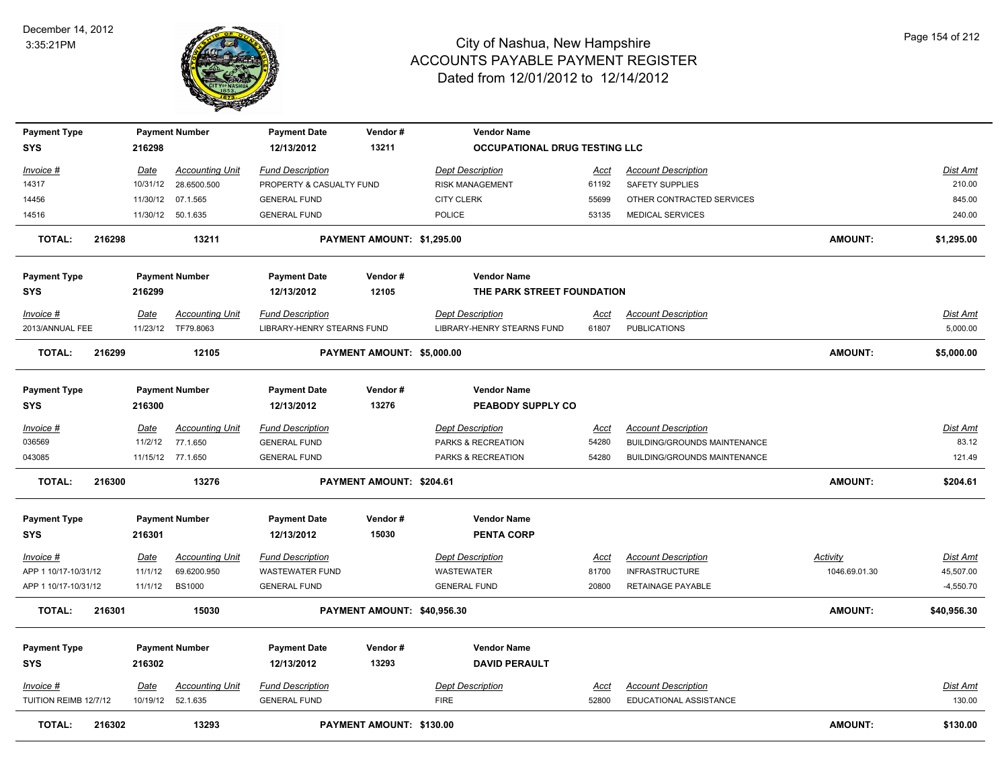

| <b>Payment Type</b>               |        |             | <b>Payment Number</b>                        | <b>Payment Date</b>                                   | Vendor#                     | <b>Vendor Name</b>                                           |                      |                                                   |                 |                      |
|-----------------------------------|--------|-------------|----------------------------------------------|-------------------------------------------------------|-----------------------------|--------------------------------------------------------------|----------------------|---------------------------------------------------|-----------------|----------------------|
| <b>SYS</b>                        |        | 216298      |                                              | 12/13/2012                                            | 13211                       | OCCUPATIONAL DRUG TESTING LLC                                |                      |                                                   |                 |                      |
| Invoice #                         |        | Date        | <b>Accounting Unit</b>                       | <b>Fund Description</b>                               |                             | <b>Dept Description</b>                                      | <u>Acct</u>          | <b>Account Description</b>                        |                 | Dist Amt             |
| 14317                             |        |             | 10/31/12 28.6500.500                         | PROPERTY & CASUALTY FUND                              |                             | <b>RISK MANAGEMENT</b>                                       | 61192                | SAFETY SUPPLIES                                   |                 | 210.00               |
| 14456                             |        |             | 11/30/12 07.1.565                            | <b>GENERAL FUND</b>                                   |                             | <b>CITY CLERK</b>                                            | 55699                | OTHER CONTRACTED SERVICES                         |                 | 845.00               |
| 14516                             |        |             | 11/30/12 50.1.635                            | <b>GENERAL FUND</b>                                   |                             | <b>POLICE</b>                                                | 53135                | <b>MEDICAL SERVICES</b>                           |                 | 240.00               |
| <b>TOTAL:</b>                     | 216298 |             | 13211                                        |                                                       | PAYMENT AMOUNT: \$1,295.00  |                                                              |                      |                                                   | <b>AMOUNT:</b>  | \$1,295.00           |
| <b>Payment Type</b>               |        |             | <b>Payment Number</b>                        | <b>Payment Date</b>                                   | Vendor#                     | <b>Vendor Name</b>                                           |                      |                                                   |                 |                      |
| <b>SYS</b>                        |        | 216299      |                                              | 12/13/2012                                            | 12105                       | THE PARK STREET FOUNDATION                                   |                      |                                                   |                 |                      |
| Invoice #<br>2013/ANNUAL FEE      |        | Date        | <b>Accounting Unit</b><br>11/23/12 TF79.8063 | <b>Fund Description</b><br>LIBRARY-HENRY STEARNS FUND |                             | <b>Dept Description</b><br><b>LIBRARY-HENRY STEARNS FUND</b> | <u>Acct</u><br>61807 | <b>Account Description</b><br><b>PUBLICATIONS</b> |                 | Dist Amt<br>5,000.00 |
| <b>TOTAL:</b>                     | 216299 |             | 12105                                        |                                                       | PAYMENT AMOUNT: \$5,000.00  |                                                              |                      |                                                   | <b>AMOUNT:</b>  | \$5,000.00           |
| <b>Payment Type</b><br><b>SYS</b> |        | 216300      | <b>Payment Number</b>                        | <b>Payment Date</b><br>12/13/2012                     | Vendor#<br>13276            | <b>Vendor Name</b><br>PEABODY SUPPLY CO                      |                      |                                                   |                 |                      |
| Invoice #                         |        | Date        | <b>Accounting Unit</b>                       | <b>Fund Description</b>                               |                             | <b>Dept Description</b>                                      | <u>Acct</u>          | <b>Account Description</b>                        |                 | Dist Amt             |
| 036569                            |        | 11/2/12     | 77.1.650                                     | <b>GENERAL FUND</b>                                   |                             | PARKS & RECREATION                                           | 54280                | BUILDING/GROUNDS MAINTENANCE                      |                 | 83.12                |
| 043085                            |        |             | 11/15/12 77.1.650                            | <b>GENERAL FUND</b>                                   |                             | PARKS & RECREATION                                           | 54280                | BUILDING/GROUNDS MAINTENANCE                      |                 | 121.49               |
| <b>TOTAL:</b>                     | 216300 |             | 13276                                        |                                                       | PAYMENT AMOUNT: \$204.61    |                                                              |                      |                                                   | <b>AMOUNT:</b>  | \$204.61             |
| <b>Payment Type</b>               |        |             | <b>Payment Number</b>                        | <b>Payment Date</b>                                   | Vendor#                     | <b>Vendor Name</b>                                           |                      |                                                   |                 |                      |
| <b>SYS</b>                        |        | 216301      |                                              | 12/13/2012                                            | 15030                       | <b>PENTA CORP</b>                                            |                      |                                                   |                 |                      |
| <u>Invoice #</u>                  |        | <u>Date</u> | <b>Accounting Unit</b>                       | <b>Fund Description</b>                               |                             | <b>Dept Description</b>                                      | <u>Acct</u>          | <b>Account Description</b>                        | <b>Activity</b> | <b>Dist Amt</b>      |
| APP 1 10/17-10/31/12              |        | 11/1/12     | 69.6200.950                                  | <b>WASTEWATER FUND</b>                                |                             | <b>WASTEWATER</b>                                            | 81700                | <b>INFRASTRUCTURE</b>                             | 1046.69.01.30   | 45,507.00            |
| APP 1 10/17-10/31/12              |        | 11/1/12     | <b>BS1000</b>                                | <b>GENERAL FUND</b>                                   |                             | <b>GENERAL FUND</b>                                          | 20800                | <b>RETAINAGE PAYABLE</b>                          |                 | $-4,550.70$          |
| <b>TOTAL:</b>                     | 216301 |             | 15030                                        |                                                       | PAYMENT AMOUNT: \$40,956.30 |                                                              |                      |                                                   | <b>AMOUNT:</b>  | \$40,956.30          |
| <b>Payment Type</b>               |        |             | <b>Payment Number</b>                        | <b>Payment Date</b>                                   | Vendor#                     | <b>Vendor Name</b>                                           |                      |                                                   |                 |                      |
| <b>SYS</b>                        |        | 216302      |                                              | 12/13/2012                                            | 13293                       | <b>DAVID PERAULT</b>                                         |                      |                                                   |                 |                      |
| <u>Invoice #</u>                  |        | <u>Date</u> | <b>Accounting Unit</b>                       | <b>Fund Description</b>                               |                             | <b>Dept Description</b>                                      | <u>Acct</u>          | <b>Account Description</b>                        |                 | Dist Amt             |
| TUITION REIMB 12/7/12             |        |             | 10/19/12 52.1.635                            | <b>GENERAL FUND</b>                                   |                             | <b>FIRE</b>                                                  | 52800                | EDUCATIONAL ASSISTANCE                            |                 | 130.00               |
| <b>TOTAL:</b>                     | 216302 |             | 13293                                        |                                                       | PAYMENT AMOUNT: \$130.00    |                                                              |                      |                                                   | AMOUNT:         | \$130.00             |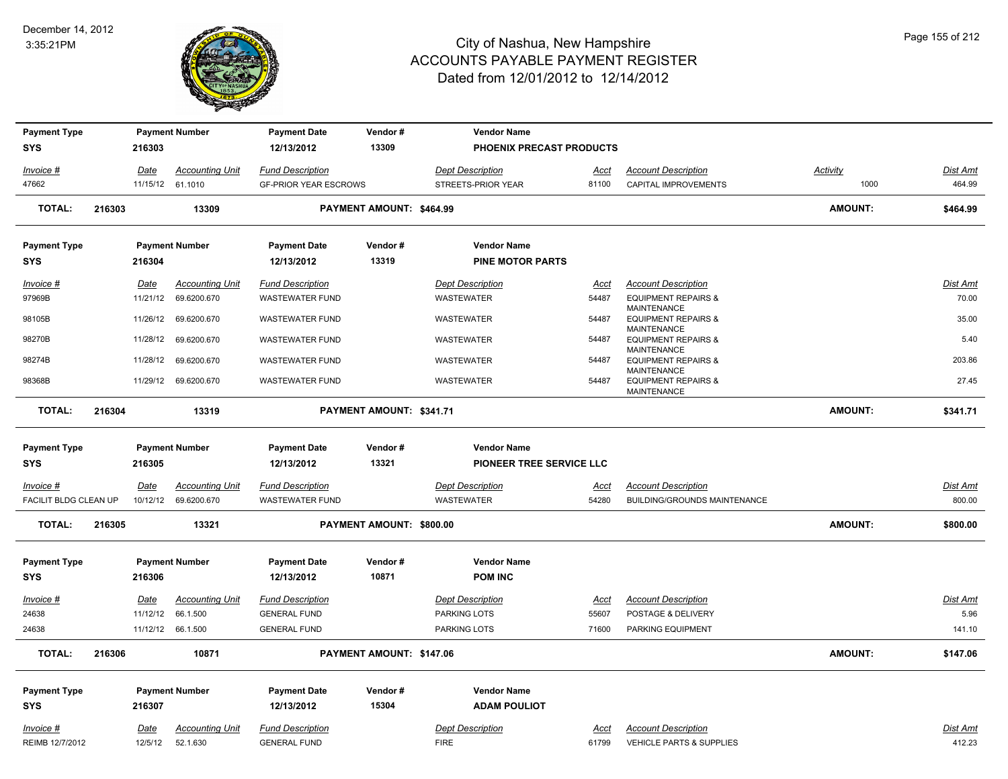

| <b>Payment Type</b>   |        |          | <b>Payment Number</b>  | <b>Payment Date</b>          | Vendor#                  | <b>Vendor Name</b>       |             |                                                                     |                |                 |
|-----------------------|--------|----------|------------------------|------------------------------|--------------------------|--------------------------|-------------|---------------------------------------------------------------------|----------------|-----------------|
| <b>SYS</b>            |        | 216303   |                        | 12/13/2012                   | 13309                    | PHOENIX PRECAST PRODUCTS |             |                                                                     |                |                 |
| Invoice #             |        | Date     | <b>Accounting Unit</b> | <b>Fund Description</b>      |                          | <b>Dept Description</b>  | Acct        | <b>Account Description</b>                                          | Activity       | Dist Amt        |
| 47662                 |        |          | 11/15/12 61.1010       | <b>GF-PRIOR YEAR ESCROWS</b> |                          | STREETS-PRIOR YEAR       | 81100       | CAPITAL IMPROVEMENTS                                                | 1000           | 464.99          |
| <b>TOTAL:</b>         | 216303 |          | 13309                  |                              | PAYMENT AMOUNT: \$464.99 |                          |             |                                                                     | <b>AMOUNT:</b> | \$464.99        |
| <b>Payment Type</b>   |        |          | <b>Payment Number</b>  | <b>Payment Date</b>          | Vendor#                  | <b>Vendor Name</b>       |             |                                                                     |                |                 |
| <b>SYS</b>            |        | 216304   |                        | 12/13/2012                   | 13319                    | <b>PINE MOTOR PARTS</b>  |             |                                                                     |                |                 |
| Invoice #             |        | Date     | <b>Accounting Unit</b> | <b>Fund Description</b>      |                          | <b>Dept Description</b>  | Acct        | <b>Account Description</b>                                          |                | Dist Amt        |
| 97969B                |        | 11/21/12 | 69.6200.670            | <b>WASTEWATER FUND</b>       |                          | WASTEWATER               | 54487       | <b>EQUIPMENT REPAIRS &amp;</b><br>MAINTENANCE                       |                | 70.00           |
| 98105B                |        | 11/26/12 | 69.6200.670            | <b>WASTEWATER FUND</b>       |                          | WASTEWATER               | 54487       | <b>EQUIPMENT REPAIRS &amp;</b>                                      |                | 35.00           |
| 98270B                |        | 11/28/12 | 69.6200.670            | <b>WASTEWATER FUND</b>       |                          | WASTEWATER               | 54487       | <b>MAINTENANCE</b><br><b>EQUIPMENT REPAIRS &amp;</b>                |                | 5.40            |
| 98274B                |        | 11/28/12 | 69.6200.670            | <b>WASTEWATER FUND</b>       |                          | WASTEWATER               | 54487       | <b>MAINTENANCE</b><br><b>EQUIPMENT REPAIRS &amp;</b>                |                | 203.86          |
| 98368B                |        |          | 11/29/12 69.6200.670   | <b>WASTEWATER FUND</b>       |                          | <b>WASTEWATER</b>        | 54487       | <b>MAINTENANCE</b><br><b>EQUIPMENT REPAIRS &amp;</b><br>MAINTENANCE |                | 27.45           |
| <b>TOTAL:</b>         | 216304 |          | 13319                  |                              | PAYMENT AMOUNT: \$341.71 |                          |             |                                                                     | <b>AMOUNT:</b> | \$341.71        |
| <b>Payment Type</b>   |        |          | <b>Payment Number</b>  | <b>Payment Date</b>          | Vendor#                  | <b>Vendor Name</b>       |             |                                                                     |                |                 |
| <b>SYS</b>            |        | 216305   |                        | 12/13/2012                   | 13321                    | PIONEER TREE SERVICE LLC |             |                                                                     |                |                 |
| $Invoice$ #           |        | Date     | <b>Accounting Unit</b> | <b>Fund Description</b>      |                          | <b>Dept Description</b>  | <u>Acct</u> | <b>Account Description</b>                                          |                | <b>Dist Amt</b> |
| FACILIT BLDG CLEAN UP |        | 10/12/12 | 69.6200.670            | <b>WASTEWATER FUND</b>       |                          | WASTEWATER               | 54280       | BUILDING/GROUNDS MAINTENANCE                                        |                | 800.00          |
| <b>TOTAL:</b>         | 216305 |          |                        |                              |                          |                          |             |                                                                     |                |                 |
|                       |        |          | 13321                  |                              | PAYMENT AMOUNT: \$800.00 |                          |             |                                                                     | <b>AMOUNT:</b> | \$800.00        |
| <b>Payment Type</b>   |        |          | <b>Payment Number</b>  | <b>Payment Date</b>          | Vendor#                  | <b>Vendor Name</b>       |             |                                                                     |                |                 |
| <b>SYS</b>            |        | 216306   |                        | 12/13/2012                   | 10871                    | <b>POM INC</b>           |             |                                                                     |                |                 |
| Invoice #             |        | Date     | <b>Accounting Unit</b> | <b>Fund Description</b>      |                          | <b>Dept Description</b>  | Acct        | <b>Account Description</b>                                          |                | <b>Dist Amt</b> |
| 24638                 |        | 11/12/12 | 66.1.500               | <b>GENERAL FUND</b>          |                          | PARKING LOTS             | 55607       | POSTAGE & DELIVERY                                                  |                | 5.96            |
| 24638                 |        |          | 11/12/12 66.1.500      | <b>GENERAL FUND</b>          |                          | PARKING LOTS             | 71600       | PARKING EQUIPMENT                                                   |                | 141.10          |
| <b>TOTAL:</b>         | 216306 |          | 10871                  |                              | PAYMENT AMOUNT: \$147.06 |                          |             |                                                                     | <b>AMOUNT:</b> | \$147.06        |
| <b>Payment Type</b>   |        |          | <b>Payment Number</b>  | <b>Payment Date</b>          | Vendor#                  | <b>Vendor Name</b>       |             |                                                                     |                |                 |
| <b>SYS</b>            |        | 216307   |                        | 12/13/2012                   | 15304                    | <b>ADAM POULIOT</b>      |             |                                                                     |                |                 |
| Invoice #             |        | Date     | <b>Accounting Unit</b> | <b>Fund Description</b>      |                          | <b>Dept Description</b>  | <u>Acct</u> | <b>Account Description</b>                                          |                | Dist Amt        |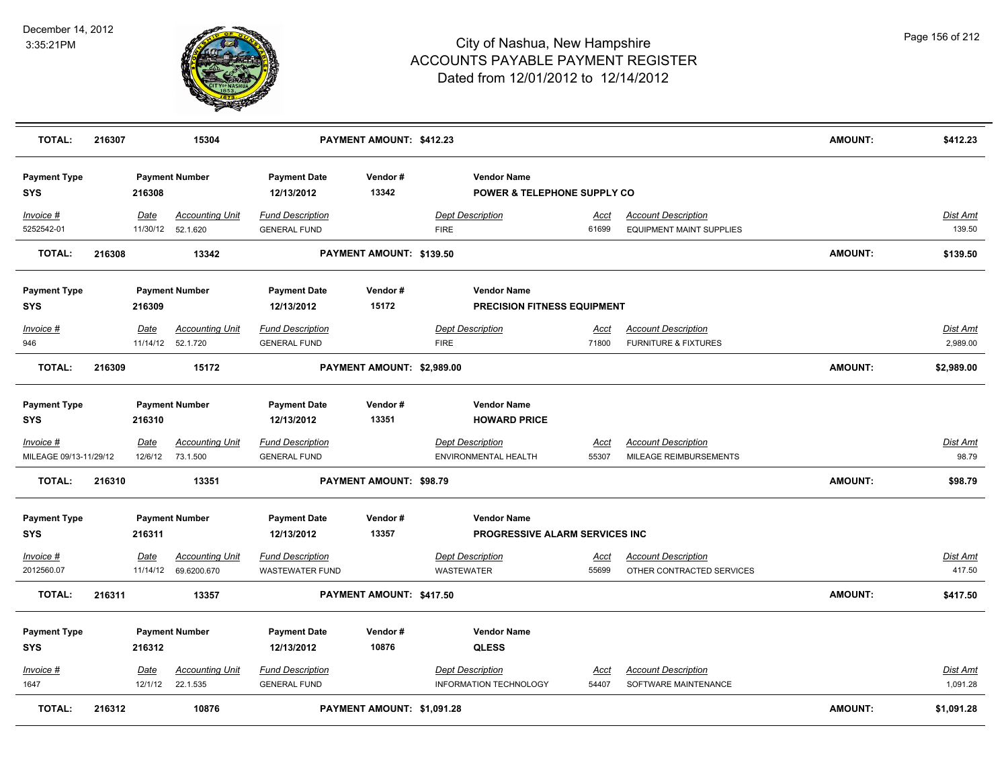

| <b>TOTAL:</b>                              | 216307 |                        | 15304                                        |                                                | PAYMENT AMOUNT: \$412.23   |                                        |                                                              |                      |                                                               | <b>AMOUNT:</b> | \$412.23                 |
|--------------------------------------------|--------|------------------------|----------------------------------------------|------------------------------------------------|----------------------------|----------------------------------------|--------------------------------------------------------------|----------------------|---------------------------------------------------------------|----------------|--------------------------|
| <b>Payment Type</b><br><b>SYS</b>          |        | 216308                 | <b>Payment Number</b>                        | <b>Payment Date</b><br>12/13/2012              | Vendor#<br>13342           |                                        | <b>Vendor Name</b><br><b>POWER &amp; TELEPHONE SUPPLY CO</b> |                      |                                                               |                |                          |
| $Invoice$ #<br>5252542-01                  |        | Date                   | <b>Accounting Unit</b><br>11/30/12 52.1.620  | <b>Fund Description</b><br><b>GENERAL FUND</b> |                            | <b>Dept Description</b><br><b>FIRE</b> |                                                              | <u>Acct</u><br>61699 | <b>Account Description</b><br><b>EQUIPMENT MAINT SUPPLIES</b> |                | Dist Amt<br>139.50       |
| <b>TOTAL:</b>                              | 216308 |                        | 13342                                        |                                                | PAYMENT AMOUNT: \$139.50   |                                        |                                                              |                      |                                                               | <b>AMOUNT:</b> | \$139.50                 |
| <b>Payment Type</b>                        |        |                        | <b>Payment Number</b>                        | <b>Payment Date</b>                            | Vendor#                    |                                        | <b>Vendor Name</b>                                           |                      |                                                               |                |                          |
| <b>SYS</b>                                 |        | 216309                 |                                              | 12/13/2012                                     | 15172                      |                                        | <b>PRECISION FITNESS EQUIPMENT</b>                           |                      |                                                               |                |                          |
| Invoice #<br>946                           |        | Date                   | <b>Accounting Unit</b><br>11/14/12  52.1.720 | <b>Fund Description</b><br><b>GENERAL FUND</b> |                            | <b>Dept Description</b><br><b>FIRE</b> |                                                              | Acct<br>71800        | <b>Account Description</b><br><b>FURNITURE &amp; FIXTURES</b> |                | Dist Amt<br>2,989.00     |
|                                            |        |                        |                                              |                                                |                            |                                        |                                                              |                      |                                                               |                |                          |
| <b>TOTAL:</b>                              | 216309 |                        | 15172                                        |                                                | PAYMENT AMOUNT: \$2,989.00 |                                        |                                                              |                      |                                                               | <b>AMOUNT:</b> | \$2,989.00               |
| <b>Payment Type</b><br><b>SYS</b>          |        | 216310                 | <b>Payment Number</b>                        | <b>Payment Date</b><br>12/13/2012              | Vendor#<br>13351           |                                        | <b>Vendor Name</b><br><b>HOWARD PRICE</b>                    |                      |                                                               |                |                          |
|                                            |        |                        |                                              |                                                |                            |                                        |                                                              |                      |                                                               |                |                          |
| <u>Invoice #</u><br>MILEAGE 09/13-11/29/12 |        | <u>Date</u><br>12/6/12 | <b>Accounting Unit</b><br>73.1.500           | <b>Fund Description</b><br><b>GENERAL FUND</b> |                            | <b>Dept Description</b>                | ENVIRONMENTAL HEALTH                                         | <u>Acct</u><br>55307 | <b>Account Description</b><br>MILEAGE REIMBURSEMENTS          |                | <b>Dist Amt</b><br>98.79 |
|                                            |        |                        |                                              |                                                |                            |                                        |                                                              |                      |                                                               |                |                          |
| <b>TOTAL:</b>                              | 216310 |                        | 13351                                        |                                                | PAYMENT AMOUNT: \$98.79    |                                        |                                                              |                      |                                                               | AMOUNT:        | \$98.79                  |
| <b>Payment Type</b>                        |        |                        | <b>Payment Number</b>                        | <b>Payment Date</b>                            | Vendor#                    |                                        | <b>Vendor Name</b>                                           |                      |                                                               |                |                          |
| <b>SYS</b>                                 |        | 216311                 |                                              | 12/13/2012                                     | 13357                      |                                        | PROGRESSIVE ALARM SERVICES INC                               |                      |                                                               |                |                          |
| Invoice #                                  |        | Date                   | <b>Accounting Unit</b>                       | <b>Fund Description</b>                        |                            | <b>Dept Description</b>                |                                                              | Acct                 | <b>Account Description</b>                                    |                | Dist Amt                 |
| 2012560.07                                 |        |                        | 11/14/12 69.6200.670                         | <b>WASTEWATER FUND</b>                         |                            | <b>WASTEWATER</b>                      |                                                              | 55699                | OTHER CONTRACTED SERVICES                                     |                | 417.50                   |
| <b>TOTAL:</b>                              | 216311 |                        | 13357                                        |                                                | PAYMENT AMOUNT: \$417.50   |                                        |                                                              |                      |                                                               | AMOUNT:        | \$417.50                 |
|                                            |        |                        |                                              |                                                | Vendor#                    |                                        | <b>Vendor Name</b>                                           |                      |                                                               |                |                          |
| <b>Payment Type</b><br><b>SYS</b>          |        | 216312                 | <b>Payment Number</b>                        | <b>Payment Date</b><br>12/13/2012              | 10876                      |                                        | <b>QLESS</b>                                                 |                      |                                                               |                |                          |
| Invoice #<br>1647                          |        | Date<br>12/1/12        | <b>Accounting Unit</b><br>22.1.535           | <b>Fund Description</b><br><b>GENERAL FUND</b> |                            | <b>Dept Description</b>                | INFORMATION TECHNOLOGY                                       | <u>Acct</u><br>54407 | <b>Account Description</b><br>SOFTWARE MAINTENANCE            |                | Dist Amt<br>1,091.28     |
| <b>TOTAL:</b>                              | 216312 |                        | 10876                                        |                                                | PAYMENT AMOUNT: \$1,091.28 |                                        |                                                              |                      |                                                               | <b>AMOUNT:</b> | \$1,091.28               |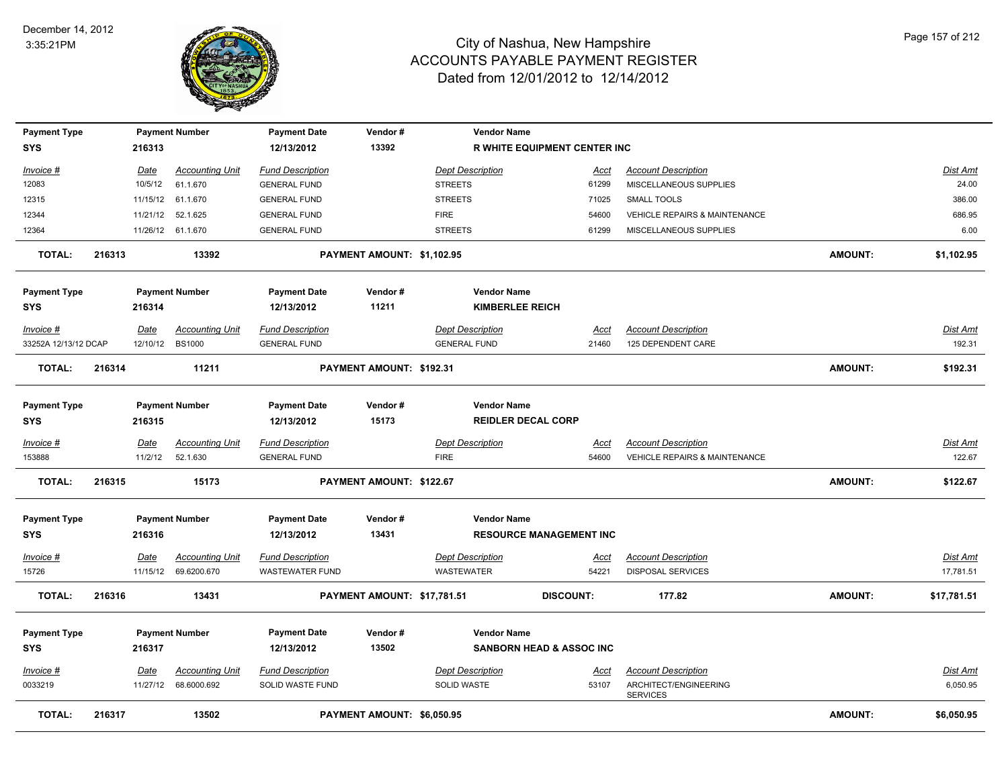

| <b>Payment Type</b><br><b>SYS</b> |        | 216313      | <b>Payment Number</b>  | <b>Payment Date</b><br>12/13/2012 | Vendor#<br>13392            | <b>Vendor Name</b>      | <b>R WHITE EQUIPMENT CENTER INC</b> |                                          |                |                 |
|-----------------------------------|--------|-------------|------------------------|-----------------------------------|-----------------------------|-------------------------|-------------------------------------|------------------------------------------|----------------|-----------------|
|                                   |        |             |                        |                                   |                             |                         |                                     |                                          |                |                 |
| Invoice #                         |        | <u>Date</u> | <b>Accounting Unit</b> | <b>Fund Description</b>           |                             | <b>Dept Description</b> | Acct                                | <b>Account Description</b>               |                | Dist Amt        |
| 12083                             |        | 10/5/12     | 61.1.670               | <b>GENERAL FUND</b>               |                             | <b>STREETS</b>          | 61299                               | MISCELLANEOUS SUPPLIES                   |                | 24.00           |
| 12315                             |        | 11/15/12    | 61.1.670               | <b>GENERAL FUND</b>               |                             | <b>STREETS</b>          | 71025                               | SMALL TOOLS                              |                | 386.00          |
| 12344                             |        |             | 11/21/12 52.1.625      | <b>GENERAL FUND</b>               |                             | <b>FIRE</b>             | 54600                               | <b>VEHICLE REPAIRS &amp; MAINTENANCE</b> |                | 686.95          |
| 12364                             |        |             | 11/26/12 61.1.670      | <b>GENERAL FUND</b>               |                             | <b>STREETS</b>          | 61299                               | MISCELLANEOUS SUPPLIES                   |                | 6.00            |
| <b>TOTAL:</b>                     | 216313 |             | 13392                  |                                   | PAYMENT AMOUNT: \$1,102.95  |                         |                                     |                                          | <b>AMOUNT:</b> | \$1,102.95      |
| <b>Payment Type</b>               |        |             | <b>Payment Number</b>  | <b>Payment Date</b>               | Vendor#                     | <b>Vendor Name</b>      |                                     |                                          |                |                 |
| <b>SYS</b>                        |        | 216314      |                        | 12/13/2012                        | 11211                       | <b>KIMBERLEE REICH</b>  |                                     |                                          |                |                 |
| Invoice #                         |        | <u>Date</u> | <b>Accounting Unit</b> | <b>Fund Description</b>           |                             | <b>Dept Description</b> | <u>Acct</u>                         | <b>Account Description</b>               |                | Dist Amt        |
| 33252A 12/13/12 DCAP              |        | 12/10/12    | <b>BS1000</b>          | <b>GENERAL FUND</b>               |                             | <b>GENERAL FUND</b>     | 21460                               | 125 DEPENDENT CARE                       |                | 192.31          |
| <b>TOTAL:</b>                     | 216314 |             | 11211                  |                                   | PAYMENT AMOUNT: \$192.31    |                         |                                     |                                          | <b>AMOUNT:</b> | \$192.31        |
| <b>Payment Type</b>               |        |             | <b>Payment Number</b>  | <b>Payment Date</b>               | Vendor#                     | <b>Vendor Name</b>      |                                     |                                          |                |                 |
| <b>SYS</b>                        |        | 216315      |                        | 12/13/2012                        | 15173                       |                         | <b>REIDLER DECAL CORP</b>           |                                          |                |                 |
| Invoice #                         |        | Date        | <b>Accounting Unit</b> | <b>Fund Description</b>           |                             | <b>Dept Description</b> | Acct                                | <b>Account Description</b>               |                | Dist Amt        |
| 153888                            |        | 11/2/12     | 52.1.630               | <b>GENERAL FUND</b>               |                             | <b>FIRE</b>             | 54600                               | <b>VEHICLE REPAIRS &amp; MAINTENANCE</b> |                | 122.67          |
| <b>TOTAL:</b>                     | 216315 |             | 15173                  |                                   | PAYMENT AMOUNT: \$122.67    |                         |                                     |                                          | <b>AMOUNT:</b> | \$122.67        |
| <b>Payment Type</b>               |        |             | <b>Payment Number</b>  | <b>Payment Date</b>               | Vendor#                     | <b>Vendor Name</b>      |                                     |                                          |                |                 |
| <b>SYS</b>                        |        | 216316      |                        | 12/13/2012                        | 13431                       |                         | <b>RESOURCE MANAGEMENT INC</b>      |                                          |                |                 |
| <u>Invoice #</u>                  |        | Date        | <b>Accounting Unit</b> | <b>Fund Description</b>           |                             | <b>Dept Description</b> | <u>Acct</u>                         | <b>Account Description</b>               |                | <b>Dist Amt</b> |
| 15726                             |        | 11/15/12    | 69.6200.670            | <b>WASTEWATER FUND</b>            |                             | WASTEWATER              | 54221                               | DISPOSAL SERVICES                        |                | 17,781.51       |
| <b>TOTAL:</b>                     | 216316 |             | 13431                  |                                   | PAYMENT AMOUNT: \$17,781.51 |                         | <b>DISCOUNT:</b>                    | 177.82                                   | <b>AMOUNT:</b> | \$17,781.51     |
| <b>Payment Type</b>               |        |             | <b>Payment Number</b>  | <b>Payment Date</b>               | Vendor#                     | <b>Vendor Name</b>      |                                     |                                          |                |                 |
| <b>SYS</b>                        |        | 216317      |                        | 12/13/2012                        | 13502                       |                         | <b>SANBORN HEAD &amp; ASSOC INC</b> |                                          |                |                 |
| Invoice #                         |        | Date        | <b>Accounting Unit</b> | <b>Fund Description</b>           |                             | <b>Dept Description</b> | Acct                                | <b>Account Description</b>               |                | <b>Dist Amt</b> |
| 0033219                           |        | 11/27/12    | 68.6000.692            | SOLID WASTE FUND                  |                             | SOLID WASTE             | 53107                               | ARCHITECT/ENGINEERING<br><b>SERVICES</b> |                | 6,050.95        |
| <b>TOTAL:</b>                     | 216317 |             | 13502                  |                                   | PAYMENT AMOUNT: \$6,050.95  |                         |                                     |                                          | <b>AMOUNT:</b> | \$6,050.95      |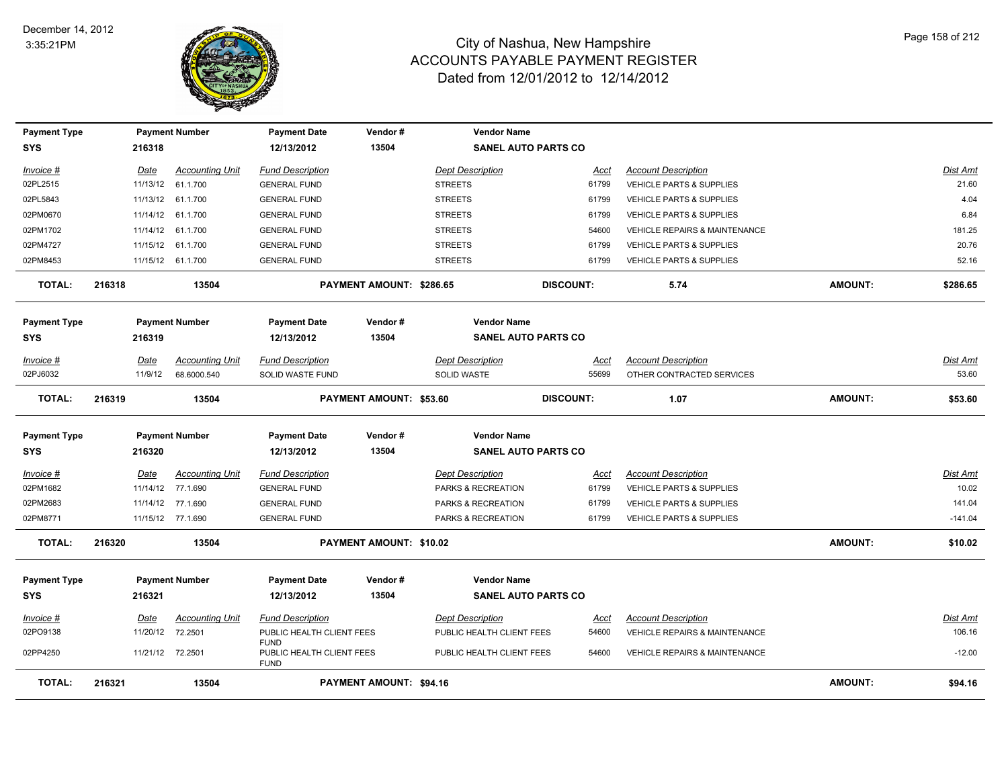

| <b>Payment Type</b> |        |             | <b>Payment Number</b>  | <b>Payment Date</b>                                     | Vendor#                         | <b>Vendor Name</b>        |                            |                                          |                |           |
|---------------------|--------|-------------|------------------------|---------------------------------------------------------|---------------------------------|---------------------------|----------------------------|------------------------------------------|----------------|-----------|
| <b>SYS</b>          |        | 216318      |                        | 12/13/2012                                              | 13504                           |                           | <b>SANEL AUTO PARTS CO</b> |                                          |                |           |
| Invoice #           |        | Date        | <b>Accounting Unit</b> | <b>Fund Description</b>                                 |                                 | <b>Dept Description</b>   | Acct                       | <b>Account Description</b>               |                | Dist Amt  |
| 02PL2515            |        |             | 11/13/12 61.1.700      | <b>GENERAL FUND</b>                                     |                                 | <b>STREETS</b>            | 61799                      | VEHICLE PARTS & SUPPLIES                 |                | 21.60     |
| 02PL5843            |        |             | 11/13/12 61.1.700      | <b>GENERAL FUND</b>                                     |                                 | <b>STREETS</b>            | 61799                      | VEHICLE PARTS & SUPPLIES                 |                | 4.04      |
| 02PM0670            |        |             | 11/14/12 61.1.700      | <b>GENERAL FUND</b>                                     |                                 | <b>STREETS</b>            | 61799                      | VEHICLE PARTS & SUPPLIES                 |                | 6.84      |
| 02PM1702            |        |             | 11/14/12 61.1.700      | <b>GENERAL FUND</b>                                     |                                 | <b>STREETS</b>            | 54600                      | <b>VEHICLE REPAIRS &amp; MAINTENANCE</b> |                | 181.25    |
| 02PM4727            |        |             | 11/15/12 61.1.700      | <b>GENERAL FUND</b>                                     |                                 | <b>STREETS</b>            | 61799                      | VEHICLE PARTS & SUPPLIES                 |                | 20.76     |
| 02PM8453            |        |             | 11/15/12 61.1.700      | <b>GENERAL FUND</b>                                     |                                 | <b>STREETS</b>            | 61799                      | <b>VEHICLE PARTS &amp; SUPPLIES</b>      |                | 52.16     |
| <b>TOTAL:</b>       | 216318 |             | 13504                  |                                                         | <b>PAYMENT AMOUNT: \$286.65</b> |                           | <b>DISCOUNT:</b>           | 5.74                                     | <b>AMOUNT:</b> | \$286.65  |
| <b>Payment Type</b> |        |             | <b>Payment Number</b>  | <b>Payment Date</b>                                     | Vendor#                         | <b>Vendor Name</b>        |                            |                                          |                |           |
| <b>SYS</b>          |        | 216319      |                        | 12/13/2012                                              | 13504                           |                           | <b>SANEL AUTO PARTS CO</b> |                                          |                |           |
| Invoice #           |        | Date        | <b>Accounting Unit</b> | <b>Fund Description</b>                                 |                                 | <b>Dept Description</b>   | Acct                       | <b>Account Description</b>               |                | Dist Amt  |
| 02PJ6032            |        | 11/9/12     | 68.6000.540            | SOLID WASTE FUND                                        |                                 | <b>SOLID WASTE</b>        | 55699                      | OTHER CONTRACTED SERVICES                |                | 53.60     |
| <b>TOTAL:</b>       | 216319 |             | 13504                  |                                                         | PAYMENT AMOUNT: \$53.60         |                           | <b>DISCOUNT:</b>           | 1.07                                     | <b>AMOUNT:</b> | \$53.60   |
| <b>Payment Type</b> |        |             | <b>Payment Number</b>  | <b>Payment Date</b>                                     | Vendor#                         | <b>Vendor Name</b>        |                            |                                          |                |           |
| <b>SYS</b>          |        | 216320      |                        | 12/13/2012                                              | 13504                           |                           | <b>SANEL AUTO PARTS CO</b> |                                          |                |           |
| Invoice #           |        | <b>Date</b> | <b>Accounting Unit</b> | <b>Fund Description</b>                                 |                                 | <b>Dept Description</b>   | <u>Acct</u>                | <b>Account Description</b>               |                | Dist Amt  |
| 02PM1682            |        |             | 11/14/12 77.1.690      | <b>GENERAL FUND</b>                                     |                                 | PARKS & RECREATION        | 61799                      | <b>VEHICLE PARTS &amp; SUPPLIES</b>      |                | 10.02     |
| 02PM2683            |        |             | 11/14/12 77.1.690      | <b>GENERAL FUND</b>                                     |                                 | PARKS & RECREATION        | 61799                      | <b>VEHICLE PARTS &amp; SUPPLIES</b>      |                | 141.04    |
| 02PM8771            |        |             | 11/15/12 77.1.690      | <b>GENERAL FUND</b>                                     |                                 | PARKS & RECREATION        | 61799                      | VEHICLE PARTS & SUPPLIES                 |                | $-141.04$ |
| <b>TOTAL:</b>       | 216320 |             | 13504                  |                                                         | <b>PAYMENT AMOUNT: \$10.02</b>  |                           |                            |                                          | <b>AMOUNT:</b> | \$10.02   |
| <b>Payment Type</b> |        |             | <b>Payment Number</b>  | <b>Payment Date</b>                                     | Vendor#                         | <b>Vendor Name</b>        |                            |                                          |                |           |
| <b>SYS</b>          |        | 216321      |                        | 12/13/2012                                              | 13504                           |                           | <b>SANEL AUTO PARTS CO</b> |                                          |                |           |
| $Invoice$ #         |        | <u>Date</u> | <b>Accounting Unit</b> | <b>Fund Description</b>                                 |                                 | <b>Dept Description</b>   | <u>Acct</u>                | <b>Account Description</b>               |                | Dist Amt  |
| 02PO9138            |        | 11/20/12    | 72.2501                | PUBLIC HEALTH CLIENT FEES                               |                                 | PUBLIC HEALTH CLIENT FEES | 54600                      | <b>VEHICLE REPAIRS &amp; MAINTENANCE</b> |                | 106.16    |
| 02PP4250            |        |             | 11/21/12 72.2501       | <b>FUND</b><br>PUBLIC HEALTH CLIENT FEES<br><b>FUND</b> |                                 | PUBLIC HEALTH CLIENT FEES | 54600                      | VEHICLE REPAIRS & MAINTENANCE            |                | $-12.00$  |
| <b>TOTAL:</b>       | 216321 |             | 13504                  |                                                         | <b>PAYMENT AMOUNT: \$94.16</b>  |                           |                            |                                          | <b>AMOUNT:</b> | \$94.16   |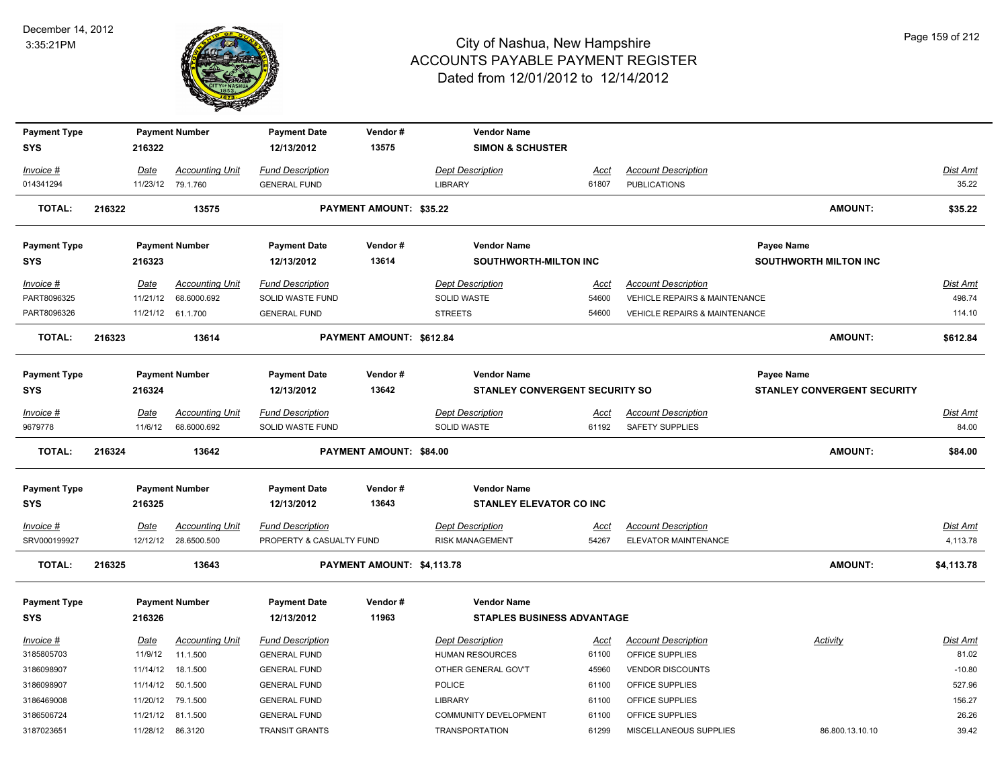

| <b>Payment Type</b> |        |          | <b>Payment Number</b>  | <b>Payment Date</b>      | Vendor#                         | <b>Vendor Name</b>                    |             |                                          |                                    |                 |
|---------------------|--------|----------|------------------------|--------------------------|---------------------------------|---------------------------------------|-------------|------------------------------------------|------------------------------------|-----------------|
| <b>SYS</b>          |        | 216322   |                        | 12/13/2012               | 13575                           | <b>SIMON &amp; SCHUSTER</b>           |             |                                          |                                    |                 |
| Invoice #           |        | Date     | <b>Accounting Unit</b> | <b>Fund Description</b>  |                                 | <b>Dept Description</b>               | Acct        | <b>Account Description</b>               |                                    | <b>Dist Amt</b> |
| 014341294           |        | 11/23/12 | 79.1.760               | <b>GENERAL FUND</b>      |                                 | <b>LIBRARY</b>                        | 61807       | <b>PUBLICATIONS</b>                      |                                    | 35.22           |
| <b>TOTAL:</b>       | 216322 |          | 13575                  |                          | <b>PAYMENT AMOUNT: \$35.22</b>  |                                       |             |                                          | <b>AMOUNT:</b>                     | \$35.22         |
| <b>Payment Type</b> |        |          | <b>Payment Number</b>  | <b>Payment Date</b>      | Vendor#                         | <b>Vendor Name</b>                    |             |                                          | Payee Name                         |                 |
| <b>SYS</b>          |        | 216323   |                        | 12/13/2012               | 13614                           | SOUTHWORTH-MILTON INC                 |             |                                          | <b>SOUTHWORTH MILTON INC</b>       |                 |
| Invoice #           |        | Date     | <b>Accounting Unit</b> | <b>Fund Description</b>  |                                 | <b>Dept Description</b>               | <u>Acct</u> | <b>Account Description</b>               |                                    | Dist Amt        |
| PART8096325         |        | 11/21/12 | 68.6000.692            | SOLID WASTE FUND         |                                 | SOLID WASTE                           | 54600       | VEHICLE REPAIRS & MAINTENANCE            |                                    | 498.74          |
| PART8096326         |        |          | 11/21/12 61.1.700      | <b>GENERAL FUND</b>      |                                 | <b>STREETS</b>                        | 54600       | <b>VEHICLE REPAIRS &amp; MAINTENANCE</b> |                                    | 114.10          |
| <b>TOTAL:</b>       | 216323 |          | 13614                  |                          | <b>PAYMENT AMOUNT: \$612.84</b> |                                       |             |                                          | AMOUNT:                            | \$612.84        |
| <b>Payment Type</b> |        |          | <b>Payment Number</b>  | <b>Payment Date</b>      | Vendor#                         | <b>Vendor Name</b>                    |             |                                          | Payee Name                         |                 |
| <b>SYS</b>          |        | 216324   |                        | 12/13/2012               | 13642                           | <b>STANLEY CONVERGENT SECURITY SO</b> |             |                                          | <b>STANLEY CONVERGENT SECURITY</b> |                 |
| Invoice #           |        | Date     | <b>Accounting Unit</b> | <b>Fund Description</b>  |                                 | <b>Dept Description</b>               | Acct        | <b>Account Description</b>               |                                    | Dist Amt        |
| 9679778             |        | 11/6/12  | 68.6000.692            | SOLID WASTE FUND         |                                 | SOLID WASTE                           | 61192       | SAFETY SUPPLIES                          |                                    | 84.00           |
| <b>TOTAL:</b>       | 216324 |          | 13642                  |                          | PAYMENT AMOUNT: \$84.00         |                                       |             |                                          | AMOUNT:                            | \$84.00         |
| <b>Payment Type</b> |        |          | <b>Payment Number</b>  | <b>Payment Date</b>      | Vendor#                         | <b>Vendor Name</b>                    |             |                                          |                                    |                 |
| <b>SYS</b>          |        | 216325   |                        | 12/13/2012               | 13643                           | <b>STANLEY ELEVATOR CO INC</b>        |             |                                          |                                    |                 |
| $Invoice$ #         |        | Date     | <b>Accounting Unit</b> | <b>Fund Description</b>  |                                 | <b>Dept Description</b>               | <u>Acct</u> | <b>Account Description</b>               |                                    | <b>Dist Amt</b> |
| SRV000199927        |        | 12/12/12 | 28.6500.500            | PROPERTY & CASUALTY FUND |                                 | <b>RISK MANAGEMENT</b>                | 54267       | ELEVATOR MAINTENANCE                     |                                    | 4,113.78        |
| <b>TOTAL:</b>       | 216325 |          | 13643                  |                          | PAYMENT AMOUNT: \$4,113.78      |                                       |             |                                          | <b>AMOUNT:</b>                     | \$4,113.78      |
| <b>Payment Type</b> |        |          | <b>Payment Number</b>  | <b>Payment Date</b>      | Vendor#                         | <b>Vendor Name</b>                    |             |                                          |                                    |                 |
| <b>SYS</b>          |        | 216326   |                        | 12/13/2012               | 11963                           | <b>STAPLES BUSINESS ADVANTAGE</b>     |             |                                          |                                    |                 |
| Invoice #           |        | Date     | <b>Accounting Unit</b> | <b>Fund Description</b>  |                                 | <b>Dept Description</b>               | Acct        | <b>Account Description</b>               | Activity                           | Dist Amt        |
| 3185805703          |        | 11/9/12  | 11.1.500               | <b>GENERAL FUND</b>      |                                 | <b>HUMAN RESOURCES</b>                | 61100       | OFFICE SUPPLIES                          |                                    | 81.02           |
| 3186098907          |        | 11/14/12 | 18.1.500               | <b>GENERAL FUND</b>      |                                 | OTHER GENERAL GOV'T                   | 45960       | <b>VENDOR DISCOUNTS</b>                  |                                    | $-10.80$        |
| 3186098907          |        | 11/14/12 | 50.1.500               | <b>GENERAL FUND</b>      |                                 | <b>POLICE</b>                         | 61100       | OFFICE SUPPLIES                          |                                    | 527.96          |
| 3186469008          |        | 11/20/12 | 79.1.500               | <b>GENERAL FUND</b>      |                                 | <b>LIBRARY</b>                        | 61100       | OFFICE SUPPLIES                          |                                    | 156.27          |
| 3186506724          |        | 11/21/12 | 81.1.500               | <b>GENERAL FUND</b>      |                                 | <b>COMMUNITY DEVELOPMENT</b>          | 61100       | OFFICE SUPPLIES                          |                                    | 26.26           |
| 3187023651          |        |          | 11/28/12 86.3120       | <b>TRANSIT GRANTS</b>    |                                 | <b>TRANSPORTATION</b>                 | 61299       | MISCELLANEOUS SUPPLIES                   | 86.800.13.10.10                    | 39.42           |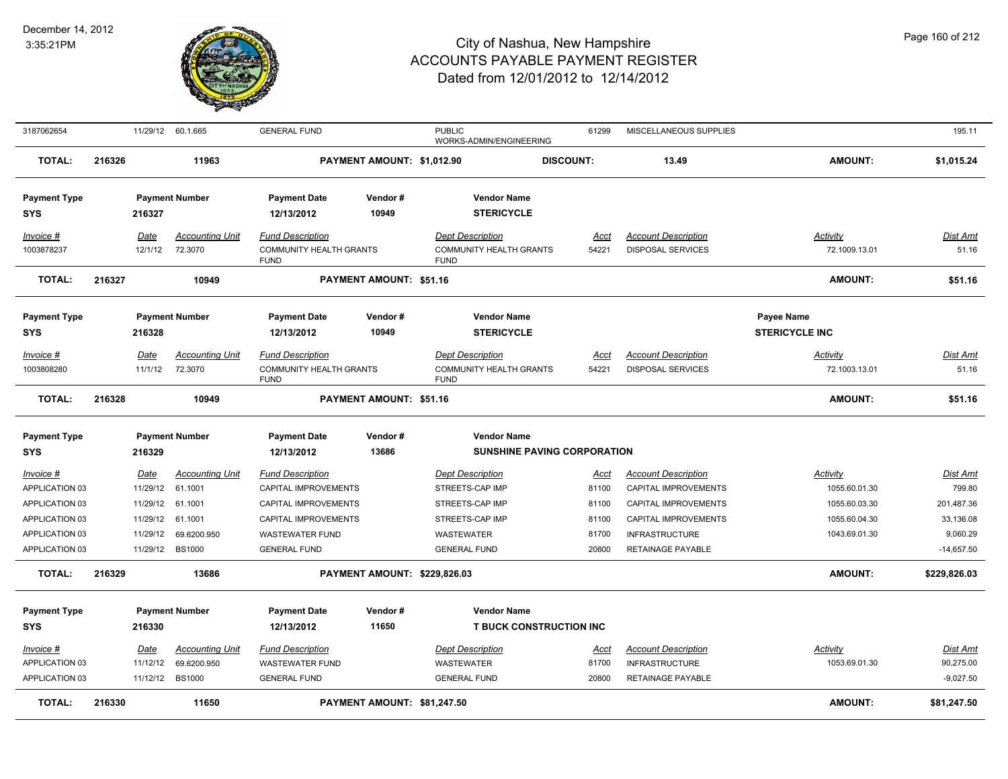

| 3187062654                                                                                          |        | 11/29/12                                                         | 60.1.665                                                                                | <b>GENERAL FUND</b>                                                                                                                              |                              | <b>PUBLIC</b>                                                                                                                | WORKS-ADMIN/ENGINEERING                                  | 61299                                             | MISCELLANEOUS SUPPLIES                                                                                                                           |                                                                              | 195.11                                                                    |
|-----------------------------------------------------------------------------------------------------|--------|------------------------------------------------------------------|-----------------------------------------------------------------------------------------|--------------------------------------------------------------------------------------------------------------------------------------------------|------------------------------|------------------------------------------------------------------------------------------------------------------------------|----------------------------------------------------------|---------------------------------------------------|--------------------------------------------------------------------------------------------------------------------------------------------------|------------------------------------------------------------------------------|---------------------------------------------------------------------------|
| <b>TOTAL:</b>                                                                                       | 216326 |                                                                  | 11963                                                                                   |                                                                                                                                                  | PAYMENT AMOUNT: \$1,012.90   |                                                                                                                              | <b>DISCOUNT:</b>                                         |                                                   | 13.49                                                                                                                                            | <b>AMOUNT:</b>                                                               | \$1,015.24                                                                |
| <b>Payment Type</b><br><b>SYS</b>                                                                   |        | 216327                                                           | <b>Payment Number</b>                                                                   | <b>Payment Date</b><br>12/13/2012                                                                                                                | Vendor#<br>10949             |                                                                                                                              | <b>Vendor Name</b><br><b>STERICYCLE</b>                  |                                                   |                                                                                                                                                  |                                                                              |                                                                           |
| Invoice #<br>1003878237                                                                             |        | Date<br>12/1/12                                                  | <b>Accounting Unit</b><br>72.3070                                                       | <b>Fund Description</b><br><b>COMMUNITY HEALTH GRANTS</b><br><b>FUND</b>                                                                         |                              | <b>Dept Description</b><br><b>FUND</b>                                                                                       | <b>COMMUNITY HEALTH GRANTS</b>                           | Acct<br>54221                                     | <b>Account Description</b><br><b>DISPOSAL SERVICES</b>                                                                                           | Activity<br>72.1009.13.01                                                    | Dist Amt<br>51.16                                                         |
| <b>TOTAL:</b>                                                                                       | 216327 |                                                                  | 10949                                                                                   |                                                                                                                                                  | PAYMENT AMOUNT: \$51.16      |                                                                                                                              |                                                          |                                                   |                                                                                                                                                  | <b>AMOUNT:</b>                                                               | \$51.16                                                                   |
| <b>Payment Type</b><br><b>SYS</b>                                                                   |        | 216328                                                           | <b>Payment Number</b>                                                                   | <b>Payment Date</b><br>12/13/2012                                                                                                                | Vendor#<br>10949             |                                                                                                                              | <b>Vendor Name</b><br><b>STERICYCLE</b>                  |                                                   |                                                                                                                                                  | Payee Name<br><b>STERICYCLE INC</b>                                          |                                                                           |
| Invoice #<br>1003808280                                                                             |        | Date<br>11/1/12                                                  | <b>Accounting Unit</b><br>72.3070                                                       | <b>Fund Description</b><br><b>COMMUNITY HEALTH GRANTS</b><br><b>FUND</b>                                                                         |                              | <b>Dept Description</b><br><b>FUND</b>                                                                                       | <b>COMMUNITY HEALTH GRANTS</b>                           | Acct<br>54221                                     | <b>Account Description</b><br><b>DISPOSAL SERVICES</b>                                                                                           | Activity<br>72.1003.13.01                                                    | Dist Amt<br>51.16                                                         |
| <b>TOTAL:</b>                                                                                       | 216328 |                                                                  | 10949                                                                                   |                                                                                                                                                  | PAYMENT AMOUNT: \$51.16      |                                                                                                                              |                                                          |                                                   |                                                                                                                                                  | <b>AMOUNT:</b>                                                               | \$51.16                                                                   |
| <b>Payment Type</b><br><b>SYS</b>                                                                   |        | 216329                                                           | <b>Payment Number</b>                                                                   | <b>Payment Date</b><br>12/13/2012                                                                                                                | Vendor#<br>13686             |                                                                                                                              | <b>Vendor Name</b><br><b>SUNSHINE PAVING CORPORATION</b> |                                                   |                                                                                                                                                  |                                                                              |                                                                           |
| Invoice #<br>APPLICATION 03<br>APPLICATION 03<br>APPLICATION 03<br>APPLICATION 03<br>APPLICATION 03 |        | Date<br>11/29/12<br>11/29/12<br>11/29/12<br>11/29/12<br>11/29/12 | <b>Accounting Unit</b><br>61.1001<br>61.1001<br>61.1001<br>69.6200.950<br><b>BS1000</b> | <b>Fund Description</b><br>CAPITAL IMPROVEMENTS<br>CAPITAL IMPROVEMENTS<br>CAPITAL IMPROVEMENTS<br><b>WASTEWATER FUND</b><br><b>GENERAL FUND</b> |                              | <b>Dept Description</b><br>STREETS-CAP IMP<br>STREETS-CAP IMP<br>STREETS-CAP IMP<br><b>WASTEWATER</b><br><b>GENERAL FUND</b> |                                                          | Acct<br>81100<br>81100<br>81100<br>81700<br>20800 | <b>Account Description</b><br>CAPITAL IMPROVEMENTS<br>CAPITAL IMPROVEMENTS<br>CAPITAL IMPROVEMENTS<br><b>INFRASTRUCTURE</b><br>RETAINAGE PAYABLE | Activity<br>1055.60.01.30<br>1055.60.03.30<br>1055.60.04.30<br>1043.69.01.30 | Dist Amt<br>799.80<br>201,487.36<br>33,136.08<br>9,060.29<br>$-14,657.50$ |
| <b>TOTAL:</b>                                                                                       | 216329 |                                                                  | 13686                                                                                   |                                                                                                                                                  | PAYMENT AMOUNT: \$229,826.03 |                                                                                                                              |                                                          |                                                   |                                                                                                                                                  | <b>AMOUNT:</b>                                                               | \$229,826.03                                                              |
| <b>Payment Type</b><br><b>SYS</b>                                                                   |        | 216330                                                           | <b>Payment Number</b>                                                                   | <b>Payment Date</b><br>12/13/2012                                                                                                                | Vendor#<br>11650             |                                                                                                                              | <b>Vendor Name</b><br><b>T BUCK CONSTRUCTION INC</b>     |                                                   |                                                                                                                                                  |                                                                              |                                                                           |
| Invoice #<br>APPLICATION 03<br>APPLICATION 03                                                       |        | Date<br>11/12/12<br>11/12/12                                     | <b>Accounting Unit</b><br>69.6200.950<br><b>BS1000</b>                                  | <b>Fund Description</b><br><b>WASTEWATER FUND</b><br><b>GENERAL FUND</b>                                                                         |                              | <b>Dept Description</b><br><b>WASTEWATER</b><br><b>GENERAL FUND</b>                                                          |                                                          | Acct<br>81700<br>20800                            | <b>Account Description</b><br><b>INFRASTRUCTURE</b><br><b>RETAINAGE PAYABLE</b>                                                                  | Activity<br>1053.69.01.30                                                    | Dist Amt<br>90,275.00<br>$-9,027.50$                                      |
| <b>TOTAL:</b>                                                                                       | 216330 |                                                                  | 11650                                                                                   |                                                                                                                                                  | PAYMENT AMOUNT: \$81,247.50  |                                                                                                                              |                                                          |                                                   |                                                                                                                                                  | <b>AMOUNT:</b>                                                               | \$81,247.50                                                               |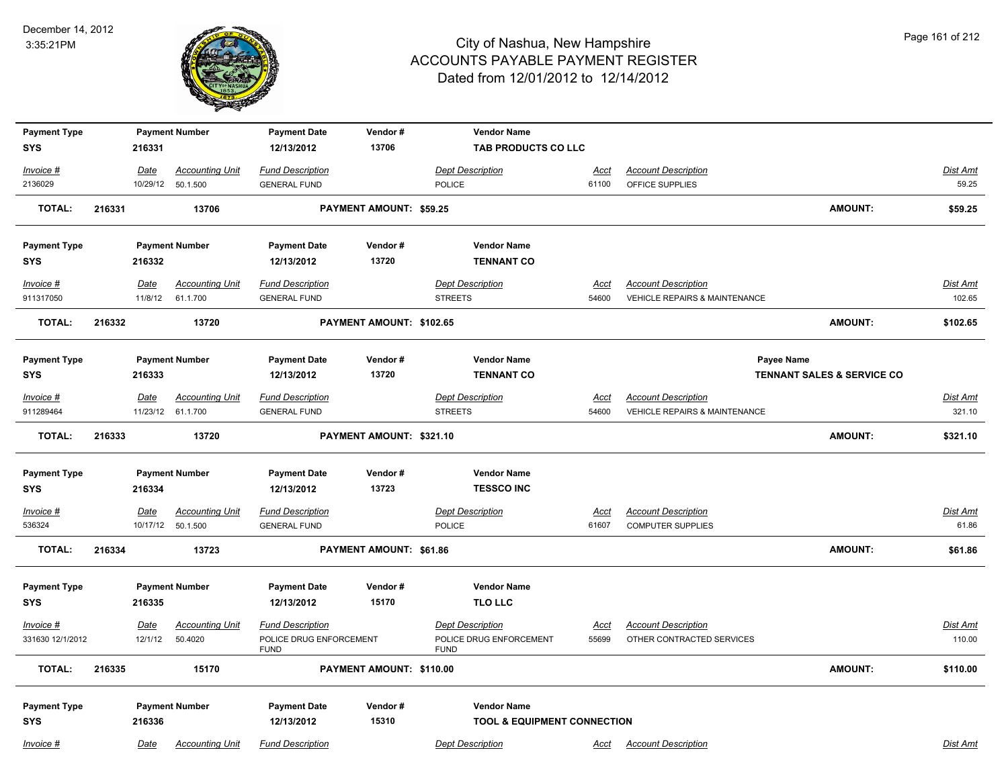

| <b>Payment Type</b> |        |             | <b>Payment Number</b>  | <b>Payment Date</b>                    | Vendor#                  | <b>Vendor Name</b>                     |             |                                          |                                       |                 |
|---------------------|--------|-------------|------------------------|----------------------------------------|--------------------------|----------------------------------------|-------------|------------------------------------------|---------------------------------------|-----------------|
| <b>SYS</b>          |        | 216331      |                        | 12/13/2012                             | 13706                    | TAB PRODUCTS CO LLC                    |             |                                          |                                       |                 |
| $Invoice$ #         |        | <b>Date</b> | <b>Accounting Unit</b> | <b>Fund Description</b>                |                          | <b>Dept Description</b>                | <u>Acct</u> | <b>Account Description</b>               |                                       | <b>Dist Amt</b> |
| 2136029             |        |             | 10/29/12 50.1.500      | <b>GENERAL FUND</b>                    |                          | <b>POLICE</b>                          | 61100       | OFFICE SUPPLIES                          |                                       | 59.25           |
| <b>TOTAL:</b>       | 216331 |             | 13706                  |                                        | PAYMENT AMOUNT: \$59.25  |                                        |             |                                          | <b>AMOUNT:</b>                        | \$59.25         |
| <b>Payment Type</b> |        |             | <b>Payment Number</b>  | <b>Payment Date</b>                    | Vendor#                  | <b>Vendor Name</b>                     |             |                                          |                                       |                 |
| <b>SYS</b>          |        | 216332      |                        | 12/13/2012                             | 13720                    | <b>TENNANT CO</b>                      |             |                                          |                                       |                 |
| $Invoice$ #         |        | <u>Date</u> | <b>Accounting Unit</b> | <b>Fund Description</b>                |                          | <b>Dept Description</b>                | Acct        | <b>Account Description</b>               |                                       | <b>Dist Amt</b> |
| 911317050           |        | 11/8/12     | 61.1.700               | <b>GENERAL FUND</b>                    |                          | <b>STREETS</b>                         | 54600       | VEHICLE REPAIRS & MAINTENANCE            |                                       | 102.65          |
| <b>TOTAL:</b>       | 216332 |             | 13720                  |                                        | PAYMENT AMOUNT: \$102.65 |                                        |             |                                          | <b>AMOUNT:</b>                        | \$102.65        |
| <b>Payment Type</b> |        |             | <b>Payment Number</b>  | <b>Payment Date</b>                    | Vendor#                  | <b>Vendor Name</b>                     |             |                                          | Payee Name                            |                 |
| <b>SYS</b>          |        | 216333      |                        | 12/13/2012                             | 13720                    | <b>TENNANT CO</b>                      |             |                                          | <b>TENNANT SALES &amp; SERVICE CO</b> |                 |
| Invoice #           |        | Date        | <b>Accounting Unit</b> | <b>Fund Description</b>                |                          | <b>Dept Description</b>                | Acct        | <b>Account Description</b>               |                                       | Dist Amt        |
| 911289464           |        |             | 11/23/12 61.1.700      | <b>GENERAL FUND</b>                    |                          | <b>STREETS</b>                         | 54600       | <b>VEHICLE REPAIRS &amp; MAINTENANCE</b> |                                       | 321.10          |
| <b>TOTAL:</b>       | 216333 |             | 13720                  |                                        | PAYMENT AMOUNT: \$321.10 |                                        |             |                                          | <b>AMOUNT:</b>                        | \$321.10        |
| <b>Payment Type</b> |        |             | <b>Payment Number</b>  | <b>Payment Date</b>                    | Vendor#                  | <b>Vendor Name</b>                     |             |                                          |                                       |                 |
| <b>SYS</b>          |        | 216334      |                        | 12/13/2012                             | 13723                    | <b>TESSCO INC</b>                      |             |                                          |                                       |                 |
| $Invoice$ #         |        | Date        | <b>Accounting Unit</b> | <b>Fund Description</b>                |                          | <b>Dept Description</b>                | Acct        | <b>Account Description</b>               |                                       | Dist Amt        |
| 536324              |        |             | 10/17/12  50.1.500     | <b>GENERAL FUND</b>                    |                          | POLICE                                 | 61607       | <b>COMPUTER SUPPLIES</b>                 |                                       | 61.86           |
| <b>TOTAL:</b>       | 216334 |             | 13723                  |                                        | PAYMENT AMOUNT: \$61.86  |                                        |             |                                          | <b>AMOUNT:</b>                        | \$61.86         |
| <b>Payment Type</b> |        |             | <b>Payment Number</b>  | <b>Payment Date</b>                    | Vendor#                  | <b>Vendor Name</b>                     |             |                                          |                                       |                 |
| <b>SYS</b>          |        | 216335      |                        | 12/13/2012                             | 15170                    | <b>TLO LLC</b>                         |             |                                          |                                       |                 |
|                     |        |             |                        |                                        |                          |                                        |             |                                          |                                       |                 |
| $Invoice$ #         |        | <u>Date</u> | <b>Accounting Unit</b> | <b>Fund Description</b>                |                          | <b>Dept Description</b>                | <u>Acct</u> | <b>Account Description</b>               |                                       | Dist Amt        |
| 331630 12/1/2012    |        | 12/1/12     | 50.4020                | POLICE DRUG ENFORCEMENT<br><b>FUND</b> |                          | POLICE DRUG ENFORCEMENT<br><b>FUND</b> | 55699       | OTHER CONTRACTED SERVICES                |                                       | 110.00          |
| <b>TOTAL:</b>       | 216335 |             | 15170                  |                                        | PAYMENT AMOUNT: \$110.00 |                                        |             |                                          | <b>AMOUNT:</b>                        | \$110.00        |
| <b>Payment Type</b> |        |             | <b>Payment Number</b>  | <b>Payment Date</b>                    | Vendor#                  | <b>Vendor Name</b>                     |             |                                          |                                       |                 |
| <b>SYS</b>          |        | 216336      |                        | 12/13/2012                             | 15310                    | <b>TOOL &amp; EQUIPMENT CONNECTION</b> |             |                                          |                                       |                 |
|                     |        |             |                        |                                        |                          |                                        |             |                                          |                                       |                 |
| Invoice #           |        | Date        | <b>Accounting Unit</b> | <b>Fund Description</b>                |                          | <b>Dept Description</b>                | Acct        | <b>Account Description</b>               |                                       | Dist Amt        |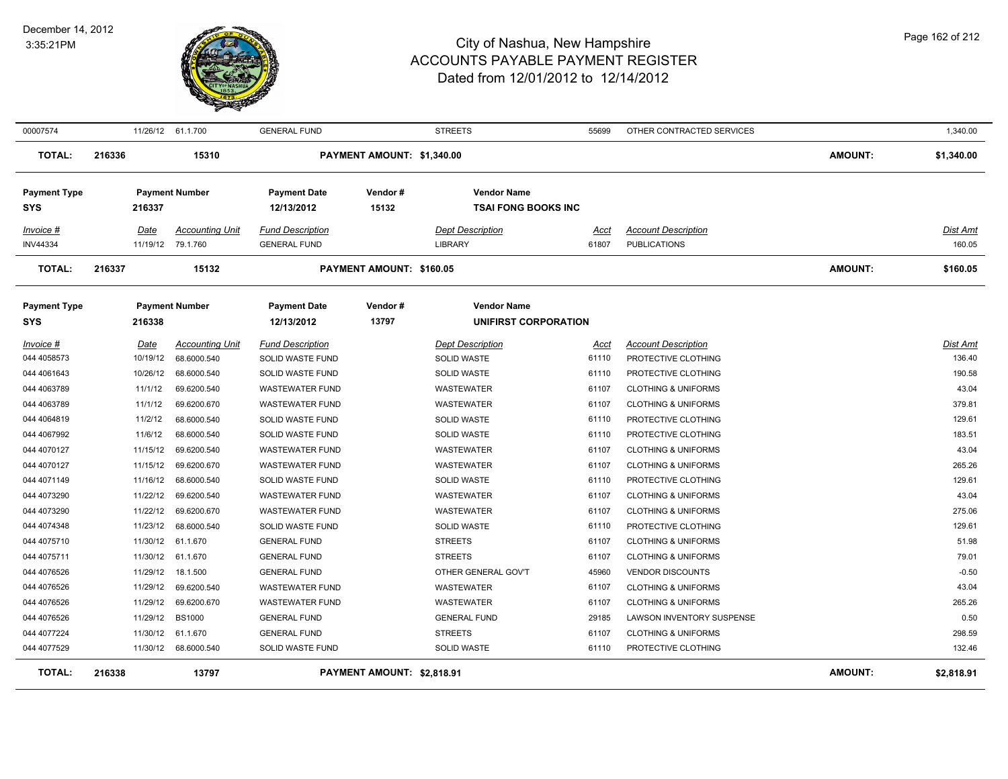

| 00007574                          |        |          | 11/26/12 61.1.700      | <b>GENERAL FUND</b>               |                            | <b>STREETS</b>                                   | 55699 | OTHER CONTRACTED SERVICES      |                | 1,340.00        |
|-----------------------------------|--------|----------|------------------------|-----------------------------------|----------------------------|--------------------------------------------------|-------|--------------------------------|----------------|-----------------|
| <b>TOTAL:</b>                     | 216336 |          | 15310                  |                                   | PAYMENT AMOUNT: \$1,340.00 |                                                  |       |                                | <b>AMOUNT:</b> | \$1,340.00      |
| <b>Payment Type</b><br><b>SYS</b> |        | 216337   | <b>Payment Number</b>  | <b>Payment Date</b><br>12/13/2012 | Vendor#<br>15132           | <b>Vendor Name</b><br><b>TSAI FONG BOOKS INC</b> |       |                                |                |                 |
| Invoice #                         |        | Date     | <b>Accounting Unit</b> | <b>Fund Description</b>           |                            | <b>Dept Description</b>                          | Acct  | <b>Account Description</b>     |                | <b>Dist Amt</b> |
| <b>INV44334</b>                   |        |          | 11/19/12 79.1.760      | <b>GENERAL FUND</b>               |                            | <b>LIBRARY</b>                                   | 61807 | <b>PUBLICATIONS</b>            |                | 160.05          |
| <b>TOTAL:</b>                     | 216337 |          | 15132                  |                                   | PAYMENT AMOUNT: \$160.05   |                                                  |       |                                | AMOUNT:        | \$160.05        |
| <b>Payment Type</b>               |        |          | <b>Payment Number</b>  | <b>Payment Date</b>               | Vendor#                    | <b>Vendor Name</b>                               |       |                                |                |                 |
| SYS                               |        | 216338   |                        | 12/13/2012                        | 13797                      | UNIFIRST CORPORATION                             |       |                                |                |                 |
| Invoice #                         |        | Date     | <b>Accounting Unit</b> | <b>Fund Description</b>           |                            | <b>Dept Description</b>                          | Acct  | <b>Account Description</b>     |                | Dist Amt        |
| 044 4058573                       |        | 10/19/12 | 68.6000.540            | SOLID WASTE FUND                  |                            | <b>SOLID WASTE</b>                               | 61110 | PROTECTIVE CLOTHING            |                | 136.40          |
| 044 4061643                       |        | 10/26/12 | 68.6000.540            | SOLID WASTE FUND                  |                            | <b>SOLID WASTE</b>                               | 61110 | PROTECTIVE CLOTHING            |                | 190.58          |
| 044 4063789                       |        | 11/1/12  | 69.6200.540            | WASTEWATER FUND                   |                            | WASTEWATER                                       | 61107 | <b>CLOTHING &amp; UNIFORMS</b> |                | 43.04           |
| 044 4063789                       |        | 11/1/12  | 69.6200.670            | <b>WASTEWATER FUND</b>            |                            | <b>WASTEWATER</b>                                | 61107 | <b>CLOTHING &amp; UNIFORMS</b> |                | 379.81          |
| 044 4064819                       |        | 11/2/12  | 68.6000.540            | SOLID WASTE FUND                  |                            | <b>SOLID WASTE</b>                               | 61110 | PROTECTIVE CLOTHING            |                | 129.61          |
| 044 4067992                       |        | 11/6/12  | 68.6000.540            | SOLID WASTE FUND                  |                            | <b>SOLID WASTE</b>                               | 61110 | PROTECTIVE CLOTHING            |                | 183.51          |
| 044 4070127                       |        | 11/15/12 | 69.6200.540            | <b>WASTEWATER FUND</b>            |                            | <b>WASTEWATER</b>                                | 61107 | <b>CLOTHING &amp; UNIFORMS</b> |                | 43.04           |
| 044 4070127                       |        | 11/15/12 | 69.6200.670            | WASTEWATER FUND                   |                            | WASTEWATER                                       | 61107 | <b>CLOTHING &amp; UNIFORMS</b> |                | 265.26          |
| 044 4071149                       |        | 11/16/12 | 68.6000.540            | SOLID WASTE FUND                  |                            | SOLID WASTE                                      | 61110 | PROTECTIVE CLOTHING            |                | 129.61          |
| 044 4073290                       |        | 11/22/12 | 69.6200.540            | <b>WASTEWATER FUND</b>            |                            | <b>WASTEWATER</b>                                | 61107 | <b>CLOTHING &amp; UNIFORMS</b> |                | 43.04           |
| 044 4073290                       |        | 11/22/12 | 69.6200.670            | <b>WASTEWATER FUND</b>            |                            | WASTEWATER                                       | 61107 | <b>CLOTHING &amp; UNIFORMS</b> |                | 275.06          |
| 044 4074348                       |        | 11/23/12 | 68.6000.540            | SOLID WASTE FUND                  |                            | SOLID WASTE                                      | 61110 | PROTECTIVE CLOTHING            |                | 129.61          |
| 044 4075710                       |        |          | 11/30/12 61.1.670      | <b>GENERAL FUND</b>               |                            | <b>STREETS</b>                                   | 61107 | <b>CLOTHING &amp; UNIFORMS</b> |                | 51.98           |
| 044 4075711                       |        |          | 11/30/12 61.1.670      | <b>GENERAL FUND</b>               |                            | <b>STREETS</b>                                   | 61107 | <b>CLOTHING &amp; UNIFORMS</b> |                | 79.01           |
| 044 4076526                       |        | 11/29/12 | 18.1.500               | <b>GENERAL FUND</b>               |                            | OTHER GENERAL GOV'T                              | 45960 | <b>VENDOR DISCOUNTS</b>        |                | $-0.50$         |
| 044 4076526                       |        | 11/29/12 | 69.6200.540            | <b>WASTEWATER FUND</b>            |                            | <b>WASTEWATER</b>                                | 61107 | <b>CLOTHING &amp; UNIFORMS</b> |                | 43.04           |
| 044 4076526                       |        | 11/29/12 | 69.6200.670            | <b>WASTEWATER FUND</b>            |                            | WASTEWATER                                       | 61107 | <b>CLOTHING &amp; UNIFORMS</b> |                | 265.26          |
| 044 4076526                       |        | 11/29/12 | <b>BS1000</b>          | <b>GENERAL FUND</b>               |                            | <b>GENERAL FUND</b>                              | 29185 | LAWSON INVENTORY SUSPENSE      |                | 0.50            |
| 044 4077224                       |        | 11/30/12 | 61.1.670               | <b>GENERAL FUND</b>               |                            | <b>STREETS</b>                                   | 61107 | <b>CLOTHING &amp; UNIFORMS</b> |                | 298.59          |
| 044 4077529                       |        |          | 11/30/12 68.6000.540   | SOLID WASTE FUND                  |                            | SOLID WASTE                                      | 61110 | PROTECTIVE CLOTHING            |                | 132.46          |
| <b>TOTAL:</b>                     | 216338 |          | 13797                  |                                   | PAYMENT AMOUNT: \$2,818.91 |                                                  |       |                                | <b>AMOUNT:</b> | \$2,818.91      |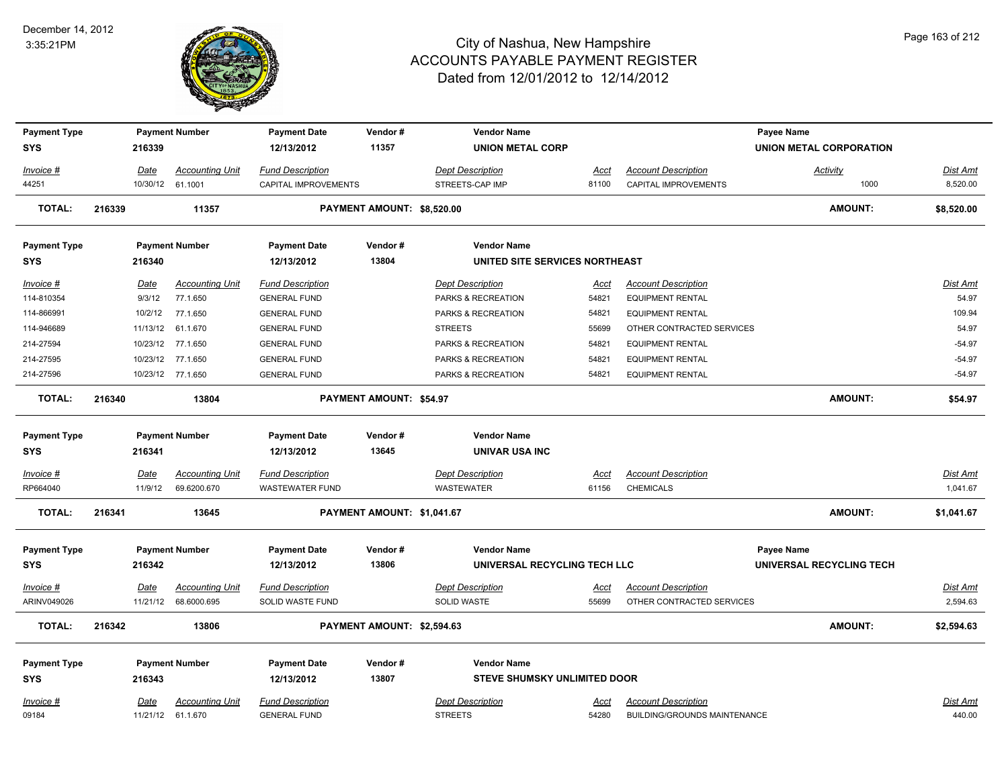

| <b>Payment Type</b><br><b>SYS</b> |        | 216339          | <b>Payment Number</b>                 | <b>Payment Date</b><br>12/13/2012                 | Vendor#<br>11357           | <b>Vendor Name</b><br><b>UNION METAL CORP</b> |               |                                     | Payee Name<br>UNION METAL CORPORATION |                      |
|-----------------------------------|--------|-----------------|---------------------------------------|---------------------------------------------------|----------------------------|-----------------------------------------------|---------------|-------------------------------------|---------------------------------------|----------------------|
|                                   |        |                 |                                       |                                                   |                            |                                               |               |                                     |                                       |                      |
| Invoice #                         |        | Date            | <b>Accounting Unit</b>                | <b>Fund Description</b>                           |                            | <b>Dept Description</b>                       | Acct          | <b>Account Description</b>          | <b>Activity</b>                       | Dist Amt             |
| 44251                             |        |                 | 10/30/12 61.1001                      | CAPITAL IMPROVEMENTS                              |                            | STREETS-CAP IMP                               | 81100         | CAPITAL IMPROVEMENTS                | 1000                                  | 8,520.00             |
| <b>TOTAL:</b>                     | 216339 |                 | 11357                                 |                                                   | PAYMENT AMOUNT: \$8,520.00 |                                               |               |                                     | <b>AMOUNT:</b>                        | \$8,520.00           |
| <b>Payment Type</b>               |        |                 | <b>Payment Number</b>                 | <b>Payment Date</b>                               | Vendor#                    | <b>Vendor Name</b>                            |               |                                     |                                       |                      |
| <b>SYS</b>                        |        | 216340          |                                       | 12/13/2012                                        | 13804                      | UNITED SITE SERVICES NORTHEAST                |               |                                     |                                       |                      |
| Invoice #                         |        | Date            | <b>Accounting Unit</b>                | <b>Fund Description</b>                           |                            | <b>Dept Description</b>                       | Acct          | <b>Account Description</b>          |                                       | Dist Amt             |
| 114-810354                        |        | 9/3/12          | 77.1.650                              | <b>GENERAL FUND</b>                               |                            | PARKS & RECREATION                            | 54821         | <b>EQUIPMENT RENTAL</b>             |                                       | 54.97                |
| 114-866991                        |        | 10/2/12         | 77.1.650                              | <b>GENERAL FUND</b>                               |                            | PARKS & RECREATION                            | 54821         | <b>EQUIPMENT RENTAL</b>             |                                       | 109.94               |
| 114-946689                        |        | 11/13/12        | 61.1.670                              | <b>GENERAL FUND</b>                               |                            | <b>STREETS</b>                                | 55699         | OTHER CONTRACTED SERVICES           |                                       | 54.97                |
| 214-27594                         |        |                 | 10/23/12 77.1.650                     | <b>GENERAL FUND</b>                               |                            | PARKS & RECREATION                            | 54821         | <b>EQUIPMENT RENTAL</b>             |                                       | $-54.97$             |
| 214-27595                         |        |                 | 10/23/12 77.1.650                     | <b>GENERAL FUND</b>                               |                            | PARKS & RECREATION                            | 54821         | <b>EQUIPMENT RENTAL</b>             |                                       | $-54.97$             |
| 214-27596                         |        |                 | 10/23/12 77.1.650                     | <b>GENERAL FUND</b>                               |                            | PARKS & RECREATION                            | 54821         | <b>EQUIPMENT RENTAL</b>             |                                       | $-54.97$             |
| <b>TOTAL:</b>                     | 216340 |                 | 13804                                 |                                                   | PAYMENT AMOUNT: \$54.97    |                                               |               |                                     | AMOUNT:                               | \$54.97              |
| <b>Payment Type</b>               |        |                 | <b>Payment Number</b>                 | <b>Payment Date</b>                               | Vendor#                    | <b>Vendor Name</b>                            |               |                                     |                                       |                      |
| <b>SYS</b>                        |        | 216341          |                                       | 12/13/2012                                        | 13645                      | <b>UNIVAR USA INC</b>                         |               |                                     |                                       |                      |
|                                   |        |                 |                                       |                                                   |                            |                                               |               | <b>Account Description</b>          |                                       |                      |
| Invoice #<br>RP664040             |        | Date<br>11/9/12 | <b>Accounting Unit</b><br>69.6200.670 | <b>Fund Description</b><br><b>WASTEWATER FUND</b> |                            | <b>Dept Description</b><br>WASTEWATER         | Acct<br>61156 | <b>CHEMICALS</b>                    |                                       | Dist Amt<br>1,041.67 |
|                                   |        |                 |                                       |                                                   |                            |                                               |               |                                     |                                       |                      |
| <b>TOTAL:</b>                     | 216341 |                 | 13645                                 |                                                   | PAYMENT AMOUNT: \$1,041.67 |                                               |               |                                     | <b>AMOUNT:</b>                        | \$1,041.67           |
| <b>Payment Type</b>               |        |                 | <b>Payment Number</b>                 | <b>Payment Date</b>                               | Vendor#                    | <b>Vendor Name</b>                            |               |                                     | Payee Name                            |                      |
| <b>SYS</b>                        |        | 216342          |                                       | 12/13/2012                                        | 13806                      | UNIVERSAL RECYCLING TECH LLC                  |               |                                     | UNIVERSAL RECYCLING TECH              |                      |
| <u>Invoice #</u>                  |        | <b>Date</b>     | <b>Accounting Unit</b>                | <b>Fund Description</b>                           |                            | <b>Dept Description</b>                       | <u>Acct</u>   | <b>Account Description</b>          |                                       | <b>Dist Amt</b>      |
| ARINV049026                       |        |                 | 11/21/12 68.6000.695                  | SOLID WASTE FUND                                  |                            | SOLID WASTE                                   | 55699         | OTHER CONTRACTED SERVICES           |                                       | 2,594.63             |
|                                   |        |                 |                                       |                                                   |                            |                                               |               |                                     |                                       |                      |
| <b>TOTAL:</b>                     | 216342 |                 | 13806                                 |                                                   | PAYMENT AMOUNT: \$2,594.63 |                                               |               |                                     | <b>AMOUNT:</b>                        | \$2,594.63           |
| <b>Payment Type</b>               |        |                 | <b>Payment Number</b>                 | <b>Payment Date</b>                               | Vendor#                    | <b>Vendor Name</b>                            |               |                                     |                                       |                      |
| <b>SYS</b>                        |        | 216343          |                                       | 12/13/2012                                        | 13807                      | <b>STEVE SHUMSKY UNLIMITED DOOR</b>           |               |                                     |                                       |                      |
| Invoice #                         |        | Date            | <b>Accounting Unit</b>                | <b>Fund Description</b>                           |                            | <b>Dept Description</b>                       | Acct          | <b>Account Description</b>          |                                       | Dist Amt             |
|                                   |        |                 | 11/21/12 61.1.670                     | <b>GENERAL FUND</b>                               |                            | <b>STREETS</b>                                | 54280         | <b>BUILDING/GROUNDS MAINTENANCE</b> |                                       | 440.00               |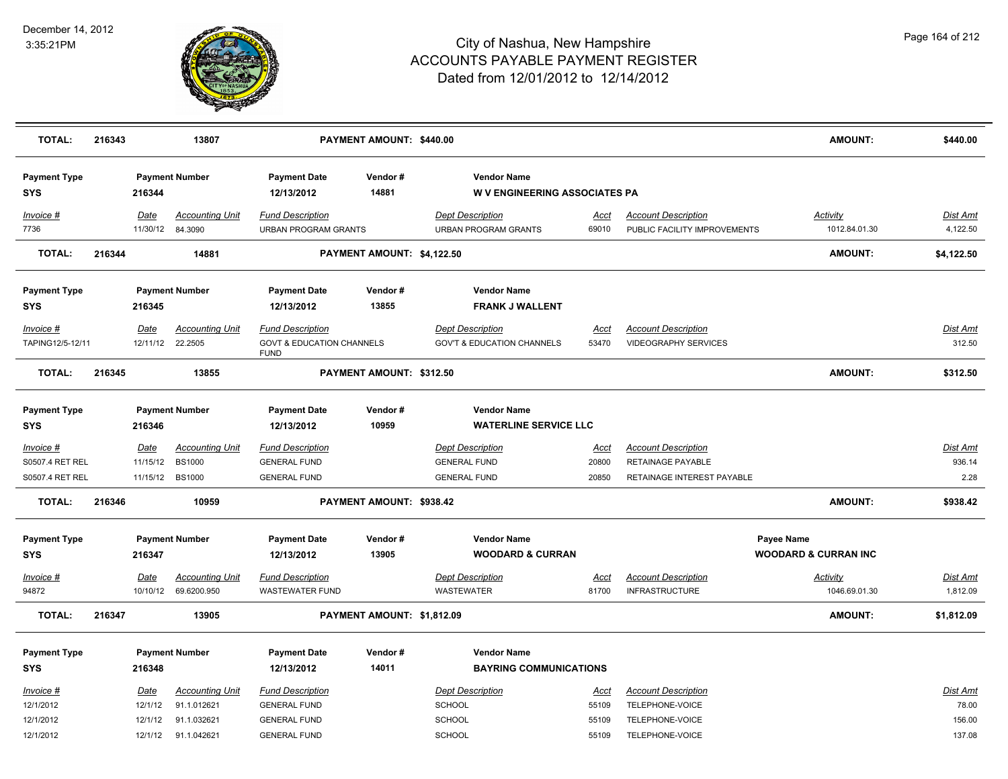

| <b>TOTAL:</b>                     | 216343 |                        | 13807                                 |                                                        | PAYMENT AMOUNT: \$440.00   |                                                            |               |                                                            | <b>AMOUNT:</b>                                | \$440.00                    |
|-----------------------------------|--------|------------------------|---------------------------------------|--------------------------------------------------------|----------------------------|------------------------------------------------------------|---------------|------------------------------------------------------------|-----------------------------------------------|-----------------------------|
| <b>Payment Type</b><br><b>SYS</b> |        | 216344                 | <b>Payment Number</b>                 | <b>Payment Date</b><br>12/13/2012                      | Vendor#<br>14881           | <b>Vendor Name</b><br><b>W V ENGINEERING ASSOCIATES PA</b> |               |                                                            |                                               |                             |
| Invoice #<br>7736                 |        | Date<br>11/30/12       | <b>Accounting Unit</b><br>84.3090     | <b>Fund Description</b><br><b>URBAN PROGRAM GRANTS</b> |                            | <b>Dept Description</b><br><b>URBAN PROGRAM GRANTS</b>     | Acct<br>69010 | <b>Account Description</b><br>PUBLIC FACILITY IMPROVEMENTS | <b>Activity</b><br>1012.84.01.30              | <u>Dist Amt</u><br>4,122.50 |
| <b>TOTAL:</b>                     | 216344 |                        | 14881                                 |                                                        | PAYMENT AMOUNT: \$4,122.50 |                                                            |               |                                                            | <b>AMOUNT:</b>                                | \$4,122.50                  |
| <b>Payment Type</b><br><b>SYS</b> |        | 216345                 | <b>Payment Number</b>                 | <b>Payment Date</b><br>12/13/2012                      | Vendor#<br>13855           | <b>Vendor Name</b><br><b>FRANK J WALLENT</b>               |               |                                                            |                                               |                             |
| Invoice #                         |        | Date                   | <b>Accounting Unit</b>                | <b>Fund Description</b>                                |                            | <b>Dept Description</b>                                    | <b>Acct</b>   | <b>Account Description</b>                                 |                                               | Dist Amt                    |
| TAPING12/5-12/11                  |        | 12/11/12               | 22.2505                               | <b>GOVT &amp; EDUCATION CHANNELS</b><br><b>FUND</b>    |                            | <b>GOV'T &amp; EDUCATION CHANNELS</b>                      | 53470         | <b>VIDEOGRAPHY SERVICES</b>                                |                                               | 312.50                      |
| <b>TOTAL:</b>                     | 216345 |                        | 13855                                 |                                                        | PAYMENT AMOUNT: \$312.50   |                                                            |               |                                                            | <b>AMOUNT:</b>                                | \$312.50                    |
| <b>Payment Type</b><br><b>SYS</b> |        | 216346                 | <b>Payment Number</b>                 | <b>Payment Date</b><br>12/13/2012                      | Vendor#<br>10959           | <b>Vendor Name</b><br><b>WATERLINE SERVICE LLC</b>         |               |                                                            |                                               |                             |
| Invoice #                         |        | <u>Date</u>            | <b>Accounting Unit</b>                | <b>Fund Description</b>                                |                            | <b>Dept Description</b>                                    | <u>Acct</u>   | <b>Account Description</b>                                 |                                               | Dist Amt                    |
| S0507.4 RET REL                   |        | 11/15/12               | <b>BS1000</b>                         | <b>GENERAL FUND</b>                                    |                            | <b>GENERAL FUND</b>                                        | 20800         | RETAINAGE PAYABLE                                          |                                               | 936.14                      |
| S0507.4 RET REL                   |        | 11/15/12               | <b>BS1000</b>                         | <b>GENERAL FUND</b>                                    |                            | <b>GENERAL FUND</b>                                        | 20850         | RETAINAGE INTEREST PAYABLE                                 |                                               | 2.28                        |
| <b>TOTAL:</b>                     | 216346 |                        | 10959                                 |                                                        | PAYMENT AMOUNT: \$938.42   |                                                            |               |                                                            | <b>AMOUNT:</b>                                | \$938.42                    |
| <b>Payment Type</b><br><b>SYS</b> |        | 216347                 | <b>Payment Number</b>                 | <b>Payment Date</b><br>12/13/2012                      | Vendor#<br>13905           | <b>Vendor Name</b><br><b>WOODARD &amp; CURRAN</b>          |               |                                                            | Payee Name<br><b>WOODARD &amp; CURRAN INC</b> |                             |
| Invoice #                         |        | <u>Date</u>            | <u>Accounting Unit</u>                | <b>Fund Description</b>                                |                            | <b>Dept Description</b>                                    | <u>Acct</u>   | <b>Account Description</b>                                 | <b>Activity</b>                               | <u>Dist Amt</u>             |
| 94872                             |        |                        | 10/10/12 69.6200.950                  | <b>WASTEWATER FUND</b>                                 |                            | <b>WASTEWATER</b>                                          | 81700         | <b>INFRASTRUCTURE</b>                                      | 1046.69.01.30                                 | 1,812.09                    |
| <b>TOTAL:</b>                     | 216347 |                        | 13905                                 |                                                        | PAYMENT AMOUNT: \$1,812.09 |                                                            |               |                                                            | AMOUNT:                                       | \$1,812.09                  |
| <b>Payment Type</b>               |        |                        | <b>Payment Number</b>                 | <b>Payment Date</b>                                    | Vendor#                    | <b>Vendor Name</b>                                         |               |                                                            |                                               |                             |
| <b>SYS</b>                        |        | 216348                 |                                       | 12/13/2012                                             | 14011                      | <b>BAYRING COMMUNICATIONS</b>                              |               |                                                            |                                               |                             |
| Invoice #<br>12/1/2012            |        | <b>Date</b><br>12/1/12 | <b>Accounting Unit</b><br>91.1.012621 | <b>Fund Description</b><br><b>GENERAL FUND</b>         |                            | <b>Dept Description</b><br><b>SCHOOL</b>                   | Acct<br>55109 | <b>Account Description</b><br>TELEPHONE-VOICE              |                                               | Dist Amt<br>78.00           |
| 12/1/2012                         |        | 12/1/12                | 91.1.032621                           | <b>GENERAL FUND</b>                                    |                            | SCHOOL                                                     | 55109         | TELEPHONE-VOICE                                            |                                               | 156.00                      |
| 12/1/2012                         |        | 12/1/12                | 91.1.042621                           | <b>GENERAL FUND</b>                                    |                            | SCHOOL                                                     | 55109         | TELEPHONE-VOICE                                            |                                               | 137.08                      |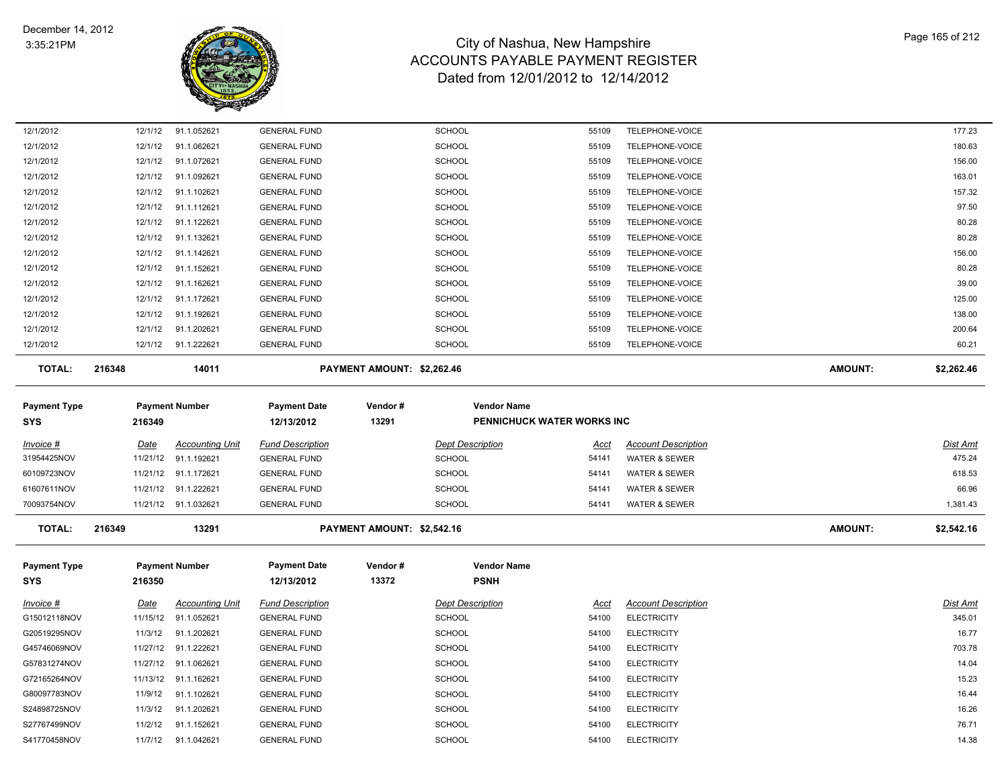

| 12/1/2012                 | 12/1/12                 | 91.1.052621                                  | <b>GENERAL FUND</b>                            |                            | <b>SCHOOL</b>                            | 55109                | TELEPHONE-VOICE                                  |                | 177.23                    |
|---------------------------|-------------------------|----------------------------------------------|------------------------------------------------|----------------------------|------------------------------------------|----------------------|--------------------------------------------------|----------------|---------------------------|
| 12/1/2012                 | 12/1/12                 | 91.1.062621                                  | <b>GENERAL FUND</b>                            |                            | <b>SCHOOL</b>                            | 55109                | TELEPHONE-VOICE                                  |                | 180.63                    |
| 12/1/2012                 | 12/1/12                 | 91.1.072621                                  | <b>GENERAL FUND</b>                            |                            | <b>SCHOOL</b>                            | 55109                | TELEPHONE-VOICE                                  |                | 156.00                    |
| 12/1/2012                 | 12/1/12                 | 91.1.092621                                  | <b>GENERAL FUND</b>                            |                            | <b>SCHOOL</b>                            | 55109                | TELEPHONE-VOICE                                  |                | 163.01                    |
| 12/1/2012                 | 12/1/12                 | 91.1.102621                                  | <b>GENERAL FUND</b>                            |                            | <b>SCHOOL</b>                            | 55109                | TELEPHONE-VOICE                                  |                | 157.32                    |
| 12/1/2012                 | 12/1/12                 | 91.1.112621                                  | <b>GENERAL FUND</b>                            |                            | <b>SCHOOL</b>                            | 55109                | TELEPHONE-VOICE                                  |                | 97.50                     |
| 12/1/2012                 | 12/1/12                 | 91.1.122621                                  | <b>GENERAL FUND</b>                            |                            | <b>SCHOOL</b>                            | 55109                | TELEPHONE-VOICE                                  |                | 80.28                     |
| 12/1/2012                 | 12/1/12                 | 91.1.132621                                  | <b>GENERAL FUND</b>                            |                            | <b>SCHOOL</b>                            | 55109                | TELEPHONE-VOICE                                  |                | 80.28                     |
| 12/1/2012                 | 12/1/12                 | 91.1.142621                                  | <b>GENERAL FUND</b>                            |                            | <b>SCHOOL</b>                            | 55109                | TELEPHONE-VOICE                                  |                | 156.00                    |
| 12/1/2012                 | 12/1/12                 | 91.1.152621                                  | <b>GENERAL FUND</b>                            |                            | <b>SCHOOL</b>                            | 55109                | TELEPHONE-VOICE                                  |                | 80.28                     |
| 12/1/2012                 | 12/1/12                 | 91.1.162621                                  | <b>GENERAL FUND</b>                            |                            | <b>SCHOOL</b>                            | 55109                | TELEPHONE-VOICE                                  |                | 39.00                     |
| 12/1/2012                 | 12/1/12                 | 91.1.172621                                  | <b>GENERAL FUND</b>                            |                            | <b>SCHOOL</b>                            | 55109                | TELEPHONE-VOICE                                  |                | 125.00                    |
| 12/1/2012                 | 12/1/12                 | 91.1.192621                                  | <b>GENERAL FUND</b>                            |                            | <b>SCHOOL</b>                            | 55109                | TELEPHONE-VOICE                                  |                | 138.00                    |
| 12/1/2012                 | 12/1/12                 | 91.1.202621                                  | <b>GENERAL FUND</b>                            |                            | <b>SCHOOL</b>                            | 55109                | TELEPHONE-VOICE                                  |                | 200.64                    |
| 12/1/2012                 |                         | 12/1/12 91.1.222621                          | <b>GENERAL FUND</b>                            |                            | <b>SCHOOL</b>                            | 55109                | TELEPHONE-VOICE                                  |                | 60.21                     |
| <b>TOTAL:</b>             | 216348                  | 14011                                        |                                                | PAYMENT AMOUNT: \$2,262.46 |                                          |                      |                                                  | <b>AMOUNT:</b> | \$2,262.46                |
| <b>Payment Type</b>       |                         | <b>Payment Number</b>                        | <b>Payment Date</b>                            | Vendor#                    | <b>Vendor Name</b>                       |                      |                                                  |                |                           |
| <b>SYS</b>                | 216349                  |                                              | 12/13/2012                                     | 13291                      | <b>PENNICHUCK WATER WORKS INC</b>        |                      |                                                  |                |                           |
|                           |                         |                                              |                                                |                            |                                          |                      |                                                  |                |                           |
| Invoice #                 | Date                    | <b>Accounting Unit</b>                       | <b>Fund Description</b>                        |                            | <b>Dept Description</b>                  | Acct                 | <b>Account Description</b>                       |                | <b>Dist Amt</b>           |
| 31954425NOV               | 11/21/12                | 91.1.192621                                  | <b>GENERAL FUND</b>                            |                            | <b>SCHOOL</b>                            | 54141                | WATER & SEWER                                    |                | 475.24                    |
| 60109723NOV               |                         | 11/21/12 91.1.172621                         | <b>GENERAL FUND</b>                            |                            | <b>SCHOOL</b>                            | 54141                | <b>WATER &amp; SEWER</b>                         |                | 618.53                    |
| 61607611NOV               | 11/21/12                | 91.1.222621                                  | <b>GENERAL FUND</b>                            |                            | <b>SCHOOL</b>                            | 54141                | <b>WATER &amp; SEWER</b>                         |                | 66.96                     |
| 70093754NOV               |                         | 11/21/12 91.1.032621                         | <b>GENERAL FUND</b>                            |                            | <b>SCHOOL</b>                            | 54141                | WATER & SEWER                                    |                | 1,381.43                  |
| <b>TOTAL:</b>             | 216349                  | 13291                                        |                                                | PAYMENT AMOUNT: \$2,542.16 |                                          |                      |                                                  | <b>AMOUNT:</b> | \$2,542.16                |
| <b>Payment Type</b>       |                         | <b>Payment Number</b>                        | <b>Payment Date</b>                            | Vendor#                    | <b>Vendor Name</b>                       |                      |                                                  |                |                           |
| SYS                       | 216350                  |                                              | 12/13/2012                                     | 13372                      | <b>PSNH</b>                              |                      |                                                  |                |                           |
|                           |                         |                                              |                                                |                            |                                          |                      |                                                  |                |                           |
| Invoice #<br>G15012118NOV | <u>Date</u><br>11/15/12 | <b>Accounting Unit</b><br>91.1.052621        | <b>Fund Description</b><br><b>GENERAL FUND</b> |                            | <b>Dept Description</b><br><b>SCHOOL</b> | <u>Acct</u><br>54100 | <b>Account Description</b><br><b>ELECTRICITY</b> |                | <b>Dist Amt</b><br>345.01 |
| G20519295NOV              | 11/3/12                 | 91.1.202621                                  | <b>GENERAL FUND</b>                            |                            | <b>SCHOOL</b>                            | 54100                | <b>ELECTRICITY</b>                               |                | 16.77                     |
| G45746069NOV              |                         |                                              |                                                |                            |                                          |                      |                                                  |                |                           |
|                           |                         |                                              |                                                |                            |                                          |                      |                                                  |                |                           |
| G57831274NOV              |                         | 11/27/12 91.1.222621<br>11/27/12 91.1.062621 | <b>GENERAL FUND</b><br><b>GENERAL FUND</b>     |                            | <b>SCHOOL</b><br>SCHOOL                  | 54100<br>54100       | <b>ELECTRICITY</b><br><b>ELECTRICITY</b>         |                | 703.78<br>14.04           |

G72165264NOV 11/13/12 91.1.162621 GENERAL FUND 54100 ELECTRICITY 15.23 G80097783NOV 11/9/12 91.1.102621 GENERAL FUND 54100 ELECTRICITY 16.44 S24898725NOV 11/3/12 91.1.202621 GENERAL FUND 54100 ELECTRICITY 16.26 S27767499NOV 11/2/12 91.1.152621 GENERAL FUND 54100 ELECTRICITY 76.71 S41770458NOV 11/7/12 91.1.042621 GENERAL FUND 54100 ELECTRICITY 14.38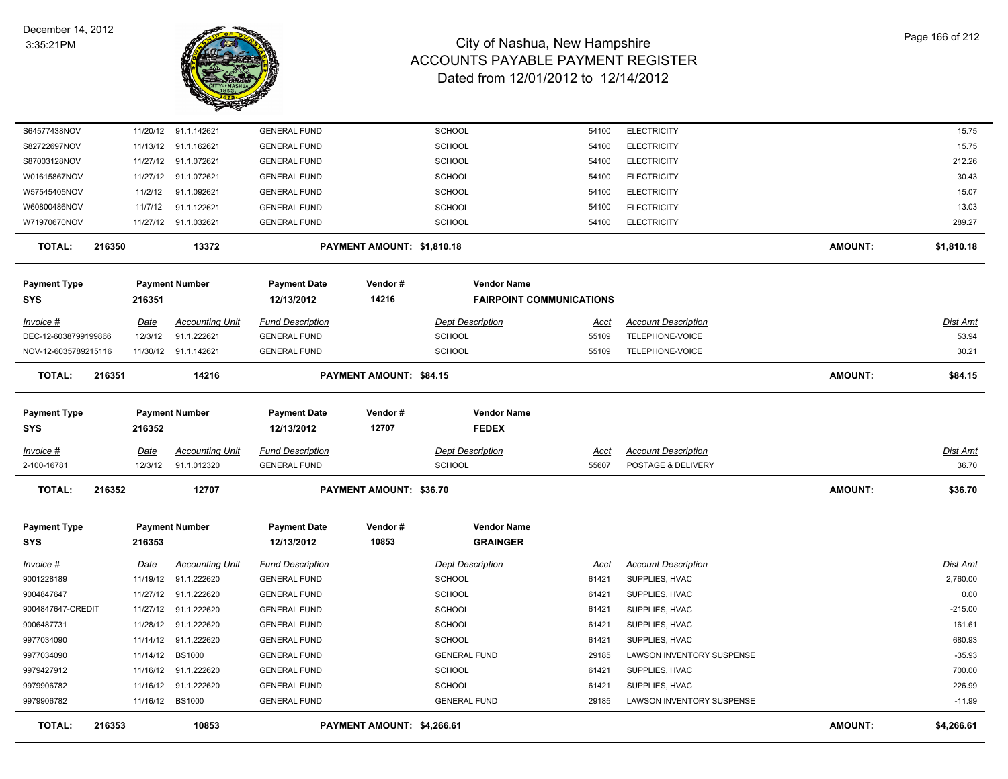

| S64577438NOV         |        |             | 11/20/12 91.1.142621   | <b>GENERAL FUND</b>     |                            | <b>SCHOOL</b>                   | 54100       | <b>ELECTRICITY</b>         |                | 15.75      |
|----------------------|--------|-------------|------------------------|-------------------------|----------------------------|---------------------------------|-------------|----------------------------|----------------|------------|
| S82722697NOV         |        | 11/13/12    | 91.1.162621            | <b>GENERAL FUND</b>     |                            | SCHOOL                          | 54100       | <b>ELECTRICITY</b>         |                | 15.75      |
| S87003128NOV         |        |             | 11/27/12 91.1.072621   | <b>GENERAL FUND</b>     |                            | <b>SCHOOL</b>                   | 54100       | <b>ELECTRICITY</b>         |                | 212.26     |
| W01615867NOV         |        |             | 11/27/12 91.1.072621   | <b>GENERAL FUND</b>     |                            | <b>SCHOOL</b>                   | 54100       | <b>ELECTRICITY</b>         |                | 30.43      |
| W57545405NOV         |        | 11/2/12     | 91.1.092621            | <b>GENERAL FUND</b>     |                            | <b>SCHOOL</b>                   | 54100       | <b>ELECTRICITY</b>         |                | 15.07      |
| W60800486NOV         |        | 11/7/12     | 91.1.122621            | <b>GENERAL FUND</b>     |                            | <b>SCHOOL</b>                   | 54100       | <b>ELECTRICITY</b>         |                | 13.03      |
| W71970670NOV         |        |             | 11/27/12 91.1.032621   | <b>GENERAL FUND</b>     |                            | <b>SCHOOL</b>                   | 54100       | <b>ELECTRICITY</b>         |                | 289.27     |
| <b>TOTAL:</b>        | 216350 |             | 13372                  |                         | PAYMENT AMOUNT: \$1,810.18 |                                 |             |                            | <b>AMOUNT:</b> | \$1,810.18 |
| Payment Type         |        |             | <b>Payment Number</b>  | <b>Payment Date</b>     | Vendor#                    | <b>Vendor Name</b>              |             |                            |                |            |
| SYS                  |        | 216351      |                        | 12/13/2012              | 14216                      | <b>FAIRPOINT COMMUNICATIONS</b> |             |                            |                |            |
| Invoice #            |        | Date        | <b>Accounting Unit</b> | <b>Fund Description</b> |                            | <b>Dept Description</b>         | Acct        | <b>Account Description</b> |                | Dist Amt   |
| DEC-12-6038799199866 |        | 12/3/12     | 91.1.222621            | <b>GENERAL FUND</b>     |                            | <b>SCHOOL</b>                   | 55109       | TELEPHONE-VOICE            |                | 53.94      |
| NOV-12-6035789215116 |        |             | 11/30/12 91.1.142621   | <b>GENERAL FUND</b>     |                            | <b>SCHOOL</b>                   | 55109       | TELEPHONE-VOICE            |                | 30.21      |
| <b>TOTAL:</b>        | 216351 |             | 14216                  |                         | PAYMENT AMOUNT: \$84.15    |                                 |             |                            | <b>AMOUNT:</b> | \$84.15    |
| <b>Payment Type</b>  |        |             | <b>Payment Number</b>  | <b>Payment Date</b>     | Vendor#                    | <b>Vendor Name</b>              |             |                            |                |            |
| SYS                  |        | 216352      |                        | 12/13/2012              | 12707                      | <b>FEDEX</b>                    |             |                            |                |            |
| Invoice #            |        | <u>Date</u> | <b>Accounting Unit</b> | <b>Fund Description</b> |                            | <b>Dept Description</b>         | Acct        | <b>Account Description</b> |                | Dist Amt   |
| 2-100-16781          |        | 12/3/12     | 91.1.012320            | <b>GENERAL FUND</b>     |                            | <b>SCHOOL</b>                   | 55607       | POSTAGE & DELIVERY         |                | 36.70      |
| <b>TOTAL:</b>        | 216352 |             | 12707                  |                         | PAYMENT AMOUNT: \$36.70    |                                 |             |                            | <b>AMOUNT:</b> | \$36.70    |
| <b>Payment Type</b>  |        |             | <b>Payment Number</b>  | <b>Payment Date</b>     | Vendor#                    | <b>Vendor Name</b>              |             |                            |                |            |
| SYS                  |        | 216353      |                        | 12/13/2012              | 10853                      | <b>GRAINGER</b>                 |             |                            |                |            |
| <u>Invoice #</u>     |        | <b>Date</b> | <b>Accounting Unit</b> | <b>Fund Description</b> |                            | <b>Dept Description</b>         | <u>Acct</u> | <b>Account Description</b> |                | Dist Amt   |
| 9001228189           |        |             | 11/19/12 91.1.222620   | <b>GENERAL FUND</b>     |                            | <b>SCHOOL</b>                   | 61421       | SUPPLIES, HVAC             |                | 2,760.00   |
| 9004847647           |        |             | 11/27/12 91.1.222620   | <b>GENERAL FUND</b>     |                            | <b>SCHOOL</b>                   | 61421       | SUPPLIES, HVAC             |                | 0.00       |
| 9004847647-CREDIT    |        |             | 11/27/12 91.1.222620   | <b>GENERAL FUND</b>     |                            | <b>SCHOOL</b>                   | 61421       | SUPPLIES, HVAC             |                | $-215.00$  |
| 9006487731           |        |             | 11/28/12 91.1.222620   | <b>GENERAL FUND</b>     |                            | <b>SCHOOL</b>                   | 61421       | SUPPLIES, HVAC             |                | 161.61     |
| 9977034090           |        | 11/14/12    | 91.1.222620            | <b>GENERAL FUND</b>     |                            | <b>SCHOOL</b>                   | 61421       | SUPPLIES, HVAC             |                | 680.93     |
| 9977034090           |        | 11/14/12    | <b>BS1000</b>          | <b>GENERAL FUND</b>     |                            | <b>GENERAL FUND</b>             | 29185       | LAWSON INVENTORY SUSPENSE  |                | $-35.93$   |
| 9979427912           |        | 11/16/12    | 91.1.222620            | <b>GENERAL FUND</b>     |                            | <b>SCHOOL</b>                   | 61421       | SUPPLIES, HVAC             |                | 700.00     |
| 9979906782           |        | 11/16/12    | 91.1.222620            | <b>GENERAL FUND</b>     |                            | <b>SCHOOL</b>                   | 61421       | SUPPLIES, HVAC             |                | 226.99     |
| 9979906782           |        |             | 11/16/12 BS1000        | <b>GENERAL FUND</b>     |                            | <b>GENERAL FUND</b>             | 29185       | LAWSON INVENTORY SUSPENSE  |                | $-11.99$   |
| <b>TOTAL:</b>        | 216353 |             | 10853                  |                         | PAYMENT AMOUNT: \$4,266.61 |                                 |             |                            | <b>AMOUNT:</b> | \$4,266.61 |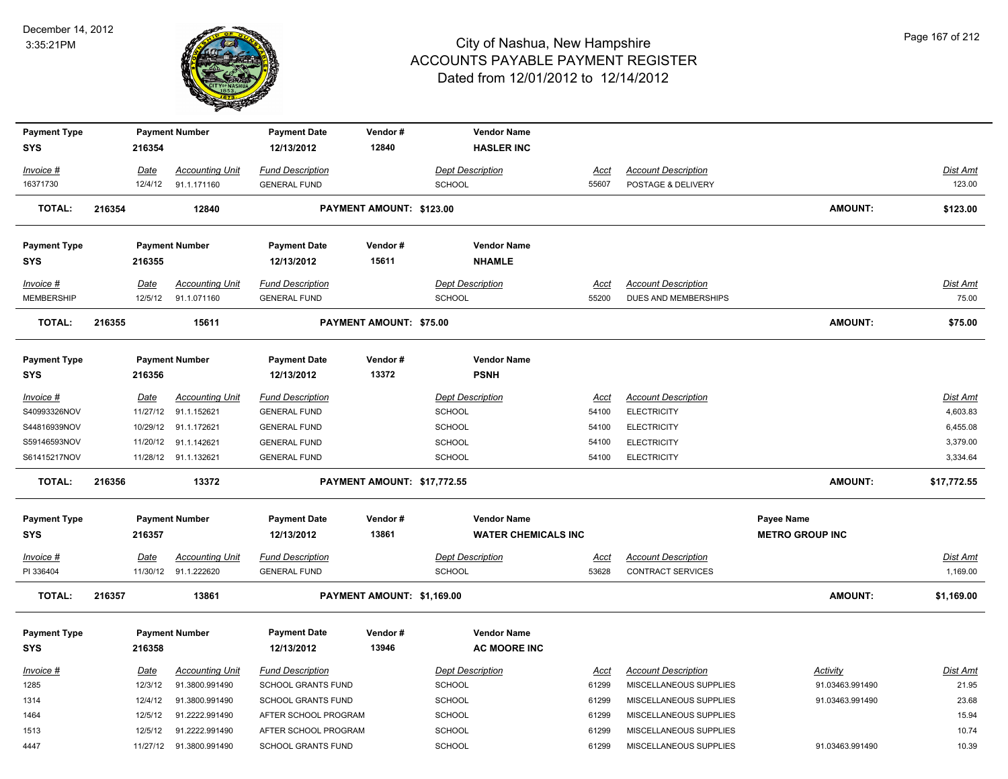

| <b>Payment Type</b>               |        |             | <b>Payment Number</b>   | <b>Payment Date</b>               | Vendor#                     | <b>Vendor Name</b>                        |             |                            |                        |                 |
|-----------------------------------|--------|-------------|-------------------------|-----------------------------------|-----------------------------|-------------------------------------------|-------------|----------------------------|------------------------|-----------------|
| <b>SYS</b>                        |        | 216354      |                         | 12/13/2012                        | 12840                       | <b>HASLER INC</b>                         |             |                            |                        |                 |
| Invoice #                         |        | Date        | <b>Accounting Unit</b>  | <b>Fund Description</b>           |                             | <b>Dept Description</b>                   | Acct        | <b>Account Description</b> |                        | Dist Amt        |
| 16371730                          |        | 12/4/12     | 91.1.171160             | <b>GENERAL FUND</b>               |                             | <b>SCHOOL</b>                             | 55607       | POSTAGE & DELIVERY         |                        | 123.00          |
| <b>TOTAL:</b>                     | 216354 |             | 12840                   |                                   | PAYMENT AMOUNT: \$123.00    |                                           |             |                            | <b>AMOUNT:</b>         | \$123.00        |
| <b>Payment Type</b>               |        |             | <b>Payment Number</b>   | <b>Payment Date</b>               | Vendor#                     | <b>Vendor Name</b>                        |             |                            |                        |                 |
| <b>SYS</b>                        |        | 216355      |                         | 12/13/2012                        | 15611                       | <b>NHAMLE</b>                             |             |                            |                        |                 |
| Invoice #                         |        | Date        | <b>Accounting Unit</b>  | <b>Fund Description</b>           |                             | <b>Dept Description</b>                   | Acct        | <b>Account Description</b> |                        | <b>Dist Amt</b> |
| <b>MEMBERSHIP</b>                 |        | 12/5/12     | 91.1.071160             | <b>GENERAL FUND</b>               |                             | SCHOOL                                    | 55200       | DUES AND MEMBERSHIPS       |                        | 75.00           |
| <b>TOTAL:</b>                     | 216355 |             | 15611                   |                                   | PAYMENT AMOUNT: \$75.00     |                                           |             |                            | <b>AMOUNT:</b>         | \$75.00         |
| <b>Payment Type</b>               |        |             | <b>Payment Number</b>   | <b>Payment Date</b>               | Vendor#                     | <b>Vendor Name</b>                        |             |                            |                        |                 |
| <b>SYS</b>                        |        | 216356      |                         | 12/13/2012                        | 13372                       | <b>PSNH</b>                               |             |                            |                        |                 |
| Invoice #                         |        | Date        | <b>Accounting Unit</b>  | <b>Fund Description</b>           |                             | <b>Dept Description</b>                   | Acct        | <b>Account Description</b> |                        | <b>Dist Amt</b> |
| S40993326NOV                      |        | 11/27/12    | 91.1.152621             | <b>GENERAL FUND</b>               |                             | <b>SCHOOL</b>                             | 54100       | <b>ELECTRICITY</b>         |                        | 4,603.83        |
| S44816939NOV                      |        | 10/29/12    | 91.1.172621             | <b>GENERAL FUND</b>               |                             | <b>SCHOOL</b>                             | 54100       | <b>ELECTRICITY</b>         |                        | 6,455.08        |
| S59146593NOV                      |        | 11/20/12    | 91.1.142621             | <b>GENERAL FUND</b>               |                             | <b>SCHOOL</b>                             | 54100       | <b>ELECTRICITY</b>         |                        | 3,379.00        |
| S61415217NOV                      |        |             | 11/28/12 91.1.132621    | <b>GENERAL FUND</b>               |                             | SCHOOL                                    | 54100       | <b>ELECTRICITY</b>         |                        | 3,334.64        |
| <b>TOTAL:</b>                     | 216356 |             | 13372                   |                                   | PAYMENT AMOUNT: \$17,772.55 |                                           |             |                            | <b>AMOUNT:</b>         | \$17,772.55     |
| <b>Payment Type</b>               |        |             | <b>Payment Number</b>   | <b>Payment Date</b>               | Vendor#                     | <b>Vendor Name</b>                        |             |                            | Payee Name             |                 |
| <b>SYS</b>                        |        | 216357      |                         | 12/13/2012                        | 13861                       | <b>WATER CHEMICALS INC</b>                |             |                            | <b>METRO GROUP INC</b> |                 |
| Invoice #                         |        | <u>Date</u> | <b>Accounting Unit</b>  | <b>Fund Description</b>           |                             | <b>Dept Description</b>                   | <u>Acct</u> | <b>Account Description</b> |                        | <u>Dist Amt</u> |
| PI 336404                         |        |             | 11/30/12 91.1.222620    | <b>GENERAL FUND</b>               |                             | <b>SCHOOL</b>                             | 53628       | <b>CONTRACT SERVICES</b>   |                        | 1,169.00        |
| TOTAL:                            | 216357 |             | 13861                   |                                   | PAYMENT AMOUNT: \$1,169.00  |                                           |             |                            | AMOUNT:                | \$1,169.00      |
| <b>Payment Type</b><br><b>SYS</b> |        | 216358      | <b>Payment Number</b>   | <b>Payment Date</b><br>12/13/2012 | Vendor#<br>13946            | <b>Vendor Name</b><br><b>AC MOORE INC</b> |             |                            |                        |                 |
|                                   |        |             |                         |                                   |                             |                                           |             |                            |                        |                 |
| Invoice #                         |        | Date        | <b>Accounting Unit</b>  | <b>Fund Description</b>           |                             | <b>Dept Description</b>                   | <b>Acct</b> | <b>Account Description</b> | Activity               | Dist Amt        |
| 1285                              |        | 12/3/12     | 91.3800.991490          | SCHOOL GRANTS FUND                |                             | SCHOOL                                    | 61299       | MISCELLANEOUS SUPPLIES     | 91.03463.991490        | 21.95           |
| 1314                              |        | 12/4/12     | 91.3800.991490          | SCHOOL GRANTS FUND                |                             | SCHOOL                                    | 61299       | MISCELLANEOUS SUPPLIES     | 91.03463.991490        | 23.68           |
| 1464                              |        | 12/5/12     | 91.2222.991490          | AFTER SCHOOL PROGRAM              |                             | <b>SCHOOL</b>                             | 61299       | MISCELLANEOUS SUPPLIES     |                        | 15.94           |
| 1513                              |        | 12/5/12     | 91.2222.991490          | AFTER SCHOOL PROGRAM              |                             | SCHOOL                                    | 61299       | MISCELLANEOUS SUPPLIES     |                        | 10.74           |
| 4447                              |        |             | 11/27/12 91.3800.991490 | <b>SCHOOL GRANTS FUND</b>         |                             | <b>SCHOOL</b>                             | 61299       | MISCELLANEOUS SUPPLIES     | 91.03463.991490        | 10.39           |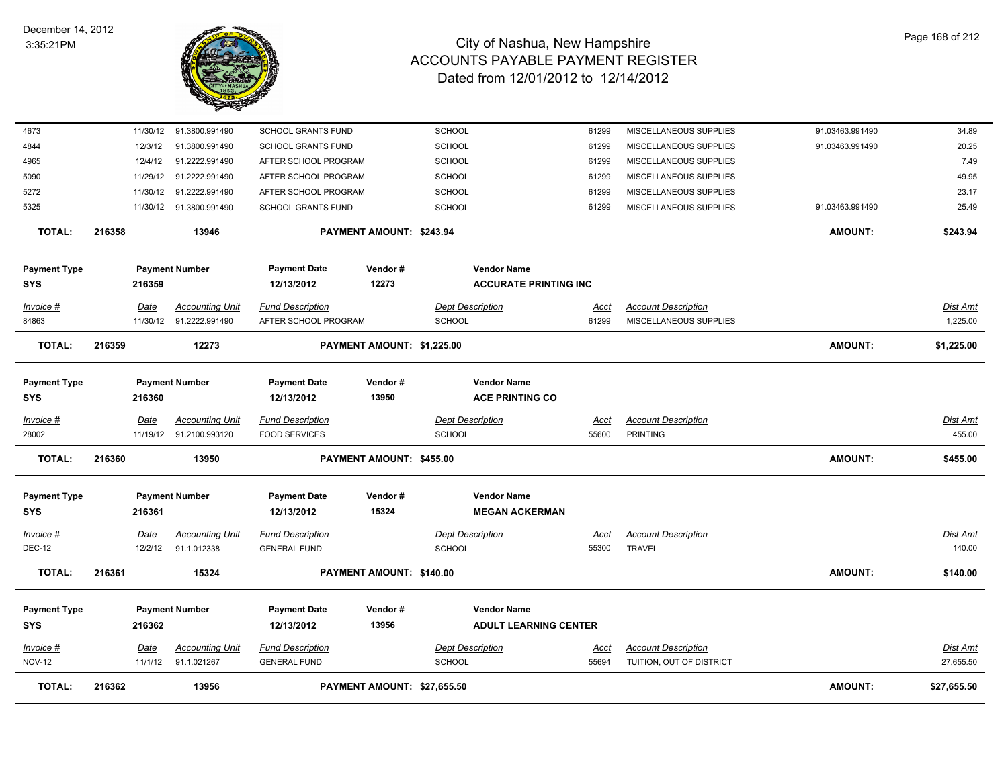

| <b>TOTAL:</b>                     | 216362 |                        | 13956                                             |                                                   | PAYMENT AMOUNT: \$27,655.50 |                                          |                                                         |                      |                                                        | <b>AMOUNT:</b>  | \$27,655.50                  |
|-----------------------------------|--------|------------------------|---------------------------------------------------|---------------------------------------------------|-----------------------------|------------------------------------------|---------------------------------------------------------|----------------------|--------------------------------------------------------|-----------------|------------------------------|
| Invoice #<br><b>NOV-12</b>        |        | <u>Date</u><br>11/1/12 | <b>Accounting Unit</b><br>91.1.021267             | <b>Fund Description</b><br><b>GENERAL FUND</b>    |                             | SCHOOL                                   | <b>Dept Description</b>                                 | <u>Acct</u><br>55694 | <b>Account Description</b><br>TUITION, OUT OF DISTRICT |                 | <u>Dist Amt</u><br>27,655.50 |
| Payment Type<br>SYS               |        | 216362                 | <b>Payment Number</b>                             | <b>Payment Date</b><br>12/13/2012                 | Vendor#<br>13956            |                                          | <b>Vendor Name</b><br><b>ADULT LEARNING CENTER</b>      |                      |                                                        |                 |                              |
| <b>TOTAL:</b>                     | 216361 |                        | 15324                                             |                                                   | PAYMENT AMOUNT: \$140.00    |                                          |                                                         |                      |                                                        | <b>AMOUNT:</b>  | \$140.00                     |
| <u>Invoice #</u><br><b>DEC-12</b> |        | <u>Date</u><br>12/2/12 | <b>Accounting Unit</b><br>91.1.012338             | <b>Fund Description</b><br><b>GENERAL FUND</b>    |                             | <b>Dept Description</b><br><b>SCHOOL</b> |                                                         | <u>Acct</u><br>55300 | <b>Account Description</b><br>TRAVEL                   |                 | Dist Amt<br>140.00           |
| Payment Type<br><b>SYS</b>        |        | 216361                 | <b>Payment Number</b>                             | <b>Payment Date</b><br>12/13/2012                 | Vendor#<br>15324            |                                          | <b>Vendor Name</b><br><b>MEGAN ACKERMAN</b>             |                      |                                                        |                 |                              |
| <b>TOTAL:</b>                     | 216360 |                        | 13950                                             |                                                   | PAYMENT AMOUNT: \$455.00    |                                          |                                                         |                      |                                                        | <b>AMOUNT:</b>  | \$455.00                     |
| Invoice #<br>28002                |        | Date                   | <b>Accounting Unit</b><br>11/19/12 91.2100.993120 | <b>Fund Description</b><br><b>FOOD SERVICES</b>   |                             | <b>Dept Description</b><br>SCHOOL        |                                                         | Acct<br>55600        | <b>Account Description</b><br><b>PRINTING</b>          |                 | <b>Dist Amt</b><br>455.00    |
| Payment Type<br>SYS               |        | 216360                 | <b>Payment Number</b>                             | <b>Payment Date</b><br>12/13/2012                 | Vendor#<br>13950            |                                          | <b>Vendor Name</b><br><b>ACE PRINTING CO</b>            |                      |                                                        |                 |                              |
| <b>TOTAL:</b>                     | 216359 |                        | 12273                                             |                                                   | PAYMENT AMOUNT: \$1,225.00  |                                          |                                                         |                      |                                                        | AMOUNT:         | \$1,225.00                   |
| 84863                             |        |                        | 11/30/12 91.2222.991490                           | AFTER SCHOOL PROGRAM                              |                             | <b>SCHOOL</b>                            |                                                         | 61299                | MISCELLANEOUS SUPPLIES                                 |                 | 1,225.00                     |
| SYS<br>Invoice #                  |        | 216359<br>Date         | <b>Accounting Unit</b>                            | 12/13/2012<br><b>Fund Description</b>             | 12273                       |                                          | <b>ACCURATE PRINTING INC</b><br><b>Dept Description</b> | Acct                 | <b>Account Description</b>                             |                 | <u>Dist Amt</u>              |
| Payment Type                      |        |                        | <b>Payment Number</b>                             | <b>Payment Date</b>                               | Vendor#                     |                                          | <b>Vendor Name</b>                                      |                      |                                                        |                 |                              |
| <b>TOTAL:</b>                     | 216358 |                        | 13946                                             |                                                   | PAYMENT AMOUNT: \$243.94    |                                          |                                                         |                      |                                                        | <b>AMOUNT:</b>  | \$243.94                     |
| 5325                              |        |                        | 11/30/12 91.3800.991490                           | <b>SCHOOL GRANTS FUND</b>                         |                             | SCHOOL                                   |                                                         | 61299                | MISCELLANEOUS SUPPLIES                                 | 91.03463.991490 | 25.49                        |
| 5272                              |        | 11/30/12               | 91.2222.991490                                    | AFTER SCHOOL PROGRAM                              |                             | <b>SCHOOL</b>                            |                                                         | 61299                | MISCELLANEOUS SUPPLIES                                 |                 | 23.17                        |
| 5090                              |        | 11/29/12               | 91.2222.991490                                    | AFTER SCHOOL PROGRAM                              |                             | <b>SCHOOL</b>                            |                                                         | 61299                | MISCELLANEOUS SUPPLIES                                 |                 | 49.95                        |
| 4844<br>4965                      |        | 12/3/12<br>12/4/12     | 91.3800.991490<br>91.2222.991490                  | <b>SCHOOL GRANTS FUND</b><br>AFTER SCHOOL PROGRAM |                             | <b>SCHOOL</b><br><b>SCHOOL</b>           |                                                         | 61299<br>61299       | MISCELLANEOUS SUPPLIES<br>MISCELLANEOUS SUPPLIES       | 91.03463.991490 | 20.25<br>7.49                |
| 4673                              |        | 11/30/12               | 91.3800.991490                                    | <b>SCHOOL GRANTS FUND</b>                         |                             | <b>SCHOOL</b>                            |                                                         | 61299                | MISCELLANEOUS SUPPLIES                                 | 91.03463.991490 | 34.89                        |
|                                   |        |                        |                                                   |                                                   |                             |                                          |                                                         |                      |                                                        |                 |                              |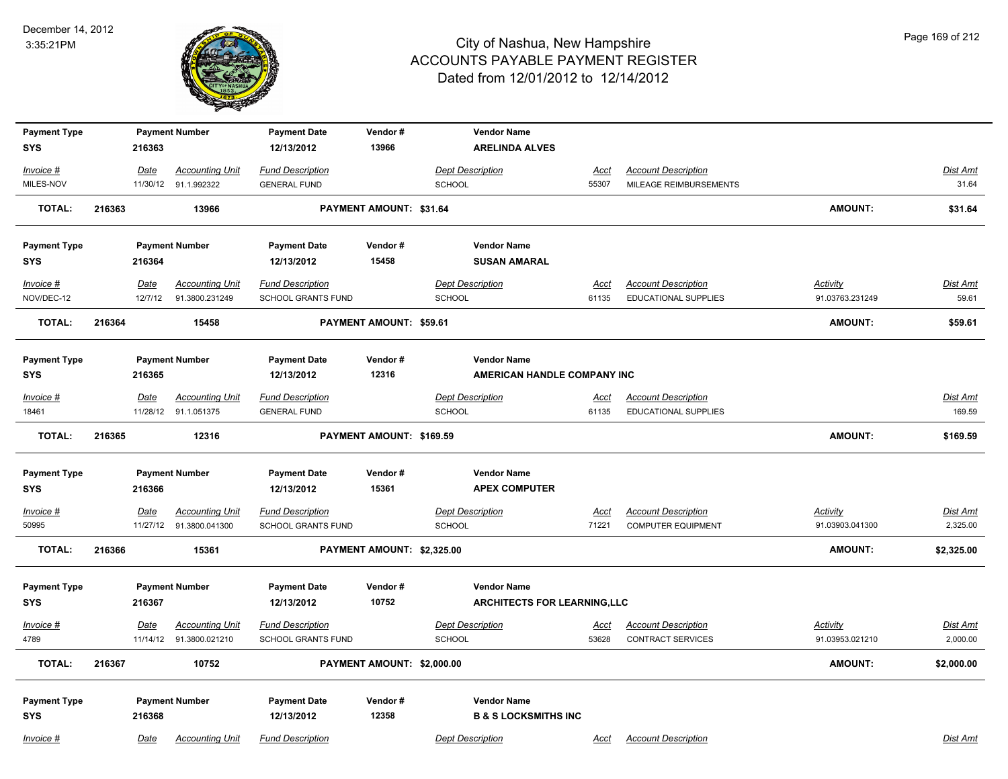

| <b>Payment Type</b> |        |          | <b>Payment Number</b>  | <b>Payment Date</b>       | Vendor#                        | <b>Vendor Name</b>                  |             |                             |                 |                 |
|---------------------|--------|----------|------------------------|---------------------------|--------------------------------|-------------------------------------|-------------|-----------------------------|-----------------|-----------------|
| <b>SYS</b>          |        | 216363   |                        | 12/13/2012                | 13966                          | <b>ARELINDA ALVES</b>               |             |                             |                 |                 |
| Invoice #           |        | Date     | <b>Accounting Unit</b> | <b>Fund Description</b>   |                                | <b>Dept Description</b>             | <u>Acct</u> | <b>Account Description</b>  |                 | <b>Dist Amt</b> |
| MILES-NOV           |        |          | 11/30/12 91.1.992322   | <b>GENERAL FUND</b>       |                                | <b>SCHOOL</b>                       | 55307       | MILEAGE REIMBURSEMENTS      |                 | 31.64           |
| <b>TOTAL:</b>       | 216363 |          | 13966                  |                           | <b>PAYMENT AMOUNT: \$31.64</b> |                                     |             |                             | <b>AMOUNT:</b>  | \$31.64         |
| <b>Payment Type</b> |        |          | <b>Payment Number</b>  | <b>Payment Date</b>       | Vendor#                        | <b>Vendor Name</b>                  |             |                             |                 |                 |
| SYS                 |        | 216364   |                        | 12/13/2012                | 15458                          | <b>SUSAN AMARAL</b>                 |             |                             |                 |                 |
| Invoice #           |        | Date     | <b>Accounting Unit</b> | <b>Fund Description</b>   |                                | <b>Dept Description</b>             | Acct        | <b>Account Description</b>  | <b>Activity</b> | <b>Dist Amt</b> |
| NOV/DEC-12          |        | 12/7/12  | 91.3800.231249         | SCHOOL GRANTS FUND        |                                | <b>SCHOOL</b>                       | 61135       | EDUCATIONAL SUPPLIES        | 91.03763.231249 | 59.61           |
| <b>TOTAL:</b>       | 216364 |          | 15458                  |                           | PAYMENT AMOUNT: \$59.61        |                                     |             |                             | <b>AMOUNT:</b>  | \$59.61         |
| <b>Payment Type</b> |        |          | <b>Payment Number</b>  | <b>Payment Date</b>       | Vendor#                        | <b>Vendor Name</b>                  |             |                             |                 |                 |
| SYS                 |        | 216365   |                        | 12/13/2012                | 12316                          | AMERICAN HANDLE COMPANY INC         |             |                             |                 |                 |
| Invoice #           |        | Date     | <b>Accounting Unit</b> | <b>Fund Description</b>   |                                | <b>Dept Description</b>             | <u>Acct</u> | <b>Account Description</b>  |                 | Dist Amt        |
| 18461               |        | 11/28/12 | 91.1.051375            | <b>GENERAL FUND</b>       |                                | SCHOOL                              | 61135       | <b>EDUCATIONAL SUPPLIES</b> |                 | 169.59          |
| <b>TOTAL:</b>       | 216365 |          | 12316                  |                           | PAYMENT AMOUNT: \$169.59       |                                     |             |                             | <b>AMOUNT:</b>  | \$169.59        |
| <b>Payment Type</b> |        |          | <b>Payment Number</b>  | <b>Payment Date</b>       | Vendor#                        | <b>Vendor Name</b>                  |             |                             |                 |                 |
| SYS                 |        | 216366   |                        | 12/13/2012                | 15361                          | <b>APEX COMPUTER</b>                |             |                             |                 |                 |
| $Invoice$ #         |        | Date     | <b>Accounting Unit</b> | <b>Fund Description</b>   |                                | <b>Dept Description</b>             | <b>Acct</b> | <b>Account Description</b>  | <b>Activity</b> | <b>Dist Amt</b> |
| 50995               |        | 11/27/12 | 91.3800.041300         | <b>SCHOOL GRANTS FUND</b> |                                | <b>SCHOOL</b>                       | 71221       | <b>COMPUTER EQUIPMENT</b>   | 91.03903.041300 | 2,325.00        |
| <b>TOTAL:</b>       | 216366 |          | 15361                  |                           | PAYMENT AMOUNT: \$2,325.00     |                                     |             |                             | AMOUNT:         | \$2,325.00      |
| <b>Payment Type</b> |        |          | <b>Payment Number</b>  | <b>Payment Date</b>       | Vendor#                        | <b>Vendor Name</b>                  |             |                             |                 |                 |
| <b>SYS</b>          |        | 216367   |                        | 12/13/2012                | 10752                          | <b>ARCHITECTS FOR LEARNING, LLC</b> |             |                             |                 |                 |
| Invoice #           |        | Date     | <b>Accounting Unit</b> | <b>Fund Description</b>   |                                | <b>Dept Description</b>             | <u>Acct</u> | <b>Account Description</b>  | Activity        | <b>Dist Amt</b> |
| 4789                |        | 11/14/12 | 91.3800.021210         | <b>SCHOOL GRANTS FUND</b> |                                | SCHOOL                              | 53628       | <b>CONTRACT SERVICES</b>    | 91.03953.021210 | 2,000.00        |
| <b>TOTAL:</b>       | 216367 |          | 10752                  |                           | PAYMENT AMOUNT: \$2,000.00     |                                     |             |                             | AMOUNT:         | \$2,000.00      |
|                     |        |          |                        |                           |                                |                                     |             |                             |                 |                 |
| <b>Payment Type</b> |        |          | <b>Payment Number</b>  | <b>Payment Date</b>       | Vendor#                        | <b>Vendor Name</b>                  |             |                             |                 |                 |
| <b>SYS</b>          |        | 216368   |                        | 12/13/2012                | 12358                          | <b>B &amp; S LOCKSMITHS INC</b>     |             |                             |                 |                 |
| Invoice #           |        | Date     | <b>Accounting Unit</b> | <b>Fund Description</b>   |                                | <b>Dept Description</b>             | Acct        | <b>Account Description</b>  |                 | Dist Amt        |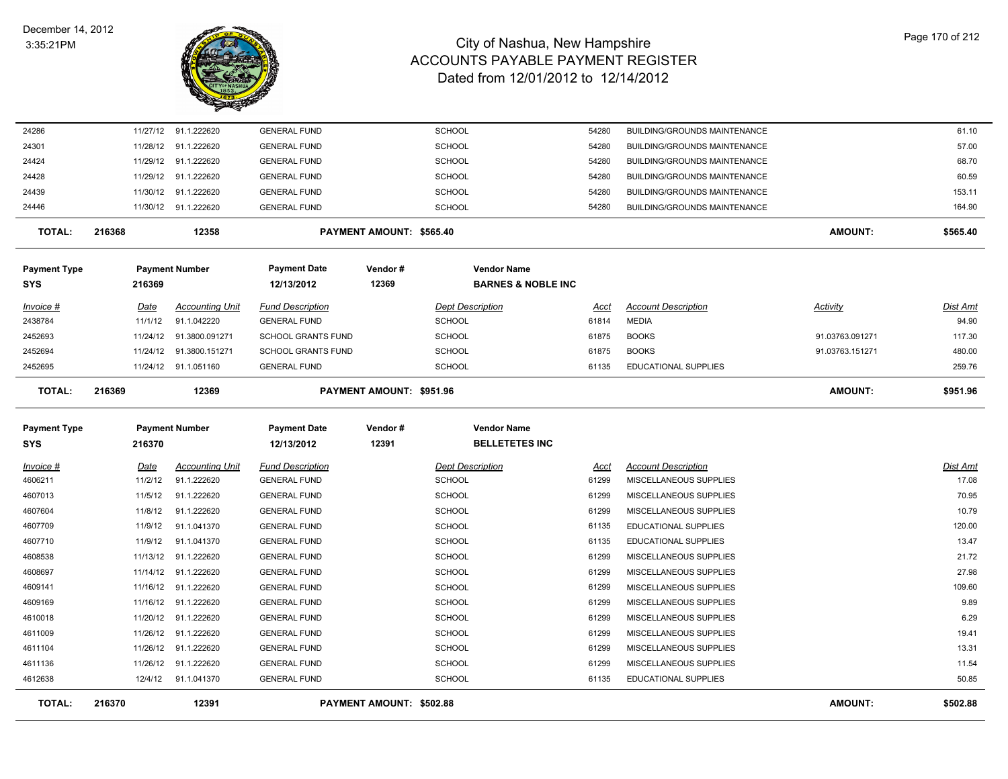

| 24286                      |          | 11/27/12 91.1.222620    | <b>GENERAL FUND</b>               |                          | SCHOOL                                      | 54280 | <b>BUILDING/GROUNDS MAINTENANCE</b> |                 | 61.10    |
|----------------------------|----------|-------------------------|-----------------------------------|--------------------------|---------------------------------------------|-------|-------------------------------------|-----------------|----------|
| 24301                      | 11/28/12 | 91.1.222620             | <b>GENERAL FUND</b>               |                          | <b>SCHOOL</b>                               | 54280 | <b>BUILDING/GROUNDS MAINTENANCE</b> |                 | 57.00    |
| 24424                      |          | 11/29/12 91.1.222620    | <b>GENERAL FUND</b>               |                          | <b>SCHOOL</b>                               | 54280 | BUILDING/GROUNDS MAINTENANCE        |                 | 68.70    |
| 24428                      |          | 11/29/12 91.1.222620    | <b>GENERAL FUND</b>               |                          | SCHOOL                                      | 54280 | BUILDING/GROUNDS MAINTENANCE        |                 | 60.59    |
| 24439                      | 11/30/12 | 91.1.222620             | <b>GENERAL FUND</b>               |                          | <b>SCHOOL</b>                               | 54280 | BUILDING/GROUNDS MAINTENANCE        |                 | 153.11   |
| 24446                      |          | 11/30/12 91.1.222620    | <b>GENERAL FUND</b>               |                          | <b>SCHOOL</b>                               | 54280 | BUILDING/GROUNDS MAINTENANCE        |                 | 164.90   |
| <b>TOTAL:</b>              | 216368   | 12358                   |                                   | PAYMENT AMOUNT: \$565.40 |                                             |       |                                     | <b>AMOUNT:</b>  | \$565.40 |
| <b>Payment Type</b>        |          | <b>Payment Number</b>   | <b>Payment Date</b>               | Vendor#                  | <b>Vendor Name</b>                          |       |                                     |                 |          |
| SYS                        | 216369   |                         | 12/13/2012                        | 12369                    | <b>BARNES &amp; NOBLE INC</b>               |       |                                     |                 |          |
| Invoice #                  | Date     | <b>Accounting Unit</b>  | <b>Fund Description</b>           |                          | <b>Dept Description</b>                     | Acct  | <b>Account Description</b>          | Activity        | Dist Amt |
| 2438784                    | 11/1/12  | 91.1.042220             | <b>GENERAL FUND</b>               |                          | <b>SCHOOL</b>                               | 61814 | <b>MEDIA</b>                        |                 | 94.90    |
| 2452693                    |          | 11/24/12 91.3800.091271 | <b>SCHOOL GRANTS FUND</b>         |                          | <b>SCHOOL</b>                               | 61875 | <b>BOOKS</b>                        | 91.03763.091271 | 117.30   |
| 2452694                    | 11/24/12 | 91.3800.151271          | <b>SCHOOL GRANTS FUND</b>         |                          | <b>SCHOOL</b>                               | 61875 | <b>BOOKS</b>                        | 91.03763.151271 | 480.00   |
| 2452695                    |          | 11/24/12 91.1.051160    | <b>GENERAL FUND</b>               |                          | SCHOOL                                      | 61135 | <b>EDUCATIONAL SUPPLIES</b>         |                 | 259.76   |
| <b>TOTAL:</b>              | 216369   | 12369                   |                                   | PAYMENT AMOUNT: \$951.96 |                                             |       |                                     | <b>AMOUNT:</b>  | \$951.96 |
| <b>Payment Type</b><br>SYS | 216370   | <b>Payment Number</b>   | <b>Payment Date</b><br>12/13/2012 | Vendor#<br>12391         | <b>Vendor Name</b><br><b>BELLETETES INC</b> |       |                                     |                 |          |
| <u>Invoice #</u>           | Date     | <b>Accounting Unit</b>  | <b>Fund Description</b>           |                          | <b>Dept Description</b>                     | Acct  | <b>Account Description</b>          |                 | Dist Amt |
| 4606211                    | 11/2/12  | 91.1.222620             | <b>GENERAL FUND</b>               |                          | <b>SCHOOL</b>                               | 61299 | MISCELLANEOUS SUPPLIES              |                 | 17.08    |
| 4607013                    | 11/5/12  | 91.1.222620             | <b>GENERAL FUND</b>               |                          | <b>SCHOOL</b>                               | 61299 | MISCELLANEOUS SUPPLIES              |                 | 70.95    |
| 4607604                    | 11/8/12  | 91.1.222620             | <b>GENERAL FUND</b>               |                          | <b>SCHOOL</b>                               | 61299 | MISCELLANEOUS SUPPLIES              |                 | 10.79    |
| 4607709                    | 11/9/12  | 91.1.041370             | <b>GENERAL FUND</b>               |                          | SCHOOL                                      | 61135 | EDUCATIONAL SUPPLIES                |                 | 120.00   |
| 4607710                    | 11/9/12  | 91.1.041370             | <b>GENERAL FUND</b>               |                          | <b>SCHOOL</b>                               | 61135 | <b>EDUCATIONAL SUPPLIES</b>         |                 | 13.47    |
| 4608538                    | 11/13/12 | 91.1.222620             | <b>GENERAL FUND</b>               |                          | SCHOOL                                      | 61299 | MISCELLANEOUS SUPPLIES              |                 | 21.72    |
| 4608697                    |          | 11/14/12 91.1.222620    | <b>GENERAL FUND</b>               |                          | SCHOOL                                      | 61299 | MISCELLANEOUS SUPPLIES              |                 | 27.98    |
| 4609141                    |          | 11/16/12 91.1.222620    | <b>GENERAL FUND</b>               |                          | SCHOOL                                      | 61299 | MISCELLANEOUS SUPPLIES              |                 | 109.60   |
| 4609169                    | 11/16/12 | 91.1.222620             | <b>GENERAL FUND</b>               |                          | SCHOOL                                      | 61299 | MISCELLANEOUS SUPPLIES              |                 | 9.89     |
|                            |          |                         |                                   |                          |                                             |       |                                     |                 | 6.29     |
| 4610018                    |          | 11/20/12 91.1.222620    | <b>GENERAL FUND</b>               |                          | SCHOOL                                      | 61299 | MISCELLANEOUS SUPPLIES              |                 |          |
| 4611009                    | 11/26/12 | 91.1.222620             | <b>GENERAL FUND</b>               |                          | <b>SCHOOL</b>                               | 61299 | MISCELLANEOUS SUPPLIES              |                 | 19.41    |
| 4611104                    | 11/26/12 | 91.1.222620             | <b>GENERAL FUND</b>               |                          | <b>SCHOOL</b>                               | 61299 | MISCELLANEOUS SUPPLIES              |                 | 13.31    |
| 4611136                    | 11/26/12 | 91.1.222620             | <b>GENERAL FUND</b>               |                          | <b>SCHOOL</b>                               | 61299 | MISCELLANEOUS SUPPLIES              |                 | 11.54    |
| 4612638                    | 12/4/12  | 91.1.041370             | <b>GENERAL FUND</b>               |                          | <b>SCHOOL</b>                               | 61135 | <b>EDUCATIONAL SUPPLIES</b>         |                 | 50.85    |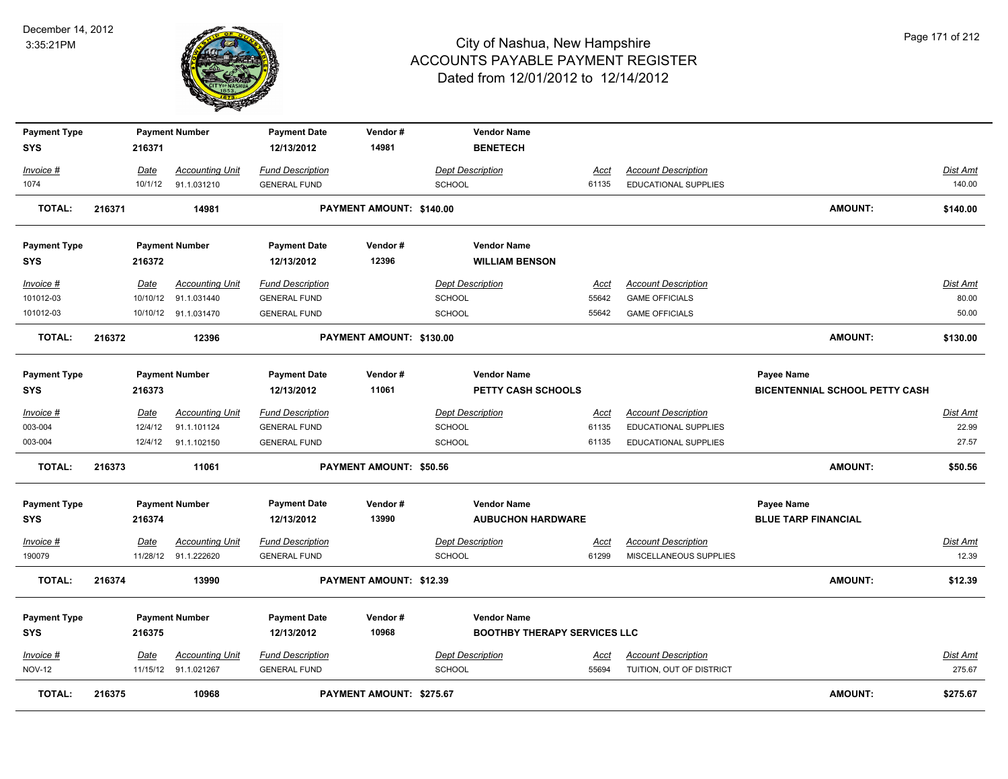

| <b>Payment Type</b><br><b>SYS</b> |        | 216371  | <b>Payment Number</b>                          | <b>Payment Date</b><br>12/13/2012              | Vendor#<br>14981         | <b>Vendor Name</b><br><b>BENETECH</b>           |                      |                                                        |                                                     |                          |
|-----------------------------------|--------|---------|------------------------------------------------|------------------------------------------------|--------------------------|-------------------------------------------------|----------------------|--------------------------------------------------------|-----------------------------------------------------|--------------------------|
| Invoice #                         |        | Date    | <b>Accounting Unit</b>                         | <b>Fund Description</b>                        |                          | <b>Dept Description</b>                         | <u>Acct</u>          | <b>Account Description</b>                             |                                                     | Dist Amt                 |
| 1074                              |        |         | 10/1/12 91.1.031210                            | <b>GENERAL FUND</b>                            |                          | <b>SCHOOL</b>                                   | 61135                | <b>EDUCATIONAL SUPPLIES</b>                            |                                                     | 140.00                   |
| <b>TOTAL:</b>                     | 216371 |         | 14981                                          |                                                | PAYMENT AMOUNT: \$140.00 |                                                 |                      |                                                        | <b>AMOUNT:</b>                                      | \$140.00                 |
| <b>Payment Type</b>               |        |         | <b>Payment Number</b>                          | <b>Payment Date</b>                            | Vendor#                  | <b>Vendor Name</b>                              |                      |                                                        |                                                     |                          |
| SYS                               |        | 216372  |                                                | 12/13/2012                                     | 12396                    | <b>WILLIAM BENSON</b>                           |                      |                                                        |                                                     |                          |
| Invoice #                         |        | Date    | <b>Accounting Unit</b>                         | <b>Fund Description</b>                        |                          | <b>Dept Description</b>                         | <u>Acct</u>          | <b>Account Description</b>                             |                                                     | Dist Amt                 |
| 101012-03                         |        |         | 10/10/12 91.1.031440                           | <b>GENERAL FUND</b>                            |                          | <b>SCHOOL</b>                                   | 55642                | <b>GAME OFFICIALS</b>                                  |                                                     | 80.00                    |
| 101012-03                         |        |         | 10/10/12 91.1.031470                           | <b>GENERAL FUND</b>                            |                          | <b>SCHOOL</b>                                   | 55642                | <b>GAME OFFICIALS</b>                                  |                                                     | 50.00                    |
| <b>TOTAL:</b>                     | 216372 |         | 12396                                          |                                                | PAYMENT AMOUNT: \$130.00 |                                                 |                      |                                                        | <b>AMOUNT:</b>                                      | \$130.00                 |
| <b>Payment Type</b><br><b>SYS</b> |        | 216373  | <b>Payment Number</b>                          | <b>Payment Date</b><br>12/13/2012              | Vendor#<br>11061         | <b>Vendor Name</b><br><b>PETTY CASH SCHOOLS</b> |                      |                                                        | Payee Name<br><b>BICENTENNIAL SCHOOL PETTY CASH</b> |                          |
| Invoice #                         |        | Date    | <b>Accounting Unit</b>                         | <b>Fund Description</b>                        |                          | <b>Dept Description</b>                         | Acct                 | <b>Account Description</b>                             |                                                     | Dist Amt                 |
| 003-004                           |        | 12/4/12 | 91.1.101124                                    | <b>GENERAL FUND</b>                            |                          | <b>SCHOOL</b>                                   | 61135                | <b>EDUCATIONAL SUPPLIES</b>                            |                                                     | 22.99                    |
| 003-004                           |        |         | 12/4/12 91.1.102150                            | <b>GENERAL FUND</b>                            |                          | <b>SCHOOL</b>                                   | 61135                | <b>EDUCATIONAL SUPPLIES</b>                            |                                                     | 27.57                    |
| <b>TOTAL:</b>                     | 216373 |         | 11061                                          |                                                | PAYMENT AMOUNT: \$50.56  |                                                 |                      |                                                        | <b>AMOUNT:</b>                                      | \$50.56                  |
| <b>Payment Type</b>               |        |         | <b>Payment Number</b>                          | <b>Payment Date</b>                            | Vendor#                  | <b>Vendor Name</b>                              |                      |                                                        | Payee Name                                          |                          |
| SYS                               |        | 216374  |                                                | 12/13/2012                                     | 13990                    | <b>AUBUCHON HARDWARE</b>                        |                      |                                                        | <b>BLUE TARP FINANCIAL</b>                          |                          |
| <u>Invoice #</u><br>190079        |        | Date    | <b>Accounting Unit</b><br>11/28/12 91.1.222620 | <b>Fund Description</b><br><b>GENERAL FUND</b> |                          | <b>Dept Description</b><br><b>SCHOOL</b>        | <u>Acct</u><br>61299 | <b>Account Description</b><br>MISCELLANEOUS SUPPLIES   |                                                     | <u>Dist Amt</u><br>12.39 |
| <b>TOTAL:</b>                     | 216374 |         | 13990                                          |                                                | PAYMENT AMOUNT: \$12.39  |                                                 |                      |                                                        | AMOUNT:                                             | \$12.39                  |
| <b>Payment Type</b>               |        |         | <b>Payment Number</b>                          | <b>Payment Date</b>                            | Vendor#                  | <b>Vendor Name</b>                              |                      |                                                        |                                                     |                          |
| <b>SYS</b>                        |        | 216375  |                                                | 12/13/2012                                     | 10968                    | <b>BOOTHBY THERAPY SERVICES LLC</b>             |                      |                                                        |                                                     |                          |
| Invoice #<br><b>NOV-12</b>        |        | Date    | <b>Accounting Unit</b><br>11/15/12 91.1.021267 | <b>Fund Description</b><br><b>GENERAL FUND</b> |                          | <b>Dept Description</b><br><b>SCHOOL</b>        | Acct<br>55694        | <b>Account Description</b><br>TUITION, OUT OF DISTRICT |                                                     | Dist Amt<br>275.67       |
| <b>TOTAL:</b>                     | 216375 |         | 10968                                          |                                                | PAYMENT AMOUNT: \$275.67 |                                                 |                      |                                                        | <b>AMOUNT:</b>                                      | \$275.67                 |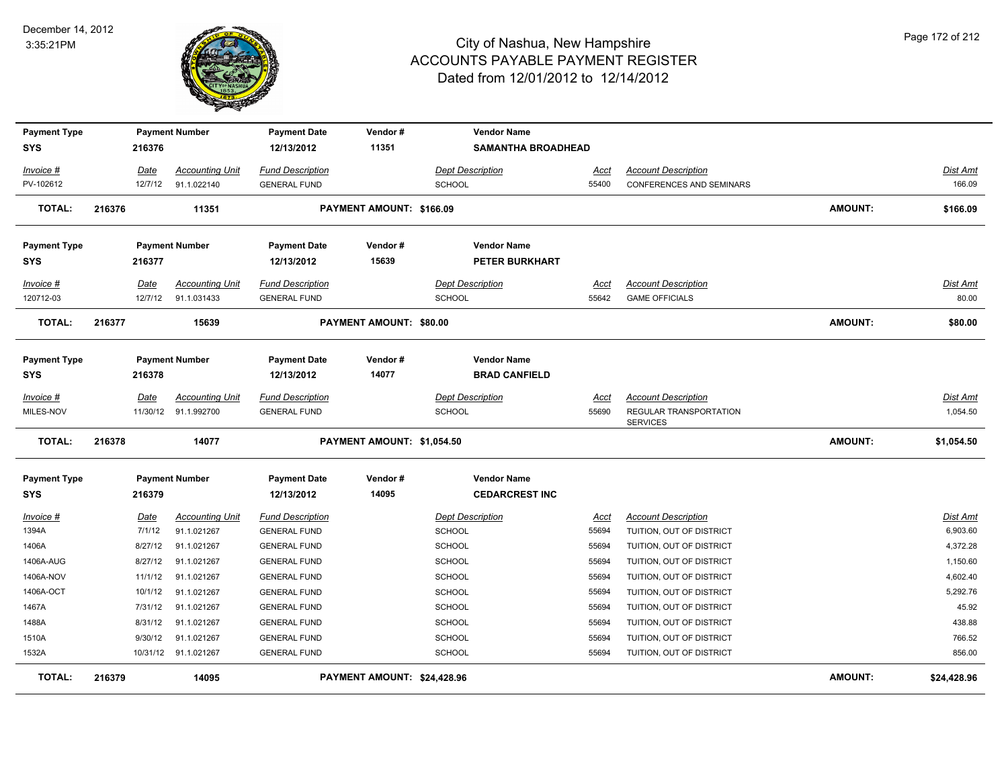

| <b>Payment Type</b> |        |             | <b>Payment Number</b>  | <b>Payment Date</b>     | Vendor#                        | <b>Vendor Name</b>        |             |                                           |                |                 |
|---------------------|--------|-------------|------------------------|-------------------------|--------------------------------|---------------------------|-------------|-------------------------------------------|----------------|-----------------|
| SYS                 |        | 216376      |                        | 12/13/2012              | 11351                          | <b>SAMANTHA BROADHEAD</b> |             |                                           |                |                 |
| Invoice #           |        | Date        | <b>Accounting Unit</b> | <b>Fund Description</b> |                                | <b>Dept Description</b>   | <b>Acct</b> | <b>Account Description</b>                |                | Dist Amt        |
| PV-102612           |        | 12/7/12     | 91.1.022140            | <b>GENERAL FUND</b>     |                                | <b>SCHOOL</b>             | 55400       | CONFERENCES AND SEMINARS                  |                | 166.09          |
| <b>TOTAL:</b>       | 216376 |             | 11351                  |                         | PAYMENT AMOUNT: \$166.09       |                           |             |                                           | <b>AMOUNT:</b> | \$166.09        |
| <b>Payment Type</b> |        |             | <b>Payment Number</b>  | <b>Payment Date</b>     | Vendor#                        | <b>Vendor Name</b>        |             |                                           |                |                 |
| <b>SYS</b>          |        | 216377      |                        | 12/13/2012              | 15639                          | <b>PETER BURKHART</b>     |             |                                           |                |                 |
| Invoice #           |        | Date        | <b>Accounting Unit</b> | <b>Fund Description</b> |                                | <b>Dept Description</b>   | Acct        | <b>Account Description</b>                |                | Dist Amt        |
| 120712-03           |        | 12/7/12     | 91.1.031433            | <b>GENERAL FUND</b>     |                                | <b>SCHOOL</b>             | 55642       | <b>GAME OFFICIALS</b>                     |                | 80.00           |
| <b>TOTAL:</b>       | 216377 |             | 15639                  |                         | <b>PAYMENT AMOUNT: \$80.00</b> |                           |             |                                           | <b>AMOUNT:</b> | \$80.00         |
| <b>Payment Type</b> |        |             | <b>Payment Number</b>  | <b>Payment Date</b>     | Vendor#                        | <b>Vendor Name</b>        |             |                                           |                |                 |
| <b>SYS</b>          |        | 216378      |                        | 12/13/2012              | 14077                          | <b>BRAD CANFIELD</b>      |             |                                           |                |                 |
| $Invoice$ #         |        | Date        | <b>Accounting Unit</b> | <b>Fund Description</b> |                                | <b>Dept Description</b>   | <u>Acct</u> | <b>Account Description</b>                |                | Dist Amt        |
| MILES-NOV           |        |             | 11/30/12 91.1.992700   | <b>GENERAL FUND</b>     |                                | SCHOOL                    | 55690       | REGULAR TRANSPORTATION<br><b>SERVICES</b> |                | 1,054.50        |
| <b>TOTAL:</b>       | 216378 |             | 14077                  |                         | PAYMENT AMOUNT: \$1,054.50     |                           |             |                                           | <b>AMOUNT:</b> | \$1,054.50      |
| <b>Payment Type</b> |        |             | <b>Payment Number</b>  | <b>Payment Date</b>     | Vendor#                        | <b>Vendor Name</b>        |             |                                           |                |                 |
| SYS                 |        | 216379      |                        | 12/13/2012              | 14095                          | <b>CEDARCREST INC</b>     |             |                                           |                |                 |
| <u>Invoice #</u>    |        | <u>Date</u> | <b>Accounting Unit</b> | <b>Fund Description</b> |                                | <b>Dept Description</b>   | <u>Acct</u> | <b>Account Description</b>                |                | <u>Dist Amt</u> |
| 1394A               |        | 7/1/12      | 91.1.021267            | <b>GENERAL FUND</b>     |                                | SCHOOL                    | 55694       | TUITION, OUT OF DISTRICT                  |                | 6,903.60        |
| 1406A               |        | 8/27/12     | 91.1.021267            | <b>GENERAL FUND</b>     |                                | SCHOOL                    | 55694       | TUITION, OUT OF DISTRICT                  |                | 4,372.28        |
| 1406A-AUG           |        | 8/27/12     | 91.1.021267            | <b>GENERAL FUND</b>     |                                | <b>SCHOOL</b>             | 55694       | TUITION, OUT OF DISTRICT                  |                | 1,150.60        |
| 1406A-NOV           |        | 11/1/12     | 91.1.021267            | <b>GENERAL FUND</b>     |                                | SCHOOL                    | 55694       | TUITION, OUT OF DISTRICT                  |                | 4,602.40        |
| 1406A-OCT           |        | 10/1/12     | 91.1.021267            | <b>GENERAL FUND</b>     |                                | <b>SCHOOL</b>             | 55694       | TUITION, OUT OF DISTRICT                  |                | 5,292.76        |
| 1467A               |        | 7/31/12     | 91.1.021267            | <b>GENERAL FUND</b>     |                                | <b>SCHOOL</b>             | 55694       | TUITION, OUT OF DISTRICT                  |                | 45.92           |
| 1488A               |        | 8/31/12     | 91.1.021267            | <b>GENERAL FUND</b>     |                                | SCHOOL                    | 55694       | TUITION, OUT OF DISTRICT                  |                | 438.88          |
| 1510A               |        | 9/30/12     | 91.1.021267            | <b>GENERAL FUND</b>     |                                | <b>SCHOOL</b>             | 55694       | TUITION, OUT OF DISTRICT                  |                | 766.52          |
| 1532A               |        |             | 10/31/12 91.1.021267   | <b>GENERAL FUND</b>     |                                | SCHOOL                    | 55694       | TUITION, OUT OF DISTRICT                  |                | 856.00          |
| TOTAL:              | 216379 |             | 14095                  |                         | PAYMENT AMOUNT: \$24,428.96    |                           |             |                                           | <b>AMOUNT:</b> | \$24,428.96     |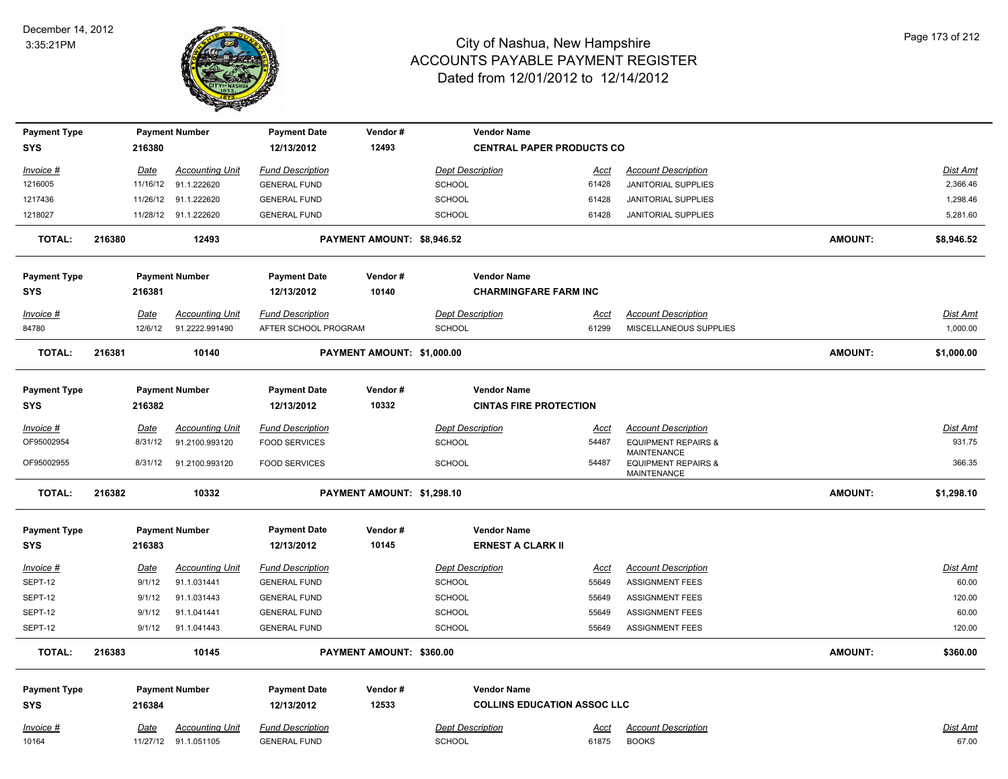

| <b>Payment Type</b> |        |             | <b>Payment Number</b>  | <b>Payment Date</b>     | Vendor#                    |                         | <b>Vendor Name</b>                 |             |                                                                            |                |                 |
|---------------------|--------|-------------|------------------------|-------------------------|----------------------------|-------------------------|------------------------------------|-------------|----------------------------------------------------------------------------|----------------|-----------------|
| <b>SYS</b>          |        | 216380      |                        | 12/13/2012              | 12493                      |                         | <b>CENTRAL PAPER PRODUCTS CO</b>   |             |                                                                            |                |                 |
| Invoice #           |        | Date        | <b>Accounting Unit</b> | <b>Fund Description</b> |                            | <b>Dept Description</b> |                                    | Acct        | <b>Account Description</b>                                                 |                | Dist Amt        |
| 1216005             |        | 11/16/12    | 91.1.222620            | <b>GENERAL FUND</b>     |                            | SCHOOL                  |                                    | 61428       | JANITORIAL SUPPLIES                                                        |                | 2,366.46        |
| 1217436             |        | 11/26/12    | 91.1.222620            | <b>GENERAL FUND</b>     |                            | <b>SCHOOL</b>           |                                    | 61428       | <b>JANITORIAL SUPPLIES</b>                                                 |                | 1,298.46        |
| 1218027             |        |             | 11/28/12 91.1.222620   | <b>GENERAL FUND</b>     |                            | <b>SCHOOL</b>           |                                    | 61428       | JANITORIAL SUPPLIES                                                        |                | 5,281.60        |
| <b>TOTAL:</b>       | 216380 |             | 12493                  |                         | PAYMENT AMOUNT: \$8,946.52 |                         |                                    |             |                                                                            | <b>AMOUNT:</b> | \$8,946.52      |
| <b>Payment Type</b> |        |             | <b>Payment Number</b>  | <b>Payment Date</b>     | Vendor#                    |                         | <b>Vendor Name</b>                 |             |                                                                            |                |                 |
| <b>SYS</b>          |        | 216381      |                        | 12/13/2012              | 10140                      |                         | <b>CHARMINGFARE FARM INC</b>       |             |                                                                            |                |                 |
| Invoice #           |        | Date        | <b>Accounting Unit</b> | <b>Fund Description</b> |                            | <b>Dept Description</b> |                                    | <b>Acct</b> | <b>Account Description</b>                                                 |                | <b>Dist Amt</b> |
| 84780               |        | 12/6/12     | 91.2222.991490         | AFTER SCHOOL PROGRAM    |                            | <b>SCHOOL</b>           |                                    | 61299       | MISCELLANEOUS SUPPLIES                                                     |                | 1,000.00        |
| <b>TOTAL:</b>       | 216381 |             | 10140                  |                         | PAYMENT AMOUNT: \$1,000.00 |                         |                                    |             |                                                                            | <b>AMOUNT:</b> | \$1,000.00      |
| <b>Payment Type</b> |        |             | <b>Payment Number</b>  | <b>Payment Date</b>     | Vendor#                    |                         | <b>Vendor Name</b>                 |             |                                                                            |                |                 |
| <b>SYS</b>          |        | 216382      |                        | 12/13/2012              | 10332                      |                         | <b>CINTAS FIRE PROTECTION</b>      |             |                                                                            |                |                 |
| Invoice #           |        | Date        | <b>Accounting Unit</b> | <b>Fund Description</b> |                            | <b>Dept Description</b> |                                    | <u>Acct</u> | <b>Account Description</b>                                                 |                | Dist Amt        |
| OF95002954          |        | 8/31/12     | 91.2100.993120         | <b>FOOD SERVICES</b>    |                            | <b>SCHOOL</b>           |                                    | 54487       | <b>EQUIPMENT REPAIRS &amp;</b>                                             |                | 931.75          |
| OF95002955          |        | 8/31/12     | 91.2100.993120         | <b>FOOD SERVICES</b>    |                            | <b>SCHOOL</b>           |                                    | 54487       | <b>MAINTENANCE</b><br><b>EQUIPMENT REPAIRS &amp;</b><br><b>MAINTENANCE</b> |                | 366.35          |
| <b>TOTAL:</b>       | 216382 |             | 10332                  |                         | PAYMENT AMOUNT: \$1,298.10 |                         |                                    |             |                                                                            | <b>AMOUNT:</b> | \$1,298.10      |
| <b>Payment Type</b> |        |             | <b>Payment Number</b>  | <b>Payment Date</b>     | Vendor#                    |                         | <b>Vendor Name</b>                 |             |                                                                            |                |                 |
| <b>SYS</b>          |        | 216383      |                        | 12/13/2012              | 10145                      |                         | <b>ERNEST A CLARK II</b>           |             |                                                                            |                |                 |
| Invoice #           |        | <u>Date</u> | <b>Accounting Unit</b> | <b>Fund Description</b> |                            | <b>Dept Description</b> |                                    | <u>Acct</u> | <b>Account Description</b>                                                 |                | <b>Dist Amt</b> |
| SEPT-12             |        | 9/1/12      | 91.1.031441            | <b>GENERAL FUND</b>     |                            | <b>SCHOOL</b>           |                                    | 55649       | <b>ASSIGNMENT FEES</b>                                                     |                | 60.00           |
| SEPT-12             |        | 9/1/12      | 91.1.031443            | <b>GENERAL FUND</b>     |                            | <b>SCHOOL</b>           |                                    | 55649       | <b>ASSIGNMENT FEES</b>                                                     |                | 120.00          |
| SEPT-12             |        | 9/1/12      | 91.1.041441            | <b>GENERAL FUND</b>     |                            | SCHOOL                  |                                    | 55649       | <b>ASSIGNMENT FEES</b>                                                     |                | 60.00           |
| SEPT-12             |        | 9/1/12      | 91.1.041443            | <b>GENERAL FUND</b>     |                            | <b>SCHOOL</b>           |                                    | 55649       | <b>ASSIGNMENT FEES</b>                                                     |                | 120.00          |
| <b>TOTAL:</b>       | 216383 |             | 10145                  |                         | PAYMENT AMOUNT: \$360.00   |                         |                                    |             |                                                                            | <b>AMOUNT:</b> | \$360.00        |
| <b>Payment Type</b> |        |             | <b>Payment Number</b>  | <b>Payment Date</b>     | Vendor#                    |                         | <b>Vendor Name</b>                 |             |                                                                            |                |                 |
| <b>SYS</b>          |        | 216384      |                        | 12/13/2012              | 12533                      |                         | <b>COLLINS EDUCATION ASSOC LLC</b> |             |                                                                            |                |                 |
| Invoice #           |        | <u>Date</u> | <b>Accounting Unit</b> | <b>Fund Description</b> |                            | <b>Dept Description</b> |                                    | <u>Acct</u> | <b>Account Description</b>                                                 |                | Dist Amt        |
| 10164               |        | 11/27/12    | 91.1.051105            | <b>GENERAL FUND</b>     |                            | <b>SCHOOL</b>           |                                    | 61875       | <b>BOOKS</b>                                                               |                | 67.00           |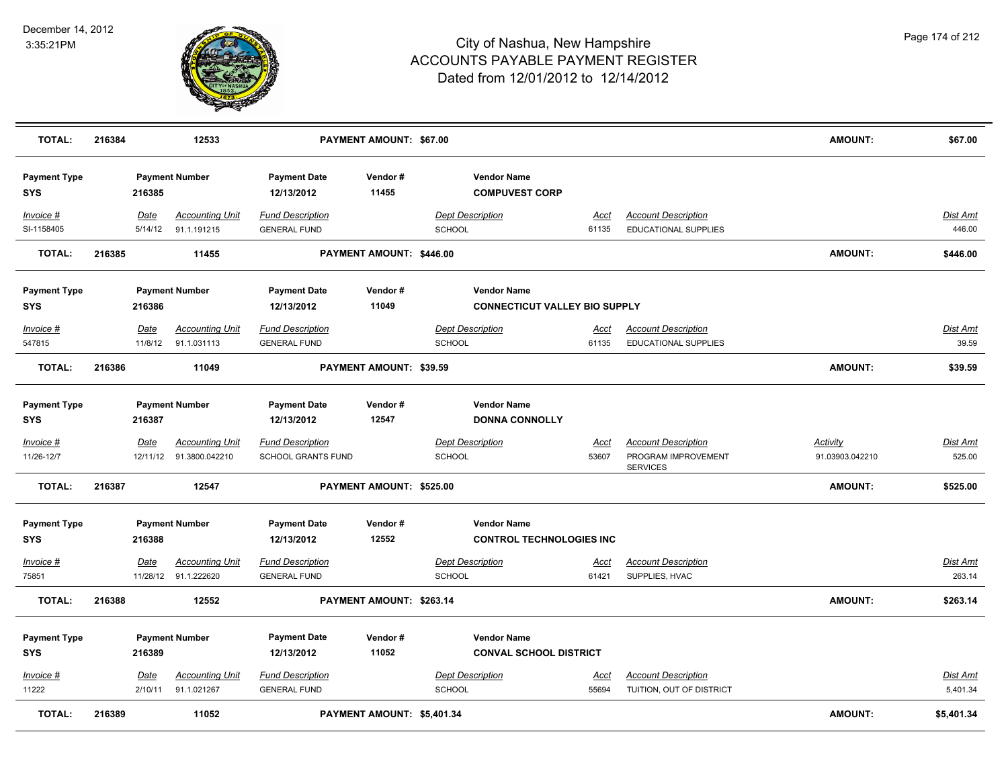

| <b>TOTAL:</b>                     | 216384 |                         | 12533                                          |                                                      | <b>PAYMENT AMOUNT: \$67.00</b> |                                          |                                                            |                      |                                                                      | <b>AMOUNT:</b>                     | \$67.00                   |
|-----------------------------------|--------|-------------------------|------------------------------------------------|------------------------------------------------------|--------------------------------|------------------------------------------|------------------------------------------------------------|----------------------|----------------------------------------------------------------------|------------------------------------|---------------------------|
| <b>Payment Type</b><br>SYS        |        | 216385                  | <b>Payment Number</b>                          | <b>Payment Date</b><br>12/13/2012                    | Vendor#<br>11455               |                                          | <b>Vendor Name</b><br><b>COMPUVEST CORP</b>                |                      |                                                                      |                                    |                           |
| Invoice #<br>SI-1158405           |        | Date<br>5/14/12         | <b>Accounting Unit</b><br>91.1.191215          | <b>Fund Description</b><br><b>GENERAL FUND</b>       |                                | <b>Dept Description</b><br><b>SCHOOL</b> |                                                            | Acct<br>61135        | <b>Account Description</b><br><b>EDUCATIONAL SUPPLIES</b>            |                                    | Dist Amt<br>446.00        |
| <b>TOTAL:</b>                     | 216385 |                         | 11455                                          |                                                      | PAYMENT AMOUNT: \$446.00       |                                          |                                                            |                      |                                                                      | <b>AMOUNT:</b>                     | \$446.00                  |
| <b>Payment Type</b><br>SYS        |        | 216386                  | <b>Payment Number</b>                          | <b>Payment Date</b><br>12/13/2012                    | Vendor#<br>11049               |                                          | <b>Vendor Name</b><br><b>CONNECTICUT VALLEY BIO SUPPLY</b> |                      |                                                                      |                                    |                           |
| <b>Invoice #</b><br>547815        |        | Date<br>11/8/12         | <b>Accounting Unit</b><br>91.1.031113          | <b>Fund Description</b><br><b>GENERAL FUND</b>       |                                | <b>Dept Description</b><br><b>SCHOOL</b> |                                                            | <u>Acct</u><br>61135 | <b>Account Description</b><br><b>EDUCATIONAL SUPPLIES</b>            |                                    | <b>Dist Amt</b><br>39.59  |
| <b>TOTAL:</b>                     | 216386 |                         | 11049                                          |                                                      | PAYMENT AMOUNT: \$39.59        |                                          |                                                            |                      |                                                                      | <b>AMOUNT:</b>                     | \$39.59                   |
| <b>Payment Type</b><br>SYS        |        | 216387                  | <b>Payment Number</b>                          | <b>Payment Date</b><br>12/13/2012                    | Vendor#<br>12547               |                                          | <b>Vendor Name</b><br><b>DONNA CONNOLLY</b>                |                      |                                                                      |                                    |                           |
| Invoice #<br>11/26-12/7           |        | <u>Date</u><br>12/11/12 | <b>Accounting Unit</b><br>91.3800.042210       | <b>Fund Description</b><br><b>SCHOOL GRANTS FUND</b> |                                | <b>Dept Description</b><br>SCHOOL        |                                                            | <u>Acct</u><br>53607 | <b>Account Description</b><br>PROGRAM IMPROVEMENT<br><b>SERVICES</b> | <u>Activity</u><br>91.03903.042210 | <b>Dist Amt</b><br>525.00 |
| <b>TOTAL:</b>                     | 216387 |                         | 12547                                          |                                                      | PAYMENT AMOUNT: \$525.00       |                                          |                                                            |                      |                                                                      | <b>AMOUNT:</b>                     | \$525.00                  |
| <b>Payment Type</b><br><b>SYS</b> |        | 216388                  | <b>Payment Number</b>                          | <b>Payment Date</b><br>12/13/2012                    | Vendor#<br>12552               |                                          | <b>Vendor Name</b><br><b>CONTROL TECHNOLOGIES INC</b>      |                      |                                                                      |                                    |                           |
| Invoice #<br>75851                |        | <b>Date</b>             | <b>Accounting Unit</b><br>11/28/12 91.1.222620 | <b>Fund Description</b><br><b>GENERAL FUND</b>       |                                | <b>Dept Description</b><br>SCHOOL        |                                                            | <u>Acct</u><br>61421 | <b>Account Description</b><br>SUPPLIES, HVAC                         |                                    | <u>Dist Amt</u><br>263.14 |
| <b>TOTAL:</b>                     | 216388 |                         | 12552                                          |                                                      | PAYMENT AMOUNT: \$263.14       |                                          |                                                            |                      |                                                                      | <b>AMOUNT:</b>                     | \$263.14                  |
| <b>Payment Type</b><br><b>SYS</b> |        | 216389                  | <b>Payment Number</b>                          | <b>Payment Date</b><br>12/13/2012                    | Vendor#<br>11052               |                                          | <b>Vendor Name</b><br><b>CONVAL SCHOOL DISTRICT</b>        |                      |                                                                      |                                    |                           |
| Invoice #<br>11222                |        | Date<br>2/10/11         | <b>Accounting Unit</b><br>91.1.021267          | <b>Fund Description</b><br><b>GENERAL FUND</b>       |                                | <b>Dept Description</b><br>SCHOOL        |                                                            | <u>Acct</u><br>55694 | <b>Account Description</b><br>TUITION, OUT OF DISTRICT               |                                    | Dist Amt<br>5,401.34      |
| <b>TOTAL:</b>                     | 216389 |                         | 11052                                          |                                                      | PAYMENT AMOUNT: \$5,401.34     |                                          |                                                            |                      |                                                                      | <b>AMOUNT:</b>                     | \$5,401.34                |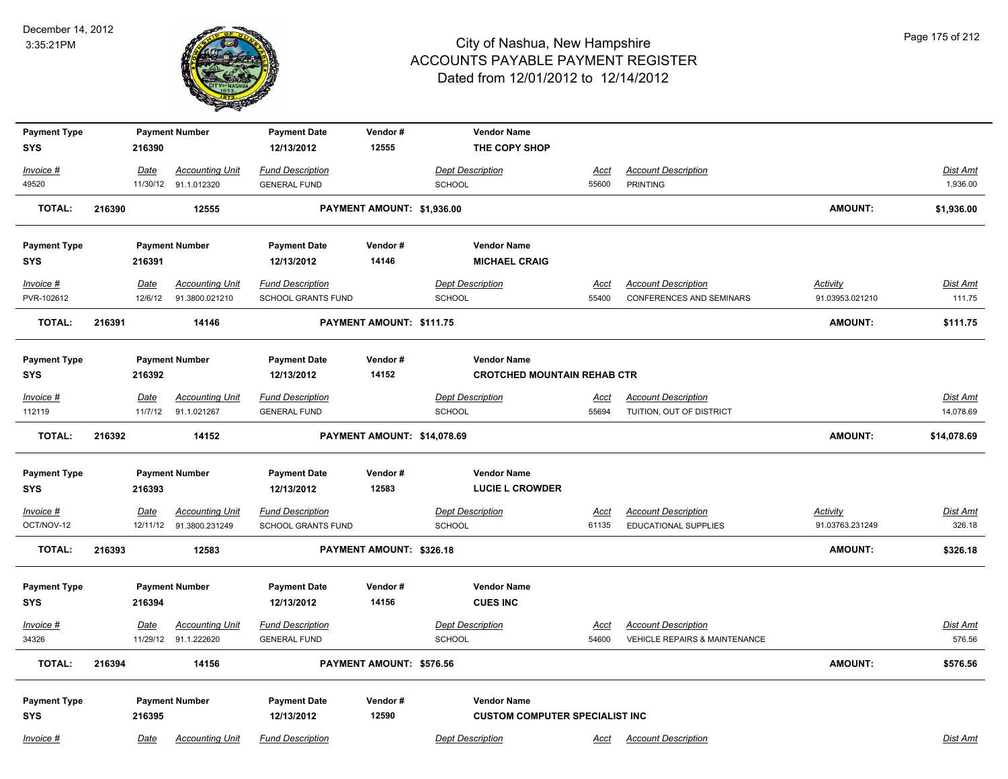

| <b>Payment Type</b><br><b>SYS</b> |        | 216390      | <b>Payment Number</b>  | <b>Payment Date</b><br>12/13/2012 | Vendor#<br>12555            | <b>Vendor Name</b><br>THE COPY SHOP   |             |                               |                 |                 |
|-----------------------------------|--------|-------------|------------------------|-----------------------------------|-----------------------------|---------------------------------------|-------------|-------------------------------|-----------------|-----------------|
|                                   |        |             |                        |                                   |                             |                                       |             |                               |                 |                 |
| Invoice #                         |        | Date        | <b>Accounting Unit</b> | <b>Fund Description</b>           |                             | <b>Dept Description</b>               | <u>Acct</u> | <b>Account Description</b>    |                 | Dist Amt        |
| 49520                             |        |             | 11/30/12 91.1.012320   | <b>GENERAL FUND</b>               |                             | SCHOOL                                | 55600       | <b>PRINTING</b>               |                 | 1,936.00        |
| <b>TOTAL:</b>                     | 216390 |             | 12555                  |                                   | PAYMENT AMOUNT: \$1,936.00  |                                       |             |                               | <b>AMOUNT:</b>  | \$1,936.00      |
| <b>Payment Type</b>               |        |             | <b>Payment Number</b>  | <b>Payment Date</b>               | Vendor#                     | <b>Vendor Name</b>                    |             |                               |                 |                 |
| <b>SYS</b>                        |        | 216391      |                        | 12/13/2012                        | 14146                       | <b>MICHAEL CRAIG</b>                  |             |                               |                 |                 |
| Invoice #                         |        | Date        | <b>Accounting Unit</b> | <b>Fund Description</b>           |                             | <b>Dept Description</b>               | Acct        | <b>Account Description</b>    | Activity        | Dist Amt        |
| PVR-102612                        |        | 12/6/12     | 91.3800.021210         | SCHOOL GRANTS FUND                |                             | <b>SCHOOL</b>                         | 55400       | CONFERENCES AND SEMINARS      | 91.03953.021210 | 111.75          |
| <b>TOTAL:</b>                     | 216391 |             | 14146                  |                                   | PAYMENT AMOUNT: \$111.75    |                                       |             |                               | <b>AMOUNT:</b>  | \$111.75        |
| <b>Payment Type</b>               |        |             | <b>Payment Number</b>  | <b>Payment Date</b>               | Vendor#                     | <b>Vendor Name</b>                    |             |                               |                 |                 |
| <b>SYS</b>                        |        | 216392      |                        | 12/13/2012                        | 14152                       | <b>CROTCHED MOUNTAIN REHAB CTR</b>    |             |                               |                 |                 |
| Invoice #                         |        | Date        | <b>Accounting Unit</b> | <b>Fund Description</b>           |                             | <b>Dept Description</b>               | Acct        | <b>Account Description</b>    |                 | Dist Amt        |
| 112119                            |        | 11/7/12     | 91.1.021267            | <b>GENERAL FUND</b>               |                             | <b>SCHOOL</b>                         | 55694       | TUITION, OUT OF DISTRICT      |                 | 14,078.69       |
| <b>TOTAL:</b>                     | 216392 |             | 14152                  |                                   | PAYMENT AMOUNT: \$14,078.69 |                                       |             |                               | <b>AMOUNT:</b>  | \$14,078.69     |
| <b>Payment Type</b>               |        |             | <b>Payment Number</b>  | <b>Payment Date</b>               | Vendor#                     | <b>Vendor Name</b>                    |             |                               |                 |                 |
| <b>SYS</b>                        |        | 216393      |                        | 12/13/2012                        | 12583                       | <b>LUCIE L CROWDER</b>                |             |                               |                 |                 |
| $Invoice$ #                       |        | <b>Date</b> | <b>Accounting Unit</b> | <b>Fund Description</b>           |                             | <b>Dept Description</b>               | <u>Acct</u> | <b>Account Description</b>    | <b>Activity</b> | <b>Dist Amt</b> |
| OCT/NOV-12                        |        | 12/11/12    | 91.3800.231249         | <b>SCHOOL GRANTS FUND</b>         |                             | <b>SCHOOL</b>                         | 61135       | <b>EDUCATIONAL SUPPLIES</b>   | 91.03763.231249 | 326.18          |
| <b>TOTAL:</b>                     | 216393 |             | 12583                  |                                   | PAYMENT AMOUNT: \$326.18    |                                       |             |                               | <b>AMOUNT:</b>  | \$326.18        |
|                                   |        |             |                        |                                   |                             |                                       |             |                               |                 |                 |
| <b>Payment Type</b>               |        |             | <b>Payment Number</b>  | <b>Payment Date</b>               | Vendor#                     | <b>Vendor Name</b>                    |             |                               |                 |                 |
| <b>SYS</b>                        |        | 216394      |                        | 12/13/2012                        | 14156                       | <b>CUES INC</b>                       |             |                               |                 |                 |
| Invoice #                         |        | Date        | <b>Accounting Unit</b> | <b>Fund Description</b>           |                             | <b>Dept Description</b>               | Acct        | <b>Account Description</b>    |                 | Dist Amt        |
| 34326                             |        | 11/29/12    | 91.1.222620            | <b>GENERAL FUND</b>               |                             | SCHOOL                                | 54600       | VEHICLE REPAIRS & MAINTENANCE |                 | 576.56          |
| <b>TOTAL:</b>                     | 216394 |             | 14156                  |                                   | PAYMENT AMOUNT: \$576.56    |                                       |             |                               | <b>AMOUNT:</b>  | \$576.56        |
| <b>Payment Type</b>               |        |             | <b>Payment Number</b>  | <b>Payment Date</b>               | Vendor#                     | <b>Vendor Name</b>                    |             |                               |                 |                 |
| <b>SYS</b>                        |        | 216395      |                        | 12/13/2012                        | 12590                       | <b>CUSTOM COMPUTER SPECIALIST INC</b> |             |                               |                 |                 |
| Invoice #                         |        | Date        | <b>Accounting Unit</b> | <b>Fund Description</b>           |                             | <b>Dept Description</b>               | Acct        | <b>Account Description</b>    |                 | Dist Amt        |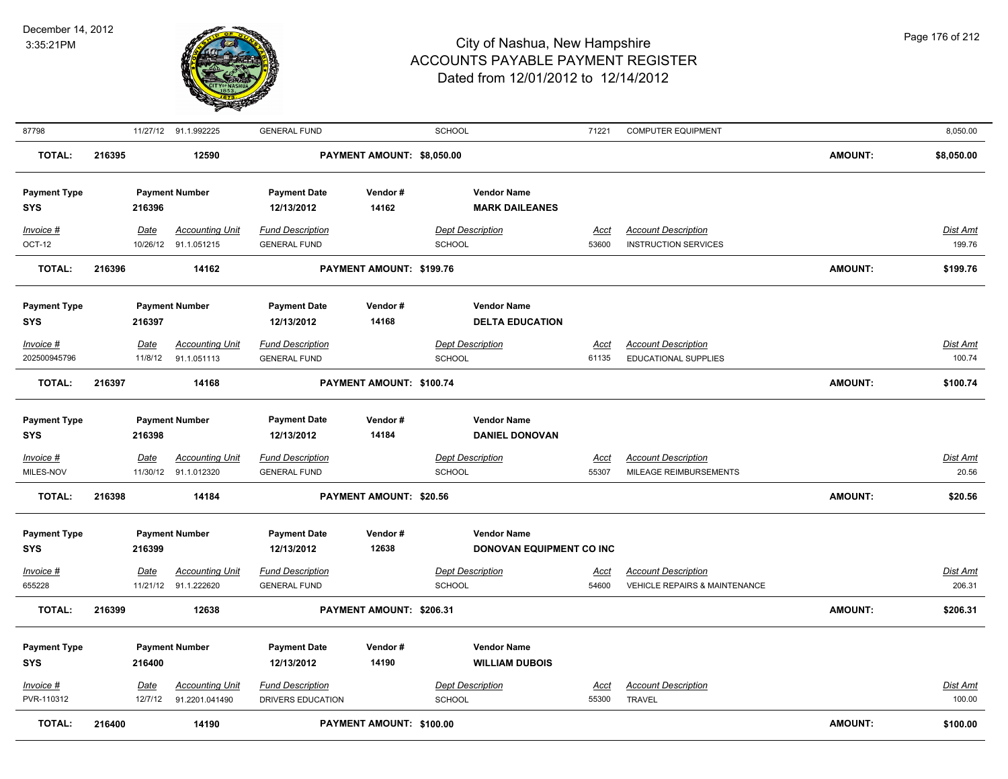

| 87798                             |        |                        | 11/27/12 91.1.992225                           | <b>GENERAL FUND</b>                            |                            | <b>SCHOOL</b>                                         | 71221                | <b>COMPUTER EQUIPMENT</b>                                 |                | 8,050.00                  |
|-----------------------------------|--------|------------------------|------------------------------------------------|------------------------------------------------|----------------------------|-------------------------------------------------------|----------------------|-----------------------------------------------------------|----------------|---------------------------|
| <b>TOTAL:</b>                     | 216395 |                        | 12590                                          |                                                | PAYMENT AMOUNT: \$8,050.00 |                                                       |                      |                                                           | <b>AMOUNT:</b> | \$8,050.00                |
| <b>Payment Type</b><br><b>SYS</b> |        | 216396                 | <b>Payment Number</b>                          | <b>Payment Date</b><br>12/13/2012              | Vendor#<br>14162           | <b>Vendor Name</b><br><b>MARK DAILEANES</b>           |                      |                                                           |                |                           |
| Invoice #<br>OCT-12               |        | <b>Date</b>            | <b>Accounting Unit</b><br>10/26/12 91.1.051215 | <b>Fund Description</b><br><b>GENERAL FUND</b> |                            | <b>Dept Description</b><br>SCHOOL                     | <u>Acct</u><br>53600 | <b>Account Description</b><br><b>INSTRUCTION SERVICES</b> |                | <u>Dist Amt</u><br>199.76 |
| <b>TOTAL:</b>                     | 216396 |                        | 14162                                          |                                                | PAYMENT AMOUNT: \$199.76   |                                                       |                      |                                                           | <b>AMOUNT:</b> | \$199.76                  |
| <b>Payment Type</b><br><b>SYS</b> |        | 216397                 | <b>Payment Number</b>                          | <b>Payment Date</b><br>12/13/2012              | Vendor#<br>14168           | <b>Vendor Name</b><br><b>DELTA EDUCATION</b>          |                      |                                                           |                |                           |
| $Invoice$ #                       |        | <b>Date</b>            | <b>Accounting Unit</b>                         | <b>Fund Description</b>                        |                            | <b>Dept Description</b>                               | <u>Acct</u>          | <b>Account Description</b>                                |                | Dist Amt                  |
| 202500945796                      |        | 11/8/12                | 91.1.051113                                    | <b>GENERAL FUND</b>                            |                            | <b>SCHOOL</b>                                         | 61135                | EDUCATIONAL SUPPLIES                                      |                | 100.74                    |
| <b>TOTAL:</b>                     | 216397 |                        | 14168                                          |                                                | PAYMENT AMOUNT: \$100.74   |                                                       |                      |                                                           | <b>AMOUNT:</b> | \$100.74                  |
| <b>Payment Type</b><br><b>SYS</b> |        | 216398                 | <b>Payment Number</b>                          | <b>Payment Date</b><br>12/13/2012              | Vendor#<br>14184           | <b>Vendor Name</b><br><b>DANIEL DONOVAN</b>           |                      |                                                           |                |                           |
| $Invoice$ #<br>MILES-NOV          |        | <u>Date</u>            | <b>Accounting Unit</b><br>11/30/12 91.1.012320 | <b>Fund Description</b><br><b>GENERAL FUND</b> |                            | <b>Dept Description</b><br><b>SCHOOL</b>              | <b>Acct</b><br>55307 | <b>Account Description</b><br>MILEAGE REIMBURSEMENTS      |                | Dist Amt<br>20.56         |
| <b>TOTAL:</b>                     | 216398 |                        | 14184                                          |                                                | PAYMENT AMOUNT: \$20.56    |                                                       |                      |                                                           | <b>AMOUNT:</b> | \$20.56                   |
| <b>Payment Type</b><br><b>SYS</b> |        | 216399                 | <b>Payment Number</b>                          | <b>Payment Date</b><br>12/13/2012              | Vendor#<br>12638           | <b>Vendor Name</b><br><b>DONOVAN EQUIPMENT CO INC</b> |                      |                                                           |                |                           |
| Invoice #                         |        | <b>Date</b>            | <b>Accounting Unit</b>                         | <b>Fund Description</b>                        |                            | <b>Dept Description</b>                               | <u>Acct</u>          | <b>Account Description</b>                                |                | Dist Amt                  |
| 655228                            |        |                        | 11/21/12 91.1.222620                           | <b>GENERAL FUND</b>                            |                            | <b>SCHOOL</b>                                         | 54600                | <b>VEHICLE REPAIRS &amp; MAINTENANCE</b>                  |                | 206.31                    |
| <b>TOTAL:</b>                     | 216399 |                        | 12638                                          |                                                | PAYMENT AMOUNT: \$206.31   |                                                       |                      |                                                           | <b>AMOUNT:</b> | \$206.31                  |
| <b>Payment Type</b><br><b>SYS</b> |        | 216400                 | <b>Payment Number</b>                          | <b>Payment Date</b><br>12/13/2012              | Vendor#<br>14190           | <b>Vendor Name</b><br><b>WILLIAM DUBOIS</b>           |                      |                                                           |                |                           |
| $Invoice$ #<br>PVR-110312         |        | <u>Date</u><br>12/7/12 | <b>Accounting Unit</b><br>91.2201.041490       | <b>Fund Description</b><br>DRIVERS EDUCATION   |                            | <b>Dept Description</b><br><b>SCHOOL</b>              | <u>Acct</u><br>55300 | <b>Account Description</b><br><b>TRAVEL</b>               |                | <u>Dist Amt</u><br>100.00 |
| <b>TOTAL:</b>                     | 216400 |                        | 14190                                          |                                                | PAYMENT AMOUNT: \$100.00   |                                                       |                      |                                                           | <b>AMOUNT:</b> | \$100.00                  |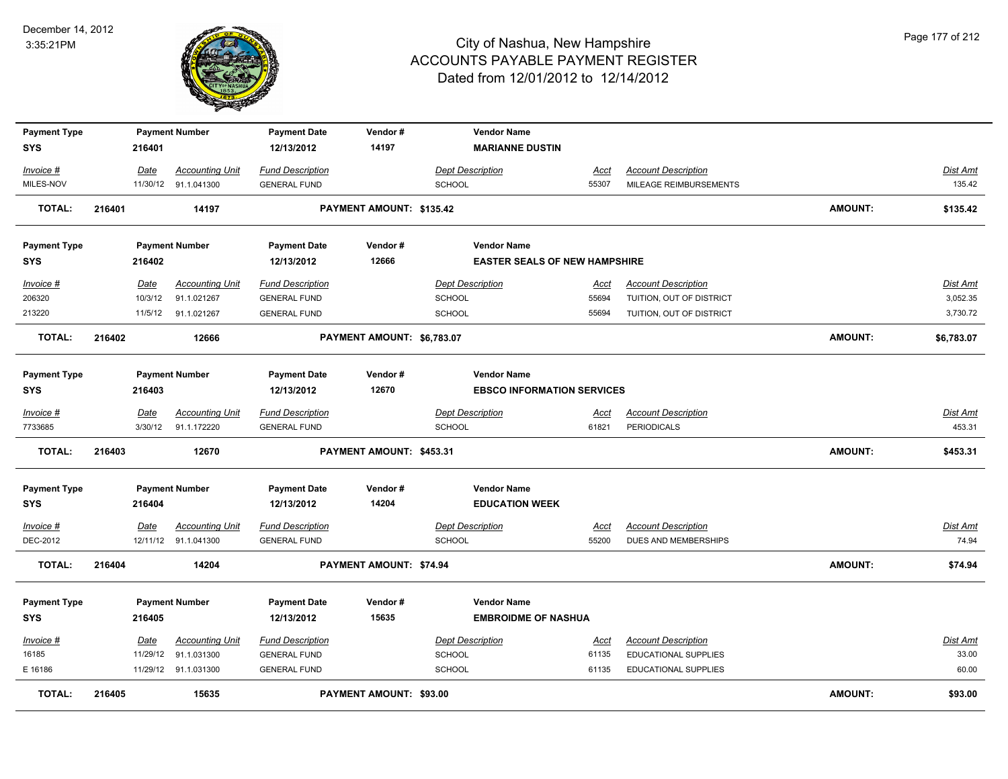

| <b>Payment Type</b>        |        |             | <b>Payment Number</b>  | <b>Payment Date</b>               | Vendor#                        | <b>Vendor Name</b>                                      |             |                            |                |                 |
|----------------------------|--------|-------------|------------------------|-----------------------------------|--------------------------------|---------------------------------------------------------|-------------|----------------------------|----------------|-----------------|
| <b>SYS</b>                 |        | 216401      |                        | 12/13/2012                        | 14197                          | <b>MARIANNE DUSTIN</b>                                  |             |                            |                |                 |
| Invoice #                  |        | Date        | <b>Accounting Unit</b> | <b>Fund Description</b>           |                                | <b>Dept Description</b>                                 | Acct        | <b>Account Description</b> |                | Dist Amt        |
| MILES-NOV                  |        |             | 11/30/12 91.1.041300   | <b>GENERAL FUND</b>               |                                | SCHOOL                                                  | 55307       | MILEAGE REIMBURSEMENTS     |                | 135.42          |
| <b>TOTAL:</b>              | 216401 |             | 14197                  |                                   | PAYMENT AMOUNT: \$135.42       |                                                         |             |                            | <b>AMOUNT:</b> | \$135.42        |
| <b>Payment Type</b>        |        |             | <b>Payment Number</b>  | <b>Payment Date</b>               | Vendor#                        | <b>Vendor Name</b>                                      |             |                            |                |                 |
| <b>SYS</b>                 |        | 216402      |                        | 12/13/2012                        | 12666                          | <b>EASTER SEALS OF NEW HAMPSHIRE</b>                    |             |                            |                |                 |
| Invoice #                  |        | Date        | <b>Accounting Unit</b> | <b>Fund Description</b>           |                                | <b>Dept Description</b>                                 | Acct        | <b>Account Description</b> |                | Dist Amt        |
| 206320                     |        | 10/3/12     | 91.1.021267            | <b>GENERAL FUND</b>               |                                | SCHOOL                                                  | 55694       | TUITION, OUT OF DISTRICT   |                | 3,052.35        |
| 213220                     |        |             | 11/5/12 91.1.021267    | <b>GENERAL FUND</b>               |                                | <b>SCHOOL</b>                                           | 55694       | TUITION, OUT OF DISTRICT   |                | 3,730.72        |
| <b>TOTAL:</b>              | 216402 |             | 12666                  |                                   | PAYMENT AMOUNT: \$6,783.07     |                                                         |             |                            | <b>AMOUNT:</b> | \$6,783.07      |
| <b>Payment Type</b><br>SYS |        | 216403      | <b>Payment Number</b>  | <b>Payment Date</b><br>12/13/2012 | Vendor#<br>12670               | <b>Vendor Name</b><br><b>EBSCO INFORMATION SERVICES</b> |             |                            |                |                 |
| <b>Invoice #</b>           |        | Date        | <b>Accounting Unit</b> | <b>Fund Description</b>           |                                | <b>Dept Description</b>                                 | <u>Acct</u> | <b>Account Description</b> |                | <b>Dist Amt</b> |
| 7733685                    |        | 3/30/12     | 91.1.172220            | <b>GENERAL FUND</b>               |                                | <b>SCHOOL</b>                                           | 61821       | PERIODICALS                |                | 453.31          |
| TOTAL:                     | 216403 |             | 12670                  |                                   | PAYMENT AMOUNT: \$453.31       |                                                         |             |                            | <b>AMOUNT:</b> | \$453.31        |
| <b>Payment Type</b>        |        |             | <b>Payment Number</b>  | <b>Payment Date</b>               | Vendor#                        | <b>Vendor Name</b>                                      |             |                            |                |                 |
| SYS                        |        | 216404      |                        | 12/13/2012                        | 14204                          | <b>EDUCATION WEEK</b>                                   |             |                            |                |                 |
| <u>Invoice #</u>           |        | <u>Date</u> | <u>Accounting Unit</u> | <b>Fund Description</b>           |                                | <b>Dept Description</b>                                 | <u>Acct</u> | <b>Account Description</b> |                | <u>Dist Amt</u> |
| DEC-2012                   |        |             | 12/11/12 91.1.041300   | <b>GENERAL FUND</b>               |                                | SCHOOL                                                  | 55200       | DUES AND MEMBERSHIPS       |                | 74.94           |
| <b>TOTAL:</b>              | 216404 |             | 14204                  |                                   | PAYMENT AMOUNT: \$74.94        |                                                         |             |                            | <b>AMOUNT:</b> | \$74.94         |
| <b>Payment Type</b>        |        |             | <b>Payment Number</b>  | <b>Payment Date</b>               | Vendor#                        | <b>Vendor Name</b>                                      |             |                            |                |                 |
| <b>SYS</b>                 |        | 216405      |                        | 12/13/2012                        | 15635                          | <b>EMBROIDME OF NASHUA</b>                              |             |                            |                |                 |
| <u>Invoice #</u>           |        | Date        | <b>Accounting Unit</b> | <b>Fund Description</b>           |                                | <b>Dept Description</b>                                 | <u>Acct</u> | <b>Account Description</b> |                | Dist Amt        |
| 16185                      |        |             | 11/29/12 91.1.031300   | <b>GENERAL FUND</b>               |                                | SCHOOL                                                  | 61135       | EDUCATIONAL SUPPLIES       |                | 33.00           |
| E 16186                    |        |             | 11/29/12 91.1.031300   | <b>GENERAL FUND</b>               |                                | SCHOOL                                                  | 61135       | EDUCATIONAL SUPPLIES       |                | 60.00           |
| <b>TOTAL:</b>              | 216405 |             | 15635                  |                                   | <b>PAYMENT AMOUNT: \$93.00</b> |                                                         |             |                            | <b>AMOUNT:</b> | \$93.00         |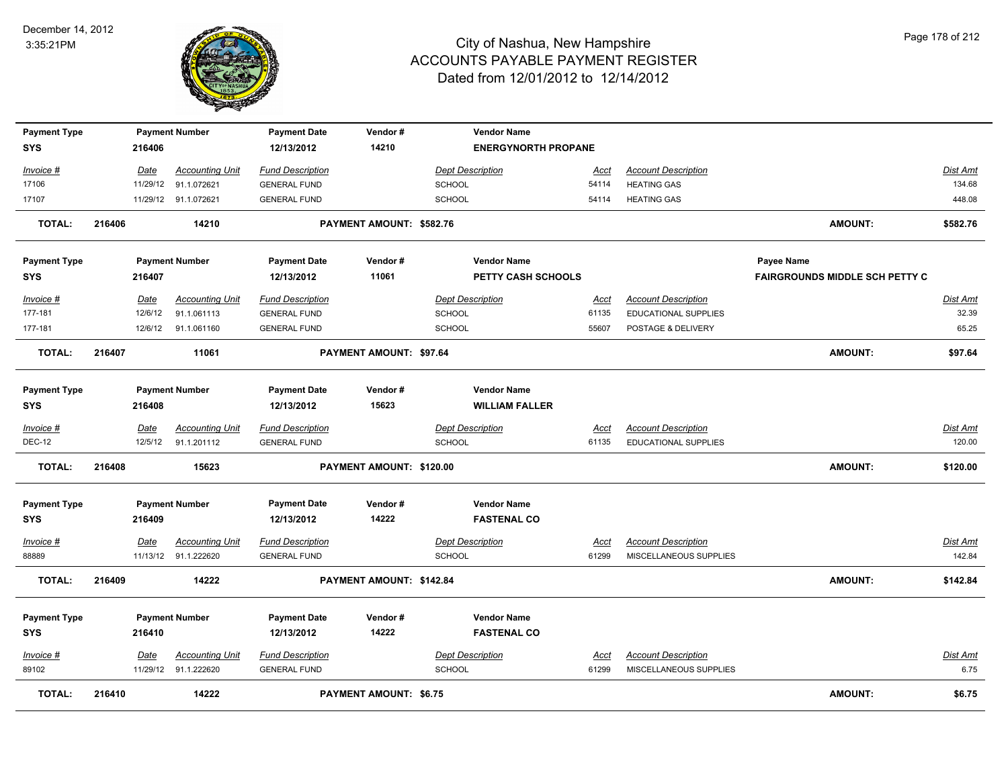

| <b>Payment Type</b><br><b>SYS</b> |        | 216406      | <b>Payment Number</b>  | <b>Payment Date</b><br>12/13/2012 | Vendor#<br>14210               | <b>Vendor Name</b><br><b>ENERGYNORTH PROPANE</b> |             |                            |                                       |          |
|-----------------------------------|--------|-------------|------------------------|-----------------------------------|--------------------------------|--------------------------------------------------|-------------|----------------------------|---------------------------------------|----------|
| Invoice #                         |        | Date        | <b>Accounting Unit</b> | <b>Fund Description</b>           |                                | <b>Dept Description</b>                          | Acct        | <b>Account Description</b> |                                       | Dist Amt |
| 17106                             |        |             | 11/29/12 91.1.072621   | <b>GENERAL FUND</b>               |                                | SCHOOL                                           | 54114       | <b>HEATING GAS</b>         |                                       | 134.68   |
| 17107                             |        |             | 11/29/12 91.1.072621   | <b>GENERAL FUND</b>               |                                | <b>SCHOOL</b>                                    | 54114       | <b>HEATING GAS</b>         |                                       | 448.08   |
| <b>TOTAL:</b>                     | 216406 |             | 14210                  |                                   | PAYMENT AMOUNT: \$582.76       |                                                  |             |                            | <b>AMOUNT:</b>                        | \$582.76 |
| <b>Payment Type</b>               |        |             | <b>Payment Number</b>  | <b>Payment Date</b>               | Vendor#                        | <b>Vendor Name</b>                               |             |                            | Payee Name                            |          |
| <b>SYS</b>                        |        | 216407      |                        | 12/13/2012                        | 11061                          | PETTY CASH SCHOOLS                               |             |                            | <b>FAIRGROUNDS MIDDLE SCH PETTY C</b> |          |
| Invoice #                         |        | Date        | <b>Accounting Unit</b> | <b>Fund Description</b>           |                                | <b>Dept Description</b>                          | Acct        | <b>Account Description</b> |                                       | Dist Amt |
| 177-181                           |        | 12/6/12     | 91.1.061113            | <b>GENERAL FUND</b>               |                                | SCHOOL                                           | 61135       | EDUCATIONAL SUPPLIES       |                                       | 32.39    |
| 177-181                           |        | 12/6/12     | 91.1.061160            | <b>GENERAL FUND</b>               |                                | <b>SCHOOL</b>                                    | 55607       | POSTAGE & DELIVERY         |                                       | 65.25    |
| <b>TOTAL:</b>                     | 216407 |             | 11061                  |                                   | <b>PAYMENT AMOUNT: \$97.64</b> |                                                  |             |                            | <b>AMOUNT:</b>                        | \$97.64  |
| <b>Payment Type</b>               |        |             | <b>Payment Number</b>  | <b>Payment Date</b>               | Vendor#                        | <b>Vendor Name</b>                               |             |                            |                                       |          |
| <b>SYS</b>                        |        | 216408      |                        | 12/13/2012                        | 15623                          | <b>WILLIAM FALLER</b>                            |             |                            |                                       |          |
| Invoice #                         |        | Date        | <b>Accounting Unit</b> | <b>Fund Description</b>           |                                | <b>Dept Description</b>                          | Acct        | <b>Account Description</b> |                                       | Dist Amt |
| <b>DEC-12</b>                     |        | 12/5/12     | 91.1.201112            | <b>GENERAL FUND</b>               |                                | <b>SCHOOL</b>                                    | 61135       | EDUCATIONAL SUPPLIES       |                                       | 120.00   |
| <b>TOTAL:</b>                     | 216408 |             | 15623                  |                                   | PAYMENT AMOUNT: \$120.00       |                                                  |             |                            | <b>AMOUNT:</b>                        | \$120.00 |
| <b>Payment Type</b>               |        |             | <b>Payment Number</b>  | <b>Payment Date</b>               | Vendor#                        | <b>Vendor Name</b>                               |             |                            |                                       |          |
| <b>SYS</b>                        |        | 216409      |                        | 12/13/2012                        | 14222                          | <b>FASTENAL CO</b>                               |             |                            |                                       |          |
| <u>Invoice #</u>                  |        | Date        | <b>Accounting Unit</b> | <b>Fund Description</b>           |                                | <b>Dept Description</b>                          | <u>Acct</u> | <b>Account Description</b> |                                       | Dist Amt |
| 88889                             |        |             | 11/13/12 91.1.222620   | <b>GENERAL FUND</b>               |                                | <b>SCHOOL</b>                                    | 61299       | MISCELLANEOUS SUPPLIES     |                                       | 142.84   |
| <b>TOTAL:</b>                     | 216409 |             | 14222                  |                                   | PAYMENT AMOUNT: \$142.84       |                                                  |             |                            | <b>AMOUNT:</b>                        | \$142.84 |
| <b>Payment Type</b>               |        |             | <b>Payment Number</b>  | <b>Payment Date</b>               | Vendor#                        | <b>Vendor Name</b>                               |             |                            |                                       |          |
| <b>SYS</b>                        |        | 216410      |                        | 12/13/2012                        | 14222                          | <b>FASTENAL CO</b>                               |             |                            |                                       |          |
| <u>Invoice #</u>                  |        | <u>Date</u> | <b>Accounting Unit</b> | <b>Fund Description</b>           |                                | <b>Dept Description</b>                          | <u>Acct</u> | <b>Account Description</b> |                                       | Dist Amt |
| 89102                             |        |             | 11/29/12 91.1.222620   | <b>GENERAL FUND</b>               |                                | <b>SCHOOL</b>                                    | 61299       | MISCELLANEOUS SUPPLIES     |                                       | 6.75     |
| <b>TOTAL:</b>                     | 216410 |             | 14222                  |                                   | <b>PAYMENT AMOUNT: \$6.75</b>  |                                                  |             |                            | <b>AMOUNT:</b>                        | \$6.75   |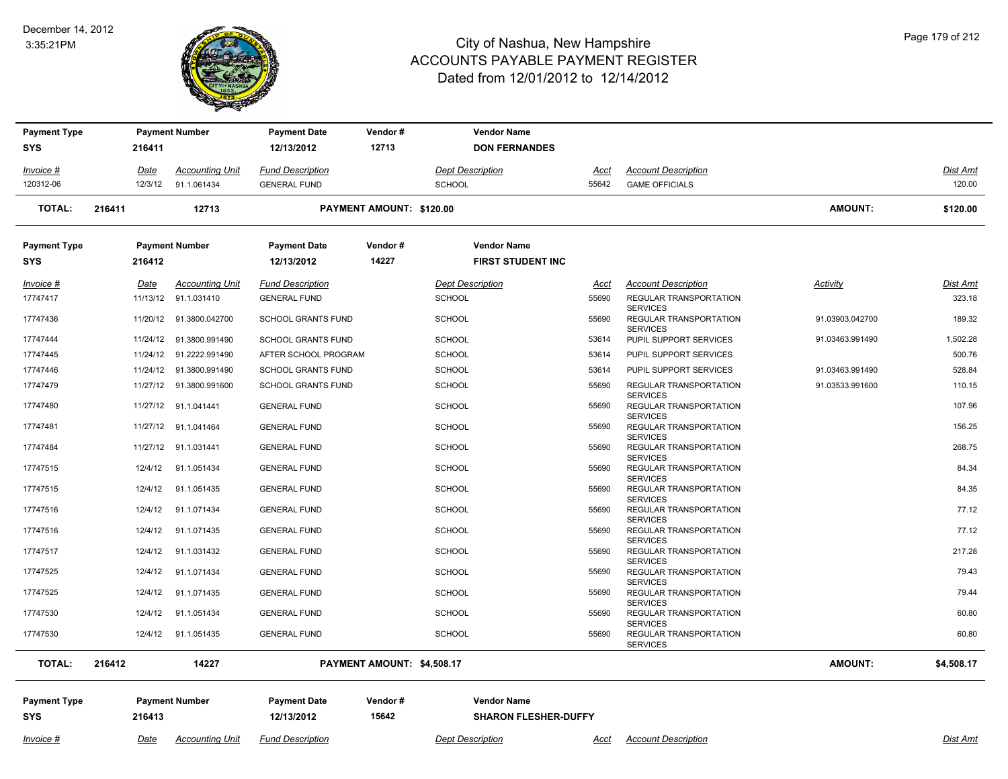#### December 14, 2012 3:35:21PM

÷,



| <b>Payment Type</b>               |        |             | <b>Payment Number</b>   | <b>Payment Date</b>               | Vendor#                    |                         | <b>Vendor Name</b>                                |             |                                                              |                 |            |
|-----------------------------------|--------|-------------|-------------------------|-----------------------------------|----------------------------|-------------------------|---------------------------------------------------|-------------|--------------------------------------------------------------|-----------------|------------|
| <b>SYS</b>                        |        | 216411      |                         | 12/13/2012                        | 12713                      |                         | <b>DON FERNANDES</b>                              |             |                                                              |                 |            |
| Invoice #                         |        | <u>Date</u> | <b>Accounting Unit</b>  | <b>Fund Description</b>           |                            | <b>Dept Description</b> |                                                   | <u>Acct</u> | <b>Account Description</b>                                   |                 | Dist Amt   |
| 120312-06                         |        | 12/3/12     | 91.1.061434             | <b>GENERAL FUND</b>               |                            | <b>SCHOOL</b>           |                                                   | 55642       | <b>GAME OFFICIALS</b>                                        |                 | 120.00     |
| <b>TOTAL:</b>                     | 216411 |             | 12713                   |                                   | PAYMENT AMOUNT: \$120.00   |                         |                                                   |             |                                                              | <b>AMOUNT:</b>  | \$120.00   |
| <b>Payment Type</b>               |        |             | <b>Payment Number</b>   | <b>Payment Date</b>               | Vendor#                    |                         | <b>Vendor Name</b>                                |             |                                                              |                 |            |
| <b>SYS</b>                        |        | 216412      |                         | 12/13/2012                        | 14227                      |                         | <b>FIRST STUDENT INC</b>                          |             |                                                              |                 |            |
| Invoice #                         |        | Date        | <b>Accounting Unit</b>  | <b>Fund Description</b>           |                            | <b>Dept Description</b> |                                                   | Acct        | <b>Account Description</b>                                   | Activity        | Dist Amt   |
| 17747417                          |        | 11/13/12    | 91.1.031410             | <b>GENERAL FUND</b>               |                            | <b>SCHOOL</b>           |                                                   | 55690       | REGULAR TRANSPORTATION<br><b>SERVICES</b>                    |                 | 323.18     |
| 17747436                          |        | 11/20/12    | 91.3800.042700          | <b>SCHOOL GRANTS FUND</b>         |                            | <b>SCHOOL</b>           |                                                   | 55690       | REGULAR TRANSPORTATION                                       | 91.03903.042700 | 189.32     |
| 17747444                          |        |             | 11/24/12 91.3800.991490 | <b>SCHOOL GRANTS FUND</b>         |                            | SCHOOL                  |                                                   | 53614       | <b>SERVICES</b><br>PUPIL SUPPORT SERVICES                    | 91.03463.991490 | 1,502.28   |
| 17747445                          |        |             | 11/24/12 91.2222.991490 | AFTER SCHOOL PROGRAM              |                            | SCHOOL                  |                                                   | 53614       | PUPIL SUPPORT SERVICES                                       |                 | 500.76     |
| 17747446                          |        |             | 11/24/12 91.3800.991490 | <b>SCHOOL GRANTS FUND</b>         |                            | <b>SCHOOL</b>           |                                                   | 53614       | PUPIL SUPPORT SERVICES                                       | 91.03463.991490 | 528.84     |
| 17747479                          |        |             | 11/27/12 91.3800.991600 | <b>SCHOOL GRANTS FUND</b>         |                            | <b>SCHOOL</b>           |                                                   | 55690       | REGULAR TRANSPORTATION                                       | 91.03533.991600 | 110.15     |
| 17747480                          |        |             | 11/27/12 91.1.041441    | <b>GENERAL FUND</b>               |                            | <b>SCHOOL</b>           |                                                   | 55690       | <b>SERVICES</b><br>REGULAR TRANSPORTATION<br><b>SERVICES</b> |                 | 107.96     |
| 17747481                          |        |             | 11/27/12 91.1.041464    | <b>GENERAL FUND</b>               |                            | <b>SCHOOL</b>           |                                                   | 55690       | REGULAR TRANSPORTATION                                       |                 | 156.25     |
| 17747484                          |        |             | 11/27/12 91.1.031441    | <b>GENERAL FUND</b>               |                            | <b>SCHOOL</b>           |                                                   | 55690       | <b>SERVICES</b><br>REGULAR TRANSPORTATION<br><b>SERVICES</b> |                 | 268.75     |
| 17747515                          |        | 12/4/12     | 91.1.051434             | <b>GENERAL FUND</b>               |                            | SCHOOL                  |                                                   | 55690       | REGULAR TRANSPORTATION                                       |                 | 84.34      |
| 17747515                          |        | 12/4/12     | 91.1.051435             | <b>GENERAL FUND</b>               |                            | <b>SCHOOL</b>           |                                                   | 55690       | <b>SERVICES</b><br>REGULAR TRANSPORTATION<br><b>SERVICES</b> |                 | 84.35      |
| 17747516                          |        | 12/4/12     | 91.1.071434             | <b>GENERAL FUND</b>               |                            | <b>SCHOOL</b>           |                                                   | 55690       | REGULAR TRANSPORTATION<br><b>SERVICES</b>                    |                 | 77.12      |
| 17747516                          |        | 12/4/12     | 91.1.071435             | <b>GENERAL FUND</b>               |                            | <b>SCHOOL</b>           |                                                   | 55690       | REGULAR TRANSPORTATION<br><b>SERVICES</b>                    |                 | 77.12      |
| 17747517                          |        | 12/4/12     | 91.1.031432             | <b>GENERAL FUND</b>               |                            | <b>SCHOOL</b>           |                                                   | 55690       | REGULAR TRANSPORTATION                                       |                 | 217.28     |
| 17747525                          |        | 12/4/12     | 91.1.071434             | <b>GENERAL FUND</b>               |                            | <b>SCHOOL</b>           |                                                   | 55690       | <b>SERVICES</b><br>REGULAR TRANSPORTATION<br><b>SERVICES</b> |                 | 79.43      |
| 17747525                          |        | 12/4/12     | 91.1.071435             | <b>GENERAL FUND</b>               |                            | <b>SCHOOL</b>           |                                                   | 55690       | REGULAR TRANSPORTATION                                       |                 | 79.44      |
| 17747530                          |        | 12/4/12     | 91.1.051434             | <b>GENERAL FUND</b>               |                            | <b>SCHOOL</b>           |                                                   | 55690       | <b>SERVICES</b><br>REGULAR TRANSPORTATION<br><b>SERVICES</b> |                 | 60.80      |
| 17747530                          |        | 12/4/12     | 91.1.051435             | <b>GENERAL FUND</b>               |                            | <b>SCHOOL</b>           |                                                   | 55690       | REGULAR TRANSPORTATION<br><b>SERVICES</b>                    |                 | 60.80      |
| <b>TOTAL:</b>                     | 216412 |             | 14227                   |                                   | PAYMENT AMOUNT: \$4,508.17 |                         |                                                   |             |                                                              | <b>AMOUNT:</b>  | \$4,508.17 |
| <b>Payment Type</b><br><b>SYS</b> |        | 216413      | <b>Payment Number</b>   | <b>Payment Date</b><br>12/13/2012 | Vendor#<br>15642           |                         | <b>Vendor Name</b><br><b>SHARON FLESHER-DUFFY</b> |             |                                                              |                 |            |
| Invoice #                         |        | Date        | <b>Accounting Unit</b>  | <b>Fund Description</b>           |                            | <b>Dept Description</b> |                                                   | Acct        | <b>Account Description</b>                                   |                 | Dist Amt   |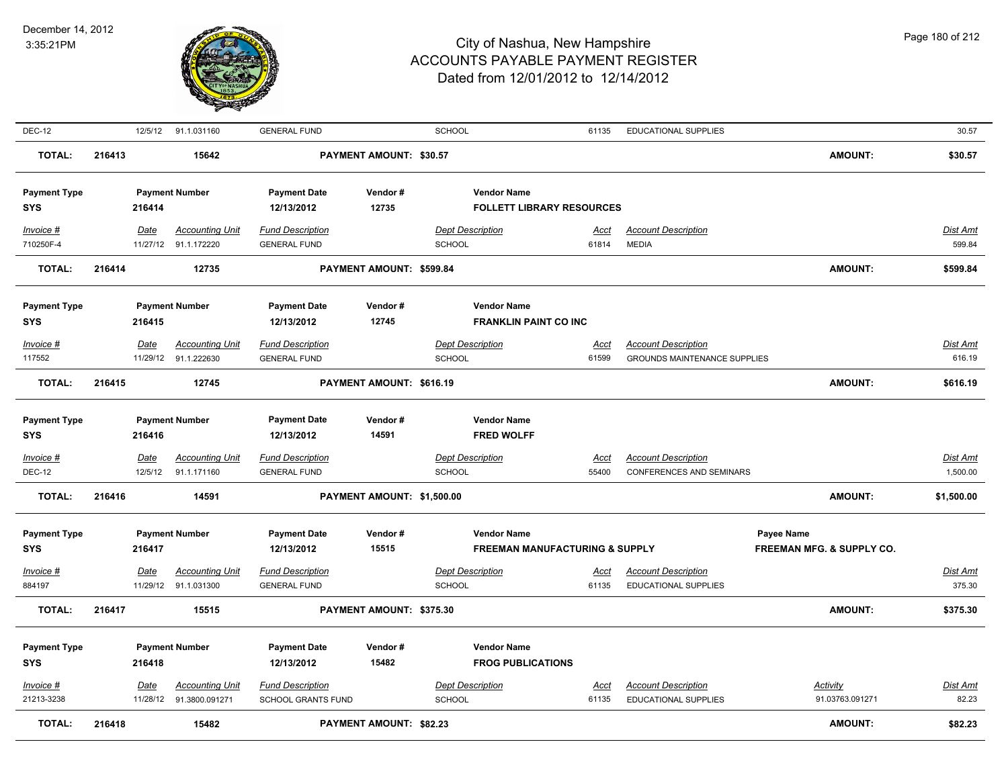

| <b>DEC-12</b>                     |        |                  | 12/5/12 91.1.031160                            | <b>GENERAL FUND</b>                            |                                | <b>SCHOOL</b>                                      | 61135                                     | EDUCATIONAL SUPPLIES                               |                                                    | 30.57              |
|-----------------------------------|--------|------------------|------------------------------------------------|------------------------------------------------|--------------------------------|----------------------------------------------------|-------------------------------------------|----------------------------------------------------|----------------------------------------------------|--------------------|
| <b>TOTAL:</b>                     | 216413 |                  | 15642                                          |                                                | <b>PAYMENT AMOUNT: \$30.57</b> |                                                    |                                           |                                                    | <b>AMOUNT:</b>                                     | \$30.57            |
| <b>Payment Type</b><br><b>SYS</b> |        | 216414           | <b>Payment Number</b>                          | <b>Payment Date</b><br>12/13/2012              | Vendor#<br>12735               | <b>Vendor Name</b>                                 | <b>FOLLETT LIBRARY RESOURCES</b>          |                                                    |                                                    |                    |
| Invoice #<br>710250F-4            |        | Date             | <b>Accounting Unit</b><br>11/27/12 91.1.172220 | <b>Fund Description</b><br><b>GENERAL FUND</b> |                                | <b>Dept Description</b><br>SCHOOL                  | Acct<br>61814                             | <b>Account Description</b><br><b>MEDIA</b>         |                                                    | Dist Amt<br>599.84 |
| <b>TOTAL:</b>                     | 216414 |                  | 12735                                          |                                                | PAYMENT AMOUNT: \$599.84       |                                                    |                                           |                                                    | <b>AMOUNT:</b>                                     | \$599.84           |
| <b>Payment Type</b><br><b>SYS</b> |        | 216415           | <b>Payment Number</b>                          | <b>Payment Date</b><br>12/13/2012              | Vendor#<br>12745               | <b>Vendor Name</b><br><b>FRANKLIN PAINT CO INC</b> |                                           |                                                    |                                                    |                    |
| Invoice #                         |        | Date             | <b>Accounting Unit</b>                         | <b>Fund Description</b>                        |                                | <b>Dept Description</b>                            | Acct                                      | <b>Account Description</b>                         |                                                    | Dist Amt           |
| 117552                            |        |                  | 11/29/12 91.1.222630                           | <b>GENERAL FUND</b>                            |                                | <b>SCHOOL</b>                                      | 61599                                     | <b>GROUNDS MAINTENANCE SUPPLIES</b>                |                                                    | 616.19             |
| <b>TOTAL:</b>                     | 216415 |                  | 12745                                          |                                                | PAYMENT AMOUNT: \$616.19       |                                                    |                                           |                                                    | <b>AMOUNT:</b>                                     | \$616.19           |
| <b>Payment Type</b><br><b>SYS</b> |        | 216416           | <b>Payment Number</b>                          | <b>Payment Date</b><br>12/13/2012              | Vendor#<br>14591               | <b>Vendor Name</b><br><b>FRED WOLFF</b>            |                                           |                                                    |                                                    |                    |
| Invoice #                         |        | <u>Date</u>      | <b>Accounting Unit</b>                         | <b>Fund Description</b>                        |                                | <b>Dept Description</b>                            | <u>Acct</u>                               | <b>Account Description</b>                         |                                                    | Dist Amt           |
| <b>DEC-12</b>                     |        | 12/5/12          | 91.1.171160                                    | <b>GENERAL FUND</b>                            |                                | SCHOOL                                             | 55400                                     | CONFERENCES AND SEMINARS                           |                                                    | 1,500.00           |
| <b>TOTAL:</b>                     | 216416 |                  | 14591                                          |                                                | PAYMENT AMOUNT: \$1,500.00     |                                                    |                                           |                                                    | <b>AMOUNT:</b>                                     | \$1,500.00         |
| <b>Payment Type</b><br><b>SYS</b> |        | 216417           | <b>Payment Number</b>                          | <b>Payment Date</b><br>12/13/2012              | Vendor#<br>15515               | <b>Vendor Name</b>                                 | <b>FREEMAN MANUFACTURING &amp; SUPPLY</b> |                                                    | Payee Name<br><b>FREEMAN MFG. &amp; SUPPLY CO.</b> |                    |
| Invoice #                         |        | Date             | <b>Accounting Unit</b>                         | <b>Fund Description</b>                        |                                | <b>Dept Description</b>                            | Acct                                      | <b>Account Description</b>                         |                                                    | <b>Dist Amt</b>    |
| 884197                            |        |                  | 11/29/12 91.1.031300                           | <b>GENERAL FUND</b>                            |                                | <b>SCHOOL</b>                                      | 61135                                     | <b>EDUCATIONAL SUPPLIES</b>                        |                                                    | 375.30             |
| <b>TOTAL:</b>                     | 216417 |                  | 15515                                          |                                                | PAYMENT AMOUNT: \$375.30       |                                                    |                                           |                                                    | <b>AMOUNT:</b>                                     | \$375.30           |
| <b>Payment Type</b><br><b>SYS</b> |        | 216418           | <b>Payment Number</b>                          | <b>Payment Date</b><br>12/13/2012              | Vendor#<br>15482               | <b>Vendor Name</b><br><b>FROG PUBLICATIONS</b>     |                                           |                                                    |                                                    |                    |
| $Invoice$ #<br>21213-3238         |        | Date<br>11/28/12 | <b>Accounting Unit</b><br>91.3800.091271       | <b>Fund Description</b><br>SCHOOL GRANTS FUND  |                                | <b>Dept Description</b><br><b>SCHOOL</b>           | <u>Acct</u><br>61135                      | <b>Account Description</b><br>EDUCATIONAL SUPPLIES | <b>Activity</b><br>91.03763.091271                 | Dist Amt<br>82.23  |
| <b>TOTAL:</b>                     | 216418 |                  | 15482                                          |                                                | <b>PAYMENT AMOUNT: \$82.23</b> |                                                    |                                           |                                                    | <b>AMOUNT:</b>                                     | \$82.23            |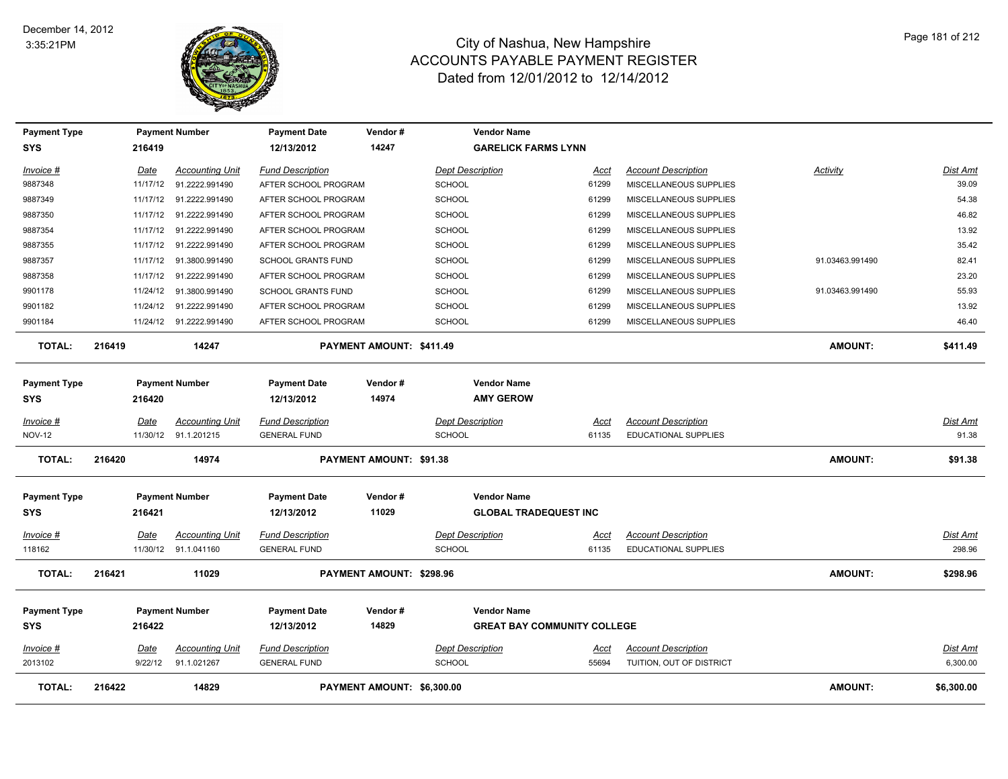

| <b>Payment Type</b> |             | <b>Payment Number</b>   | <b>Payment Date</b>       | Vendor#                        | <b>Vendor Name</b>                 |             |                             |                 |                 |
|---------------------|-------------|-------------------------|---------------------------|--------------------------------|------------------------------------|-------------|-----------------------------|-----------------|-----------------|
| <b>SYS</b>          | 216419      |                         | 12/13/2012                | 14247                          | <b>GARELICK FARMS LYNN</b>         |             |                             |                 |                 |
| Invoice #           | Date        | <b>Accounting Unit</b>  | <b>Fund Description</b>   |                                | <b>Dept Description</b>            | Acct        | <b>Account Description</b>  | <b>Activity</b> | Dist Amt        |
| 9887348             | 11/17/12    | 91.2222.991490          | AFTER SCHOOL PROGRAM      |                                | <b>SCHOOL</b>                      | 61299       | MISCELLANEOUS SUPPLIES      |                 | 39.09           |
| 9887349             | 11/17/12    | 91.2222.991490          | AFTER SCHOOL PROGRAM      |                                | <b>SCHOOL</b>                      | 61299       | MISCELLANEOUS SUPPLIES      |                 | 54.38           |
| 9887350             | 11/17/12    | 91.2222.991490          | AFTER SCHOOL PROGRAM      |                                | <b>SCHOOL</b>                      | 61299       | MISCELLANEOUS SUPPLIES      |                 | 46.82           |
| 9887354             | 11/17/12    | 91.2222.991490          | AFTER SCHOOL PROGRAM      |                                | <b>SCHOOL</b>                      | 61299       | MISCELLANEOUS SUPPLIES      |                 | 13.92           |
| 9887355             | 11/17/12    | 91.2222.991490          | AFTER SCHOOL PROGRAM      |                                | <b>SCHOOL</b>                      | 61299       | MISCELLANEOUS SUPPLIES      |                 | 35.42           |
| 9887357             | 11/17/12    | 91.3800.991490          | <b>SCHOOL GRANTS FUND</b> |                                | <b>SCHOOL</b>                      | 61299       | MISCELLANEOUS SUPPLIES      | 91.03463.991490 | 82.41           |
| 9887358             | 11/17/12    | 91.2222.991490          | AFTER SCHOOL PROGRAM      |                                | <b>SCHOOL</b>                      | 61299       | MISCELLANEOUS SUPPLIES      |                 | 23.20           |
| 9901178             | 11/24/12    | 91.3800.991490          | <b>SCHOOL GRANTS FUND</b> |                                | <b>SCHOOL</b>                      | 61299       | MISCELLANEOUS SUPPLIES      | 91.03463.991490 | 55.93           |
| 9901182             | 11/24/12    | 91.2222.991490          | AFTER SCHOOL PROGRAM      |                                | <b>SCHOOL</b>                      | 61299       | MISCELLANEOUS SUPPLIES      |                 | 13.92           |
| 9901184             |             | 11/24/12 91.2222.991490 | AFTER SCHOOL PROGRAM      |                                | <b>SCHOOL</b>                      | 61299       | MISCELLANEOUS SUPPLIES      |                 | 46.40           |
| <b>TOTAL:</b>       | 216419      | 14247                   |                           | PAYMENT AMOUNT: \$411.49       |                                    |             |                             | <b>AMOUNT:</b>  | \$411.49        |
| <b>Payment Type</b> |             | <b>Payment Number</b>   | <b>Payment Date</b>       | Vendor#                        | <b>Vendor Name</b>                 |             |                             |                 |                 |
| <b>SYS</b>          | 216420      |                         | 12/13/2012                | 14974                          | <b>AMY GEROW</b>                   |             |                             |                 |                 |
| Invoice #           | <b>Date</b> | <b>Accounting Unit</b>  | <b>Fund Description</b>   |                                | <b>Dept Description</b>            | <u>Acct</u> | <b>Account Description</b>  |                 | <u>Dist Amt</u> |
| <b>NOV-12</b>       |             | 11/30/12 91.1.201215    | <b>GENERAL FUND</b>       |                                | <b>SCHOOL</b>                      | 61135       | <b>EDUCATIONAL SUPPLIES</b> |                 | 91.38           |
| <b>TOTAL:</b>       | 216420      | 14974                   |                           | <b>PAYMENT AMOUNT: \$91.38</b> |                                    |             |                             | <b>AMOUNT:</b>  | \$91.38         |
| <b>Payment Type</b> |             | <b>Payment Number</b>   | <b>Payment Date</b>       | Vendor#                        | <b>Vendor Name</b>                 |             |                             |                 |                 |
| <b>SYS</b>          | 216421      |                         | 12/13/2012                | 11029                          | <b>GLOBAL TRADEQUEST INC</b>       |             |                             |                 |                 |
| Invoice #           | Date        | <b>Accounting Unit</b>  | <b>Fund Description</b>   |                                | <b>Dept Description</b>            | <u>Acct</u> | <b>Account Description</b>  |                 | <u>Dist Amt</u> |
| 118162              | 11/30/12    | 91.1.041160             | <b>GENERAL FUND</b>       |                                | <b>SCHOOL</b>                      | 61135       | <b>EDUCATIONAL SUPPLIES</b> |                 | 298.96          |
| <b>TOTAL:</b>       | 216421      | 11029                   |                           | PAYMENT AMOUNT: \$298.96       |                                    |             |                             | <b>AMOUNT:</b>  | \$298.96        |
| <b>Payment Type</b> |             | <b>Payment Number</b>   | <b>Payment Date</b>       | Vendor#                        | <b>Vendor Name</b>                 |             |                             |                 |                 |
| <b>SYS</b>          | 216422      |                         | 12/13/2012                | 14829                          | <b>GREAT BAY COMMUNITY COLLEGE</b> |             |                             |                 |                 |
| <u>Invoice #</u>    | <b>Date</b> | <b>Accounting Unit</b>  | <b>Fund Description</b>   |                                | <b>Dept Description</b>            | <u>Acct</u> | <b>Account Description</b>  |                 | Dist Amt        |
| 2013102             | 9/22/12     | 91.1.021267             | <b>GENERAL FUND</b>       |                                | <b>SCHOOL</b>                      | 55694       | TUITION, OUT OF DISTRICT    |                 | 6,300.00        |
| <b>TOTAL:</b>       | 216422      | 14829                   |                           | PAYMENT AMOUNT: \$6,300.00     |                                    |             |                             | <b>AMOUNT:</b>  | \$6,300.00      |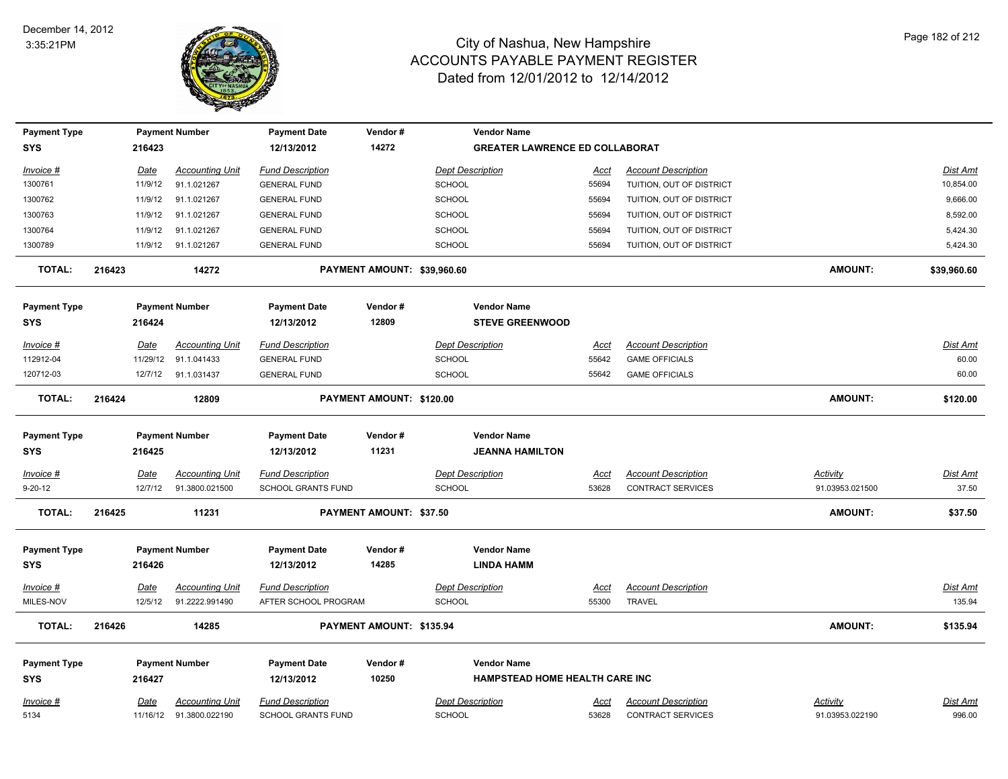

| <b>Payment Type</b>               |                 | <b>Payment Number</b>    | <b>Payment Date</b>               | Vendor#                     | <b>Vendor Name</b>                           |                      |                            |                 |                 |
|-----------------------------------|-----------------|--------------------------|-----------------------------------|-----------------------------|----------------------------------------------|----------------------|----------------------------|-----------------|-----------------|
| <b>SYS</b>                        | 216423          |                          | 12/13/2012                        | 14272                       | <b>GREATER LAWRENCE ED COLLABORAT</b>        |                      |                            |                 |                 |
| Invoice #                         | Date            | <b>Accounting Unit</b>   | <b>Fund Description</b>           |                             | <b>Dept Description</b>                      | Acct                 | <b>Account Description</b> |                 | <b>Dist Amt</b> |
| 1300761                           | 11/9/12         | 91.1.021267              | <b>GENERAL FUND</b>               |                             | <b>SCHOOL</b>                                | 55694                | TUITION, OUT OF DISTRICT   |                 | 10,854.00       |
| 1300762                           | 11/9/12         | 91.1.021267              | <b>GENERAL FUND</b>               |                             | <b>SCHOOL</b>                                | 55694                | TUITION, OUT OF DISTRICT   |                 | 9,666.00        |
| 1300763                           | 11/9/12         | 91.1.021267              | <b>GENERAL FUND</b>               |                             | <b>SCHOOL</b>                                | 55694                | TUITION, OUT OF DISTRICT   |                 | 8,592.00        |
| 1300764                           | 11/9/12         | 91.1.021267              | <b>GENERAL FUND</b>               |                             | <b>SCHOOL</b>                                | 55694                | TUITION, OUT OF DISTRICT   |                 | 5,424.30        |
| 1300789                           |                 | 11/9/12 91.1.021267      | <b>GENERAL FUND</b>               |                             | <b>SCHOOL</b>                                | 55694                | TUITION, OUT OF DISTRICT   |                 | 5,424.30        |
| <b>TOTAL:</b>                     | 216423          | 14272                    |                                   | PAYMENT AMOUNT: \$39,960.60 |                                              |                      |                            | <b>AMOUNT:</b>  | \$39,960.60     |
| <b>Payment Type</b><br><b>SYS</b> | 216424          | <b>Payment Number</b>    | <b>Payment Date</b><br>12/13/2012 | Vendor#<br>12809            | <b>Vendor Name</b><br><b>STEVE GREENWOOD</b> |                      |                            |                 |                 |
|                                   |                 |                          |                                   |                             |                                              |                      |                            |                 |                 |
| Invoice #                         | Date            | <b>Accounting Unit</b>   | <b>Fund Description</b>           |                             | <b>Dept Description</b>                      | <u>Acct</u>          | <b>Account Description</b> |                 | Dist Amt        |
| 112912-04                         | 11/29/12        | 91.1.041433              | <b>GENERAL FUND</b>               |                             | <b>SCHOOL</b>                                | 55642                | <b>GAME OFFICIALS</b>      |                 | 60.00           |
| 120712-03                         |                 | 12/7/12 91.1.031437      | <b>GENERAL FUND</b>               |                             | <b>SCHOOL</b>                                | 55642                | <b>GAME OFFICIALS</b>      |                 | 60.00           |
| <b>TOTAL:</b>                     | 216424          | 12809                    |                                   | PAYMENT AMOUNT: \$120.00    |                                              |                      |                            | <b>AMOUNT:</b>  | \$120.00        |
| <b>Payment Type</b>               |                 | <b>Payment Number</b>    | <b>Payment Date</b>               | Vendor#                     | <b>Vendor Name</b>                           |                      |                            |                 |                 |
| SYS                               | 216425          |                          | 12/13/2012                        | 11231                       | <b>JEANNA HAMILTON</b>                       |                      |                            |                 |                 |
|                                   |                 | <b>Accounting Unit</b>   | <b>Fund Description</b>           |                             | <b>Dept Description</b>                      |                      | <b>Account Description</b> | <b>Activity</b> | <b>Dist Amt</b> |
| Invoice #<br>$9 - 20 - 12$        | Date<br>12/7/12 | 91.3800.021500           | <b>SCHOOL GRANTS FUND</b>         |                             | <b>SCHOOL</b>                                | <u>Acct</u><br>53628 | <b>CONTRACT SERVICES</b>   | 91.03953.021500 | 37.50           |
|                                   |                 |                          |                                   |                             |                                              |                      |                            |                 |                 |
| <b>TOTAL:</b>                     | 216425          | 11231                    |                                   | PAYMENT AMOUNT: \$37.50     |                                              |                      |                            | <b>AMOUNT:</b>  | \$37.50         |
| <b>Payment Type</b>               |                 | <b>Payment Number</b>    | <b>Payment Date</b>               | Vendor#                     | <b>Vendor Name</b>                           |                      |                            |                 |                 |
| <b>SYS</b>                        | 216426          |                          | 12/13/2012                        | 14285                       | <b>LINDA HAMM</b>                            |                      |                            |                 |                 |
| <u>Invoice #</u>                  | <u>Date</u>     | <b>Accounting Unit</b>   | <b>Fund Description</b>           |                             | <b>Dept Description</b>                      | <u>Acct</u>          | <b>Account Description</b> |                 | <u>Dist Amt</u> |
| MILES-NOV                         | 12/5/12         | 91.2222.991490           | AFTER SCHOOL PROGRAM              |                             | <b>SCHOOL</b>                                | 55300                | <b>TRAVEL</b>              |                 | 135.94          |
| <b>TOTAL:</b>                     | 216426          | 14285                    |                                   | PAYMENT AMOUNT: \$135.94    |                                              |                      |                            | <b>AMOUNT:</b>  | \$135.94        |
| <b>Payment Type</b>               |                 | <b>Payment Number</b>    | <b>Payment Date</b>               | Vendor#                     | <b>Vendor Name</b>                           |                      |                            |                 |                 |
| <b>SYS</b>                        | 216427          |                          | 12/13/2012                        | 10250                       | HAMPSTEAD HOME HEALTH CARE INC               |                      |                            |                 |                 |
|                                   |                 |                          |                                   |                             |                                              |                      |                            |                 |                 |
| Invoice #                         | Date            | <b>Accounting Unit</b>   | <b>Fund Description</b>           |                             | <b>Dept Description</b>                      | Acct                 | <b>Account Description</b> | Activity        | Dist Amt        |
| 5134                              |                 | 11/16/12  91.3800.022190 | <b>SCHOOL GRANTS FUND</b>         |                             | <b>SCHOOL</b>                                | 53628                | <b>CONTRACT SERVICES</b>   | 91.03953.022190 | 996.00          |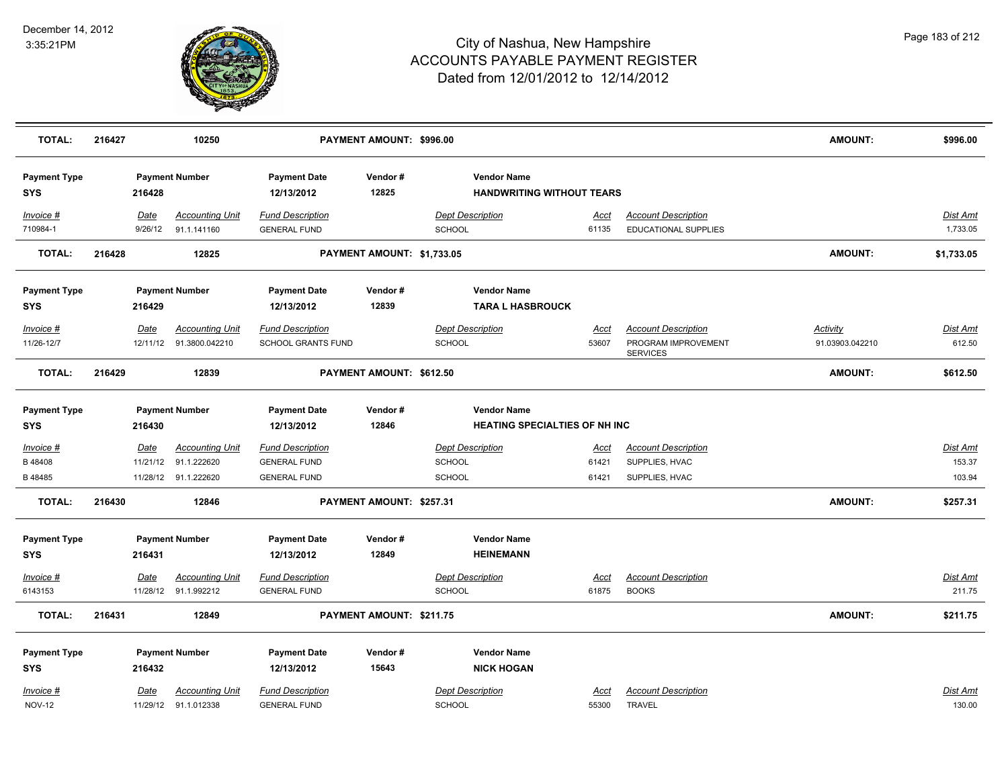

| <b>TOTAL:</b>                                  | 216427 |                  | 10250                                                         |                                                                       | PAYMENT AMOUNT: \$996.00   |                                                                    |                        |                                                                      | <b>AMOUNT:</b>              | \$996.00                     |
|------------------------------------------------|--------|------------------|---------------------------------------------------------------|-----------------------------------------------------------------------|----------------------------|--------------------------------------------------------------------|------------------------|----------------------------------------------------------------------|-----------------------------|------------------------------|
| <b>Payment Type</b><br><b>SYS</b>              |        | 216428           | <b>Payment Number</b>                                         | <b>Payment Date</b><br>12/13/2012                                     | Vendor#<br>12825           | <b>Vendor Name</b><br><b>HANDWRITING WITHOUT TEARS</b>             |                        |                                                                      |                             |                              |
| Invoice #<br>710984-1                          |        | Date<br>9/26/12  | <b>Accounting Unit</b><br>91.1.141160                         | <b>Fund Description</b><br><b>GENERAL FUND</b>                        |                            | <b>Dept Description</b><br><b>SCHOOL</b>                           | Acct<br>61135          | <b>Account Description</b><br>EDUCATIONAL SUPPLIES                   |                             | Dist Amt<br>1,733.05         |
| <b>TOTAL:</b>                                  | 216428 |                  | 12825                                                         |                                                                       | PAYMENT AMOUNT: \$1,733.05 |                                                                    |                        |                                                                      | <b>AMOUNT:</b>              | \$1,733.05                   |
| <b>Payment Type</b><br><b>SYS</b>              |        | 216429           | <b>Payment Number</b>                                         | <b>Payment Date</b><br>12/13/2012                                     | Vendor#<br>12839           | <b>Vendor Name</b><br><b>TARA L HASBROUCK</b>                      |                        |                                                                      |                             |                              |
| Invoice #<br>11/26-12/7                        |        | Date<br>12/11/12 | <b>Accounting Unit</b><br>91.3800.042210                      | <b>Fund Description</b><br>SCHOOL GRANTS FUND                         |                            | <b>Dept Description</b><br><b>SCHOOL</b>                           | Acct<br>53607          | <b>Account Description</b><br>PROGRAM IMPROVEMENT<br><b>SERVICES</b> | Activity<br>91.03903.042210 | Dist Amt<br>612.50           |
| <b>TOTAL:</b>                                  | 216429 |                  | 12839                                                         |                                                                       | PAYMENT AMOUNT: \$612.50   |                                                                    |                        |                                                                      | <b>AMOUNT:</b>              | \$612.50                     |
| <b>Payment Type</b><br><b>SYS</b>              |        | 216430           | <b>Payment Number</b>                                         | <b>Payment Date</b><br>12/13/2012                                     | Vendor#<br>12846           | <b>Vendor Name</b><br><b>HEATING SPECIALTIES OF NH INC</b>         |                        |                                                                      |                             |                              |
| Invoice #<br>B 48408<br>B 48485                |        | Date<br>11/21/12 | <b>Accounting Unit</b><br>91.1.222620<br>11/28/12 91.1.222620 | <b>Fund Description</b><br><b>GENERAL FUND</b><br><b>GENERAL FUND</b> |                            | <b>Dept Description</b><br><b>SCHOOL</b><br><b>SCHOOL</b>          | Acct<br>61421<br>61421 | <b>Account Description</b><br>SUPPLIES, HVAC<br>SUPPLIES, HVAC       |                             | Dist Amt<br>153.37<br>103.94 |
| <b>TOTAL:</b>                                  | 216430 |                  | 12846                                                         |                                                                       | PAYMENT AMOUNT: \$257.31   |                                                                    |                        |                                                                      | <b>AMOUNT:</b>              | \$257.31                     |
| <b>Payment Type</b><br><b>SYS</b>              |        | 216431           | <b>Payment Number</b>                                         | <b>Payment Date</b><br>12/13/2012                                     | Vendor#<br>12849           | <b>Vendor Name</b><br><b>HEINEMANN</b>                             |                        |                                                                      |                             |                              |
| Invoice #<br>6143153                           |        | Date             | <b>Accounting Unit</b><br>11/28/12 91.1.992212                | <b>Fund Description</b><br><b>GENERAL FUND</b>                        |                            | <b>Dept Description</b><br><b>SCHOOL</b>                           | <u>Acct</u><br>61875   | <b>Account Description</b><br><b>BOOKS</b>                           |                             | <b>Dist Amt</b><br>211.75    |
| <b>TOTAL:</b>                                  | 216431 |                  | 12849                                                         |                                                                       | PAYMENT AMOUNT: \$211.75   |                                                                    |                        |                                                                      | AMOUNT:                     | \$211.75                     |
| <b>Payment Type</b><br><b>SYS</b><br>Invoice # |        | 216432<br>Date   | <b>Payment Number</b><br><b>Accounting Unit</b>               | <b>Payment Date</b><br>12/13/2012<br><b>Fund Description</b>          | Vendor#<br>15643           | <b>Vendor Name</b><br><b>NICK HOGAN</b><br><b>Dept Description</b> | Acct                   | <b>Account Description</b>                                           |                             | Dist Amt                     |
| <b>NOV-12</b>                                  |        |                  | 11/29/12 91.1.012338                                          | <b>GENERAL FUND</b>                                                   |                            | <b>SCHOOL</b>                                                      | 55300                  | <b>TRAVEL</b>                                                        |                             | 130.00                       |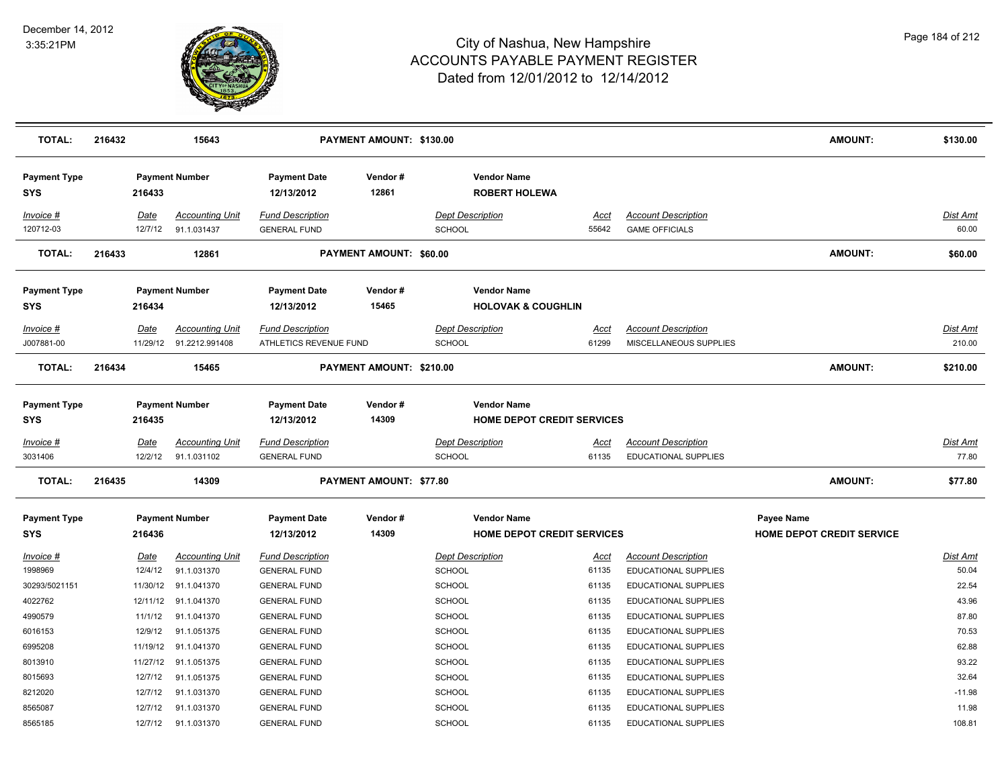

| <b>TOTAL:</b>                     | 216432                 | 15643                                 |                                                | PAYMENT AMOUNT: \$130.00 |                                                     |                      |                                                    | <b>AMOUNT:</b>                   | \$130.00                 |
|-----------------------------------|------------------------|---------------------------------------|------------------------------------------------|--------------------------|-----------------------------------------------------|----------------------|----------------------------------------------------|----------------------------------|--------------------------|
| <b>Payment Type</b><br><b>SYS</b> | 216433                 | <b>Payment Number</b>                 | <b>Payment Date</b><br>12/13/2012              | Vendor#<br>12861         | <b>Vendor Name</b><br><b>ROBERT HOLEWA</b>          |                      |                                                    |                                  |                          |
| Invoice #                         | Date                   | <b>Accounting Unit</b>                | <b>Fund Description</b>                        |                          | <b>Dept Description</b>                             | Acct                 | <b>Account Description</b>                         |                                  | Dist Amt                 |
| 120712-03                         | 12/7/12                | 91.1.031437                           | <b>GENERAL FUND</b>                            |                          | <b>SCHOOL</b>                                       | 55642                | <b>GAME OFFICIALS</b>                              |                                  | 60.00                    |
| <b>TOTAL:</b>                     | 216433                 | 12861                                 |                                                | PAYMENT AMOUNT: \$60.00  |                                                     |                      |                                                    | <b>AMOUNT:</b>                   | \$60.00                  |
| <b>Payment Type</b><br>SYS        | 216434                 | <b>Payment Number</b>                 | <b>Payment Date</b><br>12/13/2012              | Vendor#<br>15465         | <b>Vendor Name</b><br><b>HOLOVAK &amp; COUGHLIN</b> |                      |                                                    |                                  |                          |
| Invoice #                         | Date                   | <b>Accounting Unit</b>                | <b>Fund Description</b>                        |                          | <b>Dept Description</b>                             | <u>Acct</u>          | <b>Account Description</b>                         |                                  | Dist Amt                 |
| J007881-00                        |                        | 11/29/12 91.2212.991408               | ATHLETICS REVENUE FUND                         |                          | <b>SCHOOL</b>                                       | 61299                | MISCELLANEOUS SUPPLIES                             |                                  | 210.00                   |
| <b>TOTAL:</b>                     | 216434                 | 15465                                 |                                                | PAYMENT AMOUNT: \$210.00 |                                                     |                      |                                                    | <b>AMOUNT:</b>                   | \$210.00                 |
| <b>Payment Type</b><br>SYS        | 216435                 | <b>Payment Number</b>                 | <b>Payment Date</b><br>12/13/2012              | Vendor#<br>14309         | <b>Vendor Name</b><br>HOME DEPOT CREDIT SERVICES    |                      |                                                    |                                  |                          |
| <u> Invoice #</u><br>3031406      | <u>Date</u><br>12/2/12 | <b>Accounting Unit</b><br>91.1.031102 | <b>Fund Description</b><br><b>GENERAL FUND</b> |                          | <b>Dept Description</b><br>SCHOOL                   | <u>Acct</u><br>61135 | <b>Account Description</b><br>EDUCATIONAL SUPPLIES |                                  | <b>Dist Amt</b><br>77.80 |
| <b>TOTAL:</b>                     | 216435                 | 14309                                 |                                                | PAYMENT AMOUNT: \$77.80  |                                                     |                      |                                                    | <b>AMOUNT:</b>                   | \$77.80                  |
| <b>Payment Type</b>               |                        | <b>Payment Number</b>                 | <b>Payment Date</b>                            | Vendor#                  | <b>Vendor Name</b>                                  |                      |                                                    | Payee Name                       |                          |
| SYS                               | 216436                 |                                       | 12/13/2012                                     | 14309                    | <b>HOME DEPOT CREDIT SERVICES</b>                   |                      |                                                    | <b>HOME DEPOT CREDIT SERVICE</b> |                          |
| <u>Invoice #</u>                  | <u>Date</u>            | <b>Accounting Unit</b>                | <b>Fund Description</b>                        |                          | <b>Dept Description</b>                             | <u>Acct</u>          | <b>Account Description</b>                         |                                  | Dist Amt                 |
| 1998969                           | 12/4/12                | 91.1.031370                           | <b>GENERAL FUND</b>                            |                          | SCHOOL                                              | 61135                | <b>EDUCATIONAL SUPPLIES</b>                        |                                  | 50.04                    |
| 30293/5021151                     |                        | 11/30/12 91.1.041370                  | <b>GENERAL FUND</b>                            |                          | <b>SCHOOL</b>                                       | 61135                | EDUCATIONAL SUPPLIES                               |                                  | 22.54                    |
| 4022762                           |                        | 12/11/12 91.1.041370                  | <b>GENERAL FUND</b>                            |                          | <b>SCHOOL</b>                                       | 61135                | EDUCATIONAL SUPPLIES                               |                                  | 43.96                    |
| 4990579                           | 11/1/12                | 91.1.041370                           | <b>GENERAL FUND</b>                            |                          | SCHOOL                                              | 61135                | EDUCATIONAL SUPPLIES                               |                                  | 87.80                    |
| 6016153                           | 12/9/12                | 91.1.051375                           | <b>GENERAL FUND</b>                            |                          | <b>SCHOOL</b>                                       | 61135                | EDUCATIONAL SUPPLIES                               |                                  | 70.53                    |
| 6995208                           | 11/19/12               | 91.1.041370                           | <b>GENERAL FUND</b>                            |                          | <b>SCHOOL</b>                                       | 61135                | EDUCATIONAL SUPPLIES                               |                                  | 62.88                    |
| 8013910                           |                        | 11/27/12 91.1.051375                  | <b>GENERAL FUND</b>                            |                          | <b>SCHOOL</b>                                       | 61135                | EDUCATIONAL SUPPLIES                               |                                  | 93.22                    |
| 8015693                           | 12/7/12                | 91.1.051375                           | <b>GENERAL FUND</b>                            |                          | SCHOOL                                              | 61135                | EDUCATIONAL SUPPLIES                               |                                  | 32.64                    |
| 8212020                           | 12/7/12                | 91.1.031370                           | <b>GENERAL FUND</b>                            |                          | <b>SCHOOL</b>                                       | 61135                | EDUCATIONAL SUPPLIES                               |                                  | $-11.98$                 |
| 8565087                           | 12/7/12                | 91.1.031370                           | <b>GENERAL FUND</b>                            |                          | SCHOOL                                              | 61135                | EDUCATIONAL SUPPLIES                               |                                  | 11.98                    |
| 8565185                           |                        | 12/7/12 91.1.031370                   | <b>GENERAL FUND</b>                            |                          | SCHOOL                                              | 61135                | EDUCATIONAL SUPPLIES                               |                                  | 108.81                   |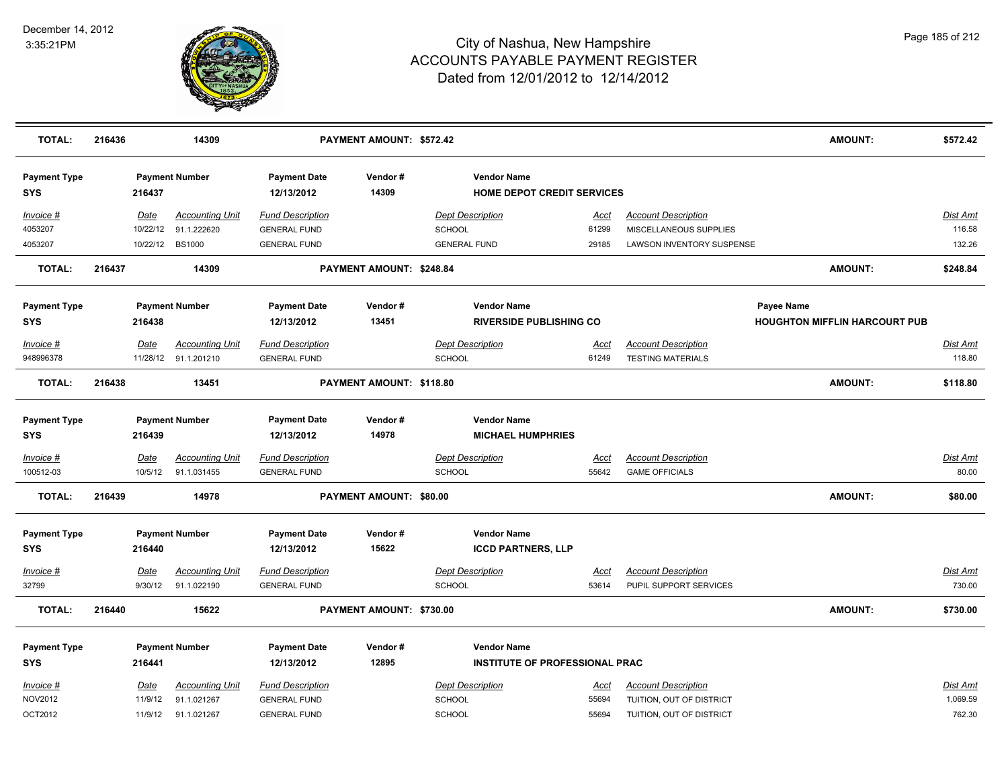

| <b>TOTAL:</b>                     | 216436 |                    | 14309                      |                                            | PAYMENT AMOUNT: \$572.42 |                                |                                                         |                |                                                      | <b>AMOUNT:</b>                       | \$572.42           |
|-----------------------------------|--------|--------------------|----------------------------|--------------------------------------------|--------------------------|--------------------------------|---------------------------------------------------------|----------------|------------------------------------------------------|--------------------------------------|--------------------|
| <b>Payment Type</b><br><b>SYS</b> |        | 216437             | <b>Payment Number</b>      | <b>Payment Date</b><br>12/13/2012          | Vendor#<br>14309         |                                | <b>Vendor Name</b><br><b>HOME DEPOT CREDIT SERVICES</b> |                |                                                      |                                      |                    |
| <u>Invoice #</u>                  |        | <u>Date</u>        | <b>Accounting Unit</b>     | <b>Fund Description</b>                    |                          | <b>Dept Description</b>        |                                                         | <u>Acct</u>    | <b>Account Description</b>                           |                                      | Dist Amt           |
| 4053207                           |        | 10/22/12           | 91.1.222620                | <b>GENERAL FUND</b>                        |                          | <b>SCHOOL</b>                  |                                                         | 61299          | MISCELLANEOUS SUPPLIES                               |                                      | 116.58             |
| 4053207                           |        | 10/22/12           | <b>BS1000</b>              | <b>GENERAL FUND</b>                        |                          | <b>GENERAL FUND</b>            |                                                         | 29185          | <b>LAWSON INVENTORY SUSPENSE</b>                     |                                      | 132.26             |
| <b>TOTAL:</b>                     | 216437 |                    | 14309                      |                                            | PAYMENT AMOUNT: \$248.84 |                                |                                                         |                |                                                      | <b>AMOUNT:</b>                       | \$248.84           |
| <b>Payment Type</b>               |        |                    | <b>Payment Number</b>      | <b>Payment Date</b>                        | Vendor#                  |                                | <b>Vendor Name</b>                                      |                |                                                      | Payee Name                           |                    |
| <b>SYS</b>                        |        | 216438             |                            | 12/13/2012                                 | 13451                    |                                | <b>RIVERSIDE PUBLISHING CO</b>                          |                |                                                      | <b>HOUGHTON MIFFLIN HARCOURT PUB</b> |                    |
| Invoice #                         |        | Date               | <b>Accounting Unit</b>     | <b>Fund Description</b>                    |                          | <b>Dept Description</b>        |                                                         | Acct           | <b>Account Description</b>                           |                                      | Dist Amt           |
| 948996378                         |        |                    | 11/28/12 91.1.201210       | <b>GENERAL FUND</b>                        |                          | <b>SCHOOL</b>                  |                                                         | 61249          | <b>TESTING MATERIALS</b>                             |                                      | 118.80             |
| <b>TOTAL:</b>                     | 216438 |                    | 13451                      |                                            | PAYMENT AMOUNT: \$118.80 |                                |                                                         |                |                                                      | <b>AMOUNT:</b>                       | \$118.80           |
| <b>Payment Type</b><br><b>SYS</b> |        | 216439             | <b>Payment Number</b>      | <b>Payment Date</b><br>12/13/2012          | Vendor#<br>14978         |                                | <b>Vendor Name</b><br><b>MICHAEL HUMPHRIES</b>          |                |                                                      |                                      |                    |
| <u>Invoice #</u>                  |        | <u>Date</u>        | <b>Accounting Unit</b>     | <b>Fund Description</b>                    |                          | <b>Dept Description</b>        |                                                         | <u>Acct</u>    | <b>Account Description</b>                           |                                      | <b>Dist Amt</b>    |
| 100512-03                         |        | 10/5/12            | 91.1.031455                | <b>GENERAL FUND</b>                        |                          | SCHOOL                         |                                                         | 55642          | <b>GAME OFFICIALS</b>                                |                                      | 80.00              |
| <b>TOTAL:</b>                     | 216439 |                    | 14978                      |                                            | PAYMENT AMOUNT: \$80.00  |                                |                                                         |                |                                                      | <b>AMOUNT:</b>                       | \$80.00            |
| <b>Payment Type</b><br><b>SYS</b> |        | 216440             | <b>Payment Number</b>      | <b>Payment Date</b><br>12/13/2012          | Vendor#<br>15622         |                                | <b>Vendor Name</b><br><b>ICCD PARTNERS, LLP</b>         |                |                                                      |                                      |                    |
| Invoice #                         |        | Date               | <b>Accounting Unit</b>     | <b>Fund Description</b>                    |                          | <b>Dept Description</b>        |                                                         | Acct           | <b>Account Description</b>                           |                                      | Dist Amt           |
| 32799                             |        | 9/30/12            | 91.1.022190                | <b>GENERAL FUND</b>                        |                          | <b>SCHOOL</b>                  |                                                         | 53614          | PUPIL SUPPORT SERVICES                               |                                      | 730.00             |
| <b>TOTAL:</b>                     | 216440 |                    | 15622                      |                                            | PAYMENT AMOUNT: \$730.00 |                                |                                                         |                |                                                      | <b>AMOUNT:</b>                       | \$730.00           |
| <b>Payment Type</b>               |        |                    | <b>Payment Number</b>      | <b>Payment Date</b>                        | Vendor#                  |                                | <b>Vendor Name</b>                                      |                |                                                      |                                      |                    |
| SYS                               |        | 216441             |                            | 12/13/2012                                 | 12895                    |                                | INSTITUTE OF PROFESSIONAL PRAC                          |                |                                                      |                                      |                    |
| Invoice #                         |        | Date               | <b>Accounting Unit</b>     | <b>Fund Description</b>                    |                          | <b>Dept Description</b>        |                                                         | Acct           | <b>Account Description</b>                           |                                      | Dist Amt           |
| NOV2012<br>OCT2012                |        | 11/9/12<br>11/9/12 | 91.1.021267<br>91.1.021267 | <b>GENERAL FUND</b><br><b>GENERAL FUND</b> |                          | <b>SCHOOL</b><br><b>SCHOOL</b> |                                                         | 55694<br>55694 | TUITION, OUT OF DISTRICT<br>TUITION, OUT OF DISTRICT |                                      | 1,069.59<br>762.30 |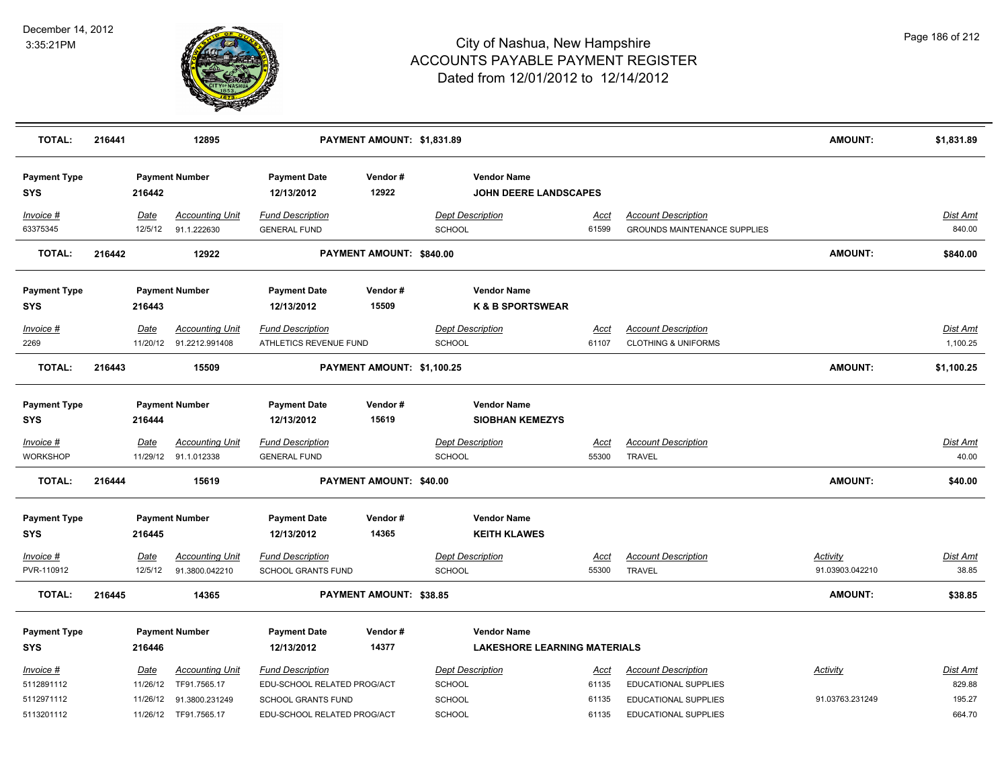

| <b>TOTAL:</b>                     | 216441 |             | 12895                                             |                                                   | PAYMENT AMOUNT: \$1,831.89 |               |                                              |                      |                                                              | AMOUNT:         | \$1,831.89                  |
|-----------------------------------|--------|-------------|---------------------------------------------------|---------------------------------------------------|----------------------------|---------------|----------------------------------------------|----------------------|--------------------------------------------------------------|-----------------|-----------------------------|
| <b>Payment Type</b><br><b>SYS</b> |        | 216442      | <b>Payment Number</b>                             | <b>Payment Date</b><br>12/13/2012                 | Vendor#<br>12922           |               | <b>Vendor Name</b><br>JOHN DEERE LANDSCAPES  |                      |                                                              |                 |                             |
| Invoice #                         |        | Date        | <b>Accounting Unit</b>                            | <b>Fund Description</b>                           |                            |               | <b>Dept Description</b>                      | <u>Acct</u>          | <b>Account Description</b>                                   |                 | <b>Dist Amt</b>             |
| 63375345                          |        | 12/5/12     | 91.1.222630                                       | <b>GENERAL FUND</b>                               |                            | <b>SCHOOL</b> |                                              | 61599                | <b>GROUNDS MAINTENANCE SUPPLIES</b>                          |                 | 840.00                      |
| <b>TOTAL:</b>                     | 216442 |             | 12922                                             |                                                   | PAYMENT AMOUNT: \$840.00   |               |                                              |                      |                                                              | <b>AMOUNT:</b>  | \$840.00                    |
| <b>Payment Type</b>               |        |             | <b>Payment Number</b>                             | <b>Payment Date</b>                               | Vendor#                    |               | <b>Vendor Name</b>                           |                      |                                                              |                 |                             |
| <b>SYS</b>                        |        | 216443      |                                                   | 12/13/2012                                        | 15509                      |               | <b>K &amp; B SPORTSWEAR</b>                  |                      |                                                              |                 |                             |
| <u>Invoice #</u><br>2269          |        | <u>Date</u> | <b>Accounting Unit</b><br>11/20/12 91.2212.991408 | <b>Fund Description</b><br>ATHLETICS REVENUE FUND |                            | SCHOOL        | <b>Dept Description</b>                      | <u>Acct</u><br>61107 | <b>Account Description</b><br><b>CLOTHING &amp; UNIFORMS</b> |                 | <b>Dist Amt</b><br>1,100.25 |
| <b>TOTAL:</b>                     | 216443 |             | 15509                                             |                                                   | PAYMENT AMOUNT: \$1,100.25 |               |                                              |                      |                                                              | AMOUNT:         | \$1,100.25                  |
| <b>Payment Type</b><br><b>SYS</b> |        | 216444      | <b>Payment Number</b>                             | <b>Payment Date</b><br>12/13/2012                 | Vendor#<br>15619           |               | <b>Vendor Name</b><br><b>SIOBHAN KEMEZYS</b> |                      |                                                              |                 |                             |
| <u>Invoice #</u>                  |        | <b>Date</b> | <b>Accounting Unit</b>                            | <b>Fund Description</b>                           |                            |               | <b>Dept Description</b>                      | <u>Acct</u>          | <b>Account Description</b>                                   |                 | <b>Dist Amt</b>             |
| <b>WORKSHOP</b>                   |        |             | 11/29/12 91.1.012338                              | <b>GENERAL FUND</b>                               |                            | SCHOOL        |                                              | 55300                | <b>TRAVEL</b>                                                |                 | 40.00                       |
| <b>TOTAL:</b>                     | 216444 |             | 15619                                             |                                                   | PAYMENT AMOUNT: \$40.00    |               |                                              |                      |                                                              | AMOUNT:         | \$40.00                     |
| <b>Payment Type</b><br><b>SYS</b> |        | 216445      | <b>Payment Number</b>                             | <b>Payment Date</b><br>12/13/2012                 | Vendor#<br>14365           |               | <b>Vendor Name</b><br><b>KEITH KLAWES</b>    |                      |                                                              |                 |                             |
| <u>Invoice #</u>                  |        | <u>Date</u> | Accounting Unit                                   | <b>Fund Description</b>                           |                            |               | <b>Dept Description</b>                      | Acct                 | <b>Account Description</b>                                   | <b>Activity</b> | Dist Amt                    |
| PVR-110912                        |        | 12/5/12     | 91.3800.042210                                    | SCHOOL GRANTS FUND                                |                            | SCHOOL        |                                              | 55300                | <b>TRAVEL</b>                                                | 91.03903.042210 | 38.85                       |
| <b>TOTAL:</b>                     | 216445 |             | 14365                                             |                                                   | PAYMENT AMOUNT: \$38.85    |               |                                              |                      |                                                              | <b>AMOUNT:</b>  | \$38.85                     |
| <b>Payment Type</b>               |        |             | <b>Payment Number</b>                             | <b>Payment Date</b>                               | Vendor#                    |               | <b>Vendor Name</b>                           |                      |                                                              |                 |                             |
| <b>SYS</b>                        |        | 216446      |                                                   | 12/13/2012                                        | 14377                      |               | <b>LAKESHORE LEARNING MATERIALS</b>          |                      |                                                              |                 |                             |
| Invoice #                         |        | <u>Date</u> | <b>Accounting Unit</b>                            | <b>Fund Description</b>                           |                            |               | <b>Dept Description</b>                      | <u>Acct</u>          | <b>Account Description</b>                                   | Activity        | <b>Dist Amt</b>             |
| 5112891112                        |        | 11/26/12    | TF91.7565.17                                      | EDU-SCHOOL RELATED PROG/ACT                       |                            | <b>SCHOOL</b> |                                              | 61135                | <b>EDUCATIONAL SUPPLIES</b>                                  |                 | 829.88                      |
| 5112971112                        |        |             | 11/26/12 91.3800.231249                           | <b>SCHOOL GRANTS FUND</b>                         |                            | SCHOOL        |                                              | 61135                | EDUCATIONAL SUPPLIES                                         | 91.03763.231249 | 195.27                      |
| 5113201112                        |        |             | 11/26/12 TF91.7565.17                             | EDU-SCHOOL RELATED PROG/ACT                       |                            | SCHOOL        |                                              | 61135                | EDUCATIONAL SUPPLIES                                         |                 | 664.70                      |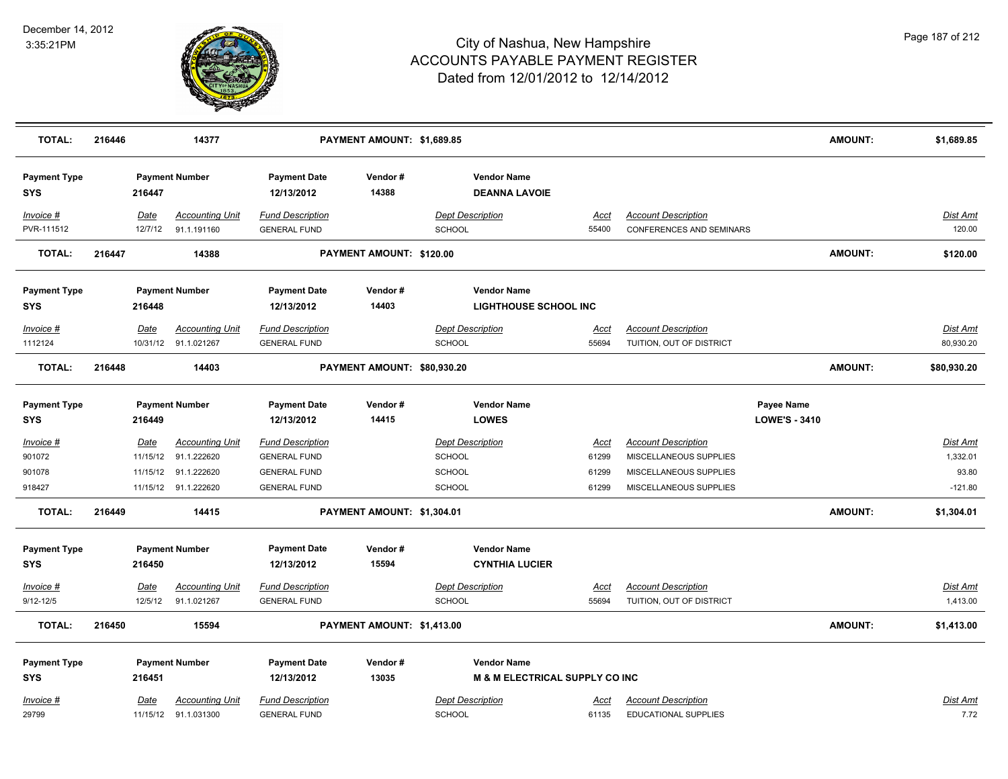

| <b>TOTAL:</b>                     | 216446 |                  | 14377                                 |                                                | PAYMENT AMOUNT: \$1,689.85  |                                          |                                            |                      |                                                               |                                    | <b>AMOUNT:</b> | \$1,689.85                  |
|-----------------------------------|--------|------------------|---------------------------------------|------------------------------------------------|-----------------------------|------------------------------------------|--------------------------------------------|----------------------|---------------------------------------------------------------|------------------------------------|----------------|-----------------------------|
| <b>Payment Type</b><br>SYS        |        | 216447           | <b>Payment Number</b>                 | <b>Payment Date</b><br>12/13/2012              | Vendor#<br>14388            |                                          | <b>Vendor Name</b><br><b>DEANNA LAVOIE</b> |                      |                                                               |                                    |                |                             |
| Invoice #<br>PVR-111512           |        | Date<br>12/7/12  | <b>Accounting Unit</b><br>91.1.191160 | <b>Fund Description</b><br><b>GENERAL FUND</b> |                             | <b>Dept Description</b><br><b>SCHOOL</b> |                                            | Acct<br>55400        | <b>Account Description</b><br><b>CONFERENCES AND SEMINARS</b> |                                    |                | Dist Amt<br>120.00          |
| <b>TOTAL:</b>                     | 216447 |                  | 14388                                 |                                                | PAYMENT AMOUNT: \$120.00    |                                          |                                            |                      |                                                               |                                    | <b>AMOUNT:</b> | \$120.00                    |
| <b>Payment Type</b>               |        |                  | <b>Payment Number</b>                 | <b>Payment Date</b>                            | Vendor#                     |                                          | <b>Vendor Name</b>                         |                      |                                                               |                                    |                |                             |
| <b>SYS</b>                        |        | 216448           |                                       | 12/13/2012                                     | 14403                       |                                          | <b>LIGHTHOUSE SCHOOL INC</b>               |                      |                                                               |                                    |                |                             |
| Invoice #                         |        | Date             | <b>Accounting Unit</b>                | <b>Fund Description</b>                        |                             | <b>Dept Description</b>                  |                                            | Acct                 | <b>Account Description</b>                                    |                                    |                | Dist Amt                    |
| 1112124                           |        |                  | 10/31/12 91.1.021267                  | <b>GENERAL FUND</b>                            |                             | <b>SCHOOL</b>                            |                                            | 55694                | TUITION, OUT OF DISTRICT                                      |                                    |                | 80,930.20                   |
| <b>TOTAL:</b>                     | 216448 |                  | 14403                                 |                                                | PAYMENT AMOUNT: \$80,930.20 |                                          |                                            |                      |                                                               |                                    | <b>AMOUNT:</b> | \$80,930.20                 |
| <b>Payment Type</b><br><b>SYS</b> |        | 216449           | <b>Payment Number</b>                 | <b>Payment Date</b><br>12/13/2012              | Vendor#<br>14415            |                                          | <b>Vendor Name</b><br><b>LOWES</b>         |                      |                                                               | Payee Name<br><b>LOWE'S - 3410</b> |                |                             |
|                                   |        |                  |                                       |                                                |                             |                                          |                                            |                      |                                                               |                                    |                |                             |
| Invoice #<br>901072               |        | Date<br>11/15/12 | <b>Accounting Unit</b><br>91.1.222620 | <b>Fund Description</b><br><b>GENERAL FUND</b> |                             | <b>Dept Description</b><br><b>SCHOOL</b> |                                            | <u>Acct</u><br>61299 | <b>Account Description</b><br>MISCELLANEOUS SUPPLIES          |                                    |                | <b>Dist Amt</b><br>1,332.01 |
| 901078                            |        | 11/15/12         | 91.1.222620                           | <b>GENERAL FUND</b>                            |                             | <b>SCHOOL</b>                            |                                            | 61299                | MISCELLANEOUS SUPPLIES                                        |                                    |                | 93.80                       |
| 918427                            |        |                  | 11/15/12 91.1.222620                  | <b>GENERAL FUND</b>                            |                             | SCHOOL                                   |                                            | 61299                | MISCELLANEOUS SUPPLIES                                        |                                    |                | $-121.80$                   |
| <b>TOTAL:</b>                     | 216449 |                  | 14415                                 |                                                | PAYMENT AMOUNT: \$1,304.01  |                                          |                                            |                      |                                                               |                                    | <b>AMOUNT:</b> | \$1,304.01                  |
| <b>Payment Type</b>               |        |                  | <b>Payment Number</b>                 | <b>Payment Date</b>                            | Vendor#                     |                                          | <b>Vendor Name</b>                         |                      |                                                               |                                    |                |                             |
| <b>SYS</b>                        |        | 216450           |                                       | 12/13/2012                                     | 15594                       |                                          | <b>CYNTHIA LUCIER</b>                      |                      |                                                               |                                    |                |                             |
| Invoice #                         |        | Date             | <b>Accounting Unit</b>                | <b>Fund Description</b>                        |                             | <b>Dept Description</b>                  |                                            | <b>Acct</b>          | <b>Account Description</b>                                    |                                    |                | Dist Amt                    |
| $9/12 - 12/5$                     |        | 12/5/12          | 91.1.021267                           | <b>GENERAL FUND</b>                            |                             | <b>SCHOOL</b>                            |                                            | 55694                | TUITION, OUT OF DISTRICT                                      |                                    |                | 1,413.00                    |
| <b>TOTAL:</b>                     | 216450 |                  | 15594                                 |                                                | PAYMENT AMOUNT: \$1,413.00  |                                          |                                            |                      |                                                               |                                    | <b>AMOUNT:</b> | \$1,413.00                  |
| <b>Payment Type</b>               |        |                  | <b>Payment Number</b>                 | <b>Payment Date</b>                            | Vendor#                     |                                          | <b>Vendor Name</b>                         |                      |                                                               |                                    |                |                             |
| <b>SYS</b>                        |        | 216451           |                                       | 12/13/2012                                     | 13035                       |                                          | <b>M &amp; M ELECTRICAL SUPPLY CO INC</b>  |                      |                                                               |                                    |                |                             |
| Invoice #                         |        | Date             | <b>Accounting Unit</b>                | <b>Fund Description</b>                        |                             | <b>Dept Description</b>                  |                                            | <u>Acct</u>          | <b>Account Description</b>                                    |                                    |                | <b>Dist Amt</b>             |
| 29799                             |        |                  | 11/15/12 91.1.031300                  | <b>GENERAL FUND</b>                            |                             | <b>SCHOOL</b>                            |                                            | 61135                | <b>EDUCATIONAL SUPPLIES</b>                                   |                                    |                | 7.72                        |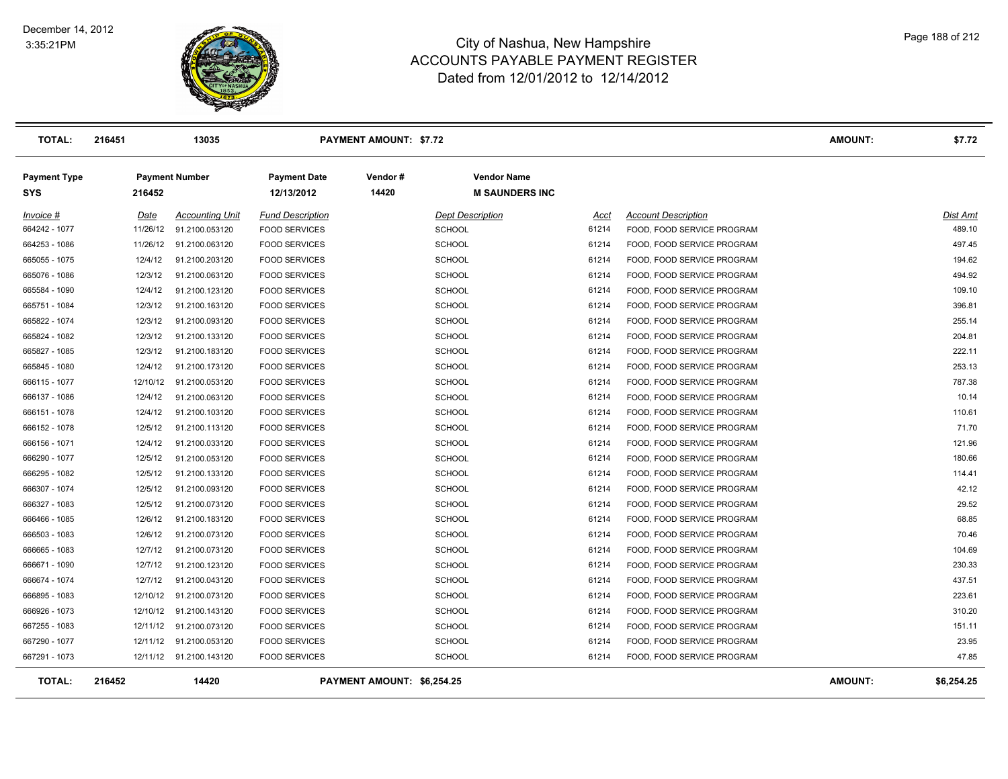

| <b>TOTAL:</b>                     | 216451   | 13035                   |                                   | <b>PAYMENT AMOUNT: \$7.72</b> |                                             |       |                            | <b>AMOUNT:</b> | \$7.72     |
|-----------------------------------|----------|-------------------------|-----------------------------------|-------------------------------|---------------------------------------------|-------|----------------------------|----------------|------------|
| <b>Payment Type</b><br><b>SYS</b> | 216452   | <b>Payment Number</b>   | <b>Payment Date</b><br>12/13/2012 | Vendor#<br>14420              | <b>Vendor Name</b><br><b>M SAUNDERS INC</b> |       |                            |                |            |
| Invoice #                         | Date     | <b>Accounting Unit</b>  | <b>Fund Description</b>           |                               | <b>Dept Description</b>                     | Acct  | <b>Account Description</b> |                | Dist Amt   |
| 664242 - 1077                     | 11/26/12 | 91.2100.053120          | <b>FOOD SERVICES</b>              |                               | <b>SCHOOL</b>                               | 61214 | FOOD, FOOD SERVICE PROGRAM |                | 489.10     |
| 664253 - 1086                     | 11/26/12 | 91.2100.063120          | <b>FOOD SERVICES</b>              |                               | <b>SCHOOL</b>                               | 61214 | FOOD, FOOD SERVICE PROGRAM |                | 497.45     |
| 665055 - 1075                     | 12/4/12  | 91.2100.203120          | <b>FOOD SERVICES</b>              |                               | <b>SCHOOL</b>                               | 61214 | FOOD, FOOD SERVICE PROGRAM |                | 194.62     |
| 665076 - 1086                     | 12/3/12  | 91.2100.063120          | <b>FOOD SERVICES</b>              |                               | <b>SCHOOL</b>                               | 61214 | FOOD, FOOD SERVICE PROGRAM |                | 494.92     |
| 665584 - 1090                     | 12/4/12  | 91.2100.123120          | <b>FOOD SERVICES</b>              |                               | <b>SCHOOL</b>                               | 61214 | FOOD, FOOD SERVICE PROGRAM |                | 109.10     |
| 665751 - 1084                     | 12/3/12  | 91.2100.163120          | <b>FOOD SERVICES</b>              |                               | <b>SCHOOL</b>                               | 61214 | FOOD, FOOD SERVICE PROGRAM |                | 396.81     |
| 665822 - 1074                     | 12/3/12  | 91.2100.093120          | <b>FOOD SERVICES</b>              |                               | <b>SCHOOL</b>                               | 61214 | FOOD, FOOD SERVICE PROGRAM |                | 255.14     |
| 665824 - 1082                     | 12/3/12  | 91.2100.133120          | <b>FOOD SERVICES</b>              |                               | <b>SCHOOL</b>                               | 61214 | FOOD, FOOD SERVICE PROGRAM |                | 204.81     |
| 665827 - 1085                     | 12/3/12  | 91.2100.183120          | <b>FOOD SERVICES</b>              |                               | <b>SCHOOL</b>                               | 61214 | FOOD, FOOD SERVICE PROGRAM |                | 222.11     |
| 665845 - 1080                     | 12/4/12  | 91.2100.173120          | <b>FOOD SERVICES</b>              |                               | <b>SCHOOL</b>                               | 61214 | FOOD, FOOD SERVICE PROGRAM |                | 253.13     |
| 666115 - 1077                     | 12/10/12 | 91.2100.053120          | <b>FOOD SERVICES</b>              |                               | <b>SCHOOL</b>                               | 61214 | FOOD, FOOD SERVICE PROGRAM |                | 787.38     |
| 666137 - 1086                     | 12/4/12  | 91.2100.063120          | <b>FOOD SERVICES</b>              |                               | <b>SCHOOL</b>                               | 61214 | FOOD, FOOD SERVICE PROGRAM |                | 10.14      |
| 666151 - 1078                     | 12/4/12  | 91.2100.103120          | <b>FOOD SERVICES</b>              |                               | <b>SCHOOL</b>                               | 61214 | FOOD, FOOD SERVICE PROGRAM |                | 110.61     |
| 666152 - 1078                     | 12/5/12  | 91.2100.113120          | <b>FOOD SERVICES</b>              |                               | <b>SCHOOL</b>                               | 61214 | FOOD, FOOD SERVICE PROGRAM |                | 71.70      |
| 666156 - 1071                     | 12/4/12  | 91.2100.033120          | <b>FOOD SERVICES</b>              |                               | <b>SCHOOL</b>                               | 61214 | FOOD, FOOD SERVICE PROGRAM |                | 121.96     |
| 666290 - 1077                     | 12/5/12  | 91.2100.053120          | <b>FOOD SERVICES</b>              |                               | <b>SCHOOL</b>                               | 61214 | FOOD, FOOD SERVICE PROGRAM |                | 180.66     |
| 666295 - 1082                     | 12/5/12  | 91.2100.133120          | <b>FOOD SERVICES</b>              |                               | <b>SCHOOL</b>                               | 61214 | FOOD, FOOD SERVICE PROGRAM |                | 114.41     |
| 666307 - 1074                     | 12/5/12  | 91.2100.093120          | <b>FOOD SERVICES</b>              |                               | <b>SCHOOL</b>                               | 61214 | FOOD, FOOD SERVICE PROGRAM |                | 42.12      |
| 666327 - 1083                     | 12/5/12  | 91.2100.073120          | <b>FOOD SERVICES</b>              |                               | <b>SCHOOL</b>                               | 61214 | FOOD, FOOD SERVICE PROGRAM |                | 29.52      |
| 666466 - 1085                     | 12/6/12  | 91.2100.183120          | <b>FOOD SERVICES</b>              |                               | <b>SCHOOL</b>                               | 61214 | FOOD, FOOD SERVICE PROGRAM |                | 68.85      |
| 666503 - 1083                     | 12/6/12  | 91.2100.073120          | <b>FOOD SERVICES</b>              |                               | <b>SCHOOL</b>                               | 61214 | FOOD, FOOD SERVICE PROGRAM |                | 70.46      |
| 666665 - 1083                     | 12/7/12  | 91.2100.073120          | <b>FOOD SERVICES</b>              |                               | <b>SCHOOL</b>                               | 61214 | FOOD, FOOD SERVICE PROGRAM |                | 104.69     |
| 666671 - 1090                     | 12/7/12  | 91.2100.123120          | <b>FOOD SERVICES</b>              |                               | <b>SCHOOL</b>                               | 61214 | FOOD, FOOD SERVICE PROGRAM |                | 230.33     |
| 666674 - 1074                     | 12/7/12  | 91.2100.043120          | <b>FOOD SERVICES</b>              |                               | <b>SCHOOL</b>                               | 61214 | FOOD, FOOD SERVICE PROGRAM |                | 437.51     |
| 666895 - 1083                     |          | 12/10/12 91.2100.073120 | <b>FOOD SERVICES</b>              |                               | <b>SCHOOL</b>                               | 61214 | FOOD, FOOD SERVICE PROGRAM |                | 223.61     |
| 666926 - 1073                     |          | 12/10/12 91.2100.143120 | <b>FOOD SERVICES</b>              |                               | <b>SCHOOL</b>                               | 61214 | FOOD, FOOD SERVICE PROGRAM |                | 310.20     |
| 667255 - 1083                     |          | 12/11/12 91.2100.073120 | <b>FOOD SERVICES</b>              |                               | <b>SCHOOL</b>                               | 61214 | FOOD, FOOD SERVICE PROGRAM |                | 151.11     |
| 667290 - 1077                     |          | 12/11/12 91.2100.053120 | <b>FOOD SERVICES</b>              |                               | <b>SCHOOL</b>                               | 61214 | FOOD, FOOD SERVICE PROGRAM |                | 23.95      |
| 667291 - 1073                     |          | 12/11/12 91.2100.143120 | <b>FOOD SERVICES</b>              |                               | <b>SCHOOL</b>                               | 61214 | FOOD, FOOD SERVICE PROGRAM |                | 47.85      |
| <b>TOTAL:</b>                     | 216452   | 14420                   |                                   | PAYMENT AMOUNT: \$6,254.25    |                                             |       |                            | <b>AMOUNT:</b> | \$6,254.25 |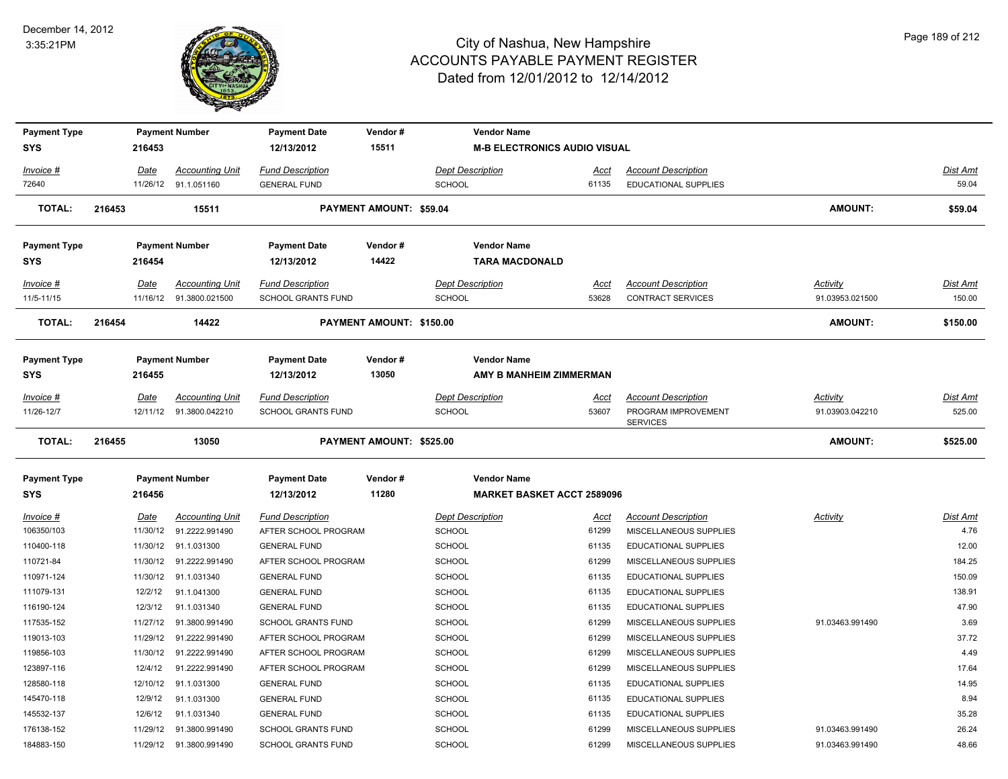

| <b>Payment Type</b>     |        |                  | <b>Payment Number</b>                    | <b>Payment Date</b>                             | Vendor#                  |               | <b>Vendor Name</b>                  |               |                                                        |                             |                    |
|-------------------------|--------|------------------|------------------------------------------|-------------------------------------------------|--------------------------|---------------|-------------------------------------|---------------|--------------------------------------------------------|-----------------------------|--------------------|
| <b>SYS</b>              |        | 216453           |                                          | 12/13/2012                                      | 15511                    |               | <b>M-B ELECTRONICS AUDIO VISUAL</b> |               |                                                        |                             |                    |
| Invoice #               |        | Date             | <b>Accounting Unit</b>                   | <b>Fund Description</b>                         |                          |               | <b>Dept Description</b>             | Acct          | <b>Account Description</b>                             |                             | Dist Amt           |
| 72640                   |        |                  | 11/26/12 91.1.051160                     | <b>GENERAL FUND</b>                             |                          | <b>SCHOOL</b> |                                     | 61135         | <b>EDUCATIONAL SUPPLIES</b>                            |                             | 59.04              |
| <b>TOTAL:</b>           | 216453 |                  | 15511                                    |                                                 | PAYMENT AMOUNT: \$59.04  |               |                                     |               |                                                        | <b>AMOUNT:</b>              | \$59.04            |
| <b>Payment Type</b>     |        |                  | <b>Payment Number</b>                    | <b>Payment Date</b>                             | Vendor#                  |               | <b>Vendor Name</b>                  |               |                                                        |                             |                    |
| <b>SYS</b>              |        | 216454           |                                          | 12/13/2012                                      | 14422                    |               | <b>TARA MACDONALD</b>               |               |                                                        |                             |                    |
| Invoice #<br>11/5-11/15 |        | Date<br>11/16/12 | <b>Accounting Unit</b><br>91.3800.021500 | <b>Fund Description</b><br>SCHOOL GRANTS FUND   |                          | SCHOOL        | <b>Dept Description</b>             | Acct<br>53628 | <b>Account Description</b><br><b>CONTRACT SERVICES</b> | Activity<br>91.03953.021500 | Dist Amt<br>150.00 |
| <b>TOTAL:</b>           | 216454 |                  | 14422                                    |                                                 | PAYMENT AMOUNT: \$150.00 |               |                                     |               |                                                        | <b>AMOUNT:</b>              | \$150.00           |
| <b>Payment Type</b>     |        |                  | <b>Payment Number</b>                    | <b>Payment Date</b>                             | Vendor#                  |               | <b>Vendor Name</b>                  |               |                                                        |                             |                    |
| <b>SYS</b>              |        | 216455           |                                          | 12/13/2012                                      | 13050                    |               | AMY B MANHEIM ZIMMERMAN             |               |                                                        |                             |                    |
| Invoice #               |        | Date             | <b>Accounting Unit</b>                   | <b>Fund Description</b>                         |                          |               | <b>Dept Description</b>             | Acct          | <b>Account Description</b>                             | Activity                    | Dist Amt           |
| 11/26-12/7              |        | 12/11/12         | 91.3800.042210                           | <b>SCHOOL GRANTS FUND</b>                       |                          | <b>SCHOOL</b> |                                     | 53607         | PROGRAM IMPROVEMENT<br><b>SERVICES</b>                 | 91.03903.042210             | 525.00             |
| <b>TOTAL:</b>           | 216455 |                  | 13050                                    |                                                 | PAYMENT AMOUNT: \$525.00 |               |                                     |               |                                                        | <b>AMOUNT:</b>              | \$525.00           |
| <b>Payment Type</b>     |        |                  | <b>Payment Number</b>                    | <b>Payment Date</b>                             | Vendor#                  |               | <b>Vendor Name</b>                  |               |                                                        |                             |                    |
| <b>SYS</b>              |        | 216456           |                                          | 12/13/2012                                      | 11280                    |               | <b>MARKET BASKET ACCT 2589096</b>   |               |                                                        |                             |                    |
| Invoice #<br>106350/103 |        | Date<br>11/30/12 | <b>Accounting Unit</b><br>91.2222.991490 | <b>Fund Description</b><br>AFTER SCHOOL PROGRAM |                          | SCHOOL        | <b>Dept Description</b>             | Acct<br>61299 | <b>Account Description</b><br>MISCELLANEOUS SUPPLIES   | <b>Activity</b>             | Dist Amt<br>4.76   |
| 110400-118              |        | 11/30/12         | 91.1.031300                              | <b>GENERAL FUND</b>                             |                          | SCHOOL        |                                     | 61135         | <b>EDUCATIONAL SUPPLIES</b>                            |                             | 12.00              |
| 110721-84               |        | 11/30/12         | 91.2222.991490                           | AFTER SCHOOL PROGRAM                            |                          | SCHOOL        |                                     | 61299         | MISCELLANEOUS SUPPLIES                                 |                             | 184.25             |
| 110971-124              |        | 11/30/12         | 91.1.031340                              | <b>GENERAL FUND</b>                             |                          | SCHOOL        |                                     | 61135         | EDUCATIONAL SUPPLIES                                   |                             | 150.09             |
| 111079-131              |        | 12/2/12          | 91.1.041300                              | <b>GENERAL FUND</b>                             |                          | <b>SCHOOL</b> |                                     | 61135         | EDUCATIONAL SUPPLIES                                   |                             | 138.91             |
| 116190-124              |        | 12/3/12          | 91.1.031340                              | <b>GENERAL FUND</b>                             |                          | <b>SCHOOL</b> |                                     | 61135         | EDUCATIONAL SUPPLIES                                   |                             | 47.90              |
| 117535-152              |        | 11/27/12         | 91.3800.991490                           | <b>SCHOOL GRANTS FUND</b>                       |                          | SCHOOL        |                                     | 61299         | MISCELLANEOUS SUPPLIES                                 | 91.03463.991490             | 3.69               |
| 119013-103              |        | 11/29/12         | 91.2222.991490                           | AFTER SCHOOL PROGRAM                            |                          | SCHOOL        |                                     | 61299         | MISCELLANEOUS SUPPLIES                                 |                             | 37.72              |
| 119856-103              |        | 11/30/12         | 91.2222.991490                           | AFTER SCHOOL PROGRAM                            |                          | SCHOOL        |                                     | 61299         | MISCELLANEOUS SUPPLIES                                 |                             | 4.49               |
| 123897-116              |        | 12/4/12          | 91.2222.991490                           | AFTER SCHOOL PROGRAM                            |                          | <b>SCHOOL</b> |                                     | 61299         | MISCELLANEOUS SUPPLIES                                 |                             | 17.64              |
| 128580-118              |        | 12/10/12         | 91.1.031300                              | <b>GENERAL FUND</b>                             |                          | SCHOOL        |                                     | 61135         | <b>EDUCATIONAL SUPPLIES</b>                            |                             | 14.95              |
| 145470-118              |        | 12/9/12          | 91.1.031300                              | <b>GENERAL FUND</b>                             |                          | <b>SCHOOL</b> |                                     | 61135         | <b>EDUCATIONAL SUPPLIES</b>                            |                             | 8.94               |
| 145532-137              |        | 12/6/12          | 91.1.031340                              | <b>GENERAL FUND</b>                             |                          | <b>SCHOOL</b> |                                     | 61135         | <b>EDUCATIONAL SUPPLIES</b>                            |                             | 35.28              |
| 176138-152              |        | 11/29/12         | 91.3800.991490                           | <b>SCHOOL GRANTS FUND</b>                       |                          | <b>SCHOOL</b> |                                     | 61299         | MISCELLANEOUS SUPPLIES                                 | 91.03463.991490             | 26.24              |
| 184883-150              |        |                  | 11/29/12 91.3800.991490                  | <b>SCHOOL GRANTS FUND</b>                       |                          | SCHOOL        |                                     | 61299         | MISCELLANEOUS SUPPLIES                                 | 91.03463.991490             | 48.66              |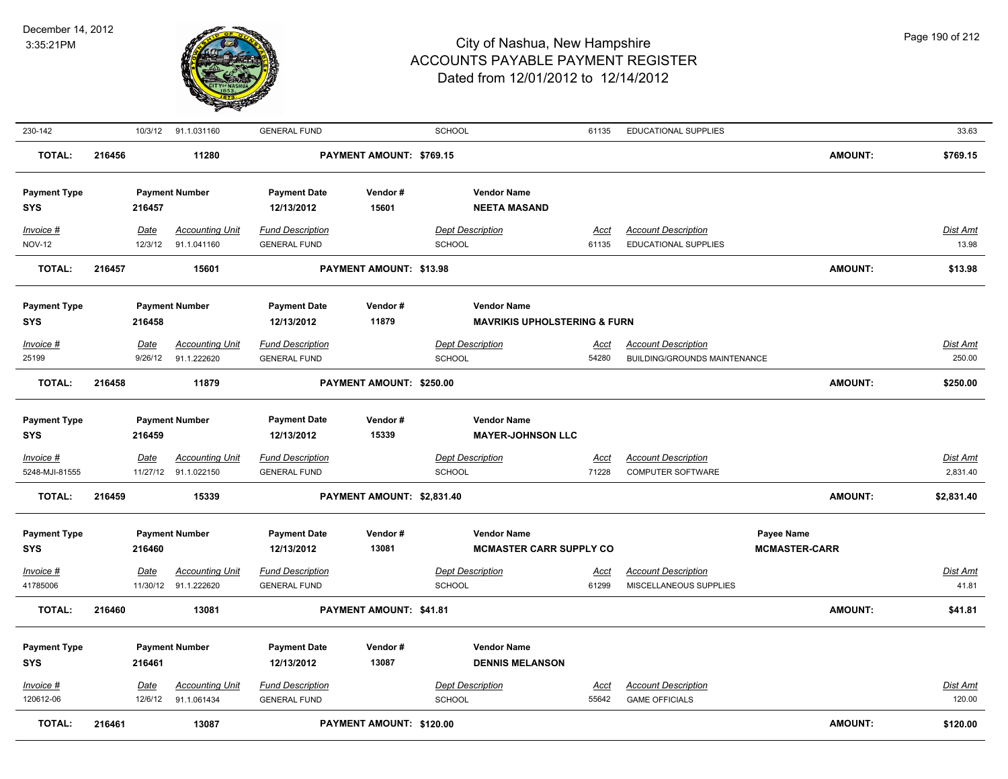

| 230-142                           |        |                 | 10/3/12 91.1.031160                   | <b>GENERAL FUND</b>                            |                                | SCHOOL                                    | 61135                                   | EDUCATIONAL SUPPLIES                                      |                                    | 33.63              |
|-----------------------------------|--------|-----------------|---------------------------------------|------------------------------------------------|--------------------------------|-------------------------------------------|-----------------------------------------|-----------------------------------------------------------|------------------------------------|--------------------|
| <b>TOTAL:</b>                     | 216456 |                 | 11280                                 |                                                | PAYMENT AMOUNT: \$769.15       |                                           |                                         |                                                           | <b>AMOUNT:</b>                     | \$769.15           |
| <b>Payment Type</b><br>SYS        |        | 216457          | <b>Payment Number</b>                 | <b>Payment Date</b><br>12/13/2012              | Vendor#<br>15601               | <b>Vendor Name</b><br><b>NEETA MASAND</b> |                                         |                                                           |                                    |                    |
| Invoice #<br><b>NOV-12</b>        |        | Date<br>12/3/12 | <b>Accounting Unit</b><br>91.1.041160 | <b>Fund Description</b><br><b>GENERAL FUND</b> |                                | <b>Dept Description</b><br><b>SCHOOL</b>  | <u>Acct</u><br>61135                    | <b>Account Description</b><br><b>EDUCATIONAL SUPPLIES</b> |                                    | Dist Amt<br>13.98  |
| <b>TOTAL:</b>                     | 216457 |                 | 15601                                 |                                                | <b>PAYMENT AMOUNT: \$13.98</b> |                                           |                                         |                                                           | <b>AMOUNT:</b>                     | \$13.98            |
| <b>Payment Type</b><br>SYS        |        | 216458          | <b>Payment Number</b>                 | <b>Payment Date</b><br>12/13/2012              | Vendor#<br>11879               | <b>Vendor Name</b>                        | <b>MAVRIKIS UPHOLSTERING &amp; FURN</b> |                                                           |                                    |                    |
| Invoice #                         |        | Date            | <b>Accounting Unit</b>                | <b>Fund Description</b>                        |                                | <b>Dept Description</b>                   | Acct                                    | <b>Account Description</b>                                |                                    | Dist Amt           |
| 25199                             |        | 9/26/12         | 91.1.222620                           | <b>GENERAL FUND</b>                            |                                | <b>SCHOOL</b>                             | 54280                                   | <b>BUILDING/GROUNDS MAINTENANCE</b>                       |                                    | 250.00             |
| <b>TOTAL:</b>                     | 216458 |                 | 11879                                 |                                                | PAYMENT AMOUNT: \$250.00       |                                           |                                         |                                                           | <b>AMOUNT:</b>                     | \$250.00           |
| <b>Payment Type</b><br>SYS        |        | 216459          | <b>Payment Number</b>                 | <b>Payment Date</b><br>12/13/2012              | Vendor#<br>15339               | <b>Vendor Name</b>                        | <b>MAYER-JOHNSON LLC</b>                |                                                           |                                    |                    |
| Invoice #                         |        | <b>Date</b>     | <b>Accounting Unit</b>                | <b>Fund Description</b>                        |                                | <b>Dept Description</b>                   | <u>Acct</u>                             | <b>Account Description</b>                                |                                    | <b>Dist Amt</b>    |
| 5248-MJI-81555                    |        |                 | 11/27/12 91.1.022150                  | <b>GENERAL FUND</b>                            |                                | SCHOOL                                    | 71228                                   | <b>COMPUTER SOFTWARE</b>                                  |                                    | 2,831.40           |
| <b>TOTAL:</b>                     | 216459 |                 | 15339                                 |                                                | PAYMENT AMOUNT: \$2,831.40     |                                           |                                         |                                                           | <b>AMOUNT:</b>                     | \$2,831.40         |
| <b>Payment Type</b><br><b>SYS</b> |        | 216460          | <b>Payment Number</b>                 | <b>Payment Date</b><br>12/13/2012              | Vendor#<br>13081               | <b>Vendor Name</b>                        | <b>MCMASTER CARR SUPPLY CO</b>          |                                                           | Payee Name<br><b>MCMASTER-CARR</b> |                    |
| <b>Invoice #</b>                  |        | Date            | <b>Accounting Unit</b>                | <u>Fund Description</u>                        |                                | <b>Dept Description</b>                   | <u>Acct</u>                             | <b>Account Description</b>                                |                                    | <u>Dist Amt</u>    |
| 41785006                          |        |                 | 11/30/12 91.1.222620                  | <b>GENERAL FUND</b>                            |                                | SCHOOL                                    | 61299                                   | MISCELLANEOUS SUPPLIES                                    |                                    | 41.81              |
| <b>TOTAL:</b>                     | 216460 |                 | 13081                                 |                                                | PAYMENT AMOUNT: \$41.81        |                                           |                                         |                                                           | <b>AMOUNT:</b>                     | \$41.81            |
| <b>Payment Type</b><br><b>SYS</b> |        | 216461          | <b>Payment Number</b>                 | <b>Payment Date</b><br>12/13/2012              | Vendor#<br>13087               | <b>Vendor Name</b>                        | <b>DENNIS MELANSON</b>                  |                                                           |                                    |                    |
| Invoice #<br>120612-06            |        | Date<br>12/6/12 | <b>Accounting Unit</b><br>91.1.061434 | <b>Fund Description</b><br><b>GENERAL FUND</b> |                                | <b>Dept Description</b><br><b>SCHOOL</b>  | <u>Acct</u><br>55642                    | <b>Account Description</b><br><b>GAME OFFICIALS</b>       |                                    | Dist Amt<br>120.00 |
| <b>TOTAL:</b>                     | 216461 |                 | 13087                                 |                                                | PAYMENT AMOUNT: \$120.00       |                                           |                                         |                                                           | <b>AMOUNT:</b>                     | \$120.00           |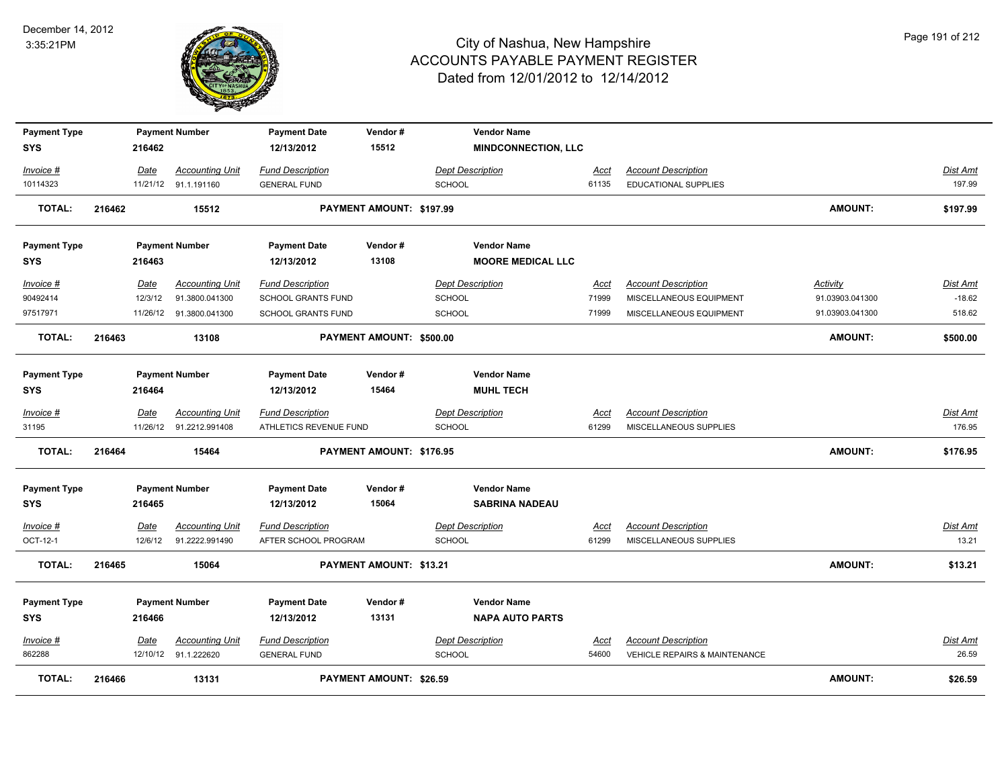

| <b>Payment Type</b> |        |             | <b>Payment Number</b>   | <b>Payment Date</b>       | Vendor#                        |                         | <b>Vendor Name</b>         |             |                                          |                 |                 |
|---------------------|--------|-------------|-------------------------|---------------------------|--------------------------------|-------------------------|----------------------------|-------------|------------------------------------------|-----------------|-----------------|
| <b>SYS</b>          |        | 216462      |                         | 12/13/2012                | 15512                          |                         | <b>MINDCONNECTION, LLC</b> |             |                                          |                 |                 |
| Invoice #           |        | Date        | <b>Accounting Unit</b>  | <b>Fund Description</b>   |                                | <b>Dept Description</b> |                            | Acct        | <b>Account Description</b>               |                 | <b>Dist Amt</b> |
| 10114323            |        |             | 11/21/12 91.1.191160    | <b>GENERAL FUND</b>       |                                | <b>SCHOOL</b>           |                            | 61135       | <b>EDUCATIONAL SUPPLIES</b>              |                 | 197.99          |
| TOTAL:              | 216462 |             | 15512                   |                           | PAYMENT AMOUNT: \$197.99       |                         |                            |             |                                          | <b>AMOUNT:</b>  | \$197.99        |
|                     |        |             |                         |                           |                                |                         |                            |             |                                          |                 |                 |
| <b>Payment Type</b> |        |             | <b>Payment Number</b>   | <b>Payment Date</b>       | Vendor#                        |                         | <b>Vendor Name</b>         |             |                                          |                 |                 |
| <b>SYS</b>          |        | 216463      |                         | 12/13/2012                | 13108                          |                         | <b>MOORE MEDICAL LLC</b>   |             |                                          |                 |                 |
| Invoice #           |        | Date        | <b>Accounting Unit</b>  | <b>Fund Description</b>   |                                | <b>Dept Description</b> |                            | Acct        | <b>Account Description</b>               | Activity        | Dist Amt        |
| 90492414            |        | 12/3/12     | 91.3800.041300          | SCHOOL GRANTS FUND        |                                | <b>SCHOOL</b>           |                            | 71999       | MISCELLANEOUS EQUIPMENT                  | 91.03903.041300 | $-18.62$        |
| 97517971            |        |             | 11/26/12 91.3800.041300 | <b>SCHOOL GRANTS FUND</b> |                                | <b>SCHOOL</b>           |                            | 71999       | MISCELLANEOUS EQUIPMENT                  | 91.03903.041300 | 518.62          |
| <b>TOTAL:</b>       | 216463 |             | 13108                   |                           | PAYMENT AMOUNT: \$500.00       |                         |                            |             |                                          | <b>AMOUNT:</b>  | \$500.00        |
|                     |        |             |                         |                           |                                |                         |                            |             |                                          |                 |                 |
| <b>Payment Type</b> |        |             | <b>Payment Number</b>   | <b>Payment Date</b>       | Vendor#                        |                         | <b>Vendor Name</b>         |             |                                          |                 |                 |
| <b>SYS</b>          |        | 216464      |                         | 12/13/2012                | 15464                          |                         | <b>MUHL TECH</b>           |             |                                          |                 |                 |
| Invoice #           |        | Date        | <b>Accounting Unit</b>  | <b>Fund Description</b>   |                                | <b>Dept Description</b> |                            | <b>Acct</b> | <b>Account Description</b>               |                 | Dist Amt        |
| 31195               |        |             | 11/26/12 91.2212.991408 | ATHLETICS REVENUE FUND    |                                | <b>SCHOOL</b>           |                            | 61299       | MISCELLANEOUS SUPPLIES                   |                 | 176.95          |
| <b>TOTAL:</b>       | 216464 |             | 15464                   |                           | PAYMENT AMOUNT: \$176.95       |                         |                            |             |                                          | <b>AMOUNT:</b>  | \$176.95        |
| <b>Payment Type</b> |        |             | <b>Payment Number</b>   | <b>Payment Date</b>       | Vendor#                        |                         | <b>Vendor Name</b>         |             |                                          |                 |                 |
| <b>SYS</b>          |        | 216465      |                         | 12/13/2012                | 15064                          |                         | <b>SABRINA NADEAU</b>      |             |                                          |                 |                 |
|                     |        |             |                         |                           |                                |                         |                            |             |                                          |                 |                 |
| <u>Invoice #</u>    |        | <u>Date</u> | <b>Accounting Unit</b>  | <b>Fund Description</b>   |                                | <b>Dept Description</b> |                            | <u>Acct</u> | <b>Account Description</b>               |                 | <u>Dist Amt</u> |
| OCT-12-1            |        | 12/6/12     | 91.2222.991490          | AFTER SCHOOL PROGRAM      |                                | <b>SCHOOL</b>           |                            | 61299       | MISCELLANEOUS SUPPLIES                   |                 | 13.21           |
| <b>TOTAL:</b>       | 216465 |             | 15064                   |                           | PAYMENT AMOUNT: \$13.21        |                         |                            |             |                                          | <b>AMOUNT:</b>  | \$13.21         |
| <b>Payment Type</b> |        |             | <b>Payment Number</b>   | <b>Payment Date</b>       | Vendor#                        |                         | <b>Vendor Name</b>         |             |                                          |                 |                 |
| <b>SYS</b>          |        | 216466      |                         | 12/13/2012                | 13131                          |                         | <b>NAPA AUTO PARTS</b>     |             |                                          |                 |                 |
|                     |        |             |                         |                           |                                |                         |                            |             |                                          |                 |                 |
| Invoice #           |        | Date        | <b>Accounting Unit</b>  | <b>Fund Description</b>   |                                | <b>Dept Description</b> |                            | <u>Acct</u> | <b>Account Description</b>               |                 | Dist Amt        |
| 862288              |        |             | 12/10/12 91.1.222620    | <b>GENERAL FUND</b>       |                                | <b>SCHOOL</b>           |                            | 54600       | <b>VEHICLE REPAIRS &amp; MAINTENANCE</b> |                 | 26.59           |
| <b>TOTAL:</b>       | 216466 |             | 13131                   |                           | <b>PAYMENT AMOUNT: \$26.59</b> |                         |                            |             |                                          | <b>AMOUNT:</b>  | \$26.59         |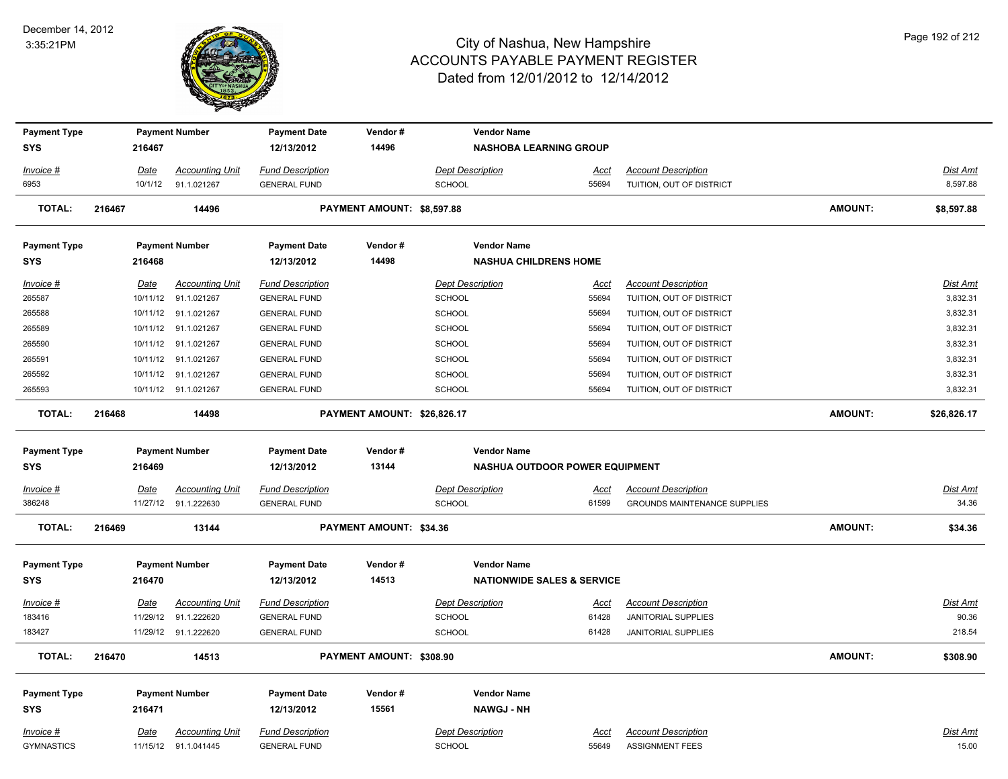

| <b>Payment Type</b> |             | <b>Payment Number</b>  | <b>Payment Date</b>     | Vendor#                     | <b>Vendor Name</b>                    |             |                                     |                |                 |
|---------------------|-------------|------------------------|-------------------------|-----------------------------|---------------------------------------|-------------|-------------------------------------|----------------|-----------------|
| <b>SYS</b>          | 216467      |                        | 12/13/2012              | 14496                       | <b>NASHOBA LEARNING GROUP</b>         |             |                                     |                |                 |
| Invoice #           | Date        | <b>Accounting Unit</b> | <b>Fund Description</b> |                             | <b>Dept Description</b>               | Acct        | <b>Account Description</b>          |                | Dist Amt        |
| 6953                | 10/1/12     | 91.1.021267            | <b>GENERAL FUND</b>     |                             | <b>SCHOOL</b>                         | 55694       | TUITION, OUT OF DISTRICT            |                | 8,597.88        |
| <b>TOTAL:</b>       | 216467      | 14496                  |                         | PAYMENT AMOUNT: \$8,597.88  |                                       |             |                                     | <b>AMOUNT:</b> | \$8,597.88      |
| <b>Payment Type</b> |             | <b>Payment Number</b>  | <b>Payment Date</b>     | Vendor#                     | <b>Vendor Name</b>                    |             |                                     |                |                 |
| <b>SYS</b>          | 216468      |                        | 12/13/2012              | 14498                       | <b>NASHUA CHILDRENS HOME</b>          |             |                                     |                |                 |
| Invoice #           | Date        | <b>Accounting Unit</b> | <b>Fund Description</b> |                             | <b>Dept Description</b>               | <u>Acct</u> | <b>Account Description</b>          |                | Dist Amt        |
| 265587              | 10/11/12    | 91.1.021267            | <b>GENERAL FUND</b>     |                             | <b>SCHOOL</b>                         | 55694       | TUITION, OUT OF DISTRICT            |                | 3,832.31        |
| 265588              | 10/11/12    | 91.1.021267            | <b>GENERAL FUND</b>     |                             | <b>SCHOOL</b>                         | 55694       | TUITION, OUT OF DISTRICT            |                | 3,832.31        |
| 265589              | 10/11/12    | 91.1.021267            | <b>GENERAL FUND</b>     |                             | <b>SCHOOL</b>                         | 55694       | TUITION, OUT OF DISTRICT            |                | 3,832.31        |
| 265590              |             | 10/11/12 91.1.021267   | <b>GENERAL FUND</b>     |                             | <b>SCHOOL</b>                         | 55694       | TUITION, OUT OF DISTRICT            |                | 3,832.31        |
| 265591              |             | 10/11/12 91.1.021267   | <b>GENERAL FUND</b>     |                             | SCHOOL                                | 55694       | TUITION, OUT OF DISTRICT            |                | 3,832.31        |
| 265592              | 10/11/12    | 91.1.021267            | <b>GENERAL FUND</b>     |                             | <b>SCHOOL</b>                         | 55694       | TUITION, OUT OF DISTRICT            |                | 3,832.31        |
| 265593              |             | 10/11/12 91.1.021267   | <b>GENERAL FUND</b>     |                             | <b>SCHOOL</b>                         | 55694       | TUITION, OUT OF DISTRICT            |                | 3,832.31        |
| <b>TOTAL:</b>       | 216468      | 14498                  |                         | PAYMENT AMOUNT: \$26,826.17 |                                       |             |                                     | <b>AMOUNT:</b> | \$26,826.17     |
| <b>Payment Type</b> |             | <b>Payment Number</b>  | <b>Payment Date</b>     | Vendor#                     | <b>Vendor Name</b>                    |             |                                     |                |                 |
| <b>SYS</b>          | 216469      |                        | 12/13/2012              | 13144                       | <b>NASHUA OUTDOOR POWER EQUIPMENT</b> |             |                                     |                |                 |
| Invoice #           | Date        | <b>Accounting Unit</b> | <b>Fund Description</b> |                             | <b>Dept Description</b>               | Acct        | <b>Account Description</b>          |                | Dist Amt        |
| 386248              |             | 11/27/12 91.1.222630   | <b>GENERAL FUND</b>     |                             | <b>SCHOOL</b>                         | 61599       | <b>GROUNDS MAINTENANCE SUPPLIES</b> |                | 34.36           |
| <b>TOTAL:</b>       | 216469      | 13144                  |                         | PAYMENT AMOUNT: \$34.36     |                                       |             |                                     | <b>AMOUNT:</b> | \$34.36         |
| <b>Payment Type</b> |             | <b>Payment Number</b>  | <b>Payment Date</b>     | Vendor#                     | <b>Vendor Name</b>                    |             |                                     |                |                 |
| <b>SYS</b>          | 216470      |                        | 12/13/2012              | 14513                       | <b>NATIONWIDE SALES &amp; SERVICE</b> |             |                                     |                |                 |
| <u>Invoice #</u>    | <u>Date</u> | <b>Accounting Unit</b> | <b>Fund Description</b> |                             | <b>Dept Description</b>               | <u>Acct</u> | <b>Account Description</b>          |                | <u>Dist Amt</u> |
| 183416              | 11/29/12    | 91.1.222620            | <b>GENERAL FUND</b>     |                             | <b>SCHOOL</b>                         | 61428       | <b>JANITORIAL SUPPLIES</b>          |                | 90.36           |
| 183427              |             | 11/29/12 91.1.222620   | <b>GENERAL FUND</b>     |                             | SCHOOL                                | 61428       | <b>JANITORIAL SUPPLIES</b>          |                | 218.54          |
| <b>TOTAL:</b>       | 216470      | 14513                  |                         | PAYMENT AMOUNT: \$308.90    |                                       |             |                                     | <b>AMOUNT:</b> | \$308.90        |
| <b>Payment Type</b> |             | <b>Payment Number</b>  | <b>Payment Date</b>     | Vendor#                     | <b>Vendor Name</b>                    |             |                                     |                |                 |
| <b>SYS</b>          | 216471      |                        | 12/13/2012              | 15561                       | <b>NAWGJ - NH</b>                     |             |                                     |                |                 |
| Invoice #           |             |                        |                         |                             |                                       |             |                                     |                |                 |
|                     | Date        | <b>Accounting Unit</b> | <b>Fund Description</b> |                             | <b>Dept Description</b>               | <u>Acct</u> | <b>Account Description</b>          |                | Dist Amt        |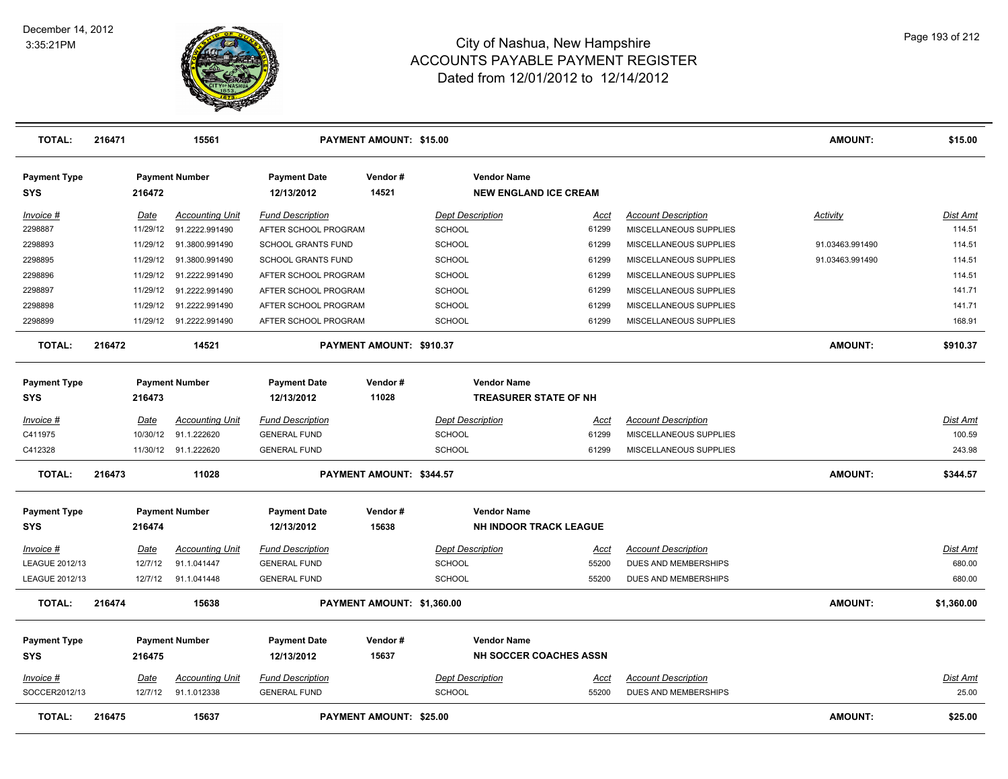

| <b>TOTAL:</b>                     | 216471 |                        | 15561                                 |                                                | PAYMENT AMOUNT: \$15.00    |                                          |                               |                                                    | AMOUNT:         | \$15.00                   |
|-----------------------------------|--------|------------------------|---------------------------------------|------------------------------------------------|----------------------------|------------------------------------------|-------------------------------|----------------------------------------------------|-----------------|---------------------------|
| <b>Payment Type</b><br><b>SYS</b> |        | 216472                 | <b>Payment Number</b>                 | <b>Payment Date</b><br>12/13/2012              | Vendor#<br>14521           | <b>Vendor Name</b>                       | <b>NEW ENGLAND ICE CREAM</b>  |                                                    |                 |                           |
| Invoice #                         |        | Date                   | <b>Accounting Unit</b>                | <b>Fund Description</b>                        |                            | <b>Dept Description</b>                  | Acct                          | <b>Account Description</b>                         | Activity        | Dist Amt                  |
| 2298887                           |        | 11/29/12               | 91.2222.991490                        | AFTER SCHOOL PROGRAM                           |                            | <b>SCHOOL</b>                            | 61299                         | MISCELLANEOUS SUPPLIES                             |                 | 114.51                    |
| 2298893                           |        | 11/29/12               | 91.3800.991490                        | SCHOOL GRANTS FUND                             |                            | <b>SCHOOL</b>                            | 61299                         | MISCELLANEOUS SUPPLIES                             | 91.03463.991490 | 114.51                    |
| 2298895                           |        | 11/29/12               | 91.3800.991490                        | SCHOOL GRANTS FUND                             |                            | <b>SCHOOL</b>                            | 61299                         | MISCELLANEOUS SUPPLIES                             | 91.03463.991490 | 114.51                    |
| 2298896                           |        | 11/29/12               | 91.2222.991490                        | AFTER SCHOOL PROGRAM                           |                            | <b>SCHOOL</b>                            | 61299                         | MISCELLANEOUS SUPPLIES                             |                 | 114.51                    |
| 2298897                           |        | 11/29/12               | 91.2222.991490                        | AFTER SCHOOL PROGRAM                           |                            | <b>SCHOOL</b>                            | 61299                         | MISCELLANEOUS SUPPLIES                             |                 | 141.71                    |
| 2298898                           |        | 11/29/12               | 91.2222.991490                        | AFTER SCHOOL PROGRAM                           |                            | <b>SCHOOL</b>                            | 61299                         | MISCELLANEOUS SUPPLIES                             |                 | 141.71                    |
| 2298899                           |        |                        | 11/29/12 91.2222.991490               | AFTER SCHOOL PROGRAM                           |                            | <b>SCHOOL</b>                            | 61299                         | MISCELLANEOUS SUPPLIES                             |                 | 168.91                    |
| <b>TOTAL:</b>                     | 216472 |                        | 14521                                 |                                                | PAYMENT AMOUNT: \$910.37   |                                          |                               |                                                    | <b>AMOUNT:</b>  | \$910.37                  |
| <b>Payment Type</b>               |        |                        | <b>Payment Number</b>                 | <b>Payment Date</b>                            | Vendor#                    | <b>Vendor Name</b>                       |                               |                                                    |                 |                           |
| <b>SYS</b>                        |        | 216473                 |                                       | 12/13/2012                                     | 11028                      |                                          | <b>TREASURER STATE OF NH</b>  |                                                    |                 |                           |
| Invoice #                         |        | Date                   | <b>Accounting Unit</b>                | <b>Fund Description</b>                        |                            | <b>Dept Description</b>                  | Acct                          | <b>Account Description</b>                         |                 | Dist Amt                  |
| C411975                           |        | 10/30/12               | 91.1.222620                           | <b>GENERAL FUND</b>                            |                            | <b>SCHOOL</b>                            | 61299                         | MISCELLANEOUS SUPPLIES                             |                 | 100.59                    |
| C412328                           |        |                        | 11/30/12 91.1.222620                  | <b>GENERAL FUND</b>                            |                            | <b>SCHOOL</b>                            | 61299                         | MISCELLANEOUS SUPPLIES                             |                 | 243.98                    |
| <b>TOTAL:</b>                     | 216473 |                        | 11028                                 |                                                | PAYMENT AMOUNT: \$344.57   |                                          |                               |                                                    | <b>AMOUNT:</b>  | \$344.57                  |
| <b>Payment Type</b><br><b>SYS</b> |        | 216474                 | <b>Payment Number</b>                 | <b>Payment Date</b><br>12/13/2012              | Vendor#<br>15638           | <b>Vendor Name</b>                       | <b>NH INDOOR TRACK LEAGUE</b> |                                                    |                 |                           |
|                                   |        |                        |                                       |                                                |                            |                                          |                               |                                                    |                 |                           |
| $Invoice$ #<br>LEAGUE 2012/13     |        | <u>Date</u><br>12/7/12 | <b>Accounting Unit</b><br>91.1.041447 | <b>Fund Description</b><br><b>GENERAL FUND</b> |                            | <b>Dept Description</b><br><b>SCHOOL</b> | <u>Acct</u><br>55200          | <b>Account Description</b><br>DUES AND MEMBERSHIPS |                 | <b>Dist Amt</b><br>680.00 |
| LEAGUE 2012/13                    |        | 12/7/12                | 91.1.041448                           | <b>GENERAL FUND</b>                            |                            | <b>SCHOOL</b>                            | 55200                         | DUES AND MEMBERSHIPS                               |                 | 680.00                    |
| <b>TOTAL:</b>                     | 216474 |                        | 15638                                 |                                                | PAYMENT AMOUNT: \$1,360.00 |                                          |                               |                                                    | <b>AMOUNT:</b>  | \$1,360.00                |
| <b>Payment Type</b><br><b>SYS</b> |        | 216475                 | <b>Payment Number</b>                 | <b>Payment Date</b><br>12/13/2012              | Vendor#<br>15637           | <b>Vendor Name</b>                       | NH SOCCER COACHES ASSN        |                                                    |                 |                           |
|                                   |        |                        |                                       |                                                |                            |                                          |                               |                                                    |                 |                           |
| Invoice #<br>SOCCER2012/13        |        | <b>Date</b><br>12/7/12 | <b>Accounting Unit</b><br>91.1.012338 | <b>Fund Description</b><br><b>GENERAL FUND</b> |                            | <b>Dept Description</b><br><b>SCHOOL</b> | Acct<br>55200                 | <b>Account Description</b><br>DUES AND MEMBERSHIPS |                 | Dist Amt<br>25.00         |
| <b>TOTAL:</b>                     | 216475 |                        | 15637                                 |                                                | PAYMENT AMOUNT: \$25.00    |                                          |                               |                                                    | <b>AMOUNT:</b>  | \$25.00                   |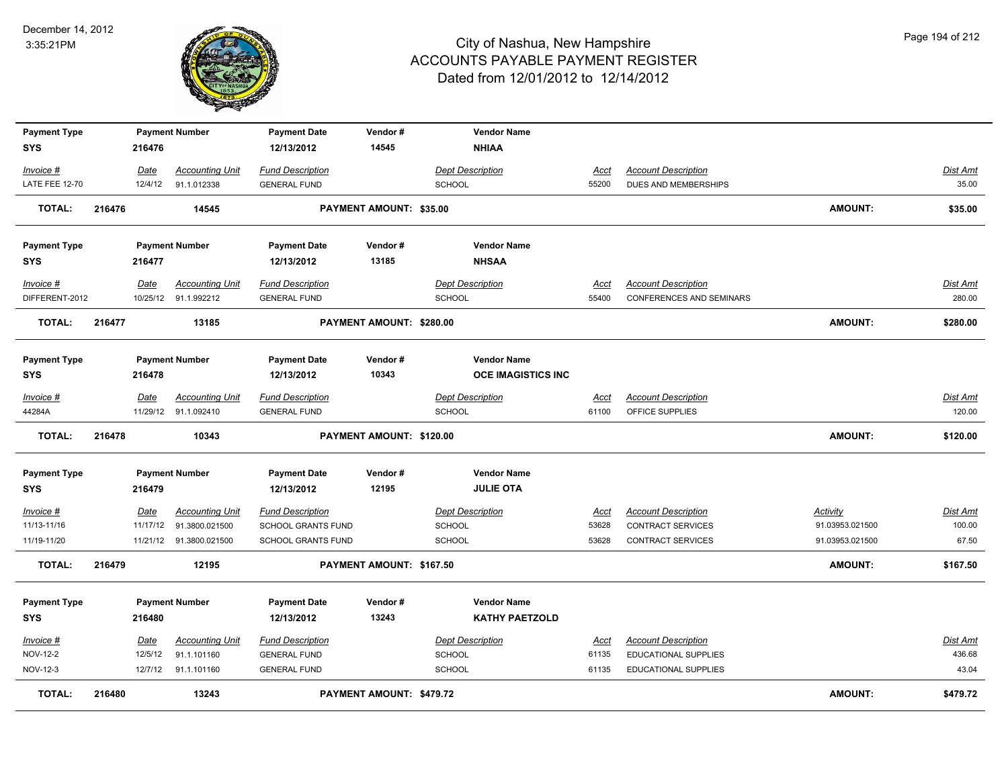

| <b>Payment Type</b><br><b>SYS</b> |        | 216476   | <b>Payment Number</b>  | <b>Payment Date</b><br>12/13/2012 | Vendor#<br>14545               | <b>Vendor Name</b><br><b>NHIAA</b>     |             |                                 |                 |                 |
|-----------------------------------|--------|----------|------------------------|-----------------------------------|--------------------------------|----------------------------------------|-------------|---------------------------------|-----------------|-----------------|
|                                   |        |          |                        |                                   |                                |                                        |             |                                 |                 |                 |
| Invoice #                         |        | Date     | <b>Accounting Unit</b> | <b>Fund Description</b>           |                                | <b>Dept Description</b>                | Acct        | <b>Account Description</b>      |                 | Dist Amt        |
| <b>LATE FEE 12-70</b>             |        | 12/4/12  | 91.1.012338            | <b>GENERAL FUND</b>               |                                | <b>SCHOOL</b>                          | 55200       | DUES AND MEMBERSHIPS            |                 | 35.00           |
| <b>TOTAL:</b>                     | 216476 |          | 14545                  |                                   | <b>PAYMENT AMOUNT: \$35.00</b> |                                        |             |                                 | <b>AMOUNT:</b>  | \$35.00         |
| <b>Payment Type</b>               |        |          | <b>Payment Number</b>  | <b>Payment Date</b>               | Vendor#                        | <b>Vendor Name</b>                     |             |                                 |                 |                 |
| <b>SYS</b>                        |        | 216477   |                        | 12/13/2012                        | 13185                          | <b>NHSAA</b>                           |             |                                 |                 |                 |
| Invoice #                         |        | Date     | <b>Accounting Unit</b> | <b>Fund Description</b>           |                                | <b>Dept Description</b>                | Acct        | <b>Account Description</b>      |                 | <b>Dist Amt</b> |
| DIFFERENT-2012                    |        |          | 10/25/12 91.1.992212   | <b>GENERAL FUND</b>               |                                | SCHOOL                                 | 55400       | <b>CONFERENCES AND SEMINARS</b> |                 | 280.00          |
| <b>TOTAL:</b>                     | 216477 |          | 13185                  |                                   | PAYMENT AMOUNT: \$280.00       |                                        |             |                                 | <b>AMOUNT:</b>  | \$280.00        |
| <b>Payment Type</b>               |        |          | <b>Payment Number</b>  | <b>Payment Date</b>               | Vendor#                        | <b>Vendor Name</b>                     |             |                                 |                 |                 |
| <b>SYS</b>                        |        | 216478   |                        | 12/13/2012                        | 10343                          | <b>OCE IMAGISTICS INC</b>              |             |                                 |                 |                 |
| Invoice #                         |        | Date     | <b>Accounting Unit</b> | <b>Fund Description</b>           |                                | <b>Dept Description</b>                | Acct        | <b>Account Description</b>      |                 | Dist Amt        |
| 44284A                            |        |          | 11/29/12 91.1.092410   | <b>GENERAL FUND</b>               |                                | SCHOOL                                 | 61100       | OFFICE SUPPLIES                 |                 | 120.00          |
| <b>TOTAL:</b>                     | 216478 |          | 10343                  |                                   | PAYMENT AMOUNT: \$120.00       |                                        |             |                                 | <b>AMOUNT:</b>  | \$120.00        |
| <b>Payment Type</b><br><b>SYS</b> |        | 216479   | <b>Payment Number</b>  | <b>Payment Date</b><br>12/13/2012 | Vendor#<br>12195               | <b>Vendor Name</b><br><b>JULIE OTA</b> |             |                                 |                 |                 |
| $Invoice$ #                       |        | Date     | <b>Accounting Unit</b> | <b>Fund Description</b>           |                                | <b>Dept Description</b>                | <u>Acct</u> | <b>Account Description</b>      | <b>Activity</b> | <b>Dist Amt</b> |
| 11/13-11/16                       |        | 11/17/12 | 91.3800.021500         | <b>SCHOOL GRANTS FUND</b>         |                                | <b>SCHOOL</b>                          | 53628       | <b>CONTRACT SERVICES</b>        | 91.03953.021500 | 100.00          |
| 11/19-11/20                       |        | 11/21/12 | 91.3800.021500         | SCHOOL GRANTS FUND                |                                | <b>SCHOOL</b>                          | 53628       | <b>CONTRACT SERVICES</b>        | 91.03953.021500 | 67.50           |
| TOTAL:                            | 216479 |          | 12195                  |                                   | PAYMENT AMOUNT: \$167.50       |                                        |             |                                 | <b>AMOUNT:</b>  | \$167.50        |
| <b>Payment Type</b>               |        |          | <b>Payment Number</b>  | <b>Payment Date</b>               | Vendor#                        | <b>Vendor Name</b>                     |             |                                 |                 |                 |
| <b>SYS</b>                        |        | 216480   |                        | 12/13/2012                        | 13243                          | <b>KATHY PAETZOLD</b>                  |             |                                 |                 |                 |
| Invoice #                         |        | Date     | <b>Accounting Unit</b> | <b>Fund Description</b>           |                                | <b>Dept Description</b>                | Acct        | <b>Account Description</b>      |                 | Dist Amt        |
| <b>NOV-12-2</b>                   |        | 12/5/12  | 91.1.101160            | <b>GENERAL FUND</b>               |                                | SCHOOL                                 | 61135       | EDUCATIONAL SUPPLIES            |                 | 436.68          |
| NOV-12-3                          |        | 12/7/12  | 91.1.101160            | <b>GENERAL FUND</b>               |                                | <b>SCHOOL</b>                          | 61135       | EDUCATIONAL SUPPLIES            |                 | 43.04           |
| <b>TOTAL:</b>                     | 216480 |          | 13243                  |                                   | PAYMENT AMOUNT: \$479.72       |                                        |             |                                 | <b>AMOUNT:</b>  | \$479.72        |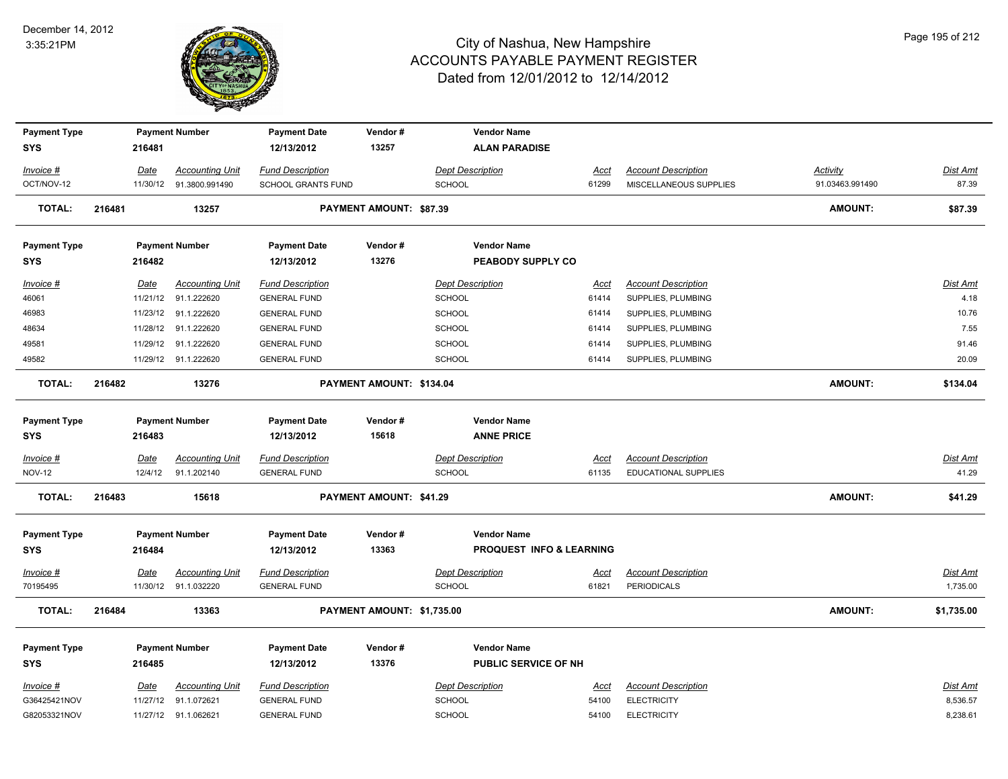

| <b>Payment Type</b> |        |             | <b>Payment Number</b>   | <b>Payment Date</b>       | Vendor#                    | <b>Vendor Name</b>                  |             |                             |                 |                 |
|---------------------|--------|-------------|-------------------------|---------------------------|----------------------------|-------------------------------------|-------------|-----------------------------|-----------------|-----------------|
| <b>SYS</b>          |        | 216481      |                         | 12/13/2012                | 13257                      | <b>ALAN PARADISE</b>                |             |                             |                 |                 |
| Invoice #           |        | Date        | <b>Accounting Unit</b>  | <b>Fund Description</b>   |                            | <b>Dept Description</b>             | Acct        | <b>Account Description</b>  | Activity        | Dist Amt        |
| OCT/NOV-12          |        |             | 11/30/12 91.3800.991490 | <b>SCHOOL GRANTS FUND</b> |                            | <b>SCHOOL</b>                       | 61299       | MISCELLANEOUS SUPPLIES      | 91.03463.991490 | 87.39           |
| <b>TOTAL:</b>       | 216481 |             | 13257                   |                           | PAYMENT AMOUNT: \$87.39    |                                     |             |                             | <b>AMOUNT:</b>  | \$87.39         |
|                     |        |             |                         |                           |                            |                                     |             |                             |                 |                 |
| <b>Payment Type</b> |        |             | <b>Payment Number</b>   | <b>Payment Date</b>       | Vendor#                    | <b>Vendor Name</b>                  |             |                             |                 |                 |
| <b>SYS</b>          |        | 216482      |                         | 12/13/2012                | 13276                      | PEABODY SUPPLY CO                   |             |                             |                 |                 |
| Invoice #           |        | Date        | <b>Accounting Unit</b>  | <b>Fund Description</b>   |                            | <b>Dept Description</b>             | <u>Acct</u> | <b>Account Description</b>  |                 | Dist Amt        |
| 46061               |        |             | 11/21/12 91.1.222620    | <b>GENERAL FUND</b>       |                            | <b>SCHOOL</b>                       | 61414       | SUPPLIES, PLUMBING          |                 | 4.18            |
| 46983               |        |             | 11/23/12 91.1.222620    | <b>GENERAL FUND</b>       |                            | <b>SCHOOL</b>                       | 61414       | SUPPLIES, PLUMBING          |                 | 10.76           |
| 48634               |        | 11/28/12    | 91.1.222620             | <b>GENERAL FUND</b>       |                            | <b>SCHOOL</b>                       | 61414       | SUPPLIES, PLUMBING          |                 | 7.55            |
| 49581               |        |             | 11/29/12 91.1.222620    | <b>GENERAL FUND</b>       |                            | <b>SCHOOL</b>                       | 61414       | SUPPLIES, PLUMBING          |                 | 91.46           |
| 49582               |        |             | 11/29/12 91.1.222620    | <b>GENERAL FUND</b>       |                            | <b>SCHOOL</b>                       | 61414       | SUPPLIES, PLUMBING          |                 | 20.09           |
| <b>TOTAL:</b>       | 216482 |             | 13276                   |                           | PAYMENT AMOUNT: \$134.04   |                                     |             |                             | <b>AMOUNT:</b>  | \$134.04        |
|                     |        |             |                         |                           |                            |                                     |             |                             |                 |                 |
| <b>Payment Type</b> |        |             | <b>Payment Number</b>   | <b>Payment Date</b>       | Vendor#                    | <b>Vendor Name</b>                  |             |                             |                 |                 |
| <b>SYS</b>          |        | 216483      |                         | 12/13/2012                | 15618                      | <b>ANNE PRICE</b>                   |             |                             |                 |                 |
| Invoice #           |        | Date        | <b>Accounting Unit</b>  | <b>Fund Description</b>   |                            | <b>Dept Description</b>             | Acct        | <b>Account Description</b>  |                 | Dist Amt        |
| <b>NOV-12</b>       |        | 12/4/12     | 91.1.202140             | <b>GENERAL FUND</b>       |                            | <b>SCHOOL</b>                       | 61135       | <b>EDUCATIONAL SUPPLIES</b> |                 | 41.29           |
| <b>TOTAL:</b>       | 216483 |             | 15618                   |                           | PAYMENT AMOUNT: \$41.29    |                                     |             |                             | <b>AMOUNT:</b>  | \$41.29         |
|                     |        |             |                         |                           |                            |                                     |             |                             |                 |                 |
| <b>Payment Type</b> |        |             | <b>Payment Number</b>   | <b>Payment Date</b>       | Vendor#                    | <b>Vendor Name</b>                  |             |                             |                 |                 |
| <b>SYS</b>          |        | 216484      |                         | 12/13/2012                | 13363                      | <b>PROQUEST INFO &amp; LEARNING</b> |             |                             |                 |                 |
| Invoice #           |        | Date        | <b>Accounting Unit</b>  | <b>Fund Description</b>   |                            | <b>Dept Description</b>             | <u>Acct</u> | <b>Account Description</b>  |                 | <b>Dist Amt</b> |
| 70195495            |        |             | 11/30/12 91.1.032220    | <b>GENERAL FUND</b>       |                            | <b>SCHOOL</b>                       | 61821       | <b>PERIODICALS</b>          |                 | 1,735.00        |
| <b>TOTAL:</b>       | 216484 |             | 13363                   |                           | PAYMENT AMOUNT: \$1,735.00 |                                     |             |                             | <b>AMOUNT:</b>  | \$1,735.00      |
| <b>Payment Type</b> |        |             | <b>Payment Number</b>   | <b>Payment Date</b>       | Vendor#                    | <b>Vendor Name</b>                  |             |                             |                 |                 |
| <b>SYS</b>          |        | 216485      |                         | 12/13/2012                | 13376                      | <b>PUBLIC SERVICE OF NH</b>         |             |                             |                 |                 |
| Invoice #           |        | <b>Date</b> | <b>Accounting Unit</b>  | <b>Fund Description</b>   |                            | <b>Dept Description</b>             | Acct        | <b>Account Description</b>  |                 | Dist Amt        |
| G36425421NOV        |        |             | 11/27/12 91.1.072621    | <b>GENERAL FUND</b>       |                            | <b>SCHOOL</b>                       | 54100       | <b>ELECTRICITY</b>          |                 | 8,536.57        |
| G82053321NOV        |        |             | 11/27/12 91.1.062621    | <b>GENERAL FUND</b>       |                            | <b>SCHOOL</b>                       | 54100       | <b>ELECTRICITY</b>          |                 | 8,238.61        |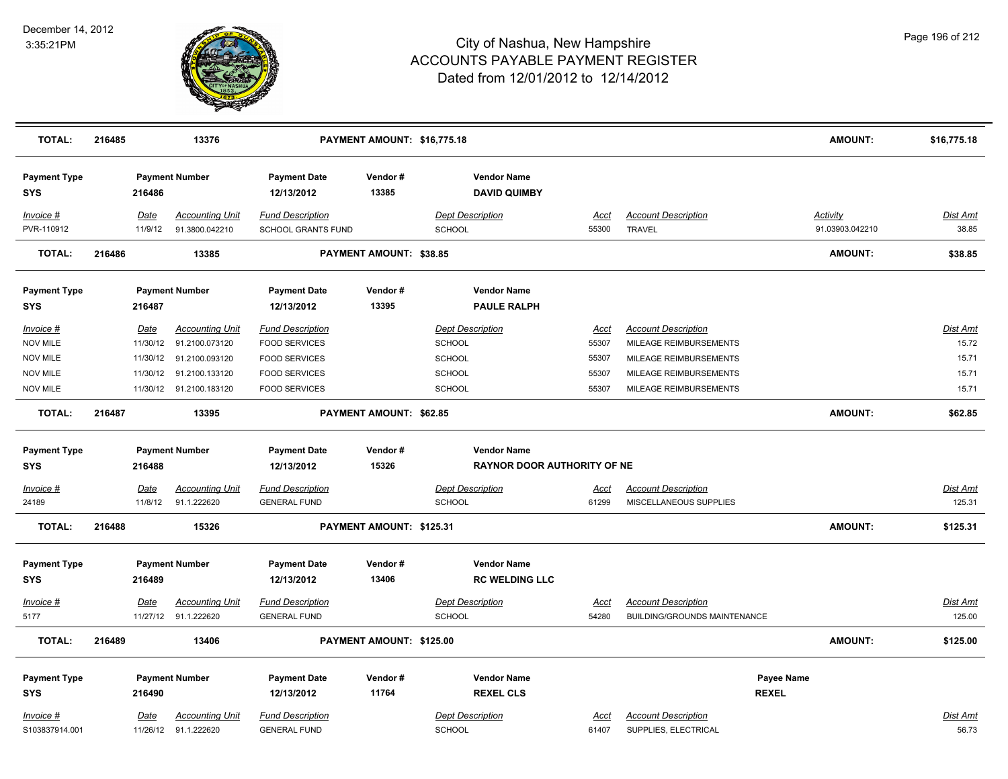

| <b>TOTAL:</b>                     | 216485 |                        | 13376                                    |                                                      | PAYMENT AMOUNT: \$16,775.18 |                                           |                      |                                                    | <b>AMOUNT:</b>              | \$16,775.18              |
|-----------------------------------|--------|------------------------|------------------------------------------|------------------------------------------------------|-----------------------------|-------------------------------------------|----------------------|----------------------------------------------------|-----------------------------|--------------------------|
| <b>Payment Type</b><br><b>SYS</b> |        | 216486                 | <b>Payment Number</b>                    | <b>Payment Date</b><br>12/13/2012                    | Vendor #<br>13385           | <b>Vendor Name</b><br><b>DAVID QUIMBY</b> |                      |                                                    |                             |                          |
| $Invoice$ #<br>PVR-110912         |        | <u>Date</u><br>11/9/12 | <b>Accounting Unit</b><br>91.3800.042210 | <b>Fund Description</b><br><b>SCHOOL GRANTS FUND</b> |                             | <b>Dept Description</b><br>SCHOOL         | <u>Acct</u><br>55300 | <b>Account Description</b><br><b>TRAVEL</b>        | Activity<br>91.03903.042210 | <b>Dist Amt</b><br>38.85 |
| <b>TOTAL:</b>                     | 216486 |                        | 13385                                    |                                                      | PAYMENT AMOUNT: \$38.85     |                                           |                      |                                                    | <b>AMOUNT:</b>              | \$38.85                  |
| <b>Payment Type</b><br><b>SYS</b> |        | 216487                 | <b>Payment Number</b>                    | <b>Payment Date</b><br>12/13/2012                    | Vendor#<br>13395            | <b>Vendor Name</b><br><b>PAULE RALPH</b>  |                      |                                                    |                             |                          |
| Invoice #                         |        | <b>Date</b>            | <b>Accounting Unit</b>                   | <b>Fund Description</b>                              |                             | <b>Dept Description</b>                   | Acct                 | <b>Account Description</b>                         |                             | <b>Dist Amt</b>          |
| <b>NOV MILE</b>                   |        | 11/30/12               | 91.2100.073120                           | <b>FOOD SERVICES</b>                                 |                             | <b>SCHOOL</b>                             | 55307                | MILEAGE REIMBURSEMENTS                             |                             | 15.72                    |
| <b>NOV MILE</b>                   |        | 11/30/12               | 91.2100.093120                           | <b>FOOD SERVICES</b>                                 |                             | <b>SCHOOL</b>                             | 55307                | MILEAGE REIMBURSEMENTS                             |                             | 15.71                    |
| <b>NOV MILE</b>                   |        | 11/30/12               | 91.2100.133120                           | <b>FOOD SERVICES</b>                                 |                             | <b>SCHOOL</b>                             | 55307                | MILEAGE REIMBURSEMENTS                             |                             | 15.71                    |
| <b>NOV MILE</b>                   |        |                        | 11/30/12 91.2100.183120                  | <b>FOOD SERVICES</b>                                 |                             | <b>SCHOOL</b>                             | 55307                | MILEAGE REIMBURSEMENTS                             |                             | 15.71                    |
| <b>TOTAL:</b>                     | 216487 |                        | 13395                                    |                                                      | PAYMENT AMOUNT: \$62.85     |                                           |                      |                                                    | <b>AMOUNT:</b>              | \$62.85                  |
| <b>Payment Type</b>               |        |                        | <b>Payment Number</b>                    | <b>Payment Date</b>                                  | Vendor#                     | <b>Vendor Name</b>                        |                      |                                                    |                             |                          |
| <b>SYS</b>                        |        | 216488                 |                                          | 12/13/2012                                           | 15326                       | <b>RAYNOR DOOR AUTHORITY OF NE</b>        |                      |                                                    |                             |                          |
| $Invoice$ #                       |        | Date                   | <b>Accounting Unit</b>                   | <b>Fund Description</b>                              |                             | <b>Dept Description</b>                   |                      | <b>Account Description</b>                         |                             | Dist Amt                 |
| 24189                             |        | 11/8/12                | 91.1.222620                              | <b>GENERAL FUND</b>                                  |                             | SCHOOL                                    | <u>Acct</u><br>61299 | MISCELLANEOUS SUPPLIES                             |                             | 125.31                   |
|                                   |        |                        |                                          |                                                      |                             |                                           |                      |                                                    |                             |                          |
| <b>TOTAL:</b>                     | 216488 |                        | 15326                                    |                                                      | PAYMENT AMOUNT: \$125.31    |                                           |                      |                                                    | <b>AMOUNT:</b>              | \$125.31                 |
| <b>Payment Type</b>               |        |                        | <b>Payment Number</b>                    | <b>Payment Date</b>                                  | Vendor#                     | <b>Vendor Name</b>                        |                      |                                                    |                             |                          |
| <b>SYS</b>                        |        | 216489                 |                                          | 12/13/2012                                           | 13406                       | <b>RC WELDING LLC</b>                     |                      |                                                    |                             |                          |
| Invoice #                         |        | Date                   | <b>Accounting Unit</b>                   | <b>Fund Description</b>                              |                             | <b>Dept Description</b>                   | Acct                 | <b>Account Description</b>                         |                             | Dist Amt                 |
| 5177                              |        |                        | 11/27/12 91.1.222620                     | <b>GENERAL FUND</b>                                  |                             | <b>SCHOOL</b>                             | 54280                | <b>BUILDING/GROUNDS MAINTENANCE</b>                |                             | 125.00                   |
|                                   |        |                        |                                          |                                                      |                             |                                           |                      |                                                    |                             |                          |
| <b>TOTAL:</b>                     | 216489 |                        | 13406                                    |                                                      | PAYMENT AMOUNT: \$125.00    |                                           |                      |                                                    | <b>AMOUNT:</b>              | \$125.00                 |
| <b>Payment Type</b>               |        |                        | <b>Payment Number</b>                    | <b>Payment Date</b>                                  | Vendor#                     | <b>Vendor Name</b>                        |                      |                                                    | Payee Name                  |                          |
| <b>SYS</b>                        |        | 216490                 |                                          | 12/13/2012                                           | 11764                       | <b>REXEL CLS</b>                          |                      |                                                    | <b>REXEL</b>                |                          |
|                                   |        |                        | Accounting Unit                          |                                                      |                             | <b>Dept Description</b>                   |                      |                                                    |                             |                          |
| Invoice #<br>S103837914.001       |        | <b>Date</b>            | 11/26/12 91.1.222620                     | <b>Fund Description</b><br><b>GENERAL FUND</b>       |                             | SCHOOL                                    | <u>Acct</u><br>61407 | <b>Account Description</b><br>SUPPLIES, ELECTRICAL |                             | <u>Dist Amt</u><br>56.73 |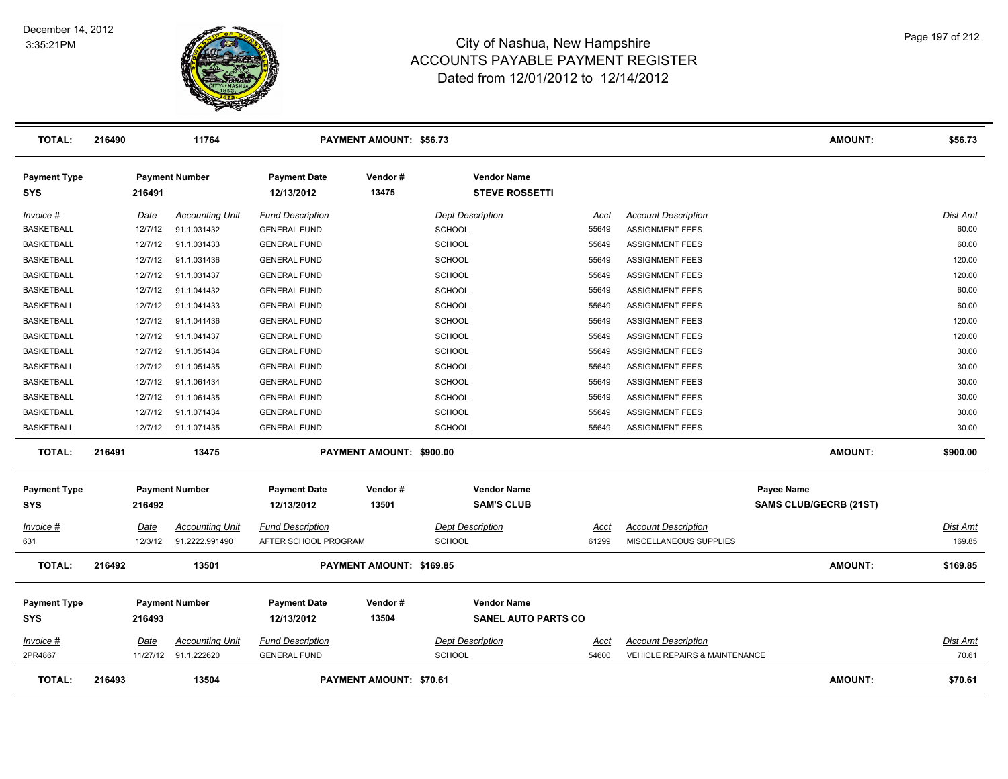

| <b>TOTAL:</b>                     | 216490      | 11764                  |                                   | <b>PAYMENT AMOUNT: \$56.73</b> |                                                  |             |                                          | <b>AMOUNT:</b>                | \$56.73         |
|-----------------------------------|-------------|------------------------|-----------------------------------|--------------------------------|--------------------------------------------------|-------------|------------------------------------------|-------------------------------|-----------------|
| <b>Payment Type</b><br><b>SYS</b> | 216491      | <b>Payment Number</b>  | <b>Payment Date</b><br>12/13/2012 | Vendor#<br>13475               | <b>Vendor Name</b><br><b>STEVE ROSSETTI</b>      |             |                                          |                               |                 |
| <u>Invoice #</u>                  | Date        | <b>Accounting Unit</b> | <b>Fund Description</b>           |                                | <b>Dept Description</b>                          | <u>Acct</u> | <b>Account Description</b>               |                               | Dist Amt        |
| <b>BASKETBALL</b>                 | 12/7/12     | 91.1.031432            | <b>GENERAL FUND</b>               |                                | <b>SCHOOL</b>                                    | 55649       | <b>ASSIGNMENT FEES</b>                   |                               | 60.00           |
| <b>BASKETBALL</b>                 | 12/7/12     | 91.1.031433            | <b>GENERAL FUND</b>               |                                | <b>SCHOOL</b>                                    | 55649       | <b>ASSIGNMENT FEES</b>                   |                               | 60.00           |
| <b>BASKETBALL</b>                 | 12/7/12     | 91.1.031436            | <b>GENERAL FUND</b>               |                                | <b>SCHOOL</b>                                    | 55649       | <b>ASSIGNMENT FEES</b>                   |                               | 120.00          |
| <b>BASKETBALL</b>                 | 12/7/12     | 91.1.031437            | <b>GENERAL FUND</b>               |                                | SCHOOL                                           | 55649       | <b>ASSIGNMENT FEES</b>                   |                               | 120.00          |
| <b>BASKETBALL</b>                 | 12/7/12     | 91.1.041432            | <b>GENERAL FUND</b>               |                                | SCHOOL                                           | 55649       | <b>ASSIGNMENT FEES</b>                   |                               | 60.00           |
| <b>BASKETBALL</b>                 | 12/7/12     | 91.1.041433            | <b>GENERAL FUND</b>               |                                | SCHOOL                                           | 55649       | <b>ASSIGNMENT FEES</b>                   |                               | 60.00           |
| <b>BASKETBALL</b>                 | 12/7/12     | 91.1.041436            | <b>GENERAL FUND</b>               |                                | <b>SCHOOL</b>                                    | 55649       | <b>ASSIGNMENT FEES</b>                   |                               | 120.00          |
| <b>BASKETBALL</b>                 | 12/7/12     | 91.1.041437            | <b>GENERAL FUND</b>               |                                | <b>SCHOOL</b>                                    | 55649       | <b>ASSIGNMENT FEES</b>                   |                               | 120.00          |
| <b>BASKETBALL</b>                 | 12/7/12     | 91.1.051434            | <b>GENERAL FUND</b>               |                                | <b>SCHOOL</b>                                    | 55649       | <b>ASSIGNMENT FEES</b>                   |                               | 30.00           |
| <b>BASKETBALL</b>                 | 12/7/12     | 91.1.051435            | <b>GENERAL FUND</b>               |                                | <b>SCHOOL</b>                                    | 55649       | <b>ASSIGNMENT FEES</b>                   |                               | 30.00           |
| <b>BASKETBALL</b>                 | 12/7/12     | 91.1.061434            | <b>GENERAL FUND</b>               |                                | <b>SCHOOL</b>                                    | 55649       | <b>ASSIGNMENT FEES</b>                   |                               | 30.00           |
| <b>BASKETBALL</b>                 | 12/7/12     | 91.1.061435            | <b>GENERAL FUND</b>               |                                | <b>SCHOOL</b>                                    | 55649       | <b>ASSIGNMENT FEES</b>                   |                               | 30.00           |
| <b>BASKETBALL</b>                 | 12/7/12     | 91.1.071434            | <b>GENERAL FUND</b>               |                                | <b>SCHOOL</b>                                    | 55649       | <b>ASSIGNMENT FEES</b>                   |                               | 30.00           |
| <b>BASKETBALL</b>                 |             | 12/7/12 91.1.071435    | <b>GENERAL FUND</b>               |                                | <b>SCHOOL</b>                                    | 55649       | <b>ASSIGNMENT FEES</b>                   |                               | 30.00           |
| <b>TOTAL:</b>                     | 216491      | 13475                  |                                   | PAYMENT AMOUNT: \$900.00       |                                                  |             |                                          | <b>AMOUNT:</b>                | \$900.00        |
| <b>Payment Type</b>               |             | <b>Payment Number</b>  | <b>Payment Date</b>               | Vendor#                        | <b>Vendor Name</b>                               |             |                                          | Payee Name                    |                 |
| <b>SYS</b>                        | 216492      |                        | 12/13/2012                        | 13501                          | <b>SAM'S CLUB</b>                                |             |                                          | <b>SAMS CLUB/GECRB (21ST)</b> |                 |
| <u>Invoice #</u>                  | Date        | <b>Accounting Unit</b> | <b>Fund Description</b>           |                                | <b>Dept Description</b>                          | Acct        | <b>Account Description</b>               |                               | Dist Amt        |
| 631                               | 12/3/12     | 91.2222.991490         | AFTER SCHOOL PROGRAM              |                                | <b>SCHOOL</b>                                    | 61299       | MISCELLANEOUS SUPPLIES                   |                               | 169.85          |
| <b>TOTAL:</b>                     | 216492      | 13501                  |                                   | PAYMENT AMOUNT: \$169.85       |                                                  |             |                                          | AMOUNT:                       | \$169.85        |
| <b>Payment Type</b><br><b>SYS</b> | 216493      | <b>Payment Number</b>  | <b>Payment Date</b><br>12/13/2012 | Vendor#<br>13504               | <b>Vendor Name</b><br><b>SANEL AUTO PARTS CO</b> |             |                                          |                               |                 |
| Invoice #                         | <b>Date</b> | <b>Accounting Unit</b> | <b>Fund Description</b>           |                                | <b>Dept Description</b>                          | <u>Acct</u> | <b>Account Description</b>               |                               | <b>Dist Amt</b> |
| 2PR4867                           |             | 11/27/12 91.1.222620   | <b>GENERAL FUND</b>               |                                | <b>SCHOOL</b>                                    | 54600       | <b>VEHICLE REPAIRS &amp; MAINTENANCE</b> |                               | 70.61           |
| <b>TOTAL:</b>                     | 216493      | 13504                  |                                   | PAYMENT AMOUNT: \$70.61        |                                                  |             |                                          | <b>AMOUNT:</b>                | \$70.61         |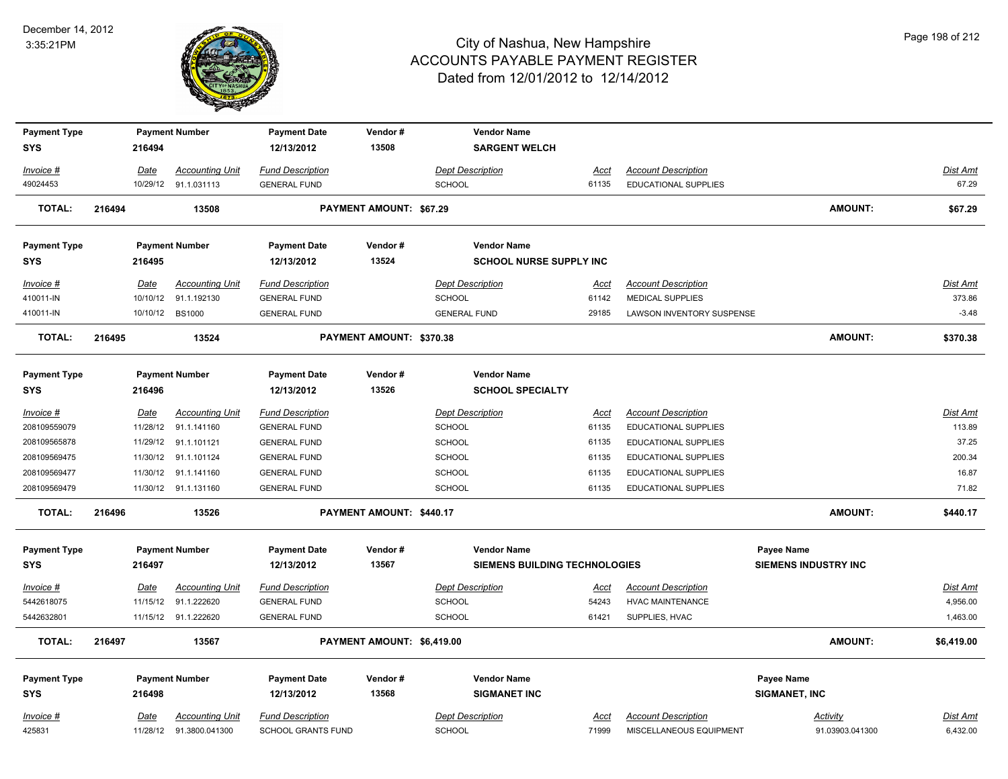

| <b>Payment Type</b> |        |             | <b>Payment Number</b>   | <b>Payment Date</b>     | Vendor#                    | <b>Vendor Name</b>                   |             |                             |                             |                 |
|---------------------|--------|-------------|-------------------------|-------------------------|----------------------------|--------------------------------------|-------------|-----------------------------|-----------------------------|-----------------|
| <b>SYS</b>          |        | 216494      |                         | 12/13/2012              | 13508                      | <b>SARGENT WELCH</b>                 |             |                             |                             |                 |
| Invoice #           |        | <u>Date</u> | <b>Accounting Unit</b>  | <b>Fund Description</b> |                            | <b>Dept Description</b>              | Acct        | <b>Account Description</b>  |                             | <b>Dist Amt</b> |
| 49024453            |        | 10/29/12    | 91.1.031113             | <b>GENERAL FUND</b>     |                            | SCHOOL                               | 61135       | <b>EDUCATIONAL SUPPLIES</b> |                             | 67.29           |
| <b>TOTAL:</b>       | 216494 |             | 13508                   |                         | PAYMENT AMOUNT: \$67.29    |                                      |             |                             | <b>AMOUNT:</b>              | \$67.29         |
| <b>Payment Type</b> |        |             | <b>Payment Number</b>   | <b>Payment Date</b>     | Vendor#                    | <b>Vendor Name</b>                   |             |                             |                             |                 |
| <b>SYS</b>          |        | 216495      |                         | 12/13/2012              | 13524                      | <b>SCHOOL NURSE SUPPLY INC</b>       |             |                             |                             |                 |
| Invoice #           |        | <u>Date</u> | <b>Accounting Unit</b>  | <b>Fund Description</b> |                            | <b>Dept Description</b>              | <u>Acct</u> | <b>Account Description</b>  |                             | <b>Dist Amt</b> |
| 410011-IN           |        | 10/10/12    | 91.1.192130             | <b>GENERAL FUND</b>     |                            | SCHOOL                               | 61142       | <b>MEDICAL SUPPLIES</b>     |                             | 373.86          |
| 410011-IN           |        |             | 10/10/12 BS1000         | <b>GENERAL FUND</b>     |                            | <b>GENERAL FUND</b>                  | 29185       | LAWSON INVENTORY SUSPENSE   |                             | $-3.48$         |
| <b>TOTAL:</b>       | 216495 |             | 13524                   |                         | PAYMENT AMOUNT: \$370.38   |                                      |             |                             | <b>AMOUNT:</b>              | \$370.38        |
| <b>Payment Type</b> |        |             | <b>Payment Number</b>   | <b>Payment Date</b>     | Vendor#                    | <b>Vendor Name</b>                   |             |                             |                             |                 |
| <b>SYS</b>          |        | 216496      |                         | 12/13/2012              | 13526                      | <b>SCHOOL SPECIALTY</b>              |             |                             |                             |                 |
| Invoice #           |        | Date        | <b>Accounting Unit</b>  | <b>Fund Description</b> |                            | <b>Dept Description</b>              | Acct        | <b>Account Description</b>  |                             | <b>Dist Amt</b> |
| 208109559079        |        | 11/28/12    | 91.1.141160             | <b>GENERAL FUND</b>     |                            | SCHOOL                               | 61135       | EDUCATIONAL SUPPLIES        |                             | 113.89          |
| 208109565878        |        |             | 11/29/12 91.1.101121    | <b>GENERAL FUND</b>     |                            | SCHOOL                               | 61135       | EDUCATIONAL SUPPLIES        |                             | 37.25           |
| 208109569475        |        | 11/30/12    | 91.1.101124             | <b>GENERAL FUND</b>     |                            | <b>SCHOOL</b>                        | 61135       | EDUCATIONAL SUPPLIES        |                             | 200.34          |
| 208109569477        |        | 11/30/12    | 91.1.141160             | <b>GENERAL FUND</b>     |                            | SCHOOL                               | 61135       | EDUCATIONAL SUPPLIES        |                             | 16.87           |
| 208109569479        |        |             | 11/30/12 91.1.131160    | <b>GENERAL FUND</b>     |                            | <b>SCHOOL</b>                        | 61135       | EDUCATIONAL SUPPLIES        |                             | 71.82           |
| <b>TOTAL:</b>       | 216496 |             | 13526                   |                         | PAYMENT AMOUNT: \$440.17   |                                      |             |                             | <b>AMOUNT:</b>              | \$440.17        |
| <b>Payment Type</b> |        |             | <b>Payment Number</b>   | <b>Payment Date</b>     | Vendor#                    | <b>Vendor Name</b>                   |             |                             | Payee Name                  |                 |
| <b>SYS</b>          |        | 216497      |                         | 12/13/2012              | 13567                      | <b>SIEMENS BUILDING TECHNOLOGIES</b> |             |                             | <b>SIEMENS INDUSTRY INC</b> |                 |
| $Invoice$ #         |        | Date        | <b>Accounting Unit</b>  | <b>Fund Description</b> |                            | <b>Dept Description</b>              | <u>Acct</u> | <b>Account Description</b>  |                             | <b>Dist Amt</b> |
| 5442618075          |        | 11/15/12    | 91.1.222620             | <b>GENERAL FUND</b>     |                            | <b>SCHOOL</b>                        | 54243       | <b>HVAC MAINTENANCE</b>     |                             | 4,956.00        |
| 5442632801          |        |             | 11/15/12 91.1.222620    | <b>GENERAL FUND</b>     |                            | SCHOOL                               | 61421       | SUPPLIES, HVAC              |                             | 1,463.00        |
| <b>TOTAL:</b>       | 216497 |             | 13567                   |                         | PAYMENT AMOUNT: \$6,419.00 |                                      |             |                             | <b>AMOUNT:</b>              | \$6,419.00      |
|                     |        |             |                         |                         |                            |                                      |             |                             |                             |                 |
| <b>Payment Type</b> |        |             | <b>Payment Number</b>   | <b>Payment Date</b>     | Vendor#                    | <b>Vendor Name</b>                   |             |                             | Payee Name                  |                 |
| <b>SYS</b>          |        | 216498      |                         | 12/13/2012              | 13568                      | <b>SIGMANET INC</b>                  |             |                             | SIGMANET, INC               |                 |
| Invoice #           |        | Date        | <b>Accounting Unit</b>  | <b>Fund Description</b> |                            | <b>Dept Description</b>              | Acct        | <b>Account Description</b>  | Activity                    | Dist Amt        |
| 425831              |        |             | 11/28/12 91.3800.041300 | SCHOOL GRANTS FUND      |                            | <b>SCHOOL</b>                        | 71999       | MISCELLANEOUS EQUIPMENT     | 91.03903.041300             | 6,432.00        |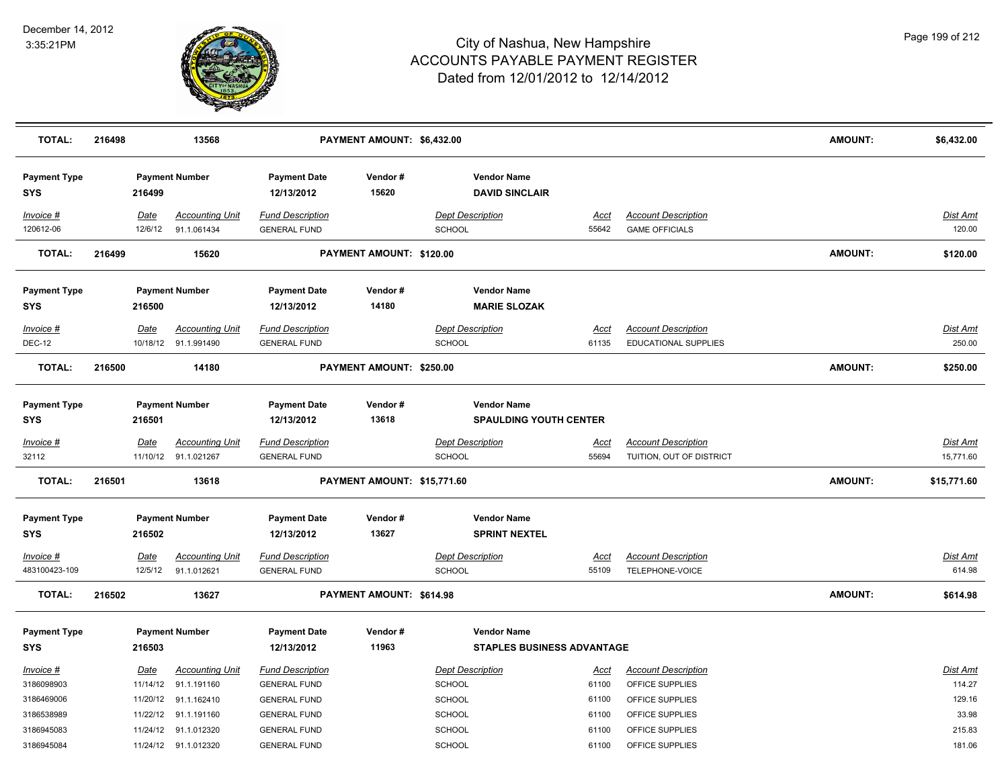

| <b>TOTAL:</b>                     | 216498 |                 | 13568                                          |                                                | PAYMENT AMOUNT: \$6,432.00  |                                                         |                      |                                                        | <b>AMOUNT:</b> | \$6,432.00                |
|-----------------------------------|--------|-----------------|------------------------------------------------|------------------------------------------------|-----------------------------|---------------------------------------------------------|----------------------|--------------------------------------------------------|----------------|---------------------------|
| <b>Payment Type</b><br><b>SYS</b> |        | 216499          | <b>Payment Number</b>                          | <b>Payment Date</b><br>12/13/2012              | Vendor#<br>15620            | <b>Vendor Name</b><br><b>DAVID SINCLAIR</b>             |                      |                                                        |                |                           |
| Invoice #<br>120612-06            |        | Date<br>12/6/12 | <b>Accounting Unit</b><br>91.1.061434          | <b>Fund Description</b><br><b>GENERAL FUND</b> |                             | <b>Dept Description</b><br>SCHOOL                       | <u>Acct</u><br>55642 | <b>Account Description</b><br><b>GAME OFFICIALS</b>    |                | <b>Dist Amt</b><br>120.00 |
| <b>TOTAL:</b>                     | 216499 |                 | 15620                                          |                                                | PAYMENT AMOUNT: \$120.00    |                                                         |                      |                                                        | <b>AMOUNT:</b> | \$120.00                  |
| <b>Payment Type</b><br><b>SYS</b> |        | 216500          | <b>Payment Number</b>                          | <b>Payment Date</b><br>12/13/2012              | Vendor#<br>14180            | <b>Vendor Name</b><br><b>MARIE SLOZAK</b>               |                      |                                                        |                |                           |
| Invoice #                         |        | Date            | <b>Accounting Unit</b>                         | <b>Fund Description</b>                        |                             | <b>Dept Description</b>                                 | Acct                 | <b>Account Description</b>                             |                | Dist Amt                  |
| <b>DEC-12</b>                     |        |                 | 10/18/12 91.1.991490                           | <b>GENERAL FUND</b>                            |                             | <b>SCHOOL</b>                                           | 61135                | EDUCATIONAL SUPPLIES                                   |                | 250.00                    |
| <b>TOTAL:</b>                     | 216500 |                 | 14180                                          |                                                | PAYMENT AMOUNT: \$250.00    |                                                         |                      |                                                        | <b>AMOUNT:</b> | \$250.00                  |
| <b>Payment Type</b><br><b>SYS</b> |        | 216501          | <b>Payment Number</b>                          | <b>Payment Date</b><br>12/13/2012              | Vendor#<br>13618            | <b>Vendor Name</b><br><b>SPAULDING YOUTH CENTER</b>     |                      |                                                        |                |                           |
| Invoice #<br>32112                |        | <b>Date</b>     | <b>Accounting Unit</b><br>11/10/12 91.1.021267 | <b>Fund Description</b><br><b>GENERAL FUND</b> |                             | <b>Dept Description</b><br><b>SCHOOL</b>                | <u>Acct</u><br>55694 | <b>Account Description</b><br>TUITION, OUT OF DISTRICT |                | Dist Amt<br>15,771.60     |
| <b>TOTAL:</b>                     | 216501 |                 | 13618                                          |                                                | PAYMENT AMOUNT: \$15,771.60 |                                                         |                      |                                                        | <b>AMOUNT:</b> | \$15,771.60               |
| <b>Payment Type</b><br><b>SYS</b> |        | 216502          | <b>Payment Number</b>                          | <b>Payment Date</b><br>12/13/2012              | Vendor#<br>13627            | <b>Vendor Name</b><br><b>SPRINT NEXTEL</b>              |                      |                                                        |                |                           |
| Invoice #                         |        | Date            | <b>Accounting Unit</b>                         | <b>Fund Description</b>                        |                             | <b>Dept Description</b>                                 | <b>Acct</b>          | <b>Account Description</b>                             |                | <b>Dist Amt</b>           |
| 483100423-109                     |        | 12/5/12         | 91.1.012621                                    | <b>GENERAL FUND</b>                            |                             | <b>SCHOOL</b>                                           | 55109                | TELEPHONE-VOICE                                        |                | 614.98                    |
| <b>TOTAL:</b>                     | 216502 |                 | 13627                                          |                                                | PAYMENT AMOUNT: \$614.98    |                                                         |                      |                                                        | <b>AMOUNT:</b> | \$614.98                  |
| <b>Payment Type</b><br><b>SYS</b> |        | 216503          | <b>Payment Number</b>                          | <b>Payment Date</b><br>12/13/2012              | Vendor#<br>11963            | <b>Vendor Name</b><br><b>STAPLES BUSINESS ADVANTAGE</b> |                      |                                                        |                |                           |
| <b>Invoice #</b>                  |        | <u>Date</u>     | <b>Accounting Unit</b>                         | <b>Fund Description</b>                        |                             | <b>Dept Description</b>                                 | <u>Acct</u>          | <b>Account Description</b>                             |                | <b>Dist Amt</b>           |
| 3186098903                        |        |                 | 11/14/12 91.1.191160                           | <b>GENERAL FUND</b>                            |                             | <b>SCHOOL</b>                                           | 61100                | OFFICE SUPPLIES                                        |                | 114.27                    |
| 3186469006                        |        |                 | 11/20/12 91.1.162410                           | <b>GENERAL FUND</b>                            |                             | SCHOOL                                                  | 61100                | OFFICE SUPPLIES                                        |                | 129.16                    |
| 3186538989                        |        |                 | 11/22/12 91.1.191160                           | <b>GENERAL FUND</b>                            |                             | <b>SCHOOL</b>                                           | 61100                | OFFICE SUPPLIES                                        |                | 33.98                     |
| 3186945083                        |        |                 | 11/24/12 91.1.012320                           | <b>GENERAL FUND</b>                            |                             | <b>SCHOOL</b>                                           | 61100                | OFFICE SUPPLIES                                        |                | 215.83                    |
| 3186945084                        |        |                 | 11/24/12 91.1.012320                           | <b>GENERAL FUND</b>                            |                             | <b>SCHOOL</b>                                           | 61100                | OFFICE SUPPLIES                                        |                | 181.06                    |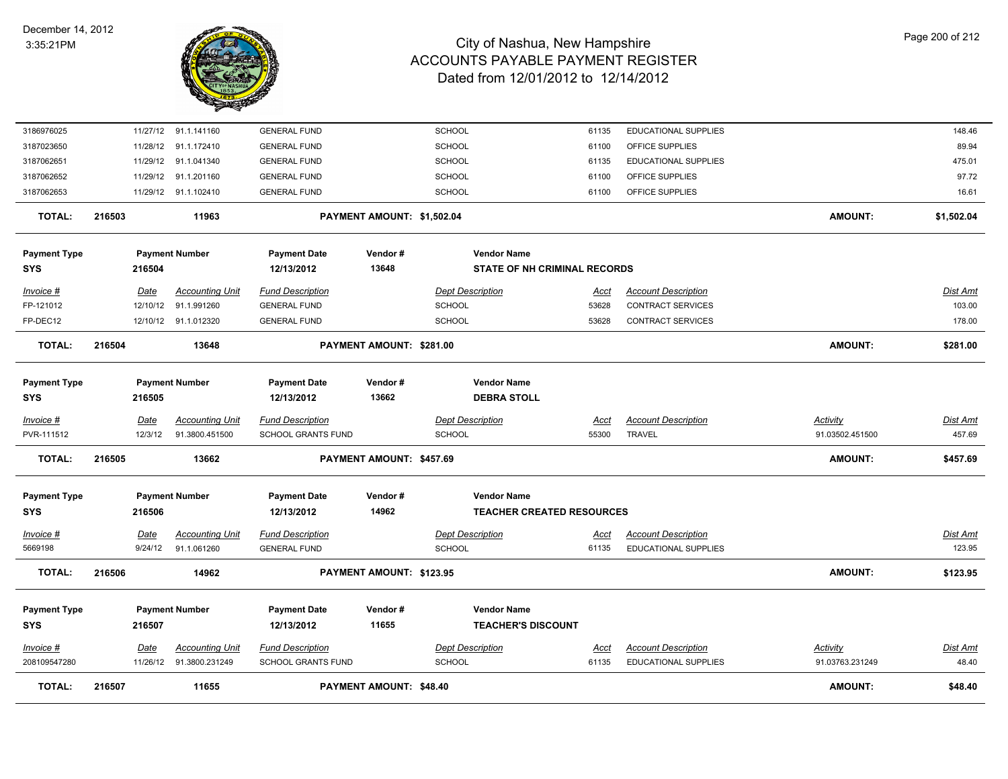

| <b>TOTAL:</b>                     | 216507                 | 11655                                    |                                                      | <b>PAYMENT AMOUNT: \$48.40</b> |                                                        |                      |                                                           | <b>AMOUNT:</b>              | \$48.40                   |
|-----------------------------------|------------------------|------------------------------------------|------------------------------------------------------|--------------------------------|--------------------------------------------------------|----------------------|-----------------------------------------------------------|-----------------------------|---------------------------|
| $Invoice$ #<br>208109547280       | Date<br>11/26/12       | <b>Accounting Unit</b><br>91.3800.231249 | <b>Fund Description</b><br><b>SCHOOL GRANTS FUND</b> |                                | <b>Dept Description</b><br><b>SCHOOL</b>               | <u>Acct</u><br>61135 | <b>Account Description</b><br>EDUCATIONAL SUPPLIES        | Activity<br>91.03763.231249 | Dist Amt<br>48.40         |
| <b>Payment Type</b><br><b>SYS</b> | 216507                 | <b>Payment Number</b>                    | <b>Payment Date</b><br>12/13/2012                    | Vendor#<br>11655               | <b>Vendor Name</b><br><b>TEACHER'S DISCOUNT</b>        |                      |                                                           |                             |                           |
| <b>TOTAL:</b>                     | 216506                 | 14962                                    |                                                      | PAYMENT AMOUNT: \$123.95       |                                                        |                      |                                                           | <b>AMOUNT:</b>              | \$123.95                  |
| <u>Invoice #</u><br>5669198       | <u>Date</u><br>9/24/12 | <b>Accounting Unit</b><br>91.1.061260    | <b>Fund Description</b><br><b>GENERAL FUND</b>       |                                | <b>Dept Description</b><br><b>SCHOOL</b>               | <u>Acct</u><br>61135 | <b>Account Description</b><br><b>EDUCATIONAL SUPPLIES</b> |                             | <u>Dist Amt</u><br>123.95 |
| <b>Payment Type</b><br><b>SYS</b> | 216506                 | <b>Payment Number</b>                    | <b>Payment Date</b><br>12/13/2012                    | Vendor#<br>14962               | <b>Vendor Name</b><br><b>TEACHER CREATED RESOURCES</b> |                      |                                                           |                             |                           |
| <b>TOTAL:</b>                     | 216505                 | 13662                                    |                                                      | PAYMENT AMOUNT: \$457.69       |                                                        |                      |                                                           | <b>AMOUNT:</b>              | \$457.69                  |
| PVR-111512                        | 12/3/12                | 91.3800.451500                           | <b>SCHOOL GRANTS FUND</b>                            |                                | <b>SCHOOL</b>                                          | 55300                | <b>TRAVEL</b>                                             | 91.03502.451500             | 457.69                    |
| Invoice #                         | Date                   | <b>Accounting Unit</b>                   | <b>Fund Description</b>                              |                                | <b>Dept Description</b>                                | Acct                 | <b>Account Description</b>                                | <b>Activity</b>             | <b>Dist Amt</b>           |
| <b>Payment Type</b><br><b>SYS</b> | 216505                 | <b>Payment Number</b>                    | <b>Payment Date</b><br>12/13/2012                    | Vendor#<br>13662               | <b>Vendor Name</b><br><b>DEBRA STOLL</b>               |                      |                                                           |                             |                           |
| <b>TOTAL:</b>                     | 216504                 | 13648                                    |                                                      | PAYMENT AMOUNT: \$281.00       |                                                        |                      |                                                           | <b>AMOUNT:</b>              | \$281.00                  |
| FP-DEC12                          |                        | 12/10/12 91.1.012320                     | <b>GENERAL FUND</b>                                  |                                | <b>SCHOOL</b>                                          | 53628                | <b>CONTRACT SERVICES</b>                                  |                             | 178.00                    |
| Invoice #<br>FP-121012            | Date<br>12/10/12       | <b>Accounting Unit</b><br>91.1.991260    | <b>Fund Description</b><br><b>GENERAL FUND</b>       |                                | <b>Dept Description</b><br><b>SCHOOL</b>               | <u>Acct</u><br>53628 | <b>Account Description</b><br><b>CONTRACT SERVICES</b>    |                             | Dist Amt<br>103.00        |
| <b>SYS</b>                        | 216504                 |                                          | 12/13/2012                                           | 13648                          | <b>STATE OF NH CRIMINAL RECORDS</b>                    |                      |                                                           |                             |                           |
| <b>Payment Type</b>               |                        | <b>Payment Number</b>                    | <b>Payment Date</b>                                  | Vendor#                        | <b>Vendor Name</b>                                     |                      |                                                           |                             |                           |
| <b>TOTAL:</b>                     | 216503                 | 11963                                    |                                                      | PAYMENT AMOUNT: \$1,502.04     |                                                        |                      |                                                           | <b>AMOUNT:</b>              | \$1,502.04                |
| 3187062653                        |                        | 11/29/12 91.1.102410                     | <b>GENERAL FUND</b>                                  |                                | <b>SCHOOL</b>                                          | 61100                | OFFICE SUPPLIES                                           |                             | 16.61                     |
| 3187062652                        | 11/29/12               | 91.1.201160                              | <b>GENERAL FUND</b>                                  |                                | SCHOOL                                                 | 61100                | OFFICE SUPPLIES                                           |                             | 97.72                     |
| 3187062651                        | 11/29/12               | 91.1.041340                              | <b>GENERAL FUND</b>                                  |                                | SCHOOL                                                 | 61135                | EDUCATIONAL SUPPLIES                                      |                             | 475.01                    |
| 3187023650                        | 11/28/12               | 91.1.172410                              | <b>GENERAL FUND</b>                                  |                                | <b>SCHOOL</b>                                          | 61100                | OFFICE SUPPLIES                                           |                             | 89.94                     |
| 3186976025                        |                        | 11/27/12 91.1.141160                     | <b>GENERAL FUND</b>                                  |                                | <b>SCHOOL</b>                                          | 61135                | EDUCATIONAL SUPPLIES                                      |                             | 148.46                    |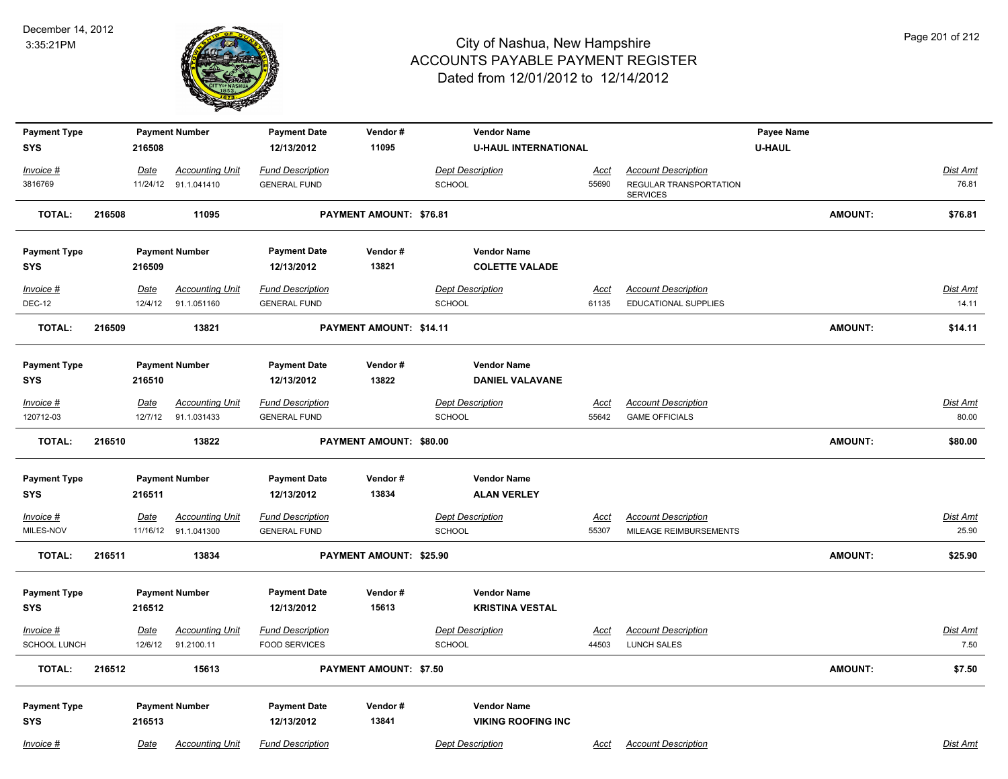

| <b>Payment Type</b> |        |             | <b>Payment Number</b>  | <b>Payment Date</b>     | Vendor#                 | <b>Vendor Name</b>          |             |                                           | Payee Name    |                |                 |
|---------------------|--------|-------------|------------------------|-------------------------|-------------------------|-----------------------------|-------------|-------------------------------------------|---------------|----------------|-----------------|
| <b>SYS</b>          |        | 216508      |                        | 12/13/2012              | 11095                   | <b>U-HAUL INTERNATIONAL</b> |             |                                           | <b>U-HAUL</b> |                |                 |
|                     |        |             |                        |                         |                         |                             |             |                                           |               |                |                 |
| Invoice #           |        | Date        | <b>Accounting Unit</b> | <b>Fund Description</b> |                         | <b>Dept Description</b>     | Acct        | <b>Account Description</b>                |               |                | <b>Dist Amt</b> |
| 3816769             |        |             | 11/24/12 91.1.041410   | <b>GENERAL FUND</b>     |                         | <b>SCHOOL</b>               | 55690       | REGULAR TRANSPORTATION<br><b>SERVICES</b> |               |                | 76.81           |
| <b>TOTAL:</b>       | 216508 |             | 11095                  |                         | PAYMENT AMOUNT: \$76.81 |                             |             |                                           |               | <b>AMOUNT:</b> | \$76.81         |
| <b>Payment Type</b> |        |             | <b>Payment Number</b>  | <b>Payment Date</b>     | Vendor#                 | <b>Vendor Name</b>          |             |                                           |               |                |                 |
| <b>SYS</b>          |        | 216509      |                        | 12/13/2012              | 13821                   | <b>COLETTE VALADE</b>       |             |                                           |               |                |                 |
|                     |        |             |                        |                         |                         |                             |             |                                           |               |                |                 |
| Invoice #           |        | <u>Date</u> | <b>Accounting Unit</b> | <b>Fund Description</b> |                         | <b>Dept Description</b>     | Acct        | <b>Account Description</b>                |               |                | Dist Amt        |
| <b>DEC-12</b>       |        | 12/4/12     | 91.1.051160            | <b>GENERAL FUND</b>     |                         | <b>SCHOOL</b>               | 61135       | EDUCATIONAL SUPPLIES                      |               |                | 14.11           |
| <b>TOTAL:</b>       | 216509 |             | 13821                  |                         | PAYMENT AMOUNT: \$14.11 |                             |             |                                           |               | <b>AMOUNT:</b> | \$14.11         |
|                     |        |             |                        |                         |                         |                             |             |                                           |               |                |                 |
| <b>Payment Type</b> |        |             | <b>Payment Number</b>  | <b>Payment Date</b>     | Vendor#                 | <b>Vendor Name</b>          |             |                                           |               |                |                 |
| <b>SYS</b>          |        | 216510      |                        | 12/13/2012              | 13822                   | <b>DANIEL VALAVANE</b>      |             |                                           |               |                |                 |
| Invoice #           |        | <u>Date</u> | <b>Accounting Unit</b> | <b>Fund Description</b> |                         | <b>Dept Description</b>     | <u>Acct</u> | <b>Account Description</b>                |               |                | Dist Amt        |
| 120712-03           |        | 12/7/12     | 91.1.031433            | <b>GENERAL FUND</b>     |                         | <b>SCHOOL</b>               | 55642       | <b>GAME OFFICIALS</b>                     |               |                | 80.00           |
|                     |        |             |                        |                         |                         |                             |             |                                           |               |                |                 |
| <b>TOTAL:</b>       | 216510 |             | 13822                  |                         | PAYMENT AMOUNT: \$80.00 |                             |             |                                           |               | <b>AMOUNT:</b> | \$80.00         |
| <b>Payment Type</b> |        |             | <b>Payment Number</b>  | <b>Payment Date</b>     | Vendor#                 | <b>Vendor Name</b>          |             |                                           |               |                |                 |
| <b>SYS</b>          |        | 216511      |                        | 12/13/2012              | 13834                   | <b>ALAN VERLEY</b>          |             |                                           |               |                |                 |
|                     |        |             |                        |                         |                         |                             |             |                                           |               |                |                 |
| Invoice #           |        | Date        | <b>Accounting Unit</b> | <b>Fund Description</b> |                         | <b>Dept Description</b>     | <b>Acct</b> | <b>Account Description</b>                |               |                | <b>Dist Amt</b> |
| MILES-NOV           |        |             | 11/16/12 91.1.041300   | <b>GENERAL FUND</b>     |                         | <b>SCHOOL</b>               | 55307       | MILEAGE REIMBURSEMENTS                    |               |                | 25.90           |
| <b>TOTAL:</b>       | 216511 |             | 13834                  |                         | PAYMENT AMOUNT: \$25.90 |                             |             |                                           |               | <b>AMOUNT:</b> | \$25.90         |
|                     |        |             |                        |                         |                         |                             |             |                                           |               |                |                 |
| <b>Payment Type</b> |        |             | <b>Payment Number</b>  | <b>Payment Date</b>     | Vendor#                 | <b>Vendor Name</b>          |             |                                           |               |                |                 |
| <b>SYS</b>          |        | 216512      |                        | 12/13/2012              | 15613                   | <b>KRISTINA VESTAL</b>      |             |                                           |               |                |                 |
| Invoice #           |        | <u>Date</u> | <b>Accounting Unit</b> | <b>Fund Description</b> |                         | <b>Dept Description</b>     | <u>Acct</u> | <b>Account Description</b>                |               |                | Dist Amt        |
| <b>SCHOOL LUNCH</b> |        |             | 12/6/12 91.2100.11     | <b>FOOD SERVICES</b>    |                         | <b>SCHOOL</b>               | 44503       | <b>LUNCH SALES</b>                        |               |                | 7.50            |
| TOTAL:              | 216512 |             | 15613                  |                         | PAYMENT AMOUNT: \$7.50  |                             |             |                                           |               | <b>AMOUNT:</b> | \$7.50          |
|                     |        |             |                        |                         |                         |                             |             |                                           |               |                |                 |
| <b>Payment Type</b> |        |             | <b>Payment Number</b>  | <b>Payment Date</b>     | Vendor#                 | <b>Vendor Name</b>          |             |                                           |               |                |                 |
| <b>SYS</b>          |        | 216513      |                        | 12/13/2012              | 13841                   | <b>VIKING ROOFING INC</b>   |             |                                           |               |                |                 |
| Invoice #           |        | Date        | <b>Accounting Unit</b> | <b>Fund Description</b> |                         | <b>Dept Description</b>     | Acct        | <b>Account Description</b>                |               |                | Dist Amt        |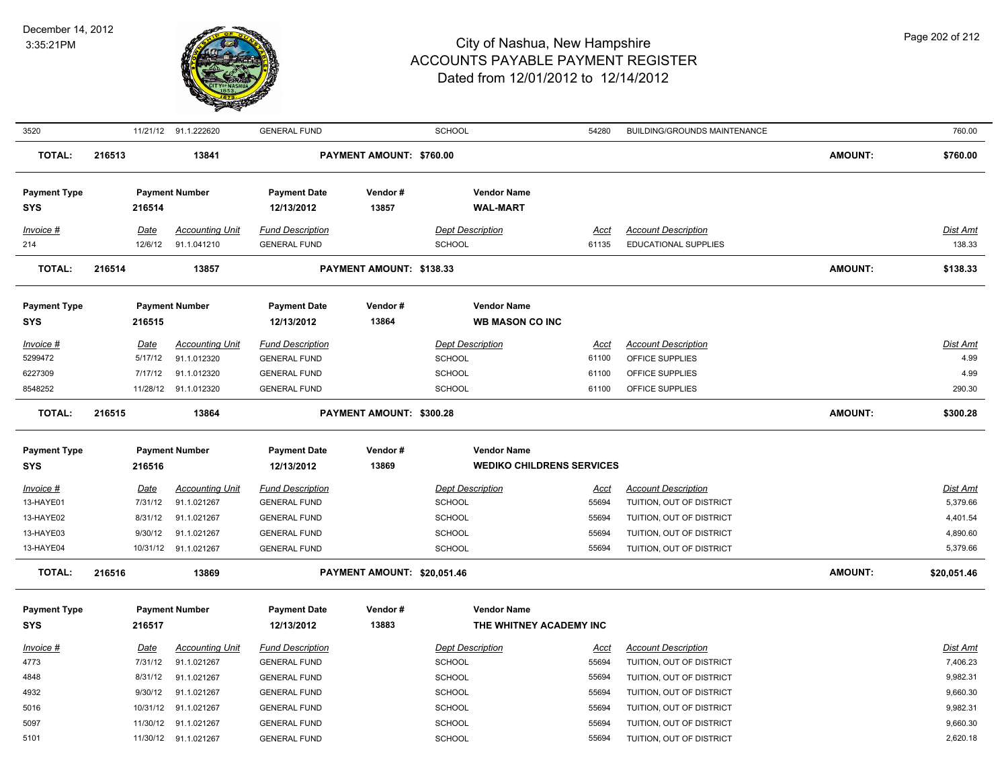

| 3520                              |                 | 11/21/12 91.1.222620                  | <b>GENERAL FUND</b>                            |                             | <b>SCHOOL</b>                                          | 54280                | <b>BUILDING/GROUNDS MAINTENANCE</b>                    |                | 760.00               |
|-----------------------------------|-----------------|---------------------------------------|------------------------------------------------|-----------------------------|--------------------------------------------------------|----------------------|--------------------------------------------------------|----------------|----------------------|
| <b>TOTAL:</b>                     | 216513          | 13841                                 |                                                | PAYMENT AMOUNT: \$760.00    |                                                        |                      |                                                        | <b>AMOUNT:</b> | \$760.00             |
| <b>Payment Type</b>               |                 | <b>Payment Number</b>                 | <b>Payment Date</b>                            | Vendor#                     | <b>Vendor Name</b>                                     |                      |                                                        |                |                      |
| <b>SYS</b>                        | 216514          |                                       | 12/13/2012                                     | 13857                       | <b>WAL-MART</b>                                        |                      |                                                        |                |                      |
| Invoice #                         | Date            | <b>Accounting Unit</b>                | <b>Fund Description</b>                        |                             | <b>Dept Description</b>                                | <b>Acct</b>          | <b>Account Description</b>                             |                | Dist Amt             |
| 214                               | 12/6/12         | 91.1.041210                           | <b>GENERAL FUND</b>                            |                             | <b>SCHOOL</b>                                          | 61135                | <b>EDUCATIONAL SUPPLIES</b>                            |                | 138.33               |
|                                   |                 |                                       |                                                |                             |                                                        |                      |                                                        |                |                      |
| <b>TOTAL:</b>                     | 216514          | 13857                                 |                                                | PAYMENT AMOUNT: \$138.33    |                                                        |                      |                                                        | <b>AMOUNT:</b> | \$138.33             |
| <b>Payment Type</b>               |                 | <b>Payment Number</b>                 | <b>Payment Date</b>                            | Vendor#                     | <b>Vendor Name</b>                                     |                      |                                                        |                |                      |
| <b>SYS</b>                        | 216515          |                                       | 12/13/2012                                     | 13864                       | <b>WB MASON CO INC</b>                                 |                      |                                                        |                |                      |
| Invoice #                         | Date            | <b>Accounting Unit</b>                | <b>Fund Description</b>                        |                             | <b>Dept Description</b>                                | <u>Acct</u>          | <b>Account Description</b>                             |                | Dist Amt             |
| 5299472                           | 5/17/12         | 91.1.012320                           | <b>GENERAL FUND</b>                            |                             | <b>SCHOOL</b>                                          | 61100                | OFFICE SUPPLIES                                        |                | 4.99                 |
| 6227309                           | 7/17/12         | 91.1.012320                           | <b>GENERAL FUND</b>                            |                             | <b>SCHOOL</b>                                          | 61100                | OFFICE SUPPLIES                                        |                | 4.99                 |
| 8548252                           |                 | 11/28/12 91.1.012320                  | <b>GENERAL FUND</b>                            |                             | <b>SCHOOL</b>                                          | 61100                | OFFICE SUPPLIES                                        |                | 290.30               |
| <b>TOTAL:</b>                     | 216515          | 13864                                 |                                                | PAYMENT AMOUNT: \$300.28    |                                                        |                      |                                                        | <b>AMOUNT:</b> | \$300.28             |
|                                   |                 |                                       |                                                |                             |                                                        |                      |                                                        |                |                      |
|                                   |                 |                                       |                                                |                             |                                                        |                      |                                                        |                |                      |
| <b>Payment Type</b><br><b>SYS</b> | 216516          | <b>Payment Number</b>                 | <b>Payment Date</b><br>12/13/2012              | Vendor#<br>13869            | <b>Vendor Name</b><br><b>WEDIKO CHILDRENS SERVICES</b> |                      |                                                        |                |                      |
|                                   |                 |                                       |                                                |                             |                                                        |                      |                                                        |                |                      |
| <u>Invoice #</u>                  | <u>Date</u>     | <b>Accounting Unit</b>                | <b>Fund Description</b>                        |                             | <b>Dept Description</b>                                | <u>Acct</u>          | <b>Account Description</b>                             |                | <b>Dist Amt</b>      |
| 13-HAYE01                         | 7/31/12         | 91.1.021267                           | <b>GENERAL FUND</b>                            |                             | SCHOOL                                                 | 55694                | TUITION, OUT OF DISTRICT                               |                | 5,379.66             |
| 13-HAYE02                         | 8/31/12         | 91.1.021267                           | <b>GENERAL FUND</b>                            |                             | <b>SCHOOL</b>                                          | 55694                | TUITION, OUT OF DISTRICT                               |                | 4,401.54             |
| 13-HAYE03                         | 9/30/12         | 91.1.021267                           | <b>GENERAL FUND</b>                            |                             | SCHOOL                                                 | 55694                | TUITION, OUT OF DISTRICT                               |                | 4,890.60             |
| 13-HAYE04                         |                 | 10/31/12 91.1.021267                  | <b>GENERAL FUND</b>                            |                             | <b>SCHOOL</b>                                          | 55694                | TUITION, OUT OF DISTRICT                               |                | 5,379.66             |
| <b>TOTAL:</b>                     | 216516          | 13869                                 |                                                | PAYMENT AMOUNT: \$20,051.46 |                                                        |                      |                                                        | <b>AMOUNT:</b> | \$20,051.46          |
| <b>Payment Type</b>               |                 | <b>Payment Number</b>                 | <b>Payment Date</b>                            | Vendor#                     | <b>Vendor Name</b>                                     |                      |                                                        |                |                      |
| <b>SYS</b>                        | 216517          |                                       | 12/13/2012                                     | 13883                       | THE WHITNEY ACADEMY INC                                |                      |                                                        |                |                      |
|                                   |                 |                                       |                                                |                             |                                                        |                      |                                                        |                |                      |
| Invoice #<br>4773                 | Date<br>7/31/12 | <b>Accounting Unit</b><br>91.1.021267 | <b>Fund Description</b><br><b>GENERAL FUND</b> |                             | <b>Dept Description</b><br><b>SCHOOL</b>               | <u>Acct</u><br>55694 | <b>Account Description</b><br>TUITION, OUT OF DISTRICT |                | Dist Amt<br>7,406.23 |
| 4848                              | 8/31/12         | 91.1.021267                           | <b>GENERAL FUND</b>                            |                             | <b>SCHOOL</b>                                          | 55694                | TUITION, OUT OF DISTRICT                               |                | 9,982.31             |
| 4932                              | 9/30/12         | 91.1.021267                           | <b>GENERAL FUND</b>                            |                             | <b>SCHOOL</b>                                          | 55694                | TUITION, OUT OF DISTRICT                               |                | 9,660.30             |
| 5016                              |                 | 10/31/12 91.1.021267                  | <b>GENERAL FUND</b>                            |                             | <b>SCHOOL</b>                                          | 55694                | TUITION, OUT OF DISTRICT                               |                | 9,982.31             |
| 5097                              | 11/30/12        | 91.1.021267                           | <b>GENERAL FUND</b>                            |                             | <b>SCHOOL</b>                                          | 55694                | TUITION, OUT OF DISTRICT                               |                | 9,660.30             |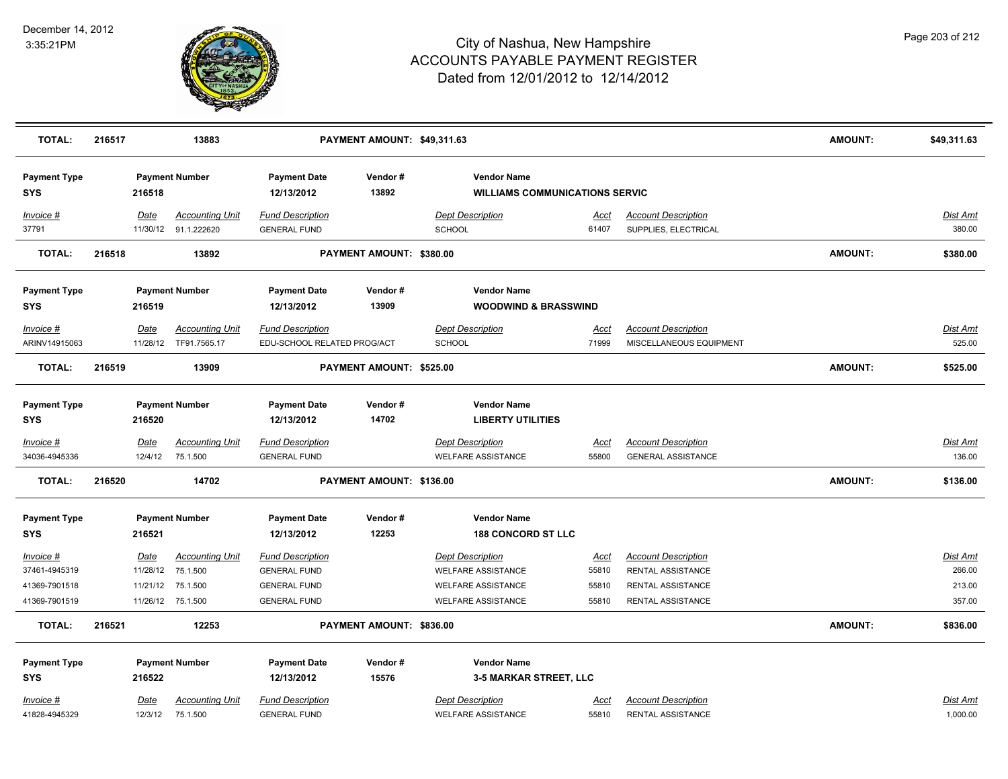

| <b>TOTAL:</b>                     | 216517 |          | 13883                                          |                                                | PAYMENT AMOUNT: \$49,311.63 |                                                             |                      |                                                    | <b>AMOUNT:</b> | \$49,311.63        |
|-----------------------------------|--------|----------|------------------------------------------------|------------------------------------------------|-----------------------------|-------------------------------------------------------------|----------------------|----------------------------------------------------|----------------|--------------------|
| <b>Payment Type</b><br><b>SYS</b> |        | 216518   | <b>Payment Number</b>                          | <b>Payment Date</b><br>12/13/2012              | Vendor#<br>13892            | <b>Vendor Name</b><br><b>WILLIAMS COMMUNICATIONS SERVIC</b> |                      |                                                    |                |                    |
| Invoice #<br>37791                |        | Date     | <b>Accounting Unit</b><br>11/30/12 91.1.222620 | <b>Fund Description</b><br><b>GENERAL FUND</b> |                             | <b>Dept Description</b><br>SCHOOL                           | <u>Acct</u><br>61407 | <b>Account Description</b><br>SUPPLIES, ELECTRICAL |                | Dist Amt<br>380.00 |
| <b>TOTAL:</b>                     | 216518 |          | 13892                                          |                                                | PAYMENT AMOUNT: \$380.00    |                                                             |                      |                                                    | <b>AMOUNT:</b> | \$380.00           |
|                                   |        |          |                                                |                                                |                             |                                                             |                      |                                                    |                |                    |
| <b>Payment Type</b>               |        |          | <b>Payment Number</b>                          | <b>Payment Date</b>                            | Vendor#                     | <b>Vendor Name</b>                                          |                      |                                                    |                |                    |
| <b>SYS</b>                        |        | 216519   |                                                | 12/13/2012                                     | 13909                       | <b>WOODWIND &amp; BRASSWIND</b>                             |                      |                                                    |                |                    |
| Invoice #                         |        | Date     | <b>Accounting Unit</b>                         | <b>Fund Description</b>                        |                             | Dept Description                                            | Acct                 | <b>Account Description</b>                         |                | Dist Amt           |
| ARINV14915063                     |        |          | 11/28/12 TF91.7565.17                          | EDU-SCHOOL RELATED PROG/ACT                    |                             | SCHOOL                                                      | 71999                | MISCELLANEOUS EQUIPMENT                            |                | 525.00             |
| <b>TOTAL:</b>                     | 216519 |          | 13909                                          |                                                | PAYMENT AMOUNT: \$525.00    |                                                             |                      |                                                    | <b>AMOUNT:</b> | \$525.00           |
| <b>Payment Type</b>               |        |          | <b>Payment Number</b>                          | <b>Payment Date</b>                            | Vendor#                     | <b>Vendor Name</b>                                          |                      |                                                    |                |                    |
| <b>SYS</b>                        |        | 216520   |                                                | 12/13/2012                                     | 14702                       | <b>LIBERTY UTILITIES</b>                                    |                      |                                                    |                |                    |
| Invoice #                         |        | Date     | <u>Accounting Unit</u>                         | <b>Fund Description</b>                        |                             | <b>Dept Description</b>                                     | <b>Acct</b>          | <b>Account Description</b>                         |                | Dist Amt           |
| 34036-4945336                     |        | 12/4/12  | 75.1.500                                       | <b>GENERAL FUND</b>                            |                             | <b>WELFARE ASSISTANCE</b>                                   | 55800                | <b>GENERAL ASSISTANCE</b>                          |                | 136.00             |
| <b>TOTAL:</b>                     | 216520 |          | 14702                                          |                                                | PAYMENT AMOUNT: \$136.00    |                                                             |                      |                                                    | <b>AMOUNT:</b> | \$136.00           |
| <b>Payment Type</b>               |        |          | <b>Payment Number</b>                          | <b>Payment Date</b>                            | Vendor#                     | <b>Vendor Name</b>                                          |                      |                                                    |                |                    |
| <b>SYS</b>                        |        | 216521   |                                                | 12/13/2012                                     | 12253                       | <b>188 CONCORD ST LLC</b>                                   |                      |                                                    |                |                    |
| Invoice #                         |        | Date     | <b>Accounting Unit</b>                         | <b>Fund Description</b>                        |                             | <b>Dept Description</b>                                     | Acct                 | <b>Account Description</b>                         |                | Dist Amt           |
| 37461-4945319                     |        | 11/28/12 | 75.1.500                                       | <b>GENERAL FUND</b>                            |                             | <b>WELFARE ASSISTANCE</b>                                   | 55810                | RENTAL ASSISTANCE                                  |                | 266.00             |
| 41369-7901518                     |        | 11/21/12 | 75.1.500                                       | <b>GENERAL FUND</b>                            |                             | <b>WELFARE ASSISTANCE</b>                                   | 55810                | RENTAL ASSISTANCE                                  |                | 213.00             |
| 41369-7901519                     |        |          | 11/26/12 75.1.500                              | <b>GENERAL FUND</b>                            |                             | <b>WELFARE ASSISTANCE</b>                                   | 55810                | RENTAL ASSISTANCE                                  |                | 357.00             |
| <b>TOTAL:</b>                     | 216521 |          | 12253                                          |                                                | PAYMENT AMOUNT: \$836.00    |                                                             |                      |                                                    | <b>AMOUNT:</b> | \$836.00           |
| <b>Payment Type</b>               |        |          | <b>Payment Number</b>                          | <b>Payment Date</b>                            | Vendor#                     | <b>Vendor Name</b>                                          |                      |                                                    |                |                    |
| <b>SYS</b>                        |        | 216522   |                                                | 12/13/2012                                     | 15576                       | <b>3-5 MARKAR STREET, LLC</b>                               |                      |                                                    |                |                    |
| Invoice #                         |        | Date     | <b>Accounting Unit</b>                         | <b>Fund Description</b>                        |                             | <b>Dept Description</b>                                     | Acct                 | <b>Account Description</b>                         |                | Dist Amt           |
| 41828-4945329                     |        | 12/3/12  | 75.1.500                                       | <b>GENERAL FUND</b>                            |                             | <b>WELFARE ASSISTANCE</b>                                   | 55810                | RENTAL ASSISTANCE                                  |                | 1,000.00           |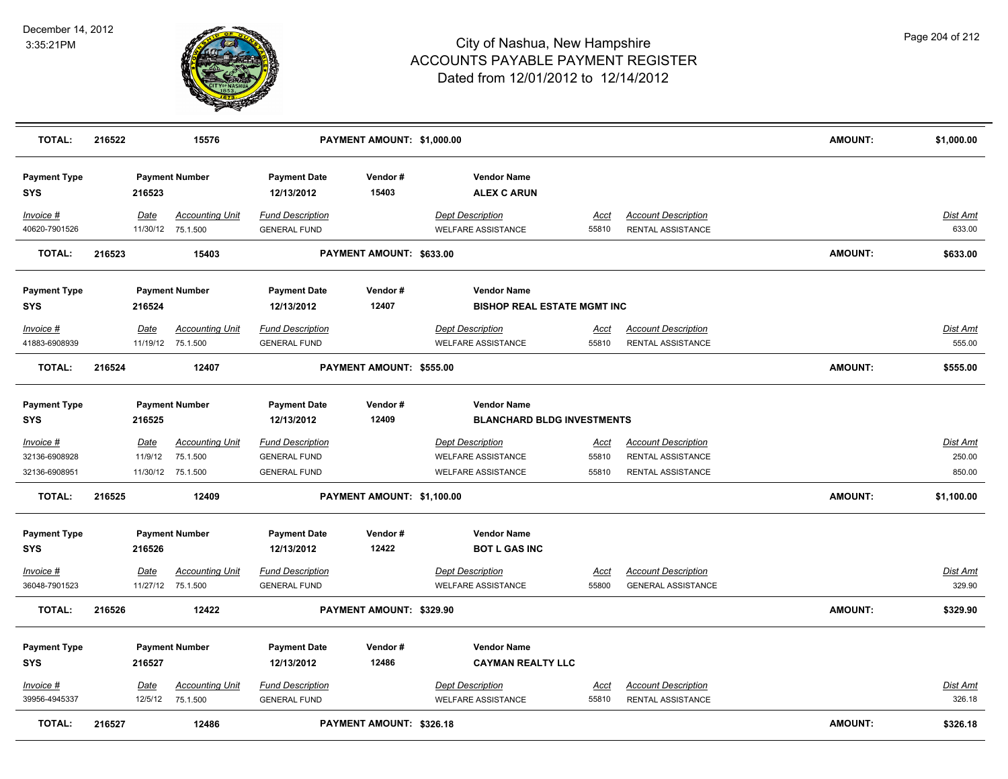

| <b>TOTAL:</b>                               | 216522 |                 | 15576                                                   |                                                                       | PAYMENT AMOUNT: \$1,000.00 |                                                                                   |                               |                                                                      | <b>AMOUNT:</b> | \$1,000.00                          |
|---------------------------------------------|--------|-----------------|---------------------------------------------------------|-----------------------------------------------------------------------|----------------------------|-----------------------------------------------------------------------------------|-------------------------------|----------------------------------------------------------------------|----------------|-------------------------------------|
| <b>Payment Type</b><br><b>SYS</b>           |        | 216523          | <b>Payment Number</b>                                   | <b>Payment Date</b><br>12/13/2012                                     | Vendor#<br>15403           | <b>Vendor Name</b><br><b>ALEX C ARUN</b>                                          |                               |                                                                      |                |                                     |
| Invoice #<br>40620-7901526                  |        | <b>Date</b>     | <b>Accounting Unit</b><br>11/30/12 75.1.500             | <b>Fund Description</b><br><b>GENERAL FUND</b>                        |                            | <b>Dept Description</b><br><b>WELFARE ASSISTANCE</b>                              | <u>Acct</u><br>55810          | <b>Account Description</b><br>RENTAL ASSISTANCE                      |                | Dist Amt<br>633.00                  |
| <b>TOTAL:</b>                               | 216523 |                 | 15403                                                   |                                                                       | PAYMENT AMOUNT: \$633.00   |                                                                                   |                               |                                                                      | <b>AMOUNT:</b> | \$633.00                            |
| <b>Payment Type</b><br><b>SYS</b>           |        | 216524          | <b>Payment Number</b>                                   | <b>Payment Date</b><br>12/13/2012                                     | Vendor#<br>12407           | <b>Vendor Name</b><br><b>BISHOP REAL ESTATE MGMT INC</b>                          |                               |                                                                      |                |                                     |
| Invoice #<br>41883-6908939                  |        | Date            | <b>Accounting Unit</b><br>11/19/12 75.1.500             | <b>Fund Description</b><br><b>GENERAL FUND</b>                        |                            | <b>Dept Description</b><br><b>WELFARE ASSISTANCE</b>                              | Acct<br>55810                 | <b>Account Description</b><br>RENTAL ASSISTANCE                      |                | Dist Amt<br>555.00                  |
| <b>TOTAL:</b>                               | 216524 |                 | 12407                                                   |                                                                       | PAYMENT AMOUNT: \$555.00   |                                                                                   |                               |                                                                      | <b>AMOUNT:</b> | \$555.00                            |
| <b>Payment Type</b><br><b>SYS</b>           |        | 216525          | <b>Payment Number</b>                                   | <b>Payment Date</b><br>12/13/2012                                     | Vendor#<br>12409           | <b>Vendor Name</b><br><b>BLANCHARD BLDG INVESTMENTS</b>                           |                               |                                                                      |                |                                     |
| Invoice #<br>32136-6908928<br>32136-6908951 |        | Date<br>11/9/12 | <b>Accounting Unit</b><br>75.1.500<br>11/30/12 75.1.500 | <b>Fund Description</b><br><b>GENERAL FUND</b><br><b>GENERAL FUND</b> |                            | <b>Dept Description</b><br><b>WELFARE ASSISTANCE</b><br><b>WELFARE ASSISTANCE</b> | <u>Acct</u><br>55810<br>55810 | <b>Account Description</b><br>RENTAL ASSISTANCE<br>RENTAL ASSISTANCE |                | <b>Dist Amt</b><br>250.00<br>850.00 |
| <b>TOTAL:</b>                               | 216525 |                 | 12409                                                   |                                                                       | PAYMENT AMOUNT: \$1,100.00 |                                                                                   |                               |                                                                      | <b>AMOUNT:</b> | \$1,100.00                          |
| <b>Payment Type</b><br><b>SYS</b>           |        | 216526          | <b>Payment Number</b>                                   | <b>Payment Date</b><br>12/13/2012                                     | Vendor#<br>12422           | <b>Vendor Name</b><br><b>BOT L GAS INC</b>                                        |                               |                                                                      |                |                                     |
| Invoice #<br>36048-7901523                  |        | Date            | <b>Accounting Unit</b><br>11/27/12 75.1.500             | <b>Fund Description</b><br><b>GENERAL FUND</b>                        |                            | <b>Dept Description</b><br><b>WELFARE ASSISTANCE</b>                              | Acct<br>55800                 | <b>Account Description</b><br><b>GENERAL ASSISTANCE</b>              |                | Dist Amt<br>329.90                  |
| <b>TOTAL:</b>                               | 216526 |                 | 12422                                                   |                                                                       | PAYMENT AMOUNT: \$329.90   |                                                                                   |                               |                                                                      | <b>AMOUNT:</b> | \$329.90                            |
| <b>Payment Type</b><br><b>SYS</b>           |        | 216527          | <b>Payment Number</b>                                   | <b>Payment Date</b><br>12/13/2012                                     | Vendor#<br>12486           | <b>Vendor Name</b><br><b>CAYMAN REALTY LLC</b>                                    |                               |                                                                      |                |                                     |
| Invoice #<br>39956-4945337                  |        | Date<br>12/5/12 | <b>Accounting Unit</b><br>75.1.500                      | <b>Fund Description</b><br><b>GENERAL FUND</b>                        |                            | <b>Dept Description</b><br><b>WELFARE ASSISTANCE</b>                              | Acct<br>55810                 | <b>Account Description</b><br>RENTAL ASSISTANCE                      |                | Dist Amt<br>326.18                  |
| <b>TOTAL:</b>                               | 216527 |                 | 12486                                                   |                                                                       | PAYMENT AMOUNT: \$326.18   |                                                                                   |                               |                                                                      | <b>AMOUNT:</b> | \$326.18                            |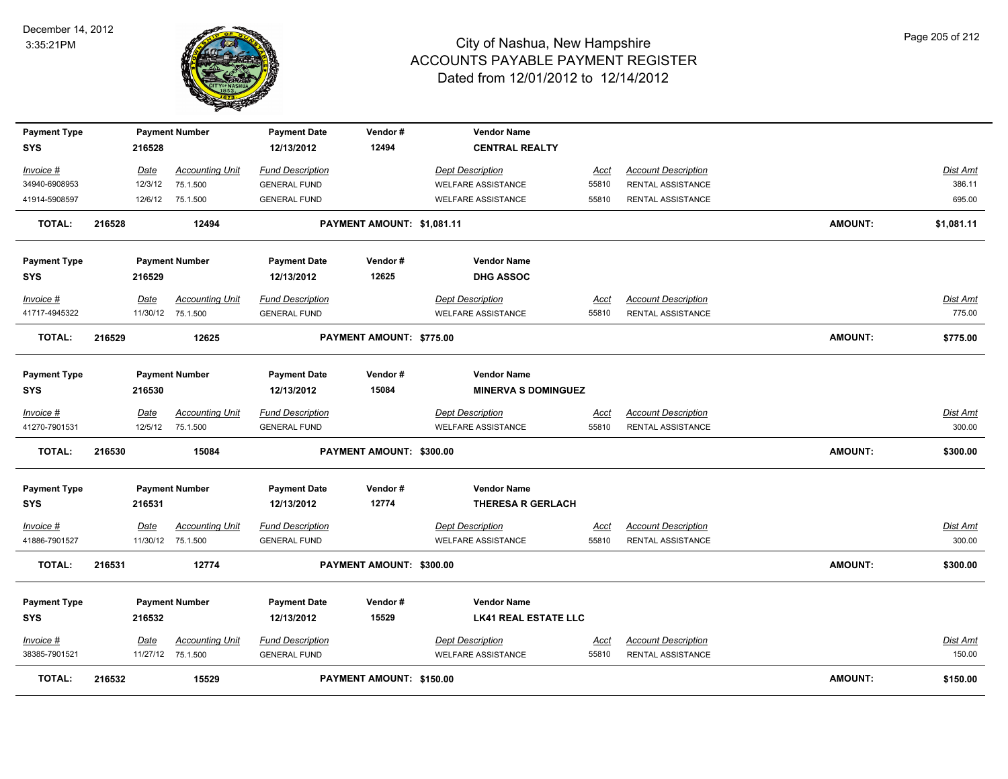

| <b>Payment Type</b>        |        |         | <b>Payment Number</b>                       | <b>Payment Date</b>                            | Vendor#                    | <b>Vendor Name</b>                                   |                      |                                                 |                |                    |
|----------------------------|--------|---------|---------------------------------------------|------------------------------------------------|----------------------------|------------------------------------------------------|----------------------|-------------------------------------------------|----------------|--------------------|
| SYS                        |        | 216528  |                                             | 12/13/2012                                     | 12494                      | <b>CENTRAL REALTY</b>                                |                      |                                                 |                |                    |
| Invoice #                  |        | Date    | <b>Accounting Unit</b>                      | <b>Fund Description</b>                        |                            | <b>Dept Description</b>                              | Acct                 | <b>Account Description</b>                      |                | Dist Amt           |
| 34940-6908953              |        | 12/3/12 | 75.1.500                                    | <b>GENERAL FUND</b>                            |                            | <b>WELFARE ASSISTANCE</b>                            | 55810                | RENTAL ASSISTANCE                               |                | 386.11             |
| 41914-5908597              |        |         | 12/6/12 75.1.500                            | <b>GENERAL FUND</b>                            |                            | <b>WELFARE ASSISTANCE</b>                            | 55810                | RENTAL ASSISTANCE                               |                | 695.00             |
| <b>TOTAL:</b>              | 216528 |         | 12494                                       |                                                | PAYMENT AMOUNT: \$1,081.11 |                                                      |                      |                                                 | <b>AMOUNT:</b> | \$1,081.11         |
| <b>Payment Type</b>        |        |         | <b>Payment Number</b>                       | <b>Payment Date</b>                            | Vendor#                    | <b>Vendor Name</b>                                   |                      |                                                 |                |                    |
| <b>SYS</b>                 |        | 216529  |                                             | 12/13/2012                                     | 12625                      | <b>DHG ASSOC</b>                                     |                      |                                                 |                |                    |
| Invoice #                  |        | Date    | <b>Accounting Unit</b>                      | <b>Fund Description</b>                        |                            | <b>Dept Description</b>                              | Acct                 | <b>Account Description</b>                      |                | <b>Dist Amt</b>    |
| 41717-4945322              |        |         | 11/30/12 75.1.500                           | <b>GENERAL FUND</b>                            |                            | <b>WELFARE ASSISTANCE</b>                            | 55810                | RENTAL ASSISTANCE                               |                | 775.00             |
| <b>TOTAL:</b>              | 216529 |         | 12625                                       |                                                | PAYMENT AMOUNT: \$775.00   |                                                      |                      |                                                 | <b>AMOUNT:</b> | \$775.00           |
| <b>Payment Type</b>        |        |         | <b>Payment Number</b>                       | <b>Payment Date</b>                            | Vendor#                    | <b>Vendor Name</b>                                   |                      |                                                 |                |                    |
| SYS                        |        | 216530  |                                             | 12/13/2012                                     | 15084                      | <b>MINERVA S DOMINGUEZ</b>                           |                      |                                                 |                |                    |
| Invoice #                  |        | Date    | <b>Accounting Unit</b>                      | <b>Fund Description</b>                        |                            | <b>Dept Description</b>                              | <u>Acct</u>          | <b>Account Description</b>                      |                | Dist Amt           |
| 41270-7901531              |        |         | 12/5/12 75.1.500                            | <b>GENERAL FUND</b>                            |                            | <b>WELFARE ASSISTANCE</b>                            | 55810                | RENTAL ASSISTANCE                               |                | 300.00             |
| <b>TOTAL:</b>              | 216530 |         | 15084                                       |                                                | PAYMENT AMOUNT: \$300.00   |                                                      |                      |                                                 | <b>AMOUNT:</b> | \$300.00           |
| <b>Payment Type</b>        |        |         | <b>Payment Number</b>                       | <b>Payment Date</b>                            | Vendor#                    | <b>Vendor Name</b>                                   |                      |                                                 |                |                    |
| SYS                        |        | 216531  |                                             | 12/13/2012                                     | 12774                      | <b>THERESA R GERLACH</b>                             |                      |                                                 |                |                    |
| Invoice #<br>41886-7901527 |        | Date    | <b>Accounting Unit</b><br>11/30/12 75.1.500 | <b>Fund Description</b><br><b>GENERAL FUND</b> |                            | <b>Dept Description</b><br><b>WELFARE ASSISTANCE</b> | <u>Acct</u><br>55810 | <b>Account Description</b><br>RENTAL ASSISTANCE |                | Dist Amt<br>300.00 |
|                            |        |         |                                             |                                                |                            |                                                      |                      |                                                 |                |                    |
| <b>TOTAL:</b>              | 216531 |         | 12774                                       |                                                | PAYMENT AMOUNT: \$300.00   |                                                      |                      |                                                 | <b>AMOUNT:</b> | \$300.00           |
| <b>Payment Type</b>        |        |         | <b>Payment Number</b>                       | <b>Payment Date</b>                            | Vendor#                    | <b>Vendor Name</b>                                   |                      |                                                 |                |                    |
| <b>SYS</b>                 |        | 216532  |                                             | 12/13/2012                                     | 15529                      | <b>LK41 REAL ESTATE LLC</b>                          |                      |                                                 |                |                    |
| Invoice #                  |        | Date    | <b>Accounting Unit</b>                      | <b>Fund Description</b>                        |                            | <b>Dept Description</b>                              | <u>Acct</u>          | <b>Account Description</b>                      |                | Dist Amt           |
| 38385-7901521              |        |         | 11/27/12 75.1.500                           | <b>GENERAL FUND</b>                            |                            | <b>WELFARE ASSISTANCE</b>                            | 55810                | <b>RENTAL ASSISTANCE</b>                        |                | 150.00             |
| <b>TOTAL:</b>              | 216532 |         | 15529                                       |                                                | PAYMENT AMOUNT: \$150.00   |                                                      |                      |                                                 | <b>AMOUNT:</b> | \$150.00           |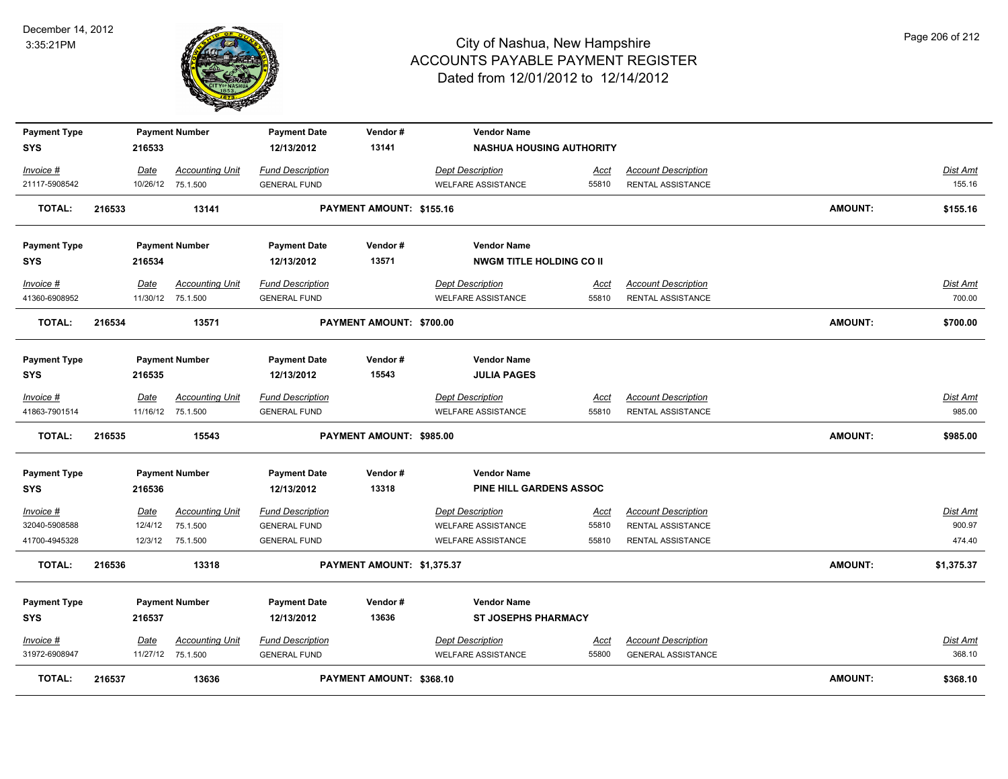

| <b>Payment Type</b> |        |             | <b>Payment Number</b>  | <b>Payment Date</b>     | Vendor#                    | <b>Vendor Name</b>              |             |                            |                |                 |
|---------------------|--------|-------------|------------------------|-------------------------|----------------------------|---------------------------------|-------------|----------------------------|----------------|-----------------|
| <b>SYS</b>          |        | 216533      |                        | 12/13/2012              | 13141                      | <b>NASHUA HOUSING AUTHORITY</b> |             |                            |                |                 |
| Invoice #           |        | Date        | <b>Accounting Unit</b> | <b>Fund Description</b> |                            | <b>Dept Description</b>         | <u>Acct</u> | <b>Account Description</b> |                | Dist Amt        |
| 21117-5908542       |        |             | 10/26/12 75.1.500      | <b>GENERAL FUND</b>     |                            | <b>WELFARE ASSISTANCE</b>       | 55810       | RENTAL ASSISTANCE          |                | 155.16          |
| <b>TOTAL:</b>       | 216533 |             | 13141                  |                         | PAYMENT AMOUNT: \$155.16   |                                 |             |                            | <b>AMOUNT:</b> | \$155.16        |
|                     |        |             |                        |                         |                            |                                 |             |                            |                |                 |
| <b>Payment Type</b> |        |             | <b>Payment Number</b>  | <b>Payment Date</b>     | Vendor#                    | <b>Vendor Name</b>              |             |                            |                |                 |
| <b>SYS</b>          |        | 216534      |                        | 12/13/2012              | 13571                      | <b>NWGM TITLE HOLDING CO II</b> |             |                            |                |                 |
|                     |        |             |                        |                         |                            |                                 |             |                            |                |                 |
| Invoice #           |        | Date        | <b>Accounting Unit</b> | <b>Fund Description</b> |                            | <b>Dept Description</b>         | <u>Acct</u> | <b>Account Description</b> |                | Dist Amt        |
| 41360-6908952       |        |             | 11/30/12 75.1.500      | <b>GENERAL FUND</b>     |                            | <b>WELFARE ASSISTANCE</b>       | 55810       | RENTAL ASSISTANCE          |                | 700.00          |
| <b>TOTAL:</b>       | 216534 |             | 13571                  |                         | PAYMENT AMOUNT: \$700.00   |                                 |             |                            | <b>AMOUNT:</b> | \$700.00        |
|                     |        |             |                        |                         |                            |                                 |             |                            |                |                 |
| <b>Payment Type</b> |        |             | <b>Payment Number</b>  | <b>Payment Date</b>     | Vendor#                    | <b>Vendor Name</b>              |             |                            |                |                 |
| <b>SYS</b>          |        | 216535      |                        | 12/13/2012              | 15543                      | <b>JULIA PAGES</b>              |             |                            |                |                 |
| Invoice #           |        | Date        | <b>Accounting Unit</b> | <b>Fund Description</b> |                            | <b>Dept Description</b>         | Acct        | <b>Account Description</b> |                | Dist Amt        |
| 41863-7901514       |        |             | 11/16/12 75.1.500      | <b>GENERAL FUND</b>     |                            | <b>WELFARE ASSISTANCE</b>       | 55810       | RENTAL ASSISTANCE          |                | 985.00          |
| TOTAL:              | 216535 |             | 15543                  |                         | PAYMENT AMOUNT: \$985.00   |                                 |             |                            | <b>AMOUNT:</b> | \$985.00        |
|                     |        |             |                        |                         |                            |                                 |             |                            |                |                 |
| <b>Payment Type</b> |        |             | <b>Payment Number</b>  | <b>Payment Date</b>     | Vendor#                    | <b>Vendor Name</b>              |             |                            |                |                 |
| <b>SYS</b>          |        | 216536      |                        | 12/13/2012              | 13318                      | <b>PINE HILL GARDENS ASSOC</b>  |             |                            |                |                 |
| Invoice #           |        | <u>Date</u> | <b>Accounting Unit</b> | <b>Fund Description</b> |                            | <b>Dept Description</b>         | <u>Acct</u> | <b>Account Description</b> |                | <b>Dist Amt</b> |
| 32040-5908588       |        | 12/4/12     | 75.1.500               | <b>GENERAL FUND</b>     |                            | <b>WELFARE ASSISTANCE</b>       | 55810       | RENTAL ASSISTANCE          |                | 900.97          |
| 41700-4945328       |        | 12/3/12     | 75.1.500               | <b>GENERAL FUND</b>     |                            | <b>WELFARE ASSISTANCE</b>       | 55810       | RENTAL ASSISTANCE          |                | 474.40          |
| <b>TOTAL:</b>       | 216536 |             | 13318                  |                         | PAYMENT AMOUNT: \$1,375.37 |                                 |             |                            | AMOUNT:        | \$1,375.37      |
|                     |        |             |                        |                         |                            |                                 |             |                            |                |                 |
| <b>Payment Type</b> |        |             | <b>Payment Number</b>  | <b>Payment Date</b>     | Vendor#                    | <b>Vendor Name</b>              |             |                            |                |                 |
| <b>SYS</b>          |        | 216537      |                        | 12/13/2012              | 13636                      | <b>ST JOSEPHS PHARMACY</b>      |             |                            |                |                 |
| Invoice #           |        | Date        | <b>Accounting Unit</b> | <b>Fund Description</b> |                            | <b>Dept Description</b>         | <u>Acct</u> | <b>Account Description</b> |                | Dist Amt        |
| 31972-6908947       |        |             | 11/27/12 75.1.500      | <b>GENERAL FUND</b>     |                            | <b>WELFARE ASSISTANCE</b>       | 55800       | <b>GENERAL ASSISTANCE</b>  |                | 368.10          |
| <b>TOTAL:</b>       | 216537 |             | 13636                  |                         | PAYMENT AMOUNT: \$368.10   |                                 |             |                            | <b>AMOUNT:</b> | \$368.10        |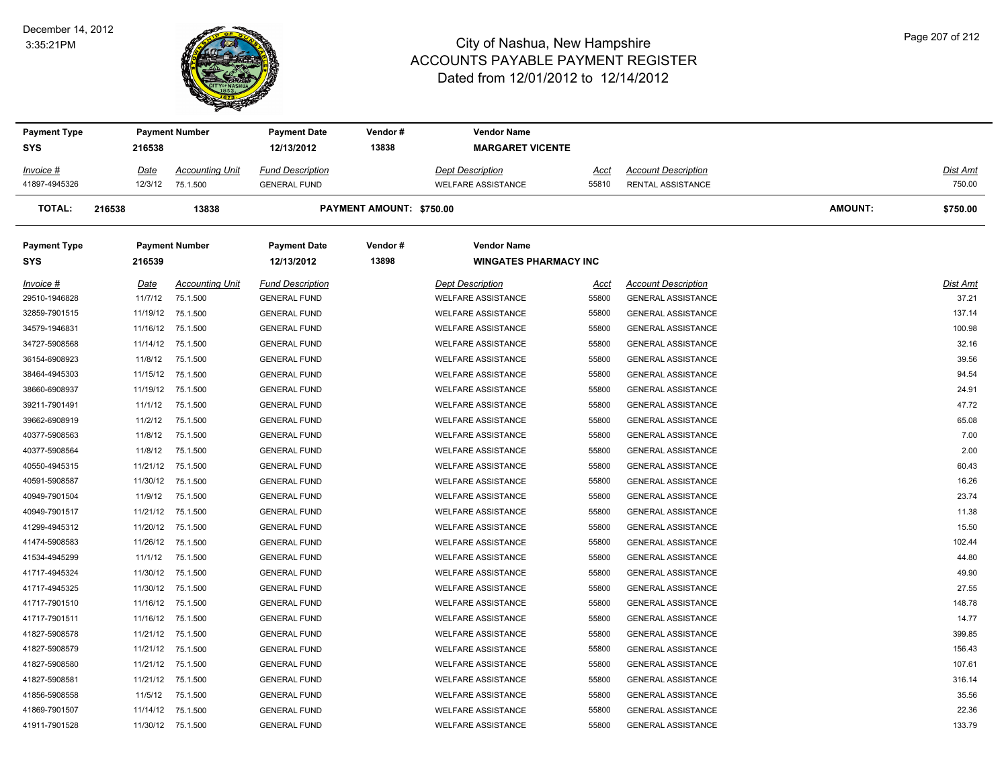#### December 14, 2012 3:35:21PM



| <b>Payment Type</b> |         | <b>Payment Number</b> |                        | <b>Vendor Name</b><br><b>Payment Date</b><br>Vendor# |                          |                              |       |                            |         |          |
|---------------------|---------|-----------------------|------------------------|------------------------------------------------------|--------------------------|------------------------------|-------|----------------------------|---------|----------|
| <b>SYS</b>          | 216538  |                       |                        | 12/13/2012                                           | 13838                    | <b>MARGARET VICENTE</b>      |       |                            |         |          |
| Invoice #           | Date    |                       | <b>Accounting Unit</b> | <b>Fund Description</b>                              |                          | Dept Description             | Acct  | <b>Account Description</b> |         | Dist Amt |
| 41897-4945326       |         | 12/3/12               | 75.1.500               | <b>GENERAL FUND</b>                                  |                          | WELFARE ASSISTANCE           | 55810 | RENTAL ASSISTANCE          |         | 750.00   |
| TOTAL:              | 216538  |                       | 13838                  |                                                      | PAYMENT AMOUNT: \$750.00 |                              |       |                            | AMOUNT: | \$750.00 |
| <b>Payment Type</b> |         |                       | <b>Payment Number</b>  | <b>Payment Date</b>                                  | Vendor#                  | <b>Vendor Name</b>           |       |                            |         |          |
| <b>SYS</b>          | 216539  |                       |                        | 12/13/2012                                           | 13898                    | <b>WINGATES PHARMACY INC</b> |       |                            |         |          |
| Invoice #           | Date    |                       | <b>Accounting Unit</b> | <b>Fund Description</b>                              |                          | <b>Dept Description</b>      | Acct  | <b>Account Description</b> |         | Dist Amt |
| 29510-1946828       | 11/7/12 |                       | 75.1.500               | <b>GENERAL FUND</b>                                  |                          | <b>WELFARE ASSISTANCE</b>    | 55800 | <b>GENERAL ASSISTANCE</b>  |         | 37.21    |
| 32859-7901515       |         |                       | 11/19/12 75.1.500      | <b>GENERAL FUND</b>                                  |                          | <b>WELFARE ASSISTANCE</b>    | 55800 | <b>GENERAL ASSISTANCE</b>  |         | 137.14   |
| 34579-1946831       |         |                       | 11/16/12 75.1.500      | <b>GENERAL FUND</b>                                  |                          | <b>WELFARE ASSISTANCE</b>    | 55800 | <b>GENERAL ASSISTANCE</b>  |         | 100.98   |
| 34727-5908568       |         |                       | 11/14/12 75.1.500      | <b>GENERAL FUND</b>                                  |                          | <b>WELFARE ASSISTANCE</b>    | 55800 | <b>GENERAL ASSISTANCE</b>  |         | 32.16    |
| 36154-6908923       |         | 11/8/12               | 75.1.500               | <b>GENERAL FUND</b>                                  |                          | <b>WELFARE ASSISTANCE</b>    | 55800 | <b>GENERAL ASSISTANCE</b>  |         | 39.56    |
| 38464-4945303       |         | 11/15/12              | 75.1.500               | <b>GENERAL FUND</b>                                  |                          | <b>WELFARE ASSISTANCE</b>    | 55800 | <b>GENERAL ASSISTANCE</b>  |         | 94.54    |
| 38660-6908937       |         | 11/19/12              | 75.1.500               | <b>GENERAL FUND</b>                                  |                          | <b>WELFARE ASSISTANCE</b>    | 55800 | <b>GENERAL ASSISTANCE</b>  |         | 24.91    |
| 39211-7901491       | 11/1/12 |                       | 75.1.500               | <b>GENERAL FUND</b>                                  |                          | <b>WELFARE ASSISTANCE</b>    | 55800 | <b>GENERAL ASSISTANCE</b>  |         | 47.72    |
| 39662-6908919       |         | 11/2/12               | 75.1.500               | <b>GENERAL FUND</b>                                  |                          | <b>WELFARE ASSISTANCE</b>    | 55800 | <b>GENERAL ASSISTANCE</b>  |         | 65.08    |
| 40377-5908563       | 11/8/12 |                       | 75.1.500               | <b>GENERAL FUND</b>                                  |                          | <b>WELFARE ASSISTANCE</b>    | 55800 | <b>GENERAL ASSISTANCE</b>  |         | 7.00     |
| 40377-5908564       |         | 11/8/12               | 75.1.500               | <b>GENERAL FUND</b>                                  |                          | <b>WELFARE ASSISTANCE</b>    | 55800 | <b>GENERAL ASSISTANCE</b>  |         | 2.00     |
| 40550-4945315       |         |                       | 11/21/12 75.1.500      | <b>GENERAL FUND</b>                                  |                          | <b>WELFARE ASSISTANCE</b>    | 55800 | <b>GENERAL ASSISTANCE</b>  |         | 60.43    |
| 40591-5908587       |         |                       | 11/30/12 75.1.500      | <b>GENERAL FUND</b>                                  |                          | <b>WELFARE ASSISTANCE</b>    | 55800 | <b>GENERAL ASSISTANCE</b>  |         | 16.26    |
| 40949-7901504       | 11/9/12 |                       | 75.1.500               | <b>GENERAL FUND</b>                                  |                          | <b>WELFARE ASSISTANCE</b>    | 55800 | <b>GENERAL ASSISTANCE</b>  |         | 23.74    |
| 40949-7901517       |         | 11/21/12              | 75.1.500               | <b>GENERAL FUND</b>                                  |                          | <b>WELFARE ASSISTANCE</b>    | 55800 | <b>GENERAL ASSISTANCE</b>  |         | 11.38    |
| 41299-4945312       |         | 11/20/12              | 75.1.500               | <b>GENERAL FUND</b>                                  |                          | <b>WELFARE ASSISTANCE</b>    | 55800 | <b>GENERAL ASSISTANCE</b>  |         | 15.50    |
| 41474-5908583       |         |                       | 11/26/12 75.1.500      | <b>GENERAL FUND</b>                                  |                          | <b>WELFARE ASSISTANCE</b>    | 55800 | <b>GENERAL ASSISTANCE</b>  |         | 102.44   |
| 41534-4945299       |         | 11/1/12               | 75.1.500               | <b>GENERAL FUND</b>                                  |                          | <b>WELFARE ASSISTANCE</b>    | 55800 | <b>GENERAL ASSISTANCE</b>  |         | 44.80    |
| 41717-4945324       |         |                       | 11/30/12 75.1.500      | <b>GENERAL FUND</b>                                  |                          | <b>WELFARE ASSISTANCE</b>    | 55800 | <b>GENERAL ASSISTANCE</b>  |         | 49.90    |
| 41717-4945325       |         |                       | 11/30/12 75.1.500      | <b>GENERAL FUND</b>                                  |                          | <b>WELFARE ASSISTANCE</b>    | 55800 | <b>GENERAL ASSISTANCE</b>  |         | 27.55    |
| 41717-7901510       |         |                       | 11/16/12 75.1.500      | <b>GENERAL FUND</b>                                  |                          | <b>WELFARE ASSISTANCE</b>    | 55800 | <b>GENERAL ASSISTANCE</b>  |         | 148.78   |
| 41717-7901511       |         |                       | 11/16/12 75.1.500      | <b>GENERAL FUND</b>                                  |                          | <b>WELFARE ASSISTANCE</b>    | 55800 | <b>GENERAL ASSISTANCE</b>  |         | 14.77    |
| 41827-5908578       |         |                       | 11/21/12 75.1.500      | <b>GENERAL FUND</b>                                  |                          | <b>WELFARE ASSISTANCE</b>    | 55800 | <b>GENERAL ASSISTANCE</b>  |         | 399.85   |
| 41827-5908579       |         | 11/21/12              | 75.1.500               | <b>GENERAL FUND</b>                                  |                          | <b>WELFARE ASSISTANCE</b>    | 55800 | <b>GENERAL ASSISTANCE</b>  |         | 156.43   |
| 41827-5908580       |         |                       | 11/21/12 75.1.500      | <b>GENERAL FUND</b>                                  |                          | <b>WELFARE ASSISTANCE</b>    | 55800 | <b>GENERAL ASSISTANCE</b>  |         | 107.61   |
| 41827-5908581       |         |                       | 11/21/12 75.1.500      | <b>GENERAL FUND</b>                                  |                          | <b>WELFARE ASSISTANCE</b>    | 55800 | <b>GENERAL ASSISTANCE</b>  |         | 316.14   |
| 41856-5908558       |         | 11/5/12               | 75.1.500               | <b>GENERAL FUND</b>                                  |                          | <b>WELFARE ASSISTANCE</b>    | 55800 | <b>GENERAL ASSISTANCE</b>  |         | 35.56    |
| 41869-7901507       |         |                       | 11/14/12 75.1.500      | <b>GENERAL FUND</b>                                  |                          | <b>WELFARE ASSISTANCE</b>    | 55800 | <b>GENERAL ASSISTANCE</b>  |         | 22.36    |
| 41911-7901528       |         |                       | 11/30/12 75.1.500      | <b>GENERAL FUND</b>                                  |                          | <b>WELFARE ASSISTANCE</b>    | 55800 | <b>GENERAL ASSISTANCE</b>  |         | 133.79   |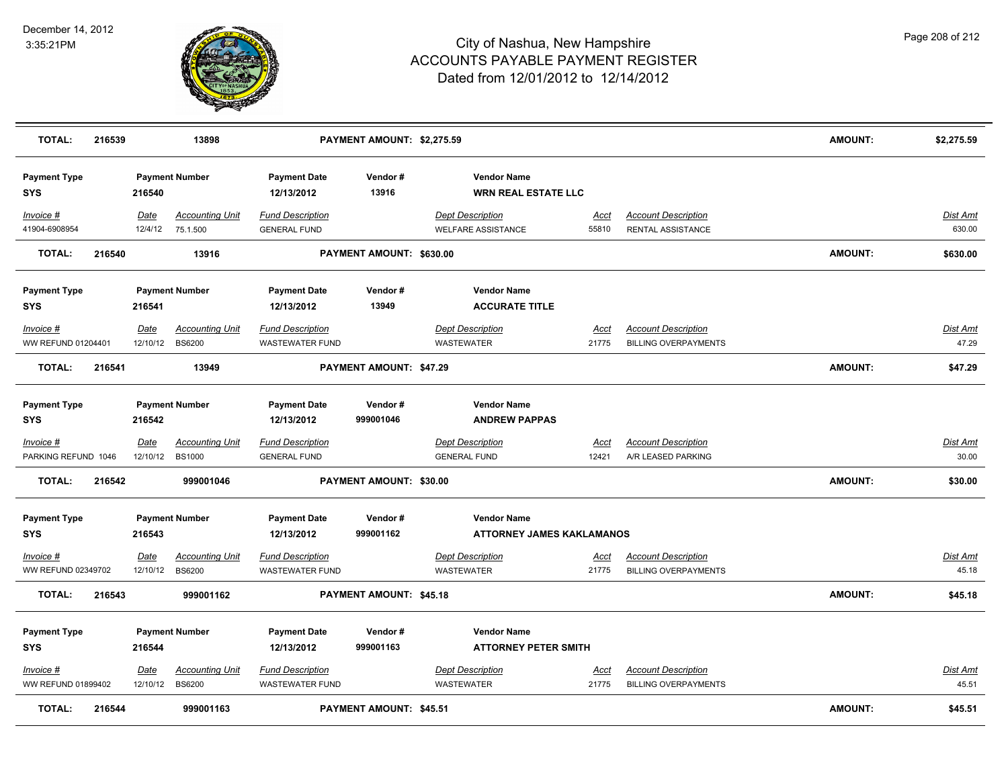

| <b>TOTAL:</b>                     | 216539 |                  | 13898                                     |                                                   | PAYMENT AMOUNT: \$2,275.59 |                                                        |                      |                                                           | AMOUNT:        | \$2,275.59                |
|-----------------------------------|--------|------------------|-------------------------------------------|---------------------------------------------------|----------------------------|--------------------------------------------------------|----------------------|-----------------------------------------------------------|----------------|---------------------------|
| <b>Payment Type</b><br><b>SYS</b> |        | 216540           | <b>Payment Number</b>                     | <b>Payment Date</b><br>12/13/2012                 | Vendor#<br>13916           | <b>Vendor Name</b><br><b>WRN REAL ESTATE LLC</b>       |                      |                                                           |                |                           |
| Invoice #<br>41904-6908954        |        | Date<br>12/4/12  | <b>Accounting Unit</b><br>75.1.500        | <b>Fund Description</b><br><b>GENERAL FUND</b>    |                            | <b>Dept Description</b><br><b>WELFARE ASSISTANCE</b>   | Acct<br>55810        | <b>Account Description</b><br>RENTAL ASSISTANCE           |                | <b>Dist Amt</b><br>630.00 |
| <b>TOTAL:</b>                     | 216540 |                  | 13916                                     |                                                   | PAYMENT AMOUNT: \$630.00   |                                                        |                      |                                                           | <b>AMOUNT:</b> | \$630.00                  |
| <b>Payment Type</b><br><b>SYS</b> |        | 216541           | <b>Payment Number</b>                     | <b>Payment Date</b><br>12/13/2012                 | Vendor#<br>13949           | <b>Vendor Name</b><br><b>ACCURATE TITLE</b>            |                      |                                                           |                |                           |
| Invoice #<br>WW REFUND 01204401   |        | Date<br>12/10/12 | <b>Accounting Unit</b><br><b>BS6200</b>   | <b>Fund Description</b><br><b>WASTEWATER FUND</b> |                            | <b>Dept Description</b><br><b>WASTEWATER</b>           | Acct<br>21775        | <b>Account Description</b><br><b>BILLING OVERPAYMENTS</b> |                | Dist Amt<br>47.29         |
| <b>TOTAL:</b>                     | 216541 |                  | 13949                                     |                                                   | PAYMENT AMOUNT: \$47.29    |                                                        |                      |                                                           | <b>AMOUNT:</b> | \$47.29                   |
| <b>Payment Type</b><br><b>SYS</b> |        | 216542           | <b>Payment Number</b>                     | <b>Payment Date</b><br>12/13/2012                 | Vendor#<br>999001046       | <b>Vendor Name</b><br><b>ANDREW PAPPAS</b>             |                      |                                                           |                |                           |
| Invoice #<br>PARKING REFUND 1046  |        | Date             | <b>Accounting Unit</b><br>12/10/12 BS1000 | <u>Fund Description</u><br><b>GENERAL FUND</b>    |                            | <b>Dept Description</b><br><b>GENERAL FUND</b>         | <u>Acct</u><br>12421 | <b>Account Description</b><br>A/R LEASED PARKING          |                | <u>Dist Amt</u><br>30.00  |
| <b>TOTAL:</b>                     | 216542 |                  | 999001046                                 |                                                   | PAYMENT AMOUNT: \$30.00    |                                                        |                      |                                                           | <b>AMOUNT:</b> | \$30.00                   |
| <b>Payment Type</b><br><b>SYS</b> |        | 216543           | <b>Payment Number</b>                     | <b>Payment Date</b><br>12/13/2012                 | Vendor#<br>999001162       | <b>Vendor Name</b><br><b>ATTORNEY JAMES KAKLAMANOS</b> |                      |                                                           |                |                           |
| Invoice #<br>WW REFUND 02349702   |        | Date<br>12/10/12 | <b>Accounting Unit</b><br><b>BS6200</b>   | <b>Fund Description</b><br><b>WASTEWATER FUND</b> |                            | <b>Dept Description</b><br><b>WASTEWATER</b>           | <u>Acct</u><br>21775 | <b>Account Description</b><br><b>BILLING OVERPAYMENTS</b> |                | <u>Dist Amt</u><br>45.18  |
| <b>TOTAL:</b>                     | 216543 |                  | 999001162                                 |                                                   | PAYMENT AMOUNT: \$45.18    |                                                        |                      |                                                           | <b>AMOUNT:</b> | \$45.18                   |
| <b>Payment Type</b><br><b>SYS</b> |        | 216544           | <b>Payment Number</b>                     | <b>Payment Date</b><br>12/13/2012                 | Vendor#<br>999001163       | <b>Vendor Name</b><br><b>ATTORNEY PETER SMITH</b>      |                      |                                                           |                |                           |
| $Invoice$ #<br>WW REFUND 01899402 |        | <u>Date</u>      | <b>Accounting Unit</b><br>12/10/12 BS6200 | <b>Fund Description</b><br><b>WASTEWATER FUND</b> |                            | <b>Dept Description</b><br>WASTEWATER                  | <u>Acct</u><br>21775 | <b>Account Description</b><br><b>BILLING OVERPAYMENTS</b> |                | <u>Dist Amt</u><br>45.51  |
| <b>TOTAL:</b>                     | 216544 |                  | 999001163                                 |                                                   | PAYMENT AMOUNT: \$45.51    |                                                        |                      |                                                           | <b>AMOUNT:</b> | \$45.51                   |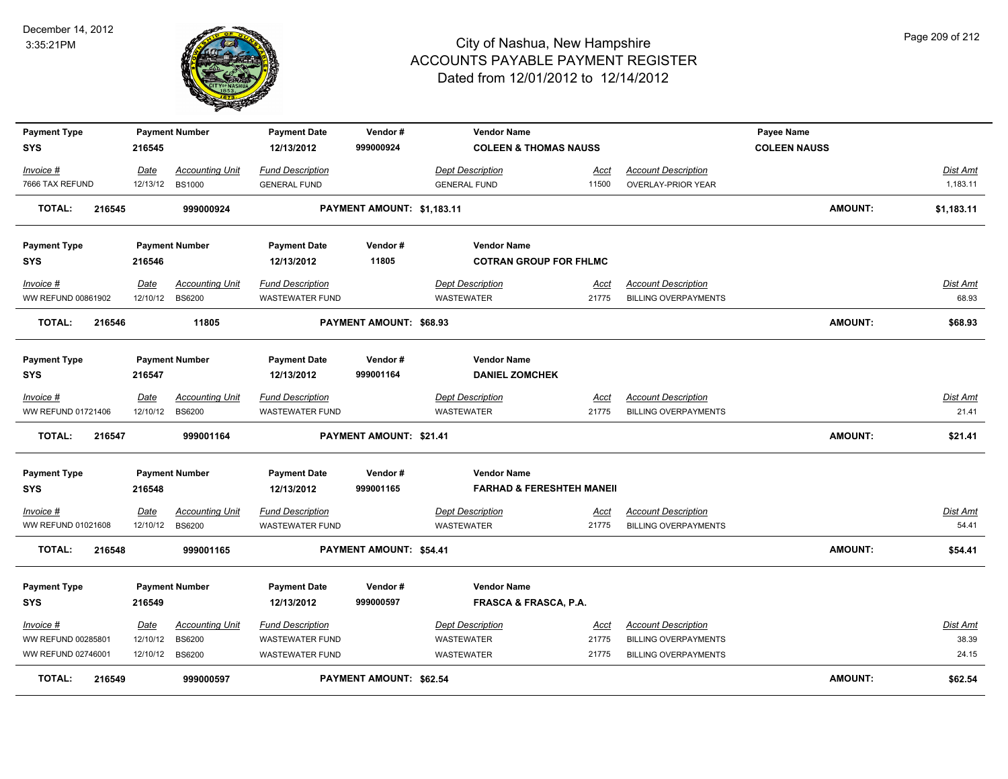

| <b>Payment Type</b>               |                         | <b>Payment Number</b>                   | <b>Payment Date</b>                               | Vendor#                        | <b>Vendor Name</b>                                         |                      |                                                           | Payee Name          |                             |
|-----------------------------------|-------------------------|-----------------------------------------|---------------------------------------------------|--------------------------------|------------------------------------------------------------|----------------------|-----------------------------------------------------------|---------------------|-----------------------------|
| <b>SYS</b>                        | 216545                  |                                         | 12/13/2012                                        | 999000924                      | <b>COLEEN &amp; THOMAS NAUSS</b>                           |                      |                                                           | <b>COLEEN NAUSS</b> |                             |
| Invoice #<br>7666 TAX REFUND      | Date<br>12/13/12        | <b>Accounting Unit</b><br><b>BS1000</b> | <b>Fund Description</b><br><b>GENERAL FUND</b>    |                                | <b>Dept Description</b><br><b>GENERAL FUND</b>             | Acct<br>11500        | <b>Account Description</b><br><b>OVERLAY-PRIOR YEAR</b>   |                     | <b>Dist Amt</b><br>1,183.11 |
| 216545<br><b>TOTAL:</b>           |                         | 999000924                               |                                                   | PAYMENT AMOUNT: \$1,183.11     |                                                            |                      |                                                           | <b>AMOUNT:</b>      | \$1,183.11                  |
| <b>Payment Type</b><br><b>SYS</b> | 216546                  | <b>Payment Number</b>                   | <b>Payment Date</b><br>12/13/2012                 | Vendor#<br>11805               | <b>Vendor Name</b><br><b>COTRAN GROUP FOR FHLMC</b>        |                      |                                                           |                     |                             |
| Invoice #                         | Date                    | <b>Accounting Unit</b>                  | <b>Fund Description</b>                           |                                | <b>Dept Description</b>                                    | Acct                 | <b>Account Description</b>                                |                     | <b>Dist Amt</b>             |
| WW REFUND 00861902                | 12/10/12                | <b>BS6200</b>                           | <b>WASTEWATER FUND</b>                            |                                | WASTEWATER                                                 | 21775                | <b>BILLING OVERPAYMENTS</b>                               |                     | 68.93                       |
| <b>TOTAL:</b><br>216546           |                         | 11805                                   |                                                   | PAYMENT AMOUNT: \$68.93        |                                                            |                      |                                                           | <b>AMOUNT:</b>      | \$68.93                     |
| <b>Payment Type</b><br><b>SYS</b> | 216547                  | <b>Payment Number</b>                   | <b>Payment Date</b><br>12/13/2012                 | Vendor#<br>999001164           | <b>Vendor Name</b><br><b>DANIEL ZOMCHEK</b>                |                      |                                                           |                     |                             |
| Invoice #                         | Date                    | <b>Accounting Unit</b>                  | <b>Fund Description</b>                           |                                | <b>Dept Description</b>                                    | <u>Acct</u>          | <b>Account Description</b>                                |                     | <u>Dist Amt</u>             |
| WW REFUND 01721406                | 12/10/12                | <b>BS6200</b>                           | <b>WASTEWATER FUND</b>                            |                                | <b>WASTEWATER</b>                                          | 21775                | <b>BILLING OVERPAYMENTS</b>                               |                     | 21.41                       |
| <b>TOTAL:</b><br>216547           |                         | 999001164                               |                                                   | <b>PAYMENT AMOUNT: \$21.41</b> |                                                            |                      |                                                           | <b>AMOUNT:</b>      | \$21.41                     |
| <b>Payment Type</b><br><b>SYS</b> | 216548                  | <b>Payment Number</b>                   | <b>Payment Date</b><br>12/13/2012                 | Vendor#<br>999001165           | <b>Vendor Name</b><br><b>FARHAD &amp; FERESHTEH MANEII</b> |                      |                                                           |                     |                             |
| $Invoice$ #<br>WW REFUND 01021608 | <b>Date</b><br>12/10/12 | <b>Accounting Unit</b><br><b>BS6200</b> | <b>Fund Description</b><br><b>WASTEWATER FUND</b> |                                | <b>Dept Description</b><br><b>WASTEWATER</b>               | <u>Acct</u><br>21775 | <b>Account Description</b><br><b>BILLING OVERPAYMENTS</b> |                     | Dist Amt<br>54.41           |
| <b>TOTAL:</b><br>216548           |                         | 999001165                               |                                                   | <b>PAYMENT AMOUNT: \$54.41</b> |                                                            |                      |                                                           | <b>AMOUNT:</b>      | \$54.41                     |
| <b>Payment Type</b>               |                         | <b>Payment Number</b>                   | <b>Payment Date</b>                               | Vendor#                        | <b>Vendor Name</b>                                         |                      |                                                           |                     |                             |
| <b>SYS</b>                        | 216549                  |                                         | 12/13/2012                                        | 999000597                      | <b>FRASCA &amp; FRASCA, P.A.</b>                           |                      |                                                           |                     |                             |
| Invoice #                         | Date                    | <b>Accounting Unit</b>                  | <b>Fund Description</b>                           |                                | <b>Dept Description</b>                                    | <u>Acct</u>          | <b>Account Description</b>                                |                     | Dist Amt                    |
| WW REFUND 00285801                | 12/10/12                | <b>BS6200</b>                           | <b>WASTEWATER FUND</b>                            |                                | WASTEWATER                                                 | 21775                | <b>BILLING OVERPAYMENTS</b>                               |                     | 38.39                       |
| WW REFUND 02746001                | 12/10/12                | <b>BS6200</b>                           | <b>WASTEWATER FUND</b>                            |                                | WASTEWATER                                                 | 21775                | <b>BILLING OVERPAYMENTS</b>                               |                     | 24.15                       |
| <b>TOTAL:</b><br>216549           |                         | 999000597                               |                                                   | PAYMENT AMOUNT: \$62.54        |                                                            |                      |                                                           | <b>AMOUNT:</b>      | \$62.54                     |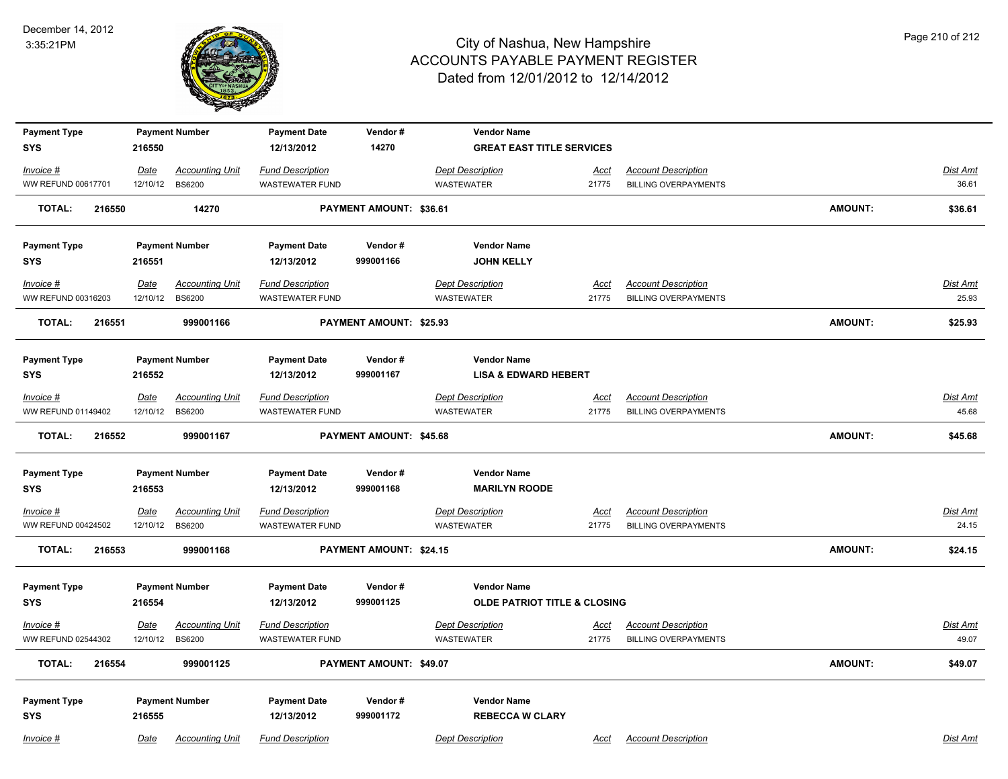

| <b>Payment Type</b>     | <b>Payment Number</b>          | <b>Payment Date</b>                               | Vendor#                        | <b>Vendor Name</b>                      |             |                             |                |                 |
|-------------------------|--------------------------------|---------------------------------------------------|--------------------------------|-----------------------------------------|-------------|-----------------------------|----------------|-----------------|
| <b>SYS</b>              | 216550                         | 12/13/2012                                        | 14270                          | <b>GREAT EAST TITLE SERVICES</b>        |             |                             |                |                 |
| Invoice #               | Date                           | <b>Fund Description</b><br><b>Accounting Unit</b> |                                | <b>Dept Description</b>                 | <u>Acct</u> | <b>Account Description</b>  |                | Dist Amt        |
| WW REFUND 00617701      | 12/10/12<br><b>BS6200</b>      | <b>WASTEWATER FUND</b>                            |                                | <b>WASTEWATER</b>                       | 21775       | <b>BILLING OVERPAYMENTS</b> |                | 36.61           |
| <b>TOTAL:</b><br>216550 | 14270                          |                                                   | <b>PAYMENT AMOUNT: \$36.61</b> |                                         |             |                             | <b>AMOUNT:</b> | \$36.61         |
| <b>Payment Type</b>     | <b>Payment Number</b>          | <b>Payment Date</b>                               | Vendor#                        | <b>Vendor Name</b>                      |             |                             |                |                 |
| <b>SYS</b>              | 216551                         | 12/13/2012                                        | 999001166                      | <b>JOHN KELLY</b>                       |             |                             |                |                 |
| Invoice #               | <u>Date</u>                    | <b>Fund Description</b><br><b>Accounting Unit</b> |                                | <b>Dept Description</b>                 | <u>Acct</u> | <b>Account Description</b>  |                | <b>Dist Amt</b> |
| WW REFUND 00316203      | 12/10/12<br><b>BS6200</b>      | <b>WASTEWATER FUND</b>                            |                                | <b>WASTEWATER</b>                       | 21775       | <b>BILLING OVERPAYMENTS</b> |                | 25.93           |
| <b>TOTAL:</b><br>216551 | 999001166                      |                                                   | PAYMENT AMOUNT: \$25.93        |                                         |             |                             | <b>AMOUNT:</b> | \$25.93         |
| <b>Payment Type</b>     | <b>Payment Number</b>          | <b>Payment Date</b>                               | Vendor#                        | <b>Vendor Name</b>                      |             |                             |                |                 |
| <b>SYS</b>              | 216552                         | 12/13/2012                                        | 999001167                      | <b>LISA &amp; EDWARD HEBERT</b>         |             |                             |                |                 |
| Invoice #               | Date                           | <b>Fund Description</b><br><b>Accounting Unit</b> |                                | <b>Dept Description</b>                 | Acct        | <b>Account Description</b>  |                | <b>Dist Amt</b> |
| WW REFUND 01149402      | 12/10/12<br><b>BS6200</b>      | <b>WASTEWATER FUND</b>                            |                                | <b>WASTEWATER</b>                       | 21775       | <b>BILLING OVERPAYMENTS</b> |                | 45.68           |
| <b>TOTAL:</b><br>216552 | 999001167                      |                                                   | PAYMENT AMOUNT: \$45.68        |                                         |             |                             | <b>AMOUNT:</b> | \$45.68         |
| <b>Payment Type</b>     | <b>Payment Number</b>          | <b>Payment Date</b>                               | Vendor#                        | <b>Vendor Name</b>                      |             |                             |                |                 |
| <b>SYS</b>              | 216553                         | 12/13/2012                                        | 999001168                      | <b>MARILYN ROODE</b>                    |             |                             |                |                 |
| Invoice #               | <u>Date</u>                    | <b>Fund Description</b><br><b>Accounting Unit</b> |                                | <b>Dept Description</b>                 | <u>Acct</u> | <b>Account Description</b>  |                | <u>Dist Amt</u> |
| WW REFUND 00424502      | 12/10/12<br><b>BS6200</b>      | <b>WASTEWATER FUND</b>                            |                                | <b>WASTEWATER</b>                       | 21775       | <b>BILLING OVERPAYMENTS</b> |                | 24.15           |
| <b>TOTAL:</b><br>216553 | 999001168                      |                                                   | PAYMENT AMOUNT: \$24.15        |                                         |             |                             | <b>AMOUNT:</b> | \$24.15         |
| <b>Payment Type</b>     | <b>Payment Number</b>          | <b>Payment Date</b>                               | Vendor#                        | <b>Vendor Name</b>                      |             |                             |                |                 |
| <b>SYS</b>              | 216554                         | 12/13/2012                                        | 999001125                      | <b>OLDE PATRIOT TITLE &amp; CLOSING</b> |             |                             |                |                 |
| Invoice #               | <u>Date</u>                    | <b>Fund Description</b><br><b>Accounting Unit</b> |                                | <b>Dept Description</b>                 | <u>Acct</u> | <b>Account Description</b>  |                | <b>Dist Amt</b> |
| WW REFUND 02544302      | 12/10/12<br><b>BS6200</b>      | <b>WASTEWATER FUND</b>                            |                                | <b>WASTEWATER</b>                       | 21775       | <b>BILLING OVERPAYMENTS</b> |                | 49.07           |
| <b>TOTAL:</b><br>216554 | 999001125                      |                                                   | PAYMENT AMOUNT: \$49.07        |                                         |             |                             | <b>AMOUNT:</b> | \$49.07         |
| <b>Payment Type</b>     | <b>Payment Number</b>          | <b>Payment Date</b>                               | Vendor#                        | <b>Vendor Name</b>                      |             |                             |                |                 |
| <b>SYS</b>              | 216555                         | 12/13/2012                                        | 999001172                      | <b>REBECCA W CLARY</b>                  |             |                             |                |                 |
| Invoice #               | Date<br><b>Accounting Unit</b> | <b>Fund Description</b>                           |                                | <b>Dept Description</b>                 | Acct        | <b>Account Description</b>  |                | Dist Amt        |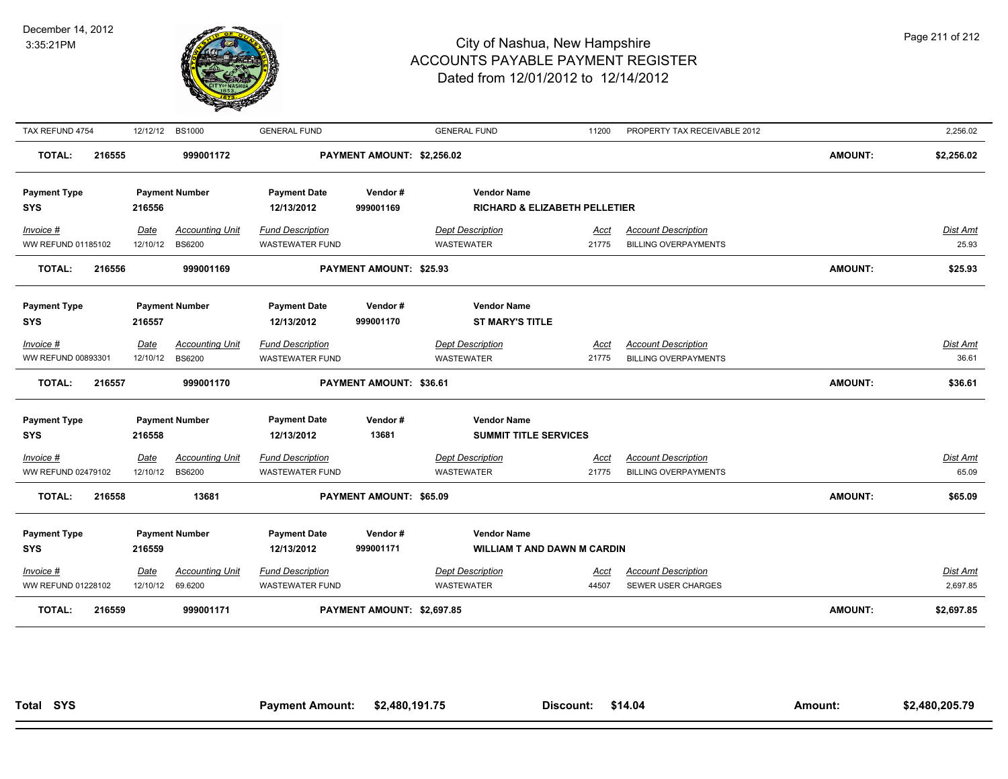

| TAX REFUND 4754         | 12/12/12 | <b>BS1000</b>          | <b>GENERAL FUND</b>     |                            | <b>GENERAL FUND</b>                      | 11200 | PROPERTY TAX RECEIVABLE 2012 |                | 2,256.02        |
|-------------------------|----------|------------------------|-------------------------|----------------------------|------------------------------------------|-------|------------------------------|----------------|-----------------|
| <b>TOTAL:</b><br>216555 |          | 999001172              |                         | PAYMENT AMOUNT: \$2,256.02 |                                          |       |                              | <b>AMOUNT:</b> | \$2,256.02      |
| <b>Payment Type</b>     |          | <b>Payment Number</b>  | <b>Payment Date</b>     | Vendor#                    | <b>Vendor Name</b>                       |       |                              |                |                 |
| <b>SYS</b>              | 216556   |                        | 12/13/2012              | 999001169                  | <b>RICHARD &amp; ELIZABETH PELLETIER</b> |       |                              |                |                 |
| Invoice #               | Date     | <b>Accounting Unit</b> | <b>Fund Description</b> |                            | <b>Dept Description</b>                  | Acct  | <b>Account Description</b>   |                | Dist Amt        |
| WW REFUND 01185102      | 12/10/12 | <b>BS6200</b>          | <b>WASTEWATER FUND</b>  |                            | WASTEWATER                               | 21775 | <b>BILLING OVERPAYMENTS</b>  |                | 25.93           |
| <b>TOTAL:</b><br>216556 |          | 999001169              |                         | PAYMENT AMOUNT: \$25.93    |                                          |       |                              | <b>AMOUNT:</b> | \$25.93         |
| <b>Payment Type</b>     |          | <b>Payment Number</b>  | <b>Payment Date</b>     | Vendor#                    | <b>Vendor Name</b>                       |       |                              |                |                 |
| <b>SYS</b>              | 216557   |                        | 12/13/2012              | 999001170                  | <b>ST MARY'S TITLE</b>                   |       |                              |                |                 |
|                         |          |                        |                         |                            |                                          |       |                              |                |                 |
| Invoice #               | Date     | <b>Accounting Unit</b> | <b>Fund Description</b> |                            | <b>Dept Description</b>                  | Acct  | <b>Account Description</b>   |                | Dist Amt        |
| WW REFUND 00893301      | 12/10/12 | <b>BS6200</b>          | <b>WASTEWATER FUND</b>  |                            | WASTEWATER                               | 21775 | <b>BILLING OVERPAYMENTS</b>  |                | 36.61           |
| <b>TOTAL:</b><br>216557 |          | 999001170              |                         | PAYMENT AMOUNT: \$36.61    |                                          |       |                              | <b>AMOUNT:</b> | \$36.61         |
| <b>Payment Type</b>     |          | <b>Payment Number</b>  | <b>Payment Date</b>     | Vendor#                    | <b>Vendor Name</b>                       |       |                              |                |                 |
| <b>SYS</b>              | 216558   |                        | 12/13/2012              | 13681                      | <b>SUMMIT TITLE SERVICES</b>             |       |                              |                |                 |
| $Invoice$ #             | Date     | <b>Accounting Unit</b> | <b>Fund Description</b> |                            | <b>Dept Description</b>                  | Acct  | <b>Account Description</b>   |                | <b>Dist Amt</b> |
| WW REFUND 02479102      | 12/10/12 | <b>BS6200</b>          | <b>WASTEWATER FUND</b>  |                            | WASTEWATER                               | 21775 | <b>BILLING OVERPAYMENTS</b>  |                | 65.09           |
| <b>TOTAL:</b><br>216558 |          | 13681                  |                         | PAYMENT AMOUNT: \$65.09    |                                          |       |                              | <b>AMOUNT:</b> | \$65.09         |
| <b>Payment Type</b>     |          | <b>Payment Number</b>  | <b>Payment Date</b>     | Vendor#                    | <b>Vendor Name</b>                       |       |                              |                |                 |
| <b>SYS</b>              | 216559   |                        | 12/13/2012              | 999001171                  | <b>WILLIAM T AND DAWN M CARDIN</b>       |       |                              |                |                 |
| Invoice #               | Date     | <b>Accounting Unit</b> | <b>Fund Description</b> |                            | <b>Dept Description</b>                  | Acct  | <b>Account Description</b>   |                | Dist Amt        |
| WW REFUND 01228102      | 12/10/12 | 69.6200                | WASTEWATER FUND         |                            | <b>WASTEWATER</b>                        | 44507 | SEWER USER CHARGES           |                | 2,697.85        |
| <b>TOTAL:</b><br>216559 |          | 999001171              |                         | PAYMENT AMOUNT: \$2,697.85 |                                          |       |                              | <b>AMOUNT:</b> | \$2,697.85      |
|                         |          |                        |                         |                            |                                          |       |                              |                |                 |